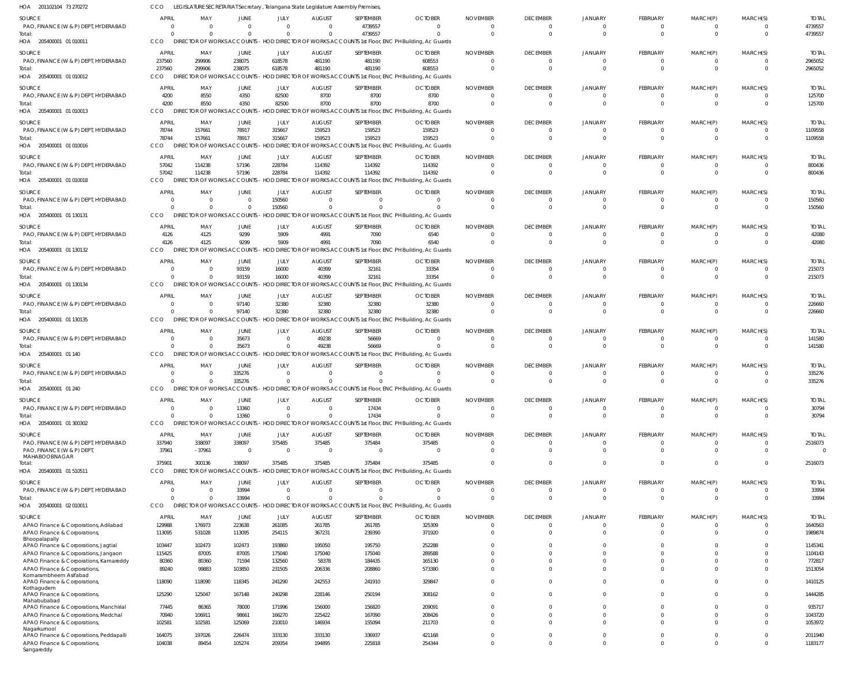205400001 01 010011 HOA 205400001 01 010012 205400001 01 010013 HOA 205400001 01 010016 205400001 01 010018 205400001 01 130131 HOA 205400001 01 130132 HOA 205400001 01 130134 205400001 01 130135 HOA 205400001 01 140 HOA 205400001 01 240 205400001 01 300302 HOA 205400001 01 510511 205400001 02 010011 HOA HOA HOA HOA HOA HOA HOA LEGISLATURE SECRETARIAT Secretary , Telangana State Legislature Assembly Premises, CCO DIRECTOR OF WORKS ACCOUNTS - HOD DIRECTOR OF WORKS ACCOUNTS 1st Floor, ENC PH Building, Ac Guards DIRECTOR OF WORKS ACCOUNTS - HOD DIRECTOR OF WORKS ACCOUNTS 1st Floor, ENC PH Building, Ac Guards CCO DIRECTOR OF WORKS ACCOUNTS - HOD DIRECTOR OF WORKS ACCOUNTS 1st Floor, ENC PH Building, Ac Guards DIRECTOR OF WORKS ACCOUNTS - HOD DIRECTOR OF WORKS ACCOUNTS 1st Floor, ENC PH Building, Ac Guards DIRECTOR OF WORKS ACCOUNTS - HOD DIRECTOR OF WORKS ACCOUNTS 1st Floor, ENC PH Building, Ac Guards CCO DIRECTOR OF WORKS ACCOUNTS - HOD DIRECTOR OF WORKS ACCOUNTS 1st Floor, ENC PH Building, Ac Guards CCO DIRECTOR OF WORKS ACCOUNTS - HOD DIRECTOR OF WORKS ACCOUNTS 1st Floor, ENC PH Building, Ac Guards DIRECTOR OF WORKS ACCOUNTS - HOD DIRECTOR OF WORKS ACCOUNTS 1st Floor, ENC PH Building, Ac Guards CCO DIRECTOR OF WORKS ACCOUNTS - HOD DIRECTOR OF WORKS ACCOUNTS 1st Floor, ENC PH Building, Ac Guards CCO DIRECTOR OF WORKS ACCOUNTS - HOD DIRECTOR OF WORKS ACCOUNTS 1st Floor, ENC PH Building, Ac Guards DIRECTOR OF WORKS ACCOUNTS - HOD DIRECTOR OF WORKS ACCOUNTS 1st Floor, ENC PH Building, Ac Guards CCO DIRECTOR OF WORKS ACCOUNTS - HOD DIRECTOR OF WORKS ACCOUNTS 1st Floor, ENC PH Building, Ac Guards DIRECTOR OF WORKS ACCOUNTS - HOD DIRECTOR OF WORKS ACCOUNTS 1st Floor, ENC PH Building, Ac Guards DIRECTOR OF WORKS ACCOUNTS - HOD DIRECTOR OF WORKS ACCOUNTS 1st Floor, ENC PH Building, Ac Guards CCO CCO CCO CCO **CCO CCO** CCO 0 237560 4200 78744 57042  $\Omega$ 4126  $\Omega$  $\Omega$ 0  $\Omega$  $\Omega$ 375901  $\Omega$ 0 299906 8550 157661 114238  $\Omega$ 4125 0 0 0 0 0 300136  $\Omega$ 0 238075 4350 78917 57196  $\Omega$ 9299 93159 97140 35673 335276 13360 338097 33994 0 618578 82500 315667 228784 150560 5909 16000 32380 0  $\Omega$  $\Omega$ 375485  $\Omega$ 0 481190 8700 159523 114392  $\Omega$ 4991 40399 32380 49238  $\Omega$ 0 375485  $\Omega$ 4739557 481190 8700 159523 114392  $\sqrt{2}$ 7090 32161 32380 56669  $\Omega$ 17434 375484  $\Omega$ 0 608553 8700 159523 114392  $\bigcap$ 6540 33354 32380 0  $\sqrt{2}$  $\Omega$ 375485  $\Omega$ 0  $\Omega$  $\bigcap$ 0  $\Omega$  $\Omega$ 0  $\Omega$  $\Omega$ 0  $\Omega$ 0  $\Omega$  $\Omega$ 0 0  $\Omega$ 0  $\Omega$ 0 0  $\Omega$ 0 0  $\Omega$ 0 0  $\Omega$ 0 0 0 0  $\Omega$ 0 0  $\Omega$ 0 0  $\Omega$  $\,$  0  $\,$ 0  $\Omega$ 0 0  $\bigcap$ 0  $\Omega$  $\Omega$ 0  $\Omega$  $\Omega$ 0  $\bigcap$ 0 0  $\Omega$ 0 0 0 0  $\Omega$ 0 0  $\Omega$ 0 0  $\Omega$ 0 0 0 0 0  $\Omega$ 0  $\Omega$  $\Omega$ 0  $\Omega$ 0 0  $\Omega$ 0  $\Omega$  $\Omega$ 4739557 2965052 125700 1109558 800436 150560 42080 215073 226660 141580 335276 30794 2516073 33994 PAO, FINANCE (W & P) DEPT, HYDERABAD PAO, FINANCE (W & P) DEPT, HYDERABAD PAO, FINANCE (W & P) DEPT, HYDERABAD PAO, FINANCE (W & P) DEPT, HYDERABAD PAO, FINANCE (W & P) DEPT, HYDERABAD PAO, FINANCE (W & P) DEPT, HYDERABAD PAO, FINANCE (W & P) DEPT, HYDERABAD PAO, FINANCE (W & P) DEPT, HYDERABAD PAO, FINANCE (W & P) DEPT, HYDERABAD PAO, FINANCE (W & P) DEPT, HYDERABAD PAO, FINANCE (W & P) DEPT, HYDERABAD PAO, FINANCE (W & P) DEPT, HYDERABAD PAO, FINANCE (W & P) DEPT, HYDERABAD PAO, FINANCE (W & P) DEPT, MAHABOOBNAGAR PAO, FINANCE (W & P) DEPT, HYDERABAD APAO Finance & Corporations, Adilabad APAO Finance & Corporations, Bhoopalapally APAO Finance & Corporations, Jagtial APAO Finance & Corporations, Jangaon APAO Finance & Corporations, Kamareddy APAO Finance & Corporations, Komarambheem Asifabad APAO Finance & Corporations, Kothagudem APAO Finance & Corporations, Mahabubabad APAO Finance & Corporations, Manchirial APAO Finance & Corporations, Medchal APAO Finance & Corporations, Nagarkurnool APAO Finance & Corporations, Peddapalli APAO Finance & Corporations, Sangareddy **SOURCE** SOURCE SOURCE SOURCE SOURCE SOURCE **SOURCE** SOURCE SOURCE **SOURCE SOURCE SOURCE** SOURCE **SOURCE SOURCE** 0 237560 4200 78744 57042 0 4126 0 0 0 0 0 337940 37961 0 129988 113095 103447 115425 80360 89240 118090 125290 77445 70940 102581 164075 104038 APRIL APRIL APRIL APRIL APRIL APRIL APRIL APRIL APRIL APRIL APRIL APRIL APRIL APRIL **APRIL** 0 299906 8550 157661 114238 0 4125 0 0 0 0 0 338097 -37961 0 176973 531028 102473 87005 80360 99883 118090 125047 86365 106911 102581 197026 89454 MAY MAY MAY MAY MAY MAY MAY MAY MAY MAY MAY MAY MAY MAY MAY 0 238075 4350 78917 57196 0 9299 93159 97140 35673 335276 13360 338097 0 33994 223638 113095 102473 87005 71594 103850 118345 167148 78000 98661 125069 226474 105274 JUNE JUNE JUNE JUNE JUNE JUNE JUNE JUNE JUNE JUNE JUNE JUNE JUNE JUNE JUNE 0 618578 82500 315667 228784 150560 5909 16000 32380 0 0 0 375485 0 0 261085 254115 193860 175040 132560 231505 241290 240298 171996 166270 210010 333130 209354 JULY JULY JULY JULY JULY JULY JULY JULY JULY JULY JULY JULY JULY JULY JULY 0 481190 8700 159523 114392 0 4991 40399 32380 49238 0 0 375485 0 0 261785 367231 195050 175040 58378 206336 242553 228146 156000 225422 146934 333130 194895 AUGUST **AUGUST** AUGUST AUGUST AUGUST AUGUST AUGUST **AUGUST** AUGUST AUGUST AUGUST AUGUST AUGUST AUGUST AUGUST 4739557 481190 8700 159523 114392  $\Omega$ 7090 32161 32380 56669 0 17434 375484 0  $\Omega$ 261785 239390 195750 175040 184435 208860 241910 250194 156820 167090 155094 336937 225818 SEPTEMBER SEPTEMBER SEPTEMBER SEPTEMBER SEPTEMBER SEPTEMBER SEPTEMBER **SEPTEMBER** SEPTEMBER SEPTEMBER SEPTEMBER SEPTEMBER SEPTEMBER SEPTEMBER SEPTEMBER  $\Omega$ 608553 8700 159523 114392 0 6540 33354 32380  $\Omega$ 0 0 375485 0  $\Omega$ 325309 371920 252288 289588 165130 573380 329847 308162 209091 208426 211703 421168 254344 OCTOBER **OCTOBER** OCTOBER **OCTOBER OCTOBER OCTOBER OCTOBER OCTOBER** OCTOBER **OCTOBER OCTOBER** OCTOBER **OCTOBER OCTOBER OCTOBER**  $\Omega$ 0  $\Omega$  $\Omega$ 0  $\Omega$ 0 0  $\Omega$ 0 0  $\Omega$ 0 0 0 0  $\Omega$ 0 0 0  $\Omega$ 0 0  $\sqrt{2}$ 0  $\Omega$ 0  $\Omega$ NOVEMBER NOVEMBER NOVEMBER NOVEMBER NOVEMBER NOVEMBER NOVEMBER NOVEMBER NOVEMBER NOVEMBER NOVEMBER NOVEMBER NOVEMBER NOVEMBER NOVEMBER  $\Omega$ 0  $\Omega$  $\Omega$ 0 0 0 0 0  $\bigcap$ 0 0 0 0 0 0  $\Omega$  $\Omega$  $\Omega$ 0  $\Omega$ 0  $\Omega$  $\Omega$ 0 0 0 0 DECEMBER **DECEMBER** DECEMBER DECEMBER DECEMBER DECEMBER DECEMBER **DECEMBER** DECEMBER DECEMBER DECEMBER DECEMBER DECEMBER DECEMBER **DECEMBER** 0 0  $\Omega$  $\Omega$  $\mathbf{C}$ 0 0 0 0  $\Omega$ 0 0  $\Omega$ 0 0 0  $\Omega$ 0  $\Omega$ 0  $\Omega$  $\mathbf{C}$  $\Omega$  $\Omega$ 0 0 0 0 JANUARY JANUARY JANUARY JANUARY **JANUARY** JANUARY JANUARY JANUARY JANUARY JANUARY JANUARY JANUARY JANUARY JANUARY JANUARY  $\Omega$ 0  $\Omega$ 0 0  $\Omega$ 0 0  $\Omega$ 0 0  $\Omega$ 0 0 0 0  $\Omega$ 0 0 0  $\Omega$ 0 0  $\sqrt{2}$ 0  $\Omega$ 0  $\Omega$ FEBRUARY **FEBRUARY** FEBRUARY FEBRUARY FEBRUARY FEBRUARY FEBRUARY **FEBRUARY** FEBRUARY FEBRUARY FEBRUARY FEBRUARY FEBRUARY FEBRUARY FEBRUARY 0 0  $\Omega$  $\Omega$ 0 0  $\Omega$ 0 0  $\Omega$ 0 0  $\Omega$ 0 0 0  $\Omega$  $\Omega$  $\Omega$ 0  $\Omega$ 0 0  $\Omega$ 0 0 0 0 MARCH(P) MARCH(P) MARCH(P) MARCH(P) MARCH(P) MARCH(P) MARCH(P) MARCH(P) MARCH(P) MARCH(P) MARCH(P) MARCH(P) MARCH(P) MARCH(P) MARCH(P)  $\Omega$ 0 0 0 0  $\Omega$ 0 0  $\Omega$ 0 0  $\Omega$ 0 0 0 0  $\Omega$ 0  $\Omega$ 0  $\Omega$ 0 0  $\Omega$ 0  $\Omega$ 0 0 MARCH(S) MARCH(S) MARCH(S) MARCH(S) MARCH(S) MARCH(S) MARCH(S) MARCH(S) MARCH(S) MARCH(S) MARCH(S) MARCH(S) MARCH(S) MARCH(S) MARCH(S) 4739557 2965052 125700 1109558 800436 150560 42080 215073 226660 141580 335276 30794 2516073 0 33994 1640563 1989874 1145341 1104143 772817 1513054 1410125 1444285 935717 1043720 1053972 2011940 1183177 TOTAL TOTAL TOTAL TOTAL TOTAL TOTAL TOTAL TOTAL TOTAL TOTAL TOTAL TOTAL TOTAL TOTAL TOTAL Total: Total: Total: Total: Total: Total: Total: Total: Total: Total: Total: Total: Total: Total:

201102104 73 270272 HOA

CCO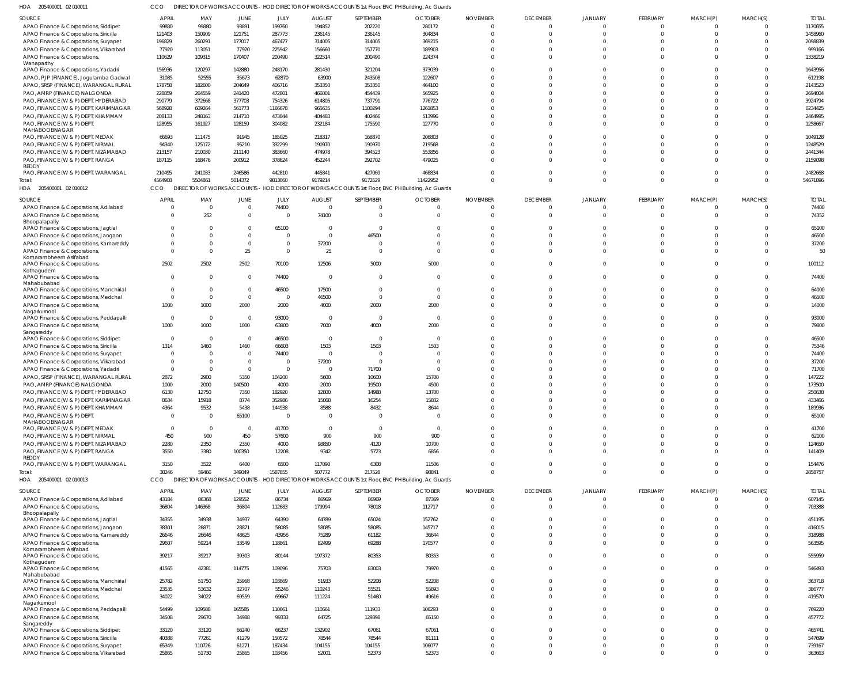| SOURCE                                                | APRIL        | MAY            | JUNE           | JULY           | AUGUST                  | SEPTEMBER      | <b>OCTOBER</b>                                                                                    | <b>NOVEMBER</b> | <b>DECEMBER</b> | JANUARY        | <b>FEBRUARY</b> | MARCH(P)    | MARCH(S) | <b>TOTAI</b> |
|-------------------------------------------------------|--------------|----------------|----------------|----------------|-------------------------|----------------|---------------------------------------------------------------------------------------------------|-----------------|-----------------|----------------|-----------------|-------------|----------|--------------|
| APAO Finance & Corporations, Siddipet                 | 99880        | 99880          | 93891          | 199760         | 194852                  | 202220         | 280172                                                                                            | $\Omega$        | $\Omega$        |                | $\mathbf 0$     | $\Omega$    |          | 1170655      |
| APAO Finance & Corporations, Siricilla                | 121403       | 150909         | 121751         | 287773         | 236145                  | 236145         | 304834                                                                                            | $\Omega$        | $\Omega$        |                | $\Omega$        | $\Omega$    | $\Omega$ | 1458960      |
| APAO Finance & Corporations, Suryapet                 | 196829       | 260291         | 177017         | 467477         | 314005                  | 314005         | 369215                                                                                            | $\Omega$        | $\Omega$        |                | $\Omega$        |             |          | 2098839      |
| APAO Finance & Corporations, Vikarabad                | 77920        | 113051         | 77920          | 225942         | 156660                  | 157770         | 189903                                                                                            | $\Omega$        | $\Omega$        |                | $\Omega$        |             |          | 999166       |
| APAO Finance & Corporations,<br>Wanaparthy            | 110629       | 109315         | 170407         | 200490         | 322514                  | 200490         | 224374                                                                                            | $\Omega$        | $\Omega$        |                | $\Omega$        | $\Omega$    | $\Omega$ | 1338219      |
| APAO Finance & Corporations, Yadadri                  | 156936       | 120297         | 142880         | 248170         | 281430                  | 321204         | 373039                                                                                            | $\Omega$        |                 |                |                 |             |          | 1643956      |
| APAO, PJP (FINANCE), Jogulamba Gadwal                 | 31085        | 52555          | 35673          | 62870          | 63900                   | 243508         | 122607                                                                                            | $\Omega$        | $\Omega$        |                |                 |             |          | 612198       |
| APAO, SRSP (FINANCE), WARANGAL RURAL                  | 178758       | 182600         | 204649         | 406716         | 353350                  | 353350         | 464100                                                                                            | $\Omega$        | $\Omega$        |                | $\Omega$        |             |          | 2143523      |
| PAO, AMRP (FINANCE) NALGONDA                          | 228859       | 264559         | 241420         | 472801         | 466001                  | 454439         | 565925                                                                                            | $\Omega$        |                 |                | $\Omega$        |             |          | 2694004      |
| PAO, FINANCE (W & P) DEPT, HYDERABAD                  | 290779       | 372668         | 377703         | 754326         | 614805                  | 737791         | 776722                                                                                            | $\Omega$        |                 |                |                 |             |          | 3924794      |
| PAO, FINANCE (W & P) DEPT, KARIMNAGAR                 | 568928       | 609264         | 561773         | 1166678        | 965635                  | 1100294        | 1261853                                                                                           | $\Omega$        |                 |                |                 |             |          | 6234425      |
| PAO, FINANCE (W & P) DEPT, KHAMMAM                    | 208133       | 248163         | 214710         | 473044         | 404483                  | 402466         | 513996                                                                                            | $\Omega$        | $\Omega$        | $\Omega$       | $\Omega$        |             |          | 2464995      |
| PAO, FINANCE (W & P) DEPT,                            | 128955       | 161927         | 128159         | 304082         | 232184                  | 175590         | 127770                                                                                            | $\Omega$        |                 |                | $\Omega$        |             |          | 1258667      |
| MAHABOOBNAGAR                                         |              |                |                |                |                         |                |                                                                                                   |                 |                 |                |                 |             |          |              |
| PAO, FINANCE (W & P) DEPT, MEDAK                      | 66693        | 111475         | 91945          | 185025         | 218317                  | 168870         | 206803                                                                                            | $\Omega$        | $\Omega$        |                | $\Omega$        |             |          | 1049128      |
| PAO, FINANCE (W & P) DEPT, NIRMAL                     | 94340        | 125172         | 95210          | 332299         | 190970                  | 190970         | 219568                                                                                            | $\Omega$        | $\Omega$        |                | $\Omega$        |             | $\Omega$ | 1248529      |
| PAO, FINANCE (W & P) DEPT, NIZAMABAD                  | 213157       | 210030         | 211140         | 383660         | 474978                  | 394523         | 553856                                                                                            | $\Omega$        | $\Omega$        |                | $\Omega$        |             | $\Omega$ | 2441344      |
| PAO, FINANCE (W & P) DEPT, RANGA                      | 187115       | 168476         | 200912         | 378624         | 452244                  | 292702         | 479025                                                                                            | $\Omega$        | $\Omega$        |                | $\Omega$        | $\Omega$    | $\Omega$ | 2159098      |
| REDDY                                                 |              |                |                |                |                         |                |                                                                                                   |                 |                 |                |                 |             |          |              |
| PAO, FINANCE (W & P) DEPT, WARANGAL                   | 210495       | 241033         | 246586         | 442810         | 445841                  | 427069         | 468834                                                                                            | $\Omega$        | $\Omega$        |                | $\Omega$        | $\Omega$    | $\Omega$ | 2482668      |
| Total:                                                | 4564908      | 5504861        | 5014372        | 9813060        | 9179214                 | 9172529        | 11422952                                                                                          | $\Omega$        | $\Omega$        | $\Omega$       | $\Omega$        | $\Omega$    | $\Omega$ | 54671896     |
| HOA 205400001 02 010012                               | CCO          |                |                |                |                         |                | DIRECTOR OF WORKS ACCOUNTS - HOD DIRECTOR OF WORKS ACCOUNTS 1st Floor, ENC PH Building, Ac Guards |                 |                 |                |                 |             |          |              |
| SOURCE                                                | APRIL        | MAY            | JUNE           | JULY           | <b>AUGUST</b>           | SEPTEMBER      | <b>OCTOBER</b>                                                                                    | <b>NOVEMBER</b> | <b>DECEMBER</b> | <b>JANUARY</b> | <b>FEBRUARY</b> | MARCH(P)    | MARCH(S) | <b>TOTAL</b> |
| APAO Finance & Corporations, Adilabad                 |              | $\overline{0}$ | $\mathbf 0$    | 74400          | $\overline{0}$          |                | $\Omega$                                                                                          | $\Omega$        | - 0             |                | $\Omega$        |             | $\Omega$ | 74400        |
| APAO Finance & Corporations,                          |              | 252            | $\Omega$       | $\Omega$       | 74100                   | $\Omega$       | $\Omega$                                                                                          | $\Omega$        | $\Omega$        | $\Omega$       | $\Omega$        | $\Omega$    | $\Omega$ | 74352        |
| Bhoopalapally                                         |              |                |                |                |                         |                |                                                                                                   |                 |                 |                |                 |             |          |              |
| APAO Finance & Corporations, Jagtial                  |              | $\Omega$       | $\Omega$       | 65100          | $\overline{0}$          | $\Omega$       | $\Omega$                                                                                          | $\Omega$        | $\Omega$        |                | $\Omega$        |             | $\Omega$ | 65100        |
| APAO Finance & Corporations, Jangaon                  |              | $\Omega$       | $\Omega$       | $\Omega$       | $\overline{0}$          | 46500          | $\Omega$                                                                                          | $\Omega$        |                 |                |                 |             |          | 46500        |
| APAO Finance & Corporations, Kamareddy                |              | $\Omega$       | $\Omega$       | $\overline{0}$ | 37200                   | $\Box$         | $\Omega$                                                                                          | $\Omega$        | $\Omega$        |                | $\Omega$        |             | $\Omega$ | 37200        |
| APAO Finance & Corporations,                          |              | $\Omega$       | 25             | $\Omega$       | 25                      |                | $\Omega$                                                                                          | $\Omega$        | $\Omega$        |                | $\Omega$        |             | $\Omega$ | 50           |
| Komarambheem Asifabad                                 |              |                |                |                |                         |                |                                                                                                   |                 |                 |                |                 |             |          |              |
| APAO Finance & Corporations,                          | 2502         | 2502           | 2502           | 70100          | 12506                   | 5000           | 5000                                                                                              | $\Omega$        | $\Omega$        |                | $\Omega$        | $\Omega$    | $\Omega$ | 100112       |
| Kothagudem                                            |              | $\Omega$       | $\overline{0}$ | 74400          | $\overline{\mathbf{0}}$ | $\Omega$       | $\overline{0}$                                                                                    | $\Omega$        | $\Omega$        |                |                 |             | $\Omega$ | 74400        |
| APAO Finance & Corporations,<br>Mahabubabad           |              |                |                |                |                         |                |                                                                                                   |                 |                 |                |                 |             |          |              |
| APAO Finance & Corporations, Manchirial               | $\Omega$     | $\Omega$       | $\overline{0}$ | 46500          | 17500                   | $\Omega$       | $\Omega$                                                                                          | $\Omega$        | $\Omega$        |                | $\Omega$        |             | $\Omega$ | 64000        |
| APAO Finance & Corporations, Medchal                  | $\Omega$     | $\Omega$       | $\Omega$       | $\Omega$       | 46500                   | $\Omega$       | $\Omega$                                                                                          | $\Omega$        | $\Omega$        | $\Omega$       | $\Omega$        |             | $\Omega$ | 46500        |
| APAO Finance & Corporations,                          | 1000         | 1000           | 2000           | 2000           | 4000                    | 2000           | 2000                                                                                              | $\Omega$        | $\Omega$        |                | $\Omega$        |             | $\Omega$ | 14000        |
| Nagarkurnool                                          |              |                |                |                |                         |                |                                                                                                   |                 |                 |                |                 |             |          |              |
| APAO Finance & Corporations, Peddapalli               | - 0          | $\overline{0}$ | $\overline{0}$ | 93000          | $\overline{0}$          | $\Omega$       | $\overline{0}$                                                                                    | $\Omega$        |                 |                |                 |             |          | 93000        |
| APAO Finance & Corporations,                          | 1000         | 1000           | 1000           | 63800          | 7000                    | 4000           | 2000                                                                                              | $\Omega$        | $\Omega$        |                | $\Omega$        |             | $\Omega$ | 79800        |
| Sangareddy                                            |              |                |                |                |                         |                |                                                                                                   |                 |                 |                |                 |             |          |              |
| APAO Finance & Corporations, Siddipet                 | - 0          | $\Omega$       | $\overline{0}$ | 46500          | $\overline{0}$          | $\Omega$       | $\overline{\phantom{0}}$                                                                          | $\Omega$        |                 |                |                 |             |          | 46500        |
| APAO Finance & Corporations, Siricilla                | 1314         | 1460           | 1460           | 66603          | 1503                    | 1503           | 1503                                                                                              | $\Omega$        |                 |                |                 |             |          | 75346        |
| APAO Finance & Corporations, Suryapet                 |              | $\Omega$       | $\overline{0}$ | 74400          | $\overline{0}$          |                | $\Omega$                                                                                          | $\Omega$        |                 |                |                 |             |          | 74400        |
| APAO Finance & Corporations, Vikarabad                | $\Omega$     | $\Omega$       | $\overline{0}$ | $\overline{0}$ | 37200                   |                | $\Omega$                                                                                          |                 |                 |                |                 |             |          | 37200        |
| APAO Finance & Corporations, Yadadri                  | $\Omega$     | $\overline{0}$ | $\overline{0}$ | - 0            | $\overline{0}$          | 71700          | $\Omega$                                                                                          |                 |                 |                |                 |             |          | 71700        |
| APAO, SRSP (FINANCE), WARANGAL RURAL                  | 2872         | 2900           | 5350           | 104200         | 5600                    | 10600          | 15700                                                                                             |                 |                 |                |                 |             |          | 147222       |
| PAO, AMRP (FINANCE) NALGONDA                          | 1000         | 2000           | 140500         | 4000           | 2000                    | 19500          | 4500                                                                                              | $\Omega$        |                 |                |                 |             |          | 173500       |
| PAO, FINANCE (W & P) DEPT, HYDERABAD                  | 6130         | 12750          | 7350           | 182920         | 12800                   | 14988          | 13700                                                                                             |                 |                 |                |                 |             |          | 250638       |
| PAO, FINANCE (W & P) DEPT, KARIMNAGAR                 | 8634         | 15918          | 8774           | 352986         | 15068                   | 16254          | 15832                                                                                             | $\Omega$        | $\Omega$        |                | $\Omega$        | $\Omega$    | $\Omega$ | 433466       |
| PAO, FINANCE (W & P) DEPT, KHAMMAM                    | 4364         | 9532           | 5438           | 144938         | 8588                    | 8432           | 8644                                                                                              | $\overline{0}$  | $\Omega$        | $\Omega$       | 0               | $\Omega$    | $\Omega$ | 189936       |
| PAO, FINANCE (W & P) DEPT,                            | $\Omega$     | $\overline{0}$ | 65100          | $\overline{0}$ | $\overline{0}$          | $\Omega$       | $\overline{0}$                                                                                    | $\Omega$        | $\Omega$        | $\Omega$       | $\Omega$        | $\Omega$    | $\Omega$ | 65100        |
| MAHABOOBNAGAR                                         |              |                |                |                |                         |                |                                                                                                   |                 |                 |                |                 |             |          |              |
| PAO, FINANCE (W & P) DEPT, MEDAK                      | $\Omega$     | $\overline{0}$ | $\overline{0}$ | 41700          | $\overline{0}$          | $\overline{0}$ | $\overline{0}$                                                                                    | $\overline{0}$  | $\Omega$        | $\Omega$       | $\Omega$        | $\Omega$    | $\Omega$ | 41700        |
| PAO, FINANCE (W & P) DEPT, NIRMAL                     | 450          | 900            | 450            | 57600          | 900                     | 900            | 900                                                                                               | $\Omega$        | $\Omega$        | $\Omega$       | $\Omega$        | $\Omega$    | $\Omega$ | 62100        |
| PAO, FINANCE (W & P) DEPT, NIZAMABAD                  | 2280         | 2350           | 2350           | 4000           | 98850                   | 4120           | 10700                                                                                             | $\Omega$        | $\Omega$        | $\Omega$       | $\Omega$        | $\Omega$    | $\Omega$ | 124650       |
| PAO, FINANCE (W & P) DEPT, RANGA                      | 3550         | 3380           | 100350         | 12208          | 9342                    | 5723           | 6856                                                                                              | $\Omega$        | $\Omega$        | $\Omega$       | $\Omega$        | $\Omega$    | $\Omega$ | 141409       |
| REDDY<br>PAO, FINANCE (W & P) DEPT, WARANGAL          | 3150         | 3522           | 6400           | 6500           | 117090                  | 6308           | 11506                                                                                             | $\Omega$        | $\Omega$        | $\Omega$       | $\Omega$        | $\Omega$    | $\Omega$ | 154476       |
| Total:                                                | 38246        | 59466          | 349049         | 1587855        | 507772                  | 217528         | 98841                                                                                             | $\Omega$        | $\Omega$        | $\Omega$       | $\Omega$        | $\Omega$    | $\Omega$ | 2858757      |
| HOA 205400001 02 010013                               | CCO          |                |                |                |                         |                | DIRECTOR OF WORKS ACCOUNTS - HOD DIRECTOR OF WORKS ACCOUNTS 1st Floor, ENC PH Building, Ac Guards |                 |                 |                |                 |             |          |              |
|                                                       |              |                |                |                |                         |                |                                                                                                   |                 |                 |                |                 |             |          |              |
| SOURCE                                                | <b>APRIL</b> | MAY            | JUNE           | JULY           | <b>AUGUST</b>           | SEPTEMBER      | <b>OCTOBER</b>                                                                                    | <b>NOVEMBER</b> | <b>DECEMBER</b> | <b>JANUARY</b> | <b>FEBRUARY</b> | MARCH(P)    | MARCH(S) | <b>TOTAL</b> |
| APAO Finance & Corporations, Adilabad                 | 43184        | 86368          | 129552         | 86734          | 86969                   | 86969          | 87369                                                                                             | $\overline{0}$  | $\Omega$        | $\Omega$       | $\mathbf 0$     | $\mathbf 0$ | $\Omega$ | 607145       |
| APAO Finance & Corporations,                          | 36804        | 146368         | 36804          | 112683         | 179994                  | 78018          | 112717                                                                                            | $\overline{0}$  | $\Omega$        | $\Omega$       | $\mathbf 0$     | $\mathbf 0$ | $\Omega$ | 703388       |
| Bhoopalapally                                         |              |                |                |                |                         |                |                                                                                                   |                 |                 |                |                 |             |          |              |
| APAO Finance & Corporations, Jagtial                  | 34355        | 34938          | 34937          | 64390          | 64789                   | 65024          | 152762                                                                                            | $\overline{0}$  | $\Omega$        | $\Omega$       | $\Omega$        | $\Omega$    | $\Omega$ | 451195       |
| APAO Finance & Corporations, Jangaon                  | 38301        | 28871          | 28871          | 58085          | 58085                   | 58085          | 145717                                                                                            | $\Omega$        | $\Omega$        | $\Omega$       | $\Omega$        | $\Omega$    | $\Omega$ | 416015       |
| APAO Finance & Corporations, Kamareddy                | 26646        | 26646          | 48625          | 43956          | 75289                   | 61182          | 36644                                                                                             | $\overline{0}$  | $\Omega$        | $\Omega$       | $\Omega$        | $\Omega$    | $\Omega$ | 318988       |
| APAO Finance & Corporations,                          | 29607        | 59214          | 33549          | 118861         | 82499                   | 69288          | 170577                                                                                            | $\overline{0}$  | $\Omega$        | $\Omega$       | $\Omega$        | $\Omega$    | $\Omega$ | 563595       |
| Komarambheem Asifabad<br>APAO Finance & Corporations, | 39217        | 39217          | 39303          | 80144          | 197372                  | 80353          | 80353                                                                                             | $\overline{0}$  | $\Omega$        | $\Omega$       | $\mathbf 0$     | $\Omega$    | $\Omega$ | 555959       |
| Kothagudem                                            |              |                |                |                |                         |                |                                                                                                   |                 |                 |                |                 |             |          |              |
| APAO Finance & Corporations,                          | 41565        | 42381          | 114775         | 109096         | 75703                   | 83003          | 79970                                                                                             | $\overline{0}$  | $\Omega$        | $\Omega$       | $\mathbf 0$     | $\Omega$    | $\Omega$ | 546493       |
| Mahabubabad                                           |              |                |                |                |                         |                |                                                                                                   |                 |                 |                |                 |             |          |              |
| APAO Finance & Corporations, Manchirial               | 25782        | 51750          | 25968          | 103869         | 51933                   | 52208          | 52208                                                                                             | $\overline{0}$  | $\Omega$        | $\Omega$       | $\Omega$        | $\Omega$    | $\Omega$ | 363718       |
| APAO Finance & Corporations, Medchal                  | 23535        | 53632          | 32707          | 55246          | 110243                  | 55521          | 55893                                                                                             | $\overline{0}$  | $\Omega$        | $\Omega$       | $\Omega$        | $\Omega$    | $\Omega$ | 386777       |
| APAO Finance & Corporations,                          | 34022        | 34022          | 69559          | 69667          | 111224                  | 51460          | 49616                                                                                             | $\Omega$        | $\Omega$        | $\Omega$       | $\Omega$        | $\Omega$    | $\Omega$ | 419570       |
| Nagarkurnool                                          |              |                |                |                |                         |                |                                                                                                   |                 |                 |                |                 |             |          |              |
| APAO Finance & Corporations, Peddapalli               | 54499        | 109588         | 165585         | 110661         | 110661                  | 111933         | 106293                                                                                            | $\Omega$        | $\Omega$        | $\Omega$       | $\Omega$        | $\Omega$    | $\Omega$ | 769220       |
| APAO Finance & Corporations,                          | 34508        | 29670          | 34988          | 99333          | 64725                   | 129398         | 65150                                                                                             | $\Omega$        | $\Omega$        | $\Omega$       | $\Omega$        | $\Omega$    | $\Omega$ | 457772       |
| Sangareddy<br>APAO Finance & Corporations, Siddipet   | 33120        | 33120          | 66240          | 66237          | 132902                  | 67061          | 67061                                                                                             | $\Omega$        | $\Omega$        | $\Omega$       | $\Omega$        | $\Omega$    | $\Omega$ | 465741       |
| APAO Finance & Corporations, Siricilla                | 40388        | 77261          | 41279          | 150572         | 78544                   | 78544          | 81111                                                                                             | $\overline{0}$  | $\Omega$        | $\Omega$       | $\Omega$        | $\Omega$    | $\Omega$ | 547699       |
| APAO Finance & Corporations, Suryapet                 | 65349        | 110726         | 61271          | 187434         | 104155                  | 104155         | 106077                                                                                            | $\overline{0}$  | $\Omega$        | $\Omega$       | $\mathbf 0$     | $\Omega$    | $\Omega$ | 739167       |
| APAO Finance & Corporations, Vikarabad                | 25865        | 51730          | 25865          | 103456         | 52001                   | 52373          | 52373                                                                                             | $\overline{0}$  | $\Omega$        | $\Omega$       | $\Omega$        | $\Omega$    | $\Omega$ | 363663       |
|                                                       |              |                |                |                |                         |                |                                                                                                   |                 |                 |                |                 |             |          |              |

205400001 02 010011 HOA CCO DIRECTOR OF WORKS ACCOUNTS - HOD DIRECTOR OF WORKS ACCOUNTS 1st Floor, ENC PH Building, Ac Guards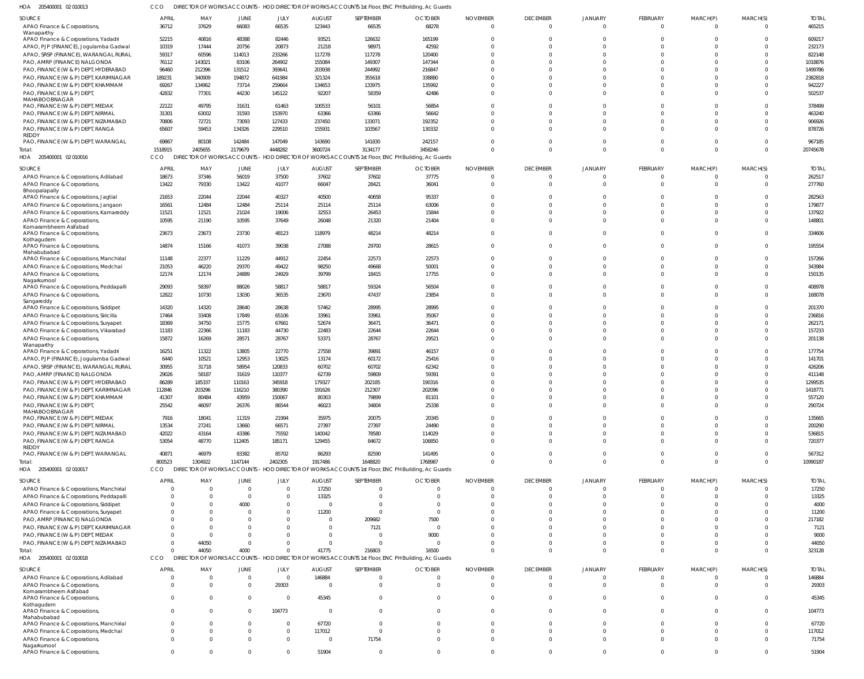205400001 02 010013 HOA CCO DIRECTOR OF WORKS ACCOUNTS - HOD DIRECTOR OF WORKS ACCOUNTS 1st Floor, ENC PH Building, Ac Guards

| .<br>LOUTUOUUT ULUIUUT.                     |                |                            |          |                |               |             | <b>THOD DIRECTOR OF WORKS7ROODSING</b> ISCHOOF ENOTH Dallaring, Ale Guarda                        |                 |                 |                |             |          |          |              |
|---------------------------------------------|----------------|----------------------------|----------|----------------|---------------|-------------|---------------------------------------------------------------------------------------------------|-----------------|-----------------|----------------|-------------|----------|----------|--------------|
| SOURCE                                      | <b>APRIL</b>   | MAY                        | JUNE     | JULY           | <b>AUGUST</b> | SEPTEMBER   | <b>OCTOBER</b>                                                                                    | <b>NOVEMBER</b> | <b>DECEMBER</b> | <b>JANUARY</b> | FEBRUARY    | MARCH(P) | MARCH(S) | <b>TOTAI</b> |
| APAO Finance & Corporations,                | 36712          | 37629                      | 66083    | 66535          | 123443        | 66535       | 68278                                                                                             | $\Omega$        | $\Omega$        | $\Omega$       | $\Omega$    | $\Omega$ |          | 465215       |
| Wanaparthy                                  |                |                            |          |                |               |             |                                                                                                   |                 |                 |                |             |          |          |              |
| APAO Finance & Corporations, Yadadri        | 52215          | 40816                      | 48388    | 82446          | 93521         | 126632      | 165199                                                                                            | $\Omega$        | $\Omega$        |                |             |          |          | 609217       |
| APAO, PJP (FINANCE), Jogulamba Gadwal       | 10319          | 17444                      | 20756    | 20873          | 21218         | 98971       | 42592                                                                                             | $\Omega$        | $\Omega$        | $\Omega$       |             |          |          | 232173       |
| APAO, SRSP (FINANCE), WARANGAL RURAL        | 59317          | 60596                      | 114013   | 233266         | 117278        | 117278      | 120400                                                                                            | $\Omega$        | $\Omega$        | $\Omega$       |             |          |          | 822148       |
| PAO, AMRP (FINANCE) NALGONDA                | 76112          | 143021                     | 83106    | 264902         | 155084        | 149307      | 147344                                                                                            | $\Omega$        |                 | $\Omega$       |             |          |          | 1018876      |
| PAO, FINANCE (W & P) DEPT, HYDERABAD        | 96460          | 212396                     | 131512   | 393641         | 203938        | 244992      | 216847                                                                                            | ſ               |                 | $\Omega$       |             |          |          | 1499786      |
| PAO, FINANCE (W & P) DEPT, KARIMNAGAR       | 189231         | 340909                     | 194872   | 641984         | 321324        | 355618      | 338880                                                                                            | $\Omega$        |                 | $\Omega$       |             |          |          | 2382818      |
|                                             |                |                            |          |                |               |             |                                                                                                   | $\Omega$        |                 | $\Omega$       |             |          |          |              |
| PAO, FINANCE (W & P) DEPT, KHAMMAM          | 69267          | 134962                     | 73714    | 259664         | 134653        | 133975      | 135992                                                                                            |                 |                 |                |             |          |          | 942227       |
| PAO, FINANCE (W & P) DEPT,<br>MAHABOOBNAGAR | 42832          | 77301                      | 44230    | 145122         | 92207         | 58359       | 42486                                                                                             | $\Omega$        |                 | $\Omega$       |             |          |          | 502537       |
| PAO, FINANCE (W & P) DEPT, MEDAK            | 22122          | 49795                      | 31631    | 61463          | 100533        | 56101       | 56854                                                                                             | $\Omega$        |                 | $\Omega$       |             |          |          | 378499       |
| PAO, FINANCE (W & P) DEPT, NIRMAL           | 31301          | 63002                      | 31593    | 153970         | 63366         | 63366       | 56642                                                                                             | $\Omega$        | $\Omega$        | $\Omega$       |             |          |          | 463240       |
|                                             |                |                            |          |                |               |             |                                                                                                   | $\Omega$        | $\Omega$        | $\Omega$       | $\Omega$    |          |          |              |
| PAO, FINANCE (W & P) DEPT, NIZAMABAD        | 70806          | 72721                      | 73093    | 127433         | 237450        | 133071      | 192352                                                                                            |                 |                 |                |             |          |          | 906926       |
| PAO, FINANCE (W & P) DEPT, RANGA<br>REDDY   | 65607          | 59453                      | 134326   | 229510         | 155931        | 103567      | 130332                                                                                            | $\Omega$        | $\Omega$        | $\Omega$       | $\Omega$    |          |          | 878726       |
| PAO, FINANCE (W & P) DEPT, WARANGAL         | 69867          | 80108                      | 142484   | 147049         | 143690        | 141830      | 242157                                                                                            | $\Omega$        | $\Omega$        | $\Omega$       | $\Omega$    |          |          | 967185       |
| Total:                                      | 1518915        | 2405655                    | 2179679  | 4448282        | 3600724       | 3134177     | 3458246                                                                                           | $\Omega$        | $\Omega$        | $\Omega$       | $\Omega$    | $\Omega$ | $\Omega$ | 20745678     |
|                                             |                |                            |          |                |               |             |                                                                                                   |                 |                 |                |             |          |          |              |
| HOA 205400001 02 010016                     | <b>CCO</b>     | DIRECTOR OF WORKS ACCOUNTS |          |                |               |             | HOD DIRECTOR OF WORKS ACCOUNTS 1st Floor, ENC PH Building, Ac Guards                              |                 |                 |                |             |          |          |              |
| SOURCE                                      | <b>APRIL</b>   | MAY                        | JUNE     | JULY           | <b>AUGUST</b> | SEPTEMBER   | <b>OCTOBER</b>                                                                                    | <b>NOVEMBER</b> | <b>DECEMBER</b> | <b>JANUARY</b> | FEBRUARY    | MARCH(P) | MARCH(S) | <b>TOTAL</b> |
| APAO Finance & Corporations, Adilabad       | 18673          | 37346                      | 56019    | 37500          | 37602         | 37602       | 37775                                                                                             | $\overline{0}$  | $\Omega$        | $\Omega$       | $\mathbf 0$ |          | $\Omega$ | 262517       |
| APAO Finance & Corporations,                | 13422          | 79330                      | 13422    | 41077          | 66047         | 28421       | 36041                                                                                             | $\Omega$        | $\Omega$        | $\Omega$       | $\mathbf 0$ | $\Omega$ | $\Omega$ | 277760       |
| Bhoopalapally                               |                |                            |          |                |               |             |                                                                                                   |                 |                 |                |             |          |          |              |
| APAO Finance & Corporations, Jagtial        | 21653          | 22044                      | 22044    | 40327          | 40500         | 40658       | 95337                                                                                             | $\Omega$        | $\Omega$        | $\Omega$       | $\Omega$    |          | $\Omega$ | 282563       |
| APAO Finance & Corporations, Jangaon        | 16561          | 12484                      | 12484    | 25114          | 25114         | 25114       | 63006                                                                                             | $\Omega$        | $\Omega$        | $\Omega$       | $\Omega$    |          | $\Omega$ | 179877       |
| APAO Finance & Corporations, Kamareddy      | 11521          | 11521                      | 21024    | 19006          | 32553         | 26453       | 15844                                                                                             | $\Omega$        | $\Omega$        | $\Omega$       | $\Omega$    |          | $\Omega$ | 137922       |
| APAO Finance & Corporations,                | 10595          | 21190                      | 10595    | 37649          | 26048         | 21320       | 21404                                                                                             | $\Omega$        | $\Omega$        | $\Omega$       | $\Omega$    |          | $\Omega$ | 148801       |
| Komarambheem Asifabad                       |                |                            |          |                |               |             |                                                                                                   |                 |                 |                |             |          |          |              |
| APAO Finance & Corporations,                | 23673          | 23673                      | 23730    | 48123          | 118979        | 48214       | 48214                                                                                             | $\Omega$        | $\Omega$        | $\Omega$       | $\Omega$    |          | $\Omega$ | 334606       |
| Kothagudem                                  |                |                            |          |                |               |             |                                                                                                   |                 |                 |                |             |          |          |              |
| APAO Finance & Corporations,                | 14874          | 15166                      | 41073    | 39038          | 27088         | 29700       | 28615                                                                                             | $\Omega$        | $\Omega$        | $\Omega$       | 0           | 0        | $\Omega$ | 195554       |
| Mahabubabad                                 |                |                            |          |                |               |             |                                                                                                   |                 |                 |                |             |          |          |              |
| APAO Finance & Corporations, Manchirial     | 11148          | 22377                      | 11229    | 44912          | 22454         | 22573       | 22573                                                                                             | $\Omega$        | $\Omega$        | $\Omega$       | $\Omega$    |          | $\Omega$ | 157266       |
| APAO Finance & Corporations, Medchal        | 21053          | 46220                      | 29370    | 49422          | 98250         | 49668       | 50001                                                                                             | $\Omega$        | $\Omega$        | $\Omega$       | $\Omega$    |          | $\Omega$ | 343984       |
| APAO Finance & Corporations,                | 12174          | 12174                      | 24889    | 24929          | 39799         | 18415       | 17755                                                                                             | $\Omega$        | $\Omega$        | $\Omega$       | $\Omega$    |          | $\Omega$ | 150135       |
| Nagarkurnool                                |                |                            |          |                |               |             |                                                                                                   |                 |                 |                |             |          |          |              |
| APAO Finance & Corporations, Peddapalli     | 29093          | 58397                      | 88026    | 58817          | 58817         | 59324       | 56504                                                                                             | $\Omega$        | $\Omega$        | $\Omega$       | 0           | 0        | $\Omega$ | 408978       |
| APAO Finance & Corporations,                | 12822          | 10730                      | 13030    | 36535          | 23670         | 47437       | 23854                                                                                             | $\Omega$        | $\Omega$        | $\Omega$       | $\Omega$    |          | $\Omega$ | 168078       |
| Sangareddy                                  |                |                            |          |                |               |             |                                                                                                   |                 |                 |                |             |          |          |              |
| APAO Finance & Corporations, Siddipet       | 14320          | 14320                      | 28640    | 28638          | 57462         | 28995       | 28995                                                                                             | $\Omega$        | $\Omega$        | $\Omega$       |             |          | $\Omega$ | 201370       |
| APAO Finance & Corporations, Siricilla      | 17464          | 33408                      | 17849    | 65106          | 33961         | 33961       | 35067                                                                                             | $\Omega$        | $\Omega$        | $\Omega$       |             |          |          | 236816       |
| APAO Finance & Corporations, Suryapet       | 18369          | 34750                      | 15775    | 67661          | 52674         | 36471       | 36471                                                                                             | $\Omega$        | $\Omega$        | $\Omega$       | $\Omega$    |          | $\Omega$ | 262171       |
| APAO Finance & Corporations, Vikarabad      | 11183          | 22366                      | 11183    | 44730          | 22483         | 22644       | 22644                                                                                             | $\Omega$        | $\Omega$        | $\Omega$       | $\Omega$    |          |          | 157233       |
| APAO Finance & Corporations                 | 15872          | 16269                      | 28571    | 28767          | 53371         | 28767       | 29521                                                                                             | $\Omega$        |                 | $\Omega$       | $\Omega$    |          |          | 201138       |
| Wanaparthy                                  |                |                            |          |                |               |             |                                                                                                   |                 |                 |                |             |          |          |              |
| APAO Finance & Corporations, Yadadri        | 16251          | 11322                      | 13805    | 22770          | 27558         | 39891       | 46157                                                                                             | $\Omega$        | $\Omega$        | $\Omega$       | $\Omega$    |          |          | 177754       |
| APAO, PJP (FINANCE), Jogulamba Gadwal       | 6440           | 10521                      | 12953    | 13025          | 13174         | 60172       | 25416                                                                                             | $\Omega$        | $\Omega$        | $\Omega$       |             |          |          | 141701       |
| APAO, SRSP (FINANCE), WARANGAL RURAL        | 30955          | 31718                      | 58954    | 120833         | 60702         | 60702       | 62342                                                                                             | $\sqrt{ }$      |                 | $\Omega$       |             |          |          | 426206       |
| PAO, AMRP (FINANCE) NALGONDA                | 29026          | 58187                      | 31619    | 110377         | 62739         | 59809       | 59391                                                                                             | ſ               |                 |                |             |          |          | 411148       |
| PAO, FINANCE (W & P) DEPT, HYDERABAD        | 86289          | 185337                     | 110163   | 345918         | 179327        | 202185      | 190316                                                                                            |                 |                 |                |             |          |          | 1299535      |
| PAO, FINANCE (W & P) DEPT, KARIMNAGAR       | 112846         | 203296                     | 116210   | 380390         | 191626        | 212307      | 202096                                                                                            | $\Omega$        | $\Omega$        | $\Omega$       |             |          |          | 1418771      |
| PAO, FINANCE (W & P) DEPT, KHAMMAM          | 41307          | 80484                      | 43959    | 150067         | 80303         | 79899       | 81101                                                                                             | $\Omega$        | $\Omega$        | $\Omega$       | $\Omega$    |          |          | 557120       |
| PAO, FINANCE (W & P) DEPT,                  | 25542          | 46097                      | 26376    | 86544          | 46023         | 34804       | 25338                                                                                             | $\Omega$        | $\Omega$        | $\Omega$       | $\Omega$    |          |          | 290724       |
| MAHABOOBNAGAR                               |                |                            |          |                |               |             |                                                                                                   |                 |                 |                |             |          |          |              |
| PAO, FINANCE (W & P) DEPT, MEDAK            | 7916           | 18041                      | 11319    | 21994          | 35975         | 20075       | 20345                                                                                             | $\Omega$        | $\Omega$        | $\Omega$       |             |          |          | 135665       |
| PAO, FINANCE (W & P) DEPT, NIRMAL           | 13534          | 27241                      | 13660    | 66571          | 27397         | 27397       | 24490                                                                                             | $\Omega$        | $\Omega$        | $\Omega$       |             |          |          | 200290       |
| PAO, FINANCE (W & P) DEPT, NIZAMABAD        | 42022          | 43164                      | 43386    | 75592          | 140042        | 78580       | 114029                                                                                            | $\Omega$        | $\Omega$        | $\Omega$       | $\Omega$    |          |          | 536815       |
| PAO, FINANCE (W & P) DEPT, RANGA            | 53054          | 48770                      | 112405   | 185171         | 129455        | 84672       | 106850                                                                                            | $\Omega$        |                 | $\Omega$       | $\Omega$    |          |          | 720377       |
| REDDY                                       |                |                            |          |                |               |             |                                                                                                   |                 |                 |                |             |          |          |              |
| PAO, FINANCE (W & P) DEPT, WARANGAL         | 40871          | 46979                      | 83382    | 85702          | 86293         | 82590       | 141495                                                                                            | $\Omega$        |                 | $\Omega$       | $\Omega$    |          |          | 567312       |
| Total:                                      | 800523         | 1304922                    | 1147144  | 2402305        | 1917486       | 1648820     | 1768987                                                                                           | $\Omega$        | $\Omega$        | $\Omega$       | $\Omega$    | $\Omega$ | $\Omega$ | 10990187     |
| HOA 205400001 02 010017                     | CCO            |                            |          |                |               |             | DIRECTOR OF WORKS ACCOUNTS - HOD DIRECTOR OF WORKS ACCOUNTS 1st Floor, ENC PH Building, Ac Guards |                 |                 |                |             |          |          |              |
|                                             |                |                            |          |                |               |             |                                                                                                   |                 |                 |                |             |          |          |              |
| SOURCE                                      | <b>APRIL</b>   | MAY                        | JUNE     | JULY           | <b>AUGUST</b> | SEPTEMBER   | <b>OCTOBER</b>                                                                                    | <b>NOVEMBER</b> | <b>DECEMBER</b> | <b>JANUARY</b> | FEBRUARY    | MARCH(P) | MARCH(S) | <b>TOTAL</b> |
| APAO Finance & Corporations, Manchirial     | $\Omega$       | $\Omega$                   | $\Omega$ | $\Omega$       | 17250         | 0           | $\Omega$                                                                                          | $\Omega$        |                 |                | 0           |          |          | 17250        |
| APAO Finance & Corporations, Peddapalli     | $\Omega$       | $\Omega$                   | $\Omega$ | $\Omega$       | 13325         |             | $\Omega$                                                                                          | $\Omega$        |                 |                |             |          |          | 13325        |
| APAO Finance & Corporations, Siddipet       | $\Omega$       | $\Omega$                   | 4000     | $\Omega$       | - (           |             | $\Omega$                                                                                          |                 |                 |                |             |          |          | 4000         |
| APAO Finance & Corporations, Suryapet       | $\Omega$       | $\Omega$                   |          | <sup>0</sup>   | 11200         | $\Omega$    | $\Omega$                                                                                          | $\Omega$        |                 | $\Omega$       |             |          |          | 11200        |
| PAO, AMRP (FINANCE) NALGONDA                | $\Omega$       | $\Omega$                   |          | <sup>0</sup>   | $\Omega$      | 209682      | 7500                                                                                              | $\Omega$        |                 | $\Omega$       |             |          |          | 217182       |
| PAO, FINANCE (W & P) DEPT, KARIMNAGAR       | $\Omega$       | -C                         |          |                | $\cup$        | 7121        | $\Omega$                                                                                          |                 |                 |                |             |          |          | 7121         |
| PAO, FINANCE (W & P) DEPT, MEDAK            | $\Omega$       | $\Omega$                   |          |                |               |             | 9000                                                                                              | $\Omega$        |                 | $\Omega$       |             |          |          | 9000         |
| PAO, FINANCE (W & P) DEPT, NIZAMABAD        | $\Omega$       | 44050                      |          |                |               |             | $\overline{0}$                                                                                    | $\Omega$        |                 | $\Omega$       |             |          |          | 44050        |
|                                             | $\Omega$       | 44050                      | 4000     |                | 41775         | 216803      | 16500                                                                                             | $\Omega$        |                 | $\Omega$       | $\Omega$    | $\Omega$ |          | 323128       |
| Total:                                      |                |                            |          |                |               |             |                                                                                                   |                 |                 |                |             |          |          |              |
| HOA 205400001 02 010018                     | CCO            | <b>DIRECT</b>              |          |                |               |             | OR OF WORKS ACCOUNTS - HOD DIRECTOR OF WORKS ACCOUNTS 1st Floor, ENC PH Building, Ac Guards       |                 |                 |                |             |          |          |              |
| SOURCE                                      | <b>APRIL</b>   | MAY                        | JUNE     | JULY           | <b>AUGUST</b> | SEPTEMBER   | <b>OCTOBER</b>                                                                                    | <b>NOVEMBER</b> | <b>DECEMBER</b> | <b>JANUARY</b> | FEBRUARY    | MARCH(P) | MARCH(S) | <b>TOTAL</b> |
| APAO Finance & Corporations, Adilabad       | $\overline{0}$ | $\Omega$                   | $\Omega$ | $\overline{0}$ | 146884        | $\mathbf 0$ | $\overline{0}$                                                                                    | $\Omega$        | $\Omega$        | $\Omega$       | 0           |          |          | 146884       |
| APAO Finance & Corporations,                | $\Omega$       | $\Omega$                   | $\Omega$ | 29303          | $\Omega$      | $\Omega$    | $\Omega$                                                                                          | $\Omega$        | $\Omega$        | $\Omega$       | $\Omega$    | $\Omega$ |          | 29303        |
| Komarambheem Asifabad                       |                |                            |          |                |               |             |                                                                                                   |                 |                 |                |             |          |          |              |
| APAO Finance & Corporations,                | $\Omega$       | $\Omega$                   | $\Omega$ | $\overline{0}$ | 45345         | $\Omega$    | $\Omega$                                                                                          | $\Omega$        | $\Omega$        | $\Omega$       | $\Omega$    |          |          | 45345        |
| Kothagudem                                  |                |                            |          |                |               |             |                                                                                                   |                 |                 |                |             |          |          |              |
| APAO Finance & Corporations,                | $\Omega$       | $\Omega$                   | $\Omega$ | 104773         | $\Omega$      | $\Omega$    | $\Omega$                                                                                          | $\Omega$        | $\Omega$        | $\Omega$       | $\Omega$    |          |          | 104773       |
| Mahabubabad                                 |                |                            |          |                |               |             |                                                                                                   |                 |                 |                |             |          |          |              |
| APAO Finance & Corporations, Manchirial     | $\Omega$       | $\Omega$                   | $\Omega$ | $\Omega$       | 67720         | $\Omega$    | $\Omega$                                                                                          | $\Omega$        | $\Omega$        | $\Omega$       | $\Omega$    |          |          | 67720        |
| APAO Finance & Corporations, Medchal        | $\mathbf{0}$   | $\Omega$                   | $\Omega$ | $\mathbf{0}$   | 117012        | $\Omega$    | $\Omega$                                                                                          | $\Omega$        | $\Omega$        | $\Omega$       | $\Omega$    |          | $\Omega$ | 117012       |
| APAO Finance & Corporations,                | $\Omega$       | $\Omega$                   | $\Omega$ | $\Omega$       | - 0           | 71754       | $\Omega$                                                                                          | $\Omega$        | $\Omega$        | $\Omega$       | $\Omega$    |          | $\Omega$ | 71754        |
| Nagarkurnool                                |                |                            |          |                |               |             |                                                                                                   |                 |                 |                |             |          |          |              |
| APAO Finance & Corporations                 | $\Omega$       | $\Omega$                   | $\Omega$ | $\mathbf 0$    | 51904         | $\mathbf 0$ | $\mathbf 0$                                                                                       | $\Omega$        | $\Omega$        | $\Omega$       | $\Omega$    | $\Omega$ | $\Omega$ | 51904        |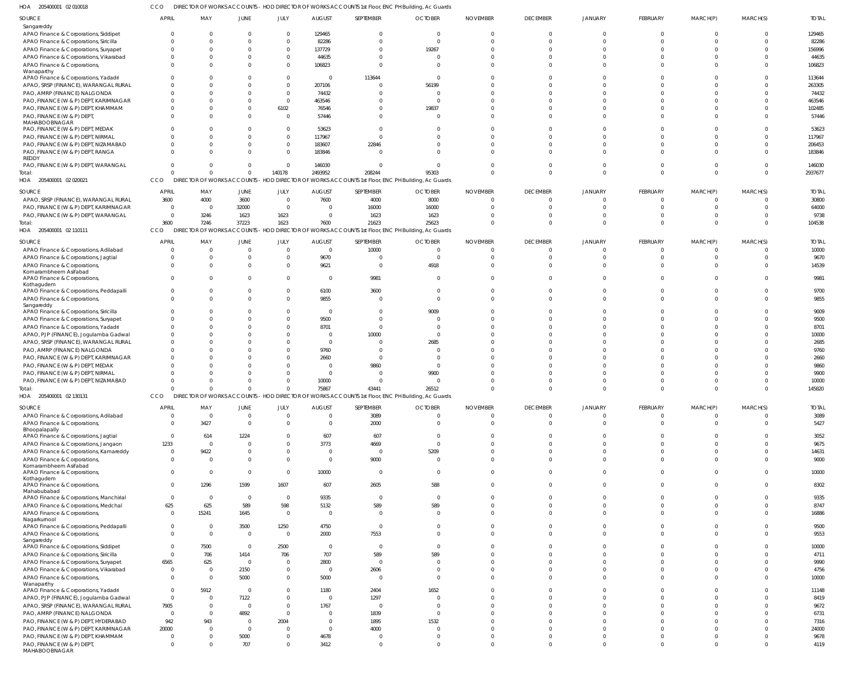205400001 02 010018 HOA CCO DIRECTOR OF WORKS ACCOUNTS - HOD DIRECTOR OF WORKS ACCOUNTS 1st Floor, ENC PH Building, Ac Guards

| SOURCE<br>Sangareddy                                                              | <b>APRIL</b>               | MAY                  | JUNE                 | JULY                       | <b>AUGUST</b>              | SEPTEMBER              | <b>OCTOBER</b>                                                                                        | <b>NOVEMBER</b> | <b>DECEMBER</b>      | <b>JANUARY</b>       | <b>FEBRUARY</b>      | MARCH(P) | MARCH(S)             | <b>TOTAL</b>  |
|-----------------------------------------------------------------------------------|----------------------------|----------------------|----------------------|----------------------------|----------------------------|------------------------|-------------------------------------------------------------------------------------------------------|-----------------|----------------------|----------------------|----------------------|----------|----------------------|---------------|
| APAO Finance & Corporations, Siddipet                                             |                            |                      |                      | $\Omega$                   | 129465                     | $\Omega$               | $\Omega$                                                                                              |                 | $\mathbf{0}$         |                      | $\Omega$             |          |                      | 129465        |
| APAO Finance & Corporations, Siricilla                                            |                            |                      |                      | $\Omega$                   | 82286                      | $\Omega$               | $\Omega$                                                                                              |                 | $\Omega$             |                      |                      |          |                      | 82286         |
| APAO Finance & Corporations, Suryapet                                             |                            |                      |                      | $\Omega$                   | 137729                     | $\Omega$               | 19267                                                                                                 |                 | <sup>0</sup>         |                      |                      |          |                      | 156996        |
| APAO Finance & Corporations, Vikarabad                                            |                            |                      |                      | $\Omega$                   | 44635                      | $\Omega$               | $\Omega$                                                                                              |                 | $\Omega$             |                      |                      |          |                      | 44635         |
| APAO Finance & Corporations,<br>Wanaparthy                                        |                            |                      |                      | $\Omega$                   | 106823                     | $\Omega$               |                                                                                                       |                 |                      |                      |                      |          |                      | 106823        |
| APAO Finance & Corporations, Yadadri                                              |                            |                      |                      | $\Omega$                   | $\Omega$                   | 113644                 |                                                                                                       |                 |                      |                      |                      |          |                      | 113644        |
| APAO, SRSP (FINANCE), WARANGAL RURAL                                              |                            |                      |                      | $\Omega$                   | 207106                     | $\Omega$               | 56199                                                                                                 |                 | <sup>0</sup>         |                      |                      |          |                      | 263305        |
| PAO, AMRP (FINANCE) NALGONDA                                                      |                            |                      |                      | $\Omega$                   | 74432                      | $\Omega$               | - 0                                                                                                   |                 |                      |                      |                      |          |                      | 74432         |
| PAO, FINANCE (W & P) DEPT, KARIMNAGAR                                             |                            |                      |                      | $\Omega$                   | 463546                     | $\Omega$               |                                                                                                       |                 |                      |                      |                      |          |                      | 463546        |
| PAO, FINANCE (W & P) DEPT, KHAMMAM                                                |                            |                      |                      | 6102                       | 76546                      | $\Omega$               | 19837                                                                                                 |                 |                      |                      |                      |          |                      | 102485        |
| PAO, FINANCE (W & P) DEPT,<br><b>MAHABOOBNAGAR</b>                                |                            |                      |                      | $\Omega$                   | 57446                      | $\Omega$               |                                                                                                       |                 |                      |                      |                      |          |                      | 57446         |
| PAO, FINANCE (W & P) DEPT, MEDAK                                                  |                            |                      |                      | $\Omega$                   | 53623                      | $\Omega$               |                                                                                                       |                 |                      |                      |                      |          |                      | 53623         |
| PAO, FINANCE (W & P) DEPT, NIRMAL                                                 |                            |                      |                      | $\Omega$                   | 117967                     | $\Omega$               |                                                                                                       |                 |                      |                      |                      |          |                      | 117967        |
| PAO, FINANCE (W & P) DEPT, NIZAMABAD                                              |                            |                      |                      | $\Omega$                   | 183607                     | 22846                  |                                                                                                       |                 | <sup>0</sup>         |                      |                      |          |                      | 206453        |
| PAO, FINANCE (W & P) DEPT, RANGA                                                  |                            |                      |                      | $\Omega$                   | 183846                     | -C                     |                                                                                                       |                 |                      |                      |                      |          |                      | 183846        |
| REDDY                                                                             |                            |                      |                      |                            |                            |                        |                                                                                                       |                 |                      |                      |                      |          |                      |               |
| PAO, FINANCE (W & P) DEPT, WARANGAL                                               |                            |                      | 0                    | $\Omega$                   | 146030                     | $\Omega$               |                                                                                                       |                 | <sup>0</sup>         |                      |                      |          |                      | 146030        |
| Total:                                                                            |                            |                      | $\Omega$             | 140178                     | 2493952                    | 208244                 | 95303                                                                                                 |                 | $\Omega$             | $\Omega$             | $\Omega$             |          |                      | 2937677       |
| HOA 205400001 02 020021                                                           | CCO                        |                      |                      |                            |                            |                        | DIRECTOR OF WORKS ACCOUNTS - HOD DIRECTOR OF WORKS ACCOUNTS 1st Floor, ENC PH Building, Ac Guards     |                 |                      |                      |                      |          |                      |               |
| SOURCE                                                                            | <b>APRIL</b>               | MAY                  | JUNE                 | JULY                       | <b>AUGUST</b>              | SEPTEMBER              | <b>OCTOBER</b>                                                                                        | <b>NOVEMBER</b> | <b>DECEMBER</b>      | JANUARY              | <b>FEBRUARY</b>      | MARCH(P) | MARCH(S)             | <b>TOTAL</b>  |
| APAO, SRSP (FINANCE), WARANGAL RURAL                                              | 3600                       | 4000                 | 3600                 | $\overline{0}$             | 7600                       | 4000                   | 8000                                                                                                  |                 | $\Omega$             |                      | $\Omega$             |          |                      | 30800         |
| PAO, FINANCE (W & P) DEPT, KARIMNAGAR                                             | - 0                        | $\Omega$             | 32000                | $\Omega$                   | $\Omega$                   | 16000                  | 16000                                                                                                 |                 | $\Omega$             |                      | $\Omega$             |          |                      | 64000         |
| PAO, FINANCE (W & P) DEPT, WARANGAL                                               | $\Omega$                   | 3246                 | 1623                 | 1623                       | $\Omega$                   | 1623                   | 1623                                                                                                  |                 | $\Omega$             |                      | $\Omega$             |          |                      | 9738          |
| Total:                                                                            | 3600                       | 7246                 | 37223                | 1623                       | 7600                       | 21623                  | 25623                                                                                                 |                 | $\Omega$             |                      | $\Omega$             |          |                      | 104538        |
| HOA 205400001 02 110111                                                           | CCO                        |                      |                      |                            |                            |                        | DIRECTOR OF WORKS ACCOUNTS - HOD DIRECTOR OF WORKS ACCOUNTS 1st Floor, ENC PH Building, Ac Guards     |                 |                      |                      |                      |          |                      |               |
| SOURCE                                                                            | <b>APRIL</b>               | MAY                  | JUNE                 | JULY                       | <b>AUGUST</b>              | SEPTEMBER              | <b>OCTOBER</b>                                                                                        | <b>NOVEMBER</b> | <b>DECEMBER</b>      | JANUARY              | FEBRUARY             | MARCH(P) | MARCH(S)             | <b>TOTAL</b>  |
| APAO Finance & Corporations, Adilabad                                             |                            |                      | $\Omega$             | $\Omega$                   | $\Omega$                   | 10000                  | $\Omega$                                                                                              |                 | $\Omega$             |                      | $\Omega$             |          |                      | 10000         |
| APAO Finance & Corporations, Jagtial                                              |                            |                      |                      | $\Omega$                   | 9670                       | $\Omega$               | $\Omega$                                                                                              |                 | $\Omega$             |                      | $\Omega$             |          |                      | 9670          |
| APAO Finance & Corporations,                                                      |                            |                      | <sup>0</sup>         | $\Omega$                   | 9621                       | $\Omega$               | 4918                                                                                                  |                 | $\Omega$             |                      | $\Omega$             |          |                      | 14539         |
| Komarambheem Asifabad                                                             |                            |                      |                      |                            |                            |                        |                                                                                                       |                 |                      |                      |                      |          |                      |               |
| APAO Finance & Corporations,                                                      |                            |                      |                      | $\Omega$                   | $\Omega$                   | 9981                   |                                                                                                       |                 | <sup>0</sup>         |                      |                      |          |                      | 9981          |
| Kothagudem<br>APAO Finance & Corporations, Peddapalli                             |                            |                      | 0                    | $\Omega$                   | 6100                       | 3600                   |                                                                                                       |                 | $\Omega$             |                      | $\Omega$             |          |                      | 9700          |
| APAO Finance & Corporations,                                                      |                            |                      |                      | $\Omega$                   | 9855                       | $\Omega$               |                                                                                                       |                 | $\Omega$             |                      |                      |          |                      | 9855          |
| Sangareddy                                                                        |                            |                      |                      |                            |                            |                        |                                                                                                       |                 |                      |                      |                      |          |                      |               |
| APAO Finance & Corporations, Siricilla                                            |                            |                      |                      | $\Omega$                   | $\Omega$                   | $\Omega$               | 9009                                                                                                  |                 | $\Omega$             |                      |                      |          |                      | 9009          |
| APAO Finance & Corporations, Suryapet                                             |                            |                      |                      | $\Omega$                   | 9500                       | $\Omega$               |                                                                                                       |                 |                      |                      |                      |          |                      | 9500          |
| APAO Finance & Corporations, Yadadri                                              |                            |                      |                      | $\Omega$                   | 8701                       | $\Omega$               |                                                                                                       |                 |                      |                      |                      |          |                      | 8701          |
| APAO, PJP (FINANCE), Jogulamba Gadwal                                             |                            |                      |                      |                            | $\Omega$                   | 10000                  |                                                                                                       |                 |                      |                      |                      |          |                      | 10000         |
| APAO, SRSP (FINANCE), WARANGAL RURAL                                              |                            |                      |                      |                            | $\Omega$                   | $\Omega$               | 2685                                                                                                  |                 |                      |                      |                      |          |                      | 2685          |
| PAO, AMRP (FINANCE) NALGONDA                                                      |                            |                      |                      |                            | 9760                       | $\Omega$               |                                                                                                       |                 |                      |                      |                      |          |                      | 9760          |
| PAO, FINANCE (W & P) DEPT, KARIMNAGAR                                             |                            |                      |                      |                            | 2660                       | $\Omega$               |                                                                                                       |                 |                      |                      |                      |          |                      | 2660          |
| PAO, FINANCE (W & P) DEPT, MEDAK                                                  |                            |                      |                      |                            |                            | 9860                   |                                                                                                       |                 |                      |                      |                      |          |                      | 9860          |
| PAO, FINANCE (W & P) DEPT, NIRMAL                                                 |                            |                      |                      |                            | $\Omega$                   | $\Omega$               | 9900                                                                                                  |                 |                      |                      |                      |          |                      | 9900          |
| PAO, FINANCE (W & P) DEPT, NIZAMABAD                                              |                            |                      |                      |                            | 10000                      | $\Omega$               |                                                                                                       |                 | $\Omega$             |                      |                      |          |                      | 10000         |
| Total:                                                                            |                            | $\Omega$             | $\Omega$             | $\Omega$                   | 75867                      | 43441                  | 26512                                                                                                 |                 | $\Omega$             |                      |                      |          |                      | 145820        |
| HOA 205400001 02 130131                                                           |                            |                      |                      |                            |                            |                        | CCO DIRECTOR OF WORKS ACCOUNTS - HOD DIRECTOR OF WORKS ACCOUNTS 1st Floor, ENC PH Building, Ac Guards |                 |                      |                      |                      |          |                      |               |
| SOURCE                                                                            | <b>APRIL</b>               | MAY                  | <b>JUNE</b>          | JULY                       | AUGUST                     | SEPTEMBER              | <b>OCTOBER</b>                                                                                        | <b>NOVEMBER</b> | <b>DECEMBER</b>      | <b>JANUARY</b>       | <b>FEBRUARY</b>      | MARCH(P) | MARCH(S)             | <b>TOTAL</b>  |
| APAO Finance & Corporations, Adilabad                                             | $\Omega$                   | $\Omega$             | $\Omega$             | $\Omega$                   | $\Omega$                   | 3089                   | $\Omega$                                                                                              | - 0             | $\overline{0}$       | $\Omega$             | $\mathbf{0}$         | $\Omega$ | $\Omega$             | 3089          |
| APAO Finance & Corporations,                                                      | $\Omega$                   | 3427                 | $\Omega$             | $\Omega$                   | $\Omega$                   | 2000                   | - 0                                                                                                   | $\Omega$        | $\overline{0}$       | $\Omega$             | $\mathbf{0}$         | $\Omega$ | $\Omega$             | 5427          |
| Bhoopalapally                                                                     |                            |                      |                      |                            |                            |                        |                                                                                                       |                 |                      |                      |                      |          |                      |               |
| APAO Finance & Corporations, Jagtial                                              | $\overline{0}$<br>1233     | 614                  | 1224                 | $\Omega$<br>$\Omega$       | 607<br>3773                | 607<br>4669            | $\Omega$<br>$\Omega$                                                                                  |                 | $\Omega$<br>$\Omega$ | $\Omega$<br>$\Omega$ | $\Omega$<br>$\Omega$ |          |                      | 3052<br>9675  |
| APAO Finance & Corporations, Jangaon                                              |                            | $\Omega$             | $\Omega$<br>$\Omega$ | $\Omega$                   | $\Omega$                   | $\overline{0}$         |                                                                                                       |                 | $\Omega$             | $\Omega$             | $\Omega$             |          | $\Omega$             |               |
| APAO Finance & Corporations, Kamareddy<br>APAO Finance & Corporations,            | $\overline{0}$<br>$\Omega$ | 9422<br>$\Omega$     | $\Omega$             | $\Omega$                   | $\Omega$                   | 9000                   | 5209<br>- 0                                                                                           |                 | $\Omega$             | $\Omega$             | $\Omega$             | $\Omega$ | $\Omega$             | 14631<br>9000 |
| Komarambheem Asifabad                                                             |                            |                      |                      |                            |                            |                        |                                                                                                       |                 |                      |                      |                      |          |                      |               |
| APAO Finance & Corporations,                                                      | $\Omega$                   | $\Omega$             | $\Omega$             | $\Omega$                   | 10000                      | $\mathbf{0}$           | $\overline{0}$                                                                                        |                 | $\Omega$             | $\Omega$             | $\Omega$             | $\Omega$ | $\Omega$             | 10000         |
| Kothagudem<br>APAO Finance & Corporations,                                        | $\Omega$                   | 1296                 | 1599                 | 1607                       | 607                        | 2605                   | 588                                                                                                   | $\Omega$        | $\overline{0}$       | $\Omega$             | $\Omega$             | $\Omega$ | $\Omega$             | 8302          |
| Mahabubabad                                                                       |                            |                      |                      |                            |                            |                        |                                                                                                       |                 |                      |                      |                      |          |                      |               |
| APAO Finance & Corporations, Manchirial                                           | $\overline{0}$             | $\Omega$             | $\Omega$             | $\overline{0}$             | 9335                       | $\overline{0}$         | $\overline{0}$                                                                                        | $\Omega$        | $\Omega$             | $\Omega$             | $\Omega$             |          | $\Omega$             | 9335          |
| APAO Finance & Corporations, Medchal                                              | 625                        | 625                  | 589                  | 598                        | 5132                       | 589                    | 589                                                                                                   |                 | $\Omega$             | $\Omega$             | $\Omega$             |          | $\Omega$             | 8747          |
| APAO Finance & Corporations,                                                      | $\Omega$                   | 15241                | 1645                 | $\overline{0}$             | $\Omega$                   | $\overline{0}$         | $\Omega$                                                                                              |                 | $\Omega$             | $\Omega$             | $\Omega$             | $\Omega$ | $\Omega$             | 16886         |
| Nagarkurnool                                                                      |                            |                      |                      |                            |                            |                        |                                                                                                       |                 |                      |                      |                      |          |                      |               |
| APAO Finance & Corporations, Peddapalli                                           | $\Omega$                   | $\Omega$             | 3500                 | 1250                       | 4750                       | $\mathbf{0}$           | - 0                                                                                                   |                 | $\Omega$             | $\Omega$             | $\Omega$             |          | $\Omega$             | 9500          |
| APAO Finance & Corporations,<br>Sangareddy                                        | $\Omega$                   | $\Omega$             | $\overline{0}$       | $\overline{0}$             | 2000                       | 7553                   | $\Omega$                                                                                              | $\Omega$        | $\Omega$             | $\Omega$             | $\Omega$             | $\Omega$ | $\Omega$             | 9553          |
| APAO Finance & Corporations, Siddipet                                             | $\Omega$                   | 7500                 | $\Omega$             | 2500                       | $\overline{\mathbf{0}}$    | $\overline{0}$         | - 0                                                                                                   |                 | $\Omega$             | $\Omega$             | $\Omega$             |          |                      | 10000         |
| APAO Finance & Corporations, Siricilla                                            | $\Omega$                   | 706                  | 1414                 | 706                        | 707                        | 589                    | 589                                                                                                   |                 | $\Omega$             | $\Omega$             | $\Omega$             |          | $\Omega$             | 4711          |
| APAO Finance & Corporations, Suryapet                                             | 6565                       | 625                  | $\overline{0}$       | $\overline{0}$             | 2800                       | $\mathbf{0}$           | $\Omega$                                                                                              |                 | $\Omega$             | $\Omega$             | $\Omega$             |          | $\Omega$             | 9990          |
| APAO Finance & Corporations, Vikarabad                                            | $\Omega$                   | $\Omega$             | 2150                 | $\overline{0}$             | $\Omega$                   | 2606                   | $\Omega$                                                                                              |                 | $\Omega$             | $\Omega$             | $\Omega$             |          | $\Omega$             | 4756          |
| APAO Finance & Corporations,                                                      | $\Omega$                   | $\Omega$             | 5000                 | $\mathbf 0$                | 5000                       | $\mathbf{0}$           | $\Omega$                                                                                              |                 | $\Omega$             | $\Omega$             | $\Omega$             | $\Omega$ | $\Omega$             | 10000         |
| Wanaparthy                                                                        |                            |                      |                      |                            |                            |                        |                                                                                                       |                 |                      |                      |                      |          |                      |               |
| APAO Finance & Corporations, Yadadri                                              | $\Omega$                   | 5912                 | $\Omega$             | $\Omega$                   | 1180                       | 2404                   | 1652                                                                                                  |                 | $\Omega$             | $\Omega$             | $\Omega$             |          |                      | 11148         |
| APAO, PJP (FINANCE), Jogulamba Gadwal                                             | $\overline{0}$             | $\Omega$             | 7122                 | $\overline{0}$             | $\Omega$                   | 1297                   | - 0                                                                                                   |                 | $\Omega$             | $\Omega$             | $\Omega$             |          | $\Omega$             | 8419          |
| APAO, SRSP (FINANCE), WARANGAL RURAL                                              | 7905                       | $\Omega$             | $\overline{0}$       | $\overline{0}$             | 1767                       | $\overline{0}$         | - 0                                                                                                   |                 | $\Omega$             | $\Omega$             | $\Omega$             |          | $\Omega$             | 9672          |
| PAO, AMRP (FINANCE) NALGONDA                                                      | $\Omega$                   | $\Omega$             | 4892                 | $\Omega$                   | $\Omega$                   | 1839                   | $\Omega$                                                                                              |                 | $\Omega$             | $\Omega$             | $\Omega$             |          | $\Omega$             | 6731          |
| PAO, FINANCE (W & P) DEPT, HYDERABAD                                              | 942                        | 943                  | $\Omega$             | 2004                       | $\overline{0}$<br>$\Omega$ | 1895                   | 1532<br>$\Omega$                                                                                      |                 | $\Omega$<br>$\Omega$ | $\Omega$<br>$\Omega$ | $\Omega$<br>$\Omega$ |          | $\Omega$             | 7316          |
| PAO, FINANCE (W & P) DEPT, KARIMNAGAR                                             | 20000<br>$\Omega$          | $\Omega$<br>$\Omega$ | $\mathbf 0$<br>5000  | $\Omega$<br>$\overline{0}$ | 4678                       | 4000<br>$\overline{0}$ | - 0                                                                                                   |                 | $\Omega$             | $\Omega$             | $\Omega$             |          | $\Omega$<br>$\Omega$ | 24000<br>9678 |
| PAO, FINANCE (W & P) DEPT, KHAMMAM<br>PAO, FINANCE (W & P) DEPT,<br>MAHABOOBNAGAR | $\Omega$                   | $\Omega$             | 707                  | $\overline{0}$             | 3412                       | $\mathbf{0}$           | $\Omega$                                                                                              | $\cap$          | $\Omega$             | $\overline{0}$       | $\Omega$             | $\Omega$ | $\Omega$             | 4119          |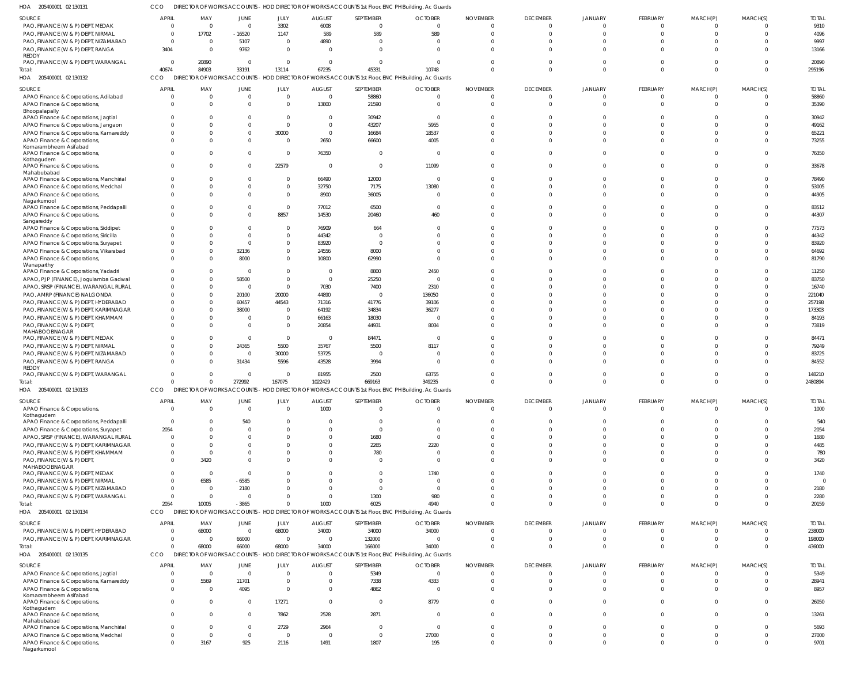CCO DIRECTOR OF WORKS ACCOUNTS - HOD DIRECTOR OF WORKS ACCOUNTS 1st Floor, ENC PH Building, Ac Guards

| HOA<br>205400001 02 130131                             |              |                |                                     |                |                         |                | DIRECTOR OF WORKS ACCOUNTS - HOD DIRECTOR OF WORKS ACCOUNTS 1st Floor, ENC PH Building, Ac Guards          |                 |                 |                |                 |              |                |              |
|--------------------------------------------------------|--------------|----------------|-------------------------------------|----------------|-------------------------|----------------|------------------------------------------------------------------------------------------------------------|-----------------|-----------------|----------------|-----------------|--------------|----------------|--------------|
| SOURCE                                                 | <b>APRIL</b> | MAY            | JUNE                                | JULY           | <b>AUGUST</b>           | SEPTEMBER      | <b>OCTOBER</b>                                                                                             | <b>NOVEMBER</b> | <b>DECEMBER</b> | <b>JANUARY</b> | <b>FEBRUARY</b> | MARCH(P)     | MARCH(S)       | <b>TOTAL</b> |
| PAO, FINANCE (W & P) DEPT, MEDAK                       | $\Omega$     | $\Omega$       | $\mathbf 0$                         | 3302           | 6008                    | $\mathbf 0$    | $\Omega$                                                                                                   | $\cap$          | $\overline{0}$  | $\Omega$       | $\Omega$        | $\Omega$     | $\Omega$       | 9310         |
| PAO, FINANCE (W & P) DEPT, NIRMAL                      | $\Omega$     | 17702          | $-16520$                            | 1147           | 589                     | 589            | 589                                                                                                        |                 | $\overline{0}$  | $\Omega$       | $\Omega$        | $\Omega$     | $\mathbf 0$    | 4096         |
| PAO, FINANCE (W & P) DEPT, NIZAMABAD                   | $\Omega$     | $\overline{0}$ | 5107                                | $\overline{0}$ | 4890                    | $\overline{0}$ | $\Omega$                                                                                                   |                 | $\Omega$        |                |                 |              | $\Omega$       | 9997         |
| PAO, FINANCE (W & P) DEPT, RANGA                       | 3404         | - 0            | 9762                                | $\mathbf{0}$   | $\Omega$                | $\Omega$       | $\cap$                                                                                                     |                 | $\Omega$        | $\Omega$       |                 |              | $\Omega$       | 13166        |
| REDDY                                                  |              |                |                                     |                |                         |                |                                                                                                            |                 |                 |                |                 |              |                |              |
| PAO, FINANCE (W & P) DEPT, WARANGAL                    | $\Omega$     | 20890          | $\mathbf{0}$                        | $\Omega$       | $\Omega$                | $\Omega$       | $\Omega$                                                                                                   |                 | $\Omega$        | $\Omega$       |                 |              | $\Omega$       | 20890        |
| Total:                                                 | 40674        | 84903          | 33191                               | 13114          | 67235                   | 45331          | 10748                                                                                                      |                 | $\Omega$        | $\Omega$       | $\Omega$        | $\Omega$     | $\Omega$       | 295196       |
| 205400001 02 130132<br>HOA                             | CCO          |                |                                     |                |                         |                | DIRECTOR OF WORKS ACCOUNTS - HOD DIRECTOR OF WORKS ACCOUNTS 1st Floor, ENC PH Building, Ac Guards          |                 |                 |                |                 |              |                |              |
| SOURCE                                                 | <b>APRIL</b> | MAY            | JUNE                                | JULY           | <b>AUGUST</b>           | SEPTEMBER      | <b>OCTOBER</b>                                                                                             | <b>NOVEMBER</b> | <b>DECEMBER</b> | <b>JANUARY</b> | <b>FEBRUARY</b> | MARCH(P)     | MARCH(S)       | <b>TOTAL</b> |
| APAO Finance & Corporations, Adilabad                  | $\Omega$     | $\mathbf 0$    | $\mathbf 0$                         | $\mathbf{0}$   | $\overline{0}$          | 58860          | $\Omega$                                                                                                   | - 0             | $\overline{0}$  | $\Omega$       | $\mathbf{0}$    | $\Omega$     | $\overline{0}$ | 58860        |
| APAO Finance & Corporations,                           |              | $\Omega$       | $\Omega$                            | $\mathbf{0}$   | 13800                   | 21590          | - 0                                                                                                        |                 | $\Omega$        | $\Omega$       | $\Omega$        | $\Omega$     | $\overline{0}$ | 35390        |
| Bhoopalapally                                          |              |                |                                     |                |                         |                |                                                                                                            |                 |                 |                |                 |              |                |              |
| APAO Finance & Corporations, Jagtial                   |              | $\Omega$       | <sup>0</sup>                        | $\overline{0}$ | $\Omega$                | 30942          | $\Omega$                                                                                                   |                 | $\Omega$        |                | $\Omega$        |              | $\Omega$       | 30942        |
| APAO Finance & Corporations, Jangaon                   |              | $\Omega$       | $\Omega$                            | $\mathbf{0}$   | $\Omega$                | 43207          | 5955                                                                                                       |                 | $\Omega$        |                |                 |              | $\Omega$       | 49162        |
| APAO Finance & Corporations, Kamareddy                 |              | $\Omega$       | $\Omega$                            | 30000          | $\Omega$                | 16684          | 18537                                                                                                      |                 | $\Omega$        |                | $\Omega$        |              | $\Omega$       | 65221        |
| APAO Finance & Corporations,                           | $\cap$       | $\Omega$       | $\Omega$                            | $\Omega$       | 2650                    | 66600          | 4005                                                                                                       |                 | $\Omega$        |                | $\Omega$        |              | $\Omega$       | 73255        |
| Komarambheem Asifabad                                  |              |                |                                     |                |                         |                |                                                                                                            |                 |                 |                |                 |              |                |              |
| APAO Finance & Corporations                            | $\Omega$     | $\Omega$       | $\Omega$                            | $\overline{0}$ | 76350                   | $\overline{0}$ | $\Omega$                                                                                                   |                 | $\Omega$        |                | $\Omega$        |              | $\Omega$       | 76350        |
| Kothagudem                                             | $\Omega$     | $\Omega$       | $\Omega$                            | 22579          | $\Omega$                | $\overline{0}$ | 11099                                                                                                      |                 | $\Omega$        | $\Omega$       | $\Omega$        |              | $\Omega$       | 33678        |
| APAO Finance & Corporations,<br>Mahabubabad            |              |                |                                     |                |                         |                |                                                                                                            |                 |                 |                |                 |              |                |              |
| APAO Finance & Corporations, Manchirial                | $\cap$       | $\Omega$       | $\Omega$                            | $\overline{0}$ | 66490                   | 12000          | - 0                                                                                                        |                 | $\Omega$        |                | $\Omega$        |              | $\Omega$       | 78490        |
| APAO Finance & Corporations, Medchal                   |              | $\Omega$       | $\Omega$                            | $\mathbf{0}$   | 32750                   | 7175           | 13080                                                                                                      |                 | $\Omega$        | $\Omega$       | $\Omega$        |              | $\Omega$       | 53005        |
| APAO Finance & Corporations,                           | $\Omega$     | $\Omega$       | $\Omega$                            | $\overline{0}$ | 8900                    | 36005          | $\Omega$                                                                                                   |                 | $\Omega$        | $\Omega$       | $\Omega$        |              | $\Omega$       | 44905        |
| Nagarkurnool                                           |              |                |                                     |                |                         |                |                                                                                                            |                 |                 |                |                 |              |                |              |
| APAO Finance & Corporations, Peddapalli                |              | $\Omega$       | $\mathbf{0}$                        | $\overline{0}$ | 77012                   | 6500           | $\Omega$                                                                                                   |                 | $\Omega$        |                | $\Omega$        |              | $\mathbf{0}$   | 83512        |
| APAO Finance & Corporations,                           | $\cap$       | $\Omega$       | $\Omega$                            | 8857           | 14530                   | 20460          | 460                                                                                                        |                 | $\Omega$        | $\Omega$       | $\Omega$        | $\Omega$     | $\Omega$       | 44307        |
| Sangareddy                                             |              |                |                                     |                |                         |                |                                                                                                            |                 |                 |                |                 |              |                |              |
| APAO Finance & Corporations, Siddipet                  |              | $\Omega$       | $\Omega$                            | $\overline{0}$ | 76909                   | 664            |                                                                                                            |                 | $\Omega$        |                |                 |              | $\Omega$       | 77573        |
| APAO Finance & Corporations, Siricilla                 |              | $\Omega$       | $\Omega$                            | $\overline{0}$ | 44342                   | $\overline{0}$ |                                                                                                            |                 | $\Omega$        |                | n               |              | $\Omega$       | 44342        |
| APAO Finance & Corporations, Suryapet                  |              | $\Omega$       | $\Omega$                            | $\overline{0}$ | 83920                   | $\overline{0}$ |                                                                                                            |                 | $\Omega$        |                |                 |              | $\Omega$       | 83920        |
| APAO Finance & Corporations, Vikarabad                 |              | $\Omega$       | 32136                               | $\overline{0}$ | 24556                   | 8000           |                                                                                                            |                 | $\Omega$        |                | $\Omega$        |              | $\Omega$       | 64692        |
| APAO Finance & Corporations,                           |              | $\Omega$       | 8000                                | $\overline{0}$ | 10800                   | 62990          |                                                                                                            |                 | $\Omega$        |                | $\Omega$        |              | $\Omega$       | 81790        |
| Wanaparthy<br>APAO Finance & Corporations, Yadadri     |              | $\Omega$       | $\overline{0}$                      | $\Omega$       | $\Omega$                | 8800           | 2450                                                                                                       |                 | $\Omega$        |                |                 |              | $\Omega$       | 11250        |
| APAO, PJP (FINANCE), Jogulamba Gadwal                  |              | $\Omega$       | 58500                               | $\mathbf{0}$   | $\overline{0}$          | 25250          | $\Omega$                                                                                                   |                 | $\Omega$        |                |                 |              | $\Omega$       | 83750        |
| APAO, SRSP (FINANCE), WARANGAL RURAL                   |              | $\Omega$       | $\overline{0}$                      | $\mathbf{0}$   | 7030                    | 7400           | 2310                                                                                                       |                 | $\Omega$        |                | $\Omega$        |              | $\Omega$       | 16740        |
| PAO, AMRP (FINANCE) NALGONDA                           |              | $\Omega$       | 20100                               | 20000          | 44890                   | $\overline{0}$ | 136050                                                                                                     |                 | $\Omega$        |                |                 |              | $\Omega$       | 221040       |
| PAO, FINANCE (W & P) DEPT, HYDERABAD                   |              | $\Omega$       | 60457                               | 44543          | 71316                   | 41776          | 39106                                                                                                      |                 | $\Omega$        |                |                 |              | $\Omega$       | 257198       |
|                                                        |              | $\Omega$       | 38000                               | $\overline{0}$ | 64192                   | 34834          | 36277                                                                                                      |                 | $\Omega$        |                | $\Omega$        |              | $\Omega$       | 173303       |
| PAO, FINANCE (W & P) DEPT, KARIMNAGAR                  |              | $\Omega$       | $\mathbf{0}$                        | $\overline{0}$ | 66163                   | 18030          | - 0                                                                                                        |                 | $\Omega$        |                | $\Omega$        |              | $\Omega$       | 84193        |
| PAO, FINANCE (W & P) DEPT, KHAMMAM                     |              | $\Omega$       | $\Omega$                            | $\overline{0}$ |                         | 44931          | 8034                                                                                                       |                 | $\Omega$        |                | $\Omega$        |              | $\Omega$       | 73819        |
| PAO, FINANCE (W & P) DEPT,<br>MAHABOOBNAGAR            |              |                |                                     |                | 20854                   |                |                                                                                                            |                 |                 |                |                 |              |                |              |
| PAO, FINANCE (W & P) DEPT, MEDAK                       |              | $\Omega$       | $\mathbf{0}$                        | $\mathbf{0}$   | $\overline{\mathbf{0}}$ | 84471          | $\Omega$                                                                                                   |                 | $\Omega$        |                | $\Omega$        |              | $\Omega$       | 84471        |
| PAO, FINANCE (W & P) DEPT, NIRMAL                      |              | $\Omega$       | 24365                               | 5500           | 35767                   | 5500           | 8117                                                                                                       |                 | $\Omega$        |                |                 |              | $\Omega$       | 79249        |
| PAO, FINANCE (W & P) DEPT, NIZAMABAD                   |              | $\Omega$       | $\mathbf{0}$                        | 30000          | 53725                   | $\overline{0}$ | - 0                                                                                                        |                 | $\Omega$        | $\Omega$       | $\Omega$        |              | $\Omega$       | 83725        |
| PAO, FINANCE (W & P) DEPT, RANGA                       | $\Omega$     | $\Omega$       | 31434                               | 5596           | 43528                   | 3994           | $\Omega$                                                                                                   |                 | $\Omega$        |                | $\Omega$        |              | $\Omega$       | 84552        |
| REDDY                                                  |              |                |                                     |                |                         |                |                                                                                                            |                 |                 |                |                 |              |                |              |
| PAO, FINANCE (W & P) DEPT, WARANGAL                    |              |                | $\mathbf{0}$                        | $\overline{0}$ | 81955                   | 2500           | 63755                                                                                                      |                 | $\Omega$        |                | $\Omega$        |              | $\Omega$       | 148210       |
| Total:                                                 | $\Omega$     | $\mathbf 0$    | 272992                              | 167075         | 1022429                 | 669163         | 349235                                                                                                     |                 | $\Omega$        | $\Omega$       | $\Omega$        | $\Omega$     | $\Omega$       | 2480894      |
| HOA 205400001 02 130133                                | CCO          |                | <b>DIRECTOR OF WORKS ACCOUNTS -</b> |                |                         |                | HOD DIRECTOR OF WORKS ACCOUNTS 1st Floor, ENC PH Building, Ac Guards                                       |                 |                 |                |                 |              |                |              |
| SOURCE                                                 | <b>APRIL</b> | MAY            | <b>JUNE</b>                         | JULY           | <b>AUGUST</b>           | SEPTEMBER      | <b>OCTOBER</b>                                                                                             | <b>NOVEMBER</b> | <b>DECEMBER</b> | <b>JANUARY</b> | <b>FEBRUARY</b> | MARCH(P)     | MARCH(S)       | <b>TOTAL</b> |
| APAO Finance & Corporations,                           | $\Omega$     | $\Omega$       | $\Omega$                            | $\overline{0}$ | 1000                    | $\Omega$       | $\Omega$                                                                                                   | $\Omega$        | $\overline{0}$  | $\Omega$       | $\Omega$        | $\Omega$     | $\Omega$       | 1000         |
| Kothagudem                                             |              |                |                                     |                |                         |                |                                                                                                            |                 |                 |                |                 |              |                |              |
| APAO Finance & Corporations, Peddapalli                | $\Omega$     | $\Omega$       | 540                                 | $\Omega$       |                         | $\overline{0}$ | $\Omega$                                                                                                   |                 | $\Omega$        |                |                 |              | $\Omega$       | 540          |
| APAO Finance & Corporations, Suryapet                  | 2054         | $\Omega$       | $\Omega$                            | $\Omega$       |                         | $\Omega$       | $\Omega$                                                                                                   |                 | $\Omega$        | $\Omega$       |                 |              | $\Omega$       | 2054         |
| APAO, SRSP (FINANCE), WARANGAL RURAL                   | $\Omega$     | $\Omega$       | $\Omega$                            | $\Omega$       |                         | 1680           | $\Omega$                                                                                                   |                 | $\Omega$        | $\Omega$       |                 |              | $\Omega$       | 1680         |
| PAO, FINANCE (W & P) DEPT, KARIMNAGAR                  | $\Omega$     | $\Omega$       | n                                   | $\Omega$       |                         | 2265           | 2220                                                                                                       |                 | $\Omega$        | $\Omega$       |                 |              | $\Omega$       | 4485         |
| PAO, FINANCE (W & P) DEPT, KHAMMAM                     | $\Omega$     | $\Omega$       | $\Omega$                            | $\Omega$       |                         | 780            | $\Omega$                                                                                                   |                 | $\Omega$        | $\Omega$       |                 |              | $\Omega$       | 780          |
| PAO, FINANCE (W & P) DEPT,                             | $\Omega$     | 3420           | $\Omega$                            | $\Omega$       |                         | $\Omega$       | $\Omega$                                                                                                   |                 | $\Omega$        | $\Omega$       | $\Omega$        |              | $\Omega$       | 3420         |
| MAHABOOBNAGAR                                          |              |                |                                     |                |                         |                |                                                                                                            |                 |                 |                |                 |              |                |              |
| PAO, FINANCE (W & P) DEPT, MEDAK                       |              | $\Omega$       | $\Omega$                            | $\Omega$       |                         | $\Omega$       | 1740                                                                                                       |                 | $\Omega$        | $\Omega$       |                 |              | $\Omega$       | 1740         |
| PAO, FINANCE (W & P) DEPT, NIRMAL                      |              | 6585           | $-6585$                             | $\Omega$       |                         | $\Omega$       | $\Omega$                                                                                                   |                 | $\Omega$        | $\Omega$       |                 |              | $\Omega$       |              |
| PAO, FINANCE (W & P) DEPT, NIZAMABAD                   | $\Omega$     | $\Omega$       | 2180                                | $\Omega$       |                         | $\Omega$       | $\Omega$                                                                                                   |                 | $\Omega$        | $\Omega$       |                 |              | $\Omega$       | 2180         |
| PAO, FINANCE (W & P) DEPT, WARANGAL                    | $\Omega$     | $\Omega$       | $\Omega$                            | $\Omega$       |                         | 1300           | 980                                                                                                        |                 | $\Omega$        | $\Omega$       | $\Omega$        |              | $\Omega$       | 2280         |
| Total:                                                 | 2054         | 10005          | $-3865$                             | $\Omega$       | 1000                    | 6025           | 4940                                                                                                       |                 | $\Omega$        | $\Omega$       | $\Omega$        |              | $\Omega$       | 20159        |
| HOA 205400001 02 130134                                | CCO          |                |                                     |                |                         |                | DIRECTOR OF WORKS ACCOUNTS - HOD DIRECTOR OF WORKS ACCOUNTS 1st Floor, ENC PH Building, Ac Guards          |                 |                 |                |                 |              |                |              |
| SOURCE                                                 | <b>APRIL</b> | MAY            | JUNE                                | JULY           | <b>AUGUST</b>           | SEPTEMBER      | <b>OCTOBER</b>                                                                                             | <b>NOVEMBER</b> | <b>DECEMBER</b> | <b>JANUARY</b> | <b>FEBRUARY</b> | MARCH(P)     | MARCH(S)       | <b>TOTAL</b> |
| PAO, FINANCE (W & P) DEPT, HYDERABAD                   | $\Omega$     | 68000          | $\mathbf 0$                         | 68000          | 34000                   | 34000          | 34000                                                                                                      | - 0             | $\overline{0}$  | $\Omega$       | $\mathbf{0}$    | $\Omega$     | $\mathbf 0$    | 238000       |
| PAO, FINANCE (W & P) DEPT, KARIMNAGAR                  | $\Omega$     | - 0            | 66000                               | $\overline{0}$ | $\Omega$                | 132000         | - 0                                                                                                        | - 0             | $\overline{0}$  | $\Omega$       | $\mathbf 0$     | $\Omega$     | $\overline{0}$ | 198000       |
|                                                        | $\Omega$     |                |                                     |                |                         |                |                                                                                                            |                 | $\Omega$        | $\Omega$       | $\Omega$        | $\Omega$     | $\Omega$       |              |
| Total:<br>HOA 205400001 02 130135                      | CCO          | 68000          | 66000                               | 68000          | 34000                   | 166000         | 34000<br>DIRECTOR OF WORKS ACCOUNTS - HOD DIRECTOR OF WORKS ACCOUNTS 1st Floor, ENC PH Building, Ac Guards |                 |                 |                |                 |              |                | 436000       |
|                                                        |              |                |                                     |                |                         |                |                                                                                                            |                 |                 |                |                 |              |                |              |
| SOURCE                                                 | <b>APRIL</b> | MAY            | JUNE                                | JULY           | <b>AUGUST</b>           | SEPTEMBER      | <b>OCTOBER</b>                                                                                             | <b>NOVEMBER</b> | <b>DECEMBER</b> | <b>JANUARY</b> | <b>FEBRUARY</b> | MARCH(P)     | MARCH(S)       | <b>TOTAL</b> |
| APAO Finance & Corporations, Jagtial                   | $\Omega$     | - 0            | $\Omega$                            | $\Omega$       | $\Omega$                | 5349           | $\Omega$                                                                                                   |                 | $\Omega$        | $\Omega$       | $\Omega$        | $\Omega$     | $\Omega$       | 5349         |
|                                                        |              |                | 11701                               | $\Omega$       | $\Omega$                | 7338           | 4333                                                                                                       |                 | $\Omega$        | $\Omega$       | $\Omega$        |              | $\Omega$       | 28941        |
| APAO Finance & Corporations, Kamareddy                 | $\Omega$     | 5569           |                                     |                |                         |                | $\Omega$                                                                                                   |                 | $\Omega$        | $\Omega$       | $\Omega$        |              | $\Omega$       | 8957         |
| APAO Finance & Corporations,                           | $\Omega$     | $\Omega$       | 4095                                | $\Omega$       | $\Omega$                | 4862           |                                                                                                            |                 |                 |                |                 |              |                |              |
| Komarambheem Asifabad                                  |              |                |                                     |                |                         |                |                                                                                                            |                 |                 |                |                 |              |                |              |
| APAO Finance & Corporations                            | $\Omega$     | $\Omega$       | $\Omega$                            | 17271          | $\Omega$                | $\mathbf{0}$   | 8779                                                                                                       |                 | $\Omega$        | $\Omega$       | $\Omega$        |              | $\Omega$       | 26050        |
| Kothagudem                                             |              |                |                                     |                |                         |                |                                                                                                            |                 |                 |                |                 |              |                |              |
| APAO Finance & Corporations,                           | $\Omega$     | $\Omega$       | $\Omega$                            | 7862           | 2528                    | 2871           | $\Omega$                                                                                                   |                 | $\Omega$        | $\Omega$       | $\Omega$        | $\Omega$     | $\Omega$       | 13261        |
| Mahabubabad<br>APAO Finance & Corporations, Manchirial | $\Omega$     | $\Omega$       | $\Omega$                            | 2729           | 2964                    | $\overline{0}$ | $\Omega$                                                                                                   |                 | $\Omega$        | $\Omega$       | $\Omega$        |              | $\Omega$       | 5693         |
| APAO Finance & Corporations, Medchal                   | $\Omega$     | $\Omega$       | $\Omega$                            | $\Omega$       | $\Omega$                | $\mathbf{0}$   | 27000                                                                                                      |                 | $\Omega$        | $\Omega$       | $\Omega$        | <sup>0</sup> | $\Omega$       | 27000        |
| APAO Finance & Corporations,                           | $\Omega$     | 3167           | 925                                 | 2116           | 1491                    | 1807           | 195                                                                                                        |                 | $\Omega$        | $\Omega$       | $\Omega$        | $\Omega$     | $\Omega$       | 9701         |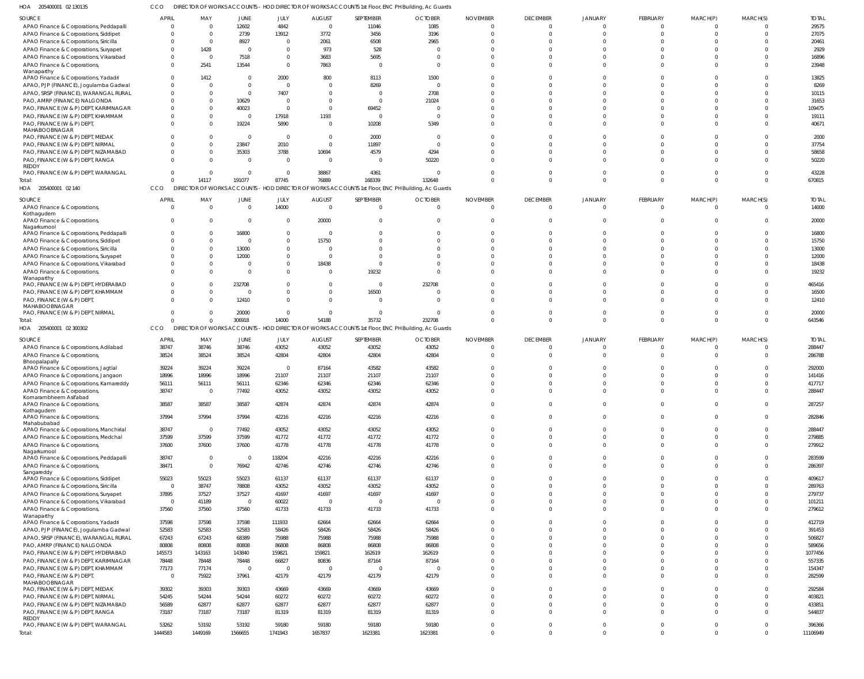| HOA<br>205400001 02 130135                                                    |                  |                                   |                         |                  |                                  | DIRECTOR OF WORKS ACCOUNTS - HOD DIRECTOR OF WORKS ACCOUNTS 1st Floor, ENC PH Building, Ac Guards |                         |                            |                         |                            |                      |                         |                      |                    |
|-------------------------------------------------------------------------------|------------------|-----------------------------------|-------------------------|------------------|----------------------------------|---------------------------------------------------------------------------------------------------|-------------------------|----------------------------|-------------------------|----------------------------|----------------------|-------------------------|----------------------|--------------------|
| <b>SOURCE</b>                                                                 | <b>APRIL</b>     | MAY                               | <b>JUNE</b>             | JULY             | <b>AUGUST</b>                    | SEPTEMBER                                                                                         | <b>OCTOBER</b>          | <b>NOVEMBER</b>            | <b>DECEMBER</b>         | JANUARY                    | FEBRUARY             | MARCH(P)                | MARCH(S)             | <b>TOTAL</b>       |
| APAO Finance & Corporations, Peddapalli                                       | $\Omega$         | $\overline{0}$                    | 12602                   | 4842             | $\overline{0}$                   | 11046                                                                                             | 1085                    | $\Omega$                   | $\Omega$                | $\Omega$                   | $\Omega$             | $\Omega$                |                      | 29575              |
| APAO Finance & Corporations, Siddipet                                         | $\Omega$         | $\overline{0}$                    | 2739                    | 13912            | 3772                             | 3456                                                                                              | 3196                    | $\Omega$                   | $\Omega$                | $\Omega$                   |                      | $\Omega$                |                      | 27075              |
| APAO Finance & Corporations, Siricilla                                        | $\Omega$         | $\overline{0}$                    | 8927                    | $\Omega$         | 2061                             | 6508                                                                                              | 2965                    |                            | $\Omega$                | $\cap$                     |                      |                         |                      | 20461              |
| APAO Finance & Corporations, Suryapet                                         | $\Omega$         | 1428                              | 0                       | $\Omega$         | 973                              | 528                                                                                               |                         |                            | $\Omega$                | $\cap$                     |                      |                         |                      | 2929               |
| APAO Finance & Corporations, Vikarabad                                        | $\overline{0}$   | $\overline{0}$                    | 7518                    |                  | 3683                             | 5695                                                                                              | $\Omega$                |                            | $\Omega$                | $\Omega$                   |                      |                         |                      | 16896              |
| APAO Finance & Corporations,                                                  | $\Omega$         | 2541                              | 13544                   | $\Omega$         | 7863                             | $\Omega$                                                                                          |                         |                            | $\Omega$                | $\cap$                     |                      |                         |                      | 23948              |
| Wanaparthy                                                                    | $\Omega$         |                                   |                         |                  |                                  |                                                                                                   |                         |                            | $\Omega$                |                            |                      |                         |                      |                    |
| APAO Finance & Corporations, Yadadri                                          | $\Omega$         | 1412<br>$\Omega$                  | 0<br>$\Omega$           | 2000<br>- 0      | 800<br>$\overline{0}$            | 8113                                                                                              | 1500<br>$\Omega$        |                            | $\Omega$                | $\cap$                     |                      |                         |                      | 13825              |
| APAO, PJP (FINANCE), Jogulamba Gadwal<br>APAO, SRSP (FINANCE), WARANGAL RURAL | $\Omega$         |                                   |                         |                  |                                  | 8269                                                                                              |                         |                            | $\Omega$                | $\cap$                     |                      |                         |                      | 8269               |
|                                                                               | $\Omega$         | $\overline{0}$<br>$\Omega$        | $\overline{0}$          | 7407<br>- 0      | $\overline{0}$<br>$\overline{0}$ | - 0                                                                                               | 2708                    |                            | $\Omega$                | $\cap$                     |                      |                         |                      | 10115              |
| PAO, AMRP (FINANCE) NALGONDA                                                  | $\Omega$         | $\Omega$                          | 10629                   | $\Omega$         | $\overline{0}$                   |                                                                                                   | 21024<br>$\overline{0}$ |                            | $\Omega$                |                            |                      |                         |                      | 31653              |
| PAO, FINANCE (W & P) DEPT, KARIMNAGAR<br>PAO, FINANCE (W & P) DEPT, KHAMMAM   | $\Omega$         | $\Omega$                          | 40023<br>$\overline{0}$ | 17918            |                                  | 69452<br>- 0                                                                                      | $\Omega$                |                            | $\Omega$                | $\cap$                     |                      |                         |                      | 109475             |
| PAO, FINANCE (W & P) DEPT,                                                    | $\Omega$         | $\Omega$                          | 19224                   | 5890             | 1193<br>$\overline{\mathbf{0}}$  | 10208                                                                                             | 5349                    | $\cap$                     | $\Omega$                | $\Omega$                   |                      |                         |                      | 19111<br>40671     |
| MAHABOOBNAGAR                                                                 |                  |                                   |                         |                  |                                  |                                                                                                   |                         |                            |                         |                            |                      |                         |                      |                    |
| PAO, FINANCE (W & P) DEPT, MEDAK                                              | $\Omega$         | $\Omega$                          | $\overline{0}$          | $\Omega$         | $\overline{\mathbf{0}}$          | 2000                                                                                              | $\Omega$                |                            | $\Omega$                |                            |                      |                         |                      | 2000               |
| PAO, FINANCE (W & P) DEPT, NIRMAL                                             |                  | $\Omega$                          | 23847                   | 2010             | $\overline{0}$                   | 11897                                                                                             | $\Omega$                |                            | $\Omega$                | $\Omega$                   |                      |                         |                      | 37754              |
| PAO, FINANCE (W & P) DEPT, NIZAMABAD                                          | $\Omega$         | $\Omega$                          | 35303                   | 3788             | 10694                            | 4579                                                                                              | 4294                    |                            | $\Omega$                | $\Omega$                   |                      |                         |                      | 58658              |
| PAO, FINANCE (W & P) DEPT, RANGA                                              | $\Omega$         | $\Omega$                          | $\overline{0}$          | $\Omega$         | $\overline{\mathbf{0}}$          | - 0                                                                                               | 50220                   |                            | $\Omega$                | $\cap$                     |                      |                         |                      | 50220              |
| REDDY                                                                         |                  |                                   |                         |                  |                                  |                                                                                                   |                         |                            |                         |                            |                      |                         |                      |                    |
| PAO, FINANCE (W & P) DEPT, WARANGAL                                           | $\Omega$         | - 0                               | $\overline{0}$          | $\Omega$         | 38867                            | 4361                                                                                              | $\Omega$                | $\Omega$                   | $\Omega$                | $\Omega$                   |                      | -0                      |                      | 43228              |
| Total:                                                                        | $\Omega$         | 14117                             | 191077                  | 87745            | 76889                            | 168339                                                                                            | 132648                  |                            | $\Omega$                | $\Omega$                   |                      |                         |                      | 670815             |
| HOA 205400001 02 140                                                          | CCO              |                                   |                         |                  |                                  | DIRECTOR OF WORKS ACCOUNTS - HOD DIRECTOR OF WORKS ACCOUNTS 1st Floor, ENC PH Building, Ac Guards |                         |                            |                         |                            |                      |                         |                      |                    |
| <b>SOURCE</b>                                                                 | <b>APRIL</b>     | MAY                               | JUNE                    | JULY             | <b>AUGUST</b>                    | SEPTEMBER                                                                                         | <b>OCTOBER</b>          | <b>NOVEMBER</b>            | <b>DECEMBER</b>         | <b>JANUARY</b>             | <b>FEBRUARY</b>      | MARCH(P)                | MARCH(S)             | <b>TOTAL</b>       |
| APAO Finance & Corporations,                                                  | $\overline{0}$   | $\overline{0}$                    | $\overline{0}$          | 14000            | $\overline{\mathbf{0}}$          | $\Omega$                                                                                          | $\Omega$                | $\Omega$                   | $\overline{0}$          | $\mathbf 0$                | $\Omega$             | $\Omega$                |                      | 14000              |
| Kothagudem                                                                    |                  |                                   |                         |                  |                                  |                                                                                                   |                         |                            |                         |                            |                      |                         |                      |                    |
| APAO Finance & Corporations,                                                  | $\Omega$         | 0                                 | $\overline{0}$          | - 0              | 20000                            |                                                                                                   |                         | $\Omega$                   | $\mathbf 0$             | $\Omega$                   |                      |                         |                      | 20000              |
| Nagarkurnool<br>APAO Finance & Corporations, Peddapalli                       | $\Omega$         | $\Omega$                          | 16800                   | $\Omega$         | $\overline{\mathbf{0}}$          |                                                                                                   |                         | $\Omega$                   | $\Omega$                | $\Omega$                   |                      |                         |                      | 16800              |
| APAO Finance & Corporations, Siddipet                                         | $\Omega$         | $\Omega$                          | $\overline{0}$          |                  | 15750                            |                                                                                                   |                         | $\Omega$                   | $\Omega$                | $\Omega$                   |                      |                         |                      | 15750              |
| APAO Finance & Corporations, Siricilla                                        | $\Omega$         | $\Omega$                          | 13000                   |                  | $\overline{\mathbf{0}}$          |                                                                                                   |                         |                            | $\Omega$                |                            |                      |                         |                      | 13000              |
| APAO Finance & Corporations, Suryapet                                         | $\Omega$         | $\Omega$                          | 12000                   |                  | $\overline{0}$                   |                                                                                                   |                         |                            | $\Omega$                | $\Omega$                   |                      |                         |                      | 12000              |
| APAO Finance & Corporations, Vikarabad                                        | $\Omega$         | $\Omega$                          | 0                       | $\Omega$         | 18438                            |                                                                                                   |                         |                            | $\Omega$                | $\Omega$                   |                      |                         |                      | 18438              |
| APAO Finance & Corporations,                                                  | $\Omega$         | $\Omega$                          | 0                       |                  | $\overline{0}$                   | 19232                                                                                             |                         |                            | $\Omega$                | $\Omega$                   |                      |                         |                      | 19232              |
| Wanaparthy                                                                    |                  |                                   |                         |                  |                                  |                                                                                                   |                         |                            |                         |                            |                      |                         |                      |                    |
| PAO, FINANCE (W & P) DEPT, HYDERABAD                                          | $\Omega$         | - 0                               | 232708                  |                  | $\overline{0}$                   | - 0                                                                                               | 232708                  | $\Omega$                   | $\Omega$                | $\Omega$                   |                      |                         |                      | 465416             |
| PAO, FINANCE (W & P) DEPT, KHAMMAM                                            | $\Omega$         | $\Omega$                          | $\overline{0}$          |                  | $\overline{0}$                   | 16500                                                                                             | $\Omega$                | $\Omega$                   | $\mathbf{0}$            | $\Omega$                   |                      |                         |                      | 16500              |
| PAO, FINANCE (W & P) DEPT,                                                    | $\Omega$         | $\Omega$                          | 12410                   |                  | $\Omega$                         | - 0                                                                                               | $\Omega$                | $\Omega$                   | $\Omega$                | $\Omega$                   |                      |                         |                      | 12410              |
| MAHABOOBNAGAR                                                                 |                  |                                   |                         |                  |                                  |                                                                                                   |                         |                            |                         |                            |                      |                         |                      |                    |
| PAO, FINANCE (W & P) DEPT, NIRMAL                                             | $\Omega$         | $\Omega$                          | 20000                   |                  | $\Omega$                         |                                                                                                   |                         | $\Omega$                   | $\Omega$                | $\Omega$                   |                      |                         |                      | 20000              |
| Total:                                                                        | $\Omega$         | $\Omega$                          | 306918                  | 14000            | 54188                            | 35732                                                                                             | 232708                  | $\Omega$                   | $\Omega$                | $\Omega$                   |                      |                         |                      | 643546             |
| HOA 205400001 02 300302                                                       | CCO              | <b>DIRECTOR OF WORKS ACCOUNTS</b> |                         |                  |                                  | - HOD DIRECTOR OF WORKS ACCOUNTS 1st Floor, ENC PH Building, Ac Guards                            |                         |                            |                         |                            |                      |                         |                      |                    |
| SOURCE                                                                        | <b>APRIL</b>     | MAY                               | JUNE                    | JULY             | <b>AUGUST</b>                    | SEPTEMBER                                                                                         | <b>OCTOBER</b>          | <b>NOVEMBER</b>            | <b>DECEMBER</b>         | <b>JANUARY</b>             | FEBRUARY             | MARCH(P)                | MARCH(S)             | <b>TOTAL</b>       |
|                                                                               |                  |                                   |                         |                  |                                  |                                                                                                   |                         |                            |                         |                            |                      |                         |                      | 288447             |
| APAO Finance & Corporations, Adilabad                                         | 38747            | 38746                             | 38746                   | 43052            | 43052                            | 43052                                                                                             | 43052                   | $\Omega$                   | $\Omega$                | n                          |                      |                         |                      |                    |
| APAO Finance & Corporations,                                                  | 38524            | 38524                             | 38524                   | 42804            | 42804                            | 42804                                                                                             | 42804                   |                            | $\Omega$                | $\Omega$                   |                      |                         |                      | 286788             |
| Bhoopalapally                                                                 |                  |                                   |                         |                  |                                  |                                                                                                   |                         |                            |                         |                            |                      |                         |                      |                    |
| APAO Finance & Corporations, Jagtial                                          | 39224            | 39224                             | 39224                   | - 0              | 87164                            | 43582                                                                                             | 43582                   |                            | $\Omega$                | $\Omega$                   |                      |                         |                      | 292000             |
| APAO Finance & Corporations, Jangaon                                          | 18996            | 18996                             | 18996                   | 21107            | 21107                            | 21107                                                                                             | 21107                   |                            | $\Omega$                |                            |                      |                         |                      | 141416             |
| APAO Finance & Corporations, Kamareddy                                        | 56111            | 56111                             | 56111                   | 62346            | 62346                            | 62346                                                                                             | 62346                   |                            | $\Omega$                |                            |                      |                         |                      | 417717             |
| APAO Finance & Corporations                                                   | 38747            |                                   | 77492                   | 43052            | 43052                            | 43052                                                                                             | 43052                   |                            |                         |                            |                      |                         |                      | 288447             |
| Komarambheem Asifabad                                                         |                  |                                   |                         |                  |                                  |                                                                                                   |                         | $\Omega$                   | $\Omega$                | $\Omega$                   | $\Omega$             | $\Omega$                | $\Omega$             |                    |
| APAO Finance & Corporations,<br>Kothagudem                                    | 38587            | 38587                             | 38587                   | 42874            | 42874                            | 42874                                                                                             | 42874                   |                            |                         |                            |                      |                         |                      | 287257             |
| APAO Finance & Corporations,                                                  | 37994            | 37994                             | 37994                   | 42216            | 42216                            | 42216                                                                                             | 42216                   | $\overline{0}$             | $\mathbf 0$             | $\mathbf 0$                | $\Omega$             | $\Omega$                | $\Omega$             | 282846             |
| Mahabubabad                                                                   |                  |                                   |                         |                  |                                  |                                                                                                   |                         |                            |                         |                            |                      |                         |                      |                    |
| APAO Finance & Corporations, Manchirial                                       | 38747            | $\overline{0}$                    | 77492                   | 43052            | 43052                            | 43052                                                                                             | 43052                   | $\mathbf 0$                | $\Omega$                | $\overline{0}$             | $\Omega$             | $\Omega$                | $\Omega$             | 288447             |
| APAO Finance & Corporations, Medchal                                          | 37599            | 37599                             | 37599                   | 41772            | 41772                            | 41772                                                                                             | 41772                   | $\mathbf 0$                | $\Omega$                | $\overline{0}$             |                      | $\Omega$                | $\Omega$             | 279885             |
| APAO Finance & Corporations,                                                  | 37600            | 37600                             | 37600                   | 41778            | 41778                            | 41778                                                                                             | 41778                   | $\Omega$                   | $\Omega$                | $\Omega$                   |                      | $\Omega$                |                      | 279912             |
| Nagarkurnool<br>APAO Finance & Corporations, Peddapalli                       | 38747            | $\overline{0}$                    | $\overline{0}$          | 118204           | 42216                            | 42216                                                                                             | 42216                   | $\mathbf 0$                | $\mathbf{0}$            | $\overline{0}$             |                      | $\Omega$                |                      | 283599             |
| APAO Finance & Corporations,                                                  | 38471            | $\overline{0}$                    | 76942                   | 42746            | 42746                            | 42746                                                                                             | 42746                   | $\Omega$                   | $\Omega$                | $\Omega$                   | $\Omega$             | $\Omega$                | $\Omega$             | 286397             |
| Sangareddy                                                                    |                  |                                   |                         |                  |                                  |                                                                                                   |                         |                            |                         |                            |                      |                         |                      |                    |
| APAO Finance & Corporations, Siddipet                                         | 55023            | 55023                             | 55023                   | 61137            | 61137                            | 61137                                                                                             | 61137                   | $\Omega$                   | $\Omega$                | $\Omega$                   |                      | $\cup$                  |                      | 409617             |
| APAO Finance & Corporations, Siricilla                                        | $\overline{0}$   | 38747                             | 78808                   | 43052            | 43052                            | 43052                                                                                             | 43052                   | $\Omega$                   | $\Omega$                | $\Omega$                   |                      | $\Omega$                | $\Omega$             | 289763             |
| APAO Finance & Corporations, Suryapet                                         | 37895            | 37527                             | 37527                   | 41697            | 41697                            | 41697                                                                                             | 41697                   | $\Omega$                   | $\Omega$                | $\Omega$                   |                      | $\Omega$                |                      | 279737             |
| APAO Finance & Corporations, Vikarabad                                        | $\overline{0}$   | 41189                             | $\overline{0}$          | 60022            | $\overline{\phantom{0}}$         | $\Omega$                                                                                          | $\mathbf 0$             | $\Omega$                   | $\Omega$                | $\Omega$                   |                      | $\Omega$                |                      | 101211             |
| APAO Finance & Corporations,                                                  | 37560            | 37560                             | 37560                   | 41733            | 41733                            | 41733                                                                                             | 41733                   | $\Omega$                   | $\Omega$                | $\Omega$                   |                      | $\Omega$                | $\Omega$             | 279612             |
| Wanaparthy                                                                    |                  |                                   |                         |                  |                                  |                                                                                                   |                         | $\Omega$                   | $\Omega$                | $\Omega$                   |                      | $\Omega$                |                      |                    |
| APAO Finance & Corporations, Yadadri                                          | 37598            | 37598                             | 37598                   | 111933           | 62664                            | 62664                                                                                             | 62664                   | $\Omega$                   | $\Omega$                | $\Omega$                   |                      | $\Omega$                |                      | 412719             |
| APAO, PJP (FINANCE), Jogulamba Gadwal                                         | 52583            | 52583                             | 52583                   | 58426            | 58426                            | 58426                                                                                             | 58426                   | $\Omega$                   | $\Omega$                | $\Omega$                   |                      | $\Omega$                |                      | 391453             |
| APAO, SRSP (FINANCE), WARANGAL RURAL                                          | 67243            | 67243                             | 68389                   | 75988            | 75988                            | 75988                                                                                             | 75988                   | $\Omega$                   | $\Omega$                | $\Omega$                   |                      | $\Omega$                |                      | 506827             |
| PAO, AMRP (FINANCE) NALGONDA                                                  | 80808            | 80808                             | 80808                   | 86808            | 86808                            | 86808                                                                                             | 86808                   | $\Omega$                   | $\Omega$                | $\Omega$                   |                      | $\Omega$                |                      | 589656             |
| PAO, FINANCE (W & P) DEPT, HYDERABAD                                          | 145573           | 143163                            | 143840                  | 159821           | 159821                           | 162619                                                                                            | 162619                  | $\Omega$                   | $\Omega$                | $\Omega$                   |                      | $\Omega$                |                      | 1077456            |
| PAO, FINANCE (W & P) DEPT, KARIMNAGAR                                         | 78448            | 78448                             | 78448<br>$\overline{0}$ | 66827<br>0       | 80836<br>$\overline{0}$          | 87164                                                                                             | 87164<br>$\mathbf 0$    | $\Omega$                   | $\Omega$                | $\Omega$                   |                      | $\Omega$                |                      | 557335             |
| PAO, FINANCE (W & P) DEPT, KHAMMAM                                            | 77173            | 77174                             |                         |                  |                                  |                                                                                                   |                         | $\Omega$                   | $\Omega$                | $\Omega$                   |                      | $\Omega$                |                      | 154347             |
| PAO, FINANCE (W & P) DEPT,<br>MAHABOOBNAGAR                                   | $\overline{0}$   | 75922                             | 37961                   | 42179            | 42179                            | 42179                                                                                             | 42179                   |                            |                         |                            |                      |                         |                      | 282599             |
| PAO, FINANCE (W & P) DEPT, MEDAK                                              | 39302            | 39303                             | 39303                   | 43669            | 43669                            | 43669                                                                                             | 43669                   | $\Omega$                   | $\Omega$                | $\Omega$                   |                      | $\Omega$                |                      | 292584             |
| PAO, FINANCE (W & P) DEPT, NIRMAL                                             | 54245            | 54244                             | 54244                   | 60272            | 60272                            | 60272                                                                                             | 60272                   | $\mathbf 0$                | $\Omega$                | $\Omega$                   |                      | $\Omega$                |                      | 403821             |
| PAO, FINANCE (W & P) DEPT, NIZAMABAD                                          | 56589            | 62877                             | 62877                   | 62877            | 62877                            | 62877                                                                                             | 62877                   | $\Omega$                   | $\Omega$                | $\Omega$                   |                      | $\Omega$                |                      | 433851             |
| PAO, FINANCE (W & P) DEPT, RANGA                                              | 73187            | 73187                             | 73187                   | 81319            | 81319                            | 81319                                                                                             | 81319                   | $\Omega$                   | $\Omega$                | $\Omega$                   | $\Omega$             | $\Omega$                |                      | 544837             |
| REDDY                                                                         |                  |                                   |                         |                  |                                  |                                                                                                   |                         |                            |                         |                            |                      |                         |                      |                    |
| PAO, FINANCE (W & P) DEPT, WARANGAL<br>Total:                                 | 53262<br>1444583 | 53192<br>1449169                  | 53192<br>1566655        | 59180<br>1741943 | 59180<br>1657837                 | 59180<br>1623381                                                                                  | 59180<br>1623381        | $\mathbf 0$<br>$\mathbf 0$ | $\mathbf 0$<br>$\Omega$ | $\overline{0}$<br>$\Omega$ | $\Omega$<br>$\Omega$ | $\mathbf 0$<br>$\Omega$ | $\Omega$<br>$\Omega$ | 396366<br>11106949 |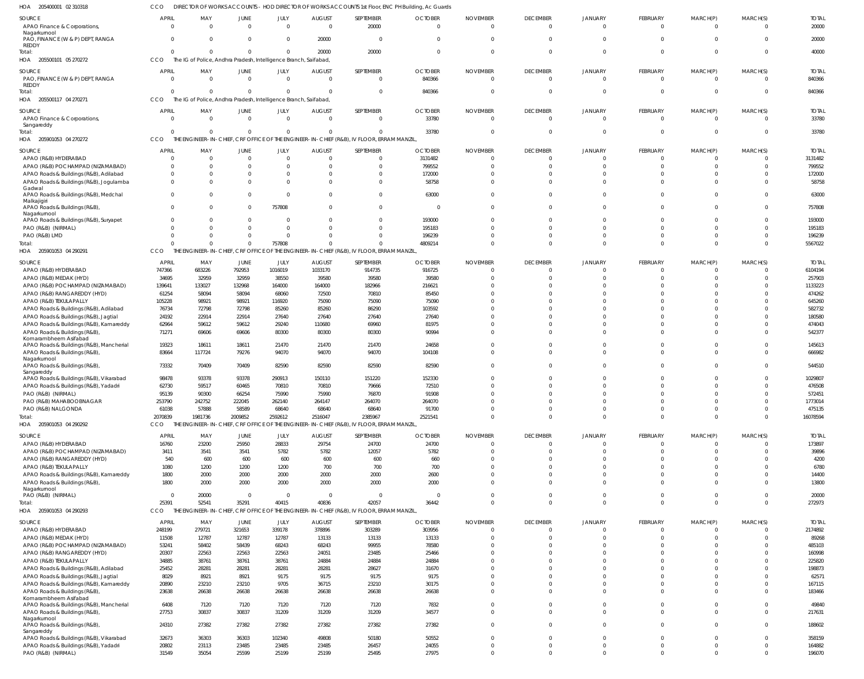205500101 05 270272 HOA 205500117 04 270271 205901053 04 270272 HOA 205901053 04 290291 HOA 205901053 04 290292 205901053 04 290293 HOA HOA HOA The IG of Police, Andhra Pradesh, Intelligence Branch, Saifabad, The IG of Police, Andhra Pradesh, Intelligence Branch, Saifabad, THE ENGINEER-IN-CHIEF, CRF OFFICE OF THE ENGINEER-IN-CHIEF (R&B), IV FLOOR, ERRAM MANZIL, THE ENGINEER-IN-CHIEF, CRF OFFICE OF THE ENGINEER-IN-CHIEF (R&B), IV FLOOR, ERRAM MANZIL THE ENGINEER-IN-CHIEF, CRF OFFICE OF THE ENGINEER-IN-CHIEF (R&B), IV FLOOR, ERRAM MANZIL, THE ENGINEER-IN-CHIEF, CRF OFFICE OF THE ENGINEER-IN-CHIEF (R&B), IV FLOOR, ERRAM MANZIL, CCO **CCO CCO** CCO CCO CCO  $\mathfrak{c}$  $\Omega$   $\Omega$   $\Omega$   $\Omega$   $\Omega$   $\Omega$  $\theta$   $\Omega$   $\Omega$  $\sqrt{0}$  $\Omega$   $\Omega$  $\Omega$  $\Omega$   $\Omega$   $\Omega$   $\Omega$   $\Omega$   $\Omega$  $\Omega$  $\Omega$  $\Omega$   $\Omega$   $\Omega$  $\Omega$  $\Omega$  APAO Finance & Corporations, Nagarkurnool PAO, FINANCE (W & P) DEPT, RANGA REDDY PAO, FINANCE (W & P) DEPT, RANGA REDDY APAO Finance & Corporations, **Sangareddy** APAO (R&B) HYDERABAD APAO (R&B) POCHAMPAD (NIZAMABAD) APAO Roads & Buildings (R&B), Adilabad APAO Roads & Buildings (R&B), Jogulamba Gadwal APAO Roads & Buildings (R&B), Medchal Malkajigiri APAO Roads & Buildings (R&B), Nagarkurnool APAO Roads & Buildings (R&B), Suryapet PAO (R&B) (NIRMAL) PAO (R&B) LMD APAO (R&B) HYDERABAD APAO (R&B) MEDAK (HYD) APAO (R&B) POCHAMPAD (NIZAMABAD) APAO (R&B) RANGAREDDY (HYD) APAO (R&B) TEKULAPALLY APAO Roads & Buildings (R&B), Adilabad APAO Roads & Buildings (R&B), Jagtial APAO Roads & Buildings (R&B), Kamareddy APAO Roads & Buildings (R&B), Komarambheem Asifabad APAO Roads & Buildings (R&B), Mancherial APAO Roads & Buildings (R&B), Nagarkurnool APAO Roads & Buildings (R&B), Sangareddy APAO Roads & Buildings (R&B), Vikarabad APAO Roads & Buildings (R&B), Yadadri PAO (R&B) (NIRMAL) PAO (R&B) MAHABOOBNAGAR PAO (R&B) NALGONDA APAO (R&B) HYDERABAD APAO (R&B) POCHAMPAD (NIZAMABAD) APAO (R&B) RANGAREDDY (HYD) APAO (R&B) TEKULAPALLY APAO Roads & Buildings (R&B), Kamareddy APAO Roads & Buildings (R&B), Nagarkurnool PAO (R&B) (NIRMAL) APAO (R&B) HYDERABAD APAO (R&B) MEDAK (HYD) APAO (R&B) POCHAMPAD (NIZAMABAD) APAO (R&B) RANGAREDDY (HYD) APAO (R&B) TEKULAPALLY APAO Roads & Buildings (R&B), Adilabad APAO Roads & Buildings (R&B), Jagtial APAO Roads & Buildings (R&B), Kamareddy APAO Roads & Buildings (R&B), Komarambheem Asifabad APAO Roads & Buildings (R&B), Mancherial APAO Roads & Buildings (R&B), Nagarkurnool APAO Roads & Buildings (R&B), Sangareddy APAO Roads & Buildings (R&B), Vikarabad APAO Roads & Buildings (R&B), Yadadri PAO (R&B) (NIRMAL) SOURCE SOURCE SOURCE SOURCE SOURCE SOURCE SOURCE  $\mathfrak{c}$  $\Omega$  $\Omega$  $\Omega$   $\Omega$  $\Omega$   $\overline{0}$  APRIL APRIL APRIL **APRIL** APRIL APRIL APRIL  $\Omega$   $\Omega$  $\Omega$   $\Omega$  $\Omega$  $\Omega$  $\Omega$  MAY MAY MAY MAY MAY MAY MAY  $\Omega$  $\Omega$  $\Omega$   $\Omega$  $\mathbf 0$  JUNE **JUNE** JUNE JUNE JUNE JUNE JUNE  $\Omega$  $\Omega$   $\Omega$  $\Omega$  $\Omega$   $\sqrt{2}$  JULY JULY JULY JULY JULY JULY JULY  $\Omega$   $\Omega$  AUGUST **AUGUST** AUGUST AUGUST AUGUST AUGUST AUGUST  $\Omega$   $\Omega$  $\Omega$  $\Omega$   $\Omega$   $\Omega$  SEPTEMBER SEPTEMBER SEPTEMBER SEPTEMBER SEPTEMBER SEPTEMBER SEPTEMBER  $\Omega$   $\Omega$  **OCTOBER** OCTOBER OCTOBER **OCTOBER** OCTOBER OCTOBER OCTOBER  $\Omega$   $\Omega$  $\Omega$  $\Omega$   $\Omega$  $\Omega$   $\Omega$   $\Omega$   $\Omega$  $\Omega$   $\Omega$   $\Omega$   $\Omega$  $\Omega$  $\Omega$   $\Omega$   $\Omega$  $\Omega$   $\Omega$   $\Omega$  $\Omega$   $\Omega$   $\Omega$   $\Omega$  $\Omega$  $\Omega$  $\Omega$  $\Omega$   $\Omega$  $\Omega$ NOVEMBER NOVEMBER NOVEMBER NOVEMBER NOVEMBER NOVEMBER NOVEMBER  $\Omega$   $\Omega$  $\Omega$  $\Omega$   $\Omega$  $\Omega$   $\Omega$   $\Omega$   $\Omega$  $\Omega$   $\Omega$   $\theta$  $\Omega$  $\Omega$   $\Omega$   $\Omega$   $\Omega$  DECEMBER **DECEMBER** DECEMBER DECEMBER DECEMBER DECEMBER DECEMBER  $\mathbf{C}$   $\Omega$  $\Omega$  $\Omega$   $\Omega$   $\Omega$   $\Omega$  $\Omega$   $\Omega$   $\Omega$   $\Omega$  $\Omega$   $\Omega$   $\Omega$  $\Omega$   $\Omega$   $\Omega$   $\Omega$  JANUARY JANUARY JANUARY JANUARY JANUARY JANUARY JANUARY  $\Omega$  $\Omega$  $\Omega$   $\Omega$  $\Omega$   $\Omega$   $\Omega$   $\Omega$  $\Omega$   $\Omega$   $\Omega$   $\Omega$   $\Omega$   $\Omega$   $\Omega$   $\Omega$   $\Omega$  $\Omega$   $\Omega$  $\Omega$   $\Omega$  FEBRUARY **FEBRUARY** FEBRUARY FEBRUARY FEBRUARY FEBRUARY FEBRUARY  $\Omega$   $\Omega$  $\Omega$  $\Omega$   $\Omega$   $\Omega$   $\Omega$   $\Omega$  $\Omega$   $\Omega$   $\Omega$   $\Omega$  $\Omega$   $\Omega$   $\Omega$   $\Omega$  $\Omega$   $\Omega$   $\Omega$   $\Omega$  MARCH(P) MARCH(P) MARCH(P) MARCH(P) MARCH(P) MARCH(P) MARCH(P)  $\Omega$  $\Omega$   $\Omega$  $\Omega$  $\Omega$   $\Omega$  $\Omega$   $\Omega$  $\Omega$   $\Omega$  $\Omega$   $\Omega$   $\Omega$   $\Omega$  $\Omega$   $\Omega$  $\Omega$   $\Omega$   $\cap$   $\Omega$   $\Omega$   $\Omega$   $\Omega$  MARCH(S) MARCH(S) MARCH(S) MARCH(S) MARCH(S) MARCH(S) MARCH(S) TOTAL TOTAL TOTAL TOTAL TOTAL TOTAL TOTAL Total: Total: Total: Total: Total: Total:

DIRECTOR OF WORKS ACCOUNTS - HOD DIRECTOR OF WORKS ACCOUNTS 1st Floor, ENC PH Building, Ac Guards

205400001 02 310318 HOA

CCO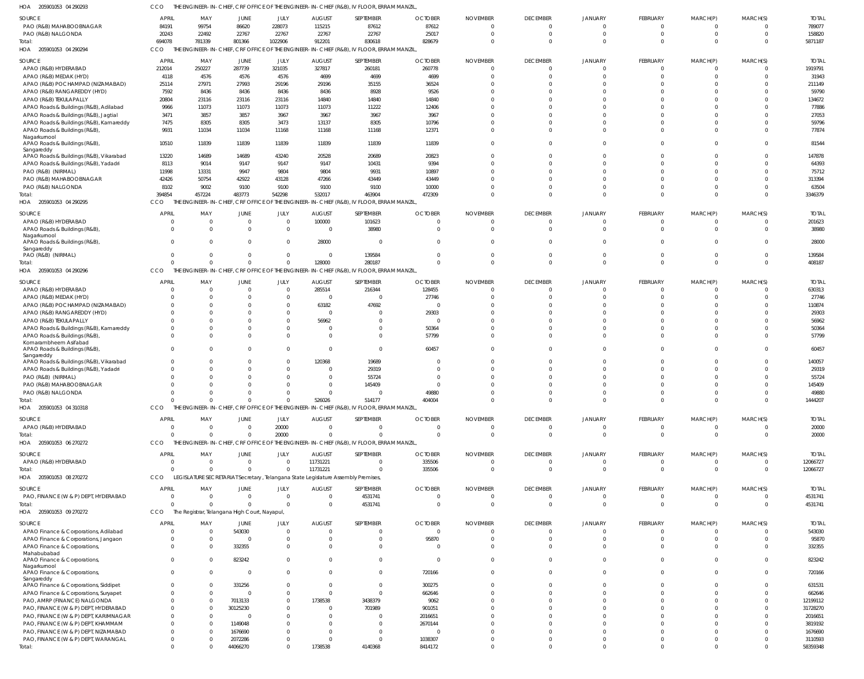CCO THE ENGINEER-IN-CHIEF, CRF OFFICE OF THE ENGINEER-IN-CHIEF (R&B), IV FLOOR, ERRAM MANZIL,

| HOA<br>205901053 04 290293                   | CCO          |                |                                               |                |                | THE ENGINEER-IN-CHIEF, CRF OFFICE OF THE ENGINEER-IN-CHIEF (R&B), IV FLOOR, ERRAM MANZIL, |                |                 |                 |                |                |          |                |              |
|----------------------------------------------|--------------|----------------|-----------------------------------------------|----------------|----------------|-------------------------------------------------------------------------------------------|----------------|-----------------|-----------------|----------------|----------------|----------|----------------|--------------|
| SOURCE                                       | <b>APRIL</b> | MAY            | JUNE                                          | JULY           | <b>AUGUST</b>  | SEPTEMBER                                                                                 | <b>OCTOBER</b> | <b>NOVEMBER</b> | <b>DECEMBER</b> | <b>JANUARY</b> | FEBRUARY       | MARCH(P) | MARCH(S)       | <b>TOTAL</b> |
| PAO (R&B) MAHABOOBNAGAR                      | 84191        | 99754          | 86620                                         | 228073         | 115215         | 87612                                                                                     | 87612          | $^{\circ}$      | $\Omega$        | $\Omega$       | $\overline{0}$ | $\Omega$ | $\Omega$       | 789077       |
| PAO (R&B) NALGONDA                           | 20243        | 22492          | 22767                                         | 22767          | 22767          | 22767                                                                                     | 25017          | $^{\circ}$      | $\Omega$        | $\Omega$       | $\mathbf 0$    | $\Omega$ | $\overline{0}$ | 158820       |
| Total:                                       | 694078       | 781339         | 801366                                        | 1022906        | 912201         | 830618                                                                                    | 828679         | $\Omega$        | $\Omega$        | $\Omega$       | $\Omega$       | $\Omega$ | $\overline{0}$ | 5871187      |
| 205901053 04 290294<br>HOA                   | CCO          |                |                                               |                |                | THE ENGINEER-IN-CHIEF, CRF OFFICE OF THE ENGINEER-IN-CHIEF (R&B), IV FLOOR, ERRAM MANZIL  |                |                 |                 |                |                |          |                |              |
|                                              |              |                |                                               |                |                |                                                                                           |                |                 |                 |                |                |          |                |              |
| SOURCE                                       | <b>APRIL</b> | MAY            | JUNE                                          | JULY           | <b>AUGUST</b>  | SEPTEMBER                                                                                 | <b>OCTOBER</b> | <b>NOVEMBER</b> | <b>DECEMBER</b> | <b>JANUARY</b> | FEBRUARY       | MARCH(P) | MARCH(S)       | <b>TOTAL</b> |
| APAO (R&B) HYDERABAD                         | 212014       | 250227         | 287739                                        | 321035         | 327817         | 260181                                                                                    | 260778         | -0              | $\Omega$        |                | $\overline{0}$ |          | $\Omega$       | 1919791      |
| APAO (R&B) MEDAK (HYD)                       | 4118         | 4576           | 4576                                          | 4576           | 4699           | 4699                                                                                      | 4699           | $\Omega$        | $\Omega$        | $\Omega$       | $\Omega$       |          | $\Omega$       | 31943        |
| APAO (R&B) POCHAMPAD (NIZAMABAD)             | 25114        | 27971          | 27993                                         | 29196          | 29196          | 35155                                                                                     | 36524          | -0              |                 |                | <sup>0</sup>   |          | $\Omega$       | 211149       |
| APAO (R&B) RANGAREDDY (HYD)                  | 7592         | 8436           | 8436                                          | 8436           | 8436           | 8928                                                                                      | 9526           | $\Omega$        |                 | $\cap$         | $\Omega$       |          | $\Omega$       | 59790        |
| APAO (R&B) TEKULAPALLY                       | 20804        | 23116          | 23116                                         | 23116          | 14840          | 14840                                                                                     | 14840          | $\Omega$        |                 | $\cap$         | $\Omega$       |          | $\Omega$       | 134672       |
| APAO Roads & Buildings (R&B), Adilabad       | 9966         | 11073          | 11073                                         | 11073          | 11073          | 11222                                                                                     | 12406          | $\Omega$        |                 | $\cap$         | $\Omega$       |          | $\Omega$       | 77886        |
| APAO Roads & Buildings (R&B), Jagtial        | 3471         | 3857           | 3857                                          | 3967           | 3967           | 3967                                                                                      | 3967           | $\Omega$        |                 | $\cap$         | $\Omega$       |          | $\Omega$       | 27053        |
| APAO Roads & Buildings (R&B), Kamareddy      | 7475         | 8305           | 8305                                          | 3473           | 13137          | 8305                                                                                      | 10796          | $\Omega$        |                 | $\cap$         | $\Omega$       |          | $\Omega$       | 59796        |
| APAO Roads & Buildings (R&B),                | 9931         | 11034          | 11034                                         | 11168          | 11168          | 11168                                                                                     | 12371          | $\Omega$        | $\Omega$        | $\cap$         | $\Omega$       |          | $\Omega$       | 77874        |
| Nagarkurnool                                 |              |                |                                               |                |                |                                                                                           |                |                 |                 |                |                |          |                |              |
| APAO Roads & Buildings (R&B),                | 10510        | 11839          | 11839                                         | 11839          | 11839          | 11839                                                                                     | 11839          | $\mathbf 0$     | $\Omega$        | $\cap$         | $\Omega$       | $\Omega$ | $\Omega$       | 81544        |
| Sangareddy                                   | 13220        | 14689          | 14689                                         | 43240          | 20528          | 20689                                                                                     | 20823          | $^{\circ}$      | $\Omega$        | $\cap$         | $\Omega$       |          | $\Omega$       | 147878       |
| APAO Roads & Buildings (R&B), Vikarabad      |              |                |                                               |                |                |                                                                                           |                | $\Omega$        | $\Omega$        | $\cap$         | $\Omega$       |          | $\Omega$       |              |
| APAO Roads & Buildings (R&B), Yadadri        | 8113         | 9014           | 9147                                          | 9147           | 9147           | 10431                                                                                     | 9394           |                 |                 | $\cap$         |                |          |                | 64393        |
| PAO (R&B) (NIRMAL)                           | 11998        | 13331          | 9947                                          | 9804           | 9804           | 9931                                                                                      | 10897          | $\Omega$        | $\cap$          |                | $\Omega$       |          | $\Omega$       | 75712        |
| PAO (R&B) MAHABOOBNAGAR                      | 42426        | 50754          | 42922                                         | 43128          | 47266          | 43449                                                                                     | 43449          | $\Omega$        | $\Omega$        | $\cap$         | $\Omega$       |          | $\Omega$       | 313394       |
| PAO (R&B) NALGONDA                           | 8102         | 9002           | 9100                                          | 9100           | 9100           | 9100                                                                                      | 10000          | $\Omega$        | $\Omega$        | $\Omega$       | $\Omega$       |          | $\Omega$       | 63504        |
| Total                                        | 394854       | 457224         | 483773                                        | 542298         | 532017         | 463904                                                                                    | 472309         | $\Omega$        | $\Omega$        | $\Omega$       | $\Omega$       |          | $\Omega$       | 3346379      |
| HOA<br>205901053 04 290295                   | CCO          |                |                                               |                |                | THE ENGINEER-IN-CHIEF, CRF OFFICE OF THE ENGINEER-IN-CHIEF (R&B), IV FLOOR, ERRAM MANZIL, |                |                 |                 |                |                |          |                |              |
| SOURCE                                       | <b>APRIL</b> | MAY            | JUNE                                          | JULY           | <b>AUGUST</b>  | SEPTEMBER                                                                                 | <b>OCTOBER</b> | <b>NOVEMBER</b> | <b>DECEMBER</b> | <b>JANUARY</b> | FEBRUARY       | MARCH(P) | MARCH(S)       | <b>TOTAL</b> |
| APAO (R&B) HYDERABAD                         |              | $\Omega$       | 0                                             | $\overline{0}$ | 100000         | 101623                                                                                    |                | $^{\circ}$      | $\Omega$        |                | $\overline{0}$ |          | $\Omega$       | 201623       |
| APAO Roads & Buildings (R&B)                 | $\Omega$     | $\Omega$       | $\Omega$                                      | $\overline{0}$ | $\Omega$       | 38980                                                                                     | $\Omega$       | $\overline{0}$  | $\Omega$        | $\Omega$       | $\mathbf 0$    | $\Omega$ | $\Omega$       | 38980        |
| Nagarkurnool                                 |              |                |                                               |                |                |                                                                                           |                |                 |                 |                |                |          |                |              |
| APAO Roads & Buildings (R&B)                 | $\cap$       | $\Omega$       | $\Omega$                                      | $\Omega$       | 28000          | $\overline{0}$                                                                            |                | $\Omega$        | $\cap$          | $\Omega$       | $\Omega$       |          | $\Omega$       | 28000        |
| Sangareddy                                   |              |                |                                               |                |                |                                                                                           |                |                 |                 |                |                |          |                |              |
| PAO (R&B) (NIRMAL)                           | $\Omega$     | $\Omega$       | $\Omega$                                      | $\mathbf 0$    | $\Omega$       | 139584                                                                                    |                | $\mathbf 0$     | $\Omega$        | $\Omega$       | $\Omega$       | $\Omega$ | $\overline{0}$ | 139584       |
| Total:                                       |              | $\Omega$       | $\Omega$                                      | $\mathbf 0$    | 128000         | 280187                                                                                    |                | $\Omega$        | $\Omega$        | $\Omega$       | $\overline{0}$ | $\Omega$ | $\overline{0}$ | 408187       |
| HOA<br>205901053 04 290296                   | CCO          |                |                                               |                |                | THE ENGINEER-IN-CHIEF, CRF OFFICE OF THE ENGINEER-IN-CHIEF (R&B), IV FLOOR, ERRAM MANZIL, |                |                 |                 |                |                |          |                |              |
| SOURCE                                       | <b>APRIL</b> | MAY            | <b>JUNE</b>                                   | JULY           | <b>AUGUST</b>  | SEPTEMBER                                                                                 | <b>OCTOBER</b> | <b>NOVEMBER</b> | <b>DECEMBER</b> | <b>JANUARY</b> | FEBRUARY       | MARCH(P) | MARCH(S)       | <b>TOTAL</b> |
| APAO (R&B) HYDERABAD                         |              | $\Omega$       | $\mathbf 0$                                   | $\overline{0}$ | 285514         | 216344                                                                                    | 128455         | $\Omega$        | $\Omega$        |                | $\Omega$       |          | $\Omega$       | 630313       |
| APAO (R&B) MEDAK (HYD)                       |              | $\Omega$       | 0                                             | $\overline{0}$ | $\Omega$       | $\overline{0}$                                                                            | 27746          | -0              | $\Omega$        | $\cap$         | $\Omega$       |          | $\Omega$       | 27746        |
| APAO (R&B) POCHAMPAD (NIZAMABAD)             |              | $\Omega$       | 0                                             | $\overline{0}$ | 63182          | 47692                                                                                     |                | $\Omega$        | $\cap$          | $\cap$         | $\Omega$       |          | $\Omega$       | 110874       |
| APAO (R&B) RANGAREDDY (HYD)                  |              | <sup>0</sup>   |                                               | $\Omega$       |                | $\mathbf 0$                                                                               | 29303          | $\Omega$        |                 | $\cap$         | $\Omega$       |          | $\Omega$       | 29303        |
| APAO (R&B) TEKULAPALLY                       |              | $\Omega$       | 0                                             | $\overline{0}$ | 56962          | $\mathbf 0$                                                                               | $\Omega$       | $\Omega$        |                 | $\cap$         | $\Omega$       |          | $\Omega$       | 56962        |
| APAO Roads & Buildings (R&B), Kamareddy      |              | $\Omega$       |                                               | $\Omega$       |                | $\mathbf 0$                                                                               | 50364          | $\Omega$        | $\Omega$        | $\Omega$       | $\Omega$       |          | $\Omega$       | 50364        |
| APAO Roads & Buildings (R&B)                 |              | $\Omega$       | $\Omega$                                      | $\Omega$       | $\Omega$       | $\mathbf 0$                                                                               | 57799          | $\Omega$        | $\Omega$        | $\cap$         | $\Omega$       |          | $\Omega$       | 57799        |
| Komarambheem Asifabad                        |              |                |                                               |                |                |                                                                                           |                |                 |                 |                |                |          |                |              |
| APAO Roads & Buildings (R&B)                 | $\Omega$     | $\Omega$       | $\Omega$                                      | $\Omega$       | $\Omega$       | $\mathbf{0}$                                                                              | 60457          | $\Omega$        | $\Omega$        | $\cap$         | $\Omega$       |          | $\Omega$       | 60457        |
| Sangareddy                                   |              |                |                                               |                |                |                                                                                           |                |                 |                 |                |                |          |                |              |
| APAO Roads & Buildings (R&B), Vikarabad      |              | $\Omega$       | 0                                             | $\mathbf 0$    | 120368         | 19689                                                                                     |                | $\Omega$        | $\cap$          | $\cap$         | <sup>0</sup>   |          | $\Omega$       | 140057       |
| APAO Roads & Buildings (R&B), Yadadri        |              | $\Omega$       |                                               | $\Omega$       | $\Omega$       | 29319                                                                                     |                | $\Omega$        | $\Omega$        | $\cap$         | $\Omega$       |          | $\Omega$       | 29319        |
| PAO (R&B) (NIRMAL)                           |              | $\Omega$       | 0                                             | $\Omega$       | $\Omega$       | 55724                                                                                     |                | $\Omega$        | $\Omega$        | $\Omega$       | $\Omega$       |          | $\Omega$       | 55724        |
| PAO (R&B) MAHABOOBNAGAR                      |              | $\Omega$       | $\Omega$                                      | $\Omega$       | $\Omega$       | 145409                                                                                    |                | $\Omega$        | $\Omega$        | $\cap$         | $\Omega$       |          | $\Omega$       | 145409       |
| PAO (R&B) NALGONDA                           |              | 0              |                                               | 0              |                | $\overline{0}$                                                                            | 49880          | -0              |                 |                | 0              |          |                | 49880        |
| Total                                        |              | $\Omega$       | $\Omega$                                      | $\Omega$       | 526026         | 514177                                                                                    | 404004         | $\Omega$        | $\Omega$        | $\Omega$       | $\mathbf{0}$   | $\Omega$ | $\overline{0}$ | 1444207      |
| HOA 205901053 04 310318                      | CCO          |                |                                               |                |                | THE ENGINEER-IN-CHIEF, CRF OFFICE OF THE ENGINEER-IN-CHIEF (R&B), IV FLOOR, ERRAM MANZIL, |                |                 |                 |                |                |          |                |              |
| SOURCE                                       | <b>APRIL</b> | MAY            | <b>JUNE</b>                                   | JULY           | <b>AUGUST</b>  | SEPTEMBER                                                                                 | <b>OCTOBER</b> | <b>NOVEMBER</b> | <b>DECEMBER</b> | <b>JANUARY</b> | FEBRUARY       | MARCH(P) | MARCH(S)       | <b>TOTAL</b> |
| APAO (R&B) HYDERABAD                         | - 0          | $\Omega$       | $\mathbf 0$                                   | 20000          | $\Omega$       | $\overline{0}$                                                                            | $\Omega$       | $\overline{0}$  | $\Omega$        | $\Omega$       | $\overline{0}$ | $\Omega$ | $\Omega$       | 20000        |
| Total:                                       |              | $\Omega$       | $\Omega$                                      | 20000          | $\Omega$       | $\Omega$                                                                                  | $\Omega$       | $\Omega$        | $\Omega$        | $\cap$         | $\Omega$       | $\Omega$ | $\Omega$       | 20000        |
| 205901053 06 270272<br>HOA                   | CCO          |                | THE ENGINEER-IN-CHIEF, CRF OFFICE             |                |                | OF THE ENGINEER-IN-CHIEF (R&B), IV FLOOR, ERRAM MANZIL,                                   |                |                 |                 |                |                |          |                |              |
|                                              |              |                |                                               |                |                |                                                                                           |                |                 |                 |                |                |          |                |              |
| SOURCE                                       | <b>APRIL</b> | MAY            | JUNE                                          | JULY           | <b>AUGUST</b>  | SEPTEMBER                                                                                 | <b>OCTOBER</b> | <b>NOVEMBER</b> | <b>DECEMBER</b> | <b>JANUARY</b> | FEBRUARY       | MARCH(P) | MARCH(S)       | <b>TOTAL</b> |
| APAO (R&B) HYDERABAD                         | $\Omega$     | $\overline{0}$ | $\mathbf 0$                                   | $\overline{0}$ | 11731221       | $\overline{0}$                                                                            | 335506         | $\overline{0}$  | $\Omega$        | $\Omega$       | $\overline{0}$ | - 0      | $\overline{0}$ | 12066727     |
| Total:                                       | $\cap$       | $\Omega$       | $\mathbf 0$                                   | $\overline{0}$ | 11731221       | $\mathbf{0}$                                                                              | 335506         | $\Omega$        | $\Omega$        | $\Omega$       | $\mathbf{0}$   | $\Omega$ | $\overline{0}$ | 12066727     |
| HOA 205901053 08 270272                      | CCO          |                |                                               |                |                | LEGISLATURE SECRETARIAT Secretary, Telangana State Legislature Assembly Premises,         |                |                 |                 |                |                |          |                |              |
| SOURCE                                       | <b>APRIL</b> | MAY            | JUNE                                          | JULY           | <b>AUGUST</b>  | SEPTEMBER                                                                                 | <b>OCTOBER</b> | <b>NOVEMBER</b> | <b>DECEMBER</b> | <b>JANUARY</b> | FEBRUARY       | MARCH(P) | MARCH(S)       | <b>TOTAL</b> |
| PAO, FINANCE (W & P) DEPT, HYDERABAD         | - 0          | $\Omega$       | $\mathbf 0$                                   | $\overline{0}$ | $\overline{0}$ | 4531741                                                                                   | - 0            | - 0             | $\Omega$        | $\Omega$       | $\overline{0}$ | - 0      | $\Omega$       | 4531741      |
| Total:                                       | $\cap$       | $\Omega$       | $\Omega$                                      | $\Omega$       | $\Omega$       | 4531741                                                                                   | $\Omega$       | $\Omega$        | $\Omega$        | $\Omega$       | $\mathbf{0}$   | $\Omega$ | $\overline{0}$ | 4531741      |
| HOA 205901053 09 270272                      | CCO          |                | The Registrar, Telangana High Court, Nayapul, |                |                |                                                                                           |                |                 |                 |                |                |          |                |              |
|                                              |              |                |                                               |                |                |                                                                                           |                |                 |                 |                |                |          |                |              |
| SOURCE                                       | <b>APRIL</b> | MAY            | <b>JUNE</b>                                   | JULY           | <b>AUGUST</b>  | SEPTEMBER                                                                                 | <b>OCTOBER</b> | <b>NOVEMBER</b> | <b>DECEMBER</b> | <b>JANUARY</b> | FEBRUARY       | MARCH(P) | MARCH(S)       | <b>TOTAL</b> |
| APAO Finance & Corporations, Adilabad        |              | $\Omega$       | 543030                                        | $\overline{0}$ | $\Omega$       | 0                                                                                         | $\Omega$       | $\Omega$        | $\Omega$        | $\cap$         | $\overline{0}$ |          | $\Omega$       | 543030       |
| APAO Finance & Corporations, Jangaon         |              | $\overline{0}$ | 0                                             | $\overline{0}$ | $\Omega$       | $\overline{0}$                                                                            | 95870          | -0              | $\Omega$        | $\cap$         | $\Omega$       |          | $\Omega$       | 95870        |
| APAO Finance & Corporations,                 | $\Omega$     | $\Omega$       | 332355                                        | $\overline{0}$ | $\Omega$       | $\mathbf{0}$                                                                              |                | $\Omega$        | $\Omega$        | $\Omega$       | $\Omega$       |          | $\Omega$       | 332355       |
| Mahabubabad                                  |              |                |                                               |                |                |                                                                                           |                |                 |                 |                |                |          |                |              |
| APAO Finance & Corporations,                 | $\Omega$     | $\Omega$       | 823242                                        | $\mathbf 0$    | $\Omega$       | $\mathbf{0}$                                                                              | $\Omega$       | $\mathbf 0$     | $\Omega$        | $\Omega$       | $\mathbf 0$    |          | $\Omega$       | 823242       |
| Nagarkurnool<br>APAO Finance & Corporations, | $\Omega$     | $\Omega$       | $\overline{0}$                                | $\Omega$       | $\Omega$       | $\mathbf{0}$                                                                              | 720166         | $\mathbf 0$     | $\Omega$        | $\Omega$       | $\mathbf 0$    | $\Omega$ | $\overline{0}$ | 720166       |
| Sangareddy                                   |              |                |                                               |                |                |                                                                                           |                |                 |                 |                |                |          |                |              |
| APAO Finance & Corporations, Siddipet        | $\Omega$     | $\Omega$       | 331256                                        | $\mathbf 0$    | $\Omega$       | $\overline{0}$                                                                            | 300275         | $\Omega$        | $\Omega$        | $\Omega$       | $\Omega$       |          | $\Omega$       | 631531       |
| APAO Finance & Corporations, Suryapet        |              | $\overline{0}$ | $\mathbf 0$                                   | $\mathbf 0$    | $\Omega$       | $\Omega$                                                                                  | 662646         | $\Omega$        | $\Omega$        | $\cap$         | $\Omega$       |          | $\Omega$       | 662646       |
| PAO, AMRP (FINANCE) NALGONDA                 |              | $\mathbf 0$    | 7013133                                       | $\overline{0}$ | 1738538        | 3438379                                                                                   | 9062           | $\Omega$        | $\Omega$        | $\Omega$       | $\Omega$       |          | $\Omega$       | 12199112     |
| PAO, FINANCE (W & P) DEPT, HYDERABAD         |              | $\Omega$       | 30125230                                      | $\mathbf{0}$   | $\Omega$       | 701989                                                                                    | 901051         | $\Omega$        | $\cap$          | $\cap$         | $\Omega$       |          | $\Omega$       | 31728270     |
| PAO, FINANCE (W & P) DEPT, KARIMNAGAR        |              | $\Omega$       | $\mathbf 0$                                   | $\Omega$       | $\Omega$       | $\Omega$                                                                                  | 2016651        | $\Omega$        |                 | $\cap$         | $\Omega$       |          | $\Omega$       | 2016651      |
| PAO, FINANCE (W & P) DEPT, KHAMMAM           |              | $\Omega$       | 1149048                                       | $\Omega$       | $\Omega$       | $\overline{0}$                                                                            | 2670144        | $\Omega$        |                 | $\cap$         | <sup>0</sup>   |          | n              | 3819192      |
| PAO, FINANCE (W & P) DEPT, NIZAMABAD         |              | $\Omega$       | 1676690                                       | $\Omega$       | $\Omega$       | $\Omega$                                                                                  |                | $\Omega$        |                 | $\Omega$       | <sup>0</sup>   |          | $\Omega$       | 1676690      |
| PAO, FINANCE (W & P) DEPT, WARANGAL          |              | $\Omega$       | 2072286                                       | $\Omega$       | $\Omega$       | $\overline{0}$                                                                            | 1038307        | $\Omega$        |                 | $\Omega$       | $\Omega$       |          | $\Omega$       | 3110593      |
|                                              |              |                |                                               |                |                |                                                                                           |                |                 |                 |                |                |          |                |              |
| Total:                                       | $\Omega$     | $\Omega$       | 44066270                                      | $\Omega$       | 1738538        | 4140368                                                                                   | 8414172        | $\Omega$        | $\Omega$        | $\Omega$       | $\Omega$       | $\Omega$ | $\Omega$       | 58359348     |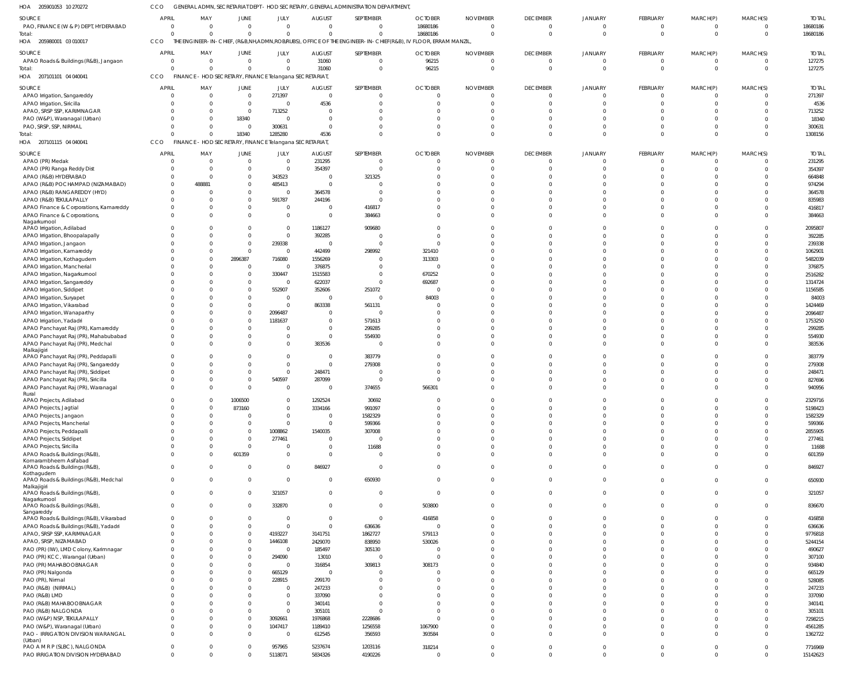205901053 10 270272 HOA CCO GENERAL ADMN, SECRETARIAT DEPT - HOD SECRETARY, GENERAL ADMINISTRATION DEPARTMENT,

| SOURCE                                             | <b>APRIL</b>   | MAY            | <b>JUNE</b>                                             | JULY           | <b>AUGUST</b> | SEPTEMBER    | <b>OCTOBER</b>                                                                                               | <b>NOVEMBER</b> | <b>DECEMBER</b> | <b>JANUARY</b> | FEBRUARY       | MARCH(P)       | MARCH(S)       | <b>TOTAL</b> |
|----------------------------------------------------|----------------|----------------|---------------------------------------------------------|----------------|---------------|--------------|--------------------------------------------------------------------------------------------------------------|-----------------|-----------------|----------------|----------------|----------------|----------------|--------------|
| PAO, FINANCE (W & P) DEPT, HYDERABAD               | $\Omega$       | $\overline{0}$ | $\overline{0}$                                          | $\mathbf{0}$   | $\mathbf 0$   | $\Omega$     | 18680186                                                                                                     | $\overline{0}$  | $\overline{0}$  | $\mathbf{0}$   | $\mathbf 0$    | $\mathbf 0$    | $\overline{0}$ | 18680186     |
| Total:                                             | $\cap$         | $\Omega$       | $\mathbf{0}$                                            | $\overline{0}$ | $\Omega$      | $\Omega$     | 18680186                                                                                                     | $\Omega$        | $\overline{0}$  | $\Omega$       | $\mathbf 0$    | $\overline{0}$ | $\Omega$       | 18680186     |
| HOA 205980001 03 010017                            | CCO            |                |                                                         |                |               |              | THE ENGINEER-IN-CHIEF, (R&B,NH,ADMN,ROB/RUBS), OFFICE OF THE ENGINEER-IN-CHIEF(R&B), IV FLOOR, ERRAM MANZIL, |                 |                 |                |                |                |                |              |
|                                                    |                |                |                                                         |                |               |              |                                                                                                              |                 |                 |                |                |                |                |              |
| SOURCE                                             | <b>APRIL</b>   | MAY            | JUNE                                                    | JULY           | <b>AUGUST</b> | SEPTEMBER    | <b>OCTOBER</b>                                                                                               | <b>NOVEMBER</b> | <b>DECEMBER</b> | <b>JANUARY</b> | FEBRUARY       | MARCH(P)       | MARCH(S)       | <b>TOTAL</b> |
| APAO Roads & Buildings (R&B), Jangaon              | $\Omega$       | $\overline{0}$ | $\mathbf{0}$                                            | $\mathbf{0}$   | 31060         | $\Omega$     | 96215                                                                                                        | $\Omega$        | $\overline{0}$  | $\Omega$       | $\overline{0}$ | $\overline{0}$ | $\overline{0}$ | 127275       |
| Total:                                             |                | $\Omega$       | $\mathbf{0}$                                            | $\overline{0}$ | 31060         | $\Omega$     | 96215                                                                                                        | $\Omega$        | $\overline{0}$  | $\Omega$       | $\mathbf 0$    | $\overline{0}$ | $\Omega$       | 127275       |
| HOA 207101101 04 040041                            | CCO            |                | FINANCE - HOD SECRETARY, FINANCE Telangana SECRETARIAT  |                |               |              |                                                                                                              |                 |                 |                |                |                |                |              |
| SOURCE                                             | <b>APRI</b>    | MAY            | <b>JUNE</b>                                             | JULY           | <b>AUGUST</b> | SEPTEMBER    | <b>OCTOBER</b>                                                                                               | <b>NOVEMBER</b> | <b>DECEMBER</b> | <b>JANUARY</b> | FEBRUARY       | MARCH(P)       | MARCH(S)       | <b>TOTAL</b> |
| APAO Irrigation, Sangareddy                        | - 0            | $\overline{0}$ | $\overline{0}$                                          | 271397         | $\mathbf 0$   | $\Omega$     | $\overline{0}$                                                                                               | $\Omega$        | $\overline{0}$  | $\mathbf{0}$   | $\Omega$       | $\overline{0}$ | $\overline{0}$ | 271397       |
|                                                    |                | $\overline{0}$ | $\mathbf{0}$                                            | $\mathbf{0}$   | 4536          | $\Omega$     | $\Omega$                                                                                                     | <sup>0</sup>    | $\overline{0}$  | $\Omega$       | $\Omega$       | $\mathbf 0$    | $\Omega$       | 4536         |
| APAO Irrigation, Siricilla                         |                | $\Omega$       | $\mathbf{0}$                                            |                |               | $\Omega$     | $\Omega$                                                                                                     |                 | $\Omega$        | $\Omega$       | $\Omega$       | $\Omega$       | $\Omega$       |              |
| APAO, SRSP SSP, KARIMNAGAR                         |                |                |                                                         | 713252         |               |              |                                                                                                              |                 |                 |                |                |                |                | 713252       |
| PAO (W&P), Waranagal (Urban)                       |                | $\Omega$       | 18340                                                   | $\overline{0}$ | 0             | $\cap$       | $\Omega$                                                                                                     |                 | $\Omega$        | $\Omega$       |                | $\Omega$       | $\Omega$       | 18340        |
| PAO, SRSP, SSP, NIRMAL                             |                | $\Omega$       | $\overline{0}$                                          | 300631         | $\Omega$      | $\Omega$     | $\Omega$                                                                                                     | $\Omega$        | $\Omega$        | $\Omega$       | $\Omega$       | $\mathbf 0$    | $\Omega$       | 300631       |
| Total:                                             |                | $\Omega$       | 18340                                                   | 1285280        | 4536          | $\Omega$     | $\Omega$                                                                                                     | $\Omega$        | $\Omega$        | $\Omega$       | $\Omega$       | $\overline{0}$ | $\Omega$       | 1308156      |
| 207101115 04 040041<br>HOA                         | CCO            |                | FINANCE - HOD SECRETARY, FINANCE Telangana SECRETARIAT, |                |               |              |                                                                                                              |                 |                 |                |                |                |                |              |
| SOURCE                                             | <b>APRIL</b>   | MAY            | JUNE                                                    | JULY           | <b>AUGUST</b> | SEPTEMBER    | <b>OCTOBER</b>                                                                                               | <b>NOVEMBER</b> | <b>DECEMBER</b> | <b>JANUARY</b> | FEBRUARY       | MARCH(P)       | MARCH(S)       | <b>TOTAL</b> |
| APAO (PR) Medak                                    | - 0            | $\overline{0}$ | $\mathbf{0}$                                            | $\mathbf{0}$   | 231295        | - 0          | $\Omega$                                                                                                     | $\Omega$        | $\overline{0}$  | $\Omega$       |                | $\Omega$       | $\Omega$       | 231295       |
| APAO (PR) Ranga Reddy Dist                         |                | $\Omega$       | $\mathbf{0}$                                            | $\mathbf{0}$   | 354397        | $\Omega$     | $\Omega$                                                                                                     | $\Omega$        | $\overline{0}$  | $\Omega$       | $\Omega$       | $\mathbf 0$    | $\Omega$       | 354397       |
|                                                    |                |                |                                                         |                |               |              |                                                                                                              | $\Omega$        |                 |                |                |                | $\Omega$       |              |
| APAO (R&B) HYDERABAD                               |                | $\Omega$       | $\mathbf{0}$                                            | 343523         | $\mathbf 0$   | 321325       |                                                                                                              |                 | $\Omega$        | $\Omega$       |                | $\Omega$       |                | 664848       |
| APAO (R&B) POCHAMPAD (NIZAMABAD)                   |                | 488881         | $\Omega$                                                | 485413         | $\Omega$      |              |                                                                                                              |                 | $\Omega$        | $\Omega$       |                | $\Omega$       | $\Omega$       | 974294       |
| APAO (R&B) RANGAREDDY (HYD)                        |                | $\Omega$       | $\Omega$                                                | $\overline{0}$ | 364578        | -C           |                                                                                                              |                 | $\Omega$        | $\Omega$       |                | $\Omega$       | $\Omega$       | 364578       |
| APAO (R&B) TEKULAPALLY                             |                | $\Omega$       | $\mathbf{0}$                                            | 591787         | 244196        | -C           |                                                                                                              |                 | $\Omega$        | $\Omega$       |                | $\Omega$       | $\Omega$       | 835983       |
| APAO Finance & Corporations, Kamareddy             | $\Omega$       | $\Omega$       | $\mathbf{0}$                                            | $\overline{0}$ | $\Omega$      | 416817       | $\Omega$                                                                                                     | $\Omega$        | $\Omega$        | $\Omega$       | $\Omega$       | $\Omega$       | $\Omega$       | 416817       |
| APAO Finance & Corporations,                       | $\cap$         | $\Omega$       | $\Omega$                                                | $\overline{0}$ | $\Omega$      | 384663       | $\Omega$                                                                                                     | $\Omega$        | $\Omega$        | $\Omega$       | $\Omega$       | $\Omega$       | $\Omega$       | 384663       |
| Nagarkurnool                                       |                |                |                                                         |                |               |              |                                                                                                              |                 |                 |                |                |                |                |              |
| APAO Irrigation, Adilabad                          |                | $\Omega$       | $\Omega$                                                | $\mathbf{0}$   | 1186127       | 909680       | $\Omega$                                                                                                     |                 | $\Omega$        | $\Omega$       |                | $\Omega$       | $\Omega$       | 2095807      |
| APAO Irrigation, Bhoopalapally                     |                | $\Omega$       | $\Omega$                                                | $\overline{0}$ | 392285        | - 0          | $\Omega$                                                                                                     | $\cap$          | $\Omega$        | $\Omega$       |                | $\Omega$       | $\Omega$       | 392285       |
| APAO Irrigation, Jangaon                           |                | $\Omega$       | $\mathbf 0$                                             | 239338         | $\Omega$      | $\mathsf{C}$ | $\Omega$                                                                                                     | $\cap$          | $\Omega$        | $\Omega$       |                | $\Omega$       | $\Omega$       | 239338       |
| APAO Irrigation, Kamareddy                         |                | $\Omega$       | $\mathbf 0$                                             | $\overline{0}$ | 442499        | 298992       | 321410                                                                                                       |                 | $\Omega$        | $\Omega$       |                | $\Omega$       | $\Omega$       | 1062901      |
| APAO Irrigation, Kothagudem                        |                | $\Omega$       | 2896387                                                 | 716080         | 1556269       |              | 313303                                                                                                       | $\Omega$        | $\Omega$        | $\Omega$       |                | $\Omega$       | $\Omega$       | 5482039      |
| APAO Irrigation, Mancherial                        |                | $\Omega$       | $\mathbf{0}$                                            | $\overline{0}$ | 376875        |              | $\Omega$                                                                                                     |                 | $\Omega$        | $\Omega$       |                | $\Omega$       | $\Omega$       | 376875       |
| APAO Irrigation, Nagarkurnool                      |                | $\Omega$       | $\Omega$                                                | 330447         | 1515583       |              | 670252                                                                                                       | $\Omega$        | $\Omega$        | $\Omega$       |                | $\cap$         | $\Omega$       | 2516282      |
| APAO Irrigation, Sangareddy                        |                | $\Omega$       | 0                                                       | $\overline{0}$ | 622037        | $\Omega$     | 692687                                                                                                       |                 | $\Omega$        | $\Omega$       |                | $\Omega$       | $\Omega$       | 1314724      |
| APAO Irrigation, Siddipet                          |                | $\Omega$       | $\Omega$                                                | 552907         | 352606        | 251072       | $\Omega$                                                                                                     | $\Omega$        | $\Omega$        | $\Omega$       |                | $\cap$         | $\Omega$       | 1156585      |
| APAO Irrigation, Suryapet                          |                | $\Omega$       | $\Omega$                                                | $\overline{0}$ |               | - 0          | 84003                                                                                                        |                 | $\Omega$        | $\Omega$       |                | $\Omega$       | $\cap$         | 84003        |
| APAO Irrigation, Vikarabad                         |                | $\Omega$       | $\Omega$                                                | $\overline{0}$ | 863338        | 561131       |                                                                                                              |                 | $\Omega$        | $\Omega$       |                | $\Omega$       | $\Omega$       | 1424469      |
| APAO Irrigation, Wanaparthy                        |                | $\Omega$       | $\mathbf{0}$                                            | 2096487        | 0             | - 0          | $\Omega$                                                                                                     |                 | $\Omega$        | $\Omega$       |                | $\Omega$       | $\Omega$       | 2096487      |
| APAO Irrigation, Yadadri                           |                | $\Omega$       | $\Omega$                                                | 1181637        | $\Omega$      | 571613       | $\Omega$                                                                                                     | $\cap$          | $\Omega$        | $\Omega$       |                | $\Omega$       | $\Omega$       | 1753250      |
|                                                    |                | $\Omega$       | $\Omega$                                                |                | 0             |              |                                                                                                              |                 | $\Omega$        |                |                | $\Omega$       | $\Omega$       | 299285       |
| APAO Panchayat Raj (PR), Kamareddy                 |                |                |                                                         | 0              |               | 299285       |                                                                                                              |                 |                 |                |                |                |                |              |
| APAO Panchayat Raj (PR), Mahabubabad               |                | $\Omega$       | $\Omega$                                                | $\overline{0}$ | $\Omega$      | 554930       | $\Omega$                                                                                                     | $\Omega$        | $\Omega$        | $\Omega$       |                | $\Omega$       | $\Omega$       | 554930       |
| APAO Panchayat Raj (PR), Medchal                   | $\Omega$       | $\Omega$       | $\Omega$                                                | $\mathbf 0$    | 383536        | - 0          | $\Omega$                                                                                                     | $\Omega$        | $\Omega$        | $\Omega$       | $\Omega$       | $\Omega$       | $\Omega$       | 383536       |
| Malkajigiri<br>APAO Panchayat Raj (PR), Peddapalli | $\cap$         | $\Omega$       | $\Omega$                                                | $\overline{0}$ | $\Omega$      | 383779       | $\Omega$                                                                                                     |                 | $\Omega$        | $\Omega$       |                | $\Omega$       | $\Omega$       | 383779       |
|                                                    |                |                |                                                         |                |               |              | $\Omega$                                                                                                     |                 | $\Omega$        | n              |                |                | $\Omega$       |              |
| APAO Panchayat Raj (PR), Sangareddy                |                | $\Omega$       | $\Omega$                                                | $\overline{0}$ | $\mathbf 0$   | 279308       |                                                                                                              |                 |                 |                |                |                |                | 279308       |
| APAO Panchayat Raj (PR), Siddipet                  |                | $\Omega$       | $\Omega$                                                | $\mathbf{0}$   | 248471        |              | $\Omega$                                                                                                     | $\Omega$        | $\Omega$        | $\Omega$       |                | $\Omega$       | $\Omega$       | 248471       |
| APAO Panchayat Raj (PR), Siricilla                 |                | $\Omega$       | $\mathbf 0$                                             | 540597         | 287099        | -C           |                                                                                                              |                 | $\Omega$        | $\Omega$       | $\Omega$       | $\Omega$       | $\Omega$       | 827696       |
| APAO Panchayat Raj (PR), Waranagal                 | $\cap$         | $\Omega$       | $\Omega$                                                | $\mathbf{0}$   | $\Omega$      | 374655       | 566301                                                                                                       | $\Omega$        | $\Omega$        | $\Omega$       | $\Omega$       | $\Omega$       | $\Omega$       | 940956       |
| Rural<br>APAO Projects, Adilabad                   |                | $\Omega$       | 1006500                                                 | $\overline{0}$ | 1292524       | 30692        | $\Omega$                                                                                                     |                 | $\Omega$        | $\Omega$       |                | $\Omega$       | $\Omega$       | 2329716      |
|                                                    |                | $\overline{0}$ | 873160                                                  | $\mathbf{0}$   | 3334166       | 991097       | $\mathbf 0$                                                                                                  | $\Omega$        | $\overline{0}$  | $\mathbf 0$    | $\Omega$       | $\mathbf 0$    | $\Omega$       | 5198423      |
| APAO Projects, Jagtial                             |                |                |                                                         |                |               |              | $\Omega$                                                                                                     | $\Omega$        | $\Omega$        | $\Omega$       |                | $\Omega$       | $\Omega$       |              |
| APAO Projects, Jangaon                             |                | $\Omega$       | $\mathbf{0}$                                            | $\overline{0}$ | $\mathbf 0$   | 1582329      |                                                                                                              |                 |                 |                | $\Omega$       |                |                | 1582329      |
| APAO Projects, Mancherial                          |                | $\Omega$       | $\mathbf 0$                                             | $\mathbf{0}$   | $\Omega$      | 599366       | $\Omega$                                                                                                     | $\Omega$        | $\Omega$        | $\Omega$       | $\Omega$       | $\Omega$       | $\Omega$       | 599366       |
| APAO Projects, Peddapalli                          |                | $\Omega$       | $\mathbf{0}$                                            | 1008862        | 1540035       | 307008       |                                                                                                              | $\Omega$        | $\Omega$        | $\Omega$       | $\Omega$       | $\Omega$       | $\Omega$       | 2855905      |
| APAO Projects, Siddipet                            |                | $\Omega$       | $\mathbf 0$                                             | 277461         | $\Omega$      | -C           | $\Omega$                                                                                                     | $\Omega$        | $\Omega$        | $\Omega$       | $\Omega$       | $\Omega$       | $\Omega$       | 277461       |
| APAO Projects, Siricilla                           |                | $\mathbf 0$    | $\mathbf 0$                                             | $\overline{0}$ | $\Omega$      | 11688        | $\Omega$                                                                                                     | $\Omega$        | $\Omega$        | $\mathbf 0$    | $\Omega$       | $\mathbf 0$    | $\Omega$       | 11688        |
| APAO Roads & Buildings (R&B),                      | $\cap$         | $\Omega$       | 601359                                                  | $\overline{0}$ | $\Omega$      | $\Omega$     | $\Omega$                                                                                                     | $\Omega$        | $\Omega$        | $\Omega$       | $\Omega$       | $\Omega$       | $\Omega$       | 601359       |
| Komarambheem Asifabad                              | $\Omega$       | $\Omega$       |                                                         |                |               |              | $\Omega$                                                                                                     | $\Omega$        | $\overline{0}$  | $\overline{0}$ |                |                | $\Omega$       |              |
| APAO Roads & Buildings (R&B),<br>Kothagudem        |                |                | $\mathbf{0}$                                            | $\overline{0}$ | 846927        | $\mathbf{0}$ |                                                                                                              |                 |                 |                | $\Omega$       | $\mathbf{0}$   |                | 846927       |
| APAO Roads & Buildings (R&B), Medchal              | $\Omega$       | $\Omega$       | $\mathbf 0$                                             | $\overline{0}$ | $\mathbf 0$   | 650930       | $\Omega$                                                                                                     | $\Omega$        | $\overline{0}$  | $\overline{0}$ | $\Omega$       | $\Omega$       | $\Omega$       | 650930       |
| Malkajigiri                                        |                |                |                                                         |                |               |              |                                                                                                              |                 |                 |                |                |                |                |              |
| APAO Roads & Buildings (R&B),                      | $\Omega$       | $\Omega$       | $\mathbf{0}$                                            | 321057         | $\mathbf 0$   | $\Omega$     | $\Omega$                                                                                                     | $\Omega$        | $\overline{0}$  | $\overline{0}$ | $\Omega$       | $\mathbf 0$    | $\overline{0}$ | 321057       |
| Nagarkurnool                                       |                |                |                                                         |                |               |              |                                                                                                              |                 |                 |                |                |                |                |              |
| APAO Roads & Buildings (R&B),                      | $\Omega$       | $\Omega$       | $\mathbf{0}$                                            | 332870         | $\Omega$      | $\Omega$     | 503800                                                                                                       | $\Omega$        | $\overline{0}$  | $\mathbf 0$    | $\Omega$       | $\Omega$       | $\Omega$       | 836670       |
| Sangareddy                                         |                |                |                                                         |                |               |              |                                                                                                              |                 |                 |                |                |                |                |              |
| APAO Roads & Buildings (R&B), Vikarabad            | $\Omega$       | $\Omega$       | $\mathbf{0}$                                            | $\overline{0}$ | 0             | $\Omega$     | 416858                                                                                                       | $\Omega$        | $\overline{0}$  | $\Omega$       | $\Omega$       | $\Omega$       | $\Omega$       | 416858       |
| APAO Roads & Buildings (R&B), Yadadri              | $\Omega$       | $\Omega$       | $\mathbf 0$                                             | $\mathbf{0}$   | $\Omega$      | 636636       | $\Omega$                                                                                                     | $\Omega$        | $\Omega$        | $\Omega$       | $\Omega$       | $\Omega$       | $\Omega$       | 636636       |
| APAO, SRSP SSP, KARIMNAGAR                         | $\Omega$       | $\Omega$       | $\mathbf{0}$                                            | 4193227        | 3141751       | 1862727      | 579113                                                                                                       | $\Omega$        | $\Omega$        | $\Omega$       | $\Omega$       | $\Omega$       | $\Omega$       | 9776818      |
| APAO, SRSP, NIZAMABAD                              |                | $\Omega$       | $\Omega$                                                | 1446108        | 2429070       | 838950       | 530026                                                                                                       | $\Omega$        | $\Omega$        | $\Omega$       | $\Omega$       | $\Omega$       | $\Omega$       | 5244154      |
| PAO (PR) (IW), LMD Colony, Karimnagar              |                | $\Omega$       | $\mathbf{0}$                                            | $\overline{0}$ | 185497        | 305130       | $\Omega$                                                                                                     | $\Omega$        | $\Omega$        | $\Omega$       |                | $\Omega$       | $\Omega$       | 490627       |
| PAO (PR) KCC, Warangal (Urban)                     |                | $\Omega$       | $\Omega$                                                | 294090         | 13010         | -C           | $\Omega$                                                                                                     | $\Omega$        | $\Omega$        | $\Omega$       |                | $\Omega$       | $\Omega$       | 307100       |
| PAO (PR) MAHABOOBNAGAR                             |                | $\Omega$       | $\mathbf{0}$                                            | $\mathbf{0}$   | 316854        | 309813       | 308173                                                                                                       | $\Omega$        | $\Omega$        | $\Omega$       |                | $\Omega$       | $\Omega$       | 934840       |
| PAO (PR) Nalgonda                                  |                | $\Omega$       | $\Omega$                                                | 665129         | $\Omega$      | - 0          | $\Omega$                                                                                                     | $\Omega$        | $\Omega$        | $\Omega$       |                | $\Omega$       | $\Omega$       | 665129       |
| PAO (PR), Nirmal                                   |                | $\Omega$       | $\mathbf{0}$                                            | 228915         | 299170        | $\Omega$     | $\Omega$                                                                                                     | $\Omega$        | $\Omega$        | $\Omega$       |                | $\Omega$       | $\Omega$       | 528085       |
| PAO (R&B) (NIRMAL)                                 |                | $\Omega$       | $\Omega$                                                | $\mathbf{0}$   | 247233        |              | $\Omega$                                                                                                     | $\Omega$        | $\Omega$        | $\Omega$       |                | $\Omega$       | $\Omega$       | 247233       |
| PAO (R&B) LMD                                      |                | $\Omega$       | $\Omega$                                                | $\overline{0}$ | 337090        | $\Omega$     | $\Omega$                                                                                                     | $\Omega$        | $\Omega$        | $\Omega$       |                | $\Omega$       | $\Omega$       | 337090       |
| PAO (R&B) MAHABOOBNAGAR                            |                | $\Omega$       | $\Omega$                                                | $\overline{0}$ | 340141        | $\Omega$     | $\Omega$                                                                                                     | $\Omega$        | $\Omega$        | $\Omega$       |                | $\Omega$       | $\Omega$       | 340141       |
| PAO (R&B) NALGONDA                                 |                | $\Omega$       | $\Omega$                                                | $\mathbf{0}$   | 305101        | $\Omega$     | $\Omega$                                                                                                     | $\Omega$        | $\Omega$        | $\Omega$       |                | $\Omega$       | $\Omega$       | 305101       |
| PAO (W&P) NSP, TEKULAPALLY                         | $\cap$         | $\Omega$       | $\mathbf{0}$                                            | 3092661        | 1976868       | 2228686      | $\Omega$                                                                                                     | $\Omega$        | $\Omega$        | $\Omega$       | $\Omega$       | $\Omega$       | $\Omega$       | 7298215      |
|                                                    |                | $\Omega$       | $\mathbf{0}$                                            | 1047417        |               | 1256558      | 1067900                                                                                                      | $\Omega$        | $\Omega$        | $\mathbf{0}$   | $\Omega$       | $\mathbf 0$    | $\Omega$       | 4561285      |
| PAO (W&P), Waranagal (Urban)                       |                |                |                                                         |                | 1189410       |              |                                                                                                              |                 |                 |                |                |                |                |              |
| PAO - IRRIGATION DIVISION WARANGAL<br>(Urban)      | $\Omega$       | $\Omega$       | $\mathbf{0}$                                            | $\overline{0}$ | 612545        | 356593       | 393584                                                                                                       | $\Omega$        | $\Omega$        | $\Omega$       | $\Omega$       | $\Omega$       | $\Omega$       | 1362722      |
| PAO A M R P (SLBC), NALGONDA                       | $\overline{0}$ | $\mathbf 0$    | $\mathbf{0}$                                            | 957965         | 5237674       | 1203116      | 318214                                                                                                       | $\mathbf 0$     | $\overline{0}$  | $\overline{0}$ | $\mathbf 0$    | $\mathbf 0$    | $\overline{0}$ | 7716969      |
| PAO IRRIGATION DIVISION HYDERABAD                  | $\Omega$       | $\mathbf 0$    | $\mathbf{0}$                                            | 5118071        | 5834326       | 4190226      | $\mathbf{0}$                                                                                                 | $\mathbf 0$     | $\overline{0}$  | $\overline{0}$ | $\Omega$       | $\overline{0}$ | $\Omega$       | 15142623     |
|                                                    |                |                |                                                         |                |               |              |                                                                                                              |                 |                 |                |                |                |                |              |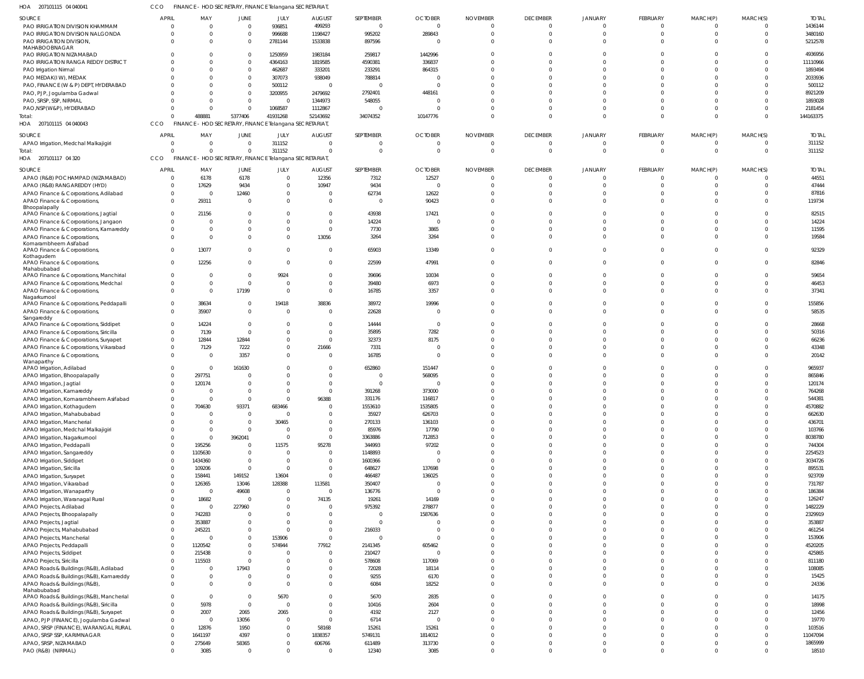| HOA 207101115 04 040041                                                 | CCO          | FINANCE - HOD SECRETARY, FINANCE Telangana SECRETARIAT, |                                                 |                      |                               |                     |                     |                              |                            |                            |                         |                         |                            |                   |
|-------------------------------------------------------------------------|--------------|---------------------------------------------------------|-------------------------------------------------|----------------------|-------------------------------|---------------------|---------------------|------------------------------|----------------------------|----------------------------|-------------------------|-------------------------|----------------------------|-------------------|
| SOURCE                                                                  | <b>APRIL</b> | MAY                                                     | <b>JUNE</b>                                     | JULY                 | <b>AUGUST</b>                 | SEPTEMBER           | <b>OCTOBER</b>      | <b>NOVEMBER</b>              | <b>DECEMBER</b>            | <b>JANUARY</b>             | FEBRUARY                | MARCH(P)                | MARCH(S)                   | <b>TOTAL</b>      |
| PAO IRRIGATION DIVISION KHAMMAM                                         |              | $\overline{0}$<br>$\Omega$                              | $\mathbf{0}$                                    | 936851               | 499293                        | $\overline{0}$      | $\overline{0}$      | $\Omega$                     | $\overline{0}$             | $\Omega$                   | $\mathbf 0$             | 0                       | $\overline{0}$             | 1436144           |
| PAO IRRIGATION DIVISION NALGONDA                                        |              | $\Omega$<br>$\Omega$                                    | $\mathbf{0}$                                    | 996688               | 1198427                       | 995202              | 289843              | $\Omega$                     | $\Omega$                   | $\Omega$                   | $\overline{0}$          | $\mathbf 0$             | $\Omega$                   | 3480160           |
| PAO IRRIGATION DIVISION,<br>MAHABOOBNAGAR                               |              | $\Omega$<br>$\Omega$                                    | $\overline{0}$                                  | 2781144              | 1533838                       | 897596              | 0                   | $\Omega$                     | $\Omega$                   | $\Omega$                   | $\Omega$                | $\Omega$                | $\Omega$                   | 5212578           |
| PAO IRRIGATION NIZAMABAD                                                |              | $\Omega$                                                | $\overline{0}$                                  | 1250959              | 1983184                       | 259817              | 1442996             | $\Omega$                     | $\Omega$                   | $\Omega$                   | $\Omega$                | $\Omega$                | $\Omega$                   | 4936956           |
| PAO IRRIGATION RANGA REDDY DISTRICT                                     |              | $\Omega$                                                | $\overline{0}$                                  | 4364163              | 1819585                       | 4590381             | 336837              | $\Omega$                     | $\Omega$                   |                            | $\Omega$                | $\Omega$                | $\Omega$                   | 11110966          |
| PAO Irrigation Nirmal                                                   |              | $\Omega$                                                | $\mathbf{0}$                                    | 462687               | 333201                        | 233291              | 864315              | $\Omega$                     | $\Omega$                   | $\Omega$                   | $\Omega$                | $\Omega$                | $\Omega$                   | 1893494           |
| PAO MEDAK(IW), MEDAK                                                    |              | $\Omega$<br>$\Omega$                                    | $\mathbf{0}$<br>$\Omega$                        | 307073               | 938049                        | 788814              | 0                   | $\Omega$                     | $\Omega$<br>$\Omega$       | $\Omega$<br>$\Omega$       | $\Omega$<br>$\Omega$    | $\Omega$<br>$\Omega$    | $\Omega$<br>$\Omega$       | 2033936<br>500112 |
| PAO, FINANCE (W & P) DEPT, HYDERABAD<br>PAO, PJP, Jogulamba Gadwal      |              | $\Omega$                                                | $\Omega$                                        | 500112<br>3200955    | $\overline{0}$<br>2479692     | $\Omega$<br>2792401 | - 0<br>448161       | $\Omega$<br>$\Omega$         | $\Omega$                   | $\Omega$                   | $\Omega$                | $\Omega$                | $\Omega$                   | 8921209           |
| PAO, SRSP, SSP, NIRMAL                                                  |              | $\Omega$                                                | $\Omega$                                        | - 0                  | 1344973                       | 548055              | - 0                 | $\Omega$                     | $\Omega$                   | $\Omega$                   | $\Omega$                | $\Omega$                | $\Omega$                   | 1893028           |
| PAO, NSP (W&P), HYDERABAD                                               |              | $\Omega$<br>$\Omega$                                    | $\Omega$                                        | 1068587              | 1112867                       |                     | $\Omega$            | $\Omega$                     | $\Omega$                   | $\Omega$                   | $\Omega$                | $\Omega$                | $\Omega$                   | 2181454           |
| Total:                                                                  |              | 488881<br>$\Omega$                                      | 5377406                                         | 41931268             | 52143692                      | 34074352            | 10147776            | $\Omega$                     | $\Omega$                   | $\Omega$                   | $\Omega$                | $\Omega$                | $\Omega$                   | 144163375         |
| HOA 207101115 04 040043                                                 | CCO          | FINANCE - HOD SECRETARY, FINANCE Telangana SECRETARIAT, |                                                 |                      |                               |                     |                     |                              |                            |                            |                         |                         |                            |                   |
| SOURCE                                                                  | <b>APRIL</b> | MAY                                                     | <b>JUNE</b>                                     | JULY                 | <b>AUGUST</b>                 | SEPTEMBER           | <b>OCTOBER</b>      | <b>NOVEMBER</b>              | <b>DECEMBER</b>            | JANUARY                    | <b>FEBRUARY</b>         | MARCH(P)                | MARCH(S)                   | <b>TOTAL</b>      |
| APAO Irrigation, Medchal Malkajigiri                                    |              | $\Omega$<br>$\Omega$                                    | $\overline{0}$                                  | 311152               | $\overline{0}$                |                     | 0                   | 0                            | $\overline{0}$             | $\overline{0}$             | $\overline{0}$          | 0                       | $\overline{0}$             | 311152            |
| Total:                                                                  |              | $\Omega$<br>$\Omega$                                    | $\mathbf 0$                                     | 311152               | $\Omega$                      |                     | $\Omega$            | $\Omega$                     | $\Omega$                   | $\Omega$                   | $\overline{0}$          | $\mathbf 0$             | $\Omega$                   | 311152            |
| HOA 207101117 04 320                                                    | <b>CCO</b>   | <b>FINANCE</b>                                          | - HOD SECRETARY, FINANCE Telangana SECRETARIAT, |                      |                               |                     |                     |                              |                            |                            |                         |                         |                            |                   |
| SOURCE                                                                  | <b>APRIL</b> | MAY                                                     | JUNE                                            | <b>JULY</b>          | <b>AUGUST</b>                 | SEPTEMBER           | <b>OCTOBER</b>      | <b>NOVEMBER</b>              | <b>DECEMBER</b>            | <b>JANUARY</b>             | <b>FEBRUARY</b>         | MARCH(P)                | MARCH(S)                   | <b>TOTAL</b>      |
| APAO (R&B) POCHAMPAD (NIZAMABAD)                                        |              | 6178<br>$\overline{0}$                                  | 6178                                            | - 0                  | 12356                         | 7312                | 12527               | $\Omega$                     | $\Omega$                   | $\Omega$                   | $\Omega$                | $\Omega$                | $\Omega$                   | 44551             |
| APAO (R&B) RANGAREDDY (HYD)                                             |              | $\mathbf{0}$<br>17629                                   | 9434                                            | - 0                  | 10947                         | 9434                | 0                   | $\Omega$                     | $\Omega$                   | $\Omega$                   | $\mathbf 0$             | $\mathbf 0$             | $\Omega$                   | 47444             |
| APAO Finance & Corporations, Adilabad                                   |              | $\Omega$<br>$\overline{\phantom{0}}$                    | 12460                                           | - 0                  | $\overline{0}$                | 62734               | 12622               | $\Omega$                     | $\Omega$                   | $\Omega$                   | $\Omega$                | $\Omega$                | $\Omega$                   | 87816             |
| APAO Finance & Corporations,<br>Bhoopalapally                           |              | $\Omega$<br>29311                                       | $\Omega$                                        | - 0                  | $\overline{0}$                | $\Omega$            | 90423               | $\Omega$                     | $\Omega$                   | $\Omega$                   | $\Omega$                | $\Omega$                | $\overline{0}$             | 119734            |
| APAO Finance & Corporations, Jagtial                                    |              | 21156<br>$\Omega$                                       | $\Omega$                                        |                      | 0                             | 43938               | 17421               | $\Omega$                     | $\Omega$                   | $\Omega$                   | $\Omega$                | $\Omega$                | $\Omega$                   | 82515             |
| APAO Finance & Corporations, Jangaon                                    |              | $\Omega$<br>$\Omega$                                    | $\Omega$                                        | - 0                  | $\overline{0}$                | 14224               | $\overline{0}$      | $\Omega$                     | $\Omega$                   | $\Omega$                   | $\Omega$                | $\Omega$                | $\Omega$                   | 14224             |
| APAO Finance & Corporations, Kamareddy                                  |              | $\Omega$<br>$\overline{0}$                              | $\Omega$                                        | - 0                  | $\overline{0}$                | 7730                | 3865                | $\Omega$                     | $\Omega$                   | $\Omega$                   | $\Omega$                | $\Omega$                | $\Omega$                   | 11595             |
| APAO Finance & Corporations,                                            |              | $\Omega$<br>- 0                                         | $\Omega$                                        | $\Omega$             | 13056                         | 3264                | 3264                | $\Omega$                     | $\Omega$                   | $\Omega$                   | $\Omega$                | $\Omega$                | $\Omega$                   | 19584             |
| Komarambheem Asifabad<br>APAO Finance & Corporations,                   |              | 13077<br>$\Omega$                                       | $\mathbf 0$                                     | - 0                  | 0                             | 65903               | 13349               | $\Omega$                     | $\Omega$                   | $\Omega$                   | $\Omega$                | $\Omega$                | $\Omega$                   | 92329             |
| Kothagudem                                                              |              |                                                         |                                                 |                      |                               |                     |                     |                              |                            |                            |                         |                         |                            |                   |
| APAO Finance & Corporations,                                            |              | 12256<br>$\Omega$                                       | $^{\circ}$                                      | - 0                  | 0                             | 22599               | 47991               | $\Omega$                     | $\Omega$                   | $\Omega$                   | $\Omega$                | $\Omega$                | $\Omega$                   | 82846             |
| Mahabubabad<br>APAO Finance & Corporations, Manchirial                  |              | $\Omega$<br>$\Omega$                                    | $\overline{0}$                                  | 9924                 | $\overline{0}$                | 39696               | 10034               | $\Omega$                     | $\Omega$                   | $\Omega$                   | $\Omega$                | $\Omega$                | $\Omega$                   | 59654             |
| APAO Finance & Corporations, Medchal                                    |              | $\Omega$<br>$\Omega$                                    | 0                                               | $\Omega$             | 0                             | 39480               | 6973                | $\mathbf 0$                  | $\Omega$                   | $\Omega$                   | $\Omega$                | $\Omega$                | $\Omega$                   | 46453             |
| APAO Finance & Corporations,                                            |              | $\Omega$<br>- 0                                         | 17199                                           | $\overline{0}$       | $\Omega$                      | 16785               | 3357                | $\Omega$                     | $\Omega$                   | $\Omega$                   | $\Omega$                | $\Omega$                | $\Omega$                   | 37341             |
| Nagarkurnool                                                            |              |                                                         |                                                 |                      |                               |                     |                     |                              | $\Omega$                   | $\Omega$                   |                         |                         | $\Omega$                   |                   |
| APAO Finance & Corporations, Peddapalli<br>APAO Finance & Corporations, |              | 38634<br>$\Omega$<br>35907<br>$\Omega$                  | $\mathbf{0}$<br>$\overline{0}$                  | 19418<br>$\Omega$    | 38836<br>$\mathbf{0}$         | 38972<br>22628      | 19996<br>0          | 0<br>$\Omega$                | $\Omega$                   | $\Omega$                   | $\Omega$<br>$\Omega$    | $\Omega$<br>$\Omega$    | $\overline{0}$             | 155856<br>58535   |
| Sangareddy                                                              |              |                                                         |                                                 |                      |                               |                     |                     |                              |                            |                            |                         |                         |                            |                   |
| APAO Finance & Corporations, Siddipet                                   |              | 14224<br>$\Omega$                                       | 0                                               | - 0                  | $\overline{0}$                | 14444               | 0                   | $\Omega$                     | $\Omega$                   | $\Omega$                   | C                       | $\Omega$                | $\Omega$                   | 28668             |
| APAO Finance & Corporations, Siricilla                                  |              | 7139<br>$\Omega$                                        | $\overline{0}$                                  | $\Omega$             | $\Omega$                      | 35895               | 7282                | $\Omega$                     | $\Omega$                   | $\Omega$                   | $\Omega$                | $\Omega$                | $\Omega$                   | 50316             |
| APAO Finance & Corporations, Suryapet                                   |              | $\mathbf 0$<br>12844                                    | 12844                                           | $\Omega$             | $\mathbf{0}$                  | 32373               | 8175                | $\Omega$                     | $\Omega$                   | $\Omega$                   | $\Omega$                | $\Omega$                | $\Omega$                   | 66236             |
| APAO Finance & Corporations, Vikarabad<br>APAO Finance & Corporations,  |              | 7129<br>$\Omega$<br>$\Omega$<br>$\overline{0}$          | 7222<br>3357                                    | $\Omega$<br>$\Omega$ | 21666<br>$\mathbf{0}$         | 7331<br>16785       | 0<br>0              | $\Omega$<br>$\Omega$         | $\Omega$<br>$\Omega$       | $\Omega$<br>$\Omega$       | $\Omega$<br>$\Omega$    | $\Omega$<br>$\Omega$    | $\Omega$<br>$\Omega$       | 43348<br>20142    |
| Wanaparthy                                                              |              |                                                         |                                                 |                      |                               |                     |                     |                              |                            |                            |                         |                         |                            |                   |
| APAO Irrigation, Adilabad                                               |              | $\Omega$<br>- 0                                         | 161630                                          |                      | 0                             | 652860              | 151447              | $\Omega$                     | $\Omega$                   | $\Omega$                   | $\Omega$                | $\Omega$                | $\Omega$                   | 965937            |
| APAO Irrigation, Bhoopalapally                                          |              | 297751                                                  | $\Omega$                                        |                      | $\Omega$                      |                     | 568095              | $\Omega$                     | $\Omega$                   | $\Omega$                   | $\Omega$                |                         | $\Omega$                   | 865846            |
| APAO Irrigation, Jagtial                                                |              | 120174<br>$\Omega$                                      | $\Omega$                                        | $\cap$               | $\Omega$                      | $\Omega$            | $\Omega$            | $\Omega$                     | $\Omega$                   | $\cap$                     | $\Omega$                | $\Omega$                | $\overline{0}$             | 120174            |
| APAO Irrigation, Kamareddy<br>APAO Irrigation, Komarambheem Asifabad    |              | $\Omega$<br>$\Omega$                                    | 0                                               | $\Omega$             | 96388                         | 391268<br>331176    | 373000<br>116817    | $\Omega$                     | $\Omega$                   | $\cap$                     | $\Omega$                | $\Omega$                | $\Omega$                   | 764268<br>544381  |
| APAO Irrigation, Kothagudem                                             |              | $\Omega$<br>704630                                      | 93371                                           | 683466               | $\mathbf{0}$                  | 1553610             | 1535805             | $\mathbf{0}$                 | $\Omega$                   | $\Omega$                   | $\Omega$                | $\Omega$                | $\Omega$                   | 4570882           |
| APAO Irrigation, Mahabubabad                                            |              | $\Omega$<br>$\overline{0}$                              | $\overline{0}$                                  | $\Omega$             | $\overline{0}$                | 35927               | 626703              | $\Omega$                     | $\Omega$                   | $\Omega$                   | $\Omega$                | $\Omega$                | $\Omega$                   | 662630            |
| APAO Irrigation, Mancherial                                             |              | $\Omega$<br>$\overline{0}$                              | 0                                               | 30465                | $\mathbf 0$                   | 270133              | 136103              | $\Omega$                     | $\Omega$                   | $\Omega$                   | $\Omega$                | $\Omega$                | $\Omega$                   | 436701            |
| APAO Irrigation, Medchal Malkajigiri                                    |              | $\Omega$<br>$\Omega$                                    | $\overline{0}$                                  | $\Omega$             | $\overline{0}$                | 85976               | 17790               | $\Omega$                     | $\Omega$                   | $\Omega$                   | $\Omega$                | $\Omega$                | $\Omega$                   | 103766            |
| APAO Irrigation, Nagarkurnool                                           |              | $\Omega$<br>$\overline{0}$                              | 3962041                                         | $\Omega$             | $\mathbf{0}$                  | 3363886             | 712853              | $\Omega$                     | $\Omega$                   | $\Omega$                   | $\Omega$                | $\Omega$                | $\Omega$                   | 8038780           |
| APAO Irrigation, Peddapalli                                             |              | $\Omega$<br>195256                                      | $\mathbf{0}$                                    | 11575                | 95278                         | 344993              | 97202               | $\Omega$                     | $\Omega$                   | $\Omega$                   | $\Omega$                | $\Omega$                | $\Omega$                   | 744304            |
| APAO Irrigation, Sangareddy                                             |              | 1105630<br>$\overline{0}$<br>$\Omega$                   | $\mathbf{0}$                                    | - 0<br>$\Omega$      | $\overline{0}$<br>$\mathbf 0$ | 1148893             | 0<br>$\overline{0}$ | $\Omega$<br>$\Omega$         | $\Omega$<br>$\Omega$       | $\Omega$<br>$\Omega$       | $\Omega$<br>$\Omega$    | $\Omega$<br>$\Omega$    | $\Omega$<br>$\Omega$       | 2254523           |
| APAO Irrigation, Siddipet<br>APAO Irrigation, Siricilla                 |              | 1434360<br>109206<br>$\Omega$                           | $\overline{0}$<br>$\overline{0}$                | $\Omega$             | $\mathbf{0}$                  | 1600366<br>648627   | 137698              | $\Omega$                     | $\Omega$                   | $\Omega$                   | $\Omega$                | $\Omega$                | $\Omega$                   | 3034726<br>895531 |
| APAO Irrigation, Suryapet                                               |              | 158441<br>$\Omega$                                      | 149152                                          | 13604                | $\overline{0}$                | 466487              | 136025              | $\Omega$                     | $\Omega$                   | $\Omega$                   | $\Omega$                | $\Omega$                | $\Omega$                   | 923709            |
| APAO Irrigation, Vikarabad                                              |              | 126365<br>$\Omega$                                      | 13046                                           | 128388               | 113581                        | 350407              | 0                   | $\Omega$                     | $\Omega$                   | $\Omega$                   | $\Omega$                | $\Omega$                | $\Omega$                   | 731787            |
| APAO Irrigation, Wanaparthy                                             |              | $\Omega$<br>$\overline{0}$                              | 49608                                           | $\Omega$             | $\overline{0}$                | 136776              | 0                   | $\Omega$                     | $\Omega$                   | $\Omega$                   | $\Omega$                | $\Omega$                | $\Omega$                   | 186384            |
| APAO Irrigation, Waranagal Rural                                        |              | $\Omega$<br>18682                                       | $\overline{0}$                                  | - 0                  | 74135                         | 19261               | 14169               | $\Omega$                     | $\Omega$                   | $\Omega$                   | $\Omega$                | $\Omega$                | $\Omega$                   | 126247            |
| APAO Projects, Adilabad                                                 |              | $\Omega$<br>$\overline{0}$                              | 227960                                          | $\Omega$             | $\overline{0}$                | 975392              | 278877              | $\Omega$                     | $\Omega$                   | $\Omega$                   | $\Omega$                | $\Omega$                | $\Omega$                   | 1482229           |
| APAO Projects, Bhoopalapally                                            |              | $\Omega$<br>742283                                      | 0                                               | $\Omega$             | $\mathbf 0$                   | $\Omega$            | 1587636             | $\Omega$                     | $\Omega$                   | $\Omega$                   | $\Omega$                | $\Omega$                | $\Omega$                   | 2329919           |
| APAO Projects, Jagtial                                                  |              | 353887<br>$\Omega$<br>$\Omega$                          | $\Omega$<br>$\mathbf{0}$                        | $\Omega$<br>$\Omega$ | $\overline{0}$<br>$\mathbf 0$ | $\Omega$<br>216033  | 0<br>0              | $\Omega$<br>$\Omega$         | $\Omega$<br>$\Omega$       | $\Omega$<br>$\Omega$       | $\Omega$<br>$\Omega$    | $\Omega$<br>$\Omega$    | $\Omega$<br>$\Omega$       | 353887<br>461254  |
| APAO Projects, Mahabubabad<br>APAO Projects, Mancherial                 |              | 245221<br>$\Omega$<br>$\Omega$                          | $\mathbf 0$                                     | 153906               | $\overline{0}$                | $\Omega$            | 0                   | $\Omega$                     | $\Omega$                   | $\Omega$                   | $\Omega$                | $\Omega$                | $\Omega$                   | 153906            |
| APAO Projects, Peddapalli                                               |              | 1120542<br>$\overline{0}$                               | $\mathbf 0$                                     | 574944               | 77912                         | 2141345             | 605462              | $\Omega$                     | $\Omega$                   | $\Omega$                   | $\Omega$                | $\Omega$                | $\Omega$                   | 4520205           |
| APAO Projects, Siddipet                                                 |              | 215438<br>$\Omega$                                      | $\mathbf{0}$                                    | $\Omega$             | $\overline{0}$                | 210427              | 0                   | $\Omega$                     | $\Omega$                   | $\Omega$                   | $\Omega$                | $\Omega$                | $\Omega$                   | 425865            |
| APAO Projects, Siricilla                                                |              | 115503<br>$\Omega$                                      | $\overline{0}$                                  | - 0                  | $\mathbf 0$                   | 578608              | 117069              | $\Omega$                     | $\Omega$                   | $\Omega$                   | $\Omega$                | $\Omega$                | $\Omega$                   | 811180            |
| APAO Roads & Buildings (R&B), Adilabad                                  |              | $\Omega$<br>$\overline{0}$                              | 17943                                           | $\Omega$             | $\Omega$                      | 72028               | 18114               | $\Omega$                     | $\Omega$                   | $\Omega$                   | $\Omega$                | $\Omega$                | $\Omega$                   | 108085            |
| APAO Roads & Buildings (R&B), Kamareddy                                 |              | $\overline{0}$<br>$\overline{0}$                        | $\mathbf{0}$                                    | $\Omega$             | $\mathbf 0$                   | 9255                | 6170                | $\mathbf{0}$                 | $\Omega$                   | $\Omega$                   | $\mathbf 0$             | $\mathbf 0$             | $\overline{0}$             | 15425             |
| APAO Roads & Buildings (R&B),<br>Mahabubabad                            |              | $\Omega$<br>$\Omega$                                    | $\mathbf 0$                                     | $\Omega$             | $\mathbf 0$                   | 6084                | 18252               | $\Omega$                     | $\Omega$                   | $\Omega$                   | $\Omega$                | $\Omega$                | $\Omega$                   | 24336             |
| APAO Roads & Buildings (R&B), Mancherial                                |              | $\Omega$<br>$\overline{0}$                              | $\overline{0}$                                  | 5670                 | $\mathbf 0$                   | 5670                | 2835                | 0                            | $\Omega$                   | $\Omega$                   | $\Omega$                | $\Omega$                | $\Omega$                   | 14175             |
| APAO Roads & Buildings (R&B), Siricilla                                 |              | 5978<br>$\Omega$                                        | $\overline{0}$                                  | $\Omega$             | $\mathbf{0}$                  | 10416               | 2604                | $\Omega$                     | $\Omega$                   | $\Omega$                   | $\Omega$                | $\Omega$                | $\overline{0}$             | 18998             |
| APAO Roads & Buildings (R&B), Suryapet                                  |              | $\overline{0}$<br>2007                                  | 2065                                            | 2065                 | $\overline{0}$                | 4192                | 2127                | $\mathbf{0}$                 | $\Omega$                   | $\Omega$                   | $\Omega$                | $\Omega$                | $\Omega$                   | 12456             |
| APAO, PJP (FINANCE), Jogulamba Gadwal                                   |              | $\mathbf 0$<br>$\overline{0}$                           | 13056                                           | $\Omega$             | $\overline{0}$                | 6714                | 0                   | $\Omega$                     | $\Omega$                   | $\Omega$                   | $\Omega$                | $\Omega$                | $\Omega$                   | 19770             |
| APAO, SRSP (FINANCE), WARANGAL RURAL                                    |              | $\mathbf 0$<br>12876                                    | 1950                                            | $\Omega$             | 58168                         | 15261               | 15261               | $\Omega$                     | $\Omega$                   | $\Omega$                   | $\Omega$                | $\Omega$                | $\Omega$                   | 103516            |
| APAO, SRSP SSP, KARIMNAGAR                                              |              | $\Omega$<br>1641197<br>$\overline{0}$                   | 4397                                            | - 0                  | 1838357                       | 5749131             | 1814012             | $\Omega$                     | $\Omega$<br>$\overline{0}$ | $\Omega$                   | $\Omega$<br>$\mathbf 0$ | $\Omega$<br>$\mathbf 0$ | $\Omega$<br>$\overline{0}$ | 11047094          |
| APAO, SRSP, NIZAMABAD<br>PAO (R&B) (NIRMAL)                             |              | 275649<br>$\Omega$<br>3085                              | 58365<br>$\mathbf{0}$                           | - 0<br>$\Omega$      | 606766<br>$\mathbf 0$         | 611489<br>12340     | 313730<br>3085      | $\mathbf{0}$<br>$\mathbf{0}$ | $\Omega$                   | $\overline{0}$<br>$\Omega$ | $\Omega$                | $\overline{0}$          | $\Omega$                   | 1865999<br>18510  |
|                                                                         |              |                                                         |                                                 |                      |                               |                     |                     |                              |                            |                            |                         |                         |                            |                   |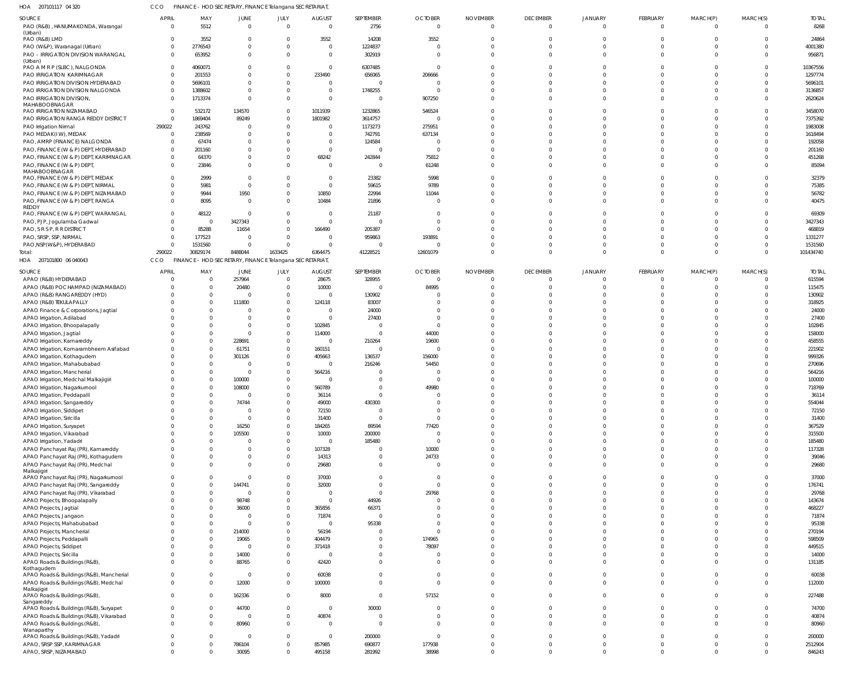| HOA 207101117 04 320                                                          |                            | FINANCE - HOD SECRETARY, FINANCE Telangana SECRETARIAT  |                               |                                  |                                 |                      |                                  |                                 |                             |                            |                         |                         |                      |                      |
|-------------------------------------------------------------------------------|----------------------------|---------------------------------------------------------|-------------------------------|----------------------------------|---------------------------------|----------------------|----------------------------------|---------------------------------|-----------------------------|----------------------------|-------------------------|-------------------------|----------------------|----------------------|
| SOURCE<br>PAO (R&B), HANUMAKONDA, Warangal                                    | <b>APRIL</b><br>$\Omega$   | MAY<br>5512                                             | <b>JUNE</b><br>$\overline{0}$ | JULY<br>$\mathbf 0$              | <b>AUGUST</b><br>$\overline{0}$ | SEPTEMBER<br>2756    | <b>OCTOBER</b><br>$\mathbf 0$    | <b>NOVEMBER</b><br>$\mathbf{0}$ | <b>DECEMBER</b><br>$\Omega$ | <b>JANUARY</b><br>$\Omega$ | FEBRUARY<br>$\mathbf 0$ | MARCH(P)<br>$\mathbf 0$ | MARCH(S)<br>$\Omega$ | <b>TOTAL</b><br>8268 |
| (Urban)<br>PAO (R&B) LMD                                                      | $^{\circ}$                 | 3552                                                    | $\overline{0}$                | $\overline{0}$                   | 3552                            | 14208                | 3552                             | $\Omega$                        | $\Omega$                    |                            |                         |                         | $\Omega$             | 24864                |
| PAO (W&P), Waranagal (Urban)                                                  | $\mathbf 0$                | 2776543                                                 | $\Omega$                      | $\overline{0}$                   | $\mathbf 0$                     | 1224837              | $\Omega$                         | $\Omega$                        | $\Omega$                    | $\Omega$                   |                         |                         | $\Omega$             | 4001380              |
| PAO - IRRIGATION DIVISION WARANGAL<br>(Urban)                                 | $\Omega$                   | 653952                                                  | $\Omega$                      | $\Omega$                         | $\mathbf{0}$                    | 302919               | $\Omega$                         | $\Omega$                        | $\Omega$                    | $\cap$                     | $\Omega$                | $\Omega$                | $\Omega$             | 956871               |
| PAO A M R P (SLBC), NALGONDA                                                  | $\Omega$                   | 4060071                                                 |                               | 0                                | $\mathbf 0$                     | 6307485              | $\Omega$                         |                                 |                             |                            |                         |                         | $\Omega$             | 10367556             |
| PAO IRRIGATION KARIMNAGAR                                                     | $\Omega$                   | 201553                                                  | $\Omega$                      | $\Omega$                         | 233490                          | 656065               | 206666                           |                                 |                             |                            |                         |                         | $\Omega$             | 1297774              |
| PAO IRRIGATION DIVISION HYDERABAD<br>PAO IRRIGATION DIVISION NALGONDA         | $\Omega$<br>$\Omega$       | 5696101<br>1388602                                      | $\Omega$                      | 0<br>$\overline{0}$              | $\mathbf 0$<br>$\overline{0}$   | $\Omega$<br>1748255  | $\Omega$                         |                                 |                             | $\cap$                     |                         |                         | $\Omega$<br>$\Omega$ | 5696101<br>3136857   |
| PAO IRRIGATION DIVISION,                                                      | $\Omega$                   | 1713374                                                 | $\Omega$                      | $\Omega$                         | $\overline{0}$                  | $\Omega$             | 907250                           | $\Omega$                        |                             |                            |                         |                         | $\Omega$             | 2620624              |
| MAHABOOBNAGAR                                                                 | $\Omega$                   |                                                         |                               | $\Omega$                         |                                 |                      | 546524                           |                                 |                             |                            |                         |                         | $\cap$               |                      |
| PAO IRRIGATION NIZAMABAD<br>PAO IRRIGATION RANGA REDDY DISTRICT               | $\overline{0}$             | 532172<br>1869404                                       | 134570<br>89249               | 0                                | 1011939<br>1801982              | 1232865<br>3614757   | $\Omega$                         |                                 |                             |                            |                         |                         | $\Omega$             | 3458070<br>7375392   |
| PAO Irrigation Nirmal                                                         | 290022                     | 243762                                                  |                               | $\Omega$                         | $\Omega$                        | 1173273              | 275951                           |                                 |                             |                            |                         |                         | $\Omega$             | 1983008              |
| PAO MEDAK(IW), MEDAK                                                          | $\mathbf{0}$               | 238569                                                  |                               | 0                                | $\mathbf 0$                     | 742791               | 637134                           |                                 |                             |                            |                         |                         |                      | 1618494              |
| PAO, AMRP (FINANCE) NALGONDA                                                  | $\Omega$                   | 67474                                                   |                               | $\Omega$                         | $\mathbf 0$                     | 124584               |                                  |                                 |                             |                            |                         |                         | $\Omega$             | 192058               |
| PAO, FINANCE (W & P) DEPT, HYDERABAD<br>PAO, FINANCE (W & P) DEPT, KARIMNAGAR | $^{\circ}$<br>$\Omega$     | 201160<br>64370                                         |                               | 0<br>$\mathbf 0$                 | $\mathbf{0}$<br>68242           | $\Omega$<br>242844   | $\Omega$<br>75812                |                                 |                             |                            |                         |                         | $\Omega$<br>$\Omega$ | 201160<br>451268     |
| PAO, FINANCE (W & P) DEPT                                                     | $\Omega$                   | 23846                                                   | <sup>0</sup>                  | $\Omega$                         | $\overline{0}$                  | $\Omega$             | 61248                            | $\Omega$                        | $\cap$                      | $\cap$                     |                         | n                       | $\Omega$             | 85094                |
| MAHABOOBNAGAR                                                                 |                            |                                                         |                               |                                  |                                 |                      |                                  |                                 |                             |                            |                         |                         |                      |                      |
| PAO, FINANCE (W & P) DEPT, MEDAK<br>PAO, FINANCE (W & P) DEPT, NIRMAL         | $\Omega$<br>$\Omega$       | 2999<br>5981                                            | $\Omega$<br>$\mathbf 0$       | $\Omega$<br>$\mathbf 0$          | $\overline{0}$<br>$\mathbf 0$   | 23382<br>59615       | 5998<br>9789                     |                                 |                             |                            |                         |                         | $\Omega$<br>$\Omega$ | 32379<br>75385       |
| PAO, FINANCE (W & P) DEPT, NIZAMABAD                                          | $\Omega$                   | 9944                                                    | 1950                          | 0                                | 10850                           | 22994                | 11044                            |                                 | $\Omega$                    | $\cap$                     |                         |                         | $\Omega$             | 56782                |
| PAO, FINANCE (W & P) DEPT, RANGA                                              | $\Omega$                   | 8095                                                    | $\Omega$                      | $\overline{0}$                   | 10484                           | 21896                | $\Omega$                         | $\Omega$                        |                             |                            |                         |                         | $\Omega$             | 40475                |
| REDDY<br>PAO, FINANCE (W & P) DEPT, WARANGAL                                  | $\mathbf 0$                | 48122                                                   | $\Omega$                      | $\overline{0}$                   | $\overline{0}$                  | 21187                | $\Omega$                         |                                 |                             |                            |                         |                         | $\cap$               | 69309                |
| PAO, PJP, Jogulamba Gadwal                                                    | $\Omega$                   | $\Omega$                                                | 3427343                       | 0                                | $\overline{0}$                  | $\Omega$             |                                  |                                 |                             |                            |                         |                         |                      | 3427343              |
| PAO, S R S P, R R DISTRICT                                                    | $\Omega$                   | 85288                                                   | 11654                         | $\overline{0}$                   | 166490                          | 205387               |                                  |                                 |                             |                            |                         |                         |                      | 468819               |
| PAO, SRSP, SSP, NIRMAL                                                        | $\Omega$                   | 177523                                                  | $\Omega$                      | $\overline{0}$                   | $\overline{0}$                  | 959863               | 193891                           |                                 |                             |                            |                         |                         |                      | 1331277              |
| PAO, NSP (W&P), HYDERABAD<br>Total:                                           | $\Omega$<br>290022         | 1531560<br>30829174                                     | $\Omega$<br>8488044           | $\Omega$<br>1633425              | $\Omega$<br>6364475             | 41228521             | 12601079                         | $\Omega$                        | $\Omega$                    | $\cap$<br>$\Omega$         | $\Omega$                | $\Omega$                | $\Omega$<br>$\Omega$ | 1531560<br>101434740 |
| 207101800 06 040043<br>HOA                                                    | CCO                        | FINANCE - HOD SECRETARY, FINANCE Telangana SECRETARIAT, |                               |                                  |                                 |                      |                                  |                                 |                             |                            |                         |                         |                      |                      |
| SOURCE                                                                        | <b>APRIL</b>               | MAY                                                     | <b>JUNE</b>                   | JULY                             | <b>AUGUST</b>                   | SEPTEMBER            | <b>OCTOBER</b>                   | <b>NOVEMBER</b>                 | <b>DECEMBER</b>             | <b>JANUARY</b>             | FEBRUARY                | MARCH(P)                | MARCH(S)             | <b>TOTAL</b>         |
| APAO (R&B) HYDERABAD                                                          | 0                          | $\overline{0}$                                          | 257964                        | $\overline{0}$                   | 28675                           | 328955               | $\overline{0}$                   | $\Omega$                        | $\Omega$                    |                            | 0                       | 0                       | $\Omega$             | 615594               |
| APAO (R&B) POCHAMPAD (NIZAMABAD)                                              | $\Omega$<br>$\Omega$       | $\Omega$<br>$\Omega$                                    | 20480<br>$\Omega$             | $\overline{0}$<br>$\overline{0}$ | 10000<br>$\mathbf 0$            | - 0<br>130902        | 84995                            | $\Omega$                        | $\Omega$                    |                            | $\Omega$                |                         | $\Omega$<br>$\Omega$ | 115475<br>130902     |
| APAO (R&B) RANGAREDDY (HYD)<br>APAO (R&B) TEKULAPALLY                         | $\Omega$                   | $\Omega$                                                | 111800                        | $\overline{0}$                   | 124118                          | 83007                |                                  |                                 |                             |                            |                         |                         | $\cap$               | 318925               |
| APAO Finance & Corporations, Jagtial                                          | $\Omega$                   | $\Omega$                                                |                               | 0                                | $\overline{0}$                  | 24000                |                                  |                                 |                             |                            |                         |                         | $\Omega$             | 24000                |
| APAO Irrigation, Adilabad                                                     | $\Omega$                   | $\cap$                                                  |                               | 0                                | $\overline{0}$                  | 27400                |                                  |                                 |                             |                            |                         |                         | $\cap$               | 27400                |
| APAO Irrigation, Bhoopalapally                                                | $\Omega$                   | $\Omega$                                                | $\Omega$                      | 0                                | 102845                          |                      | $\Omega$                         |                                 |                             |                            |                         |                         | $\Omega$             | 102845               |
| APAO Irrigation, Jagtial<br>APAO Irrigation, Kamareddy                        | 0<br>$\Omega$              | $\Omega$<br>$\Omega$                                    | $\Omega$<br>228691            | 0<br>0                           | 114000<br>$\overline{0}$        | - 0<br>210264        | 44000<br>19600                   |                                 |                             |                            |                         |                         | $\cap$<br>$\cap$     | 158000<br>458555     |
| APAO Irrigation, Komarambheem Asifabad                                        | $\Omega$                   | $\Omega$                                                | 61751                         | 0                                | 160151                          | $\Omega$             | $\overline{0}$                   |                                 |                             |                            |                         |                         | $\cap$               | 221902               |
| APAO Irrigation, Kothagudem                                                   | $\Omega$                   | $\Omega$                                                | 301126                        | 0                                | 405663                          | 136537               | 156000                           |                                 |                             |                            |                         |                         | $\cap$               | 999326               |
| APAO Irrigation, Mahabubabad                                                  | $\Omega$                   | $\Omega$                                                |                               | 0                                | $\Omega$                        | 216246               | 54450                            |                                 |                             |                            |                         |                         |                      | 270696               |
| APAO Irrigation, Mancherial<br>APAO Irrigation, Medchal Malkajigiri           | $\Omega$                   | $\Omega$<br>$\Omega$                                    | $\Omega$<br>100000            | $\Omega$<br>$\Omega$             | 564216                          |                      | $\Omega$                         |                                 |                             |                            |                         |                         | $\cap$               | 564216<br>100000     |
| APAO Irrigation, Nagarkurnool                                                 | $\cap$                     | $\Omega$                                                | 108000                        | $\Omega$                         | 560789                          |                      | 49980                            |                                 |                             |                            |                         |                         | $\Omega$             | 718769               |
| APAO Irrigation, Peddapalli                                                   | $\mathbf 0$                | $\Omega$                                                | $\overline{0}$                | $\overline{0}$                   | 36114                           | $\Omega$             | $\Omega$                         | $\Omega$                        | $\cap$                      |                            | $\Omega$                | $\Omega$                | $\Omega$             | 36114                |
| APAO Irrigation, Sangareddy                                                   | $\mathbf 0$                | $\Omega$                                                | 74744                         | $\overline{0}$                   | 49000                           | 430300               | $\Omega$                         | $\Omega$                        | $\Omega$                    | $\Omega$                   |                         |                         | $\Omega$             | 554044               |
| APAO Irrigation, Siddipet<br>APAO Irrigation, Siricilla                       | $\mathbf 0$<br>$\Omega$    | $\Omega$<br>$\Omega$                                    | $\Omega$<br>$\overline{0}$    | $\overline{0}$<br>$\overline{0}$ | 72150<br>31400                  | $\Omega$<br>$\Omega$ | $\mathbf 0$<br>$\Omega$          | $\Omega$<br>$\Omega$            | $\Omega$<br>$\Omega$        | $\Omega$<br>$\Omega$       | $\Omega$                | $\Omega$                | $\Omega$<br>$\Omega$ | 72150<br>31400       |
| APAO Irrigation, Suryapet                                                     | $^{\circ}$                 | $\Omega$                                                | 16250                         | 0                                | 184265                          | 89594                | 77420                            | $\Omega$                        | $\cap$                      | $\Omega$                   |                         |                         | $\Omega$             | 367529               |
| APAO Irrigation, Vikarabad                                                    | $\mathbf 0$                | $\Omega$                                                | 105500                        | $\overline{0}$                   | 10000                           | 200000               | $\overline{0}$                   | $\Omega$                        | $\Omega$                    | $\Omega$                   |                         |                         | $\Omega$             | 315500               |
| APAO Irrigation, Yadadri                                                      | $\Omega$                   | $\Omega$                                                |                               | $\overline{0}$                   | $\overline{0}$                  | 185480               | $\overline{0}$                   | $\Omega$                        | $\cap$                      | $\Omega$                   |                         | $\Omega$                | $\Omega$             | 185480               |
| APAO Panchayat Raj (PR), Kamareddy                                            | $\mathbf 0$<br>$\mathbf 0$ | $\Omega$<br>$\Omega$                                    | $\Omega$                      | $\overline{0}$<br>$\overline{0}$ | 107328<br>14313                 |                      | 10000<br>24733                   | $\Omega$<br>$\mathbf 0$         | $\cap$<br>$\Omega$          | $\Omega$<br>$\Omega$       |                         | $\Omega$                | $\Omega$<br>$\Omega$ | 117328<br>39046      |
| APAO Panchayat Raj (PR), Kothagudem<br>APAO Panchayat Raj (PR), Medchal       | $\mathbf{0}$               | $\Omega$                                                | $\Omega$                      | $\mathbf{0}$                     | 29680                           | $\Omega$             | $\overline{0}$                   | $\Omega$                        | $\Omega$                    | $\Omega$                   | $\Omega$                | $\Omega$                | $\Omega$             | 29680                |
| Malkajigiri                                                                   |                            |                                                         |                               |                                  |                                 |                      |                                  |                                 |                             |                            |                         |                         |                      |                      |
| APAO Panchayat Raj (PR), Nagarkurnool<br>APAO Panchayat Raj (PR), Sangareddy  | $\mathbf 0$<br>$\mathbf 0$ | $\Omega$<br>$\Omega$                                    | $\Omega$<br>144741            | $\overline{0}$<br>$\overline{0}$ | 37000<br>32000                  | $\Omega$<br>$\Omega$ | $\overline{0}$<br>$\overline{0}$ | $\Omega$<br>$\Omega$            | $\Omega$<br>$\Omega$        | $\Omega$<br>$\Omega$       | $\Omega$                | $\Omega$                | $\Omega$<br>$\Omega$ | 37000<br>176741      |
| APAO Panchayat Raj (PR), Vikarabad                                            | $\mathbf 0$                | $\Omega$                                                | $\overline{0}$                | $\overline{0}$                   | $\mathbf 0$                     | $\Omega$             | 29768                            | $\Omega$                        | $\Omega$                    | $\Omega$                   | $\Omega$                | $\Omega$                | $\Omega$             | 29768                |
| APAO Projects, Bhoopalapally                                                  | $\mathbf 0$                | $\Omega$                                                | 98748                         | $\overline{0}$                   | $\overline{0}$                  | 44926                | $\Omega$                         | $\Omega$                        | $\Omega$                    | $\Omega$                   |                         |                         | $\Omega$             | 143674               |
| APAO Projects, Jagtial                                                        | $^{\circ}$                 | $\Omega$                                                | 36000                         | $\overline{0}$                   | 365856                          | 66371                | $\Omega$                         | $\Omega$                        | $\cap$                      | $\Omega$                   |                         |                         | $\Omega$             | 468227               |
| APAO Projects, Jangaon<br>APAO Projects, Mahabubabad                          | $\mathbf 0$<br>$^{\circ}$  | $\Omega$<br>$\Omega$                                    | $\Omega$<br>$\Omega$          | $\overline{0}$<br>$\overline{0}$ | 71874<br>$\overline{0}$         | $\Omega$<br>95338    | $\Omega$<br>$\Omega$             | $\Omega$<br>$\Omega$            | $\Omega$<br>$\cap$          | $\Omega$<br>$\cap$         |                         |                         | $\Omega$<br>$\Omega$ | 71874<br>95338       |
| APAO Projects, Mancherial                                                     | $\mathbf 0$                | $\Omega$                                                | 214000                        | $\overline{0}$                   | 56194                           |                      | $\Omega$                         | $\Omega$                        | $\cap$                      | $\cap$                     |                         |                         | $\Omega$             | 270194               |
| APAO Projects, Peddapalli                                                     | $^{\circ}$                 | $\Omega$                                                | 19065                         | $\overline{0}$                   | 404479                          |                      | 174965                           | $\Omega$                        | $\Omega$                    | $\Omega$                   |                         | $\Omega$                | $\Omega$             | 598509               |
| APAO Projects, Siddipet                                                       | $\mathbf 0$                | $\Omega$                                                | $\overline{0}$                | $\overline{0}$                   | 371418                          |                      | 78097                            | $\Omega$                        | $\Omega$                    | $\Omega$                   |                         |                         | $\Omega$             | 449515               |
| APAO Projects, Siricilla                                                      | $\mathbf 0$                | $\Omega$                                                | 14000                         | $\overline{0}$                   | $\overline{0}$                  |                      | $\overline{0}$                   | $\mathbf 0$                     | $\Omega$                    | $\Omega$                   | $\Omega$                | $\Omega$                | $\Omega$             | 14000                |
| APAO Roads & Buildings (R&B),<br>Kothagudem                                   | $\mathbf{0}$               | $\Omega$                                                | 88765                         | $\overline{0}$                   | 42420                           | $\Omega$             | $\mathbf{0}$                     | $\Omega$                        | $\cap$                      | $\Omega$                   | $\Omega$                | $\Omega$                | $\Omega$             | 131185               |
| APAO Roads & Buildings (R&B), Mancherial                                      | $\mathbf 0$                | $\Omega$                                                | $\overline{0}$                | $\overline{0}$                   | 60038                           | $\Omega$             | $\overline{0}$                   | $\mathbf 0$                     | $\Omega$                    | $\Omega$                   | $\Omega$                | $\Omega$                | $\Omega$             | 60038                |
| APAO Roads & Buildings (R&B), Medchal<br>Malkajigiri                          | $\mathbf{0}$               | $\Omega$                                                | 12000                         | $\overline{0}$                   | 100000                          | $\Omega$             | $\Omega$                         | $\mathbf{0}$                    | $\Omega$                    | $\Omega$                   | 0                       | $\mathbf 0$             | $\Omega$             | 112000               |
| APAO Roads & Buildings (R&B),                                                 | $\mathbf{0}$               | $\Omega$                                                | 162336                        | $\overline{0}$                   | 8000                            | $\Omega$             | 57152                            | $\mathbf 0$                     | $\Omega$                    | $\Omega$                   | $\Omega$                | $\Omega$                | $\Omega$             | 227488               |
| Sangareddy<br>APAO Roads & Buildings (R&B), Suryapet                          | 0                          | $\Omega$                                                | 44700                         | $\overline{0}$                   | $\overline{0}$                  | 30000                | $\mathbf 0$                      | $\mathbf 0$                     | $\Omega$                    | $\Omega$                   | 0                       | 0                       | $\Omega$             | 74700                |
| APAO Roads & Buildings (R&B), Vikarabad                                       | $\overline{0}$             | $\Omega$                                                | $\overline{0}$                | $\overline{0}$                   | 40874                           | $\Omega$             | $\mathbf{0}$                     | $\mathbf 0$                     | $\Omega$                    | $\Omega$                   | $\Omega$                | $\Omega$                | $\Omega$             | 40874                |
| APAO Roads & Buildings (R&B),                                                 | $\mathbf{0}$               | $\Omega$                                                | 80960                         | $\mathbf{0}$                     | $\overline{0}$                  | $\Omega$             | $\Omega$                         | $\Omega$                        | $\Omega$                    | $\Omega$                   | $\Omega$                | $\Omega$                | $\Omega$             | 80960                |
| Wanaparthy<br>APAO Roads & Buildings (R&B), Yadadri                           | $\mathbf 0$                | $\Omega$                                                | $\overline{0}$                | $\overline{0}$                   | $\overline{0}$                  | 200000               | $\mathbf 0$                      | $\mathbf 0$                     | $\Omega$                    | $\Omega$                   | $\mathbf 0$             | $\Omega$                | $\Omega$             | 200000               |
| APAO, SRSP SSP, KARIMNAGAR                                                    | $\mathbf{0}$               | $\Omega$                                                | 786104                        | $\overline{0}$                   | 857985                          | 690877               | 177938                           | $\mathbf 0$                     | $\Omega$                    | $\Omega$                   | 0                       | $\mathbf 0$             | $\overline{0}$       | 2512904              |
| APAO, SRSP, NIZAMABAD                                                         | $\overline{0}$             | $\overline{0}$                                          | 30095                         | $\mathbf{0}$                     | 495158                          | 281992               | 38998                            | $\mathbf 0$                     | $\Omega$                    | $\Omega$                   | 0                       | $\mathbf 0$             | $\mathbf 0$          | 846243               |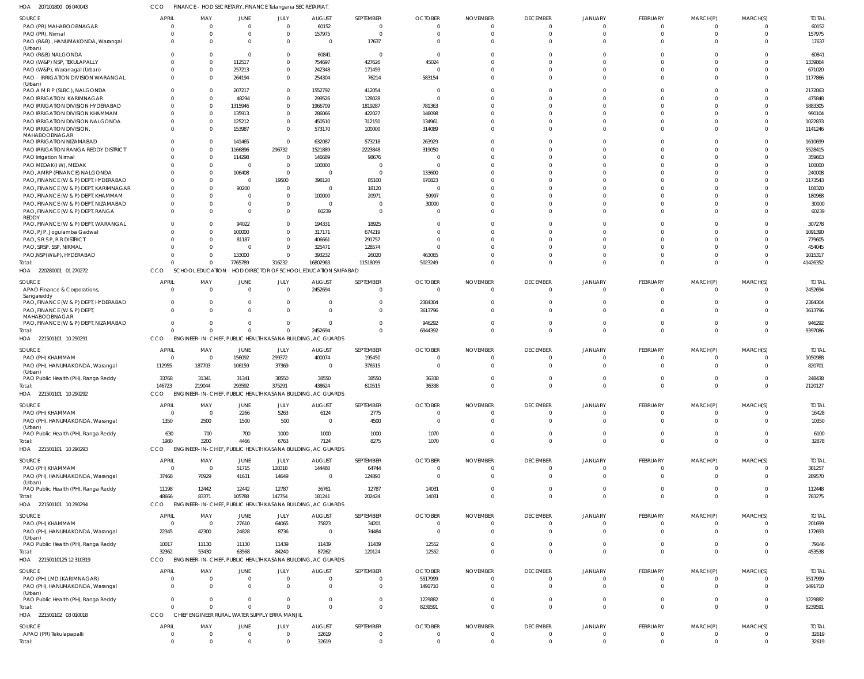| HOA 207101800 06 040043                                                       | CCO                            | FINANCE - HOD SECRETARY, FINANCE Telangana SECRETARIAT, |                            |                                               |                                                                      |                            |                                  |                                   |                                   |                                  |                                |                             |                                  |                         |
|-------------------------------------------------------------------------------|--------------------------------|---------------------------------------------------------|----------------------------|-----------------------------------------------|----------------------------------------------------------------------|----------------------------|----------------------------------|-----------------------------------|-----------------------------------|----------------------------------|--------------------------------|-----------------------------|----------------------------------|-------------------------|
| SOURCE                                                                        | <b>APRIL</b>                   | MAY                                                     | JUNE                       | JULY                                          | <b>AUGUST</b>                                                        | SEPTEMBER                  | <b>OCTOBER</b>                   | <b>NOVEMBER</b>                   | <b>DECEMBER</b>                   | JANUARY                          | FEBRUARY                       | MARCH(P)                    | MARCH(S)                         | <b>TOTAL</b>            |
| PAO (PR) MAHABOOBNAGAR                                                        | $\Omega$<br>$\Omega$           | $\overline{\mathbf{0}}$                                 | $\mathbf 0$                | $\Omega$<br>$\Omega$                          | 60152                                                                | 0<br>$\Omega$              | $\overline{0}$                   | -0<br>$\Omega$                    | $\overline{0}$<br>$\overline{0}$  | $\Omega$<br>$\Omega$             | $\mathbf 0$<br>$\overline{0}$  | 0                           | $\overline{0}$<br>$\overline{0}$ | 60152                   |
| PAO (PR), Nirmal<br>PAO (R&B), HANUMAKONDA, Warangal                          | $\Omega$                       | $\overline{0}$<br>$\Omega$                              | $\overline{0}$<br>$\Omega$ | $\Omega$                                      | 157975<br>$\overline{0}$                                             | 17637                      | $\overline{0}$<br>$\Omega$       | $\Omega$                          | $\Omega$                          | $\Omega$                         | $\Omega$                       | $\mathbf 0$<br>$\Omega$     | $\Omega$                         | 157975<br>17637         |
| (Urban)                                                                       |                                |                                                         |                            |                                               |                                                                      |                            |                                  |                                   |                                   |                                  |                                |                             |                                  |                         |
| PAO (R&B) NALGONDA<br>PAO (W&P) NSP, TEKULAPALLY                              | $\Omega$                       | $\Omega$<br>$\Omega$                                    | $\overline{0}$<br>112517   | $\Omega$<br>$\Omega$                          | 60841<br>754697                                                      | $\Omega$<br>427626         | $\overline{0}$<br>45024          | $\Omega$<br>$\Omega$              | $\Omega$<br>$\Omega$              | $\Omega$<br>$\Omega$             | $\Omega$<br>$\cup$             | $\Omega$<br>$\cup$          | $\Omega$<br>$\Omega$             | 60841<br>1339864        |
| PAO (W&P), Waranagal (Urban)                                                  | $\Omega$                       | $\Omega$                                                | 257213                     | $\Omega$                                      | 242348                                                               | 171459                     | $\overline{0}$                   | $\Omega$                          | $\Omega$                          | $\Omega$                         | $\Omega$                       | $\Omega$                    | $\Omega$                         | 671020                  |
| PAO - IRRIGATION DIVISION WARANGAL                                            | $\Omega$                       | - 0                                                     | 264194                     | $\Omega$                                      | 254304                                                               | 76214                      | 583154                           | $\Omega$                          | $\Omega$                          | $\Omega$                         | $\Omega$                       | $\Omega$                    | $\Omega$                         | 1177866                 |
| (Urban)<br>PAO A M R P (SLBC), NALGONDA                                       | $\Omega$                       | - 0                                                     | 207217                     | $\Omega$                                      | 1552792                                                              | 412054                     | - 0                              | $\Omega$                          | $\Omega$                          | $\Omega$                         | $\Omega$                       | $\Omega$                    | $\Omega$                         | 2172063                 |
| PAO IRRIGATION KARIMNAGAR                                                     |                                | $\Omega$                                                | 48294                      | $\Omega$                                      | 299526                                                               | 128028                     | $\overline{0}$                   | $\Omega$                          | $\Omega$                          | $\Omega$                         | $\Omega$                       | $\Omega$                    | $\Omega$                         | 475848                  |
| PAO IRRIGATION DIVISION HYDERABAD                                             | $\Omega$                       | $\Omega$                                                | 1315946                    | $\Omega$                                      | 1966709                                                              | 1819287                    | 781363                           | $\Omega$                          | $\Omega$                          | $\cap$                           | $\Omega$                       | $\Omega$                    | $\Omega$                         | 5883305                 |
| PAO IRRIGATION DIVISION KHAMMAM                                               | $\Omega$<br>$\Omega$           | $\overline{0}$                                          | 135913                     | $\Omega$<br>$\Omega$                          | 286066                                                               | 422027                     | 146098                           | $\Omega$                          | $\Omega$<br>$\Omega$              | $\Omega$<br>$\Omega$             | $\Omega$                       | $\Omega$<br>$\Omega$        | $\Omega$                         | 990104                  |
| PAO IRRIGATION DIVISION NALGONDA<br>PAO IRRIGATION DIVISION,                  | $\Omega$                       | $\Omega$<br>- 0                                         | 125212<br>153987           | $\Omega$                                      | 450510<br>573170                                                     | 312150<br>100000           | 134961<br>314089                 | $\Omega$<br>$\Omega$              | $\Omega$                          | $\Omega$                         | $\Omega$<br>$\Omega$           | $\Omega$                    | $\Omega$<br>$\Omega$             | 1022833<br>1141246      |
| MAHABOOBNAGAR                                                                 |                                |                                                         |                            |                                               |                                                                      |                            |                                  |                                   |                                   |                                  |                                |                             |                                  |                         |
| PAO IRRIGATION NIZAMABAD<br>PAO IRRIGATION RANGA REDDY DISTRICT               |                                | $\Omega$<br>$\overline{0}$                              | 141465<br>1166896          | $\Omega$<br>296732                            | 632087<br>1521889                                                    | 573218<br>2223848          | 263929<br>319050                 | $\Omega$<br>$\Omega$              | $\Omega$<br>$\Omega$              | $\Omega$<br>$\Omega$             | $\Omega$<br>$\Omega$           | $\Omega$<br>n               | $\Omega$<br>$\Omega$             | 1610699<br>5528415      |
| PAO Irrigation Nirmal                                                         | $\Omega$                       | $\Omega$                                                | 114298                     | $\Omega$                                      | 146689                                                               | 98676                      | -0                               | $\Omega$                          | $\Omega$                          | $\Omega$                         | $\Omega$                       | $\Omega$                    | $\Omega$                         | 359663                  |
| PAO MEDAK(IW), MEDAK                                                          |                                | $\Omega$                                                | $\overline{0}$             | $\Omega$                                      | 100000                                                               | $\Omega$                   | $\overline{0}$                   | $\Omega$                          | $\Omega$                          | $\Omega$                         | $\Omega$                       | $\Omega$                    | $\Omega$                         | 100000                  |
| PAO, AMRP (FINANCE) NALGONDA                                                  | $\Omega$                       | $\Omega$                                                | 106408                     | $\Omega$                                      | -0                                                                   | $\Omega$                   | 133600                           | $\Omega$                          | $\Omega$                          | $\Omega$                         | n                              |                             | $\Omega$                         | 240008                  |
| PAO, FINANCE (W & P) DEPT, HYDERABAD<br>PAO, FINANCE (W & P) DEPT, KARIMNAGAR | $\Omega$                       | $\Omega$<br>$\Omega$                                    | $\overline{0}$             | 19500<br>$\Omega$                             | 398120                                                               | 85100                      | 670823                           | $\Omega$                          | $\Omega$<br>$\Omega$              | $\Omega$                         | $\cup$<br>n                    |                             | $\Omega$<br>$\Omega$             | 1173543                 |
| PAO, FINANCE (W & P) DEPT, KHAMMAM                                            | $\Omega$                       | $\Omega$                                                | 90200<br>$\overline{0}$    | $\Omega$                                      | $^{\circ}$<br>100000                                                 | 18120<br>20971             | -0<br>59997                      | - 0<br>$\Omega$                   | $\Omega$                          | $\Omega$                         | $\cup$                         | $\Omega$                    | $\Omega$                         | 108320<br>180968        |
| PAO, FINANCE (W & P) DEPT, NIZAMABAD                                          | $\Omega$                       | $\Omega$                                                | $\Omega$                   | $\Omega$                                      | $\overline{0}$                                                       |                            | 30000                            | $\Omega$                          | $\Omega$                          | $\Omega$                         | $\Omega$                       | $\Omega$                    | $\Omega$                         | 30000                   |
| PAO, FINANCE (W & P) DEPT, RANGA                                              | $\Omega$                       | $\Omega$                                                | $\Omega$                   | $\Omega$                                      | 60239                                                                | $\Omega$                   | $\overline{0}$                   | $\Omega$                          | $\Omega$                          | $\Omega$                         | $\Omega$                       | $\Omega$                    | $\Omega$                         | 60239                   |
| <b>REDDY</b><br>PAO, FINANCE (W & P) DEPT, WARANGAL                           | $\Omega$                       | $\Omega$                                                | 94022                      | $\Omega$                                      | 194331                                                               | 18925                      | $^{\circ}$                       | $\Omega$                          | $\Omega$                          | $\Omega$                         | $\Omega$                       | $\Omega$                    | $\Omega$                         | 307278                  |
| PAO, PJP, Jogulamba Gadwal                                                    | $\Omega$                       | $\Omega$                                                | 100000                     | $\Omega$                                      | 317171                                                               | 674219                     | $\Omega$                         | $\Omega$                          | $\Omega$                          | $\Omega$                         | $\cup$                         | $\cup$                      | $\Omega$                         | 1091390                 |
| PAO, S R S P, R R DISTRICT                                                    | $\cap$                         | $\Omega$                                                | 81187                      | $\Omega$                                      | 406661                                                               | 291757                     | $\Omega$                         | - 0                               | $\Omega$                          | $\Omega$                         | n                              | $\Omega$                    | $\Omega$                         | 779605                  |
| PAO, SRSP, SSP, NIRMAL                                                        |                                | $\overline{0}$                                          | $\overline{0}$             | $\Omega$                                      | 325471                                                               | 128574                     | $\Omega$                         | - 0                               | $\Omega$                          | $\Omega$                         | $\Omega$                       | $\Omega$                    | $\Omega$                         | 454045                  |
| PAO, NSP(W&P), HYDERABAD<br>Total:                                            | $\Omega$<br>$\Omega$           | $\Omega$<br>$\Omega$                                    | 133000<br>7765789          | 316232                                        | 393232<br>16802983                                                   | 26020<br>11518099          | 463065<br>5023249                | - 0<br>$\Omega$                   | $\Omega$<br>$\Omega$              | $\Omega$<br>$\Omega$             | $\Omega$<br>$\Omega$           | $\Omega$<br>$\mathbf 0$     | $\Omega$<br>$\Omega$             | 1015317<br>41426352     |
| HOA 220280001 01 270272                                                       | CCO                            | <b>SCHOOL EDUCATION</b>                                 |                            |                                               | HOD DIRECTOR OF SCHOOL EDUCATION SAIFABAD                            |                            |                                  |                                   |                                   |                                  |                                |                             |                                  |                         |
| SOURCE                                                                        | <b>APRIL</b>                   | MAY                                                     | JUNE                       | JULY                                          | <b>AUGUST</b>                                                        | SEPTEMBER                  | <b>OCTOBER</b>                   | <b>NOVEMBER</b>                   | <b>DECEMBER</b>                   | <b>JANUARY</b>                   | FEBRUARY                       | MARCH(P)                    | MARCH(S)                         | <b>TOTAL</b>            |
| APAO Finance & Corporations,                                                  | $\Omega$                       | $\overline{0}$                                          | $\overline{0}$             | $\Omega$                                      | 2452694                                                              | $\mathbf 0$                | $\overline{0}$                   | $\Omega$                          | $\overline{0}$                    | $\Omega$                         | $\mathbf 0$                    | $\mathbf 0$                 | $\overline{0}$                   | 2452694                 |
| Sangareddy                                                                    |                                |                                                         |                            |                                               |                                                                      |                            |                                  |                                   |                                   |                                  |                                |                             | $\Omega$                         |                         |
| PAO, FINANCE (W & P) DEPT, HYDERABAD<br>PAO, FINANCE (W & P) DEPT,            | $\Omega$<br>$\Omega$           | 0<br>$\Omega$                                           | $\overline{0}$<br>$\Omega$ | $\Omega$<br>$\Omega$                          | - 0<br>$\Omega$                                                      | 0<br>$\Omega$              | 2384304<br>3613796               | -0<br>$\Omega$                    | $\Omega$<br>$\Omega$              | $\Omega$<br>$\Omega$             | $\mathbf 0$<br>$\Omega$        | $\mathbf 0$<br>$\Omega$     | $\Omega$                         | 2384304<br>3613796      |
| MAHABOOBNAGAR                                                                 |                                |                                                         |                            |                                               |                                                                      |                            |                                  |                                   |                                   |                                  |                                |                             |                                  |                         |
| PAO, FINANCE (W & P) DEPT, NIZAMABAD                                          | $\Omega$<br>$\Omega$           | $\overline{0}$<br>$\Omega$                              | $\Omega$<br>$\overline{0}$ | $\Omega$<br>$\Omega$                          | -0<br>2452694                                                        | $\Omega$<br>$\Omega$       | 946292<br>6944392                | $\Omega$<br>$\Omega$              | $\Omega$<br>$\Omega$              | $\Omega$<br>$\Omega$             | $\mathbf 0$<br>$\mathbf 0$     | $\mathbf 0$<br>$\mathbf 0$  | $\Omega$<br>$\Omega$             | 946292<br>9397086       |
| Total:<br>HOA 221501101 10 290291                                             | CCO                            |                                                         |                            |                                               | ENGINEER-IN-CHIEF, PUBLIC HEALTH KASANA BUILDING, AC GUARDS          |                            |                                  |                                   |                                   |                                  |                                |                             |                                  |                         |
| SOURCE                                                                        | <b>APRIL</b>                   | MAY                                                     | JUNE                       | JULY                                          | <b>AUGUST</b>                                                        | SEPTEMBER                  | <b>OCTOBER</b>                   | <b>NOVEMBER</b>                   | <b>DECEMBER</b>                   | JANUARY                          | <b>FEBRUARY</b>                | MARCH(P)                    | MARCH(S)                         | <b>TOTAL</b>            |
| PAO (PH) KHAMMAM                                                              | $\Omega$                       | $\overline{\mathbf{0}}$                                 | 156092                     | 299372                                        | 400074                                                               | 195450                     | - 0                              | $\Omega$                          | $\overline{0}$                    | $\Omega$                         | $\Omega$                       | $\Omega$                    | $\overline{0}$                   | 1050988                 |
| PAO (PH), HANUMAKONDA, Warangal                                               | 112955                         | 187703                                                  | 106159                     | 37369                                         | $\overline{0}$                                                       | 376515                     | $\overline{0}$                   | $\Omega$                          | $\Omega$                          | $\Omega$                         | $\Omega$                       | $\Omega$                    | $\Omega$                         | 820701                  |
| (Urban)<br>PAO Public Health (PH), Ranga Reddy                                | 33768                          | 31341                                                   | 31341                      | 38550                                         | 38550                                                                | 38550                      | 36338                            | $\Omega$                          | $\Omega$                          | $\Omega$                         | $\Omega$                       | $\Omega$                    | $\Omega$                         | 248438                  |
| Total:                                                                        | 146723                         | 219044                                                  | 293592                     | 375291                                        | 438624                                                               | 610515                     | 36338                            | $\cap$                            | $\Omega$                          | $\Omega$                         | $\Omega$                       | $\Omega$                    | $\overline{0}$                   | 2120127                 |
| HOA 221501101 10 290292                                                       | CCO                            |                                                         |                            |                                               | ENGINEER-IN-CHIEF, PUBLIC HEALTH KASANA BUILDING, AC GUARDS          |                            |                                  |                                   |                                   |                                  |                                |                             |                                  |                         |
| SOURCE                                                                        | <b>APRIL</b>                   | MAY                                                     | JUNE                       | JULY                                          | <b>AUGUST</b>                                                        | SEPTEMBER                  | <b>OCTOBER</b>                   | <b>NOVEMBER</b>                   | <b>DECEMBER</b>                   | <b>JANUARY</b>                   | FEBRUARY                       | MARCH(P)                    | MARCH(S)                         | <b>TOTAL</b>            |
| PAO (PH) KHAMMAM                                                              | $\overline{0}$                 | $\overline{0}$                                          | 2266                       | 5263                                          | 6124                                                                 | 2775                       | - 0                              | -0                                | $\overline{0}$                    | $\overline{0}$                   | 0                              | 0                           | $\overline{0}$                   | 16428                   |
| PAO (PH), HANUMAKONDA, Warangal                                               | 1350                           | 2500                                                    | 1500                       | 500                                           | $\overline{0}$                                                       | 4500                       | $\overline{0}$                   | $\overline{0}$                    | $\overline{0}$                    | $\overline{0}$                   | $\mathbf 0$                    | $\mathbf 0$                 | $\overline{0}$                   | 10350                   |
| (Urban)<br>PAO Public Health (PH), Ranga Reddy                                | 630                            | 700                                                     | 700                        | 1000                                          | 1000                                                                 | 1000                       | 1070                             | $\overline{0}$                    | $\overline{0}$                    | $\overline{0}$                   | $\mathbf 0$                    | $\mathbf 0$                 | $\overline{0}$                   | 6100                    |
| Total:                                                                        | 1980                           | 3200                                                    | 4466                       | 6763                                          | 7124                                                                 | 8275                       | 1070                             | $\overline{0}$                    | $\overline{0}$                    | $\overline{0}$                   | $\mathbf 0$                    | $\mathbf 0$                 | $\overline{0}$                   | 32878                   |
| HOA 221501101 10 290293                                                       | <b>CCO</b>                     |                                                         |                            |                                               | ENGINEER-IN-CHIEF, PUBLIC HEALTH KASANA BUILDING, AC GUARDS          |                            |                                  |                                   |                                   |                                  |                                |                             |                                  |                         |
| SOURCE                                                                        | <b>APRIL</b>                   | MAY                                                     | JUNE                       | JULY                                          | <b>AUGUST</b>                                                        | SEPTEMBER                  | <b>OCTOBER</b>                   | <b>NOVEMBER</b>                   | <b>DECEMBER</b>                   | JANUARY                          | FEBRUARY                       | MARCH(P)                    | MARCH(S)                         | <b>TOTAL</b>            |
| PAO (PH) KHAMMAM                                                              | $\overline{0}$                 | $\overline{0}$                                          | 51715                      | 120318                                        | 144480                                                               | 64744                      | $\overline{0}$                   | $^{\circ}$                        | $\overline{0}$                    | $\overline{0}$                   | $\mathbf 0$                    | 0                           | $\overline{0}$                   | 381257                  |
| PAO (PH), HANUMAKONDA, Warangal<br>(Urban)                                    | 37468                          | 70929                                                   | 41631                      | 14649                                         | $\overline{0}$                                                       | 124893                     | $\overline{0}$                   | $\Omega$                          | $\Omega$                          | $\Omega$                         | $\Omega$                       | $\Omega$                    | $\Omega$                         | 289570                  |
| PAO Public Health (PH), Ranga Reddy                                           | 11198                          | 12442                                                   | 12442                      | 12787                                         | 36761                                                                | 12787                      | 14031                            | $\mathbf 0$                       | $\overline{0}$                    | $\overline{0}$                   | $\mathbf 0$                    | $\mathbf 0$                 | $\overline{0}$                   | 112448                  |
| Total:<br>HOA 221501101 10 290294                                             | 48666<br>CCO                   | 83371<br><b>ENGINEER-IN-CHIEF</b>                       | 105788                     | 147754                                        | 181241<br>, PUBLIC HEALTH KASANA BUILDING, AC GUARDS                 | 202424                     | 14031                            | $\Omega$                          | $\overline{0}$                    | $\overline{0}$                   | $\mathbf 0$                    | $\mathbf 0$                 | $\overline{0}$                   | 783275                  |
|                                                                               |                                |                                                         |                            |                                               |                                                                      |                            |                                  |                                   |                                   |                                  |                                |                             |                                  |                         |
| SOURCE                                                                        | <b>APRIL</b>                   | MAY                                                     | JUNE                       | JULY                                          | <b>AUGUST</b>                                                        | SEPTEMBER                  | <b>OCTOBER</b>                   | <b>NOVEMBER</b>                   | <b>DECEMBER</b>                   | <b>JANUARY</b>                   | FEBRUARY                       | MARCH(P)                    | MARCH(S)                         | <b>TOTAL</b>            |
| PAO (PH) KHAMMAM<br>PAO (PH), HANUMAKONDA, Warangal                           | $\overline{0}$<br>22345        | $\overline{0}$<br>42300                                 | 27610<br>24828             | 64065<br>8736                                 | 75823<br>$\overline{0}$                                              | 34201<br>74484             | $\overline{0}$<br>$\overline{0}$ | $\overline{0}$<br>$\Omega$        | $\overline{0}$<br>$\Omega$        | $\overline{0}$<br>$\overline{0}$ | $\mathbf 0$<br>$\overline{0}$  | $\mathbf 0$<br>$\mathbf 0$  | $\overline{0}$<br>$\Omega$       | 201699<br>172693        |
| (Urban)                                                                       |                                |                                                         |                            |                                               |                                                                      |                            |                                  |                                   |                                   |                                  |                                |                             |                                  |                         |
| PAO Public Health (PH), Ranga Reddy                                           | 10017                          | 11130                                                   | 11130                      | 11439                                         | 11439                                                                | 11439                      | 12552                            | -0<br>$\Omega$                    | $\overline{0}$<br>$\Omega$        | $\overline{0}$<br>$\overline{0}$ | $\mathbf 0$<br>$\mathbf 0$     | $\mathbf 0$<br>$\mathbf 0$  | $\overline{0}$<br>$\Omega$       | 79146                   |
| Total:<br>HOA 22150110125 12 310319                                           | 32362<br><b>CCO</b>            | 53430                                                   | 63568                      | 84240                                         | 87262<br>ENGINEER-IN-CHIEF, PUBLIC HEALTH KASANA BUILDING, AC GUARDS | 120124                     | 12552                            |                                   |                                   |                                  |                                |                             |                                  | 453538                  |
|                                                                               |                                |                                                         |                            |                                               |                                                                      |                            |                                  |                                   |                                   |                                  |                                |                             |                                  |                         |
| SOURCE<br>PAO (PH) LMD (KARIMNAGAR)                                           | <b>APRIL</b><br>$\overline{0}$ | MAY<br>$\overline{0}$                                   | JUNE<br>$^{\circ}$         | JULY<br>$\Omega$                              | <b>AUGUST</b><br>- 0                                                 | SEPTEMBER<br>0             | <b>OCTOBER</b><br>5517999        | <b>NOVEMBER</b><br>-0             | <b>DECEMBER</b><br>$\overline{0}$ | JANUARY<br>$\overline{0}$        | FEBRUARY<br>0                  | MARCH(P)<br>0               | MARCH(S)<br>$\overline{0}$       | <b>TOTAL</b><br>5517999 |
| PAO (PH), HANUMAKONDA, Warangal                                               | $\Omega$                       | $\Omega$                                                | $\Omega$                   | $\Omega$                                      | $\Omega$                                                             | $\mathbf 0$                | 1491710                          | $\Omega$                          | $\Omega$                          | $\Omega$                         | $\mathbf 0$                    | $\mathbf 0$                 | $\overline{0}$                   | 1491710                 |
| (Urban)                                                                       |                                |                                                         |                            |                                               |                                                                      |                            |                                  |                                   |                                   |                                  |                                |                             |                                  |                         |
| PAO Public Health (PH), Ranga Reddy<br>Total:                                 | $\overline{0}$<br>$\Omega$     | $\overline{0}$<br>$\Omega$                              | $\overline{0}$<br>$\Omega$ | $\Omega$<br>$\Omega$                          | $\overline{0}$<br>$\Omega$                                           | $\mathbf 0$<br>$\mathbf 0$ | 1229882<br>8239591               | $\overline{0}$<br>$\Omega$        | $\overline{0}$<br>$\overline{0}$  | $\overline{0}$<br>$\overline{0}$ | $\mathbf 0$<br>$\mathbf{0}$    | $\mathbf 0$<br>$\mathbf{0}$ | $\overline{0}$<br>$\overline{0}$ | 1229882<br>8239591      |
|                                                                               |                                |                                                         |                            |                                               |                                                                      |                            |                                  |                                   |                                   |                                  |                                |                             |                                  |                         |
| HOA 221501102 03 010018                                                       | CCO                            |                                                         |                            | CHIEF ENGINEER RURAL WATER SUPPLY ERRA MANJIL |                                                                      |                            |                                  |                                   |                                   |                                  |                                |                             |                                  |                         |
|                                                                               |                                |                                                         |                            |                                               |                                                                      |                            |                                  |                                   |                                   |                                  |                                |                             |                                  |                         |
| SOURCE<br>APAO (PR) Tekulapapalli                                             | <b>APRIL</b><br>$\overline{0}$ | MAY<br>$\overline{0}$                                   | JUNE<br>$\overline{0}$     | JULY<br>$\Omega$                              | <b>AUGUST</b><br>32619                                               | SEPTEMBER<br>0             | <b>OCTOBER</b><br>$\overline{0}$ | <b>NOVEMBER</b><br>$\overline{0}$ | <b>DECEMBER</b><br>$\overline{0}$ | <b>JANUARY</b><br>$\overline{0}$ | <b>FEBRUARY</b><br>$\mathbf 0$ | MARCH(P)<br>0               | MARCH(S)<br>$\overline{0}$       | <b>TOTAL</b><br>32619   |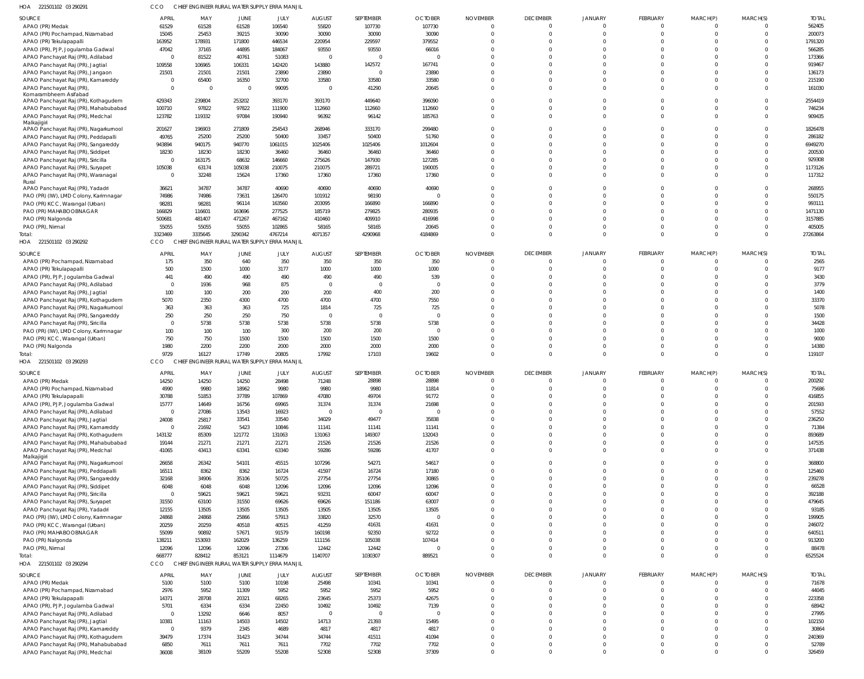| HOA 221501102 03 290291                                                      |                                  |                 | CHIEF ENGINEER RURAL WATER SUPPLY ERRA MANJIL |                  |                   |                       |                 |                      |                            |                                  |                      |                      |                                  |                   |
|------------------------------------------------------------------------------|----------------------------------|-----------------|-----------------------------------------------|------------------|-------------------|-----------------------|-----------------|----------------------|----------------------------|----------------------------------|----------------------|----------------------|----------------------------------|-------------------|
| <b>SOURCE</b>                                                                | <b>APRIL</b>                     | MAY             | JUNE                                          | JULY             | <b>AUGUST</b>     | SEPTEMBER             | <b>OCTOBER</b>  | <b>NOVEMBER</b>      | <b>DECEMBER</b>            | <b>JANUARY</b>                   | <b>FEBRUARY</b>      | MARCH(P)             | MARCH(S)                         | <b>TOTAL</b>      |
| APAO (PR) Medak                                                              | 61529                            | 61528           | 61528                                         | 106540           | 55820             | 107730                | 107730          | $\Omega$             | $\overline{0}$             | $\overline{0}$                   | $\Omega$             | $\Omega$             | $\Omega$                         | 562405            |
| APAO (PR) Pochampad, Nizamabad                                               | 15045                            | 25453           | 39215                                         | 30090            | 30090             | 30090                 | 30090           | $\Omega$             | $\overline{0}$             | $\overline{0}$                   | $\Omega$             | $\Omega$             | $\overline{0}$                   | 200073            |
| APAO (PR) Tekulapapalli<br>APAO (PR), PJP, Jogulamba Gadwal                  | 163952<br>47042                  | 178931<br>37165 | 171800<br>44895                               | 446534<br>184067 | 220954<br>93550   | 229597<br>93550       | 379552<br>66016 |                      | $\Omega$<br>$\Omega$       | $\Omega$<br>$\Omega$             | $\Omega$<br>$\Omega$ | $\Omega$<br>$\Omega$ | $\Omega$<br>$\Omega$             | 1791320<br>566285 |
| APAO Panchayat Raj (PR), Adilabad                                            | $\overline{0}$                   | 81522           | 40761                                         | 51083            | $\Omega$          | $\overline{0}$        |                 |                      | $\Omega$                   | $\Omega$                         | $\Omega$             | $\Omega$             | $\Omega$                         | 173366            |
| APAO Panchayat Raj (PR), Jagtial                                             | 109558                           | 106965          | 106331                                        | 142420           | 143880            | 142572                | 167741          |                      | $\Omega$                   | $\Omega$                         | $\Omega$             | $\cap$               | $\Omega$                         | 919467            |
| APAO Panchayat Raj (PR), Jangaon                                             | 21501                            | 21501           | 21501                                         | 23890            | 23890             | $\overline{0}$        | 23890           |                      | $\Omega$                   | $\Omega$                         | $\Omega$             | $\Omega$             | $\Omega$                         | 136173            |
| APAO Panchayat Raj (PR), Kamareddy                                           | $\overline{0}$                   | 65400           | 16350                                         | 32700            | 33580             | 33580                 | 33580           |                      | $\Omega$                   | $\Omega$                         | $\Omega$             | $\Omega$             | $\Omega$                         | 215190            |
| APAO Panchayat Raj (PR)                                                      | $\overline{0}$                   | $\overline{0}$  | $\overline{0}$                                | 99095            | $\Omega$          | 41290                 | 20645           | $\Omega$             | $\Omega$                   | $\Omega$                         | $\Omega$             | $\Omega$             | $\Omega$                         | 161030            |
| Komarambheem Asifabad<br>APAO Panchayat Raj (PR), Kothagudem                 | 429343                           | 239804          | 253202                                        | 393170           | 393170            | 449640                | 396090          |                      | $\Omega$                   | $\Omega$                         | $\Omega$             | $\Omega$             | $\mathbf 0$                      | 2554419           |
| APAO Panchayat Raj (PR), Mahabubabad                                         | 100710                           | 97822           | 97822                                         | 111900           | 112660            | 112660                | 112660          |                      | $\overline{0}$             | $\Omega$                         | $\Omega$             | $\Omega$             | $\overline{0}$                   | 746234            |
| APAO Panchayat Raj (PR), Medchal                                             | 123782                           | 119332          | 97084                                         | 190940           | 96392             | 96142                 | 185763          | $\Omega$             | $\Omega$                   | $\Omega$                         | $\Omega$             | $\Omega$             | $\Omega$                         | 909435            |
| Malkajigiri                                                                  |                                  |                 |                                               |                  |                   |                       |                 |                      |                            |                                  |                      |                      |                                  |                   |
| APAO Panchayat Raj (PR), Nagarkurnool                                        | 201627<br>49765                  | 196903<br>25200 | 271809<br>25200                               | 254543<br>50400  | 268946<br>33457   | 333170<br>50400       | 299480<br>51760 | $\Omega$             | $\Omega$<br>$\Omega$       | $\Omega$<br>$\Omega$             | $\Omega$<br>$\Omega$ | $\Omega$<br>$\Omega$ | $\overline{0}$<br>$\Omega$       | 1826478<br>286182 |
| APAO Panchayat Raj (PR), Peddapalli<br>APAO Panchayat Raj (PR), Sangareddy   | 943894                           | 940175          | 940770                                        | 1061015          | 1025406           | 1025406               | 1012604         |                      | $\Omega$                   | $\Omega$                         | $\Omega$             | $\Omega$             | $\Omega$                         | 6949270           |
| APAO Panchayat Raj (PR), Siddipet                                            | 18230                            | 18230           | 18230                                         | 36460            | 36460             | 36460                 | 36460           |                      | $\Omega$                   | $\Omega$                         | $\Omega$             | $\Omega$             | $\Omega$                         | 200530            |
| APAO Panchayat Raj (PR), Siricilla                                           | $\overline{0}$                   | 163175          | 68632                                         | 146660           | 275626            | 147930                | 127285          |                      | $\Omega$                   | $\Omega$                         | $\Omega$             | $\Omega$             | $\Omega$                         | 929308            |
| APAO Panchayat Raj (PR), Suryapet                                            | 105038                           | 63174           | 105038                                        | 210075           | 210075            | 289721                | 190005          |                      | $\Omega$                   | $\Omega$                         | $\Omega$             | $\Omega$             | $\Omega$                         | 1173126           |
| APAO Panchayat Raj (PR), Waranagal                                           | $\overline{0}$                   | 32248           | 15624                                         | 17360            | 17360             | 17360                 | 17360           | $\Omega$             | $\Omega$                   | $\Omega$                         | $\Omega$             | $\Omega$             | $\Omega$                         | 117312            |
| Rural<br>APAO Panchayat Raj (PR), Yadadri                                    | 36621                            | 34787           | 34787                                         | 40690            | 40690             | 40690                 | 40690           |                      | $\Omega$                   | $\Omega$                         | $\Omega$             | $\Omega$             | $\Omega$                         | 268955            |
| PAO (PR) (IW), LMD Colony, Karimnagar                                        | 74986                            | 74986           | 73631                                         | 126470           | 101912            | 98190                 | $\Omega$        |                      | $\Omega$                   | $\Omega$                         | $\Omega$             | $\Omega$             | $\Omega$                         | 550175            |
| PAO (PR) KCC, Warangal (Urban)                                               | 98281                            | 98281           | 96114                                         | 163560           | 203095            | 166890                | 166890          |                      | $\Omega$                   | $\Omega$                         | $\Omega$             | $\Omega$             | $\Omega$                         | 993111            |
| PAO (PR) MAHABOOBNAGAR                                                       | 166829                           | 116601          | 163696                                        | 277525           | 185719            | 279825                | 280935          |                      | $\Omega$                   | $\Omega$                         | $\Omega$             | $\Omega$             | $\Omega$                         | 1471130           |
| PAO (PR) Nalgonda                                                            | 500681                           | 481407          | 471267                                        | 467162           | 410460            | 409910                | 416998          |                      | $\Omega$                   | $\Omega$                         | $\Omega$             | $\Omega$             | $\Omega$                         | 3157885           |
| PAO (PR), Nirmal                                                             | 55055                            | 55055           | 55055                                         | 102865           | 58165             | 58165                 | 20645           |                      | $\Omega$                   | $\Omega$                         | $\Omega$             | $\Omega$             | $\Omega$                         | 405005            |
| Total:                                                                       | 3323469                          | 3335645         | 3290342                                       | 4767214          | 4071357           | 4290968               | 4184869         |                      | $\Omega$                   | $\Omega$                         | $\Omega$             | $\Omega$             | $\Omega$                         | 27263864          |
| HOA 221501102 03 290292                                                      | CCO                              |                 | CHIEF ENGINEER RURAL WATER SUPPLY ERRA MANJIL |                  |                   |                       |                 |                      |                            |                                  |                      |                      |                                  |                   |
| <b>SOURCE</b>                                                                | <b>APRIL</b>                     | MAY             | JUNE                                          | JULY             | <b>AUGUST</b>     | SEPTEMBER             | <b>OCTOBER</b>  | <b>NOVEMBER</b>      | <b>DECEMBER</b>            | <b>JANUARY</b>                   | <b>FEBRUARY</b>      | MARCH(P)             | MARCH(S)                         | <b>TOTAL</b>      |
| APAO (PR) Pochampad, Nizamabad                                               | 175                              | 350             | 640                                           | 350              | 350               | 350                   | 350             |                      | $\overline{0}$             | $\overline{0}$                   | $\Omega$             | $\Omega$             | $\overline{0}$                   | 2565              |
| APAO (PR) Tekulapapalli                                                      | 500<br>441                       | 1500            | 1000<br>490                                   | 3177             | 1000              | 1000                  | 1000            |                      | $\overline{0}$<br>$\Omega$ | $\Omega$<br>$\Omega$             | $\Omega$<br>$\Omega$ | $\Omega$<br>$\Omega$ | $\overline{0}$<br>$\Omega$       | 9177<br>3430      |
| APAO (PR), PJP, Jogulamba Gadwal<br>APAO Panchayat Raj (PR), Adilabad        | $\overline{0}$                   | 490<br>1936     | 968                                           | 490<br>875       | 490<br>$\Omega$   | 490<br>$\mathbf{0}$   | 539<br>$\Omega$ |                      | $\Omega$                   | $\Omega$                         | $\Omega$             | $\Omega$             | $\Omega$                         | 3779              |
| APAO Panchayat Raj (PR), Jagtial                                             | 100                              | 100             | 200                                           | 200              | 200               | 400                   | 200             |                      | $\Omega$                   | $\Omega$                         | $\Omega$             | $\Omega$             | $\Omega$                         | 1400              |
| APAO Panchayat Raj (PR), Kothagudem                                          | 5070                             | 2350            | 4300                                          | 4700             | 4700              | 4700                  | 7550            |                      | $\Omega$                   | $\Omega$                         | $\Omega$             | $\Omega$             | $\Omega$                         | 33370             |
| APAO Panchayat Raj (PR), Nagarkurnool                                        | 363                              | 363             | 363                                           | 725              | 1814              | 725                   | 725             |                      | $\Omega$                   | $\Omega$                         | $\Omega$             | $\Omega$             | $\Omega$                         | 5078              |
| APAO Panchayat Raj (PR), Sangareddy                                          | 250                              | 250             | 250                                           | 750              | $\Omega$          | $\mathbf{0}$          | - 0             |                      | $\Omega$                   | $\Omega$                         | $\Omega$             | $\Omega$             | $\Omega$                         | 1500              |
| APAO Panchayat Raj (PR), Siricilla                                           | $\overline{0}$                   | 5738            | 5738                                          | 5738             | 5738              | 5738                  | 5738            |                      | $\Omega$                   | $\Omega$                         | $\Omega$             | $\Omega$             | $\Omega$                         | 34428             |
| PAO (PR) (IW), LMD Colony, Karimnagar                                        | 100                              | 100             | 100                                           | 300              | 200               | 200                   | $\Omega$        |                      | $\Omega$<br>$\Omega$       | $\Omega$<br>$\Omega$             | $\Omega$<br>$\Omega$ | $\Omega$<br>$\Omega$ | $\Omega$                         | 1000<br>9000      |
| PAO (PR) KCC, Warangal (Urban)<br>PAO (PR) Nalgonda                          | 750<br>1980                      | 750<br>2200     | 1500<br>2200                                  | 1500<br>2000     | 1500<br>2000      | 1500<br>2000          | 1500<br>2000    |                      | $\Omega$                   | $\Omega$                         | $\Omega$             | $\Omega$             | $\overline{0}$<br>$\overline{0}$ | 14380             |
| Total:                                                                       | 9729                             | 16127           | 17749                                         | 20805            | 17992             | 17103                 | 19602           |                      | $\overline{0}$             | $\overline{0}$                   | $\Omega$             | $\Omega$             | $\overline{0}$                   | 119107            |
| HOA 221501102 03 290293                                                      | CCO                              |                 | CHIEF ENGINEER RURAL WATER SUPPLY ERRA MANJIL |                  |                   |                       |                 |                      |                            |                                  |                      |                      |                                  |                   |
| <b>SOURCE</b>                                                                | <b>APRIL</b>                     | MAY             | JUNE                                          | JULY             | <b>AUGUST</b>     | SEPTEMBER             | <b>OCTOBER</b>  | <b>NOVEMBER</b>      | <b>DECEMBER</b>            | <b>JANUARY</b>                   | <b>FEBRUARY</b>      | MARCH(P)             | MARCH(S)                         | <b>TOTAL</b>      |
| APAO (PR) Medak                                                              | 14250                            | 14250           | 14250                                         | 28498            | 71248             | 28898                 | 28898           | $\Omega$             | $\overline{0}$             | $\Omega$                         | $\Omega$             | $\Omega$             | $\Omega$                         | 200292            |
| APAO (PR) Pochampad, Nizamabad                                               | 4990                             | 9980            | 18962                                         | 9980             | 9980              | 9980                  | 11814           |                      | $\overline{0}$             | $\cap$                           | $\Omega$             | $\Omega$             | $\overline{0}$                   | 75686             |
| APAO (PR) Tekulapapalli                                                      | 30788                            | 51853           | 37789                                         | 107869           | 47080             | 49704                 | 91772           |                      | $\Omega$                   | $\Omega$                         | $\Omega$             | $\Omega$             | $\Omega$                         | 416855            |
| APAO (PR), PJP, Jogulamba Gadwal                                             | 15777                            | 14649           | 16756                                         | 69965            | 31374             | 31374                 | 21698           | $\Omega$             | $\overline{0}$             | $\overline{0}$                   | $\Omega$             | $\Omega$             | $\Omega$                         | 201593            |
| APAO Panchayat Raj (PR), Adilabad                                            | $\overline{0}$                   | 27086           | 13543                                         | 16923            | $\Omega$          | $\overline{0}$        | $\Omega$        | $\Omega$             | $\Omega$                   | $\overline{0}$                   | $\Omega$             | $\Omega$<br>$\Omega$ | $\Omega$<br>$\Omega$             | 57552             |
| APAO Panchayat Raj (PR), Jagtial<br>APAO Panchayat Raj (PR), Kamareddy       | 24008<br>$\overline{\mathbf{0}}$ | 25817<br>21692  | 33541<br>5423                                 | 33540<br>10846   | 34029<br>11141    | 49477<br>11141        | 35838<br>11141  | $\Omega$<br>$\Omega$ | $\Omega$<br>$\Omega$       | $\Omega$<br>$\Omega$             | $\Omega$<br>$\Omega$ | $\Omega$             | $\Omega$                         | 236250<br>71384   |
| APAO Panchayat Raj (PR), Kothagudem                                          | 143132                           | 85309           | 121772                                        | 131063           | 131063            | 149307                | 132043          | $\Omega$             | $\Omega$                   | $\Omega$                         | $\Omega$             | $\Omega$             | $\Omega$                         | 893689            |
| APAO Panchayat Raj (PR), Mahabubabad                                         | 19144                            | 21271           | 21271                                         | 21271            | 21526             | 21526                 | 21526           | $\Omega$             | $\Omega$                   | $\overline{0}$                   | $\Omega$             | $\Omega$             | $\overline{0}$                   | 147535            |
| APAO Panchayat Raj (PR), Medchal                                             | 41065                            | 43413           | 63341                                         | 63340            | 59286             | 59286                 | 41707           | $\Omega$             | $\Omega$                   | $\Omega$                         | $\Omega$             | $\Omega$             | $\Omega$                         | 371438            |
| Malkajigiri                                                                  | 26658                            | 26342           | 54101                                         | 45515            | 107296            | 54271                 | 54617           | $\Omega$             | $\overline{0}$             | $\overline{0}$                   | $\Omega$             | $\Omega$             | $\Omega$                         | 368800            |
| APAO Panchayat Raj (PR), Nagarkurnool<br>APAO Panchayat Raj (PR), Peddapalli | 16511                            | 8362            | 8362                                          | 16724            | 41597             | 16724                 | 17180           | $\Omega$             | $\Omega$                   | $\overline{0}$                   | $\Omega$             | $\Omega$             | $\Omega$                         | 125460            |
| APAO Panchayat Raj (PR), Sangareddy                                          | 32168                            | 34906           | 35106                                         | 50725            | 27754             | 27754                 | 30865           | $\Omega$             | $\Omega$                   | $\overline{0}$                   | $\Omega$             | $\Omega$             | $\Omega$                         | 239278            |
| APAO Panchayat Raj (PR), Siddipet                                            | 6048                             | 6048            | 6048                                          | 12096            | 12096             | 12096                 | 12096           | $\Omega$             | $\Omega$                   | $\overline{0}$                   | $\Omega$             | $\Omega$             | $\Omega$                         | 66528             |
| APAO Panchayat Raj (PR), Siricilla                                           | $\overline{0}$                   | 59621           | 59621                                         | 59621            | 93231             | 60047                 | 60047           | $\Omega$             | $\Omega$                   | $\Omega$                         | $\Omega$             | $\Omega$             | $\Omega$                         | 392188            |
| APAO Panchayat Raj (PR), Suryapet                                            | 31550                            | 63100           | 31550                                         | 69626            | 69626             | 151186                | 63007           | $\Omega$             | $\Omega$                   | $\Omega$                         | $\Omega$             | $\Omega$             | $\Omega$                         | 479645            |
| APAO Panchayat Raj (PR), Yadadri                                             | 12155                            | 13505           | 13505                                         | 13505            | 13505             | 13505                 | 13505           |                      | $\Omega$                   | $\Omega$                         | $\Omega$             | $\Omega$<br>$\Omega$ | $\Omega$<br>$\Omega$             | 93185             |
| PAO (PR) (IW), LMD Colony, Karimnagar<br>PAO (PR) KCC, Warangal (Urban)      | 24868<br>20259                   | 24868<br>20259  | 25866<br>40518                                | 57913<br>40515   | 33820<br>41259    | 32570<br>41631        | 41631           | $\Omega$             | $\Omega$<br>$\Omega$       | $\overline{0}$<br>$\Omega$       | $\Omega$<br>$\Omega$ | $\Omega$             | $\Omega$                         | 199905<br>246072  |
| PAO (PR) MAHABOOBNAGAR                                                       | 55099                            | 90892           | 57671                                         | 91579            | 160198            | 92350                 | 92722           |                      | $\Omega$                   | $\Omega$                         | $\Omega$             | $\Omega$             | $\Omega$                         | 640511            |
| PAO (PR) Nalgonda                                                            | 138211                           | 153093          | 162029                                        | 136259           | 111156            | 105038                | 107414          |                      | $\Omega$                   | $\overline{0}$                   | $\Omega$             | $\Omega$             | $\Omega$                         | 913200            |
| PAO (PR), Nirmal                                                             | 12096                            | 12096           | 12096                                         | 27306            | 12442             | 12442                 |                 |                      | $\Omega$                   | $\overline{0}$                   | $\Omega$             | $\Omega$             | $\overline{0}$                   | 88478             |
| Total:                                                                       | 668777                           | 828412          | 853121                                        | 1114679          | 1140707           | 1030307               | 889521          | $\Omega$             | $\overline{0}$             | $\overline{0}$                   | $\Omega$             | $\mathbf 0$          | $\overline{0}$                   | 6525524           |
| HOA 221501102 03 290294                                                      | CCO                              |                 | CHIEF ENGINEER RURAL WATER SUPPLY ERRA MANJIL |                  |                   |                       |                 |                      |                            |                                  |                      |                      |                                  |                   |
| SOURCE                                                                       | <b>APRIL</b>                     | MAY             | JUNE                                          | JULY             | <b>AUGUST</b>     | SEPTEMBER             | <b>OCTOBER</b>  | <b>NOVEMBER</b>      | <b>DECEMBER</b>            | <b>JANUARY</b>                   | FEBRUARY             | MARCH(P)             | MARCH(S)                         | <b>TOTAL</b>      |
| APAO (PR) Medak                                                              | 5100                             | 5100            | 5100                                          | 10198            | 25498             | 10341                 | 10341           |                      | $\overline{0}$             | $\overline{0}$                   | $\Omega$             | $\Omega$             | $\overline{0}$                   | 71678             |
| APAO (PR) Pochampad, Nizamabad                                               | 2976                             | 5952            | 11309                                         | 5952             | 5952              | 5952                  | 5952            |                      | $\overline{0}$             | $\overline{0}$                   | $\Omega$             | $\Omega$             | $\overline{0}$                   | 44045             |
| APAO (PR) Tekulapapalli                                                      | 14371                            | 28708           | 20321                                         | 68265            | 23645             | 25373                 | 42675           |                      | $\Omega$                   | $\overline{0}$                   | $\Omega$             | $\Omega$             | $\Omega$                         | 223358            |
| APAO (PR), PJP, Jogulamba Gadwal                                             | 5701<br>$\overline{0}$           | 6334            | 6334                                          | 22450            | 10492             | 10492<br>$\mathbf{0}$ | 7139            |                      | $\Omega$<br>$\Omega$       | $\overline{0}$<br>$\overline{0}$ | $\Omega$<br>$\Omega$ | $\Omega$<br>$\Omega$ | $\Omega$<br>$\Omega$             | 68942<br>27995    |
| APAO Panchayat Raj (PR), Adilabad<br>APAO Panchayat Raj (PR), Jagtial        | 10381                            | 13292<br>11163  | 6646<br>14503                                 | 8057<br>14502    | $\Omega$<br>14713 | 21393                 | 15495           |                      | $\Omega$                   | $\Omega$                         | $\Omega$             | $\Omega$             | $\Omega$                         | 102150            |
| APAO Panchayat Raj (PR), Kamareddy                                           | $\overline{\mathbf{0}}$          | 9379            | 2345                                          | 4689             | 4817              | 4817                  | 4817            |                      | $\Omega$                   | $\Omega$                         | $\Omega$             | $\Omega$             | $\overline{0}$                   | 30864             |
| APAO Panchayat Raj (PR), Kothagudem                                          | 39479                            | 17374           | 31423                                         | 34744            | 34744             | 41511                 | 41094           |                      | $\overline{0}$             | $\overline{0}$                   | $\Omega$             | $\Omega$             | $\overline{0}$                   | 240369            |
| APAO Panchayat Raj (PR), Mahabubabad                                         | 6850                             | 7611            | 7611                                          | 7611             | 7702              | 7702                  | 7702            |                      | $\overline{0}$             | $\overline{0}$                   | $\mathbf 0$          | $\mathbf 0$          | $\overline{0}$                   | 52789             |
| APAO Panchayat Raj (PR), Medchal                                             | 36008                            | 38109           | 55209                                         | 55208            | 52308             | 52308                 | 37309           | $\Omega$             | $\Omega$                   | $\Omega$                         | $\Omega$             | $\Omega$             | $\Omega$                         | 326459            |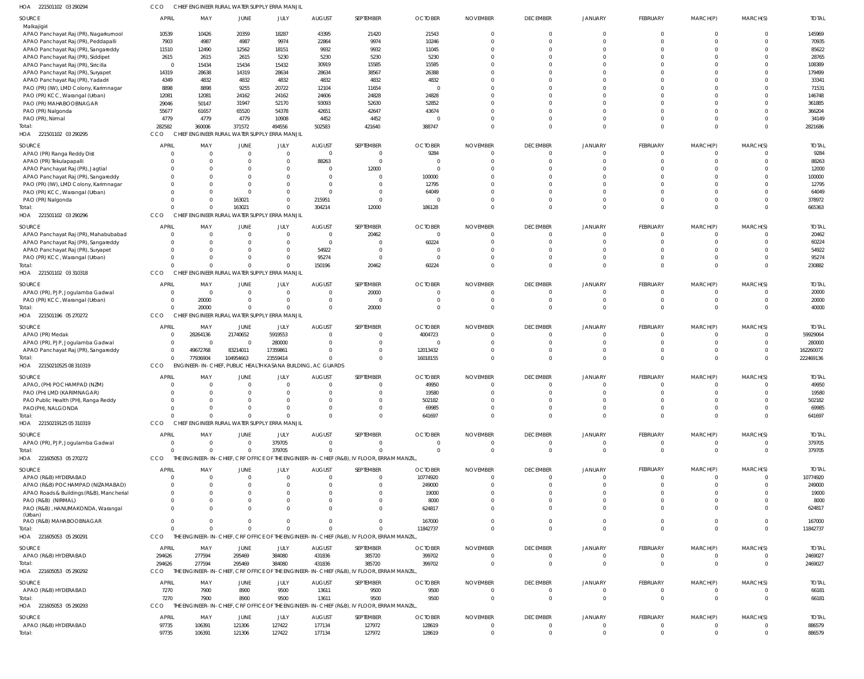| HOA<br>221501102 03 290294                                               |                        |                      |                | CHIEF ENGINEER RURAL WATER SUPPLY ERRA MANJII               |                |                                                                                           |                |                      |                      |                      |                      |                      |                      |                 |
|--------------------------------------------------------------------------|------------------------|----------------------|----------------|-------------------------------------------------------------|----------------|-------------------------------------------------------------------------------------------|----------------|----------------------|----------------------|----------------------|----------------------|----------------------|----------------------|-----------------|
| SOURCE                                                                   | <b>APRIL</b>           | MAY                  | <b>JUNE</b>    | JULY                                                        | <b>AUGUST</b>  | SEPTEMBER                                                                                 | <b>OCTOBER</b> | <b>NOVEMBER</b>      | <b>DECEMBER</b>      | JANUARY              | FEBRUARY             | MARCH(P)             | MARCH(S)             | <b>TOTAL</b>    |
| Malkajigiri                                                              |                        |                      |                |                                                             |                |                                                                                           |                |                      |                      |                      |                      |                      |                      |                 |
| APAO Panchayat Raj (PR), Nagarkurnool                                    | 10539                  | 10426                | 20359          | 18287                                                       | 43395          | 21420                                                                                     | 21543          | $\overline{0}$       | $\mathbf 0$          | $\mathbf 0$          | $\mathbf 0$          | $\mathbf 0$          | $\mathbf 0$          | 145969          |
| APAO Panchayat Raj (PR), Peddapalli                                      | 7903                   | 4987                 | 4987           | 9974                                                        | 22864          | 9974                                                                                      | 10246          | $\Omega$             | $\mathbf 0$          | $\Omega$             | $\Omega$<br>$\Omega$ | $\Omega$             | $\Omega$             | 70935           |
| APAO Panchayat Raj (PR), Sangareddy<br>APAO Panchayat Raj (PR), Siddipet | 11510                  | 12490                | 12562          | 18151                                                       | 9932           | 9932                                                                                      | 11045          | $\Omega$<br>$\Omega$ | $\Omega$<br>$\Omega$ | $\Omega$<br>$\Omega$ | <sup>0</sup>         | $\Omega$<br>$\Omega$ | $\Omega$<br>$\Omega$ | 85622           |
| APAO Panchayat Raj (PR), Siricilla                                       | 2615<br>$\overline{0}$ | 2615<br>15434        | 2615<br>15434  | 5230<br>15432                                               | 5230<br>30919  | 5230<br>15585                                                                             | 5230<br>15585  |                      | $\Omega$             | $\Omega$             | <sup>0</sup>         | $\Omega$             | $\Omega$             | 28765<br>108389 |
|                                                                          | 14319                  | 28638                | 14319          | 28634                                                       | 28634          | 38567                                                                                     | 26388          |                      | $\Omega$             | $\Omega$             |                      |                      | $\Omega$             | 179499          |
| APAO Panchayat Raj (PR), Suryapet<br>APAO Panchayat Raj (PR), Yadadr     | 4349                   | 4832                 | 4832           | 4832                                                        | 4832           | 4832                                                                                      | 4832           |                      | $\Omega$             | $\Omega$             | <sup>0</sup>         | $\Omega$             | $\Omega$             | 33341           |
| PAO (PR) (IW), LMD Colony, Karimnagar                                    | 8898                   | 8898                 | 9255           | 20722                                                       | 12104          | 11654                                                                                     | $\overline{0}$ |                      | $\Omega$             | $\Omega$             |                      |                      | $\Omega$             | 71531           |
|                                                                          | 12081                  | 12081                | 24162          | 24162                                                       | 24606          | 24828                                                                                     | 24828          |                      | $\Omega$             | $\Omega$             | <sup>0</sup>         | $\Omega$             | $\Omega$             | 146748          |
| PAO (PR) KCC, Warangal (Urban)                                           | 29046                  | 50147                | 31947          | 52170                                                       | 93093          | 52630                                                                                     | 52852          |                      | $\Omega$             | $\Omega$             | <sup>0</sup>         | $\Omega$             | $\Omega$             | 361885          |
| PAO (PR) MAHABOOBNAGAR                                                   | 55677                  | 61657                | 65520          | 54378                                                       | 42651          | 42647                                                                                     | 43674          |                      | $\Omega$             | $\Omega$             | <sup>0</sup>         | $\Omega$             | $\Omega$             | 366204          |
| PAO (PR) Nalgonda                                                        | 4779                   | 4779                 | 4779           | 10908                                                       | 4452           | 4452                                                                                      | $\Omega$       | $\Omega$             | $\mathbf 0$          | $\mathbf 0$          | $\Omega$             | $\Omega$             | $\mathbf 0$          | 34149           |
| PAO (PR), Nirmal                                                         | 282582                 | 360006               | 371572         | 494556                                                      | 502583         | 421640                                                                                    | 388747         | $\Omega$             | $\Omega$             | $\Omega$             | $\Omega$             | $\Omega$             | $\Omega$             | 2821686         |
| Total:<br>HOA<br>221501102 03 290295                                     | CCO                    | CHIEF ENGINEER RURAL |                | WATER SUPPLY ERRA MANJIL                                    |                |                                                                                           |                |                      |                      |                      |                      |                      |                      |                 |
| SOURCE                                                                   | <b>APRIL</b>           | MAY                  | <b>JUNE</b>    | JULY                                                        | <b>AUGUST</b>  | SEPTEMBER                                                                                 | <b>OCTOBER</b> | <b>NOVEMBER</b>      | <b>DECEMBER</b>      | JANUARY              | <b>FEBRUARY</b>      | MARCH(P)             | MARCH(S)             | <b>TOTAL</b>    |
| APAO (PR) Ranga Reddy Dist                                               | $\Omega$               | $\Omega$             | $\overline{0}$ | $\overline{0}$                                              | $\overline{0}$ | 0                                                                                         | 9284           | $\Omega$             | $\overline{0}$       | $\mathbf 0$          | $\overline{0}$       | $^{\circ}$           | $\mathbf 0$          | 9284            |
| APAO (PR) Tekulapapalli                                                  | $\Omega$               | $\Omega$             | $^{\circ}$     | $\overline{0}$                                              | 88263          | 0                                                                                         | $\Omega$       | $\Omega$             | $\mathbf 0$          | $\mathbf 0$          | $\Omega$             | $\Omega$             | $\mathbf 0$          | 88263           |
| APAO Panchayat Raj (PR), Jagtial                                         | $\Omega$               | $\Omega$             | $\Omega$       | $\overline{0}$                                              | $\overline{0}$ | 12000                                                                                     | $\overline{0}$ | $\Omega$             | $\mathbf 0$          | $\mathbf 0$          | $\Omega$             |                      | $\Omega$             | 12000           |
| APAO Panchayat Raj (PR), Sangareddy                                      | $\Omega$               | $\Omega$             | $\Omega$       | $\overline{0}$                                              | $\overline{0}$ | $\Omega$                                                                                  | 100000         |                      | $\Omega$             | $\Omega$             | <sup>0</sup>         | $\Omega$             | $\Omega$             | 100000          |
| PAO (PR) (IW), LMD Colony, Karimnagar                                    | 0                      | $\Omega$             | $\Omega$       | $\overline{0}$                                              | $\overline{0}$ |                                                                                           | 12795          |                      | $\Omega$             | $\mathbf 0$          |                      |                      | $\Omega$             | 12795           |
| PAO (PR) KCC, Warangal (Urban)                                           | $\Omega$               | $\Omega$             | $\Omega$       | $\overline{0}$                                              | $\Omega$       | -0                                                                                        | 64049          | $\Omega$             | $\Omega$             | $\Omega$             | $\Omega$             | $\Omega$             | $\Omega$             | 64049           |
| PAO (PR) Nalgonda                                                        | $\Omega$               | $\Omega$             | 163021         | $\overline{0}$                                              | 215951         | $\mathbf 0$                                                                               | $\Omega$       | $\Omega$             | $\mathbf 0$          | $\mathbf 0$          | $\Omega$             | $\Omega$             | $\mathbf 0$          | 378972          |
|                                                                          | $\Omega$               | $\Omega$             | 163021         | $\overline{0}$                                              | 304214         | 12000                                                                                     | 186128         | $\Omega$             | $\Omega$             | $\Omega$             | $\Omega$             | $\Omega$             | $\Omega$             | 665363          |
| HOA 221501102 03 290296                                                  | CCO                    |                      |                | CHIEF ENGINEER RURAL WATER SUPPLY ERRA MANJIL               |                |                                                                                           |                |                      |                      |                      |                      |                      |                      |                 |
| SOURCE                                                                   | <b>APRIL</b>           | MAY                  | <b>JUNE</b>    | JULY                                                        | <b>AUGUST</b>  | SEPTEMBER                                                                                 | <b>OCTOBER</b> | <b>NOVEMBER</b>      | <b>DECEMBER</b>      | JANUARY              | <b>FEBRUARY</b>      | MARCH(P)             | MARCH(S)             | <b>TOTAI</b>    |
| APAO Panchayat Raj (PR), Mahabubabad                                     | $\Omega$               | $\Omega$             | $\overline{0}$ | $\overline{0}$                                              | $\overline{0}$ | 20462                                                                                     | $\Omega$       | $\Omega$             | $^{\circ}$           | $\Omega$             | $\Omega$             | $\Omega$             | $\Omega$             | 20462           |
| APAO Panchayat Raj (PR), Sangareddy                                      | $\Omega$               | $\Omega$             | $\Omega$       | $\overline{0}$                                              | $\overline{0}$ | $\Omega$                                                                                  | 60224          |                      | $\mathbf 0$          | $\Omega$             |                      |                      | $\Omega$             | 60224           |
| APAO Panchayat Raj (PR), Suryapet                                        | $\Omega$               | $\Omega$             | $\Omega$       | $\overline{0}$                                              | 54922          | $\Omega$                                                                                  | $\Omega$       |                      | $\Omega$             | $\Omega$             | <sup>0</sup>         | $\Omega$             | $\Omega$             | 54922           |
| PAO (PR) KCC, Warangal (Urban)                                           | $\Omega$               | $\Omega$             | $\overline{0}$ | $\overline{0}$                                              | 95274          | 0                                                                                         | $\overline{0}$ | $\mathbf 0$          | $\mathbf 0$          | $\mathbf 0$          | $\mathbf 0$          | $\mathbf 0$          | $\mathbf 0$          | 95274           |
| Total:                                                                   |                        | $\Omega$             | $\Omega$       | $\Omega$                                                    | 150196         | 20462                                                                                     | 60224          | $\Omega$             | $\Omega$             | $\Omega$             | $\Omega$             | $\Omega$             | $\Omega$             | 230882          |
| HOA<br>221501102 03 310318                                               | CCO                    |                      |                | CHIEF ENGINEER RURAL WATER SUPPLY ERRA MANJIL               |                |                                                                                           |                |                      |                      |                      |                      |                      |                      |                 |
| SOURCE                                                                   | <b>APRIL</b>           | MAY                  | <b>JUNE</b>    | JULY                                                        | <b>AUGUST</b>  | SEPTEMBER                                                                                 | <b>OCTOBER</b> | <b>NOVEMBER</b>      | <b>DECEMBER</b>      | JANUARY              | FEBRUARY             | MARCH(P)             | MARCH(S)             | <b>TOTAL</b>    |
| APAO (PR), PJP, Jogulamba Gadwal                                         | $\Omega$               | $\overline{0}$       | $\overline{0}$ | $\overline{0}$                                              | $\overline{0}$ | 20000                                                                                     | $\overline{0}$ | $\overline{0}$       | $\overline{0}$       | $\mathbf 0$          | $\overline{0}$       | $\overline{0}$       | $\mathbf 0$          | 20000           |
| PAO (PR) KCC, Warangal (Urban)                                           | $\mathbf{0}$           | 20000                | $\overline{0}$ | $\overline{0}$                                              | $\overline{0}$ | 0                                                                                         | $\overline{0}$ | $\overline{0}$       | $\mathbf 0$          | $\mathbf 0$          | $\mathbf 0$          | $\overline{0}$       | $\mathbf 0$          | 20000           |
| Total                                                                    | $\Omega$               | 20000                | $\overline{0}$ | $\overline{0}$                                              | $\overline{0}$ | 20000                                                                                     | $\Omega$       | $\Omega$             | $\mathbf{0}$         | $\mathbf 0$          | $\Omega$             | $\Omega$             | $\Omega$             | 40000           |
| HOA 221501196 05 270272                                                  | CCO                    |                      |                | CHIEF ENGINEER RURAL WATER SUPPLY ERRA MANJIL               |                |                                                                                           |                |                      |                      |                      |                      |                      |                      |                 |
| SOURCE                                                                   | <b>APRIL</b>           | MAY                  | <b>JUNE</b>    | JULY                                                        | <b>AUGUST</b>  | SEPTEMBER                                                                                 | <b>OCTOBER</b> | <b>NOVEMBER</b>      | <b>DECEMBER</b>      | JANUARY              | FEBRUARY             | MARCH(P)             | MARCH(S)             | <b>TOTAI</b>    |
| APAO (PR) Medak                                                          | $\Omega$               | 28264136             | 21740652       | 5919553                                                     | $\overline{0}$ | $\Omega$                                                                                  | 4004723        | $\Omega$             | $\mathbf 0$          | $\Omega$             | $\mathbf 0$          | $^{\circ}$           | $\Omega$             | 59929064        |
| APAO (PR), PJP, Jogulamba Gadwal                                         | $\Omega$               | $\Omega$             | $\Omega$       | 280000                                                      | $\overline{0}$ | $\Omega$                                                                                  |                | $\Omega$             | $^{\circ}$           | $^{\circ}$           | $\Omega$             | $\overline{0}$       | $\mathbf 0$          | 280000          |
| APAO Panchayat Raj (PR), Sangareddy                                      | $\Omega$               | 49672768             | 83214011       | 17359861                                                    | $\Omega$       | $\Omega$                                                                                  | 12013432       | $\mathbf 0$          | $\mathbf 0$          | $\mathbf 0$          | $\mathbf 0$          | $\mathbf 0$          | $\mathbf 0$          | 162260072       |
| Total:                                                                   | $\Omega$               | 77936904             | 104954663      | 23559414                                                    | $\Omega$       |                                                                                           | 16018155       | $\Omega$             | $\Omega$             | $\Omega$             | $\Omega$             | $\Omega$             | $\Omega$             | 222469136       |
| HOA 22150210525 08 310319                                                | CCO                    |                      |                | ENGINEER-IN-CHIEF, PUBLIC HEALTH KASANA BUILDING, AC GUARDS |                |                                                                                           |                |                      |                      |                      |                      |                      |                      |                 |
|                                                                          |                        |                      |                |                                                             |                |                                                                                           |                |                      |                      |                      |                      |                      |                      |                 |
| SOURCE                                                                   | <b>APRIL</b>           | MAY                  | JUNE           | JULY                                                        | <b>AUGUST</b>  | SEPTEMBER                                                                                 | <b>OCTOBER</b> | <b>NOVEMBER</b>      | <b>DECEMBER</b>      | JANUARY              | FEBRUARY             | MARCH(P)             | MARCH(S)             | <b>TOTAL</b>    |
| APAO, (PH) POCHAMPAD (NZM)                                               | $\mathbf{0}$           | $\Omega$             | $\overline{0}$ | $\overline{0}$                                              | $\overline{0}$ | $\Omega$                                                                                  | 49950          | $\overline{0}$       | $\mathbf 0$          | $\mathbf 0$          | $\mathbf 0$          | $\overline{0}$       | $\mathbf{0}$         | 49950           |
| PAO (PH) LMD (KARIMNAGAR)                                                |                        |                      |                |                                                             |                |                                                                                           | 19580          |                      | $\Omega$             |                      |                      |                      |                      | 19580           |
| PAO Public Health (PH), Ranga Reddy                                      | $\Omega$               | $\cap$               | $\Omega$       | $\Omega$                                                    | $\Omega$       |                                                                                           | 502182         | $\Omega$             | $\mathbf 0$          | $^{\circ}$           | $\Omega$             | $\Omega$             | $\Omega$             | 502182          |
| PAO(PH), NALGONDA                                                        | $\Omega$               | $\Omega$             | $\Omega$       | $\overline{0}$                                              | $\overline{0}$ |                                                                                           | 69985          | $\Omega$             | $\mathbf 0$          | $\mathbf 0$          | $\mathbf 0$          | $\mathbf 0$          | $^{\circ}$           | 69985           |
| Total:                                                                   | $\Omega$               | $\Omega$             | $\Omega$       | $\overline{0}$                                              | $\Omega$       |                                                                                           | 641697         | $\Omega$             | $\Omega$             | $\mathbf 0$          | $\Omega$             | $\Omega$             | $\Omega$             | 641697          |
| HOA 22150219125 05 310319                                                | CCO                    |                      |                | CHIEF ENGINEER RURAL WATER SUPPLY ERRA MANJIL               |                |                                                                                           |                |                      |                      |                      |                      |                      |                      |                 |
| SOURCE                                                                   | <b>APRIL</b>           | MAY                  | <b>JUNE</b>    | JULY                                                        | <b>AUGUST</b>  | SEPTEMBER                                                                                 | <b>OCTOBER</b> | <b>NOVEMBER</b>      | <b>DECEMBER</b>      | JANUARY              | FEBRUARY             | MARCH(P)             | MARCH(S)             | <b>TOTAL</b>    |
| APAO (PR), PJP, Jogulamba Gadwal                                         | $\Omega$               | $\Omega$             | $\overline{0}$ | 379705                                                      | $\overline{0}$ | $\Omega$                                                                                  | $\overline{0}$ | $\overline{0}$       | $^{\circ}$           | $^{\circ}$           | $\overline{0}$       | $^{\circ}$           | $\Omega$             | 379705          |
| Total:                                                                   | $\Omega$               | $\Omega$             | $\overline{0}$ | 379705                                                      | $\Omega$       | $\Omega$                                                                                  | $\Omega$       | $\overline{0}$       | $\mathbf 0$          | $\mathbf 0$          | $\overline{0}$       | $\mathbf 0$          | $\mathbf 0$          | 379705          |
| 221605053 05 270272<br>HOA                                               | CCO                    |                      |                |                                                             |                | THE ENGINEER-IN-CHIEF, CRF OFFICE OF THE ENGINEER-IN-CHIEF (R&B), IV FLOOR, ERRAM MANZIL  |                |                      |                      |                      |                      |                      |                      |                 |
| SOURCE                                                                   | <b>APRIL</b>           | MAY                  | JUNE           | JULY                                                        | <b>AUGUST</b>  | SEPTEMBER                                                                                 | <b>OCTOBER</b> | <b>NOVEMBER</b>      | <b>DECEMBER</b>      | JANUARY              | FEBRUARY             | MARCH(P)             | MARCH(S)             | <b>TOTAL</b>    |
| APAO (R&B) HYDERABAD                                                     | 0                      | $\Omega$             | $\overline{0}$ | $\overline{0}$                                              | $\overline{0}$ | 0                                                                                         | 10774920       | $\Omega$             | $\overline{0}$       | $^{\circ}$           | $\overline{0}$       | $^{\circ}$           | $^{\circ}$           | 10774920        |
| APAO (R&B) POCHAMPAD (NIZAMABAD)                                         | $\Omega$               | $\Omega$             | $\Omega$       | $\overline{0}$                                              | $\Omega$       |                                                                                           | 249000         |                      | $^{\circ}$           | $^{\circ}$           | $\Omega$             | $\Omega$             | $\Omega$             | 249000          |
| APAO Roads & Buildings (R&B), Mancherial                                 | $\Omega$               |                      | $\Omega$       | $\overline{0}$                                              | $\Omega$       |                                                                                           | 19000          |                      | $^{\circ}$           | $\mathbf 0$          | $\Omega$             |                      | $\Omega$             | 19000           |
| PAO (R&B) (NIRMAL)                                                       | $\Omega$               | $\Omega$             | $\Omega$       | $\overline{0}$                                              | $\Omega$       |                                                                                           | 8000           |                      | $\Omega$             | $^{\circ}$           | $\Omega$             | $\Omega$             | $\Omega$             | 8000            |
| PAO (R&B), HANUMAKONDA, Warangal                                         | $\Omega$               | $\Omega$             | $\Omega$       | $\Omega$                                                    | $\Omega$       |                                                                                           | 624817         |                      | $\Omega$             | $\Omega$             | $\Omega$             | $\Omega$             | $\Omega$             | 624817          |
| (Urban)                                                                  |                        |                      |                |                                                             |                |                                                                                           |                |                      |                      |                      |                      |                      |                      |                 |
| PAO (R&B) MAHABOOBNAGAR                                                  | $\Omega$               | $\Omega$             | $\overline{0}$ | $\overline{0}$                                              | $\Omega$       | $\Omega$                                                                                  | 167000         | $\Omega$             | $^{\circ}$           | $^{\circ}$           | 0                    | $\mathbf 0$          | $\Omega$             | 167000          |
| Total:<br>HOA 221605053 05 290291                                        | $\Omega$<br>CCO        | $\Omega$             | $\Omega$       | $\Omega$                                                    | $\Omega$       | THE ENGINEER-IN-CHIEF, CRF OFFICE OF THE ENGINEER-IN-CHIEF (R&B), IV FLOOR, ERRAM MANZIL  | 11842737       | $\Omega$             | $\mathbf{0}$         | $\Omega$             | $\mathbf 0$          | $\Omega$             | $\Omega$             | 11842737        |
|                                                                          |                        |                      |                |                                                             |                |                                                                                           |                |                      |                      |                      |                      |                      |                      |                 |
| SOURCE                                                                   | <b>APRIL</b>           | MAY                  | JUNE           | JULY                                                        | <b>AUGUST</b>  | SEPTEMBER                                                                                 | <b>OCTOBER</b> | <b>NOVEMBER</b>      | <b>DECEMBER</b>      | JANUARY              | FEBRUARY             | MARCH(P)             | MARCH(S)             | <b>TOTAL</b>    |
| APAO (R&B) HYDERABAD                                                     | 294626                 | 277594               | 295469         | 384080                                                      | 431836         | 385720                                                                                    | 399702         | $\overline{0}$       | $^{\circ}$           | $^{\circ}$           | $\mathbf{0}$         | $\overline{0}$       | 0                    | 2469027         |
| Total:                                                                   | 294626                 | 277594               | 295469         | 384080                                                      | 431836         | 385720                                                                                    | 399702         | $\Omega$             | $\mathbf 0$          | $\mathbf 0$          | $\Omega$             | $\overline{0}$       | $\Omega$             | 2469027         |
| HOA 221605053 05 290292                                                  | CCO                    |                      |                |                                                             |                | THE ENGINEER-IN-CHIEF, CRF OFFICE OF THE ENGINEER-IN-CHIEF (R&B), IV FLOOR, ERRAM MANZIL  |                |                      |                      |                      |                      |                      |                      |                 |
| SOURCE                                                                   | <b>APRIL</b>           | MAY                  | <b>JUNE</b>    | JULY                                                        | <b>AUGUST</b>  | SEPTEMBER                                                                                 | <b>OCTOBER</b> | <b>NOVEMBER</b>      | <b>DECEMBER</b>      | JANUARY              | <b>FEBRUARY</b>      | MARCH(P)             | MARCH(S)             | <b>TOTAL</b>    |
| APAO (R&B) HYDERABAD                                                     | 7270                   | 7900                 | 8900           | 9500                                                        | 13611          | 9500                                                                                      | 9500           | $\overline{0}$       | $\overline{0}$       | $^{\circ}$           | $\overline{0}$       | $^{\circ}$           | $^{\circ}$           | 66181           |
| Total:                                                                   | 7270                   | 7900                 | 8900           | 9500                                                        | 13611          | 9500                                                                                      | 9500           | $\Omega$             | $\mathbf 0$          | $\mathbf 0$          | $\mathbf{0}$         | $\mathbf 0$          | $\Omega$             | 66181           |
| HOA 221605053 05 290293                                                  | CCO                    |                      |                |                                                             |                | THE ENGINEER-IN-CHIEF, CRF OFFICE OF THE ENGINEER-IN-CHIEF (R&B), IV FLOOR, ERRAM MANZIL, |                |                      |                      |                      |                      |                      |                      |                 |
| SOURCE                                                                   | <b>APRIL</b>           | MAY                  | JUNE           | JULY                                                        | <b>AUGUST</b>  | SEPTEMBER                                                                                 | <b>OCTOBER</b> | <b>NOVEMBER</b>      | <b>DECEMBER</b>      | JANUARY              | <b>FEBRUARY</b>      | MARCH(P)             | MARCH(S)             | <b>TOTAL</b>    |
| APAO (R&B) HYDERABAD                                                     | 97735                  | 106391               | 121306         | 127422                                                      | 177134         | 127972                                                                                    | 128619         | $\overline{0}$       | $\mathbf 0$          | $\mathbf 0$          | $\mathbf{0}$         | $\mathbf 0$          | $^{\circ}$           | 886579          |
| Total:                                                                   | 97735                  | 106391               | 121306         | 127422                                                      | 177134         | 127972                                                                                    | 128619         | $\Omega$             | $\Omega$             | $\Omega$             | $\Omega$             | $\Omega$             | $\Omega$             | 886579          |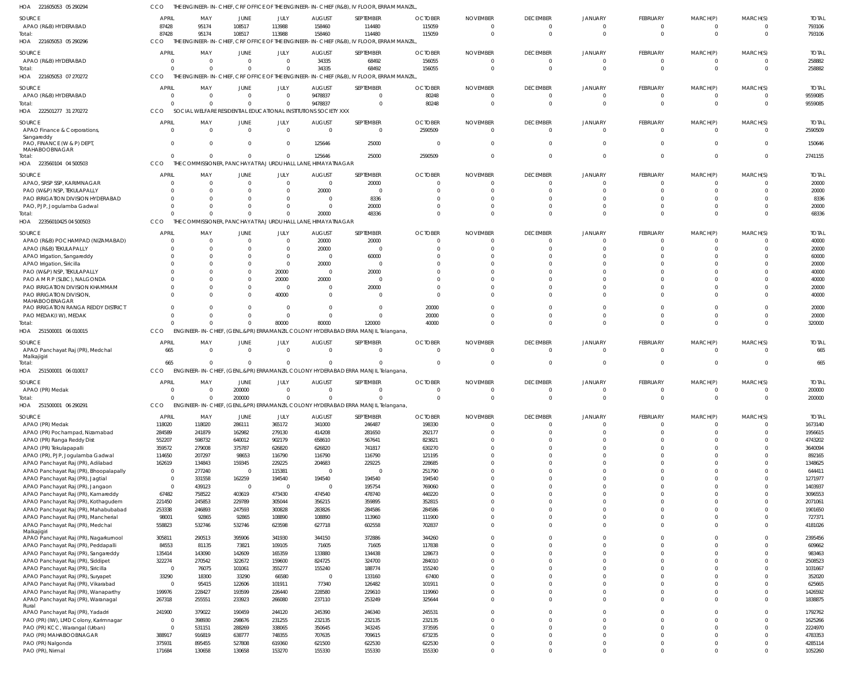| HOA<br>221605053 05 290294                                                 | CCO                      |                        |                          |                         |                                                                 | THE ENGINEER-IN-CHIEF, CRF OFFICE OF THE ENGINEER-IN-CHIEF (R&B), IV FLOOR, ERRAM MANZIL |                  |                      |                      |                            |                            |                      |                      |                    |
|----------------------------------------------------------------------------|--------------------------|------------------------|--------------------------|-------------------------|-----------------------------------------------------------------|------------------------------------------------------------------------------------------|------------------|----------------------|----------------------|----------------------------|----------------------------|----------------------|----------------------|--------------------|
| <b>SOURCE</b>                                                              | <b>APRIL</b>             | MAY                    | <b>JUNE</b>              | JULY                    | <b>AUGUST</b>                                                   | SEPTEMBER                                                                                | <b>OCTOBER</b>   | <b>NOVEMBER</b>      | <b>DECEMBER</b>      | <b>JANUARY</b>             | FEBRUARY                   | MARCH(P)             | MARCH(S)             | <b>TOTAI</b>       |
| APAO (R&B) HYDERABAD                                                       | 87428                    | 95174                  | 108517                   | 113988                  | 158460                                                          | 114480                                                                                   | 115059           | $\Omega$             | $\mathbf 0$          | $\circ$                    | $\overline{0}$             | 0                    | $\Omega$             | 793106             |
| Total:                                                                     | 87428                    | 95174                  | 108517                   | 113988                  | 158460                                                          | 114480                                                                                   | 115059           | $\Omega$             | $\mathbf{0}$         | $\Omega$                   | $\mathbf 0$                | $\mathbf 0$          | $\Omega$             | 793106             |
| HOA 221605053 05 290296                                                    | CCO                      |                        |                          |                         |                                                                 | THE ENGINEER-IN-CHIEF, CRF OFFICE OF THE ENGINEER-IN-CHIEF (R&B), IV FLOOR, ERRAM MANZIL |                  |                      |                      |                            |                            |                      |                      |                    |
| <b>SOURCE</b>                                                              | <b>APRIL</b>             | MAY                    | <b>JUNE</b>              | JULY                    | <b>AUGUST</b>                                                   | SEPTEMBER                                                                                | <b>OCTOBER</b>   | <b>NOVEMBER</b>      | <b>DECEMBER</b>      | <b>JANUARY</b>             | FEBRUARY                   | MARCH(P)             | MARCH(S)             | <b>TOTAI</b>       |
| APAO (R&B) HYDERABAD                                                       | $\Omega$                 | $\Omega$               | $\overline{0}$           | $\mathbf 0$             | 34335                                                           | 68492                                                                                    | 156055           | $\mathbf 0$          | $\overline{0}$       | $\overline{0}$             | $\overline{0}$             | $\mathbf 0$          | $\Omega$             | 258882             |
| Total:                                                                     | $\Omega$                 | $\Omega$               | $\Omega$                 | $\Omega$                | 34335                                                           | 68492                                                                                    | 156055           | $\Omega$             | $\overline{0}$       | $\Omega$                   | $\mathbf 0$                | $\mathbf 0$          | $\Omega$             | 258882             |
| 221605053 07 270272<br>HOA                                                 | CCO                      | THE ENGINEER-IN-CHIEF, |                          |                         |                                                                 | CRF OFFICE OF THE ENGINEER-IN-CHIEF (R&B), IV FLOOR, ERRAM MANZIL                        |                  |                      |                      |                            |                            |                      |                      |                    |
| SOURCE                                                                     | <b>APRIL</b>             | MAY                    | <b>JUNE</b>              | JULY                    | <b>AUGUST</b>                                                   | SEPTEMBER                                                                                | <b>OCTOBER</b>   | <b>NOVEMBER</b>      | <b>DECEMBER</b>      | <b>JANUARY</b>             | FEBRUARY                   | MARCH(P)             | MARCH(S)             | <b>TOTAI</b>       |
| APAO (R&B) HYDERABAD                                                       | - 0                      | $\Omega$               | $\overline{0}$           | $\mathbf 0$             | 9478837                                                         | $\Omega$                                                                                 | 80248            | $\Omega$             | $\overline{0}$       | $\Omega$                   | $^{\circ}$                 | $\Omega$             | $\Omega$             | 9559085            |
| Total:                                                                     |                          | $\Omega$               | $\Omega$                 | $\mathbf 0$             | 9478837                                                         | $\Omega$                                                                                 | 80248            | $\Omega$             | $\overline{0}$       | $\Omega$                   | $\mathbf 0$                | $\mathbf 0$          | $\Omega$             | 9559085            |
| HOA 222501277 31 270272                                                    | CCO                      |                        |                          |                         | SOCIAL WELFARE RESIDENTIAL EDUCATIONAL INSTITUTIONS SOCIETY XXX |                                                                                          |                  |                      |                      |                            |                            |                      |                      |                    |
| <b>SOURCE</b>                                                              | <b>APRIL</b>             | MAY                    | <b>JUNE</b>              | JULY                    | <b>AUGUST</b>                                                   | SEPTEMBER                                                                                | <b>OCTOBER</b>   | <b>NOVEMBER</b>      | <b>DECEMBER</b>      | <b>JANUARY</b>             | FEBRUARY                   | MARCH(P)             | MARCH(S)             | <b>TOTAI</b>       |
| APAO Finance & Corporations,                                               | $\Omega$                 | $\Omega$               | $\Omega$                 | $\mathbf 0$             | $\Omega$                                                        | $\Omega$                                                                                 | 2590509          | $\mathbf 0$          | $\overline{0}$       | $\overline{0}$             | $\overline{0}$             | 0                    | $\Omega$             | 2590509            |
| Sangareddy                                                                 |                          |                        |                          |                         |                                                                 |                                                                                          |                  |                      |                      |                            |                            |                      |                      |                    |
| PAO, FINANCE (W & P) DEPT,<br>MAHABOOBNAGAR                                | $\Omega$                 | $\Omega$               | $\overline{0}$           | $\mathbf 0$             | 125646                                                          | 25000                                                                                    | 0                | $\Omega$             | $\mathbf{0}$         | $\overline{0}$             | $\mathbf 0$                | $\mathbf 0$          | $\Omega$             | 150646             |
| Total:                                                                     | $\Omega$                 | $\Omega$               | $\overline{0}$           | $\Omega$                | 125646                                                          | 25000                                                                                    | 2590509          | $\Omega$             | $\mathbf 0$          | $\Omega$                   | $\mathbf 0$                | $\mathbf 0$          | $\Omega$             | 2741155            |
| 223560104 04 500503<br>HOA                                                 | CCO                      |                        |                          |                         | THE COMMISSIONER, PANCHAYAT RAJ URDU HALL LANE, HIMAYATNAGAR    |                                                                                          |                  |                      |                      |                            |                            |                      |                      |                    |
| <b>SOURCE</b>                                                              | <b>APRIL</b>             | MAY                    | <b>JUNE</b>              | JULY                    | <b>AUGUST</b>                                                   | SEPTEMBER                                                                                | <b>OCTOBER</b>   | <b>NOVEMBER</b>      | <b>DECEMBER</b>      | <b>JANUARY</b>             | FEBRUARY                   | MARCH(P)             | MARCH(S)             | <b>TOTAL</b>       |
| APAO, SRSP SSP, KARIMNAGAR                                                 |                          | $\Omega$               | $\overline{0}$           | $\mathbf 0$             | $\Omega$                                                        | 20000                                                                                    | $\Omega$         | $\Omega$             | $\mathbf{0}$         | $\Omega$                   | $^{\circ}$                 | $\Omega$             | $\Omega$             | 20000              |
| PAO (W&P) NSP, TEKULAPALLY                                                 |                          | $\Omega$               | $\Omega$                 | $\Omega$                | 20000                                                           | - 0                                                                                      | $\Omega$         |                      | $\Omega$             | $\Omega$                   | $\Omega$                   | $\Omega$             | $\cap$               | 20000              |
| PAO IRRIGATION DIVISION HYDERABAD                                          |                          | $\Omega$               | $\Omega$                 | 0                       | $\Omega$                                                        | 8336                                                                                     | $\cup$           |                      | $\Omega$             | $\Omega$                   | $\Omega$                   | $\Omega$             | $\cap$               | 8336               |
| PAO, PJP, Jogulamba Gadwal                                                 |                          | $\Omega$               | $\Omega$                 | $\Omega$                | $\Omega$                                                        | 20000                                                                                    | $\Omega$         |                      | $\Omega$             | $\Omega$                   | $\mathbf 0$                | $\Omega$             | $\Omega$             | 20000              |
| Total:                                                                     |                          | $\Omega$               | $\Omega$                 | $\Omega$                | 20000                                                           | 48336                                                                                    | $\Omega$         | $\Omega$             | $\Omega$             | $\Omega$                   | $\Omega$                   | $\Omega$             | $\Omega$             | 68336              |
| 22356010425 04 500503<br>HOA                                               | CCO                      |                        |                          |                         | THE COMMISSIONER, PANCHAYAT RAJ URDU HALL LANE, HIMAYATNAGAR    |                                                                                          |                  |                      |                      |                            |                            |                      |                      |                    |
| <b>SOURCE</b>                                                              | <b>APRIL</b>             | MAY                    | JUNE                     | JULY                    | <b>AUGUST</b>                                                   | SEPTEMBER                                                                                | <b>OCTOBER</b>   | <b>NOVEMBER</b>      | <b>DECEMBER</b>      | <b>JANUARY</b>             | FEBRUARY                   | MARCH(P)             | MARCH(S)             | <b>TOTAI</b>       |
| APAO (R&B) POCHAMPAD (NIZAMABAD)                                           | $\Omega$                 | $\Omega$               | $\Omega$                 | $\mathbf 0$             | 20000                                                           | 20000                                                                                    | $\Omega$         | $\Omega$             | $\mathbf{0}$         | $\circ$                    | $\overline{0}$             | $\mathbf 0$          | $\Omega$             | 40000              |
| APAO (R&B) TEKULAPALLY                                                     | $\Omega$                 | $\Omega$               | $\overline{0}$           | $\mathbf 0$             | 20000                                                           | $\overline{0}$                                                                           | $\Omega$         | $\Omega$             | $\Omega$             | $\Omega$                   | $\mathbf 0$                | $\Omega$             | $\Omega$             | 20000              |
| APAO Irrigation, Sangareddy                                                |                          | $\Omega$<br>$\Omega$   | $\Omega$<br>$\Omega$     | $\Omega$<br>$\mathbf 0$ | $\Omega$<br>20000                                               | 60000<br>$\overline{0}$                                                                  | $\cup$           |                      | $\Omega$<br>$\Omega$ | $\Omega$<br>$\Omega$       | $\Omega$<br>$\Omega$       |                      | $\cap$               | 60000<br>20000     |
| APAO Irrigation, Siricilla<br>PAO (W&P) NSP, TEKULAPALLY                   |                          | $\Omega$               | $\Omega$                 | 20000                   | $\Omega$                                                        | 20000                                                                                    |                  |                      | $\Omega$             | $\Omega$                   | $\Omega$                   |                      |                      | 40000              |
| PAO A M R P (SLBC), NALGONDA                                               |                          | $\Omega$               | $\Omega$                 | 20000                   | 20000                                                           | $\overline{0}$                                                                           | $\Omega$         |                      | $\Omega$             | $\Omega$                   | $\Omega$                   | $\Omega$             | $\cap$               | 40000              |
| PAO IRRIGATION DIVISION KHAMMAM                                            |                          | $\Omega$               | $\Omega$                 | $\overline{0}$          | $\Omega$                                                        | 20000                                                                                    | $\Omega$         |                      | 0                    | $\Omega$                   | $\Omega$                   | $\Omega$             |                      | 20000              |
| PAO IRRIGATION DIVISION,                                                   | $\cap$                   | $\Omega$               | $\Omega$                 | 40000                   | $\Omega$                                                        | $\Omega$                                                                                 | $\Omega$         |                      | $\Omega$             | $\Omega$                   | $\Omega$                   | $\Omega$             | $\cap$               | 40000              |
| MAHABOOBNAGAR                                                              |                          | $\Omega$               | $\Omega$                 | $\Omega$                | $\Omega$                                                        | $\Omega$                                                                                 |                  |                      |                      | $\Omega$                   |                            | $\Omega$             | $\Omega$             |                    |
| PAO IRRIGATION RANGA REDDY DISTRICT<br>PAO MEDAK(IW), MEDAK                | $\Omega$                 | $\Omega$               | $\Omega$                 | $\Omega$                | $\Omega$                                                        | $\Omega$                                                                                 | 20000<br>20000   | $\Omega$             | $\Omega$<br>$\Omega$ | $\Omega$                   | $\mathbf 0$<br>$\mathbf 0$ | $\mathbf 0$          | $\Omega$             | 20000<br>20000     |
| Total:                                                                     |                          | $\Omega$               | $\Omega$                 | 80000                   | 80000                                                           | 120000                                                                                   | 40000            | $\Omega$             | $\Omega$             | $\Omega$                   | $\mathbf 0$                | $\mathbf 0$          | $\Omega$             | 320000             |
|                                                                            |                          |                        |                          |                         |                                                                 |                                                                                          |                  |                      |                      |                            |                            |                      |                      |                    |
| HOA 251500001 06 010015                                                    | CCO                      |                        |                          |                         |                                                                 | ENGINEER-IN-CHIEF, (GENL.&PR) ERRAMANZIL COLONY HYDERABAD ERRA MANJIL Telangana,         |                  |                      |                      |                            |                            |                      |                      |                    |
|                                                                            |                          |                        |                          |                         |                                                                 |                                                                                          |                  |                      |                      |                            |                            |                      |                      |                    |
| <b>SOURCE</b>                                                              | <b>APRIL</b>             | MAY                    | <b>JUNE</b>              | JULY                    | <b>AUGUST</b>                                                   | SEPTEMBER                                                                                | <b>OCTOBER</b>   | <b>NOVEMBER</b>      | <b>DECEMBER</b>      | <b>JANUARY</b>             | FEBRUARY                   | MARCH(P)             | MARCH(S)             | <b>TOTAI</b>       |
| APAO Panchayat Raj (PR), Medchal                                           | 665                      | $\Omega$               | $\Omega$                 | $\mathbf 0$             | $\Omega$                                                        | $\Omega$                                                                                 | $\Omega$         | $\Omega$             | $\overline{0}$       | $\overline{0}$             | $\overline{0}$             | $\mathbf 0$          | $\Omega$             | 665                |
| Malkajigiri<br>Total:                                                      | 665                      | $\Omega$               | $\Omega$                 | $\Omega$                | $\Omega$                                                        |                                                                                          | $\Omega$         | $\Omega$             | $\overline{0}$       | $\Omega$                   | $\mathbf 0$                | $\mathbf 0$          | $\Omega$             | 665                |
| HOA 251500001 06 010017                                                    | CCO                      |                        |                          |                         |                                                                 | ENGINEER-IN-CHIEF, (GENL.&PR) ERRAMANZIL COLONY HYDERABAD ERRA MANJIL Telangana,         |                  |                      |                      |                            |                            |                      |                      |                    |
| SOURCE                                                                     | <b>APRIL</b>             | MAY                    | JUNE                     | JULY                    | <b>AUGUST</b>                                                   | SEPTEMBER                                                                                | <b>OCTOBER</b>   | <b>NOVEMBER</b>      | <b>DECEMBER</b>      | <b>JANUARY</b>             | FEBRUARY                   | MARCH(P)             | MARCH(S)             | <b>TOTAL</b>       |
| APAO (PR) Medak                                                            |                          |                        | 200000                   | $\bigcap$               | $\cap$                                                          |                                                                                          |                  |                      | $\cap$               |                            |                            |                      |                      | 200000             |
| Total:                                                                     | $\Omega$                 | $\Omega$               | 200000                   | $\mathbf 0$             | $\Omega$                                                        | $\Omega$                                                                                 | $\mathbf 0$      | $\Omega$             | $\mathbf{0}$         | $\overline{0}$             | $\mathbf 0$                | $\mathbf 0$          | $\Omega$             | 200000             |
| HOA 251500001 06 290291                                                    |                          |                        |                          |                         |                                                                 | CCO ENGINEER-IN-CHIEF, (GENL.&PR) ERRAMANZIL COLONY HYDERABAD ERRA MANJIL Telangana,     |                  |                      |                      |                            |                            |                      |                      |                    |
| SOURCE                                                                     | <b>APRIL</b>             | MAY                    | JUNE                     | JULY                    | <b>AUGUST</b>                                                   | SEPTEMBER                                                                                | <b>OCTOBER</b>   | <b>NOVEMBER</b>      | <b>DECEMBER</b>      | <b>JANUARY</b>             | FEBRUARY                   | MARCH(P)             | MARCH(S)             | <b>TOTAL</b>       |
| APAO (PR) Medak                                                            | 118020                   | 118020                 | 286111                   | 365172                  | 341000                                                          | 246487                                                                                   | 198330           | $\Omega$             | $\overline{0}$       | $\overline{0}$             | $\mathbf{0}$               | $\Omega$             | $\Omega$             | 1673140            |
| APAO (PR) Pochampad, Nizamabad                                             | 284589                   | 241879                 | 162982                   | 279130                  | 414208                                                          | 281650                                                                                   | 292177           | $\Omega$             | $\mathbf 0$          | $\Omega$                   | $\mathbf 0$                | $\mathbf 0$          | $\Omega$             | 1956615            |
| APAO (PR) Ranga Reddy Dist                                                 | 552207                   | 598732                 | 640012                   | 902179                  | 658610                                                          | 567641                                                                                   | 823821           |                      | $\Omega$             | $\Omega$                   | $\mathbf 0$                | $\Omega$             | $\Omega$             | 4743202            |
| APAO (PR) Tekulapapalli                                                    | 359572                   | 279008                 | 375787                   | 626820                  | 626820                                                          | 741817                                                                                   | 630270           | $\Omega$             | $\Omega$             | $\Omega$                   | $\mathbf 0$                | $\Omega$             | $\Omega$             | 3640094            |
| APAO (PR), PJP, Jogulamba Gadwal                                           | 114650                   | 207297                 | 98653                    | 116790                  | 116790                                                          | 116790                                                                                   | 121195           | $\Omega$<br>$\Omega$ | $\Omega$<br>$\Omega$ | $\Omega$<br>$\Omega$       | $\Omega$<br>$\Omega$       | $\Omega$<br>$\Omega$ | $\Omega$<br>$\Omega$ | 892165             |
| APAO Panchayat Raj (PR), Adilabad                                          | 162619<br>$\mathbf 0$    | 134843<br>277240       | 159345<br>$\overline{0}$ | 229225<br>115381        | 204683<br>$\Omega$                                              | 229225<br>$\Omega$                                                                       | 228685<br>251790 | $\Omega$             | $\Omega$             | $\Omega$                   | $\Omega$                   | $\Omega$             | $\cap$               | 1348625<br>644411  |
| APAO Panchayat Raj (PR), Bhoopalapally<br>APAO Panchayat Raj (PR), Jagtial | $\overline{0}$           | 331558                 | 162259                   | 194540                  | 194540                                                          | 194540                                                                                   | 194540           | $\Omega$             | $\Omega$             | $\Omega$                   | $\mathbf 0$                | $\Omega$             | $\Omega$             | 1271977            |
| APAO Panchayat Raj (PR), Jangaon                                           | $\overline{0}$           | 439123                 | $\overline{0}$           | $\mathbf 0$             | $\Omega$                                                        | 195754                                                                                   | 769060           | $\Omega$             | $\Omega$             | $\overline{0}$             | $\Omega$                   | $\Omega$             | $\Omega$             | 1403937            |
| APAO Panchayat Raj (PR), Kamareddy                                         | 67482                    | 758522                 | 403619                   | 473430                  | 474540                                                          | 478740                                                                                   | 440220           | $\Omega$             | $\Omega$             | $\Omega$                   | $\Omega$                   | $\Omega$             | $\Omega$             | 3096553            |
| APAO Panchayat Raj (PR), Kothagudem                                        | 221450                   | 245853                 | 229789                   | 305044                  | 356215                                                          | 359895                                                                                   | 352815           | $\Omega$             | $\Omega$             | $\Omega$                   | $\Omega$                   | $\Omega$             | $\Omega$             | 2071061            |
| APAO Panchayat Raj (PR), Mahabubabad                                       | 253338                   | 246893                 | 247593                   | 300828                  | 283826                                                          | 284586                                                                                   | 284586           | $\Omega$             | $\Omega$             | $\Omega$                   | $\mathbf 0$                | $\Omega$             | $\Omega$             | 1901650            |
| APAO Panchayat Raj (PR), Mancherial                                        | 98001                    | 92865                  | 92865                    | 108890                  | 108890                                                          | 113960                                                                                   | 111900           | $\Omega$             | $\Omega$             | $\Omega$                   | $\Omega$                   | $\Omega$             | $\Omega$             | 727371             |
| APAO Panchayat Raj (PR), Medchal                                           | 558823                   | 532746                 | 532746                   | 623598                  | 627718                                                          | 602558                                                                                   | 702837           | $\Omega$             | $\Omega$             | $\Omega$                   | $\mathbf 0$                | $\Omega$             | $\Omega$             | 4181026            |
| Malkajigiri<br>APAO Panchayat Raj (PR), Nagarkurnool                       | 305811                   | 290513                 | 395906                   | 341930                  | 344150                                                          | 372886                                                                                   | 344260           | $\Omega$             | $\Omega$             | $\overline{0}$             | $\mathbf 0$                | $\Omega$             | $\Omega$             | 2395456            |
| APAO Panchayat Raj (PR), Peddapalli                                        | 84553                    | 81135                  | 73821                    | 109105                  | 71605                                                           | 71605                                                                                    | 117838           | $\Omega$             | $\Omega$             | $\overline{0}$             | $\mathbf 0$                | $\Omega$             | $\Omega$             | 609662             |
| APAO Panchayat Raj (PR), Sangareddy                                        | 135414                   | 143090                 | 142609                   | 165359                  | 133880                                                          | 134438                                                                                   | 128673           | $\Omega$             | $\Omega$             | $\Omega$                   | $\Omega$                   | $\Omega$             | $\Omega$             | 983463             |
| APAO Panchayat Raj (PR), Siddipet                                          | 322274                   | 270542                 | 322672                   | 159600                  | 824725                                                          | 324700                                                                                   | 284010           | $\Omega$             | $\Omega$             | $\Omega$                   | $\mathbf 0$                | $\Omega$             | $\Omega$             | 2508523            |
| APAO Panchayat Raj (PR), Siricilla                                         | $\overline{0}$           | 76075                  | 101061                   | 355277                  | 155240                                                          | 188774                                                                                   | 155240           | $\Omega$<br>$\Omega$ | $\Omega$             | $\overline{0}$             | $\Omega$                   | $\Omega$             | $\Omega$<br>$\Omega$ | 1031667            |
| APAO Panchayat Raj (PR), Suryapet                                          | 33290<br>$\mathbf 0$     | 18300                  | 33290                    | 66580                   | $\Omega$                                                        | 133160                                                                                   | 67400            | $\Omega$             | $\Omega$<br>$\Omega$ | $\Omega$<br>$\Omega$       | $\Omega$<br>$\Omega$       | $\Omega$<br>$\Omega$ | $\Omega$             | 352020             |
| APAO Panchayat Raj (PR), Vikarabad<br>APAO Panchayat Raj (PR), Wanaparthy  | 199976                   | 95415<br>228427        | 122606<br>193599         | 101911<br>226440        | 77340<br>228580                                                 | 126482<br>229610                                                                         | 101911<br>119960 | $\Omega$             | $\Omega$             | $\overline{0}$             | $\mathbf 0$                | $\mathbf 0$          | $\Omega$             | 625665<br>1426592  |
| APAO Panchayat Raj (PR), Waranagal                                         | 267318                   | 255551                 | 233923                   | 266080                  | 237110                                                          | 253249                                                                                   | 325644           | $\Omega$             | $\Omega$             | $\Omega$                   | $\Omega$                   | $\Omega$             | $\Omega$             | 1838875            |
| Rural                                                                      |                          |                        |                          |                         |                                                                 |                                                                                          |                  |                      |                      |                            |                            |                      |                      |                    |
| APAO Panchayat Raj (PR), Yadadri                                           | 241900                   | 379022                 | 190459                   | 244120                  | 245390                                                          | 246340                                                                                   | 245531           | $\Omega$             | $\Omega$             | $\overline{0}$             | $\mathbf 0$                | $\Omega$             | $\Omega$             | 1792762            |
| PAO (PR) (IW), LMD Colony, Karimnagar                                      | 0                        | 398930                 | 298676                   | 231255                  | 232135                                                          | 232135                                                                                   | 232135           | $\Omega$<br>$\Omega$ | $\Omega$<br>$\Omega$ | $\Omega$                   | $\Omega$                   | $\Omega$<br>$\Omega$ | $\Omega$<br>$\Omega$ | 1625266            |
| PAO (PR) KCC, Warangal (Urban)<br>PAO (PR) MAHABOOBNAGAR                   | $\overline{0}$<br>388917 | 531151<br>916819       | 288269<br>638777         | 338065<br>748355        | 350645<br>707635                                                | 343245<br>709615                                                                         | 373595<br>673235 | $\Omega$             | $\Omega$             | $\overline{0}$<br>$\Omega$ | $\mathbf 0$<br>$\Omega$    | $\Omega$             | $\Omega$             | 2224970<br>4783353 |
| PAO (PR) Nalgonda                                                          | 375931                   | 895455                 | 527808                   | 619360                  | 621500                                                          | 622530                                                                                   | 622530           | $\Omega$             | $\mathbf 0$          | $\overline{0}$             | $\mathbf 0$                | $\mathbf 0$          | $\Omega$             | 4285114            |
| PAO (PR), Nirmal                                                           | 171684                   | 130658                 | 130658                   | 153270                  | 155330                                                          | 155330                                                                                   | 155330           | 0                    | $\Omega$             | $\overline{0}$             | $\mathbf 0$                | $\mathbf 0$          | $\Omega$             | 1052260            |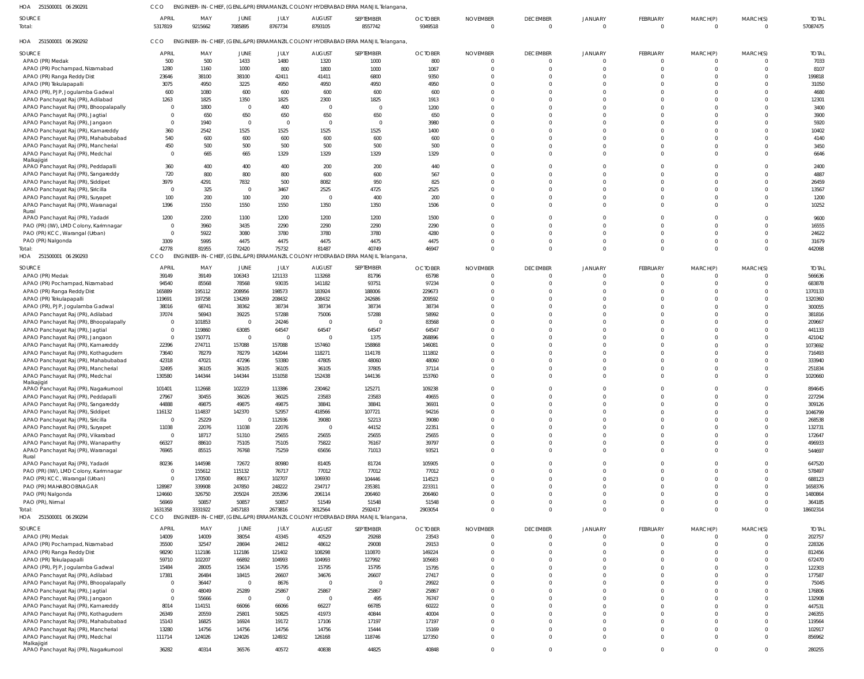251500001 06 290291 HOA CCO ENGINEER-IN-CHIEF, (GENL.&PR) ERRAMANZIL COLONY HYDERABAD ERRA MANJIL Telangana,

| SOURCE<br>Total:                                                             | <b>APRIL</b><br>5317819 | MAY<br>9215662   | JUNE<br>7085895                  | JULY<br>8767734  | <b>AUGUST</b><br>8793105 | SEPTEMBER<br>8557742                                                                      | <b>OCTOBER</b><br>9349518 | <b>NOVEMBER</b><br>$\Omega$       | <b>DECEMBER</b><br>$\Omega$ | <b>JANUARY</b><br>$\Omega$ | FEBRUARY<br>$\overline{0}$  | MARCH(P)<br>$\Omega$ | MARCH(S)<br>$\Omega$     | <b>TOTAL</b><br>57087475 |
|------------------------------------------------------------------------------|-------------------------|------------------|----------------------------------|------------------|--------------------------|-------------------------------------------------------------------------------------------|---------------------------|-----------------------------------|-----------------------------|----------------------------|-----------------------------|----------------------|--------------------------|--------------------------|
| HOA 251500001 06 290292                                                      | CCO                     |                  |                                  |                  |                          | ENGINEER-IN-CHIEF, (GENL.&PR) ERRAMANZIL COLONY HYDERABAD ERRA MANJIL Telangana,          |                           |                                   |                             |                            |                             |                      |                          |                          |
| SOURCE                                                                       | <b>APRIL</b>            | MAY              | JUNE                             | JULY             | <b>AUGUST</b>            | SEPTEMBER                                                                                 | <b>OCTOBER</b>            | <b>NOVEMBER</b>                   | <b>DECEMBER</b>             | <b>JANUARY</b>             | <b>FEBRUARY</b>             | MARCH(P)             | MARCH(S)                 | <b>TOTAL</b>             |
| APAO (PR) Medak<br>APAO (PR) Pochampad, Nizamabad                            | 500<br>1280             | 500<br>1160      | 1433<br>1000                     | 1480<br>800      | 1320<br>1800             | 1000<br>1000                                                                              | 800<br>1067               | $\overline{0}$<br>$\Omega$        | $\Omega$<br>$\Omega$        | $\Omega$                   | $\Omega$<br>$\Omega$        | $\Omega$<br>$\Omega$ | $\Omega$<br>$\Omega$     | 7033<br>8107             |
| APAO (PR) Ranga Reddy Dist                                                   | 23646                   | 38100            | 38100                            | 42411            | 41411                    | 6800                                                                                      | 9350                      | $\Omega$                          | $\Omega$                    |                            |                             |                      | $\Omega$                 | 199818                   |
| APAO (PR) Tekulapapalli                                                      | 3075                    | 4950             | 3225                             | 4950             | 4950                     | 4950                                                                                      | 4950                      | $\Omega$                          | $\cap$                      | $\Omega$                   |                             |                      |                          | 31050                    |
| APAO (PR), PJP, Jogulamba Gadwal                                             | 600                     | 1080             | 600                              | 600              | 600                      | 600                                                                                       | 600                       | $\Omega$                          | $\cap$                      | $\Omega$                   |                             |                      |                          | 4680                     |
| APAO Panchayat Raj (PR), Adilabad<br>APAO Panchayat Raj (PR), Bhoopalapally  | 1263<br>$\Omega$        | 1825<br>1800     | 1350<br>$\Omega$                 | 1825<br>400      | 2300<br>- 0              | 1825<br>$\Omega$                                                                          | 1913<br>1200              | $\Omega$<br>$\Omega$              | $\cap$                      | $\Omega$<br>$\Omega$       |                             |                      | $\Omega$                 | 12301<br>3400            |
| APAO Panchayat Raj (PR), Jagtial                                             |                         | 650              | 650                              | 650              | 650                      | 650                                                                                       | 650                       | $\Omega$                          | $\Omega$                    | $\Omega$                   |                             |                      |                          | 3900                     |
| APAO Panchayat Raj (PR), Jangaon                                             |                         | 1940             | $\Omega$                         | $\Omega$         | $\Omega$                 | $\overline{0}$                                                                            | 3980                      | $\Omega$                          | $\cap$                      | $\Omega$                   |                             |                      |                          | 5920                     |
| APAO Panchayat Raj (PR), Kamareddy                                           | 360                     | 2542             | 1525                             | 1525             | 1525                     | 1525                                                                                      | 1400                      | $\Omega$                          | $\cap$                      | $\Omega$                   |                             |                      |                          | 10402                    |
| APAO Panchayat Raj (PR), Mahabubabad                                         | 540                     | 600              | 600                              | 600              | 600                      | 600                                                                                       | 600                       | $\Omega$                          | $\cap$                      | $\Omega$                   |                             |                      | $\Omega$                 | 4140                     |
| APAO Panchayat Raj (PR), Mancherial<br>APAO Panchayat Raj (PR), Medchal      | 450<br>$\Omega$         | 500<br>665       | 500<br>665                       | 500<br>1329      | 500<br>1329              | 500<br>1329                                                                               | 500<br>1329               | $\Omega$<br>$\Omega$              | $\Omega$<br>$\Omega$        | $\Omega$<br>$\Omega$       | $\Omega$                    |                      | $\Omega$                 | 3450<br>6646             |
| Malkajigiri                                                                  |                         |                  |                                  |                  |                          |                                                                                           |                           |                                   |                             |                            |                             |                      |                          |                          |
| APAO Panchayat Raj (PR), Peddapalli                                          | 360                     | 400              | 400                              | 400              | 200                      | 200                                                                                       | 440                       | $\Omega$                          | $\Omega$                    |                            |                             |                      | $\Omega$                 | 2400                     |
| APAO Panchayat Raj (PR), Sangareddy<br>APAO Panchayat Raj (PR), Siddipet     | 720<br>3979             | 800<br>4291      | 800<br>7832                      | 800<br>500       | 600<br>8082              | 600<br>950                                                                                | 567                       | $\Omega$<br>$\Omega$              | $\Omega$<br>$\cap$          | $\Omega$<br>$\Omega$       |                             |                      | $\Omega$<br>$\Omega$     | 4887                     |
| APAO Panchayat Raj (PR), Siricilla                                           | - 0                     | 325              | $\Omega$                         | 3467             | 2525                     | 4725                                                                                      | 825<br>2525               | $\Omega$                          | $\Omega$                    | $\Omega$                   |                             |                      |                          | 26459<br>13567           |
| APAO Panchayat Raj (PR), Suryapet                                            | 100                     | 200              | 100                              | 200              |                          | 400                                                                                       | 200                       | $\Omega$                          | $\Omega$                    | $\Omega$                   |                             |                      | $\Omega$                 | 1200                     |
| APAO Panchayat Raj (PR), Waranagal                                           | 1396                    | 1550             | 1550                             | 1550             | 1350                     | 1350                                                                                      | 1506                      | $\Omega$                          | $\Omega$                    | $\Omega$                   | $\Omega$                    |                      | $\Omega$                 | 10252                    |
| Rural<br>APAO Panchayat Raj (PR), Yadadri                                    | 1200                    | 2200             | 1100                             | 1200             | 1200                     | 1200                                                                                      | 1500                      | $\Omega$                          | $\Omega$                    |                            |                             |                      | $\Omega$                 | 9600                     |
| PAO (PR) (IW), LMD Colony, Karimnagar                                        |                         | 3960             | 3435                             | 2290             | 2290                     | 2290                                                                                      | 2290                      | $\Omega$                          | $\Omega$                    |                            |                             |                      |                          | 16555                    |
| PAO (PR) KCC, Warangal (Urban)                                               | - 0                     | 5922             | 3080                             | 3780             | 3780                     | 3780                                                                                      | 4280                      | $\Omega$                          | $\Omega$                    | $\Omega$                   | $\Omega$                    |                      | $\Omega$                 | 24622                    |
| PAO (PR) Nalgonda                                                            | 3309                    | 5995             | 4475                             | 4475             | 4475                     | 4475                                                                                      | 4475                      | $\Omega$                          | $\Omega$                    | $\Omega$                   |                             |                      | $\Omega$                 | 31679                    |
| Total:<br>HOA 251500001 06 290293                                            | 42778<br><b>CCO</b>     | 81955            | 72420                            | 75732            | 81487                    | 40749<br>ENGINEER-IN-CHIEF, (GENL.&PR) ERRAMANZIL COLONY HYDERABAD ERRA MANJIL Telangana, | 46947                     | $\Omega$                          | $\Omega$                    | $\Omega$                   | $\Omega$                    | $\Omega$             | $\Omega$                 | 442068                   |
|                                                                              |                         |                  |                                  |                  |                          |                                                                                           |                           |                                   |                             |                            |                             |                      |                          |                          |
| SOURCE<br>APAO (PR) Medak                                                    | <b>APRIL</b><br>39149   | MAY<br>39149     | <b>JUNE</b><br>106343            | JULY<br>121133   | <b>AUGUST</b><br>113268  | SEPTEMBER<br>81796                                                                        | <b>OCTOBER</b><br>65798   | <b>NOVEMBER</b><br>$\overline{0}$ | <b>DECEMBER</b><br>$\Omega$ | <b>JANUARY</b><br>$\Omega$ | <b>FEBRUARY</b><br>$\Omega$ | MARCH(P)             | MARCH(S)<br>$\mathbf{0}$ | <b>TOTAL</b><br>566636   |
| APAO (PR) Pochampad, Nizamabad                                               | 94540                   | 85568            | 78568                            | 93035            | 141182                   | 93751                                                                                     | 97234                     | $\Omega$                          | $\Omega$                    | $\Omega$                   |                             |                      | $\Omega$                 | 683878                   |
| APAO (PR) Ranga Reddy Dist                                                   | 165889                  | 195112           | 208956                           | 198573           | 183924                   | 188006                                                                                    | 229673                    | $\Omega$                          | $\Omega$                    | $\Omega$                   |                             |                      | $\Omega$                 | 1370133                  |
| APAO (PR) Tekulapapalli                                                      | 119691                  | 197258           | 134269                           | 208432           | 208432                   | 242686                                                                                    | 209592                    | $\Omega$                          | $\cap$                      | $\Omega$                   |                             |                      | $\Omega$                 | 1320360                  |
| APAO (PR), PJP, Jogulamba Gadwal                                             | 38016                   | 68741            | 38362                            | 38734            | 38734                    | 38734                                                                                     | 38734                     | $\Omega$                          | $\cap$<br>$\cap$            | $\Omega$                   |                             |                      | $\Omega$                 | 300055                   |
| APAO Panchayat Raj (PR), Adilabad<br>APAO Panchayat Raj (PR), Bhoopalapally  | 37074<br>$\overline{0}$ | 56943<br>101853  | 39225<br>$\overline{\mathbf{0}}$ | 57288<br>24246   | 75006<br>$\Omega$        | 57288<br>$\overline{0}$                                                                   | 58992<br>83568            | $\Omega$<br>$\Omega$              | $\Omega$                    | $\Omega$<br>$\Omega$       |                             |                      | $\Omega$<br>$\Omega$     | 381816<br>209667         |
| APAO Panchayat Raj (PR), Jagtial                                             | $\overline{0}$          | 119860           | 63085                            | 64547            | 64547                    | 64547                                                                                     | 64547                     | $\Omega$                          | $\cap$                      | $\Omega$                   |                             |                      | $\Omega$                 | 441133                   |
| APAO Panchayat Raj (PR), Jangaon                                             | $\overline{0}$          | 150771           | $\overline{\mathbf{0}}$          | $\overline{0}$   |                          | 1375                                                                                      | 268896                    | $\Omega$                          | $\cap$                      | $\Omega$                   |                             |                      | $\Omega$                 | 421042                   |
| APAO Panchayat Raj (PR), Kamareddy                                           | 22396                   | 274711           | 157088                           | 157088           | 157460                   | 158868                                                                                    | 146081                    | $\Omega$                          | $\cap$                      | $\Omega$                   |                             |                      | $\Omega$                 | 1073692                  |
| APAO Panchayat Raj (PR), Kothagudem                                          | 73640                   | 78279            | 78279                            | 142044           | 118271                   | 114178                                                                                    | 111802                    | $\Omega$<br>$\Omega$              | $\cap$<br>$\cap$            | $\Omega$                   |                             |                      | $\Omega$                 | 716493                   |
| APAO Panchayat Raj (PR), Mahabubabad<br>APAO Panchayat Raj (PR), Mancherial  | 42318<br>32495          | 47021<br>36105   | 47296<br>36105                   | 53380<br>36105   | 47805<br>36105           | 48060<br>37805                                                                            | 48060<br>37114            | $\Omega$                          | $\Omega$                    | $\Omega$<br>$\Omega$       |                             |                      | $\Omega$<br>$\Omega$     | 333940<br>251834         |
| APAO Panchayat Raj (PR), Medchal                                             | 130580                  | 144344           | 144344                           | 151058           | 152438                   | 144136                                                                                    | 153760                    | $\Omega$                          | $\cap$                      | $\Omega$                   |                             |                      | $\Omega$                 | 1020660                  |
| Malkajigiri                                                                  |                         |                  |                                  |                  |                          |                                                                                           |                           | $\Omega$                          | $\Omega$                    | $\Omega$                   | $\Omega$                    | $\Omega$             |                          |                          |
| APAO Panchayat Raj (PR), Nagarkurnool<br>APAO Panchayat Raj (PR), Peddapalli | 101401<br>27967         | 112668<br>30455  | 102219<br>36026                  | 113386<br>36025  | 230462<br>23583          | 125271<br>23583                                                                           | 109238<br>49655           | -0                                |                             |                            |                             |                      | $\Omega$                 | 894645<br>227294         |
| APAO Panchayat Raj (PR), Sangareddy                                          | 44888                   | 49875            | 49875                            | 49875            | 38841                    | 38841                                                                                     | 36931                     | $\Omega$                          | $\Omega$                    | $\Omega$                   |                             |                      | $\Omega$                 | 309126                   |
| APAO Panchayat Raj (PR), Siddipet                                            | 116132                  | 114837           | 142370                           | 52957            | 418566                   | 107721                                                                                    | 94216                     | $\Omega$                          | $\Omega$                    | $\Omega$                   | $\Omega$                    | $\Omega$             | $\Omega$                 | 1046799                  |
| APAO Panchayat Raj (PR), Siricilla                                           | $\overline{0}$          | 25229            | $\overline{0}$                   | 112936           | 39080                    | 52213                                                                                     | 39080                     | $\Omega$                          | $\Omega$                    | $\Omega$                   |                             | $\Omega$             | $\Omega$                 | 268538                   |
| APAO Panchayat Raj (PR), Suryapet                                            | 11038                   | 22076            | 11038                            | 22076            | $\Omega$                 | 44152                                                                                     | 22351                     | $\Omega$<br>$\Omega$              | $\Omega$<br>$\Omega$        | $\Omega$<br>$\Omega$       |                             | $\Omega$<br>$\Omega$ | $\Omega$                 | 132731                   |
| APAO Panchayat Raj (PR), Vikarabad<br>APAO Panchayat Raj (PR), Wanaparthy    | $\overline{0}$<br>66327 | 18717<br>88610   | 51310<br>75105                   | 25655<br>75105   | 25655<br>75822           | 25655<br>76167                                                                            | 25655<br>39797            | $\Omega$                          | $\Omega$                    | $\Omega$                   | $\Omega$                    | $\Omega$             | $\Omega$<br>$\Omega$     | 172647<br>496933         |
| APAO Panchayat Raj (PR), Waranagal                                           | 76965                   | 85515            | 76768                            | 75259            | 65656                    | 71013                                                                                     | 93521                     | $\Omega$                          | $\Omega$                    | $\Omega$                   | $\Omega$                    | $\Omega$             | $\Omega$                 | 544697                   |
| Rural                                                                        | 80236                   | 144598           | 72672                            | 80980            | 81405                    | 81724                                                                                     | 105905                    | $\overline{0}$                    | $\Omega$                    | $\Omega$                   |                             | $\Omega$             | $\Omega$                 |                          |
| APAO Panchayat Raj (PR), Yadadri<br>PAO (PR) (IW), LMD Colony, Karimnagar    | $\overline{0}$          | 155612           | 115132                           | 76717            | 77012                    | 77012                                                                                     | 77012                     | $\Omega$                          | $\Omega$                    | $\Omega$                   | $\Omega$                    | $\Omega$             | $\Omega$                 | 647520<br>578497         |
| PAO (PR) KCC, Warangal (Urban)                                               | $\overline{0}$          | 170500           | 89017                            | 102707           | 106930                   | 104446                                                                                    | 114523                    | $\Omega$                          | $\Omega$                    | $\Omega$                   | $\Omega$                    | $\Omega$             | $\Omega$                 | 688123                   |
| PAO (PR) MAHABOOBNAGAR                                                       | 128987                  | 339908           | 247850                           | 248222           | 234717                   | 235381                                                                                    | 223311                    | $\Omega$                          | $\Omega$                    | $\Omega$                   |                             | $\Omega$             | $\Omega$                 | 1658376                  |
| PAO (PR) Nalgonda                                                            | 124660                  | 326750           | 205024                           | 205396           | 206114                   | 206460                                                                                    | 206460                    | $\Omega$                          | $\Omega$                    | $\Omega$                   |                             | $\Omega$             | $\Omega$                 | 1480864                  |
| PAO (PR), Nirmal<br>Total:                                                   | 56969<br>1631358        | 50857<br>3331922 | 50857<br>2457183                 | 50857<br>2673816 | 51549<br>3012564         | 51548<br>2592417                                                                          | 51548<br>2903054          | $\Omega$<br>$\Omega$              | $\Omega$<br>$\Omega$        | $\mathbf 0$<br>$\Omega$    | $\Omega$                    | $\Omega$<br>$\Omega$ | $\Omega$<br>$\Omega$     | 364185<br>18602314       |
| HOA 251500001 06 290294                                                      | CCO                     |                  |                                  |                  |                          | ENGINEER-IN-CHIEF, (GENL.&PR) ERRAMANZIL COLONY HYDERABAD ERRA MANJIL Telangana,          |                           |                                   |                             |                            |                             |                      |                          |                          |
| SOURCE                                                                       | <b>APRIL</b>            | MAY              | <b>JUNE</b>                      | JULY             | <b>AUGUST</b>            | SEPTEMBER                                                                                 | <b>OCTOBER</b>            | <b>NOVEMBER</b>                   | <b>DECEMBER</b>             | <b>JANUARY</b>             | FEBRUARY                    | MARCH(P)             | MARCH(S)                 | <b>TOTAL</b>             |
| APAO (PR) Medak                                                              | 14009                   | 14009            | 38054                            | 43345            | 40529                    | 29268                                                                                     | 23543                     | $\Omega$                          | $\Omega$                    |                            | $\Omega$                    | $\Omega$             | $\Omega$                 | 202757                   |
| APAO (PR) Pochampad, Nizamabad                                               | 35500                   | 32547            | 28694                            | 24812            | 48612                    | 29008                                                                                     | 29153                     | $\Omega$                          | $\Omega$                    | $\Omega$                   | $\Omega$                    | $\Omega$             | $\Omega$                 | 228326                   |
| APAO (PR) Ranga Reddy Dist                                                   | 98290                   | 112186           | 112186                           | 121402           | 108298                   | 110870<br>127992                                                                          | 149224<br>105683          | $\Omega$<br>$\Omega$              | $\Omega$<br>$\Omega$        | $\Omega$<br>$\Omega$       |                             | $\Omega$             | $\Omega$                 | 812456<br>672470         |
| APAO (PR) Tekulapapalli<br>APAO (PR), PJP, Jogulamba Gadwal                  | 59710<br>15484          | 102207<br>28005  | 66892<br>15634                   | 104993<br>15795  | 104993<br>15795          | 15795                                                                                     | 15795                     | $\Omega$                          | $\Omega$                    | $\Omega$                   |                             |                      | $\Omega$                 | 122303                   |
| APAO Panchayat Raj (PR), Adilabad                                            | 17381                   | 26484            | 18415                            | 26607            | 34676                    | 26607                                                                                     | 27417                     | $\Omega$                          | $\Omega$                    | $\Omega$                   |                             |                      | $\Omega$                 | 177587                   |
| APAO Panchayat Raj (PR), Bhoopalapally                                       | $\overline{0}$          | 36447            | $\Omega$                         | 8676             |                          | $\Omega$                                                                                  | 29922                     | $\Omega$                          | $\Omega$                    | $\Omega$                   |                             |                      | $\Omega$                 | 75045                    |
| APAO Panchayat Raj (PR), Jagtial                                             | $\overline{0}$          | 48049            | 25289                            | 25867            | 25867                    | 25867                                                                                     | 25867                     | $\Omega$                          | $\Omega$                    | $\Omega$                   |                             |                      | $\Omega$                 | 176806                   |
| APAO Panchayat Raj (PR), Jangaon                                             | $\Omega$                | 55666            | $\overline{0}$                   | $\mathbf{0}$     | $\Omega$                 | 495                                                                                       | 76747                     | $\Omega$<br>$\Omega$              | $\Omega$<br>$\Omega$        | $\Omega$<br>$\Omega$       | $\Omega$                    |                      | $\Omega$<br>$\Omega$     | 132908                   |
| APAO Panchayat Raj (PR), Kamareddy<br>APAO Panchayat Raj (PR), Kothagudem    | 8014<br>26349           | 114151<br>20559  | 66066<br>25801                   | 66066<br>50825   | 66227<br>41973           | 66785<br>40844                                                                            | 60222<br>40004            | $\Omega$                          | $\Omega$                    | $\Omega$                   | $\Omega$                    | $\Omega$             | $\Omega$                 | 447531<br>246355         |
| APAO Panchayat Raj (PR), Mahabubabad                                         | 15143                   | 16825            | 16924                            | 19172            | 17106                    | 17197                                                                                     | 17197                     | $\Omega$                          | $\Omega$                    | $\Omega$                   | $\Omega$                    |                      | $\Omega$                 | 119564                   |
| APAO Panchayat Raj (PR), Mancherial                                          | 13280                   | 14756            | 14756                            | 14756            | 14756                    | 15444                                                                                     | 15169                     | $\Omega$                          | $\Omega$                    | $\Omega$                   | $\Omega$                    | $\Omega$             | $\Omega$                 | 102917                   |
| APAO Panchayat Raj (PR), Medchal<br>Malkajigiri                              | 111714                  | 124026           | 124026                           | 124932           | 126168                   | 118746                                                                                    | 127350                    | $\Omega$                          | $\Omega$                    | $\Omega$                   | $\Omega$                    | $\Omega$             | $\Omega$                 | 856962                   |
| APAO Panchayat Raj (PR), Nagarkurnool                                        | 36282                   | 40314            | 36576                            | 40572            | 40838                    | 44825                                                                                     | 40848                     | $\mathbf 0$                       | $\mathbf{0}$                | $\mathbf 0$                | $\mathbf{0}$                | $\Omega$             | $\mathbf 0$              | 280255                   |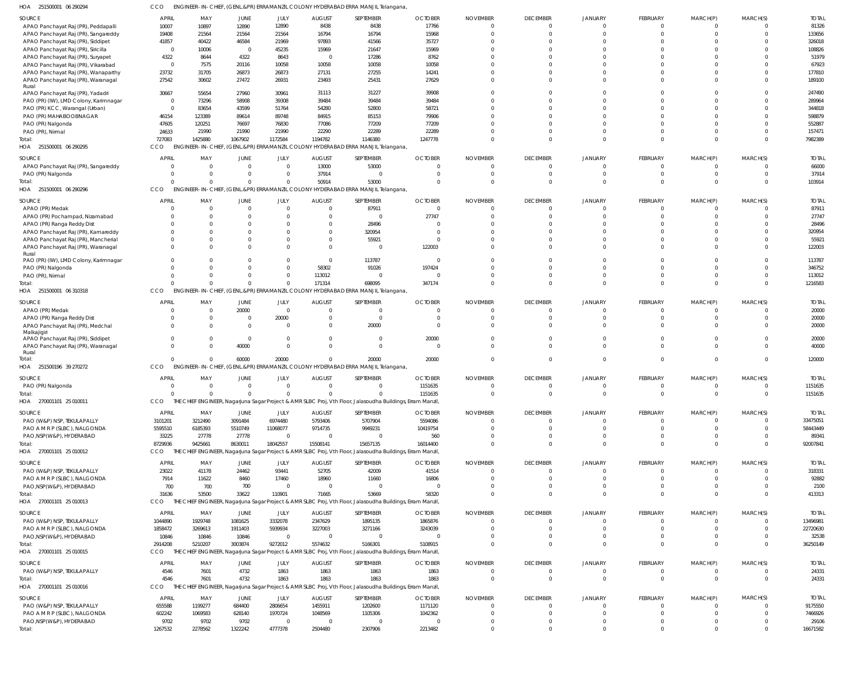| HOA 251500001 06 290294               | ссо             |                 |                 |                           |                | ENGINEER-IN-CHIEF, (GENL.&PR) ERRAMANZIL COLONY HYDERABAD ERRA MANJIL Telangana,                            |                |                 |                      |                      |                 |                      |                      |                   |
|---------------------------------------|-----------------|-----------------|-----------------|---------------------------|----------------|-------------------------------------------------------------------------------------------------------------|----------------|-----------------|----------------------|----------------------|-----------------|----------------------|----------------------|-------------------|
| SOURCE                                | <b>APRIL</b>    | MAY             | <b>JUNE</b>     | JULY                      | <b>AUGUST</b>  | SEPTEMBER                                                                                                   | <b>OCTOBER</b> | <b>NOVEMBER</b> | <b>DECEMBER</b>      | <b>JANUARY</b>       | FEBRUARY        | MARCH(P)             | MARCH(S)             | <b>TOTAL</b>      |
| APAO Panchayat Raj (PR), Peddapalli   | 10007           | 10897           | 12890           | 12890                     | 8438           | 8438                                                                                                        | 17766          | $\mathbf 0$     | $\Omega$             |                      | $\overline{0}$  | 0                    | $\mathbf{0}$         | 81326             |
| APAO Panchayat Raj (PR), Sangareddy   | 19408           | 21564           | 21564           | 21564                     | 16794          | 16794                                                                                                       | 15968          | $\Omega$        | $\Omega$             | $\Omega$             | $\Omega$        | $\Omega$             | $\mathbf 0$          | 133656            |
| APAO Panchayat Raj (PR), Siddipet     | 41857           | 40422           | 46584           | 21969                     | 97893          | 41566                                                                                                       | 35727          | $\Omega$        | $\Omega$             |                      |                 |                      | $\Omega$             | 326018            |
| APAO Panchayat Raj (PR), Siricilla    | $\overline{0}$  | 10006           | $\Omega$        | 45235                     | 15969          | 21647                                                                                                       | 15969          | $\Omega$        |                      |                      |                 |                      | $\Omega$             | 108826            |
| APAO Panchayat Raj (PR), Suryapet     | 4322            | 8644            | 4322            | 8643                      | - 0            | 17286                                                                                                       | 8762           | $\Omega$        |                      |                      |                 |                      | $\Omega$             | 51979             |
| APAO Panchayat Raj (PR), Vikarabad    | $\overline{0}$  | 7575            | 20116           | 10058                     | 10058          | 10058                                                                                                       | 10058          | $\Omega$        | $\Omega$             |                      | $\Omega$        |                      | $\Omega$             | 67923             |
| APAO Panchayat Raj (PR), Wanaparthy   | 23732           | 31705           | 26873           | 26873                     | 27131          | 27255                                                                                                       | 14241          | $\Omega$        | $\Omega$             |                      | $\Omega$        |                      | $\Omega$             | 177810            |
| APAO Panchayat Raj (PR), Waranagal    | 27542           | 30602           | 27472           | 26931                     | 23493          | 25431                                                                                                       | 27629          | $\Omega$        | $\Omega$             | $\Omega$             | $\Omega$        | <sup>0</sup>         | $\Omega$             | 189100            |
| Rural                                 |                 |                 |                 |                           |                |                                                                                                             |                |                 |                      |                      |                 |                      |                      |                   |
| APAO Panchayat Raj (PR), Yadadri      | 30667           | 55654           | 27960           | 30961                     | 31113          | 31227                                                                                                       | 39908          | $\Omega$        | $\Omega$             |                      |                 |                      | $\Omega$             | 247490            |
| PAO (PR) (IW), LMD Colony, Karimnagar | - 0             | 73296           | 58908           | 39308                     | 39484          | 39484                                                                                                       | 39484          | $\Omega$        | $\Omega$             | $\Omega$             | $\Omega$        | $\cap$               | $\Omega$             | 289964            |
| PAO (PR) KCC, Warangal (Urban)        | $\overline{0}$  | 83654           | 43599           | 51764                     | 54280          | 52800                                                                                                       | 58721          | $\Omega$        | $\Omega$             |                      | $\Omega$        | <sup>0</sup>         | $\Omega$             | 344818            |
| PAO (PR) MAHABOOBNAGAR                | 46154           | 123389          | 89614           | 89748                     | 84915          | 85153                                                                                                       | 79906          | $\cup$          | $\Omega$             |                      | $\Omega$        |                      | $\Omega$             | 598879            |
| PAO (PR) Nalgonda                     | 47605           | 120251          | 76697           | 76830                     | 77086          | 77209                                                                                                       | 77209          | $\Omega$        |                      |                      | $\Omega$        | <sup>0</sup>         | $\Omega$             | 552887            |
| PAO (PR), Nirmal                      | 24633           | 21990           | 21990           | 21990                     | 22290          | 22289                                                                                                       | 22289          | $\Omega$        | $\Omega$             | $\Omega$             | $\Omega$        | $\Omega$             | $\mathbf 0$          | 157471            |
| Total:                                | 727083          | 1425880         | 1067902         | 1172584                   | 1194782        | 1146380                                                                                                     | 1247778        | $\Omega$        | $\Omega$             | $\Omega$             | $\Omega$        | $\Omega$             | $\mathbf 0$          | 7982389           |
| HOA 251500001 06 290295               | CCO             |                 |                 |                           |                | ENGINEER-IN-CHIEF, (GENL.&PR) ERRAMANZIL COLONY HYDERABAD ERRA MANJIL Telangana,                            |                |                 |                      |                      |                 |                      |                      |                   |
| SOURCE                                | <b>APRIL</b>    | MAY             | JUNE            | JULY                      | <b>AUGUST</b>  | SEPTEMBER                                                                                                   | <b>OCTOBER</b> | <b>NOVEMBER</b> | <b>DECEMBER</b>      | <b>JANUARY</b>       | <b>FEBRUARY</b> | MARCH(P)             | MARCH(S)             | <b>TOTAL</b>      |
| APAO Panchayat Raj (PR), Sangareddy   | $\Omega$        | 0               | $\Omega$        | $\overline{0}$            | 13000          | 53000                                                                                                       | $\Omega$       | $\Omega$        | $\Omega$             |                      | $\Omega$        | 0                    | $\mathbf{0}$         | 66000             |
| PAO (PR) Nalgonda                     | $\Omega$        | $\Omega$        |                 | $\mathbf{0}$              | 37914          | $\Omega$                                                                                                    | 0              | $\mathbf 0$     | $\Omega$             |                      | 0               | $\Omega$             | $\mathbf 0$          | 37914             |
| Total:                                | $\Omega$        | $\Omega$        |                 | $\Omega$                  | 50914          | 53000                                                                                                       | $\Omega$       | $\Omega$        | $\Omega$             | $\Omega$             | $\Omega$        | $\Omega$             | $\Omega$             | 103914            |
| HOA 251500001 06 290296               | CCO             |                 |                 |                           |                | ENGINEER-IN-CHIEF, (GENL.&PR) ERRAMANZIL COLONY HYDERABAD ERRA MANJIL Telangana,                            |                |                 |                      |                      |                 |                      |                      |                   |
|                                       |                 |                 |                 |                           |                |                                                                                                             |                |                 |                      |                      |                 |                      |                      |                   |
| SOURCE                                | <b>APRIL</b>    | MAY             | JUNE            | JULY                      | <b>AUGUST</b>  | SEPTEMBER                                                                                                   | <b>OCTOBER</b> | <b>NOVEMBER</b> | <b>DECEMBER</b>      | <b>JANUARY</b>       | FEBRUARY        | MARCH(P)             | MARCH(S)             | <b>TOTAL</b>      |
| APAO (PR) Medak                       | $\Omega$        | $\Omega$        | $\Omega$        | $\Omega$                  | $\Omega$       | 87911                                                                                                       | $\Omega$       | $\Omega$        | $\Omega$             |                      | $\Omega$        | $\Omega$             | $\Omega$             | 87911             |
| APAO (PR) Pochampad, Nizamabad        | $\Omega$        | $\Omega$        |                 | $\Omega$                  | $\Omega$       | $\mathbf 0$                                                                                                 | 27747          | $\Omega$        | $\Omega$             |                      | $\Omega$        | $\Omega$             | $\mathbf 0$          | 27747             |
| APAO (PR) Ranga Reddy Dist            | $\Omega$        | $\Omega$        |                 | $\Omega$                  | $\Omega$       | 28496                                                                                                       | $\Omega$       | $\Omega$        | $\Omega$             |                      | $\Omega$        |                      | $\Omega$             | 28496             |
| APAO Panchayat Raj (PR), Kamareddy    | $\Omega$        | $\Omega$        |                 | $\Omega$                  | $\Omega$       | 320954                                                                                                      | $\Omega$       | $\Omega$        | $\Omega$             |                      | $\Omega$        |                      | $\Omega$             | 320954            |
| APAO Panchayat Raj (PR), Mancherial   | $\Omega$        | $\Omega$        |                 | $\Omega$                  | $\Omega$       | 55921                                                                                                       | $\Omega$       | $\Omega$        | $\Omega$             |                      | $\Omega$        | <sup>0</sup>         | $\Omega$             | 55921             |
| APAO Panchayat Raj (PR), Waranagal    | $\Omega$        | $\Omega$        |                 | $\Omega$                  | $\Omega$       | $\Omega$                                                                                                    | 122003         | $\Omega$        | $\Omega$             |                      | $\Omega$        | $\Omega$             | $\Omega$             | 122003            |
| Rural                                 |                 |                 |                 |                           |                |                                                                                                             |                |                 |                      |                      |                 |                      |                      |                   |
| PAO (PR) (IW), LMD Colony, Karimnagar | $\Omega$        | $\Omega$        |                 | $\Omega$                  | $\overline{0}$ | 113787                                                                                                      | $\overline{0}$ | $\Omega$        | $\Omega$             |                      | $\Omega$        | <sup>0</sup>         | $\Omega$             | 113787            |
| PAO (PR) Nalgonda                     | $\Omega$        | $\Omega$        |                 | $\Omega$                  | 58302          | 91026                                                                                                       | 197424         | $\Omega$        | $\Omega$             | $\Omega$             | $\Omega$        | <sup>0</sup>         | $\mathbf{0}$         | 346752            |
| PAO (PR), Nirmal                      | $\Omega$        | $\Omega$        |                 | $\Omega$                  | 113012         | 0                                                                                                           | 0              | $\Omega$        | $\Omega$             | $\Omega$             | $\Omega$        | $\Omega$             | $\Omega$             | 113012            |
| Total:                                | $\Omega$        | $\Omega$        |                 | $\Omega$                  | 171314         | 698095                                                                                                      | 347174         | $\Omega$        | $\Omega$             | $\Omega$             | $\Omega$        | $\Omega$             | $\Omega$             | 1216583           |
| HOA 251500001 06 310318               | CCO             |                 |                 |                           |                | ENGINEER-IN-CHIEF, (GENL.&PR) ERRAMANZIL COLONY HYDERABAD ERRA MANJIL Telangana,                            |                |                 |                      |                      |                 |                      |                      |                   |
| SOURCE                                | <b>APRIL</b>    | MAY             | JUNE            | JULY                      | <b>AUGUST</b>  | SEPTEMBER                                                                                                   | <b>OCTOBER</b> | <b>NOVEMBER</b> | <b>DECEMBER</b>      | <b>JANUARY</b>       | FEBRUARY        | MARCH(P)             | MARCH(S)             | <b>TOTAL</b>      |
| APAO (PR) Medak                       | $\Omega$        | $\overline{0}$  | 20000           | $\overline{0}$            | $\Omega$       | 0                                                                                                           | $\Omega$       | $\Omega$        | $\Omega$             |                      | 0               | $\Omega$             | $\Omega$             | 20000             |
| APAO (PR) Ranga Reddy Dist            | $\Omega$        | 0               |                 | 20000                     | $\Omega$       | $\Omega$                                                                                                    | 0              | $\Omega$        | $\Omega$             | $\Omega$             | $\mathbf 0$     | $\Omega$             | $\mathbf 0$          | 20000             |
| APAO Panchayat Raj (PR), Medchal      | $\Omega$        | $\Omega$        |                 | $\Omega$                  | $\Omega$       | 20000                                                                                                       | $\Omega$       | $\Omega$        | $\Omega$             |                      | $\Omega$        | $\Omega$             | $\Omega$             | 20000             |
| Malkajigiri                           |                 |                 |                 |                           |                |                                                                                                             |                |                 |                      |                      |                 |                      |                      |                   |
| APAO Panchayat Raj (PR), Siddipet     | $\Omega$        | $\Omega$        | $\Omega$        | $\Omega$                  | $\Omega$       | $\Omega$                                                                                                    | 20000          | $\Omega$        | $\Omega$             | $\Omega$             | $\Omega$        | $\Omega$             | $\mathbf 0$          | 20000             |
| APAO Panchayat Raj (PR), Waranagal    | $\Omega$        | $\Omega$        | 40000           | $\Omega$                  | $\Omega$       | $\Omega$                                                                                                    | $\Omega$       | $\Omega$        | $\Omega$             | $\cap$               | $\Omega$        | $\Omega$             | $\Omega$             | 40000             |
| Rural                                 |                 |                 |                 |                           |                |                                                                                                             |                |                 |                      |                      |                 |                      |                      |                   |
| Total:                                | $\Omega$        | $\Omega$        | 60000           | 20000                     | $\Omega$       | 20000                                                                                                       | 20000          | $\Omega$        | $\Omega$             | $\Omega$             | $\Omega$        | $\Omega$             | $\Omega$             | 120000            |
| HOA 251500196 39 270272               | CCO             |                 |                 |                           |                | ENGINEER-IN-CHIEF, (GENL.&PR) ERRAMANZIL COLONY HYDERABAD ERRA MANJIL Telangana,                            |                |                 |                      |                      |                 |                      |                      |                   |
| SOURCE                                | <b>APRIL</b>    | MAY             | JUNE            | JULY                      | <b>AUGUST</b>  | SEPTEMBER                                                                                                   | <b>OCTOBER</b> | <b>NOVEMBER</b> | <b>DECEMBER</b>      | <b>JANUARY</b>       | FEBRUARY        | MARCH(P)             | MARCH(S)             | <b>TOTAL</b>      |
| PAO (PR) Nalgonda                     | $\Omega$        | $\Omega$        | $\Omega$        | $\Omega$                  | $\Omega$       | $\Omega$                                                                                                    | 1151635        | $\Omega$        | $\Omega$             | $\cap$               | $\overline{0}$  | $\Omega$             | $\Omega$             | 1151635           |
| Total:                                | $\Omega$        | $\Omega$        | $\Omega$        | $\Omega$                  | $\Omega$       | $\Omega$                                                                                                    | 1151635        | $\mathbf{0}$    | $\mathbf{0}$         | $\Omega$             | $\overline{0}$  | $\mathbf{0}$         | $\overline{0}$       | 1151635           |
| HOA 270001101 25 010011               | CCO             |                 |                 |                           |                | THE CHIEF ENGINEER, Nagarjuna Sagar Project & AMR SLBC Proj, Vth Floor, Jalasoudha Buildings, Erram Manzil, |                |                 |                      |                      |                 |                      |                      |                   |
|                                       |                 |                 |                 |                           |                |                                                                                                             |                |                 |                      |                      |                 |                      |                      |                   |
| SOURCE                                | <b>APRIL</b>    | MAY             | JUNE            | JULY                      | <b>AUGUST</b>  | SEPTEMBER                                                                                                   | <b>OCTOBER</b> | <b>NOVEMBER</b> | <b>DECEMBER</b>      | <b>JANUARY</b>       | FEBRUARY        | MARCH(P)             | MARCH(S)             | <b>TOTAL</b>      |
| PAO (W&P) NSP, TEKULAPALLY            | 3101201         | 3212490         | 3091484         | 6974480                   | 5793406        | 5707904                                                                                                     | 5594086        | $\overline{0}$  | $\Omega$             | $\Omega$             | $\overline{0}$  | $\overline{0}$       | $\mathbf{0}$         | 33475051          |
| PAO A M R P (SLBC), NALGONDA          | 5595510         | 6185393         | 5510749         | 11068077                  | 9714735        | 9949231                                                                                                     | 10419754       | 0               | $\Omega$             | $\Omega$             | $\mathbf 0$     | $\overline{0}$       | $\mathbf 0$          | 58443449          |
| PAO, NSP (W&P), HYDERABAD             | 33225           | 27778           | 27778           | $\overline{0}$            | 0              | $\mathbf{0}$                                                                                                | 560            | $\Omega$        | $\Omega$             | $\Omega$             | $\Omega$        | $\Omega$             | $\Omega$             | 89341             |
| Total:                                | 8729936         | 9425661         | 8630011         | 18042557                  | 15508141       | 15657135                                                                                                    | 16014400       | C               | $\Omega$             | $\Omega$             | $\Omega$        | $\Omega$             | $\Omega$             | 92007841          |
| HOA 270001101 25 010012               | CCO             |                 |                 |                           |                | THE CHIEF ENGINEER, Nagarjuna Sagar Project & AMR SLBC Proj, Vth Floor, Jalasoudha Buildings, Erram Manzil, |                |                 |                      |                      |                 |                      |                      |                   |
| SOURCE                                | <b>APRIL</b>    | MAY             | JUNE            | JULY                      | <b>AUGUST</b>  | SEPTEMBER                                                                                                   | <b>OCTOBER</b> | <b>NOVEMBER</b> | <b>DECEMBER</b>      | <b>JANUARY</b>       | FEBRUARY        | MARCH(P)             | MARCH(S)             | <b>TOTAL</b>      |
| PAO (W&P) NSP, TEKULAPALLY            | 23022           | 41178           | 24462           | 93441                     | 52705          | 42009                                                                                                       | 41514          | $\Omega$        | $\Omega$             | $\cap$               | $\overline{0}$  | $\Omega$             | $\Omega$             | 318331            |
| PAO A M R P (SLBC), NALGONDA          | 7914            | 11622           | 8460            | 17460                     | 18960          | 11660                                                                                                       | 16806          | $\Omega$        | $\Omega$             | $\Omega$             | $\mathbf 0$     | $\Omega$             | $\mathbf 0$          | 92882             |
| PAO, NSP (W&P), HYDERABAD             | 700             | 700             | 700             | $\overline{0}$            | - 0            | $\Omega$                                                                                                    | $\Omega$       | $\cup$          | $\Omega$             | $\Omega$             | $\Omega$        | $\Omega$             | $\Omega$             | 2100              |
| Total:                                | 31636           | 53500           | 33622           | 110901                    | 71665          | 53669                                                                                                       | 58320          | C               | $\Omega$             | $\Omega$             | $\Omega$        | $\Omega$             | $\Omega$             | 413313            |
| HOA 270001101 25 010013               | CCO             |                 |                 |                           |                | THE CHIEF ENGINEER, Nagarjuna Sagar Project & AMR SLBC Proj, Vth Floor, Jalasoudha Buildings, Erram Manzil, |                |                 |                      |                      |                 |                      |                      |                   |
|                                       |                 |                 |                 |                           |                |                                                                                                             |                |                 |                      |                      |                 |                      |                      |                   |
| SOURCE                                | <b>APRIL</b>    | MAY             | JUNE            | JULY                      | <b>AUGUST</b>  | SEPTEMBER                                                                                                   | <b>OCTOBER</b> | <b>NOVEMBER</b> | <b>DECEMBER</b>      | <b>JANUARY</b>       | FEBRUARY        | MARCH(P)             | MARCH(S)             | <b>TOTAL</b>      |
| PAO (W&P) NSP, TEKULAPALLY            | 1044890         | 1929748         | 1081625         | 3332078                   | 2347629        | 1895135                                                                                                     | 1865876        | $\Omega$        | $\Omega$             |                      | $\overline{0}$  | $\Omega$             | $\mathbf{0}$         | 13496981          |
| PAO A M R P (SLBC), NALGONDA          | 1858472         | 3269613         | 1911403         | 5939934                   | 3227003        | 3271166                                                                                                     | 3243039        | $\Omega$        | $\Omega$             | $\Omega$             | $\mathbf 0$     | $\Omega$             | $\mathbf 0$          | 22720630          |
| PAO, NSP (W&P), HYDERABAD             | 10846           | 10846           | 10846           | $\Omega$                  | $\Omega$       | $\mathbf{0}$                                                                                                | $\Omega$       | $\Omega$        | $\Omega$             | $\Omega$             | $\Omega$        | $\Omega$             | $\Omega$             | 32538             |
| Total:                                | 2914208         | 5210207         | 3003874         | 9272012                   | 5574632        | 5166301                                                                                                     | 5108915        | $\Omega$        | $\Omega$             | $\Omega$             | $\Omega$        | $\Omega$             | $\Omega$             | 36250149          |
| HOA 270001101 25 010015               | CCO             |                 |                 |                           |                | THE CHIEF ENGINEER, Nagarjuna Sagar Project & AMR SLBC Proj, Vth Floor, Jalasoudha Buildings, Erram Manzil, |                |                 |                      |                      |                 |                      |                      |                   |
| SOURCE                                | <b>APRIL</b>    | MAY             | <b>JUNE</b>     | JULY                      | <b>AUGUST</b>  | SEPTEMBER                                                                                                   | <b>OCTOBER</b> | <b>NOVEMBER</b> | <b>DECEMBER</b>      | <b>JANUARY</b>       | FEBRUARY        | MARCH(P)             | MARCH(S)             | <b>TOTAL</b>      |
| PAO (W&P) NSP, TEKULAPALLY            | 4546            | 7601            | 4732            | 1863                      | 1863           | 1863                                                                                                        | 1863           | $\mathbf 0$     | $\Omega$             | $\Omega$             | $\overline{0}$  | $\overline{0}$       | $^{\circ}$           | 24331             |
| Total:                                | 4546            | 7601            | 4732            | 1863                      | 1863           | 1863                                                                                                        | 1863           | $\Omega$        | $\Omega$             | $\Omega$             | $\Omega$        | $\mathbf{0}$         | $\mathbf 0$          | 24331             |
| HOA 270001101 25 010016               | CCO             | THE CHIE        |                 |                           |                | ENGINEER, Nagarjuna Sagar Project & AMR SLBC Proj, Vth Floor, Jalasoudha Buildings, Erram Manzil,           |                |                 |                      |                      |                 |                      |                      |                   |
|                                       |                 |                 |                 |                           |                |                                                                                                             |                |                 |                      |                      |                 |                      |                      |                   |
| SOURCE                                | <b>APRIL</b>    | MAY             | JUNE            | JULY                      | <b>AUGUST</b>  | SEPTEMBER                                                                                                   | <b>OCTOBER</b> | <b>NOVEMBER</b> | <b>DECEMBER</b>      | <b>JANUARY</b>       | FEBRUARY        | MARCH(P)             | MARCH(S)             | <b>TOTAL</b>      |
| PAO (W&P) NSP, TEKULAPALLY            | 655588          | 1199277         | 684400          | 2806654                   | 1455911        | 1202600                                                                                                     | 1171120        | $\overline{0}$  | $\Omega$             | $\Omega$             | $\overline{0}$  | $\overline{0}$       | $\mathbf 0$          | 9175550           |
|                                       |                 |                 |                 |                           |                |                                                                                                             |                |                 |                      | $\Omega$             |                 |                      |                      |                   |
| PAO A M R P (SLBC), NALGONDA          | 602242          | 1069583         | 628140          | 1970724                   | 1048569        | 1105306                                                                                                     | 1042362        | 0               | $\Omega$             |                      | $\mathbf 0$     | $\mathbf 0$          | $\mathbf{0}$         | 7466926           |
| PAO, NSP(W&P), HYDERABAD<br>Total:    | 9702<br>1267532 | 9702<br>2278562 | 9702<br>1322242 | $\overline{0}$<br>4777378 | - 0<br>2504480 | $\mathbf{0}$<br>2307906                                                                                     | 0<br>2213482   | 0<br>$\Omega$   | $\Omega$<br>$\Omega$ | $\Omega$<br>$\Omega$ | 0<br>$\Omega$   | $\Omega$<br>$\Omega$ | $\Omega$<br>$\Omega$ | 29106<br>16671582 |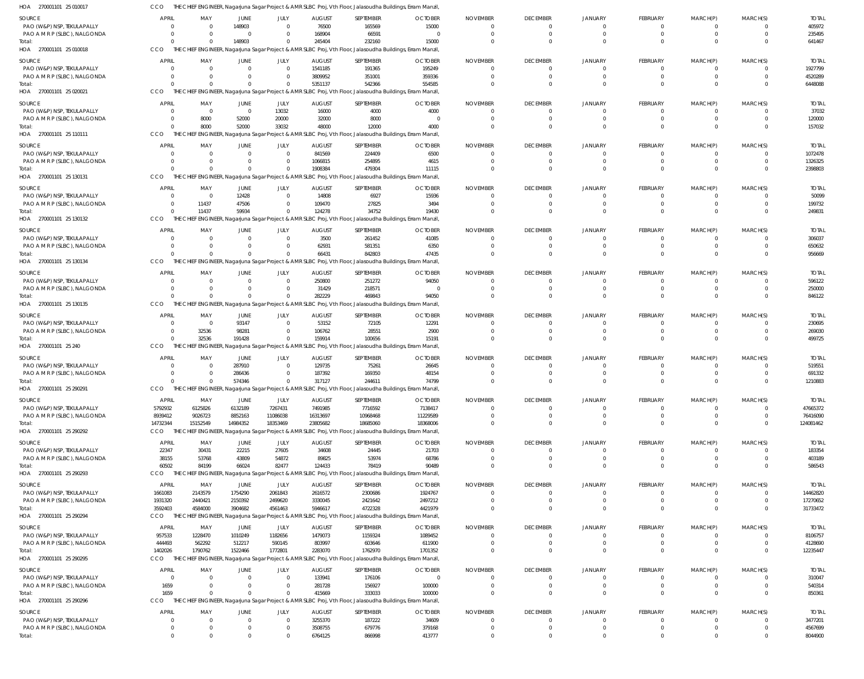| HOA 270001101 25 010017                     | CCO            |                       |                  |                        |                         | THE CHIEF ENGINEER, Nagarjuna Sagar Project & AMR SLBC Proj, Vth Floor, Jalasoudha Buildings, Erram Manzil, |                         |                             |                             |                |                      |             |          |                       |
|---------------------------------------------|----------------|-----------------------|------------------|------------------------|-------------------------|-------------------------------------------------------------------------------------------------------------|-------------------------|-----------------------------|-----------------------------|----------------|----------------------|-------------|----------|-----------------------|
| <b>SOURCE</b>                               | <b>APRIL</b>   | MAY                   | JUNE             | JULY                   | <b>AUGUST</b>           | SEPTEMBER                                                                                                   | <b>OCTOBER</b>          | <b>NOVEMBER</b>             | <b>DECEMBER</b>             | <b>JANUARY</b> | <b>FEBRUARY</b>      | MARCH(P)    | MARCH(S) | <b>TOTAL</b>          |
| PAO (W&P) NSP, TEKULAPALLY                  | $\Omega$       | $\Omega$              | 148903           | $\Omega$               | 76500                   | 165569                                                                                                      | 15000                   | $\Omega$                    | $\Omega$                    |                | 0                    |             |          | 405972                |
| PAO A M R P (SLBC), NALGONDA                | $\Omega$       | - 0                   | $\Omega$         | $\Omega$               | 168904                  | 66591                                                                                                       | $\overline{0}$          | $\Omega$                    | $\Omega$                    |                | $\Omega$             | $\Omega$    | $\Omega$ | 235495                |
| Total:                                      | $\Omega$       | $\Omega$              | 148903           | $\overline{0}$         | 245404                  | 232160                                                                                                      | 15000                   | $\Omega$                    | $\Omega$                    | $\Omega$       | $\Omega$             |             | $\Omega$ | 641467                |
| HOA 270001101 25 010018                     | CCO            |                       |                  |                        |                         | THE CHIEF ENGINEER, Nagarjuna Sagar Project & AMR SLBC Proj, Vth Floor, Jalasoudha Buildings, Erram Manzil, |                         |                             |                             |                |                      |             |          |                       |
| <b>SOURCE</b>                               | <b>APRIL</b>   | MAY                   | JUNE             | JULY                   | <b>AUGUST</b>           | SEPTEMBER                                                                                                   | <b>OCTOBER</b>          | <b>NOVEMBER</b>             | <b>DECEMBER</b>             | <b>JANUARY</b> | <b>FEBRUARY</b>      | MARCH(P)    | MARCH(S) | <b>TOTAI</b>          |
| PAO (W&P) NSP, TEKULAPALLY                  | $\Omega$       | - 0                   | $\Omega$         | $\overline{0}$         | 1541185                 | 191365                                                                                                      | 195249                  | 0                           |                             |                | 0                    |             |          | 1927799               |
| PAO A M R P (SLBC), NALGONDA                | $\Omega$       | $\Omega$              |                  | $\Omega$               | 3809952                 | 351001                                                                                                      | 359336                  | $\Omega$                    | $\Omega$                    | $\cap$         | 0                    |             | $\Omega$ | 4520289               |
| Total:                                      | $\Omega$       | $\Omega$              | $\Omega$         | $\overline{0}$         | 5351137                 | 542366                                                                                                      | 554585                  | $\Omega$                    | $\Omega$                    |                | $\Omega$             |             | $\Omega$ | 6448088               |
| HOA 270001101 25 020021                     | CCO            |                       |                  |                        |                         | THE CHIEF ENGINEER, Nagarjuna Sagar Project & AMR SLBC Proj, Vth Floor, Jalasoudha Buildings, Erram Manzil, |                         |                             |                             |                |                      |             |          |                       |
|                                             | APRIL          |                       |                  |                        |                         |                                                                                                             |                         |                             |                             |                |                      |             |          |                       |
| <b>SOURCE</b><br>PAO (W&P) NSP, TEKULAPALLY | $\Omega$       | MAY<br>$\overline{0}$ | JUNE<br>$\Omega$ | JULY<br>13032          | <b>AUGUST</b><br>16000  | SEPTEMBER<br>4000                                                                                           | <b>OCTOBER</b><br>4000  | <b>NOVEMBER</b><br>$\Omega$ | <b>DECEMBER</b><br>$\Omega$ | <b>JANUARY</b> | <b>FEBRUARY</b><br>0 | MARCH(P)    | MARCH(S) | <b>TOTAI</b><br>37032 |
| PAO A M R P (SLBC), NALGONDA                | $\Omega$       | 8000                  | 52000            | 20000                  | 32000                   | 8000                                                                                                        | - 0                     | $\Omega$                    |                             |                |                      |             |          | 120000                |
| Total:                                      | $\Omega$       | 8000                  | 52000            | 33032                  | 48000                   | 12000                                                                                                       | 4000                    | $\Omega$                    | $\Omega$                    |                | $\Omega$             |             | $\Omega$ | 157032                |
| HOA 270001101 25 110111                     | CCO            |                       |                  |                        |                         | THE CHIEF ENGINEER, Nagarjuna Sagar Project & AMR SLBC Proj, Vth Floor, Jalasoudha Buildings, Erram Manzil, |                         |                             |                             |                |                      |             |          |                       |
|                                             |                |                       |                  |                        |                         |                                                                                                             |                         |                             |                             |                |                      |             |          |                       |
| <b>SOURCE</b>                               | <b>APRIL</b>   | MAY                   | JUNE             | JULY                   | <b>AUGUST</b>           | SEPTEMBER                                                                                                   | <b>OCTOBER</b>          | <b>NOVEMBER</b>             | <b>DECEMBER</b>             | <b>JANUARY</b> | <b>FEBRUARY</b>      | MARCH(P)    | MARCH(S) | <b>TOTAL</b>          |
| PAO (W&P) NSP, TEKULAPALLY                  | $\overline{0}$ | $\Omega$              | $\Omega$         | $\overline{0}$         | 841569                  | 224409                                                                                                      | 6500                    | $\overline{0}$              | $\Omega$                    | $\Omega$       | 0                    | $\Omega$    |          | 1072478               |
| PAO A M R P (SLBC), NALGONDA                | $\overline{0}$ | $\Omega$              |                  | $\Omega$               | 1066815                 | 254895                                                                                                      | 4615                    | $\Omega$                    | $\Omega$                    |                | 0                    |             |          | 1326325               |
| Total:                                      | $\Omega$       | $\Omega$              |                  | $\Omega$               | 1908384                 | 479304                                                                                                      | 11115                   | $\Omega$                    | $\Omega$                    |                | $\Omega$             |             | $\Omega$ | 2398803               |
| HOA 270001101 25 130131                     | CCO            |                       |                  |                        |                         | THE CHIEF ENGINEER, Nagarjuna Sagar Project & AMR SLBC Proj, Vth Floor, Jalasoudha Buildings, Erram Manzil, |                         |                             |                             |                |                      |             |          |                       |
| SOURCE                                      | <b>APRIL</b>   | MAY                   | JUNE             | JULY                   | <b>AUGUST</b>           | SEPTEMBER                                                                                                   | <b>OCTOBER</b>          | <b>NOVEMBER</b>             | <b>DECEMBER</b>             | <b>JANUARY</b> | <b>FEBRUARY</b>      | MARCH(P)    | MARCH(S) | <b>TOTAI</b>          |
| PAO (W&P) NSP, TEKULAPALLY                  | $\overline{0}$ | $\overline{0}$        | 12428            | $\overline{0}$         | 14808                   | 6927                                                                                                        | 15936                   | $\Omega$                    | $\Omega$                    |                | $\Omega$             |             |          | 50099                 |
| PAO A M R P (SLBC), NALGONDA                | $\overline{0}$ | 11437                 | 47506            | $\Omega$               | 109470                  | 27825                                                                                                       | 3494                    | $\Omega$                    | $\Omega$                    |                | $\Omega$             |             | $\Omega$ | 199732                |
| Total:                                      | $\Omega$       | 11437                 | 59934            | $\mathbf 0$            | 124278                  | 34752                                                                                                       | 19430                   | $\Omega$                    | $\Omega$                    |                | $\Omega$             |             | $\Omega$ | 249831                |
| HOA 270001101 25 130132                     | CCO            |                       |                  |                        |                         | THE CHIEF ENGINEER, Nagarjuna Sagar Project & AMR SLBC Proj, Vth Floor, Jalasoudha Buildings, Erram Manzil, |                         |                             |                             |                |                      |             |          |                       |
| SOURCE                                      | <b>APRIL</b>   | MAY                   | JUNE             | JULY                   | <b>AUGUST</b>           | SEPTEMBER                                                                                                   | <b>OCTOBER</b>          | <b>NOVEMBER</b>             | <b>DECEMBER</b>             | <b>JANUARY</b> | <b>FEBRUARY</b>      | MARCH(P)    | MARCH(S) | <b>TOTAI</b>          |
| PAO (W&P) NSP, TEKULAPALLY                  | $\overline{0}$ | $\overline{0}$        | $\Omega$         | $\overline{0}$         | 3500                    | 261452                                                                                                      | 41085                   | $\Omega$                    |                             |                | 0                    |             |          | 306037                |
| PAO A M R P (SLBC), NALGONDA                | $\Omega$       | $\Omega$              |                  | $\Omega$               | 62931                   | 581351                                                                                                      | 6350                    | 0                           | $\Omega$                    |                | 0                    |             | $\Omega$ | 650632                |
| Total:                                      | $\Omega$       | $\Omega$              |                  | $\Omega$               | 66431                   | 842803                                                                                                      | 47435                   | $\Omega$                    | $\Omega$                    |                | $\Omega$             |             | $\cap$   | 956669                |
| HOA 270001101 25 130134                     | CCO            | THE CH                |                  |                        |                         | HEF ENGINEER, Nagarjuna Sagar Project & AMR SLBC Proj, Vth Floor, Jalasoudha Buildings, Erram Manzil,       |                         |                             |                             |                |                      |             |          |                       |
|                                             | <b>APRIL</b>   |                       | JUNE             |                        |                         |                                                                                                             |                         | <b>NOVEMBER</b>             | <b>DECEMBER</b>             | <b>JANUARY</b> | <b>FEBRUARY</b>      | MARCH(P)    |          | <b>TOTAI</b>          |
| SOURCE<br>PAO (W&P) NSP, TEKULAPALLY        | $\Omega$       | MAY<br>$\Omega$       | $\Omega$         | JULY<br>$\overline{0}$ | <b>AUGUST</b><br>250800 | SEPTEMBER<br>251272                                                                                         | <b>OCTOBER</b><br>94050 | $\Omega$                    | $\Omega$                    |                | 0                    |             | MARCH(S) | 596122                |
| PAO A M R P (SLBC), NALGONDA                | $\Omega$       | $\Omega$              |                  | $\Omega$               | 31429                   | 218571                                                                                                      | - 0                     | $\Omega$                    | $\Omega$                    |                | 0                    |             | $\Omega$ | 250000                |
| Total:                                      | $\Omega$       | $\Omega$              | $\Omega$         | $\Omega$               | 282229                  | 469843                                                                                                      | 94050                   | $\Omega$                    | $\Omega$                    |                | $\Omega$             |             | $\cap$   | 846122                |
| HOA 270001101 25 130135                     | CCO            |                       |                  |                        |                         | CHIEF ENGINEER, Nagarjuna Sagar Project & AMR SLBC Proj, Vth Floor, Jalasoudha Buildings, Erram Manzil,     |                         |                             |                             |                |                      |             |          |                       |
|                                             |                |                       |                  |                        |                         |                                                                                                             |                         |                             |                             |                |                      |             |          |                       |
| SOURCE                                      | <b>APRIL</b>   | MAY                   | JUNE             | JULY                   | <b>AUGUST</b>           | SEPTEMBER                                                                                                   | <b>OCTOBER</b>          | <b>NOVEMBER</b>             | <b>DECEMBER</b>             | JANUARY        | <b>FEBRUARY</b>      | MARCH(P)    | MARCH(S) | <b>TOTAI</b>          |
| PAO (W&P) NSP, TEKULAPALLY                  | $\overline{0}$ | 0                     | 93147            | $\Omega$               | 53152                   | 72105                                                                                                       | 12291                   | $\overline{0}$              | $\Omega$                    |                | 0                    |             | $\Omega$ | 230695                |
| PAO A M R P (SLBC), NALGONDA                | $\overline{0}$ | 32536                 | 98281            | $\Omega$               | 106762                  | 28551                                                                                                       | 2900                    | $\Omega$                    | $\Omega$                    | $\cap$         | 0                    |             | $\Omega$ | 269030                |
| Total:                                      | $\Omega$       | 32536                 | 191428           | $\overline{0}$         | 159914                  | 100656                                                                                                      | 15191                   | $\Omega$                    | $\Omega$                    |                | $\Omega$             |             | $\Omega$ | 499725                |
| HOA 270001101 25 240                        | CCO            |                       |                  |                        |                         | THE CHIEF ENGINEER, Nagarjuna Sagar Project & AMR SLBC Proj, Vth Floor, Jalasoudha Buildings, Erram Manzil, |                         |                             |                             |                |                      |             |          |                       |
| SOURCE                                      | <b>APRIL</b>   | MAY                   | JUNE             | JULY                   | <b>AUGUST</b>           | SEPTEMBER                                                                                                   | <b>OCTOBER</b>          | <b>NOVEMBER</b>             | <b>DECEMBER</b>             | <b>JANUARY</b> | <b>FEBRUARY</b>      | MARCH(P)    | MARCH(S) | <b>TOTAI</b>          |
| PAO (W&P) NSP, TEKULAPALLY                  |                | $\Omega$              | 287910           | $\Omega$               | 129735                  | 75261                                                                                                       | 26645                   | $\Omega$                    | $\Omega$                    |                | $\Omega$             |             |          | 519551                |
| PAO A M R P (SLBC), NALGONDA                | $\Omega$       | $\Omega$              | 286436           | $\Omega$               | 187392                  | 169350                                                                                                      | 48154                   | $\Omega$                    | $\Omega$                    |                |                      |             |          | 691332                |
| Total:                                      | $\Omega$       | $\Omega$              | 574346           | $\overline{0}$         | 317127                  | 244611                                                                                                      | 74799                   | $\Omega$                    | $\Omega$                    |                |                      |             |          | 1210883               |
| HOA 270001101 25 290291                     | CCO            | THE CHIEF ENGINEER,   |                  |                        |                         | Nagarjuna Sagar Project & AMR SLBC Proj, Vth Floor, Jalasoudha Buildings, Erram                             | Manzil                  |                             |                             |                |                      |             |          |                       |
| SOURCE                                      | <b>APRIL</b>   | MAY                   | JUNE             | JULY                   | <b>AUGUST</b>           | SEPTEMBER                                                                                                   | <b>OCTOBER</b>          | <b>NOVEMBER</b>             | <b>DECEMBER</b>             | <b>JANUARY</b> | <b>FEBRUARY</b>      | MARCH(P)    | MARCH(S) | <b>TOTAL</b>          |
| PAO (W&P) NSP, TEKULAPALLY                  | 5792932        | 6125826               | 6132189          | 7267431                | 7491985                 | 7716592                                                                                                     | 7138417                 | $\Omega$                    | $\Omega$                    |                | 0                    |             |          | 47665372              |
| PAO A M R P (SLBC), NALGONDA                | 8939412        | 9026723               | 8852163          | 11086038               | 16313697                | 10968468                                                                                                    | 11229589                | 0                           | $\Omega$                    | $\Omega$       | 0                    |             | $\Omega$ | 76416090              |
| Total:                                      | 14732344       | 15152549              | 14984352         | 18353469               | 23805682                | 18685060                                                                                                    | 18368006                | $\Omega$                    | $\Omega$                    | $\Omega$       | $\mathbf 0$          | $\Omega$    | $\Omega$ | 124081462             |
| HOA 270001101 25 290292                     | CCO            |                       |                  |                        |                         | THE CHIEF ENGINEER, Nagarjuna Sagar Project & AMR SLBC Proj, Vth Floor, Jalasoudha Buildings, Erram Manzil, |                         |                             |                             |                |                      |             |          |                       |
| SOURCE                                      | <b>APRIL</b>   | MAY                   | JUNE             | JULY                   | <b>AUGUST</b>           | SEPTEMBER                                                                                                   | <b>OCTOBER</b>          | <b>NOVEMBER</b>             | <b>DECEMBER</b>             | <b>JANUARY</b> | <b>FEBRUARY</b>      | MARCH(P)    | MARCH(S) | <b>TOTAL</b>          |
| PAO (W&P) NSP, TEKULAPALLY                  | 22347          | 30431                 | 22215            | 27605                  | 34608                   | 24445                                                                                                       | 21703                   | $\Omega$                    | $\Omega$                    |                | 0                    |             |          | 183354                |
| PAO A M R P (SLBC), NALGONDA                | 38155          | 53768                 | 43809            | 54872                  | 89825                   | 53974                                                                                                       | 68786                   | 0                           | $\Omega$                    | $\Omega$       | 0                    |             | $\Omega$ | 403189                |
| Total:                                      | 60502          | 84199                 | 66024            | 82477                  | 124433                  | 78419                                                                                                       | 90489                   | $\Omega$                    | $\Omega$                    | $\Omega$       | $\Omega$             | $\Omega$    | $\Omega$ | 586543                |
| HOA 270001101 25 290293                     | CCO            |                       |                  |                        |                         | THE CHIEF ENGINEER, Nagarjuna Sagar Project & AMR SLBC Proj, Vth Floor, Jalasoudha Buildings, Erram Manzil, |                         |                             |                             |                |                      |             |          |                       |
|                                             |                |                       |                  |                        |                         |                                                                                                             |                         |                             |                             |                |                      |             |          |                       |
| SOURCE                                      | <b>APRIL</b>   | MAY                   | JUNE             | JULY                   | <b>AUGUST</b>           | SEPTEMBER                                                                                                   | <b>OCTOBER</b>          | <b>NOVEMBER</b>             | <b>DECEMBER</b>             | <b>JANUARY</b> | <b>FEBRUARY</b>      | MARCH(P)    | MARCH(S) | <b>TOTAL</b>          |
| PAO (W&P) NSP, TEKULAPALLY                  | 1661083        | 2143579               | 1754290          | 2061843                | 2616572                 | 2300686                                                                                                     | 1924767                 | $\mathbf 0$                 | $\Omega$                    |                | $\mathbf 0$          | 0           | $\Omega$ | 14462820              |
| PAO A M R P (SLBC), NALGONDA                | 1931320        | 2440421               | 2150392          | 2499620                | 3330045                 | 2421642                                                                                                     | 2497212                 | 0                           | $\Omega$                    | $\Omega$       | 0                    | 0           | $\Omega$ | 17270652              |
| Total:                                      | 3592403        | 4584000               | 3904682          | 4561463                | 5946617                 | 4722328                                                                                                     | 4421979                 | $\Omega$                    | $\Omega$                    | $\Omega$       | 0                    | $\Omega$    | $\Omega$ | 31733472              |
| HOA 270001101 25 290294                     | CCO            |                       |                  |                        |                         | THE CHIEF ENGINEER, Nagarjuna Sagar Project & AMR SLBC Proj, Vth Floor, Jalasoudha Buildings, Erram Manzil, |                         |                             |                             |                |                      |             |          |                       |
| <b>SOURCE</b>                               | <b>APRIL</b>   | MAY                   | JUNE             | JULY                   | <b>AUGUST</b>           | SEPTEMBER                                                                                                   | <b>OCTOBER</b>          | <b>NOVEMBER</b>             | <b>DECEMBER</b>             | <b>JANUARY</b> | <b>FEBRUARY</b>      | MARCH(P)    | MARCH(S) | <b>TOTAI</b>          |
| PAO (W&P) NSP, TEKULAPALLY                  | 957533         | 1228470               | 1010249          | 1182656                | 1479073                 | 1159324                                                                                                     | 1089452                 | 0                           | $\Omega$                    |                | 0                    |             |          | 8106757               |
| PAO A M R P (SLBC), NALGONDA                | 444493         | 562292                | 512217           | 590145                 | 803997                  | 603646                                                                                                      | 611900                  | $\Omega$                    | $\Omega$                    |                | $\Omega$             | $\mathbf 0$ | $\Omega$ | 4128690               |
| Total:                                      | 1402026        | 1790762               | 1522466          | 1772801                | 2283070                 | 1762970                                                                                                     | 1701352                 | $\Omega$                    | $\Omega$                    | $\Omega$       | $\Omega$             | $\Omega$    | $\Omega$ | 12235447              |
| HOA 270001101 25 290295                     | CCO            |                       |                  |                        |                         | THE CHIEF ENGINEER, Nagarjuna Sagar Project & AMR SLBC Proj, Vth Floor, Jalasoudha Buildings, Erram Manzil, |                         |                             |                             |                |                      |             |          |                       |
| SOURCE                                      | <b>APRIL</b>   | MAY                   | JUNE             | JULY                   | <b>AUGUST</b>           | SEPTEMBER                                                                                                   | <b>OCTOBER</b>          | <b>NOVEMBER</b>             | <b>DECEMBER</b>             | <b>JANUARY</b> | <b>FEBRUARY</b>      | MARCH(P)    | MARCH(S) | <b>TOTAL</b>          |
| PAO (W&P) NSP, TEKULAPALLY                  | $\overline{0}$ | $\Omega$              |                  | $\overline{0}$         | 133941                  | 176106                                                                                                      | - 0                     | $\Omega$                    |                             |                | 0                    |             |          | 310047                |
| PAO A M R P (SLBC), NALGONDA                | 1659           | $\overline{0}$        |                  | $\overline{0}$         | 281728                  | 156927                                                                                                      | 100000                  | 0                           | $\Omega$                    | $\Omega$       | 0                    | 0           | $\Omega$ | 540314                |
| Total:                                      | 1659           | $\Omega$              | $\Omega$         | $\overline{0}$         | 415669                  | 333033                                                                                                      | 100000                  | $\Omega$                    | $\Omega$                    | $\Omega$       | $\Omega$             | 0           | $\Omega$ | 850361                |
| HOA 270001101 25 290296                     | <b>CCO</b>     |                       |                  |                        |                         | THE CHIEF ENGINEER, Nagarjuna Sagar Project & AMR SLBC Proj, Vth Floor, Jalasoudha Buildings, Erram Manzil, |                         |                             |                             |                |                      |             |          |                       |
|                                             |                |                       |                  |                        |                         |                                                                                                             |                         |                             |                             |                |                      |             |          |                       |
| SOURCE                                      | <b>APRIL</b>   | MAY                   | JUNE             | JULY                   | <b>AUGUST</b>           | SEPTEMBER                                                                                                   | <b>OCTOBER</b>          | <b>NOVEMBER</b>             | <b>DECEMBER</b>             | <b>JANUARY</b> | <b>FEBRUARY</b>      | MARCH(P)    | MARCH(S) | <b>TOTAL</b>          |
| PAO (W&P) NSP, TEKULAPALLY                  | $\overline{0}$ | $\Omega$              | $\Omega$         | $\overline{0}$         | 3255370                 | 187222                                                                                                      | 34609                   | 0                           | $\Omega$                    | $\Omega$       | $\Omega$             |             |          | 3477201               |
| PAO A M R P (SLBC), NALGONDA                | 0              | $\overline{0}$        |                  | $\overline{0}$         | 3508755                 | 679776                                                                                                      | 379168                  | 0                           | $\overline{0}$              | $\Omega$       | 0                    |             |          | 4567699               |
| Total:                                      | $\mathbf 0$    | $\Omega$              |                  | $\mathbf 0$            | 6764125                 | 866998                                                                                                      | 413777                  | $\mathbf 0$                 | $\Omega$                    | $\Omega$       | $\Omega$             | $\Omega$    | $\Omega$ | 8044900               |

CCO THE CHIEF ENGINEER, Nagarjuna Sagar Project & AMR SLBC Proj, Vth Floor, Jalasoudha Buildings, Erram Manzil,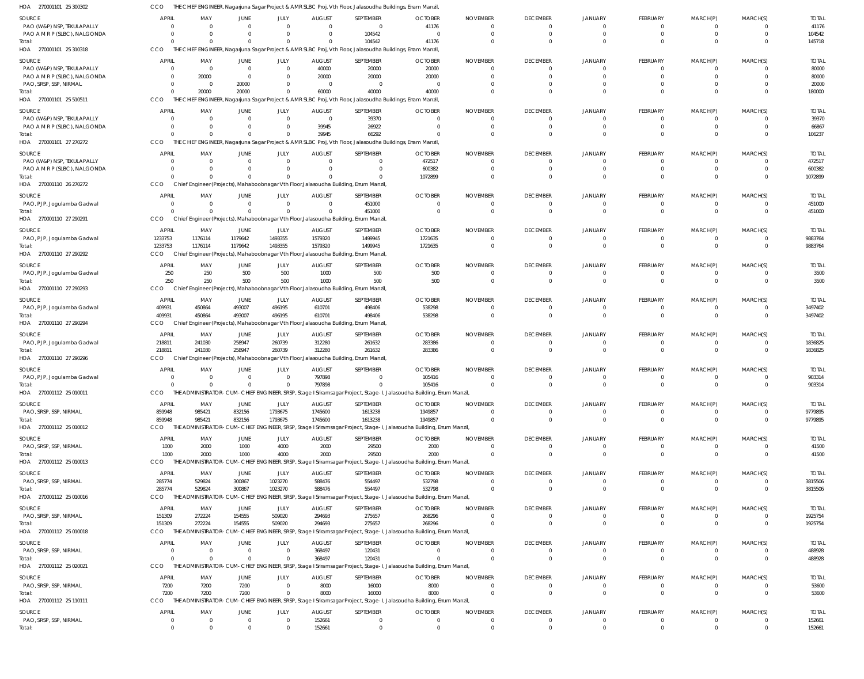| HOA<br>270001101 25 300302                  |                              |                                                                                                  |                               |                               |                           | THE CHIEF ENGINEER, Nagarjuna Sagar Project & AMR SLBC Proj, Vth Floor, Jalasoudha Buildings, Erram Manzil,          |                                                                                                                                 |                                   |                                            |                                  |                            |                                  |                               |                        |
|---------------------------------------------|------------------------------|--------------------------------------------------------------------------------------------------|-------------------------------|-------------------------------|---------------------------|----------------------------------------------------------------------------------------------------------------------|---------------------------------------------------------------------------------------------------------------------------------|-----------------------------------|--------------------------------------------|----------------------------------|----------------------------|----------------------------------|-------------------------------|------------------------|
| SOURCE                                      | <b>APRIL</b>                 | MAY                                                                                              | <b>JUNE</b>                   | JULY                          | <b>AUGUST</b>             | SEPTEMBER                                                                                                            | <b>OCTOBER</b>                                                                                                                  | <b>NOVEMBER</b>                   | <b>DECEMBER</b>                            | <b>JANUARY</b>                   | FEBRUARY                   | MARCH(P)                         | MARCH(S)                      | <b>TOTAL</b>           |
| PAO (W&P) NSP, TEKULAPALLY                  |                              | $\Omega$                                                                                         | $\Omega$                      | $\Omega$                      | $\Omega$                  | $\mathbf 0$                                                                                                          | 41176                                                                                                                           | $\Omega$                          | $\overline{0}$                             | $\Omega$                         | 0                          | $\Omega$                         | $^{\circ}$                    | 41176                  |
| PAO A M R P (SLBC), NALGONDA<br>Total:      |                              | $\Omega$<br>$\Omega$                                                                             | $\Omega$<br>$\Omega$          | $\Omega$<br>$\Omega$          | $\Omega$<br>$\Omega$      | 104542<br>104542                                                                                                     | - 0<br>41176                                                                                                                    | $\Omega$                          | $\overline{0}$<br>$\Omega$                 | $\Omega$<br>$\Omega$             | $\mathbf 0$<br>$\Omega$    | $\mathbf 0$<br>$\Omega$          | $\mathbf 0$<br>$\Omega$       | 104542<br>145718       |
| HOA 270001101 25 310318                     | CCO                          |                                                                                                  |                               |                               |                           | THE CHIEF ENGINEER, Nagarjuna Sagar Project & AMR SLBC Proj, Vth Floor, Jalasoudha Buildings, Erram Manzil,          |                                                                                                                                 |                                   |                                            |                                  |                            |                                  |                               |                        |
| SOURCE                                      | <b>APRIL</b>                 | MAY                                                                                              | <b>JUNE</b>                   | JULY                          | <b>AUGUST</b>             | SEPTEMBER                                                                                                            | <b>OCTOBER</b>                                                                                                                  | <b>NOVEMBER</b>                   | <b>DECEMBER</b>                            | <b>JANUARY</b>                   | <b>FEBRUARY</b>            | MARCH(P)                         | MARCH(S)                      | <b>TOTAL</b>           |
| PAO (W&P) NSP, TEKULAPALLY                  |                              | $\Omega$                                                                                         | $\overline{0}$                | $\overline{0}$                | 40000                     | 20000                                                                                                                | 20000                                                                                                                           |                                   | $\overline{0}$                             |                                  |                            | 0                                | $\mathbf{0}$                  | 80000                  |
| PAO A M R P (SLBC), NALGONDA                |                              | 20000                                                                                            | $\overline{0}$                | $\mathbf 0$                   | 20000                     | 20000                                                                                                                | 20000                                                                                                                           |                                   | $\Omega$                                   | $\Omega$                         | $\Omega$                   | $\Omega$                         | $\mathbf 0$                   | 80000                  |
| PAO, SRSP, SSP, NIRMAL<br>Total:            |                              | $\Omega$<br>20000                                                                                | 20000<br>20000                | 0<br>$\Omega$                 | $\Omega$<br>60000         | $\overline{0}$<br>40000                                                                                              | - 0<br>40000                                                                                                                    |                                   | $\Omega$<br>$\Omega$                       | $\Omega$                         | $\Omega$                   | $\Omega$                         | $\mathbf 0$<br>$\mathbf 0$    | 20000<br>180000        |
| HOA 270001101 25 510511                     | CCO                          |                                                                                                  |                               |                               |                           | THE CHIEF ENGINEER, Nagarjuna Sagar Project & AMR SLBC Proj, Vth Floor, Jalasoudha Buildings, Erram Manzil,          |                                                                                                                                 |                                   |                                            |                                  |                            |                                  |                               |                        |
| <b>SOURCE</b>                               | <b>APRIL</b>                 | MAY                                                                                              | <b>JUNE</b>                   | JULY                          | <b>AUGUST</b>             | SEPTEMBER                                                                                                            | <b>OCTOBER</b>                                                                                                                  | <b>NOVEMBER</b>                   | <b>DECEMBER</b>                            | <b>JANUARY</b>                   | FEBRUARY                   | MARCH(P)                         | MARCH(S)                      | <b>TOTAL</b>           |
| PAO (W&P) NSP, TEKULAPALLY                  |                              |                                                                                                  | $\Omega$                      | $\mathbf 0$                   | $\Omega$                  | 39370                                                                                                                |                                                                                                                                 | -0                                | $\Omega$                                   |                                  | 0                          | $\Omega$                         | $\mathbf{0}$                  | 39370                  |
| PAO A M R P (SLBC), NALGONDA                |                              | $\Omega$                                                                                         | $\Omega$                      | $\mathbf 0$                   | 39945                     | 26922                                                                                                                | $\Omega$                                                                                                                        | $\Omega$                          | $\Omega$                                   | $\Omega$                         | $\Omega$                   | $\mathbf 0$                      | $\mathbf 0$                   | 66867                  |
| Total:<br>HOA 270001101 27 270272           | CCO                          | $\Omega$                                                                                         | $\Omega$                      | $\mathbf 0$                   | 39945                     | 66292<br>THE CHIEF ENGINEER, Nagarjuna Sagar Project & AMR SLBC Proj, Vth Floor, Jalasoudha Buildings, Erram Manzil, |                                                                                                                                 |                                   | $\Omega$                                   | $\Omega$                         | $\Omega$                   | $\Omega$                         | $\Omega$                      | 106237                 |
| SOURCE                                      | <b>APRIL</b>                 | MAY                                                                                              | <b>JUNE</b>                   | JULY                          | <b>AUGUST</b>             | SEPTEMBER                                                                                                            | <b>OCTOBER</b>                                                                                                                  | <b>NOVEMBER</b>                   | <b>DECEMBER</b>                            | <b>JANUARY</b>                   | <b>FEBRUARY</b>            | MARCH(P)                         | MARCH(S)                      | <b>TOTAL</b>           |
| PAO (W&P) NSP, TEKULAPALLY                  |                              |                                                                                                  | $\overline{0}$                | $\mathbf 0$                   | $\Omega$                  | $\mathbf 0$                                                                                                          | 472517                                                                                                                          |                                   | $\Omega$                                   |                                  | 0                          | 0                                | $\mathbf{0}$                  | 472517                 |
| PAO A M R P (SLBC), NALGONDA                |                              |                                                                                                  | $\Omega$                      | $\Omega$                      | $\Omega$                  | $\mathbf 0$                                                                                                          | 600382                                                                                                                          |                                   | $\Omega$                                   | $\Omega$                         | $\Omega$                   | $\Omega$                         | $\mathbf 0$                   | 600382                 |
| Total:<br>HOA 270001110 26 270272           | CCO                          | Chief Engineer (Projects), Mahaboobnagar Vth Floor, Jalasoudha Building, Errum Manzil            | $\Omega$                      | $\Omega$                      |                           | $\Omega$                                                                                                             | 1072899                                                                                                                         |                                   | $\Omega$                                   | $\Omega$                         | $\Omega$                   | $\Omega$                         | $\Omega$                      | 1072899                |
|                                             |                              |                                                                                                  |                               |                               |                           |                                                                                                                      |                                                                                                                                 |                                   |                                            |                                  |                            |                                  |                               |                        |
| <b>SOURCE</b><br>PAO, PJP, Jogulamba Gadwal | <b>APRIL</b>                 | MAY<br>$\Omega$                                                                                  | <b>JUNE</b><br>$\overline{0}$ | JULY<br>$\overline{0}$        | <b>AUGUST</b><br>$\Omega$ | SEPTEMBER<br>451000                                                                                                  | <b>OCTOBER</b><br>$\Omega$                                                                                                      | <b>NOVEMBER</b><br>-0             | <b>DECEMBER</b><br>$\overline{\mathbf{0}}$ | <b>JANUARY</b>                   | <b>FEBRUARY</b><br>0       | MARCH(P)<br>$\Omega$             | MARCH(S)<br>$^{\circ}$        | <b>TOTAL</b><br>451000 |
| Total:                                      |                              | $\Omega$                                                                                         | $\Omega$                      | $\Omega$                      | $\Omega$                  | 451000                                                                                                               | $\Omega$                                                                                                                        |                                   | $\Omega$                                   | $\Omega$                         | $\Omega$                   | $\Omega$                         | $\mathbf 0$                   | 451000                 |
| HOA 270001110 27 290291                     | CCO                          | Chief Engineer (Projects), Mahaboobnagar Vth Floor, Jalasoudha Building, Errum Manzil            |                               |                               |                           |                                                                                                                      |                                                                                                                                 |                                   |                                            |                                  |                            |                                  |                               |                        |
| SOURCE                                      | <b>APRIL</b>                 | MAY                                                                                              | <b>JUNE</b>                   | JULY                          | <b>AUGUST</b>             | SEPTEMBER                                                                                                            | <b>OCTOBER</b>                                                                                                                  | <b>NOVEMBER</b>                   | <b>DECEMBER</b>                            | <b>JANUARY</b>                   | FEBRUARY                   | MARCH(P)                         | MARCH(S)                      | <b>TOTAL</b>           |
| PAO, PJP, Jogulamba Gadwal                  | 1233753                      | 1176114                                                                                          | 1179642                       | 1493355                       | 1579320                   | 1499945                                                                                                              | 1721635                                                                                                                         |                                   | $\overline{0}$                             | $\Omega$                         | 0                          | 0                                | $\mathbf{0}$                  | 9883764                |
| Total:<br>HOA 270001110 27 290292           | 1233753<br>CCO               | 1176114<br>Chief Engineer (Projects), Mahaboobnagar Vth Floor, Jalasoudha Building, Errum Manzil | 1179642                       | 1493355                       | 1579320                   | 1499945                                                                                                              | 1721635                                                                                                                         |                                   | $\overline{0}$                             |                                  | $\mathbf 0$                | $\mathbf 0$                      | $\mathbf 0$                   | 9883764                |
| SOURCE                                      | <b>APRIL</b>                 | MAY                                                                                              | JUNE                          | JULY                          | <b>AUGUST</b>             | SEPTEMBER                                                                                                            | <b>OCTOBER</b>                                                                                                                  | <b>NOVEMBER</b>                   | <b>DECEMBER</b>                            | <b>JANUARY</b>                   | FEBRUARY                   | MARCH(P)                         | MARCH(S)                      | <b>TOTAL</b>           |
| PAO, PJP, Jogulamba Gadwal                  | 250                          | 250                                                                                              | 500                           | 500                           | 1000                      | 500                                                                                                                  | 500                                                                                                                             | $\Omega$                          | $\overline{0}$                             |                                  | 0                          | $\overline{0}$                   | $^{\circ}$                    | 3500                   |
| Total:                                      | 250                          | 250                                                                                              | 500                           | 500                           | 1000                      | 500                                                                                                                  | 500                                                                                                                             | $\Omega$                          | $\Omega$                                   | $\Omega$                         | $\Omega$                   | $\Omega$                         | $\Omega$                      | 3500                   |
| HOA 270001110 27 290293                     | <b>CCO</b>                   | Chief Engineer (Projects), Mahaboobnagar Vth Floor, Jalasoudha Building, Errum Manzil            |                               |                               |                           |                                                                                                                      |                                                                                                                                 |                                   |                                            |                                  |                            |                                  |                               |                        |
| SOURCE                                      | <b>APRIL</b>                 | MAY                                                                                              | JUNE                          | JULY                          | <b>AUGUST</b>             | SEPTEMBER                                                                                                            | <b>OCTOBER</b>                                                                                                                  | <b>NOVEMBER</b>                   | <b>DECEMBER</b>                            | <b>JANUARY</b>                   | FEBRUARY                   | MARCH(P)                         | MARCH(S)                      | <b>TOTAL</b>           |
| PAO, PJP, Jogulamba Gadwal<br>Total:        | 409931<br>409931             | 450864<br>450864                                                                                 | 493007<br>493007              | 496195<br>496195              | 610701<br>610701          | 498406<br>498406                                                                                                     | 538298<br>538298                                                                                                                | $\Omega$                          | $\overline{0}$<br>$\Omega$                 | $\Omega$<br>$\Omega$             | $\mathbf 0$<br>$\mathbf 0$ | $\overline{0}$<br>$\overline{0}$ | $\mathbf 0$<br>$\mathbf 0$    | 3497402<br>3497402     |
| 270001110 27 290294<br>HOA                  | CCO                          | Chief Engineer (Projects), Mahaboobnagar Vth Floor, Jalasoudha Building, Errum Manzil            |                               |                               |                           |                                                                                                                      |                                                                                                                                 |                                   |                                            |                                  |                            |                                  |                               |                        |
| SOURCE                                      | <b>APRIL</b>                 | MAY                                                                                              | JUNE                          | JULY                          | <b>AUGUST</b>             | SEPTEMBER                                                                                                            | <b>OCTOBER</b>                                                                                                                  | <b>NOVEMBER</b>                   | <b>DECEMBER</b>                            | <b>JANUARY</b>                   | FEBRUARY                   | MARCH(P)                         | MARCH(S)                      | <b>TOTAL</b>           |
| PAO, PJP, Jogulamba Gadwal                  | 218811                       | 241030                                                                                           | 258947                        | 260739                        | 312280                    | 261632                                                                                                               | 283386                                                                                                                          | -0                                | $\Omega$                                   |                                  | 0                          | $\Omega$                         | $^{\circ}$                    | 1836825                |
| Total:                                      | 218811                       | 241030                                                                                           | 258947                        | 260739                        | 312280                    | 261632                                                                                                               | 283386                                                                                                                          | $\Omega$                          | $\Omega$                                   | $\Omega$                         | $\Omega$                   | $\Omega$                         | $\mathbf{0}$                  | 1836825                |
| HOA 270001110 27 290296                     | CCO                          | Chief Engineer (Projects), Mahaboobnagar Vth Floor, Jalasoudha Building, Errum Manzil            |                               |                               |                           |                                                                                                                      |                                                                                                                                 |                                   |                                            |                                  |                            |                                  |                               |                        |
| SOURCE<br>PAO, PJP, Jogulamba Gadwal        | <b>APRIL</b>                 | MAY                                                                                              | JUNE<br>$\overline{0}$        | JULY<br>$\overline{0}$        | <b>AUGUST</b><br>797898   | SEPTEMBER<br>0                                                                                                       | <b>OCTOBER</b><br>105416                                                                                                        | <b>NOVEMBER</b>                   | <b>DECEMBER</b><br>$\Omega$                | <b>JANUARY</b><br>$\Omega$       | FEBRUARY<br>0              | MARCH(P)<br>0                    | MARCH(S)<br>$\mathbf{0}$      | <b>TOTAL</b><br>903314 |
| Total:                                      | $\Omega$                     | $\Omega$                                                                                         | $\Omega$                      | $\mathbf 0$                   | 797898                    | $\mathbf 0$                                                                                                          | 105416                                                                                                                          |                                   | $\Omega$                                   | $\Omega$                         | $\Omega$                   | $\Omega$                         | $\mathbf{0}$                  | 903314                 |
| HOA 270001112 25 010011                     | CCO                          |                                                                                                  |                               |                               |                           |                                                                                                                      | THE ADMINISTRATOR-CUM-CHIEF ENGINEER, SRSP, Stage I Sriramsagar Project, Stage-I, Jalasoudha Building, Errum Manzil,            |                                   |                                            |                                  |                            |                                  |                               |                        |
| <b>SOURCE</b>                               | <b>APRIL</b>                 | MAY                                                                                              | JUNE                          | JULY                          | <b>AUGUST</b>             | SEPTEMBER                                                                                                            | <b>OCTOBER</b>                                                                                                                  | <b>NOVEMBER</b>                   | <b>DECEMBER</b>                            | <b>JANUARY</b>                   | FEBRUARY                   | MARCH(P)                         | MARCH(S)                      | <b>TOTAL</b>           |
| PAO, SRSP, SSP, NIRMAL                      | 859948                       | 985421                                                                                           | 832156                        | 1793675                       | 1745600                   | 1613238                                                                                                              | 1949857                                                                                                                         | $\Omega$                          | $\overline{0}$                             | $\Omega$                         | 0                          | $\overline{0}$                   | $^{\circ}$                    | 9779895                |
| Total:<br>HOA 270001112 25 010012           | 859948<br>CCO                | 985421                                                                                           | 832156                        | 1793675                       | 1745600                   | 1613238                                                                                                              | 1949857<br>THE ADMINISTRATOR-CUM-CHIEF ENGINEER, SRSP, Stage I Sriramsagar Project, Stage-I, Jalasoudha Building, Errum Manzil, | $\Omega$                          | $\overline{0}$                             | $\Omega$                         | $\mathbf 0$                | $\overline{0}$                   | $\overline{0}$                | 9779895                |
|                                             |                              |                                                                                                  |                               |                               |                           |                                                                                                                      |                                                                                                                                 |                                   |                                            |                                  |                            |                                  |                               |                        |
| SOURCE<br>PAO, SRSP, SSP, NIRMAL            | <b>APRIL</b><br>1000         | MAY<br>2000                                                                                      | <b>JUNE</b><br>1000           | JULY<br>4000                  | <b>AUGUST</b><br>2000     | SEPTEMBER<br>29500                                                                                                   | <b>OCTOBER</b><br>2000                                                                                                          | <b>NOVEMBER</b><br>$\Omega$       | <b>DECEMBER</b><br>$\overline{0}$          | <b>JANUARY</b><br>$\Omega$       | <b>FEBRUARY</b><br>0       | MARCH(P)<br>$\overline{0}$       | MARCH(S)<br>$\overline{0}$    | <b>TOTAL</b><br>41500  |
| Total:                                      | 1000                         | 2000                                                                                             | 1000                          | 4000                          | 2000                      | 29500                                                                                                                | 2000                                                                                                                            | $\Omega$                          | $\overline{0}$                             | $\Omega$                         | $\mathbf 0$                | $\overline{0}$                   | $\mathbf 0$                   | 41500                  |
| HOA 270001112 25 010013                     | CCO                          |                                                                                                  |                               |                               |                           |                                                                                                                      | THE ADMINISTRATOR-CUM-CHIEF ENGINEER, SRSP, Stage I Sriramsagar Project, Stage-I, Jalasoudha Building, Errum Manzil,            |                                   |                                            |                                  |                            |                                  |                               |                        |
| SOURCE                                      | <b>APRIL</b>                 | MAY                                                                                              | <b>JUNE</b>                   | JULY                          | <b>AUGUST</b>             | SEPTEMBER                                                                                                            | <b>OCTOBER</b>                                                                                                                  | <b>NOVEMBER</b>                   | <b>DECEMBER</b>                            | <b>JANUARY</b>                   | <b>FEBRUARY</b>            | MARCH(P)                         | MARCH(S)                      | <b>TOTAL</b>           |
| PAO, SRSP, SSP, NIRMAL<br>Total:            | 285774<br>285774             | 529824<br>529824                                                                                 | 300867<br>300867              | 1023270<br>1023270            | 588476<br>588476          | 554497<br>554497                                                                                                     | 532798<br>532798                                                                                                                | $\Omega$<br>$\overline{0}$        | $\overline{0}$<br>$\overline{0}$           | $\Omega$<br>$\Omega$             | 0<br>$\mathbf 0$           | $\overline{0}$<br>$\overline{0}$ | $\mathbf 0$<br>$\overline{0}$ | 3815506<br>3815506     |
| HOA 270001112 25 010016                     | CCO                          |                                                                                                  |                               |                               |                           |                                                                                                                      | THE ADMINISTRATOR-CUM-CHIEF ENGINEER, SRSP, Stage I Sriramsagar Project, Stage-I, Jalasoudha Building, Errum Manzil,            |                                   |                                            |                                  |                            |                                  |                               |                        |
| SOURCE                                      | <b>APRIL</b>                 | MAY                                                                                              | <b>JUNE</b>                   | JULY                          | <b>AUGUST</b>             | SEPTEMBER                                                                                                            | <b>OCTOBER</b>                                                                                                                  | <b>NOVEMBER</b>                   | <b>DECEMBER</b>                            | <b>JANUARY</b>                   | <b>FEBRUARY</b>            | MARCH(P)                         | MARCH(S)                      | <b>TOTAL</b>           |
| PAO, SRSP, SSP, NIRMAL                      | 151309                       | 272224                                                                                           | 154555                        | 509020                        | 294693                    | 275657                                                                                                               | 268296                                                                                                                          |                                   | $\overline{0}$                             | $\Omega$                         | 0                          | 0                                | $\mathbf 0$                   | 1925754                |
| Total:                                      | 151309                       | 272224                                                                                           | 154555                        | 509020                        | 294693                    | 275657                                                                                                               | 268296                                                                                                                          | $\Omega$                          | $\overline{0}$                             | $\Omega$                         | $\mathbf 0$                | $\overline{0}$                   | $\overline{0}$                | 1925754                |
| HOA 270001112 25 010018                     | CCO                          |                                                                                                  |                               |                               |                           |                                                                                                                      | THE ADMINISTRATOR-CUM-CHIEF ENGINEER, SRSP, Stage I Sriramsagar Project, Stage-I, Jalasoudha Building, Errum Manzil,            |                                   |                                            |                                  |                            |                                  |                               |                        |
| SOURCE                                      | <b>APRIL</b>                 | MAY                                                                                              | <b>JUNE</b>                   | JULY                          | <b>AUGUST</b>             | SEPTEMBER                                                                                                            | <b>OCTOBER</b>                                                                                                                  | <b>NOVEMBER</b>                   | <b>DECEMBER</b>                            | <b>JANUARY</b>                   | <b>FEBRUARY</b>            | MARCH(P)                         | MARCH(S)                      | <b>TOTAL</b>           |
| PAO, SRSP, SSP, NIRMAL<br>Total:            | $\Omega$                     | $\Omega$<br>$\Omega$                                                                             | $\overline{0}$<br>$\mathbf 0$ | $\overline{0}$<br>$\mathbf 0$ | 368497<br>368497          | 120431<br>120431                                                                                                     | $\cap$                                                                                                                          | $\mathbf 0$<br>$\Omega$           | $\overline{0}$<br>$\Omega$                 | $\Omega$<br>$\Omega$             | $\mathbf 0$<br>$\mathbf 0$ | $\overline{0}$<br>$\overline{0}$ | $\mathbf 0$<br>$\mathbf 0$    | 488928<br>488928       |
| HOA 270001112 25 020021                     | CCO                          |                                                                                                  |                               |                               |                           |                                                                                                                      | THE ADMINISTRATOR-CUM-CHIEF ENGINEER, SRSP, Stage I Sriramsagar Project, Stage-I, Jalasoudha Building, Errum Manzil,            |                                   |                                            |                                  |                            |                                  |                               |                        |
| SOURCE                                      | <b>APRIL</b>                 | MAY                                                                                              | <b>JUNE</b>                   | JULY                          | <b>AUGUST</b>             | SEPTEMBER                                                                                                            | <b>OCTOBER</b>                                                                                                                  | <b>NOVEMBER</b>                   | <b>DECEMBER</b>                            | <b>JANUARY</b>                   | <b>FEBRUARY</b>            | MARCH(P)                         | MARCH(S)                      | <b>TOTAL</b>           |
| PAO, SRSP, SSP, NIRMAL                      | 7200                         | 7200                                                                                             | 7200                          | $\overline{0}$                | 8000                      | 16000                                                                                                                | 8000                                                                                                                            | $\overline{0}$                    | $\overline{0}$                             | $\Omega$                         | $\mathbf 0$                | $\overline{0}$                   | $\mathbf 0$                   | 53600                  |
| Total:                                      | 7200                         | 7200                                                                                             | 7200                          | $\mathbf 0$                   | 8000                      | 16000                                                                                                                | 8000                                                                                                                            | $\Omega$                          | $\Omega$                                   | $\Omega$                         | $\mathbf 0$                | $\overline{0}$                   | $\mathbf 0$                   | 53600                  |
| HOA 270001112 25 110111                     | CCO                          |                                                                                                  |                               |                               |                           |                                                                                                                      | THE ADMINISTRATOR-CUM-CHIEF ENGINEER, SRSP, Stage I Sriramsagar Project, Stage-I, Jalasoudha Building, Errum Manzil,            |                                   |                                            |                                  |                            |                                  |                               |                        |
| SOURCE<br>PAO, SRSP, SSP, NIRMAL            | <b>APRIL</b><br>$\mathbf{0}$ | MAY<br>$\Omega$                                                                                  | <b>JUNE</b><br>$\overline{0}$ | JULY<br>$\mathbf 0$           | <b>AUGUST</b><br>152661   | SEPTEMBER<br>$\mathbf 0$                                                                                             | <b>OCTOBER</b><br>$\Omega$                                                                                                      | <b>NOVEMBER</b><br>$\overline{0}$ | <b>DECEMBER</b><br>$\overline{0}$          | <b>JANUARY</b><br>$\overline{0}$ | FEBRUARY<br>0              | MARCH(P)<br>$\mathbf 0$          | MARCH(S)<br>$\mathbf{0}$      | <b>TOTAL</b><br>152661 |
| Total:                                      | $\Omega$                     |                                                                                                  |                               | $\Omega$                      | 152661                    | $\Omega$                                                                                                             |                                                                                                                                 |                                   | $\Omega$                                   | $\Omega$                         |                            |                                  | $\Omega$                      | 152661                 |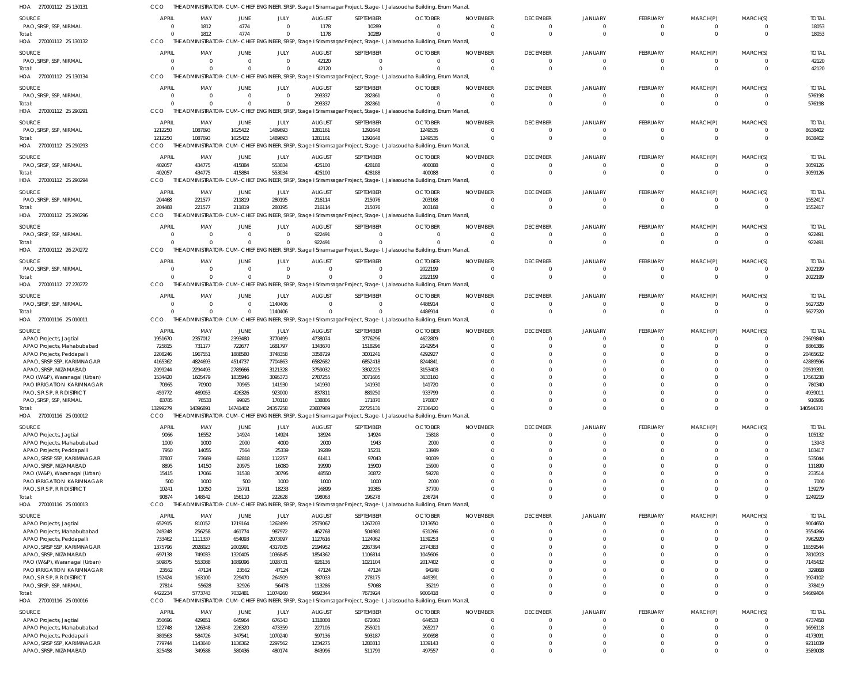| HOA 270001112 25 130131                                 | ссо                        |                            |                      |                    |                      |                          | THE ADMINISTRATOR-CUM-CHIEF ENGINEER, SRSP, Stage I Sriramsagar Project, Stage-I, Jalasoudha Building, Errum Manzil             |                      |                            |                      |                         |                         |                            |                     |
|---------------------------------------------------------|----------------------------|----------------------------|----------------------|--------------------|----------------------|--------------------------|---------------------------------------------------------------------------------------------------------------------------------|----------------------|----------------------------|----------------------|-------------------------|-------------------------|----------------------------|---------------------|
| <b>SOURCE</b>                                           | <b>APRIL</b>               | MAY                        | <b>JUNE</b>          | JULY               | <b>AUGUST</b>        | SEPTEMBER                | <b>OCTOBER</b>                                                                                                                  | <b>NOVEMBER</b>      | <b>DECEMBER</b>            | <b>JANUARY</b>       | FEBRUARY                | MARCH(P)                | MARCH(S)                   | <b>TOTAL</b>        |
| PAO, SRSP, SSP, NIRMAL                                  | $\Omega$                   | 1812                       | 4774                 | $\overline{0}$     | 1178                 | 10289                    |                                                                                                                                 | $\Omega$             | $\Omega$                   | $\overline{0}$       | 0                       | $\overline{0}$          | $\overline{0}$             | 18053               |
| Total:                                                  | $\Omega$                   | 1812                       | 4774                 | $\mathbf{0}$       | 1178                 | 10289                    |                                                                                                                                 | $\Omega$             | $\Omega$                   | $\Omega$             | $\mathbf 0$             | $\mathbf 0$             | $\overline{0}$             | 18053               |
| HOA 270001112 25 130132                                 | CCO                        |                            |                      |                    |                      |                          | THE ADMINISTRATOR-CUM-CHIEF ENGINEER, SRSP, Stage I Sriramsagar Project, Stage-I, Jalasoudha Building, Errum Manzil,            |                      |                            |                      |                         |                         |                            |                     |
| <b>SOURCE</b>                                           | <b>APRIL</b>               | MAY                        | JUNE                 | JULY               | <b>AUGUST</b>        | SEPTEMBER                | <b>OCTOBER</b>                                                                                                                  | <b>NOVEMBER</b>      | <b>DECEMBER</b>            | <b>JANUARY</b>       | FEBRUARY                | MARCH(P)                | MARCH(S)                   | <b>TOTAL</b>        |
| PAO, SRSP, SSP, NIRMAL                                  | $\overline{0}$             | $\overline{0}$             | $\Omega$             | $\overline{0}$     | 42120                | $\mathbf{0}$             |                                                                                                                                 | $\Omega$             | $\overline{0}$             | $\overline{0}$       | $\mathbf{0}$            | $\mathbf{0}$            | $\overline{0}$             | 42120               |
| Total                                                   | $\Omega$                   | $\Omega$                   | $\Omega$             | $\Omega$           | 42120                | $\Omega$                 |                                                                                                                                 |                      | $\Omega$                   | $\Omega$             | $\mathbf 0$             | $\mathbf 0$             | $\Omega$                   | 42120               |
| HOA 270001112 25 130134                                 | CCO                        |                            |                      |                    |                      |                          | THE ADMINISTRATOR-CUM-CHIEF ENGINEER, SRSP, Stage I Sriramsagar Project, Stage-I, Jalasoudha Building, Errum Manzil,            |                      |                            |                      |                         |                         |                            |                     |
|                                                         |                            |                            |                      |                    |                      |                          |                                                                                                                                 |                      |                            |                      |                         |                         |                            |                     |
| SOURCE                                                  | <b>APRIL</b>               | MAY                        | <b>JUNE</b>          | JULY               | <b>AUGUST</b>        | SEPTEMBER                | <b>OCTOBER</b>                                                                                                                  | <b>NOVEMBER</b>      | <b>DECEMBER</b>            | <b>JANUARY</b>       | FEBRUARY                | MARCH(P)                | MARCH(S)                   | <b>TOTAL</b>        |
| PAO, SRSP, SSP, NIRMAL                                  | $\overline{0}$             | $\Omega$                   | $\Omega$             | $\overline{0}$     | 293337               | 282861                   |                                                                                                                                 | $\Omega$             | $\Omega$                   | $\Omega$             | 0                       | $\Omega$                | $\overline{0}$             | 576198              |
| Total:                                                  | $\Omega$                   | $\Omega$                   | $\Omega$             | $\overline{0}$     | 293337               | 282861                   |                                                                                                                                 | $\Omega$             | $\Omega$                   | $\Omega$             | $\mathbf{0}$            | $\mathbf 0$             | $\overline{0}$             | 576198              |
| HOA 270001112 25 290291                                 | CCO                        |                            |                      |                    |                      |                          | THE ADMINISTRATOR-CUM-CHIEF ENGINEER, SRSP, Stage I Sriramsagar Project, Stage-I, Jalasoudha Building, Errum Manzil,            |                      |                            |                      |                         |                         |                            |                     |
| <b>SOURCE</b>                                           | <b>APRIL</b>               | MAY                        | JUNE                 | JULY               | <b>AUGUST</b>        | SEPTEMBER                | <b>OCTOBER</b>                                                                                                                  | <b>NOVEMBER</b>      | <b>DECEMBER</b>            | <b>JANUARY</b>       | <b>FEBRUARY</b>         | MARCH(P)                | MARCH(S)                   | <b>TOTAL</b>        |
| PAO, SRSP, SSP, NIRMAL                                  | 1212250                    | 1087693                    | 1025422              | 1489693            | 1281161              | 1292648                  | 1249535                                                                                                                         |                      | $\overline{0}$             | $\Omega$             | 0                       | 0                       | $\overline{0}$             | 8638402             |
| Total                                                   | 1212250                    | 1087693                    | 1025422              | 1489693            | 1281161              | 1292648                  | 1249535                                                                                                                         |                      | $\Omega$                   | $\Omega$             | $\mathbf 0$             | $\mathbf 0$             | $\overline{0}$             | 8638402             |
| HOA 270001112 25 290293                                 | CCO                        |                            |                      |                    |                      |                          | THE ADMINISTRATOR-CUM-CHIEF ENGINEER, SRSP, Stage I Sriramsagar Project, Stage-I, Jalasoudha Building, Errum Manzil,            |                      |                            |                      |                         |                         |                            |                     |
| <b>SOURCE</b>                                           | <b>APRIL</b>               | MAY                        | JUNE                 | JULY               | <b>AUGUST</b>        | SEPTEMBER                | <b>OCTOBER</b>                                                                                                                  | <b>NOVEMBER</b>      | <b>DECEMBER</b>            | <b>JANUARY</b>       | FEBRUARY                | MARCH(P)                | MARCH(S)                   | <b>TOTAL</b>        |
| PAO, SRSP, SSP, NIRMAL                                  | 402057                     | 434775                     | 415884               | 553034             | 425100               | 428188                   | 400088                                                                                                                          | $\Omega$             | $\Omega$                   | $\Omega$             | $\mathbf 0$             | $\overline{0}$          | $\overline{0}$             | 3059126             |
| Total                                                   | 402057                     | 434775                     | 415884               | 553034             | 425100               | 428188                   | 400088                                                                                                                          | $\Omega$             | $\Omega$                   | $\Omega$             | $\mathbf 0$             | $\mathbf{0}$            | $\overline{0}$             | 3059126             |
| HOA 270001112 25 290294                                 | CCO.                       | THE ADMINISTRATOR-         |                      |                    |                      |                          | -CUM-CHIEF ENGINEER, SRSP, Stage I Sriramsagar Project, Stage-I, Jalasoudha Building, Errum Manzil                              |                      |                            |                      |                         |                         |                            |                     |
|                                                         |                            |                            |                      |                    |                      |                          |                                                                                                                                 |                      |                            |                      |                         |                         |                            |                     |
| <b>SOURCE</b>                                           | <b>APRIL</b>               | MAY                        | JUNE                 | JULY               | <b>AUGUST</b>        | SEPTEMBER                | <b>OCTOBER</b>                                                                                                                  | <b>NOVEMBER</b>      | <b>DECEMBER</b>            | <b>JANUARY</b>       | FEBRUARY                | MARCH(P)                | MARCH(S)                   | <b>TOTAL</b>        |
| PAO, SRSP, SSP, NIRMAL                                  | 204468                     | 221577                     | 211819               | 280195             | 216114               | 215076                   | 203168                                                                                                                          |                      | $\Omega$<br>$\Omega$       | $\Omega$<br>$\Omega$ | $\overline{0}$          | $\overline{0}$          | $\overline{0}$             | 1552417             |
| Total:                                                  | 204468                     | 221577                     | 211819               | 280195             | 216114               | 215076                   | 203168                                                                                                                          |                      |                            |                      | $\mathbf 0$             | $\mathbf 0$             | $\overline{0}$             | 1552417             |
| HOA 270001112 25 290296                                 | CCO                        |                            |                      |                    |                      |                          | THE ADMINISTRATOR-CUM-CHIEF ENGINEER, SRSP, Stage I Sriramsagar Project, Stage-I, Jalasoudha Building, Errum Manzil,            |                      |                            |                      |                         |                         |                            |                     |
| SOURCE                                                  | <b>APRIL</b>               | MAY                        | JUNE                 | JULY               | <b>AUGUST</b>        | SEPTEMBER                | <b>OCTOBER</b>                                                                                                                  | <b>NOVEMBER</b>      | <b>DECEMBER</b>            | <b>JANUARY</b>       | FEBRUARY                | MARCH(P)                | MARCH(S)                   | <b>TOTAL</b>        |
| PAO, SRSP, SSP, NIRMAL                                  | $\overline{0}$             | - 0                        | $\Omega$             | $\overline{0}$     | 922491               | $\mathbf{0}$             |                                                                                                                                 | $\Omega$             | $\overline{0}$             | $\Omega$             | 0                       | 0                       | $\overline{0}$             | 922491              |
| Total                                                   | $\Omega$                   | $\Omega$                   | $\Omega$             | $\Omega$           | 922491               | $\Omega$                 |                                                                                                                                 | $\Omega$             | $\Omega$                   | $\Omega$             | $\mathbf 0$             | $\Omega$                | $\overline{0}$             | 922491              |
| HOA 270001112 26 270272                                 | CCO                        |                            |                      |                    |                      |                          | THE ADMINISTRATOR-CUM-CHIEF ENGINEER, SRSP, Stage I Sriramsagar Project, Stage-I, Jalasoudha Building, Errum Manzil,            |                      |                            |                      |                         |                         |                            |                     |
| <b>SOURCE</b>                                           | <b>APRIL</b>               | MAY                        | <b>JUNE</b>          | JULY               | <b>AUGUST</b>        | SEPTEMBER                | <b>OCTOBER</b>                                                                                                                  | <b>NOVEMBER</b>      | <b>DECEMBER</b>            | <b>JANUARY</b>       | FEBRUARY                | MARCH(P)                | MARCH(S)                   | <b>TOTAL</b>        |
| PAO, SRSP, SSP, NIRMAL                                  | $\overline{0}$             | $\overline{0}$             | $\Omega$             | $\overline{0}$     | $\Omega$             | $\mathbf{0}$             | 2022199                                                                                                                         |                      | $\Omega$                   | $\Omega$             | $\mathbf 0$             | 0                       | $\overline{0}$             | 2022199             |
| Total                                                   | $\Omega$                   | $\overline{0}$             | $\Omega$             | $\mathbf{0}$       |                      | $\Omega$                 | 2022199                                                                                                                         |                      | $\Omega$                   | $\Omega$             | $\mathbf 0$             | $\mathbf 0$             | $\overline{0}$             | 2022199             |
| HOA 270001112 27 270272                                 | CCO                        |                            |                      |                    |                      |                          | THE ADMINISTRATOR-CUM-CHIEF ENGINEER, SRSP, Stage I Sriramsagar Project, Stage-I, Jalasoudha Building, Errum Manzil,            |                      |                            |                      |                         |                         |                            |                     |
|                                                         |                            |                            |                      |                    |                      |                          |                                                                                                                                 |                      |                            |                      |                         |                         |                            |                     |
| <b>SOURCE</b>                                           | <b>APRIL</b>               | MAY                        | <b>JUNE</b>          | JULY               | <b>AUGUST</b>        | SEPTEMBER                | <b>OCTOBER</b>                                                                                                                  | <b>NOVEMBER</b>      | <b>DECEMBER</b>            | JANUARY              | FEBRUARY                | MARCH(P)                | MARCH(S)                   | <b>TOTAL</b>        |
| PAO, SRSP, SSP, NIRMAL                                  | $\overline{0}$<br>$\Omega$ | $\overline{0}$<br>$\Omega$ | $\Omega$<br>$\Omega$ | 1140406            | $\Omega$<br>$\Omega$ | $\mathbf{0}$<br>$\Omega$ | 4486914                                                                                                                         | $\Omega$<br>$\Omega$ | $\overline{0}$<br>$\Omega$ | $\Omega$<br>$\Omega$ | 0<br>$\mathbf 0$        | 0<br>$\mathbf 0$        | $\overline{0}$<br>$\Omega$ | 5627320             |
| Total<br>HOA 270001116 25 010011                        | CCO                        |                            |                      | 1140406            |                      |                          | 4486914<br>THE ADMINISTRATOR-CUM-CHIEF ENGINEER, SRSP, Stage I Sriramsagar Project, Stage-I, Jalasoudha Building, Errum Manzil, |                      |                            |                      |                         |                         |                            | 5627320             |
|                                                         |                            |                            |                      |                    |                      |                          |                                                                                                                                 |                      |                            |                      |                         |                         |                            |                     |
| <b>SOURCE</b>                                           | <b>APRIL</b>               | MAY                        | JUNE                 | JULY               | <b>AUGUST</b>        | SEPTEMBER                | <b>OCTOBER</b>                                                                                                                  | <b>NOVEMBER</b>      | <b>DECEMBER</b>            | <b>JANUARY</b>       | FEBRUARY                | MARCH(P)                | MARCH(S)                   | <b>TOTAL</b>        |
| APAO Projects, Jagtial                                  | 1951670                    | 2357012                    | 2393480              | 3770499            | 4738074              | 3776296                  | 4622809                                                                                                                         |                      | $\Omega$                   | $\Omega$             | $\mathbf 0$             | 0                       | $\Omega$                   | 23609840            |
| APAO Projects, Mahabubabad                              | 725815                     | 731177                     | 722677               | 1681797            | 1343670              | 1518296                  | 2142954                                                                                                                         |                      | $\Omega$                   |                      | $\Omega$                | $\Omega$                | $\Omega$                   | 8866386             |
| APAO Projects, Peddapalli                               | 2208246                    | 1967551                    | 1888580              | 3748358            | 3358729              | 3001241                  | 4292927                                                                                                                         |                      |                            |                      | $\Omega$                | $\Omega$                |                            | 20465632            |
| APAO, SRSP SSP, KARIMNAGAR                              | 4165362                    | 4824693                    | 4514737              | 7704863            | 6582682              | 6852418                  | 8244841                                                                                                                         |                      |                            |                      | $\Omega$                |                         |                            | 42889596            |
| APAO, SRSP, NIZAMABAD                                   | 2099244                    | 2294493                    | 2789666              | 3121328            | 3759032              | 3302225                  | 3153403                                                                                                                         |                      |                            |                      | $\Omega$                | $\Omega$                |                            | 20519391            |
| PAO (W&P), Waranagal (Urban)                            | 1534420                    | 1605479                    | 1835946              | 3095373            | 2787255              | 3071605                  | 3633160                                                                                                                         |                      | $\cap$                     | $\cap$               | $\Omega$<br>$\Omega$    | $\Omega$                | $\Omega$<br>$\Omega$       | 17563238            |
| PAO IRRIGATION KARIMNAGAR                               | 70965                      | 70900                      | 70965                | 141930             | 141930               | 141930                   | 141720                                                                                                                          |                      |                            |                      |                         | $\Omega$                |                            | 780340              |
| PAO, S R S P, R R DISTRICT<br>PAO, SRSP, SSP, NIRMAL    | 459772<br>83785            | 469053<br>76533            | 426326<br>99025      | 923000<br>170110   | 837811<br>138806     | 889250<br>171870         | 933799<br>170807                                                                                                                |                      | $\Omega$                   | $\Omega$             | $\Omega$<br>$\mathbf 0$ | $\Omega$<br>$\mathbf 0$ | $\Omega$<br>$\Omega$       | 4939011<br>910936   |
| Total:                                                  | 13299279                   | 14396891                   | 14741402             | 24357258           | 23687989             | 22725131                 | 27336420                                                                                                                        |                      | $\Omega$                   | $\Omega$             | $\mathbf{0}$            | $\mathbf{0}$            | $\Omega$                   | 140544370           |
| HOA 270001116 25 010012                                 | CCO                        |                            |                      |                    |                      |                          | THE ADMINISTRATOR-CUM-CHIEF ENGINEER, SRSP, Stage I Sriramsagar Project, Stage-I, Jalasoudha Building, Errum Manzil,            |                      |                            |                      |                         |                         |                            |                     |
|                                                         |                            |                            |                      |                    |                      |                          |                                                                                                                                 |                      |                            |                      |                         |                         |                            |                     |
| SOURCE                                                  | <b>APRIL</b>               | MAY                        | JUNE                 | JULY               | <b>AUGUST</b>        | SEPTEMBER                | <b>OCTOBER</b>                                                                                                                  | <b>NOVEMBER</b>      | <b>DECEMBER</b>            | <b>JANUARY</b>       | <b>FEBRUARY</b>         | MARCH(P)                | MARCH(S)                   | <b>TOTAL</b>        |
| APAO Projects, Jagtial                                  | 9066                       | 16552                      | 14924                | 14924              | 18924                | 14924                    | 15818                                                                                                                           | $\Omega$             | $\overline{0}$             | $\Omega$             | 0                       | 0                       | $\overline{0}$             | 105132              |
| APAO Projects, Mahabubabad                              | 1000                       | 1000                       | 2000                 | 4000               | 2000                 | 1943                     | 2000                                                                                                                            |                      | $\Omega$                   | $\Omega$             | $\Omega$                | $\Omega$                | $\Omega$                   | 13943               |
| APAO Projects, Peddapalli                               | 7950                       | 14055                      | 7564                 | 25339              | 19289                | 15231                    | 13989                                                                                                                           |                      | $\Omega$                   | $\Omega$             | $\Omega$                | $\Omega$                | $\Omega$                   | 103417              |
| APAO, SRSP SSP, KARIMNAGAR                              | 37807<br>8895              | 73669                      | 62818                | 112257             | 61411<br>19990       | 97043                    | 90039                                                                                                                           |                      |                            | $\Omega$<br>$\Omega$ | $\Omega$<br>$\Omega$    | $\Omega$<br>$\Omega$    | $\Omega$<br>$\Omega$       | 535044              |
| APAO, SRSP, NIZAMABAD<br>PAO (W&P), Waranagal (Urban)   | 15415                      | 14150<br>17066             | 20975<br>31538       | 16080<br>30795     | 48550                | 15900<br>30872           | 15900<br>59278                                                                                                                  |                      |                            | $\Omega$             | $\Omega$                | $\Omega$                | $\Omega$                   | 111890<br>233514    |
| <b>PAO IRRIGATION KARIMNAGAR</b>                        | 500                        | 1000                       | 500                  | 1000               | 1000                 | 1000                     | 2000                                                                                                                            |                      |                            | $\Omega$             | $\Omega$                | $\Omega$                | $\Omega$                   | 7000                |
| PAO, S R S P, R R DISTRICT                              | 10241                      | 11050                      | 15791                | 18233              | 26899                | 19365                    | 37700                                                                                                                           |                      |                            | $\Omega$             | $\mathbf 0$             | $\mathbf 0$             | $\Omega$                   | 139279              |
| Total:                                                  | 90874                      | 148542                     | 156110               | 222628             | 198063               | 196278                   | 236724                                                                                                                          |                      | $\Omega$                   | $\Omega$             | $\Omega$                | $\Omega$                | $\Omega$                   | 1249219             |
| HOA 270001116 25 010013                                 | CCO                        |                            |                      |                    |                      |                          | THE ADMINISTRATOR-CUM-CHIEF ENGINEER, SRSP, Stage I Sriramsagar Project, Stage-I, Jalasoudha Building, Errum Manzil,            |                      |                            |                      |                         |                         |                            |                     |
|                                                         |                            |                            |                      |                    |                      |                          |                                                                                                                                 |                      |                            |                      |                         |                         |                            |                     |
| <b>SOURCE</b>                                           | <b>APRIL</b>               | MAY                        | JUNE                 | JULY               | <b>AUGUST</b>        | SEPTEMBER                | <b>OCTOBER</b>                                                                                                                  | <b>NOVEMBER</b>      | <b>DECEMBER</b>            | <b>JANUARY</b>       | FEBRUARY                | MARCH(P)                | MARCH(S)                   | <b>TOTAL</b>        |
| APAO Projects, Jagtial                                  | 652915                     | 810152                     | 1219164              | 1262499            | 2579067              | 1267203                  | 1213650                                                                                                                         |                      | $\overline{0}$             | $\overline{0}$       | $\overline{0}$          | $\overline{0}$          | $\overline{0}$             | 9004650             |
| APAO Projects, Mahabubabad                              | 249248                     | 256258                     | 461774               | 987972             | 462768               | 504980                   | 631266                                                                                                                          |                      | $\Omega$                   | $\Omega$<br>$\Omega$ | $\mathbf 0$             | $\mathbf 0$             | $\Omega$                   | 3554266             |
| APAO Projects, Peddapalli                               | 733462                     | 1111337                    | 654093               | 2073097            | 1127616              | 1124062                  | 1139253                                                                                                                         |                      | $\Omega$<br>$\Omega$       | $\Omega$             | $\mathbf 0$<br>$\Omega$ | $\Omega$<br>$\Omega$    | $\Omega$<br>$\Omega$       | 7962920<br>16559544 |
| APAO, SRSP SSP, KARIMNAGAR<br>APAO, SRSP, NIZAMABAD     | 1375796<br>697138          | 2028023<br>749033          | 2001991<br>1320405   | 4317005<br>1036845 | 2194952<br>1854362   | 2267394<br>1106814       | 2374383<br>1045606                                                                                                              |                      | $\Omega$                   | $\Omega$             | $\Omega$                | $\Omega$                | $\Omega$                   | 7810203             |
| PAO (W&P), Waranagal (Urban)                            | 509875                     | 553088                     | 1089096              | 1028731            | 926136               | 1021104                  | 2017402                                                                                                                         |                      | $\Omega$                   | $\Omega$             | $\Omega$                | $\Omega$                | $\Omega$                   | 7145432             |
| PAO IRRIGATION KARIMNAGAR                               | 23562                      | 47124                      | 23562                | 47124              | 47124                | 47124                    | 94248                                                                                                                           |                      | $\cap$                     | $\Omega$             | $\Omega$                | $\Omega$                | $\Omega$                   | 329868              |
| PAO, S R S P, R R DISTRICT                              | 152424                     | 163100                     | 229470               | 264509             | 387033               | 278175                   | 449391                                                                                                                          |                      |                            | $\Omega$             | $\Omega$                | $\Omega$                | $\Omega$                   | 1924102             |
| PAO, SRSP, SSP, NIRMAL                                  | 27814                      | 55628                      | 32926                | 56478              | 113286               | 57068                    | 35219                                                                                                                           |                      | $\Omega$                   | $\Omega$             | $\mathbf 0$             | $\mathbf 0$             | $\Omega$                   | 378419              |
| Total:                                                  | 4422234                    | 5773743                    | 7032481              | 11074260           | 9692344              | 7673924                  | 9000418                                                                                                                         |                      | $\Omega$                   | $\Omega$             | $\Omega$                | $\Omega$                | $\Omega$                   | 54669404            |
| HOA 270001116 25 010016                                 | CCO                        |                            |                      |                    |                      |                          | THE ADMINISTRATOR-CUM-CHIEF ENGINEER, SRSP, Stage I Sriramsagar Project, Stage-I, Jalasoudha Building, Errum Manzil,            |                      |                            |                      |                         |                         |                            |                     |
|                                                         |                            |                            |                      |                    |                      |                          |                                                                                                                                 |                      |                            |                      |                         |                         |                            |                     |
| SOURCE                                                  | <b>APRIL</b>               | MAY                        | JUNE                 | JULY               | <b>AUGUST</b>        | SEPTEMBER                | <b>OCTOBER</b>                                                                                                                  | <b>NOVEMBER</b>      | <b>DECEMBER</b>            | <b>JANUARY</b>       | FEBRUARY                | MARCH(P)                | MARCH(S)                   | <b>TOTAL</b>        |
| APAO Projects, Jagtial                                  | 350696                     | 429851                     | 645964               | 676343             | 1318008              | 672063                   | 644533                                                                                                                          | $\Omega$             | $\Omega$<br>$\Omega$       | $\Omega$<br>$\Omega$ | 0<br>$\Omega$           | $\Omega$<br>$\Omega$    | $\Omega$<br>$\Omega$       | 4737458             |
| APAO Projects, Mahabubabad                              | 122748<br>389563           | 126348<br>584726           | 226320<br>347541     | 473359<br>1070240  | 227105<br>597136     | 255021<br>593187         | 265217<br>590698                                                                                                                |                      | $\Omega$                   | $\Omega$             | $\Omega$                | $\Omega$                | $\Omega$                   | 1696118<br>4173091  |
| APAO Projects, Peddapalli<br>APAO, SRSP SSP, KARIMNAGAR | 779744                     | 1143640                    | 1136362              | 2297562            | 1234275              | 1280313                  | 1339143                                                                                                                         |                      | $\Omega$                   | $\overline{0}$       | $\mathbf 0$             | $\mathbf 0$             | $\Omega$                   | 9211039             |
| APAO, SRSP, NIZAMABAD                                   | 325458                     | 349588                     | 580436               | 480174             | 843996               | 511799                   | 497557                                                                                                                          |                      | $\Omega$                   | $\Omega$             | $\Omega$                | $\Omega$                | $\Omega$                   | 3589008             |
|                                                         |                            |                            |                      |                    |                      |                          |                                                                                                                                 |                      |                            |                      |                         |                         |                            |                     |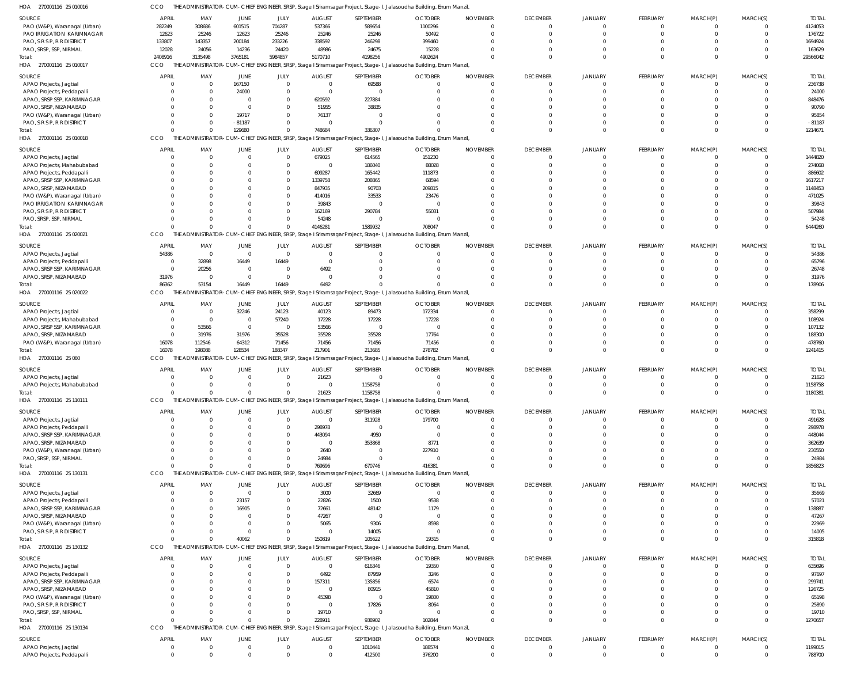| 4124053<br>PAO (W&P), Waranagal (Urban)<br>282249<br>308686<br>601515<br>704287<br>537366<br>589654<br>1100296<br>$\overline{0}$<br>$\Omega$<br>$\Omega$<br>176722<br>PAO IRRIGATION KARIMNAGAR<br>12623<br>25246<br>12623<br>25246<br>25246<br>25246<br>50492<br>$\Omega$<br>$\Omega$<br>PAO, S R S P, R R DISTRICT<br>133807<br>143357<br>200184<br>233226<br>338592<br>246298<br>399460<br>1694924<br>$\Omega$<br>PAO, SRSP, SSP, NIRMAL<br>12028<br>24056<br>14236<br>24420<br>48986<br>24675<br>15228<br>163629<br>$\Omega$<br>$\cap$<br>3765181<br>5984857<br>2408916<br>3135498<br>5170710<br>4198256<br>4902624<br>$\Omega$<br>29566042<br>$\Omega$<br>$\Omega$<br>$\Omega$<br>$\Omega$<br>$\Omega$<br>Total:<br>HOA 270001116 25 010017<br>CCO<br>THE ADMINISTRATOR-CUM-CHIEF ENGINEER, SRSP, Stage I Sriramsagar Project, Stage-I, Jalasoudha Building, Errum Manzil,<br>SEPTEMBER<br><b>OCTOBER</b><br><b>TOTAL</b><br>APRIL<br>MAY<br>JUNE<br>JULY<br><b>AUGUST</b><br><b>NOVEMBER</b><br><b>DECEMBER</b><br><b>JANUARY</b><br><b>FEBRUARY</b><br>MARCH(P)<br>MARCH(S)<br>APAO Projects, Jagtial<br>167150<br>$\overline{0}$<br>69588<br>$\overline{0}$<br>$\overline{0}$<br>236738<br>$\overline{0}$<br>$\Omega$<br>$\Omega$<br>$\mathbf 0$<br>$\cap$<br>$\cap$<br>$\Omega$<br>$\Omega$<br>24000<br>24000<br>$\overline{0}$<br>$\overline{0}$<br>APAO Projects, Peddapalli<br>$\Omega$<br>$\overline{0}$<br>$\Omega$<br>$\Omega$<br>$\Omega$<br>$\Omega$<br>APAO, SRSP SSP, KARIMNAGAR<br>620592<br>227884<br>848476<br>$\Omega$<br>$\Omega$<br>$\Omega$<br>C<br>90790<br>APAO, SRSP, NIZAMABAD<br>51955<br>38835<br>$\overline{0}$<br>$\Omega$<br>$\Omega$<br>$\Omega$<br>PAO (W&P), Waranagal (Urban)<br>19717<br>76137<br>95854<br>$\Omega$<br>$\Omega$<br>PAO, S R S P, R R DISTRICT<br>$-81187$<br>$\overline{0}$<br>$-81187$<br>$\Omega$<br>$\Omega$<br>$\cap$<br>$\Omega$<br>748684<br>129680<br>336307<br>$\Omega$<br>1214671<br>Total:<br>$\Omega$<br>$\Omega$<br>$\cap$<br>$\cap$<br>0<br>$\Omega$<br>$\Omega$<br>$\Omega$<br>THE ADMINISTRATOR-CUM-CHIEF ENGINEER, SRSP, Stage I Sriramsagar Project, Stage-I, Jalasoudha Building, Errum Manzil,<br>HOA 270001116 25 010018<br>CCO<br>APRIL<br>MAY<br><b>JUNE</b><br>JULY<br><b>AUGUST</b><br>SEPTEMBER<br><b>OCTOBER</b><br><b>NOVEMBER</b><br><b>DECEMBER</b><br><b>JANUARY</b><br><b>FEBRUARY</b><br>MARCH(P)<br>MARCH(S)<br><b>TOTAI</b><br>1444820<br>APAO Projects, Jagtial<br>679025<br>614565<br>151230<br>$\Omega$<br>$\Omega$<br>$\Omega$<br>$^{\circ}$<br>$\Omega$<br>$\Omega$<br>APAO Projects, Mahabubabad<br>186040<br>88028<br>274068<br>$\Omega$<br>$\overline{0}$<br>$\Omega$<br>$\Omega$<br>$\Omega$<br>$\Omega$<br>$\Omega$<br>$\Omega$<br>APAO Projects, Peddapalli<br>609287<br>165442<br>111873<br>886602<br>$\Omega$<br>68594<br>APAO, SRSP SSP, KARIMNAGAR<br>1339758<br>208865<br>1617217<br>$\Omega$<br>n<br>-C<br>- 0<br>1148453<br>APAO, SRSP, NIZAMABAD<br>847935<br>90703<br>209815<br>$\Omega$<br>33533<br>PAO (W&P), Waranagal (Urban)<br>414016<br>23476<br>471025<br>C<br>n<br>PAO IRRIGATION KARIMNAGAR<br>39843<br>39843<br>$\Omega$<br>$\overline{0}$<br>$\Omega$<br>290784<br>55031<br>PAO, S R S P, R R DISTRICT<br>162169<br>507984<br>C<br>$\cap$<br>PAO, SRSP, SSP, NIRMAL<br>54248<br>54248<br>$\overline{0}$<br>$\Omega$<br>$\Omega$<br>$\Omega$<br>$\Omega$<br>$\cap$<br>1589932<br>$\Omega$<br>4146281<br>708047<br>$\Omega$<br>6444260<br>$\Omega$<br>$\Omega$<br>Total:<br>THE ADMINISTRATOR-CUM-CHIEF ENGINEER, SRSP, Stage I Sriramsagar Project, Stage-I, Jalasoudha Building, Errum Manzil,<br>HOA 270001116 25 020021<br>CCO<br>APRIL<br>MAY<br>JUNE<br>JULY<br><b>AUGUST</b><br>SEPTEMBER<br><b>OCTOBER</b><br><b>NOVEMBER</b><br><b>DECEMBER</b><br><b>JANUARY</b><br><b>FEBRUARY</b><br>MARCH(P)<br>MARCH(S)<br><b>TOTAI</b><br>54386<br>APAO Projects, Jagtial<br>54386<br>$\overline{0}$<br>$\overline{0}$<br>$\overline{0}$<br>$\overline{0}$<br>$\overline{0}$<br>$\overline{0}$<br>$\Omega$<br>$\Omega$<br>$\Omega$<br>$\Omega$<br>$\Omega$<br>65796<br>32898<br>16449<br>16449<br>$\overline{0}$<br>APAO Projects, Peddapalli<br>$\Omega$<br>$\Omega$<br>$\cap$<br>- 0<br>APAO, SRSP SSP, KARIMNAGAR<br>20256<br>6492<br>26748<br>$\Omega$<br>$\overline{0}$<br>$\Omega$<br>$\Omega$<br>$\cap$<br>- 0<br>APAO, SRSP, NIZAMABAD<br>31976<br>$\overline{0}$<br>31976<br>$\overline{\mathbf{0}}$<br>$\overline{0}$<br>$\Omega$<br>$\Omega$<br>- 0<br>$\cap$<br>$\Omega$<br>6492<br>86362<br>53154<br>16449<br>16449<br>$\Omega$<br>178906<br>Total:<br>$\Omega$<br>$\cap$<br>$\cap$<br>$\Omega$<br>$\Omega$<br>$\Omega$<br>$\Omega$<br>THE ADMINISTRATOR-CUM-CHIEF ENGINEER, SRSP, Stage I Sriramsagar Project, Stage-I, Jalasoudha Building, Errum Manzil,<br>CCO<br><b>APRIL</b><br>SEPTEMBER<br><b>OCTOBER</b><br><b>NOVEMBER</b><br><b>DECEMBER</b><br>MARCH(S)<br>SOURCE<br>MAY<br>JUNE<br>JULY<br><b>AUGUST</b><br><b>JANUARY</b><br><b>FEBRUARY</b><br>MARCH(P)<br><b>TOTAL</b><br>32246<br>24123<br>40123<br>89473<br>172334<br>358299<br>APAO Projects, Jagtial<br>$\overline{0}$<br>$\Omega$<br>$\Omega$<br>$\Omega$<br>$\Omega$<br>17228<br>17228<br>APAO Projects, Mahabubabad<br>$\overline{0}$<br>57240<br>17228<br>108924<br>$\overline{0}$<br>$\Omega$<br>APAO, SRSP SSP, KARIMNAGAR<br>53566<br>53566<br>107132<br>$\overline{0}$<br>$\overline{0}$<br>$\overline{0}$<br>$\Omega$<br>$\Omega$<br>$\Omega$<br>35528<br>17764<br>APAO, SRSP, NIZAMABAD<br>31976<br>31976<br>35528<br>35528<br>188300<br>$\Omega$<br>$\Omega$<br>71456<br>478760<br>PAO (W&P), Waranagal (Urban)<br>16078<br>112546<br>64312<br>71456<br>71456<br>71456<br>$\Omega$<br>$\cap$<br>188347<br>16078<br>198088<br>128534<br>217901<br>213685<br>278782<br>$\Omega$<br>$\Omega$<br>1241415<br>$\Omega$<br>$\cap$<br>$\Omega$<br>lotal:<br>THE ADMINISTRATOR-CUM-CHIEF ENGINEER, SRSP, Stage I Sriramsagar Project, Stage-I, Jalasoudha Building, Errum Manzil,<br>CCO<br><b>OCTOBER</b><br>SOURCE<br><b>APRIL</b><br>MAY<br>JUNE<br>JULY<br><b>AUGUST</b><br>SEPTEMBER<br><b>NOVEMBER</b><br><b>DECEMBER</b><br><b>JANUARY</b><br><b>FEBRUARY</b><br>MARCH(P)<br>MARCH(S)<br><b>TOTAI</b><br>21623<br>$\overline{0}$<br>21623<br>APAO Projects, Jagtial<br>$\overline{0}$<br>$\overline{0}$<br>$\overline{0}$<br>$\Omega$<br>$\Omega$<br>$\Omega$<br>$\cap$<br>$\Omega$<br>1158758<br>APAO Projects, Mahabubabad<br>1158758<br>$\overline{0}$<br>$\Omega$<br>$\Omega$<br>$\Omega$<br>$\Omega$<br>$\cap$<br>21623<br>1158758<br>1180381<br>Total:<br>$\Omega$<br>$\Omega$<br>$\Omega$<br>$\Omega$<br>$\Omega$<br>$\cap$<br>$\cap$<br>$\Omega$<br>HOA<br>270001116 25 110111<br>CCO<br>THE ADMINISTRATOR-CUM-CHIEF ENGINEER, SRSP, Stage I Sriramsagar Project, Stage-I, Jalasoudha Building, Errum Manzil,<br><b>APRIL</b><br><b>NOVEMBER</b><br>SOURCE<br>MAY<br><b>JUNE</b><br>JULY<br><b>AUGUST</b><br>SEPTEMBER<br><b>OCTOBER</b><br><b>DECEMBER</b><br><b>JANUARY</b><br><b>FEBRUARY</b><br>MARCH(P)<br>MARCH(S)<br><b>TOTAL</b><br>APAO Projects, Jagtial<br>$\overline{0}$<br>311928<br>179700<br>491628<br>$\overline{0}$<br>$\Omega$<br>$^{\circ}$<br>$\Omega$<br>$^{\circ}$<br>$\Omega$<br>$\Omega$<br>298978<br>298978<br>APAO Projects, Peddapalli<br>$\Omega$<br>$\mathbf{0}$<br>$\overline{0}$<br>$\Omega$<br>$\Omega$<br>$\Omega$<br>$\Omega$<br>$\Omega$<br>$\Omega$<br>$\Omega$<br>4950<br>APAO, SRSP SSP, KARIMNAGAR<br>443094<br>$\overline{0}$<br>448044<br>$\Omega$<br>APAO, SRSP, NIZAMABAD<br>353868<br>8771<br>362639<br>$\overline{0}$<br>$\Omega$<br>$\cap$<br>-C<br>230550<br>PAO (W&P), Waranagal (Urban)<br>2640<br>227910<br>$\Omega$<br>$\Omega$<br>PAO, SRSP, SSP, NIRMAL<br>24984<br>24984<br>$\Omega$<br>$\Omega$<br>$\Omega$<br>$\Omega$<br>- 0<br>$\Omega$<br>$\Omega$<br>769696<br>670746<br>416381<br>$\Omega$<br>$\Omega$<br>1856823<br>Total:<br>$\Omega$<br>$\Omega$<br>$\Omega$<br>THE ADMINISTRATOR-CUM-CHIEF ENGINEER, SRSP, Stage I Sriramsagar Project, Stage-I, Jalasoudha Building, Errum Manzil,<br>HOA 270001116 25 130131<br>CCO<br>APRIL<br>MAY<br><b>JUNE</b><br>JULY<br><b>AUGUST</b><br>SEPTEMBER<br><b>OCTOBER</b><br><b>NOVEMBER</b><br><b>DECEMBER</b><br><b>JANUARY</b><br>FEBRUARY<br>MARCH(P)<br>MARCH(S)<br><b>TOTAL</b><br>$\overline{0}$<br>3000<br>32669<br>$\overline{0}$<br>35669<br>APAO Projects, Jagtial<br>$\overline{0}$<br>$^{\circ}$<br>- 0<br>$\Omega$<br>0<br>23157<br>22826<br>1500<br>9538<br>$\overline{0}$<br>57021<br>APAO Projects, Peddapalli<br>$\Omega$<br>$\Omega$<br>$\Omega$<br>$\Omega$<br>$\Omega$<br>APAO, SRSP SSP, KARIMNAGAR<br>16905<br>72661<br>48142<br>1179<br>138887<br>$\Omega$<br>$\Omega$<br>APAO, SRSP, NIZAMABAD<br>47267<br>$\overline{\mathbf{0}}$<br>47267<br>$\Omega$<br>$\Omega$<br>C<br>$\Omega$<br>PAO (W&P), Waranagal (Urban)<br>5065<br>9306<br>8598<br>22969<br>$\Omega$<br>$\cap$<br>$\Omega$<br>$\Omega$<br>- 0<br>PAO, S R S P, R R DISTRICT<br>$\overline{0}$<br>14005<br>$\overline{0}$<br>14005<br>$\Omega$<br>$\Omega$<br>$\Omega$<br>$\Omega$<br>$\Omega$<br>$\cap$<br>40062<br>150819<br>105622<br>19315<br>$\Omega$<br>$\Omega$<br>315818<br>$\Omega$<br>$\Omega$<br>$\cap$<br>$\Omega$<br>$\Omega$<br>Total:<br>$\cap$<br>HOA 270001116 25 130132<br>CCO<br>THE ADMINISTRATOR-CUM-CHIEF ENGINEER, SRSP, Stage I Sriramsagar Project, Stage-I, Jalasoudha Building, Errum Manzil,<br>APRIL<br>MAY<br>JUNE<br>JULY<br><b>AUGUST</b><br>SEPTEMBER<br><b>OCTOBER</b><br><b>NOVEMBER</b><br><b>DECEMBER</b><br>JANUARY<br><b>FEBRUARY</b><br>MARCH(P)<br>MARCH(S)<br><b>TOTAL</b><br>$\overline{\mathbf{0}}$<br>616346<br>19350<br>635696<br>APAO Projects, Jagtial<br>$\overline{0}$<br>$\overline{0}$<br>$\mathbf{0}$<br>-0<br>- 0<br>$\Omega$<br>$\Omega$<br>6492<br>87959<br>3246<br>97697<br>APAO Projects, Peddapalli<br>$\Omega$<br>$\Omega$<br>C<br>$\Omega$<br>6574<br>APAO, SRSP SSP, KARIMNAGAR<br>157311<br>135856<br>299741<br>$\Omega$<br>$\Omega$<br>-C<br>APAO, SRSP, NIZAMABAD<br>$\overline{\mathbf{0}}$<br>80915<br>45810<br>126725<br>$\cap$<br>$\Omega$<br>45398<br>PAO (W&P), Waranagal (Urban)<br>19800<br>65198<br>$\Omega$<br>$\Omega$<br>$\Omega$<br>PAO, S R S P, R R DISTRICT<br>17826<br>8064<br>25890<br>$\overline{0}$<br>$\Omega$<br>-C<br>19710<br>PAO, SRSP, SSP, NIRMAL<br>19710<br>$\Omega$<br>$\Omega$<br>$\Omega$<br>$\Omega$<br>$\Omega$<br>$\Omega$<br>228911<br>938902<br>102844<br>1270657<br>Total:<br>$\Omega$<br>$\Omega$<br>$\Omega$<br>$\cap$<br>$\Omega$<br>$\Omega$<br>$\cap$<br>HOA 270001116 25 130134<br>CCO<br>THE ADMINISTRATOR-CUM-CHIEF ENGINEER, SRSP, Stage I Sriramsagar Project, Stage-I, Jalasoudha Building, Errum Manzil,<br><b>APRIL</b><br>MAY<br><b>JUNE</b><br>JULY<br><b>AUGUST</b><br>SEPTEMBER<br><b>OCTOBER</b><br><b>NOVEMBER</b><br><b>DECEMBER</b><br><b>JANUARY</b><br>FEBRUARY<br>MARCH(P)<br>MARCH(S)<br><b>TOTAL</b><br>1010441<br>188574<br>1199015<br>APAO Projects, Jagtial<br>$\overline{0}$<br>$\overline{0}$<br>$^{\circ}$<br>$\Omega$<br>$\mathbf{0}$<br>- 0<br>$\Omega$<br>0<br>0<br>$\overline{0}$<br>$\overline{0}$<br>$\overline{0}$<br>412500<br>376200<br>$\overline{0}$<br>$\Omega$<br>$\Omega$<br>$\mathbf 0$<br>$\mathbf 0$<br>788700<br>APAO Projects, Peddapalli<br>$\Omega$<br>$\Omega$<br>$\mathbf{0}$ | SOURCE                  | <b>APRIL</b> | MAY | JUNE | JULY | <b>AUGUST</b> | SEPTEMBER | <b>OCTOBER</b> | <b>NOVEMBER</b> | <b>DECEMBER</b> | <b>JANUARY</b> | FEBRUARY | MARCH(P) | MARCH(S) | <b>TOTAL</b> |
|---------------------------------------------------------------------------------------------------------------------------------------------------------------------------------------------------------------------------------------------------------------------------------------------------------------------------------------------------------------------------------------------------------------------------------------------------------------------------------------------------------------------------------------------------------------------------------------------------------------------------------------------------------------------------------------------------------------------------------------------------------------------------------------------------------------------------------------------------------------------------------------------------------------------------------------------------------------------------------------------------------------------------------------------------------------------------------------------------------------------------------------------------------------------------------------------------------------------------------------------------------------------------------------------------------------------------------------------------------------------------------------------------------------------------------------------------------------------------------------------------------------------------------------------------------------------------------------------------------------------------------------------------------------------------------------------------------------------------------------------------------------------------------------------------------------------------------------------------------------------------------------------------------------------------------------------------------------------------------------------------------------------------------------------------------------------------------------------------------------------------------------------------------------------------------------------------------------------------------------------------------------------------------------------------------------------------------------------------------------------------------------------------------------------------------------------------------------------------------------------------------------------------------------------------------------------------------------------------------------------------------------------------------------------------------------------------------------------------------------------------------------------------------------------------------------------------------------------------------------------------------------------------------------------------------------------------------------------------------------------------------------------------------------------------------------------------------------------------------------------------------------------------------------------------------------------------------------------------------------------------------------------------------------------------------------------------------------------------------------------------------------------------------------------------------------------------------------------------------------------------------------------------------------------------------------------------------------------------------------------------------------------------------------------------------------------------------------------------------------------------------------------------------------------------------------------------------------------------------------------------------------------------------------------------------------------------------------------------------------------------------------------------------------------------------------------------------------------------------------------------------------------------------------------------------------------------------------------------------------------------------------------------------------------------------------------------------------------------------------------------------------------------------------------------------------------------------------------------------------------------------------------------------------------------------------------------------------------------------------------------------------------------------------------------------------------------------------------------------------------------------------------------------------------------------------------------------------------------------------------------------------------------------------------------------------------------------------------------------------------------------------------------------------------------------------------------------------------------------------------------------------------------------------------------------------------------------------------------------------------------------------------------------------------------------------------------------------------------------------------------------------------------------------------------------------------------------------------------------------------------------------------------------------------------------------------------------------------------------------------------------------------------------------------------------------------------------------------------------------------------------------------------------------------------------------------------------------------------------------------------------------------------------------------------------------------------------------------------------------------------------------------------------------------------------------------------------------------------------------------------------------------------------------------------------------------------------------------------------------------------------------------------------------------------------------------------------------------------------------------------------------------------------------------------------------------------------------------------------------------------------------------------------------------------------------------------------------------------------------------------------------------------------------------------------------------------------------------------------------------------------------------------------------------------------------------------------------------------------------------------------------------------------------------------------------------------------------------------------------------------------------------------------------------------------------------------------------------------------------------------------------------------------------------------------------------------------------------------------------------------------------------------------------------------------------------------------------------------------------------------------------------------------------------------------------------------------------------------------------------------------------------------------------------------------------------------------------------------------------------------------------------------------------------------------------------------------------------------------------------------------------------------------------------------------------------------------------------------------------------------------------------------------------------------------------------------------------------------------------------------------------------------------------------------------------------------------------------------------------------------------------------------------------------------------------------------------------------------------------------------------------------------------------------------------------------------------------------------------------------------------------------------------------------------------------------------------------------------------------------------------------------------------------------------------------------------------------------------------------------------------------------------------------------------------------------------------------------------------------------------------------------------------------------------------------------------------------------------------------------------------------------------------------------------------------------------------------------------------------------------------------------------------------------------------------------------------------------------------------------------------------------------------------------------------------------------------------------------------------------------------------------------------------------------------------------------------------------------------------------------------------------------------------------------------------------------------------------------------------------------------------------------------------------------------------------------------------------------------------------------------------------------------------------------------------------------------------------------------------------------------------------------------------------------------------------------------------------------------------------------------------------------------------------------------------------------------------------------------------------------------------------------------------------------------------------------------------------------------------------------------------------------------------------------------------------------------------------------------------------------------------------------------------------------------------------------------------------------------------------------------------------------------------------------------------------------------------------------------------------------------------------------------------------------------------------------------------------------------------------------------------------------------------------------------------------------------------------------------------------------------------------------------------------------------------------------------------------------------------------------------------------------------------------------------------------------------------------------------------------------------------------------------------------------------------------------------------------------------------------------------------------------------------------------------------------------------------------------------------------------------------------------------------------------------------------------------------------------------------|-------------------------|--------------|-----|------|------|---------------|-----------|----------------|-----------------|-----------------|----------------|----------|----------|----------|--------------|
|                                                                                                                                                                                                                                                                                                                                                                                                                                                                                                                                                                                                                                                                                                                                                                                                                                                                                                                                                                                                                                                                                                                                                                                                                                                                                                                                                                                                                                                                                                                                                                                                                                                                                                                                                                                                                                                                                                                                                                                                                                                                                                                                                                                                                                                                                                                                                                                                                                                                                                                                                                                                                                                                                                                                                                                                                                                                                                                                                                                                                                                                                                                                                                                                                                                                                                                                                                                                                                                                                                                                                                                                                                                                                                                                                                                                                                                                                                                                                                                                                                                                                                                                                                                                                                                                                                                                                                                                                                                                                                                                                                                                                                                                                                                                                                                                                                                                                                                                                                                                                                                                                                                                                                                                                                                                                                                                                                                                                                                                                                                                                                                                                                                                                                                                                                                                                                                                                                                                                                                                                                                                                                                                                                                                                                                                                                                                                                                                                                                                                                                                                                                                                                                                                                                                                                                                                                                                                                                                                                                                                                                                                                                                                                                                                                                                                                                                                                                                                                                                                                                                                                                                                                                                                                                                                                                                                                                                                                                                                                                                                                                                                                                                                                                                                                                                                                                                                                                                                                                                                                                                                                                                                                                                                                                                                                                                                                                                                                                                                                                                                                                                                                                                                                                                                                                                                                                                                                                                                                                                                                                                                                                                                                                                                                                                                                                                                                                                                                                                                                                                                                                                                                                                                                                                                                                                                                                                                                                                                                                                                                                                                                                                                                                                                                                                                                                                                                                                                                                                                                                                                                                                                                                                                                                                                                                                                                                                                               |                         |              |     |      |      |               |           |                |                 |                 |                |          |          |          |              |
|                                                                                                                                                                                                                                                                                                                                                                                                                                                                                                                                                                                                                                                                                                                                                                                                                                                                                                                                                                                                                                                                                                                                                                                                                                                                                                                                                                                                                                                                                                                                                                                                                                                                                                                                                                                                                                                                                                                                                                                                                                                                                                                                                                                                                                                                                                                                                                                                                                                                                                                                                                                                                                                                                                                                                                                                                                                                                                                                                                                                                                                                                                                                                                                                                                                                                                                                                                                                                                                                                                                                                                                                                                                                                                                                                                                                                                                                                                                                                                                                                                                                                                                                                                                                                                                                                                                                                                                                                                                                                                                                                                                                                                                                                                                                                                                                                                                                                                                                                                                                                                                                                                                                                                                                                                                                                                                                                                                                                                                                                                                                                                                                                                                                                                                                                                                                                                                                                                                                                                                                                                                                                                                                                                                                                                                                                                                                                                                                                                                                                                                                                                                                                                                                                                                                                                                                                                                                                                                                                                                                                                                                                                                                                                                                                                                                                                                                                                                                                                                                                                                                                                                                                                                                                                                                                                                                                                                                                                                                                                                                                                                                                                                                                                                                                                                                                                                                                                                                                                                                                                                                                                                                                                                                                                                                                                                                                                                                                                                                                                                                                                                                                                                                                                                                                                                                                                                                                                                                                                                                                                                                                                                                                                                                                                                                                                                                                                                                                                                                                                                                                                                                                                                                                                                                                                                                                                                                                                                                                                                                                                                                                                                                                                                                                                                                                                                                                                                                                                                                                                                                                                                                                                                                                                                                                                                                                                                                                               |                         |              |     |      |      |               |           |                |                 |                 |                |          |          |          |              |
|                                                                                                                                                                                                                                                                                                                                                                                                                                                                                                                                                                                                                                                                                                                                                                                                                                                                                                                                                                                                                                                                                                                                                                                                                                                                                                                                                                                                                                                                                                                                                                                                                                                                                                                                                                                                                                                                                                                                                                                                                                                                                                                                                                                                                                                                                                                                                                                                                                                                                                                                                                                                                                                                                                                                                                                                                                                                                                                                                                                                                                                                                                                                                                                                                                                                                                                                                                                                                                                                                                                                                                                                                                                                                                                                                                                                                                                                                                                                                                                                                                                                                                                                                                                                                                                                                                                                                                                                                                                                                                                                                                                                                                                                                                                                                                                                                                                                                                                                                                                                                                                                                                                                                                                                                                                                                                                                                                                                                                                                                                                                                                                                                                                                                                                                                                                                                                                                                                                                                                                                                                                                                                                                                                                                                                                                                                                                                                                                                                                                                                                                                                                                                                                                                                                                                                                                                                                                                                                                                                                                                                                                                                                                                                                                                                                                                                                                                                                                                                                                                                                                                                                                                                                                                                                                                                                                                                                                                                                                                                                                                                                                                                                                                                                                                                                                                                                                                                                                                                                                                                                                                                                                                                                                                                                                                                                                                                                                                                                                                                                                                                                                                                                                                                                                                                                                                                                                                                                                                                                                                                                                                                                                                                                                                                                                                                                                                                                                                                                                                                                                                                                                                                                                                                                                                                                                                                                                                                                                                                                                                                                                                                                                                                                                                                                                                                                                                                                                                                                                                                                                                                                                                                                                                                                                                                                                                                                                                               |                         |              |     |      |      |               |           |                |                 |                 |                |          |          |          |              |
|                                                                                                                                                                                                                                                                                                                                                                                                                                                                                                                                                                                                                                                                                                                                                                                                                                                                                                                                                                                                                                                                                                                                                                                                                                                                                                                                                                                                                                                                                                                                                                                                                                                                                                                                                                                                                                                                                                                                                                                                                                                                                                                                                                                                                                                                                                                                                                                                                                                                                                                                                                                                                                                                                                                                                                                                                                                                                                                                                                                                                                                                                                                                                                                                                                                                                                                                                                                                                                                                                                                                                                                                                                                                                                                                                                                                                                                                                                                                                                                                                                                                                                                                                                                                                                                                                                                                                                                                                                                                                                                                                                                                                                                                                                                                                                                                                                                                                                                                                                                                                                                                                                                                                                                                                                                                                                                                                                                                                                                                                                                                                                                                                                                                                                                                                                                                                                                                                                                                                                                                                                                                                                                                                                                                                                                                                                                                                                                                                                                                                                                                                                                                                                                                                                                                                                                                                                                                                                                                                                                                                                                                                                                                                                                                                                                                                                                                                                                                                                                                                                                                                                                                                                                                                                                                                                                                                                                                                                                                                                                                                                                                                                                                                                                                                                                                                                                                                                                                                                                                                                                                                                                                                                                                                                                                                                                                                                                                                                                                                                                                                                                                                                                                                                                                                                                                                                                                                                                                                                                                                                                                                                                                                                                                                                                                                                                                                                                                                                                                                                                                                                                                                                                                                                                                                                                                                                                                                                                                                                                                                                                                                                                                                                                                                                                                                                                                                                                                                                                                                                                                                                                                                                                                                                                                                                                                                                                                                               |                         |              |     |      |      |               |           |                |                 |                 |                |          |          |          |              |
|                                                                                                                                                                                                                                                                                                                                                                                                                                                                                                                                                                                                                                                                                                                                                                                                                                                                                                                                                                                                                                                                                                                                                                                                                                                                                                                                                                                                                                                                                                                                                                                                                                                                                                                                                                                                                                                                                                                                                                                                                                                                                                                                                                                                                                                                                                                                                                                                                                                                                                                                                                                                                                                                                                                                                                                                                                                                                                                                                                                                                                                                                                                                                                                                                                                                                                                                                                                                                                                                                                                                                                                                                                                                                                                                                                                                                                                                                                                                                                                                                                                                                                                                                                                                                                                                                                                                                                                                                                                                                                                                                                                                                                                                                                                                                                                                                                                                                                                                                                                                                                                                                                                                                                                                                                                                                                                                                                                                                                                                                                                                                                                                                                                                                                                                                                                                                                                                                                                                                                                                                                                                                                                                                                                                                                                                                                                                                                                                                                                                                                                                                                                                                                                                                                                                                                                                                                                                                                                                                                                                                                                                                                                                                                                                                                                                                                                                                                                                                                                                                                                                                                                                                                                                                                                                                                                                                                                                                                                                                                                                                                                                                                                                                                                                                                                                                                                                                                                                                                                                                                                                                                                                                                                                                                                                                                                                                                                                                                                                                                                                                                                                                                                                                                                                                                                                                                                                                                                                                                                                                                                                                                                                                                                                                                                                                                                                                                                                                                                                                                                                                                                                                                                                                                                                                                                                                                                                                                                                                                                                                                                                                                                                                                                                                                                                                                                                                                                                                                                                                                                                                                                                                                                                                                                                                                                                                                                                                               |                         |              |     |      |      |               |           |                |                 |                 |                |          |          |          |              |
|                                                                                                                                                                                                                                                                                                                                                                                                                                                                                                                                                                                                                                                                                                                                                                                                                                                                                                                                                                                                                                                                                                                                                                                                                                                                                                                                                                                                                                                                                                                                                                                                                                                                                                                                                                                                                                                                                                                                                                                                                                                                                                                                                                                                                                                                                                                                                                                                                                                                                                                                                                                                                                                                                                                                                                                                                                                                                                                                                                                                                                                                                                                                                                                                                                                                                                                                                                                                                                                                                                                                                                                                                                                                                                                                                                                                                                                                                                                                                                                                                                                                                                                                                                                                                                                                                                                                                                                                                                                                                                                                                                                                                                                                                                                                                                                                                                                                                                                                                                                                                                                                                                                                                                                                                                                                                                                                                                                                                                                                                                                                                                                                                                                                                                                                                                                                                                                                                                                                                                                                                                                                                                                                                                                                                                                                                                                                                                                                                                                                                                                                                                                                                                                                                                                                                                                                                                                                                                                                                                                                                                                                                                                                                                                                                                                                                                                                                                                                                                                                                                                                                                                                                                                                                                                                                                                                                                                                                                                                                                                                                                                                                                                                                                                                                                                                                                                                                                                                                                                                                                                                                                                                                                                                                                                                                                                                                                                                                                                                                                                                                                                                                                                                                                                                                                                                                                                                                                                                                                                                                                                                                                                                                                                                                                                                                                                                                                                                                                                                                                                                                                                                                                                                                                                                                                                                                                                                                                                                                                                                                                                                                                                                                                                                                                                                                                                                                                                                                                                                                                                                                                                                                                                                                                                                                                                                                                                                                               |                         |              |     |      |      |               |           |                |                 |                 |                |          |          |          |              |
|                                                                                                                                                                                                                                                                                                                                                                                                                                                                                                                                                                                                                                                                                                                                                                                                                                                                                                                                                                                                                                                                                                                                                                                                                                                                                                                                                                                                                                                                                                                                                                                                                                                                                                                                                                                                                                                                                                                                                                                                                                                                                                                                                                                                                                                                                                                                                                                                                                                                                                                                                                                                                                                                                                                                                                                                                                                                                                                                                                                                                                                                                                                                                                                                                                                                                                                                                                                                                                                                                                                                                                                                                                                                                                                                                                                                                                                                                                                                                                                                                                                                                                                                                                                                                                                                                                                                                                                                                                                                                                                                                                                                                                                                                                                                                                                                                                                                                                                                                                                                                                                                                                                                                                                                                                                                                                                                                                                                                                                                                                                                                                                                                                                                                                                                                                                                                                                                                                                                                                                                                                                                                                                                                                                                                                                                                                                                                                                                                                                                                                                                                                                                                                                                                                                                                                                                                                                                                                                                                                                                                                                                                                                                                                                                                                                                                                                                                                                                                                                                                                                                                                                                                                                                                                                                                                                                                                                                                                                                                                                                                                                                                                                                                                                                                                                                                                                                                                                                                                                                                                                                                                                                                                                                                                                                                                                                                                                                                                                                                                                                                                                                                                                                                                                                                                                                                                                                                                                                                                                                                                                                                                                                                                                                                                                                                                                                                                                                                                                                                                                                                                                                                                                                                                                                                                                                                                                                                                                                                                                                                                                                                                                                                                                                                                                                                                                                                                                                                                                                                                                                                                                                                                                                                                                                                                                                                                                                                               | SOURCE                  |              |     |      |      |               |           |                |                 |                 |                |          |          |          |              |
|                                                                                                                                                                                                                                                                                                                                                                                                                                                                                                                                                                                                                                                                                                                                                                                                                                                                                                                                                                                                                                                                                                                                                                                                                                                                                                                                                                                                                                                                                                                                                                                                                                                                                                                                                                                                                                                                                                                                                                                                                                                                                                                                                                                                                                                                                                                                                                                                                                                                                                                                                                                                                                                                                                                                                                                                                                                                                                                                                                                                                                                                                                                                                                                                                                                                                                                                                                                                                                                                                                                                                                                                                                                                                                                                                                                                                                                                                                                                                                                                                                                                                                                                                                                                                                                                                                                                                                                                                                                                                                                                                                                                                                                                                                                                                                                                                                                                                                                                                                                                                                                                                                                                                                                                                                                                                                                                                                                                                                                                                                                                                                                                                                                                                                                                                                                                                                                                                                                                                                                                                                                                                                                                                                                                                                                                                                                                                                                                                                                                                                                                                                                                                                                                                                                                                                                                                                                                                                                                                                                                                                                                                                                                                                                                                                                                                                                                                                                                                                                                                                                                                                                                                                                                                                                                                                                                                                                                                                                                                                                                                                                                                                                                                                                                                                                                                                                                                                                                                                                                                                                                                                                                                                                                                                                                                                                                                                                                                                                                                                                                                                                                                                                                                                                                                                                                                                                                                                                                                                                                                                                                                                                                                                                                                                                                                                                                                                                                                                                                                                                                                                                                                                                                                                                                                                                                                                                                                                                                                                                                                                                                                                                                                                                                                                                                                                                                                                                                                                                                                                                                                                                                                                                                                                                                                                                                                                                                                               |                         |              |     |      |      |               |           |                |                 |                 |                |          |          |          |              |
|                                                                                                                                                                                                                                                                                                                                                                                                                                                                                                                                                                                                                                                                                                                                                                                                                                                                                                                                                                                                                                                                                                                                                                                                                                                                                                                                                                                                                                                                                                                                                                                                                                                                                                                                                                                                                                                                                                                                                                                                                                                                                                                                                                                                                                                                                                                                                                                                                                                                                                                                                                                                                                                                                                                                                                                                                                                                                                                                                                                                                                                                                                                                                                                                                                                                                                                                                                                                                                                                                                                                                                                                                                                                                                                                                                                                                                                                                                                                                                                                                                                                                                                                                                                                                                                                                                                                                                                                                                                                                                                                                                                                                                                                                                                                                                                                                                                                                                                                                                                                                                                                                                                                                                                                                                                                                                                                                                                                                                                                                                                                                                                                                                                                                                                                                                                                                                                                                                                                                                                                                                                                                                                                                                                                                                                                                                                                                                                                                                                                                                                                                                                                                                                                                                                                                                                                                                                                                                                                                                                                                                                                                                                                                                                                                                                                                                                                                                                                                                                                                                                                                                                                                                                                                                                                                                                                                                                                                                                                                                                                                                                                                                                                                                                                                                                                                                                                                                                                                                                                                                                                                                                                                                                                                                                                                                                                                                                                                                                                                                                                                                                                                                                                                                                                                                                                                                                                                                                                                                                                                                                                                                                                                                                                                                                                                                                                                                                                                                                                                                                                                                                                                                                                                                                                                                                                                                                                                                                                                                                                                                                                                                                                                                                                                                                                                                                                                                                                                                                                                                                                                                                                                                                                                                                                                                                                                                                                                               |                         |              |     |      |      |               |           |                |                 |                 |                |          |          |          |              |
|                                                                                                                                                                                                                                                                                                                                                                                                                                                                                                                                                                                                                                                                                                                                                                                                                                                                                                                                                                                                                                                                                                                                                                                                                                                                                                                                                                                                                                                                                                                                                                                                                                                                                                                                                                                                                                                                                                                                                                                                                                                                                                                                                                                                                                                                                                                                                                                                                                                                                                                                                                                                                                                                                                                                                                                                                                                                                                                                                                                                                                                                                                                                                                                                                                                                                                                                                                                                                                                                                                                                                                                                                                                                                                                                                                                                                                                                                                                                                                                                                                                                                                                                                                                                                                                                                                                                                                                                                                                                                                                                                                                                                                                                                                                                                                                                                                                                                                                                                                                                                                                                                                                                                                                                                                                                                                                                                                                                                                                                                                                                                                                                                                                                                                                                                                                                                                                                                                                                                                                                                                                                                                                                                                                                                                                                                                                                                                                                                                                                                                                                                                                                                                                                                                                                                                                                                                                                                                                                                                                                                                                                                                                                                                                                                                                                                                                                                                                                                                                                                                                                                                                                                                                                                                                                                                                                                                                                                                                                                                                                                                                                                                                                                                                                                                                                                                                                                                                                                                                                                                                                                                                                                                                                                                                                                                                                                                                                                                                                                                                                                                                                                                                                                                                                                                                                                                                                                                                                                                                                                                                                                                                                                                                                                                                                                                                                                                                                                                                                                                                                                                                                                                                                                                                                                                                                                                                                                                                                                                                                                                                                                                                                                                                                                                                                                                                                                                                                                                                                                                                                                                                                                                                                                                                                                                                                                                                                                               |                         |              |     |      |      |               |           |                |                 |                 |                |          |          |          |              |
|                                                                                                                                                                                                                                                                                                                                                                                                                                                                                                                                                                                                                                                                                                                                                                                                                                                                                                                                                                                                                                                                                                                                                                                                                                                                                                                                                                                                                                                                                                                                                                                                                                                                                                                                                                                                                                                                                                                                                                                                                                                                                                                                                                                                                                                                                                                                                                                                                                                                                                                                                                                                                                                                                                                                                                                                                                                                                                                                                                                                                                                                                                                                                                                                                                                                                                                                                                                                                                                                                                                                                                                                                                                                                                                                                                                                                                                                                                                                                                                                                                                                                                                                                                                                                                                                                                                                                                                                                                                                                                                                                                                                                                                                                                                                                                                                                                                                                                                                                                                                                                                                                                                                                                                                                                                                                                                                                                                                                                                                                                                                                                                                                                                                                                                                                                                                                                                                                                                                                                                                                                                                                                                                                                                                                                                                                                                                                                                                                                                                                                                                                                                                                                                                                                                                                                                                                                                                                                                                                                                                                                                                                                                                                                                                                                                                                                                                                                                                                                                                                                                                                                                                                                                                                                                                                                                                                                                                                                                                                                                                                                                                                                                                                                                                                                                                                                                                                                                                                                                                                                                                                                                                                                                                                                                                                                                                                                                                                                                                                                                                                                                                                                                                                                                                                                                                                                                                                                                                                                                                                                                                                                                                                                                                                                                                                                                                                                                                                                                                                                                                                                                                                                                                                                                                                                                                                                                                                                                                                                                                                                                                                                                                                                                                                                                                                                                                                                                                                                                                                                                                                                                                                                                                                                                                                                                                                                                                                               |                         |              |     |      |      |               |           |                |                 |                 |                |          |          |          |              |
|                                                                                                                                                                                                                                                                                                                                                                                                                                                                                                                                                                                                                                                                                                                                                                                                                                                                                                                                                                                                                                                                                                                                                                                                                                                                                                                                                                                                                                                                                                                                                                                                                                                                                                                                                                                                                                                                                                                                                                                                                                                                                                                                                                                                                                                                                                                                                                                                                                                                                                                                                                                                                                                                                                                                                                                                                                                                                                                                                                                                                                                                                                                                                                                                                                                                                                                                                                                                                                                                                                                                                                                                                                                                                                                                                                                                                                                                                                                                                                                                                                                                                                                                                                                                                                                                                                                                                                                                                                                                                                                                                                                                                                                                                                                                                                                                                                                                                                                                                                                                                                                                                                                                                                                                                                                                                                                                                                                                                                                                                                                                                                                                                                                                                                                                                                                                                                                                                                                                                                                                                                                                                                                                                                                                                                                                                                                                                                                                                                                                                                                                                                                                                                                                                                                                                                                                                                                                                                                                                                                                                                                                                                                                                                                                                                                                                                                                                                                                                                                                                                                                                                                                                                                                                                                                                                                                                                                                                                                                                                                                                                                                                                                                                                                                                                                                                                                                                                                                                                                                                                                                                                                                                                                                                                                                                                                                                                                                                                                                                                                                                                                                                                                                                                                                                                                                                                                                                                                                                                                                                                                                                                                                                                                                                                                                                                                                                                                                                                                                                                                                                                                                                                                                                                                                                                                                                                                                                                                                                                                                                                                                                                                                                                                                                                                                                                                                                                                                                                                                                                                                                                                                                                                                                                                                                                                                                                                                                               |                         |              |     |      |      |               |           |                |                 |                 |                |          |          |          |              |
|                                                                                                                                                                                                                                                                                                                                                                                                                                                                                                                                                                                                                                                                                                                                                                                                                                                                                                                                                                                                                                                                                                                                                                                                                                                                                                                                                                                                                                                                                                                                                                                                                                                                                                                                                                                                                                                                                                                                                                                                                                                                                                                                                                                                                                                                                                                                                                                                                                                                                                                                                                                                                                                                                                                                                                                                                                                                                                                                                                                                                                                                                                                                                                                                                                                                                                                                                                                                                                                                                                                                                                                                                                                                                                                                                                                                                                                                                                                                                                                                                                                                                                                                                                                                                                                                                                                                                                                                                                                                                                                                                                                                                                                                                                                                                                                                                                                                                                                                                                                                                                                                                                                                                                                                                                                                                                                                                                                                                                                                                                                                                                                                                                                                                                                                                                                                                                                                                                                                                                                                                                                                                                                                                                                                                                                                                                                                                                                                                                                                                                                                                                                                                                                                                                                                                                                                                                                                                                                                                                                                                                                                                                                                                                                                                                                                                                                                                                                                                                                                                                                                                                                                                                                                                                                                                                                                                                                                                                                                                                                                                                                                                                                                                                                                                                                                                                                                                                                                                                                                                                                                                                                                                                                                                                                                                                                                                                                                                                                                                                                                                                                                                                                                                                                                                                                                                                                                                                                                                                                                                                                                                                                                                                                                                                                                                                                                                                                                                                                                                                                                                                                                                                                                                                                                                                                                                                                                                                                                                                                                                                                                                                                                                                                                                                                                                                                                                                                                                                                                                                                                                                                                                                                                                                                                                                                                                                                                                               |                         |              |     |      |      |               |           |                |                 |                 |                |          |          |          |              |
|                                                                                                                                                                                                                                                                                                                                                                                                                                                                                                                                                                                                                                                                                                                                                                                                                                                                                                                                                                                                                                                                                                                                                                                                                                                                                                                                                                                                                                                                                                                                                                                                                                                                                                                                                                                                                                                                                                                                                                                                                                                                                                                                                                                                                                                                                                                                                                                                                                                                                                                                                                                                                                                                                                                                                                                                                                                                                                                                                                                                                                                                                                                                                                                                                                                                                                                                                                                                                                                                                                                                                                                                                                                                                                                                                                                                                                                                                                                                                                                                                                                                                                                                                                                                                                                                                                                                                                                                                                                                                                                                                                                                                                                                                                                                                                                                                                                                                                                                                                                                                                                                                                                                                                                                                                                                                                                                                                                                                                                                                                                                                                                                                                                                                                                                                                                                                                                                                                                                                                                                                                                                                                                                                                                                                                                                                                                                                                                                                                                                                                                                                                                                                                                                                                                                                                                                                                                                                                                                                                                                                                                                                                                                                                                                                                                                                                                                                                                                                                                                                                                                                                                                                                                                                                                                                                                                                                                                                                                                                                                                                                                                                                                                                                                                                                                                                                                                                                                                                                                                                                                                                                                                                                                                                                                                                                                                                                                                                                                                                                                                                                                                                                                                                                                                                                                                                                                                                                                                                                                                                                                                                                                                                                                                                                                                                                                                                                                                                                                                                                                                                                                                                                                                                                                                                                                                                                                                                                                                                                                                                                                                                                                                                                                                                                                                                                                                                                                                                                                                                                                                                                                                                                                                                                                                                                                                                                                                                               |                         |              |     |      |      |               |           |                |                 |                 |                |          |          |          |              |
|                                                                                                                                                                                                                                                                                                                                                                                                                                                                                                                                                                                                                                                                                                                                                                                                                                                                                                                                                                                                                                                                                                                                                                                                                                                                                                                                                                                                                                                                                                                                                                                                                                                                                                                                                                                                                                                                                                                                                                                                                                                                                                                                                                                                                                                                                                                                                                                                                                                                                                                                                                                                                                                                                                                                                                                                                                                                                                                                                                                                                                                                                                                                                                                                                                                                                                                                                                                                                                                                                                                                                                                                                                                                                                                                                                                                                                                                                                                                                                                                                                                                                                                                                                                                                                                                                                                                                                                                                                                                                                                                                                                                                                                                                                                                                                                                                                                                                                                                                                                                                                                                                                                                                                                                                                                                                                                                                                                                                                                                                                                                                                                                                                                                                                                                                                                                                                                                                                                                                                                                                                                                                                                                                                                                                                                                                                                                                                                                                                                                                                                                                                                                                                                                                                                                                                                                                                                                                                                                                                                                                                                                                                                                                                                                                                                                                                                                                                                                                                                                                                                                                                                                                                                                                                                                                                                                                                                                                                                                                                                                                                                                                                                                                                                                                                                                                                                                                                                                                                                                                                                                                                                                                                                                                                                                                                                                                                                                                                                                                                                                                                                                                                                                                                                                                                                                                                                                                                                                                                                                                                                                                                                                                                                                                                                                                                                                                                                                                                                                                                                                                                                                                                                                                                                                                                                                                                                                                                                                                                                                                                                                                                                                                                                                                                                                                                                                                                                                                                                                                                                                                                                                                                                                                                                                                                                                                                                                                               |                         |              |     |      |      |               |           |                |                 |                 |                |          |          |          |              |
|                                                                                                                                                                                                                                                                                                                                                                                                                                                                                                                                                                                                                                                                                                                                                                                                                                                                                                                                                                                                                                                                                                                                                                                                                                                                                                                                                                                                                                                                                                                                                                                                                                                                                                                                                                                                                                                                                                                                                                                                                                                                                                                                                                                                                                                                                                                                                                                                                                                                                                                                                                                                                                                                                                                                                                                                                                                                                                                                                                                                                                                                                                                                                                                                                                                                                                                                                                                                                                                                                                                                                                                                                                                                                                                                                                                                                                                                                                                                                                                                                                                                                                                                                                                                                                                                                                                                                                                                                                                                                                                                                                                                                                                                                                                                                                                                                                                                                                                                                                                                                                                                                                                                                                                                                                                                                                                                                                                                                                                                                                                                                                                                                                                                                                                                                                                                                                                                                                                                                                                                                                                                                                                                                                                                                                                                                                                                                                                                                                                                                                                                                                                                                                                                                                                                                                                                                                                                                                                                                                                                                                                                                                                                                                                                                                                                                                                                                                                                                                                                                                                                                                                                                                                                                                                                                                                                                                                                                                                                                                                                                                                                                                                                                                                                                                                                                                                                                                                                                                                                                                                                                                                                                                                                                                                                                                                                                                                                                                                                                                                                                                                                                                                                                                                                                                                                                                                                                                                                                                                                                                                                                                                                                                                                                                                                                                                                                                                                                                                                                                                                                                                                                                                                                                                                                                                                                                                                                                                                                                                                                                                                                                                                                                                                                                                                                                                                                                                                                                                                                                                                                                                                                                                                                                                                                                                                                                                                                               | SOURCE                  |              |     |      |      |               |           |                |                 |                 |                |          |          |          |              |
|                                                                                                                                                                                                                                                                                                                                                                                                                                                                                                                                                                                                                                                                                                                                                                                                                                                                                                                                                                                                                                                                                                                                                                                                                                                                                                                                                                                                                                                                                                                                                                                                                                                                                                                                                                                                                                                                                                                                                                                                                                                                                                                                                                                                                                                                                                                                                                                                                                                                                                                                                                                                                                                                                                                                                                                                                                                                                                                                                                                                                                                                                                                                                                                                                                                                                                                                                                                                                                                                                                                                                                                                                                                                                                                                                                                                                                                                                                                                                                                                                                                                                                                                                                                                                                                                                                                                                                                                                                                                                                                                                                                                                                                                                                                                                                                                                                                                                                                                                                                                                                                                                                                                                                                                                                                                                                                                                                                                                                                                                                                                                                                                                                                                                                                                                                                                                                                                                                                                                                                                                                                                                                                                                                                                                                                                                                                                                                                                                                                                                                                                                                                                                                                                                                                                                                                                                                                                                                                                                                                                                                                                                                                                                                                                                                                                                                                                                                                                                                                                                                                                                                                                                                                                                                                                                                                                                                                                                                                                                                                                                                                                                                                                                                                                                                                                                                                                                                                                                                                                                                                                                                                                                                                                                                                                                                                                                                                                                                                                                                                                                                                                                                                                                                                                                                                                                                                                                                                                                                                                                                                                                                                                                                                                                                                                                                                                                                                                                                                                                                                                                                                                                                                                                                                                                                                                                                                                                                                                                                                                                                                                                                                                                                                                                                                                                                                                                                                                                                                                                                                                                                                                                                                                                                                                                                                                                                                                                               |                         |              |     |      |      |               |           |                |                 |                 |                |          |          |          |              |
|                                                                                                                                                                                                                                                                                                                                                                                                                                                                                                                                                                                                                                                                                                                                                                                                                                                                                                                                                                                                                                                                                                                                                                                                                                                                                                                                                                                                                                                                                                                                                                                                                                                                                                                                                                                                                                                                                                                                                                                                                                                                                                                                                                                                                                                                                                                                                                                                                                                                                                                                                                                                                                                                                                                                                                                                                                                                                                                                                                                                                                                                                                                                                                                                                                                                                                                                                                                                                                                                                                                                                                                                                                                                                                                                                                                                                                                                                                                                                                                                                                                                                                                                                                                                                                                                                                                                                                                                                                                                                                                                                                                                                                                                                                                                                                                                                                                                                                                                                                                                                                                                                                                                                                                                                                                                                                                                                                                                                                                                                                                                                                                                                                                                                                                                                                                                                                                                                                                                                                                                                                                                                                                                                                                                                                                                                                                                                                                                                                                                                                                                                                                                                                                                                                                                                                                                                                                                                                                                                                                                                                                                                                                                                                                                                                                                                                                                                                                                                                                                                                                                                                                                                                                                                                                                                                                                                                                                                                                                                                                                                                                                                                                                                                                                                                                                                                                                                                                                                                                                                                                                                                                                                                                                                                                                                                                                                                                                                                                                                                                                                                                                                                                                                                                                                                                                                                                                                                                                                                                                                                                                                                                                                                                                                                                                                                                                                                                                                                                                                                                                                                                                                                                                                                                                                                                                                                                                                                                                                                                                                                                                                                                                                                                                                                                                                                                                                                                                                                                                                                                                                                                                                                                                                                                                                                                                                                                                                               |                         |              |     |      |      |               |           |                |                 |                 |                |          |          |          |              |
|                                                                                                                                                                                                                                                                                                                                                                                                                                                                                                                                                                                                                                                                                                                                                                                                                                                                                                                                                                                                                                                                                                                                                                                                                                                                                                                                                                                                                                                                                                                                                                                                                                                                                                                                                                                                                                                                                                                                                                                                                                                                                                                                                                                                                                                                                                                                                                                                                                                                                                                                                                                                                                                                                                                                                                                                                                                                                                                                                                                                                                                                                                                                                                                                                                                                                                                                                                                                                                                                                                                                                                                                                                                                                                                                                                                                                                                                                                                                                                                                                                                                                                                                                                                                                                                                                                                                                                                                                                                                                                                                                                                                                                                                                                                                                                                                                                                                                                                                                                                                                                                                                                                                                                                                                                                                                                                                                                                                                                                                                                                                                                                                                                                                                                                                                                                                                                                                                                                                                                                                                                                                                                                                                                                                                                                                                                                                                                                                                                                                                                                                                                                                                                                                                                                                                                                                                                                                                                                                                                                                                                                                                                                                                                                                                                                                                                                                                                                                                                                                                                                                                                                                                                                                                                                                                                                                                                                                                                                                                                                                                                                                                                                                                                                                                                                                                                                                                                                                                                                                                                                                                                                                                                                                                                                                                                                                                                                                                                                                                                                                                                                                                                                                                                                                                                                                                                                                                                                                                                                                                                                                                                                                                                                                                                                                                                                                                                                                                                                                                                                                                                                                                                                                                                                                                                                                                                                                                                                                                                                                                                                                                                                                                                                                                                                                                                                                                                                                                                                                                                                                                                                                                                                                                                                                                                                                                                                                                               |                         |              |     |      |      |               |           |                |                 |                 |                |          |          |          |              |
|                                                                                                                                                                                                                                                                                                                                                                                                                                                                                                                                                                                                                                                                                                                                                                                                                                                                                                                                                                                                                                                                                                                                                                                                                                                                                                                                                                                                                                                                                                                                                                                                                                                                                                                                                                                                                                                                                                                                                                                                                                                                                                                                                                                                                                                                                                                                                                                                                                                                                                                                                                                                                                                                                                                                                                                                                                                                                                                                                                                                                                                                                                                                                                                                                                                                                                                                                                                                                                                                                                                                                                                                                                                                                                                                                                                                                                                                                                                                                                                                                                                                                                                                                                                                                                                                                                                                                                                                                                                                                                                                                                                                                                                                                                                                                                                                                                                                                                                                                                                                                                                                                                                                                                                                                                                                                                                                                                                                                                                                                                                                                                                                                                                                                                                                                                                                                                                                                                                                                                                                                                                                                                                                                                                                                                                                                                                                                                                                                                                                                                                                                                                                                                                                                                                                                                                                                                                                                                                                                                                                                                                                                                                                                                                                                                                                                                                                                                                                                                                                                                                                                                                                                                                                                                                                                                                                                                                                                                                                                                                                                                                                                                                                                                                                                                                                                                                                                                                                                                                                                                                                                                                                                                                                                                                                                                                                                                                                                                                                                                                                                                                                                                                                                                                                                                                                                                                                                                                                                                                                                                                                                                                                                                                                                                                                                                                                                                                                                                                                                                                                                                                                                                                                                                                                                                                                                                                                                                                                                                                                                                                                                                                                                                                                                                                                                                                                                                                                                                                                                                                                                                                                                                                                                                                                                                                                                                                                                               |                         |              |     |      |      |               |           |                |                 |                 |                |          |          |          |              |
|                                                                                                                                                                                                                                                                                                                                                                                                                                                                                                                                                                                                                                                                                                                                                                                                                                                                                                                                                                                                                                                                                                                                                                                                                                                                                                                                                                                                                                                                                                                                                                                                                                                                                                                                                                                                                                                                                                                                                                                                                                                                                                                                                                                                                                                                                                                                                                                                                                                                                                                                                                                                                                                                                                                                                                                                                                                                                                                                                                                                                                                                                                                                                                                                                                                                                                                                                                                                                                                                                                                                                                                                                                                                                                                                                                                                                                                                                                                                                                                                                                                                                                                                                                                                                                                                                                                                                                                                                                                                                                                                                                                                                                                                                                                                                                                                                                                                                                                                                                                                                                                                                                                                                                                                                                                                                                                                                                                                                                                                                                                                                                                                                                                                                                                                                                                                                                                                                                                                                                                                                                                                                                                                                                                                                                                                                                                                                                                                                                                                                                                                                                                                                                                                                                                                                                                                                                                                                                                                                                                                                                                                                                                                                                                                                                                                                                                                                                                                                                                                                                                                                                                                                                                                                                                                                                                                                                                                                                                                                                                                                                                                                                                                                                                                                                                                                                                                                                                                                                                                                                                                                                                                                                                                                                                                                                                                                                                                                                                                                                                                                                                                                                                                                                                                                                                                                                                                                                                                                                                                                                                                                                                                                                                                                                                                                                                                                                                                                                                                                                                                                                                                                                                                                                                                                                                                                                                                                                                                                                                                                                                                                                                                                                                                                                                                                                                                                                                                                                                                                                                                                                                                                                                                                                                                                                                                                                                                                               |                         |              |     |      |      |               |           |                |                 |                 |                |          |          |          |              |
|                                                                                                                                                                                                                                                                                                                                                                                                                                                                                                                                                                                                                                                                                                                                                                                                                                                                                                                                                                                                                                                                                                                                                                                                                                                                                                                                                                                                                                                                                                                                                                                                                                                                                                                                                                                                                                                                                                                                                                                                                                                                                                                                                                                                                                                                                                                                                                                                                                                                                                                                                                                                                                                                                                                                                                                                                                                                                                                                                                                                                                                                                                                                                                                                                                                                                                                                                                                                                                                                                                                                                                                                                                                                                                                                                                                                                                                                                                                                                                                                                                                                                                                                                                                                                                                                                                                                                                                                                                                                                                                                                                                                                                                                                                                                                                                                                                                                                                                                                                                                                                                                                                                                                                                                                                                                                                                                                                                                                                                                                                                                                                                                                                                                                                                                                                                                                                                                                                                                                                                                                                                                                                                                                                                                                                                                                                                                                                                                                                                                                                                                                                                                                                                                                                                                                                                                                                                                                                                                                                                                                                                                                                                                                                                                                                                                                                                                                                                                                                                                                                                                                                                                                                                                                                                                                                                                                                                                                                                                                                                                                                                                                                                                                                                                                                                                                                                                                                                                                                                                                                                                                                                                                                                                                                                                                                                                                                                                                                                                                                                                                                                                                                                                                                                                                                                                                                                                                                                                                                                                                                                                                                                                                                                                                                                                                                                                                                                                                                                                                                                                                                                                                                                                                                                                                                                                                                                                                                                                                                                                                                                                                                                                                                                                                                                                                                                                                                                                                                                                                                                                                                                                                                                                                                                                                                                                                                                                                               |                         |              |     |      |      |               |           |                |                 |                 |                |          |          |          |              |
|                                                                                                                                                                                                                                                                                                                                                                                                                                                                                                                                                                                                                                                                                                                                                                                                                                                                                                                                                                                                                                                                                                                                                                                                                                                                                                                                                                                                                                                                                                                                                                                                                                                                                                                                                                                                                                                                                                                                                                                                                                                                                                                                                                                                                                                                                                                                                                                                                                                                                                                                                                                                                                                                                                                                                                                                                                                                                                                                                                                                                                                                                                                                                                                                                                                                                                                                                                                                                                                                                                                                                                                                                                                                                                                                                                                                                                                                                                                                                                                                                                                                                                                                                                                                                                                                                                                                                                                                                                                                                                                                                                                                                                                                                                                                                                                                                                                                                                                                                                                                                                                                                                                                                                                                                                                                                                                                                                                                                                                                                                                                                                                                                                                                                                                                                                                                                                                                                                                                                                                                                                                                                                                                                                                                                                                                                                                                                                                                                                                                                                                                                                                                                                                                                                                                                                                                                                                                                                                                                                                                                                                                                                                                                                                                                                                                                                                                                                                                                                                                                                                                                                                                                                                                                                                                                                                                                                                                                                                                                                                                                                                                                                                                                                                                                                                                                                                                                                                                                                                                                                                                                                                                                                                                                                                                                                                                                                                                                                                                                                                                                                                                                                                                                                                                                                                                                                                                                                                                                                                                                                                                                                                                                                                                                                                                                                                                                                                                                                                                                                                                                                                                                                                                                                                                                                                                                                                                                                                                                                                                                                                                                                                                                                                                                                                                                                                                                                                                                                                                                                                                                                                                                                                                                                                                                                                                                                                                                               |                         |              |     |      |      |               |           |                |                 |                 |                |          |          |          |              |
|                                                                                                                                                                                                                                                                                                                                                                                                                                                                                                                                                                                                                                                                                                                                                                                                                                                                                                                                                                                                                                                                                                                                                                                                                                                                                                                                                                                                                                                                                                                                                                                                                                                                                                                                                                                                                                                                                                                                                                                                                                                                                                                                                                                                                                                                                                                                                                                                                                                                                                                                                                                                                                                                                                                                                                                                                                                                                                                                                                                                                                                                                                                                                                                                                                                                                                                                                                                                                                                                                                                                                                                                                                                                                                                                                                                                                                                                                                                                                                                                                                                                                                                                                                                                                                                                                                                                                                                                                                                                                                                                                                                                                                                                                                                                                                                                                                                                                                                                                                                                                                                                                                                                                                                                                                                                                                                                                                                                                                                                                                                                                                                                                                                                                                                                                                                                                                                                                                                                                                                                                                                                                                                                                                                                                                                                                                                                                                                                                                                                                                                                                                                                                                                                                                                                                                                                                                                                                                                                                                                                                                                                                                                                                                                                                                                                                                                                                                                                                                                                                                                                                                                                                                                                                                                                                                                                                                                                                                                                                                                                                                                                                                                                                                                                                                                                                                                                                                                                                                                                                                                                                                                                                                                                                                                                                                                                                                                                                                                                                                                                                                                                                                                                                                                                                                                                                                                                                                                                                                                                                                                                                                                                                                                                                                                                                                                                                                                                                                                                                                                                                                                                                                                                                                                                                                                                                                                                                                                                                                                                                                                                                                                                                                                                                                                                                                                                                                                                                                                                                                                                                                                                                                                                                                                                                                                                                                                                                               |                         |              |     |      |      |               |           |                |                 |                 |                |          |          |          |              |
|                                                                                                                                                                                                                                                                                                                                                                                                                                                                                                                                                                                                                                                                                                                                                                                                                                                                                                                                                                                                                                                                                                                                                                                                                                                                                                                                                                                                                                                                                                                                                                                                                                                                                                                                                                                                                                                                                                                                                                                                                                                                                                                                                                                                                                                                                                                                                                                                                                                                                                                                                                                                                                                                                                                                                                                                                                                                                                                                                                                                                                                                                                                                                                                                                                                                                                                                                                                                                                                                                                                                                                                                                                                                                                                                                                                                                                                                                                                                                                                                                                                                                                                                                                                                                                                                                                                                                                                                                                                                                                                                                                                                                                                                                                                                                                                                                                                                                                                                                                                                                                                                                                                                                                                                                                                                                                                                                                                                                                                                                                                                                                                                                                                                                                                                                                                                                                                                                                                                                                                                                                                                                                                                                                                                                                                                                                                                                                                                                                                                                                                                                                                                                                                                                                                                                                                                                                                                                                                                                                                                                                                                                                                                                                                                                                                                                                                                                                                                                                                                                                                                                                                                                                                                                                                                                                                                                                                                                                                                                                                                                                                                                                                                                                                                                                                                                                                                                                                                                                                                                                                                                                                                                                                                                                                                                                                                                                                                                                                                                                                                                                                                                                                                                                                                                                                                                                                                                                                                                                                                                                                                                                                                                                                                                                                                                                                                                                                                                                                                                                                                                                                                                                                                                                                                                                                                                                                                                                                                                                                                                                                                                                                                                                                                                                                                                                                                                                                                                                                                                                                                                                                                                                                                                                                                                                                                                                                                                               |                         |              |     |      |      |               |           |                |                 |                 |                |          |          |          |              |
|                                                                                                                                                                                                                                                                                                                                                                                                                                                                                                                                                                                                                                                                                                                                                                                                                                                                                                                                                                                                                                                                                                                                                                                                                                                                                                                                                                                                                                                                                                                                                                                                                                                                                                                                                                                                                                                                                                                                                                                                                                                                                                                                                                                                                                                                                                                                                                                                                                                                                                                                                                                                                                                                                                                                                                                                                                                                                                                                                                                                                                                                                                                                                                                                                                                                                                                                                                                                                                                                                                                                                                                                                                                                                                                                                                                                                                                                                                                                                                                                                                                                                                                                                                                                                                                                                                                                                                                                                                                                                                                                                                                                                                                                                                                                                                                                                                                                                                                                                                                                                                                                                                                                                                                                                                                                                                                                                                                                                                                                                                                                                                                                                                                                                                                                                                                                                                                                                                                                                                                                                                                                                                                                                                                                                                                                                                                                                                                                                                                                                                                                                                                                                                                                                                                                                                                                                                                                                                                                                                                                                                                                                                                                                                                                                                                                                                                                                                                                                                                                                                                                                                                                                                                                                                                                                                                                                                                                                                                                                                                                                                                                                                                                                                                                                                                                                                                                                                                                                                                                                                                                                                                                                                                                                                                                                                                                                                                                                                                                                                                                                                                                                                                                                                                                                                                                                                                                                                                                                                                                                                                                                                                                                                                                                                                                                                                                                                                                                                                                                                                                                                                                                                                                                                                                                                                                                                                                                                                                                                                                                                                                                                                                                                                                                                                                                                                                                                                                                                                                                                                                                                                                                                                                                                                                                                                                                                                                                               |                         |              |     |      |      |               |           |                |                 |                 |                |          |          |          |              |
|                                                                                                                                                                                                                                                                                                                                                                                                                                                                                                                                                                                                                                                                                                                                                                                                                                                                                                                                                                                                                                                                                                                                                                                                                                                                                                                                                                                                                                                                                                                                                                                                                                                                                                                                                                                                                                                                                                                                                                                                                                                                                                                                                                                                                                                                                                                                                                                                                                                                                                                                                                                                                                                                                                                                                                                                                                                                                                                                                                                                                                                                                                                                                                                                                                                                                                                                                                                                                                                                                                                                                                                                                                                                                                                                                                                                                                                                                                                                                                                                                                                                                                                                                                                                                                                                                                                                                                                                                                                                                                                                                                                                                                                                                                                                                                                                                                                                                                                                                                                                                                                                                                                                                                                                                                                                                                                                                                                                                                                                                                                                                                                                                                                                                                                                                                                                                                                                                                                                                                                                                                                                                                                                                                                                                                                                                                                                                                                                                                                                                                                                                                                                                                                                                                                                                                                                                                                                                                                                                                                                                                                                                                                                                                                                                                                                                                                                                                                                                                                                                                                                                                                                                                                                                                                                                                                                                                                                                                                                                                                                                                                                                                                                                                                                                                                                                                                                                                                                                                                                                                                                                                                                                                                                                                                                                                                                                                                                                                                                                                                                                                                                                                                                                                                                                                                                                                                                                                                                                                                                                                                                                                                                                                                                                                                                                                                                                                                                                                                                                                                                                                                                                                                                                                                                                                                                                                                                                                                                                                                                                                                                                                                                                                                                                                                                                                                                                                                                                                                                                                                                                                                                                                                                                                                                                                                                                                                                                               |                         |              |     |      |      |               |           |                |                 |                 |                |          |          |          |              |
|                                                                                                                                                                                                                                                                                                                                                                                                                                                                                                                                                                                                                                                                                                                                                                                                                                                                                                                                                                                                                                                                                                                                                                                                                                                                                                                                                                                                                                                                                                                                                                                                                                                                                                                                                                                                                                                                                                                                                                                                                                                                                                                                                                                                                                                                                                                                                                                                                                                                                                                                                                                                                                                                                                                                                                                                                                                                                                                                                                                                                                                                                                                                                                                                                                                                                                                                                                                                                                                                                                                                                                                                                                                                                                                                                                                                                                                                                                                                                                                                                                                                                                                                                                                                                                                                                                                                                                                                                                                                                                                                                                                                                                                                                                                                                                                                                                                                                                                                                                                                                                                                                                                                                                                                                                                                                                                                                                                                                                                                                                                                                                                                                                                                                                                                                                                                                                                                                                                                                                                                                                                                                                                                                                                                                                                                                                                                                                                                                                                                                                                                                                                                                                                                                                                                                                                                                                                                                                                                                                                                                                                                                                                                                                                                                                                                                                                                                                                                                                                                                                                                                                                                                                                                                                                                                                                                                                                                                                                                                                                                                                                                                                                                                                                                                                                                                                                                                                                                                                                                                                                                                                                                                                                                                                                                                                                                                                                                                                                                                                                                                                                                                                                                                                                                                                                                                                                                                                                                                                                                                                                                                                                                                                                                                                                                                                                                                                                                                                                                                                                                                                                                                                                                                                                                                                                                                                                                                                                                                                                                                                                                                                                                                                                                                                                                                                                                                                                                                                                                                                                                                                                                                                                                                                                                                                                                                                                                                               | SOURCE                  |              |     |      |      |               |           |                |                 |                 |                |          |          |          |              |
|                                                                                                                                                                                                                                                                                                                                                                                                                                                                                                                                                                                                                                                                                                                                                                                                                                                                                                                                                                                                                                                                                                                                                                                                                                                                                                                                                                                                                                                                                                                                                                                                                                                                                                                                                                                                                                                                                                                                                                                                                                                                                                                                                                                                                                                                                                                                                                                                                                                                                                                                                                                                                                                                                                                                                                                                                                                                                                                                                                                                                                                                                                                                                                                                                                                                                                                                                                                                                                                                                                                                                                                                                                                                                                                                                                                                                                                                                                                                                                                                                                                                                                                                                                                                                                                                                                                                                                                                                                                                                                                                                                                                                                                                                                                                                                                                                                                                                                                                                                                                                                                                                                                                                                                                                                                                                                                                                                                                                                                                                                                                                                                                                                                                                                                                                                                                                                                                                                                                                                                                                                                                                                                                                                                                                                                                                                                                                                                                                                                                                                                                                                                                                                                                                                                                                                                                                                                                                                                                                                                                                                                                                                                                                                                                                                                                                                                                                                                                                                                                                                                                                                                                                                                                                                                                                                                                                                                                                                                                                                                                                                                                                                                                                                                                                                                                                                                                                                                                                                                                                                                                                                                                                                                                                                                                                                                                                                                                                                                                                                                                                                                                                                                                                                                                                                                                                                                                                                                                                                                                                                                                                                                                                                                                                                                                                                                                                                                                                                                                                                                                                                                                                                                                                                                                                                                                                                                                                                                                                                                                                                                                                                                                                                                                                                                                                                                                                                                                                                                                                                                                                                                                                                                                                                                                                                                                                                                                                               |                         |              |     |      |      |               |           |                |                 |                 |                |          |          |          |              |
|                                                                                                                                                                                                                                                                                                                                                                                                                                                                                                                                                                                                                                                                                                                                                                                                                                                                                                                                                                                                                                                                                                                                                                                                                                                                                                                                                                                                                                                                                                                                                                                                                                                                                                                                                                                                                                                                                                                                                                                                                                                                                                                                                                                                                                                                                                                                                                                                                                                                                                                                                                                                                                                                                                                                                                                                                                                                                                                                                                                                                                                                                                                                                                                                                                                                                                                                                                                                                                                                                                                                                                                                                                                                                                                                                                                                                                                                                                                                                                                                                                                                                                                                                                                                                                                                                                                                                                                                                                                                                                                                                                                                                                                                                                                                                                                                                                                                                                                                                                                                                                                                                                                                                                                                                                                                                                                                                                                                                                                                                                                                                                                                                                                                                                                                                                                                                                                                                                                                                                                                                                                                                                                                                                                                                                                                                                                                                                                                                                                                                                                                                                                                                                                                                                                                                                                                                                                                                                                                                                                                                                                                                                                                                                                                                                                                                                                                                                                                                                                                                                                                                                                                                                                                                                                                                                                                                                                                                                                                                                                                                                                                                                                                                                                                                                                                                                                                                                                                                                                                                                                                                                                                                                                                                                                                                                                                                                                                                                                                                                                                                                                                                                                                                                                                                                                                                                                                                                                                                                                                                                                                                                                                                                                                                                                                                                                                                                                                                                                                                                                                                                                                                                                                                                                                                                                                                                                                                                                                                                                                                                                                                                                                                                                                                                                                                                                                                                                                                                                                                                                                                                                                                                                                                                                                                                                                                                                                                               |                         |              |     |      |      |               |           |                |                 |                 |                |          |          |          |              |
|                                                                                                                                                                                                                                                                                                                                                                                                                                                                                                                                                                                                                                                                                                                                                                                                                                                                                                                                                                                                                                                                                                                                                                                                                                                                                                                                                                                                                                                                                                                                                                                                                                                                                                                                                                                                                                                                                                                                                                                                                                                                                                                                                                                                                                                                                                                                                                                                                                                                                                                                                                                                                                                                                                                                                                                                                                                                                                                                                                                                                                                                                                                                                                                                                                                                                                                                                                                                                                                                                                                                                                                                                                                                                                                                                                                                                                                                                                                                                                                                                                                                                                                                                                                                                                                                                                                                                                                                                                                                                                                                                                                                                                                                                                                                                                                                                                                                                                                                                                                                                                                                                                                                                                                                                                                                                                                                                                                                                                                                                                                                                                                                                                                                                                                                                                                                                                                                                                                                                                                                                                                                                                                                                                                                                                                                                                                                                                                                                                                                                                                                                                                                                                                                                                                                                                                                                                                                                                                                                                                                                                                                                                                                                                                                                                                                                                                                                                                                                                                                                                                                                                                                                                                                                                                                                                                                                                                                                                                                                                                                                                                                                                                                                                                                                                                                                                                                                                                                                                                                                                                                                                                                                                                                                                                                                                                                                                                                                                                                                                                                                                                                                                                                                                                                                                                                                                                                                                                                                                                                                                                                                                                                                                                                                                                                                                                                                                                                                                                                                                                                                                                                                                                                                                                                                                                                                                                                                                                                                                                                                                                                                                                                                                                                                                                                                                                                                                                                                                                                                                                                                                                                                                                                                                                                                                                                                                                                                               |                         |              |     |      |      |               |           |                |                 |                 |                |          |          |          |              |
|                                                                                                                                                                                                                                                                                                                                                                                                                                                                                                                                                                                                                                                                                                                                                                                                                                                                                                                                                                                                                                                                                                                                                                                                                                                                                                                                                                                                                                                                                                                                                                                                                                                                                                                                                                                                                                                                                                                                                                                                                                                                                                                                                                                                                                                                                                                                                                                                                                                                                                                                                                                                                                                                                                                                                                                                                                                                                                                                                                                                                                                                                                                                                                                                                                                                                                                                                                                                                                                                                                                                                                                                                                                                                                                                                                                                                                                                                                                                                                                                                                                                                                                                                                                                                                                                                                                                                                                                                                                                                                                                                                                                                                                                                                                                                                                                                                                                                                                                                                                                                                                                                                                                                                                                                                                                                                                                                                                                                                                                                                                                                                                                                                                                                                                                                                                                                                                                                                                                                                                                                                                                                                                                                                                                                                                                                                                                                                                                                                                                                                                                                                                                                                                                                                                                                                                                                                                                                                                                                                                                                                                                                                                                                                                                                                                                                                                                                                                                                                                                                                                                                                                                                                                                                                                                                                                                                                                                                                                                                                                                                                                                                                                                                                                                                                                                                                                                                                                                                                                                                                                                                                                                                                                                                                                                                                                                                                                                                                                                                                                                                                                                                                                                                                                                                                                                                                                                                                                                                                                                                                                                                                                                                                                                                                                                                                                                                                                                                                                                                                                                                                                                                                                                                                                                                                                                                                                                                                                                                                                                                                                                                                                                                                                                                                                                                                                                                                                                                                                                                                                                                                                                                                                                                                                                                                                                                                                                                               |                         |              |     |      |      |               |           |                |                 |                 |                |          |          |          |              |
|                                                                                                                                                                                                                                                                                                                                                                                                                                                                                                                                                                                                                                                                                                                                                                                                                                                                                                                                                                                                                                                                                                                                                                                                                                                                                                                                                                                                                                                                                                                                                                                                                                                                                                                                                                                                                                                                                                                                                                                                                                                                                                                                                                                                                                                                                                                                                                                                                                                                                                                                                                                                                                                                                                                                                                                                                                                                                                                                                                                                                                                                                                                                                                                                                                                                                                                                                                                                                                                                                                                                                                                                                                                                                                                                                                                                                                                                                                                                                                                                                                                                                                                                                                                                                                                                                                                                                                                                                                                                                                                                                                                                                                                                                                                                                                                                                                                                                                                                                                                                                                                                                                                                                                                                                                                                                                                                                                                                                                                                                                                                                                                                                                                                                                                                                                                                                                                                                                                                                                                                                                                                                                                                                                                                                                                                                                                                                                                                                                                                                                                                                                                                                                                                                                                                                                                                                                                                                                                                                                                                                                                                                                                                                                                                                                                                                                                                                                                                                                                                                                                                                                                                                                                                                                                                                                                                                                                                                                                                                                                                                                                                                                                                                                                                                                                                                                                                                                                                                                                                                                                                                                                                                                                                                                                                                                                                                                                                                                                                                                                                                                                                                                                                                                                                                                                                                                                                                                                                                                                                                                                                                                                                                                                                                                                                                                                                                                                                                                                                                                                                                                                                                                                                                                                                                                                                                                                                                                                                                                                                                                                                                                                                                                                                                                                                                                                                                                                                                                                                                                                                                                                                                                                                                                                                                                                                                                                                                               |                         |              |     |      |      |               |           |                |                 |                 |                |          |          |          |              |
|                                                                                                                                                                                                                                                                                                                                                                                                                                                                                                                                                                                                                                                                                                                                                                                                                                                                                                                                                                                                                                                                                                                                                                                                                                                                                                                                                                                                                                                                                                                                                                                                                                                                                                                                                                                                                                                                                                                                                                                                                                                                                                                                                                                                                                                                                                                                                                                                                                                                                                                                                                                                                                                                                                                                                                                                                                                                                                                                                                                                                                                                                                                                                                                                                                                                                                                                                                                                                                                                                                                                                                                                                                                                                                                                                                                                                                                                                                                                                                                                                                                                                                                                                                                                                                                                                                                                                                                                                                                                                                                                                                                                                                                                                                                                                                                                                                                                                                                                                                                                                                                                                                                                                                                                                                                                                                                                                                                                                                                                                                                                                                                                                                                                                                                                                                                                                                                                                                                                                                                                                                                                                                                                                                                                                                                                                                                                                                                                                                                                                                                                                                                                                                                                                                                                                                                                                                                                                                                                                                                                                                                                                                                                                                                                                                                                                                                                                                                                                                                                                                                                                                                                                                                                                                                                                                                                                                                                                                                                                                                                                                                                                                                                                                                                                                                                                                                                                                                                                                                                                                                                                                                                                                                                                                                                                                                                                                                                                                                                                                                                                                                                                                                                                                                                                                                                                                                                                                                                                                                                                                                                                                                                                                                                                                                                                                                                                                                                                                                                                                                                                                                                                                                                                                                                                                                                                                                                                                                                                                                                                                                                                                                                                                                                                                                                                                                                                                                                                                                                                                                                                                                                                                                                                                                                                                                                                                                                                               | HOA 270001116 25 020022 |              |     |      |      |               |           |                |                 |                 |                |          |          |          |              |
|                                                                                                                                                                                                                                                                                                                                                                                                                                                                                                                                                                                                                                                                                                                                                                                                                                                                                                                                                                                                                                                                                                                                                                                                                                                                                                                                                                                                                                                                                                                                                                                                                                                                                                                                                                                                                                                                                                                                                                                                                                                                                                                                                                                                                                                                                                                                                                                                                                                                                                                                                                                                                                                                                                                                                                                                                                                                                                                                                                                                                                                                                                                                                                                                                                                                                                                                                                                                                                                                                                                                                                                                                                                                                                                                                                                                                                                                                                                                                                                                                                                                                                                                                                                                                                                                                                                                                                                                                                                                                                                                                                                                                                                                                                                                                                                                                                                                                                                                                                                                                                                                                                                                                                                                                                                                                                                                                                                                                                                                                                                                                                                                                                                                                                                                                                                                                                                                                                                                                                                                                                                                                                                                                                                                                                                                                                                                                                                                                                                                                                                                                                                                                                                                                                                                                                                                                                                                                                                                                                                                                                                                                                                                                                                                                                                                                                                                                                                                                                                                                                                                                                                                                                                                                                                                                                                                                                                                                                                                                                                                                                                                                                                                                                                                                                                                                                                                                                                                                                                                                                                                                                                                                                                                                                                                                                                                                                                                                                                                                                                                                                                                                                                                                                                                                                                                                                                                                                                                                                                                                                                                                                                                                                                                                                                                                                                                                                                                                                                                                                                                                                                                                                                                                                                                                                                                                                                                                                                                                                                                                                                                                                                                                                                                                                                                                                                                                                                                                                                                                                                                                                                                                                                                                                                                                                                                                                                                                               |                         |              |     |      |      |               |           |                |                 |                 |                |          |          |          |              |
|                                                                                                                                                                                                                                                                                                                                                                                                                                                                                                                                                                                                                                                                                                                                                                                                                                                                                                                                                                                                                                                                                                                                                                                                                                                                                                                                                                                                                                                                                                                                                                                                                                                                                                                                                                                                                                                                                                                                                                                                                                                                                                                                                                                                                                                                                                                                                                                                                                                                                                                                                                                                                                                                                                                                                                                                                                                                                                                                                                                                                                                                                                                                                                                                                                                                                                                                                                                                                                                                                                                                                                                                                                                                                                                                                                                                                                                                                                                                                                                                                                                                                                                                                                                                                                                                                                                                                                                                                                                                                                                                                                                                                                                                                                                                                                                                                                                                                                                                                                                                                                                                                                                                                                                                                                                                                                                                                                                                                                                                                                                                                                                                                                                                                                                                                                                                                                                                                                                                                                                                                                                                                                                                                                                                                                                                                                                                                                                                                                                                                                                                                                                                                                                                                                                                                                                                                                                                                                                                                                                                                                                                                                                                                                                                                                                                                                                                                                                                                                                                                                                                                                                                                                                                                                                                                                                                                                                                                                                                                                                                                                                                                                                                                                                                                                                                                                                                                                                                                                                                                                                                                                                                                                                                                                                                                                                                                                                                                                                                                                                                                                                                                                                                                                                                                                                                                                                                                                                                                                                                                                                                                                                                                                                                                                                                                                                                                                                                                                                                                                                                                                                                                                                                                                                                                                                                                                                                                                                                                                                                                                                                                                                                                                                                                                                                                                                                                                                                                                                                                                                                                                                                                                                                                                                                                                                                                                                                                               |                         |              |     |      |      |               |           |                |                 |                 |                |          |          |          |              |
|                                                                                                                                                                                                                                                                                                                                                                                                                                                                                                                                                                                                                                                                                                                                                                                                                                                                                                                                                                                                                                                                                                                                                                                                                                                                                                                                                                                                                                                                                                                                                                                                                                                                                                                                                                                                                                                                                                                                                                                                                                                                                                                                                                                                                                                                                                                                                                                                                                                                                                                                                                                                                                                                                                                                                                                                                                                                                                                                                                                                                                                                                                                                                                                                                                                                                                                                                                                                                                                                                                                                                                                                                                                                                                                                                                                                                                                                                                                                                                                                                                                                                                                                                                                                                                                                                                                                                                                                                                                                                                                                                                                                                                                                                                                                                                                                                                                                                                                                                                                                                                                                                                                                                                                                                                                                                                                                                                                                                                                                                                                                                                                                                                                                                                                                                                                                                                                                                                                                                                                                                                                                                                                                                                                                                                                                                                                                                                                                                                                                                                                                                                                                                                                                                                                                                                                                                                                                                                                                                                                                                                                                                                                                                                                                                                                                                                                                                                                                                                                                                                                                                                                                                                                                                                                                                                                                                                                                                                                                                                                                                                                                                                                                                                                                                                                                                                                                                                                                                                                                                                                                                                                                                                                                                                                                                                                                                                                                                                                                                                                                                                                                                                                                                                                                                                                                                                                                                                                                                                                                                                                                                                                                                                                                                                                                                                                                                                                                                                                                                                                                                                                                                                                                                                                                                                                                                                                                                                                                                                                                                                                                                                                                                                                                                                                                                                                                                                                                                                                                                                                                                                                                                                                                                                                                                                                                                                                                                               |                         |              |     |      |      |               |           |                |                 |                 |                |          |          |          |              |
|                                                                                                                                                                                                                                                                                                                                                                                                                                                                                                                                                                                                                                                                                                                                                                                                                                                                                                                                                                                                                                                                                                                                                                                                                                                                                                                                                                                                                                                                                                                                                                                                                                                                                                                                                                                                                                                                                                                                                                                                                                                                                                                                                                                                                                                                                                                                                                                                                                                                                                                                                                                                                                                                                                                                                                                                                                                                                                                                                                                                                                                                                                                                                                                                                                                                                                                                                                                                                                                                                                                                                                                                                                                                                                                                                                                                                                                                                                                                                                                                                                                                                                                                                                                                                                                                                                                                                                                                                                                                                                                                                                                                                                                                                                                                                                                                                                                                                                                                                                                                                                                                                                                                                                                                                                                                                                                                                                                                                                                                                                                                                                                                                                                                                                                                                                                                                                                                                                                                                                                                                                                                                                                                                                                                                                                                                                                                                                                                                                                                                                                                                                                                                                                                                                                                                                                                                                                                                                                                                                                                                                                                                                                                                                                                                                                                                                                                                                                                                                                                                                                                                                                                                                                                                                                                                                                                                                                                                                                                                                                                                                                                                                                                                                                                                                                                                                                                                                                                                                                                                                                                                                                                                                                                                                                                                                                                                                                                                                                                                                                                                                                                                                                                                                                                                                                                                                                                                                                                                                                                                                                                                                                                                                                                                                                                                                                                                                                                                                                                                                                                                                                                                                                                                                                                                                                                                                                                                                                                                                                                                                                                                                                                                                                                                                                                                                                                                                                                                                                                                                                                                                                                                                                                                                                                                                                                                                                                                               |                         |              |     |      |      |               |           |                |                 |                 |                |          |          |          |              |
|                                                                                                                                                                                                                                                                                                                                                                                                                                                                                                                                                                                                                                                                                                                                                                                                                                                                                                                                                                                                                                                                                                                                                                                                                                                                                                                                                                                                                                                                                                                                                                                                                                                                                                                                                                                                                                                                                                                                                                                                                                                                                                                                                                                                                                                                                                                                                                                                                                                                                                                                                                                                                                                                                                                                                                                                                                                                                                                                                                                                                                                                                                                                                                                                                                                                                                                                                                                                                                                                                                                                                                                                                                                                                                                                                                                                                                                                                                                                                                                                                                                                                                                                                                                                                                                                                                                                                                                                                                                                                                                                                                                                                                                                                                                                                                                                                                                                                                                                                                                                                                                                                                                                                                                                                                                                                                                                                                                                                                                                                                                                                                                                                                                                                                                                                                                                                                                                                                                                                                                                                                                                                                                                                                                                                                                                                                                                                                                                                                                                                                                                                                                                                                                                                                                                                                                                                                                                                                                                                                                                                                                                                                                                                                                                                                                                                                                                                                                                                                                                                                                                                                                                                                                                                                                                                                                                                                                                                                                                                                                                                                                                                                                                                                                                                                                                                                                                                                                                                                                                                                                                                                                                                                                                                                                                                                                                                                                                                                                                                                                                                                                                                                                                                                                                                                                                                                                                                                                                                                                                                                                                                                                                                                                                                                                                                                                                                                                                                                                                                                                                                                                                                                                                                                                                                                                                                                                                                                                                                                                                                                                                                                                                                                                                                                                                                                                                                                                                                                                                                                                                                                                                                                                                                                                                                                                                                                                                                               |                         |              |     |      |      |               |           |                |                 |                 |                |          |          |          |              |
|                                                                                                                                                                                                                                                                                                                                                                                                                                                                                                                                                                                                                                                                                                                                                                                                                                                                                                                                                                                                                                                                                                                                                                                                                                                                                                                                                                                                                                                                                                                                                                                                                                                                                                                                                                                                                                                                                                                                                                                                                                                                                                                                                                                                                                                                                                                                                                                                                                                                                                                                                                                                                                                                                                                                                                                                                                                                                                                                                                                                                                                                                                                                                                                                                                                                                                                                                                                                                                                                                                                                                                                                                                                                                                                                                                                                                                                                                                                                                                                                                                                                                                                                                                                                                                                                                                                                                                                                                                                                                                                                                                                                                                                                                                                                                                                                                                                                                                                                                                                                                                                                                                                                                                                                                                                                                                                                                                                                                                                                                                                                                                                                                                                                                                                                                                                                                                                                                                                                                                                                                                                                                                                                                                                                                                                                                                                                                                                                                                                                                                                                                                                                                                                                                                                                                                                                                                                                                                                                                                                                                                                                                                                                                                                                                                                                                                                                                                                                                                                                                                                                                                                                                                                                                                                                                                                                                                                                                                                                                                                                                                                                                                                                                                                                                                                                                                                                                                                                                                                                                                                                                                                                                                                                                                                                                                                                                                                                                                                                                                                                                                                                                                                                                                                                                                                                                                                                                                                                                                                                                                                                                                                                                                                                                                                                                                                                                                                                                                                                                                                                                                                                                                                                                                                                                                                                                                                                                                                                                                                                                                                                                                                                                                                                                                                                                                                                                                                                                                                                                                                                                                                                                                                                                                                                                                                                                                                                                               |                         |              |     |      |      |               |           |                |                 |                 |                |          |          |          |              |
|                                                                                                                                                                                                                                                                                                                                                                                                                                                                                                                                                                                                                                                                                                                                                                                                                                                                                                                                                                                                                                                                                                                                                                                                                                                                                                                                                                                                                                                                                                                                                                                                                                                                                                                                                                                                                                                                                                                                                                                                                                                                                                                                                                                                                                                                                                                                                                                                                                                                                                                                                                                                                                                                                                                                                                                                                                                                                                                                                                                                                                                                                                                                                                                                                                                                                                                                                                                                                                                                                                                                                                                                                                                                                                                                                                                                                                                                                                                                                                                                                                                                                                                                                                                                                                                                                                                                                                                                                                                                                                                                                                                                                                                                                                                                                                                                                                                                                                                                                                                                                                                                                                                                                                                                                                                                                                                                                                                                                                                                                                                                                                                                                                                                                                                                                                                                                                                                                                                                                                                                                                                                                                                                                                                                                                                                                                                                                                                                                                                                                                                                                                                                                                                                                                                                                                                                                                                                                                                                                                                                                                                                                                                                                                                                                                                                                                                                                                                                                                                                                                                                                                                                                                                                                                                                                                                                                                                                                                                                                                                                                                                                                                                                                                                                                                                                                                                                                                                                                                                                                                                                                                                                                                                                                                                                                                                                                                                                                                                                                                                                                                                                                                                                                                                                                                                                                                                                                                                                                                                                                                                                                                                                                                                                                                                                                                                                                                                                                                                                                                                                                                                                                                                                                                                                                                                                                                                                                                                                                                                                                                                                                                                                                                                                                                                                                                                                                                                                                                                                                                                                                                                                                                                                                                                                                                                                                                                                                               |                         |              |     |      |      |               |           |                |                 |                 |                |          |          |          |              |
|                                                                                                                                                                                                                                                                                                                                                                                                                                                                                                                                                                                                                                                                                                                                                                                                                                                                                                                                                                                                                                                                                                                                                                                                                                                                                                                                                                                                                                                                                                                                                                                                                                                                                                                                                                                                                                                                                                                                                                                                                                                                                                                                                                                                                                                                                                                                                                                                                                                                                                                                                                                                                                                                                                                                                                                                                                                                                                                                                                                                                                                                                                                                                                                                                                                                                                                                                                                                                                                                                                                                                                                                                                                                                                                                                                                                                                                                                                                                                                                                                                                                                                                                                                                                                                                                                                                                                                                                                                                                                                                                                                                                                                                                                                                                                                                                                                                                                                                                                                                                                                                                                                                                                                                                                                                                                                                                                                                                                                                                                                                                                                                                                                                                                                                                                                                                                                                                                                                                                                                                                                                                                                                                                                                                                                                                                                                                                                                                                                                                                                                                                                                                                                                                                                                                                                                                                                                                                                                                                                                                                                                                                                                                                                                                                                                                                                                                                                                                                                                                                                                                                                                                                                                                                                                                                                                                                                                                                                                                                                                                                                                                                                                                                                                                                                                                                                                                                                                                                                                                                                                                                                                                                                                                                                                                                                                                                                                                                                                                                                                                                                                                                                                                                                                                                                                                                                                                                                                                                                                                                                                                                                                                                                                                                                                                                                                                                                                                                                                                                                                                                                                                                                                                                                                                                                                                                                                                                                                                                                                                                                                                                                                                                                                                                                                                                                                                                                                                                                                                                                                                                                                                                                                                                                                                                                                                                                                                                               | HOA 270001116 25 060    |              |     |      |      |               |           |                |                 |                 |                |          |          |          |              |
|                                                                                                                                                                                                                                                                                                                                                                                                                                                                                                                                                                                                                                                                                                                                                                                                                                                                                                                                                                                                                                                                                                                                                                                                                                                                                                                                                                                                                                                                                                                                                                                                                                                                                                                                                                                                                                                                                                                                                                                                                                                                                                                                                                                                                                                                                                                                                                                                                                                                                                                                                                                                                                                                                                                                                                                                                                                                                                                                                                                                                                                                                                                                                                                                                                                                                                                                                                                                                                                                                                                                                                                                                                                                                                                                                                                                                                                                                                                                                                                                                                                                                                                                                                                                                                                                                                                                                                                                                                                                                                                                                                                                                                                                                                                                                                                                                                                                                                                                                                                                                                                                                                                                                                                                                                                                                                                                                                                                                                                                                                                                                                                                                                                                                                                                                                                                                                                                                                                                                                                                                                                                                                                                                                                                                                                                                                                                                                                                                                                                                                                                                                                                                                                                                                                                                                                                                                                                                                                                                                                                                                                                                                                                                                                                                                                                                                                                                                                                                                                                                                                                                                                                                                                                                                                                                                                                                                                                                                                                                                                                                                                                                                                                                                                                                                                                                                                                                                                                                                                                                                                                                                                                                                                                                                                                                                                                                                                                                                                                                                                                                                                                                                                                                                                                                                                                                                                                                                                                                                                                                                                                                                                                                                                                                                                                                                                                                                                                                                                                                                                                                                                                                                                                                                                                                                                                                                                                                                                                                                                                                                                                                                                                                                                                                                                                                                                                                                                                                                                                                                                                                                                                                                                                                                                                                                                                                                                                                               |                         |              |     |      |      |               |           |                |                 |                 |                |          |          |          |              |
|                                                                                                                                                                                                                                                                                                                                                                                                                                                                                                                                                                                                                                                                                                                                                                                                                                                                                                                                                                                                                                                                                                                                                                                                                                                                                                                                                                                                                                                                                                                                                                                                                                                                                                                                                                                                                                                                                                                                                                                                                                                                                                                                                                                                                                                                                                                                                                                                                                                                                                                                                                                                                                                                                                                                                                                                                                                                                                                                                                                                                                                                                                                                                                                                                                                                                                                                                                                                                                                                                                                                                                                                                                                                                                                                                                                                                                                                                                                                                                                                                                                                                                                                                                                                                                                                                                                                                                                                                                                                                                                                                                                                                                                                                                                                                                                                                                                                                                                                                                                                                                                                                                                                                                                                                                                                                                                                                                                                                                                                                                                                                                                                                                                                                                                                                                                                                                                                                                                                                                                                                                                                                                                                                                                                                                                                                                                                                                                                                                                                                                                                                                                                                                                                                                                                                                                                                                                                                                                                                                                                                                                                                                                                                                                                                                                                                                                                                                                                                                                                                                                                                                                                                                                                                                                                                                                                                                                                                                                                                                                                                                                                                                                                                                                                                                                                                                                                                                                                                                                                                                                                                                                                                                                                                                                                                                                                                                                                                                                                                                                                                                                                                                                                                                                                                                                                                                                                                                                                                                                                                                                                                                                                                                                                                                                                                                                                                                                                                                                                                                                                                                                                                                                                                                                                                                                                                                                                                                                                                                                                                                                                                                                                                                                                                                                                                                                                                                                                                                                                                                                                                                                                                                                                                                                                                                                                                                                                                               |                         |              |     |      |      |               |           |                |                 |                 |                |          |          |          |              |
|                                                                                                                                                                                                                                                                                                                                                                                                                                                                                                                                                                                                                                                                                                                                                                                                                                                                                                                                                                                                                                                                                                                                                                                                                                                                                                                                                                                                                                                                                                                                                                                                                                                                                                                                                                                                                                                                                                                                                                                                                                                                                                                                                                                                                                                                                                                                                                                                                                                                                                                                                                                                                                                                                                                                                                                                                                                                                                                                                                                                                                                                                                                                                                                                                                                                                                                                                                                                                                                                                                                                                                                                                                                                                                                                                                                                                                                                                                                                                                                                                                                                                                                                                                                                                                                                                                                                                                                                                                                                                                                                                                                                                                                                                                                                                                                                                                                                                                                                                                                                                                                                                                                                                                                                                                                                                                                                                                                                                                                                                                                                                                                                                                                                                                                                                                                                                                                                                                                                                                                                                                                                                                                                                                                                                                                                                                                                                                                                                                                                                                                                                                                                                                                                                                                                                                                                                                                                                                                                                                                                                                                                                                                                                                                                                                                                                                                                                                                                                                                                                                                                                                                                                                                                                                                                                                                                                                                                                                                                                                                                                                                                                                                                                                                                                                                                                                                                                                                                                                                                                                                                                                                                                                                                                                                                                                                                                                                                                                                                                                                                                                                                                                                                                                                                                                                                                                                                                                                                                                                                                                                                                                                                                                                                                                                                                                                                                                                                                                                                                                                                                                                                                                                                                                                                                                                                                                                                                                                                                                                                                                                                                                                                                                                                                                                                                                                                                                                                                                                                                                                                                                                                                                                                                                                                                                                                                                                                                               |                         |              |     |      |      |               |           |                |                 |                 |                |          |          |          |              |
|                                                                                                                                                                                                                                                                                                                                                                                                                                                                                                                                                                                                                                                                                                                                                                                                                                                                                                                                                                                                                                                                                                                                                                                                                                                                                                                                                                                                                                                                                                                                                                                                                                                                                                                                                                                                                                                                                                                                                                                                                                                                                                                                                                                                                                                                                                                                                                                                                                                                                                                                                                                                                                                                                                                                                                                                                                                                                                                                                                                                                                                                                                                                                                                                                                                                                                                                                                                                                                                                                                                                                                                                                                                                                                                                                                                                                                                                                                                                                                                                                                                                                                                                                                                                                                                                                                                                                                                                                                                                                                                                                                                                                                                                                                                                                                                                                                                                                                                                                                                                                                                                                                                                                                                                                                                                                                                                                                                                                                                                                                                                                                                                                                                                                                                                                                                                                                                                                                                                                                                                                                                                                                                                                                                                                                                                                                                                                                                                                                                                                                                                                                                                                                                                                                                                                                                                                                                                                                                                                                                                                                                                                                                                                                                                                                                                                                                                                                                                                                                                                                                                                                                                                                                                                                                                                                                                                                                                                                                                                                                                                                                                                                                                                                                                                                                                                                                                                                                                                                                                                                                                                                                                                                                                                                                                                                                                                                                                                                                                                                                                                                                                                                                                                                                                                                                                                                                                                                                                                                                                                                                                                                                                                                                                                                                                                                                                                                                                                                                                                                                                                                                                                                                                                                                                                                                                                                                                                                                                                                                                                                                                                                                                                                                                                                                                                                                                                                                                                                                                                                                                                                                                                                                                                                                                                                                                                                                                                               |                         |              |     |      |      |               |           |                |                 |                 |                |          |          |          |              |
|                                                                                                                                                                                                                                                                                                                                                                                                                                                                                                                                                                                                                                                                                                                                                                                                                                                                                                                                                                                                                                                                                                                                                                                                                                                                                                                                                                                                                                                                                                                                                                                                                                                                                                                                                                                                                                                                                                                                                                                                                                                                                                                                                                                                                                                                                                                                                                                                                                                                                                                                                                                                                                                                                                                                                                                                                                                                                                                                                                                                                                                                                                                                                                                                                                                                                                                                                                                                                                                                                                                                                                                                                                                                                                                                                                                                                                                                                                                                                                                                                                                                                                                                                                                                                                                                                                                                                                                                                                                                                                                                                                                                                                                                                                                                                                                                                                                                                                                                                                                                                                                                                                                                                                                                                                                                                                                                                                                                                                                                                                                                                                                                                                                                                                                                                                                                                                                                                                                                                                                                                                                                                                                                                                                                                                                                                                                                                                                                                                                                                                                                                                                                                                                                                                                                                                                                                                                                                                                                                                                                                                                                                                                                                                                                                                                                                                                                                                                                                                                                                                                                                                                                                                                                                                                                                                                                                                                                                                                                                                                                                                                                                                                                                                                                                                                                                                                                                                                                                                                                                                                                                                                                                                                                                                                                                                                                                                                                                                                                                                                                                                                                                                                                                                                                                                                                                                                                                                                                                                                                                                                                                                                                                                                                                                                                                                                                                                                                                                                                                                                                                                                                                                                                                                                                                                                                                                                                                                                                                                                                                                                                                                                                                                                                                                                                                                                                                                                                                                                                                                                                                                                                                                                                                                                                                                                                                                                                                               |                         |              |     |      |      |               |           |                |                 |                 |                |          |          |          |              |
|                                                                                                                                                                                                                                                                                                                                                                                                                                                                                                                                                                                                                                                                                                                                                                                                                                                                                                                                                                                                                                                                                                                                                                                                                                                                                                                                                                                                                                                                                                                                                                                                                                                                                                                                                                                                                                                                                                                                                                                                                                                                                                                                                                                                                                                                                                                                                                                                                                                                                                                                                                                                                                                                                                                                                                                                                                                                                                                                                                                                                                                                                                                                                                                                                                                                                                                                                                                                                                                                                                                                                                                                                                                                                                                                                                                                                                                                                                                                                                                                                                                                                                                                                                                                                                                                                                                                                                                                                                                                                                                                                                                                                                                                                                                                                                                                                                                                                                                                                                                                                                                                                                                                                                                                                                                                                                                                                                                                                                                                                                                                                                                                                                                                                                                                                                                                                                                                                                                                                                                                                                                                                                                                                                                                                                                                                                                                                                                                                                                                                                                                                                                                                                                                                                                                                                                                                                                                                                                                                                                                                                                                                                                                                                                                                                                                                                                                                                                                                                                                                                                                                                                                                                                                                                                                                                                                                                                                                                                                                                                                                                                                                                                                                                                                                                                                                                                                                                                                                                                                                                                                                                                                                                                                                                                                                                                                                                                                                                                                                                                                                                                                                                                                                                                                                                                                                                                                                                                                                                                                                                                                                                                                                                                                                                                                                                                                                                                                                                                                                                                                                                                                                                                                                                                                                                                                                                                                                                                                                                                                                                                                                                                                                                                                                                                                                                                                                                                                                                                                                                                                                                                                                                                                                                                                                                                                                                                                                               |                         |              |     |      |      |               |           |                |                 |                 |                |          |          |          |              |
|                                                                                                                                                                                                                                                                                                                                                                                                                                                                                                                                                                                                                                                                                                                                                                                                                                                                                                                                                                                                                                                                                                                                                                                                                                                                                                                                                                                                                                                                                                                                                                                                                                                                                                                                                                                                                                                                                                                                                                                                                                                                                                                                                                                                                                                                                                                                                                                                                                                                                                                                                                                                                                                                                                                                                                                                                                                                                                                                                                                                                                                                                                                                                                                                                                                                                                                                                                                                                                                                                                                                                                                                                                                                                                                                                                                                                                                                                                                                                                                                                                                                                                                                                                                                                                                                                                                                                                                                                                                                                                                                                                                                                                                                                                                                                                                                                                                                                                                                                                                                                                                                                                                                                                                                                                                                                                                                                                                                                                                                                                                                                                                                                                                                                                                                                                                                                                                                                                                                                                                                                                                                                                                                                                                                                                                                                                                                                                                                                                                                                                                                                                                                                                                                                                                                                                                                                                                                                                                                                                                                                                                                                                                                                                                                                                                                                                                                                                                                                                                                                                                                                                                                                                                                                                                                                                                                                                                                                                                                                                                                                                                                                                                                                                                                                                                                                                                                                                                                                                                                                                                                                                                                                                                                                                                                                                                                                                                                                                                                                                                                                                                                                                                                                                                                                                                                                                                                                                                                                                                                                                                                                                                                                                                                                                                                                                                                                                                                                                                                                                                                                                                                                                                                                                                                                                                                                                                                                                                                                                                                                                                                                                                                                                                                                                                                                                                                                                                                                                                                                                                                                                                                                                                                                                                                                                                                                                                                                               |                         |              |     |      |      |               |           |                |                 |                 |                |          |          |          |              |
|                                                                                                                                                                                                                                                                                                                                                                                                                                                                                                                                                                                                                                                                                                                                                                                                                                                                                                                                                                                                                                                                                                                                                                                                                                                                                                                                                                                                                                                                                                                                                                                                                                                                                                                                                                                                                                                                                                                                                                                                                                                                                                                                                                                                                                                                                                                                                                                                                                                                                                                                                                                                                                                                                                                                                                                                                                                                                                                                                                                                                                                                                                                                                                                                                                                                                                                                                                                                                                                                                                                                                                                                                                                                                                                                                                                                                                                                                                                                                                                                                                                                                                                                                                                                                                                                                                                                                                                                                                                                                                                                                                                                                                                                                                                                                                                                                                                                                                                                                                                                                                                                                                                                                                                                                                                                                                                                                                                                                                                                                                                                                                                                                                                                                                                                                                                                                                                                                                                                                                                                                                                                                                                                                                                                                                                                                                                                                                                                                                                                                                                                                                                                                                                                                                                                                                                                                                                                                                                                                                                                                                                                                                                                                                                                                                                                                                                                                                                                                                                                                                                                                                                                                                                                                                                                                                                                                                                                                                                                                                                                                                                                                                                                                                                                                                                                                                                                                                                                                                                                                                                                                                                                                                                                                                                                                                                                                                                                                                                                                                                                                                                                                                                                                                                                                                                                                                                                                                                                                                                                                                                                                                                                                                                                                                                                                                                                                                                                                                                                                                                                                                                                                                                                                                                                                                                                                                                                                                                                                                                                                                                                                                                                                                                                                                                                                                                                                                                                                                                                                                                                                                                                                                                                                                                                                                                                                                                                                               |                         |              |     |      |      |               |           |                |                 |                 |                |          |          |          |              |
|                                                                                                                                                                                                                                                                                                                                                                                                                                                                                                                                                                                                                                                                                                                                                                                                                                                                                                                                                                                                                                                                                                                                                                                                                                                                                                                                                                                                                                                                                                                                                                                                                                                                                                                                                                                                                                                                                                                                                                                                                                                                                                                                                                                                                                                                                                                                                                                                                                                                                                                                                                                                                                                                                                                                                                                                                                                                                                                                                                                                                                                                                                                                                                                                                                                                                                                                                                                                                                                                                                                                                                                                                                                                                                                                                                                                                                                                                                                                                                                                                                                                                                                                                                                                                                                                                                                                                                                                                                                                                                                                                                                                                                                                                                                                                                                                                                                                                                                                                                                                                                                                                                                                                                                                                                                                                                                                                                                                                                                                                                                                                                                                                                                                                                                                                                                                                                                                                                                                                                                                                                                                                                                                                                                                                                                                                                                                                                                                                                                                                                                                                                                                                                                                                                                                                                                                                                                                                                                                                                                                                                                                                                                                                                                                                                                                                                                                                                                                                                                                                                                                                                                                                                                                                                                                                                                                                                                                                                                                                                                                                                                                                                                                                                                                                                                                                                                                                                                                                                                                                                                                                                                                                                                                                                                                                                                                                                                                                                                                                                                                                                                                                                                                                                                                                                                                                                                                                                                                                                                                                                                                                                                                                                                                                                                                                                                                                                                                                                                                                                                                                                                                                                                                                                                                                                                                                                                                                                                                                                                                                                                                                                                                                                                                                                                                                                                                                                                                                                                                                                                                                                                                                                                                                                                                                                                                                                                                                               |                         |              |     |      |      |               |           |                |                 |                 |                |          |          |          |              |
|                                                                                                                                                                                                                                                                                                                                                                                                                                                                                                                                                                                                                                                                                                                                                                                                                                                                                                                                                                                                                                                                                                                                                                                                                                                                                                                                                                                                                                                                                                                                                                                                                                                                                                                                                                                                                                                                                                                                                                                                                                                                                                                                                                                                                                                                                                                                                                                                                                                                                                                                                                                                                                                                                                                                                                                                                                                                                                                                                                                                                                                                                                                                                                                                                                                                                                                                                                                                                                                                                                                                                                                                                                                                                                                                                                                                                                                                                                                                                                                                                                                                                                                                                                                                                                                                                                                                                                                                                                                                                                                                                                                                                                                                                                                                                                                                                                                                                                                                                                                                                                                                                                                                                                                                                                                                                                                                                                                                                                                                                                                                                                                                                                                                                                                                                                                                                                                                                                                                                                                                                                                                                                                                                                                                                                                                                                                                                                                                                                                                                                                                                                                                                                                                                                                                                                                                                                                                                                                                                                                                                                                                                                                                                                                                                                                                                                                                                                                                                                                                                                                                                                                                                                                                                                                                                                                                                                                                                                                                                                                                                                                                                                                                                                                                                                                                                                                                                                                                                                                                                                                                                                                                                                                                                                                                                                                                                                                                                                                                                                                                                                                                                                                                                                                                                                                                                                                                                                                                                                                                                                                                                                                                                                                                                                                                                                                                                                                                                                                                                                                                                                                                                                                                                                                                                                                                                                                                                                                                                                                                                                                                                                                                                                                                                                                                                                                                                                                                                                                                                                                                                                                                                                                                                                                                                                                                                                                                                               |                         |              |     |      |      |               |           |                |                 |                 |                |          |          |          |              |
|                                                                                                                                                                                                                                                                                                                                                                                                                                                                                                                                                                                                                                                                                                                                                                                                                                                                                                                                                                                                                                                                                                                                                                                                                                                                                                                                                                                                                                                                                                                                                                                                                                                                                                                                                                                                                                                                                                                                                                                                                                                                                                                                                                                                                                                                                                                                                                                                                                                                                                                                                                                                                                                                                                                                                                                                                                                                                                                                                                                                                                                                                                                                                                                                                                                                                                                                                                                                                                                                                                                                                                                                                                                                                                                                                                                                                                                                                                                                                                                                                                                                                                                                                                                                                                                                                                                                                                                                                                                                                                                                                                                                                                                                                                                                                                                                                                                                                                                                                                                                                                                                                                                                                                                                                                                                                                                                                                                                                                                                                                                                                                                                                                                                                                                                                                                                                                                                                                                                                                                                                                                                                                                                                                                                                                                                                                                                                                                                                                                                                                                                                                                                                                                                                                                                                                                                                                                                                                                                                                                                                                                                                                                                                                                                                                                                                                                                                                                                                                                                                                                                                                                                                                                                                                                                                                                                                                                                                                                                                                                                                                                                                                                                                                                                                                                                                                                                                                                                                                                                                                                                                                                                                                                                                                                                                                                                                                                                                                                                                                                                                                                                                                                                                                                                                                                                                                                                                                                                                                                                                                                                                                                                                                                                                                                                                                                                                                                                                                                                                                                                                                                                                                                                                                                                                                                                                                                                                                                                                                                                                                                                                                                                                                                                                                                                                                                                                                                                                                                                                                                                                                                                                                                                                                                                                                                                                                                                                               |                         |              |     |      |      |               |           |                |                 |                 |                |          |          |          |              |
|                                                                                                                                                                                                                                                                                                                                                                                                                                                                                                                                                                                                                                                                                                                                                                                                                                                                                                                                                                                                                                                                                                                                                                                                                                                                                                                                                                                                                                                                                                                                                                                                                                                                                                                                                                                                                                                                                                                                                                                                                                                                                                                                                                                                                                                                                                                                                                                                                                                                                                                                                                                                                                                                                                                                                                                                                                                                                                                                                                                                                                                                                                                                                                                                                                                                                                                                                                                                                                                                                                                                                                                                                                                                                                                                                                                                                                                                                                                                                                                                                                                                                                                                                                                                                                                                                                                                                                                                                                                                                                                                                                                                                                                                                                                                                                                                                                                                                                                                                                                                                                                                                                                                                                                                                                                                                                                                                                                                                                                                                                                                                                                                                                                                                                                                                                                                                                                                                                                                                                                                                                                                                                                                                                                                                                                                                                                                                                                                                                                                                                                                                                                                                                                                                                                                                                                                                                                                                                                                                                                                                                                                                                                                                                                                                                                                                                                                                                                                                                                                                                                                                                                                                                                                                                                                                                                                                                                                                                                                                                                                                                                                                                                                                                                                                                                                                                                                                                                                                                                                                                                                                                                                                                                                                                                                                                                                                                                                                                                                                                                                                                                                                                                                                                                                                                                                                                                                                                                                                                                                                                                                                                                                                                                                                                                                                                                                                                                                                                                                                                                                                                                                                                                                                                                                                                                                                                                                                                                                                                                                                                                                                                                                                                                                                                                                                                                                                                                                                                                                                                                                                                                                                                                                                                                                                                                                                                                                                               |                         |              |     |      |      |               |           |                |                 |                 |                |          |          |          |              |
|                                                                                                                                                                                                                                                                                                                                                                                                                                                                                                                                                                                                                                                                                                                                                                                                                                                                                                                                                                                                                                                                                                                                                                                                                                                                                                                                                                                                                                                                                                                                                                                                                                                                                                                                                                                                                                                                                                                                                                                                                                                                                                                                                                                                                                                                                                                                                                                                                                                                                                                                                                                                                                                                                                                                                                                                                                                                                                                                                                                                                                                                                                                                                                                                                                                                                                                                                                                                                                                                                                                                                                                                                                                                                                                                                                                                                                                                                                                                                                                                                                                                                                                                                                                                                                                                                                                                                                                                                                                                                                                                                                                                                                                                                                                                                                                                                                                                                                                                                                                                                                                                                                                                                                                                                                                                                                                                                                                                                                                                                                                                                                                                                                                                                                                                                                                                                                                                                                                                                                                                                                                                                                                                                                                                                                                                                                                                                                                                                                                                                                                                                                                                                                                                                                                                                                                                                                                                                                                                                                                                                                                                                                                                                                                                                                                                                                                                                                                                                                                                                                                                                                                                                                                                                                                                                                                                                                                                                                                                                                                                                                                                                                                                                                                                                                                                                                                                                                                                                                                                                                                                                                                                                                                                                                                                                                                                                                                                                                                                                                                                                                                                                                                                                                                                                                                                                                                                                                                                                                                                                                                                                                                                                                                                                                                                                                                                                                                                                                                                                                                                                                                                                                                                                                                                                                                                                                                                                                                                                                                                                                                                                                                                                                                                                                                                                                                                                                                                                                                                                                                                                                                                                                                                                                                                                                                                                                                                                               |                         |              |     |      |      |               |           |                |                 |                 |                |          |          |          |              |
|                                                                                                                                                                                                                                                                                                                                                                                                                                                                                                                                                                                                                                                                                                                                                                                                                                                                                                                                                                                                                                                                                                                                                                                                                                                                                                                                                                                                                                                                                                                                                                                                                                                                                                                                                                                                                                                                                                                                                                                                                                                                                                                                                                                                                                                                                                                                                                                                                                                                                                                                                                                                                                                                                                                                                                                                                                                                                                                                                                                                                                                                                                                                                                                                                                                                                                                                                                                                                                                                                                                                                                                                                                                                                                                                                                                                                                                                                                                                                                                                                                                                                                                                                                                                                                                                                                                                                                                                                                                                                                                                                                                                                                                                                                                                                                                                                                                                                                                                                                                                                                                                                                                                                                                                                                                                                                                                                                                                                                                                                                                                                                                                                                                                                                                                                                                                                                                                                                                                                                                                                                                                                                                                                                                                                                                                                                                                                                                                                                                                                                                                                                                                                                                                                                                                                                                                                                                                                                                                                                                                                                                                                                                                                                                                                                                                                                                                                                                                                                                                                                                                                                                                                                                                                                                                                                                                                                                                                                                                                                                                                                                                                                                                                                                                                                                                                                                                                                                                                                                                                                                                                                                                                                                                                                                                                                                                                                                                                                                                                                                                                                                                                                                                                                                                                                                                                                                                                                                                                                                                                                                                                                                                                                                                                                                                                                                                                                                                                                                                                                                                                                                                                                                                                                                                                                                                                                                                                                                                                                                                                                                                                                                                                                                                                                                                                                                                                                                                                                                                                                                                                                                                                                                                                                                                                                                                                                                                                               |                         |              |     |      |      |               |           |                |                 |                 |                |          |          |          |              |
|                                                                                                                                                                                                                                                                                                                                                                                                                                                                                                                                                                                                                                                                                                                                                                                                                                                                                                                                                                                                                                                                                                                                                                                                                                                                                                                                                                                                                                                                                                                                                                                                                                                                                                                                                                                                                                                                                                                                                                                                                                                                                                                                                                                                                                                                                                                                                                                                                                                                                                                                                                                                                                                                                                                                                                                                                                                                                                                                                                                                                                                                                                                                                                                                                                                                                                                                                                                                                                                                                                                                                                                                                                                                                                                                                                                                                                                                                                                                                                                                                                                                                                                                                                                                                                                                                                                                                                                                                                                                                                                                                                                                                                                                                                                                                                                                                                                                                                                                                                                                                                                                                                                                                                                                                                                                                                                                                                                                                                                                                                                                                                                                                                                                                                                                                                                                                                                                                                                                                                                                                                                                                                                                                                                                                                                                                                                                                                                                                                                                                                                                                                                                                                                                                                                                                                                                                                                                                                                                                                                                                                                                                                                                                                                                                                                                                                                                                                                                                                                                                                                                                                                                                                                                                                                                                                                                                                                                                                                                                                                                                                                                                                                                                                                                                                                                                                                                                                                                                                                                                                                                                                                                                                                                                                                                                                                                                                                                                                                                                                                                                                                                                                                                                                                                                                                                                                                                                                                                                                                                                                                                                                                                                                                                                                                                                                                                                                                                                                                                                                                                                                                                                                                                                                                                                                                                                                                                                                                                                                                                                                                                                                                                                                                                                                                                                                                                                                                                                                                                                                                                                                                                                                                                                                                                                                                                                                                                                               |                         |              |     |      |      |               |           |                |                 |                 |                |          |          |          |              |
|                                                                                                                                                                                                                                                                                                                                                                                                                                                                                                                                                                                                                                                                                                                                                                                                                                                                                                                                                                                                                                                                                                                                                                                                                                                                                                                                                                                                                                                                                                                                                                                                                                                                                                                                                                                                                                                                                                                                                                                                                                                                                                                                                                                                                                                                                                                                                                                                                                                                                                                                                                                                                                                                                                                                                                                                                                                                                                                                                                                                                                                                                                                                                                                                                                                                                                                                                                                                                                                                                                                                                                                                                                                                                                                                                                                                                                                                                                                                                                                                                                                                                                                                                                                                                                                                                                                                                                                                                                                                                                                                                                                                                                                                                                                                                                                                                                                                                                                                                                                                                                                                                                                                                                                                                                                                                                                                                                                                                                                                                                                                                                                                                                                                                                                                                                                                                                                                                                                                                                                                                                                                                                                                                                                                                                                                                                                                                                                                                                                                                                                                                                                                                                                                                                                                                                                                                                                                                                                                                                                                                                                                                                                                                                                                                                                                                                                                                                                                                                                                                                                                                                                                                                                                                                                                                                                                                                                                                                                                                                                                                                                                                                                                                                                                                                                                                                                                                                                                                                                                                                                                                                                                                                                                                                                                                                                                                                                                                                                                                                                                                                                                                                                                                                                                                                                                                                                                                                                                                                                                                                                                                                                                                                                                                                                                                                                                                                                                                                                                                                                                                                                                                                                                                                                                                                                                                                                                                                                                                                                                                                                                                                                                                                                                                                                                                                                                                                                                                                                                                                                                                                                                                                                                                                                                                                                                                                                                                               | SOURCE                  |              |     |      |      |               |           |                |                 |                 |                |          |          |          |              |
|                                                                                                                                                                                                                                                                                                                                                                                                                                                                                                                                                                                                                                                                                                                                                                                                                                                                                                                                                                                                                                                                                                                                                                                                                                                                                                                                                                                                                                                                                                                                                                                                                                                                                                                                                                                                                                                                                                                                                                                                                                                                                                                                                                                                                                                                                                                                                                                                                                                                                                                                                                                                                                                                                                                                                                                                                                                                                                                                                                                                                                                                                                                                                                                                                                                                                                                                                                                                                                                                                                                                                                                                                                                                                                                                                                                                                                                                                                                                                                                                                                                                                                                                                                                                                                                                                                                                                                                                                                                                                                                                                                                                                                                                                                                                                                                                                                                                                                                                                                                                                                                                                                                                                                                                                                                                                                                                                                                                                                                                                                                                                                                                                                                                                                                                                                                                                                                                                                                                                                                                                                                                                                                                                                                                                                                                                                                                                                                                                                                                                                                                                                                                                                                                                                                                                                                                                                                                                                                                                                                                                                                                                                                                                                                                                                                                                                                                                                                                                                                                                                                                                                                                                                                                                                                                                                                                                                                                                                                                                                                                                                                                                                                                                                                                                                                                                                                                                                                                                                                                                                                                                                                                                                                                                                                                                                                                                                                                                                                                                                                                                                                                                                                                                                                                                                                                                                                                                                                                                                                                                                                                                                                                                                                                                                                                                                                                                                                                                                                                                                                                                                                                                                                                                                                                                                                                                                                                                                                                                                                                                                                                                                                                                                                                                                                                                                                                                                                                                                                                                                                                                                                                                                                                                                                                                                                                                                                                                               |                         |              |     |      |      |               |           |                |                 |                 |                |          |          |          |              |
|                                                                                                                                                                                                                                                                                                                                                                                                                                                                                                                                                                                                                                                                                                                                                                                                                                                                                                                                                                                                                                                                                                                                                                                                                                                                                                                                                                                                                                                                                                                                                                                                                                                                                                                                                                                                                                                                                                                                                                                                                                                                                                                                                                                                                                                                                                                                                                                                                                                                                                                                                                                                                                                                                                                                                                                                                                                                                                                                                                                                                                                                                                                                                                                                                                                                                                                                                                                                                                                                                                                                                                                                                                                                                                                                                                                                                                                                                                                                                                                                                                                                                                                                                                                                                                                                                                                                                                                                                                                                                                                                                                                                                                                                                                                                                                                                                                                                                                                                                                                                                                                                                                                                                                                                                                                                                                                                                                                                                                                                                                                                                                                                                                                                                                                                                                                                                                                                                                                                                                                                                                                                                                                                                                                                                                                                                                                                                                                                                                                                                                                                                                                                                                                                                                                                                                                                                                                                                                                                                                                                                                                                                                                                                                                                                                                                                                                                                                                                                                                                                                                                                                                                                                                                                                                                                                                                                                                                                                                                                                                                                                                                                                                                                                                                                                                                                                                                                                                                                                                                                                                                                                                                                                                                                                                                                                                                                                                                                                                                                                                                                                                                                                                                                                                                                                                                                                                                                                                                                                                                                                                                                                                                                                                                                                                                                                                                                                                                                                                                                                                                                                                                                                                                                                                                                                                                                                                                                                                                                                                                                                                                                                                                                                                                                                                                                                                                                                                                                                                                                                                                                                                                                                                                                                                                                                                                                                                                                               |                         |              |     |      |      |               |           |                |                 |                 |                |          |          |          |              |
|                                                                                                                                                                                                                                                                                                                                                                                                                                                                                                                                                                                                                                                                                                                                                                                                                                                                                                                                                                                                                                                                                                                                                                                                                                                                                                                                                                                                                                                                                                                                                                                                                                                                                                                                                                                                                                                                                                                                                                                                                                                                                                                                                                                                                                                                                                                                                                                                                                                                                                                                                                                                                                                                                                                                                                                                                                                                                                                                                                                                                                                                                                                                                                                                                                                                                                                                                                                                                                                                                                                                                                                                                                                                                                                                                                                                                                                                                                                                                                                                                                                                                                                                                                                                                                                                                                                                                                                                                                                                                                                                                                                                                                                                                                                                                                                                                                                                                                                                                                                                                                                                                                                                                                                                                                                                                                                                                                                                                                                                                                                                                                                                                                                                                                                                                                                                                                                                                                                                                                                                                                                                                                                                                                                                                                                                                                                                                                                                                                                                                                                                                                                                                                                                                                                                                                                                                                                                                                                                                                                                                                                                                                                                                                                                                                                                                                                                                                                                                                                                                                                                                                                                                                                                                                                                                                                                                                                                                                                                                                                                                                                                                                                                                                                                                                                                                                                                                                                                                                                                                                                                                                                                                                                                                                                                                                                                                                                                                                                                                                                                                                                                                                                                                                                                                                                                                                                                                                                                                                                                                                                                                                                                                                                                                                                                                                                                                                                                                                                                                                                                                                                                                                                                                                                                                                                                                                                                                                                                                                                                                                                                                                                                                                                                                                                                                                                                                                                                                                                                                                                                                                                                                                                                                                                                                                                                                                                                                               |                         |              |     |      |      |               |           |                |                 |                 |                |          |          |          |              |
|                                                                                                                                                                                                                                                                                                                                                                                                                                                                                                                                                                                                                                                                                                                                                                                                                                                                                                                                                                                                                                                                                                                                                                                                                                                                                                                                                                                                                                                                                                                                                                                                                                                                                                                                                                                                                                                                                                                                                                                                                                                                                                                                                                                                                                                                                                                                                                                                                                                                                                                                                                                                                                                                                                                                                                                                                                                                                                                                                                                                                                                                                                                                                                                                                                                                                                                                                                                                                                                                                                                                                                                                                                                                                                                                                                                                                                                                                                                                                                                                                                                                                                                                                                                                                                                                                                                                                                                                                                                                                                                                                                                                                                                                                                                                                                                                                                                                                                                                                                                                                                                                                                                                                                                                                                                                                                                                                                                                                                                                                                                                                                                                                                                                                                                                                                                                                                                                                                                                                                                                                                                                                                                                                                                                                                                                                                                                                                                                                                                                                                                                                                                                                                                                                                                                                                                                                                                                                                                                                                                                                                                                                                                                                                                                                                                                                                                                                                                                                                                                                                                                                                                                                                                                                                                                                                                                                                                                                                                                                                                                                                                                                                                                                                                                                                                                                                                                                                                                                                                                                                                                                                                                                                                                                                                                                                                                                                                                                                                                                                                                                                                                                                                                                                                                                                                                                                                                                                                                                                                                                                                                                                                                                                                                                                                                                                                                                                                                                                                                                                                                                                                                                                                                                                                                                                                                                                                                                                                                                                                                                                                                                                                                                                                                                                                                                                                                                                                                                                                                                                                                                                                                                                                                                                                                                                                                                                                                                               |                         |              |     |      |      |               |           |                |                 |                 |                |          |          |          |              |
|                                                                                                                                                                                                                                                                                                                                                                                                                                                                                                                                                                                                                                                                                                                                                                                                                                                                                                                                                                                                                                                                                                                                                                                                                                                                                                                                                                                                                                                                                                                                                                                                                                                                                                                                                                                                                                                                                                                                                                                                                                                                                                                                                                                                                                                                                                                                                                                                                                                                                                                                                                                                                                                                                                                                                                                                                                                                                                                                                                                                                                                                                                                                                                                                                                                                                                                                                                                                                                                                                                                                                                                                                                                                                                                                                                                                                                                                                                                                                                                                                                                                                                                                                                                                                                                                                                                                                                                                                                                                                                                                                                                                                                                                                                                                                                                                                                                                                                                                                                                                                                                                                                                                                                                                                                                                                                                                                                                                                                                                                                                                                                                                                                                                                                                                                                                                                                                                                                                                                                                                                                                                                                                                                                                                                                                                                                                                                                                                                                                                                                                                                                                                                                                                                                                                                                                                                                                                                                                                                                                                                                                                                                                                                                                                                                                                                                                                                                                                                                                                                                                                                                                                                                                                                                                                                                                                                                                                                                                                                                                                                                                                                                                                                                                                                                                                                                                                                                                                                                                                                                                                                                                                                                                                                                                                                                                                                                                                                                                                                                                                                                                                                                                                                                                                                                                                                                                                                                                                                                                                                                                                                                                                                                                                                                                                                                                                                                                                                                                                                                                                                                                                                                                                                                                                                                                                                                                                                                                                                                                                                                                                                                                                                                                                                                                                                                                                                                                                                                                                                                                                                                                                                                                                                                                                                                                                                                                                                               |                         |              |     |      |      |               |           |                |                 |                 |                |          |          |          |              |
|                                                                                                                                                                                                                                                                                                                                                                                                                                                                                                                                                                                                                                                                                                                                                                                                                                                                                                                                                                                                                                                                                                                                                                                                                                                                                                                                                                                                                                                                                                                                                                                                                                                                                                                                                                                                                                                                                                                                                                                                                                                                                                                                                                                                                                                                                                                                                                                                                                                                                                                                                                                                                                                                                                                                                                                                                                                                                                                                                                                                                                                                                                                                                                                                                                                                                                                                                                                                                                                                                                                                                                                                                                                                                                                                                                                                                                                                                                                                                                                                                                                                                                                                                                                                                                                                                                                                                                                                                                                                                                                                                                                                                                                                                                                                                                                                                                                                                                                                                                                                                                                                                                                                                                                                                                                                                                                                                                                                                                                                                                                                                                                                                                                                                                                                                                                                                                                                                                                                                                                                                                                                                                                                                                                                                                                                                                                                                                                                                                                                                                                                                                                                                                                                                                                                                                                                                                                                                                                                                                                                                                                                                                                                                                                                                                                                                                                                                                                                                                                                                                                                                                                                                                                                                                                                                                                                                                                                                                                                                                                                                                                                                                                                                                                                                                                                                                                                                                                                                                                                                                                                                                                                                                                                                                                                                                                                                                                                                                                                                                                                                                                                                                                                                                                                                                                                                                                                                                                                                                                                                                                                                                                                                                                                                                                                                                                                                                                                                                                                                                                                                                                                                                                                                                                                                                                                                                                                                                                                                                                                                                                                                                                                                                                                                                                                                                                                                                                                                                                                                                                                                                                                                                                                                                                                                                                                                                                                                               |                         |              |     |      |      |               |           |                |                 |                 |                |          |          |          |              |
|                                                                                                                                                                                                                                                                                                                                                                                                                                                                                                                                                                                                                                                                                                                                                                                                                                                                                                                                                                                                                                                                                                                                                                                                                                                                                                                                                                                                                                                                                                                                                                                                                                                                                                                                                                                                                                                                                                                                                                                                                                                                                                                                                                                                                                                                                                                                                                                                                                                                                                                                                                                                                                                                                                                                                                                                                                                                                                                                                                                                                                                                                                                                                                                                                                                                                                                                                                                                                                                                                                                                                                                                                                                                                                                                                                                                                                                                                                                                                                                                                                                                                                                                                                                                                                                                                                                                                                                                                                                                                                                                                                                                                                                                                                                                                                                                                                                                                                                                                                                                                                                                                                                                                                                                                                                                                                                                                                                                                                                                                                                                                                                                                                                                                                                                                                                                                                                                                                                                                                                                                                                                                                                                                                                                                                                                                                                                                                                                                                                                                                                                                                                                                                                                                                                                                                                                                                                                                                                                                                                                                                                                                                                                                                                                                                                                                                                                                                                                                                                                                                                                                                                                                                                                                                                                                                                                                                                                                                                                                                                                                                                                                                                                                                                                                                                                                                                                                                                                                                                                                                                                                                                                                                                                                                                                                                                                                                                                                                                                                                                                                                                                                                                                                                                                                                                                                                                                                                                                                                                                                                                                                                                                                                                                                                                                                                                                                                                                                                                                                                                                                                                                                                                                                                                                                                                                                                                                                                                                                                                                                                                                                                                                                                                                                                                                                                                                                                                                                                                                                                                                                                                                                                                                                                                                                                                                                                                                                               |                         |              |     |      |      |               |           |                |                 |                 |                |          |          |          |              |
|                                                                                                                                                                                                                                                                                                                                                                                                                                                                                                                                                                                                                                                                                                                                                                                                                                                                                                                                                                                                                                                                                                                                                                                                                                                                                                                                                                                                                                                                                                                                                                                                                                                                                                                                                                                                                                                                                                                                                                                                                                                                                                                                                                                                                                                                                                                                                                                                                                                                                                                                                                                                                                                                                                                                                                                                                                                                                                                                                                                                                                                                                                                                                                                                                                                                                                                                                                                                                                                                                                                                                                                                                                                                                                                                                                                                                                                                                                                                                                                                                                                                                                                                                                                                                                                                                                                                                                                                                                                                                                                                                                                                                                                                                                                                                                                                                                                                                                                                                                                                                                                                                                                                                                                                                                                                                                                                                                                                                                                                                                                                                                                                                                                                                                                                                                                                                                                                                                                                                                                                                                                                                                                                                                                                                                                                                                                                                                                                                                                                                                                                                                                                                                                                                                                                                                                                                                                                                                                                                                                                                                                                                                                                                                                                                                                                                                                                                                                                                                                                                                                                                                                                                                                                                                                                                                                                                                                                                                                                                                                                                                                                                                                                                                                                                                                                                                                                                                                                                                                                                                                                                                                                                                                                                                                                                                                                                                                                                                                                                                                                                                                                                                                                                                                                                                                                                                                                                                                                                                                                                                                                                                                                                                                                                                                                                                                                                                                                                                                                                                                                                                                                                                                                                                                                                                                                                                                                                                                                                                                                                                                                                                                                                                                                                                                                                                                                                                                                                                                                                                                                                                                                                                                                                                                                                                                                                                                                                               |                         |              |     |      |      |               |           |                |                 |                 |                |          |          |          |              |
|                                                                                                                                                                                                                                                                                                                                                                                                                                                                                                                                                                                                                                                                                                                                                                                                                                                                                                                                                                                                                                                                                                                                                                                                                                                                                                                                                                                                                                                                                                                                                                                                                                                                                                                                                                                                                                                                                                                                                                                                                                                                                                                                                                                                                                                                                                                                                                                                                                                                                                                                                                                                                                                                                                                                                                                                                                                                                                                                                                                                                                                                                                                                                                                                                                                                                                                                                                                                                                                                                                                                                                                                                                                                                                                                                                                                                                                                                                                                                                                                                                                                                                                                                                                                                                                                                                                                                                                                                                                                                                                                                                                                                                                                                                                                                                                                                                                                                                                                                                                                                                                                                                                                                                                                                                                                                                                                                                                                                                                                                                                                                                                                                                                                                                                                                                                                                                                                                                                                                                                                                                                                                                                                                                                                                                                                                                                                                                                                                                                                                                                                                                                                                                                                                                                                                                                                                                                                                                                                                                                                                                                                                                                                                                                                                                                                                                                                                                                                                                                                                                                                                                                                                                                                                                                                                                                                                                                                                                                                                                                                                                                                                                                                                                                                                                                                                                                                                                                                                                                                                                                                                                                                                                                                                                                                                                                                                                                                                                                                                                                                                                                                                                                                                                                                                                                                                                                                                                                                                                                                                                                                                                                                                                                                                                                                                                                                                                                                                                                                                                                                                                                                                                                                                                                                                                                                                                                                                                                                                                                                                                                                                                                                                                                                                                                                                                                                                                                                                                                                                                                                                                                                                                                                                                                                                                                                                                                                                               | SOURCE                  |              |     |      |      |               |           |                |                 |                 |                |          |          |          |              |
|                                                                                                                                                                                                                                                                                                                                                                                                                                                                                                                                                                                                                                                                                                                                                                                                                                                                                                                                                                                                                                                                                                                                                                                                                                                                                                                                                                                                                                                                                                                                                                                                                                                                                                                                                                                                                                                                                                                                                                                                                                                                                                                                                                                                                                                                                                                                                                                                                                                                                                                                                                                                                                                                                                                                                                                                                                                                                                                                                                                                                                                                                                                                                                                                                                                                                                                                                                                                                                                                                                                                                                                                                                                                                                                                                                                                                                                                                                                                                                                                                                                                                                                                                                                                                                                                                                                                                                                                                                                                                                                                                                                                                                                                                                                                                                                                                                                                                                                                                                                                                                                                                                                                                                                                                                                                                                                                                                                                                                                                                                                                                                                                                                                                                                                                                                                                                                                                                                                                                                                                                                                                                                                                                                                                                                                                                                                                                                                                                                                                                                                                                                                                                                                                                                                                                                                                                                                                                                                                                                                                                                                                                                                                                                                                                                                                                                                                                                                                                                                                                                                                                                                                                                                                                                                                                                                                                                                                                                                                                                                                                                                                                                                                                                                                                                                                                                                                                                                                                                                                                                                                                                                                                                                                                                                                                                                                                                                                                                                                                                                                                                                                                                                                                                                                                                                                                                                                                                                                                                                                                                                                                                                                                                                                                                                                                                                                                                                                                                                                                                                                                                                                                                                                                                                                                                                                                                                                                                                                                                                                                                                                                                                                                                                                                                                                                                                                                                                                                                                                                                                                                                                                                                                                                                                                                                                                                                                                                               |                         |              |     |      |      |               |           |                |                 |                 |                |          |          |          |              |
|                                                                                                                                                                                                                                                                                                                                                                                                                                                                                                                                                                                                                                                                                                                                                                                                                                                                                                                                                                                                                                                                                                                                                                                                                                                                                                                                                                                                                                                                                                                                                                                                                                                                                                                                                                                                                                                                                                                                                                                                                                                                                                                                                                                                                                                                                                                                                                                                                                                                                                                                                                                                                                                                                                                                                                                                                                                                                                                                                                                                                                                                                                                                                                                                                                                                                                                                                                                                                                                                                                                                                                                                                                                                                                                                                                                                                                                                                                                                                                                                                                                                                                                                                                                                                                                                                                                                                                                                                                                                                                                                                                                                                                                                                                                                                                                                                                                                                                                                                                                                                                                                                                                                                                                                                                                                                                                                                                                                                                                                                                                                                                                                                                                                                                                                                                                                                                                                                                                                                                                                                                                                                                                                                                                                                                                                                                                                                                                                                                                                                                                                                                                                                                                                                                                                                                                                                                                                                                                                                                                                                                                                                                                                                                                                                                                                                                                                                                                                                                                                                                                                                                                                                                                                                                                                                                                                                                                                                                                                                                                                                                                                                                                                                                                                                                                                                                                                                                                                                                                                                                                                                                                                                                                                                                                                                                                                                                                                                                                                                                                                                                                                                                                                                                                                                                                                                                                                                                                                                                                                                                                                                                                                                                                                                                                                                                                                                                                                                                                                                                                                                                                                                                                                                                                                                                                                                                                                                                                                                                                                                                                                                                                                                                                                                                                                                                                                                                                                                                                                                                                                                                                                                                                                                                                                                                                                                                                                                               |                         |              |     |      |      |               |           |                |                 |                 |                |          |          |          |              |
|                                                                                                                                                                                                                                                                                                                                                                                                                                                                                                                                                                                                                                                                                                                                                                                                                                                                                                                                                                                                                                                                                                                                                                                                                                                                                                                                                                                                                                                                                                                                                                                                                                                                                                                                                                                                                                                                                                                                                                                                                                                                                                                                                                                                                                                                                                                                                                                                                                                                                                                                                                                                                                                                                                                                                                                                                                                                                                                                                                                                                                                                                                                                                                                                                                                                                                                                                                                                                                                                                                                                                                                                                                                                                                                                                                                                                                                                                                                                                                                                                                                                                                                                                                                                                                                                                                                                                                                                                                                                                                                                                                                                                                                                                                                                                                                                                                                                                                                                                                                                                                                                                                                                                                                                                                                                                                                                                                                                                                                                                                                                                                                                                                                                                                                                                                                                                                                                                                                                                                                                                                                                                                                                                                                                                                                                                                                                                                                                                                                                                                                                                                                                                                                                                                                                                                                                                                                                                                                                                                                                                                                                                                                                                                                                                                                                                                                                                                                                                                                                                                                                                                                                                                                                                                                                                                                                                                                                                                                                                                                                                                                                                                                                                                                                                                                                                                                                                                                                                                                                                                                                                                                                                                                                                                                                                                                                                                                                                                                                                                                                                                                                                                                                                                                                                                                                                                                                                                                                                                                                                                                                                                                                                                                                                                                                                                                                                                                                                                                                                                                                                                                                                                                                                                                                                                                                                                                                                                                                                                                                                                                                                                                                                                                                                                                                                                                                                                                                                                                                                                                                                                                                                                                                                                                                                                                                                                                                                               |                         |              |     |      |      |               |           |                |                 |                 |                |          |          |          |              |
|                                                                                                                                                                                                                                                                                                                                                                                                                                                                                                                                                                                                                                                                                                                                                                                                                                                                                                                                                                                                                                                                                                                                                                                                                                                                                                                                                                                                                                                                                                                                                                                                                                                                                                                                                                                                                                                                                                                                                                                                                                                                                                                                                                                                                                                                                                                                                                                                                                                                                                                                                                                                                                                                                                                                                                                                                                                                                                                                                                                                                                                                                                                                                                                                                                                                                                                                                                                                                                                                                                                                                                                                                                                                                                                                                                                                                                                                                                                                                                                                                                                                                                                                                                                                                                                                                                                                                                                                                                                                                                                                                                                                                                                                                                                                                                                                                                                                                                                                                                                                                                                                                                                                                                                                                                                                                                                                                                                                                                                                                                                                                                                                                                                                                                                                                                                                                                                                                                                                                                                                                                                                                                                                                                                                                                                                                                                                                                                                                                                                                                                                                                                                                                                                                                                                                                                                                                                                                                                                                                                                                                                                                                                                                                                                                                                                                                                                                                                                                                                                                                                                                                                                                                                                                                                                                                                                                                                                                                                                                                                                                                                                                                                                                                                                                                                                                                                                                                                                                                                                                                                                                                                                                                                                                                                                                                                                                                                                                                                                                                                                                                                                                                                                                                                                                                                                                                                                                                                                                                                                                                                                                                                                                                                                                                                                                                                                                                                                                                                                                                                                                                                                                                                                                                                                                                                                                                                                                                                                                                                                                                                                                                                                                                                                                                                                                                                                                                                                                                                                                                                                                                                                                                                                                                                                                                                                                                                                                               |                         |              |     |      |      |               |           |                |                 |                 |                |          |          |          |              |
|                                                                                                                                                                                                                                                                                                                                                                                                                                                                                                                                                                                                                                                                                                                                                                                                                                                                                                                                                                                                                                                                                                                                                                                                                                                                                                                                                                                                                                                                                                                                                                                                                                                                                                                                                                                                                                                                                                                                                                                                                                                                                                                                                                                                                                                                                                                                                                                                                                                                                                                                                                                                                                                                                                                                                                                                                                                                                                                                                                                                                                                                                                                                                                                                                                                                                                                                                                                                                                                                                                                                                                                                                                                                                                                                                                                                                                                                                                                                                                                                                                                                                                                                                                                                                                                                                                                                                                                                                                                                                                                                                                                                                                                                                                                                                                                                                                                                                                                                                                                                                                                                                                                                                                                                                                                                                                                                                                                                                                                                                                                                                                                                                                                                                                                                                                                                                                                                                                                                                                                                                                                                                                                                                                                                                                                                                                                                                                                                                                                                                                                                                                                                                                                                                                                                                                                                                                                                                                                                                                                                                                                                                                                                                                                                                                                                                                                                                                                                                                                                                                                                                                                                                                                                                                                                                                                                                                                                                                                                                                                                                                                                                                                                                                                                                                                                                                                                                                                                                                                                                                                                                                                                                                                                                                                                                                                                                                                                                                                                                                                                                                                                                                                                                                                                                                                                                                                                                                                                                                                                                                                                                                                                                                                                                                                                                                                                                                                                                                                                                                                                                                                                                                                                                                                                                                                                                                                                                                                                                                                                                                                                                                                                                                                                                                                                                                                                                                                                                                                                                                                                                                                                                                                                                                                                                                                                                                                                                               |                         |              |     |      |      |               |           |                |                 |                 |                |          |          |          |              |
|                                                                                                                                                                                                                                                                                                                                                                                                                                                                                                                                                                                                                                                                                                                                                                                                                                                                                                                                                                                                                                                                                                                                                                                                                                                                                                                                                                                                                                                                                                                                                                                                                                                                                                                                                                                                                                                                                                                                                                                                                                                                                                                                                                                                                                                                                                                                                                                                                                                                                                                                                                                                                                                                                                                                                                                                                                                                                                                                                                                                                                                                                                                                                                                                                                                                                                                                                                                                                                                                                                                                                                                                                                                                                                                                                                                                                                                                                                                                                                                                                                                                                                                                                                                                                                                                                                                                                                                                                                                                                                                                                                                                                                                                                                                                                                                                                                                                                                                                                                                                                                                                                                                                                                                                                                                                                                                                                                                                                                                                                                                                                                                                                                                                                                                                                                                                                                                                                                                                                                                                                                                                                                                                                                                                                                                                                                                                                                                                                                                                                                                                                                                                                                                                                                                                                                                                                                                                                                                                                                                                                                                                                                                                                                                                                                                                                                                                                                                                                                                                                                                                                                                                                                                                                                                                                                                                                                                                                                                                                                                                                                                                                                                                                                                                                                                                                                                                                                                                                                                                                                                                                                                                                                                                                                                                                                                                                                                                                                                                                                                                                                                                                                                                                                                                                                                                                                                                                                                                                                                                                                                                                                                                                                                                                                                                                                                                                                                                                                                                                                                                                                                                                                                                                                                                                                                                                                                                                                                                                                                                                                                                                                                                                                                                                                                                                                                                                                                                                                                                                                                                                                                                                                                                                                                                                                                                                                                                                               |                         |              |     |      |      |               |           |                |                 |                 |                |          |          |          |              |
|                                                                                                                                                                                                                                                                                                                                                                                                                                                                                                                                                                                                                                                                                                                                                                                                                                                                                                                                                                                                                                                                                                                                                                                                                                                                                                                                                                                                                                                                                                                                                                                                                                                                                                                                                                                                                                                                                                                                                                                                                                                                                                                                                                                                                                                                                                                                                                                                                                                                                                                                                                                                                                                                                                                                                                                                                                                                                                                                                                                                                                                                                                                                                                                                                                                                                                                                                                                                                                                                                                                                                                                                                                                                                                                                                                                                                                                                                                                                                                                                                                                                                                                                                                                                                                                                                                                                                                                                                                                                                                                                                                                                                                                                                                                                                                                                                                                                                                                                                                                                                                                                                                                                                                                                                                                                                                                                                                                                                                                                                                                                                                                                                                                                                                                                                                                                                                                                                                                                                                                                                                                                                                                                                                                                                                                                                                                                                                                                                                                                                                                                                                                                                                                                                                                                                                                                                                                                                                                                                                                                                                                                                                                                                                                                                                                                                                                                                                                                                                                                                                                                                                                                                                                                                                                                                                                                                                                                                                                                                                                                                                                                                                                                                                                                                                                                                                                                                                                                                                                                                                                                                                                                                                                                                                                                                                                                                                                                                                                                                                                                                                                                                                                                                                                                                                                                                                                                                                                                                                                                                                                                                                                                                                                                                                                                                                                                                                                                                                                                                                                                                                                                                                                                                                                                                                                                                                                                                                                                                                                                                                                                                                                                                                                                                                                                                                                                                                                                                                                                                                                                                                                                                                                                                                                                                                                                                                                                                               |                         |              |     |      |      |               |           |                |                 |                 |                |          |          |          |              |
|                                                                                                                                                                                                                                                                                                                                                                                                                                                                                                                                                                                                                                                                                                                                                                                                                                                                                                                                                                                                                                                                                                                                                                                                                                                                                                                                                                                                                                                                                                                                                                                                                                                                                                                                                                                                                                                                                                                                                                                                                                                                                                                                                                                                                                                                                                                                                                                                                                                                                                                                                                                                                                                                                                                                                                                                                                                                                                                                                                                                                                                                                                                                                                                                                                                                                                                                                                                                                                                                                                                                                                                                                                                                                                                                                                                                                                                                                                                                                                                                                                                                                                                                                                                                                                                                                                                                                                                                                                                                                                                                                                                                                                                                                                                                                                                                                                                                                                                                                                                                                                                                                                                                                                                                                                                                                                                                                                                                                                                                                                                                                                                                                                                                                                                                                                                                                                                                                                                                                                                                                                                                                                                                                                                                                                                                                                                                                                                                                                                                                                                                                                                                                                                                                                                                                                                                                                                                                                                                                                                                                                                                                                                                                                                                                                                                                                                                                                                                                                                                                                                                                                                                                                                                                                                                                                                                                                                                                                                                                                                                                                                                                                                                                                                                                                                                                                                                                                                                                                                                                                                                                                                                                                                                                                                                                                                                                                                                                                                                                                                                                                                                                                                                                                                                                                                                                                                                                                                                                                                                                                                                                                                                                                                                                                                                                                                                                                                                                                                                                                                                                                                                                                                                                                                                                                                                                                                                                                                                                                                                                                                                                                                                                                                                                                                                                                                                                                                                                                                                                                                                                                                                                                                                                                                                                                                                                                                                                               |                         |              |     |      |      |               |           |                |                 |                 |                |          |          |          |              |
|                                                                                                                                                                                                                                                                                                                                                                                                                                                                                                                                                                                                                                                                                                                                                                                                                                                                                                                                                                                                                                                                                                                                                                                                                                                                                                                                                                                                                                                                                                                                                                                                                                                                                                                                                                                                                                                                                                                                                                                                                                                                                                                                                                                                                                                                                                                                                                                                                                                                                                                                                                                                                                                                                                                                                                                                                                                                                                                                                                                                                                                                                                                                                                                                                                                                                                                                                                                                                                                                                                                                                                                                                                                                                                                                                                                                                                                                                                                                                                                                                                                                                                                                                                                                                                                                                                                                                                                                                                                                                                                                                                                                                                                                                                                                                                                                                                                                                                                                                                                                                                                                                                                                                                                                                                                                                                                                                                                                                                                                                                                                                                                                                                                                                                                                                                                                                                                                                                                                                                                                                                                                                                                                                                                                                                                                                                                                                                                                                                                                                                                                                                                                                                                                                                                                                                                                                                                                                                                                                                                                                                                                                                                                                                                                                                                                                                                                                                                                                                                                                                                                                                                                                                                                                                                                                                                                                                                                                                                                                                                                                                                                                                                                                                                                                                                                                                                                                                                                                                                                                                                                                                                                                                                                                                                                                                                                                                                                                                                                                                                                                                                                                                                                                                                                                                                                                                                                                                                                                                                                                                                                                                                                                                                                                                                                                                                                                                                                                                                                                                                                                                                                                                                                                                                                                                                                                                                                                                                                                                                                                                                                                                                                                                                                                                                                                                                                                                                                                                                                                                                                                                                                                                                                                                                                                                                                                                                                                               |                         |              |     |      |      |               |           |                |                 |                 |                |          |          |          |              |
|                                                                                                                                                                                                                                                                                                                                                                                                                                                                                                                                                                                                                                                                                                                                                                                                                                                                                                                                                                                                                                                                                                                                                                                                                                                                                                                                                                                                                                                                                                                                                                                                                                                                                                                                                                                                                                                                                                                                                                                                                                                                                                                                                                                                                                                                                                                                                                                                                                                                                                                                                                                                                                                                                                                                                                                                                                                                                                                                                                                                                                                                                                                                                                                                                                                                                                                                                                                                                                                                                                                                                                                                                                                                                                                                                                                                                                                                                                                                                                                                                                                                                                                                                                                                                                                                                                                                                                                                                                                                                                                                                                                                                                                                                                                                                                                                                                                                                                                                                                                                                                                                                                                                                                                                                                                                                                                                                                                                                                                                                                                                                                                                                                                                                                                                                                                                                                                                                                                                                                                                                                                                                                                                                                                                                                                                                                                                                                                                                                                                                                                                                                                                                                                                                                                                                                                                                                                                                                                                                                                                                                                                                                                                                                                                                                                                                                                                                                                                                                                                                                                                                                                                                                                                                                                                                                                                                                                                                                                                                                                                                                                                                                                                                                                                                                                                                                                                                                                                                                                                                                                                                                                                                                                                                                                                                                                                                                                                                                                                                                                                                                                                                                                                                                                                                                                                                                                                                                                                                                                                                                                                                                                                                                                                                                                                                                                                                                                                                                                                                                                                                                                                                                                                                                                                                                                                                                                                                                                                                                                                                                                                                                                                                                                                                                                                                                                                                                                                                                                                                                                                                                                                                                                                                                                                                                                                                                                                                               | SOURCE                  |              |     |      |      |               |           |                |                 |                 |                |          |          |          |              |
|                                                                                                                                                                                                                                                                                                                                                                                                                                                                                                                                                                                                                                                                                                                                                                                                                                                                                                                                                                                                                                                                                                                                                                                                                                                                                                                                                                                                                                                                                                                                                                                                                                                                                                                                                                                                                                                                                                                                                                                                                                                                                                                                                                                                                                                                                                                                                                                                                                                                                                                                                                                                                                                                                                                                                                                                                                                                                                                                                                                                                                                                                                                                                                                                                                                                                                                                                                                                                                                                                                                                                                                                                                                                                                                                                                                                                                                                                                                                                                                                                                                                                                                                                                                                                                                                                                                                                                                                                                                                                                                                                                                                                                                                                                                                                                                                                                                                                                                                                                                                                                                                                                                                                                                                                                                                                                                                                                                                                                                                                                                                                                                                                                                                                                                                                                                                                                                                                                                                                                                                                                                                                                                                                                                                                                                                                                                                                                                                                                                                                                                                                                                                                                                                                                                                                                                                                                                                                                                                                                                                                                                                                                                                                                                                                                                                                                                                                                                                                                                                                                                                                                                                                                                                                                                                                                                                                                                                                                                                                                                                                                                                                                                                                                                                                                                                                                                                                                                                                                                                                                                                                                                                                                                                                                                                                                                                                                                                                                                                                                                                                                                                                                                                                                                                                                                                                                                                                                                                                                                                                                                                                                                                                                                                                                                                                                                                                                                                                                                                                                                                                                                                                                                                                                                                                                                                                                                                                                                                                                                                                                                                                                                                                                                                                                                                                                                                                                                                                                                                                                                                                                                                                                                                                                                                                                                                                                                                                               |                         |              |     |      |      |               |           |                |                 |                 |                |          |          |          |              |
|                                                                                                                                                                                                                                                                                                                                                                                                                                                                                                                                                                                                                                                                                                                                                                                                                                                                                                                                                                                                                                                                                                                                                                                                                                                                                                                                                                                                                                                                                                                                                                                                                                                                                                                                                                                                                                                                                                                                                                                                                                                                                                                                                                                                                                                                                                                                                                                                                                                                                                                                                                                                                                                                                                                                                                                                                                                                                                                                                                                                                                                                                                                                                                                                                                                                                                                                                                                                                                                                                                                                                                                                                                                                                                                                                                                                                                                                                                                                                                                                                                                                                                                                                                                                                                                                                                                                                                                                                                                                                                                                                                                                                                                                                                                                                                                                                                                                                                                                                                                                                                                                                                                                                                                                                                                                                                                                                                                                                                                                                                                                                                                                                                                                                                                                                                                                                                                                                                                                                                                                                                                                                                                                                                                                                                                                                                                                                                                                                                                                                                                                                                                                                                                                                                                                                                                                                                                                                                                                                                                                                                                                                                                                                                                                                                                                                                                                                                                                                                                                                                                                                                                                                                                                                                                                                                                                                                                                                                                                                                                                                                                                                                                                                                                                                                                                                                                                                                                                                                                                                                                                                                                                                                                                                                                                                                                                                                                                                                                                                                                                                                                                                                                                                                                                                                                                                                                                                                                                                                                                                                                                                                                                                                                                                                                                                                                                                                                                                                                                                                                                                                                                                                                                                                                                                                                                                                                                                                                                                                                                                                                                                                                                                                                                                                                                                                                                                                                                                                                                                                                                                                                                                                                                                                                                                                                                                                                                                               |                         |              |     |      |      |               |           |                |                 |                 |                |          |          |          |              |

THE ADMINISTRATOR-CUM-CHIEF ENGINEER, SRSP, Stage I Sriramsagar Project, Stage-I, Jalasoudha Building, Errum Manzil, CCO

270001116 25 010016 HOA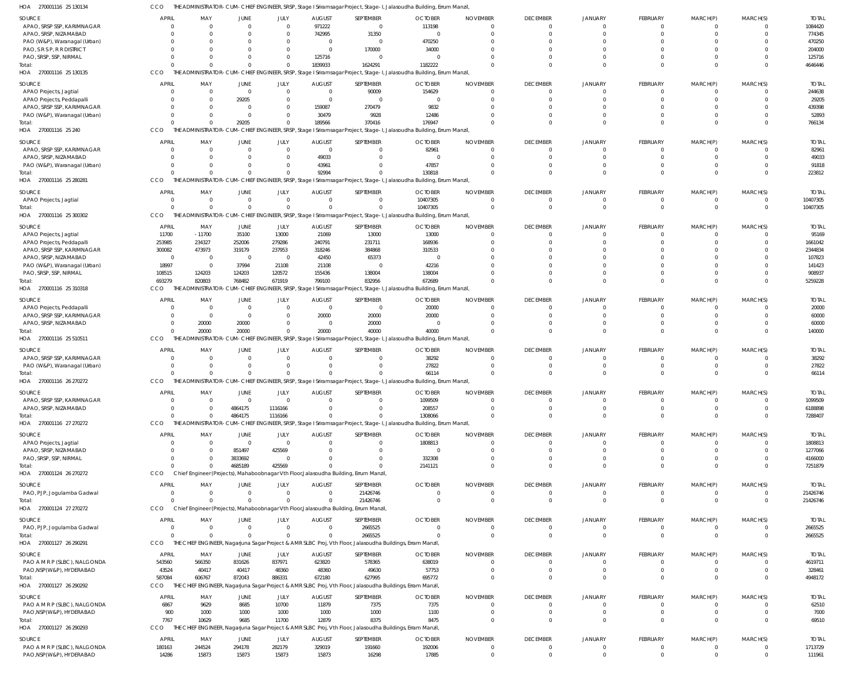| HOA<br>270001116 25 130134                              | CCO                     |                    |                         |                |                 |                                                                                                             | THE ADMINISTRATOR-CUM-CHIEF ENGINEER, SRSP, Stage I Sriramsagar Project, Stage-I, Jalasoudha Building, Errum Manzil, |                             |                 |                      |                         |                      |          |                  |
|---------------------------------------------------------|-------------------------|--------------------|-------------------------|----------------|-----------------|-------------------------------------------------------------------------------------------------------------|----------------------------------------------------------------------------------------------------------------------|-----------------------------|-----------------|----------------------|-------------------------|----------------------|----------|------------------|
| <b>SOURCE</b>                                           | <b>APRIL</b>            | MAY                | JUNE                    | JULY           | <b>AUGUST</b>   | SEPTEMBER                                                                                                   | <b>OCTOBER</b>                                                                                                       | <b>NOVEMBER</b>             | <b>DECEMBER</b> | <b>JANUARY</b>       | FEBRUARY                | MARCH(P)             | MARCH(S) | <b>TOTAL</b>     |
| APAO, SRSP SSP, KARIMNAGAR                              | $\Omega$                | $\overline{0}$     | $\overline{\mathbf{0}}$ | $\overline{0}$ | 971222          | $\overline{\mathbf{0}}$                                                                                     | 113198                                                                                                               | $\Omega$                    | 0               | $\circ$              | $^{\circ}$              | $\Omega$             |          | 1084420          |
| APAO, SRSP, NIZAMABAD                                   | $\Omega$                | $\Omega$           | $\Omega$                | $\Omega$       | 742995          | 31350                                                                                                       | $\overline{0}$                                                                                                       | $\Omega$                    | $\Omega$        | $\Omega$             | $\Omega$                | $\Omega$             |          | 774345           |
| PAO (W&P), Waranagal (Urban)                            | $\Omega$                | $\Omega$           | $\Omega$                | $\Omega$       | $\overline{0}$  | $\overline{\mathbf{0}}$                                                                                     | 470250                                                                                                               | $\Omega$                    | $\Omega$        | $\Omega$             | $\Omega$                |                      |          | 470250           |
| PAO, S R S P, R R DISTRICT                              | $\Omega$                | $\Omega$           | $\Omega$                | $\Omega$       | $\overline{0}$  | 170000                                                                                                      | 34000                                                                                                                | $\Omega$                    | $\Omega$        | $\Omega$             | $\Omega$                | $\Omega$             |          | 204000           |
| PAO, SRSP, SSP, NIRMAL                                  | $\Omega$                | $\Omega$           | $\Omega$                | $\Omega$       | 125716          | $\overline{\mathbf{0}}$                                                                                     | $\Omega$                                                                                                             | $\Omega$                    | $\Omega$        | $\Omega$             | $\mathbf 0$             | $\Omega$             |          | 125716           |
| Total:                                                  |                         | $\Omega$           | $\Omega$                | $\Omega$       | 1839933         | 1624291                                                                                                     | 1182222                                                                                                              | $\Omega$                    | $\Omega$        | $\Omega$             | $\Omega$                | $\Omega$             |          | 4646446          |
| HOA 270001116 25 130135                                 | CCO                     |                    |                         |                |                 |                                                                                                             | THE ADMINISTRATOR-CUM-CHIEF ENGINEER, SRSP, Stage I Sriramsagar Project, Stage-I, Jalasoudha Building, Errum Manzil, |                             |                 |                      |                         |                      |          |                  |
|                                                         |                         |                    |                         |                |                 |                                                                                                             |                                                                                                                      |                             |                 |                      |                         |                      |          |                  |
| SOURCE                                                  | <b>APRIL</b>            | MAY                | JUNE                    | JULY           | <b>AUGUST</b>   | SEPTEMBER                                                                                                   | <b>OCTOBER</b>                                                                                                       | <b>NOVEMBER</b>             | <b>DECEMBER</b> | <b>JANUARY</b>       | FEBRUARY                | MARCH(P)             | MARCH(S) | <b>TOTAL</b>     |
| APAO Projects, Jagtial                                  | $\Omega$                | $\overline{0}$     | $\overline{0}$          | $\overline{0}$ | $\overline{0}$  | 90009                                                                                                       | 154629                                                                                                               | $\Omega$                    | 0               | $\Omega$             | $\mathbf{0}$            | $\Omega$             |          | 244638           |
| APAO Projects, Peddapalli                               | $\Omega$                | $\mathbf 0$        | 29205                   | $\Omega$       | $\Omega$        | - 0                                                                                                         | $\Omega$                                                                                                             | $\Omega$                    | $\Omega$        | $\Omega$             | $\Omega$                | $\Omega$             |          | 29205            |
| APAO, SRSP SSP, KARIMNAGAR                              | $\Omega$                | $\Omega$           | $\Omega$                | $\Omega$       | 159087          | 270479                                                                                                      | 9832                                                                                                                 | $\Omega$                    | $\Omega$        | $\Omega$             | $\Omega$                |                      |          | 439398           |
| PAO (W&P), Waranagal (Urban)                            |                         | $\Omega$           | - 0                     | $\Omega$       | 30479           | 9928                                                                                                        | 12486                                                                                                                | $\Omega$                    | $\Omega$        | $\Omega$             | $\Omega$                | $\Omega$             |          | 52893            |
| Total:                                                  | $\Omega$                | $\Omega$           | 29205                   | $\Omega$       | 189566          | 370416                                                                                                      | 176947                                                                                                               | $\Omega$                    | $\Omega$        | $\Omega$             | $\Omega$                | $\Omega$             | $\Omega$ | 766134           |
| HOA<br>270001116 25 240                                 | CCO                     |                    |                         |                |                 |                                                                                                             | THE ADMINISTRATOR-CUM-CHIEF ENGINEER, SRSP, Stage I Sriramsagar Project, Stage-I, Jalasoudha Building, Errum Manzil, |                             |                 |                      |                         |                      |          |                  |
| <b>SOURCE</b>                                           | <b>APRIL</b>            | MAY                | JUNE                    | JULY           | <b>AUGUST</b>   | SEPTEMBER                                                                                                   | <b>OCTOBER</b>                                                                                                       | <b>NOVEMBER</b>             | <b>DECEMBER</b> | <b>JANUARY</b>       | FEBRUARY                | MARCH(P)             | MARCH(S) | <b>TOTAL</b>     |
| APAO, SRSP SSP, KARIMNAGAR                              | $\Omega$                | $\Omega$           | - 0                     | $\overline{0}$ | $\overline{0}$  | $\Omega$                                                                                                    | 82961                                                                                                                | $\Omega$                    | 0               | $\circ$              | $\mathbf{0}$            | $\Omega$             |          | 82961            |
| APAO, SRSP, NIZAMABAD                                   | $\Omega$                | $\Omega$           | $\Omega$                | $\Omega$       | 49033           | $\Omega$                                                                                                    | $\Omega$                                                                                                             | $\Omega$                    | $\Omega$        | $\Omega$             | $\mathbf 0$             | $\Omega$             | $\Omega$ | 49033            |
|                                                         | $\Omega$                | $\Omega$           | $\Omega$                | $\Omega$       | 43961           | $\Omega$                                                                                                    | 47857                                                                                                                | $\Omega$                    | $\Omega$        | $\Omega$             | $\mathbf 0$             | $\Omega$             |          | 91818            |
| PAO (W&P), Waranagal (Urban)<br>Total:                  |                         | $\Omega$           | $\Omega$                | $\Omega$       | 92994           |                                                                                                             | 130818                                                                                                               | $\Omega$                    | $\Omega$        | $\Omega$             | $\mathbf 0$             | $\Omega$             | $\Omega$ | 223812           |
| HOA<br>270001116 25 280281                              | CCO                     |                    |                         |                |                 |                                                                                                             | THE ADMINISTRATOR-CUM-CHIEF ENGINEER, SRSP, Stage I Sriramsagar Project, Stage-I, Jalasoudha Building, Errum Manzil, |                             |                 |                      |                         |                      |          |                  |
|                                                         |                         |                    |                         |                |                 |                                                                                                             |                                                                                                                      |                             |                 |                      |                         |                      |          |                  |
| SOURCE                                                  | <b>APRIL</b>            | MAY                | JUNE                    | JULY           | AUGUST          | SEPTEMBER                                                                                                   | <b>OCTOBER</b>                                                                                                       | <b>NOVEMBER</b>             | <b>DECEMBER</b> | <b>JANUARY</b>       | FEBRUARY                | MARCH(P)             | MARCH(S) | <b>TOTAL</b>     |
| APAO Projects, Jagtial                                  | $\overline{0}$          | $\overline{0}$     | $\overline{0}$          | $\overline{0}$ | $\overline{0}$  | $\Omega$                                                                                                    | 10407305                                                                                                             | $\Omega$                    | 0               | $\circ$              | $\mathbf{0}$            | 0                    |          | 10407305         |
| Total:                                                  | $\Omega$                | $\Omega$           | $\overline{0}$          | $\mathbf 0$    | $\Omega$        | $\Omega$                                                                                                    | 10407305                                                                                                             | $\Omega$                    | $\Omega$        | $\Omega$             | $\mathbf{0}$            | $\Omega$             | $\Omega$ | 10407305         |
| 270001116 25 300302<br>HOA                              | CCO                     |                    |                         |                |                 |                                                                                                             | THE ADMINISTRATOR-CUM-CHIEF ENGINEER, SRSP, Stage I Sriramsagar Project, Stage-I, Jalasoudha Building, Errum Manzil, |                             |                 |                      |                         |                      |          |                  |
|                                                         | <b>APRIL</b>            |                    |                         |                |                 |                                                                                                             |                                                                                                                      |                             | <b>DECEMBER</b> |                      |                         |                      |          |                  |
| SOURCE                                                  |                         | MAY                | JUNE                    | JULY<br>13000  | <b>AUGUST</b>   | SEPTEMBER                                                                                                   | <b>OCTOBER</b>                                                                                                       | <b>NOVEMBER</b><br>$\Omega$ |                 | <b>JANUARY</b>       | FEBRUARY                | MARCH(P)             | MARCH(S) | <b>TOTAL</b>     |
| APAO Projects, Jagtial                                  | 11700<br>253985         | $-11700$<br>234327 | 35100<br>252006         | 279286         | 21069<br>240791 | 13000<br>231711                                                                                             | 13000<br>168936                                                                                                      | $\Omega$                    | 0<br>$\Omega$   | $\Omega$<br>$\Omega$ | $^{\circ}$<br>$\Omega$  | $\Omega$             |          | 95169<br>1661042 |
| APAO Projects, Peddapalli<br>APAO, SRSP SSP, KARIMNAGAR |                         |                    |                         |                |                 |                                                                                                             |                                                                                                                      |                             |                 |                      |                         |                      |          |                  |
|                                                         | 300082                  | 473973             | 319179                  | 237953         | 318246          | 384868                                                                                                      | 310533                                                                                                               | $\Omega$                    | $\Omega$        | $\Omega$             | $\Omega$                |                      |          | 2344834          |
| APAO, SRSP, NIZAMABAD                                   | $\overline{\mathbf{0}}$ | $\overline{0}$     | $\overline{\mathbf{0}}$ | $\overline{0}$ | 42450           | 65373                                                                                                       | $\mathbf{0}$                                                                                                         | $\Omega$                    | $\Omega$        | $\Omega$             | $\Omega$                |                      |          | 107823           |
| PAO (W&P), Waranagal (Urban)                            | 18997                   | $\overline{0}$     | 37994                   | 21108          | 21108           | $\overline{0}$                                                                                              | 42216                                                                                                                | $\Omega$                    |                 | $\Omega$             | $\Omega$                | $\Omega$             |          | 141423           |
| PAO, SRSP, SSP, NIRMAL                                  | 108515                  | 124203             | 124203                  | 120572         | 155436          | 138004                                                                                                      | 138004                                                                                                               | $\Omega$                    | $\Omega$        | $\Omega$<br>$\Omega$ | $\mathbf 0$<br>$\Omega$ | $\Omega$<br>$\Omega$ |          | 908937           |
| Total:                                                  | 693279<br>CCO           | 820803             | 768482                  | 671919         | 799100          | 832956                                                                                                      | 672689                                                                                                               | $\Omega$                    | $\Omega$        |                      |                         |                      | $\Omega$ | 5259228          |
| HOA 270001116 25 310318                                 |                         |                    |                         |                |                 |                                                                                                             | THE ADMINISTRATOR-CUM-CHIEF ENGINEER, SRSP, Stage I Sriramsagar Project, Stage-I, Jalasoudha Building, Errum Manzil, |                             |                 |                      |                         |                      |          |                  |
| <b>SOURCE</b>                                           | <b>APRIL</b>            | MAY                | JUNE                    | JULY           | <b>AUGUST</b>   | SEPTEMBER                                                                                                   | <b>OCTOBER</b>                                                                                                       | <b>NOVEMBER</b>             | <b>DECEMBER</b> | <b>JANUARY</b>       | FEBRUARY                | MARCH(P)             | MARCH(S) | <b>TOTAL</b>     |
| APAO Projects, Peddapalli                               | $\Omega$                | $\overline{0}$     | $\overline{0}$          | $\overline{0}$ | $\overline{0}$  | $\overline{0}$                                                                                              | 20000                                                                                                                | $\Omega$                    | $\mathbf 0$     | $\Omega$             | $\mathbf{0}$            | $\Omega$             |          | 20000            |
| APAO, SRSP SSP, KARIMNAGAR                              | $\Omega$                | $\overline{0}$     | - 0                     | 0              | 20000           | 20000                                                                                                       | 20000                                                                                                                | $\Omega$                    | $\Omega$        | $\Omega$             | $\mathbf 0$             | $\Omega$             |          | 60000            |
| APAO, SRSP, NIZAMABAD                                   | $\Omega$                | 20000              | 20000                   | $\Omega$       | $\overline{0}$  | 20000                                                                                                       | $\Omega$                                                                                                             | $\Omega$                    | $\Omega$        | $\Omega$             | $\mathbf 0$             | $\Omega$             |          | 60000            |
| Total:                                                  |                         | 20000              | 20000                   | $\mathbf 0$    | 20000           | 40000                                                                                                       | 40000                                                                                                                | $\Omega$                    | $\Omega$        | $\Omega$             | $\Omega$                | $\Omega$             |          | 140000           |
| HOA<br>270001116 25 510511                              | CCO                     |                    |                         |                |                 |                                                                                                             | THE ADMINISTRATOR-CUM-CHIEF ENGINEER, SRSP, Stage I Sriramsagar Project, Stage-I, Jalasoudha Building, Errum Manzil, |                             |                 |                      |                         |                      |          |                  |
| <b>SOURCE</b>                                           | <b>APRIL</b>            | MAY                | JUNE                    | JULY           | <b>AUGUST</b>   | SEPTEMBER                                                                                                   | <b>OCTOBER</b>                                                                                                       | <b>NOVEMBER</b>             | <b>DECEMBER</b> | <b>JANUARY</b>       | FEBRUARY                | MARCH(P)             | MARCH(S) | <b>TOTAL</b>     |
| APAO, SRSP SSP, KARIMNAGAR                              | $\Omega$                | $\overline{0}$     | $\overline{0}$          | $\Omega$       | $\overline{0}$  | $\Omega$                                                                                                    | 38292                                                                                                                | $\Omega$                    | $\Omega$        | $\Omega$             | $\mathbf{0}$            | $\Omega$             |          | 38292            |
| PAO (W&P), Waranagal (Urban)                            | $\Omega$                | $\mathbf{0}$       | $\overline{0}$          | $\Omega$       | $\Omega$        | $\Omega$                                                                                                    | 27822                                                                                                                | $\Omega$                    | $\Omega$        | $\Omega$             | $\mathbf{0}$            | 0                    |          | 27822            |
| Total:                                                  |                         | $\Omega$           | $\Omega$                | $\Omega$       | $\Omega$        |                                                                                                             | 66114                                                                                                                | $\Omega$                    | $\Omega$        | $\Omega$             | $\mathbf 0$             | $\Omega$             | $\Omega$ | 66114            |
| HOA 270001116 26 270272                                 | CCO                     |                    |                         |                |                 |                                                                                                             | THE ADMINISTRATOR-CUM-CHIEF ENGINEER, SRSP, Stage I Sriramsagar Project, Stage-I, Jalasoudha Building, Errum Manzil, |                             |                 |                      |                         |                      |          |                  |
|                                                         |                         |                    |                         |                |                 |                                                                                                             |                                                                                                                      |                             |                 |                      |                         |                      |          |                  |
| SOURCE                                                  |                         |                    |                         |                |                 |                                                                                                             |                                                                                                                      |                             |                 |                      |                         |                      |          |                  |
| APAO, SRSP SSP, KARIMNAGAR                              | APRIL                   | MAY                | JUNE                    | JULY           | <b>AUGUST</b>   | SEPTEMBER                                                                                                   | <b>OCTOBER</b>                                                                                                       | <b>NOVEMBER</b>             | <b>DECEMBER</b> | <b>JANUARY</b>       | FEBRUARY                | MARCH(P)             | MARCH(S) | <b>TOTAL</b>     |
|                                                         | $\overline{0}$          | $\Omega$           | - 0                     | $\Omega$       | $\Omega$        | $\Omega$                                                                                                    | 1099509                                                                                                              | $\Omega$                    | 0               | $\overline{0}$       | $\overline{0}$          | 0                    |          | 1099509          |
| APAO, SRSP, NIZAMABAD                                   | $\Omega$                | $\Omega$           | 4864175                 | 1116166        | $\Omega$        | $\Omega$                                                                                                    | 208557                                                                                                               | $\Omega$                    | $\Omega$        | $\Omega$             | $\mathbf 0$             | $\Omega$             |          | 6188898          |
| Total:                                                  | $\Omega$                | $\Omega$           | 4864175                 | 1116166        | $\Omega$        | $\Omega$                                                                                                    | 1308066                                                                                                              | $\Omega$                    | $\Omega$        | $\Omega$             | $\Omega$                | $\Omega$             |          | 7288407          |
| HOA 270001116 27 270272                                 | CCO                     |                    |                         |                |                 |                                                                                                             | THE ADMINISTRATOR-CUM-CHIEF ENGINEER, SRSP, Stage I Sriramsagar Project, Stage-I, Jalasoudha Building, Errum Manzil, |                             |                 |                      |                         |                      |          |                  |
|                                                         |                         |                    |                         |                |                 |                                                                                                             |                                                                                                                      |                             |                 |                      |                         |                      |          |                  |
| <b>SOURCE</b>                                           | <b>APRIL</b>            | MAY                | JUNE                    | JULY           | <b>AUGUST</b>   | SEPTEMBER                                                                                                   | <b>OCTOBER</b>                                                                                                       | <b>NOVEMBER</b>             | <b>DECEMBER</b> | <b>JANUARY</b>       | FEBRUARY                | MARCH(P)             | MARCH(S) | <b>TOTAL</b>     |
| APAO Projects, Jagtial                                  | $\overline{0}$          | $\overline{0}$     | $\overline{\mathbf{0}}$ | $\overline{0}$ | $\Omega$        | $\Omega$                                                                                                    | 1808813                                                                                                              | $\Omega$                    | 0               | $\overline{0}$       | $\mathbf 0$             | 0                    |          | 1808813          |
| APAO, SRSP, NIZAMABAD                                   | $\Omega$                | $\Omega$           | 851497                  | 425569         | $\Omega$        | $\Omega$                                                                                                    | $\overline{0}$                                                                                                       | $\Omega$                    | $\Omega$        | $\overline{0}$       | $\mathbf 0$             | $\Omega$             | $\Omega$ | 1277066          |
| PAO, SRSP, SSP, NIRMAL                                  | $\Omega$                | $\Omega$           | 3833692                 | $\overline{0}$ | $\Omega$        | $\Omega$                                                                                                    | 332308                                                                                                               | $\Omega$                    | $\Omega$        | $\Omega$             | $\mathbf 0$             | $\Omega$             |          | 4166000          |
| Total:                                                  | $\Omega$                | $\Omega$           | 4685189                 | 425569         | $\Omega$        | $\Omega$                                                                                                    | 2141121                                                                                                              | $\Omega$                    | $\Omega$        | $\Omega$             | $\mathbf 0$             | $\Omega$             | $\Omega$ | 7251879          |
| HOA 270001124 26 270272                                 | CCO                     |                    |                         |                |                 | Chief Engineer (Projects), Mahaboobnagar Vth Floor, Jalasoudha Building, Errum Manzil,                      |                                                                                                                      |                             |                 |                      |                         |                      |          |                  |
| <b>SOURCE</b>                                           | <b>APRIL</b>            | MAY                | <b>JUNE</b>             | <b>JULY</b>    | <b>AUGUST</b>   | SEPTEMBER                                                                                                   | <b>OCTOBER</b>                                                                                                       | <b>NOVEMBER</b>             | <b>DECEMBER</b> | <b>JANUARY</b>       | FEBRUARY                | MARCH(P)             | MARCH(S) | <b>TOTAL</b>     |
| PAO, PJP, Jogulamba Gadwal                              | $\Omega$                | $\overline{0}$     | $\overline{0}$          | $\overline{0}$ | $\overline{0}$  | 21426746                                                                                                    | $\mathbf 0$                                                                                                          | $\Omega$                    | $\overline{0}$  | $\overline{0}$       | $\mathbf{0}$            | $\mathbf 0$          | $\Omega$ | 21426746         |
| Total:                                                  | $\Omega$                | $\Omega$           | $\Omega$                | $\overline{0}$ | $\Omega$        | 21426746                                                                                                    | $\Omega$                                                                                                             | $\Omega$                    | $\Omega$        | $\Omega$             | $\overline{0}$          | $\mathbf 0$          | $\Omega$ | 21426746         |
| HOA 270001124 27 270272                                 | CCO                     |                    |                         |                |                 | Chief Engineer (Projects), Mahaboobnagar Vth Floor, Jalasoudha Building, Errum Manzil,                      |                                                                                                                      |                             |                 |                      |                         |                      |          |                  |
|                                                         |                         |                    |                         |                |                 |                                                                                                             |                                                                                                                      |                             |                 |                      |                         |                      |          |                  |
| <b>SOURCE</b>                                           | <b>APRIL</b>            | MAY                | JUNE                    | JULY           | <b>AUGUST</b>   | SEPTEMBER                                                                                                   | <b>OCTOBER</b>                                                                                                       | <b>NOVEMBER</b>             | <b>DECEMBER</b> | <b>JANUARY</b>       | FEBRUARY                | MARCH(P)             | MARCH(S) | <b>TOTAL</b>     |
| PAO, PJP, Jogulamba Gadwal                              | $\Omega$                | $\overline{0}$     | $\overline{0}$          | $\mathbf{0}$   | $\overline{0}$  | 2665525                                                                                                     | $\mathbf 0$                                                                                                          | $\overline{0}$              | $\overline{0}$  | $\overline{0}$       | $\mathbf 0$             | 0                    | $\Omega$ | 2665525          |
| Total:                                                  | $\Omega$                | $\Omega$           | $\Omega$                | $\Omega$       | $\Omega$        | 2665525                                                                                                     | $\Omega$                                                                                                             | $\Omega$                    | $\overline{0}$  | $\Omega$             | $\mathbf{0}$            | $\overline{0}$       | $\Omega$ | 2665525          |
| HOA 270001127 26 290291                                 | CCO                     |                    |                         |                |                 | THE CHIEF ENGINEER, Nagarjuna Sagar Project & AMR SLBC Proj, Vth Floor, Jalasoudha Buildings, Erram Manzil, |                                                                                                                      |                             |                 |                      |                         |                      |          |                  |
| <b>SOURCE</b>                                           | APRIL                   | MAY                | JUNE                    | JULY           | <b>AUGUST</b>   | SEPTEMBER                                                                                                   | <b>OCTOBER</b>                                                                                                       | <b>NOVEMBER</b>             | <b>DECEMBER</b> | <b>JANUARY</b>       | FEBRUARY                | MARCH(P)             | MARCH(S) | <b>TOTAL</b>     |
| PAO A M R P (SLBC), NALGONDA                            | 543560                  | 566350             | 831626                  | 837971         | 623820          | 578365                                                                                                      | 638019                                                                                                               | $\Omega$                    | $\mathbf 0$     | $\overline{0}$       | $\mathbf{0}$            | $\Omega$             |          | 4619711          |
| PAO, NSP(W&P), HYDERABAD                                | 43524                   | 40417              | 40417                   | 48360          | 48360           | 49630                                                                                                       | 57753                                                                                                                | $\Omega$                    | $\mathbf 0$     | $\Omega$             | $\mathbf{0}$            | $\mathbf 0$          |          | 328461           |
| Total:                                                  | 587084                  | 606767             | 872043                  | 886331         | 672180          | 627995                                                                                                      | 695772                                                                                                               | $\Omega$                    | $\Omega$        | $\Omega$             | $\mathbf{0}$            | $\Omega$             |          | 4948172          |
| HOA 270001127 26 290292                                 | CCO                     |                    |                         |                |                 | THE CHIEF ENGINEER, Nagarjuna Sagar Project & AMR SLBC Proj, Vth Floor, Jalasoudha Buildings, Erram Manzil, |                                                                                                                      |                             |                 |                      |                         |                      |          |                  |
|                                                         |                         |                    |                         |                |                 |                                                                                                             |                                                                                                                      |                             |                 |                      |                         |                      |          |                  |
| <b>SOURCE</b>                                           | <b>APRIL</b>            | MAY                | JUNE                    | JULY           | <b>AUGUST</b>   | SEPTEMBER                                                                                                   | <b>OCTOBER</b>                                                                                                       | <b>NOVEMBER</b>             | <b>DECEMBER</b> | <b>JANUARY</b>       | FEBRUARY                | MARCH(P)             | MARCH(S) | <b>TOTAL</b>     |
| PAO A M R P (SLBC), NALGONDA                            | 6867                    | 9629               | 8685                    | 10700          | 11879           | 7375                                                                                                        | 7375                                                                                                                 | $\Omega$                    | $\overline{0}$  | $\Omega$             | $\mathbf 0$             | $\Omega$             | $\Omega$ | 62510            |
| PAO, NSP (W&P), HYDERABAD                               | 900                     | 1000               | 1000                    | 1000           | 1000            | 1000                                                                                                        | 1100                                                                                                                 | $\Omega$                    | $\mathbf 0$     | $\overline{0}$       | $\mathbf 0$             | $\overline{0}$       | $\Omega$ | 7000             |
| Total:                                                  | 7767                    | 10629              | 9685                    | 11700          | 12879           | 8375                                                                                                        | 8475                                                                                                                 | $\Omega$                    | $\Omega$        | $\Omega$             | $\mathbf 0$             | $\Omega$             | $\Omega$ | 69510            |
| HOA 270001127 26 290293                                 | CCO<br>THF              |                    |                         |                |                 | CHIEF ENGINEER, Nagarjuna Sagar Project & AMR SLBC Proj, Vth Floor, Jalasoudha Buildings, Erram Manzil,     |                                                                                                                      |                             |                 |                      |                         |                      |          |                  |
| SOURCE                                                  | APRIL                   | MAY                | <b>JUNE</b>             | JULY           | <b>AUGUST</b>   | SEPTEMBER                                                                                                   | <b>OCTOBER</b>                                                                                                       | <b>NOVEMBER</b>             | <b>DECEMBER</b> | <b>JANUARY</b>       | FEBRUARY                | MARCH(P)             | MARCH(S) | <b>TOTAL</b>     |
| PAO A M R P (SLBC), NALGONDA                            | 180163                  | 244524             | 294178                  | 282179         | 329019          | 191660                                                                                                      | 192006                                                                                                               | $\Omega$                    | $\overline{0}$  | $\overline{0}$       | $\overline{0}$          | $\mathbf 0$          | $\Omega$ | 1713729          |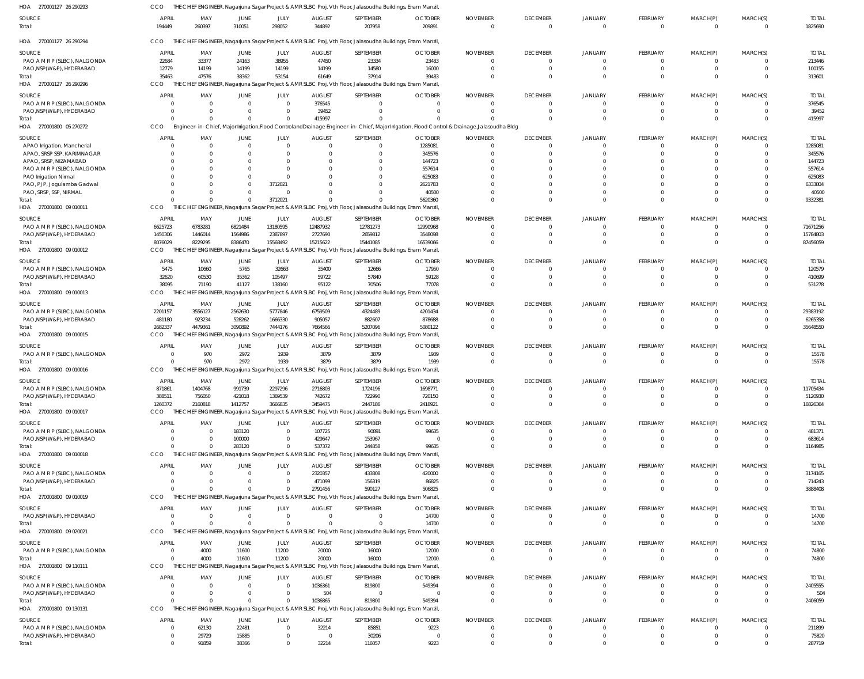| HOA 270001127 26 290293                                  | CCO                            |                                  |                    |                      |                                 | THE CHIEF ENGINEER, Nagarjuna Sagar Project & AMR SLBC Proj, Vth Floor, Jalasoudha Buildings, Erram Manzil,           |                          |                                                                                                                                               |                                   |                           |                                |                         |                      |                         |
|----------------------------------------------------------|--------------------------------|----------------------------------|--------------------|----------------------|---------------------------------|-----------------------------------------------------------------------------------------------------------------------|--------------------------|-----------------------------------------------------------------------------------------------------------------------------------------------|-----------------------------------|---------------------------|--------------------------------|-------------------------|----------------------|-------------------------|
| SOURCE<br>Total:                                         | <b>APRIL</b><br>194449         | MAY<br>260397                    | JUNE<br>310051     | JULY<br>298052       | <b>AUGUST</b><br>344892         | SEPTEMBER<br>207958                                                                                                   | <b>OCTOBER</b><br>209891 | <b>NOVEMBER</b><br>$\Omega$                                                                                                                   | <b>DECEMBER</b><br>$\overline{0}$ | JANUARY<br>$\Omega$       | FEBRUARY<br>$\overline{0}$     | MARCH(P)<br>$\Omega$    | MARCH(S)<br>$\Omega$ | <b>TOTAL</b><br>1825690 |
| HOA 270001127 26 290294                                  | CCO                            |                                  |                    |                      |                                 | THE CHIEF ENGINEER, Nagarjuna Sagar Project & AMR SLBC Proj, Vth Floor, Jalasoudha Buildings, Erram Manzil,           |                          |                                                                                                                                               |                                   |                           |                                |                         |                      |                         |
| SOURCE                                                   | <b>APRIL</b>                   | MAY                              | JUNE               | JULY                 | <b>AUGUST</b>                   | SEPTEMBER                                                                                                             | <b>OCTOBER</b>           | <b>NOVEMBER</b>                                                                                                                               | <b>DECEMBER</b>                   | <b>JANUARY</b>            | <b>FEBRUARY</b>                | MARCH(P)                | MARCH(S)             | <b>TOTAL</b>            |
| PAO A M R P (SLBC), NALGONDA                             | 22684                          | 33377                            | 24163              | 38955                | 47450                           | 23334                                                                                                                 | 23483                    | 0                                                                                                                                             | $\Omega$                          | $\Omega$                  | $^{\circ}$                     | -0                      |                      | 213446                  |
| PAO, NSP(W&P), HYDERABAD                                 | 12779                          | 14199                            | 14199              | 14199                | 14199                           | 14580                                                                                                                 | 16000                    | 0                                                                                                                                             | $\Omega$                          | $\Omega$                  | $\mathbf 0$                    | $\mathbf 0$             | $\Omega$             | 100155                  |
| Total:<br>HOA 270001127 26 290296                        | 35463<br>CCO                   | 47576                            | 38362              | 53154                | 61649                           | 37914<br>THE CHIEF ENGINEER, Nagarjuna Sagar Project & AMR SLBC Proj, Vth Floor, Jalasoudha Buildings, Erram Manzil,  | 39483                    | $\Omega$                                                                                                                                      | $\Omega$                          | $\Omega$                  | $\overline{0}$                 | $\Omega$                | $\Omega$             | 313601                  |
|                                                          |                                |                                  |                    |                      |                                 |                                                                                                                       |                          |                                                                                                                                               |                                   |                           |                                |                         |                      |                         |
| SOURCE                                                   | APRIL                          | MAY                              | JUNE               | JULY<br>$\Omega$     | <b>AUGUST</b>                   | SEPTEMBER                                                                                                             | <b>OCTOBER</b>           | <b>NOVEMBER</b>                                                                                                                               | <b>DECEMBER</b>                   | <b>JANUARY</b>            | FEBRUARY                       | MARCH(P)                | MARCH(S)             | <b>TOTAI</b>            |
| PAO A M R P (SLBC), NALGONDA<br>PAO, NSP(W&P), HYDERABAD | $\Omega$                       | $\overline{\mathbf{0}}$<br>- 0   | $\Omega$           | $\Omega$             | 376545<br>39452                 | 0                                                                                                                     | $\Omega$<br>$\Omega$     | $\Omega$<br>- 0                                                                                                                               | $\Omega$<br>$\Omega$              | $\Omega$<br>$\Omega$      | $\Omega$<br>$\mathbf 0$        | -0<br>$\mathbf 0$       | $\Omega$<br>$\Omega$ | 376545<br>39452         |
| Total:                                                   | $\cap$                         | $\Omega$                         | $\Omega$           | $\Omega$             | 415997                          |                                                                                                                       |                          |                                                                                                                                               | $\Omega$                          | $\Omega$                  | $\Omega$                       | $\Omega$                | $\Omega$             | 415997                  |
| HOA 270001800 05 270272                                  | CCO                            |                                  |                    |                      |                                 |                                                                                                                       |                          | Engineer-in-Chief, Major Irrigation, Flood Controland Drainage Engineer-in-Chief, Major Irrigation, Flood Control & Drainage, Jalasoudha Bldg |                                   |                           |                                |                         |                      |                         |
| SOURCE                                                   | <b>APRIL</b>                   | MAY                              | JUNE               | JULY                 | <b>AUGUST</b>                   | SEPTEMBER                                                                                                             | <b>OCTOBER</b>           | <b>NOVEMBER</b>                                                                                                                               | <b>DECEMBER</b>                   | JANUARY                   | <b>FEBRUARY</b>                | MARCH(P)                | MARCH(S)             | <b>TOTAI</b>            |
| APAO Irrigation, Mancherial                              | $\Omega$                       | $\overline{0}$                   | $\Omega$           | $\Omega$             | $^{\circ}$                      | 0                                                                                                                     | 1285081                  | $\overline{0}$                                                                                                                                | $\Omega$                          | $\Omega$                  | $\mathbf 0$                    | $^{\circ}$              | $\Omega$             | 1285081                 |
| APAO, SRSP SSP, KARIMNAGAR                               |                                | $\circ$                          |                    |                      | -0                              | 0                                                                                                                     | 345576                   | $\Omega$                                                                                                                                      | $\Omega$                          | $\Omega$                  | $\Omega$                       | $\Omega$                | $\Omega$             | 345576                  |
| APAO, SRSP, NIZAMABAD                                    |                                | $\Omega$                         |                    |                      | -0                              |                                                                                                                       | 144723                   | $\Omega$                                                                                                                                      |                                   |                           | $\Omega$                       |                         |                      | 144723                  |
| PAO A M R P (SLBC), NALGONDA                             | $\Omega$                       | $\Omega$                         |                    |                      | -0                              |                                                                                                                       | 557614                   | $\Omega$                                                                                                                                      | $\cap$                            |                           | $\Omega$                       |                         |                      | 557614                  |
| PAO Irrigation Nirmal                                    |                                | $\Omega$                         |                    |                      |                                 |                                                                                                                       | 625083                   |                                                                                                                                               |                                   |                           |                                |                         |                      | 625083                  |
| PAO, PJP, Jogulamba Gadwal                               | $\Omega$                       | $\Omega$                         |                    | 3712021              | -0                              |                                                                                                                       | 2621783                  | $\Omega$                                                                                                                                      | $\Omega$                          |                           | $\Omega$                       |                         |                      | 6333804                 |
| PAO, SRSP, SSP, NIRMAL                                   | $\cap$                         | $\Omega$                         |                    |                      |                                 |                                                                                                                       | 40500                    | $\Omega$                                                                                                                                      |                                   | $\Omega$                  | $\Omega$                       | $\Omega$                |                      | 40500                   |
| Total:<br>HOA 270001800 09 010011                        | CCO                            | $\Omega$                         | $\Omega$           | 3712021              |                                 | THE CHIEF ENGINEER, Nagarjuna Sagar Project & AMR SLBC Proj, Vth Floor, Jalasoudha Buildings, Erram Manzil,           | 5620360                  | $\Omega$                                                                                                                                      | $\Omega$                          |                           | $\Omega$                       | $\Omega$                | $\Omega$             | 9332381                 |
|                                                          |                                |                                  |                    |                      |                                 |                                                                                                                       |                          |                                                                                                                                               |                                   |                           |                                |                         |                      |                         |
| SOURCE                                                   | <b>APRIL</b>                   | MAY                              | JUNE               | JULY                 | <b>AUGUST</b>                   | SEPTEMBER                                                                                                             | <b>OCTOBER</b>           | <b>NOVEMBER</b>                                                                                                                               | <b>DECEMBER</b>                   | JANUARY                   | <b>FEBRUARY</b>                | MARCH(P)                | MARCH(S)             | <b>TOTAI</b>            |
| PAO A M R P (SLBC), NALGONDA                             | 6625723                        | 6783281                          | 6821484            | 13180595             | 12487932                        | 12781273                                                                                                              | 12990968                 | $\Omega$                                                                                                                                      | $\Omega$<br>$\Omega$              | $\Omega$<br>$\Omega$      | $^{\circ}$                     | $\Omega$                | $\Omega$<br>$\Omega$ | 71671256                |
| PAO, NSP(W&P), HYDERABAD<br>Total:                       | 1450306<br>8076029             | 1446014<br>8229295               | 1564986<br>8386470 | 2387897<br>15568492  | 2727690<br>15215622             | 2659812<br>15441085                                                                                                   | 3548098<br>16539066      | 0<br>$\Omega$                                                                                                                                 | $\Omega$                          | $\Omega$                  | $\mathbf 0$<br>$\Omega$        | $\mathbf 0$<br>$\Omega$ | $\Omega$             | 15784803<br>87456059    |
| HOA 270001800 09 010012                                  | <b>CCO</b>                     | THE                              |                    |                      |                                 | CHIEF ENGINEER, Nagarjuna Sagar Project & AMR SLBC Proj, Vth Floor, Jalasoudha Buildings, Erram Manzil,               |                          |                                                                                                                                               |                                   |                           |                                |                         |                      |                         |
|                                                          |                                |                                  |                    |                      |                                 |                                                                                                                       |                          |                                                                                                                                               |                                   |                           |                                |                         |                      |                         |
| SOURCE<br>PAO A M R P (SLBC), NALGONDA                   | <b>APRIL</b><br>5475           | MAY<br>10660                     | JUNE<br>5765       | JULY<br>32663        | <b>AUGUST</b><br>35400          | SEPTEMBER<br>12666                                                                                                    | <b>OCTOBER</b><br>17950  | <b>NOVEMBER</b><br>$\overline{0}$                                                                                                             | <b>DECEMBER</b><br>$\Omega$       | JANUARY<br>$\Omega$       | <b>FEBRUARY</b><br>$\mathbf 0$ | MARCH(P)<br>$\mathbf 0$ | MARCH(S)<br>$\Omega$ | <b>TOTAI</b><br>120579  |
| PAO, NSP(W&P), HYDERABAD                                 | 32620                          | 60530                            | 35362              | 105497               | 59722                           | 57840                                                                                                                 | 59128                    | $\Omega$                                                                                                                                      | $\Omega$                          | $\Omega$                  | $\mathbf 0$                    | $\mathbf 0$             | $\Omega$             | 410699                  |
| Total:                                                   | 38095                          | 71190                            | 41127              | 138160               | 95122                           | 70506                                                                                                                 | 77078                    | $\Omega$                                                                                                                                      | $\Omega$                          | $\Omega$                  | $\overline{0}$                 | $\Omega$                | $\Omega$             | 531278                  |
| HOA 270001800 09 010013                                  | CCO                            | THE CHIEF ENGINEER,              |                    |                      |                                 | Nagarjuna Sagar Project & AMR SLBC Proj, Vth Floor, Jalasoudha Buildings, Erram Manzil,                               |                          |                                                                                                                                               |                                   |                           |                                |                         |                      |                         |
| SOURCE                                                   | <b>APRIL</b>                   | MAY                              | JUNE               | JULY                 | <b>AUGUST</b>                   | SEPTEMBER                                                                                                             | <b>OCTOBER</b>           | <b>NOVEMBER</b>                                                                                                                               | <b>DECEMBER</b>                   | JANUARY                   | <b>FEBRUARY</b>                | MARCH(P)                | MARCH(S)             | <b>TOTAI</b>            |
| PAO A M R P (SLBC), NALGONDA                             | 2201157                        | 3556127                          | 2562630            | 5777846              | 6759509                         | 4324489                                                                                                               | 4201434                  | 0                                                                                                                                             | $\overline{0}$                    | $\Omega$                  | $\mathbf 0$                    | $^{\circ}$              | $\Omega$             | 29383192                |
| PAO, NSP(W&P), HYDERABAD                                 | 481180                         | 923234                           | 528262             | 1666330              | 905057                          | 882607                                                                                                                | 878688                   | $\Omega$                                                                                                                                      | $\Omega$                          | $\Omega$                  | $\mathbf 0$                    | $\mathbf 0$             | $\Omega$             | 6265358                 |
| Total:                                                   | 2682337                        | 4479361                          | 3090892            | 7444176              | 7664566                         | 5207096                                                                                                               | 5080122                  | $\Omega$                                                                                                                                      | $\Omega$                          | $\Omega$                  | $\Omega$                       | $\Omega$                | $\Omega$             | 35648550                |
| HOA 270001800 09 010015                                  | CCO                            |                                  |                    |                      |                                 | THE CHIEF ENGINEER, Nagarjuna Sagar Project & AMR SLBC Proj, Vth Floor, Jalasoudha Buildings, Erram Manzil,           |                          |                                                                                                                                               |                                   |                           |                                |                         |                      |                         |
| SOURCE                                                   | <b>APRIL</b>                   | MAY                              | JUNE               | JULY                 | <b>AUGUST</b>                   | SEPTEMBER                                                                                                             | <b>OCTOBER</b>           | <b>NOVEMBER</b>                                                                                                                               | <b>DECEMBER</b>                   | JANUARY                   | <b>FEBRUARY</b>                | MARCH(P)                | MARCH(S)             | <b>TOTAL</b>            |
| PAO A M R P (SLBC), NALGONDA                             | $\Omega$                       | 970                              | 2972               | 1939                 | 3879                            | 3879                                                                                                                  | 1939                     | 0                                                                                                                                             | $\overline{0}$                    | $\Omega$                  | $\mathbf 0$                    | -0                      | $\Omega$             | 15578                   |
| Total:                                                   | $\Omega$                       | 970                              | 2972               | 1939                 | 3879                            | 3879                                                                                                                  | 1939                     | $\Omega$                                                                                                                                      | $\overline{0}$                    | $\Omega$                  | $\overline{0}$                 | $\overline{0}$          | $\Omega$             | 15578                   |
| HOA 270001800 09 010016                                  | CCO                            |                                  |                    |                      |                                 | THE CHIEF ENGINEER, Nagarjuna Sagar Project & AMR SLBC Proj, Vth Floor, Jalasoudha Buildings, Erram Manzil,           |                          |                                                                                                                                               |                                   |                           |                                |                         |                      |                         |
| SOURCE                                                   | <b>APRIL</b>                   | MAY                              | JUNE               | JULY                 | <b>AUGUST</b>                   | SEPTEMBER                                                                                                             | <b>OCTOBER</b>           | <b>NOVEMBER</b>                                                                                                                               | <b>DECEMBER</b>                   | <b>JANUARY</b>            | <b>FEBRUARY</b>                | MARCH(P)                | MARCH(S)             | <b>TOTAL</b>            |
| PAO A M R P (SLBC), NALGONDA                             | 871861                         | 1404768                          | 991739             | 2297296              | 2716803                         | 1/24196                                                                                                               | 1698771                  |                                                                                                                                               |                                   |                           |                                |                         |                      | 11705434                |
| PAO, NSP(W&P), HYDERABAD                                 | 388511                         | 756050                           | 421018             | 1369539              | 742672                          | 722990                                                                                                                | 720150                   | $\Omega$                                                                                                                                      | $\Omega$                          | $\Omega$                  | $\mathbf 0$                    | $\Omega$                | $\Omega$             | 5120930                 |
| Total:                                                   | 1260372                        | 2160818                          | 1412757            | 3666835              | 3459475                         | 2447186                                                                                                               | 2418921                  | $\Omega$                                                                                                                                      | $\Omega$                          | $\Omega$                  | $\mathbf 0$                    | $\overline{0}$          | $\Omega$             | 16826364                |
| HOA 270001800 09 010017                                  | CCO                            |                                  |                    |                      |                                 | THE CHIEF ENGINEER, Nagarjuna Sagar Project & AMR SLBC Proj, Vth Floor, Jalasoudha Buildings, Erram Manzil,           |                          |                                                                                                                                               |                                   |                           |                                |                         |                      |                         |
| SOURCE                                                   | <b>APRIL</b>                   | MAY                              | JUNE               | JULY                 | <b>AUGUST</b>                   | SEPTEMBER                                                                                                             | <b>OCTOBER</b>           | <b>NOVEMBER</b>                                                                                                                               | <b>DECEMBER</b>                   | JANUARY                   | FEBRUARY                       | MARCH(P)                | MARCH(S)             | <b>TOTAL</b>            |
| PAO A M R P (SLBC), NALGONDA                             | $\Omega$                       | $\overline{\mathbf{0}}$          | 183120             | $\Omega$             | 107725                          | 90891                                                                                                                 | 99635                    | 0                                                                                                                                             | $\Omega$                          | $\Omega$                  | -0                             | -0                      |                      | 481371                  |
| PAO, NSP(W&P), HYDERABAD                                 | $\Omega$                       | $\overline{0}$                   | 100000             | $\Omega$             | 429647                          | 153967                                                                                                                | - 0                      | 0                                                                                                                                             | $\Omega$                          | $\Omega$                  | $\mathbf 0$                    | $\mathbf 0$             |                      | 683614                  |
| Total:<br>HOA 270001800 09 010018                        | $\Omega$<br>CCO                | $\Omega$                         | 283120             | $\Omega$             | 537372                          | 244858<br>THE CHIEF ENGINEER, Nagarjuna Sagar Project & AMR SLBC Proj, Vth Floor, Jalasoudha Buildings, Erram Manzil, | 99635                    | $\Omega$                                                                                                                                      | $\Omega$                          | $\Omega$                  | $\Omega$                       | $\overline{0}$          | $\Omega$             | 1164985                 |
|                                                          |                                |                                  |                    |                      |                                 |                                                                                                                       |                          |                                                                                                                                               |                                   |                           |                                |                         |                      |                         |
| SOURCE                                                   | <b>APRIL</b>                   | MAY                              | JUNE               | JULY                 | <b>AUGUST</b>                   | SEPTEMBER                                                                                                             | <b>OCTOBER</b>           | <b>NOVEMBER</b>                                                                                                                               | <b>DECEMBER</b>                   | JANUARY                   | <b>FEBRUARY</b>                | MARCH(P)                | MARCH(S)             | <b>TOTAL</b>            |
| PAO A M R P (SLBC), NALGONDA<br>PAO, NSP(W&P), HYDERABAD | $\Omega$<br>$\Omega$           | $\overline{0}$<br>$\overline{0}$ | $\Omega$           | $\Omega$<br>$\Omega$ | 2320357<br>471099               | 433808<br>156319                                                                                                      | 420000<br>86825          | 0<br>$\Omega$                                                                                                                                 | $\Omega$<br>$\Omega$              | $\Omega$<br>$\Omega$      | 0<br>$\mathbf 0$               | -0<br>-0                | $\Omega$             | 3174165<br>714243       |
| Total:                                                   | $\Omega$                       | $\Omega$                         | $\Omega$           | $\Omega$             | 2791456                         | 590127                                                                                                                | 506825                   | $\Omega$                                                                                                                                      | $\Omega$                          | $\Omega$                  | $\Omega$                       | $\overline{0}$          | $\Omega$             | 3888408                 |
| HOA 270001800 09 010019                                  | <b>CCO</b>                     |                                  |                    |                      |                                 | THE CHIEF ENGINEER, Nagarjuna Sagar Project & AMR SLBC Proj, Vth Floor, Jalasoudha Buildings, Erram Manzil,           |                          |                                                                                                                                               |                                   |                           |                                |                         |                      |                         |
|                                                          |                                |                                  |                    |                      |                                 |                                                                                                                       |                          |                                                                                                                                               |                                   |                           |                                |                         | MARCH(S)             |                         |
| SOURCE<br>PAO, NSP(W&P), HYDERABAD                       | <b>APRIL</b><br>$\overline{0}$ | MAY<br>$\overline{0}$            | JUNE<br>$\Omega$   | JULY<br>$\Omega$     | <b>AUGUST</b><br>$\overline{0}$ | SEPTEMBER                                                                                                             | <b>OCTOBER</b><br>14700  | <b>NOVEMBER</b><br>$\overline{0}$                                                                                                             | <b>DECEMBER</b><br>$\overline{0}$ | JANUARY<br>$\overline{0}$ | <b>FEBRUARY</b><br>$\mathbf 0$ | MARCH(P)<br>$^{\circ}$  | $\Omega$             | <b>TOTAL</b><br>14700   |
| Total:                                                   | $\Omega$                       | $\Omega$                         |                    |                      |                                 |                                                                                                                       | 14700                    | $\Omega$                                                                                                                                      | $\overline{0}$                    | $\overline{0}$            | $\overline{0}$                 | $\overline{0}$          | $\Omega$             | 14700                   |
| HOA 270001800 09 020021                                  | CCO                            |                                  |                    |                      |                                 | THE CHIEF ENGINEER, Nagarjuna Sagar Project & AMR SLBC Proj, Vth Floor, Jalasoudha Buildings, Erram Manzil,           |                          |                                                                                                                                               |                                   |                           |                                |                         |                      |                         |
| SOURCE                                                   | <b>APRIL</b>                   | MAY                              | JUNE               | JULY                 | <b>AUGUST</b>                   | SEPTEMBER                                                                                                             | <b>OCTOBER</b>           | <b>NOVEMBER</b>                                                                                                                               | <b>DECEMBER</b>                   | JANUARY                   | <b>FEBRUARY</b>                | MARCH(P)                | MARCH(S)             | <b>TOTAL</b>            |
| PAO A M R P (SLBC), NALGONDA                             | $\overline{0}$                 | 4000                             | 11600              | 11200                | 20000                           | 16000                                                                                                                 | 12000                    | 0                                                                                                                                             | $\overline{0}$                    | $\overline{0}$            | $^{\circ}$                     | $^{\circ}$              | $\Omega$             | 74800                   |
| Total:                                                   | $\overline{0}$                 | 4000                             | 11600              | 11200                | 20000                           | 16000                                                                                                                 | 12000                    | 0                                                                                                                                             | $\overline{0}$                    | $\Omega$                  | $\overline{0}$                 | $\overline{0}$          | $\Omega$             | 74800                   |
| HOA 270001800 09 110111                                  | <b>CCO</b>                     |                                  |                    |                      |                                 | THE CHIEF ENGINEER, Nagarjuna Sagar Project & AMR SLBC Proj, Vth Floor, Jalasoudha Buildings, Erram Manzil,           |                          |                                                                                                                                               |                                   |                           |                                |                         |                      |                         |
| SOURCE                                                   | <b>APRIL</b>                   | MAY                              | JUNE               | JULY                 | <b>AUGUST</b>                   | SEPTEMBER                                                                                                             | <b>OCTOBER</b>           | <b>NOVEMBER</b>                                                                                                                               | <b>DECEMBER</b>                   | JANUARY                   | FEBRUARY                       | MARCH(P)                | MARCH(S)             | <b>TOTAL</b>            |
| PAO A M R P (SLBC), NALGONDA                             | $\Omega$                       | $\overline{0}$                   |                    |                      | 1036361                         | 819800                                                                                                                | 549394                   | 0                                                                                                                                             | $\Omega$                          | $\Omega$                  | -0                             | -0                      |                      | 2405555                 |
| PAO, NSP(W&P), HYDERABAD                                 | $\overline{0}$                 | $\overline{0}$                   |                    | $\Omega$             | 504                             | $\mathbf 0$                                                                                                           | -0                       | 0                                                                                                                                             | $\Omega$                          | $\Omega$                  | $\mathbf 0$                    | $\mathbf 0$             |                      | 504                     |
| Total:                                                   | $\Omega$                       | $\Omega$                         | $\Omega$           | $\Omega$             | 1036865                         | 819800                                                                                                                | 549394                   | -0                                                                                                                                            | $\Omega$                          | $\Omega$                  | $\overline{0}$                 | $\overline{0}$          | $\Omega$             | 2406059                 |
| HOA 270001800 09 130131                                  | CCO                            |                                  |                    |                      |                                 | THE CHIEF ENGINEER, Nagarjuna Sagar Project & AMR SLBC Proj, Vth Floor, Jalasoudha Buildings, Erram Manzil,           |                          |                                                                                                                                               |                                   |                           |                                |                         |                      |                         |
| SOURCE                                                   | <b>APRIL</b>                   | MAY                              | JUNE               | JULY                 | <b>AUGUST</b>                   | SEPTEMBER                                                                                                             | <b>OCTOBER</b>           | <b>NOVEMBER</b>                                                                                                                               | <b>DECEMBER</b>                   | JANUARY                   | <b>FEBRUARY</b>                | MARCH(P)                | MARCH(S)             | <b>TOTAL</b>            |
| PAO A M R P (SLBC), NALGONDA                             | $\mathbf{0}$                   | 62130                            | 22481              | $\Omega$             | 32214                           | 85851                                                                                                                 | 9223                     | 0                                                                                                                                             | $\overline{0}$                    | $\Omega$                  | $^{\circ}$                     | $\Omega$                | $\Omega$             | 211899                  |
| PAO, NSP(W&P), HYDERABAD                                 | $\overline{0}$                 | 29729                            | 15885              | $\mathbf 0$          | $\overline{0}$                  | 30206                                                                                                                 | $\overline{0}$           | 0                                                                                                                                             | $\overline{0}$                    | $\overline{0}$            | 0                              | -0                      |                      | 75820                   |
| Total:                                                   | $\overline{0}$                 | 91859                            | 38366              | $\mathbf 0$          | 32214                           | 116057                                                                                                                | 9223                     | $\mathbf 0$                                                                                                                                   | $\overline{0}$                    | $\overline{0}$            | $\overline{0}$                 | $\overline{0}$          | $\Omega$             | 287719                  |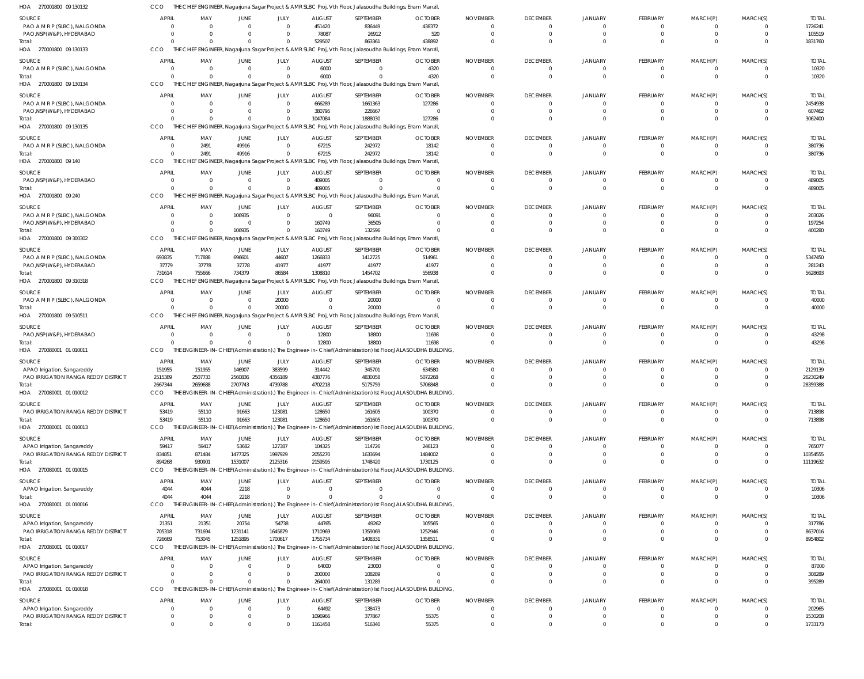| HOA 270001800 09 130132                                            | ссо                              |                      |                      |                                  |                    | THE CHIEF ENGINEER, Nagarjuna Sagar Project & AMR SLBC Proj, Vth Floor, Jalasoudha Buildings, Erram Manzil,             |                                                                                                                        |                 |                                  |                      |                              |                              |                                  |                     |
|--------------------------------------------------------------------|----------------------------------|----------------------|----------------------|----------------------------------|--------------------|-------------------------------------------------------------------------------------------------------------------------|------------------------------------------------------------------------------------------------------------------------|-----------------|----------------------------------|----------------------|------------------------------|------------------------------|----------------------------------|---------------------|
| SOURCE                                                             | <b>APRIL</b>                     | MAY                  | <b>JUNE</b>          | JULY                             | <b>AUGUST</b>      | SEPTEMBER                                                                                                               | <b>OCTOBER</b>                                                                                                         | <b>NOVEMBER</b> | <b>DECEMBER</b>                  | JANUARY              | FEBRUARY                     | MARCH(P)                     | MARCH(S)                         | <b>TOTAL</b>        |
| PAO A M R P (SLBC), NALGONDA                                       | $\Omega$                         | $\Omega$             | $\cap$               | $\Omega$                         | 451420             | 836449                                                                                                                  | 438372                                                                                                                 | -0              | $\mathbf{0}$                     | $\Omega$             | $\mathbf{0}$                 | $\mathbf{0}$                 | $\overline{0}$                   | 1726241             |
| PAO, NSP (W&P), HYDERABAD                                          | $\Omega$                         | $\Omega$             |                      | $\Omega$                         | 78087              | 26912                                                                                                                   | 520                                                                                                                    |                 | $\overline{0}$                   | $\Omega$             | $\mathbf 0$                  | $\mathbf 0$                  | $\overline{0}$                   | 105519              |
| Total:<br>HOA 270001800 09 130133                                  | $\Omega$<br>CCO                  | $\Omega$             | $\Omega$             | $\overline{0}$                   | 529507             | 863361<br>THE CHIEF ENGINEER, Nagarjuna Sagar Project & AMR SLBC Proj, Vth Floor, Jalasoudha Buildings, Erram Manzil,   | 438892                                                                                                                 |                 | $\Omega$                         | $\Omega$             | $\Omega$                     | $\Omega$                     | $\Omega$                         | 1831760             |
|                                                                    |                                  |                      |                      |                                  |                    |                                                                                                                         |                                                                                                                        |                 |                                  |                      |                              |                              |                                  |                     |
| SOURCE<br>PAO A M R P (SLBC), NALGONDA                             | <b>APRIL</b>                     | MAY                  | JUNE                 | JULY                             | <b>AUGUST</b>      | SEPTEMBER                                                                                                               | <b>OCTOBER</b>                                                                                                         | <b>NOVEMBER</b> | <b>DECEMBER</b>                  | JANUARY              | FEBRUARY                     | MARCH(P)                     | MARCH(S)                         | <b>TOTAL</b>        |
| Total                                                              | $\overline{0}$<br>$\Omega$       | 0<br>$\Omega$        | $\Omega$<br>$\Omega$ | $\overline{0}$<br>$\overline{0}$ | 6000<br>6000       | $\mathbf{0}$<br>$\Omega$                                                                                                | 4320<br>4320                                                                                                           |                 | $\overline{0}$<br>$\overline{0}$ | $\Omega$<br>$\Omega$ | $\mathbf{0}$<br>$\mathbf{0}$ | $\mathbf{0}$<br>$\mathbf{0}$ | $\overline{0}$<br>$\overline{0}$ | 10320<br>10320      |
| HOA 270001800 09 130134                                            | CCO                              |                      |                      |                                  |                    | THE CHIEF ENGINEER, Nagarjuna Sagar Project & AMR SLBC Proj, Vth Floor, Jalasoudha Buildings, Erram Manzil,             |                                                                                                                        |                 |                                  |                      |                              |                              |                                  |                     |
| SOURCE                                                             | <b>APRIL</b>                     | MAY                  | <b>JUNE</b>          | JULY                             | <b>AUGUST</b>      | SEPTEMBER                                                                                                               | <b>OCTOBER</b>                                                                                                         | <b>NOVEMBER</b> | <b>DECEMBER</b>                  | JANUARY              | FEBRUARY                     | MARCH(P)                     | MARCH(S)                         | <b>TOTAL</b>        |
| PAO A M R P (SLBC), NALGONDA                                       | 0                                | $\overline{0}$       | $\Omega$             | $\overline{0}$                   | 666289             | 1661363                                                                                                                 | 127286                                                                                                                 |                 | $\Omega$                         | $\Omega$             | $\mathbf{0}$                 | 0                            | $\Omega$                         | 2454938             |
| PAO, NSP(W&P), HYDERABAD                                           | $\Omega$                         | $\Omega$             |                      | $\overline{0}$                   | 380795             | 226667                                                                                                                  |                                                                                                                        |                 | $\Omega$                         |                      | $\mathbf{0}$                 | $\mathbf{0}$                 | $\overline{0}$                   | 607462              |
| Total:                                                             | $\Omega$                         | $\Omega$             | $\Omega$             | $\overline{0}$                   | 1047084            | 1888030                                                                                                                 | 127286                                                                                                                 |                 | $\Omega$                         | $\Omega$             | $\mathbf 0$                  | $\mathbf 0$                  | $\overline{0}$                   | 3062400             |
| HOA 270001800 09 130135                                            | CCO                              |                      |                      |                                  |                    | THE CHIEF ENGINEER, Nagarjuna Sagar Project & AMR SLBC Proj, Vth Floor, Jalasoudha Buildings, Erram Manzil,             |                                                                                                                        |                 |                                  |                      |                              |                              |                                  |                     |
| SOURCE                                                             | <b>APRIL</b>                     | MAY                  | <b>JUNE</b>          | JULY                             | <b>AUGUST</b>      | SEPTEMBER                                                                                                               | <b>OCTOBER</b>                                                                                                         | <b>NOVEMBER</b> | <b>DECEMBER</b>                  | JANUARY              | FEBRUARY                     | MARCH(P)                     | MARCH(S)                         | <b>TOTAL</b>        |
| PAO A M R P (SLBC), NALGONDA                                       | $\overline{0}$                   | 2491                 | 49916                | $\overline{0}$                   | 67215              | 242972                                                                                                                  | 18142                                                                                                                  |                 | $\overline{0}$                   | $\Omega$             | $\mathbf{0}$                 | $\mathbf{0}$                 | $\overline{0}$                   | 380736              |
| Total:                                                             | $\Omega$                         | 2491                 | 49916                | $\overline{0}$                   | 67215              | 242972                                                                                                                  | 18142                                                                                                                  |                 | $\Omega$                         | $\Omega$             | $\mathbf{0}$                 | $\mathbf{0}$                 | $\overline{0}$                   | 380736              |
| HOA 270001800 09 140                                               | CCO                              | THE CHIE             |                      |                                  |                    | ENGINEER, Nagarjuna Sagar Project & AMR SLBC Proj, Vth Floor, Jalasoudha Buildings, Erram Manzil, i                     |                                                                                                                        |                 |                                  |                      |                              |                              |                                  |                     |
| SOURCE                                                             | <b>APRIL</b>                     | MAY                  | <b>JUNE</b>          | JULY                             | <b>AUGUST</b>      | SEPTEMBER                                                                                                               | <b>OCTOBER</b>                                                                                                         | <b>NOVEMBER</b> | <b>DECEMBER</b>                  | JANUARY              | FEBRUARY                     | MARCH(P)                     | MARCH(S)                         | <b>TOTAL</b>        |
| PAO, NSP(W&P), HYDERABAD                                           | $\overline{0}$                   | $\overline{0}$       | $\Omega$             | $\overline{0}$                   | 489005             | $\mathbf{0}$                                                                                                            | $\Omega$                                                                                                               |                 | $\overline{0}$                   | $\Omega$             | $\mathbf{0}$                 | $\mathbf{0}$                 | $\overline{0}$                   | 489005              |
| Total:<br>HOA 270001800 09 240                                     | $\Omega$<br>CCO                  | $\Omega$             | $\Omega$             | $\mathbf{0}$                     | 489005             | $\Omega$<br>THE CHIEF ENGINEER, Nagarjuna Sagar Project & AMR SLBC Proj, Vth Floor, Jalasoudha Buildings, Erram Manzil, |                                                                                                                        |                 | $\Omega$                         | $\Omega$             | $\mathbf 0$                  | $\mathbf{0}$                 | $\Omega$                         | 489005              |
|                                                                    |                                  |                      |                      |                                  |                    |                                                                                                                         |                                                                                                                        |                 |                                  |                      |                              |                              |                                  |                     |
| SOURCE                                                             | <b>APRIL</b>                     | MAY                  | JUNE                 | JULY                             | <b>AUGUST</b>      | SEPTEMBER                                                                                                               | <b>OCTOBER</b>                                                                                                         | <b>NOVEMBER</b> | <b>DECEMBER</b>                  | JANUARY              | FEBRUARY                     | MARCH(P)                     | MARCH(S)                         | <b>TOTAL</b>        |
| PAO A M R P (SLBC), NALGONDA<br>PAO, NSP(W&P), HYDERABAD           | $\overline{0}$<br>$\overline{0}$ | 0<br>0               | 106935<br>$\Omega$   | $\overline{0}$<br>$\overline{0}$ | $\Omega$<br>160749 | 96091<br>36505                                                                                                          |                                                                                                                        |                 | $\Omega$<br>$\Omega$             | $\Omega$             | $\mathbf 0$<br>$\mathbf 0$   | $\mathbf{0}$<br>$\mathbf{0}$ | $\Omega$<br>$\Omega$             | 203026<br>197254    |
| Total:                                                             | $\Omega$                         | $\Omega$             | 106935               | $\Omega$                         | 160749             | 132596                                                                                                                  |                                                                                                                        |                 | $\Omega$                         | $\Omega$             | $\mathbf 0$                  | $\mathbf 0$                  | $\Omega$                         | 400280              |
| HOA 270001800 09 300302                                            | CCO                              |                      |                      |                                  |                    | THE CHIEF ENGINEER, Nagarjuna Sagar Project & AMR SLBC Proj, Vth Floor, Jalasoudha Buildings, Erram Manzil,             |                                                                                                                        |                 |                                  |                      |                              |                              |                                  |                     |
| SOURCE                                                             | <b>APRIL</b>                     | MAY                  | JUNE                 | JULY                             | <b>AUGUST</b>      | SEPTEMBER                                                                                                               | <b>OCTOBER</b>                                                                                                         | <b>NOVEMBER</b> | <b>DECEMBER</b>                  | JANUARY              | FEBRUARY                     | MARCH(P)                     | MARCH(S)                         | <b>TOTAL</b>        |
| PAO A M R P (SLBC), NALGONDA                                       | 693835                           | 717888               | 696601               | 44607                            | 1266833            | 1412725                                                                                                                 | 514961                                                                                                                 |                 | $\Omega$                         | $\Omega$             | $\mathbf{0}$                 | $\mathbf{0}$                 | $\overline{0}$                   | 5347450             |
| PAO, NSP (W&P), HYDERABAD                                          | 37779                            | 37778                | 37778                | 41977                            | 41977              | 41977                                                                                                                   | 41977                                                                                                                  |                 | $\overline{0}$                   | $\Omega$             | $\mathbf{0}$                 | $\mathbf{0}$                 | $\overline{0}$                   | 281243              |
| Total:                                                             | 731614                           | 755666               | 734379               | 86584                            | 1308810            | 1454702                                                                                                                 | 556938                                                                                                                 |                 | $\Omega$                         |                      | $\mathbf 0$                  | $\mathbf 0$                  | $\overline{0}$                   | 5628693             |
| HOA 270001800 09 310318                                            | CCO                              |                      |                      |                                  |                    | THE CHIEF ENGINEER, Nagarjuna Sagar Project & AMR SLBC Proj, Vth Floor, Jalasoudha Buildings, Erram Manzil,             |                                                                                                                        |                 |                                  |                      |                              |                              |                                  |                     |
| SOURCE                                                             | <b>APRIL</b>                     | MAY                  | JUNE                 | JULY                             | <b>AUGUST</b>      | SEPTEMBER                                                                                                               | <b>OCTOBER</b>                                                                                                         | <b>NOVEMBER</b> | <b>DECEMBER</b>                  | JANUARY              | FEBRUARY                     | MARCH(P)                     | MARCH(S)                         | <b>TOTAL</b>        |
| PAO A M R P (SLBC), NALGONDA                                       | $\overline{0}$                   | $\overline{0}$       | $\Omega$             | 20000                            | $\Omega$           | 20000                                                                                                                   |                                                                                                                        |                 | $\Omega$                         | $\Omega$             | $\mathbf{0}$                 | 0                            | $\Omega$                         | 40000               |
| Total:                                                             | $\Omega$                         | $\Omega$             | $\Omega$             | 20000                            |                    | 20000                                                                                                                   |                                                                                                                        |                 | $\Omega$                         | $\Omega$             | $\mathbf{0}$                 | $\mathbf 0$                  | $\Omega$                         | 40000               |
| HOA 270001800 09 510511                                            | CCO                              |                      |                      |                                  |                    | THE CHIEF ENGINEER, Nagarjuna Sagar Project & AMR SLBC Proj, Vth Floor, Jalasoudha Buildings, Erram Manzil,             |                                                                                                                        |                 |                                  |                      |                              |                              |                                  |                     |
| SOURCE                                                             | <b>APRIL</b>                     | MAY                  | JUNE                 | JULY                             | <b>AUGUST</b>      | SEPTEMBER                                                                                                               | <b>OCTOBER</b>                                                                                                         | <b>NOVEMBER</b> | <b>DECEMBER</b>                  | JANUARY              | FEBRUARY                     | MARCH(P)                     | MARCH(S)                         | <b>TOTAL</b>        |
| PAO, NSP(W&P), HYDERABAD                                           | $\overline{0}$                   | $\Omega$             | $\Omega$             | $\Omega$                         | 12800              | 18800                                                                                                                   | 11698                                                                                                                  |                 | $\overline{0}$                   | $\Omega$             | $\mathbf{0}$                 | $\mathbf{0}$                 | $\overline{0}$                   | 43298               |
| Total:<br>HOA 270080001 01 010011                                  | $\Omega$<br>CCO                  | $\Omega$             | $\Omega$             | $\mathbf{0}$                     | 12800              | 18800                                                                                                                   | 11698<br>THE ENGINEER-IN-CHIEF(Administration).) The Engineer-in-Chief(Administration) Ist Floor, JALASOUDHA BUILDING, | $\Omega$        | $\overline{0}$                   | $\Omega$             | $\mathbf{0}$                 | $\mathbf{0}$                 | $\overline{0}$                   | 43298               |
|                                                                    |                                  |                      |                      |                                  |                    |                                                                                                                         |                                                                                                                        |                 |                                  |                      |                              |                              |                                  |                     |
| SOURCE                                                             | <b>APRIL</b>                     | MAY                  | JUNE                 | JULY                             | <b>AUGUST</b>      | SEPTEMBER                                                                                                               | <b>OCTOBER</b>                                                                                                         | <b>NOVEMBER</b> | <b>DECEMBER</b>                  | JANUARY              | FEBRUARY                     | MARCH(P)                     | MARCH(S)                         | <b>TOTAL</b>        |
| APAO Irrigation, Sangareddy<br>PAO IRRIGATION RANGA REDDY DISTRICT | 151955<br>2515389                | 151955<br>2507733    | 146907<br>2560836    | 383599<br>4356189                | 314442<br>4387776  | 345701<br>4830058                                                                                                       | 634580<br>5072268                                                                                                      |                 | $\Omega$                         | $\Omega$             | $\mathbf{0}$<br>$\mathbf{0}$ | $\mathbf{0}$<br>$\mathbf{0}$ | $\Omega$<br>$\Omega$             | 2129139<br>26230249 |
| Total:                                                             | 2667344                          | 2659688              | 2707743              | 4739788                          | 4702218            | 5175759                                                                                                                 | 5706848                                                                                                                |                 | $\Omega$                         | $\Omega$             | $\Omega$                     | $\Omega$                     | $\Omega$                         | 28359388            |
| HOA 270080001 01 010012                                            | CCO                              |                      |                      |                                  |                    |                                                                                                                         | THE ENGINEER-IN-CHIEF(Administration).) The Engineer-in-Chief(Administration) Ist Floor,JALASOUDHA BUILDING,           |                 |                                  |                      |                              |                              |                                  |                     |
| <b>SOURCE</b>                                                      | <b>APRIL</b>                     | MAY                  | JUNE                 | JULY                             | <b>AUGUST</b>      | SEPTEMBER                                                                                                               | <b>OCTOBER</b>                                                                                                         | <b>NOVEMBER</b> | <b>DECEMBER</b>                  | <b>JANUARY</b>       | FEBRUARY                     | MARCH(P)                     | MARCH(S)                         | <b>TOTAL</b>        |
| PAO IRRIGATION RANGA REDDY DISTRICT                                | 53419                            | 55110                | 91663                | 123081                           | 128650             | 161605                                                                                                                  | 100370                                                                                                                 |                 | $\Omega$                         | $\Omega$             | $\mathbf{0}$                 | $\mathbf{0}$                 | $\overline{0}$                   | 713898              |
| Total:                                                             | 53419                            | 55110                | 91663                | 123081                           | 128650             | 161605                                                                                                                  | 100370                                                                                                                 | $\Omega$        | $\overline{0}$                   | $\Omega$             | $\mathbf{0}$                 | $\mathbf{0}$                 | $\overline{0}$                   | 713898              |
| HOA 270080001 01 010013                                            | CCO                              |                      |                      |                                  |                    |                                                                                                                         | THE ENGINEER-IN-CHIEF(Administration).) The Engineer-in-Chief(Administration) Ist Floor,JALASOUDHA BUILDING,           |                 |                                  |                      |                              |                              |                                  |                     |
| SOURCE                                                             | <b>APRIL</b>                     | MAY                  | JUNE                 | JULY                             | <b>AUGUST</b>      | SEPTEMBER                                                                                                               | <b>OCTOBER</b>                                                                                                         | <b>NOVEMBER</b> | <b>DECEMBER</b>                  | JANUARY              | FEBRUARY                     | MARCH(P)                     | MARCH(S)                         | <b>TOTAL</b>        |
| APAO Irrigation, Sangareddy                                        | 59417                            | 59417                | 53682                | 127387                           | 104325             | 114726                                                                                                                  | 246123                                                                                                                 |                 | $\Omega$                         | $\Omega$             | $\mathbf{0}$                 | $\mathbf{0}$                 | $\Omega$                         | 765077              |
| PAO IRRIGATION RANGA REDDY DISTRICT                                | 834851                           | 871484               | 1477325              | 1997929                          | 2055270            | 1633694                                                                                                                 | 1484002                                                                                                                |                 | $\Omega$                         | $\Omega$             | $\mathbf 0$                  | $\mathbf 0$                  | $\overline{0}$                   | 10354555            |
| Total                                                              | 894268                           | 930901               | 1531007              | 2125316                          | 2159595            | 1748420                                                                                                                 | 1730125                                                                                                                |                 | $\Omega$                         | $\Omega$             | $\mathbf 0$                  | $\mathbf 0$                  | $\overline{0}$                   | 11119632            |
| HOA 270080001 01 010015                                            | CCO                              |                      |                      |                                  |                    |                                                                                                                         | THE ENGINEER-IN-CHIEF(Administration).) The Engineer-in-Chief(Administration) Ist Floor,JALASOUDHA BUILDING,           |                 |                                  |                      |                              |                              |                                  |                     |
| SOURCE                                                             | <b>APRIL</b>                     | MAY                  | JUNE                 | JULY                             | <b>AUGUST</b>      | SEPTEMBER                                                                                                               | <b>OCTOBER</b>                                                                                                         | <b>NOVEMBER</b> | <b>DECEMBER</b>                  | JANUARY              | FEBRUARY                     | MARCH(P)                     | MARCH(S)                         | <b>TOTAL</b>        |
| APAO Irrigation, Sangareddy                                        | 4044                             | 4044                 | 2218                 | $\overline{0}$                   | $\Omega$           | $\mathbf{0}$                                                                                                            | $\Omega$                                                                                                               | $\Omega$        | $\Omega$                         | $\Omega$             | $\mathbf{0}$                 | $\mathbf{0}$                 | $\overline{0}$                   | 10306               |
| Total:                                                             | 4044                             | 4044                 | 2218                 | $\Omega$                         |                    | $\Omega$                                                                                                                |                                                                                                                        | $\Omega$        | $\Omega$                         | $\Omega$             | $\mathbf 0$                  | $\mathbf{0}$                 | $\overline{0}$                   | 10306               |
| HOA 270080001 01 010016                                            | CCO                              |                      |                      |                                  |                    |                                                                                                                         | THE ENGINEER-IN-CHIEF(Administration).) The Engineer-in-Chief(Administration) Ist Floor, JALASOUDHA BUILDING,          |                 |                                  |                      |                              |                              |                                  |                     |
| SOURCE                                                             | <b>APRIL</b>                     | MAY                  | JUNE                 | JULY                             | <b>AUGUST</b>      | SEPTEMBER                                                                                                               | <b>OCTOBER</b>                                                                                                         | <b>NOVEMBER</b> | <b>DECEMBER</b>                  | JANUARY              | FEBRUARY                     | MARCH(P)                     | MARCH(S)                         | <b>TOTAL</b>        |
| APAO Irrigation, Sangareddy                                        | 21351                            | 21351                | 20754                | 54738                            | 44765              | 49262                                                                                                                   | 105565                                                                                                                 |                 | $\overline{0}$                   | $\Omega$             | $\mathbf 0$                  | $\mathbf{0}$                 | $\overline{0}$                   | 317786              |
| PAO IRRIGATION RANGA REDDY DISTRICT<br>Total:                      | 705318<br>726669                 | 731694<br>753045     | 1231141<br>1251895   | 1645879<br>1700617               | 1710969<br>1755734 | 1359069<br>1408331                                                                                                      | 1252946<br>1358511                                                                                                     |                 | $\Omega$<br>$\Omega$             | $\Omega$<br>$\Omega$ | $\mathbf 0$<br>$\mathbf 0$   | $\mathbf 0$<br>$\mathbf 0$   | $\overline{0}$<br>$\Omega$       | 8637016<br>8954802  |
| HOA 270080001 01 010017                                            | CCO                              |                      |                      |                                  |                    |                                                                                                                         | THE ENGINEER-IN-CHIEF(Administration).) The Engineer-in-Chief(Administration) Ist Floor,JALASOUDHA BUILDING,           |                 |                                  |                      |                              |                              |                                  |                     |
|                                                                    |                                  |                      |                      |                                  |                    |                                                                                                                         |                                                                                                                        |                 |                                  |                      |                              |                              |                                  |                     |
| SOURCE                                                             | <b>APRIL</b>                     | MAY                  | JUNE                 | JULY                             | <b>AUGUST</b>      | SEPTEMBER                                                                                                               | <b>OCTOBER</b>                                                                                                         | <b>NOVEMBER</b> | <b>DECEMBER</b>                  | JANUARY              | FEBRUARY                     | MARCH(P)                     | MARCH(S)                         | <b>TOTAL</b>        |
| APAO Irrigation, Sangareddy<br>PAO IRRIGATION RANGA REDDY DISTRICT | $\Omega$                         | $\Omega$<br>$\Omega$ | $\Omega$             | $\overline{0}$<br>$\overline{0}$ | 64000<br>200000    | 23000<br>108289                                                                                                         |                                                                                                                        |                 | $\Omega$<br>$\Omega$             | $\Omega$<br>$\Omega$ | $\mathbf{0}$<br>$\mathbf 0$  | $\mathbf{0}$<br>$\mathbf 0$  | $\Omega$<br>$\overline{0}$       | 87000<br>308289     |
| Total:                                                             | $\Omega$                         | $\Omega$             | $\Omega$             | $\mathbf{0}$                     | 264000             | 131289                                                                                                                  |                                                                                                                        |                 | $\Omega$                         | $\Omega$             | $\mathbf{0}$                 | $\mathbf 0$                  | $\overline{0}$                   | 395289              |
| HOA 270080001 01 010018                                            | CCO                              |                      |                      |                                  |                    |                                                                                                                         | THE ENGINEER-IN-CHIEF(Administration).) The Engineer-in-Chief(Administration) Ist Floor, JALASOUDHA BUILDING,          |                 |                                  |                      |                              |                              |                                  |                     |
| SOURCE                                                             | <b>APRIL</b>                     | MAY                  | <b>JUNE</b>          | JULY                             | <b>AUGUST</b>      | SEPTEMBER                                                                                                               | <b>OCTOBER</b>                                                                                                         | <b>NOVEMBER</b> | <b>DECEMBER</b>                  | JANUARY              | FEBRUARY                     | MARCH(P)                     | MARCH(S)                         | <b>TOTAL</b>        |
| APAO Irrigation, Sangareddy                                        | 0                                | 0                    |                      | $\overline{0}$                   | 64492              | 138473                                                                                                                  | - 0                                                                                                                    |                 | $\mathbf 0$                      | $\overline{0}$       | $\mathbf{0}$                 | 0                            | $\Omega$                         | 202965              |
| PAO IRRIGATION RANGA REDDY DISTRICT                                | $\overline{0}$                   | $\mathbf{0}$         |                      | $\mathbf{0}$                     | 1096966            | 377867                                                                                                                  | 55375                                                                                                                  |                 | $\overline{0}$                   | $\overline{0}$       | $\mathbf 0$                  | $\mathbf 0$                  | $\overline{0}$                   | 1530208             |
| Total:                                                             | $\mathbf 0$                      | $\Omega$             | $\Omega$             | $\Omega$                         | 1161458            | 516340                                                                                                                  | 55375                                                                                                                  |                 | $\Omega$                         | $\overline{0}$       | $\mathbf 0$                  | $\mathbf 0$                  | $\overline{0}$                   | 1733173             |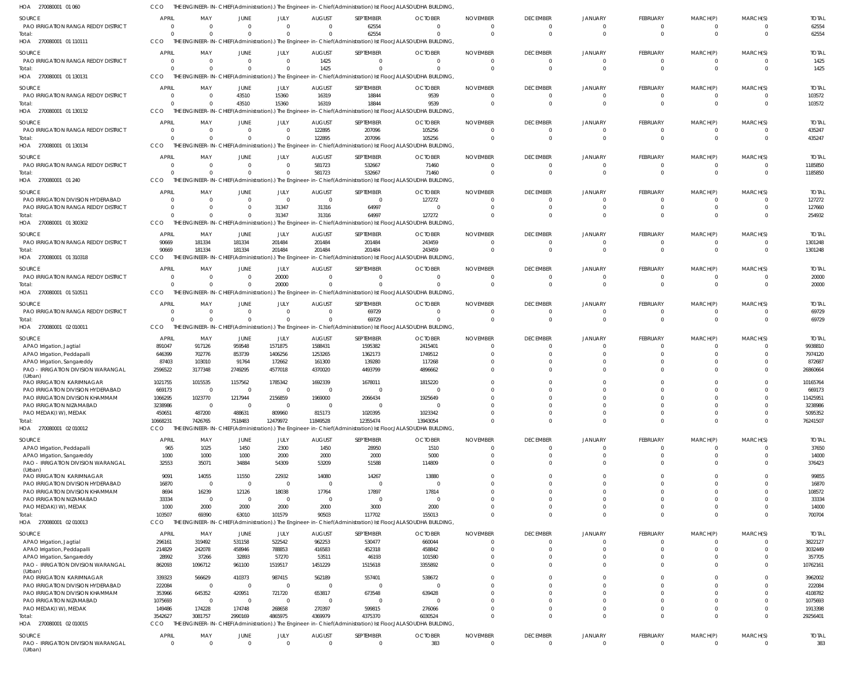| HOA<br>270080001 01 060                                           |                  |                          |                          |                          |                          |                          | THE ENGINEER-IN-CHIEF(Administration).) The Engineer-in-Chief(Administration) Ist Floor,JALASOUDHA BUILDING,             |                         |                            |                      |                            |                            |                            |                   |
|-------------------------------------------------------------------|------------------|--------------------------|--------------------------|--------------------------|--------------------------|--------------------------|--------------------------------------------------------------------------------------------------------------------------|-------------------------|----------------------------|----------------------|----------------------------|----------------------------|----------------------------|-------------------|
| <b>SOURCE</b>                                                     | <b>APRIL</b>     | MAY                      | <b>JUNE</b>              | JULY                     | <b>AUGUST</b>            | SEPTEMBER                | <b>OCTOBER</b>                                                                                                           | <b>NOVEMBER</b>         | <b>DECEMBER</b>            | <b>JANUARY</b>       | <b>FEBRUARY</b>            | MARCH(P)                   | MARCH(S)                   | <b>TOTAL</b>      |
| PAO IRRIGATION RANGA REDDY DISTRICT                               | $\Omega$         | $\overline{0}$           | $^{\circ}$               | $\mathbf 0$              | $\overline{0}$           | 62554                    | $\mathbf{0}$                                                                                                             | $\Omega$                | 0                          | 0                    | 0                          | $\overline{0}$             | $\Omega$                   | 62554             |
| Total:                                                            | $\Omega$         | $\mathbf 0$              | $\Omega$                 | $\Omega$                 | $\Omega$                 | 62554                    | $\Omega$                                                                                                                 | $\Omega$                | $\mathbf 0$                | $\Omega$             | $\Omega$                   | $\Omega$                   | $\Omega$                   | 62554             |
| HOA<br>270080001 01 110111                                        | CCO              |                          |                          |                          |                          |                          | THE ENGINEER-IN-CHIEF(Administration).) The Engineer-in-Chief(Administration) Ist Floor, JALASOUDHA BUILDING,            |                         |                            |                      |                            |                            |                            |                   |
| <b>SOURCE</b>                                                     | <b>APRIL</b>     | MAY                      | <b>JUNE</b>              | JULY                     | <b>AUGUST</b>            | SEPTEMBER                | <b>OCTOBER</b>                                                                                                           | <b>NOVEMBER</b>         | <b>DECEMBER</b>            | <b>JANUARY</b>       | FEBRUARY                   | MARCH(P)                   | MARCH(S)                   | <b>TOTAL</b>      |
| PAO IRRIGATION RANGA REDDY DISTRICT                               | $\Omega$         | $\overline{0}$           | $\Omega$                 | $\Omega$                 | 1425                     | $\Omega$                 | $\overline{0}$                                                                                                           | $\Omega$                | $\mathbf 0$                | 0                    | $\Omega$                   | $\overline{0}$             | - 0                        | 1425              |
| Total:                                                            | $\Omega$         | $\Omega$                 | $\Omega$                 | $\Omega$                 | 1425                     | $\Omega$                 | $\Omega$                                                                                                                 | $\Omega$                | $\Omega$                   | $\Omega$             | $\Omega$                   | $\Omega$                   | $\Omega$                   | 1425              |
| 270080001 01 130131<br>HOA                                        | CCO              |                          |                          |                          |                          |                          | THE ENGINEER-IN-CHIEF(Administration).) The Engineer-in-Chief(Administration) Ist Floor, JALASOUDHA BUILDING,            |                         |                            |                      |                            |                            |                            |                   |
| <b>SOURCE</b>                                                     | <b>APRIL</b>     | MAY                      | <b>JUNE</b>              | JULY                     | <b>AUGUST</b>            | SEPTEMBER                | <b>OCTOBER</b>                                                                                                           | <b>NOVEMBER</b>         | <b>DECEMBER</b>            | <b>JANUARY</b>       | FEBRUARY                   | MARCH(P)                   | MARCH(S)                   | <b>TOTAL</b>      |
| PAO IRRIGATION RANGA REDDY DISTRICT                               | $\Omega$         | $\mathbf{0}$             | 43510                    | 15360                    | 16319                    | 18844                    | 9539                                                                                                                     | $\Omega$                | $\Omega$                   | 0                    | $\Omega$                   | $\Omega$                   | - 0                        | 103572            |
| Total:                                                            | $\Omega$         | $\mathbf{0}$             | 43510                    | 15360                    | 16319                    | 18844                    | 9539                                                                                                                     | $\Omega$                | $\mathbf 0$                | $\Omega$             | $\Omega$                   | $\Omega$                   | - 0                        | 103572            |
| 270080001 01 130132<br>HOA                                        | CCO              |                          |                          |                          |                          |                          | THE ENGINEER-IN-CHIEF(Administration).) The Engineer-in-Chief(Administration) Ist Floor, JALASOUDHA BUILDING,            |                         |                            |                      |                            |                            |                            |                   |
| <b>SOURCE</b>                                                     | <b>APRIL</b>     | MAY                      | <b>JUNE</b>              | JULY                     | <b>AUGUST</b>            | SEPTEMBER                | <b>OCTOBER</b>                                                                                                           | <b>NOVEMBER</b>         | <b>DECEMBER</b>            | <b>JANUARY</b>       | FEBRUARY                   | MARCH(P)                   | MARCH(S)                   | <b>TOTAL</b>      |
| PAO IRRIGATION RANGA REDDY DISTRICT                               | $\Omega$         | $\overline{0}$           | $\mathbf{0}$             | $\Omega$                 | 122895                   | 207096                   | 105256                                                                                                                   | $\Omega$                | 0                          |                      | 0                          | $\Omega$                   | $\Omega$                   | 435247            |
| Total:                                                            | $\Omega$         | $\mathbf 0$              | $\Omega$                 | $\Omega$                 | 122895                   | 207096                   | 105256                                                                                                                   | $\Omega$                | $\mathbf 0$                | $\Omega$             | $\Omega$                   | $\Omega$                   | $\Omega$                   | 435247            |
| HOA<br>270080001 01 130134                                        | CCO              |                          |                          |                          |                          |                          | THE ENGINEER-IN-CHIEF(Administration).) The Engineer-in-Chief(Administration) Ist Floor, JALASOUDHA BUILDING,            |                         |                            |                      |                            |                            |                            |                   |
| <b>SOURCE</b>                                                     | <b>APRIL</b>     | MAY                      | <b>JUNE</b>              | JULY                     | <b>AUGUST</b>            | SEPTEMBER                | <b>OCTOBER</b>                                                                                                           | <b>NOVEMBER</b>         | <b>DECEMBER</b>            | <b>JANUARY</b>       | FEBRUARY                   | MARCH(P)                   | MARCH(S)                   | <b>TOTAL</b>      |
| PAO IRRIGATION RANGA REDDY DISTRICT                               | $\Omega$         | $\overline{0}$           | $^{\circ}$               | $\mathbf{0}$             | 581723                   | 532667                   | 71460                                                                                                                    | $\Omega$                | 0                          | $\Omega$             | $\Omega$                   | $\Omega$                   | - 0                        | 1185850           |
| Total:                                                            | $\Omega$         | $\mathbf 0$              | $\Omega$                 | $\Omega$                 | 581723                   | 532667                   | 71460                                                                                                                    | $\Omega$                | $\mathbf 0$                | $\Omega$             | $\Omega$                   | $\Omega$                   | $\Omega$                   | 1185850           |
| 270080001 01 240<br>HOA                                           | CCO              |                          |                          |                          |                          |                          | THE ENGINEER-IN-CHIEF(Administration).) The Engineer-in-Chief(Administration) Ist Floor, JALASOUDHA BUILDING,            |                         |                            |                      |                            |                            |                            |                   |
| <b>SOURCE</b>                                                     | <b>APRIL</b>     | MAY                      | <b>JUNE</b>              | JULY                     | <b>AUGUST</b>            | SEPTEMBER                | <b>OCTOBER</b>                                                                                                           | <b>NOVEMBER</b>         | <b>DECEMBER</b>            | <b>JANUARY</b>       | FEBRUARY                   | MARCH(P)                   | MARCH(S)                   | <b>TOTAL</b>      |
| PAO IRRIGATION DIVISION HYDERABAD                                 | $\Omega$         | $\overline{0}$           | $\Omega$                 | $\Omega$                 | $\overline{0}$           | $\Omega$                 | 127272                                                                                                                   | $\Omega$                | $\Omega$                   |                      | $\Omega$                   | $\Omega$                   | - 0                        | 127272            |
| PAO IRRIGATION RANGA REDDY DISTRICT                               | $\Omega$         | $^{\circ}$               | $\mathbf 0$              | 31347                    | 31316                    | 64997                    | $\mathbf 0$                                                                                                              | $\Omega$                | $\Omega$                   |                      | $\Omega$                   | $\Omega$                   | $\Omega$                   | 127660            |
| Total:                                                            | $\Omega$         | $\Omega$                 | $\Omega$                 | 31347                    | 31316                    | 64997                    | 127272                                                                                                                   | $\Omega$                | $\Omega$                   |                      | $\Omega$                   | $\Omega$                   | $\Omega$                   | 254932            |
| HOA<br>270080001 01 300302                                        | CCO              |                          |                          |                          |                          |                          | THE ENGINEER-IN-CHIEF(Administration).) The Engineer-in-Chief(Administration) Ist Floor,JALASOUDHA BUILDING,             |                         |                            |                      |                            |                            |                            |                   |
| <b>SOURCE</b>                                                     | <b>APRIL</b>     | MAY                      | JUNE                     | JULY                     | <b>AUGUST</b>            | SEPTEMBER                | <b>OCTOBER</b>                                                                                                           | <b>NOVEMBER</b>         | <b>DECEMBER</b>            | <b>JANUARY</b>       | FEBRUARY                   | MARCH(P)                   | MARCH(S)                   | <b>TOTAL</b>      |
| PAO IRRIGATION RANGA REDDY DISTRICT                               | 90669            | 181334                   | 181334                   | 201484                   | 201484                   | 201484                   | 243459                                                                                                                   | $\Omega$                | 0                          | 0                    | 0                          | $\overline{0}$             | - 0                        | 1301248           |
| Total:                                                            | 90669            | 181334                   | 181334                   | 201484                   | 201484                   | 201484                   | 243459                                                                                                                   | $\Omega$                | $\mathbf 0$                | $\Omega$             | $\Omega$                   | $\Omega$                   | - 0                        | 1301248           |
| 270080001 01 310318<br>HOA                                        | CCO              |                          |                          |                          |                          |                          | THE ENGINEER-IN-CHIEF(Administration).) The Engineer-in-Chief(Administration) Ist Floor, JALASOUDHA BUILDING,            |                         |                            |                      |                            |                            |                            |                   |
| <b>SOURCE</b>                                                     | <b>APRIL</b>     | MAY                      | <b>JUNE</b>              | JULY                     | <b>AUGUST</b>            | SEPTEMBER                | <b>OCTOBER</b>                                                                                                           | <b>NOVEMBER</b>         | <b>DECEMBER</b>            | <b>JANUARY</b>       | FEBRUARY                   | MARCH(P)                   | MARCH(S)                   | <b>TOTAL</b>      |
| PAO IRRIGATION RANGA REDDY DISTRICT                               | $\Omega$         | $\mathbf 0$              | $\mathbf 0$              | 20000                    | $\overline{0}$           | $\Omega$                 | $\overline{0}$                                                                                                           | $\Omega$                | $\mathbf 0$                | 0                    | $\Omega$                   | $\overline{0}$             | $\Omega$                   | 20000             |
| Total:                                                            | $\Omega$         | $\Omega$                 | $\Omega$                 | 20000                    | $\Omega$                 | $\Omega$                 | $\mathbf 0$                                                                                                              | $\Omega$                | $\Omega$                   | $\Omega$             | $\Omega$                   | $\Omega$                   | $\Omega$                   | 20000             |
| 270080001 01 510511<br>HOA                                        | CCO              |                          |                          |                          |                          |                          | THE ENGINEER-IN-CHIEF(Administration).) The Engineer-in-Chief(Administration) Ist Floor, JALASOUDHA BUILDING,            |                         |                            |                      |                            |                            |                            |                   |
| <b>SOURCE</b>                                                     | <b>APRIL</b>     | MAY                      | <b>JUNE</b>              | JULY                     | <b>AUGUST</b>            | SEPTEMBER                | <b>OCTOBER</b>                                                                                                           | <b>NOVEMBER</b>         | <b>DECEMBER</b>            | <b>JANUARY</b>       | FEBRUARY                   | MARCH(P)                   | MARCH(S)                   | <b>TOTAL</b>      |
| PAO IRRIGATION RANGA REDDY DISTRICT                               | $\Omega$         | $\mathbf 0$              | $\mathbf 0$              | $\mathbf 0$              | $\Omega$                 | 69729                    | $\mathbf 0$                                                                                                              | $\Omega$                | $\Omega$                   |                      | $\Omega$                   | $\Omega$                   | $\Omega$                   | 69729             |
| Total:                                                            | $\Omega$         | $\Omega$                 | $\Omega$                 | $\Omega$                 | $\Omega$                 | 69729                    | $\mathbf 0$                                                                                                              | $\Omega$                | $\mathbf{0}$               | $\Omega$             | $\Omega$                   | $\Omega$                   | $\Omega$                   | 69729             |
| HOA<br>270080001 02 010011                                        | CCO              |                          |                          |                          |                          |                          | THE ENGINEER-IN-CHIEF(Administration).) The Engineer-in-Chief(Administration) Ist Floor, JALASOUDHA BUILDING,            |                         |                            |                      |                            |                            |                            |                   |
| <b>SOURCE</b>                                                     | APRIL            | MAY                      | JUNE                     | JULY                     | <b>AUGUST</b>            | SEPTEMBER                | <b>OCTOBER</b>                                                                                                           | <b>NOVEMBER</b>         | <b>DECEMBER</b>            | <b>JANUARY</b>       | FEBRUARY                   | MARCH(P)                   | MARCH(S)                   | <b>TOTAL</b>      |
| APAO Irrigation, Jagtial                                          | 891047           | 917126                   | 959548                   | 1571875                  | 1588431                  | 1595382                  | 2415401                                                                                                                  | $\Omega$                | C                          |                      | $\Omega$                   |                            | $\Omega$                   | 9938810           |
| APAO Irrigation, Peddapalli                                       | 646399           | 702776                   | 853739                   | 1406256                  | 1253265                  | 1362173                  | 1749512                                                                                                                  |                         | $\Omega$                   |                      |                            |                            | $\Omega$                   | 7974120           |
| APAO Irrigation, Sangareddy                                       | 87403            | 103010                   | 91764                    | 172662                   | 161300                   | 139280                   | 117268                                                                                                                   |                         | $\Omega$                   |                      |                            |                            | $\Omega$                   | 872687            |
| PAO - IRRIGATION DIVISION WARANGAL<br>(Urban)                     | 2596522          | 3177348                  | 2749295                  | 4577018                  | 4370020                  | 4493799                  | 4896662                                                                                                                  |                         | $\Omega$                   |                      | $\Omega$                   |                            | $\Omega$                   | 26860664          |
| PAO IRRIGATION KARIMNAGAR                                         | 1021755          | 1015535                  | 1157562                  | 1785342                  | 1692339                  | 1678011                  | 1815220                                                                                                                  |                         | $\Omega$                   |                      |                            | $\Omega$                   | $\Omega$                   | 10165764          |
| PAO IRRIGATION DIVISION HYDERABAD                                 | 669173           |                          | $\cap$                   |                          |                          |                          |                                                                                                                          |                         |                            |                      |                            |                            |                            | 669173            |
| PAO IRRIGATION DIVISION KHAMMAM                                   | 1066295          | 1023770                  | 1217944                  | 2156859                  | 1969000                  | 2066434                  | 1925649                                                                                                                  | $\Omega$                | $\Omega$                   |                      | $\Omega$                   | $\Omega$                   | $\Omega$                   | 11425951          |
| PAO IRRIGATION NIZAMABAD                                          | 3238986          | $\mathbf{0}$             | $\overline{0}$           | $\Omega$                 | $\overline{0}$           | $\overline{0}$           | $\Omega$                                                                                                                 | $\Omega$                | $\Omega$                   |                      | $\Omega$                   | $\Omega$                   | $\Omega$                   | 3238986           |
| PAO MEDAK(IW), MEDAK                                              | 450651           | 487200                   | 488631                   | 809960                   | 815173                   | 1020395                  | 1023342                                                                                                                  | $\Omega$<br>$\Omega$    | $\Omega$<br>$\mathbf 0$    | $\Omega$<br>$\Omega$ | $\Omega$<br>$\Omega$       | $\Omega$<br>$\Omega$       | $\Omega$<br>$\Omega$       | 5095352           |
| Total:<br>HOA<br>270080001 02 010012                              | 10668231<br>CCO  | 7426765                  | 7518483                  | 12479972                 | 11849528                 | 12355474                 | 13943054<br>THE ENGINEER-IN-CHIEF(Administration).) The Engineer-in-Chief(Administration) Ist Floor,JALASOUDHA BUILDING, |                         |                            |                      |                            |                            |                            | 76241507          |
|                                                                   |                  |                          |                          |                          |                          |                          |                                                                                                                          |                         |                            |                      |                            |                            |                            |                   |
| <b>SOURCE</b>                                                     | <b>APRIL</b>     | MAY                      | JUNE                     | JULY                     | <b>AUGUST</b>            | SEPTEMBER                | <b>OCTOBER</b>                                                                                                           | <b>NOVEMBER</b>         | <b>DECEMBER</b>            | <b>JANUARY</b>       | FEBRUARY                   | MARCH(P)                   | MARCH(S)                   | <b>TOTAL</b>      |
| APAO Irrigation, Peddapalli                                       | 965              | 1025                     | 1450                     | 2300                     | 1450                     | 28950                    | 1510                                                                                                                     | $\mathbf 0$             | $\mathbf 0$                | $\Omega$             | $\Omega$                   | $\overline{0}$             | $\Omega$                   | 37650             |
| APAO Irrigation, Sangareddy<br>PAO - IRRIGATION DIVISION WARANGAL | 1000<br>32553    | 1000<br>35071            | 1000<br>34884            | 2000<br>54309            | 2000<br>53209            | 2000<br>51588            | 5000<br>114809                                                                                                           | $\mathbf 0$<br>$\Omega$ | $\mathbf 0$<br>$\mathbf 0$ | $\Omega$             | $\overline{0}$<br>$\Omega$ | $\overline{0}$<br>$\Omega$ | $\overline{0}$<br>$\Omega$ | 14000<br>376423   |
| (Urban)                                                           |                  |                          |                          |                          |                          |                          |                                                                                                                          |                         |                            |                      |                            |                            |                            |                   |
| PAO IRRIGATION KARIMNAGAR                                         | 9091             | 14055                    | 11550                    | 22932                    | 14080                    | 14267                    | 13880                                                                                                                    | $\Omega$                | $\Omega$                   |                      | $\Omega$                   | $\Omega$                   | $\Omega$                   | 99855             |
| PAO IRRIGATION DIVISION HYDERABAD                                 | 16870            | $\overline{0}$           | $\mathbf{0}$             | $\overline{0}$           | $\overline{0}$           | $\overline{0}$           | $\overline{0}$                                                                                                           | $\Omega$                | $\Omega$                   |                      | $\Omega$                   | $\Omega$                   | $\Omega$                   | 16870             |
| PAO IRRIGATION DIVISION KHAMMAM                                   | 8694             | 16239                    | 12126                    | 18038                    | 17764                    | 17897                    | 17814                                                                                                                    | $\Omega$                | $\Omega$                   |                      | $\Omega$                   | $\Omega$                   | $\Omega$                   | 108572            |
| PAO IRRIGATION NIZAMABAD<br>PAO MEDAK(IW), MEDAK                  | 33334<br>1000    | $\mathbf{0}$<br>2000     | $\overline{0}$<br>2000   | $\mathbf 0$<br>2000      | $\overline{0}$<br>2000   | $\overline{0}$<br>3000   | $\overline{0}$<br>2000                                                                                                   | $\Omega$<br>$\Omega$    | $\Omega$<br>$\Omega$       |                      | $\Omega$<br>$\Omega$       | $\Omega$<br>$\overline{0}$ | $\Omega$<br>$\Omega$       | 33334<br>14000    |
| Total:                                                            | 103507           | 69390                    | 63010                    | 101579                   | 90503                    | 117702                   | 155013                                                                                                                   | $\Omega$                | $\Omega$                   | $\Omega$             | $\Omega$                   | $\Omega$                   | $\Omega$                   | 700704            |
| HOA<br>270080001 02 010013                                        | CCO              |                          |                          |                          |                          |                          | THE ENGINEER-IN-CHIEF(Administration).) The Engineer-in-Chief(Administration) Ist Floor, JALASOUDHA BUILDING,            |                         |                            |                      |                            |                            |                            |                   |
| <b>SOURCE</b>                                                     | <b>APRIL</b>     | MAY                      | JUNE                     | JULY                     | <b>AUGUST</b>            | SEPTEMBER                | <b>OCTOBER</b>                                                                                                           | <b>NOVEMBER</b>         | <b>DECEMBER</b>            | <b>JANUARY</b>       | FEBRUARY                   | MARCH(P)                   | MARCH(S)                   | <b>TOTAL</b>      |
| APAO Irrigation, Jagtial                                          | 296161           | 319492                   | 531158                   | 522542                   | 962253                   | 530477                   | 660044                                                                                                                   | $\mathbf 0$             | $\Omega$                   |                      | $\Omega$                   |                            | $\Omega$                   | 3822127           |
| APAO Irrigation, Peddapalli                                       | 214829           | 242078                   | 458946                   | 788853                   | 416583                   | 452318                   | 458842                                                                                                                   | $\Omega$                | $\mathbf 0$                |                      | $\overline{0}$             | $\Omega$                   | $\Omega$                   | 3032449           |
| APAO Irrigation, Sangareddy                                       | 28992            | 37266                    | 32893                    | 57270                    | 53511                    | 46193                    | 101580                                                                                                                   | $\mathbf 0$             | $\mathbf 0$                | 0                    | $\Omega$                   | $\Omega$                   | $\Omega$                   | 357705            |
| PAO - IRRIGATION DIVISION WARANGAL                                | 862093           | 1096712                  | 961100                   | 1519517                  | 1451229                  | 1515618                  | 3355892                                                                                                                  | $\Omega$                | $\Omega$                   |                      | $\Omega$                   | $\Omega$                   | $\Omega$                   | 10762161          |
| (Urban)                                                           |                  |                          |                          |                          |                          |                          |                                                                                                                          |                         |                            |                      |                            |                            |                            |                   |
| PAO IRRIGATION KARIMNAGAR<br>PAO IRRIGATION DIVISION HYDERABAD    | 339323<br>222084 | 566629<br>$\overline{0}$ | 410373<br>$\overline{0}$ | 987415<br>$\overline{0}$ | 562189<br>$\overline{0}$ | 557401<br>$\overline{0}$ | 538672<br>-0                                                                                                             | $\Omega$<br>$\Omega$    | $\Omega$<br>$\Omega$       |                      | $\Omega$<br>$\Omega$       | $\Omega$<br>$\Omega$       | $\Omega$<br>$\Omega$       | 3962002<br>222084 |
| PAO IRRIGATION DIVISION KHAMMAM                                   | 353966           | 645352                   | 420951                   | 721720                   | 653817                   | 673548                   | 639428                                                                                                                   | $\Omega$                | $\Omega$                   |                      | $\Omega$                   | $\Omega$                   | $\Omega$                   | 4108782           |
| PAO IRRIGATION NIZAMABAD                                          | 1075693          | $\mathbf{0}$             | $\overline{0}$           | $\Omega$                 | $\overline{0}$           | $\overline{0}$           | $^{\circ}$                                                                                                               | $\Omega$                | $\Omega$                   |                      | $\Omega$                   | $\Omega$                   | $\Omega$                   | 1075693           |
| PAO MEDAK(IW), MEDAK                                              | 149486           | 174228                   | 174748                   | 268658                   | 270397                   | 599815                   | 276066                                                                                                                   | $\Omega$                | $\Omega$                   |                      | $\Omega$                   | $\Omega$                   | $\Omega$                   | 1913398           |
| Total:                                                            | 3542627          | 3081757                  | 2990169                  | 4865975                  | 4369979                  | 4375370                  | 6030524                                                                                                                  | $\Omega$                | $\Omega$                   | $\Omega$             | $\Omega$                   | $\Omega$                   | $\Omega$                   | 29256401          |
| HOA<br>270080001 02 010015                                        | CCO              |                          |                          |                          |                          |                          | THE ENGINEER-IN-CHIEF(Administration).) The Engineer-in-Chief(Administration) Ist Floor,JALASOUDHA BUILDING,             |                         |                            |                      |                            |                            |                            |                   |
| <b>SOURCE</b>                                                     | <b>APRIL</b>     | MAY                      | <b>JUNE</b>              | JULY                     | <b>AUGUST</b>            | SEPTEMBER                | <b>OCTOBER</b>                                                                                                           | <b>NOVEMBER</b>         | <b>DECEMBER</b>            | <b>JANUARY</b>       | FEBRUARY                   | MARCH(P)                   | MARCH(S)                   | <b>TOTAL</b>      |
| PAO - IRRIGATION DIVISION WARANGAL                                | $\overline{0}$   | $\overline{0}$           | $\mathbf 0$              | $\mathbf 0$              | $\overline{0}$           | $\overline{0}$           | 383                                                                                                                      | $\mathbf 0$             | $\mathbf 0$                | $\mathbf 0$          | $\overline{0}$             | $\overline{0}$             | $\overline{0}$             | 383               |
| (Urban)                                                           |                  |                          |                          |                          |                          |                          |                                                                                                                          |                         |                            |                      |                            |                            |                            |                   |
|                                                                   |                  |                          |                          |                          |                          |                          |                                                                                                                          |                         |                            |                      |                            |                            |                            |                   |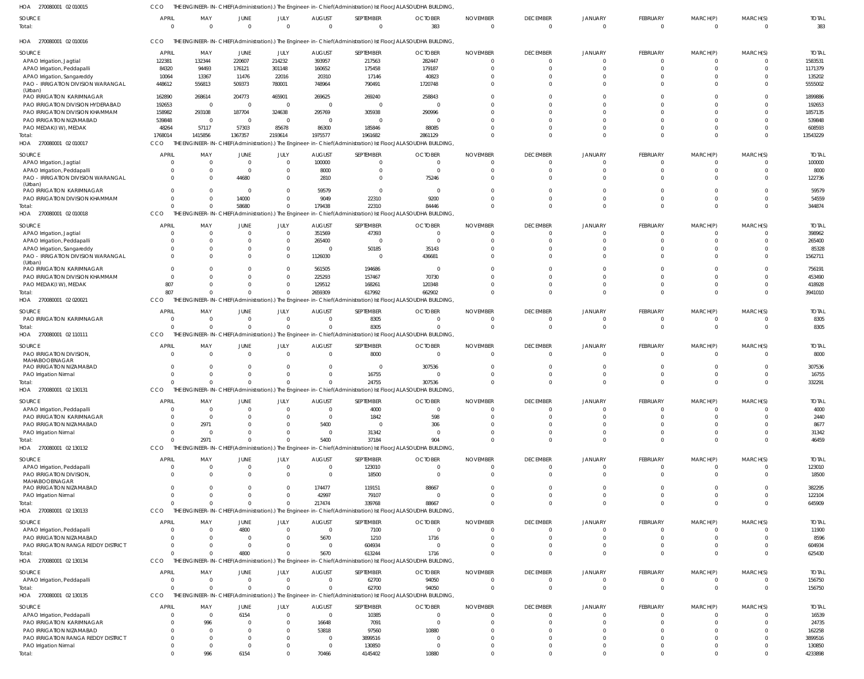| HOA 270080001 02 010015                       |                          |                 |                         |                         |                    |                             | THE ENGINEER-IN-CHIEF(Administration).) The Engineer-in-Chief(Administration) Ist Floor,JALASOUDHA BUILDING,  |                             |                                   |                            |                          |                         |                      |                     |
|-----------------------------------------------|--------------------------|-----------------|-------------------------|-------------------------|--------------------|-----------------------------|---------------------------------------------------------------------------------------------------------------|-----------------------------|-----------------------------------|----------------------------|--------------------------|-------------------------|----------------------|---------------------|
| SOURCE<br>Total:                              | <b>APRIL</b><br>$\Omega$ | MAY<br>$\Omega$ | JUNE<br>$\overline{0}$  | JULY<br>$\mathbf 0$     | AUGUST<br>$\Omega$ | SEPTEMBER<br>$\overline{0}$ | <b>OCTOBER</b><br>383                                                                                         | <b>NOVEMBER</b><br>$\Omega$ | <b>DECEMBER</b><br>$\overline{0}$ | <b>JANUARY</b><br>$\Omega$ | FEBRUARY<br>$\mathbf{0}$ | MARCH(P)<br>$\Omega$    | MARCH(S)<br>$\Omega$ | <b>TOTAL</b><br>383 |
| 270080001 02 010016<br>HOA                    | <b>CCO</b>               |                 |                         |                         |                    |                             | THE ENGINEER-IN-CHIEF(Administration).) The Engineer-in-Chief(Administration) Ist Floor,JALASOUDHA BUILDING,  |                             |                                   |                            |                          |                         |                      |                     |
| SOURCE                                        | <b>APRIL</b>             | MAY             | JUNE                    | JULY                    | <b>AUGUST</b>      | SEPTEMBER                   | <b>OCTOBER</b>                                                                                                | <b>NOVEMBER</b>             | <b>DECEMBER</b>                   | JANUARY                    | FEBRUARY                 | MARCH(P)                | MARCH(S)             | <b>TOTAL</b>        |
| APAO Irrigation, Jagtial                      | 122381                   | 132344          | 220607                  | 214232                  | 393957             | 217563                      | 282447                                                                                                        |                             | $\overline{0}$                    | $\overline{0}$             | $\mathbf 0$              | $\mathbf 0$             | $\Omega$             | 1583531             |
| APAO Irrigation, Peddapalli                   | 84320                    | 94493           | 176121                  | 301148                  | 160652             | 175458                      | 179187                                                                                                        |                             | $\Omega$                          | $\Omega$                   | $\Omega$                 | $\Omega$                |                      | 1171379             |
| APAO Irrigation, Sangareddy                   | 10064                    | 13367           | 11476                   | 22016                   | 20310              | 17146                       | 40823                                                                                                         |                             | $\Omega$                          | $\Omega$                   | $\Omega$                 | $\Omega$                |                      | 135202              |
| PAO - IRRIGATION DIVISION WARANGAL            | 448612                   | 556813          | 509373                  | 780001                  | 748964             | 790491                      | 1720748                                                                                                       |                             | $\Omega$                          | $\Omega$                   | $\Omega$                 | $\Omega$                |                      | 5555002             |
| (Urban)                                       |                          |                 |                         |                         |                    |                             |                                                                                                               |                             |                                   |                            |                          |                         |                      |                     |
| PAO IRRIGATION KARIMNAGAR                     | 162890                   | 268614          | 204773                  | 465901                  | 269625             | 269240                      | 258843                                                                                                        |                             | $\Omega$                          |                            |                          | $\Omega$                |                      | 1899886             |
| PAO IRRIGATION DIVISION HYDERABAD             | 192653                   | - 0             | $\overline{0}$          | $\mathbf{0}$            | $\Omega$           | $\overline{0}$              |                                                                                                               |                             | $\Omega$                          |                            |                          | $\Omega$                |                      | 192653              |
| PAO IRRIGATION DIVISION KHAMMAM               | 158982                   | 293108          | 187704                  | 324638                  | 295769             | 305938                      | 290996                                                                                                        |                             | $\Omega$                          | $\Omega$                   | $\Omega$                 | $\Omega$                |                      | 1857135             |
| PAO IRRIGATION NIZAMABAD                      | 539848                   | $\Omega$        | $\overline{\mathbf{0}}$ | $\mathbf{0}$            | $\Omega$           | $\overline{0}$              |                                                                                                               |                             | $\Omega$                          | n                          |                          | $\Omega$                |                      | 539848              |
| PAO MEDAK(IW), MEDAK                          | 48264                    | 57117           | 57303                   | 85678                   | 86300              | 185846                      | 88085                                                                                                         |                             | $\Omega$                          | $\Omega$                   | $\Omega$                 | $\Omega$                |                      | 608593              |
| Total:                                        | 1768014                  | 1415856         | 1367357                 | 2193614                 | 1975577            | 1961682                     | 2861129                                                                                                       |                             | $\Omega$                          | $\Omega$                   | $\Omega$                 | $\Omega$                | $\Omega$             | 13543229            |
| HOA 270080001 02 010017                       | CCO                      |                 |                         |                         |                    |                             | THE ENGINEER-IN-CHIEF(Administration).) The Engineer-in-Chief(Administration) Ist Floor,JALASOUDHA BUILDING,  |                             |                                   |                            |                          |                         |                      |                     |
|                                               | <b>APRIL</b>             |                 |                         |                         |                    |                             |                                                                                                               |                             |                                   |                            |                          |                         |                      |                     |
| SOURCE                                        |                          | MAY             | JUNE<br>$\Omega$        | JULY<br>$\mathbf 0$     | <b>AUGUST</b>      | SEPTEMBER                   | <b>OCTOBER</b><br>$\Omega$                                                                                    | <b>NOVEMBER</b>             | <b>DECEMBER</b>                   | JANUARY<br>$\Omega$        | FEBRUARY                 | MARCH(P)                | MARCH(S)             | <b>TOTAL</b>        |
| APAO Irrigation, Jagtial                      | C                        |                 |                         |                         | 100000             | $\overline{0}$              |                                                                                                               |                             | $\mathbf{0}$                      |                            | -0                       | -0                      |                      | 100000              |
| APAO Irrigation, Peddapalli                   | C                        |                 | $\Omega$                | $\mathbf{0}$            | 8000               | $\mathbf{0}$                | $\Omega$                                                                                                      |                             | $\overline{0}$                    | $\Omega$                   | - 0                      | $\overline{0}$          |                      | 8000                |
| PAO - IRRIGATION DIVISION WARANGAL<br>(Urban) | $\Omega$                 |                 | 44680                   | $\mathbf 0$             | 2810               | $\Omega$                    | 75246                                                                                                         |                             | $\Omega$                          | $\Omega$                   | $\Omega$                 | $\Omega$                |                      | 122736              |
| PAO IRRIGATION KARIMNAGAR                     | C                        |                 | $\Omega$                | $\Omega$                | 59579              | $\mathbf{0}$                | $\Omega$                                                                                                      |                             | $\Omega$                          |                            |                          |                         |                      | 59579               |
| PAO IRRIGATION DIVISION KHAMMAM               | $\Omega$                 |                 | 14000                   | $\Omega$                | 9049               | 22310                       | 9200                                                                                                          |                             | $\Omega$                          | $\Omega$                   | $\Omega$                 | $\Omega$                | $\Omega$             | 54559               |
| Total:                                        | $\Omega$                 |                 | 58680                   | $\mathbf 0$             | 179438             | 22310                       | 84446                                                                                                         |                             | $\Omega$                          | $\Omega$                   | $\Omega$                 | $\Omega$                | $\Omega$             | 344874              |
| HOA 270080001 02 010018                       | CCO                      |                 |                         |                         |                    |                             | THE ENGINEER-IN-CHIEF(Administration).) The Engineer-in-Chief(Administration) Ist Floor, JALASOUDHA BUILDING, |                             |                                   |                            |                          |                         |                      |                     |
|                                               |                          |                 |                         |                         |                    |                             |                                                                                                               |                             |                                   |                            |                          |                         |                      |                     |
| SOURCE                                        | <b>APRIL</b>             | MAY             | JUNE                    | JULY                    | <b>AUGUST</b>      | SEPTEMBER                   | <b>OCTOBER</b>                                                                                                | <b>NOVEMBER</b>             | <b>DECEMBER</b>                   | JANUARY                    | FEBRUARY                 | MARCH(P)                | MARCH(S)             | <b>TOTAI</b>        |
| APAO Irrigation, Jagtial                      | C                        |                 | $\overline{0}$          | $\mathbf{0}$            | 351569             | 47393                       |                                                                                                               |                             | $\mathbf{0}$                      | $\overline{0}$             | $\overline{0}$           | $\overline{0}$          |                      | 398962              |
| APAO Irrigation, Peddapalli                   | $\Omega$                 |                 | $\Omega$                | $\mathbf{0}$            | 265400             | $\overline{0}$              |                                                                                                               |                             | $\Omega$                          | $\Omega$                   | $\Omega$                 | $\Omega$                |                      | 265400              |
| APAO Irrigation, Sangareddy                   | $\Omega$                 |                 | 0                       | $\mathbf{0}$            | $\Omega$           | 50185                       | 35143                                                                                                         |                             | $\Omega$                          | $\Omega$                   | $\Omega$                 | $\Omega$                |                      | 85328               |
| PAO - IRRIGATION DIVISION WARANGAL            | $\Omega$                 |                 | 0                       | $\mathbf{0}$            | 1126030            | $\overline{0}$              | 436681                                                                                                        |                             | $\Omega$                          | $\Omega$                   | $\Omega$                 | $\Omega$                |                      | 1562711             |
| (Urban)                                       | $\Omega$                 |                 | 0                       | $\mathbf 0$             |                    | 194686                      |                                                                                                               |                             | $\Omega$                          | $\Omega$                   | $\Omega$                 | $\Omega$                |                      |                     |
| PAO IRRIGATION KARIMNAGAR                     |                          |                 | <sup>0</sup>            |                         | 561505             |                             | - 0                                                                                                           |                             | $\Omega$                          | $\Omega$                   | $\Omega$                 | $\Omega$                |                      | 756191              |
| PAO IRRIGATION DIVISION KHAMMAM               | $\Omega$                 |                 |                         | $\mathbf{0}$            | 225293             | 157467                      | 70730                                                                                                         |                             | $\Omega$                          | $\Omega$                   | $\Omega$                 |                         | $\Omega$             | 453490              |
| PAO MEDAK(IW), MEDAK                          | 807                      |                 | 0<br>$\Omega$           | $\mathbf 0$<br>$\Omega$ | 129512             | 168261                      | 120348                                                                                                        |                             | $\Omega$                          | $\Omega$                   | $\Omega$                 | $\mathbf 0$<br>$\Omega$ | $\Omega$             | 418928              |
| Total:                                        | 807                      |                 |                         |                         | 2659309            | 617992                      | 662902                                                                                                        |                             |                                   |                            |                          |                         |                      | 3941010             |
| HOA 270080001 02 020021                       | CCO                      |                 |                         |                         |                    |                             | THE ENGINEER-IN-CHIEF(Administration).) The Engineer-in-Chief(Administration) Ist Floor, JALASOUDHA BUILDING, |                             |                                   |                            |                          |                         |                      |                     |
| SOURCE                                        | <b>APRIL</b>             | MAY             | JUNE                    | JULY                    | <b>AUGUST</b>      | SEPTEMBER                   | <b>OCTOBER</b>                                                                                                | <b>NOVEMBER</b>             | <b>DECEMBER</b>                   | JANUARY                    | FEBRUARY                 | MARCH(P)                | MARCH(S)             | <b>TOTAL</b>        |
| PAO IRRIGATION KARIMNAGAR                     | $\Omega$                 | $\Omega$        | $\overline{0}$          | $\mathbf{0}$            | $\Omega$           | 8305                        | $\Omega$                                                                                                      | $\Omega$                    | $\overline{0}$                    | $\Omega$                   | $\mathbf{0}$             | $\Omega$                |                      | 8305                |
| Total:                                        | $\Omega$                 | $\Omega$        | $\Omega$                | $\Omega$                | $\Omega$           | 8305                        |                                                                                                               | $\cap$                      | $\overline{0}$                    | $\Omega$                   | $\mathbf 0$              | $\mathbf 0$             | $\Omega$             | 8305                |
| HOA 270080001 02 110111                       | CCO                      |                 |                         |                         |                    |                             | THE ENGINEER-IN-CHIEF(Administration).) The Engineer-in-Chief(Administration) Ist Floor,JALASOUDHA BUILDING,  |                             |                                   |                            |                          |                         |                      |                     |
|                                               |                          |                 |                         |                         |                    |                             |                                                                                                               |                             |                                   |                            |                          |                         |                      |                     |
| SOURCE                                        | <b>APRIL</b>             | MAY             | JUNE                    | JULY                    | <b>AUGUST</b>      | SEPTEMBER                   | <b>OCTOBER</b>                                                                                                | <b>NOVEMBER</b>             | <b>DECEMBER</b>                   | JANUARY                    | FEBRUARY                 | MARCH(P)                | MARCH(S)             | <b>TOTAL</b>        |
| PAO IRRIGATION DIVISION,<br>MAHABOOBNAGAR     | $\overline{0}$           |                 | $\overline{0}$          | $\mathbf{0}$            | $\Omega$           | 8000                        | $\Omega$                                                                                                      |                             | $\overline{0}$                    | $\overline{0}$             | $\mathbf 0$              | $\mathbf 0$             | $\Omega$             | 8000                |
| PAO IRRIGATION NIZAMABAD                      | $\Omega$                 |                 | $\Omega$                | $\mathbf{0}$            |                    | $\overline{0}$              | 307536                                                                                                        |                             | $\Omega$                          | $\Omega$                   | $\Omega$                 | $\mathbf{0}$            |                      | 307536              |
| PAO Irrigation Nirmal                         | -C                       |                 | 0                       | $\Omega$                |                    | 16755                       |                                                                                                               |                             | $\Omega$                          | $\Omega$                   | $\Omega$                 | $\Omega$                |                      | 16755               |
| Total:                                        | $\Omega$                 | $\Omega$        | $\overline{0}$          | $\mathbf 0$             | $\mathbf{0}$       | 24755                       | 307536                                                                                                        |                             | $\Omega$                          | $\Omega$                   | $\Omega$                 | $\Omega$                | $\Omega$             | 332291              |
| HOA 270080001 02 130131                       | CCO                      |                 |                         |                         |                    |                             | THE ENGINEER-IN-CHIEF(Administration).) The Engineer-in-Chief(Administration) Ist Floor,JALASOUDHA BUILDING,  |                             |                                   |                            |                          |                         |                      |                     |
|                                               |                          |                 |                         |                         |                    |                             |                                                                                                               |                             |                                   |                            |                          |                         |                      |                     |
| SOURCE                                        | <b>APRIL</b>             | MAY             | JUNE                    | JULY                    | <b>AUGUST</b>      | SEPTEMBER                   | <b>OCTOBER</b>                                                                                                | <b>NOVEMBER</b>             | <b>DECEMBER</b>                   | <b>JANUARY</b>             | FEBRUARY                 | MARCH(P)                | MARCH(S)             | <b>TOTAL</b>        |
| APAO Irrigation, Peddapalli                   | 0                        | $\Omega$        | $\Omega$                | $\overline{0}$          | $\Omega$           | 4000                        | $\Omega$                                                                                                      |                             | $\mathbf{0}$                      | $\overline{0}$             | -0                       | -0                      |                      | 4000                |
| PAO IRRIGATION KARIMNAGAR                     | C                        | $\Omega$        |                         |                         | $\Omega$           | 1842                        | 598                                                                                                           |                             | $\Omega$                          | $\Omega$                   |                          |                         |                      | 2440                |
| PAO IRRIGATION NIZAMABAD                      | $\Omega$                 | 2971            |                         | $\Omega$                | 5400               | $\overline{0}$              | 306                                                                                                           |                             | $\Omega$                          | $\Omega$                   |                          |                         |                      | 8677                |
| PAO Irrigation Nirmal                         | $\Omega$                 | $\Omega$        | 0                       |                         | $\Omega$           | 31342                       | $\Omega$                                                                                                      |                             | $\Omega$                          | $\Omega$                   |                          | $\Omega$                |                      | 31342               |
| Total:                                        | $\Omega$                 | 2971            | $\Omega$                | $\Omega$                | 5400               | 37184                       | 904                                                                                                           |                             | $\Omega$                          | $\Omega$                   | $\Omega$                 | $\Omega$                |                      | 46459               |
| HOA 270080001 02 130132                       | CCO                      |                 |                         |                         |                    |                             | THE ENGINEER-IN-CHIEF(Administration).) The Engineer-in-Chief(Administration) Ist Floor,JALASOUDHA BUILDING,  |                             |                                   |                            |                          |                         |                      |                     |
| SOURCE                                        | <b>APRIL</b>             | MAY             | JUNE                    | JULY                    | <b>AUGUST</b>      | SEPTEMBER                   | <b>OCTOBER</b>                                                                                                | <b>NOVEMBER</b>             | <b>DECEMBER</b>                   | JANUARY                    | FEBRUARY                 | MARCH(P)                | MARCH(S)             | <b>TOTAL</b>        |
| APAO Irrigation, Peddapalli                   | 0                        |                 | $\overline{0}$          | $\mathbf{0}$            | $\overline{0}$     | 123010                      | - 0                                                                                                           |                             | $\overline{0}$                    | $\overline{0}$             | $\mathbf 0$              | $\mathbf 0$             | $\Omega$             | 123010              |
| PAO IRRIGATION DIVISION,                      | $\Omega$                 |                 | $\mathbf{0}$            | $\mathbf{0}$            | $\Omega$           | 18500                       |                                                                                                               |                             | $\mathbf{0}$                      | $\overline{0}$             | $\Omega$                 | $\mathbf 0$             |                      | 18500               |
| MAHABOOBNAGAR                                 |                          |                 |                         |                         |                    |                             |                                                                                                               |                             |                                   |                            |                          |                         |                      |                     |
| PAO IRRIGATION NIZAMABAD                      | $\Omega$                 |                 | $\Omega$                | $\mathbf{0}$            | 174477             | 119151                      | 88667                                                                                                         |                             | $\Omega$                          | $\Omega$                   | $\Omega$                 | $\Omega$                |                      | 382295              |
| PAO Irrigation Nirmal                         | $\Omega$                 |                 | $\mathbf{0}$            | $\mathbf{0}$            | 42997              | 79107                       |                                                                                                               |                             | $\overline{0}$                    | $\overline{0}$             | $\Omega$                 | $\mathbf 0$             | 0                    | 122104              |
| Total:                                        | $\Omega$                 |                 | $\Omega$                | $\Omega$                | 217474             | 339768                      | 88667                                                                                                         |                             | $\Omega$                          | $\Omega$                   | $\mathbf 0$              | $\mathbf 0$             | $\Omega$             | 645909              |
| HOA 270080001 02 130133                       | CCO                      |                 |                         |                         |                    |                             | THE ENGINEER-IN-CHIEF(Administration).) The Engineer-in-Chief(Administration) Ist Floor,JALASOUDHA BUILDING,  |                             |                                   |                            |                          |                         |                      |                     |
|                                               |                          |                 |                         |                         |                    |                             |                                                                                                               |                             |                                   |                            |                          |                         |                      |                     |
| SOURCE                                        | <b>APRIL</b>             | MAY             | JUNE                    | JULY                    | <b>AUGUST</b>      | SEPTEMBER                   | <b>OCTOBER</b>                                                                                                | <b>NOVEMBER</b>             | <b>DECEMBER</b>                   | JANUARY                    | FEBRUARY                 | MARCH(P)                | MARCH(S)             | <b>TOTAL</b>        |
| APAO Irrigation, Peddapalli                   | 0                        |                 | 4800                    | $\mathbf{0}$            | $\overline{0}$     | 7100                        | $\Omega$                                                                                                      |                             | $\mathbf{0}$                      | $\Omega$                   | $\Omega$                 | -0                      |                      | 11900               |
| PAO IRRIGATION NIZAMABAD                      | C                        |                 | $\Omega$                | $\mathbf 0$             | 5670               | 1210                        | 1716                                                                                                          |                             | $\overline{0}$                    | $\Omega$                   | $\Omega$                 | $\Omega$                |                      | 8596                |
| PAO IRRIGATION RANGA REDDY DISTRICT           | $\Omega$                 |                 | $\Omega$                | $\Omega$                | $\Omega$           | 604934                      | $\Omega$                                                                                                      |                             | $\Omega$                          | $\Omega$                   | $\overline{0}$           | $\overline{0}$          |                      | 604934              |
| Total:                                        | $\Omega$                 |                 | 4800                    | $\Omega$                | 5670               | 613244                      | 1716                                                                                                          |                             | $\Omega$                          | $\Omega$                   | $\Omega$                 | $\Omega$                |                      | 625430              |
| HOA 270080001 02 130134                       | CCO                      |                 |                         |                         |                    |                             | THE ENGINEER-IN-CHIEF(Administration).) The Engineer-in-Chief(Administration) Ist Floor,JALASOUDHA BUILDING,  |                             |                                   |                            |                          |                         |                      |                     |
| SOURCE                                        | <b>APRIL</b>             | MAY             | JUNE                    | JULY                    | <b>AUGUST</b>      | SEPTEMBER                   | <b>OCTOBER</b>                                                                                                | <b>NOVEMBER</b>             | <b>DECEMBER</b>                   | JANUARY                    | FEBRUARY                 | MARCH(P)                | MARCH(S)             | <b>TOTAL</b>        |
| APAO Irrigation, Peddapalli                   | $\overline{0}$           |                 | $\overline{0}$          | $\mathbf{0}$            | - 0                | 62700                       | 94050                                                                                                         | $\Omega$                    | $\overline{0}$                    | $\mathbf{0}$               | $\mathbf 0$              | $\mathbf 0$             | $\Omega$             | 156750              |
| Total:                                        | $\Omega$                 |                 | $\Omega$                | $\Omega$                |                    | 62700                       | 94050                                                                                                         |                             | $\overline{0}$                    | $\overline{0}$             | $\mathbf 0$              | $\mathbf 0$             | $\Omega$             | 156750              |
| HOA 270080001 02 130135                       | CCO                      |                 |                         |                         |                    |                             | THE ENGINEER-IN-CHIEF(Administration).) The Engineer-in-Chief(Administration) Ist Floor,JALASOUDHA BUILDING,  |                             |                                   |                            |                          |                         |                      |                     |
|                                               |                          |                 |                         |                         |                    |                             |                                                                                                               |                             |                                   |                            |                          |                         |                      |                     |
| SOURCE                                        | <b>APRIL</b>             | MAY             | JUNE                    | JULY                    | <b>AUGUST</b>      | SEPTEMBER                   | <b>OCTOBER</b>                                                                                                | <b>NOVEMBER</b>             | <b>DECEMBER</b>                   | JANUARY                    | FEBRUARY                 | MARCH(P)                | MARCH(S)             | <b>TOTAL</b>        |
| APAO Irrigation, Peddapalli                   | $\Omega$                 | $\Omega$        | 6154                    | $\mathbf{0}$            | $\Omega$           | 10385                       |                                                                                                               |                             | $\mathbf{0}$                      | $\Omega$                   |                          | -0                      |                      | 16539               |
| PAO IRRIGATION KARIMNAGAR                     | C                        | 996             | $\Omega$                | $\Omega$                | 16648              | 7091                        | $\Omega$                                                                                                      |                             | $\Omega$                          | $\Omega$                   |                          |                         |                      | 24735               |
| PAO IRRIGATION NIZAMABAD                      | -C                       |                 | <sup>0</sup>            | $\Omega$                | 53818              | 97560                       | 10880                                                                                                         |                             | $\Omega$                          |                            |                          |                         |                      | 162258              |
| PAO IRRIGATION RANGA REDDY DISTRICT           | $\Omega$                 |                 |                         | $\Omega$                | $\Omega$           | 3899516                     |                                                                                                               |                             | $\Omega$                          | $\Omega$                   |                          |                         |                      | 3899516             |
| PAO Irrigation Nirmal                         | $\mathbf 0$              | - 0             | $\Omega$                | $\Omega$                | $\overline{0}$     | 130850                      | $\Omega$                                                                                                      |                             | $\Omega$                          | $\overline{0}$             | $\Omega$                 | $\Omega$                |                      | 130850              |
| Total:                                        | $\Omega$                 | 996             | 6154                    | $\Omega$                | 70466              | 4145402                     | 10880                                                                                                         |                             | $\Omega$                          | $\Omega$                   |                          | $\Omega$                |                      | 4233898             |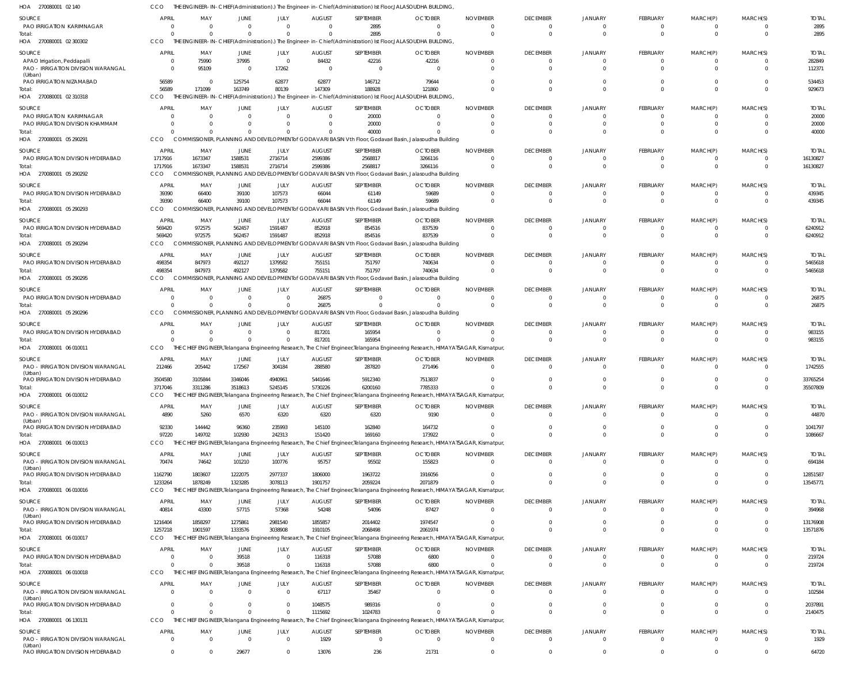| HOA<br>270080001 02 140                                                            |                            |                            |                               |                                  |                         | THE ENGINEER-IN-CHIEF(Administration).) The Engineer-in-Chief(Administration) Ist Floor,JALASOUDHA BUILDING,                                |                                |                             |                                   |                                  |                             |                         |                      |                         |
|------------------------------------------------------------------------------------|----------------------------|----------------------------|-------------------------------|----------------------------------|-------------------------|---------------------------------------------------------------------------------------------------------------------------------------------|--------------------------------|-----------------------------|-----------------------------------|----------------------------------|-----------------------------|-------------------------|----------------------|-------------------------|
| <b>SOURCE</b>                                                                      | <b>APRIL</b>               | MAY                        | <b>JUNE</b>                   | JULY                             | <b>AUGUST</b>           | SEPTEMBER                                                                                                                                   | <b>OCTOBER</b>                 | <b>NOVEMBER</b>             | <b>DECEMBER</b>                   | <b>JANUARY</b>                   | <b>FEBRUARY</b>             | MARCH(P)                | MARCH(S)             | <b>TOTAL</b>            |
| <b>PAO IRRIGATION KARIMNAGAR</b>                                                   | $\Omega$                   | $\Omega$                   | $\Omega$                      | $\overline{0}$                   | $\Omega$                | 2895                                                                                                                                        | $\Omega$                       | $\Omega$                    | $\overline{0}$                    | $\Omega$                         | -0                          | $\Omega$                | $\Omega$             | 2895                    |
| Total:                                                                             | $\Omega$                   | $\Omega$                   | $\Omega$                      | $\Omega$                         | $\Omega$                | 2895                                                                                                                                        | $\Omega$                       | $\Omega$                    | $\overline{0}$                    | $\Omega$                         | $\Omega$                    | $\Omega$                | $\Omega$             | 2895                    |
| HOA 270080001 02 300302                                                            | CCO                        |                            |                               |                                  |                         | THE ENGINEER-IN-CHIEF(Administration).) The Engineer-in-Chief(Administration) Ist Floor, JALASOUDHA BUILDING,                               |                                |                             |                                   |                                  |                             |                         |                      |                         |
| SOURCE                                                                             | <b>APRIL</b>               | MAY                        | <b>JUNE</b>                   | JULY                             | <b>AUGUST</b>           | SEPTEMBER                                                                                                                                   | <b>OCTOBER</b>                 | <b>NOVEMBER</b>             | <b>DECEMBER</b>                   | JANUARY                          | FEBRUARY                    | MARCH(P)                | MARCH(S)             | <b>TOTAL</b>            |
| APAO Irrigation, Peddapalli                                                        | - 0                        | 75990                      | 37995                         | $\overline{0}$                   | 84432                   | 42216                                                                                                                                       | 42216                          |                             | $\overline{0}$                    | 0                                | $\Omega$                    | $\mathbf 0$             | $\Omega$             | 282849                  |
| PAO - IRRIGATION DIVISION WARANGAL                                                 | $\Omega$                   | 95109                      | $\overline{0}$                | 17262                            | $\overline{0}$          | $\mathbf 0$                                                                                                                                 |                                |                             | $\Omega$                          | $\Omega$                         | $\Omega$                    | $\Omega$                |                      | 112371                  |
| (Urban)<br>PAO IRRIGATION NIZAMABAD                                                | 56589                      | - 0                        | 125754                        | 62877                            | 62877                   | 146712                                                                                                                                      | 79644                          |                             | $\Omega$                          | $\Omega$                         | $\Omega$                    | $\Omega$                |                      | 534453                  |
| Total:                                                                             | 56589                      | 171099                     | 163749                        | 80139                            | 147309                  | 188928                                                                                                                                      | 121860                         |                             | $\Omega$                          | $\Omega$                         | $\Omega$                    | $\Omega$                | $\Omega$             | 929673                  |
| 02 310318<br>HOA<br>270080001                                                      | CCO                        |                            |                               |                                  |                         | THE ENGINEER-IN-CHIEF(Administration).) The Engineer-in-Chief(Administration) Ist Floor, JALASOUDHA BUILDING,                               |                                |                             |                                   |                                  |                             |                         |                      |                         |
| SOURCE                                                                             | APRIL                      | MAY                        | <b>JUNE</b>                   | JULY                             | <b>AUGUST</b>           | SEPTEMBER                                                                                                                                   | <b>OCTOBER</b>                 | <b>NOVEMBER</b>             | <b>DECEMBER</b>                   | <b>JANUARY</b>                   | FEBRUARY                    | MARCH(P)                | MARCH(S)             | <b>TOTAL</b>            |
| PAO IRRIGATION KARIMNAGAR                                                          | -0                         | $\cap$                     | $\Omega$                      | $\Omega$                         | $\Omega$                | 20000                                                                                                                                       | $\Omega$                       |                             | $\Omega$                          | $\Omega$                         |                             |                         |                      | 20000                   |
| PAO IRRIGATION DIVISION KHAMMAM                                                    |                            |                            |                               | $\Omega$                         | $\Omega$                | 20000                                                                                                                                       |                                |                             | $\circ$                           | $\Omega$                         | $\Omega$                    | $^{\circ}$              |                      | 20000                   |
| Total:                                                                             |                            |                            |                               | $\Omega$                         |                         | 40000                                                                                                                                       |                                |                             | $\Omega$                          | $\Omega$                         |                             | $\Omega$                |                      | 40000                   |
| HOA 270080001 05 290291                                                            | CCO                        |                            |                               |                                  |                         | COMMISSIONER, PLANNING AND DEVELOPMENT of GODAVARI BASIN Vth Floor, Godavari Basin, Jalasoudha Building                                     |                                |                             |                                   |                                  |                             |                         |                      |                         |
| SOURCE                                                                             | <b>APRIL</b>               | MAY                        | <b>JUNE</b>                   | JULY                             | <b>AUGUST</b>           | SEPTEMBER                                                                                                                                   | <b>OCTOBER</b>                 | <b>NOVEMBER</b>             | <b>DECEMBER</b>                   | <b>JANUARY</b>                   | FEBRUARY                    | MARCH(P)                | MARCH(S)             | <b>TOTAL</b>            |
| PAO IRRIGATION DIVISION HYDERABAD                                                  | 1717916                    | 1673347                    | 1588531                       | 2716714                          | 2599386                 | 2568817                                                                                                                                     | 3266116                        |                             | $\overline{0}$                    | 0                                | $\Omega$                    | $\mathbf 0$             | 0                    | 16130827                |
| Total:                                                                             | 1717916                    | 1673347                    | 1588531                       | 2716714                          | 2599386                 | 2568817                                                                                                                                     | 3266116                        |                             | $\Omega$                          | $\Omega$                         | $\Omega$                    | $\mathbf 0$             | $\Omega$             | 16130827                |
| HOA 270080001 05 290292                                                            | CCO                        |                            |                               |                                  |                         | COMMISSIONER, PLANNING AND DEVELOPMENT of GODAVARI BASIN Vth Floor, Godavari Basin, Jalasoudha Building                                     |                                |                             |                                   |                                  |                             |                         |                      |                         |
| <b>SOURCE</b>                                                                      | <b>APRIL</b>               | MAY                        | JUNE                          | JULY                             | <b>AUGUST</b>           | SEPTEMBER                                                                                                                                   | <b>OCTOBER</b>                 | <b>NOVEMBER</b>             | <b>DECEMBER</b>                   | <b>JANUARY</b>                   | FEBRUARY                    | MARCH(P)                | MARCH(S)             | <b>TOTAL</b>            |
| PAO IRRIGATION DIVISION HYDERABAD                                                  | 39390                      | 66400                      | 39100                         | 107573                           | 66044                   | 61149                                                                                                                                       | 59689                          | $\Omega$                    | $\overline{0}$                    | $\Omega$                         |                             | $\Omega$                | $\Omega$             | 439345                  |
| Total:                                                                             | 39390                      | 66400                      | 39100                         | 107573                           | 66044                   | 61149                                                                                                                                       | 59689                          | $\Omega$                    | $\Omega$                          | $\Omega$                         | $\Omega$                    | $\Omega$                | $\Omega$             | 439345                  |
| HOA 270080001 05 290293                                                            | CCO                        |                            |                               |                                  |                         | COMMISSIONER, PLANNING AND DEVELOPMENT of GODAVARI BASIN Vth Floor, Godavari Basin, Jalasoudha Building                                     |                                |                             |                                   |                                  |                             |                         |                      |                         |
|                                                                                    |                            |                            |                               |                                  |                         | SEPTEMBER                                                                                                                                   |                                |                             |                                   |                                  |                             |                         |                      |                         |
| <b>SOURCE</b><br>PAO IRRIGATION DIVISION HYDERABAD                                 | <b>APRIL</b><br>569420     | MAY<br>972575              | <b>JUNE</b><br>562457         | JULY<br>1591487                  | <b>AUGUST</b><br>852918 | 854516                                                                                                                                      | <b>OCTOBER</b><br>837539       | <b>NOVEMBER</b>             | <b>DECEMBER</b><br>$\overline{0}$ | <b>JANUARY</b><br>$\Omega$       | <b>FEBRUARY</b><br>$\Omega$ | MARCH(P)<br>$\Omega$    | MARCH(S)             | <b>TOTAL</b><br>6240912 |
| Total:                                                                             | 569420                     | 972575                     | 562457                        | 1591487                          | 852918                  | 854516                                                                                                                                      | 837539                         |                             | $\overline{0}$                    | $\Omega$                         | $\mathbf 0$                 | $\mathbf 0$             | $\Omega$             | 6240912                 |
| HOA 270080001 05 290294                                                            | CCO                        |                            |                               |                                  |                         | COMMISSIONER, PLANNING AND DEVELOPMENT of GODAVARI BASIN Vth Floor, Godavari Basin, Jalasoudha Building                                     |                                |                             |                                   |                                  |                             |                         |                      |                         |
|                                                                                    |                            |                            |                               |                                  |                         |                                                                                                                                             |                                |                             |                                   |                                  |                             |                         |                      |                         |
| SOURCE                                                                             | <b>APRIL</b>               | MAY                        | JUNE                          | JULY                             | <b>AUGUST</b>           | SEPTEMBER                                                                                                                                   | <b>OCTOBER</b>                 | <b>NOVEMBER</b>             | <b>DECEMBER</b>                   | <b>JANUARY</b><br>$\Omega$       | FEBRUARY                    | MARCH(P)                | MARCH(S)             | <b>TOTAL</b>            |
| PAO IRRIGATION DIVISION HYDERABAD<br>Total:                                        | 498354<br>498354           | 847973<br>847973           | 492127<br>492127              | 1379582<br>1379582               | 755151<br>755151        | 751797<br>751797                                                                                                                            | 740634<br>740634               | $\Omega$                    | $\overline{0}$<br>$\Omega$        | $\Omega$                         | -0<br>$\Omega$              | $^{\circ}$<br>$\Omega$  | $\Omega$             | 5465618<br>5465618      |
| HOA 270080001 05 290295                                                            | CCO                        |                            |                               |                                  |                         | COMMISSIONER, PLANNING AND DEVELOPMENT of GODAVARI BASIN Vth Floor, Godavari Basin, Jalasoudha Building                                     |                                |                             |                                   |                                  |                             |                         |                      |                         |
|                                                                                    |                            |                            |                               |                                  |                         |                                                                                                                                             |                                |                             |                                   |                                  |                             |                         |                      |                         |
| SOURCE                                                                             | <b>APRIL</b>               | MAY                        | <b>JUNE</b>                   | JULY                             | <b>AUGUST</b>           | SEPTEMBER                                                                                                                                   | <b>OCTOBER</b>                 | <b>NOVEMBER</b>             | <b>DECEMBER</b>                   | <b>JANUARY</b>                   | FEBRUARY                    | MARCH(P)                | MARCH(S)             | <b>TOTAL</b>            |
| PAO IRRIGATION DIVISION HYDERABAD                                                  | $\Omega$                   |                            | 0<br>$\Omega$                 | $\overline{0}$<br>$\overline{0}$ | 26875<br>26875          | $\mathbf 0$<br>$\Omega$                                                                                                                     | $\Omega$                       |                             | $\overline{0}$<br>$\Omega$        | 0<br>$\Omega$                    | $\Omega$<br>$\Omega$        | $^{\circ}$<br>$\Omega$  |                      | 26875<br>26875          |
| Total:<br>HOA 270080001 05 290296                                                  | CCO                        |                            |                               |                                  |                         | COMMISSIONER, PLANNING AND DEVELOPMENT of GODAVARI BASIN Vth Floor, Godavari Basin, Jalasoudha Building                                     |                                |                             |                                   |                                  |                             |                         |                      |                         |
|                                                                                    |                            |                            |                               |                                  |                         |                                                                                                                                             |                                |                             |                                   |                                  |                             |                         |                      |                         |
| SOURCE                                                                             | <b>APRIL</b>               | MAY                        | JUNE                          | JULY                             | <b>AUGUST</b>           | SEPTEMBER                                                                                                                                   | <b>OCTOBER</b>                 | <b>NOVEMBER</b>             | <b>DECEMBER</b>                   | <b>JANUARY</b>                   | FEBRUARY                    | MARCH(P)                | MARCH(S)             | <b>TOTAL</b>            |
| PAO IRRIGATION DIVISION HYDERABAD                                                  | $\overline{0}$<br>$\Omega$ | $\Omega$<br>$\Omega$       | $\mathbf 0$<br>$\Omega$       | $\overline{0}$<br>$\mathbf 0$    | 817201<br>817201        | 165954<br>165954                                                                                                                            | $\Omega$<br><sup>0</sup>       | $\Omega$                    | $\Omega$<br>$\Omega$              | $\Omega$<br>$\Omega$             | $\Omega$                    | -0<br>$\Omega$          | $\Omega$<br>$\Omega$ | 983155<br>983155        |
| Total:<br>HOA 270080001 06 010011                                                  | CCO                        |                            |                               |                                  |                         | THE CHIEF ENGINEER, Telangana Engineering Research, The Chief Engineer, Telangana Engineering Research, HIMAYATSAGAR, Kismatpur,            |                                |                             |                                   |                                  |                             |                         |                      |                         |
|                                                                                    |                            |                            |                               |                                  |                         |                                                                                                                                             |                                |                             |                                   |                                  |                             |                         |                      |                         |
| SOURCE                                                                             | <b>APRIL</b>               | MAY                        | <b>JUNE</b>                   | JULY                             | <b>AUGUST</b>           | SEPTEMBER                                                                                                                                   | <b>OCTOBER</b>                 | <b>NOVEMBER</b>             | <b>DECEMBER</b>                   | <b>JANUARY</b>                   | FEBRUARY                    | MARCH(P)                | MARCH(S)             | <b>TOTAL</b>            |
| PAO - IRRIGATION DIVISION WARANGAL<br>(Urban)                                      | 212466                     | 205442                     | 172567                        | 304184                           | 288580                  | 287820                                                                                                                                      | 271496                         |                             | $\overline{0}$                    | $\Omega$                         | $\Omega$                    | $\Omega$                |                      | 1742555                 |
| PAO IRRIGATION DIVISION HYDERABAD                                                  | 3504580                    | 3105844                    | 3346046                       | 4940961                          | 5441646                 | 5912340                                                                                                                                     | 7513837                        |                             | $\Omega$                          |                                  |                             |                         |                      | 33765254                |
| Total:                                                                             | 3717046                    | 3311286                    | 3518613                       | 5245145                          | 5730226                 | 6200160                                                                                                                                     | 7785333                        |                             | $\cap$                            |                                  |                             |                         |                      | 35507809                |
| 270080001 06 010012<br>HOA                                                         | CCO                        |                            |                               |                                  |                         | THE CHIEF ENGINEER, Telangana Engineering Research, The Chief Engineer, Telangana Engineering Research, HIMAYATSAGAR, Kismatpur,            |                                |                             |                                   |                                  |                             |                         |                      |                         |
| SOURCE                                                                             | <b>APRIL</b>               | MAY                        | JUNE                          | JULY                             | <b>AUGUST</b>           | SEPTEMBER                                                                                                                                   | <b>OCTOBER</b>                 | <b>NOVEMBER</b>             | <b>DECEMBER</b>                   | <b>JANUARY</b>                   | FEBRUARY                    | MARCH(P)                | MARCH(S)             | <b>TOTAL</b>            |
| PAO - IRRIGATION DIVISION WARANGAL                                                 | 4890                       | 5260                       | 6570                          | 6320                             | 6320                    | 6320                                                                                                                                        | 9190                           | $\Omega$                    | $\overline{0}$                    | $\overline{0}$                   | $\Omega$                    | $\Omega$                | $\Omega$             | 44870                   |
| (Urban)                                                                            |                            |                            |                               |                                  |                         |                                                                                                                                             |                                |                             |                                   |                                  |                             |                         |                      |                         |
| PAO IRRIGATION DIVISION HYDERABAD                                                  | 92330                      | 144442                     | 96360                         | 235993                           | 145100                  | 162840                                                                                                                                      | 164732                         | $\Omega$<br>$\Omega$        | $\Omega$<br>$\Omega$              | $\Omega$<br>$\Omega$             | $\Omega$                    | $^{\circ}$              |                      | 1041797                 |
| Total:<br>HOA 270080001 06 010013                                                  | 97220<br>CCO               | 149702                     | 102930                        | 242313                           | 151420                  | 169160<br>THE CHIEF ENGINEER, Telangana Engineering Research, The Chief Engineer, Telangana Engineering Research, HIMAYATSAGAR, Kismatpur,  | 173922                         |                             |                                   |                                  | $\mathbf 0$                 | $\mathbf 0$             | $\mathbf 0$          | 1086667                 |
|                                                                                    |                            |                            |                               |                                  |                         |                                                                                                                                             |                                |                             |                                   |                                  |                             |                         |                      |                         |
| SOURCE                                                                             | <b>APRIL</b>               | MAY                        | <b>JUNE</b>                   | JULY                             | <b>AUGUST</b>           | SEPTEMBER                                                                                                                                   | <b>OCTOBER</b>                 | <b>NOVEMBER</b>             | <b>DECEMBER</b>                   | JANUARY                          | FEBRUARY                    | MARCH(P)                | MARCH(S)             | <b>TOTAL</b>            |
| PAO - IRRIGATION DIVISION WARANGAL<br>(Urban)                                      | 70474                      | 74642                      | 101210                        | 100776                           | 95757                   | 95502                                                                                                                                       | 155823                         | $\Omega$                    | $\overline{0}$                    | $\overline{0}$                   | $\mathbf 0$                 | $\mathbf 0$             | $\Omega$             | 694184                  |
| PAO IRRIGATION DIVISION HYDERABAD                                                  | 1162790                    | 1803607                    | 1222075                       | 2977337                          | 1806000                 | 1963722                                                                                                                                     | 1916056                        | $\Omega$                    | $\overline{0}$                    | $\overline{0}$                   | $\mathbf 0$                 | $\mathbf 0$             | $\Omega$             | 12851587                |
| Total:                                                                             | 1233264                    | 1878249                    | 1323285                       | 3078113                          | 1901757                 | 2059224                                                                                                                                     | 2071879                        | $\Omega$                    | $\Omega$                          | $\overline{0}$                   | $\mathbf 0$                 | $\mathbf 0$             | $\mathbf 0$          | 13545771                |
| HOA 270080001 06 010016                                                            | CCO                        |                            |                               |                                  |                         | THE CHIEF ENGINEER, Telangana Engineering Research, The Chief Engineer, Telangana Engineering Research, HIMAYATSAGAR, Kismatpur,            |                                |                             |                                   |                                  |                             |                         |                      |                         |
| <b>SOURCE</b>                                                                      | <b>APRIL</b>               | MAY                        | JUNE                          | JULY                             | <b>AUGUST</b>           | SEPTEMBER                                                                                                                                   | <b>OCTOBER</b>                 | <b>NOVEMBER</b>             | <b>DECEMBER</b>                   | <b>JANUARY</b>                   | FEBRUARY                    | MARCH(P)                | MARCH(S)             | <b>TOTAL</b>            |
| PAO - IRRIGATION DIVISION WARANGAL                                                 | 40814                      | 43300                      | 57715                         | 57368                            | 54248                   | 54096                                                                                                                                       | 87427                          | $\Omega$                    | $\overline{\mathbf{0}}$           | $\overline{0}$                   | 0                           | $^{\circ}$              | $\Omega$             | 394968                  |
| (Urban)                                                                            |                            |                            |                               |                                  |                         |                                                                                                                                             |                                |                             |                                   |                                  |                             |                         |                      |                         |
| PAO IRRIGATION DIVISION HYDERABAD                                                  | 1216404                    | 1858297                    | 1275861                       | 2981540                          | 1855857                 | 2014402                                                                                                                                     | 1974547                        |                             | $\overline{0}$                    | $\mathbf 0$                      | 0                           | $\mathbf 0$             | $\mathbf 0$          | 13176908                |
| Total:                                                                             | 1257218<br>CCO             | 1901597                    | 1333576                       | 3038908                          | 1910105                 | 2068498<br>THE CHIEF ENGINEER, Telangana Engineering Research, The Chief Engineer, Telangana Engineering Research, HIMAYATSAGAR, Kismatpur, | 2061974                        | $\Omega$                    | $\Omega$                          | $\Omega$                         | $\Omega$                    | $\Omega$                | $\Omega$             | 13571876                |
| HOA 270080001 06 010017                                                            |                            |                            |                               |                                  |                         |                                                                                                                                             |                                |                             |                                   |                                  |                             |                         |                      |                         |
| SOURCE                                                                             | <b>APRIL</b>               | MAY                        | <b>JUNE</b>                   | JULY                             | <b>AUGUST</b>           | SEPTEMBER                                                                                                                                   | <b>OCTOBER</b>                 | <b>NOVEMBER</b>             | <b>DECEMBER</b>                   | <b>JANUARY</b>                   | FEBRUARY                    | MARCH(P)                | MARCH(S)             | <b>TOTAL</b>            |
| PAO IRRIGATION DIVISION HYDERABAD                                                  | $\Omega$                   |                            | 39518                         | $\overline{0}$                   | 116318                  | 57088                                                                                                                                       | 6800                           | $\Omega$                    | $\overline{0}$                    | $\mathbf 0$                      | $\mathbf 0$                 | $^{\circ}$              | $\mathbf 0$          | 219724                  |
| Total:                                                                             | $\Omega$                   |                            | 39518                         | $\mathbf 0$                      | 116318                  | 57088                                                                                                                                       | 6800                           | $\Omega$                    | $\overline{0}$                    | $\overline{0}$                   | $\mathbf 0$                 | $\mathbf 0$             | $\overline{0}$       | 219724                  |
| HOA 270080001 06 010018                                                            | CCO                        |                            |                               |                                  |                         | THE CHIEF ENGINEER, Telangana Engineering Research, The Chief Engineer, Telangana Engineering Research, HIMAYATSAGAR, Kismatpur,            |                                |                             |                                   |                                  |                             |                         |                      |                         |
| <b>SOURCE</b>                                                                      | <b>APRIL</b>               | MAY                        | <b>JUNE</b>                   | JULY                             | <b>AUGUST</b>           | SEPTEMBER                                                                                                                                   | <b>OCTOBER</b>                 | <b>NOVEMBER</b>             | <b>DECEMBER</b>                   | <b>JANUARY</b>                   | FEBRUARY                    | MARCH(P)                | MARCH(S)             | <b>TOTAL</b>            |
|                                                                                    |                            | $\Omega$<br>$\Omega$       | $\Omega$                      | $\Omega$                         | 67117                   | 35467                                                                                                                                       | $\Omega$                       | $\Omega$                    | $\overline{\mathbf{0}}$           | $\overline{0}$                   | $\Omega$                    | $^{\circ}$              | $\Omega$             | 102584                  |
| PAO - IRRIGATION DIVISION WARANGAL                                                 |                            |                            |                               |                                  |                         |                                                                                                                                             |                                |                             |                                   |                                  |                             |                         |                      |                         |
| (Urban)                                                                            | $\Omega$                   |                            | $\Omega$                      | $\Omega$                         |                         |                                                                                                                                             |                                |                             | $\overline{0}$                    | $\mathbf 0$                      | $\Omega$                    | $^{\circ}$              | $\Omega$             |                         |
| PAO IRRIGATION DIVISION HYDERABAD<br>Total:                                        | $\Omega$                   | $\Omega$                   | $\Omega$                      | $\Omega$                         | 1048575<br>1115692      | 989316<br>1024783                                                                                                                           | <sup>0</sup>                   | $\Omega$                    | $\Omega$                          | $\Omega$                         | $\Omega$                    | $\mathbf 0$             | $\Omega$             | 2037891<br>2140475      |
| HOA 270080001 06 130131                                                            | CCO                        |                            |                               |                                  |                         | THE CHIEF ENGINEER, Telangana Engineering Research, The Chief Engineer, Telangana Engineering Research, HIMAYATSAGAR, Kismatpur,            |                                |                             |                                   |                                  |                             |                         |                      |                         |
|                                                                                    |                            |                            |                               |                                  |                         |                                                                                                                                             |                                |                             |                                   |                                  |                             |                         |                      |                         |
| SOURCE                                                                             | <b>APRIL</b><br>$\Omega$   | MAY                        | <b>JUNE</b><br>$\overline{0}$ | JULY<br>$\overline{0}$           | <b>AUGUST</b>           | SEPTEMBER<br>$\mathbf 0$                                                                                                                    | <b>OCTOBER</b><br>$\mathbf{0}$ | <b>NOVEMBER</b><br>$\Omega$ | <b>DECEMBER</b><br>$\overline{0}$ | <b>JANUARY</b><br>$\overline{0}$ | FEBRUARY<br>$\mathbf 0$     | MARCH(P)<br>$\mathbf 0$ | MARCH(S)<br>$\Omega$ | <b>TOTAL</b>            |
| PAO - IRRIGATION DIVISION WARANGAL<br>(Urban)<br>PAO IRRIGATION DIVISION HYDERABAD |                            | $\overline{0}$<br>$\Omega$ | 29677                         | $\overline{0}$                   | 1929<br>13076           | 236                                                                                                                                         | 21731                          | $\overline{0}$              | $\overline{0}$                    | $\overline{0}$                   | $\mathbf 0$                 | $\mathbf 0$             | $\mathbf 0$          | 1929<br>64720           |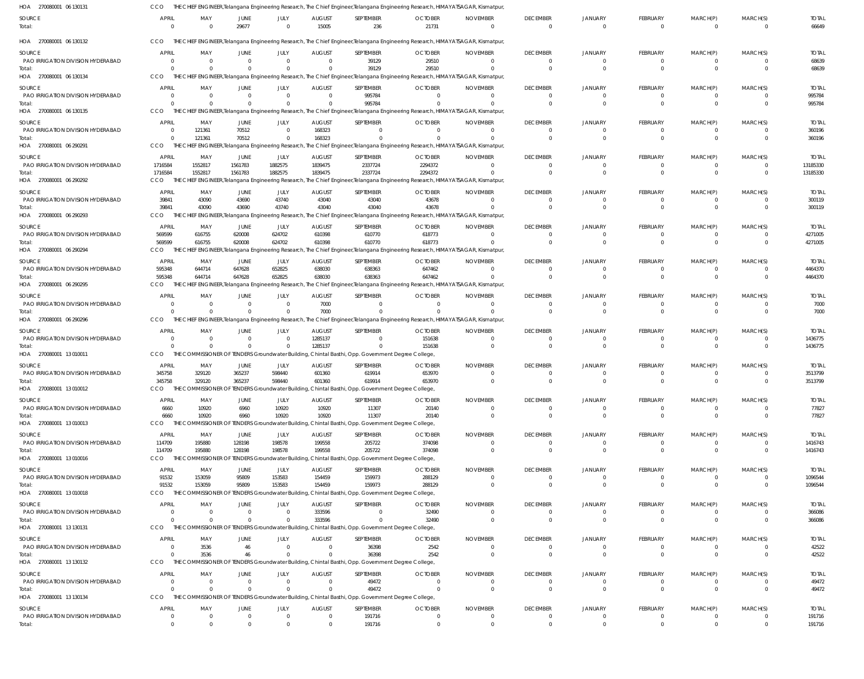| HOA 270080001 06 130131                     | CCO                  |                                  |                            |                      |                         |                                                                                                            | THE CHIEF ENGINEER, Telangana Engineering Research, The Chief Engineer, Telangana Engineering Research, HIMAYATSAGAR, Kismatpur,           |                             |                             |                            |                               |                      |                            |                         |
|---------------------------------------------|----------------------|----------------------------------|----------------------------|----------------------|-------------------------|------------------------------------------------------------------------------------------------------------|--------------------------------------------------------------------------------------------------------------------------------------------|-----------------------------|-----------------------------|----------------------------|-------------------------------|----------------------|----------------------------|-------------------------|
| SOURCE<br>Total:                            | APRIL<br>$\Omega$    | MAY<br>$\overline{0}$            | JUNE<br>29677              | JULY<br>$\Omega$     | <b>AUGUST</b><br>15005  | SEPTEMBER<br>236                                                                                           | <b>OCTOBER</b><br>21731                                                                                                                    | <b>NOVEMBER</b><br>$\Omega$ | <b>DECEMBER</b><br>$\Omega$ | <b>JANUARY</b><br>$\Omega$ | FEBRUARY<br>$\Omega$          | MARCH(P)<br>$\Omega$ | MARCH(S)<br>$\overline{0}$ | <b>TOTAL</b><br>66649   |
| HOA 270080001 06 130132                     | CCO                  |                                  |                            |                      |                         |                                                                                                            | THE CHIEF ENGINEER, Telangana Engineering Research, The Chief Engineer, Telangana Engineering Research, HIMAYATSAGAR, Kismatpur,           |                             |                             |                            |                               |                      |                            |                         |
| SOURCE                                      | <b>APRIL</b>         | MAY                              | JUNE                       | JULY                 | <b>AUGUST</b>           | SEPTEMBER                                                                                                  | <b>OCTOBER</b>                                                                                                                             | <b>NOVEMBER</b>             | <b>DECEMBER</b>             | JANUARY                    | FEBRUARY                      | MARCH(P)             | MARCH(S)                   | <b>TOTAL</b>            |
| PAO IRRIGATION DIVISION HYDERABAD           | $\Omega$             | $\overline{0}$                   | $\Omega$                   | $\Omega$             | - 0                     | 39129                                                                                                      | 29510                                                                                                                                      | $\Omega$                    | $\Omega$                    |                            | $^{\circ}$                    | $\Omega$             | $\Omega$                   | 68639                   |
| Total:<br>HOA 270080001 06 130134           | <b>CCO</b>           | $\Omega$                         | $\Omega$                   |                      |                         | 39129                                                                                                      | 29510<br>THE CHIEF ENGINEER, Telangana Engineering Research, The Chief Engineer, Telangana Engineering Research, HIMAYATSAGAR, Kismatpur,  | $\Omega$                    | $\Omega$                    |                            | $\overline{0}$                | $\Omega$             | $\Omega$                   | 68639                   |
|                                             | APRIL                | MAY                              | JUNE                       | JULY                 | <b>AUGUST</b>           | SEPTEMBER                                                                                                  | <b>OCTOBER</b>                                                                                                                             | <b>NOVEMBER</b>             | <b>DECEMBER</b>             | <b>JANUARY</b>             | <b>FEBRUARY</b>               | MARCH(P)             | MARCH(S)                   | <b>TOTAL</b>            |
| SOURCE<br>PAO IRRIGATION DIVISION HYDERABAD | $\Omega$             | $\Omega$                         | $\Omega$                   | $\Omega$             | $\Omega$                | 995784                                                                                                     | $\Omega$                                                                                                                                   | $\Omega$                    | $\Omega$                    | $\Omega$                   | $\Omega$                      | $\Omega$             | $\Omega$                   | 995784                  |
| Total:                                      |                      | $\Omega$                         | $\Omega$                   |                      | $\Omega$                | 995784                                                                                                     |                                                                                                                                            |                             | $\Omega$                    | $\Omega$                   | $\Omega$                      | $\Omega$             | $\Omega$                   | 995784                  |
| HOA 270080001 06 130135                     | CCO                  |                                  |                            |                      |                         |                                                                                                            | THE CHIEF ENGINEER, Telangana Engineering Research, The Chief Engineer, Telangana Engineering Research, HIMAYATSAGAR, Kismatpur,           |                             |                             |                            |                               |                      |                            |                         |
| SOURCE                                      | <b>APRIL</b>         | MAY                              | JUNE                       | JULY                 | <b>AUGUST</b>           | SEPTEMBER                                                                                                  | <b>OCTOBER</b>                                                                                                                             | <b>NOVEMBER</b>             | <b>DECEMBER</b>             | JANUARY                    | <b>FEBRUARY</b>               | MARCH(P)             | MARCH(S)                   | <b>TOTAL</b>            |
| PAO IRRIGATION DIVISION HYDERABAD<br>Total: | $\Omega$<br>$\Omega$ | 121361<br>121361                 | 70512<br>70512             | $\Omega$             | 168323<br>168323        | $\Omega$                                                                                                   | $\Omega$                                                                                                                                   | $\Omega$                    | $\Omega$                    | $\Omega$                   | $^{\circ}$<br>$\Omega$        | -0<br>$\Omega$       | $\Omega$<br>$\Omega$       | 360196<br>360196        |
| HOA 270080001 06 290291                     | <b>CCO</b>           |                                  |                            |                      |                         |                                                                                                            | THE CHIEF ENGINEER, Telangana Engineering Research, The Chief Engineer, Telangana Engineering Research, HIMAYATSAGAR, Kismatpur,           |                             |                             |                            |                               |                      |                            |                         |
| SOURCE                                      | <b>APRIL</b>         | MAY                              | JUNE                       | JULY                 | <b>AUGUST</b>           | SEPTEMBER                                                                                                  | <b>OCTOBER</b>                                                                                                                             | <b>NOVEMBER</b>             | <b>DECEMBER</b>             | <b>JANUARY</b>             | <b>FEBRUARY</b>               | MARCH(P)             | MARCH(S)                   | <b>TOTAL</b>            |
| PAO IRRIGATION DIVISION HYDERABAD           | 1716584              | 1552817                          | 1561783                    | 1882575              | 1839475                 | 2337724                                                                                                    | 2294372                                                                                                                                    | $\Omega$                    |                             |                            | -0                            | 0                    | $\Omega$                   | 13185330                |
| Total:                                      | 1716584              | 1552817                          | 1561783                    | 1882575              | 1839475                 | 2337724                                                                                                    | 2294372                                                                                                                                    | $\Omega$                    | $\Omega$                    | $\Omega$                   | $\overline{0}$                | $\Omega$             | $\overline{0}$             | 13185330                |
| HOA 270080001 06 290292                     | CCO                  |                                  |                            |                      |                         |                                                                                                            | THE CHIEF ENGINEER, Telangana Engineering Research, The Chief Engineer, Telangana Engineering Research, HIMAYATSAGAR, Kismatpur,           |                             |                             |                            |                               |                      |                            |                         |
| SOURCE                                      | <b>APRIL</b>         | MAY                              | JUNE                       | JULY                 | <b>AUGUST</b>           | SEPTEMBER                                                                                                  | <b>OCTOBER</b>                                                                                                                             | <b>NOVEMBER</b>             | <b>DECEMBER</b>             | JANUARY                    | <b>FEBRUARY</b>               | MARCH(P)             | MARCH(S)                   | <b>TOTAL</b>            |
| PAO IRRIGATION DIVISION HYDERABAD<br>Total: | 39841<br>39841       | 43090<br>43090                   | 43690<br>43690             | 43740<br>43740       | 43040<br>43040          | 43040<br>43040                                                                                             | 43678<br>43678                                                                                                                             | $\Omega$                    | $\Omega$                    | $\Omega$<br>$\Omega$       | $^{\circ}$<br>$\Omega$        | -0<br>$\Omega$       | $\mathbf{0}$<br>$\Omega$   | 300119<br>300119        |
| HOA 270080001 06 290293                     | CCO                  |                                  |                            |                      |                         |                                                                                                            | THE CHIEF ENGINEER, Telangana Engineering Research, The Chief Engineer, Telangana Engineering Research, HIMAYATSAGAR, Kismatpur,           |                             |                             |                            |                               |                      |                            |                         |
| SOURCE                                      | <b>APRIL</b>         | MAY                              | JUNE                       | JULY                 | <b>AUGUST</b>           | SEPTEMBER                                                                                                  | <b>OCTOBER</b>                                                                                                                             | <b>NOVEMBER</b>             | <b>DECEMBER</b>             | <b>JANUARY</b>             | <b>FEBRUARY</b>               | MARCH(P)             | MARCH(S)                   | <b>TOTAL</b>            |
| PAO IRRIGATION DIVISION HYDERABAD           | 569599               | 616755                           | 620008                     | 624702               | 610398                  | 610770                                                                                                     | 618773                                                                                                                                     | $\Omega$                    | $\Omega$                    | $\Omega$                   | $\Omega$                      | $\Omega$             | $\Omega$                   | 4271005                 |
| Total:                                      | 569599               | 616755                           | 620008                     | 624702               | 610398                  | 610770                                                                                                     | 618773                                                                                                                                     | $\Omega$                    |                             | $\Omega$                   | $\Omega$                      | $\Omega$             | $\Omega$                   | 4271005                 |
| HOA 270080001 06 290294                     | CCO.                 |                                  |                            |                      |                         |                                                                                                            | CHIEF ENGINEER, Telangana Engineering Research, The Chief Engineer, Telangana Engineering Research, HIMAYATSAGAR, Kismatpur,               |                             |                             |                            |                               |                      |                            |                         |
| SOURCE                                      | <b>APRIL</b>         | MAY                              | JUNE                       | JULY                 | <b>AUGUST</b>           | SEPTEMBER                                                                                                  | <b>OCTOBER</b>                                                                                                                             | <b>NOVEMBER</b>             | <b>DECEMBER</b>             | <b>JANUARY</b>             | <b>FEBRUARY</b>               | MARCH(P)             | MARCH(S)                   | <b>TOTAL</b>            |
| PAO IRRIGATION DIVISION HYDERABAD           | 595348               | 644714                           | 647628                     | 652825               | 638030                  | 638363                                                                                                     | 647462                                                                                                                                     | $\Omega$                    |                             |                            | $^{\circ}$<br>$\Omega$        | $\Omega$             | $\overline{0}$<br>$\Omega$ | 4464370                 |
| Total:<br>HOA 270080001 06 290295           | 595348<br>CCO        | 644714                           | 647628                     | 652825               | 638030                  | 638363                                                                                                     | 647462<br>THE CHIEF ENGINEER, Telangana Engineering Research, The Chief Engineer, Telangana Engineering Research, HIMAYATSAGAR, Kismatpur, |                             |                             |                            |                               | $\Omega$             |                            | 4464370                 |
|                                             | <b>APRIL</b>         | MAY                              | JUNE                       | JULY                 | <b>AUGUST</b>           | SEPTEMBER                                                                                                  | <b>OCTOBER</b>                                                                                                                             | <b>NOVEMBER</b>             | <b>DECEMBER</b>             | JANUARY                    | <b>FEBRUARY</b>               | MARCH(P)             | MARCH(S)                   | <b>TOTAL</b>            |
| SOURCE<br>PAO IRRIGATION DIVISION HYDERABAD |                      | $\Omega$                         | $\Omega$                   | $\Omega$             | 7000                    | $\Omega$                                                                                                   | $\Omega$                                                                                                                                   | $\Omega$                    | $\Omega$                    |                            | $\Omega$                      | $\Omega$             | $\Omega$                   | 7000                    |
| Total:                                      |                      | $\Omega$                         | $\Omega$                   |                      | 7000                    |                                                                                                            |                                                                                                                                            |                             |                             |                            | $\Omega$                      | $\Omega$             | $\Omega$                   | 7000                    |
| HOA 270080001 06 290296                     | CCO                  |                                  |                            |                      |                         |                                                                                                            | THE CHIEF ENGINEER, Telangana Engineering Research, The Chief Engineer, Telangana Engineering Research, HIMAYATSAGAR, Kismatpur,           |                             |                             |                            |                               |                      |                            |                         |
| SOURCE                                      | <b>APRIL</b>         | MAY                              | JUNE                       | JULY                 | <b>AUGUST</b>           | SEPTEMBER                                                                                                  | <b>OCTOBER</b>                                                                                                                             | <b>NOVEMBER</b>             | <b>DECEMBER</b>             | <b>JANUARY</b>             | <b>FEBRUARY</b>               | MARCH(P)             | MARCH(S)                   | <b>TOTAL</b>            |
| PAO IRRIGATION DIVISION HYDERABAD           | $\Omega$             | $\overline{0}$                   | $\overline{0}$             | $\Omega$             | 1285137                 | $\Omega$                                                                                                   | 151638                                                                                                                                     | $\Omega$                    |                             |                            | -0                            |                      | $\Omega$                   | 1436775                 |
| Total:<br>HOA 270080001 13 010011           | <b>CCO</b>           | $\Omega$                         | $\Omega$                   | $\Omega$             | 1285137                 | 0<br>THE COMMISSIONER OF TENDERS Groundwater Building, Chintal Basthi, Opp. Government Degree College,     | 151638                                                                                                                                     | $\Omega$                    | $\Omega$                    |                            | $\overline{0}$                | $\Omega$             | $\Omega$                   | 1436775                 |
|                                             |                      |                                  |                            |                      |                         |                                                                                                            |                                                                                                                                            |                             |                             |                            |                               |                      |                            |                         |
| SOURCE<br>PAO IRRIGATION DIVISION HYDERABAD | APRIL<br>345758      | MAY<br>329120                    | JUNE<br>365237             | JULY<br>598440       | <b>AUGUST</b><br>601360 | SEPTEMBER<br>619914                                                                                        | <b>OCTOBER</b><br>653970                                                                                                                   | <b>NOVEMBER</b><br>$\Omega$ | <b>DECEMBER</b>             | <b>JANUARY</b>             | <b>FEBRUARY</b><br>$\Omega$   | MARCH(P)<br>$\Omega$ | MARCH(S)<br>$\Omega$       | <b>TOTAL</b><br>3513799 |
| Total:                                      | 345758               | 329120                           | 365237                     | 598440               | 601360                  | 619914                                                                                                     | 653970                                                                                                                                     |                             | $\Omega$                    |                            | $\Omega$                      | $\Omega$             | $\Omega$                   | 3513799                 |
| HOA 270080001 13 010012                     | CCO                  |                                  |                            |                      |                         | MMISSIONER OF TENDERS Groundwater Building, Chintal Basthi, Opp. Government Degree College,                |                                                                                                                                            |                             |                             |                            |                               |                      |                            |                         |
| SOURCE                                      | <b>APRIL</b>         | MAY                              | JUNE                       | JULY                 | <b>AUGUST</b>           | SEPTEMBER                                                                                                  | <b>OCTOBER</b>                                                                                                                             | <b>NOVEMBER</b>             | <b>DECEMBER</b>             | <b>JANUARY</b>             | FEBRUARY                      | MARCH(P)             | MARCH(S)                   | <b>TOTAL</b>            |
| PAO IRRIGATION DIVISION HYDERABAD           | 6660                 | 10920                            | 6960                       | 10920                | 10920                   | 11307                                                                                                      | 20140                                                                                                                                      | 0                           | $\Omega$                    | $\Omega$                   | $^{\circ}$                    | -0                   | $\Omega$                   | 77827                   |
| Total:<br>HOA 270080001 13 010013           | 6660<br>CCO.         | 10920                            | 6960                       | 10920                | 10920                   | 11307<br>THE COMMISSIONER OF TENDERS Groundwater Building, Chintal Basthi, Opp. Government Degree College, | 20140                                                                                                                                      | $\Omega$                    | $\Omega$                    | $\Omega$                   | $\overline{0}$                | $\overline{0}$       | $\Omega$                   | 77827                   |
|                                             |                      |                                  |                            |                      |                         |                                                                                                            |                                                                                                                                            |                             |                             |                            |                               |                      |                            |                         |
| SOURCE<br>PAO IRRIGATION DIVISION HYDERABAD | APRIL<br>114709      | MAY<br>195880                    | JUNE<br>128198             | JULY<br>198578       | <b>AUGUST</b><br>199558 | SEPTEMBER<br>205722                                                                                        | <b>OCTOBER</b><br>374098                                                                                                                   | <b>NOVEMBER</b><br>$\Omega$ | <b>DECEMBER</b><br>$\Omega$ | <b>JANUARY</b><br>$\Omega$ | <b>FEBRUARY</b><br>$\Omega$   | MARCH(P)<br>$\Omega$ | MARCH(S)<br>$\Omega$       | <b>TOTAL</b><br>1416743 |
| Total:                                      | 114709               | 195880                           | 128198                     | 198578               | 199558                  | 205722                                                                                                     | 374098                                                                                                                                     | $\Omega$                    | $\Omega$                    | $\Omega$                   | $\overline{0}$                | $\overline{0}$       | $\overline{0}$             | 1416743                 |
| HOA 270080001 13 010016                     | CCO                  |                                  |                            |                      |                         | THE COMMISSIONER OF TENDERS Groundwater Building, Chintal Basthi, Opp. Government Degree College,          |                                                                                                                                            |                             |                             |                            |                               |                      |                            |                         |
| <b>SOURCE</b>                               | APRIL                | MAY                              | JUNE                       | JULY                 | <b>AUGUST</b>           | SEPTEMBER                                                                                                  | <b>OCTOBER</b>                                                                                                                             | <b>NOVEMBER</b>             | <b>DECEMBER</b>             | <b>JANUARY</b>             | FEBRUARY                      | MARCH(P)             | MARCH(S)                   | <b>TOTAL</b>            |
| PAO IRRIGATION DIVISION HYDERABAD           | 91532                | 153059                           | 95809                      | 153583               | 154459                  | 159973                                                                                                     | 288129                                                                                                                                     | $\Omega$                    | $\Omega$                    |                            | $\overline{0}$                | -0                   | $\overline{0}$             | 1096544                 |
| Total:                                      | 91532                | 153059                           | 95809                      | 153583               | 154459                  | 159973                                                                                                     | 288129                                                                                                                                     | $\Omega$                    | $\Omega$                    | $\Omega$                   | $\overline{0}$                | $\overline{0}$       | $\overline{0}$             | 1096544                 |
| HOA 270080001 13 010018                     | CCO.                 | THE COMMISSIONER OF              |                            |                      |                         | TENDERS Groundwater Building, Chintal Basthi, Opp. Government Degree College,                              |                                                                                                                                            |                             |                             |                            |                               |                      |                            |                         |
| SOURCE<br>PAO IRRIGATION DIVISION HYDERABAD | APRIL<br>$\Omega$    | MAY<br>$\overline{0}$            | JUNE<br>$\Omega$           | JULY<br>$\Omega$     | <b>AUGUST</b><br>333596 | SEPTEMBER<br>$\Omega$                                                                                      | <b>OCTOBER</b><br>32490                                                                                                                    | <b>NOVEMBER</b><br>$\Omega$ | <b>DECEMBER</b><br>$\Omega$ | <b>JANUARY</b><br>$\Omega$ | <b>FEBRUARY</b><br>$^{\circ}$ | MARCH(P)<br>$\Omega$ | MARCH(S)<br>$\Omega$       | <b>TOTAL</b><br>366086  |
| Total:                                      | $\Omega$             | $\Omega$                         | $\overline{0}$             |                      | 333596                  | $\Omega$                                                                                                   | 32490                                                                                                                                      | $\Omega$                    | $\Omega$                    | $\Omega$                   | $\overline{0}$                | $\overline{0}$       | $\Omega$                   | 366086                  |
| HOA 270080001 13 130131                     | CCO                  |                                  |                            |                      |                         | THE COMMISSIONER OF TENDERS Groundwater Building, Chintal Basthi, Opp. Government Degree College,          |                                                                                                                                            |                             |                             |                            |                               |                      |                            |                         |
| <b>SOURCE</b>                               | <b>APRIL</b>         | MAY                              | JUNE                       | JULY                 | <b>AUGUST</b>           | SEPTEMBER                                                                                                  | <b>OCTOBER</b>                                                                                                                             | <b>NOVEMBER</b>             | <b>DECEMBER</b>             | <b>JANUARY</b>             | FEBRUARY                      | MARCH(P)             | MARCH(S)                   | <b>TOTAL</b>            |
| PAO IRRIGATION DIVISION HYDERABAD           | $\Omega$             | 3536                             | 46                         | $\Omega$             | $\overline{\mathbf{0}}$ | 36398                                                                                                      | 2542                                                                                                                                       | 0                           | $\Omega$                    |                            | $^{\circ}$                    | -0                   | $\Omega$                   | 42522                   |
| Total:                                      | $\Omega$             | 3536                             | 46                         |                      | $\Omega$                | 36398                                                                                                      | 2542                                                                                                                                       | $\Omega$                    | $\Omega$                    | $\Omega$                   | $\Omega$                      | $\overline{0}$       | $\Omega$                   | 42522                   |
| HOA 270080001 13 130132                     | CCO                  |                                  |                            |                      |                         | THE COMMISSIONER OF TENDERS Groundwater Building, Chintal Basthi, Opp. Government Degree College,          |                                                                                                                                            |                             |                             |                            |                               |                      |                            |                         |
| SOURCE                                      | APRIL                | MAY                              | JUNE                       | JULY                 | <b>AUGUST</b>           | SEPTEMBER                                                                                                  | <b>OCTOBER</b>                                                                                                                             | <b>NOVEMBER</b>             | <b>DECEMBER</b>             | JANUARY                    | FEBRUARY                      | MARCH(P)             | MARCH(S)                   | <b>TOTAL</b>            |
| PAO IRRIGATION DIVISION HYDERABAD<br>Total: | $\Omega$<br>$\Omega$ | $\overline{0}$<br>$\overline{0}$ | $\Omega$<br>$\overline{0}$ | $\Omega$<br>$\Omega$ | - 0<br>$\Omega$         | 49472<br>49472                                                                                             | $\Omega$<br>$\Omega$                                                                                                                       | $\Omega$<br>$\Omega$        | $\Omega$<br>$\Omega$        | $\Omega$<br>$\Omega$       | $\Omega$<br>$\overline{0}$    | -0<br>$\overline{0}$ | $\Omega$<br>$\overline{0}$ | 49472<br>49472          |
| HOA 270080001 13 130134                     | CCO                  |                                  |                            |                      |                         | THE COMMISSIONER OF TENDERS Groundwater Building, Chintal Basthi, Opp. Government Degree College,          |                                                                                                                                            |                             |                             |                            |                               |                      |                            |                         |
| <b>SOURCE</b>                               | <b>APRIL</b>         | MAY                              | <b>JUNE</b>                | JULY                 | <b>AUGUST</b>           | SEPTEMBER                                                                                                  | <b>OCTOBER</b>                                                                                                                             | <b>NOVEMBER</b>             | <b>DECEMBER</b>             | <b>JANUARY</b>             | FEBRUARY                      | MARCH(P)             | MARCH(S)                   | <b>TOTAL</b>            |
| PAO IRRIGATION DIVISION HYDERABAD           | $\Omega$             | $\overline{0}$                   | $\overline{0}$             | $\mathbf 0$          | $\overline{\mathbf{0}}$ | 191716                                                                                                     | $\mathbf 0$                                                                                                                                | 0                           | $\overline{0}$              | $\mathbf{0}$               | 0                             | -0                   | $\overline{0}$             | 191716                  |
| Total:                                      | $\Omega$             | $\Omega$                         | $\Omega$                   | $\Omega$             | $\Omega$                | 191716                                                                                                     | $\Omega$                                                                                                                                   | $\Omega$                    | $\Omega$                    | $\Omega$                   | $\Omega$                      | $\Omega$             | $\Omega$                   | 191716                  |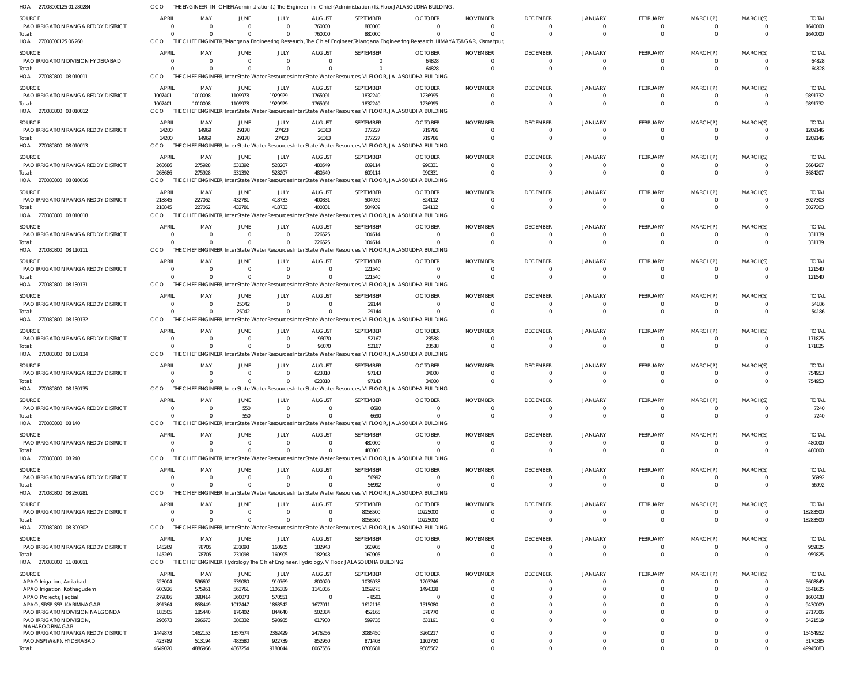| HOA 27008000125 01 280284                                       |                                     |                                     |                            |                      |                                 |                                                                                                     | THE ENGINEER-IN-CHIEF(Administration).) The Engineer-in-Chief(Administration) Ist Floor,JALASOUDHA BUILDING,                     |                             |                             |                            |                      |               |                      |                         |
|-----------------------------------------------------------------|-------------------------------------|-------------------------------------|----------------------------|----------------------|---------------------------------|-----------------------------------------------------------------------------------------------------|----------------------------------------------------------------------------------------------------------------------------------|-----------------------------|-----------------------------|----------------------------|----------------------|---------------|----------------------|-------------------------|
| <b>SOURCE</b>                                                   | <b>APRIL</b>                        | MAY                                 | JUNE                       | JULY                 | <b>AUGUST</b>                   | SEPTEMBER                                                                                           | <b>OCTOBER</b>                                                                                                                   | <b>NOVEMBER</b>             | <b>DECEMBER</b>             | <b>JANUARY</b>             | <b>FEBRUARY</b>      | MARCH(P)      | MARCH(S)             | <b>TOTAL</b>            |
| PAO IRRIGATION RANGA REDDY DISTRICT<br>Total:                   | $\Omega$<br>$\Omega$                | $\overline{\mathbf{0}}$<br>$\Omega$ | $\Omega$<br>$\Omega$       | $\Omega$<br>$\Omega$ | 760000<br>760000                | 880000<br>880000                                                                                    | - 0<br>$\Omega$                                                                                                                  | $\Omega$<br>$\Omega$        | $\Omega$<br>$\Omega$        | $\Omega$<br>$\Omega$       | $\Omega$<br>$\Omega$ | $\Omega$      | $\Omega$             | 1640000<br>1640000      |
| HOA 27008000125 06 260                                          | CCO                                 |                                     |                            |                      |                                 |                                                                                                     | THE CHIEF ENGINEER, Telangana Engineering Research, The Chief Engineer, Telangana Engineering Research, HIMAYATSAGAR, Kismatpur, |                             |                             |                            |                      |               |                      |                         |
| <b>SOURCE</b><br>PAO IRRIGATION DIVISION HYDERABAD              | <b>APRIL</b><br>$\Omega$            | MAY<br>$\overline{\mathbf{0}}$      | JUNE<br>0                  | JULY<br>$\Omega$     | <b>AUGUST</b><br>$\overline{0}$ | SEPTEMBER<br>$\Omega$                                                                               | <b>OCTOBER</b><br>64828                                                                                                          | <b>NOVEMBER</b><br>$\Omega$ | <b>DECEMBER</b><br>$\Omega$ | <b>JANUARY</b><br>$\Omega$ | FEBRUARY<br>0        | MARCH(P)<br>0 | MARCH(S)<br>$\Omega$ | <b>TOTAL</b><br>64828   |
| Total:                                                          | $\Omega$                            | $\Omega$                            | $\Omega$                   |                      | $\Omega$                        |                                                                                                     | 64828                                                                                                                            | -C                          | $\Omega$                    | $\Omega$                   | $\Omega$             |               |                      | 64828                   |
| HOA 270080800 08 010011                                         | CCO                                 |                                     |                            |                      |                                 |                                                                                                     | THE CHIEF ENGINEER, Inter State Water Resources Inter State Water Resources, VI FLOOR, JALASOUDHA BUILDING                       |                             |                             |                            |                      |               |                      |                         |
| SOURCE<br>PAO IRRIGATION RANGA REDDY DISTRICT                   | <b>APRIL</b><br>1007401             | MAY<br>1010098                      | JUNE<br>1109978            | JULY<br>1929929      | <b>AUGUST</b><br>1765091        | SEPTEMBER<br>1832240                                                                                | <b>OCTOBER</b><br>1236995                                                                                                        | <b>NOVEMBER</b><br>$\Omega$ | <b>DECEMBER</b><br>$\Omega$ | <b>JANUARY</b><br>$\Omega$ | <b>FEBRUARY</b>      | MARCH(P)      | MARCH(S)             | <b>TOTAL</b><br>9891732 |
| Total:                                                          | 1007401                             | 1010098                             | 1109978                    | 1929929              | 1765091                         | 1832240                                                                                             | 1236995                                                                                                                          | $\Omega$                    | $\Omega$                    | $\Omega$                   | $\Omega$             | $\Omega$      | $\Omega$             | 9891732                 |
| HOA 270080800 08 010012                                         | CCO                                 |                                     |                            |                      |                                 |                                                                                                     | THE CHIEF ENGINEER, Inter State Water Resources Inter State Water Resources, VI FLOOR, JALASOUDHA BUILDING                       |                             |                             |                            |                      |               |                      |                         |
| <b>SOURCE</b>                                                   | <b>APRIL</b>                        | MAY                                 | <b>JUNE</b>                | JULY                 | <b>AUGUST</b>                   | SEPTEMBER                                                                                           | <b>OCTOBER</b>                                                                                                                   | <b>NOVEMBER</b>             | <b>DECEMBER</b>             | <b>JANUARY</b>             | <b>FEBRUARY</b>      | MARCH(P)      | MARCH(S)             | <b>TOTAL</b>            |
| PAO IRRIGATION RANGA REDDY DISTRICT<br>Total:                   | 14200<br>14200                      | 14969<br>14969                      | 29178<br>29178             | 27423<br>27423       | 26363<br>26363                  | 377227<br>377227                                                                                    | 719786<br>719786                                                                                                                 | $\Omega$<br>$\Omega$        | $\Omega$<br>$\Omega$        | $\Omega$                   | 0<br>$\Omega$        |               | $\Omega$             | 1209146<br>1209146      |
| HOA 270080800 08 010013                                         | CCO                                 |                                     |                            |                      |                                 |                                                                                                     | THE CHIEF ENGINEER, Inter State Water Resources Inter State Water Resources, VI FLOOR, JALASOUDHA BUILDING                       |                             |                             |                            |                      |               |                      |                         |
| SOURCE                                                          | <b>APRIL</b>                        | MAY                                 | JUNE                       | JULY                 | <b>AUGUST</b>                   | SEPTEMBER                                                                                           | <b>OCTOBER</b>                                                                                                                   | <b>NOVEMBER</b>             | <b>DECEMBER</b>             | <b>JANUARY</b>             | FEBRUARY             | MARCH(P)      | MARCH(S)             | <b>TOTAL</b>            |
| PAO IRRIGATION RANGA REDDY DISTRICT<br>Total:                   | 268686<br>268686                    | 275928<br>275928                    | 531392<br>531392           | 528207<br>528207     | 480549<br>480549                | 609114<br>609114                                                                                    | 990331<br>990331                                                                                                                 | $\Omega$<br>$\Omega$        | $\Omega$<br>$\Omega$        | $\Omega$<br>$\Omega$       | 0<br>$\Omega$        | $\Omega$      |                      | 3684207<br>3684207      |
| HOA 270080800 08 010016                                         | CCO                                 | THE CHIEF ENGINEER,                 |                            |                      |                                 |                                                                                                     | Inter State Water Resources Inter State Water Resources, VI FLOOR, JALASOUDHA BUILDING                                           |                             |                             |                            |                      |               |                      |                         |
| SOURCE                                                          | APRIL                               | MAY                                 | JUNE                       | JULY                 | <b>AUGUST</b>                   | SEPTEMBER                                                                                           | <b>OCTOBER</b>                                                                                                                   | <b>NOVEMBER</b>             | <b>DECEMBER</b>             | <b>JANUARY</b>             | FEBRUARY             | MARCH(P)      | MARCH(S)             | <b>TOTAL</b>            |
| PAO IRRIGATION RANGA REDDY DISTRICT<br>Total:                   | 218845<br>218845                    | 227062<br>227062                    | 432781<br>432781           | 418733<br>418733     | 400831<br>400831                | 504939<br>504939                                                                                    | 824112<br>824112                                                                                                                 | $\Omega$<br>$\Omega$        | $\Omega$<br>$\Omega$        | $\Omega$<br>$\cap$         | 0<br>$\Omega$        | $\Omega$      | $\Omega$<br>$\Omega$ | 3027303<br>3027303      |
| HOA 270080800 08 010018                                         | CCO                                 |                                     |                            |                      |                                 |                                                                                                     | THE CHIEF ENGINEER, Inter State Water Resources Inter State Water Resources, VI FLOOR, JALASOUDHA BUILDING                       |                             |                             |                            |                      |               |                      |                         |
| SOURCE                                                          | APRIL                               | MAY                                 | JUNE                       | JULY                 | <b>AUGUST</b>                   | SEPTEMBER                                                                                           | <b>OCTOBER</b>                                                                                                                   | <b>NOVEMBER</b>             | <b>DECEMBER</b>             | <b>JANUARY</b>             | <b>FEBRUARY</b>      | MARCH(P)      | MARCH(S)             | <b>TOTAL</b>            |
| PAO IRRIGATION RANGA REDDY DISTRICT<br>Total:                   | $\overline{\mathbf{0}}$<br>$\Omega$ | $\overline{\mathbf{0}}$<br>$\Omega$ | $\overline{0}$<br>$\Omega$ | $\Omega$<br>$\Omega$ | 226525<br>226525                | 104614<br>104614                                                                                    | $\Omega$<br>$\Omega$                                                                                                             | $\Omega$<br>$\Omega$        | - 0<br>$\Omega$             | $\Omega$<br>$\Omega$       | 0                    |               |                      | 331139<br>331139        |
| HOA 270080800 08 110111                                         | CCO                                 |                                     |                            |                      |                                 |                                                                                                     | THE CHIEF ENGINEER, Inter State Water Resources Inter State Water Resources, VI FLOOR, JALASOUDHA BUILDING                       |                             |                             |                            |                      |               |                      |                         |
| <b>SOURCE</b>                                                   | <b>APRIL</b>                        | MAY                                 | JUNE                       | JULY                 | <b>AUGUST</b>                   | SEPTEMBER                                                                                           | <b>OCTOBER</b>                                                                                                                   | <b>NOVEMBER</b>             | <b>DECEMBER</b>             | <b>JANUARY</b>             | FEBRUARY             | MARCH(P)      | MARCH(S)             | <b>TOTAL</b>            |
| PAO IRRIGATION RANGA REDDY DISTRICT                             | $\overline{0}$<br>$\Omega$          | $\overline{\mathbf{0}}$<br>- 0      | $\overline{0}$             | $\Omega$             | $\Omega$<br>$\Omega$            | 121540                                                                                              | - 0                                                                                                                              | C                           | $\Omega$<br>$\Omega$        | $\cap$                     |                      |               | $\Omega$             | 121540                  |
| Total:<br>HOA 270080800 08 130131                               | CCO                                 |                                     | $\Omega$                   |                      |                                 | 121540                                                                                              | $\overline{0}$<br>THE CHIEF ENGINEER, Inter State Water Resources Inter State Water Resources, VI FLOOR, JALASOUDHA BUILDING     | $\Omega$                    |                             |                            | $\mathbf 0$          | 0             |                      | 121540                  |
| <b>SOURCE</b>                                                   | <b>APRIL</b>                        | MAY                                 | <b>JUNE</b>                | JULY                 | <b>AUGUST</b>                   | SEPTEMBER                                                                                           | <b>OCTOBER</b>                                                                                                                   | <b>NOVEMBER</b>             | <b>DECEMBER</b>             | <b>JANUARY</b>             | FEBRUARY             | MARCH(P)      | MARCH(S)             | <b>TOTAL</b>            |
| PAO IRRIGATION RANGA REDDY DISTRICT                             | $\Omega$                            | - 0                                 | 25042                      | $\Omega$             | $\overline{0}$                  | 29144                                                                                               | $\Omega$                                                                                                                         | $\Omega$                    | - 0                         | - 0                        | 0                    |               |                      | 54186                   |
| Total:<br>HOA 270080800 08 130132                               | $\Omega$<br>CCO                     | $\Omega$                            | 25042                      | $\Omega$             | $\Omega$                        | 29144                                                                                               | $\Omega$<br>THE CHIEF ENGINEER, Inter State Water Resources Inter State Water Resources, VI FLOOR, JALASOUDHA BUILDING           | $\Omega$                    | $\Omega$                    | $\Omega$                   | $\Omega$             | $\Omega$      | $\Omega$             | 54186                   |
| SOURCE                                                          | <b>APRIL</b>                        | MAY                                 | JUNE                       | JULY                 | <b>AUGUST</b>                   | SEPTEMBER                                                                                           | <b>OCTOBER</b>                                                                                                                   | <b>NOVEMBER</b>             | <b>DECEMBER</b>             | <b>JANUARY</b>             | FEBRUARY             | MARCH(P)      | MARCH(S)             | <b>TOTAL</b>            |
| <b>PAO IRRIGATION RANGA REDDY DISTRICT</b>                      | - 0                                 | $\overline{\mathbf{0}}$             | $\overline{0}$             | $\Omega$             | 96070                           | 52167                                                                                               | 23588                                                                                                                            | $\Omega$                    | $\Omega$                    | $\Omega$                   | 0                    |               | $\Omega$             | 171825                  |
| Total:<br>HOA 270080800 08 130134                               | $\Omega$<br>CCO                     | - 0<br>THE CH                       | $\Omega$                   |                      | 96070                           | 52167                                                                                               | 23588<br>IEF ENGINEER, Inter State Water Resources Inter State Water Resources, VI FLOOR, JALASOUDHA BUILDING                    | -C                          | $\Omega$                    | $\Omega$                   | 0                    |               |                      | 171825                  |
| SOURCE                                                          | <b>APRIL</b>                        | MAY                                 | JUNE                       | JULY                 | <b>AUGUST</b>                   | SEPTEMBER                                                                                           | <b>OCTOBER</b>                                                                                                                   | <b>NOVEMBER</b>             | <b>DECEMBER</b>             | <b>JANUARY</b>             | <b>FEBRUARY</b>      | MARCH(P)      | MARCH(S)             | <b>TOTAL</b>            |
| PAO IRRIGATION RANGA REDDY DISTRICT                             | $\overline{0}$                      | - 0                                 | $\Omega$                   | $\Omega$             | 623810                          | 97143                                                                                               | 34000                                                                                                                            | -C                          | - 0                         |                            |                      |               |                      | 754953                  |
| Total:<br>HOA 270080800 08 130135                               | $\Omega$<br>CCO                     | $\Omega$                            | $\Omega$                   |                      | 623810                          | 97143                                                                                               | 34000<br>THE CHIEF ENGINEER, Inter State Water Resources Inter State Water Resources, VI FLOOR, JALASOUDHA BUILDING              | $\Omega$                    | $\Omega$                    | $\cap$                     | $\Omega$             |               |                      | 754953                  |
| SOURCE                                                          | <b>APRIL</b>                        | MAY                                 | JUNE                       | JULY                 | <b>AUGUST</b>                   | SEPTEMBER                                                                                           | <b>OCTOBER</b>                                                                                                                   | <b>NOVEMBER</b>             | <b>DECEMBER</b>             | <b>JANUARY</b>             | FEBRUARY             | MARCH(P)      | MARCH(S)             | <b>TOTAL</b>            |
| PAO IRRIGATION RANGA REDDY DISTRICT                             | $\overline{\mathbf{0}}$             | $\overline{\mathbf{0}}$             | 550                        | $\Omega$             | $\overline{0}$                  | 6690                                                                                                | 0                                                                                                                                | $\Omega$                    | $\Omega$                    | $\Omega$                   | 0                    |               |                      | 7240                    |
| Total:<br>HOA 270080800 08 140                                  | $\Omega$<br>CCO                     | $\overline{0}$                      | 550                        | $\Omega$             | $\Omega$                        | 6690                                                                                                | $\Omega$<br>THE CHIEF ENGINEER, Inter State Water Resources Inter State Water Resources, VI FLOOR, JALASOUDHA BUILDING           | $\Omega$                    | $\Omega$                    | $\Omega$                   | $\mathbf 0$          | $\mathbf{0}$  | $\Omega$             | 7240                    |
| SOURCE                                                          | <b>APRIL</b>                        | MAY                                 | JUNE                       | JULY                 | <b>AUGUST</b>                   | SEPTEMBER                                                                                           | <b>OCTOBER</b>                                                                                                                   | <b>NOVEMBER</b>             | <b>DECEMBER</b>             | <b>JANUARY</b>             | FEBRUARY             | MARCH(P)      | MARCH(S)             | <b>TOTAL</b>            |
| <b>PAO IRRIGATION RANGA REDDY DISTRICT</b>                      | $\Omega$                            | $\overline{\mathbf{0}}$             | $\overline{0}$             | $\Omega$             | $\overline{0}$                  | 480000                                                                                              | $\Omega$                                                                                                                         | $\Omega$                    | $\Omega$                    | - 0                        | $\mathbf 0$          | 0             |                      | 480000                  |
| Total:<br>HOA 270080800 08 240                                  | $\Omega$<br>CCO                     | $\Omega$                            | $\Omega$                   | $\Omega$             | $\Omega$                        | 480000                                                                                              | $\Omega$<br>THE CHIEF ENGINEER, Inter State Water Resources Inter State Water Resources, VI FLOOR, JALASOUDHA BUILDING           | $\Omega$                    | $\Omega$                    | $\Omega$                   | $\mathbf 0$          | $\Omega$      | $\Omega$             | 480000                  |
| SOURCE                                                          | <b>APRIL</b>                        | MAY                                 | JUNE                       | JULY                 | <b>AUGUST</b>                   | SEPTEMBER                                                                                           | <b>OCTOBER</b>                                                                                                                   | <b>NOVEMBER</b>             | <b>DECEMBER</b>             | <b>JANUARY</b>             | FEBRUARY             | MARCH(P)      | MARCH(S)             | <b>TOTAL</b>            |
| PAO IRRIGATION RANGA REDDY DISTRICT                             | $\overline{\mathbf{0}}$             | $\overline{\mathbf{0}}$             | $\overline{0}$             | $\Omega$             | $\overline{0}$                  | 56992                                                                                               | $\overline{0}$                                                                                                                   | $\overline{0}$              | $\Omega$                    | $\Omega$                   | $\mathbf 0$          | 0             | $\Omega$             | 56992                   |
| Total:<br>HOA 270080800 08 280281                               | $\Omega$<br>CCO                     | $\overline{0}$                      | $\Omega$                   |                      | $\Omega$                        | 56992                                                                                               | $\Omega$<br>THE CHIEF ENGINEER, Inter State Water Resources Inter State Water Resources, VI FLOOR, JALASOUDHA BUILDING           | $\Omega$                    | $\Omega$                    | $\Omega$                   | $\mathbf 0$          | $\mathbf{0}$  | $\Omega$             | 56992                   |
| SOURCE                                                          | <b>APRIL</b>                        | MAY                                 | JUNE                       | JULY                 | <b>AUGUST</b>                   | SEPTEMBER                                                                                           | <b>OCTOBER</b>                                                                                                                   | <b>NOVEMBER</b>             | <b>DECEMBER</b>             | <b>JANUARY</b>             | FEBRUARY             | MARCH(P)      | MARCH(S)             | <b>TOTAL</b>            |
| PAO IRRIGATION RANGA REDDY DISTRICT                             | $\overline{0}$                      | $\overline{\mathbf{0}}$             | $\overline{0}$             | $\Omega$             | $\overline{0}$                  | 8058500                                                                                             | 10225000                                                                                                                         | $\Omega$                    | $\Omega$                    | $\Omega$                   | 0                    |               |                      | 18283500                |
| Total:<br>HOA 270080800 08 300302                               | $\Omega$<br>CCO                     | - 0                                 | $\Omega$                   | $\Omega$             | $\Omega$                        | 8058500                                                                                             | 10225000<br>THE CHIEF ENGINEER, Inter State Water Resources Inter State Water Resources, VI FLOOR, JALASOUDHA BUILDING           | $\Omega$                    | $\Omega$                    | $\Omega$                   | $\mathbf 0$          | $\Omega$      | $\Omega$             | 18283500                |
| <b>SOURCE</b>                                                   | <b>APRIL</b>                        | MAY                                 | JUNE                       | JULY                 | <b>AUGUST</b>                   | SEPTEMBER                                                                                           | <b>OCTOBER</b>                                                                                                                   | <b>NOVEMBER</b>             | <b>DECEMBER</b>             | <b>JANUARY</b>             | FEBRUARY             | MARCH(P)      | MARCH(S)             | <b>TOTAL</b>            |
| PAO IRRIGATION RANGA REDDY DISTRICT                             | 145269                              | 78705                               | 231098                     | 160905               | 182943                          | 160905                                                                                              | 0                                                                                                                                | 0                           | $\Omega$                    | $\Omega$                   | 0                    |               |                      | 959825                  |
| Total:<br>HOA 270080800 11 010011                               | 145269<br>CCO                       | 78705                               | 231098                     | 160905               | 182943                          | 160905<br>THE CHIEF ENGINEER, Hydrology The Chief Engineer, Hydrology, V Floor, JALASOUDHA BUILDING | $\overline{0}$                                                                                                                   | $\overline{0}$              | $\Omega$                    | $\Omega$                   | $\mathbf 0$          | $\mathbf{0}$  | $\Omega$             | 959825                  |
| SOURCE                                                          | APRIL                               | MAY                                 | JUNE                       | JULY                 | <b>AUGUST</b>                   | SEPTEMBER                                                                                           | <b>OCTOBER</b>                                                                                                                   | <b>NOVEMBER</b>             | <b>DECEMBER</b>             | <b>JANUARY</b>             | <b>FEBRUARY</b>      | MARCH(P)      | MARCH(S)             | <b>TOTAI</b>            |
| APAO Irrigation, Adilabad                                       | 523004                              | 596692                              | 539080                     | 910769               | 800020                          | 1036038                                                                                             | 1203246                                                                                                                          | $\Omega$                    | $\Omega$                    |                            | 0                    |               |                      | 5608849                 |
| APAO Irrigation, Kothagudem<br>APAO Projects, Jagtial           | 600926<br>279886                    | 575951<br>398414                    | 563761<br>360078           | 1106389<br>570551    | 1141005<br>$\overline{0}$       | 1059275<br>$-8501$                                                                                  | 1494328<br>- 0                                                                                                                   | C<br>-C                     | $\Omega$<br>- 0             | $\cap$                     |                      |               |                      | 6541635<br>1600428      |
| APAO, SRSP SSP, KARIMNAGAR                                      | 891364                              | 858449                              | 1012447                    | 1863542              | 1677011                         | 1612116                                                                                             | 1515080                                                                                                                          | C                           | $\cap$                      | $\cap$                     |                      |               |                      | 9430009                 |
| PAO IRRIGATION DIVISION NALGONDA                                | 183505                              | 185440                              | 170402                     | 844640               | 502384                          | 452165                                                                                              | 378770                                                                                                                           | C<br>$\Omega$               | $\cap$<br>$\cap$            | $\Omega$<br>$\cap$         | $\Omega$             |               |                      | 2717306                 |
| PAO IRRIGATION DIVISION,<br>MAHABOOBNAGAR                       | 296673                              | 296673                              | 380332                     | 598985               | 617930                          | 599735                                                                                              | 631191                                                                                                                           |                             |                             |                            |                      |               |                      | 3421519                 |
| PAO IRRIGATION RANGA REDDY DISTRICT<br>PAO, NSP(W&P), HYDERABAD | 1449873<br>423789                   | 1462153<br>513194                   | 1357574<br>483580          | 2362429<br>922739    | 2476256<br>852950               | 3086450<br>871403                                                                                   | 3260217<br>1102730                                                                                                               | $\Omega$<br>$\Omega$        | $\Omega$<br>$\Omega$        | $\Omega$<br>$\Omega$       | 0                    |               |                      | 15454952<br>5170385     |
| Total:                                                          | 4649020                             | 4886966                             | 4867254                    | 9180044              | 8067556                         | 8708681                                                                                             | 9585562                                                                                                                          | $\Omega$                    | $\Omega$                    | $\Omega$                   | $\Omega$             | $\Omega$      | $\Omega$             | 49945083                |
|                                                                 |                                     |                                     |                            |                      |                                 |                                                                                                     |                                                                                                                                  |                             |                             |                            |                      |               |                      |                         |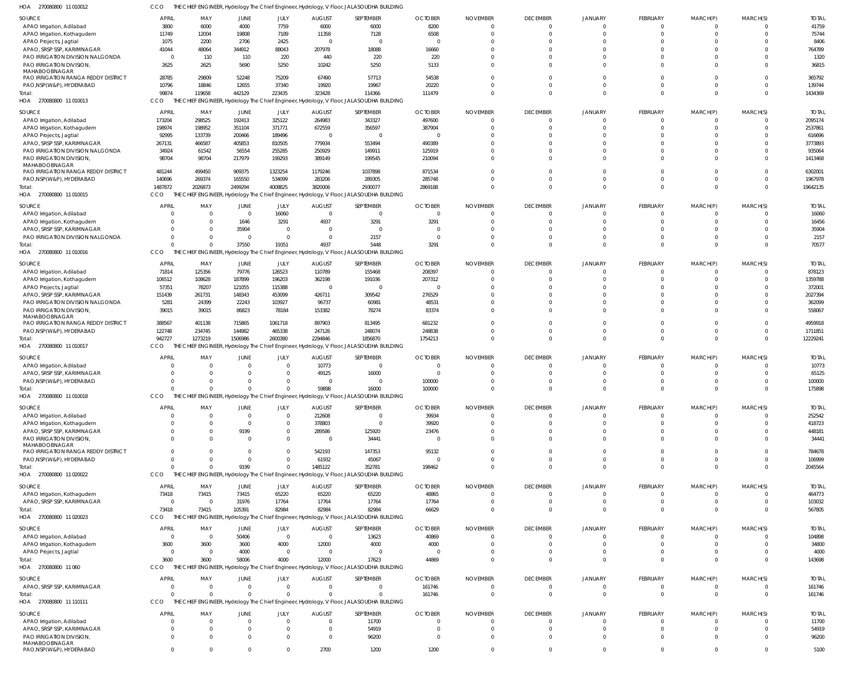| SOURCE                                                         | <b>APRIL</b>                   | MAY             | JUNE              | JULY                     | <b>AUGUST</b>             | SEPTEMBER                                                                                           | <b>OCTOBER</b>           | <b>NOVEMBER</b>                   | <b>DECEMBER</b>                   | <b>JANUARY</b>                | <b>FEBRUARY</b>         | MARCH(P)                | MARCH(S)             | <b>TOTAL</b>           |
|----------------------------------------------------------------|--------------------------------|-----------------|-------------------|--------------------------|---------------------------|-----------------------------------------------------------------------------------------------------|--------------------------|-----------------------------------|-----------------------------------|-------------------------------|-------------------------|-------------------------|----------------------|------------------------|
| APAO Irrigation, Adilabad                                      | 3800                           | 6000            | 4000              | 7759                     | 6000                      | 6000                                                                                                | 8200                     | $\Omega$                          | $\Omega$                          | $\Omega$                      | $\mathbf 0$             | $\mathbf 0$             | $\Omega$             | 41759                  |
| APAO Irrigation, Kothagudem                                    | 11749                          | 12004           | 19808             | 7189                     | 11358                     | 7128                                                                                                | 6508                     | $\Omega$                          | $\Omega$                          |                               | $\Omega$                | $\Omega$                | $\Omega$             | 75744                  |
| APAO Projects, Jagtial                                         | 1075                           | 2200            | 2706              | 2425                     | $\Omega$                  | $\overline{0}$                                                                                      | - (                      | $\sqrt{ }$                        | $\Omega$                          |                               | $\Omega$                |                         | $\Omega$             | 8406                   |
| APAO, SRSP SSP, KARIMNAGAR<br>PAO IRRIGATION DIVISION NALGONDA | 41044<br>$\overline{0}$        | 48064<br>110    | 344912<br>110     | 88043<br>220             | 207978<br>440             | 18088<br>220                                                                                        | 16660<br>220             | $\Omega$                          | $\Omega$<br>$\Omega$              | $\Omega$                      | $\Omega$<br>$\Omega$    |                         | $\Omega$<br>$\Omega$ | 764789<br>1320         |
| PAO IRRIGATION DIVISION,<br>MAHABOOBNAGAR                      | 2625                           | 2625            | 5690              | 5250                     | 10242                     | 5250                                                                                                | 5133                     | $\Omega$                          | $\Omega$                          | $\Omega$                      | $\Omega$                | $\Omega$                | $\cap$               | 36815                  |
| PAO IRRIGATION RANGA REDDY DISTRICT                            | 28785                          | 29809           | 52248             | 75209                    | 67490                     | 57713                                                                                               | 54538                    | $\Omega$                          | $\Omega$                          | $\Omega$                      | $\Omega$                | $\Omega$                | $\Omega$             | 365792                 |
| PAO, NSP(W&P), HYDERABAD                                       | 10796                          | 18846           | 12655             | 37340                    | 19920                     | 19967                                                                                               | 20220                    | $\Omega$                          | $\Omega$                          | $\Omega$                      | $\Omega$                | $\Omega$                | $\Omega$             | 139744                 |
| Total:<br>HOA 270080800 11 010013                              | 99874<br>CCO                   | 119658          | 442129            | 223435                   | 323428                    | 114366<br>THE CHIEF ENGINEER, Hydrology The Chief Engineer, Hydrology, V Floor, JALASOUDHA BUILDING | 111479                   | $\Omega$                          | $\Omega$                          | $\Omega$                      | $\Omega$                | $\Omega$                | $\Omega$             | 1434369                |
| SOURCE                                                         | <b>APRIL</b>                   | MAY             | JUNE              | JULY                     | <b>AUGUST</b>             | SEPTEMBER                                                                                           | <b>OCTOBER</b>           | <b>NOVEMBER</b>                   | <b>DECEMBER</b>                   | <b>JANUARY</b>                | FEBRUARY                | MARCH(P)                | MARCH(S)             | <b>TOTAI</b>           |
| APAO Irrigation, Adilabad                                      | 173204                         | 298525          | 192413            | 325122                   | 264983                    | 343327                                                                                              | 497600                   | $\Omega$                          | $\Omega$                          | $\Omega$                      | $\Omega$                | $\Omega$                | $\Omega$             | 2095174                |
| APAO Irrigation, Kothagudem                                    | 198974                         | 198952          | 351104            | 371771                   | 672559                    | 356597                                                                                              | 387904                   | $\Omega$                          | $\Omega$                          | $\Omega$                      | $\Omega$                |                         | $\Omega$             | 2537861                |
| APAO Projects, Jagtial                                         | 92995                          | 133739          | 200466            | 189496                   | - 0                       | $\overline{0}$                                                                                      |                          | $\sqrt{ }$                        | $\Omega$                          |                               |                         |                         |                      | 616696                 |
| APAO, SRSP SSP, KARIMNAGAR                                     | 267131                         | 466587          | 405853            | 810505                   | 779934                    | 553494                                                                                              | 490389                   | - 0                               | $\Omega$                          | $\Omega$                      |                         |                         |                      | 3773893                |
| PAO IRRIGATION DIVISION NALGONDA<br>PAO IRRIGATION DIVISION,   | 34924<br>98704                 | 61542<br>98704  | 56554<br>217979   | 255285<br>199293         | 250929<br>389149          | 149911<br>199545                                                                                    | 125919<br>210094         | $\Omega$<br>$\Omega$              | $\Omega$<br>$\Omega$              | $\Omega$<br>$\Omega$          | $\Omega$                |                         |                      | 935064<br>1413468      |
| MAHABOOBNAGAR<br>PAO IRRIGATION RANGA REDDY DISTRICT           | 481244                         | 499450          | 909375            | 1323254                  | 1179246                   | 1037898                                                                                             | 871534                   | $\Omega$                          | $\Omega$                          | $\Omega$                      | $\Omega$                |                         |                      | 6302001                |
| PAO, NSP(W&P), HYDERABAD                                       | 140696                         | 269374          | 165550            | 534099                   | 283206                    | 289305                                                                                              | 285748                   | $\Omega$                          | $\Omega$                          | $\Omega$                      | $\Omega$                | $\Omega$                | $\Omega$             | 1967978                |
| Total:                                                         | 1487872                        | 2026873         | 2499294           | 4008825                  | 3820006                   | 2930077                                                                                             | 2869188                  | $\Omega$                          | $\Omega$                          | $\Omega$                      | $\Omega$                | $\Omega$                | $\Omega$             | 19642135               |
| HOA 270080800 11 010015                                        | CCO                            |                 |                   |                          |                           | THE CHIEF ENGINEER, Hydrology The Chief Engineer, Hydrology, V Floor, JALASOUDHA BUILDING           |                          |                                   |                                   |                               |                         |                         |                      |                        |
| SOURCE                                                         | <b>APRII</b>                   | MAY             | JUNE              | JULY                     | <b>AUGUST</b>             | SEPTEMBER                                                                                           | <b>OCTOBER</b>           | <b>NOVEMBER</b>                   | <b>DECEMBER</b>                   | <b>JANUARY</b>                | FEBRUARY                | MARCH(P)                | MARCH(S)             | <b>TOTAL</b>           |
| APAO Irrigation, Adilabad                                      | C                              |                 | $\overline{0}$    | 16060                    | $\overline{0}$            | $\overline{0}$                                                                                      | $\Omega$                 | $\Omega$                          | $\Omega$                          | $\Omega$                      | $\mathbf 0$             | 0                       |                      | 16060                  |
| APAO Irrigation, Kothagudem                                    | C                              |                 | 1646              | 3291                     | 4937                      | 3291                                                                                                | 3291                     | $\Omega$                          | $\Omega$                          | $\Omega$                      | $\Omega$                | $\Omega$                | $\Omega$             | 16456                  |
| APAO, SRSP SSP, KARIMNAGAR<br>PAO IRRIGATION DIVISION NALGONDA | C<br>$\Omega$                  |                 | 35904<br>$\Omega$ | $\mathbf{0}$<br>$\Omega$ | $\Omega$<br>$\Omega$      | $\overline{0}$<br>2157                                                                              | $\Omega$<br>$\Omega$     | $\Omega$<br>$\Omega$              | $\Omega$<br>$\Omega$              | $\Omega$                      | $\Omega$<br>$\Omega$    |                         | $\Omega$<br>$\Omega$ | 35904<br>2157          |
| Total:                                                         | $\Omega$                       |                 | 37550             | 19351                    | 4937                      | 5448                                                                                                | 3291                     | $\Omega$                          | $\Omega$                          | $\Omega$                      | $\Omega$                | $\Omega$                | $\Omega$             | 70577                  |
| HOA 270080800 11 010016                                        | CCO                            |                 |                   |                          |                           | THE CHIEF ENGINEER, Hydrology The Chief Engineer, Hydrology, V Floor, JALASOUDHA BUILDING           |                          |                                   |                                   |                               |                         |                         |                      |                        |
| SOURCE                                                         | APRIL                          | MAY             | JUNE              | JULY                     | <b>AUGUST</b>             | SEPTEMBER                                                                                           | <b>OCTOBER</b>           | <b>NOVEMBER</b>                   | <b>DECEMBER</b>                   | <b>JANUARY</b>                | <b>FEBRUARY</b>         | MARCH(P)                | MARCH(S)             | <b>TOTAI</b>           |
| APAO Irrigation, Adilabad                                      | 71814                          | 125356          | 79776             | 126523                   | 110789                    | 155468                                                                                              | 208397                   | $\Omega$                          | $\Omega$                          | $\Omega$                      | $\Omega$                |                         |                      | 878123                 |
| APAO Irrigation, Kothagudem                                    | 106512                         | 108628          | 187899            | 196203                   | 362198                    | 191036                                                                                              | 207312                   | $\sqrt{ }$                        | $\Omega$                          |                               |                         |                         |                      | 1359788                |
| APAO Projects, Jagtial<br>APAO, SRSP SSP, KARIMNAGAR           | 57351                          | 78207<br>261731 | 121055<br>148343  | 115388<br>453099         | $\Omega$<br>426711        | $\Omega$<br>309542                                                                                  |                          | - 0<br>$\Omega$                   | $\Omega$<br>$\Omega$              | $\Omega$                      |                         |                         |                      | 372001<br>2027394      |
| PAO IRRIGATION DIVISION NALGONDA                               | 151439<br>5281                 | 24399           | 22243             | 103927                   | 96737                     | 60981                                                                                               | 276529<br>48531          | $\Omega$                          | $\Omega$                          | $\Omega$                      | $\Omega$                |                         |                      | 362099                 |
| PAO IRRIGATION DIVISION,<br>MAHABOOBNAGAR                      | 39015                          | 39015           | 86823             | 78184                    | 153382                    | 78274                                                                                               | 83374                    | $\Omega$                          | $\Omega$                          | $\Omega$                      | $\Omega$                |                         |                      | 558067                 |
| PAO IRRIGATION RANGA REDDY DISTRICT                            | 388567                         | 401138          | 715865            | 1061718                  | 897903                    | 813495                                                                                              | 681232                   | $\Omega$                          | $\Omega$                          | $\Omega$                      | $\Omega$                |                         | $\Omega$             | 4959918                |
| PAO, NSP(W&P), HYDERABAD                                       | 122748                         | 234745          | 144982            | 465338                   | 247126                    | 248074                                                                                              | 248838                   | $\Omega$                          | $\Omega$                          | $\Omega$                      | $\Omega$                | $\Omega$                | $\Omega$             | 1711851                |
|                                                                |                                |                 |                   |                          |                           |                                                                                                     |                          |                                   |                                   |                               |                         |                         |                      |                        |
| Total:                                                         | 942727                         | 1273219         | 1506986           | 2600380                  | 2294846                   | 1856870                                                                                             | 1754213                  | $\Omega$                          | $\Omega$                          | $\Omega$                      | $\Omega$                | $\Omega$                | $\Omega$             | 12229241               |
| HOA 270080800 11 010017                                        | CCO                            |                 |                   |                          |                           | THE CHIEF ENGINEER, Hydrology The Chief Engineer, Hydrology, V Floor, JALASOUDHA BUILDING           |                          |                                   |                                   |                               |                         |                         |                      |                        |
| SOURCE                                                         | <b>APRIL</b>                   | MAY             | JUNE              | JULY                     | <b>AUGUST</b>             | SEPTEMBER                                                                                           | <b>OCTOBER</b>           | <b>NOVEMBER</b>                   | <b>DECEMBER</b>                   | <b>JANUARY</b>                | FEBRUARY                | MARCH(P)                | MARCH(S)             | <b>TOTAI</b>           |
| APAO Irrigation, Adilabad                                      | $\Omega$                       |                 | $\Omega$          | $\mathbf{0}$             | 10773                     | $\overline{0}$                                                                                      | $\Omega$                 | $\Omega$                          | $\Omega$                          | $\Omega$                      | $\mathbf 0$             | $\mathbf 0$             | $\Omega$             | 10773                  |
| APAO, SRSP SSP, KARIMNAGAR                                     | C<br>C                         |                 |                   | $\Omega$<br><sup>0</sup> | 49125<br>$\Omega$         | 16000<br>$\Omega$                                                                                   |                          | $\Omega$<br>$\Omega$              | $\Omega$<br>$\Omega$              | $\Omega$<br>$\Omega$          | $\Omega$<br>$\Omega$    | $\Omega$                | $\Omega$<br>$\Omega$ | 65125                  |
| PAO, NSP(W&P), HYDERABAD<br>Total:                             | $\Omega$                       |                 | $\Omega$          | $\Omega$                 | 59898                     | 16000                                                                                               | 100000<br>100000         |                                   | $\Omega$                          | $\Omega$                      | $\Omega$                | $\Omega$                | $\Omega$             | 100000<br>175898       |
| HOA 270080800 11 010018                                        | CCO                            |                 |                   |                          |                           | THE CHIEF ENGINEER, Hydrology The Chief Engineer, Hydrology, V Floor, JALASOUDHA BUILDING           |                          |                                   |                                   |                               |                         |                         |                      |                        |
|                                                                |                                |                 |                   |                          |                           |                                                                                                     |                          |                                   |                                   |                               |                         |                         |                      |                        |
| SOURCE                                                         | <b>APRIL</b><br>$\Omega$       | MAY<br>-C       | JUNE<br>$\Omega$  | JULY<br>$\Omega$         | <b>AUGUST</b>             | SEPTEMBER<br>$\Omega$                                                                               | <b>OCTOBER</b>           | <b>NOVEMBER</b><br>$\Omega$       | <b>DECEMBER</b><br>$\Omega$       | <b>JANUARY</b><br>$\Omega$    | FEBRUARY<br>$\Omega$    | MARCH(P)<br>$\Omega$    | MARCH(S)             | <b>TOTAL</b>           |
| APAO Irrigation, Adilabad<br>APAO Irrigation, Kothagudem       | C                              |                 | $\Omega$          | $\Omega$                 | 212608<br>378803          | $\overline{0}$                                                                                      | 39934<br>39920           | $\Omega$                          | $\Omega$                          | $\Omega$                      | $\Omega$                |                         |                      | 252542<br>418723       |
| APAO, SRSP SSP, KARIMNAGAR                                     | $\Omega$                       |                 | 9199              | $\Omega$                 | 289586                    | 125920                                                                                              | 23476                    | $\Omega$                          | $\Omega$                          | $\Omega$                      | $\Omega$                |                         |                      | 448181                 |
| PAO IRRIGATION DIVISION,<br>MAHABOOBNAGAR                      | $\Omega$                       |                 | $\Omega$          | $\Omega$                 | $\Omega$                  | 34441                                                                                               | - 0                      | $\Omega$                          | $\Omega$                          | $\Omega$                      | $\Omega$                |                         |                      | 34441                  |
| PAO IRRIGATION RANGA REDDY DISTRICT                            | $\Omega$                       |                 | $\Omega$          | $\Omega$                 | 542193                    | 147353                                                                                              | 95132                    | $\Omega$                          | $\Omega$                          | $\Omega$                      | $\Omega$                | $\Omega$                | $\Omega$             | 784678                 |
| PAO, NSP (W&P), HYDERABAD                                      | $\Omega$<br>$\Omega$           |                 | $\Omega$          | $\Omega$<br>$\Omega$     | 61932                     | 45067                                                                                               | $\Omega$                 | $\Omega$<br>$\Omega$              | $\Omega$<br>$\Omega$              | $\Omega$<br>$\Omega$          | $\Omega$<br>$\Omega$    | $\Omega$<br>$\Omega$    | $\Omega$<br>$\Omega$ | 106999                 |
| Total:<br>HOA 270080800 11 020022                              | <b>CCO</b>                     |                 | 9199              |                          | 1485122                   | 352781<br>THE CHIEF ENGINEER, Hydrology The Chief Engineer, Hydrology, V Floor, JALASOUDHA BUILDING | 198462                   |                                   |                                   |                               |                         |                         |                      | 2045564                |
|                                                                |                                |                 |                   |                          |                           |                                                                                                     |                          |                                   |                                   |                               |                         |                         |                      |                        |
| SOURCE                                                         | <b>APRIL</b>                   | MAY             | JUNE              | JULY                     | <b>AUGUST</b>             | SEPTEMBER                                                                                           | <b>OCTOBER</b>           | <b>NOVEMBER</b><br>$\overline{0}$ | <b>DECEMBER</b><br>$\overline{0}$ | <b>JANUARY</b><br>$\mathbf 0$ | FEBRUARY<br>$\mathbf 0$ | MARCH(P)<br>$\mathbf 0$ | MARCH(S)<br>$\Omega$ | <b>TOTAL</b>           |
| APAO Irrigation, Kothagudem<br>APAO, SRSP SSP, KARIMNAGAR      | 73418<br>$\overline{0}$        | 73415<br>- 0    | 73415<br>31976    | 65220<br>17764           | 65220<br>17764            | 65220<br>17764                                                                                      | 48865<br>17764           | $\Omega$                          | $\Omega$                          | $\Omega$                      | $\mathbf 0$             | $\mathbf 0$             | $\Omega$             | 464773<br>103032       |
| Total:                                                         | 73418                          | 73415           | 105391            | 82984                    | 82984                     | 82984                                                                                               | 66629                    | $\Omega$                          | $\Omega$                          | $\Omega$                      | $\mathbf 0$             | $\mathbf 0$             | $\Omega$             | 567805                 |
| HOA 270080800 11 020023                                        | CCO                            |                 |                   |                          |                           | THE CHIEF ENGINEER, Hydrology The Chief Engineer, Hydrology, V Floor, JALASOUDHA BUILDING           |                          |                                   |                                   |                               |                         |                         |                      |                        |
| SOURCE                                                         | <b>APRIL</b>                   | MAY             | JUNE              | JULY                     | <b>AUGUST</b>             | SEPTEMBER                                                                                           | <b>OCTOBER</b>           | <b>NOVEMBER</b>                   | <b>DECEMBER</b>                   | <b>JANUARY</b>                | FEBRUARY                | MARCH(P)                | MARCH(S)             | <b>TOTAL</b>           |
| APAO Irrigation, Adilabad                                      | $\overline{0}$                 | $\Omega$        | 50406             | $\mathbf 0$              | $\overline{0}$            | 13623                                                                                               | 40869                    | $\Omega$                          | $\Omega$                          | $\Omega$                      | $\Omega$                | $\Omega$                |                      | 104898                 |
| APAO Irrigation, Kothagudem                                    | 3600                           | 3600            | 3600              | 4000                     | 12000                     | 4000                                                                                                | 4000                     | $\Omega$                          | $\Omega$                          | $\Omega$                      | $\Omega$                | $\Omega$                | $\Omega$             | 34800                  |
| APAO Projects, Jagtial                                         | $\overline{0}$                 | $\Omega$        | 4000              | $\mathbf 0$              | $\Omega$                  | $\overline{0}$                                                                                      | $\Omega$                 | $\Omega$                          | $\Omega$                          | $\Omega$                      | $\Omega$                | $\Omega$                | $\Omega$             | 4000                   |
| Total:<br>HOA 270080800 11 060                                 | 3600<br>CCO                    | 3600            | 58006             | 4000                     | 12000                     | 17623<br>THE CHIEF ENGINEER, Hydrology The Chief Engineer, Hydrology, V Floor, JALASOUDHA BUILDING  | 44869                    | $\Omega$                          | $\Omega$                          | $\Omega$                      | $\Omega$                | $\Omega$                | $\Omega$             | 143698                 |
|                                                                |                                |                 |                   |                          |                           |                                                                                                     |                          |                                   |                                   |                               |                         |                         |                      |                        |
| SOURCE<br>APAO, SRSP SSP, KARIMNAGAR                           | <b>APRIL</b><br>$\overline{0}$ | MAY<br>-C       | JUNE<br>$\Omega$  | JULY<br>$\mathbf 0$      | <b>AUGUST</b><br>$\Omega$ | SEPTEMBER<br>$\overline{0}$                                                                         | <b>OCTOBER</b><br>161746 | <b>NOVEMBER</b><br>$\overline{0}$ | <b>DECEMBER</b><br>$\overline{0}$ | <b>JANUARY</b><br>$\mathbf 0$ | FEBRUARY<br>$\mathbf 0$ | MARCH(P)<br>$\mathbf 0$ | MARCH(S)<br>$\Omega$ | <b>TOTAL</b><br>161746 |
| Total:                                                         | $\Omega$                       |                 | $\Omega$          | $\Omega$                 |                           | $\Omega$                                                                                            | 161746                   | $\Omega$                          | $\overline{0}$                    | $\Omega$                      | $\mathbf 0$             | $\mathbf 0$             | $\Omega$             | 161746                 |
| HOA 270080800 11 110111                                        | <b>CCO</b>                     |                 |                   |                          |                           | THE CHIEF ENGINEER, Hydrology The Chief Engineer, Hydrology, V Floor, JALASOUDHA BUILDING           |                          |                                   |                                   |                               |                         |                         |                      |                        |
| SOURCE                                                         | <b>APRIL</b>                   | MAY             | JUNE              | JULY                     | <b>AUGUST</b>             | SEPTEMBER                                                                                           | <b>OCTOBER</b>           | <b>NOVEMBER</b>                   | <b>DECEMBER</b>                   | <b>JANUARY</b>                | FEBRUARY                | MARCH(P)                | MARCH(S)             | <b>TOTAL</b>           |
| APAO Irrigation, Adilabad                                      | $\Omega$                       | $\Omega$        | $\Omega$          | $\Omega$                 | $\Omega$                  | 11700                                                                                               | $\Omega$                 | $\Omega$                          | $\Omega$                          | $\Omega$                      | $\Omega$                | $\Omega$                | $\Omega$             | 11700                  |
| APAO, SRSP SSP, KARIMNAGAR                                     | $\Omega$                       |                 |                   | $\Omega$                 | $\Omega$                  | 54919                                                                                               | $\Omega$                 | -0                                | $\Omega$                          | $\Omega$                      | $\Omega$                | $\Omega$                | $\Omega$             | 54919                  |
| PAO IRRIGATION DIVISION,<br>MAHABOOBNAGAR                      | $\Omega$                       | $\Omega$        | $\Omega$          | $\Omega$                 | $\Omega$                  | 96200                                                                                               | $\cup$                   | $\Omega$                          | $\Omega$                          | $\Omega$                      | $\Omega$                |                         | $\Omega$             | 96200                  |

CCO THE CHIEF ENGINEER, Hydrology The Chief Engineer, Hydrology, V Floor, JALASOUDHA BUILDING

270080800 11 010012 HOA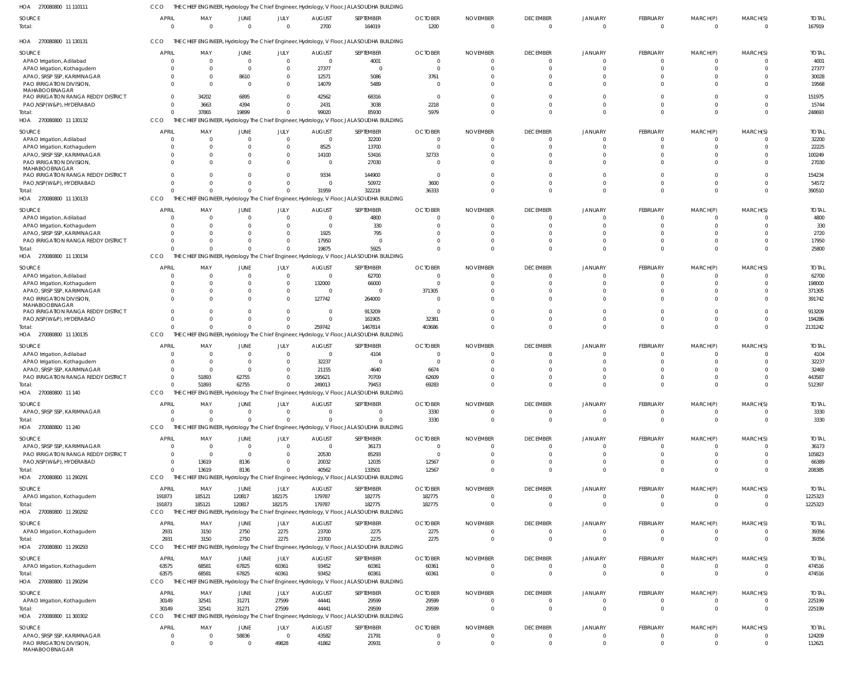| HOA<br>270080800 11 11011                 | CCO          |                 |                  |                  |                | THE CHIEF ENGINEER, Hydrology The Chief Engineer, Hydrology, V Floor, JALASOUDHA BUILDING |                        |                             |                                 |                            |                      |                      |                            |                        |
|-------------------------------------------|--------------|-----------------|------------------|------------------|----------------|-------------------------------------------------------------------------------------------|------------------------|-----------------------------|---------------------------------|----------------------------|----------------------|----------------------|----------------------------|------------------------|
| SOURCE<br>Total:                          | <b>APRIL</b> | MAY<br>$\Omega$ | JUNE<br>$\Omega$ | JULY<br>$\Omega$ | AUGUST<br>2700 | SEPTEMBER<br>164019                                                                       | <b>OCTOBER</b><br>1200 | <b>NOVEMBER</b><br>$\Omega$ | <b>DECEMBER</b><br>$\mathbf{0}$ | <b>JANUARY</b><br>$\Omega$ | FEBRUARY<br>$\Omega$ | MARCH(P)<br>$\Omega$ | MARCH(S)<br>$\overline{0}$ | <b>TOTAL</b><br>167919 |
| HOA 270080800 11 130131                   | CCO          |                 |                  |                  |                | THE CHIEF ENGINEER, Hydrology The Chief Engineer, Hydrology, V Floor, JALASOUDHA BUILDING |                        |                             |                                 |                            |                      |                      |                            |                        |
| SOURCE                                    | <b>APRIL</b> | MAY             | JUNE             | JULY             | <b>AUGUST</b>  | SEPTEMBER                                                                                 | <b>OCTOBER</b>         | <b>NOVEMBER</b>             | <b>DECEMBER</b>                 | JANUARY                    | FEBRUARY             | MARCH(P)             | MARCH(S)                   | <b>TOTAL</b>           |
| APAO Irrigation, Adilabad                 |              | $\Omega$        | $\Omega$         | $\mathbf{0}$     | $\mathbf 0$    | 4001                                                                                      |                        |                             | $\Omega$                        | $\Omega$                   | $\Omega$             |                      | C                          | 4001                   |
| APAO Irrigation, Kothagudem               |              | <sup>0</sup>    | $\Omega$         | $\Omega$         | 27377          | $\Omega$                                                                                  |                        |                             | 0                               | -C                         | $\Omega$             | $\Omega$             | C                          | 27377                  |
| APAO, SRSP SSP, KARIMNAGAR                |              | 0               | 8610             | $\Omega$         | 12571          | 5086                                                                                      | 3761                   |                             | $\Omega$                        |                            | $\Omega$             | $\Omega$             | C                          | 30028                  |
| PAO IRRIGATION DIVISION                   |              |                 | $\Omega$         | $\Omega$         | 14079          | 5489                                                                                      |                        |                             | $\Omega$                        | $\Omega$                   | $\Omega$             | $\Omega$             | C                          | 19568                  |
| MAHABOOBNAGAR                             |              |                 |                  |                  |                |                                                                                           |                        |                             |                                 |                            |                      |                      |                            |                        |
| PAO IRRIGATION RANGA REDDY DISTRICT       |              | 34202           | 6895             | $\Omega$         | 42562          | 68316                                                                                     | $\Omega$               |                             | $\Omega$                        | $\Omega$                   | $\Omega$             | $\Omega$             | $\Omega$                   | 151975                 |
| PAO, NSP (W&P), HYDERABAD                 |              | 3663            | 4394             | $\Omega$         | 2431           | 3038                                                                                      | 2218                   |                             | 0                               | $\Omega$                   | $\Omega$             | $\Omega$             | $\Omega$                   | 15744                  |
| Total:                                    |              | 37865           | 19899            | $\Omega$         | 99020          | 85930                                                                                     | 5979                   |                             | $\Omega$                        | $\Omega$                   | $\Omega$             | $\Omega$             | $\Omega$                   | 248693                 |
| HOA 270080800 11 130132                   | CCO          |                 |                  |                  |                | THE CHIEF ENGINEER, Hydrology The Chief Engineer, Hydrology, V Floor, JALASOUDHA BUILDING |                        |                             |                                 |                            |                      |                      |                            |                        |
| SOURCE                                    | <b>APRIL</b> | MAY             | JUNE             | JULY             | <b>AUGUST</b>  | SEPTEMBER                                                                                 | <b>OCTOBER</b>         | <b>NOVEMBER</b>             | <b>DECEMBER</b>                 | <b>JANUARY</b>             | FEBRUARY             | MARCH(P)             | MARCH(S)                   | <b>TOTAL</b>           |
| APAO Irrigation, Adilabad                 |              | $\Omega$        | $\Omega$         | $\overline{0}$   | $\mathbf 0$    | 32200                                                                                     | $\Omega$               | $\Omega$                    | $\Omega$                        | $\Omega$                   | $\Omega$             | $\Omega$             | C                          | 32200                  |
| APAO Irrigation, Kothagudem               |              | <sup>0</sup>    | 0                | $\Omega$         | 8525           | 13700                                                                                     | $\Omega$               |                             | $\Omega$                        | -C                         | $\Omega$             | $\Omega$             | C                          | 22225                  |
| APAO, SRSP SSP, KARIMNAGAR                |              |                 | 0                | $\mathbf{0}$     | 14100          | 53416                                                                                     | 32733                  |                             | $\Omega$                        | 0                          | $\Omega$             | $\Omega$             | C                          | 100249                 |
| PAO IRRIGATION DIVISION,                  |              |                 | 0                | $\Omega$         | $\mathbf 0$    | 27030                                                                                     |                        |                             | $\Omega$                        | $\Omega$                   | $\Omega$             | $\Omega$             | $\sqrt{2}$                 | 27030                  |
| MAHABOOBNAGAR                             |              |                 |                  |                  |                |                                                                                           |                        |                             |                                 |                            |                      |                      |                            |                        |
| PAO IRRIGATION RANGA REDDY DISTRICT       |              |                 | U                | $\Omega$         | 9334           | 144900                                                                                    | $\Omega$               | $\Omega$                    | $\Omega$                        | $\Omega$                   | $\Omega$             | $\Omega$             | $\Omega$                   | 154234                 |
| PAO, NSP (W&P), HYDERABAD                 |              |                 | 0                | $\Omega$         | 0              | 50972                                                                                     | 3600                   | $\Omega$                    | $\Omega$                        | $\Omega$                   | $\Omega$             | $\Omega$             | $\Omega$                   | 54572                  |
| Total:                                    |              | 0               | $\Omega$         | $\Omega$         | 31959          | 322218                                                                                    | 36333                  |                             | $\Omega$                        | $\Omega$                   | $\Omega$             | $\Omega$             | $\Omega$                   | 390510                 |
| HOA 270080800 11 130133                   | CCO          |                 |                  |                  |                | THE CHIEF ENGINEER, Hydrology The Chief Engineer, Hydrology, V Floor, JALASOUDHA BUILDING |                        |                             |                                 |                            |                      |                      |                            |                        |
|                                           |              |                 |                  |                  |                |                                                                                           |                        |                             |                                 |                            |                      |                      |                            |                        |
| SOURCE                                    | <b>APRIL</b> | MAY             | JUNE             | JULY             | <b>AUGUST</b>  | SEPTEMBER                                                                                 | <b>OCTOBER</b>         | <b>NOVEMBER</b>             | <b>DECEMBER</b>                 | <b>JANUARY</b>             | FEBRUARY             | MARCH(P)             | MARCH(S)                   | <b>TOTAL</b>           |
| APAO Irrigation, Adilabad                 |              |                 | 0                | $\Omega$         | 0              | 4800                                                                                      |                        |                             | $\Omega$                        | $\Omega$                   | $\Omega$             | $\Omega$             | C                          | 4800                   |
| APAO Irrigation, Kothagudem               |              |                 | U                | $\Omega$         | $\Omega$       | 330                                                                                       |                        |                             | 0                               | -C                         | $\Omega$             | $\Omega$             | C                          | 330                    |
| APAO, SRSP SSP, KARIMNAGAR                |              |                 |                  | $\Omega$         | 1925           | 795                                                                                       |                        |                             | -C                              |                            |                      |                      | C                          | 2720                   |
| PAO IRRIGATION RANGA REDDY DISTRICT       |              |                 | U                | $\Omega$         | 17950          | - 0                                                                                       |                        |                             | 0                               | $\Omega$                   | $\Omega$             | $\Omega$             | C                          | 17950                  |
| Total:                                    |              |                 | $\Omega$         | $\Omega$         | 19875          | 5925                                                                                      |                        |                             | $\Omega$                        | $\Omega$                   | $\Omega$             | $\Omega$             | $\Omega$                   | 25800                  |
| HOA 270080800 11 130134                   | CCO          |                 |                  |                  |                | THE CHIEF ENGINEER, Hydrology The Chief Engineer, Hydrology, V Floor, JALASOUDHA BUILDING |                        |                             |                                 |                            |                      |                      |                            |                        |
| SOURCE                                    | <b>APRIL</b> | MAY             | JUNE             | JULY             | <b>AUGUST</b>  | SEPTEMBER                                                                                 | <b>OCTOBER</b>         | <b>NOVEMBER</b>             | <b>DECEMBER</b>                 | JANUARY                    | FEBRUARY             | MARCH(P)             | MARCH(S)                   | <b>TOTAL</b>           |
| APAO Irrigation, Adilabad                 |              | $\Omega$        | 0                | $\overline{0}$   | $\mathbf 0$    | 62700                                                                                     |                        |                             | $\Omega$                        | $\Omega$                   | $\Omega$             | $\Omega$             | C                          | 62700                  |
| APAO Irrigation, Kothagudem               |              | $\Omega$        | 0                | $\overline{0}$   | 132000         | 66000                                                                                     |                        | $\Omega$                    | $\Omega$                        | $\Omega$                   | $\Omega$             | $\Omega$             | $\Omega$                   | 198000                 |
| APAO, SRSP SSP, KARIMNAGAR                |              | 0               | 0                | $\mathbf 0$      | 0              | $\Omega$                                                                                  | 371305                 |                             | 0                               | 0                          | $\Omega$             | $\Omega$             | $\Omega$                   | 371305                 |
| PAO IRRIGATION DIVISION,                  |              |                 | $\Omega$         | $\mathbf 0$      | 127742         | 264000                                                                                    |                        |                             | $\Omega$                        | $\Omega$                   | $\Omega$             | $\Omega$             | $\Omega$                   | 391742                 |
| MAHABOOBNAGAR                             |              |                 |                  |                  |                |                                                                                           |                        |                             |                                 |                            |                      |                      |                            |                        |
| PAO IRRIGATION RANGA REDDY DISTRICT       |              |                 | 0                | $\mathbf 0$      | 0              | 913209                                                                                    |                        |                             | $\Omega$                        | $\Omega$                   | $\Omega$             | $\Omega$             | $\overline{0}$             | 913209                 |
| PAO, NSP (W&P), HYDERABAD                 |              | 0               | $\Omega$         | $\Omega$         | $\Omega$       | 161905                                                                                    | 32381                  | $\Omega$                    | $\Omega$                        | $\Omega$                   | $\Omega$             | $\Omega$             | $\overline{0}$             | 194286                 |
| Total:                                    |              | $\Omega$        | $\Omega$         | $\mathbf 0$      | 259742         | 1467814                                                                                   | 403686                 |                             | $\Omega$                        | $\Omega$                   | $\Omega$             | $\Omega$             | $\Omega$                   | 2131242                |
| HOA 270080800 11 130135                   | CCO          |                 |                  |                  |                | THE CHIEF ENGINEER, Hydrology The Chief Engineer, Hydrology, V Floor, JALASOUDHA BUILDING |                        |                             |                                 |                            |                      |                      |                            |                        |
| SOURCE                                    | <b>APRIL</b> | MAY             | <b>JUNE</b>      | JULY             | <b>AUGUST</b>  | SEPTEMBER                                                                                 | <b>OCTOBER</b>         | <b>NOVEMBER</b>             | <b>DECEMBER</b>                 | <b>JANUARY</b>             | <b>FEBRUARY</b>      | MARCH(P)             | MARCH(S)                   | <b>TOTAL</b>           |
|                                           |              |                 | 0                | $\Omega$         | $\Omega$       |                                                                                           |                        |                             |                                 | -C                         |                      |                      | C                          |                        |
| APAO Irrigation, Adilabad                 |              |                 |                  |                  |                | 4104                                                                                      |                        |                             | 0                               |                            |                      |                      |                            | 4104                   |
| APAO Irrigation, Kothagudem               |              |                 | 0                | $\Omega$         | 32237          | - 0                                                                                       |                        |                             |                                 |                            |                      |                      |                            | 32237                  |
| APAO, SRSP SSP, KARIMNAGAR                |              |                 | <sup>0</sup>     | $\Omega$         | 21155          | 4640                                                                                      | 6674                   |                             |                                 |                            |                      |                      |                            | 32469                  |
| PAO IRRIGATION RANGA REDDY DISTRICT       |              | 51893           | 62755            | $\Omega$         | 195621         | 70709                                                                                     | 62609                  |                             |                                 |                            |                      |                      |                            | 443587                 |
| Total:                                    |              | 51893           | 62755            | $\Omega$         | 249013         | 79453                                                                                     | 69283                  |                             |                                 |                            |                      |                      |                            | 512397                 |
| HOA 270080800 11 140                      | CCO          |                 |                  |                  |                | THE CHIEF ENGINEER, Hydrology The Chief Engineer, Hydrology, V Floor, JALASOUDHA BUILDING |                        |                             |                                 |                            |                      |                      |                            |                        |
| SOURCE                                    | <b>APRIL</b> | MAY             | JUNE             | JULY             | <b>AUGUST</b>  | SEPTEMBER                                                                                 | <b>OCTOBER</b>         | <b>NOVEMBER</b>             | <b>DECEMBER</b>                 | <b>JANUARY</b>             | FEBRUARY             | MARCH(P)             | MARCH(S)                   | <b>TOTAL</b>           |
| APAO, SRSP SSP, KARIMNAGAR                | $\Omega$     | $\Omega$        | $\Omega$         | $\overline{0}$   | $\Omega$       | $\Omega$                                                                                  | 3330                   | $\overline{0}$              | $\overline{0}$                  | $\overline{0}$             | $\overline{0}$       | $\overline{0}$       | $\overline{0}$             | 3330                   |
| Total:                                    | $\Omega$     | $\Omega$        | $\Omega$         | $\Omega$         | $\Omega$       | $\Omega$                                                                                  | 3330                   | $\overline{0}$              | $\mathbf{0}$                    | $\overline{0}$             | $\Omega$             | $\Omega$             | $\overline{0}$             | 3330                   |
| HOA 270080800 11 240                      | <b>CCO</b>   |                 |                  |                  |                | THE CHIEF ENGINEER, Hydrology The Chief Engineer, Hydrology, V Floor, JALASOUDHA BUILDING |                        |                             |                                 |                            |                      |                      |                            |                        |
|                                           |              |                 |                  |                  |                |                                                                                           |                        |                             |                                 |                            |                      |                      |                            |                        |
| SOURCE                                    | <b>APRIL</b> | MAY             | <b>JUNE</b>      | JULY             | <b>AUGUST</b>  | SEPTEMBER                                                                                 | <b>OCTOBER</b>         | <b>NOVEMBER</b>             | <b>DECEMBER</b>                 | <b>JANUARY</b>             | FEBRUARY             | MARCH(P)             | MARCH(S)                   | <b>TOTAL</b>           |
| APAO, SRSP SSP, KARIMNAGAR                | - 0          | $\Omega$        | $\mathbf 0$      | $\overline{0}$   | $\mathbf 0$    | 36173                                                                                     | $\Omega$               | $\Omega$                    | $\Omega$                        | $\Omega$                   | $\Omega$             | - 0                  | $\Omega$                   | 36173                  |
| PAO IRRIGATION RANGA REDDY DISTRICT       |              | $\Omega$        | $\Omega$         | $\Omega$         | 20530          | 85293                                                                                     | $\Omega$               | $\Omega$                    | $\Omega$                        | $\Omega$                   | $\Omega$             | $\Omega$             | $\Omega$                   | 105823                 |
| PAO, NSP (W&P), HYDERABAD                 |              | 13619           | 8136             | $\Omega$         | 20032          | 12035                                                                                     | 12567                  | $\Omega$                    | $\Omega$                        | $\Omega$                   | $\Omega$             | $\Omega$             | $\Omega$                   | 66389                  |
| Total:                                    |              | 13619           | 8136             | $\Omega$         | 40562          | 133501                                                                                    | 12567                  |                             | $\Omega$                        | $\Omega$                   | $\Omega$             | $\Omega$             | $\Omega$                   | 208385                 |
| HOA 270080800 11 290291                   | <b>CCO</b>   |                 |                  |                  |                | THE CHIEF ENGINEER, Hydrology The Chief Engineer, Hydrology, V Floor, JALASOUDHA BUILDING |                        |                             |                                 |                            |                      |                      |                            |                        |
| SOURCE                                    | <b>APRIL</b> | MAY             | JUNE             | JULY             | <b>AUGUST</b>  | SEPTEMBER                                                                                 | <b>OCTOBER</b>         | <b>NOVEMBER</b>             | <b>DECEMBER</b>                 | <b>JANUARY</b>             | FEBRUARY             | MARCH(P)             | MARCH(S)                   | <b>TOTAL</b>           |
| APAO Irrigation, Kothagudem               | 191873       | 185121          | 120817           | 182175           | 179787         | 182775                                                                                    | 182775                 | $\mathbf 0$                 | $\overline{0}$                  | $\overline{0}$             | $\overline{0}$       | $\Omega$             | $^{\circ}$                 | 1225323                |
| Total:                                    | 191873       | 185121          | 120817           | 182175           | 179787         | 182775                                                                                    | 182775                 | $\Omega$                    | $\overline{0}$                  | $\Omega$                   | $\Omega$             | $\Omega$             | $\overline{0}$             | 1225323                |
| HOA 270080800 11 290292                   | CCO.         |                 |                  |                  |                | THE CHIEF ENGINEER, Hydrology The Chief Engineer, Hydrology, V Floor, JALASOUDHA BUILDING |                        |                             |                                 |                            |                      |                      |                            |                        |
|                                           |              |                 |                  |                  |                |                                                                                           |                        |                             |                                 |                            |                      |                      |                            |                        |
| SOURCE                                    | APRIL        | MAY             | JUNE             | JULY             | <b>AUGUST</b>  | SEPTEMBER                                                                                 | <b>OCTOBER</b>         | <b>NOVEMBER</b>             | <b>DECEMBER</b>                 | JANUARY                    | FEBRUARY             | MARCH(P)             | MARCH(S)                   | <b>TOTAL</b>           |
| APAO Irrigation, Kothagudem               | 2931         | 3150            | 2750             | 2275             | 23700          | 2275                                                                                      | 2275                   | $\Omega$                    | $\overline{0}$                  | $\overline{0}$             | $\Omega$             | $\Omega$             | $\overline{0}$             | 39356                  |
| Total:                                    | 2931         | 3150            | 2750             | 2275             | 23700          | 2275                                                                                      | 2275                   | $\Omega$                    | $\overline{0}$                  | $\overline{0}$             | $\Omega$             | $\Omega$             | $\overline{0}$             | 39356                  |
| HOA 270080800 11 290293                   | <b>CCO</b>   |                 |                  |                  |                | THE CHIEF ENGINEER, Hydrology The Chief Engineer, Hydrology, V Floor, JALASOUDHA BUILDING |                        |                             |                                 |                            |                      |                      |                            |                        |
| SOURCE                                    | <b>APRIL</b> | MAY             | JUNE             | JULY             | <b>AUGUST</b>  | SEPTEMBER                                                                                 | <b>OCTOBER</b>         | <b>NOVEMBER</b>             | <b>DECEMBER</b>                 | <b>JANUARY</b>             | FEBRUARY             | MARCH(P)             | MARCH(S)                   | <b>TOTAL</b>           |
| APAO Irrigation, Kothagudem               | 63575        | 68581           | 67825            | 60361            | 93452          | 60361                                                                                     | 60361                  | $\overline{0}$              | $\mathbf 0$                     | $\overline{0}$             | $\overline{0}$       | $\overline{0}$       | $\overline{0}$             | 474516                 |
| Total:                                    | 63575        | 68581           | 67825            | 60361            | 93452          | 60361                                                                                     | 60361                  | $\Omega$                    | $\Omega$                        | $\overline{0}$             | $\Omega$             | $\Omega$             | $\Omega$                   | 474516                 |
| HOA 270080800 11 290294                   | <b>CCO</b>   |                 |                  |                  |                | THE CHIEF ENGINEER, Hydrology The Chief Engineer, Hydrology, V Floor, JALASOUDHA BUILDING |                        |                             |                                 |                            |                      |                      |                            |                        |
|                                           |              |                 |                  |                  |                |                                                                                           |                        |                             |                                 |                            |                      |                      |                            |                        |
| SOURCE                                    | <b>APRIL</b> | MAY             | JUNE             | JULY             | <b>AUGUST</b>  | SEPTEMBER                                                                                 | <b>OCTOBER</b>         | <b>NOVEMBER</b>             | <b>DECEMBER</b>                 | <b>JANUARY</b>             | FEBRUARY             | MARCH(P)             | MARCH(S)                   | <b>TOTAL</b>           |
| APAO Irrigation, Kothagudem               | 30149        | 32541           | 31271            | 27599            | 44441          | 29599                                                                                     | 29599                  | $\Omega$                    | $\overline{0}$                  | $\overline{0}$             | $\Omega$             | $\Omega$             | $\Omega$                   | 225199                 |
| Total:                                    | 30149        | 32541           | 31271            | 27599            | 44441          | 29599                                                                                     | 29599                  | $\Omega$                    | $\overline{0}$                  | $\Omega$                   | $\overline{0}$       | $\Omega$             | $\overline{0}$             | 225199                 |
| HOA 270080800 11 300302                   | CCO          | THE CH          |                  |                  |                | EF ENGINEER, Hydrology The Chief Engineer, Hydrology, V Floor, JALASOUDHA BUILDING        |                        |                             |                                 |                            |                      |                      |                            |                        |
| <b>SOURCE</b>                             | <b>APRIL</b> | MAY             | JUNE             | JULY             | <b>AUGUST</b>  | SEPTEMBER                                                                                 | <b>OCTOBER</b>         | <b>NOVEMBER</b>             | <b>DECEMBER</b>                 | JANUARY                    | FEBRUARY             | MARCH(P)             | MARCH(S)                   | <b>TOTAL</b>           |
| APAO, SRSP SSP, KARIMNAGAR                |              | $\Omega$        | 58836            | $\overline{0}$   | 43582          | 21791                                                                                     | 0                      | $\mathbf 0$                 | $\overline{0}$                  | $\overline{0}$             | $\overline{0}$       | $\Omega$             | $^{\circ}$                 | 124209                 |
| PAO IRRIGATION DIVISION,<br>MAHABOOBNAGAR | $\Omega$     | $\mathbf 0$     | $\mathbf 0$      | 49828            | 41862          | 20931                                                                                     | $\mathbf 0$            | $\overline{0}$              | $\mathbf{0}$                    | $\overline{0}$             | $\mathbf{0}$         | $\mathbf{0}$         | $\overline{0}$             | 112621                 |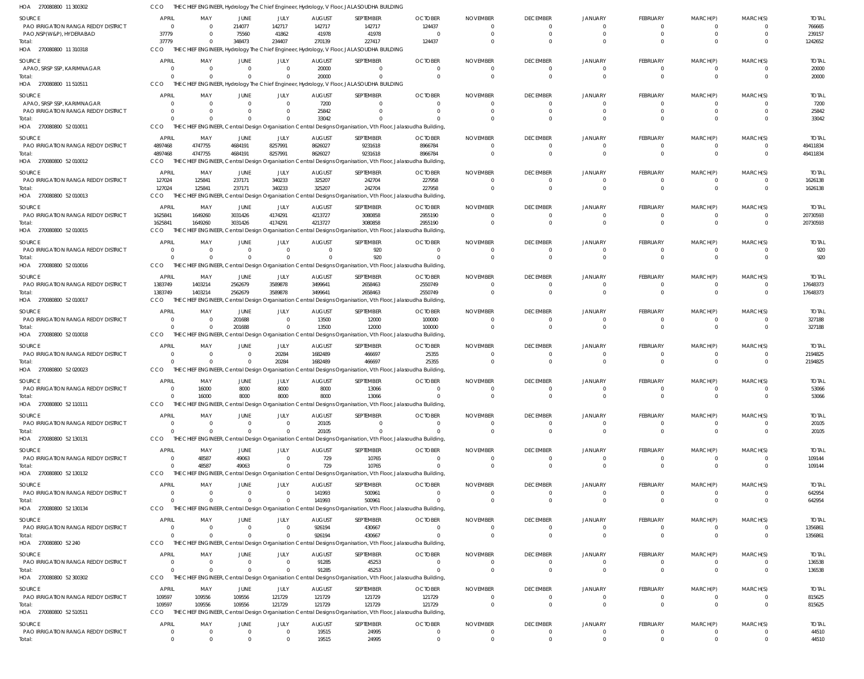270080800 11 300302 HOA CCO THE CHIEF ENGINEER, Hydrology The Chief Engineer, Hydrology, V Floor, JALASOUDHA BUILDING

| .<br>EI 0000000 TT 000002                     |                                | --------------       | uivivyy                       |                          |                          | ne oner engineer, riyarology, viriool, bi lo loobbili libolebilito                                                      |                            |                             |                                   |                            |                                 |                             |                            |                          |
|-----------------------------------------------|--------------------------------|----------------------|-------------------------------|--------------------------|--------------------------|-------------------------------------------------------------------------------------------------------------------------|----------------------------|-----------------------------|-----------------------------------|----------------------------|---------------------------------|-----------------------------|----------------------------|--------------------------|
| SOURCE                                        | <b>APRIL</b>                   | MAY                  | JUNE                          | JULY                     | <b>AUGUST</b>            | SEPTEMBER                                                                                                               | <b>OCTOBER</b>             | <b>NOVEMBER</b>             | <b>DECEMBER</b>                   | JANUARY                    | FEBRUARY                        | MARCH(P)                    | MARCH(S)                   | <b>TOTAL</b>             |
| PAO IRRIGATION RANGA REDDY DISTRICT           | $\Omega$                       |                      | 214077                        | 142717                   | 142717                   | 142717                                                                                                                  | 124437                     | $\Omega$                    | $\Omega$                          | $\Omega$                   | $\Omega$                        | $\Omega$                    | $\Omega$                   | 766665                   |
| PAO, NSP(W&P), HYDERABAD                      | 37779                          |                      | 75560                         | 41862                    | 41978                    | 41978                                                                                                                   | - 0                        |                             |                                   |                            | $\Omega$                        | $\Omega$                    | $\Omega$                   | 239157                   |
| Total:                                        | 37779                          |                      | 348473                        | 234407                   | 270139                   | 227417                                                                                                                  | 124437                     |                             |                                   |                            | $\Omega$                        | $\Omega$                    | $\Omega$                   | 1242652                  |
| HOA 270080800 11 310318                       | CCO<br>THF                     |                      |                               |                          |                          | CHIEF ENGINEER, Hydrology The Chief Engineer, Hydrology, V Floor, JALASOUDHA BUILDING                                   |                            |                             |                                   |                            |                                 |                             |                            |                          |
| SOURCE                                        | <b>APRIL</b>                   | MAY                  | JUNE                          | JULY                     | <b>AUGUST</b>            | SEPTEMBER                                                                                                               | <b>OCTOBER</b>             | <b>NOVEMBER</b>             | <b>DECEMBER</b>                   | JANUARY                    | FEBRUARY                        | MARCH(P)                    | MARCH(S)                   | <b>TOTAL</b>             |
| APAO, SRSP SSP, KARIMNAGAR                    | $\Omega$                       | $\Omega$             | $\overline{0}$                | $\mathbf{0}$             | 20000                    | $\mathbf{0}$                                                                                                            | $\Omega$                   | - 0                         | $\Omega$                          | $\Omega$                   | $\overline{0}$                  | 0                           | $\Omega$                   | 20000                    |
| Total:                                        | $\Omega$                       |                      | $\Omega$                      | $\Omega$                 | 20000                    | $\Omega$                                                                                                                |                            |                             | $\Omega$                          | $\Omega$                   | $\mathbf{0}$                    | $\mathbf 0$                 | $\Omega$                   | 20000                    |
| HOA 270080800 11 510511                       | CCO                            |                      |                               |                          |                          | THE CHIEF ENGINEER, Hydrology The Chief Engineer, Hydrology, V Floor, JALASOUDHA BUILDING                               |                            |                             |                                   |                            |                                 |                             |                            |                          |
| SOURCE                                        | <b>APRIL</b>                   | MAY                  | JUNE                          | JULY                     | <b>AUGUST</b>            | SEPTEMBER                                                                                                               | <b>OCTOBER</b>             | <b>NOVEMBER</b>             | <b>DECEMBER</b>                   | JANUARY                    | FEBRUARY                        | MARCH(P)                    | MARCH(S)                   | <b>TOTAL</b>             |
| APAO, SRSP SSP, KARIMNAGAR                    | $\Omega$                       | $\Omega$             | $\Omega$                      | $\Omega$                 | 7200                     | $\Omega$                                                                                                                | - 0                        |                             |                                   | $\Omega$                   | 0                               | $\Omega$                    | $\Omega$                   | 7200                     |
| PAO IRRIGATION RANGA REDDY DISTRICT<br>Total: | $\Omega$<br>$\Omega$           |                      | <sup>0</sup><br>$\Omega$      | $\Omega$<br>$\Omega$     | 25842<br>33042           | $\Omega$                                                                                                                |                            |                             |                                   |                            | $\Omega$<br>$\Omega$            | $\Omega$<br>$\Omega$        | $\Omega$                   | 25842<br>33042           |
| HOA 270080800 52 010011                       | CCO                            |                      |                               |                          |                          | THE CHIEF ENGINEER, Central Design Organisation Central Designs Organisation, Vth Floor, Jalasoudha Building,           |                            |                             |                                   |                            |                                 |                             |                            |                          |
|                                               |                                |                      |                               |                          |                          |                                                                                                                         |                            |                             |                                   |                            |                                 |                             |                            |                          |
| SOURCE<br>PAO IRRIGATION RANGA REDDY DISTRICT | <b>APRIL</b><br>4897468        | MAY<br>4747755       | JUNE<br>4684191               | JULY<br>8257991          | <b>AUGUST</b><br>8626027 | SEPTEMBER<br>9231618                                                                                                    | <b>OCTOBER</b><br>8966784  | <b>NOVEMBER</b><br>- 0      | <b>DECEMBER</b><br>0              | JANUARY<br>$\Omega$        | FEBRUARY<br>$\overline{0}$      | MARCH(P)<br>0               | MARCH(S)<br>$\Omega$       | <b>TOTAL</b><br>49411834 |
| Total:                                        | 4897468                        | 4747755              | 4684191                       | 8257991                  | 8626027                  | 9231618                                                                                                                 | 8966784                    |                             | $\Omega$                          | $\Omega$                   | $\Omega$                        | $\Omega$                    | $\Omega$                   | 49411834                 |
| HOA 270080800 52 010012                       | CCO                            |                      |                               |                          |                          | THE CHIEF ENGINEER, Central Design Organisation Central Designs Organisation, Vth Floor, Jalasoudha Building,           |                            |                             |                                   |                            |                                 |                             |                            |                          |
| SOURCE                                        | <b>APRIL</b>                   | MAY                  | JUNE                          | JULY                     | <b>AUGUST</b>            | SEPTEMBER                                                                                                               | <b>OCTOBER</b>             | <b>NOVEMBER</b>             | <b>DECEMBER</b>                   | JANUARY                    | FEBRUARY                        | MARCH(P)                    | MARCH(S)                   | <b>TOTAL</b>             |
| PAO IRRIGATION RANGA REDDY DISTRICT           | 127024                         | 125841               | 237171                        | 340233                   | 325207                   | 242704                                                                                                                  | 227958                     |                             | 0                                 | $\Omega$                   | 0                               | $\Omega$                    | $\Omega$                   | 1626138                  |
| Total:                                        | 127024                         | 125841               | 237171                        | 340233                   | 325207                   | 242704                                                                                                                  | 227958                     |                             | $\Omega$                          | $\Omega$                   | $\Omega$                        | $\Omega$                    | $\Omega$                   | 1626138                  |
| HOA 270080800 52 010013                       | CCO                            |                      |                               |                          |                          | THE CHIEF ENGINEER, Central Design Organisation Central Designs Organisation, Vth Floor, Jalasoudha Building,           |                            |                             |                                   |                            |                                 |                             |                            |                          |
| SOURCE                                        | APRIL                          | MAY                  | JUNE                          | JULY                     | <b>AUGUST</b>            | SEPTEMBER                                                                                                               | <b>OCTOBER</b>             | <b>NOVEMBER</b>             | <b>DECEMBER</b>                   | JANUARY                    | FEBRUARY                        | MARCH(P)                    | MARCH(S)                   | <b>TOTAL</b>             |
| PAO IRRIGATION RANGA REDDY DISTRICT           | 1625841                        | 1649260              | 3031426                       | 4174291                  | 4213727                  | 3080858                                                                                                                 | 2955190                    |                             | 0                                 | $\Omega$                   | $\overline{0}$                  | 0                           | $\Omega$                   | 20730593                 |
| Total:                                        | 1625841                        | 1649260              | 3031426                       | 4174291                  | 4213727                  | 3080858                                                                                                                 | 2955190                    |                             | $\Omega$                          | $\Omega$                   | $\mathbf{0}$                    | $\mathbf 0$                 | $\Omega$                   | 20730593                 |
| HOA 270080800 52 010015                       | CCO                            |                      |                               |                          |                          | THE CHIEF ENGINEER, Central Design Organisation Central Designs Organisation, Vth Floor, Jalasoudha Building,           |                            |                             |                                   |                            |                                 |                             |                            |                          |
| SOURCE                                        | <b>APRIL</b>                   | MAY                  | <b>JUNE</b>                   | JULY                     | <b>AUGUST</b>            | SEPTEMBER                                                                                                               | <b>OCTOBER</b>             | <b>NOVEMBER</b>             | <b>DECEMBER</b>                   | JANUARY                    | FEBRUARY                        | MARCH(P)                    | MARCH(S)                   | <b>TOTAL</b>             |
| PAO IRRIGATION RANGA REDDY DISTRICT           | - 0                            |                      | $\Omega$                      | $\Omega$                 | $\Omega$                 | 920                                                                                                                     | $\Omega$                   |                             |                                   |                            | $\Omega$                        | $\Omega$                    | $\Omega$                   | 920                      |
| Total:                                        | $\Omega$                       |                      | $\Omega$                      | $\Omega$                 |                          | 920                                                                                                                     |                            |                             | <sup>0</sup>                      | $\Omega$                   | $\Omega$                        | $\Omega$                    | $\Omega$                   | 920                      |
| HOA 270080800 52 010016                       | CCO<br>THE                     |                      |                               |                          |                          | ENGINEER, Central Design Organisation Central Designs Organisation, Vth Floor, Jalasoudha Building                      |                            |                             |                                   |                            |                                 |                             |                            |                          |
| SOURCE                                        | <b>APRIL</b>                   | MAY                  | JUNE                          | JULY                     | <b>AUGUST</b>            | SEPTEMBER                                                                                                               | <b>OCTOBER</b>             | <b>NOVEMBER</b>             | <b>DECEMBER</b>                   | JANUARY                    | FEBRUARY                        | MARCH(P)                    | MARCH(S)                   | <b>TOTAL</b>             |
| PAO IRRIGATION RANGA REDDY DISTRICT           | 1383749                        | 1403214              | 2562679                       | 3589878                  | 3499641                  | 2658463                                                                                                                 | 2550749                    | - 0                         | 0                                 | $\Omega$                   | $\overline{0}$                  | 0                           | $\overline{0}$             | 17648373                 |
| Total:                                        | 1383749                        | 1403214              | 2562679                       | 3589878                  | 3499641                  | 2658463                                                                                                                 | 2550749                    |                             | $\Omega$                          | $\Omega$                   | $\overline{0}$                  | $\mathbf{0}$                | $\Omega$                   | 17648373                 |
| HOA 270080800 52 010017                       | CCO                            |                      |                               |                          |                          | THE CHIEF ENGINEER, Central Design Organisation Central Designs Organisation, Vth Floor, Jalasoudha Building,           |                            |                             |                                   |                            |                                 |                             |                            |                          |
| SOURCE                                        | <b>APRIL</b>                   | MAY                  | <b>JUNE</b>                   | JULY                     | <b>AUGUST</b>            | SEPTEMBER                                                                                                               | <b>OCTOBER</b>             | <b>NOVEMBER</b>             | <b>DECEMBER</b>                   | JANUARY                    | FEBRUARY                        | MARCH(P)                    | MARCH(S)                   | <b>TOTAL</b>             |
| PAO IRRIGATION RANGA REDDY DISTRICT           | - 0                            |                      | 201688                        | $\Omega$                 | 13500                    | 12000                                                                                                                   | 100000                     |                             | 0                                 |                            | 0                               | $\Omega$                    | $\Omega$                   | 327188                   |
| Total:                                        | $\Omega$                       |                      | 201688                        | $\Omega$                 | 13500                    | 12000                                                                                                                   | 100000                     |                             | $\Omega$                          |                            | $\Omega$                        | $\Omega$                    | $\Omega$                   | 327188                   |
| HOA 270080800 52 010018                       | <b>CCO</b>                     |                      |                               |                          |                          | THE CHIEF ENGINEER, Central Design Organisation Central Designs Organisation, Vth Floor, Jalasoudha Building,           |                            |                             |                                   |                            |                                 |                             |                            |                          |
| SOURCE                                        | <b>APRIL</b>                   | MAY                  | <b>JUNE</b>                   | JULY                     | <b>AUGUST</b>            | SEPTEMBER                                                                                                               | <b>OCTOBER</b>             | <b>NOVEMBER</b>             | <b>DECEMBER</b>                   | <b>JANUARY</b>             | FEBRUARY                        | MARCH(P)                    | MARCH(S)                   | <b>TOTAL</b>             |
| PAO IRRIGATION RANGA REDDY DISTRICT           | - 0                            | $\Omega$             | $\overline{0}$                | 20284                    | 1682489                  | 466697                                                                                                                  | 25355                      |                             | $\Omega$                          | $\Omega$                   | $\mathbf{0}$                    | $\Omega$                    | $\Omega$                   | 2194825                  |
| Total:                                        | $\Omega$                       |                      | $\Omega$                      | 20284                    | 1682489                  | 466697                                                                                                                  | 25355                      |                             | $\Omega$                          | $\Omega$                   | $\mathbf{0}$                    | $\Omega$                    | $\Omega$                   | 2194825                  |
| HOA 270080800 52 020023                       | CCO                            |                      |                               |                          |                          | THE CHIEF ENGINEER, Central Design Organisation Central Designs Organisation, Vth Floor, Jalasoudha Building,           |                            |                             |                                   |                            |                                 |                             |                            |                          |
| SOURCE                                        | <b>APRIL</b>                   | MAY                  | JUNE                          | JULY                     | <b>AUGUST</b>            | SEPTEMBER                                                                                                               | <b>OCTOBER</b>             | <b>NOVEMBER</b>             | <b>DECEMBER</b>                   | JANUARY                    | FEBRUARY                        | MARCH(P)                    | MARCH(S)                   | <b>TOTAL</b>             |
| PAO IRRIGATION RANGA REDDY DISTRICT           | $\Omega$                       | 16000                | 8000                          | 8000                     | 8000                     | 13066                                                                                                                   | $\Omega$                   | $\Omega$                    | $\Omega$                          | $\Omega$                   | $\Omega$                        | $\Omega$                    | $\Omega$                   | 53066                    |
| Total:<br>HOA 270080800 52 110111             | $\mathbf 0$                    | 16000                | 8000                          | 8000                     | 8000                     | 13066<br>THE CHIEF ENGINEER, Central Design Organisation Central Designs Organisation, Vth Floor, Jalasoudha Building,  |                            | $\Omega$                    | $\Omega$                          | $\Omega$                   | $\overline{0}$                  | $\mathbf{0}$                | $\overline{0}$             | 53066                    |
|                                               | <b>CCO</b>                     |                      |                               |                          |                          |                                                                                                                         |                            |                             |                                   |                            |                                 |                             |                            |                          |
| SOURCE                                        | <b>APRIL</b>                   | MAY                  | JUNE                          | JULY                     | <b>AUGUST</b>            | SEPTEMBER                                                                                                               | <b>OCTOBER</b>             | <b>NOVEMBER</b>             | <b>DECEMBER</b>                   | <b>JANUARY</b>             | <b>FEBRUARY</b>                 | MARCH(P)                    | MARCH(S)                   | <b>TOTAL</b>             |
| PAO IRRIGATION RANGA REDDY DISTRICT           | $\overline{0}$<br>$\Omega$     | $\Omega$             | $\overline{0}$<br>$\Omega$    | $\mathbf{0}$<br>$\Omega$ | 20105                    | $\mathbf{0}$<br>$\Omega$                                                                                                | $\Omega$                   | $\Omega$<br>$\Omega$        | $\overline{0}$                    | $\overline{0}$<br>$\Omega$ | $\overline{0}$<br>$\mathbf{0}$  | $\mathbf{0}$<br>$\mathbf 0$ | $\Omega$<br>$\Omega$       | 20105                    |
| Total:<br>HOA 270080800 52 130131             | CCO                            |                      |                               |                          | 20105                    | THE CHIEF ENGINEER, Central Design Organisation Central Designs Organisation, Vth Floor, Jalasoudha Building,           |                            |                             | $\overline{0}$                    |                            |                                 |                             |                            | 20105                    |
|                                               |                                |                      |                               |                          |                          |                                                                                                                         |                            |                             |                                   |                            |                                 |                             |                            |                          |
| SOURCE                                        | <b>APRIL</b>                   | MAY                  | JUNE                          | JULY                     | <b>AUGUST</b>            | SEPTEMBER                                                                                                               | <b>OCTOBER</b>             | <b>NOVEMBER</b>             | <b>DECEMBER</b>                   | JANUARY                    | FEBRUARY                        | MARCH(P)                    | MARCH(S)                   | <b>TOTAL</b>             |
| PAO IRRIGATION RANGA REDDY DISTRICT<br>Total: | $\Omega$<br>$\Omega$           | 48587<br>48587       | 49063<br>49063                | $\Omega$<br>$\Omega$     | 729<br>729               | 10765<br>10765                                                                                                          | - 0                        |                             | $\Omega$<br>$\Omega$              | $\Omega$<br>$\Omega$       | $\Omega$<br>$\Omega$            | $\Omega$<br>$\Omega$        | $\Omega$<br>$\Omega$       | 109144<br>109144         |
| HOA 270080800 52 130132                       | CCO                            |                      |                               |                          |                          | THE CHIEF ENGINEER, Central Design Organisation Central Designs Organisation, Vth Floor, Jalasoudha Building,           |                            |                             |                                   |                            |                                 |                             |                            |                          |
|                                               |                                |                      |                               |                          |                          |                                                                                                                         |                            |                             |                                   |                            |                                 |                             |                            |                          |
| SOURCE<br>PAO IRRIGATION RANGA REDDY DISTRICT | <b>APRIL</b><br>- 0            | MAY<br>$\Omega$      | JUNE<br>$\overline{0}$        | JULY<br>$\overline{0}$   | <b>AUGUST</b><br>141993  | SEPTEMBER<br>500961                                                                                                     | <b>OCTOBER</b><br>$\Omega$ | <b>NOVEMBER</b>             | <b>DECEMBER</b><br>$\Omega$       | JANUARY<br>$\Omega$        | <b>FEBRUARY</b><br>$\mathbf{0}$ | MARCH(P)<br>0               | MARCH(S)<br>$\Omega$       | <b>TOTAL</b><br>642954   |
| Total:                                        | $\Omega$                       | $\Omega$             | $\Omega$                      | $\Omega$                 | 141993                   | 500961                                                                                                                  |                            |                             | $\Omega$                          | $\Omega$                   | $\mathbf{0}$                    | $\mathbf 0$                 | $\Omega$                   | 642954                   |
| HOA 270080800 52 130134                       | <b>CCO</b>                     |                      |                               |                          |                          | THE CHIEF ENGINEER, Central Design Organisation Central Designs Organisation, Vth Floor, Jalasoudha Building,           |                            |                             |                                   |                            |                                 |                             |                            |                          |
|                                               |                                |                      | JUNE                          | JULY                     | <b>AUGUST</b>            | SEPTEMBER                                                                                                               | <b>OCTOBER</b>             | <b>NOVEMBER</b>             | <b>DECEMBER</b>                   | <b>JANUARY</b>             | FEBRUARY                        | MARCH(P)                    | MARCH(S)                   | <b>TOTAL</b>             |
|                                               |                                |                      |                               |                          |                          |                                                                                                                         | $\Omega$                   |                             | $\Omega$                          | $\Omega$                   | $\mathbf{0}$                    | 0                           | $\Omega$                   | 1356861                  |
| SOURCE                                        | <b>APRIL</b>                   | MAY                  |                               |                          |                          |                                                                                                                         |                            |                             |                                   |                            |                                 |                             |                            |                          |
| PAO IRRIGATION RANGA REDDY DISTRICT           | $\Omega$<br>$\Omega$           | $\Omega$<br>$\Omega$ | $\Omega$<br>$\Omega$          | $\Omega$<br>$\Omega$     | 926194                   | 430667                                                                                                                  |                            | $\Omega$                    | $\Omega$                          | $\Omega$                   | $\Omega$                        | $\Omega$                    | $\Omega$                   |                          |
| Total:<br>HOA 270080800 52 240                | CCO                            |                      |                               |                          | 926194                   | 430667<br>THE CHIEF ENGINEER, Central Design Organisation Central Designs Organisation, Vth Floor, Jalasoudha Building, |                            |                             |                                   |                            |                                 |                             |                            | 1356861                  |
|                                               |                                |                      |                               |                          |                          |                                                                                                                         |                            |                             |                                   |                            |                                 |                             |                            |                          |
| SOURCE                                        | <b>APRIL</b><br>$\overline{0}$ | MAY<br>$\Omega$      | <b>JUNE</b><br>$\overline{0}$ | JULY<br>$\mathbf{0}$     | <b>AUGUST</b>            | SEPTEMBER                                                                                                               | <b>OCTOBER</b><br>$\Omega$ | <b>NOVEMBER</b><br>$\Omega$ | <b>DECEMBER</b><br>$\overline{0}$ | JANUARY<br>$\Omega$        | FEBRUARY<br>$\overline{0}$      | MARCH(P)<br>0               | MARCH(S)<br>$\Omega$       | <b>TOTAL</b>             |
| PAO IRRIGATION RANGA REDDY DISTRICT<br>Total: | $\Omega$                       |                      | $\Omega$                      | $\Omega$                 | 91285<br>91285           | 45253<br>45253                                                                                                          |                            |                             | $\Omega$                          | $\Omega$                   | $\overline{0}$                  | $\mathbf{0}$                | $\Omega$                   | 136538<br>136538         |
| HOA 270080800 52 300302                       | CCO                            |                      |                               |                          |                          | THE CHIEF ENGINEER, Central Design Organisation Central Designs Organisation, Vth Floor, Jalasoudha Building,           |                            |                             |                                   |                            |                                 |                             |                            |                          |
|                                               |                                |                      |                               |                          |                          |                                                                                                                         |                            |                             |                                   |                            |                                 |                             |                            |                          |
| SOURCE<br>PAO IRRIGATION RANGA REDDY DISTRICT | <b>APRIL</b><br>109597         | MAY<br>109556        | JUNE<br>109556                | JULY<br>121729           | <b>AUGUST</b><br>121729  | SEPTEMBER<br>121729                                                                                                     | <b>OCTOBER</b><br>121729   | <b>NOVEMBER</b>             | <b>DECEMBER</b><br>0              | JANUARY<br>$\Omega$        | FEBRUARY<br>0                   | MARCH(P)<br>$\Omega$        | MARCH(S)<br>$\Omega$       | <b>TOTAL</b>             |
| Total:                                        | 109597                         | 109556               | 109556                        | 121729                   | 121729                   | 121729                                                                                                                  | 121729                     | $\Omega$                    | $\Omega$                          | $\Omega$                   | $\mathbf{0}$                    | $\mathbf 0$                 | $\Omega$                   | 815625<br>815625         |
| HOA 270080800 52 510511                       | CCO                            |                      |                               |                          |                          | THE CHIEF ENGINEER, Central Design Organisation Central Designs Organisation, Vth Floor, Jalasoudha Building,           |                            |                             |                                   |                            |                                 |                             |                            |                          |
|                                               | <b>APRIL</b>                   |                      |                               |                          |                          |                                                                                                                         |                            |                             |                                   |                            |                                 |                             |                            |                          |
| SOURCE<br>PAO IRRIGATION RANGA REDDY DISTRICT | 0                              | MAY<br>$\Omega$      | <b>JUNE</b><br>0              | JULY<br>$\mathbf{0}$     | <b>AUGUST</b><br>19515   | SEPTEMBER<br>24995                                                                                                      | <b>OCTOBER</b><br>- 0      | <b>NOVEMBER</b><br>$\Omega$ | <b>DECEMBER</b><br>$\mathbf{0}$   | JANUARY<br>$\overline{0}$  | FEBRUARY<br>$\mathbf 0$         | MARCH(P)<br>0               | MARCH(S)<br>$\overline{0}$ | <b>TOTAL</b><br>44510    |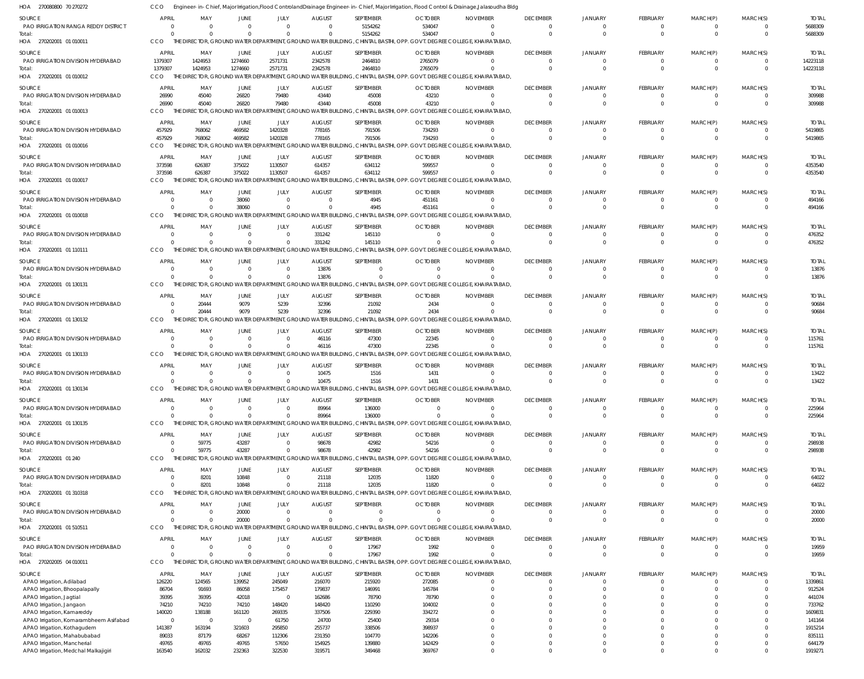| HOA 270080800 70 270272                                     | CCO                      |                               |                            |                            |                           |                             |                          | Engineer-in-Chief, Major Irrigation,Flood ControlandDrainage Engineer-in-Chief, Major Irrigation, Flood Control & Drainage,Jalasoudha Bldg |                                     |                                  |                             |                      |                            |                         |
|-------------------------------------------------------------|--------------------------|-------------------------------|----------------------------|----------------------------|---------------------------|-----------------------------|--------------------------|--------------------------------------------------------------------------------------------------------------------------------------------|-------------------------------------|----------------------------------|-----------------------------|----------------------|----------------------------|-------------------------|
| <b>SOURCE</b><br>PAO IRRIGATION RANGA REDDY DISTRICT        | <b>APRIL</b><br>$\Omega$ | MAY<br>$\Omega$               | JUNE<br>$\Omega$<br>$\cap$ | JULY<br>$\Omega$           | <b>AUGUST</b><br>$\Omega$ | SEPTEMBER<br>5154262        | <b>OCTOBER</b><br>534047 | <b>NOVEMBER</b>                                                                                                                            | <b>DECEMBER</b><br>- 0              | <b>JANUARY</b><br>$\overline{0}$ | <b>FEBRUARY</b><br>$\Omega$ | MARCH(P)<br>$\Omega$ | MARCH(S)<br>- 0            | <b>TOTAL</b><br>5688309 |
| Total:<br>HOA 270202001 01 010011                           | $\Omega$<br>CCO          | $\Omega$                      |                            | $\Omega$                   | $\cap$                    | 5154262                     | 534047                   | THE DIRECTOR, GROUND WATER DEPARTMENT, GROUND WATER BUILDING, CHINTAL BASTHI, OPP. GOVT. DEGREE COLLEGE, KHAIRATABAD,                      | $\Omega$                            | $\Omega$                         | $\Omega$                    | $\Omega$             | $\Omega$                   | 5688309                 |
| SOURCE                                                      | <b>APRIL</b>             | MAY                           | JUNE                       | JULY                       | <b>AUGUST</b>             | SEPTEMBER                   | <b>OCTOBER</b>           | <b>NOVEMBER</b>                                                                                                                            | <b>DECEMBER</b>                     | JANUARY                          | FEBRUARY                    | MARCH(P)             | MARCH(S)                   | <b>TOTAL</b>            |
| PAO IRRIGATION DIVISION HYDERABAD<br>Total:                 | 1379307<br>1379307       | 1424953<br>1424953            | 1274660<br>1274660         | 2571731<br>2571731         | 2342578<br>2342578        | 2464810<br>2464810          | 2765079<br>2765079       |                                                                                                                                            | $\overline{\mathbf{0}}$<br>$\Omega$ | 0<br>$\Omega$                    | $\Omega$<br>$\Omega$        | $\Omega$<br>$\Omega$ | $\overline{0}$<br>$\Omega$ | 14223118<br>14223118    |
| HOA 270202001 01 010012                                     | CCO                      |                               |                            |                            |                           |                             |                          | THE DIRECTOR, GROUND WATER DEPARTMENT, GROUND WATER BUILDING, CHINTAL BASTHI, OPP. GOVT. DEGREE COLLEGE, KHAIRATABAD,                      |                                     |                                  |                             |                      |                            |                         |
| SOURCE                                                      | <b>APRIL</b>             | MAY                           | <b>JUNE</b>                | JULY                       | <b>AUGUST</b>             | SEPTEMBER                   | <b>OCTOBER</b>           | <b>NOVEMBER</b>                                                                                                                            | <b>DECEMBER</b>                     | <b>JANUARY</b>                   | <b>FEBRUARY</b>             | MARCH(P)             | MARCH(S)                   | <b>TOTAL</b>            |
| PAO IRRIGATION DIVISION HYDERABAD                           | 26990<br>26990           | 45040<br>45040                | 26820<br>26820             | 79480<br>79480             | 43440<br>43440            | 45008<br>45008              | 43210                    |                                                                                                                                            | - 0<br>$\Omega$                     | $\Omega$<br>$\Omega$             | $\Omega$<br>$\Omega$        | $\Omega$<br>$\Omega$ | $\Omega$<br>$\overline{0}$ | 309988<br>309988        |
| Total:<br>HOA 270202001 01 010013                           | CCO                      | THE DIREC                     |                            |                            |                           |                             | 43210                    | ) Tor, Ground Water Department, Ground Water Building, Chintal Basthi, Opp. Govt. Degree College, Khairatabad,                             |                                     |                                  |                             |                      |                            |                         |
| SOURCE                                                      | <b>APRIL</b>             | MAY                           | JUNE                       | JULY                       | <b>AUGUST</b>             | SEPTEMBER                   | <b>OCTOBER</b>           | <b>NOVEMBER</b>                                                                                                                            | <b>DECEMBER</b>                     | <b>JANUARY</b>                   | <b>FEBRUARY</b>             | MARCH(P)             | MARCH(S)                   | <b>TOTAL</b>            |
| PAO IRRIGATION DIVISION HYDERABAD                           | 457929                   | 768062                        | 469582                     | 1420328                    | 778165                    | 791506                      | 734293                   |                                                                                                                                            | $\overline{0}$                      | 0                                | $\Omega$                    | $\Omega$             | - 0                        | 5419865                 |
| Total:<br>HOA 270202001 01 010016                           | 457929<br>CCO            | 768062                        | 469582                     | 1420328                    | 778165                    | 791506                      | 734293                   | THE DIRECTOR, GROUND WATER DEPARTMENT, GROUND WATER BUILDING, CHINTAL BASTHI, OPP. GOVT. DEGREE COLLEGE, KHAIRATABAD,                      | $\Omega$                            | $\Omega$                         | $\Omega$                    | $\Omega$             | $\Omega$                   | 5419865                 |
| <b>SOURCE</b>                                               | <b>APRIL</b>             | MAY                           | <b>JUNE</b>                | JULY                       | <b>AUGUST</b>             | SEPTEMBER                   | <b>OCTOBER</b>           | <b>NOVEMBER</b>                                                                                                                            | <b>DECEMBER</b>                     | JANUARY                          | FEBRUARY                    | MARCH(P)             | MARCH(S)                   | <b>TOTAL</b>            |
| PAO IRRIGATION DIVISION HYDERABAD                           | 373598                   | 626387                        | 375022                     | 1130507                    | 614357                    | 634112                      | 599557                   | - 0                                                                                                                                        | $\Omega$                            | $\Omega$                         | $\Omega$                    | $\Omega$             | - 0                        | 4353540                 |
| Total:<br>HOA 270202001 01 010017                           | 373598<br>CCO            | 626387<br>THE DIRECTOR, GROUI | 375022                     | 1130507                    | 614357                    | 634112                      | 599557                   | ND WATER DEPARTMENT, GROUND WATER BUILDING, CHINTAL BASTHI, OPP. GOVT. DEGREE COLLEGE, KHAIRATABAD,                                        | $\Omega$                            | $\Omega$                         | $\Omega$                    | $\Omega$             | $\Omega$                   | 4353540                 |
| SOURCE                                                      | <b>APRIL</b>             | MAY                           | JUNE                       | JULY                       | <b>AUGUST</b>             | SEPTEMBER                   | <b>OCTOBER</b>           | <b>NOVEMBER</b>                                                                                                                            | <b>DECEMBER</b>                     | JANUARY                          | FEBRUARY                    | MARCH(P)             | MARCH(S)                   | <b>TOTAL</b>            |
| PAO IRRIGATION DIVISION HYDERABAD                           | $\Omega$                 | - 0                           | 38060                      | $\Omega$                   | $\Omega$                  | 4945                        | 451161                   |                                                                                                                                            | 0                                   | 0                                | $\Omega$                    | $\Omega$             | $\overline{0}$             | 494166                  |
| Total:<br>HOA 270202001 01 010018                           | $\Omega$<br>CCO          | $\Omega$                      | 38060                      | $\Omega$                   |                           | 4945                        | 451161                   | THE DIRECTOR, GROUND WATER DEPARTMENT, GROUND WATER BUILDING, CHINTAL BASTHI, OPP. GOVT. DEGREE COLLEGE, KHAIRATABAD,                      | $\Omega$                            | $\Omega$                         | $\Omega$                    | $\Omega$             | $\Omega$                   | 494166                  |
| SOURCE                                                      | APRIL                    | MAY                           | <b>JUNE</b>                | JULY                       | <b>AUGUST</b>             | SEPTEMBER                   | <b>OCTOBER</b>           | <b>NOVEMBER</b>                                                                                                                            | <b>DECEMBER</b>                     | <b>JANUARY</b>                   | <b>FEBRUARY</b>             | MARCH(P)             | MARCH(S)                   | <b>TOTAL</b>            |
| PAO IRRIGATION DIVISION HYDERABAD                           | $\Omega$                 | $\Omega$                      | $\Omega$                   | $\Omega$                   | 331242                    | 145110                      |                          | - 0                                                                                                                                        | $\Omega$                            | $\Omega$                         | $\Omega$                    | $\Omega$             | $\Omega$                   | 476352                  |
| Total:<br>HOA 270202001 01 110111                           | $\Omega$<br><b>CCO</b>   | $\Omega$                      | $\Omega$                   | $\Omega$                   | 331242                    | 145110                      |                          | THE DIRECTOR, GROUND WATER DEPARTMENT, GROUND WATER BUILDING, CHINTAL BASTHI, OPP. GOVT. DEGREE COLLEGE, KHAIRATABAD,                      | $\Omega$                            | $\Omega$                         | $\Omega$                    | $\Omega$             | $\Omega$                   | 476352                  |
|                                                             |                          |                               |                            |                            |                           |                             |                          |                                                                                                                                            |                                     |                                  |                             |                      |                            |                         |
| SOURCE<br>PAO IRRIGATION DIVISION HYDERABAD                 | <b>APRIL</b><br>$\Omega$ | MAY<br>- 0                    | JUNE<br>$\Omega$           | JULY<br>$\overline{0}$     | <b>AUGUST</b><br>13876    | SEPTEMBER<br>$\overline{0}$ | <b>OCTOBER</b>           | <b>NOVEMBER</b>                                                                                                                            | <b>DECEMBER</b><br>$\Omega$         | <b>JANUARY</b><br>$\Omega$       | <b>FEBRUARY</b><br>$\Omega$ | MARCH(P)<br>$\Omega$ | MARCH(S)<br>$\Omega$       | <b>TOTAL</b><br>13876   |
| Total:                                                      | $\Omega$                 | $\Omega$                      | $\cap$                     | $\Omega$                   | 13876                     | $\Omega$                    |                          |                                                                                                                                            | $\Omega$                            | $\Omega$                         | $\Omega$                    | $\Omega$             | $\Omega$                   | 13876                   |
| HOA 270202001 01 130131                                     | CCO                      |                               |                            |                            |                           |                             |                          | THE DIRECTOR, GROUND WATER DEPARTMENT, GROUND WATER BUILDING, CHINTAL BASTHI, OPP. GOVT. DEGREE COLLEGE, KHAIRATABAD,                      |                                     |                                  |                             |                      |                            |                         |
| <b>SOURCE</b><br>PAO IRRIGATION DIVISION HYDERABAD          | <b>APRIL</b>             | MAY<br>20444                  | <b>JUNE</b><br>9079        | JULY<br>5239               | <b>AUGUST</b><br>32396    | SEPTEMBER<br>21092          | <b>OCTOBER</b><br>2434   | <b>NOVEMBER</b>                                                                                                                            | <b>DECEMBER</b><br>- 0              | JANUARY<br>$\Omega$              | FEBRUARY<br>$\Omega$        | MARCH(P)<br>$\Omega$ | MARCH(S)<br>$\overline{0}$ | <b>TOTAL</b><br>90684   |
| Total:                                                      | $\Omega$                 | 20444                         | 9079                       | 5239                       | 32396                     | 21092                       | 2434                     |                                                                                                                                            | $\Omega$                            | $\Omega$                         | $\Omega$                    | $\Omega$             | $\Omega$                   | 90684                   |
| HOA 270202001 01 130132                                     | CCO                      |                               |                            |                            |                           |                             |                          | THE DIRECTOR, GROUND WATER DEPARTMENT, GROUND WATER BUILDING, CHINTAL BASTHI, OPP. GOVT. DEGREE COLLEGE, KHAIRATABAD,                      |                                     |                                  |                             |                      |                            |                         |
| <b>SOURCE</b><br>PAO IRRIGATION DIVISION HYDERABAD          | <b>APRIL</b><br>$\Omega$ | MAY<br>- 0                    | JUNE<br>$\Omega$           | JULY<br>$\overline{0}$     | <b>AUGUST</b><br>46116    | SEPTEMBER<br>47300          | <b>OCTOBER</b><br>22345  | <b>NOVEMBER</b><br>$\Omega$                                                                                                                | <b>DECEMBER</b><br>0                | <b>JANUARY</b><br>0              | FEBRUARY<br>$\Omega$        | MARCH(P)<br>$\Omega$ | MARCH(S)<br>$\overline{0}$ | <b>TOTAL</b><br>115761  |
|                                                             | $\Omega$                 | $\Omega$                      | $\cap$                     | $\Omega$                   | 46116                     | 47300                       | 22345                    |                                                                                                                                            | $\Omega$                            | $\Omega$                         | $\Omega$                    | $\Omega$             | $\Omega$                   | 115761                  |
| HOA 270202001 01 130133                                     | CCO                      |                               |                            |                            |                           |                             |                          | THE DIRECTOR, GROUND WATER DEPARTMENT, GROUND WATER BUILDING, CHINTAL BASTHI, OPP. GOVT. DEGREE COLLEGE, KHAIRATABAD,                      |                                     |                                  |                             |                      |                            |                         |
| SOURCE                                                      | <b>APRIL</b>             | MAY                           | JUNE                       | JULY                       | <b>AUGUST</b>             | SEPTEMBER                   | <b>OCTOBER</b>           | <b>NOVEMBER</b>                                                                                                                            | <b>DECEMBER</b>                     | <b>JANUARY</b>                   | FEBRUARY                    | MARCH(P)             | MARCH(S)                   | <b>TOTAL</b>            |
| PAO IRRIGATION DIVISION HYDERABAD<br>Total:                 | $\Omega$<br>$\Omega$     | $\Omega$<br>$\Omega$          | $\Omega$                   | $\Omega$<br>$\Omega$       | 10475<br>10475            | 1516<br>1516                | 1431<br>1431             |                                                                                                                                            | $\Omega$<br>$\Omega$                | $\Omega$<br>$\Omega$             | $\Omega$                    | $\Omega$             | $\Omega$<br>$\Omega$       | 13422<br>13422          |
| HOA 270202001 01 130134                                     | CCO                      |                               |                            |                            |                           |                             |                          | THE DIRECTOR, GROUND WATER DEPARTMENT, GROUND WATER BUILDING, CHINTAL BASTHI, OPP, GOVT, DEGREE COLLEGE, KHAIRATABAD,                      |                                     |                                  |                             |                      |                            |                         |
| SOURCE                                                      | <b>APRIL</b>             | MAY                           | <b>JUNE</b>                | JULY                       | <b>AUGUST</b>             | SEPTEMBER                   | <b>OCTOBER</b>           | <b>NOVEMBER</b>                                                                                                                            | <b>DECEMBER</b>                     | <b>JANUARY</b>                   | <b>FEBRUARY</b>             | MARCH(P)             | MARCH(S)                   | <b>TOTAL</b>            |
| PAO IRRIGATION DIVISION HYDERABAD<br>Total:                 | $\mathbf 0$<br>$\Omega$  | $\overline{0}$<br>$\Omega$    | $\Omega$<br>$\Omega$       | $\overline{0}$<br>$\Omega$ | 89964<br>89964            | 136000<br>136000            |                          |                                                                                                                                            | $\overline{0}$<br>$\Omega$          | $\mathbf 0$<br>$\Omega$          | $\Omega$<br>$\Omega$        | $\Omega$<br>$\Omega$ | $\circ$<br>$\overline{0}$  | 225964<br>225964        |
| HOA 270202001 01 130135                                     | CCO                      |                               |                            |                            |                           |                             |                          | THE DIRECTOR, GROUND WATER DEPARTMENT, GROUND WATER BUILDING, CHINTAL BASTHI, OPP. GOVT. DEGREE COLLEGE, KHAIRATABAD,                      |                                     |                                  |                             |                      |                            |                         |
| SOURCE                                                      | <b>APRIL</b>             | MAY                           | JUNE                       | JULY                       | <b>AUGUST</b>             | SEPTEMBER                   | <b>OCTOBER</b>           | <b>NOVEMBER</b>                                                                                                                            | <b>DECEMBER</b>                     | <b>JANUARY</b>                   | FEBRUARY                    | MARCH(P)             | MARCH(S)                   | <b>TOTAL</b>            |
| PAO IRRIGATION DIVISION HYDERABAD                           | $\Omega$<br>$\Omega$     | 59775<br>59775                | 43287                      | $\Omega$<br>$\overline{0}$ | 98678                     | 42982<br>42982              | 54216<br>54216           | $\Omega$<br>$\cap$                                                                                                                         | $\overline{0}$<br>$\Omega$          | $\Omega$<br>$\Omega$             | $\Omega$<br>$\Omega$        | $\Omega$<br>$\Omega$ | $\circ$<br>$\overline{0}$  | 298938                  |
| Total:<br>HOA 270202001 01 240                              | CCO                      |                               | 43287                      |                            | 98678                     |                             |                          | THE DIRECTOR, GROUND WATER DEPARTMENT, GROUND WATER BUILDING, CHINTAL BASTHI, OPP. GOVT. DEGREE COLLEGE, KHAIRATABAD,                      |                                     |                                  |                             |                      |                            | 298938                  |
| SOURCE                                                      | <b>APRIL</b>             | MAY                           | JUNE                       | JULY                       | <b>AUGUST</b>             | SEPTEMBER                   | <b>OCTOBER</b>           | <b>NOVEMBER</b>                                                                                                                            | <b>DECEMBER</b>                     | JANUARY                          | <b>FEBRUARY</b>             | MARCH(P)             | MARCH(S)                   | <b>TOTAL</b>            |
| PAO IRRIGATION DIVISION HYDERABAD                           | $\mathbf 0$              | 8201                          | 10848                      | $\overline{0}$             | 21118                     | 12035                       | 11820                    | $\Omega$                                                                                                                                   | $\overline{0}$                      | $\overline{0}$                   | $\Omega$                    | $\Omega$             | $\overline{0}$             | 64022                   |
| Total:<br>HOA 270202001 01 310318                           | $\Omega$<br><b>CCO</b>   | 8201<br>The Direc             | 10848                      | $\Omega$                   | 21118                     | 12035                       | 11820                    | tor, ground water department, ground water building, chintal basthi, opp. govt. Degree College, Khairatabad,                               | $\Omega$                            | $\overline{0}$                   | $\Omega$                    | $\Omega$             | $\Omega$                   | 64022                   |
| SOURCE                                                      | <b>APRIL</b>             | MAY                           | JUNE                       | JULY                       | <b>AUGUST</b>             | SEPTEMBER                   | <b>OCTOBER</b>           | <b>NOVEMBER</b>                                                                                                                            | <b>DECEMBER</b>                     | <b>JANUARY</b>                   | FEBRUARY                    | MARCH(P)             | MARCH(S)                   | <b>TOTAL</b>            |
| PAO IRRIGATION DIVISION HYDERABAD                           | $\mathbf 0$              | $\Omega$                      | 20000                      | $\overline{0}$             | $\Omega$                  | $\overline{0}$              | $\cap$                   | $\Omega$                                                                                                                                   | $\overline{0}$                      | $\Omega$                         | $\Omega$                    | $\Omega$             | $\Omega$                   | 20000                   |
| Total:<br>HOA 270202001 01 510511                           | $\Omega$<br>CCO          | $\Omega$                      | 20000                      | $\overline{0}$             | $\cap$                    | $\mathbf{0}$                |                          | THE DIRECTOR, GROUND WATER DEPARTMENT, GROUND WATER BUILDING, CHINTAL BASTHI, OPP. GOVT. DEGREE COLLEGE, KHAIRATABAD,                      | $\overline{0}$                      | $\Omega$                         | $\overline{0}$              | $\overline{0}$       | $\overline{0}$             | 20000                   |
| SOURCE                                                      | <b>APRIL</b>             | MAY                           | <b>JUNE</b>                | JULY                       | <b>AUGUST</b>             | SEPTEMBER                   | <b>OCTOBER</b>           | <b>NOVEMBER</b>                                                                                                                            | <b>DECEMBER</b>                     | <b>JANUARY</b>                   | <b>FEBRUARY</b>             | MARCH(P)             | MARCH(S)                   | <b>TOTAL</b>            |
| PAO IRRIGATION DIVISION HYDERABAD                           | $\mathbf 0$              | $\overline{0}$                | $\Omega$                   | $\overline{0}$             | $\Omega$                  | 17967                       | 1992                     |                                                                                                                                            | $\overline{0}$                      | 0                                | $\Omega$                    | $\Omega$             | $\circ$                    | 19959                   |
| Total:<br>HOA 270202005 04 010011                           | $\Omega$<br>CCO          | $\Omega$                      | $\Omega$                   | $\Omega$                   | $\Omega$                  | 17967                       | 1992                     | THE DIRECTOR, GROUND WATER DEPARTMENT, GROUND WATER BUILDING, CHINTAL BASTHI, OPP. GOVT. DEGREE COLLEGE, KHAIRATABAD,                      | $\overline{0}$                      | $\overline{0}$                   | $\Omega$                    | $\Omega$             | $\overline{0}$             | 19959                   |
|                                                             | <b>APRIL</b>             | MAY                           | JUNE                       | JULY                       | <b>AUGUST</b>             | SEPTEMBER                   | <b>OCTOBER</b>           | <b>NOVEMBER</b>                                                                                                                            | <b>DECEMBER</b>                     | JANUARY                          | FEBRUARY                    |                      |                            | <b>TOTAL</b>            |
| SOURCE<br>APAO Irrigation, Adilabad                         | 126220                   | 124565                        | 139952                     | 245049                     | 216070                    | 215920                      | 272085                   |                                                                                                                                            | $\mathbf 0$                         | $\Omega$                         | $\Omega$                    | MARCH(P)<br>$\Omega$ | MARCH(S)<br>$\Omega$       | 1339861                 |
| APAO Irrigation, Bhoopalapally                              | 86704                    | 91693                         | 86058                      | 175457                     | 179837                    | 146991                      | 145784                   |                                                                                                                                            | $\mathbf 0$                         | $\Omega$                         | $\Omega$                    | $\Omega$             | $\Omega$                   | 912524                  |
| APAO Irrigation, Jagtial<br>APAO Irrigation, Jangaon        | 39395<br>74210           | 39395<br>74210                | 42018<br>74210             | $\overline{0}$<br>148420   | 162686<br>148420          | 78790<br>110290             | 78790<br>104002          |                                                                                                                                            | $\Omega$<br>$\Omega$                | $\Omega$<br>$\Omega$             | $\Omega$<br>$\cap$          | $\Omega$<br>$\cap$   | $\Omega$<br>$\Omega$       | 441074<br>733762        |
| APAO Irrigation, Kamareddy                                  | 140020                   | 138188                        | 161120                     | 269335                     | 337506                    | 229390                      | 334272                   |                                                                                                                                            | $\Omega$                            | $\Omega$                         |                             | $\Omega$             | $\Omega$                   | 1609831                 |
| APAO Irrigation, Komarambheem Asifabad                      | $\overline{0}$           | 0                             | $\Omega$                   | 61750                      | 24700                     | 25400                       | 29314                    |                                                                                                                                            | $\Omega$                            | $\Omega$                         |                             | $\cap$               | $\Omega$                   | 141164                  |
| APAO Irrigation, Kothagudem<br>APAO Irrigation, Mahabubabad | 141387<br>89033          | 163194<br>87179               | 321603<br>68267            | 295850<br>112306           | 255737<br>231350          | 338506<br>104770            | 398937<br>142206         |                                                                                                                                            | $\Omega$<br>$\Omega$                | $\Omega$<br>$\Omega$             | $\Omega$                    | $\cap$               | $\Omega$<br>$\Omega$       | 1915214<br>835111       |
| APAO Irrigation, Mancherial                                 | 49765                    | 49765                         | 49765                      | 57650                      | 154925                    | 139880                      | 142429                   |                                                                                                                                            | $\Omega$                            | $\mathbf 0$                      | $\overline{0}$              | $\Omega$             | $\overline{0}$             | 644179                  |
| APAO Irrigation, Medchal Malkajigiri                        | 163540                   | 162032                        | 232363                     | 322530                     | 319571                    | 349468                      | 369767                   | $\Omega$                                                                                                                                   | $\Omega$                            | $\Omega$                         | $\Omega$                    | $\Omega$             | $\Omega$                   | 1919271                 |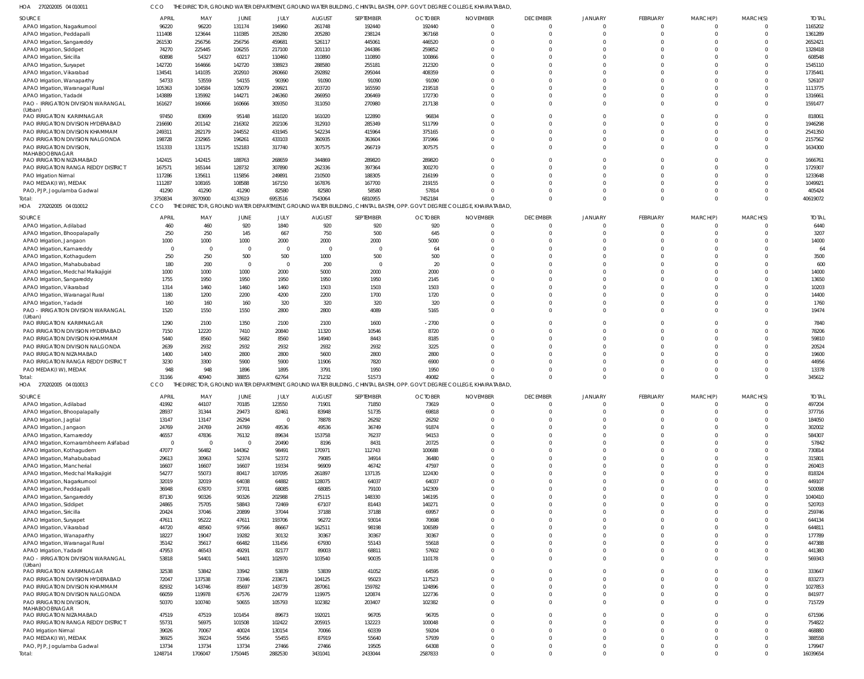| 270202005 04 010011 | THE DIRECTOR, GROUND WATER DEPARTMENT, GROUND WATER BUILDING, CHINTAL BASTHI, OPP, GOVT, DEGREE COLLEGE, KHAIRATABAD, |  |  |
|---------------------|-----------------------------------------------------------------------------------------------------------------------|--|--|

| HOA 270202005 04 010011                                             | CCO              |                  |                                |                  |                        |                  | THE DIRECTOR, GROUND WATER DEPARTMENT, GROUND WATER BUILDING, CHINTAL BASTHI, OPP. GOVT. DEGREE COLLEGE, KHAIRATABAD, |                 |                          |                            |                      |                      |                      |                    |
|---------------------------------------------------------------------|------------------|------------------|--------------------------------|------------------|------------------------|------------------|-----------------------------------------------------------------------------------------------------------------------|-----------------|--------------------------|----------------------------|----------------------|----------------------|----------------------|--------------------|
| SOURCE                                                              | APRIL            | MAY              | JUNE                           | JULY             | <b>AUGUST</b>          | SEPTEMBER        | <b>OCTOBER</b>                                                                                                        | <b>NOVEMBER</b> | <b>DECEMBER</b>          | JANUARY                    | FEBRUARY             | MARCH(P)             | MARCH(S)             | <b>TOTAL</b>       |
| APAO Irrigation, Nagarkurnool                                       | 96220            | 96220            | 131174                         | 194960           | 261748                 | 192440           | 192440                                                                                                                | $\Omega$        | $\mathbf{0}$             | $\Omega$                   | $\Omega$             | $\Omega$             | $\Omega$             | 1165202            |
| APAO Irrigation, Peddapalli                                         | 111408           | 123644           | 110385                         | 205280           | 205280                 | 238124           | 367168                                                                                                                |                 | $\Omega$                 | $\Omega$                   | $\Omega$             | $\Omega$             | $\Omega$             | 1361289            |
| APAO Irrigation, Sangareddy                                         | 261530           | 256756           | 256756                         | 459681           | 526117                 | 445061           | 446520                                                                                                                |                 | $\Omega$                 | $\Omega$                   | $\Omega$             | $\Omega$             | $\Omega$             | 2652421            |
| APAO Irrigation, Siddipet                                           | 74270            | 225445           | 106255                         | 217100           | 201110                 | 244386           | 259852                                                                                                                |                 | $\Omega$                 | $\Omega$                   | $\Omega$             | $\Omega$<br>$\Omega$ | $\Omega$             | 1328418            |
| APAO Irrigation, Siricilla                                          | 60898<br>142720  | 54327<br>164666  | 60217<br>142720                | 110460<br>338923 | 110890<br>288580       | 110890<br>255181 | 100866<br>212320                                                                                                      |                 | $\Omega$<br>$\Omega$     | $\Omega$<br>$\Omega$       |                      | $\Omega$             | C<br>$\Omega$        | 608548<br>1545110  |
| APAO Irrigation, Suryapet<br>APAO Irrigation, Vikarabad             | 134541           | 141035           | 202910                         | 260660           | 292892                 | 295044           | 408359                                                                                                                |                 | $\Omega$                 | $\Omega$                   |                      |                      | $\Omega$             | 1735441            |
| APAO Irrigation, Wanaparthy                                         | 54733            | 53559            | 54155                          | 90390            | 91090                  | 91090            | 91090                                                                                                                 |                 | $\Omega$                 | $\Omega$                   |                      | $\Omega$             | $\Omega$             | 526107             |
| APAO Irrigation, Waranagal Rural                                    | 105363           | 104584           | 105079                         | 209921           | 203720                 | 165590           | 219518                                                                                                                |                 | $\Omega$                 | $\Omega$                   |                      | $\Omega$             | $\Omega$             | 1113775            |
| APAO Irrigation, Yadadri                                            | 143889           | 135992           | 144271                         | 246360           | 266950                 | 206469           | 172730                                                                                                                |                 | $\Omega$                 | $\Omega$                   | $\Omega$             | $\Omega$             | $\Omega$             | 1316661            |
| PAO - IRRIGATION DIVISION WARANGAL                                  | 161627           | 160666           | 160666                         | 309350           | 311050                 | 270980           | 217138                                                                                                                |                 | $\Omega$                 | $\Omega$                   | $\Omega$             | $\Omega$             | $\Omega$             | 1591477            |
| (Urban)                                                             |                  |                  |                                |                  |                        |                  |                                                                                                                       |                 |                          |                            |                      |                      |                      |                    |
| PAO IRRIGATION KARIMNAGAR                                           | 97450            | 83699            | 95148                          | 161020           | 161020                 | 122890           | 96834                                                                                                                 |                 | $\Omega$                 | $\Omega$                   | $\Omega$             | $\Omega$<br>$\Omega$ | $\Omega$             | 818061             |
| PAO IRRIGATION DIVISION HYDERABAD                                   | 216690<br>249311 | 201142           | 216302<br>244552               | 202106           | 312910<br>542234       | 285349<br>415964 | 511799<br>375165                                                                                                      |                 | $\Omega$<br>$\Omega$     | $\Omega$<br>$\Omega$       | $\Omega$             | $\Omega$             | $\Omega$<br>$\Omega$ | 1946298<br>2541350 |
| PAO IRRIGATION DIVISION KHAMMAM<br>PAO IRRIGATION DIVISION NALGONDA | 198728           | 282179<br>232965 | 196261                         | 431945<br>433103 | 360935                 | 363604           | 371966                                                                                                                |                 | $\Omega$                 | $\Omega$                   | $\Omega$             | $\Omega$             | $\Omega$             | 2157562            |
| PAO IRRIGATION DIVISION,                                            | 151333           | 131175           | 152183                         | 317740           | 307575                 | 266719           | 307575                                                                                                                |                 | $\Omega$                 | $\Omega$                   | $\Omega$             | $\Omega$             | $\Omega$             | 1634300            |
| MAHABOOBNAGAR                                                       |                  |                  |                                |                  |                        |                  |                                                                                                                       |                 |                          |                            |                      |                      |                      |                    |
| PAO IRRIGATION NIZAMABAD                                            | 142415           | 142415           | 188763                         | 268659           | 344869                 | 289820           | 289820                                                                                                                |                 | $\Omega$                 | $\Omega$                   |                      | $\Omega$             | $\Omega$             | 1666761            |
| PAO IRRIGATION RANGA REDDY DISTRICT                                 | 167571           | 165144           | 128732                         | 307890           | 262336                 | 397364           | 300270                                                                                                                |                 | $\Omega$                 | $\Omega$                   | $\Omega$             | $\Omega$             | $\Omega$             | 1729307            |
| PAO Irrigation Nirmal                                               | 117286           | 135611           | 115856                         | 249891           | 210500                 | 188305           | 216199                                                                                                                |                 | $\Omega$                 | $\Omega$                   |                      | $\Omega$             | $\Omega$             | 1233648            |
| PAO MEDAK(IW), MEDAK                                                | 111287           | 108165           | 108588                         | 167150           | 167876                 | 167700           | 219155                                                                                                                |                 | $\Omega$                 | $\Omega$                   |                      | $\Omega$             | $\Omega$             | 1049921            |
| PAO, PJP, Jogulamba Gadwal                                          | 41290            | 41290            | 41290                          | 82580            | 82580                  | 58580            | 57814                                                                                                                 |                 | $\Omega$                 | $\Omega$                   | $\Omega$             | $\Omega$             | $\Omega$             | 405424             |
| Total:                                                              | 3750834          | 3970900          | 4137619                        | 6953516          | 7543064                | 6810955          | 7452184                                                                                                               |                 | $\Omega$                 | $\Omega$                   | $\Omega$             | $\Omega$             | $\Omega$             | 40619072           |
| HOA<br>270202005 04 010012                                          | CCO              |                  |                                |                  |                        |                  | DIRECTOR, GROUND WATER DEPARTMENT, GROUND WATER BUILDING, CHINTAL BASTHI, OPP. GOVT. DEGREE COLLEGE, KHAIRATABAD,     |                 |                          |                            |                      |                      |                      |                    |
| SOURCE                                                              | <b>APRIL</b>     | MAY              | JUNE                           | <b>JULY</b>      | <b>AUGUST</b>          | SEPTEMBER        | <b>OCTOBER</b>                                                                                                        | <b>NOVEMBER</b> | <b>DECEMBER</b>          | <b>JANUARY</b>             | FEBRUARY             | MARCH(P)             | MARCH(S)             | <b>TOTAL</b>       |
| APAO Irrigation, Adilabad                                           | 460              | 460              | 920                            | 1840             | 920                    | 920              | 920                                                                                                                   |                 | $\Omega$                 | $\Omega$                   | $\Omega$             | $\Omega$             | $\Omega$             | 6440               |
| APAO Irrigation, Bhoopalapally                                      | 250              | 250              | 145                            | 667              | 750                    | 500              | 645                                                                                                                   |                 | $\Omega$                 | $\Omega$                   | $\Omega$             | $\Omega$             | $\Omega$             | 3207               |
| APAO Irrigation, Jangaon                                            | 1000             | 1000             | 1000                           | 2000             | 2000                   | 2000             | 5000                                                                                                                  |                 | $\Omega$                 | $\Omega$                   | $\Omega$             | $\Omega$             | $\Omega$             | 14000              |
| APAO Irrigation, Kamareddy                                          | $\Omega$         | $\Omega$         | $\Omega$                       | $\overline{0}$   | $\Omega$               | $\Omega$         | 64                                                                                                                    |                 | $\Omega$                 | $\Omega$                   | $\Omega$             | $\Omega$             | $\Omega$             | 64                 |
| APAO Irrigation, Kothagudem                                         | 250              | 250              | 500                            | 500              | 1000                   | 500              | 500                                                                                                                   |                 | $\Omega$                 | $\Omega$                   |                      | $\Omega$             | $\Omega$             | 3500               |
| APAO Irrigation, Mahabubabad                                        | 180              | 200              | $\overline{0}$                 | $\overline{0}$   | 200                    | $\overline{0}$   | 20                                                                                                                    |                 | $\Omega$                 | $\Omega$                   |                      | $\Omega$             | $\Omega$             | 600                |
| APAO Irrigation, Medchal Malkajigiri                                | 1000             | 1000             | 1000                           | 2000             | 5000                   | 2000<br>1950     | 2000                                                                                                                  |                 | $\Omega$<br>$\Omega$     | $\Omega$<br>$\Omega$       | $\Omega$             | $\Omega$<br>$\Omega$ | $\Omega$<br>$\Omega$ | 14000              |
| APAO Irrigation, Sangareddy<br>APAO Irrigation, Vikarabad           | 1755<br>1314     | 1950<br>1460     | 1950<br>1460                   | 1950<br>1460     | 1950<br>1503           | 1503             | 2145<br>1503                                                                                                          |                 | $\Omega$                 | $\Omega$                   |                      | $\Omega$             | $\Omega$             | 13650<br>10203     |
| APAO Irrigation, Waranagal Rural                                    | 1180             | 1200             | 2200                           | 4200             | 2200                   | 1700             | 1720                                                                                                                  |                 | $\Omega$                 | $\Omega$                   | $\Omega$             | $\Omega$             | $\Omega$             | 14400              |
| APAO Irrigation, Yadadri                                            | 160              | 160              | 160                            | 320              | 320                    | 320              | 320                                                                                                                   |                 | $\Omega$                 | $\Omega$                   | $\Omega$             | $\Omega$             | $\Omega$             | 1760               |
| PAO - IRRIGATION DIVISION WARANGAL                                  | 1520             | 1550             | 1550                           | 2800             | 2800                   | 4089             | 5165                                                                                                                  |                 | $\Omega$                 | $\Omega$                   | $\Omega$             | $\Omega$             | $\Omega$             | 19474              |
| (Urban)                                                             |                  |                  |                                |                  |                        |                  |                                                                                                                       |                 |                          |                            |                      |                      |                      |                    |
| PAO IRRIGATION KARIMNAGAR                                           | 1290             | 2100             | 1350                           | 2100             | 2100                   | 1600             | $-2700$                                                                                                               |                 | $\Omega$                 | $\Omega$                   | $\Omega$             | $\Omega$             | $\Omega$             | 7840               |
| PAO IRRIGATION DIVISION HYDERABAD                                   | 7150             | 12220            | 7410                           | 20840            | 11320                  | 10546            | 8720                                                                                                                  |                 | $\Omega$                 | $\Omega$                   | $\Omega$             | $\Omega$             | $\Omega$             | 78206              |
| PAO IRRIGATION DIVISION KHAMMAM                                     | 5440             | 8560             | 5682                           | 8560             | 14940                  | 8443             | 8185                                                                                                                  |                 | $\Omega$                 | $\Omega$                   | $\Omega$             | $\Omega$             | $\Omega$             | 59810              |
| PAO IRRIGATION DIVISION NALGONDA                                    | 2639             | 2932             | 2932                           | 2932             | 2932                   | 2932             | 3225                                                                                                                  |                 | $\Omega$                 | $\Omega$                   |                      | $\Omega$             | $\Omega$             | 20524              |
| PAO IRRIGATION NIZAMABAD<br>PAO IRRIGATION RANGA REDDY DISTRICT     | 1400             | 1400             | 2800                           | 2800             | 5600                   | 2800             | 2800                                                                                                                  |                 | $\Omega$<br>$\Omega$     | $\Omega$<br>$\Omega$       |                      | $\Omega$<br>$\Omega$ | $\Omega$<br>$\Omega$ | 19600              |
| PAO MEDAK(IW), MEDAK                                                | 3230<br>948      | 3300<br>948      | 5900<br>1896                   | 5900<br>1895     | 11906<br>3791          | 7820<br>1950     | 6900<br>1950                                                                                                          |                 | $\Omega$                 | $\Omega$                   | $\Omega$             | $\Omega$             | $\Omega$             | 44956<br>13378     |
| Total:                                                              | 31166            | 40940            | 38855                          | 62764            | 71232                  | 51573            | 49082                                                                                                                 |                 |                          | $\Omega$                   | $\Omega$             | $\Omega$             | $\Omega$             | 345612             |
| HOA 270202005 04 010013                                             | CCO              | THE DIRE         | <b>IOR, GROUND WATER DEPAR</b> | MENT. GROUND'    |                        |                  | WATER BUILDING, CHINTAL BASTHI, OPP, GOVT, DEGREE COLLEGE, KHAIRATABAD.                                               |                 |                          |                            |                      |                      |                      |                    |
|                                                                     |                  |                  |                                |                  |                        |                  |                                                                                                                       |                 |                          |                            |                      |                      |                      |                    |
| <b>SOURCE</b>                                                       | <b>APRIL</b>     | MAY              | JUNE                           | JULY             | <b>AUGUST</b><br>71901 | SEPTEMBER        | <b>OCTOBER</b>                                                                                                        | <b>NOVEMBER</b> | <b>DECEMBER</b>          | <b>JANUARY</b><br>$\Omega$ | FEBRUARY<br>$\Omega$ | MARCH(P)             | MARCH(S)<br>$\Omega$ | <b>TOTAL</b>       |
| APAO Irrigation, Adilabad<br>APAO Irrigation, Bhoopalapally         | 41992<br>28937   | 44107<br>31344   | 70185<br>29473                 | 123550<br>82461  | 83948                  | 71850<br>51735   | 73619<br>69818                                                                                                        |                 | $\mathbf{0}$<br>$\Omega$ | $\Omega$                   | $\Omega$             | - 0<br>$\Omega$      | $\Omega$             | 497204<br>377716   |
| APAO Irrigation, Jagtial                                            | 13147            | 13147            | 26294                          | $\overline{0}$   | 78878                  | 26292            | 26292                                                                                                                 |                 | $\Omega$                 | $\Omega$                   | $\Omega$             | $\Omega$             | $\Omega$             | 184050             |
| APAO Irrigation, Jangaon                                            | 24769            | 24769            | 24769                          | 49536            | 49536                  | 36749            | 91874                                                                                                                 |                 | $\Omega$                 | $\Omega$                   | $\Omega$             | $\Omega$             | $\Omega$             | 302002             |
| APAO Irrigation, Kamareddy                                          | 46557            | 47836            | 76132                          | 89634            | 153758                 | 76237            | 94153                                                                                                                 |                 | $\Omega$                 | $\Omega$                   | $\Omega$             | $\Omega$             | $\Omega$             | 584307             |
| APAO Irrigation, Komarambheem Asifabad                              | $\overline{0}$   | $\overline{0}$   | $\mathbf{0}$                   | 20490            | 8196                   | 8431             | 20725                                                                                                                 |                 | $\Omega$                 | $\Omega$                   | $\Omega$             | $\Omega$             | $\Omega$             | 57842              |
| APAO Irrigation, Kothagudem                                         | 47077            | 56482            | 144362                         | 98491            | 170971                 | 112743           | 100688                                                                                                                |                 | $\Omega$                 | $\Omega$                   | $\Omega$             | $\Omega$             | $\Omega$             | 730814             |
| APAO Irrigation, Mahabubabad                                        | 29613            | 30963            | 52374                          | 52372            | 79085                  | 34914            | 36480                                                                                                                 |                 | $\Omega$                 | $\Omega$                   | $\Omega$             | $\Omega$             | $\Omega$             | 315801             |
| APAO Irrigation, Mancherial                                         | 16607            | 16607            | 16607                          | 19334            | 96909                  | 46742            | 47597                                                                                                                 |                 | $\Omega$                 | $\Omega$                   |                      | $\Omega$             | $\Omega$             | 260403             |
| APAO Irrigation, Medchal Malkajigiri                                | 54277            | 55073            | 80417                          | 107095           | 261897                 | 137135           | 122430                                                                                                                |                 | $\Omega$                 | $\Omega$                   | $\Omega$             | $\Omega$             | $\Omega$             | 818324             |
| APAO Irrigation, Nagarkurnool                                       | 32019            | 32019            | 64038                          | 64882            | 128075                 | 64037            | 64037                                                                                                                 |                 | $\Omega$                 | $\Omega$                   | $\Omega$             | $\Omega$             | $\Omega$             | 449107             |
| APAO Irrigation, Peddapalli                                         | 36948            | 67870            | 37701                          | 68085            | 68085                  | 79100            | 142309                                                                                                                |                 | $\Omega$                 | $\Omega$                   | $\Omega$             | $\Omega$             | $\Omega$             | 500098             |
| APAO Irrigation, Sangareddy                                         | 87130            | 90326            | 90326                          | 202988           | 275115                 | 148330           | 146195                                                                                                                |                 | $\Omega$                 | $\Omega$                   | $\Omega$             | $\Omega$             | $\Omega$             | 1040410            |
| APAO Irrigation, Siddipet                                           | 24865            | 75705            | 58843                          | 72469            | 67107                  | 81443            | 140271                                                                                                                |                 | $\Omega$                 | $\Omega$                   | $\Omega$             | $\Omega$             | $\Omega$             | 520703             |
| APAO Irrigation, Siricilla                                          | 20424            | 37046            | 20899                          | 37044            | 37188                  | 37188            | 69957                                                                                                                 |                 | $\Omega$                 | $\Omega$                   | $\Omega$<br>$\Omega$ | $\Omega$<br>$\Omega$ | $\Omega$<br>$\Omega$ | 259746             |
| APAO Irrigation, Suryapet                                           | 47611<br>44720   | 95222<br>48560   | 47611<br>97566                 | 193706<br>86667  | 96272<br>162511        | 93014<br>98198   | 70698<br>106589                                                                                                       |                 | $\Omega$<br>$\Omega$     | $\Omega$<br>$\Omega$       |                      | $\Omega$             | $\Omega$             | 644134<br>644811   |
| APAO Irrigation, Vikarabad<br>APAO Irrigation, Wanaparthy           | 18227            | 19047            | 19282                          | 30132            | 30367                  | 30367            | 30367                                                                                                                 |                 | $\Omega$                 | $\Omega$                   | $\Omega$             | $\Omega$             | $\Omega$             | 177789             |
| APAO Irrigation, Waranagal Rural                                    | 35142            | 35617            | 66482                          | 131456           | 67930                  | 55143            | 55618                                                                                                                 |                 | $\Omega$                 | $\Omega$                   | $\Omega$             | $\Omega$             | $\Omega$             | 447388             |
| APAO Irrigation, Yadadri                                            | 47953            | 46543            | 49291                          | 82177            | 89003                  | 68811            | 57602                                                                                                                 |                 | $\Omega$                 | $\Omega$                   | $\Omega$             | $\Omega$             | $\Omega$             | 441380             |
| PAO - IRRIGATION DIVISION WARANGAL                                  | 53818            | 54401            | 54401                          | 102970           | 103540                 | 90035            | 110178                                                                                                                |                 | $\Omega$                 | $\Omega$                   | $\Omega$             | $\Omega$             | $\Omega$             | 569343             |
| (Urban)                                                             |                  |                  |                                |                  |                        |                  |                                                                                                                       |                 |                          |                            |                      |                      |                      |                    |
| PAO IRRIGATION KARIMNAGAR                                           | 32538            | 53842            | 33942                          | 53839            | 53839                  | 41052            | 64595                                                                                                                 |                 | $\Omega$                 | $\Omega$                   | $\Omega$             | $\Omega$             | $\Omega$             | 333647             |
| PAO IRRIGATION DIVISION HYDERABAD                                   | 72047            | 137538           | 73346                          | 233671           | 104125                 | 95023            | 117523                                                                                                                |                 | $\Omega$                 | $\Omega$                   | $\Omega$             | $\Omega$             | $\Omega$             | 833273             |
| PAO IRRIGATION DIVISION KHAMMAM                                     | 82932            | 143746           | 85697                          | 143739           | 287061                 | 159782           | 124896                                                                                                                |                 | $\Omega$                 | $\Omega$                   | $\Omega$             | $\Omega$             | $\Omega$             | 1027853            |
| PAO IRRIGATION DIVISION NALGONDA                                    | 66059            | 119978           | 67576                          | 224779           | 119975                 | 120874           | 122736                                                                                                                |                 | $\Omega$                 | $\Omega$                   | $\Omega$             | $\Omega$             | $\Omega$             | 841977             |
| PAO IRRIGATION DIVISION,<br>MAHABOOBNAGAR                           | 50370            | 100740           | 50655                          | 105793           | 102382                 | 203407           | 102382                                                                                                                |                 | $\Omega$                 | $\Omega$                   | $\Omega$             | $\Omega$             | $\Omega$             | 715729             |
| PAO IRRIGATION NIZAMABAD                                            | 47519            | 47519            | 101454                         | 89673            | 192021                 | 96705            | 96705                                                                                                                 | U               | $\Omega$                 | $\Omega$                   | $\Omega$             | $\Omega$             | $\mathbf 0$          | 671596             |
| PAO IRRIGATION RANGA REDDY DISTRICT                                 | 55731            | 56975            | 101508                         | 102422           | 205915                 | 132223           | 100048                                                                                                                |                 | $\Omega$                 | $\Omega$                   | $\Omega$             | $\Omega$             | $\Omega$             | 754822             |
| PAO Irrigation Nirmal                                               | 39026            | 70067            | 40024                          | 130154           | 70066                  | 60339            | 59204                                                                                                                 |                 | $\Omega$                 | $\Omega$                   | $\Omega$             | $\Omega$             | $\Omega$             | 468880             |
| PAO MEDAK(IW), MEDAK                                                | 36925            | 39224            | 55456                          | 55455            | 87919                  | 55640            | 57939                                                                                                                 |                 | $\Omega$                 | $\Omega$                   | $\Omega$             | $\Omega$             | $\Omega$             | 388558             |
| PAO, PJP, Jogulamba Gadwal                                          | 13734            | 13734            | 13734                          | 27466            | 27466                  | 19505            | 64308                                                                                                                 |                 | $\mathbf{0}$             | $\mathbf 0$                | $\Omega$             | $\overline{0}$       | $\overline{0}$       | 179947             |
| Total:                                                              | 1248714          | 1706047          | 1750445                        | 2882530          | 3431041                | 2433044          | 2587833                                                                                                               | $\Omega$        | $\Omega$                 | $\Omega$                   | $\Omega$             | $\Omega$             | $\Omega$             | 16039654           |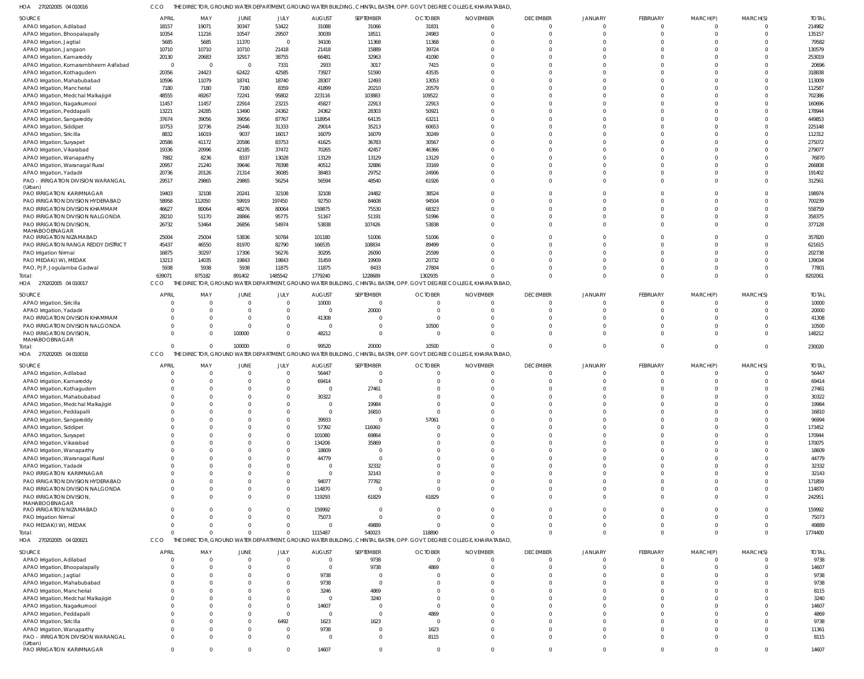270202005 04 010016 HOA CCO THE DIRECTOR, GROUND WATER DEPARTMENT, GROUND WATER BUILDING, CHINTAL BASTHI, OPP. GOVT. DEGREE COLLEGE, KHAIRATABAD,

| <b>SOURCE</b>                             | <b>APRIL</b>         | MAY                  | JUNE           | JULY           | <b>AUGUST</b>           | SEPTEMBER      | <b>OCTOBER</b> | <b>NOVEMBER</b>                                                                                                       | <b>DECEMBER</b>      | <b>JANUARY</b>       | FEBRUARY    | MARCH(P) | MARCH(S)             | <b>TOTAL</b> |
|-------------------------------------------|----------------------|----------------------|----------------|----------------|-------------------------|----------------|----------------|-----------------------------------------------------------------------------------------------------------------------|----------------------|----------------------|-------------|----------|----------------------|--------------|
| APAO Irrigation, Adilabad                 | 18157                | 19071                | 30347          | 53422          | 31088                   | 31066          | 31831          | $\overline{0}$                                                                                                        | $\Omega$             | $\Omega$             | $\mathbf 0$ |          |                      | 214982       |
| APAO Irrigation, Bhoopalapally            | 10354                | 11216                | 10547          | 29507          | 30039                   | 18511          | 24983          | $\Omega$                                                                                                              | $\Omega$             | $\Omega$             | $\Omega$    |          | $\Omega$             | 135157       |
| APAO Irrigation, Jagtial                  | 5685                 | 5685                 | 11370          | $\overline{0}$ | 34106                   | 11368          | 11368          | $\Omega$                                                                                                              | $\Omega$             |                      |             |          |                      | 79582        |
| APAO Irrigation, Jangaon                  | 10710                | 10710                | 10710          | 21418          | 21418                   | 15889          | 39724          | $\Omega$                                                                                                              | $\Omega$             |                      |             |          | $\Omega$             | 130579       |
| APAO Irrigation, Kamareddy                | 20130                | 20683                | 32917          | 38755          | 66481                   | 32963          | 41090          | $\Omega$                                                                                                              |                      |                      |             |          | $\Omega$             | 253019       |
| APAO Irrigation, Komarambheem Asifabad    | $\overline{0}$       | $\overline{0}$       | $\overline{0}$ | 7331           | 2933                    | 3017           | 7415           | $\Omega$                                                                                                              |                      | $\cap$               |             |          |                      | 20696        |
| APAO Irrigation, Kothagudem               | 20356                | 24423                | 62422          | 42585          | 73927                   | 51590          | 43535          | $\Omega$                                                                                                              |                      |                      |             |          |                      | 318838       |
| APAO Irrigation, Mahabubabad              | 10596                | 11079                | 18741          | 18740          | 28307                   | 12493          | 13053          | $\Omega$                                                                                                              |                      |                      |             |          |                      | 113009       |
| APAO Irrigation, Mancherial               | 7180                 | 7180                 | 7180           | 8359           | 41899                   | 20210          | 20579          | $\Omega$                                                                                                              |                      |                      |             |          |                      | 112587       |
| APAO Irrigation, Medchal Malkajigiri      | 48555                | 49267                | 72241          | 95802          | 223116                  | 103883         | 109522         | $\Omega$                                                                                                              |                      | $\Omega$             |             |          | $\Omega$             | 702386       |
| APAO Irrigation, Nagarkurnool             | 11457                | 11457                | 22914          | 23215          | 45827                   | 22913          | 22913          | $\Omega$                                                                                                              |                      |                      |             |          |                      | 160696       |
| APAO Irrigation, Peddapalli               | 13221                | 24285                | 13490          | 24362          | 24362                   | 28303          | 50921          | $\Omega$                                                                                                              |                      |                      |             |          | $\Omega$             | 178944       |
| APAO Irrigation, Sangareddy               | 37674                | 39056                | 39056          | 87767          | 118954                  | 64135          | 63211          | $\Omega$                                                                                                              |                      |                      |             |          |                      | 449853       |
| APAO Irrigation, Siddipet                 | 10753                | 32736                | 25446          | 31333          | 29014                   | 35213          | 60653          | $\Omega$                                                                                                              |                      | $\Omega$             |             |          | $\Omega$             | 225148       |
| APAO Irrigation, Siricilla                | 8832                 | 16019                | 9037           | 16017          | 16079                   | 16079          | 30249          | $\Omega$                                                                                                              |                      |                      |             |          | $\Omega$             | 112312       |
| APAO Irrigation, Suryapet                 | 20586                | 41172                | 20586          | 83753          | 41625                   | 36783          | 30567          | $\Omega$                                                                                                              | $\Omega$             |                      |             |          | $\Omega$             | 275072       |
| APAO Irrigation, Vikarabad                | 19336                | 20996                | 42185          | 37472          | 70265                   | 42457          | 46366          | $\Omega$                                                                                                              |                      |                      |             |          | $\Omega$             | 279077       |
| APAO Irrigation, Wanaparthy               | 7882                 | 8236                 | 8337           | 13028          | 13129                   | 13129          | 13129          | $\Omega$                                                                                                              | $\Omega$             | $\Omega$             |             |          |                      | 76870        |
| APAO Irrigation, Waranagal Rural          | 20957                | 21240                | 39646          | 78398          | 40512                   | 32886          | 33169          | $\Omega$                                                                                                              |                      |                      |             |          | $\Omega$             | 266808       |
| APAO Irrigation, Yadadri                  | 20736                | 20126                | 21314          | 36085          | 38483                   | 29752          | 24906          | $\Omega$                                                                                                              |                      |                      |             |          | $\Omega$             | 191402       |
| PAO - IRRIGATION DIVISION WARANGAL        | 29517                | 29865                | 29865          | 56254          | 56594                   | 48540          | 61926          | $\Omega$                                                                                                              | $\Omega$             | $\Omega$             |             |          | $\Omega$             | 312561       |
| (Urban)                                   |                      |                      |                |                |                         |                |                |                                                                                                                       |                      |                      |             |          |                      |              |
| PAO IRRIGATION KARIMNAGAR                 | 19403                | 32108                | 20241          | 32108          | 32108                   | 24482          | 38524          | $\Omega$                                                                                                              | $\Omega$             |                      |             |          | $\Omega$             | 198974       |
| PAO IRRIGATION DIVISION HYDERABAD         | 58958                | 112050               | 59919          | 197450         | 92750                   | 84608          | 94504          | $\Omega$                                                                                                              | $\Omega$             |                      |             |          | $\Omega$             | 700239       |
| PAO IRRIGATION DIVISION KHAMMAM           | 46627                | 80064                | 48276          | 80064          | 159875                  | 75530          | 68323          | $\Omega$                                                                                                              | $\Omega$             | $\Omega$             |             |          | $\Omega$             | 558759       |
| PAO IRRIGATION DIVISION NALGONDA          | 28210                | 51170                | 28866          | 95775          | 51167                   | 51191          | 51996          | $\Omega$                                                                                                              |                      | $\Omega$             |             |          | $\Omega$             | 358375       |
| PAO IRRIGATION DIVISION,                  | 26732                | 53464                | 26856          | 54974          | 53838                   | 107426         | 53838          | $\Omega$                                                                                                              | $\Omega$             | $\Omega$             |             |          | $\Omega$             | 377128       |
| MAHABOOBNAGAR<br>PAO IRRIGATION NIZAMABAD | 25004                | 25004                | 53836          | 50784          | 101180                  | 51006          | 51006          | $\Omega$                                                                                                              |                      |                      |             |          |                      | 357820       |
| PAO IRRIGATION RANGA REDDY DISTRICT       | 45437                | 46550                | 81970          | 82790          | 166535                  | 108834         | 89499          | $\Omega$                                                                                                              | $\Omega$             | $\Omega$             |             |          | $\Omega$             | 621615       |
|                                           | 16875                | 30297                | 17306          | 56276          | 30295                   | 26090          | 25599          | $\Omega$                                                                                                              | $\Omega$             | $\Omega$             |             |          | $\Omega$             | 202738       |
| PAO Irrigation Nirmal                     |                      |                      | 19843          |                | 31459                   | 19909          | 20732          | $\Omega$                                                                                                              | $\Omega$             | $\Omega$             |             |          | $\Omega$             | 139034       |
| PAO MEDAK(IW), MEDAK                      | 13213<br>5938        | 14035<br>5938        |                | 19843<br>11875 |                         | 8433           | 27804          | $\Omega$                                                                                                              |                      | $\Omega$             |             |          | $\Omega$             |              |
| PAO, PJP, Jogulamba Gadwal                |                      | 875182               | 5938<br>891402 | 1485542        | 11875<br>1779240        |                |                | $\Omega$                                                                                                              | $\Omega$             | $\Omega$             | $\Omega$    | $\Omega$ | $\Omega$             | 77801        |
| Total:                                    | 639071               |                      |                |                |                         | 1228689        | 1302935        | THE DIRECTOR, GROUND WATER DEPARTMENT, GROUND WATER BUILDING, CHINTAL BASTHI, OPP. GOVT. DEGREE COLLEGE, KHAIRATABAD, |                      |                      |             |          |                      | 8202061      |
| HOA 270202005 04 010017                   | CCO                  |                      |                |                |                         |                |                |                                                                                                                       |                      |                      |             |          |                      |              |
| SOURCE                                    | <b>APRIL</b>         | MAY                  | <b>JUNE</b>    | JULY           | <b>AUGUST</b>           | SEPTEMBER      | <b>OCTOBER</b> | <b>NOVEMBER</b>                                                                                                       | <b>DECEMBER</b>      | <b>JANUARY</b>       | FEBRUARY    | MARCH(P) | MARCH(S)             | <b>TOTAL</b> |
| APAO Irrigation, Siricilla                |                      | $\Omega$             | $\Omega$       | $\Omega$       | 10000                   | $\overline{0}$ | $\overline{0}$ | $\Omega$                                                                                                              | $\Omega$             |                      | $\Omega$    | $\Omega$ | $\Omega$             | 10000        |
| APAO Irrigation, Yadadri                  |                      | $\Omega$             | $\Omega$       | $\Omega$       | $\overline{0}$          | 20000          | $\overline{0}$ | $\Omega$                                                                                                              | $\Omega$             |                      |             |          | $\Omega$             | 20000        |
| PAO IRRIGATION DIVISION KHAMMAM           |                      | $\Omega$             | $\Omega$       | $\Omega$       | 41308                   | $\Omega$       | $\overline{0}$ | $\Omega$                                                                                                              | $\cap$               |                      |             |          | $\Omega$             | 41308        |
| PAO IRRIGATION DIVISION NALGONDA          |                      | $\Omega$             | 0              |                | $\overline{0}$          | $\Omega$       | 10500          | $\Omega$                                                                                                              |                      |                      |             |          | $\Omega$             | 10500        |
| PAO IRRIGATION DIVISION,                  |                      | $\Omega$             | 100000         |                | 48212                   | $\Omega$       | $\overline{0}$ | $\Omega$                                                                                                              | $\Omega$             | $\Omega$             |             |          | $\Omega$             | 148212       |
| MAHABOOBNAGAR                             |                      |                      |                |                |                         |                |                |                                                                                                                       |                      |                      |             |          |                      |              |
| Total:                                    | $\Omega$             | $\Omega$             | 100000         | $\Omega$       | 99520                   | 20000          | 10500          | $\Omega$                                                                                                              | $\Omega$             | $\Omega$             | $\Omega$    | $\Omega$ | $\Omega$             | 230020       |
| HOA 270202005 04 010018                   | CCO                  |                      |                |                |                         |                |                | THE DIRECTOR, GROUND WATER DEPARTMENT, GROUND WATER BUILDING, CHINTAL BASTHI, OPP. GOVT. DEGREE COLLEGE, KHAIRATABAD  |                      |                      |             |          |                      |              |
| SOURCE                                    | <b>APRIL</b>         | MAY                  | JUNE           | JULY           | <b>AUGUST</b>           | SEPTEMBER      | <b>OCTOBER</b> | <b>NOVEMBER</b>                                                                                                       | <b>DECEMBER</b>      | <b>JANUARY</b>       | FEBRUARY    | MARCH(P) | MARCH(S)             | <b>TOTAL</b> |
| APAO Irrigation, Adilabad                 | $\Omega$             | $\overline{0}$       | 0              | $\Omega$       | 56447                   | $\Omega$       | $\mathbf 0$    | $\Omega$                                                                                                              | $\Omega$             | $\Omega$             | 0           |          | $\Omega$             | 56447        |
| APAO Irrigation, Kamareddy                | $\Omega$             | $\overline{0}$       | $\Omega$       | $\Omega$       | 69414                   | $\Omega$       | $\Omega$       | $\Omega$                                                                                                              | $\Omega$             | $\Omega$             |             |          |                      | 69414        |
| APAO Irrigation, Kothagudem               | $\Omega$             | $\Omega$             | $\Omega$       | $\Omega$       | $\overline{0}$          | 27461          | $\Omega$       | $\Omega$                                                                                                              | $\Omega$             | $\Omega$             |             |          | $\Omega$             | 27461        |
| APAO Irrigation, Mahabubabad              |                      |                      |                |                | 30322                   | 0              |                |                                                                                                                       |                      |                      |             |          |                      | 30322        |
| APAO Irrigation, Medchal Malkajigiri      |                      | $\Omega$             | $\Omega$       |                | $\overline{0}$          | 19984          | $\Omega$       | $\Omega$                                                                                                              |                      |                      |             |          |                      | 19984        |
| APAO Irrigation, Peddapalli               | $\Omega$             | $\Omega$             |                | $\Omega$       | $\overline{0}$          | 16810          | $\overline{0}$ | $\Omega$                                                                                                              | $\Omega$             |                      |             |          |                      | 16810        |
| APAO Irrigation, Sangareddy               |                      | $\Omega$             |                | $\Omega$       | 39933                   | $\Omega$       | 57061          | $\Omega$                                                                                                              | $\Omega$             | $\Omega$             |             |          |                      | 96994        |
| APAO Irrigation, Siddipet                 | $\Omega$             | $\Omega$             |                |                | 57392                   | 116060         | $\Omega$       | $\Omega$                                                                                                              | $\Omega$             |                      |             |          |                      | 173452       |
|                                           | $\Omega$             | $\Omega$             | $\Omega$       | $\Omega$       | 101080                  | 69864          | $\Omega$       | $\Omega$                                                                                                              | $\Omega$             |                      |             |          |                      | 170944       |
| APAO Irrigation, Suryapet                 | $\Omega$             | $\Omega$             |                |                |                         | 35869          | $\Omega$       | $\Omega$                                                                                                              |                      |                      |             |          |                      |              |
| APAO Irrigation, Vikarabad                | $\Omega$             | $\Omega$             |                |                | 134206<br>18609         | $\Omega$       | $\Omega$       | $\Omega$                                                                                                              | $\Omega$             | $\cap$               |             |          |                      | 170075       |
| APAO Irrigation, Wanaparthy               | $\Omega$             |                      |                |                |                         | $\Omega$       | $\Omega$       | $\Omega$                                                                                                              |                      |                      |             |          |                      | 18609        |
| APAO Irrigation, Waranagal Rural          |                      | $\Omega$<br>$\Omega$ |                |                | 44779<br>$\overline{0}$ | 32332          | $\Omega$       | $\Omega$                                                                                                              | $\Omega$             |                      |             |          |                      | 44779        |
| APAO Irrigation, Yadadri                  |                      |                      |                |                |                         |                |                |                                                                                                                       |                      |                      |             |          |                      | 32332        |
| PAO IRRIGATION KARIMNAGAR                 |                      |                      |                |                |                         |                |                |                                                                                                                       |                      |                      |             |          |                      | 32143        |
| PAO IRRIGATION DIVISION HYDERABAD         | $\Omega$             | $\Omega$             |                | $\Omega$       | $\overline{0}$          | 32143          | $\Omega$       | $\Omega$                                                                                                              | $\Omega$             |                      |             |          |                      |              |
|                                           | $\Omega$             | $\Omega$             |                |                | 94077                   | 77782          | $\Omega$       | $\Omega$                                                                                                              | $\Omega$             | $\Omega$             |             |          |                      | 171859       |
| PAO IRRIGATION DIVISION NALGONDA          | $\Omega$             | $\Omega$             | $\Omega$       | $\Omega$       | 114870                  | $\Omega$       | $\overline{0}$ | $\Omega$                                                                                                              | $\Omega$             | $\Omega$             |             |          |                      | 114870       |
| PAO IRRIGATION DIVISION,                  | $\Omega$             | $\Omega$             | $\Omega$       | $\Omega$       | 119293                  | 61829          | 61829          | $\Omega$                                                                                                              | $\Omega$             | $\Omega$             |             |          | $\Omega$             | 242951       |
| MAHABOOBNAGAR                             |                      |                      |                |                |                         |                |                |                                                                                                                       | $\Omega$             |                      |             |          |                      |              |
| PAO IRRIGATION NIZAMABAD                  | $\Omega$             | $\Omega$             | $\Omega$       |                | 159992                  | $\Omega$       | $\overline{0}$ | $\Omega$                                                                                                              |                      |                      |             |          |                      | 159992       |
| PAO Irrigation Nirmal                     | $\Omega$             | $\Omega$             | $\Omega$       | $\Omega$       | 75073                   | $\Omega$       | $\Omega$       | $\Omega$                                                                                                              | $\Omega$             | $\Omega$             |             |          | $\Omega$             | 75073        |
| PAO MEDAK(IW), MEDAK                      | $\Omega$<br>$\Omega$ | $\Omega$             | $\Omega$       | $\Omega$       | $\overline{0}$          | 49889          | $\Omega$       | $\Omega$                                                                                                              | $\Omega$<br>$\Omega$ | $\Omega$<br>$\Omega$ |             | $\Omega$ | $\Omega$<br>$\Omega$ | 49889        |
| Total:                                    |                      | $\Omega$             | $\Omega$       |                | 1115487                 | 540023         | 118890         | $\Omega$                                                                                                              |                      |                      |             |          |                      | 1774400      |
| HOA 270202005 04 020021                   | CCO                  |                      |                |                |                         |                |                | THE DIRECTOR, GROUND WATER DEPARTMENT, GROUND WATER BUILDING, CHINTAL BASTHI, OPP. GOVT. DEGREE COLLEGE, KHAIRATABAD, |                      |                      |             |          |                      |              |
| SOURCE                                    | <b>APRIL</b>         | MAY                  | JUNE           | JULY           | <b>AUGUST</b>           | SEPTEMBER      | <b>OCTOBER</b> | <b>NOVEMBER</b>                                                                                                       | <b>DECEMBER</b>      | <b>JANUARY</b>       | FEBRUARY    | MARCH(P) | MARCH(S)             | <b>TOTAL</b> |
| APAO Irrigation, Adilabad                 | $\Omega$             | $\mathbf{0}$         | $\overline{0}$ | $\Omega$       | $\overline{0}$          | 9738           | $\overline{0}$ | $\Omega$                                                                                                              | $\Omega$             | $\Omega$             | $\Omega$    | $\Omega$ | $\Omega$             | 9738         |
| APAO Irrigation, Bhoopalapally            | $\Omega$             | $\Omega$             | $\Omega$       |                | $\overline{0}$          | 9738           | 4869           | $\Omega$                                                                                                              | $\Omega$             |                      |             |          | $\Omega$             | 14607        |
| APAO Irrigation, Jagtial                  |                      | $\Omega$             |                |                | 9738                    | $\Omega$       | $\overline{0}$ | $\Omega$                                                                                                              | $\Omega$             |                      |             |          |                      | 9738         |
| APAO Irrigation, Mahabubabad              | $\Omega$             | $\Omega$             |                |                | 9738                    | $\Omega$       | $\Omega$       | $\Omega$                                                                                                              |                      |                      |             |          |                      | 9738         |
| APAO Irrigation, Mancherial               |                      |                      |                |                | 3246                    | 4869           | $\Omega$       | $\Omega$                                                                                                              |                      |                      |             |          |                      | 8115         |
| APAO Irrigation, Medchal Malkajigiri      |                      | $\Omega$             |                |                | $\overline{0}$          | 3240           | $\Omega$       | $\Omega$                                                                                                              |                      |                      |             |          |                      | 3240         |
| APAO Irrigation, Nagarkurnool             |                      | $\Omega$             |                |                | 14607                   | $\Omega$       | $\overline{0}$ | $\Omega$                                                                                                              |                      |                      |             |          |                      | 14607        |
| APAO Irrigation, Peddapalli               | $\Omega$             | $\Omega$             | 0              | $\Omega$       | $\overline{0}$          | $\Omega$       | 4869           | $\Omega$                                                                                                              |                      |                      |             |          |                      | 4869         |
| APAO Irrigation, Siricilla                | $\Omega$             | <sup>0</sup>         | $\Omega$       | 6492           | 1623                    | 1623           | $\overline{0}$ | $\Omega$                                                                                                              |                      |                      |             |          |                      | 9738         |
| APAO Irrigation, Wanaparthy               | $\Omega$             | $\Omega$             | $\Omega$       | $\Omega$       | 9738                    | $\Omega$       | 1623           | $\Omega$                                                                                                              |                      |                      |             |          |                      | 11361        |
| PAO - IRRIGATION DIVISION WARANGAL        | $\Omega$             | $\Omega$             | $\Omega$       |                | $\overline{0}$          | $\Omega$       | 8115           | $\Omega$                                                                                                              | $\cap$               | $\Omega$             |             |          |                      | 8115         |
| (Urban)<br>PAO IRRIGATION KARIMNAGAR      | $\overline{0}$       | $\mathbf{0}$         | $\overline{0}$ | $\Omega$       | 14607                   | $\mathbf 0$    | $\overline{0}$ | $\overline{0}$                                                                                                        | $\Omega$             | $\Omega$             | $\Omega$    | $\Omega$ | $\Omega$             | 14607        |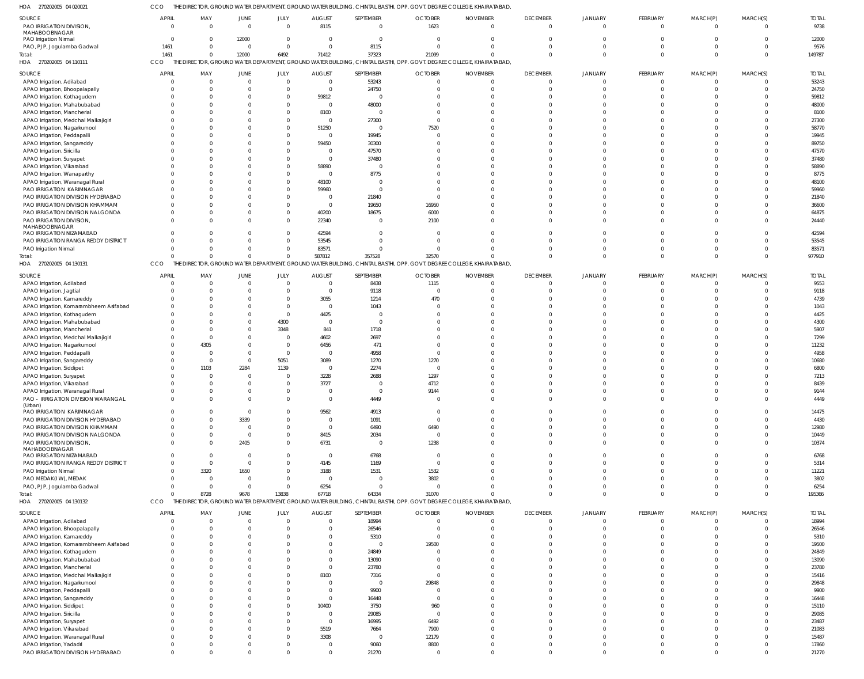270202005 04 020021 HOA CCO THE DIRECTOR, GROUND WATER DEPARTMENT, GROUND WATER BUILDING, CHINTAL BASTHI, OPP. GOVT. DEGREE COLLEGE, KHAIRATABAD,

| SOURCE                                 | <b>APRIL</b> | MAY                     | JUNE           | JULY           | <b>AUGUST</b>  | SEPTEMBER      | <b>OCTOBER</b> | <b>NOVEMBER</b>                                                                                                       | <b>DECEMBER</b> | JANUARY        | FEBRUARY       | MARCH(P)       | MARCH(S) | <b>TOTAL</b> |
|----------------------------------------|--------------|-------------------------|----------------|----------------|----------------|----------------|----------------|-----------------------------------------------------------------------------------------------------------------------|-----------------|----------------|----------------|----------------|----------|--------------|
| PAO IRRIGATION DIVISION,               | $\mathbf{0}$ | $\overline{\mathbf{0}}$ | $\overline{0}$ | $\overline{0}$ | 8115           | $\overline{0}$ | 1623           | $\overline{0}$                                                                                                        | $\overline{0}$  | $\overline{0}$ | $\Omega$       | $\overline{0}$ | $\Omega$ | 9738         |
| MAHABOOBNAGAR                          |              |                         |                |                |                |                |                |                                                                                                                       |                 |                |                |                |          |              |
| PAO Irrigation Nirmal                  | $\Omega$     | $\overline{0}$          | 12000          | $\Omega$       | $\Omega$       | $\overline{0}$ | $\Omega$       | $\Omega$                                                                                                              | $\Omega$        | $\Omega$       | $\Omega$       | $\Omega$       |          | 12000        |
| PAO, PJP, Jogulamba Gadwal             | 1461         | $\mathbf{0}$            | $\overline{0}$ | $\overline{0}$ | $\Omega$       | 8115           | $\Omega$       | $\Omega$                                                                                                              | $\Omega$        | $\Omega$       | $\Omega$       | $\Omega$       |          | 9576         |
| Total:                                 | 1461         | $\overline{0}$          | 12000          | 6492           | 71412          | 37323          | 21099          | $\Omega$                                                                                                              | $\Omega$        | $\Omega$       | $\Omega$       | $\Omega$       | $\Omega$ | 149787       |
| HOA 270202005 04 110111                | CCO          |                         |                |                |                |                |                | THE DIRECTOR, GROUND WATER DEPARTMENT, GROUND WATER BUILDING, CHINTAL BASTHI, OPP. GOVT. DEGREE COLLEGE, KHAIRATABAD, |                 |                |                |                |          |              |
|                                        |              |                         |                |                |                |                |                |                                                                                                                       |                 |                |                |                |          |              |
| SOURCE                                 | <b>APRIL</b> | MAY                     | JUNE           | JULY           | <b>AUGUST</b>  | SEPTEMBER      | <b>OCTOBER</b> | <b>NOVEMBER</b>                                                                                                       | <b>DECEMBER</b> | JANUARY        | FEBRUARY       | MARCH(P)       | MARCH(S) | <b>TOTAL</b> |
| APAO Irrigation, Adilabad              |              | $\overline{0}$          | $\Omega$       | $\overline{0}$ | $\overline{0}$ | 53243          | $\Omega$       | $\overline{0}$                                                                                                        | $\Omega$        | $\Omega$       | $\Omega$       | $\Omega$       |          | 53243        |
| APAO Irrigation, Bhoopalapally         |              | $\Omega$                | $\Omega$       | $\Omega$       | $\Omega$       | 24750          |                | $\Omega$                                                                                                              | $\Omega$        | $\Omega$       | $\Omega$       | $\Omega$       |          | 24750        |
| APAO Irrigation, Kothagudem            |              | $\Omega$                | $\Omega$       | $\Omega$       | 59812          | $\Omega$       |                |                                                                                                                       | $\Omega$        |                | -C             | $\Omega$       |          | 59812        |
| APAO Irrigation, Mahabubabad           |              | $\Omega$                | $\Omega$       | $\Omega$       | $\Omega$       | 48000          |                |                                                                                                                       | $\Omega$        |                |                |                |          | 48000        |
| APAO Irrigation, Mancherial            |              | $\Omega$                | $\Omega$       | $\Omega$       | 8100           | $\Omega$       |                |                                                                                                                       | $\Omega$        |                | -C             | $\Omega$       |          | 8100         |
| APAO Irrigation, Medchal Malkajigiri   |              | $\Omega$                | $\Omega$       | $\Omega$       | $\Omega$       | 27300          |                |                                                                                                                       | $\Omega$        |                |                |                |          | 27300        |
| APAO Irrigation, Nagarkurnool          |              |                         | $\Omega$       | $\Omega$       | 51250          | $\Omega$       | 7520           |                                                                                                                       |                 |                |                |                |          | 58770        |
| APAO Irrigation, Peddapalli            |              | $\Omega$                | $\Omega$       | $\Omega$       | $\Omega$       | 19945          |                |                                                                                                                       | $\Omega$        |                |                |                |          | 19945        |
| APAO Irrigation, Sangareddy            |              |                         | $\Omega$       | $\Omega$       | 59450          | 30300          |                |                                                                                                                       | $\Omega$        |                |                |                |          | 89750        |
| APAO Irrigation, Siricilla             |              | $\Omega$                | $\Omega$       | $\Omega$       |                | 47570          |                |                                                                                                                       |                 |                |                |                |          | 47570        |
| APAO Irrigation, Suryapet              |              | $\Omega$                | -C             | $\Omega$       | $\Omega$       | 37480          |                |                                                                                                                       |                 |                |                |                |          | 37480        |
| APAO Irrigation, Vikarabad             |              | $\Omega$                | $\Omega$       | $\Omega$       | 58890          | $\mathsf{C}$   |                |                                                                                                                       | $\Omega$        |                |                |                |          | 58890        |
| APAO Irrigation, Wanaparthy            |              |                         | $\Omega$       |                | $\Omega$       | 8775           |                |                                                                                                                       |                 |                |                |                |          | 8775         |
|                                        |              | $\Omega$                | $\Omega$       | $\Omega$       |                | C.             |                |                                                                                                                       |                 |                |                |                |          | 48100        |
| APAO Irrigation, Waranagal Rural       |              |                         |                |                | 48100          |                |                |                                                                                                                       |                 |                |                |                |          |              |
| PAO IRRIGATION KARIMNAGAR              |              | $\Omega$                | $\Omega$       |                | 59960          | $\Omega$       |                |                                                                                                                       |                 |                |                |                |          | 59960        |
| PAO IRRIGATION DIVISION HYDERABAD      |              | $\Omega$                | $\Omega$       | $\Omega$       | $\Omega$       | 21840          |                |                                                                                                                       |                 |                |                |                |          | 21840        |
| PAO IRRIGATION DIVISION KHAMMAM        |              | $\Omega$                | $\Omega$       | $\Omega$       | $\Omega$       | 19650          | 16950          |                                                                                                                       | $\Omega$        |                |                |                |          | 36600        |
| PAO IRRIGATION DIVISION NALGONDA       |              | $\Omega$                | $\Omega$       | $\Omega$       | 40200          | 18675          | 6000           | $\Omega$                                                                                                              | $\Omega$        | $\Omega$       | -C             | $\Omega$       |          | 64875        |
| PAO IRRIGATION DIVISION,               |              | $\Omega$                | $\Omega$       | $\Omega$       | 22340          | C.             | 2100           |                                                                                                                       | $\Omega$        |                | $\Omega$       | $\Omega$       |          | 24440        |
| MAHABOOBNAGAR                          |              |                         |                |                |                |                |                |                                                                                                                       |                 |                |                |                |          |              |
| PAO IRRIGATION NIZAMABAD               |              | $\Omega$                | $\Omega$       | $\Omega$       | 42594          | $\Omega$       |                | $\Omega$                                                                                                              | $\Omega$        | $\Omega$       | -C             | $\Omega$       |          | 42594        |
| PAO IRRIGATION RANGA REDDY DISTRICT    |              |                         | $\Omega$       | $\Omega$       | 53545          | $\Omega$       |                |                                                                                                                       | $\Omega$        |                | -C             | $\Omega$       |          | 53545        |
| PAO Irrigation Nirmal                  |              | $\Omega$                | $\Omega$       | $\Omega$       | 83571          | $\Omega$       |                | $\Omega$                                                                                                              | $\Omega$        | $\Omega$       | 0              | $\Omega$       |          | 83571        |
| Total:                                 |              | $\Omega$                | $\Omega$       | $\Omega$       | 587812         | 357528         | 32570          | $\Omega$                                                                                                              | $\Omega$        | $\Omega$       | $\Omega$       | $\Omega$       |          | 977910       |
| HOA<br>270202005 04 130131             | CCO          |                         |                |                |                |                |                | THE DIRECTOR, GROUND WATER DEPARTMENT, GROUND WATER BUILDING, CHINTAL BASTHI, OPP. GOVT. DEGREE COLLEGE, KHAIRATABAD, |                 |                |                |                |          |              |
| SOURCE                                 | <b>APRIL</b> | MAY                     | JUNE           | JULY           | AUGUST         | SEPTEMBER      | <b>OCTOBER</b> | <b>NOVEMBER</b>                                                                                                       | <b>DECEMBER</b> | <b>JANUARY</b> | FEBRUARY       | MARCH(P)       | MARCH(S) | <b>TOTAL</b> |
| APAO Irrigation, Adilabad              |              | $\overline{0}$          | $\overline{0}$ | $\overline{0}$ | $\overline{0}$ | 8438           | 1115           | $\mathbf 0$                                                                                                           | $\overline{0}$  | $\overline{0}$ | $\Omega$       | $\Omega$       |          | 9553         |
|                                        |              | $\overline{0}$          | $\Omega$       | $\Omega$       | $\Omega$       | 9118           | $\Omega$       | $\Omega$                                                                                                              | $\Omega$        | $\Omega$       | C.             | $\Omega$       |          | 9118         |
| APAO Irrigation, Jagtial               |              |                         |                |                |                |                |                |                                                                                                                       |                 |                |                | $\Omega$       |          |              |
| APAO Irrigation, Kamareddy             |              | $\Omega$                | $\mathbf{0}$   | $\Omega$       | 3055           | 1214           | 470            | $\Omega$                                                                                                              | $\Omega$        |                | -C             |                |          | 4739         |
| APAO Irrigation, Komarambheem Asifabad |              | $\Omega$                | $\Omega$       | $\Omega$       | $\overline{0}$ | 1043           |                |                                                                                                                       | $\Omega$        |                | -C             | $\Omega$       |          | 1043         |
| APAO Irrigation, Kothagudem            |              | $\Omega$                | $\Omega$       | $\overline{0}$ | 4425           | $\Omega$       |                |                                                                                                                       | $\Omega$        |                | -C             | $\Omega$       |          | 4425         |
| APAO Irrigation, Mahabubabad           |              | $\Omega$                | $\mathbf{0}$   | 4300           | $\Omega$       | $\overline{0}$ |                |                                                                                                                       | $\Omega$        |                | -C             | $\Omega$       |          | 4300         |
| APAO Irrigation, Mancherial            |              | $\overline{0}$          | $\mathbf 0$    | 3348           | 841            | 1718           |                |                                                                                                                       | $\Omega$        |                | -C             | $\Omega$       |          | 5907         |
| APAO Irrigation, Medchal Malkajigiri   |              | $\overline{0}$          | $\mathbf{0}$   | $\overline{0}$ | 4602           | 2697           |                |                                                                                                                       | $\Omega$        |                | -C             | $\Omega$       |          | 7299         |
| APAO Irrigation, Nagarkurnool          | $\Omega$     | 4305                    | $\mathbf 0$    | $\overline{0}$ | 6456           | 471            |                |                                                                                                                       | $\Omega$        |                | -C             | $\Omega$       |          | 11232        |
| APAO Irrigation, Peddapalli            |              | $\overline{0}$          | $\overline{0}$ | $\overline{0}$ | $\Omega$       | 4958           | $\Omega$       |                                                                                                                       | $\Omega$        |                |                | $\Omega$       |          | 4958         |
| APAO Irrigation, Sangareddy            |              | $\overline{0}$          | $\mathbf{0}$   | 5051           | 3089           | 1270           | 1270           |                                                                                                                       | $\Omega$        |                | -C             | $\Omega$       |          | 10680        |
| APAO Irrigation, Siddipet              | $\Omega$     | 1103                    | 2284           | 1139           | $\overline{0}$ | 2274           | $\Omega$       |                                                                                                                       | $\Omega$        |                |                |                |          | 6800         |
| APAO Irrigation, Suryapet              |              | $\overline{0}$          | 0              | $\overline{0}$ | 3228           | 2688           | 1297           |                                                                                                                       | $\Omega$        |                |                |                |          | 7213         |
| APAO Irrigation, Vikarabad             |              | $\Omega$                | $\overline{0}$ | $\overline{0}$ | 3727           | $\Omega$       | 4712           |                                                                                                                       | $\Omega$        |                | $\Omega$       |                |          | 8439         |
| APAO Irrigation, Waranagal Rural       |              | $\Omega$                | $\Omega$       | $\Omega$       | $\Omega$       | $\Omega$       | 9144           | $\Omega$                                                                                                              | $\Omega$        |                |                |                |          | 9144         |
| PAO - IRRIGATION DIVISION WARANGAL     |              | $\Omega$                | $\Omega$       |                |                | 4449           |                |                                                                                                                       |                 |                |                |                |          | 4449         |
| (Urban)                                |              |                         |                |                |                |                |                |                                                                                                                       |                 |                |                |                |          |              |
| PAO IRRIGATION KARIMNAGAR              | $\Omega$     | $\overline{0}$          | $\overline{0}$ | $\overline{0}$ | 9562           | 4913           | $\Omega$       | $\overline{0}$                                                                                                        | $\overline{0}$  | $\overline{0}$ | $\overline{0}$ | $\overline{0}$ | $\Omega$ | 14475        |
| PAO IRRIGATION DIVISION HYDERABAD      | $\Omega$     | $\Omega$                | 3339           | $\Omega$       | $\Omega$       | 1091           | $\Omega$       | $\Omega$                                                                                                              | $\overline{0}$  | $\Omega$       | $\Omega$       | $\Omega$       | $\Omega$ | 4430         |
| PAO IRRIGATION DIVISION KHAMMAM        |              | $\overline{0}$          | $\overline{0}$ | $\Omega$       | $\Omega$       | 6490           | 6490           | $\Omega$                                                                                                              | $\mathbf{0}$    | $\Omega$       | $\overline{0}$ | $\Omega$       | $\Omega$ | 12980        |
| PAO IRRIGATION DIVISION NALGONDA       |              | $\overline{0}$          | $\overline{0}$ | $\Omega$       | 8415           | 2034           | $\overline{0}$ | $\Omega$                                                                                                              | $\Omega$        | $\Omega$       | $\overline{0}$ | $\Omega$       |          | 10449        |
| PAO IRRIGATION DIVISION,               |              | $\Omega$                | 2405           | $\Omega$       | 6731           | $\overline{0}$ | 1238           | $\Omega$                                                                                                              | $\Omega$        | $\Omega$       | $\Omega$       | $\Omega$       |          | 10374        |
| MAHABOOBNAGAR                          |              |                         |                |                |                |                |                |                                                                                                                       |                 |                |                |                |          |              |
| PAO IRRIGATION NIZAMABAD               |              | $\overline{0}$          | $\Omega$       | $\Omega$       | $\Omega$       | 6768           | $\Omega$       | $\Omega$                                                                                                              | $\Omega$        | $\Omega$       | $\Omega$       | $\Omega$       |          | 6768         |
| PAO IRRIGATION RANGA REDDY DISTRICT    | $\Omega$     | $\overline{0}$          | $\overline{0}$ | $\Omega$       | 4145           | 1169           | $\Omega$       | $\Omega$                                                                                                              | $\Omega$        | $\Omega$       | $\Omega$       | $\Omega$       |          | 5314         |
| PAO Irrigation Nirmal                  | $\Omega$     | 3320                    | 1650           | $\Omega$       | 3188           | 1531           | 1532           | $\Omega$                                                                                                              | $\Omega$        | $\Omega$       | $\overline{0}$ | $\Omega$       |          | 11221        |
| PAO MEDAK(IW), MEDAK                   | $\Omega$     | $\overline{0}$          | $\overline{0}$ | $\Omega$       | $\overline{0}$ | $\overline{0}$ | 3802           | $\Omega$                                                                                                              | $\Omega$        | $\Omega$       | $\Omega$       | $\Omega$       |          | 3802         |
| PAO, PJP, Jogulamba Gadwal             | $\Omega$     | $\overline{0}$          | $\overline{0}$ | $\Omega$       | 6254           | $\overline{0}$ | $\Omega$       | $\Omega$                                                                                                              | $\Omega$        | $\Omega$       | - 0            | $\Omega$       |          | 6254         |
| Total:                                 | $\Omega$     | 8728                    | 9678           | 13838          | 67718          | 64334          | 31070          | $\Omega$                                                                                                              | $\Omega$        | $\Omega$       | $\Omega$       | $\Omega$       |          | 195366       |
| HOA 270202005 04 130132                | CCO          |                         |                |                |                |                |                | THE DIRECTOR, GROUND WATER DEPARTMENT, GROUND WATER BUILDING, CHINTAL BASTHI, OPP. GOVT. DEGREE COLLEGE, KHAIRATABAD, |                 |                |                |                |          |              |
|                                        |              |                         |                |                |                |                |                |                                                                                                                       |                 |                |                |                |          |              |
| SOURCE                                 | <b>APRIL</b> | MAY                     | JUNE           | JULY           | <b>AUGUST</b>  | SEPTEMBER      | <b>OCTOBER</b> | <b>NOVEMBER</b>                                                                                                       | <b>DECEMBER</b> | <b>JANUARY</b> | FEBRUARY       | MARCH(P)       | MARCH(S) | <b>TOTAL</b> |
| APAO Irrigation, Adilabad              | $\Omega$     | $\overline{0}$          | $\overline{0}$ | $\overline{0}$ | $\mathbf 0$    | 18994          | $\Omega$       | $\overline{0}$                                                                                                        | $\Omega$        | $\Omega$       | $\Omega$       | $\Omega$       |          | 18994        |
| APAO Irrigation, Bhoopalapally         | $\Omega$     | $\overline{0}$          | $\Omega$       | $\Omega$       | $\Omega$       | 26546          | $\Omega$       | $\overline{0}$                                                                                                        | $\overline{0}$  | $\Omega$       | $\overline{0}$ | $\overline{0}$ |          | 26546        |
| ADAO Iriantion Kamaroddy               |              |                         |                |                |                | E210           |                |                                                                                                                       |                 |                |                |                |          | <b>E210</b>  |

 

TOTAL

TOTAL

TOTAL

| SOURCE                                 | APRIL | MAY | <b>JUNE</b> | JULY | AUGUST | SEPTEMBER | <b>OCTOBER</b> | <b>NOVEMBER</b> | <b>DECEMBER</b> | JANUARY | FEBRUARY | MARCH(P) | MARCH(S) | <b>TOTAL</b> |
|----------------------------------------|-------|-----|-------------|------|--------|-----------|----------------|-----------------|-----------------|---------|----------|----------|----------|--------------|
| APAO Irrigation, Adilabad              |       |     |             |      |        | 18994     |                |                 |                 |         |          |          |          | 18994        |
| APAO Irrigation, Bhoopalapally         |       |     |             |      |        | 26546     |                |                 |                 |         |          |          |          | 26546        |
| APAO Irrigation, Kamareddy             |       |     |             |      |        | 5310      |                |                 |                 |         |          |          |          | 5310         |
| APAO Irrigation, Komarambheem Asifabad |       |     |             |      |        |           | 19500          |                 |                 |         |          |          |          | 19500        |
| APAO Irrigation, Kothagudem            |       |     |             |      |        | 24849     |                |                 |                 |         |          |          |          | 24849        |
| APAO Irrigation, Mahabubabad           |       |     |             |      |        | 13090     |                |                 |                 |         |          |          |          | 13090        |
| APAO Irrigation, Mancherial            |       |     |             |      |        | 23780     |                |                 |                 |         |          |          |          | 23780        |
| APAO Irrigation, Medchal Malkajigiri   |       |     |             |      | 8100   | 7316      |                |                 |                 |         |          |          |          | 15416        |
| APAO Irrigation, Nagarkurnool          |       |     |             |      |        |           | 29848          |                 |                 |         |          |          |          | 29848        |
| APAO Irrigation, Peddapalli            |       |     |             |      |        | 9900      |                |                 |                 |         |          |          |          | 9900         |
| APAO Irrigation, Sangareddy            |       |     |             |      |        | 16448     |                |                 |                 |         |          |          |          | 16448        |
| APAO Irrigation, Siddipet              |       |     |             |      | 10400  | 3750      | 960            |                 |                 |         |          |          |          | 15110        |
| APAO Irrigation, Siricilla             |       |     |             |      |        | 29085     |                |                 |                 |         |          |          |          | 29085        |
| APAO Irrigation, Suryapet              |       |     |             |      |        | 16995     | 6492           |                 |                 |         |          |          |          | 23487        |
| APAO Irrigation, Vikarabad             |       |     |             |      | 5519   | 7664      | 7900           |                 |                 |         |          |          |          | 21083        |
| APAO Irrigation, Waranagal Rural       |       |     |             |      | 3308   |           | 12179          |                 |                 |         |          |          |          | 15487        |
| APAO Irrigation, Yadadri               |       |     |             |      |        | 9060      | 8800           |                 |                 |         |          |          |          | 17860        |
| PAO IRRIGATION DIVISION HYDERABAD      |       |     |             |      |        | 21270     |                |                 |                 |         |          |          |          | 21270        |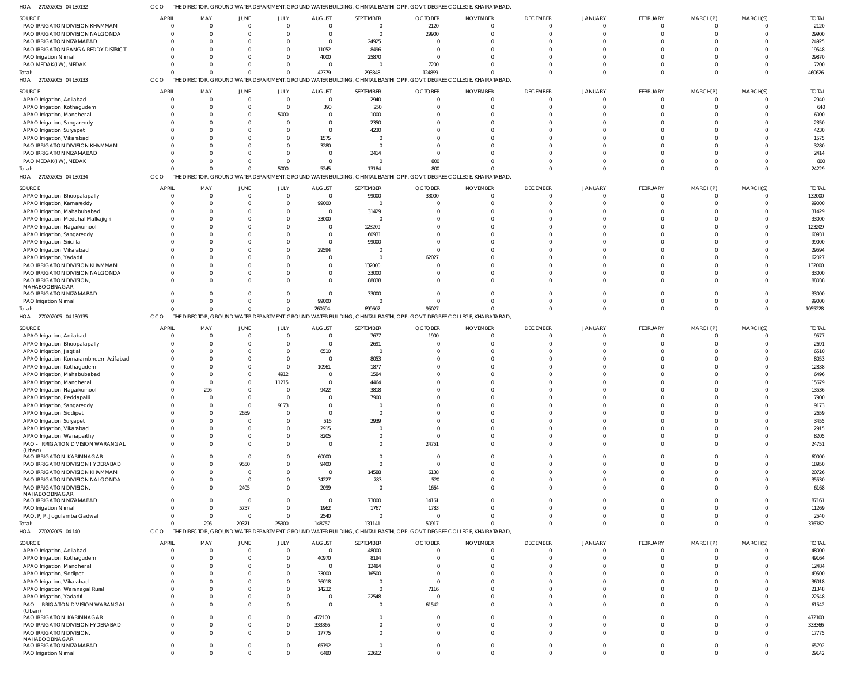270202005 04 130132 HOA CCO THE DIRECTOR, GROUND WATER DEPARTMENT, GROUND WATER BUILDING, CHINTAL BASTHI, OPP. GOVT. DEGREE COLLEGE, KHAIRATABAD,

|                                                   |                            | MAY                        |                      |                          |                |                         | <b>OCTOBER</b>                                                                                                        |                                 |                            |                          |                            |                            | MARCH(S)             |                |
|---------------------------------------------------|----------------------------|----------------------------|----------------------|--------------------------|----------------|-------------------------|-----------------------------------------------------------------------------------------------------------------------|---------------------------------|----------------------------|--------------------------|----------------------------|----------------------------|----------------------|----------------|
| SOURCE                                            | <b>APRIL</b>               |                            | JUNE                 | JULY                     | <b>AUGUST</b>  | SEPTEMBER               |                                                                                                                       | <b>NOVEMBER</b><br>$\Omega$     | <b>DECEMBER</b>            | <b>JANUARY</b>           | FEBRUARY                   | MARCH(P)                   |                      | <b>TOTAL</b>   |
| PAO IRRIGATION DIVISION KHAMMAM                   | $\overline{0}$             | $\mathbf 0$                | $\Omega$             | $\Omega$                 | $\overline{0}$ | $\overline{0}$          | 2120                                                                                                                  |                                 | $\overline{0}$             | $\mathbf{0}$             | $\overline{0}$             | $\Omega$                   | $\Omega$             | 2120           |
| PAO IRRIGATION DIVISION NALGONDA                  | $\Omega$                   | $\mathbf 0$                | $\Omega$             | $\Omega$                 | $\overline{0}$ | $\Omega$                | 29900                                                                                                                 |                                 | $\Omega$                   | $\Omega$                 | $\Omega$                   | $\Omega$                   | $\Omega$             | 29900          |
| PAO IRRIGATION NIZAMABAD                          | $\Omega$                   | $\Omega$                   |                      | $\Omega$                 | $\overline{0}$ | 24925                   |                                                                                                                       |                                 | $\Omega$                   |                          | $\Omega$                   |                            | $\Omega$             | 24925          |
| PAO IRRIGATION RANGA REDDY DISTRICT               | $\Omega$                   | $\Omega$                   | $\cap$               | $\Omega$                 | 11052          | 8496                    | $\Omega$                                                                                                              |                                 | $\Omega$                   |                          | $\Omega$                   |                            | $\Omega$             | 19548          |
| PAO Irrigation Nirmal                             |                            | $\Omega$                   |                      | $\Omega$                 | 4000           | 25870                   | $\Omega$                                                                                                              |                                 | $\Omega$                   |                          | $\Omega$                   |                            | $\Omega$             | 29870          |
| PAO MEDAK(IW), MEDAK                              | $\Omega$                   | $\Omega$                   |                      | $\Omega$                 | 0              | $\Omega$                | 7200                                                                                                                  |                                 | $\Omega$                   | $\Omega$                 | $\Omega$                   |                            | $\Omega$             | 7200           |
| Total:                                            | $\Omega$                   | $\Omega$                   | $\Omega$             | $\Omega$                 | 42379          | 293348                  | 124899                                                                                                                |                                 | $\Omega$                   | $\Omega$                 | $\Omega$                   | $\Omega$                   | $\Omega$             | 460626         |
| HOA 270202005 04 130133                           | CCO                        |                            |                      |                          |                |                         | THE DIRECTOR, GROUND WATER DEPARTMENT, GROUND WATER BUILDING, CHINTAL BASTHI, OPP. GOVT. DEGREE COLLEGE, KHAIRATABAD, |                                 |                            |                          |                            |                            |                      |                |
|                                                   |                            |                            |                      |                          |                |                         |                                                                                                                       |                                 |                            |                          |                            |                            |                      |                |
| SOURCE                                            | <b>APRIL</b>               | MAY                        | JUNE                 | JULY                     | <b>AUGUST</b>  | SEPTEMBER               | <b>OCTOBER</b>                                                                                                        | <b>NOVEMBER</b>                 | <b>DECEMBER</b>            | JANUARY                  | FEBRUARY                   | MARCH(P)                   | MARCH(S)             | <b>TOTAL</b>   |
| APAO Irrigation, Adilabad                         | $\overline{0}$             | $\overline{0}$             | $\Omega$             | $\overline{0}$           | $\mathbf 0$    | 2940                    | $\mathbf{0}$                                                                                                          |                                 | $\overline{0}$             | $\Omega$                 | $\overline{0}$             | $\Omega$                   | $\Omega$             | 2940           |
| APAO Irrigation, Kothagudem                       | $\Omega$                   | $\overline{0}$             | $\Omega$             | $\Omega$                 | 390            | 250                     | $\Omega$                                                                                                              |                                 | $\Omega$                   | $\Omega$                 | $\Omega$                   | $\Omega$                   | $\Omega$             | 640            |
| APAO Irrigation, Mancherial                       | $\Omega$                   | $\Omega$                   | $\Omega$             | 5000                     | $\Omega$       | 1000                    | $\Omega$                                                                                                              |                                 | $\Omega$                   |                          | $\Omega$                   |                            | $\Omega$             | 6000           |
|                                                   |                            | $\Omega$                   |                      | $\Omega$                 | $\overline{0}$ | 2350                    |                                                                                                                       |                                 | $\Omega$                   |                          | $\Omega$                   |                            | $\Omega$             |                |
| APAO Irrigation, Sangareddy                       |                            |                            |                      |                          |                |                         |                                                                                                                       |                                 |                            |                          |                            |                            |                      | 2350           |
| APAO Irrigation, Suryapet                         |                            | $\Omega$                   |                      | $\Omega$                 | $\overline{0}$ | 4230                    |                                                                                                                       |                                 |                            |                          | $\Omega$                   |                            | $\Omega$             | 4230           |
| APAO Irrigation, Vikarabad                        | $\Omega$                   | $\Omega$                   |                      | $\Omega$                 | 1575           | $\Omega$                |                                                                                                                       |                                 |                            |                          | $\Omega$                   |                            | $\Omega$             | 1575           |
| PAO IRRIGATION DIVISION KHAMMAM                   | $\Omega$                   | $\Omega$                   | $\Omega$             | $\Omega$                 | 3280           | $\Omega$                | $\Omega$                                                                                                              |                                 |                            |                          | $\Omega$                   |                            | $\Omega$             | 3280           |
| PAO IRRIGATION NIZAMABAD                          |                            | $\Omega$                   |                      | $\Omega$                 | $\overline{0}$ | 2414                    | $\Omega$                                                                                                              |                                 |                            |                          | $\Omega$                   |                            | $\Omega$             | 2414           |
| PAO MEDAK(IW), MEDAK                              | $\Omega$                   | $\Omega$                   | $\Omega$             | $\Omega$                 | $\mathbf{0}$   | $\Omega$                | 800                                                                                                                   |                                 |                            | $\Omega$                 | $\Omega$                   | $\Omega$                   | $\Omega$             | 800            |
| Total:                                            | $\Omega$                   | $\Omega$                   | $\Omega$             | 5000                     | 5245           | 13184                   | 800                                                                                                                   |                                 | $\Omega$                   | $\Omega$                 | $\Omega$                   | $\Omega$                   | $\Omega$             | 24229          |
| HOA 270202005 04 130134                           | CCO                        |                            |                      |                          |                |                         | THE DIRECTOR, GROUND WATER DEPARTMENT, GROUND WATER BUILDING, CHINTAL BASTHI, OPP. GOVT. DEGREE COLLEGE, KHAIRATABAD, |                                 |                            |                          |                            |                            |                      |                |
|                                                   |                            |                            |                      |                          |                |                         |                                                                                                                       |                                 |                            |                          |                            |                            |                      |                |
| SOURCE                                            | <b>APRIL</b>               | MAY                        | <b>JUNE</b>          | JULY                     | <b>AUGUST</b>  | SEPTEMBER               | <b>OCTOBER</b>                                                                                                        | <b>NOVEMBER</b>                 | <b>DECEMBER</b>            | <b>JANUARY</b>           | FEBRUARY                   | MARCH(P)                   | MARCH(S)             | <b>TOTAI</b>   |
| APAO Irrigation, Bhoopalapally                    | $\Omega$                   | $\Omega$                   | $\Omega$             | $\Omega$                 | $\overline{0}$ | 99000                   | 33000                                                                                                                 |                                 | $\overline{0}$             | $\Omega$                 | $\overline{0}$             | $\Omega$                   | $\Omega$             | 132000         |
| APAO Irrigation, Kamareddy                        | $\Omega$                   | $\mathbf 0$                | $\Omega$             | $\Omega$                 | 99000          | $\Omega$                |                                                                                                                       |                                 | $\Omega$                   | $\Omega$                 | $\Omega$                   | $\Omega$                   | $\Omega$             | 99000          |
| APAO Irrigation, Mahabubabad                      |                            | $\Omega$                   | $\Omega$             | $\Omega$                 | $\overline{0}$ | 31429                   | $\Omega$                                                                                                              |                                 | $\Omega$                   |                          | $\Omega$                   |                            | $\Omega$             | 31429          |
|                                                   |                            |                            |                      | $\Omega$                 |                |                         |                                                                                                                       |                                 |                            |                          |                            |                            | $\Omega$             |                |
| APAO Irrigation, Medchal Malkajigiri              |                            | $\Omega$                   |                      |                          | 33000          | $\Omega$                |                                                                                                                       |                                 | $\Omega$                   |                          | $\Omega$                   |                            |                      | 33000          |
| APAO Irrigation, Nagarkurnool                     |                            | $\Omega$                   |                      | $\Omega$                 | $\Omega$       | 123209                  |                                                                                                                       |                                 | $\Omega$                   |                          | $\Omega$                   |                            | $\Omega$             | 123209         |
| APAO Irrigation, Sangareddy                       |                            | $\Omega$                   |                      | $\Omega$                 | $\Omega$       | 60931                   |                                                                                                                       |                                 | $\cap$                     |                          | $\Omega$                   |                            | $\Omega$             | 60931          |
| APAO Irrigation, Siricilla                        |                            | $\Omega$                   |                      | $\Omega$                 | $\overline{0}$ | 99000                   |                                                                                                                       |                                 | $\Omega$                   |                          | $\Omega$                   |                            | $\Omega$             | 99000          |
| APAO Irrigation, Vikarabad                        |                            | $\Omega$                   |                      | $\Omega$                 | 29594          | $\Omega$                |                                                                                                                       |                                 | $\Omega$                   |                          | $\Omega$                   |                            | $\Omega$             | 29594          |
| APAO Irrigation, Yadadri                          |                            | $\Omega$                   |                      |                          | $\Omega$       | $\Omega$                | 62027                                                                                                                 |                                 | $\cap$                     |                          | $\cap$                     |                            | $\Omega$             | 62027          |
| PAO IRRIGATION DIVISION KHAMMAM                   |                            | $\Omega$                   |                      | $\Omega$                 | $\Omega$       | 132000                  |                                                                                                                       |                                 | $\Omega$                   |                          | $\Omega$                   |                            | $\Omega$             | 132000         |
|                                                   |                            |                            |                      |                          |                |                         |                                                                                                                       |                                 |                            |                          |                            |                            |                      |                |
| PAO IRRIGATION DIVISION NALGONDA                  |                            | $\Omega$                   |                      | $\Omega$                 | $\Omega$       | 33000                   | $\Omega$                                                                                                              |                                 | $\Omega$                   |                          | $\Omega$                   | $\cap$                     | $\Omega$             | 33000          |
| PAO IRRIGATION DIVISION                           | $\Omega$                   | $\Omega$                   | $\cap$               | $\Omega$                 | $\Omega$       | 88038                   |                                                                                                                       |                                 | $\cap$                     | $\Omega$                 | $\Omega$                   | $\cap$                     | $\Omega$             | 88038          |
| MAHABOOBNAGAR                                     |                            |                            |                      |                          |                |                         |                                                                                                                       |                                 |                            |                          |                            |                            |                      |                |
| PAO IRRIGATION NIZAMABAD                          | $\Omega$                   | $\Omega$                   |                      | $\Omega$                 | $\mathbf{0}$   | 33000                   |                                                                                                                       |                                 | $\Omega$                   |                          | $\Omega$                   |                            | $\Omega$             | 33000          |
| PAO Irrigation Nirmal                             | $\Omega$                   | $\Omega$                   | $\Omega$             | $\Omega$                 | 99000          | $\Omega$                | $\Omega$                                                                                                              |                                 | $\Omega$                   | $\Omega$                 | $\Omega$                   | $\Omega$                   | $\Omega$             | 99000          |
| Total:                                            |                            | $\Omega$                   | $\Omega$             | $\Omega$                 | 260594         | 699607                  | 95027                                                                                                                 |                                 | $\Omega$                   | $\Omega$                 | $\Omega$                   | $\Omega$                   | $\Omega$             | 1055228        |
| HOA 270202005 04 130135                           | CCO                        |                            |                      |                          |                |                         | THE DIRECTOR, GROUND WATER DEPARTMENT, GROUND WATER BUILDING, CHINTAL BASTHI, OPP. GOVT. DEGREE COLLEGE, KHAIRATABAD, |                                 |                            |                          |                            |                            |                      |                |
| SOURCE                                            | <b>APRIL</b>               | MAY                        | <b>JUNE</b>          | JULY                     | <b>AUGUST</b>  | SEPTEMBER               | <b>OCTOBER</b>                                                                                                        | <b>NOVEMBER</b>                 | <b>DECEMBER</b>            | JANUARY                  | FEBRUARY                   | MARCH(P)                   | MARCH(S)             | <b>TOTAL</b>   |
|                                                   |                            |                            |                      |                          |                |                         |                                                                                                                       |                                 |                            |                          |                            |                            |                      |                |
|                                                   |                            |                            |                      |                          |                |                         |                                                                                                                       |                                 |                            |                          |                            |                            |                      |                |
| APAO Irrigation, Adilabad                         | $\Omega$                   | $\overline{0}$             | $\Omega$             | $\Omega$                 | $\overline{0}$ | 7677                    | 1900                                                                                                                  |                                 | $\overline{0}$             | $\Omega$                 | $\overline{0}$             | $\Omega$                   | $\Omega$             | 9577           |
| APAO Irrigation, Bhoopalapally                    | $\Omega$                   | $\overline{0}$             | $\Omega$             | $\Omega$                 | $\mathbf{0}$   | 2691                    | $\Omega$                                                                                                              |                                 | $\Omega$                   | $\Omega$                 | $\Omega$                   | $\Omega$                   | $\Omega$             | 2691           |
| APAO Irrigation, Jagtial                          | $\Omega$                   | $\Omega$                   | $\Omega$             | $\Omega$                 | 6510           | $\overline{0}$          |                                                                                                                       |                                 | $\Omega$                   |                          | $\Omega$                   |                            | $\Omega$             | 6510           |
| APAO Irrigation, Komarambheem Asifabad            | $\Omega$                   | $\Omega$                   | $\Omega$             | $\Omega$                 | $\overline{0}$ | 8053                    |                                                                                                                       |                                 | $\Omega$                   |                          | $\Omega$                   |                            | $\Omega$             | 8053           |
|                                                   | $\Omega$                   | $\Omega$                   | $\Omega$             | $\overline{0}$           |                |                         |                                                                                                                       |                                 |                            |                          | $\Omega$                   |                            | $\Omega$             |                |
| APAO Irrigation, Kothagudem                       | $\Omega$                   | $\Omega$                   | $\Omega$             |                          | 10961          | 1877                    |                                                                                                                       |                                 |                            |                          | $\Omega$                   |                            | $\Omega$             | 12838          |
| APAO Irrigation, Mahabubabad                      |                            |                            |                      | 4912                     | $\overline{0}$ | 1584                    |                                                                                                                       |                                 |                            |                          |                            |                            |                      | 6496           |
| APAO Irrigation, Mancherial                       |                            | $\Omega$                   | $\Omega$             | 11215                    | $\overline{0}$ | 4464                    |                                                                                                                       |                                 | $\Omega$                   |                          | $\Omega$                   |                            | $\Omega$             | 15679          |
| APAO Irrigation, Nagarkurnool                     | $\Omega$                   | 296                        | $\Omega$             | $\Omega$                 | 9422           | 3818                    |                                                                                                                       |                                 |                            |                          | $\Omega$                   |                            | $\Omega$             | 13536          |
| APAO Irrigation, Peddapalli                       |                            |                            |                      | $\Omega$                 | $\Omega$       | 7900                    |                                                                                                                       |                                 |                            |                          | -0                         |                            |                      | 7900           |
| APAO Irrigation, Sangareddy                       |                            | $\Omega$                   | $\Omega$             | 9173                     | $\overline{0}$ | $\overline{0}$          | $\Omega$                                                                                                              |                                 | $\Omega$                   |                          | $\Omega$                   | $\Omega$                   | $\Omega$             | 9173           |
| APAO Irrigation, Siddipet                         | $\Omega$                   | $\overline{0}$             | 2659                 | $\Omega$                 | $\overline{0}$ | $\overline{0}$          | $\Omega$                                                                                                              |                                 | $\Omega$                   | $\Omega$                 | $\overline{0}$             | $\Omega$                   | $\Omega$             | 2659           |
| APAO Irrigation, Suryapet                         | $\Omega$                   | $\Omega$                   | $\Omega$             | $\Omega$                 | 516            | 2939                    | $\Omega$                                                                                                              |                                 | $\Omega$                   | $\Omega$                 | $\Omega$                   | $\Omega$                   | $\Omega$             | 3455           |
|                                                   | $\Omega$                   | $\overline{0}$             | $\Omega$             | $\Omega$                 | 2915           | $\overline{0}$          | $\Omega$                                                                                                              |                                 | $\Omega$                   | $\Omega$                 | $\Omega$                   | $\Omega$                   | $\Omega$             |                |
| APAO Irrigation, Vikarabad                        | $\Omega$                   |                            | $\Omega$             | $\Omega$                 |                |                         | $\Omega$                                                                                                              |                                 | $\Omega$                   | $\Omega$                 | $\Omega$                   | $\Omega$                   | $\Omega$             | 2915           |
| APAO Irrigation, Wanaparthy                       |                            | $\overline{0}$             |                      |                          | 8205           | $\overline{0}$          |                                                                                                                       |                                 |                            |                          |                            |                            |                      | 8205           |
| PAO - IRRIGATION DIVISION WARANGAL                | $\Omega$                   | $\Omega$                   | $\Omega$             | $\Omega$                 | $\overline{0}$ | $\Omega$                | 24751                                                                                                                 |                                 | $\Omega$                   | $\Omega$                 | $\overline{0}$             | $\Omega$                   | $\Omega$             | 24751          |
| (Urban)                                           | $\Omega$                   | $\Omega$                   | $\Omega$             | $\Omega$                 |                | $\Omega$                | $\mathbf{0}$                                                                                                          |                                 | $\Omega$                   | $\Omega$                 | $\Omega$                   | $\Omega$                   | $\Omega$             |                |
| PAO IRRIGATION KARIMNAGAR                         |                            |                            |                      |                          | 60000          |                         |                                                                                                                       |                                 |                            |                          |                            |                            |                      | 60000          |
| PAO IRRIGATION DIVISION HYDERABAD                 | $\Omega$                   | $\overline{0}$             | 9550                 | $\Omega$                 | 9400           | $\overline{0}$          | $\Omega$                                                                                                              |                                 | $\Omega$                   | $\Omega$                 | $\Omega$                   | $\Omega$                   | $\Omega$             | 18950          |
| PAO IRRIGATION DIVISION KHAMMAM                   | $\Omega$                   | $\overline{0}$             | $\Omega$             | $\Omega$                 | $\overline{0}$ | 14588                   | 6138                                                                                                                  |                                 | $\Omega$                   | $\Omega$                 | $\Omega$                   | $\Omega$                   | $\Omega$             | 20726          |
| PAO IRRIGATION DIVISION NALGONDA                  | $\overline{0}$             | $\overline{0}$             | $\overline{0}$       | $\Omega$                 | 34227          | 783                     | 520                                                                                                                   |                                 | $\Omega$                   | $\Omega$                 | $\overline{0}$             | $\Omega$                   | $\Omega$             | 35530          |
| PAO IRRIGATION DIVISION,                          | $\Omega$                   | $\overline{0}$             | 2405                 | $\Omega$                 | 2099           | $\Omega$                | 1664                                                                                                                  |                                 | $\Omega$                   | $\Omega$                 | $\Omega$                   | $\Omega$                   | $\Omega$             | 6168           |
| MAHABOOBNAGAR                                     |                            |                            |                      |                          |                |                         |                                                                                                                       |                                 |                            |                          |                            |                            |                      |                |
| PAO IRRIGATION NIZAMABAD                          | $\Omega$                   | $\overline{0}$             | $\overline{0}$       | $\Omega$                 | $\overline{0}$ | 73000                   | 14161                                                                                                                 |                                 | $\Omega$                   | $\Omega$                 | $\Omega$                   | $\Omega$                   | $\Omega$             | 87161          |
| PAO Irrigation Nirmal                             | $\Omega$                   | $\overline{0}$             | 5757                 | $\Omega$                 | 1962           | 1767                    | 1783                                                                                                                  | $\Omega$                        | $\Omega$                   | $\Omega$                 | $\Omega$                   | $\Omega$                   | $\Omega$             | 11269          |
| PAO, PJP, Jogulamba Gadwal                        | $\Omega$                   | $\overline{0}$             | $\overline{0}$       | $\overline{0}$           | 2540           | $\overline{0}$          | $\overline{0}$                                                                                                        |                                 | $\Omega$                   | $\mathbf{0}$             | $\mathbf{0}$               | $\overline{0}$             | $\Omega$             | 2540           |
| Total:                                            | $\Omega$                   | 296                        | 20371                | 25300                    | 148757         | 131141                  | 50917                                                                                                                 | $\Omega$                        | $\Omega$                   | $\Omega$                 | $\Omega$                   | $\Omega$                   | $\Omega$             | 376782         |
| HOA 270202005 04 140                              | CCO                        |                            |                      |                          |                |                         | THE DIRECTOR, GROUND WATER DEPARTMENT, GROUND WATER BUILDING, CHINTAL BASTHI, OPP. GOVT. DEGREE COLLEGE, KHAIRATABAD, |                                 |                            |                          |                            |                            |                      |                |
|                                                   |                            |                            |                      |                          |                |                         |                                                                                                                       |                                 |                            |                          |                            |                            |                      |                |
| SOURCE                                            | <b>APRIL</b>               | MAY                        | <b>JUNE</b>          | JULY                     | <b>AUGUST</b>  | SEPTEMBER               | <b>OCTOBER</b>                                                                                                        | <b>NOVEMBER</b><br><sup>0</sup> | <b>DECEMBER</b>            | <b>JANUARY</b>           | FEBRUARY                   | MARCH(P)                   | MARCH(S)             | <b>TOTAL</b>   |
| APAO Irrigation, Adilabad                         | $\Omega$                   | $\Omega$                   | $\Omega$             | $\Omega$                 | $\mathbf{0}$   | 48000                   | $\Omega$                                                                                                              |                                 | $\overline{0}$             | $\Omega$                 | $\overline{0}$             | $\Omega$                   | $\Omega$             | 48000          |
| APAO Irrigation, Kothagudem                       | $\Omega$                   | $\Omega$                   | $\Omega$             | $\Omega$                 | 40970          | 8194                    | $\Omega$                                                                                                              |                                 | $\Omega$                   | $\Omega$                 | $\Omega$                   | $\Omega$                   | $\Omega$             | 49164          |
| APAO Irrigation, Mancherial                       | $\Omega$                   | $\Omega$                   | $\Omega$             | $\Omega$                 | $\overline{0}$ | 12484                   | $\Omega$                                                                                                              |                                 | $\Omega$                   | $\Omega$                 | $\Omega$                   | $\Omega$                   | $\Omega$             | 12484          |
| APAO Irrigation, Siddipet                         | $\Omega$                   | $\Omega$                   | $\Omega$             | $\Omega$                 | 33000          | 16500                   | $\Omega$                                                                                                              |                                 | $\Omega$                   | $\Omega$                 | $\Omega$                   | $\Omega$                   | $\Omega$             | 49500          |
| APAO Irrigation, Vikarabad                        | $\Omega$                   | $\Omega$                   |                      | $\Omega$                 | 36018          | $\Omega$                | $\Omega$                                                                                                              |                                 | $\Omega$                   | $\Omega$                 | $\Omega$                   | $\Omega$                   | $\Omega$             | 36018          |
| APAO Irrigation, Waranagal Rural                  | $\Omega$                   | $\Omega$                   | $\Omega$             | $\Omega$                 | 14232          | $\Omega$                | 7116                                                                                                                  |                                 | $\Omega$                   | $\Omega$                 | $\Omega$                   | $\Omega$                   | $\Omega$             | 21348          |
|                                                   | $\Omega$                   | $\Omega$                   |                      | $\Omega$                 | $\overline{0}$ |                         | $\Omega$                                                                                                              |                                 | $\Omega$                   | $\Omega$                 | $\Omega$                   | $\Omega$                   | $\Omega$             |                |
| APAO Irrigation, Yadadri                          |                            |                            |                      |                          |                | 22548                   |                                                                                                                       |                                 |                            |                          |                            |                            |                      | 22548          |
| PAO - IRRIGATION DIVISION WARANGAL                | $\Omega$                   | $\Omega$                   | $\Omega$             | $\Omega$                 | $\Omega$       | $\Omega$                | 61542                                                                                                                 |                                 | $\Omega$                   | $\Omega$                 | $\Omega$                   | $\Omega$                   | $\Omega$             | 61542          |
| (Urban)                                           | $\Omega$                   | $\Omega$                   | $\Omega$             | $\Omega$                 |                | $\Omega$                | $\Omega$                                                                                                              |                                 | $\Omega$                   | $\Omega$                 | $\Omega$                   | $\Omega$                   | $\Omega$             |                |
| PAO IRRIGATION KARIMNAGAR                         |                            |                            |                      |                          | 472100         |                         |                                                                                                                       |                                 |                            |                          |                            |                            |                      | 472100         |
| PAO IRRIGATION DIVISION HYDERABAD                 | $\Omega$                   | $\Omega$                   | $\Omega$             | $\Omega$                 | 333366         | $\Omega$                | $\Omega$                                                                                                              |                                 | $\Omega$                   | $\Omega$                 | $\Omega$                   | $\Omega$                   | $\Omega$             | 333366         |
| PAO IRRIGATION DIVISION,                          | $\Omega$                   | $\Omega$                   | $\Omega$             | $\Omega$                 | 17775          | $\Omega$                | $\Omega$                                                                                                              |                                 | $\Omega$                   | $\Omega$                 | $\Omega$                   | $\Omega$                   | $\Omega$             | 17775          |
| MAHABOOBNAGAR                                     |                            |                            |                      |                          |                |                         |                                                                                                                       |                                 |                            |                          |                            |                            |                      |                |
| PAO IRRIGATION NIZAMABAD<br>PAO Irrigation Nirmal | $\overline{0}$<br>$\Omega$ | $\overline{0}$<br>$\Omega$ | $\Omega$<br>$\Omega$ | $\mathbf{0}$<br>$\Omega$ | 65792<br>6480  | $\overline{0}$<br>22662 | $\mathbf{0}$<br>$\Omega$                                                                                              | $\Omega$<br>$\Omega$            | $\overline{0}$<br>$\Omega$ | $\mathbf{0}$<br>$\Omega$ | $\overline{0}$<br>$\Omega$ | $\overline{0}$<br>$\Omega$ | $\Omega$<br>$\Omega$ | 65792<br>29142 |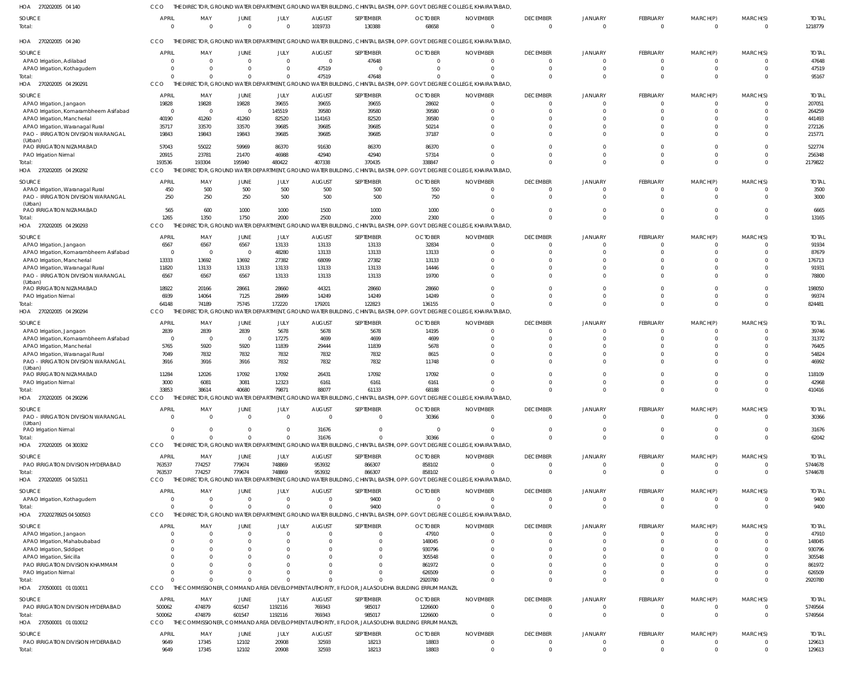270202005 04 140 HOA 270202005 04 240 HOA 270202005 04 290291 HOA 270202005 04 290292 HOA 270202005 04 290293 HOA 270202005 04 290294 270202005 04 290296 270202005 04 300302 HOA 270202005 04 510511 HOA 27020278925 04 500503 HOA 270500001 01 010011 270500001 01 010012 HOA HOA HOA HOA THE DIRECTOR, GROUND WATER DEPARTMENT, GROUND WATER BUILDING, CHINTAL BASTHI, OPP. GOVT. DEGREE COLLEGE, KHAIRATABAD, THE DIRECTOR, GROUND WATER DEPARTMENT, GROUND WATER BUILDING, CHINTAL BASTHI, OPP. GOVT. DEGREE COLLEGE, KHAIRATABAD, THE DIRECTOR, GROUND WATER DEPARTMENT, GROUND WATER BUILDING, CHINTAL BASTHI, OPP. GOVT. DEGREE COLLEGE, KHAIRATABAD, THE DIRECTOR, GROUND WATER DEPARTMENT, GROUND WATER BUILDING, CHINTAL BASTHI, OPP. GOVT. DEGREE COLLEGE, KHAIRATABAD, THE DIRECTOR, GROUND WATER DEPARTMENT, GROUND WATER BUILDING, CHINTAL BASTHI, OPP. GOVT. DEGREE COLLEGE, KHAIRATABAD, THE DIRECTOR, GROUND WATER DEPARTMENT, GROUND WATER BUILDING, CHINTAL BASTHI, OPP. GOVT. DEGREE COLLEGE, KHAIRATABAD, THE DIRECTOR, GROUND WATER DEPARTMENT, GROUND WATER BUILDING, CHINTAL BASTHI, OPP. GOVT. DEGREE COLLEGE, KHAIRATABAD, THE DIRECTOR, GROUND WATER DEPARTMENT, GROUND WATER BUILDING, CHINTAL BASTHI, OPP. GOVT. DEGREE COLLEGE, KHAIRATABAD, THE DIRECTOR, GROUND WATER DEPARTMENT, GROUND WATER BUILDING, CHINTAL BASTHI, OPP. GOVT. DEGREE COLLEGE, KHAIRATABAD, THE DIRECTOR, GROUND WATER DEPARTMENT, GROUND WATER BUILDING, CHINTAL BASTHI, OPP. GOVT. DEGREE COLLEGE, KHAIRATABAD, THE COMMISSIONER, COMMAND AREA DEVELOPMENT AUTHORITY, II FLOOR, JALASOUDHA BUILDING ERRUM MANZIL THE COMMISSIONER, COMMAND AREA DEVELOPMENT AUTHORITY, II FLOOR, JALASOUDHA BUILDING ERRUM MANZIL CCO CCO **CCO** CCO CCO CCO CCO CCO **CCO** CCO. **CCO CCO** 0  $\Omega$ 193536 1265 64148 33853  $\Omega$ 763537 0  $\Omega$ 500062 9649  $\Omega$  $\Omega$ 193304 1350 74189 38614  $\sqrt{2}$ 774257 0  $\Omega$ 474879 17345 0  $\Omega$ 195940 1750 75745 40680  $\Omega$ 779674 0  $\Omega$ 601547 12102  $\Omega$  $\bigcap$ 480422 2000 172220 79871  $\Omega$ 748869 0  $\cap$ 1192116 20908 1019733 47519 407338 2500 179201 88077 31676 953932 0  $\Omega$ 769343 32593 130388 47648 370435 2000 122823 61133  $\sqrt{2}$ 866307 9400  $\sqrt{2}$ 985017 18213 68658  $\Omega$ 338847 2300 136155 68188 30366 858102 0 2920780 1226600 18803 0 0 0 0  $\Omega$  $\cap$ 0 0 0  $\cap$ 0 0  $\Omega$ 0 0  $\Omega$  $\Omega$  $\Omega$  $\cap$  $\Omega$ 0  $\Omega$ 0  $\Omega$ 0 0 0  $\Omega$ 0  $\Omega$  $\Omega$  $\mathfrak{g}$ 0  $\Omega$ 0  $\Omega$  $\Omega$ 0 0  $\Omega$  $\Omega$  $\sqrt{2}$  $\sqrt{2}$ 0 0  $\cap$ 0  $\Omega$  $\Omega$ 0 0 0 0  $\Omega$  $\Omega$ 0 0  $\Omega$ 0  $\Omega$  $\Omega$  $\Omega$ 0  $\Omega$ 0  $\Omega$  $\bigcap$  $\Omega$ 0  $\Omega$ 0  $\Omega$ 1218779 95167 2179822 13165 824481 410416 62042 5744678 9400 2920780 5749564 129613 APAO Irrigation, Adilabad APAO Irrigation, Kothagudem APAO Irrigation, Jangaon APAO Irrigation, Komarambheem Asifabad APAO Irrigation, Mancherial APAO Irrigation, Waranagal Rural PAO - IRRIGATION DIVISION WARANGAL (Urban) PAO IRRIGATION NIZAMABAD PAO Irrigation Nirmal APAO Irrigation, Waranagal Rural PAO - IRRIGATION DIVISION WARANGAL (Urban) PAO IRRIGATION NIZAMABAD APAO Irrigation, Jangaon APAO Irrigation, Komarambheem Asifabad APAO Irrigation, Mancherial APAO Irrigation, Waranagal Rural PAO - IRRIGATION DIVISION WARANGAL (Urban) PAO IRRIGATION NIZAMABAD PAO Irrigation Nirmal APAO Irrigation, Jangaon APAO Irrigation, Komarambheem Asifabad APAO Irrigation, Mancherial APAO Irrigation, Waranagal Rural PAO - IRRIGATION DIVISION WARANGAL (Urban) PAO IRRIGATION NIZAMABAD PAO Irrigation Nirmal PAO - IRRIGATION DIVISION WARANGAL (Urban) PAO Irrigation Nirmal PAO IRRIGATION DIVISION HYDERABAD APAO Irrigation, Kothagudem APAO Irrigation, Jangaon APAO Irrigation, Mahabubabad APAO Irrigation, Siddipet APAO Irrigation, Siricilla PAO IRRIGATION DIVISION KHAMMAM PAO Irrigation Nirmal PAO IRRIGATION DIVISION HYDERABAD PAO IRRIGATION DIVISION HYDERABAD SOURCE SOURCE SOURCE **SOURCE** SOURCE SOURCE SOURCE **SOURCE SOURCE SOURCE** SOURCE **SOURCE**  $\mathfrak{c}$ 0 19828 0 40190 35717 19843 57043 20915 450 250 565 6567  $\Omega$ 13333 11820 6567 18922 6939 2839  $\Omega$ 5765 7049 3916 11284 3000 0 0 763537 0  $\mathbf{C}$  $\Omega$ 0  $\Omega$  $\Omega$ 0 500062 9649 APRIL **APRIL** APRIL APRIL **APRIL** APRIL APRIL **APRIL** APRIL APRIL **APRIL** APRIL 0 0 19828 0 41260 33570 19843 55022 23781 500 250 600 6567  $\sqrt{0}$ 13692 13133 6567 20166 14064 2839  $\sqrt{0}$ 5920 7832 3916 12026 6081 0 0 774257 0 0  $\Omega$ 0  $\Omega$  $\Omega$ 0 474879 17345 MAY MAY MAY MAY MAY MAY MAY MAY MAY MAY MAY MAY 0 0 19828 0 41260 33570 19843 59969 21470 500 250 1000 6567  $\Omega$ 13692 13133 6567 28661 7125 2839  $\Omega$ 5920 7832 3916 17092 3081 0 0 779674 0  $\mathbf{C}$  $\Omega$  $\overline{0}$  $\Omega$  $\Omega$  $\mathbf 0$ 601547 12102 JUNE JUNE JUNE JUNE JUNE JUNE JUNE JUNE JUNE JUNE JUNE JUNE 0 0 39655 145519 82520 39685 39685 86370 46988 500 500 1000 13133 48280 27382 13133 13133 28660 28499 5678 17275 11839 7832 7832 17092 12323  $\Omega$ 0 748869 0 0  $\sqrt{2}$ 0  $\Omega$ 0 0 1192116 20908 JULY JULY JULY JULY JULY JULY JULY JULY JULY JULY JULY JULY 0 47519 39655 39580 114163 39685 39685 91630 42940 500 500 1500 13133 13133 68099 13133 13133 44321 14249 5678 4699 29444 7832 7832 26431 6161 0 31676 953932 0 0  $\Omega$ 0 0  $\Omega$ 0 769343 32593 AUGUST AUGUST AUGUST AUGUST AUGUST AUGUST AUGUST AUGUST AUGUST **AUGUST** AUGUST AUGUST 47648  $\Omega$ 39655 39580 82520 39685 39685 86370 42940 500 500 1000 13133 13133 27382 13133 13133 28660 14249 5678 4699 11839 7832 7832 17092 6161  $\Omega$ 0 866307 9400 0 0 0 0 0 0 985017 18213 SEPTEMBER SEPTEMBER SEPTEMBER SEPTEMBER SEPTEMBER SEPTEMBER SEPTEMBER SEPTEMBER SEPTEMBER SEPTEMBER SEPTEMBER SEPTEMBER 0  $\Omega$ 28602 39580 39580 50214 37187 86370 57314 550 750 1000 32834 13133 13133 14446 19700 28660 14249 14195 4699 5678 8615 11748 17092 6161 30366 0 858102  $\Omega$ 47910 148045 930796 305548 861972 626509 1226600 18803 **OCTOBER OCTOBER OCTOBER OCTOBER OCTOBER** OCTOBER OCTOBER **OCTOBER** OCTOBER **OCTOBER OCTOBER OCTOBER** 0 0 0 0  $\Omega$ 0  $\Omega$ 0  $\Omega$ 0 0 0  $\Omega$ 0 0  $\Omega$ 0 0 0  $\Omega$  $\Omega$ 0  $\Omega$ 0 0 0  $\Omega$ 0 0 0 0  $\Omega$ 0  $\Omega$ 0 0  $\Omega$ 0 NOVEMBER NOVEMBER NOVEMBER NOVEMBER NOVEMBER NOVEMBER NOVEMBER NOVEMBER NOVEMBER NOVEMBER NOVEMBER NOVEMBER 0 0 0 0  $\Omega$ 0 0 0  $\Omega$ 0  $\Omega$ 0  $\Omega$  $\Omega$ 0  $\Omega$ 0  $\Omega$ 0  $\Omega$  $\Omega$ 0  $\Omega$  $\Omega$  $\Omega$ 0  $\Omega$ 0  $\Omega$ 0 0  $\Omega$ 0 0  $\Omega$ 0  $\Omega$ 0 DECEMBER **DECEMBER** DECEMBER DECEMBER DECEMBER DECEMBER DECEMBER DECEMBER DECEMBER **DECEMBER** DECEMBER DECEMBER  $\mathbf{C}$ 0  $\Omega$ 0  $\Omega$ 0 0 0  $\Omega$ 0  $\Omega$ 0  $\Omega$ 0  $\mathbf{C}$  $\Omega$ 0  $\Omega$ 0 0  $\Omega$  $\mathbf{C}$  $\Omega$  $\mathfrak{c}$  $\Omega$ 0 0 0 0 0 0  $\Omega$  $\mathfrak{c}$ 0  $\Omega$ 0  $\Omega$ 0 JANUARY JANUARY JANUARY JANUARY **JANUARY** JANUARY JANUARY JANUARY JANUARY JANUARY JANUARY JANUARY 0 0 0 0  $\Omega$ 0 0 0  $\Omega$ 0  $\Omega$ 0  $\Omega$  $\Omega$ 0  $\Omega$ 0  $\Omega$ 0  $\Omega$  $\Omega$ 0  $\Omega$ 0  $\Omega$ 0 0 0  $\Omega$ 0 0  $\Omega$ 0  $\Omega$  $\Omega$ 0  $\Omega$ 0 FEBRUARY **FEBRUARY** FEBRUARY FEBRUARY FEBRUARY FEBRUARY FEBRUARY FEBRUARY FEBRUARY FEBRUARY FEBRUARY FEBRUARY 0 0  $\Omega$ 0  $\Omega$ 0 0 0  $\Omega$ 0  $\Omega$  $\overline{0}$  $\Omega$ 0 0  $\Omega$ 0  $\Omega$ 0  $\Omega$  $\Omega$ 0  $\Omega$  $\overline{0}$  $\Omega$ 0 0 0 0 0 0  $\Omega$ 0  $\Omega$  $\Omega$ 0  $\Omega$ 0 MARCH(P) MARCH(P) MARCH(P) MARCH(P) MARCH(P) MARCH(P) MARCH(P) MARCH(P) MARCH(P) MARCH(P) MARCH(P) MARCH(P) 0 0 0 0  $\Omega$ 0  $\Omega$ 0  $\Omega$ 0 0 0  $^{\circ}$  $\Omega$ 0  $\Omega$ 0  $\Omega$ 0  $\Omega$  $\bigcap$ 0  $\bigcap$ 0  $\Omega$ 0  $\Omega$ 0  $\Omega$ 0 0  $\bigcap$ 0  $\Omega$  $\bigcap$ 0  $\Omega$ 0 MARCH(S) MARCH(S) MARCH(S) MARCH(S) MARCH(S) MARCH(S) MARCH(S) MARCH(S) MARCH(S) MARCH(S) MARCH(S) MARCH(S) 47648 47519 207051 264259 441493 272126 215771 522774 256348 3500 3000 6665 91934 87679 176713 91931 78800 198050 99374 39746 31372 76405 54824 46992 118109 42968 30366 31676 5744678 9400 47910 148045 930796 305548 861972 626509 5749564 129613 TOTAL TOTAL TOTAL TOTAL TOTAL TOTAL TOTAL TOTAL TOTAL TOTAL TOTAL TOTAL Total: Total: Total: Total: Total: Total: Total: Total: Total: Total: **Total** Total: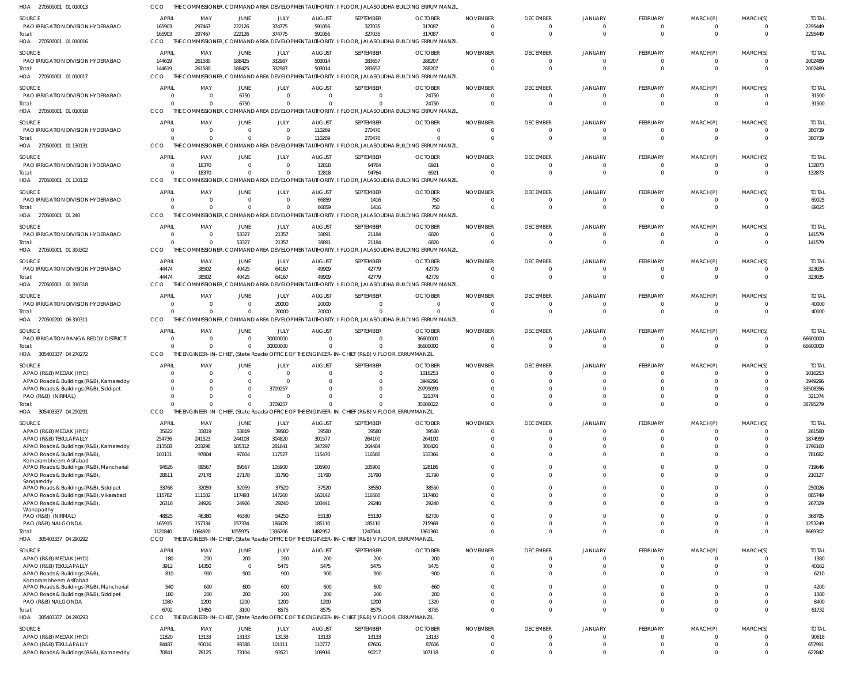| HOA 270500001 01 010013                                                           | CCO                            |                                     |                   |                                                      |                        |                                                                                                 | THE COMMISSIONER, COMMAND AREA DEVELOPMENT AUTHORITY, II FLOOR, JALASOUDHA BUILDING ERRUM MANZIL          |                             |                                   |                                  |                      |                            |                         |                        |
|-----------------------------------------------------------------------------------|--------------------------------|-------------------------------------|-------------------|------------------------------------------------------|------------------------|-------------------------------------------------------------------------------------------------|-----------------------------------------------------------------------------------------------------------|-----------------------------|-----------------------------------|----------------------------------|----------------------|----------------------------|-------------------------|------------------------|
| SOURCE                                                                            | <b>APRIL</b>                   | MAY                                 | JUNE              | JULY                                                 | <b>AUGUST</b>          | SEPTEMBER                                                                                       | <b>OCTOBER</b>                                                                                            | <b>NOVEMBER</b>             | <b>DECEMBER</b>                   | <b>JANUARY</b>                   | <b>FEBRUARY</b>      | MARCH(P)                   | MARCH(S)                | <b>TOTAL</b>           |
| PAO IRRIGATION DIVISION HYDERABAD                                                 | 165903                         | 297467                              | 222126            | 374775                                               | 591056                 | 327035                                                                                          | 317087                                                                                                    |                             | $\overline{0}$                    | 0                                | - 0                  | $\Omega$                   | 0                       | 2295449                |
| Total:                                                                            | 165903                         | 297467                              | 222126            | 374775                                               | 591056                 | 327035                                                                                          | 317087                                                                                                    | $\Omega$                    | $\overline{0}$                    | $\Omega$                         | $\Omega$             | $\Omega$                   | $\overline{0}$          | 2295449                |
| HOA 270500001 01 010016                                                           | CCO                            | THE COMMISSIONER,                   |                   |                                                      |                        |                                                                                                 | COMMAND AREA DEVELOPMENT AUTHORITY, II FLOOR, JALASOUDHA BUILDING ERRUM MANZIL                            |                             |                                   |                                  |                      |                            |                         |                        |
| SOURCE                                                                            | <b>APRIL</b>                   | MAY                                 | JUNE              | JULY                                                 | <b>AUGUST</b>          | SEPTEMBER                                                                                       | <b>OCTOBER</b>                                                                                            | <b>NOVEMBER</b>             | <b>DECEMBER</b>                   | <b>JANUARY</b>                   | FEBRUARY             | MARCH(P)                   | MARCH(S)                | <b>TOTAL</b>           |
| PAO IRRIGATION DIVISION HYDERABAD                                                 | 144619                         | 261580                              | 188425            | 332987                                               | 503014                 | 283657                                                                                          | 288207                                                                                                    |                             | $\overline{0}$                    | 0                                | $\Omega$             | $\overline{0}$             | 0                       | 2002489                |
| Total:                                                                            | 144619                         | 261580                              | 188425            | 332987                                               | 503014                 | 283657                                                                                          | 288207                                                                                                    |                             | $\Omega$                          | $\Omega$                         | $\Omega$             | $\Omega$                   | $\mathbf 0$             | 2002489                |
| HOA 270500001 01 010017                                                           | CCO                            |                                     |                   | THE COMMISSIONER, COMMAND AREA DEVELOPMENT AUTHORITY |                        |                                                                                                 | , II FLOOR, JALASOUDHA BUILDING ERRUM MANZIL                                                              |                             |                                   |                                  |                      |                            |                         |                        |
| SOURCE                                                                            | <b>APRIL</b>                   | MAY                                 | JUNE              | JULY                                                 | <b>AUGUST</b>          | SEPTEMBER                                                                                       | <b>OCTOBER</b>                                                                                            | <b>NOVEMBER</b>             | <b>DECEMBER</b>                   | <b>JANUARY</b>                   | <b>FEBRUARY</b>      | MARCH(P)                   | MARCH(S)                | <b>TOTAL</b>           |
| PAO IRRIGATION DIVISION HYDERABAD                                                 | $\overline{0}$                 | $\overline{\mathbf{0}}$             | 6750              | $\overline{0}$                                       | $\Omega$               | $\overline{0}$                                                                                  | 24750                                                                                                     |                             | $\overline{0}$                    | $\Omega$                         |                      | $\Omega$                   | 0                       | 31500                  |
| Total:                                                                            | $\Omega$<br>CCO                | $\Omega$                            | 6750              | $\Omega$                                             |                        | $\Omega$                                                                                        | 24750<br>THE COMMISSIONER, COMMAND AREA DEVELOPMENT AUTHORITY, II FLOOR, JALASOUDHA BUILDING ERRUM MANZIL |                             | $\overline{0}$                    | $\Omega$                         | $\Omega$             | $\Omega$                   | $\overline{0}$          | 31500                  |
| HOA 270500001 01 010018                                                           |                                |                                     |                   |                                                      |                        |                                                                                                 |                                                                                                           |                             |                                   |                                  |                      |                            |                         |                        |
| SOURCE                                                                            | <b>APRIL</b>                   | MAY                                 | JUNE              | JULY                                                 | <b>AUGUST</b>          | SEPTEMBER                                                                                       | <b>OCTOBER</b>                                                                                            | <b>NOVEMBER</b>             | <b>DECEMBER</b>                   | <b>JANUARY</b>                   | <b>FEBRUARY</b>      | MARCH(P)                   | MARCH(S)                | <b>TOTAL</b>           |
| PAO IRRIGATION DIVISION HYDERABAD                                                 | $\Omega$<br>$\Omega$           | $\overline{\mathbf{0}}$<br>$\Omega$ |                   | $\Omega$<br>$\Omega$                                 | 110269<br>110269       | 270470<br>270470                                                                                |                                                                                                           |                             | $\overline{0}$<br>$\overline{0}$  | 0<br>$\Omega$                    | - 0<br>$\Omega$      | 0<br>$\Omega$              | 0<br>0                  | 380739<br>380739       |
| Total:<br>HOA 270500001 01 130131                                                 | <b>CCO</b>                     |                                     |                   |                                                      |                        |                                                                                                 | THE COMMISSIONER, COMMAND AREA DEVELOPMENT AUTHORITY, II FLOOR, JALASOUDHA BUILDING ERRUM MANZIL          |                             |                                   |                                  |                      |                            |                         |                        |
|                                                                                   |                                |                                     |                   |                                                      |                        |                                                                                                 |                                                                                                           |                             |                                   |                                  |                      |                            |                         |                        |
| SOURCE<br>PAO IRRIGATION DIVISION HYDERABAD                                       | <b>APRIL</b><br>$\overline{0}$ | MAY<br>18370                        | JUNE<br>0         | <b>JULY</b><br>$\overline{0}$                        | <b>AUGUST</b><br>12818 | SEPTEMBER<br>94764                                                                              | <b>OCTOBER</b><br>6921                                                                                    | <b>NOVEMBER</b><br>$\Omega$ | <b>DECEMBER</b><br>$\overline{0}$ | <b>JANUARY</b><br>$\Omega$       | FEBRUARY<br>- 0      | MARCH(P)<br>$\Omega$       | MARCH(S)<br>0           | <b>TOTAL</b><br>132873 |
| Total:                                                                            | $\Omega$                       | 18370                               | $\Omega$          | $\Omega$                                             | 12818                  | 94764                                                                                           | 6921                                                                                                      |                             | $\Omega$                          | $\Omega$                         | $\Omega$             | $\Omega$                   | $\Omega$                | 132873                 |
| HOA 270500001 01 130132                                                           | CCO                            | THE CO                              |                   | MISSIONER, COMMAND AREA DEVELOPMENT AUTHORITY        |                        |                                                                                                 | , II FLOOR, JALASOUDHA BUILDING ERRUM MANZIL                                                              |                             |                                   |                                  |                      |                            |                         |                        |
| SOURCE                                                                            | <b>APRIL</b>                   | MAY                                 | JUNE              | JULY                                                 | <b>AUGUST</b>          | SEPTEMBER                                                                                       | <b>OCTOBER</b>                                                                                            | <b>NOVEMBER</b>             | <b>DECEMBER</b>                   | <b>JANUARY</b>                   | FEBRUARY             | MARCH(P)                   | MARCH(S)                | <b>TOTAL</b>           |
| PAO IRRIGATION DIVISION HYDERABAD                                                 | $\Omega$                       | $\overline{\mathbf{0}}$             |                   | $\overline{0}$                                       | 66859                  | 1416                                                                                            | 750                                                                                                       |                             | $\overline{0}$                    | 0                                | $\Omega$             | $\Omega$                   | 0                       | 69025                  |
| Total:                                                                            | $\Omega$                       | - 0                                 |                   | $\overline{0}$                                       | 66859                  | 1416                                                                                            | 750                                                                                                       |                             | $\Omega$                          | $\Omega$                         | $\Omega$             | $\Omega$                   | $\Omega$                | 69025                  |
| HOA 270500001 01 240                                                              | CCO                            |                                     |                   |                                                      |                        |                                                                                                 | THE COMMISSIONER, COMMAND AREA DEVELOPMENT AUTHORITY, II FLOOR, JALASOUDHA BUILDING ERRUM MANZIL          |                             |                                   |                                  |                      |                            |                         |                        |
| SOURCE                                                                            | <b>APRIL</b>                   | MAY                                 | JUNE              | JULY                                                 | <b>AUGUST</b>          | SEPTEMBER                                                                                       | <b>OCTOBER</b>                                                                                            | <b>NOVEMBER</b>             | <b>DECEMBER</b>                   | <b>JANUARY</b>                   | FEBRUARY             | MARCH(P)                   | MARCH(S)                | <b>TOTAL</b>           |
| PAO IRRIGATION DIVISION HYDERABAD                                                 | $\Omega$                       | $\overline{\mathbf{0}}$             | 53327             | 21357                                                | 38891                  | 21184                                                                                           | 6820                                                                                                      |                             | $\overline{0}$                    | $\Omega$                         |                      | $\Omega$                   | 0                       | 141579                 |
| Total:                                                                            | $\Omega$                       | $\Omega$                            | 53327             | 21357                                                | 38891                  | 21184                                                                                           | 6820                                                                                                      |                             | $\Omega$                          | $\Omega$                         | $\Omega$             | $\Omega$                   | $\Omega$                | 141579                 |
| HOA 270500001 01 300302                                                           | CCO                            |                                     |                   |                                                      |                        |                                                                                                 | THE COMMISSIONER, COMMAND AREA DEVELOPMENT AUTHORITY, II FLOOR, JALASOUDHA BUILDING ERRUM MANZIL          |                             |                                   |                                  |                      |                            |                         |                        |
| SOURCE                                                                            | <b>APRIL</b>                   | MAY                                 | JUNE              | JULY                                                 | <b>AUGUST</b>          | SEPTEMBER                                                                                       | <b>OCTOBER</b>                                                                                            | <b>NOVEMBER</b>             | <b>DECEMBER</b>                   | <b>JANUARY</b>                   | <b>FEBRUARY</b>      | MARCH(P)                   | MARCH(S)                | <b>TOTAL</b>           |
| PAO IRRIGATION DIVISION HYDERABAD                                                 | 44474                          | 38502                               | 40425             | 64167                                                | 49909                  | 42779                                                                                           | 42779                                                                                                     |                             | $\mathbf{0}$                      | 0                                |                      | 0                          | 0                       | 323035                 |
| Total:                                                                            | 44474                          | 38502                               | 40425             | 64167                                                | 49909                  | 42779                                                                                           | 42779                                                                                                     |                             | $\overline{0}$                    | $\Omega$                         | $\Omega$             | $\Omega$                   | $\Omega$                | 323035                 |
| HOA 270500001 01 310318                                                           | CCO                            |                                     |                   |                                                      |                        |                                                                                                 | THE COMMISSIONER, COMMAND AREA DEVELOPMENT AUTHORITY, II FLOOR, JALASOUDHA BUILDING ERRUM MANZIL          |                             |                                   |                                  |                      |                            |                         |                        |
| SOURCE                                                                            | <b>APRIL</b>                   | MAY                                 | JUNE              | JULY                                                 | <b>AUGUST</b>          | SEPTEMBER                                                                                       | <b>OCTOBER</b>                                                                                            | <b>NOVEMBER</b>             | <b>DECEMBER</b>                   | <b>JANUARY</b>                   | FEBRUARY             | MARCH(P)                   | MARCH(S)                | <b>TOTAL</b>           |
| PAO IRRIGATION DIVISION HYDERABAD                                                 | $\Omega$                       | - 0                                 |                   | 20000                                                | 20000                  | $\Omega$                                                                                        |                                                                                                           |                             | $\mathbf{0}$                      | $\Omega$                         | $\Omega$             | $\Omega$                   | 0                       | 40000                  |
| Total:                                                                            | $\Omega$                       | $\Omega$                            | $\Omega$          | 20000                                                | 20000                  | $\Omega$                                                                                        |                                                                                                           |                             | $\overline{0}$                    | $\Omega$                         | $\Omega$             | $\Omega$                   | $\Omega$                | 40000                  |
| HOA 270500200 06 310311                                                           | CCO                            |                                     |                   |                                                      |                        |                                                                                                 | THE COMMISSIONER, COMMAND AREA DEVELOPMENT AUTHORITY, II FLOOR, JALASOUDHA BUILDING ERRUM MANZIL          |                             |                                   |                                  |                      |                            |                         |                        |
| SOURCE                                                                            | <b>APRIL</b>                   | MAY                                 | JUNE              | JULY                                                 | <b>AUGUST</b>          | SEPTEMBER                                                                                       | <b>OCTOBER</b>                                                                                            | <b>NOVEMBER</b>             | <b>DECEMBER</b>                   | <b>JANUARY</b>                   | FEBRUARY             | MARCH(P)                   | MARCH(S)                | <b>TOTAL</b>           |
| PAO IRRIGATION RANGA REDDY DISTRICT                                               | $\overline{0}$                 | $\overline{0}$                      | $\Omega$          | 30000000                                             | $\Omega$               | $\overline{0}$                                                                                  | 36600000                                                                                                  |                             | $\overline{0}$                    | 0                                | $\Omega$             | $\Omega$                   | 0                       | 66600000               |
| Total:                                                                            | $\Omega$                       | - 0                                 |                   | 30000000                                             |                        | $\Omega$                                                                                        | 36600000                                                                                                  |                             | $\Omega$                          | $\Omega$                         | $\Omega$             | $\Omega$                   | $\Omega$                | 66600000               |
| HOA 305403337 04 270272                                                           | CCO                            |                                     |                   |                                                      |                        | THE ENGINEER-IN-CHIEF, (State Roads) OFFICE OF THE ENGINEER-IN-CHIEF (R&B) V FLOOR, ERRUMMANZIL |                                                                                                           |                             |                                   |                                  |                      |                            |                         |                        |
| SOURCE                                                                            | <b>APRIL</b>                   | MAY                                 | JUNE              | JULY                                                 | <b>AUGUST</b>          | SEPTEMBER                                                                                       | <b>OCTOBER</b>                                                                                            | <b>NOVEMBER</b>             | <b>DECEMBER</b>                   | <b>JANUARY</b>                   | <b>FEBRUARY</b>      | MARCH(P)                   | MARCH(S)                | <b>TOTAL</b>           |
| APAO (R&B) MEDAK (HYD)                                                            | $\Omega$                       | $\Omega$                            |                   | $\Omega$                                             |                        | $\Omega$                                                                                        | 1016253                                                                                                   |                             | $\Omega$                          |                                  |                      |                            |                         | 1016253                |
| APAO Roads & Buildings (R&B), Kamareddy<br>APAO Roads & Buildings (R&B), Siddipet | $\Omega$<br>$\overline{0}$     | $\Omega$                            |                   | $\Omega$<br>3709257                                  |                        |                                                                                                 | 3949296<br>29799099                                                                                       |                             | $\Omega$                          |                                  |                      |                            |                         | 3949296<br>33508356    |
| PAO (R&B) (NIRMAL)                                                                | $\overline{0}$                 | $\Omega$                            | $\Omega$          | $\Omega$                                             |                        | $\overline{0}$                                                                                  | 321374                                                                                                    | $\Omega$                    | $\Omega$                          | $\Omega$                         | $\Omega$             | $\Omega$                   | $\mathbf 0$             | 321374                 |
| Total:                                                                            | $\Omega$                       | $\Omega$                            | $\Omega$          | 3709257                                              |                        | $\Omega$                                                                                        | 35086022                                                                                                  | $\Omega$                    | $\Omega$                          | $\Omega$                         | $\Omega$             | $\Omega$                   | $\Omega$                | 38795279               |
| HOA 305403337 04 290291                                                           | CCO                            |                                     |                   |                                                      |                        | THE ENGINEER-IN-CHIEF, (State Roads) OFFICE OF THE ENGINEER-IN-CHIEF (R&B) V FLOOR, ERRUMMANZIL |                                                                                                           |                             |                                   |                                  |                      |                            |                         |                        |
| SOURCE                                                                            | <b>APRIL</b>                   | MAY                                 | JUNE              | JULY                                                 | <b>AUGUST</b>          | SEPTEMBER                                                                                       | <b>OCTOBER</b>                                                                                            | <b>NOVEMBER</b>             | <b>DECEMBER</b>                   | <b>JANUARY</b>                   | FEBRUARY             | MARCH(P)                   | MARCH(S)                | <b>TOTAL</b>           |
| APAO (R&B) MEDAK (HYD)                                                            | 35622                          | 33819                               | 33819             | 39580                                                | 39580                  | 39580                                                                                           | 39580                                                                                                     |                             | $\overline{0}$                    | $\overline{0}$                   | $\Omega$             | $\Omega$                   | $\overline{0}$          | 261580                 |
| APAO (R&B) TEKULAPALLY                                                            | 254736                         | 241523                              | 244103            | 304820                                               | 301577                 | 264100                                                                                          | 264100                                                                                                    |                             | $\overline{0}$                    | $\mathbf 0$                      | $\Omega$             | $\Omega$                   | $\mathbf 0$             | 1874959                |
| APAO Roads & Buildings (R&B), Kamareddy                                           | 213508                         | 203298                              | 185312            | 281841                                               | 347297                 | 264484                                                                                          | 300420                                                                                                    |                             | $\Omega$                          | $\overline{0}$                   | $\Omega$             | $\Omega$                   | $\Omega$                | 1796160                |
| APAO Roads & Buildings (R&B),<br>Komarambheem Asifabad                            | 103131                         | 97804                               | 97804             | 117527                                               | 115470                 | 116580                                                                                          | 133366                                                                                                    |                             | $\Omega$                          | $\Omega$                         | $\Omega$             | $\Omega$                   | $\Omega$                | 781682                 |
| APAO Roads & Buildings (R&B), Mancherial                                          | 94626                          | 89567                               | 89567             | 105900                                               | 105900                 | 105900                                                                                          | 128186                                                                                                    |                             | $\Omega$                          | $\Omega$                         | $\Omega$             | $\Omega$                   | $\Omega$                | 719646                 |
| APAO Roads & Buildings (R&B),                                                     | 28611                          | 27178                               | 27178             | 31790                                                | 31790                  | 31790                                                                                           | 31790                                                                                                     |                             | $\Omega$                          | $\Omega$                         | $\Omega$             | $\Omega$                   | $\Omega$                | 210127                 |
| Sangareddy                                                                        |                                |                                     |                   |                                                      |                        |                                                                                                 |                                                                                                           |                             |                                   |                                  |                      |                            |                         |                        |
| APAO Roads & Buildings (R&B), Siddipet<br>APAO Roads & Buildings (R&B), Vikarabad | 33768<br>115782                | 32059<br>111032                     | 32059<br>117493   | 37520<br>147260                                      | 37520<br>160142        | 38550<br>116580                                                                                 | 38550<br>117460                                                                                           |                             | $\Omega$<br>$\overline{0}$        | $\Omega$<br>$\overline{0}$       | $\Omega$<br>$\Omega$ | $\Omega$<br>$\Omega$       | $\Omega$<br>$\mathbf 0$ | 250026<br>885749       |
| APAO Roads & Buildings (R&B),                                                     | 26316                          | 24926                               | 24926             | 29240                                                | 103441                 | 29240                                                                                           | 29240                                                                                                     |                             | $\Omega$                          | $\Omega$                         | $\Omega$             | $\Omega$                   | $\Omega$                | 267329                 |
| Wanaparthy                                                                        |                                |                                     |                   |                                                      |                        |                                                                                                 |                                                                                                           |                             |                                   |                                  |                      |                            |                         |                        |
| PAO (R&B) (NIRMAL)                                                                | 48825                          | 46380                               | 46380             | 54250                                                | 55130                  | 55130                                                                                           | 62700                                                                                                     | $\cap$                      | $\Omega$                          | $\Omega$                         | $\Omega$             | $\Omega$                   | $\mathbf 0$             | 368795                 |
| PAO (R&B) NALGONDA<br>Total:                                                      | 165915<br>1120840              | 157334<br>1064920                   | 157334<br>1055975 | 186478<br>1336206                                    | 185110<br>1482957      | 185110<br>1247044                                                                               | 215968<br>1361360                                                                                         |                             | $\overline{0}$<br>$\Omega$        | $\overline{0}$<br>$\Omega$       | $\Omega$<br>$\Omega$ | $\overline{0}$<br>$\Omega$ | $\mathbf 0$<br>$\Omega$ | 1253249<br>8669302     |
| HOA 305403337 04 290292                                                           | <b>CCO</b>                     |                                     |                   |                                                      |                        | THE ENGINEER-IN-CHIEF, (State Roads) OFFICE OF THE ENGINEER-IN-CHIEF (R&B) V FLOOR, ERRUMMANZIL |                                                                                                           |                             |                                   |                                  |                      |                            |                         |                        |
|                                                                                   |                                |                                     |                   |                                                      |                        |                                                                                                 |                                                                                                           |                             |                                   |                                  |                      |                            |                         |                        |
| SOURCE<br>APAO (R&B) MEDAK (HYD)                                                  | <b>APRIL</b><br>180            | MAY<br>200                          | JUNE<br>200       | JULY<br>200                                          | <b>AUGUST</b><br>200   | SEPTEMBER<br>200                                                                                | <b>OCTOBER</b><br>200                                                                                     | <b>NOVEMBER</b><br>$\Omega$ | <b>DECEMBER</b><br>$\overline{0}$ | <b>JANUARY</b><br>$\overline{0}$ | FEBRUARY<br>$\Omega$ | MARCH(P)<br>$\Omega$       | MARCH(S)<br>$\Omega$    | <b>TOTAL</b><br>1380   |
| APAO (R&B) TEKULAPALLY                                                            | 3912                           | 14350                               | $\Omega$          | 5475                                                 | 5475                   | 5475                                                                                            | 5475                                                                                                      |                             | $\overline{0}$                    | $\overline{0}$                   | $\Omega$             | $\overline{0}$             | $\mathbf 0$             | 40162                  |
| APAO Roads & Buildings (R&B),                                                     | 810                            | 900                                 | 900               | 900                                                  | 900                    | 900                                                                                             | 900                                                                                                       | $\Omega$                    | $\Omega$                          | $\Omega$                         | $\Omega$             | $\Omega$                   | $\Omega$                | 6210                   |
| Komarambheem Asifabad                                                             |                                |                                     |                   |                                                      |                        |                                                                                                 |                                                                                                           |                             |                                   |                                  |                      |                            |                         |                        |
| APAO Roads & Buildings (R&B), Mancherial                                          | 540                            | 600                                 | 600               | 600                                                  | 600                    | 600                                                                                             | 660                                                                                                       | $\Omega$                    | $\Omega$<br>$\Omega$              | $\Omega$<br>$\Omega$             | $\Omega$<br>$\Omega$ | $\Omega$<br>$\Omega$       | $\Omega$                | 4200                   |
| APAO Roads & Buildings (R&B), Siddipet<br>PAO (R&B) NALGONDA                      | 180<br>1080                    | 200<br>1200                         | 200<br>1200       | 200<br>1200                                          | 200<br>1200            | 200<br>1200                                                                                     | 200<br>1320                                                                                               | $\Omega$                    | $\Omega$                          | $\overline{0}$                   | $\Omega$             | $\Omega$                   | $\Omega$<br>$\mathbf 0$ | 1380<br>8400           |
| Total:                                                                            | 6702                           | 17450                               | 3100              | 8575                                                 | 8575                   | 8575                                                                                            | 8755                                                                                                      |                             | $\Omega$                          | $\Omega$                         | $\Omega$             | $\Omega$                   | $\Omega$                | 61732                  |
| HOA 305403337 04 290293                                                           | CCO                            |                                     |                   |                                                      |                        | THE ENGINEER-IN-CHIEF, (State Roads) OFFICE OF THE ENGINEER-IN-CHIEF (R&B) V FLOOR, ERRUMMANZIL |                                                                                                           |                             |                                   |                                  |                      |                            |                         |                        |
| SOURCE                                                                            | <b>APRIL</b>                   | MAY                                 | JUNE              | JULY                                                 | <b>AUGUST</b>          | SEPTEMBER                                                                                       | <b>OCTOBER</b>                                                                                            | <b>NOVEMBER</b>             | <b>DECEMBER</b>                   | <b>JANUARY</b>                   | FEBRUARY             | MARCH(P)                   | MARCH(S)                | <b>TOTAL</b>           |
| APAO (R&B) MEDAK (HYD)                                                            | 11820                          | 13133                               | 13133             | 13133                                                | 13133                  | 13133                                                                                           | 13133                                                                                                     | $\Omega$                    | $\overline{0}$                    | $\overline{0}$                   | $\Omega$             | $\Omega$                   | $\overline{0}$          | 90618                  |
| APAO (R&B) TEKULAPALLY                                                            | 84487                          | 93016                               | 93388             | 101111                                               | 110777                 | 87606                                                                                           | 87606                                                                                                     |                             | $\overline{0}$                    | $\overline{0}$                   | $\overline{0}$       | $\overline{0}$             | $\mathbf 0$             | 657991                 |
| APAO Roads & Buildings (R&B), Kamareddy                                           | 70841                          | 78125                               | 73104             | 93521                                                | 109916                 | 90217                                                                                           | 107118                                                                                                    | $\Omega$                    | $\Omega$                          | $\overline{0}$                   | $\Omega$             | $\Omega$                   | $\Omega$                | 622842                 |
|                                                                                   |                                |                                     |                   |                                                      |                        |                                                                                                 |                                                                                                           |                             |                                   |                                  |                      |                            |                         |                        |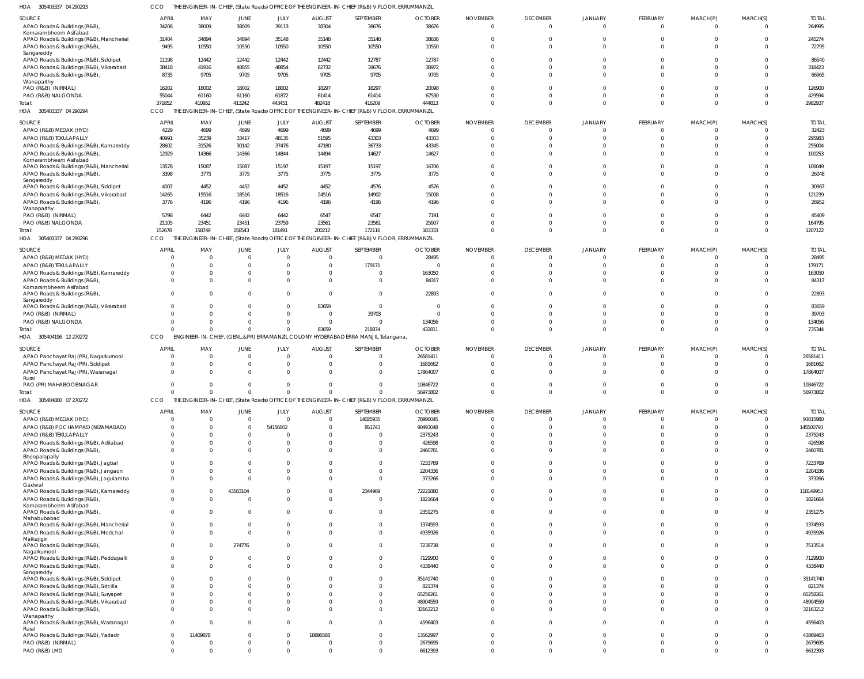305403337 04 290293 HOA CCO THE ENGINEER-IN-CHIEF, (State Roads) OFFICE OF THE ENGINEER-IN-CHIEF (R&B) V FLOOR, ERRUMMANZIL

| SOURCE<br>APAO Roads & Buildings (R&B),                                   | <b>APRIL</b><br>34208         | MAY<br>38009         | JUNE<br>38009               | JULY<br>39113               | <b>AUGUST</b><br>38304    | SEPTEMBER<br>38676                                                                              | <b>OCTOBER</b><br>38676 | <b>NOVEMBER</b><br>$\Omega$  | <b>DECEMBER</b><br>$\Omega$ | <b>JANUARY</b><br>$\Omega$ | FEBRUARY<br>$\mathbf 0$      | MARCH(P)<br>$\mathbf 0$       | MARCH(S)<br>$\Omega$ | <b>TOTAI</b><br>264995 |
|---------------------------------------------------------------------------|-------------------------------|----------------------|-----------------------------|-----------------------------|---------------------------|-------------------------------------------------------------------------------------------------|-------------------------|------------------------------|-----------------------------|----------------------------|------------------------------|-------------------------------|----------------------|------------------------|
| Komarambheem Asifabad<br>APAO Roads & Buildings (R&B), Mancherial         | 31404                         | 34894                | 34894                       | 35148                       | 35148                     | 35148                                                                                           | 38638                   |                              | $\Omega$                    |                            | $\Omega$                     | $\Omega$                      | $\Omega$             | 245274                 |
| APAO Roads & Buildings (R&B),<br>Sangareddy                               | 9495                          | 10550                | 10550                       | 10550                       | 10550                     | 10550                                                                                           | 10550                   |                              | $\Omega$                    | $\Omega$                   | $\Omega$                     | $\Omega$                      | $\Omega$             | 72795                  |
| APAO Roads & Buildings (R&B), Siddipet                                    | 11198                         | 12442                | 12442                       | 12442                       | 12442                     | 12787                                                                                           | 12787                   |                              |                             |                            | $\Omega$                     | $\Omega$                      | $\Omega$             | 86540                  |
| APAO Roads & Buildings (R&B), Vikarabad                                   | 38418                         | 41916                | 48855                       | 48854                       | 62732                     | 38676                                                                                           | 38972                   |                              |                             |                            | $\Omega$                     | $\Omega$                      | $\Omega$             | 318423                 |
| APAO Roads & Buildings (R&B),                                             | 8735                          | 9705                 | 9705                        | 9705                        | 9705                      | 9705                                                                                            | 9705                    |                              | $\Omega$                    | $\Omega$                   | $\Omega$                     | $\Omega$                      | $\Omega$             | 66965                  |
| Wanaparthy<br>PAO (R&B) (NIRMAL)                                          | 16202                         | 18002                | 18002                       | 18002                       | 18297                     | 18297                                                                                           | 20098                   |                              |                             |                            | $\Omega$                     | $\Omega$                      | $\Omega$             | 126900                 |
| PAO (R&B) NALGONDA                                                        | 55044                         | 61160                | 61160                       | 61872                       | 61414                     | 61414                                                                                           | 67530                   |                              |                             | $\Omega$                   | $\Omega$                     | $\Omega$                      | $\Omega$             | 429594                 |
| Total:                                                                    | 371852                        | 410952               | 413242                      | 443451                      | 482418                    | 416209                                                                                          | 444813                  |                              | $\Omega$                    | $\Omega$                   | $\Omega$                     | $\Omega$                      | $\Omega$             | 2982937                |
| HOA 305403337 04 290294                                                   | CCO                           | THE                  |                             |                             |                           | ENGINEER-IN-CHIEF, (State Roads) OFFICE OF THE ENGINEER-IN-CHIEF (R&B) V FLOOR, ERRUMMANZIL     |                         |                              |                             |                            |                              |                               |                      |                        |
| SOURCE                                                                    | <b>APRIL</b>                  | MAY                  | <b>JUNE</b>                 | JULY                        | <b>AUGUST</b>             | SEPTEMBER                                                                                       | <b>OCTOBER</b>          | <b>NOVEMBER</b>              | <b>DECEMBER</b>             | <b>JANUARY</b>             | FEBRUARY                     | MARCH(P)                      | MARCH(S)             | <b>TOTAI</b>           |
| APAO (R&B) MEDAK (HYD)                                                    | 4229                          | 4699                 | 4699                        | 4699                        | 4699                      | 4699                                                                                            | 4699                    | $\Omega$                     | $\Omega$                    | $\Omega$                   | $\Omega$                     | $\Omega$                      | $\Omega$             | 32423                  |
| APAO (R&B) TEKULAPALLY                                                    | 40991                         | 35239                | 33417                       | 48135                       | 51595                     | 43303                                                                                           | 43303                   |                              | $\Omega$                    | $\Omega$                   | $\mathbf 0$                  | $\mathbf 0$                   | $\Omega$             | 295983                 |
| APAO Roads & Buildings (R&B), Kamareddy                                   | 28602                         | 31526                | 30142                       | 37476                       | 47180                     | 36733                                                                                           | 43345                   |                              | $\Omega$                    | $\Omega$                   | $\Omega$                     | $\Omega$                      | $\Omega$             | 255004                 |
| APAO Roads & Buildings (R&B)                                              | 12929                         | 14366                | 14366                       | 14844                       | 14494                     | 14627                                                                                           | 14627                   |                              |                             |                            | $\Omega$                     | $\Omega$                      | $\Omega$             | 100253                 |
| Komarambheem Asifabad                                                     |                               |                      | 15087                       |                             |                           |                                                                                                 |                         |                              |                             |                            | $\Omega$                     | $\Omega$                      | $\Omega$             |                        |
| APAO Roads & Buildings (R&B), Mancherial<br>APAO Roads & Buildings (R&B), | 13578<br>3398                 | 15087<br>3775        | 3775                        | 15197<br>3775               | 15197<br>3775             | 15197<br>3775                                                                                   | 16706<br>3775           |                              | $\Omega$                    | $\Omega$                   | $\Omega$                     | $\Omega$                      | $\Omega$             | 106049<br>26048        |
| Sangareddy                                                                |                               |                      |                             |                             |                           |                                                                                                 |                         |                              |                             |                            |                              |                               |                      |                        |
| APAO Roads & Buildings (R&B), Siddipet                                    | 4007                          | 4452                 | 4452                        | 4452                        | 4452                      | 4576                                                                                            | 4576                    |                              |                             | $\Omega$                   | $\Omega$                     | $\Omega$                      | $\Omega$             | 30967                  |
| APAO Roads & Buildings (R&B), Vikarabad                                   | 14265                         | 15516                | 18516                       | 18516                       | 24516                     | 14902                                                                                           | 15008                   |                              | $\Omega$                    | $\Omega$                   | $\Omega$                     | $\Omega$                      | $\Omega$             | 121239                 |
| APAO Roads & Buildings (R&B)                                              | 3776                          | 4196                 | 4196                        | 4196                        | 4196                      | 4196                                                                                            | 4196                    |                              |                             | $\Omega$                   | $\Omega$                     | $\Omega$                      | $\Omega$             | 28952                  |
| Wanaparthy<br>PAO (R&B) (NIRMAL)                                          | 5798                          | 6442                 | 6442                        | 6442                        | 6547                      | 6547                                                                                            | 7191                    |                              |                             |                            | $\Omega$                     | $\Omega$                      | $\Omega$             | 45409                  |
| PAO (R&B) NALGONDA                                                        | 21105                         | 23451                | 23451                       | 23759                       | 23561                     | 23561                                                                                           | 25907                   |                              | $\Omega$                    | $\Omega$                   | $\Omega$                     | $\Omega$                      | $\Omega$             | 164795                 |
| Total:                                                                    | 152678                        | 158749               | 158543                      | 181491                      | 200212                    | 172116                                                                                          | 183333                  |                              | $\Omega$                    | $\Omega$                   | $\Omega$                     | $\Omega$                      | $\Omega$             | 1207122                |
| HOA 305403337 04 290296                                                   | CCO                           |                      |                             |                             |                           | THE ENGINEER-IN-CHIEF, (State Roads) OFFICE OF THE ENGINEER-IN-CHIEF (R&B) V FLOOR, ERRUMMANZIL |                         |                              |                             |                            |                              |                               |                      |                        |
|                                                                           |                               |                      |                             |                             |                           |                                                                                                 |                         |                              |                             |                            |                              |                               |                      |                        |
| SOURCE                                                                    | <b>APRIL</b>                  | MAY                  | <b>JUNE</b>                 | JULY<br>$\Omega$            | <b>AUGUST</b><br>$\Omega$ | SEPTEMBER<br>$\overline{0}$                                                                     | <b>OCTOBER</b><br>28495 | <b>NOVEMBER</b>              | <b>DECEMBER</b><br>$\Omega$ | <b>JANUARY</b><br>$\Omega$ | FEBRUARY                     | MARCH(P)                      | MARCH(S)<br>$\Omega$ | <b>TOTAI</b><br>28495  |
| APAO (R&B) MEDAK (HYD)<br>APAO (R&B) TEKULAPALLY                          | $\Omega$<br>$\Omega$          |                      | $\mathbf{0}$<br>$\Omega$    | $\Omega$                    |                           | 179171                                                                                          | - 0                     |                              | $\Omega$                    |                            | $\mathbf 0$<br>$\Omega$      | $\Omega$<br>$\Omega$          | $\Omega$             | 179171                 |
| APAO Roads & Buildings (R&B), Kamareddy                                   | $\Omega$                      |                      | $\Omega$                    | $\Omega$                    |                           | $\mathbf 0$                                                                                     | 163050                  |                              |                             |                            | $\Omega$                     | $\Omega$                      | $\Omega$             | 163050                 |
| APAO Roads & Buildings (R&B)                                              | $\Omega$                      |                      | $\Omega$                    | $\Omega$                    |                           | $\mathbf 0$                                                                                     | 84317                   |                              |                             | $\Omega$                   | $\Omega$                     | $\Omega$                      | $\Omega$             | 84317                  |
| Komarambheem Asifabad                                                     |                               |                      |                             |                             |                           |                                                                                                 |                         |                              |                             |                            |                              |                               |                      |                        |
| APAO Roads & Buildings (R&B),                                             | $\Omega$                      |                      | $\Omega$                    | $\Omega$                    |                           | $\mathbf 0$                                                                                     | 22893                   |                              |                             | $\Omega$                   | $\Omega$                     | $\Omega$                      | $\Omega$             | 22893                  |
| Sangareddy<br>APAO Roads & Buildings (R&B), Vikarabad                     | $\Omega$                      |                      | $\Omega$                    | $\mathbf 0$                 | 83659                     | $\mathbf 0$                                                                                     | - 0                     |                              |                             | $\Omega$                   | $\Omega$                     | $\Omega$                      | $\Omega$             | 83659                  |
| PAO (R&B) (NIRMAL)                                                        | $\Omega$                      |                      | $\Omega$                    | $\mathbf{0}$                | $\Omega$                  | 39703                                                                                           | $\Omega$                |                              | $\Omega$                    | $\Omega$                   | $\Omega$                     | $\Omega$                      | $\Omega$             | 39703                  |
| PAO (R&B) NALGONDA                                                        | $\Omega$                      |                      | $\Omega$                    | $\Omega$                    | $\Omega$                  | $\overline{0}$                                                                                  | 134056                  |                              | $\Omega$                    | $\Omega$                   | $\mathbf 0$                  | $\mathbf 0$                   | $\Omega$             | 134056                 |
| Total:                                                                    | $\Omega$                      |                      | $\Omega$                    | $\Omega$                    | 83659                     | 218874                                                                                          | 432811                  |                              | $\Omega$                    | $\Omega$                   | $\Omega$                     | $\mathbf 0$                   | $\Omega$             | 735344                 |
|                                                                           |                               |                      |                             |                             |                           |                                                                                                 |                         |                              |                             |                            |                              |                               |                      |                        |
| HOA 305404196 12 270272                                                   | CCO                           |                      |                             |                             |                           | ENGINEER-IN-CHIEF, (GENL.&PR) ERRAMANZIL COLONY HYDERABAD ERRA MANJIL Telangana,                |                         |                              |                             |                            |                              |                               |                      |                        |
|                                                                           |                               |                      |                             |                             |                           |                                                                                                 |                         |                              |                             |                            |                              |                               |                      |                        |
| SOURCE                                                                    | <b>APRIL</b>                  | MAY                  | <b>JUNE</b>                 | JULY                        | <b>AUGUST</b><br>$\Omega$ | SEPTEMBER                                                                                       | <b>OCTOBER</b>          | <b>NOVEMBER</b><br>$\bigcap$ | <b>DECEMBER</b>             | <b>JANUARY</b>             | FEBRUARY                     | MARCH(P)                      | MARCH(S)             | <b>TOTAL</b>           |
| APAO Panchayat Raj (PR), Nagarkurnool                                     | $\overline{0}$<br>$\Omega$    | $\Omega$<br>$\Omega$ | $\Omega$                    | $\mathbf{0}$                |                           | $\mathbf{0}$                                                                                    | 26581411                |                              | $\Omega$<br>$\Omega$        | $\Omega$<br>$\Omega$       | $\Omega$                     | $\Omega$<br>$\Omega$          | $\Omega$<br>$\Omega$ | 26581411               |
| APAO Panchayat Raj (PR), Siddipet<br>APAO Panchayat Raj (PR), Waranagal   | $\Omega$                      | $\Omega$             | $\mathbf{0}$<br>$\Omega$    | $\mathbf{0}$<br>$\Omega$    |                           | $\mathbf 0$<br>$\Omega$                                                                         | 1681662<br>17864007     |                              |                             |                            | $\mathbf 0$<br>$\Omega$      | $\Omega$                      | $\Omega$             | 1681662<br>17864007    |
| Rural                                                                     |                               |                      |                             |                             |                           |                                                                                                 |                         |                              |                             |                            |                              |                               |                      |                        |
| PAO (PR) MAHABOOBNAGAR                                                    | $\Omega$                      |                      | $\Omega$                    | $\Omega$                    | $\Omega$                  | $\Omega$                                                                                        | 10846722                |                              | $\Omega$                    | $\Omega$                   | $\Omega$                     | $\Omega$                      | $\Omega$             | 10846722               |
| Total:                                                                    | $\Omega$                      | $\cap$               | $\Omega$                    | $\Omega$                    | $\Omega$                  | $\Omega$                                                                                        | 56973802                |                              |                             |                            | $\Omega$                     | $\Omega$                      | $\overline{0}$       | 56973802               |
| HOA 305404800 07 270272                                                   | CCO                           |                      |                             |                             |                           | THE ENGINEER-IN-CHIEF, (State Roads) OFFICE OF THE ENGINEER-IN-CHIEF (R&B) V FLOOR, ERRUMMANZIL |                         |                              |                             |                            |                              |                               |                      |                        |
| SOURCE                                                                    | <b>APRIL</b>                  | MAY                  | JUNE                        | JULY                        | <b>AUGUST</b>             | SEPTEMBER                                                                                       | <b>OCTOBER</b>          | <b>NOVEMBER</b>              | <b>DECEMBER</b>             | <b>JANUARY</b>             | FEBRUARY                     | MARCH(P)                      | MARCH(S)             | <b>TOTAL</b>           |
| APAO (R&B) MEDAK (HYD)                                                    | 0                             | - 0                  | $\overline{0}$              | $\mathbf{0}$                | $\Omega$                  | 14025935                                                                                        | 78990045                |                              | $\mathbf 0$                 | $\overline{0}$             | $\overline{0}$               | $\mathbf 0$                   | $\overline{0}$       | 93015980               |
| APAO (R&B) POCHAMPAD (NIZAMABAD)                                          | $\Omega$                      |                      | $\overline{0}$              | 54156002                    |                           | 851743                                                                                          | 90493048                |                              | $\Omega$                    | $\Omega$                   | $\mathbf 0$                  | $\Omega$                      | $\Omega$             | 145500793              |
| APAO (R&B) TEKULAPALLY                                                    | $\Omega$                      |                      | $\Omega$                    | $\Omega$                    |                           | $\mathbf{0}$                                                                                    | 2375243                 |                              | $\Omega$                    | $\Omega$                   | $\mathbf 0$                  | $\Omega$                      | $\Omega$             | 2375243                |
| APAO Roads & Buildings (R&B), Adilabad                                    | $^{\circ}$                    |                      | $\Omega$                    | $\Omega$                    |                           | $\mathbf 0$                                                                                     | 426598                  |                              | <sup>0</sup>                | $\Omega$                   | $\Omega$                     | $\Omega$                      | $\Omega$             | 426598                 |
| APAO Roads & Buildings (R&B),<br>Bhoopalapally                            | $\Omega$                      |                      | $\Omega$                    | $\Omega$                    |                           | $\mathbf{0}$                                                                                    | 2460781                 |                              | $\Omega$                    | $\Omega$                   | $\mathbf 0$                  | $\mathbf 0$                   | $\Omega$             | 2460781                |
| APAO Roads & Buildings (R&B), Jagtial                                     | $\mathbf{0}$                  |                      | $\Omega$                    | $\Omega$                    |                           | $\mathbf{0}$                                                                                    | 7233769                 |                              | $\Omega$                    | $\Omega$                   | $\mathbf 0$                  | $\Omega$                      | $\Omega$             | 7233769                |
| APAO Roads & Buildings (R&B), Jangaon                                     | $\mathbf{0}$                  |                      | $\Omega$                    | $\Omega$                    |                           | $\mathbf 0$                                                                                     | 2204336                 |                              | $\Omega$                    | $\Omega$                   | $\Omega$                     | $\Omega$                      | $\Omega$             | 2204336                |
| APAO Roads & Buildings (R&B), Jogulamba                                   | $\mathbf 0$                   |                      | $\Omega$                    | $\Omega$                    |                           | $\mathbf 0$                                                                                     | 373266                  |                              | $\Omega$                    | $\Omega$                   | $\Omega$                     | $\Omega$                      | $\Omega$             | 373266                 |
| Gadwal                                                                    |                               |                      |                             | $\Omega$                    |                           |                                                                                                 |                         |                              | $\Omega$                    | $\Omega$                   | $\Omega$                     | $\Omega$                      | $\Omega$             |                        |
| APAO Roads & Buildings (R&B), Kamareddy                                   | $\overline{0}$<br>$\mathbf 0$ |                      | 43583104<br>$\overline{0}$  | $\mathbf{0}$                |                           | 2344969<br>$\mathbf 0$                                                                          | 72221880                |                              | $\Omega$                    | $\Omega$                   | $\mathbf 0$                  | $\Omega$                      | $\Omega$             | 118149953              |
| APAO Roads & Buildings (R&B)<br>Komarambheem Asifabad                     |                               |                      |                             |                             |                           |                                                                                                 | 1821664                 |                              |                             |                            |                              |                               |                      | 1821664                |
| APAO Roads & Buildings (R&B),                                             | $\overline{0}$                |                      | $\mathbf{0}$                | $\mathbf 0$                 |                           | $\mathbf{0}$                                                                                    | 2351275                 | $\Omega$                     | $\Omega$                    | $\Omega$                   | $\mathbf{0}$                 | $\Omega$                      | $\Omega$             | 2351275                |
| Mahabubabad                                                               |                               |                      |                             |                             |                           |                                                                                                 |                         |                              |                             |                            |                              |                               |                      |                        |
| APAO Roads & Buildings (R&B), Mancherial                                  | $\mathbf{0}$<br>$\Omega$      |                      | $\mathbf{0}$<br>$\Omega$    | $\mathbf 0$<br>$\Omega$     |                           | $\mathbf 0$                                                                                     | 1374593                 |                              | $\Omega$<br>$\Omega$        | $\Omega$<br>$\Omega$       | $\mathbf{0}$<br>$\Omega$     | $\mathbf 0$<br>$\Omega$       | $\Omega$<br>$\Omega$ | 1374593                |
| APAO Roads & Buildings (R&B), Medchal<br>Malkajigiri                      |                               |                      |                             |                             |                           | $\mathbf 0$                                                                                     | 4935926                 |                              |                             |                            |                              |                               |                      | 4935926                |
| APAO Roads & Buildings (R&B),                                             | $\mathbf 0$                   |                      | 274776                      | $\Omega$                    |                           | $\mathbf 0$                                                                                     | 7238738                 |                              | $\Omega$                    | $\Omega$                   | $\overline{0}$               | $\Omega$                      | $\Omega$             | 7513514                |
| Nagarkurnool                                                              |                               |                      | $\Omega$                    |                             |                           |                                                                                                 |                         |                              | $\Omega$                    | $\Omega$                   | $\Omega$                     | $\Omega$                      | $\Omega$             |                        |
| APAO Roads & Buildings (R&B), Peddapalli                                  | $\mathbf{0}$<br>$\mathbf 0$   |                      | $\Omega$                    | $\mathbf 0$<br>$\Omega$     |                           | $\mathbf{0}$<br>$\mathbf 0$                                                                     | 7129900                 |                              | $\Omega$                    | $\Omega$                   | $\mathbf 0$                  | $\Omega$                      | $\Omega$             | 7129900                |
| APAO Roads & Buildings (R&B),<br>Sangareddy                               |                               |                      |                             |                             |                           |                                                                                                 | 4338440                 |                              |                             |                            |                              |                               |                      | 4338440                |
| APAO Roads & Buildings (R&B), Siddipet                                    | $\Omega$                      |                      | <sup>0</sup>                | $\Omega$                    |                           | $\Omega$                                                                                        | 35141740                |                              | $\Omega$                    | $\Omega$                   | $\Omega$                     | $\Omega$                      | $\cap$               | 35141740               |
| APAO Roads & Buildings (R&B), Siricilla                                   | $\mathbf{0}$                  |                      | $\Omega$                    | $\Omega$                    |                           | $\mathbf 0$                                                                                     | 821374                  |                              |                             | $\Omega$                   | $\Omega$                     | $\Omega$                      | $\Omega$             | 821374                 |
| APAO Roads & Buildings (R&B), Suryapet                                    | $\Omega$                      |                      |                             | $\Omega$                    |                           | $\Omega$                                                                                        | 65258261                |                              |                             | $\Omega$                   | $\Omega$                     | $\Omega$                      | $\cap$               | 65258261               |
| APAO Roads & Buildings (R&B), Vikarabad                                   | $\mathbf{0}$                  |                      | $\Omega$                    | $\Omega$                    |                           | $\mathbf 0$                                                                                     | 48904559                |                              | $\Omega$                    | $\Omega$                   | $\Omega$                     | $\Omega$                      | $\Omega$             | 48904559               |
| APAO Roads & Buildings (R&B),                                             | $\mathbf 0$                   |                      | $\Omega$                    | $\Omega$                    |                           | $\mathbf 0$                                                                                     | 32163212                |                              |                             | $\Omega$                   | $\mathbf 0$                  | $\Omega$                      | $\Omega$             | 32163212               |
| Wanaparthy<br>APAO Roads & Buildings (R&B), Waranagal                     | $\mathbf 0$                   |                      | $\Omega$                    | $\mathbf{0}$                |                           | $\mathbf{0}$                                                                                    | 4596403                 |                              | $\Omega$                    | $\Omega$                   | $\Omega$                     | $\Omega$                      | $\cap$               | 4596403                |
| Rural                                                                     |                               |                      |                             |                             |                           |                                                                                                 |                         |                              |                             |                            |                              |                               |                      |                        |
| APAO Roads & Buildings (R&B), Yadadri                                     | $\overline{0}$                | 11409878             | $\Omega$                    | $\mathbf{0}$                | 18896588                  | $\mathbf{0}$                                                                                    | 13562997                |                              | $\Omega$                    | $\Omega$                   | $\overline{0}$               | $\Omega$                      | $\Omega$             | 43869463               |
| PAO (R&B) (NIRMAL)<br>PAO (R&B) LMD                                       | 0<br>$\mathbf 0$              |                      | $\mathbf{0}$<br>$\mathbf 0$ | $\mathbf{0}$<br>$\mathbf 0$ |                           | $\mathbf{0}$<br>$\mathbf 0$                                                                     | 2679695<br>6612393      | $\Omega$                     | $\mathbf 0$<br>$\Omega$     | $\overline{0}$<br>$\Omega$ | $\mathbf{0}$<br>$\mathbf{0}$ | $\mathbf 0$<br>$\overline{0}$ | $\Omega$<br>$\Omega$ | 2679695<br>6612393     |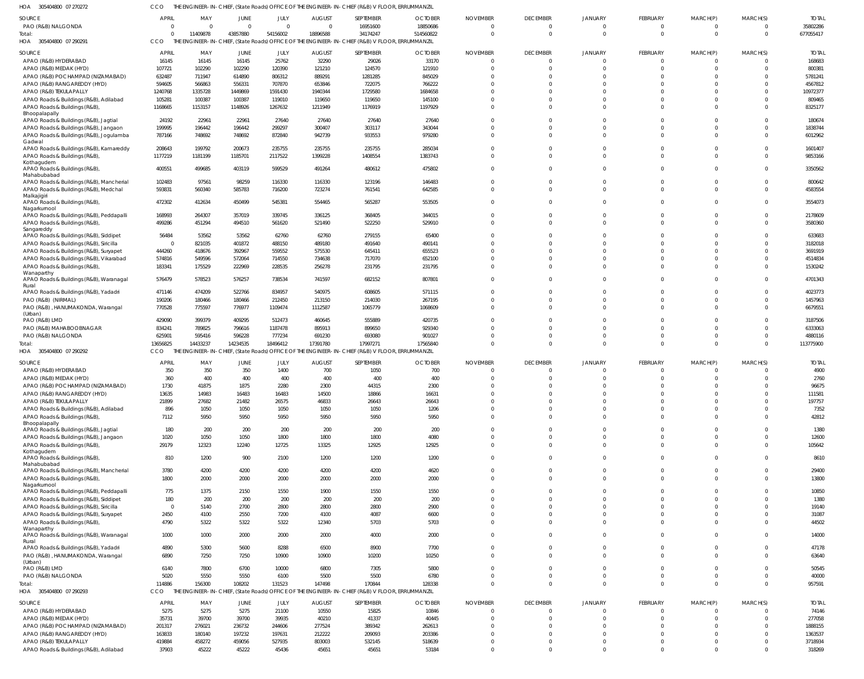305404800 07 270272 HOA CCO THE ENGINEER-IN-CHIEF, (State Roads) OFFICE OF THE ENGINEER-IN-CHIEF (R&B) V FLOOR, ERRUMMANZIL

| SOURCE                                                                            | APRIL                   | MAY               | JUNE              | JULY              | <b>AUGUST</b>          | SEPTEMBER                                                                                       | <b>OCTOBER</b>          | <b>NOVEMBER</b> | <b>DECEMBER</b>      | <b>JANUARY</b>       | FEBRUARY                | MARCH(P)                | MARCH(S)                   | <b>TOTAL</b>           |
|-----------------------------------------------------------------------------------|-------------------------|-------------------|-------------------|-------------------|------------------------|-------------------------------------------------------------------------------------------------|-------------------------|-----------------|----------------------|----------------------|-------------------------|-------------------------|----------------------------|------------------------|
| PAO (R&B) NALGONDA                                                                | $\overline{0}$          | $\overline{0}$    | $\Omega$          | $\overline{0}$    | $\Omega$               | 16951600                                                                                        | 18850686                |                 | $\mathbf 0$          | $\Omega$             | $\mathbf{0}$            | 0                       | $\overline{0}$             | 35802286               |
| Total:                                                                            | $\Omega$<br>CCO         | 11409878          | 43857880          | 54156002          | 18896588               | 34174247                                                                                        | 514560822               |                 | $\mathbf 0$          | $\Omega$             | $\mathbf 0$             | $\mathbf 0$             | $\overline{0}$             | 677055417              |
| HOA 305404800 07 290291                                                           |                         |                   |                   |                   |                        | THE ENGINEER-IN-CHIEF, (State Roads) OFFICE OF THE ENGINEER-IN-CHIEF (R&B) V FLOOR, ERRUMMANZIL |                         |                 |                      |                      |                         |                         |                            |                        |
| <b>SOURCE</b><br>APAO (R&B) HYDERABAD                                             | <b>APRIL</b><br>16145   | MAY<br>16145      | JUNE<br>16145     | JULY<br>25762     | <b>AUGUST</b><br>32290 | SEPTEMBER<br>29026                                                                              | <b>OCTOBER</b><br>33170 | <b>NOVEMBER</b> | <b>DECEMBER</b><br>0 | <b>JANUARY</b>       | FEBRUARY<br>$\Omega$    | MARCH(P)<br>$\Omega$    | MARCH(S)<br>- 0            | <b>TOTAL</b><br>168683 |
| APAO (R&B) MEDAK (HYD)                                                            | 107721                  | 102290            | 102290            | 120390            | 121210                 | 124570                                                                                          | 121910                  |                 | $\Omega$             |                      | $\Omega$                | $\Omega$                | $\Omega$                   | 800381                 |
| APAO (R&B) POCHAMPAD (NIZAMABAD)                                                  | 632487                  | 711947            | 614890            | 806312            | 889291                 | 1281285                                                                                         | 845029                  |                 |                      |                      | $\Omega$                |                         | $\Omega$                   | 5781241                |
| APAO (R&B) RANGAREDDY (HYD)                                                       | 594605                  | 566863            | 556331            | 707870            | 653846                 | 722075                                                                                          | 766222                  |                 |                      |                      | $\Omega$                | $\Omega$                | $\Omega$                   | 4567812                |
| APAO (R&B) TEKULAPALLY                                                            | 1240768                 | 1335728           | 1449869           | 1591430           | 1940344                | 1729580                                                                                         | 1684658                 |                 |                      |                      | $\Omega$                | $\Omega$                | $\Omega$                   | 10972377               |
| APAO Roads & Buildings (R&B), Adilabad<br>APAO Roads & Buildings (R&B)            | 105281<br>1168665       | 100387<br>1153157 | 100387<br>1148926 | 119010<br>1267632 | 119650<br>1211949      | 119650<br>1176919                                                                               | 145100<br>1197929       |                 |                      |                      | $\Omega$<br>$\Omega$    | $\Omega$<br>$\Omega$    | $\Omega$<br>$\Omega$       | 809465<br>8325177      |
| Bhoopalapally                                                                     |                         |                   |                   |                   |                        |                                                                                                 |                         |                 |                      |                      |                         |                         |                            |                        |
| APAO Roads & Buildings (R&B), Jagtial                                             | 24192                   | 22961             | 22961             | 27640             | 27640                  | 27640                                                                                           | 27640                   |                 | <sup>0</sup>         | $\Omega$             | $\Omega$                | $\Omega$                | $\Omega$                   | 180674                 |
| APAO Roads & Buildings (R&B), Jangaon                                             | 199995                  | 196442            | 196442            | 299297            | 300407                 | 303117                                                                                          | 343044                  |                 |                      | $\Omega$             | $\Omega$<br>$\Omega$    | $\Omega$<br>$\Omega$    | $\Omega$<br>$\Omega$       | 1838744                |
| APAO Roads & Buildings (R&B), Jogulamba<br>Gadwal                                 | 787166                  | 748692            | 748692            | 872840            | 942739                 | 933553                                                                                          | 979280                  |                 |                      |                      |                         |                         |                            | 6012962                |
| APAO Roads & Buildings (R&B), Kamareddy                                           | 208643                  | 199792            | 200673            | 235755            | 235755                 | 235755                                                                                          | 285034                  |                 |                      | $\Omega$             | $\Omega$                | $\Omega$                | $\Omega$                   | 1601407                |
| APAO Roads & Buildings (R&B)<br>Kothagudem                                        | 1177219                 | 1181199           | 1185701           | 2117522           | 1399228                | 1408554                                                                                         | 1383743                 |                 | $\Omega$             | $\Omega$             | $\Omega$                | $\Omega$                | $\Omega$                   | 9853166                |
| APAO Roads & Buildings (R&B)                                                      | 400551                  | 499685            | 403119            | 599529            | 491264                 | 480612                                                                                          | 475802                  |                 | $\Omega$             | $\Omega$             | $\Omega$                | $\Omega$                | $\Omega$                   | 3350562                |
| Mahabubabad                                                                       |                         |                   |                   |                   |                        |                                                                                                 |                         |                 |                      |                      | $\Omega$                | $\Omega$                |                            |                        |
| APAO Roads & Buildings (R&B), Mancherial<br>APAO Roads & Buildings (R&B), Medchal | 102483<br>593831        | 97561<br>560340   | 98259<br>585783   | 116330<br>716200  | 116330<br>723274       | 123196<br>761541                                                                                | 146483<br>642585        |                 | 0<br>$\Omega$        | $\Omega$             | $\Omega$                | $\Omega$                | $\overline{0}$<br>$\Omega$ | 800642<br>4583554      |
| Malkajigiri                                                                       |                         |                   |                   |                   |                        |                                                                                                 |                         |                 |                      |                      |                         |                         |                            |                        |
| APAO Roads & Buildings (R&B),                                                     | 472302                  | 412634            | 450499            | 545381            | 554465                 | 565287                                                                                          | 553505                  |                 | $\Omega$             | $\Omega$             | $\Omega$                | $\Omega$                | $\Omega$                   | 3554073                |
| Nagarkurnool<br>APAO Roads & Buildings (R&B), Peddapalli                          | 168993                  | 264307            | 357019            | 339745            | 336125                 | 368405                                                                                          | 344015                  |                 | $\Omega$             | $\Omega$             | $\Omega$                | $\Omega$                | $\mathbf 0$                | 2178609                |
| APAO Roads & Buildings (R&B)                                                      | 499286                  | 451294            | 494510            | 561620            | 521490                 | 522250                                                                                          | 529910                  |                 | $\Omega$             | $\Omega$             | $\Omega$                | $\Omega$                | $\Omega$                   | 3580360                |
| Sangareddy<br>APAO Roads & Buildings (R&B), Siddipet                              | 56484                   | 53562             | 53562             | 62760             | 62760                  | 279155                                                                                          | 65400                   |                 |                      |                      | $\Omega$                | $\Omega$                | $\Omega$                   | 633683                 |
| APAO Roads & Buildings (R&B), Siricilla                                           | - 0                     | 821035            | 401872            | 488150            | 489180                 | 491640                                                                                          | 490141                  |                 |                      |                      | $\Omega$                | $\Omega$                | $\Omega$                   | 3182018                |
| APAO Roads & Buildings (R&B), Suryapet                                            | 444260                  | 418676            | 392967            | 559552            | 575530                 | 645411                                                                                          | 655523                  |                 |                      |                      | $\Omega$                | $\Omega$                | $\Omega$                   | 3691919                |
| APAO Roads & Buildings (R&B), Vikarabad                                           | 574816                  | 549596            | 572064            | 714550            | 734638                 | 717070                                                                                          | 652100                  |                 |                      |                      | $\Omega$                | $\Omega$                | $\Omega$                   | 4514834                |
| APAO Roads & Buildings (R&B)                                                      | 183341                  | 175529            | 222969            | 228535            | 256278                 | 231795                                                                                          | 231795                  |                 |                      |                      | $\Omega$                | $\Omega$                | $\Omega$                   | 1530242                |
| Wanaparthy<br>APAO Roads & Buildings (R&B), Waranagal                             | 576479                  | 578523            | 576257            | 738534            | 741597                 | 682152                                                                                          | 807801                  |                 | $\Omega$             |                      | $\Omega$                | $\Omega$                | $\Omega$                   | 4701343                |
| Rural                                                                             |                         |                   |                   |                   |                        |                                                                                                 |                         |                 |                      |                      |                         |                         |                            |                        |
| APAO Roads & Buildings (R&B), Yadadri<br>PAO (R&B) (NIRMAL)                       | 471146<br>190206        | 474209<br>180466  | 522766<br>180466  | 834957<br>212450  | 540975<br>213150       | 608605<br>214030                                                                                | 571115<br>267195        |                 | <sup>0</sup>         | $\Omega$             | $\Omega$<br>$\Omega$    | $\Omega$<br>$\Omega$    | $\Omega$<br>$\Omega$       | 4023773<br>1457963     |
| PAO (R&B), HANUMAKONDA, Warangal                                                  | 770528                  | 775597            | 776977            | 1109474           | 1112587                | 1065779                                                                                         | 1068609                 |                 |                      |                      | $\Omega$                | $\Omega$                | $\Omega$                   | 6679551                |
| (Urban)                                                                           |                         |                   |                   |                   |                        |                                                                                                 |                         |                 |                      |                      |                         |                         |                            |                        |
| PAO (R&B) LMD                                                                     | 429090                  | 399379            | 409295            | 512473            | 460645                 | 555889                                                                                          | 420735                  |                 |                      |                      | $\Omega$                | $\Omega$                | $\Omega$                   | 3187506                |
| PAO (R&B) MAHABOOBNAGAR<br>PAO (R&B) NALGONDA                                     | 834241<br>625901        | 789825<br>595416  | 796616<br>596228  | 1187478<br>777234 | 895913<br>691230       | 899650<br>693080                                                                                | 929340<br>901027        |                 | <sup>0</sup>         | $\Omega$             | $\Omega$<br>$\Omega$    | $\Omega$<br>$\Omega$    | $\Omega$<br>$\Omega$       | 6333063<br>4880116     |
| Total:                                                                            | 13656825                | 14433237          | 14234535          | 18496412          | 17391780               | 17997271                                                                                        | 17565840                |                 |                      | $\Omega$             | $\Omega$                | $\Omega$                | $\Omega$                   | 113775900              |
| HOA 305404800 07 290292                                                           | CCO                     |                   |                   |                   |                        | THE ENGINEER-IN-CHIEF, (State Roads) OFFICE OF THE ENGINEER-IN-CHIEF (R&B) V FLOOR, ERRUMMANZIL |                         |                 |                      |                      |                         |                         |                            |                        |
| SOURCE                                                                            | <b>APRIL</b>            | MAY               | JUNE              | JULY              | <b>AUGUST</b>          | SEPTEMBER                                                                                       | <b>OCTOBER</b>          | <b>NOVEMBER</b> | <b>DECEMBER</b>      | JANUARY              | FEBRUARY                | MARCH(P)                | MARCH(S)                   | <b>TOTAL</b>           |
| APAO (R&B) HYDERABAD                                                              | 350                     | 350               | 350               | 1400              | 700                    | 1050                                                                                            | 700                     |                 |                      |                      | $\Omega$                | $\Omega$                | $\Omega$                   | 4900                   |
| APAO (R&B) MEDAK (HYD)                                                            | 360                     | 400               | 400               | 400               | 400                    | 400                                                                                             | 400                     |                 | 0                    |                      | $\Omega$                | $\Omega$                | $\Omega$                   | 2760                   |
| APAO (R&B) POCHAMPAD (NIZAMABAD)                                                  | 1730                    | 41875             | 1875<br>16483     | 2280              | 2300                   | 44315<br>10064                                                                                  | 2300                    |                 |                      |                      | $\Omega$                |                         | $\Omega$                   | 96675                  |
| APAO (R&B) RANGAREDDY (HYD)<br>APAO (R&B) TEKULAPALLY                             | 13635<br>21899          | 14983<br>27682    | 21482             | 16483<br>26575    | 14500<br>46833         | 26643                                                                                           | 16631<br>26643          |                 |                      |                      | $\mathbf 0$             | $\Omega$                | $\Omega$                   | 111581<br>197757       |
| APAO Roads & Buildings (R&B), Adilabad                                            | 896                     | 1050              | 1050              | 1050              | 1050                   | 1050                                                                                            | 1206                    |                 | $\Omega$             | $\Omega$             | $\mathbf 0$             | $\Omega$                | $\Omega$                   | 7352                   |
| APAO Roads & Buildings (R&B),                                                     | 7112                    | 5950              | 5950              | 5950              | 5950                   | 5950                                                                                            | 5950                    |                 | $\Omega$             | $\Omega$             | $\Omega$                | $\Omega$                | $\Omega$                   | 42812                  |
| Bhoopalapally<br>APAO Roads & Buildings (R&B), Jagtial                            | 180                     | 200               | 200               | 200               | 200                    | 200                                                                                             | 200                     |                 |                      | $\Omega$             | $\Omega$                | $\Omega$                | $\Omega$                   | 1380                   |
| APAO Roads & Buildings (R&B), Jangaon                                             | 1020                    | 1050              | 1050              | 1800              | 1800                   | 1800                                                                                            | 4080                    |                 | $\Omega$             | $\Omega$             | $\Omega$                | $\Omega$                | $\Omega$                   | 12600                  |
| APAO Roads & Buildings (R&B),                                                     | 29179                   | 12323             | 12240             | 12725             | 13325                  | 12925                                                                                           | 12925                   |                 | $\Omega$             | $\Omega$             | $\Omega$                | $\Omega$                | $\Omega$                   | 105642                 |
| Kothagudem                                                                        | 810                     | 1200              | 900               | 2100              | 1200                   | 1200                                                                                            | 1200                    |                 |                      | $\Omega$             | $\Omega$                | $\Omega$                | $\Omega$                   | 8610                   |
| APAO Roads & Buildings (R&B),<br>Mahabubabad                                      |                         |                   |                   |                   |                        |                                                                                                 |                         |                 |                      |                      |                         |                         |                            |                        |
| APAO Roads & Buildings (R&B), Mancherial                                          | 3780                    | 4200              | 4200              | 4200              | 4200                   | 4200                                                                                            | 4620                    |                 | $\Omega$             | $\Omega$             | $\Omega$                | $\Omega$                | $\Omega$                   | 29400                  |
| APAO Roads & Buildings (R&B)<br>Nagarkurnool                                      | 1800                    | 2000              | 2000              | 2000              | 2000                   | 2000                                                                                            | 2000                    |                 | $\Omega$             | $\Omega$             | $\Omega$                | $\Omega$                | $\Omega$                   | 13800                  |
| APAO Roads & Buildings (R&B), Peddapalli                                          | 775                     | 1375              | 2150              | 1550              | 1900                   | 1550                                                                                            | 1550                    |                 |                      | $\Omega$             | $\Omega$                | $\Omega$                | $\Omega$                   | 10850                  |
| APAO Roads & Buildings (R&B), Siddipet                                            | 180                     | 200               | 200               | 200               | 200                    | 200                                                                                             | 200                     |                 |                      | $\Omega$             | $\Omega$                | $\Omega$                | $\Omega$                   | 1380                   |
| APAO Roads & Buildings (R&B), Siricilla                                           | $\overline{\mathbf{0}}$ | 5140              | 2700              | 2800              | 2800                   | 2800                                                                                            | 2900                    |                 | $\Omega$             | $\Omega$             | $\Omega$                | $\Omega$                | $\Omega$                   | 19140                  |
| APAO Roads & Buildings (R&B), Suryapet<br>APAO Roads & Buildings (R&B),           | 2450<br>4790            | 4100<br>5322      | 2550              | 7200              | 4100<br>12340          | 4087<br>5703                                                                                    | 6600<br>5703            |                 |                      | $\Omega$<br>$\Omega$ | $\Omega$<br>$\Omega$    | $\Omega$<br>$\Omega$    | $\Omega$<br>$\Omega$       | 31087<br>44502         |
| Wanaparthy                                                                        |                         |                   | 5322              | 5322              |                        |                                                                                                 |                         |                 |                      |                      |                         |                         |                            |                        |
| APAO Roads & Buildings (R&B), Waranagal                                           | 1000                    | 1000              | 2000              | 2000              | 2000                   | 4000                                                                                            | 2000                    |                 | $\Omega$             | $\Omega$             | $\Omega$                | $\Omega$                | $\Omega$                   | 14000                  |
| Rural<br>APAO Roads & Buildings (R&B), Yadadri                                    | 4890                    | 5300              | 5600              | 8288              | 6500                   | 8900                                                                                            | 7700                    |                 | $\Omega$             | $\Omega$             | $\Omega$                | $\Omega$                | $\Omega$                   | 47178                  |
| PAO (R&B), HANUMAKONDA, Warangal                                                  | 6890                    | 7250              | 7250              | 10900             | 10900                  | 10200                                                                                           | 10250                   |                 | $\Omega$             | $\Omega$             | $\Omega$                | $\Omega$                | $\Omega$                   | 63640                  |
| (Urban)                                                                           |                         |                   |                   |                   |                        |                                                                                                 |                         |                 |                      |                      |                         |                         |                            |                        |
| PAO (R&B) LMD<br>PAO (R&B) NALGONDA                                               | 6140<br>5020            | 7800<br>5550      | 6700<br>5550      | 10000<br>6100     | 6800<br>5500           | 7305<br>5500                                                                                    | 5800<br>6780            |                 | $\Omega$<br>$\Omega$ | $\Omega$<br>$\Omega$ | $\Omega$<br>$\mathbf 0$ | $\Omega$<br>$\mathbf 0$ | $\Omega$<br>$\Omega$       | 50545<br>40000         |
| Total:                                                                            | 114886                  | 156300            | 108202            | 131523            | 147498                 | 170844                                                                                          | 128338                  |                 | $\Omega$             | $\Omega$             | $\Omega$                | $\Omega$                | $\Omega$                   | 957591                 |
| HOA 305404800 07 290293                                                           | CCO                     |                   |                   |                   |                        | THE ENGINEER-IN-CHIEF, (State Roads) OFFICE OF THE ENGINEER-IN-CHIEF (R&B) V FLOOR, ERRUMMANZIL |                         |                 |                      |                      |                         |                         |                            |                        |
| SOURCE                                                                            | APRIL                   | MAY               | JUNE              | JULY              | <b>AUGUST</b>          | SEPTEMBER                                                                                       | <b>OCTOBER</b>          | <b>NOVEMBER</b> | <b>DECEMBER</b>      | <b>JANUARY</b>       | FEBRUARY                | MARCH(P)                | MARCH(S)                   | <b>TOTAL</b>           |
| APAO (R&B) HYDERABAD                                                              | 5275                    | 5275              | 5275              | 21100             | 10550                  | 15825                                                                                           | 10846                   |                 | $\Omega$             | $\Omega$             | $\Omega$                | $\Omega$                | $\Omega$                   | 74146                  |
|                                                                                   |                         |                   |                   |                   |                        |                                                                                                 |                         |                 |                      |                      |                         | $\Omega$                |                            | 277058                 |
| APAO (R&B) MEDAK (HYD)                                                            | 35731                   | 39700             | 39700             | 39935             | 40210                  | 41337                                                                                           | 40445                   |                 |                      | $\Omega$             | $\Omega$                |                         | $\Omega$                   |                        |
| APAO (R&B) POCHAMPAD (NIZAMABAD)                                                  | 201317                  | 276021            | 236732            | 244606            | 277524                 | 389342                                                                                          | 262613                  |                 |                      | $\Omega$             | $\Omega$                | $\Omega$                |                            | 1888155                |
| APAO (R&B) RANGAREDDY (HYD)                                                       | 163833                  | 180140            | 197232            | 197631            | 212222                 | 209093                                                                                          | 203386                  |                 |                      | $\Omega$             | $\Omega$                | $\Omega$                | $\Omega$                   | 1363537                |
| APAO (R&B) TEKULAPALLY<br>APAO Roads & Buildings (R&B), Adilabad                  | 419884<br>37903         | 458272<br>45222   | 459056<br>45222   | 527935<br>45436   | 803003<br>45651        | 532145<br>45651                                                                                 | 518639<br>53184         |                 | $\Omega$<br>$\Omega$ | $\Omega$<br>$\Omega$ | $\Omega$<br>$\Omega$    | $\Omega$<br>$\Omega$    | $\Omega$<br>$\Omega$       | 3718934<br>318269      |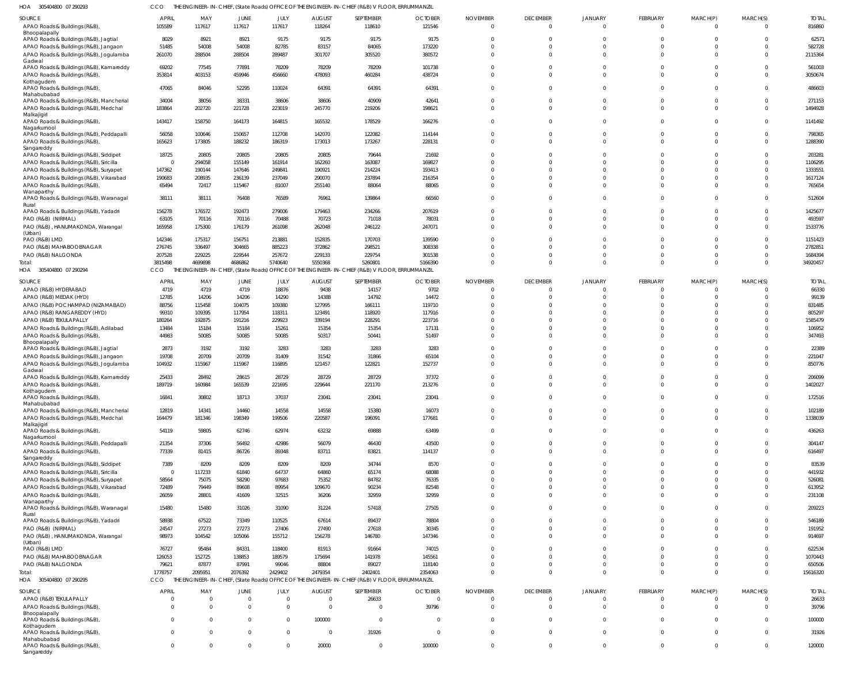305404800 07 290293 HOA CCO THE ENGINEER-IN-CHIEF, (State Roads) OFFICE OF THE ENGINEER-IN-CHIEF (R&B) V FLOOR, ERRUMMANZIL

| <b>SOURCE</b>                                                                          | <b>APRIL</b>            | MAY             | JUNE             | JULY            | <b>AUGUST</b>    | SEPTEMBER                                                                                       | <b>OCTOBER</b>  | <b>NOVEMBER</b>         | <b>DECEMBER</b>      | <b>JANUARY</b>       | <b>FEBRUARY</b>            | MARCH(P)                   | MARCH(S)             | <b>TOTAL</b>      |
|----------------------------------------------------------------------------------------|-------------------------|-----------------|------------------|-----------------|------------------|-------------------------------------------------------------------------------------------------|-----------------|-------------------------|----------------------|----------------------|----------------------------|----------------------------|----------------------|-------------------|
| APAO Roads & Buildings (R&B),                                                          | 105589                  | 117617          | 117617           | 117617          | 118264           | 118610                                                                                          | 121546          | $\Omega$                | $\overline{0}$       | $\Omega$             | $\overline{0}$             | $\overline{0}$             | $\Omega$             | 816860            |
| Bhoopalapally                                                                          |                         |                 |                  |                 |                  |                                                                                                 |                 |                         |                      |                      |                            |                            |                      |                   |
| APAO Roads & Buildings (R&B), Jagtial                                                  | 8029<br>51485           | 8921<br>54008   | 8921<br>54008    | 9175<br>82785   | 9175<br>83157    | 9175<br>84065                                                                                   | 9175<br>173220  | $\Omega$<br>$\Omega$    | $\Omega$<br>$\Omega$ | $\Omega$             | $\Omega$<br>$\Omega$       | $\Omega$<br>$\Omega$       | $\Omega$<br>$\Omega$ | 62571<br>582728   |
| APAO Roads & Buildings (R&B), Jangaon<br>APAO Roads & Buildings (R&B), Jogulamba       | 261070                  | 288504          | 288504           | 289487          | 301707           | 305520                                                                                          | 380572          | $\Omega$                | $\Omega$             | $\Omega$             | $\Omega$                   | $\Omega$                   | $\Omega$             | 2115364           |
| Gadwal                                                                                 |                         |                 |                  |                 |                  |                                                                                                 |                 |                         |                      |                      |                            |                            |                      |                   |
| APAO Roads & Buildings (R&B), Kamareddy                                                | 69202                   | 77545           | 77891            | 78209           | 78209            | 78209                                                                                           | 101738          | $\Omega$                | $\Omega$             | $\Omega$             | $\Omega$                   | $\Omega$                   | $\Omega$             | 561003            |
| APAO Roads & Buildings (R&B),<br>Kothagudem                                            | 353814                  | 403153          | 459946           | 456660          | 478093           | 460284                                                                                          | 438724          | $\Omega$                | $\Omega$             | $\Omega$             | $\Omega$                   | $\Omega$                   | $\Omega$             | 3050674           |
| APAO Roads & Buildings (R&B),<br>Mahabubabad                                           | 47065                   | 84046           | 52295            | 110024          | 64391            | 64391                                                                                           | 64391           | $\Omega$                | $\Omega$             | $\Omega$             | $\overline{0}$             | $\Omega$                   | $\Omega$             | 486603            |
| APAO Roads & Buildings (R&B), Mancherial                                               | 34004                   | 38056           | 38331            | 38606           | 38606            | 40909                                                                                           | 42641           | $\Omega$                | $\Omega$             | $\Omega$             | $\Omega$                   | $\Omega$                   | $\Omega$             | 271153            |
| APAO Roads & Buildings (R&B), Medchal                                                  | 183864                  | 202720          | 221728           | 223019          | 245770           | 219206                                                                                          | 198621          | $\Omega$                | $\Omega$             | $\Omega$             | $\Omega$                   | $\Omega$                   | $\Omega$             | 1494928           |
| Malkajigiri<br>APAO Roads & Buildings (R&B),<br>Nagarkurnool                           | 143417                  | 158750          | 164173           | 164815          | 165532           | 178529                                                                                          | 166276          | $\Omega$                | $\Omega$             | $\Omega$             | $\Omega$                   | $\Omega$                   | $\Omega$             | 1141492           |
| APAO Roads & Buildings (R&B), Peddapalli                                               | 56058                   | 100646          | 150657           | 112708          | 142070           | 122082                                                                                          | 114144          | $\Omega$                | $\Omega$             | $\Omega$             | $\overline{0}$             | $\Omega$                   | $\Omega$             | 798365            |
| APAO Roads & Buildings (R&B),<br>Sangareddy                                            | 165623                  | 173805          | 188232           | 186319          | 173013           | 173267                                                                                          | 228131          | $\Omega$                | $\Omega$             | $\Omega$             | $\Omega$                   | $\Omega$                   | $\Omega$             | 1288390           |
| APAO Roads & Buildings (R&B), Siddipet                                                 | 18725                   | 20805           | 20805            | 20805           | 20805            | 79644                                                                                           | 21692           | 0                       | $\Omega$             |                      | $\Omega$                   | $\Omega$                   | $\Omega$             | 203281            |
| APAO Roads & Buildings (R&B), Siricilla                                                | $\Omega$                | 294058          | 155149           | 161914          | 162260           | 163087                                                                                          | 169827          | $\Omega$                | $\Omega$             | $\Omega$             | $\Omega$                   | $\Omega$                   | $\Omega$             | 1106295           |
| APAO Roads & Buildings (R&B), Suryapet                                                 | 147362                  | 190144          | 147646           | 249841          | 190921           | 214224                                                                                          | 193413          | $\Omega$                | $\Omega$             | $\Omega$             | $\Omega$                   | $\Omega$                   | $\Omega$             | 1333551           |
| APAO Roads & Buildings (R&B), Vikarabad                                                | 190683<br>65494         | 208935<br>72417 | 236139<br>115467 | 237049<br>81007 | 290070<br>255140 | 237894<br>88064                                                                                 | 216354<br>88065 | $\Omega$<br>$\Omega$    | $\Omega$<br>$\Omega$ | $\Omega$<br>$\Omega$ | $\Omega$<br>$\Omega$       | $\Omega$<br>$\Omega$       | $\Omega$             | 1617124<br>765654 |
| APAO Roads & Buildings (R&B),<br>Wanaparthy<br>APAO Roads & Buildings (R&B), Waranagal | 38111                   | 38111           | 76408            | 76589           | 76961            | 139864                                                                                          | 66560           | $\Omega$                | $\Omega$             | $\Omega$             | $\Omega$                   | $\Omega$                   | $\Omega$             | 512604            |
| Rural                                                                                  |                         |                 |                  |                 |                  |                                                                                                 |                 |                         |                      |                      |                            |                            |                      |                   |
| APAO Roads & Buildings (R&B), Yadadri                                                  | 156278                  | 176572          | 192473           | 279006          | 179463           | 234266                                                                                          | 207619          | 0                       | $\Omega$             | $\Omega$             | $\overline{0}$             | $\Omega$                   | $\Omega$             | 1425677           |
| PAO (R&B) (NIRMAL)                                                                     | 63105                   | 70116           | 70116            | 70488           | 70723            | 71018                                                                                           | 78031           | $\Omega$                | $\Omega$             | $\Omega$             | $\Omega$                   | $\Omega$                   | $\Omega$             | 493597            |
| PAO (R&B), HANUMAKONDA, Warangal<br>(Urban)                                            | 165958                  | 175300          | 176179           | 261098          | 262048           | 246122                                                                                          | 247071          | $\Omega$                | $\Omega$             | $\Omega$             | $\overline{0}$             | $\Omega$                   | $\Omega$             | 1533776           |
| PAO (R&B) LMD                                                                          | 142346                  | 175317          | 156751           | 213881          | 152835           | 170703                                                                                          | 139590          | $\Omega$                | $\Omega$             | $\Omega$             | $\Omega$                   | $\Omega$                   | $\Omega$             | 1151423           |
| PAO (R&B) MAHABOOBNAGAR                                                                | 276745                  | 336497          | 304665           | 885223          | 372862           | 298521                                                                                          | 308338          | $\Omega$                | $\Omega$             | $\Omega$             | $\Omega$                   | $\Omega$                   | $\Omega$             | 2782851           |
| PAO (R&B) NALGONDA                                                                     | 207528                  | 229225          | 229544           | 257672          | 229133           | 229754                                                                                          | 301538          | $\Omega$                | $\Omega$             | $\Omega$             | $\overline{0}$             | $\Omega$                   | $\Omega$             | 1684394           |
| Total:                                                                                 | 3815498                 | 4699898         | 4686862          | 5740640         | 5550368          | 5260801                                                                                         | 5166390         | $\Omega$                | $\Omega$             | $\Omega$             | $\Omega$                   | $\Omega$                   | $\Omega$             | 34920457          |
| HOA 305404800 07 290294                                                                | CCO                     |                 |                  |                 |                  | THE ENGINEER-IN-CHIEF, (State Roads) OFFICE OF THE ENGINEER-IN-CHIEF (R&B) V FLOOR, ERRUMMANZIL |                 |                         |                      |                      |                            |                            |                      |                   |
| SOURCE                                                                                 | <b>APRIL</b>            | MAY             | JUNE             | JULY            | <b>AUGUST</b>    | SEPTEMBER                                                                                       | <b>OCTOBER</b>  | <b>NOVEMBER</b>         | <b>DECEMBER</b>      | <b>JANUARY</b>       | FEBRUARY                   | MARCH(P)                   | MARCH(S)             | <b>TOTAL</b>      |
| APAO (R&B) HYDERABAD                                                                   | 4719                    | 4719            | 4719             | 18876           | 9438             | 14157                                                                                           | 9702            | $\overline{0}$          | $\Omega$             |                      | $\overline{0}$             | - 0                        | $\Omega$             | 66330             |
| APAO (R&B) MEDAK (HYD)                                                                 | 12785                   | 14206           | 14206            | 14290           | 14388            | 14792                                                                                           | 14472           | $\Omega$                | $\Omega$             | $\cap$               | $\Omega$                   | $\Omega$                   | $\Omega$             | 99139             |
| APAO (R&B) POCHAMPAD (NIZAMABAD)                                                       | 88756                   | 115458          | 104075           | 109380          | 127995           | 166111                                                                                          | 119710          | $\Omega$                | $\Omega$             | $\Omega$             | $\Omega$                   | $\Omega$                   | $\Omega$             | 831485            |
| APAO (R&B) RANGAREDDY (HYD)                                                            | 99310                   | 109395          | 117954           | 118311          | 123491           | 118920                                                                                          | 117916          | $\Omega$                | $\Omega$             | $\Omega$             | $\Omega$                   | $\Omega$                   | $\Omega$             | 805297            |
| APAO (R&B) TEKULAPALLY                                                                 | 180264                  | 192875          | 191216           | 229923          | 339194           | 228291                                                                                          | 223716          | $\Omega$                | $\Omega$             | $\Omega$             | $\Omega$                   | $\Omega$                   | $\Omega$             | 1585479           |
| APAO Roads & Buildings (R&B), Adilabad<br>APAO Roads & Buildings (R&B),                | 13484<br>44983          | 15184<br>50085  | 15184<br>50085   | 15261<br>50085  | 15354<br>50317   | 15354<br>50441                                                                                  | 17131<br>51497  | $\Omega$<br>$\Omega$    | $\Omega$<br>$\Omega$ | $\Omega$<br>$\Omega$ | $\Omega$<br>$\Omega$       | $\Omega$<br>$\Omega$       | $\Omega$<br>$\Omega$ | 106952<br>347493  |
| Bhoopalapally                                                                          |                         |                 |                  |                 |                  |                                                                                                 |                 |                         |                      |                      |                            |                            |                      |                   |
| APAO Roads & Buildings (R&B), Jagtial                                                  | 2873                    | 3192            | 3192             | 3283            | 3283             | 3283                                                                                            | 3283            | $\Omega$                | $\Omega$             | $\Omega$             | $\Omega$                   | $\Omega$                   | $\Omega$             | 22389             |
| APAO Roads & Buildings (R&B), Jangaon                                                  | 19708                   | 20709           | 20709            | 31409           | 31542            | 31866                                                                                           | 65104           | $\Omega$                | $\Omega$             | $\Omega$             | $\Omega$                   | $\Omega$                   | $\Omega$             | 221047            |
| APAO Roads & Buildings (R&B), Jogulamba                                                | 104932                  | 115967          | 115967           | 116895          | 121457           | 122821                                                                                          | 152737          | $\Omega$                | $\Omega$             | $\Omega$             | $\Omega$                   | $\Omega$                   | $\Omega$             | 850776            |
| Gadwal<br>APAO Roads & Buildings (R&B), Kamareddy                                      | 25433                   | 28492           | 28615            | 28729           | 28729            | 28729                                                                                           | 37372           | $\Omega$                | $\Omega$             | $\Omega$             | $\overline{0}$             | $\Omega$                   | $\Omega$             | 206099            |
| APAO Roads & Buildings (R&B),                                                          | 189719                  | 160984          | 165539           | 221695          | 229644           | 221170                                                                                          | 213276          | $\Omega$                | $\Omega$             | $\Omega$             | $\overline{0}$             | $\Omega$                   | $\Omega$             | 1402027           |
| Kothagudem                                                                             |                         |                 |                  |                 |                  |                                                                                                 |                 |                         |                      |                      |                            |                            |                      |                   |
| APAO Roads & Buildings (R&B),                                                          | 16841                   | 30802           | 18713            | 37037           | 23041            | 23041                                                                                           | 23041           |                         |                      |                      |                            |                            |                      | 172516            |
| Mahabubabad<br>APAO Roads & Buildings (R&B), Mancherial                                | 12819                   | 14341           | 14460            | 14558           | 14558            | 15380                                                                                           | 16073           | $\mathbf{0}$            | $\Omega$             | $\Omega$             | $\overline{0}$             | $\Omega$                   | $\Omega$             | 102189            |
| APAO Roads & Buildings (R&B), Medchal                                                  | 164479                  | 181346          | 198349           | 199506          | 220587           | 196091                                                                                          | 177681          | $\Omega$                | $\Omega$             | $\Omega$             | $\Omega$                   | $\Omega$                   | $\Omega$             | 1338039           |
| Malkajigiri                                                                            |                         |                 |                  |                 |                  |                                                                                                 |                 |                         |                      |                      |                            |                            |                      |                   |
| APAO Roads & Buildings (R&B),<br>Nagarkurnool                                          | 54119                   | 59805           | 62746            | 62974           | 63232            | 69888                                                                                           | 63499           | $\mathbf 0$             | $\Omega$             | $\Omega$             | $\overline{0}$             | $\Omega$                   | $\Omega$             | 436263            |
| APAO Roads & Buildings (R&B), Peddapalli                                               | 21354                   | 37306           | 56492            | 42986           | 56079            | 46430                                                                                           | 43500           | $\Omega$                | $\Omega$             | $\Omega$             | $\overline{0}$             | $\overline{0}$             | $\Omega$             | 304147            |
| APAO Roads & Buildings (R&B),                                                          | 77339                   | 81415           | 86726            | 89348           | 83711            | 83821                                                                                           | 114137          | $\mathbf{0}$            | $\Omega$             | $\Omega$             | $\overline{0}$             | $\overline{0}$             | $\Omega$             | 616497            |
| Sangareddy                                                                             |                         |                 |                  |                 |                  |                                                                                                 |                 |                         |                      |                      |                            |                            |                      |                   |
| APAO Roads & Buildings (R&B), Siddipet                                                 | 7389                    | 8209            | 8209             | 8209            | 8209             | 34744                                                                                           | 8570            | $\mathbf{0}$            | $\Omega$<br>$\Omega$ | $\Omega$<br>$\Omega$ | $\overline{0}$<br>$\Omega$ | $\Omega$<br>$\Omega$       | $\Omega$<br>$\Omega$ | 83539             |
| APAO Roads & Buildings (R&B), Siricilla<br>APAO Roads & Buildings (R&B), Suryapet      | $\overline{0}$<br>58564 | 117233<br>75075 | 61840<br>58290   | 64737<br>97683  | 64860<br>75352   | 65174<br>84782                                                                                  | 68088<br>76335  | $\Omega$<br>$\Omega$    | $\Omega$             | $\Omega$             | $\Omega$                   | $\Omega$                   | $\Omega$             | 441932<br>526081  |
| APAO Roads & Buildings (R&B), Vikarabad                                                | 72489                   | 79449           | 89608            | 89954           | 109670           | 90234                                                                                           | 82548           | $\Omega$                | $\Omega$             | $\Omega$             | $\Omega$                   | $\Omega$                   | $\Omega$             | 613952            |
| APAO Roads & Buildings (R&B),                                                          | 26059                   | 28801           | 41609            | 32515           | 36206            | 32959                                                                                           | 32959           | $\Omega$                | $\Omega$             | $\Omega$             | $\Omega$                   | $\Omega$                   | $\Omega$             | 231108            |
| Wanaparthy<br>APAO Roads & Buildings (R&B), Waranagal                                  | 15480                   | 15480           | 31026            | 31090           | 31224            | 57418                                                                                           | 27505           | $\mathbf 0$             | $\Omega$             | $\Omega$             | $\overline{0}$             | $\Omega$                   | $\Omega$             | 209223            |
| Rural                                                                                  |                         |                 |                  |                 |                  |                                                                                                 |                 |                         |                      |                      |                            |                            |                      |                   |
| APAO Roads & Buildings (R&B), Yadadri                                                  | 58938                   | 67522           | 73349            | 110525          | 67614            | 89437                                                                                           | 78804           | $\mathbf{0}$            | $\Omega$             | $\Omega$             | $\overline{0}$             | $\overline{0}$             | $\Omega$             | 546189            |
| PAO (R&B) (NIRMAL)                                                                     | 24547                   | 27273           | 27273            | 27406           | 27490            | 27618                                                                                           | 30345           | $\mathbf 0$<br>$\Omega$ | $\Omega$<br>$\Omega$ | $\Omega$<br>$\Omega$ | $\overline{0}$<br>$\Omega$ | $\overline{0}$<br>$\Omega$ | $\Omega$<br>$\Omega$ | 191952            |
| PAO (R&B), HANUMAKONDA, Warangal<br>(Urban)                                            | 98973                   | 104542          | 105066           | 155712          | 156278           | 146780                                                                                          | 147346          |                         |                      |                      |                            |                            |                      | 914697            |
| PAO (R&B) LMD                                                                          | 76727                   | 95484           | 84331            | 118400          | 81913            | 91664                                                                                           | 74015           | $\Omega$                | $\Omega$             | $\Omega$             | $\Omega$                   | $\Omega$                   | $\Omega$             | 622534            |
| PAO (R&B) MAHABOOBNAGAR                                                                | 126053                  | 152725          | 138853           | 189579          | 175694           | 141978                                                                                          | 145561          | $\Omega$                | $\Omega$             | $\Omega$             | $\Omega$                   | $\Omega$                   | $\Omega$             | 1070443           |
| PAO (R&B) NALGONDA                                                                     | 79621                   | 87877           | 87991            | 99046           | 88804            | 89027                                                                                           | 118140          | $\mathbf{0}$            | $\Omega$             | $\Omega$             | $\overline{0}$             | $\overline{0}$             | $\Omega$             | 650506            |
| Total:                                                                                 | 1778757                 | 2095951         | 2076392          | 2429402         | 2479354          | 2402401                                                                                         | 2354063         | $\Omega$                | $\Omega$             | $\Omega$             | $\Omega$                   | $\overline{0}$             | $\Omega$             | 15616320          |
| HOA 305404800 07 290295                                                                | CCO                     |                 |                  |                 |                  | THE ENGINEER-IN-CHIEF, (State Roads) OFFICE OF THE ENGINEER-IN-CHIEF (R&B) V FLOOR, ERRUMMANZIL |                 |                         |                      |                      |                            |                            |                      |                   |
| SOURCE                                                                                 | <b>APRIL</b>            | MAY             | JUNE             | JULY            | <b>AUGUST</b>    | SEPTEMBER                                                                                       | <b>OCTOBER</b>  | <b>NOVEMBER</b>         | <b>DECEMBER</b>      | <b>JANUARY</b>       | <b>FEBRUARY</b>            | MARCH(P)                   | MARCH(S)             | <b>TOTAL</b>      |
| APAO (R&B) TEKULAPALLY                                                                 | $\overline{0}$          | $\overline{0}$  | $\overline{0}$   | $\Omega$        | $\overline{0}$   | 26633                                                                                           | $\overline{0}$  | $\Omega$                | $\Omega$             | $\Omega$             | $^{\circ}$                 | $\Omega$                   | $\Omega$             | 26633             |
| APAO Roads & Buildings (R&B),                                                          | $\Omega$                | $\Omega$        | $\Omega$         | $\Omega$        | $\overline{0}$   | $\Omega$                                                                                        | 39796           | $\Omega$                | $\Omega$             | $\Omega$             | $\overline{0}$             | $\overline{0}$             | $\Omega$             | 39796             |
| Bhoopalapally<br>APAO Roads & Buildings (R&B),                                         | $\Omega$                | $\Omega$        | $\Omega$         | $\Omega$        | 100000           | $\Omega$                                                                                        | $\overline{0}$  | $\Omega$                | $\Omega$             | $\Omega$             | $\overline{0}$             | $\Omega$                   | $\Omega$             | 100000            |
| Kothagudem                                                                             |                         |                 |                  |                 |                  |                                                                                                 |                 |                         |                      |                      |                            |                            |                      |                   |
| APAO Roads & Buildings (R&B),                                                          | $\Omega$                | $\Omega$        | $\overline{0}$   | $\Omega$        | $\overline{0}$   | 31926                                                                                           | $\mathbf{0}$    | $\Omega$                | $\Omega$             | $\Omega$             | $\Omega$                   | $\Omega$                   | $\Omega$             | 31926             |
| Mahabubabad<br>APAO Roads & Buildings (R&B),                                           | $\mathbf{0}$            | $\mathbf{0}$    | $\mathbf 0$      | $\Omega$        | 20000            | $\mathbf{0}$                                                                                    | 100000          | $\mathbf 0$             | $\overline{0}$       | $\overline{0}$       | $\overline{0}$             | $\overline{0}$             | $\mathbf 0$          | 120000            |
| Sangareddy                                                                             |                         |                 |                  |                 |                  |                                                                                                 |                 |                         |                      |                      |                            |                            |                      |                   |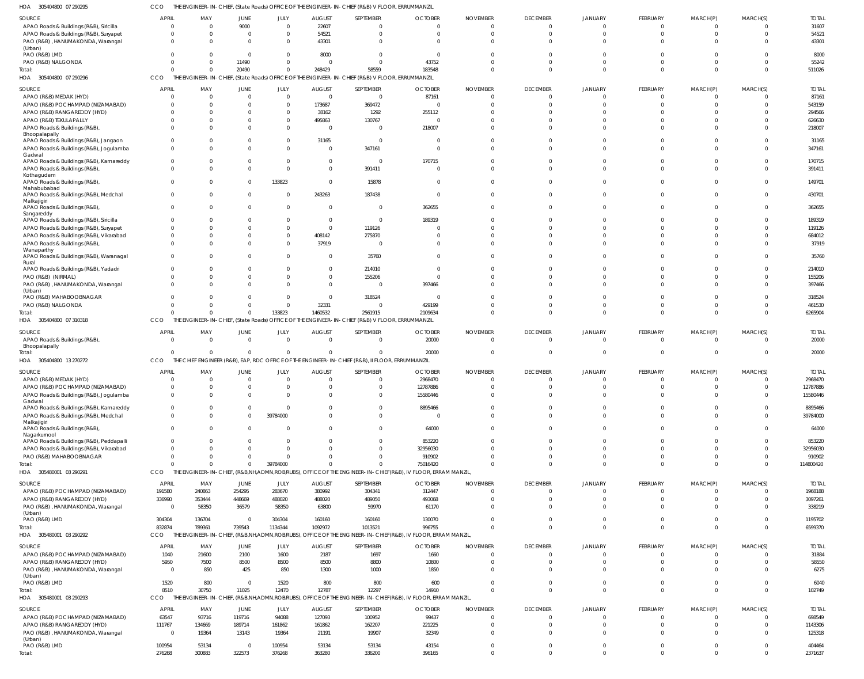305404800 07 290295 HOA CCO THE ENGINEER-IN-CHIEF, (State Roads) OFFICE OF THE ENGINEER-IN-CHIEF (R&B) V FLOOR, ERRUMMANZIL

|                                                                    |                                |                 |                          |                  |                                                                      | SEPTEMBER                                                                                       | <b>OCTOBER</b>                                                                                              |                             | <b>DECEMBER</b>            | <b>JANUARY</b>                   |                         |                            |                                  |                       |
|--------------------------------------------------------------------|--------------------------------|-----------------|--------------------------|------------------|----------------------------------------------------------------------|-------------------------------------------------------------------------------------------------|-------------------------------------------------------------------------------------------------------------|-----------------------------|----------------------------|----------------------------------|-------------------------|----------------------------|----------------------------------|-----------------------|
| SOURCE<br>APAO Roads & Buildings (R&B), Siricilla                  | <b>APRIL</b><br>$\overline{0}$ | MAY<br>$\Omega$ | <b>JUNE</b><br>9000      | JULY<br>$\Omega$ | <b>AUGUST</b><br>22607                                               | $\Omega$                                                                                        |                                                                                                             | <b>NOVEMBER</b><br>$\Omega$ | $\overline{0}$             | $\Omega$                         | FEBRUARY<br>$\Omega$    | MARCH(P)<br>$^{\circ}$     | MARCH(S)<br>$\Omega$             | <b>TOTAL</b><br>31607 |
| APAO Roads & Buildings (R&B), Suryapet                             | $\Omega$                       | $\Omega$        | $\overline{0}$           | $\Omega$         | 54521                                                                | $\Omega$                                                                                        | $\Omega$                                                                                                    | $\Omega$                    | $\overline{0}$             | $\Omega$                         | $\Omega$                | $\mathbf 0$                | $\Omega$                         | 54521                 |
| PAO (R&B), HANUMAKONDA, Warangal                                   | $\Omega$                       | $\Omega$        | $\Omega$                 | $\Omega$         | 43301                                                                | $\Omega$                                                                                        |                                                                                                             |                             | $\Omega$                   | $\Omega$                         | $\Omega$                | $\Omega$                   |                                  | 43301                 |
| (Urban)                                                            |                                |                 |                          |                  |                                                                      |                                                                                                 |                                                                                                             |                             |                            |                                  |                         |                            |                                  |                       |
| PAO (R&B) LMD                                                      | $\Omega$                       | 0               | $\mathbf{0}$             | $\Omega$         | 8000                                                                 | $\Omega$                                                                                        |                                                                                                             |                             | $\Omega$                   | $\Omega$                         |                         | $\Omega$                   | $\Omega$                         | 8000                  |
| PAO (R&B) NALGONDA                                                 | $\Omega$                       | $\Omega$        | 11490                    | $\Omega$         | $\Omega$                                                             | $\Omega$                                                                                        | 43752                                                                                                       |                             | C                          | $\Omega$                         | $\Omega$                | $\Omega$                   | $\Omega$                         | 55242                 |
| Total                                                              | $\Omega$                       | $\Omega$        | 20490                    | $\Omega$         | 248429                                                               | 58559                                                                                           | 183548                                                                                                      | $\Omega$                    | $\Omega$                   | $\Omega$                         | $\Omega$                | $\Omega$                   | $\Omega$                         | 511026                |
| HOA 305404800 07 290296                                            | CCO                            |                 |                          |                  |                                                                      | THE ENGINEER-IN-CHIEF, (State Roads) OFFICE OF THE ENGINEER-IN-CHIEF (R&B) V FLOOR, ERRUMMANZIL |                                                                                                             |                             |                            |                                  |                         |                            |                                  |                       |
|                                                                    |                                |                 |                          |                  |                                                                      |                                                                                                 |                                                                                                             |                             |                            |                                  |                         |                            |                                  |                       |
| <b>SOURCE</b>                                                      | <b>APRIL</b>                   | MAY             | JUNE                     | JULY             | <b>AUGUST</b>                                                        | SEPTEMBER                                                                                       | <b>OCTOBER</b>                                                                                              | <b>NOVEMBER</b>             | <b>DECEMBER</b>            | <b>JANUARY</b>                   | FEBRUARY                | MARCH(P)                   | MARCH(S)                         | <b>TOTAL</b>          |
| APAO (R&B) MEDAK (HYD)                                             | $\Omega$                       | 0               | $\overline{0}$           | $\Omega$         | $\overline{0}$                                                       | $\overline{0}$                                                                                  | 87161                                                                                                       | $\Omega$                    | 0                          | $\Omega$                         | $\cup$                  | $^{\circ}$                 | $\Omega$                         | 87161                 |
| APAO (R&B) POCHAMPAD (NIZAMABAD)                                   | $\Omega$                       | $\Omega$        | $\Omega$                 | $\Omega$         | 173687                                                               | 369472                                                                                          |                                                                                                             |                             | C                          | $\Omega$                         | $\Omega$                | $\Omega$                   | $\Omega$                         | 543159                |
| APAO (R&B) RANGAREDDY (HYD)                                        | $\Omega$                       | $\Omega$        | $\Omega$                 | $\Omega$         | 38162                                                                | 1292                                                                                            | 255112                                                                                                      |                             | C                          | $\Omega$                         |                         | $\Omega$                   |                                  | 294566                |
| APAO (R&B) TEKULAPALLY                                             |                                | $\Omega$        | $\Omega$                 | $\Omega$         | 495863                                                               | 130767                                                                                          |                                                                                                             |                             | C                          | $\Omega$                         |                         | $\Omega$                   |                                  | 626630                |
| APAO Roads & Buildings (R&B),                                      | $\Omega$                       | $\Omega$        | $\Omega$                 | $\Omega$         | $\Omega$                                                             | $\Omega$                                                                                        | 218007                                                                                                      |                             | $\Omega$                   | $\Omega$                         |                         | $\Omega$                   |                                  | 218007                |
| Bhoopalapally                                                      |                                |                 |                          |                  |                                                                      |                                                                                                 |                                                                                                             |                             |                            |                                  |                         |                            |                                  |                       |
| APAO Roads & Buildings (R&B), Jangaon                              | $\Omega$                       | 0               | $\Omega$                 | $\Omega$         | 31165                                                                | $\Omega$                                                                                        |                                                                                                             |                             | $\Omega$                   | $\Omega$                         |                         | $\Omega$                   | $\Omega$                         | 31165                 |
| APAO Roads & Buildings (R&B), Jogulamba                            | $\Omega$                       | $\Omega$        | $\Omega$                 | $\Omega$         | $\Omega$                                                             | 347161                                                                                          |                                                                                                             |                             | $\Omega$                   | $\Omega$                         |                         | $\Omega$                   | $\Omega$                         | 347161                |
| Gadwal<br>APAO Roads & Buildings (R&B), Kamareddy                  | $\Omega$                       | 0               | $\Omega$                 |                  | $\Omega$                                                             | - 0                                                                                             | 170715                                                                                                      |                             | C                          | $\Omega$                         |                         | $\Omega$                   | $\Omega$                         | 170715                |
| APAO Roads & Buildings (R&B),                                      | $\Omega$                       | $\Omega$        | $\Omega$                 | $\Omega$         | $\Omega$                                                             | 391411                                                                                          |                                                                                                             | $\Omega$                    | $\Omega$                   | $\Omega$                         | $\Omega$                | $\Omega$                   | $\Omega$                         | 391411                |
| Kothagudem                                                         |                                |                 |                          |                  |                                                                      |                                                                                                 |                                                                                                             |                             |                            |                                  |                         |                            |                                  |                       |
| APAO Roads & Buildings (R&B),                                      | $\Omega$                       | $\Omega$        | $\Omega$                 | 133823           | $\Omega$                                                             | 15878                                                                                           |                                                                                                             |                             | $\Omega$                   | $\Omega$                         | $\Omega$                | $\Omega$                   | $\Omega$                         | 149701                |
| Mahabubabad                                                        |                                |                 |                          |                  |                                                                      |                                                                                                 |                                                                                                             |                             |                            |                                  |                         |                            |                                  |                       |
| APAO Roads & Buildings (R&B), Medchal                              | $\Omega$                       | $\Omega$        | $\mathbf 0$              | $\Omega$         | 243263                                                               | 187438                                                                                          | $\Omega$                                                                                                    | $\Omega$                    | $\Omega$                   | $\Omega$                         | $\Omega$                | $\Omega$                   | $\Omega$                         | 430701                |
| Malkajigiri                                                        |                                |                 |                          |                  |                                                                      |                                                                                                 |                                                                                                             |                             |                            |                                  |                         |                            |                                  |                       |
| APAO Roads & Buildings (R&B),                                      | $\Omega$                       | $\Omega$        | $\Omega$                 | $\Omega$         | $\Omega$                                                             | $\Omega$                                                                                        | 362655                                                                                                      | $\Omega$                    | $\Omega$                   | $\Omega$                         | $\Omega$                | $\Omega$                   | $\Omega$                         | 362655                |
| Sangareddy<br>APAO Roads & Buildings (R&B), Siricilla              |                                | 0               | $\Omega$                 | $\Omega$         | $\Omega$                                                             | $\Omega$                                                                                        | 189319                                                                                                      |                             | $\Omega$                   | $\Omega$                         |                         | $\Omega$                   |                                  | 189319                |
| APAO Roads & Buildings (R&B), Suryapet                             | $\Omega$                       | $\Omega$        | $\Omega$                 | $\Omega$         | $\Omega$                                                             | 119126                                                                                          |                                                                                                             |                             | C                          | $\Omega$                         | $\Omega$                | $\Omega$                   | $\Omega$                         | 119126                |
| APAO Roads & Buildings (R&B), Vikarabad                            | $\Omega$                       | $\Omega$        | $\Omega$                 | $\Omega$         | 408142                                                               | 275870                                                                                          |                                                                                                             |                             | C                          | $\Omega$                         |                         | $\Omega$                   |                                  | 684012                |
| APAO Roads & Buildings (R&B),                                      | $\Omega$                       | $\Omega$        | $\Omega$                 | $\Omega$         | 37919                                                                | $\Omega$                                                                                        |                                                                                                             |                             | $\Omega$                   | $\Omega$                         | $\Omega$                | $\Omega$                   | $\Omega$                         | 37919                 |
| Wanaparthy                                                         |                                |                 |                          |                  |                                                                      |                                                                                                 |                                                                                                             |                             |                            |                                  |                         |                            |                                  |                       |
| APAO Roads & Buildings (R&B), Waranagal                            | $\Omega$                       | <sup>0</sup>    | $\Omega$                 |                  | $\Omega$                                                             | 35760                                                                                           |                                                                                                             |                             | $\Omega$                   | $\Omega$                         |                         | $\Omega$                   |                                  | 35760                 |
| Rural                                                              |                                |                 |                          |                  |                                                                      |                                                                                                 |                                                                                                             |                             |                            |                                  |                         |                            |                                  |                       |
| APAO Roads & Buildings (R&B), Yadadri                              | $\Omega$                       | $\Omega$        | $\mathbf 0$              | $\Omega$         | $\mathbf 0$                                                          | 214010                                                                                          | $\Omega$                                                                                                    |                             | $\Omega$                   | $\Omega$                         | $\Omega$                | $\mathbf 0$                | $\Omega$                         | 214010                |
| PAO (R&B) (NIRMAL)                                                 | $\Omega$                       | $\Omega$        | $\Omega$                 | $\Omega$         | $\Omega$                                                             | 155206                                                                                          |                                                                                                             | $\Omega$                    | $\Omega$                   | $\Omega$                         | $\Omega$                | $\mathbf{0}$               | $\Omega$                         | 155206                |
| PAO (R&B), HANUMAKONDA, Warangal                                   | $\Omega$                       | $\Omega$        | $\Omega$                 | $\Omega$         | $\Omega$                                                             | - 0                                                                                             | 397466                                                                                                      | $\Omega$                    | $\Omega$                   | $\Omega$                         | $\Omega$                | $\Omega$                   | $\Omega$                         | 397466                |
| (Urban)                                                            |                                |                 |                          |                  |                                                                      |                                                                                                 |                                                                                                             |                             |                            |                                  |                         |                            |                                  |                       |
| PAO (R&B) MAHABOOBNAGAR                                            | $\Omega$                       |                 | $\Omega$                 | $\Omega$         | $\mathbf 0$                                                          | 318524                                                                                          |                                                                                                             |                             | $\Omega$                   | $\Omega$                         |                         | $\Omega$                   | $\Omega$                         | 318524                |
| PAO (R&B) NALGONDA                                                 | $\Omega$                       | $\Omega$        | $\mathbf 0$              | $\Omega$         | 32331                                                                | $\Omega$                                                                                        | 429199                                                                                                      | $\Omega$                    | $\Omega$                   | $\Omega$                         | $\Omega$                | $\mathbf 0$                | $\Omega$                         | 461530                |
| Total                                                              | $\Omega$                       | $\Omega$        | $\mathbf{0}$             | 133823           | 1460532                                                              | 2561915                                                                                         | 2109634                                                                                                     | $\Omega$                    | $\Omega$                   | $\Omega$                         | $\Omega$                | $\mathbf 0$                | $\Omega$                         | 6265904               |
| HOA<br>305404800 07 310318                                         | CCO                            |                 |                          |                  | THE ENGINEER-IN-CHIEF, (State Roads) OFFICE OF THE ENGINEER-IN-CHIEF |                                                                                                 | (R&B) V FLOOR, ERRUMMANZIL                                                                                  |                             |                            |                                  |                         |                            |                                  |                       |
| SOURCE                                                             | <b>APRIL</b>                   | MAY             | <b>JUNE</b>              | JULY             | <b>AUGUST</b>                                                        | SEPTEMBER                                                                                       | <b>OCTOBER</b>                                                                                              | <b>NOVEMBER</b>             | <b>DECEMBER</b>            | <b>JANUARY</b>                   | FEBRUARY                | MARCH(P)                   | MARCH(S)                         | <b>TOTAL</b>          |
|                                                                    | $\Omega$                       | $\Omega$        | $\Omega$                 | $\Omega$         | $\Omega$                                                             | $\Omega$                                                                                        |                                                                                                             | $\Omega$                    |                            | $\Omega$                         |                         |                            | $\Omega$                         |                       |
| APAO Roads & Buildings (R&B),<br>Bhoopalapally                     |                                |                 |                          |                  |                                                                      |                                                                                                 | 20000                                                                                                       |                             | $\mathbf 0$                |                                  | $\Omega$                | $\mathbf 0$                |                                  | 20000                 |
| Total:                                                             | $\Omega$                       | $\Omega$        | $\mathbf 0$              | $\Omega$         | $\mathbf 0$                                                          | $\Omega$                                                                                        | 20000                                                                                                       | $\Omega$                    | $\Omega$                   | $\Omega$                         | $\Omega$                | $\mathbf 0$                | $\Omega$                         | 20000                 |
| 305404800 13 270272<br>HOA                                         | CCO                            | THE             |                          |                  |                                                                      | HEF ENGINEER (R&B), EAP, RDC OFFICE OF THE ENGINEER-IN-CHIEF (R&B), II FLOOR, ERRUMMANZIL       |                                                                                                             |                             |                            |                                  |                         |                            |                                  |                       |
|                                                                    |                                |                 |                          |                  |                                                                      |                                                                                                 |                                                                                                             |                             |                            |                                  |                         |                            |                                  |                       |
| SOURCE                                                             | <b>APRIL</b>                   | MAY             | JUNE                     | JULY             | <b>AUGUST</b>                                                        | SEPTEMBER                                                                                       | <b>OCTOBER</b>                                                                                              | <b>NOVEMBER</b>             | <b>DECEMBER</b>            | <b>JANUARY</b>                   | FEBRUARY                | MARCH(P)                   | MARCH(S)                         | <b>TOTAL</b>          |
| APAO (R&B) MEDAK (HYD)                                             | $\Omega$                       | $\Omega$        | $\mathbf{0}$             | $\Omega$         | $\mathbf 0$                                                          | $\Omega$                                                                                        | 2968470                                                                                                     | $\Omega$                    | $\Omega$                   | $\Omega$                         | $\Omega$                | $\mathbf 0$                | $\Omega$                         | 2968470               |
| APAO (R&B) POCHAMPAD (NIZAMABAD)                                   | $\Omega$                       | $\mathbf{0}$    | $\mathbf 0$              | $\mathbf 0$      | $\mathbf 0$                                                          | $\Omega$                                                                                        | 12787886                                                                                                    | $\Omega$                    |                            | $\Omega$                         | $\Omega$                | $\Omega$                   | $\Omega$                         | 12787886              |
| APAO Roads & Buildings (R&B), Jogulamba                            |                                |                 |                          |                  |                                                                      |                                                                                                 |                                                                                                             |                             | $\Omega$                   |                                  |                         |                            |                                  |                       |
| Gadwal                                                             |                                |                 | $\cap$                   | $\cap$           |                                                                      | $\bigcap$                                                                                       | 15580446                                                                                                    |                             |                            |                                  |                         |                            |                                  | 15580446              |
| APAO Roads & Buildings (R&B), Kamareddy                            |                                |                 |                          |                  |                                                                      |                                                                                                 |                                                                                                             |                             |                            |                                  |                         |                            |                                  |                       |
|                                                                    | $\overline{0}$                 | 0               | $\mathbf{0}$             | $\Omega$         | $\mathbf 0$                                                          | $\overline{0}$                                                                                  | 8895466                                                                                                     | 0                           | $\overline{0}$             | $\overline{0}$                   | $\mathbf{0}$            | $\mathbf 0$                | $\overline{0}$                   | 8895466               |
| APAO Roads & Buildings (R&B), Medchal                              | $\mathbf{0}$                   | $\Omega$        | $\overline{0}$           | 39784000         | $\Omega$                                                             | $\Omega$                                                                                        | $\mathbf 0$                                                                                                 | $\mathbf{0}$                | $\Omega$                   | $\overline{0}$                   | $\Omega$                | $\mathbf 0$                | $\Omega$                         | 39784000              |
| Malkajigiri                                                        |                                |                 |                          |                  |                                                                      |                                                                                                 |                                                                                                             |                             |                            |                                  |                         |                            |                                  |                       |
| APAO Roads & Buildings (R&B),                                      | $\overline{0}$                 | $\Omega$        | $\mathbf{0}$             | $\Omega$         | $\Omega$                                                             | $\Omega$                                                                                        | 64000                                                                                                       | $\mathbf 0$                 | $\Omega$                   | $\overline{0}$                   | $\Omega$                | $\mathbf 0$                | $\Omega$                         | 64000                 |
| Nagarkurnool                                                       | $\Omega$                       | $\Omega$        | $\Omega$                 | $\Omega$         | $\Omega$                                                             | $\Omega$                                                                                        |                                                                                                             | $\Omega$                    | $\Omega$                   | $\Omega$                         | $\Omega$                | $\Omega$                   | $\Omega$                         |                       |
| APAO Roads & Buildings (R&B), Peddapalli                           | $\mathbf 0$                    | 0               | $\mathbf 0$              | $\Omega$         | $\Omega$                                                             | $\Omega$                                                                                        | 853220<br>32956030                                                                                          | $\Omega$                    | $\Omega$                   | $\Omega$                         | $\Omega$                | $\mathbf 0$                | $\Omega$                         | 853220<br>32956030    |
| APAO Roads & Buildings (R&B), Vikarabad<br>PAO (R&B) MAHABOOBNAGAR | $\mathbf 0$                    | $\Omega$        | $\mathbf 0$              | $\Omega$         | $\Omega$                                                             | $\Omega$                                                                                        | 910902                                                                                                      | $\Omega$                    | $\Omega$                   | $\overline{0}$                   | $\Omega$                | $\mathbf{0}$               | $\Omega$                         | 910902                |
|                                                                    | $\Omega$                       | $\Omega$        | $\mathbf 0$              |                  | $\Omega$                                                             | $\Omega$                                                                                        |                                                                                                             | $\Omega$                    | $\Omega$                   | $\Omega$                         | $\Omega$                | $\mathbf 0$                | $\Omega$                         |                       |
| Total:                                                             | CCO                            |                 |                          | 39784000         |                                                                      |                                                                                                 | 75016420                                                                                                    |                             |                            |                                  |                         |                            |                                  | 114800420             |
| 305480001 03 290291<br>HOA                                         |                                |                 |                          |                  |                                                                      |                                                                                                 | THE ENGINEER-IN-CHIEF, (R&B,NH,ADMN,ROB/RUBS), OFFICE OF THE ENGINEER-IN-CHIEF(R&B), IV FLOOR, ERRAM MANZIL |                             |                            |                                  |                         |                            |                                  |                       |
| SOURCE                                                             | APRIL                          | MAY             | JUNE                     | JULY             | <b>AUGUST</b>                                                        | SEPTEMBER                                                                                       | <b>OCTOBER</b>                                                                                              | <b>NOVEMBER</b>             | <b>DECEMBER</b>            | <b>JANUARY</b>                   | FEBRUARY                | MARCH(P)                   | MARCH(S)                         | <b>TOTAL</b>          |
| APAO (R&B) POCHAMPAD (NIZAMABAD)                                   | 191580                         | 240863          | 254295                   | 283670           | 380992                                                               | 304341                                                                                          | 312447                                                                                                      | $\Omega$                    | 0                          | $\overline{0}$                   | -0                      | $^{\circ}$                 | $\Omega$                         | 1968188               |
| APAO (R&B) RANGAREDDY (HYD)                                        | 336990                         | 353444          | 448669                   | 488020           | 488020                                                               | 489050                                                                                          | 493068                                                                                                      | $\Omega$                    | $\overline{0}$             | $\overline{0}$                   | 0                       | $\mathbf 0$                | $\Omega$                         | 3097261               |
| PAO (R&B), HANUMAKONDA, Warangal                                   | $\overline{0}$                 | 58350           | 36579                    | 58350            | 63800                                                                | 59970                                                                                           | 61170                                                                                                       | $\Omega$                    | $\Omega$                   | $\Omega$                         | $\Omega$                | $\Omega$                   | $\Omega$                         | 338219                |
| (Urban)                                                            |                                |                 |                          |                  |                                                                      |                                                                                                 |                                                                                                             |                             |                            |                                  |                         |                            |                                  |                       |
| PAO (R&B) LMD                                                      | 304304                         | 136704          | $\mathbf{0}$             | 304304           | 160160                                                               | 160160                                                                                          | 130070                                                                                                      | $\Omega$                    | $\overline{0}$             | $\overline{0}$                   | 0                       | $\mathbf 0$                | $\Omega$                         | 1195702               |
| Total:                                                             | 832874                         | 789361          | 739543                   | 1134344          | 1092972                                                              | 1013521                                                                                         | 996755                                                                                                      | $\Omega$                    | $\Omega$                   | $\Omega$                         | $\Omega$                | $\mathbf 0$                | $\Omega$                         | 6599370               |
| HOA<br>305480001 03 290292                                         | CCO                            |                 |                          |                  |                                                                      |                                                                                                 | THE ENGINEER-IN-CHIEF, (R&B,NH,ADMN,ROB/RUBS), OFFICE OF THE ENGINEER-IN-CHIEF(R&B), IV FLOOR, ERRAM MANZIL |                             |                            |                                  |                         |                            |                                  |                       |
| SOURCE                                                             | <b>APRIL</b>                   | MAY             | JUNE                     | JULY             | <b>AUGUST</b>                                                        | SEPTEMBER                                                                                       | <b>OCTOBER</b>                                                                                              | <b>NOVEMBER</b>             | <b>DECEMBER</b>            | <b>JANUARY</b>                   | FEBRUARY                | MARCH(P)                   | MARCH(S)                         | <b>TOTAL</b>          |
|                                                                    |                                |                 |                          |                  |                                                                      |                                                                                                 |                                                                                                             | $\overline{0}$              | $\overline{0}$             | $\overline{0}$                   | $\Omega$                | $\overline{0}$             | $\Omega$                         |                       |
| APAO (R&B) POCHAMPAD (NIZAMABAD)                                   | 1040                           | 21600           | 2100                     | 1600             | 2187                                                                 | 1697                                                                                            | 1660                                                                                                        | $\Omega$                    | 0                          | $\overline{0}$                   | $\mathbf 0$             | $\overline{0}$             | $\Omega$                         | 31884                 |
| APAO (R&B) RANGAREDDY (HYD)                                        | 5950<br>$\overline{0}$         | 7500            | 8500                     | 8500             | 8500                                                                 | 8800                                                                                            | 10800                                                                                                       | $\mathbf 0$                 | $\Omega$                   | $\overline{0}$                   | $\Omega$                | $\mathbf 0$                | $\Omega$                         | 58550                 |
| PAO (R&B), HANUMAKONDA, Warangal<br>(Urban)                        |                                | 850             | 425                      | 850              | 1300                                                                 | 1000                                                                                            | 1850                                                                                                        |                             |                            |                                  |                         |                            |                                  | 6275                  |
| PAO (R&B) LMD                                                      | 1520                           | 800             | $\mathbf 0$              | 1520             | 800                                                                  | 800                                                                                             | 600                                                                                                         | $\mathbf 0$                 | $\overline{0}$             | $\overline{0}$                   | $\mathbf 0$             | $\mathbf 0$                | $\overline{0}$                   | 6040                  |
| Total:                                                             | 8510                           | 30750           | 11025                    | 12470            | 12787                                                                | 12297                                                                                           | 14910                                                                                                       | $\Omega$                    | $\mathbf 0$                | $\overline{0}$                   | $\mathbf 0$             | $\mathbf 0$                | $\overline{0}$                   | 102749                |
| HOA 305480001 03 290293                                            | CCO                            |                 |                          |                  |                                                                      |                                                                                                 | THE ENGINEER-IN-CHIEF, (R&B,NH,ADMN,ROBRUBS), OFFICE OF THE ENGINEER-IN-CHIEF(R&B), IV FLOOR, ERRAM MANZIL  |                             |                            |                                  |                         |                            |                                  |                       |
|                                                                    |                                |                 |                          |                  |                                                                      |                                                                                                 |                                                                                                             |                             |                            |                                  |                         |                            |                                  |                       |
| SOURCE                                                             | <b>APRIL</b>                   | MAY             | JUNE                     | JULY             | <b>AUGUST</b>                                                        | SEPTEMBER                                                                                       | <b>OCTOBER</b>                                                                                              | <b>NOVEMBER</b>             | <b>DECEMBER</b>            | <b>JANUARY</b>                   | FEBRUARY                | MARCH(P)                   | MARCH(S)                         | <b>TOTAL</b>          |
| APAO (R&B) POCHAMPAD (NIZAMABAD)                                   | 63547                          | 93716           | 119716                   | 94088            | 127093                                                               | 100952                                                                                          | 99437                                                                                                       | $\Omega$                    | $\overline{0}$             | $\overline{0}$                   | $\Omega$                | $^{\circ}$                 | $\Omega$                         | 698549                |
| APAO (R&B) RANGAREDDY (HYD)                                        | 111767                         | 134669          | 189714                   | 161862           | 161862                                                               | 162207                                                                                          | 221225                                                                                                      | $\Omega$                    | $\overline{0}$             | $\overline{0}$                   | 0                       | $\mathbf 0$                | $\Omega$                         | 1143306               |
| PAO (R&B), HANUMAKONDA, Warangal                                   | $\overline{0}$                 | 19364           | 13143                    | 19364            | 21191                                                                | 19907                                                                                           | 32349                                                                                                       | $\Omega$                    | $\Omega$                   | $\Omega$                         | $\Omega$                | $\Omega$                   |                                  | 125318                |
| (Urban)                                                            |                                |                 |                          |                  |                                                                      |                                                                                                 |                                                                                                             |                             |                            |                                  |                         |                            |                                  |                       |
| PAO (R&B) LMD<br>Total:                                            | 100954<br>276268               | 53134<br>300883 | $\overline{0}$<br>322573 | 100954<br>376268 | 53134<br>363280                                                      | 53134<br>336200                                                                                 | 43154<br>396165                                                                                             | $\mathbf 0$<br>$\mathbf 0$  | $\mathbf 0$<br>$\mathbf 0$ | $\overline{0}$<br>$\overline{0}$ | $\mathbf 0$<br>$\Omega$ | $\mathbf 0$<br>$\mathbf 0$ | $\overline{0}$<br>$\overline{0}$ | 404464<br>2371637     |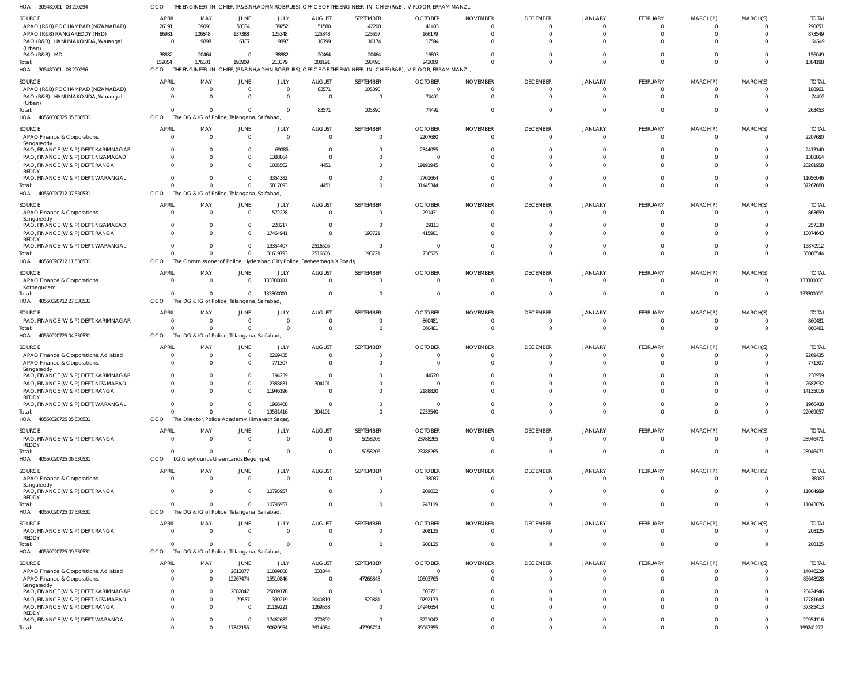| HOA<br>305480001 03 290294                                               |                                  |                            |                                                               |                                                                                     |                         |                          | THE ENGINEER-IN-CHIEF, (R&B,NH,ADMN,ROB/RUBS), OFFICE OF THE ENGINEER-IN-CHIEF(R&B), IV FLOOR, ERRAM MANZIL |                      |                                  |                                  |                             |                            |                                |                       |
|--------------------------------------------------------------------------|----------------------------------|----------------------------|---------------------------------------------------------------|-------------------------------------------------------------------------------------|-------------------------|--------------------------|-------------------------------------------------------------------------------------------------------------|----------------------|----------------------------------|----------------------------------|-----------------------------|----------------------------|--------------------------------|-----------------------|
| <b>SOURCE</b>                                                            | <b>APRIL</b>                     | MAY                        | JUNE                                                          | JULY                                                                                | <b>AUGUST</b>           | SEPTEMBER                | <b>OCTOBER</b>                                                                                              | <b>NOVEMBER</b>      | <b>DECEMBER</b>                  | <b>JANUARY</b>                   | FEBRUARY                    | MARCH(P)                   | MARCH(S)                       | <b>TOTAL</b>          |
| APAO (R&B) POCHAMPAD (NIZAMABAD)<br>APAO (R&B) RANGAREDDY (HYD)          | 26191<br>86981                   | 39091<br>106648            | 50334<br>137388                                               | 39252<br>125348                                                                     | 51580<br>125348         | 42200<br>125657          | 41403<br>166179                                                                                             | $\Omega$             | $\overline{0}$<br>$\Omega$       | $\overline{0}$<br>$\Omega$       | - 0<br>$\Omega$             | $\Omega$<br>$\Omega$       | $\Omega$<br>$\Omega$           | 290051<br>873549      |
| PAO (R&B), HANUMAKONDA, Warangal                                         | $\Omega$                         | 9898                       | 6187                                                          | 9897                                                                                | 10799                   | 10174                    | 17594                                                                                                       |                      | $\Omega$                         | $\Omega$                         |                             | $\Omega$                   |                                | 64549                 |
| (Urban)<br>PAO (R&B) LMD                                                 | 38882                            | 20464                      | $\overline{0}$                                                | 38882                                                                               | 20464                   | 20464                    | 16893                                                                                                       |                      | $\Omega$                         | $\Omega$                         |                             | $\Omega$                   | $\Omega$                       | 156049                |
| Total:                                                                   | 152054                           | 176101                     | 193909                                                        | 213379                                                                              | 208191                  | 198495                   | 242069                                                                                                      |                      | $\Omega$                         | $\Omega$                         | $\Omega$                    | $\Omega$                   | $\Omega$                       | 1384198               |
| HOA 305480001 03 290296                                                  | CCO                              |                            |                                                               |                                                                                     |                         |                          | THE ENGINEER-IN-CHIEF, (R&B,NH,ADMN,ROB/RUBS), OFFICE OF THE ENGINEER-IN-CHIEF(R&B), IV FLOOR, ERRAM MANZIL |                      |                                  |                                  |                             |                            |                                |                       |
| SOURCE                                                                   | <b>APRIL</b>                     | MAY                        | <b>JUNE</b>                                                   | JULY                                                                                | <b>AUGUST</b>           | SEPTEMBER                | <b>OCTOBER</b>                                                                                              | <b>NOVEMBER</b>      | <b>DECEMBER</b>                  | <b>JANUARY</b>                   | <b>FEBRUARY</b>             | MARCH(P)                   | MARCH(S)                       | <b>TOTAL</b>          |
| APAO (R&B) POCHAMPAD (NIZAMABAD)<br>PAO (R&B), HANUMAKONDA, Warangal     | $\overline{0}$<br>$\overline{0}$ | $\mathbf 0$<br>$\mathbf 0$ | $\overline{0}$<br>$\overline{0}$                              | $\Omega$<br>$\Omega$                                                                | 83571<br>$\overline{0}$ | 105390<br>$\overline{0}$ | $\mathbf 0$<br>74492                                                                                        | $\Omega$             | $\overline{0}$<br>$\overline{0}$ | $\overline{0}$<br>$\overline{0}$ | $\Omega$<br>$\Omega$        | $^{\circ}$<br>$\mathbf{0}$ | $\Omega$<br>$\Omega$           | 188961<br>74492       |
| (Urban)                                                                  |                                  |                            |                                                               |                                                                                     |                         |                          |                                                                                                             |                      |                                  |                                  |                             |                            |                                |                       |
| Total:<br>40550000325 05 530531<br>HOA                                   | $\Omega$<br>CCO                  | $\Omega$                   | $\overline{0}$<br>The DG & IG of Police, Telangana, Saifabad, | $\Omega$                                                                            | 83571                   | 105390                   | 74492                                                                                                       | 0                    | $\overline{0}$                   | $\overline{0}$                   | $\Omega$                    | $\mathbf 0$                | $\Omega$                       | 263453                |
| <b>SOURCE</b>                                                            | <b>APRIL</b>                     | MAY                        | <b>JUNE</b>                                                   | JULY                                                                                | <b>AUGUST</b>           | SEPTEMBER                | <b>OCTOBER</b>                                                                                              | <b>NOVEMBER</b>      | <b>DECEMBER</b>                  | <b>JANUARY</b>                   | FEBRUARY                    | MARCH(P)                   | MARCH(S)                       | <b>TOTAL</b>          |
| APAO Finance & Corporations,                                             | $\Omega$                         | $\Omega$                   | $\overline{0}$                                                | $\Omega$                                                                            | $\mathbf 0$             | $\Omega$                 | 2207680                                                                                                     | $\Omega$             | $\Omega$                         | $\Omega$                         | - 0                         | $\Omega$                   | $\Omega$                       | 2207680               |
| Sangareddy<br>PAO, FINANCE (W & P) DEPT, KARIMNAGAR                      | $\Omega$                         | $\Omega$                   | $^{\circ}$                                                    | 69085                                                                               | $^{\circ}$              | $\Omega$                 | 2344055                                                                                                     |                      | $\Omega$                         | n                                |                             |                            |                                | 2413140               |
| PAO, FINANCE (W & P) DEPT, NIZAMABAD                                     | $\Omega$                         | $\Omega$                   | $\mathbf 0$                                                   | 1388864                                                                             | $\mathbf 0$             | $\Omega$                 |                                                                                                             |                      | $\Omega$                         | $\Omega$                         |                             | $\Omega$                   |                                | 1388864               |
| PAO, FINANCE (W & P) DEPT, RANGA                                         | $\Omega$                         | $\Omega$                   | $\Omega$                                                      | 1005562                                                                             | 4451                    | $\Omega$                 | 19191945                                                                                                    |                      | $\Omega$                         | $\Omega$                         |                             | $\Omega$                   | $\Omega$                       | 20201958              |
| REDDY<br>PAO, FINANCE (W & P) DEPT, WARANGAL                             | $\Omega$                         | $\Omega$                   | $\overline{0}$                                                | 3354382                                                                             | $\overline{0}$          | $\Omega$                 | 7701664                                                                                                     |                      | $\Omega$                         | $\Omega$                         |                             | $\Omega$                   | $\Omega$                       | 11056046              |
| Total:                                                                   | $\Omega$                         | $\Omega$                   | $\overline{0}$                                                | 5817893                                                                             | 4451                    | $\Omega$                 | 31445344                                                                                                    |                      | $\Omega$                         | $\Omega$                         | $\Omega$                    | $\Omega$                   | $\Omega$                       | 37267688              |
| 40550020712 07 530531<br>HOA                                             | CCO                              |                            | The DG & IG of Police, Telangana, Saifabad,                   |                                                                                     |                         |                          |                                                                                                             |                      |                                  |                                  |                             |                            |                                |                       |
| SOURCE<br>APAO Finance & Corporations,                                   | <b>APRIL</b>                     | MAY                        | <b>JUNE</b>                                                   | JULY                                                                                | <b>AUGUST</b>           | SEPTEMBER<br>$\Omega$    | <b>OCTOBER</b>                                                                                              | <b>NOVEMBER</b>      | <b>DECEMBER</b>                  | <b>JANUARY</b><br>$\Omega$       | <b>FEBRUARY</b><br>$\Omega$ | MARCH(P)                   | MARCH(S)<br>$\Omega$           | <b>TOTAL</b>          |
| Sangareddy                                                               | $\Omega$                         | $\Omega$                   | $\overline{0}$                                                | 572228                                                                              | $\mathbf 0$             |                          | 291431                                                                                                      | $\Omega$             | $\overline{0}$                   |                                  |                             | $^{\circ}$                 |                                | 863659                |
| PAO, FINANCE (W & P) DEPT, NIZAMABAD                                     | $\Omega$                         | $\Omega$                   | $\overline{0}$                                                | 228217                                                                              | $\mathbf 0$<br>$\Omega$ | $\Omega$                 | 29113                                                                                                       |                      | $\Omega$                         | $\Omega$                         | $\Omega$                    | $\Omega$                   | $\Omega$                       | 257330                |
| PAO, FINANCE (W & P) DEPT, RANGA<br><b>REDDY</b>                         | $\mathbf 0$                      | $\Omega$                   | $\overline{0}$                                                | 17464941                                                                            |                         | 193721                   | 415981                                                                                                      |                      | $\Omega$                         | $\Omega$                         |                             | $\Omega$                   |                                | 18074643              |
| PAO, FINANCE (W & P) DEPT, WARANGAL                                      | $\Omega$<br>$\Omega$             | $\Omega$<br>$\Omega$       | $\overline{0}$                                                | 13354407                                                                            | 2516505                 | $\Omega$                 | 0                                                                                                           |                      | $\Omega$                         | $\Omega$<br>$\Omega$             | $\Omega$<br>$\Omega$        | $\mathbf 0$<br>$\Omega$    | $\Omega$                       | 15870912              |
| Total:<br>40550020712 11 530531<br>HOA                                   | CCO                              |                            | $\overline{0}$                                                | 31619793<br>The Commissioner of Police, Hyderabad City Police, Basheerbagh X Roads, | 2516505                 | 193721                   | 736525                                                                                                      |                      | $\Omega$                         |                                  |                             |                            | $\Omega$                       | 35066544              |
| <b>SOURCE</b>                                                            | <b>APRIL</b>                     | MAY                        | <b>JUNE</b>                                                   | JULY                                                                                | <b>AUGUST</b>           | SEPTEMBER                | <b>OCTOBER</b>                                                                                              | <b>NOVEMBER</b>      | <b>DECEMBER</b>                  | <b>JANUARY</b>                   | FEBRUARY                    | MARCH(P)                   | MARCH(S)                       | <b>TOTAL</b>          |
| APAO Finance & Corporations,                                             | $\Omega$                         | $\Omega$                   | $\overline{0}$                                                | 133300000                                                                           | $\mathbf 0$             | $\Omega$                 | $\Omega$                                                                                                    | $\Omega$             | $\overline{0}$                   | $\Omega$                         | $\Omega$                    | $\Omega$                   | $\Omega$                       | 133300000             |
| Kothagudem<br>Total:                                                     |                                  | $\Omega$                   | $\overline{0}$                                                | 133300000                                                                           | $\mathbf 0$             | $\Omega$                 | $\Omega$                                                                                                    |                      | $\overline{0}$                   | $\overline{0}$                   | - 0                         | $\overline{0}$             | $\Omega$                       | 133300000             |
| 40550020712 27 530531<br>HOA                                             | CCO                              |                            | The DG & IG of Police, Telangana, Saifabad,                   |                                                                                     |                         |                          |                                                                                                             |                      |                                  |                                  |                             |                            |                                |                       |
| SOURCE                                                                   | <b>APRIL</b>                     | MAY                        | JUNE                                                          | JULY                                                                                | <b>AUGUST</b>           | SEPTEMBER                | <b>OCTOBER</b>                                                                                              | <b>NOVEMBER</b>      | <b>DECEMBER</b>                  | <b>JANUARY</b>                   | <b>FEBRUARY</b>             | MARCH(P)                   | MARCH(S)                       | <b>TOTAL</b>          |
| PAO, FINANCE (W & P) DEPT, KARIMNAGAR                                    | $\Omega$                         | $\overline{0}$             | $\overline{0}$                                                | $\Omega$                                                                            | $^{\circ}$              | - 0                      | 860481                                                                                                      |                      | 0                                | $\circ$                          | $\Omega$                    | $^{\circ}$                 | $\Omega$                       | 860481                |
| Total<br>40550020725 04 530531<br>HOA                                    | $\Omega$<br>CCO                  | $\Omega$                   | $\overline{0}$<br>The DG & IG of Police, Telangana, Saifabad, | $\Omega$                                                                            | $\mathbf 0$             | $\Omega$                 | 860481                                                                                                      |                      | $\overline{0}$                   | $\overline{0}$                   | $\mathbf{0}$                | $\mathbf 0$                | $\Omega$                       | 860481                |
| <b>SOURCE</b>                                                            | <b>APRIL</b>                     | MAY                        | <b>JUNE</b>                                                   | JULY                                                                                | <b>AUGUST</b>           | SEPTEMBER                | <b>OCTOBER</b>                                                                                              | <b>NOVEMBER</b>      | <b>DECEMBER</b>                  | <b>JANUARY</b>                   | FEBRUARY                    | MARCH(P)                   | MARCH(S)                       | <b>TOTAL</b>          |
| APAO Finance & Corporations, Adilabad                                    |                                  | 0                          | $\overline{0}$                                                | 2269435                                                                             | $\mathbf 0$             | $\Omega$                 |                                                                                                             |                      | 0                                | $\Omega$                         | - 0                         | $^{\circ}$                 |                                | 2269435               |
| APAO Finance & Corporations,                                             | $\Omega$                         | $\Omega$                   | $\overline{0}$                                                | 771307                                                                              | $\overline{0}$          | $\Omega$                 | $\Omega$                                                                                                    |                      | $\Omega$                         | $\Omega$                         | $\Omega$                    | $\Omega$                   | $\Omega$                       | 771307                |
| Sangareddy<br>PAO, FINANCE (W & P) DEPT, KARIMNAGAR                      |                                  |                            | $\Omega$                                                      | 194239                                                                              | $\Omega$                |                          | 44720                                                                                                       |                      | $\Omega$                         |                                  |                             |                            |                                | 238959                |
| PAO, FINANCE (W & P) DEPT, NIZAMABAD                                     | $\Omega$                         | $\Omega$                   | $\Omega$                                                      | 2383831                                                                             | 304101                  | $\Omega$                 |                                                                                                             |                      | $\Omega$                         |                                  |                             |                            | $\Omega$                       | 2687932               |
| PAO, FINANCE (W & P) DEPT, RANGA<br>REDDY                                |                                  |                            |                                                               | 1946196                                                                             |                         |                          | 2188820                                                                                                     |                      |                                  |                                  |                             |                            |                                | 14135016              |
| PAO, FINANCE (W & P) DEPT, WARANGAL                                      | $\mathbf 0$                      | $\mathbf 0$                | $\overline{0}$                                                | 1966408                                                                             | $\Omega$                | $\Omega$                 | $\Omega$                                                                                                    | $\Omega$             | $\overline{0}$                   | $\overline{0}$                   | $\Omega$                    | $\overline{0}$             | $\Omega$                       | 1966408               |
| Total:<br>HOA 40550020725 05 530531                                      | $\Omega$<br>CCO                  | $\Omega$                   | $\mathbf{0}$<br>The Director, Police Academy, Himayath Sagar, | 19531416                                                                            | 304101                  | $\Omega$                 | 2233540                                                                                                     | $\Omega$             | $\Omega$                         | $\overline{0}$                   | $\Omega$                    | $\Omega$                   | $\mathbf 0$                    | 22069057              |
| SOURCE                                                                   | APRIL                            |                            |                                                               |                                                                                     | <b>AUGUST</b>           | SEPTEMBER                | <b>OCTOBER</b>                                                                                              | <b>NOVEMBER</b>      | <b>DECEMBER</b>                  | <b>JANUARY</b>                   | <b>FEBRUARY</b>             | MARCH(P)                   | MARCH(S)                       | <b>TOTAL</b>          |
| PAO, FINANCE (W & P) DEPT, RANGA                                         | $\overline{0}$                   | MAY<br>$\overline{0}$      | JUNE<br>$\overline{0}$                                        | JULY<br>$\overline{0}$                                                              | $\overline{0}$          | 5158206                  | 23788265                                                                                                    | $\overline{0}$       | $\overline{0}$                   | $\overline{0}$                   | $\Omega$                    | $\mathbf 0$                | $\Omega$                       | 28946471              |
| REDDY<br>Total:                                                          | $\Omega$                         | $\Omega$                   | $\overline{0}$                                                | $\Omega$                                                                            | $\mathbf 0$             | 5158206                  | 23788265                                                                                                    | 0                    | $\overline{0}$                   | $\overline{0}$                   | $\Omega$                    | $\mathbf{0}$               | $\overline{0}$                 | 28946471              |
| HOA 40550020725 06 530531                                                | CCO                              |                            | I.G.Greyhounds GreenLands Begumpet                            |                                                                                     |                         |                          |                                                                                                             |                      |                                  |                                  |                             |                            |                                |                       |
| SOURCE                                                                   | <b>APRIL</b>                     | MAY                        | JUNE                                                          | JULY                                                                                | <b>AUGUST</b>           | <b>SEPTEMBER</b>         | <b>OCTOBER</b>                                                                                              | <b>NOVEMBER</b>      | <b>DECEMBER</b>                  | <b>JANUARY</b>                   | FEBRUARY                    | MARCH(P)                   | MARCH(S)                       | <b>TOTAL</b>          |
| APAO Finance & Corporations,                                             | $\overline{0}$                   | $\mathbf 0$                | $\overline{0}$                                                | $\Omega$                                                                            | $\overline{0}$          | $\Omega$                 | 38087                                                                                                       | $\Omega$             | $\overline{0}$                   | $\overline{0}$                   | $\Omega$                    | $\overline{0}$             | $\Omega$                       | 38087                 |
| Sangareddy<br>PAO, FINANCE (W & P) DEPT, RANGA                           | $\Omega$                         | $\Omega$                   | $\Omega$                                                      | 10795957                                                                            | $\mathbf 0$             | $\Omega$                 | 209032                                                                                                      | $\Omega$             | $\overline{0}$                   | $\overline{0}$                   | $\Omega$                    | $\overline{0}$             | $\Omega$                       | 11004989              |
| REDDY                                                                    | $\Omega$                         | $\Omega$                   | $\mathbf{0}$                                                  |                                                                                     | $\Omega$                | $\Omega$                 |                                                                                                             | $\Omega$             | $\overline{0}$                   | $\overline{0}$                   | $\Omega$                    | $\mathbf 0$                | $\overline{0}$                 |                       |
| Total:<br>HOA 40550020725 07 530531                                      | CCO                              |                            | The DG & IG of Police, Telangana, Saifabad                    | 10795957                                                                            |                         |                          | 247119                                                                                                      |                      |                                  |                                  |                             |                            |                                | 11043076              |
| SOURCE                                                                   | <b>APRIL</b>                     | MAY                        | JUNE                                                          | JULY                                                                                | <b>AUGUST</b>           | SEPTEMBER                | <b>OCTOBER</b>                                                                                              | <b>NOVEMBER</b>      | <b>DECEMBER</b>                  | <b>JANUARY</b>                   | <b>FEBRUARY</b>             | MARCH(P)                   | MARCH(S)                       | <b>TOTAL</b>          |
| PAO, FINANCE (W & P) DEPT, RANGA                                         | $\overline{0}$                   | $\overline{0}$             | $\overline{0}$                                                | $\Omega$                                                                            | $\overline{0}$          | $\Omega$                 | 208125                                                                                                      | $\Omega$             | $\overline{0}$                   | $\overline{0}$                   | $\Omega$                    | $\mathbf 0$                | $\Omega$                       | 208125                |
| REDDY<br>Total:                                                          | $\Omega$                         | $\Omega$                   | $\overline{0}$                                                | $\Omega$                                                                            | $\mathbf 0$             | $\Omega$                 | 208125                                                                                                      | 0                    | $\overline{0}$                   | $\overline{0}$                   | $\Omega$                    | $\mathbf 0$                | $\overline{0}$                 | 208125                |
| HOA 40550020725 09 530531                                                | CCO                              |                            | The DG & IG of Police, Telangana, Saifabad                    |                                                                                     |                         |                          |                                                                                                             |                      |                                  |                                  |                             |                            |                                |                       |
| <b>SOURCE</b>                                                            | <b>APRIL</b>                     | MAY                        | JUNE                                                          | JULY                                                                                | <b>AUGUST</b>           | SEPTEMBER                | <b>OCTOBER</b>                                                                                              | <b>NOVEMBER</b>      | <b>DECEMBER</b>                  | <b>JANUARY</b>                   | <b>FEBRUARY</b>             | MARCH(P)                   | MARCH(S)                       | <b>TOTAL</b>          |
| APAO Finance & Corporations, Adilabad                                    | $\overline{0}$                   | $\mathbf 0$                | 2613077                                                       | 11099808                                                                            | 333344                  | $\Omega$                 | $\mathbf 0$                                                                                                 | $\Omega$             | $\overline{0}$                   | $\overline{0}$                   | $\Omega$                    | $\overline{0}$             | $\Omega$                       | 14046229              |
| APAO Finance & Corporations,<br>Sangareddy                               | $\overline{0}$                   | $\Omega$                   | 12267474                                                      | 15510846                                                                            | $\overline{0}$          | 47266843                 | 10603765                                                                                                    | $\Omega$             | $\Omega$                         | $\Omega$                         | $\Omega$                    | $\Omega$                   | $\Omega$                       | 85648928              |
| PAO, FINANCE (W & P) DEPT, KARIMNAGAR                                    | $\mathbf 0$                      | $\Omega$                   | 2882047                                                       | 25039178                                                                            | $\overline{0}$          | $\overline{0}$           | 503721                                                                                                      | $\Omega$             | $\Omega$                         | $\Omega$                         | - 0                         | $\Omega$                   |                                | 28424946              |
| PAO, FINANCE (W & P) DEPT, NIZAMABAD<br>PAO, FINANCE (W & P) DEPT, RANGA | $\mathbf 0$<br>$\mathbf 0$       | $\mathbf 0$<br>$\Omega$    | 79557<br>$\overline{0}$                                       | 339219<br>21169221                                                                  | 2040810<br>1269538      | 529881<br>$\Omega$       | 9792173<br>14946654                                                                                         | $\Omega$<br>$\Omega$ | $\Omega$<br>$\Omega$             | $\overline{0}$<br>$\Omega$       | $\Omega$<br>$\Omega$        | $\Omega$<br>$\Omega$       | $\Omega$<br>$\Omega$           | 12781640<br>37385413  |
| REDDY                                                                    |                                  |                            |                                                               |                                                                                     |                         |                          |                                                                                                             |                      |                                  |                                  |                             |                            |                                |                       |
| PAO, FINANCE (W & P) DEPT, WARANGAL<br>Total:                            | $\overline{0}$<br>$\mathbf 0$    | $\Omega$<br>$\mathbf 0$    | $\Omega$<br>17842155                                          | 17462682<br>90620954                                                                | 270392<br>3914084       | $\Omega$<br>47796724     | 3221042<br>39067355                                                                                         | $\Omega$<br>$\Omega$ | $\overline{0}$<br>$\Omega$       | $\overline{0}$<br>$\overline{0}$ | $\mathbf{0}$<br>$\Omega$    | $\mathbf 0$<br>$\Omega$    | $\overline{0}$<br>$\mathbf{0}$ | 20954116<br>199241272 |
|                                                                          |                                  |                            |                                                               |                                                                                     |                         |                          |                                                                                                             |                      |                                  |                                  |                             |                            |                                |                       |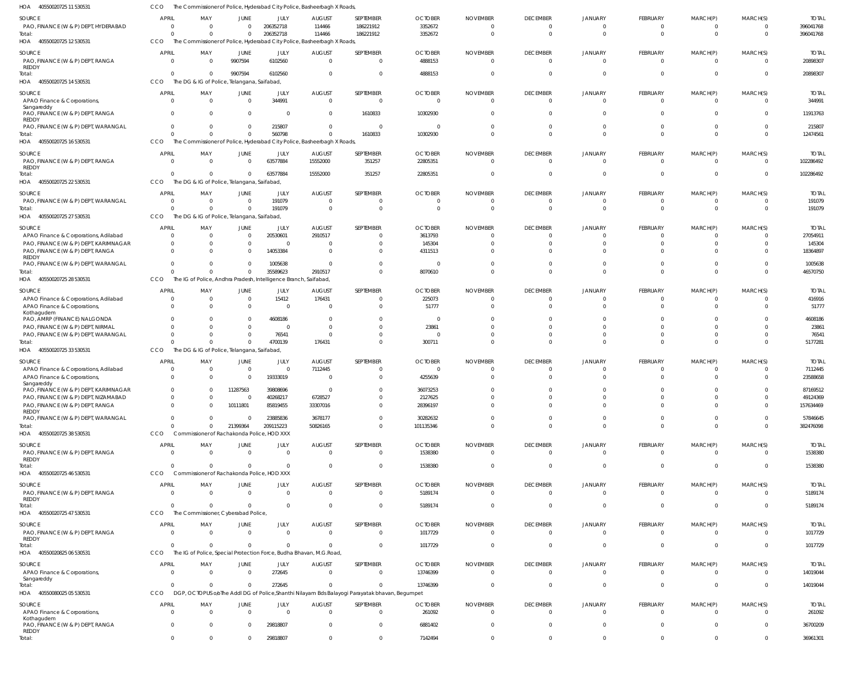| 40550020725 11 530531<br>HOA                                                        | CCO                                  | The Commissioner of Police, Hyderabad City Police, Basheerbagh X Roads,            |                                 |                                |                                   |                                                                                                |                                      |                                               |                                                     |                                       |                                  |                                        |                                              |                                        |
|-------------------------------------------------------------------------------------|--------------------------------------|------------------------------------------------------------------------------------|---------------------------------|--------------------------------|-----------------------------------|------------------------------------------------------------------------------------------------|--------------------------------------|-----------------------------------------------|-----------------------------------------------------|---------------------------------------|----------------------------------|----------------------------------------|----------------------------------------------|----------------------------------------|
| SOURCE<br>PAO, FINANCE (W & P) DEPT, HYDERABAD<br>Total:                            | <b>APRIL</b><br>$\Omega$<br>$\Omega$ | MAY<br>$\Omega$<br>$\Omega$                                                        | JUNE<br>$\Omega$<br>$\mathbf 0$ | JULY<br>206352718<br>206352718 | <b>AUGUST</b><br>114466<br>114466 | SEPTEMBER<br>186221912<br>186221912                                                            | <b>OCTOBER</b><br>3352672<br>3352672 | <b>NOVEMBER</b><br>$\overline{0}$<br>$\Omega$ | <b>DECEMBER</b><br>$\overline{0}$<br>$\overline{0}$ | <b>JANUARY</b><br>0<br>$\overline{0}$ | FEBRUARY<br>$\Omega$<br>$\Omega$ | MARCH(P)<br>$\Omega$<br>$\overline{0}$ | MARCH(S)<br>$\overline{0}$<br>$\overline{0}$ | <b>TOTAL</b><br>396041768<br>396041768 |
| HOA 40550020725 12 530531                                                           | CCO                                  | The Commissioner of Police, Hyderabad City Police, Basheerbagh X Roads             |                                 |                                |                                   |                                                                                                |                                      |                                               |                                                     |                                       |                                  |                                        |                                              |                                        |
| SOURCE<br>PAO, FINANCE (W & P) DEPT, RANGA<br>REDDY                                 | <b>APRIL</b><br>$\overline{0}$       | MAY<br>$\Omega$                                                                    | <b>JUNE</b><br>9907594          | JULY<br>6102560                | <b>AUGUST</b><br>$\overline{0}$   | SEPTEMBER<br>$\Omega$                                                                          | <b>OCTOBER</b><br>4888153            | <b>NOVEMBER</b><br>$\overline{0}$             | <b>DECEMBER</b><br>$\overline{0}$                   | <b>JANUARY</b><br>$\mathbf{0}$        | FEBRUARY<br>$\Omega$             | MARCH(P)<br>$\Omega$                   | MARCH(S)<br>$\overline{0}$                   | <b>TOTAL</b><br>20898307               |
| Total:<br>40550020725 14 530531<br>HOA                                              | $\Omega$<br>CCO                      | - 0<br>The DG & IG of Police, Telangana, Saifabad,                                 | 9907594                         | 6102560                        | $\Omega$                          | $\mathbf 0$                                                                                    | 4888153                              | $\Omega$                                      | $\overline{0}$                                      | $\overline{0}$                        | $\Omega$                         | $\Omega$                               | $\overline{0}$                               | 20898307                               |
| SOURCE<br>APAO Finance & Corporations,                                              | <b>APRIL</b><br>$\overline{0}$       | MAY<br>$\Omega$                                                                    | JUNE<br>$\overline{0}$          | JULY<br>344991                 | <b>AUGUST</b><br>$\Omega$         | SEPTEMBER<br>$\mathbf{0}$                                                                      | <b>OCTOBER</b><br>- 0                | <b>NOVEMBER</b><br>$\Omega$                   | <b>DECEMBER</b><br>$\overline{0}$                   | <b>JANUARY</b><br>$\mathbf{0}$        | FEBRUARY<br>$\Omega$             | MARCH(P)<br>$\Omega$                   | MARCH(S)<br>$\overline{0}$                   | <b>TOTAL</b><br>344991                 |
| Sangareddy<br>PAO, FINANCE (W & P) DEPT, RANGA                                      | $\overline{0}$                       | $\Omega$                                                                           | $\overline{0}$                  | $\overline{0}$                 | $\overline{0}$                    | 1610833                                                                                        | 10302930                             | $\Omega$                                      | $\overline{0}$                                      | $\mathbf{0}$                          | $\Omega$                         | $\Omega$                               | $\overline{0}$                               | 11913763                               |
| REDDY<br>PAO, FINANCE (W & P) DEPT, WARANGAL                                        | $\overline{0}$                       | $\Omega$                                                                           | $\overline{0}$                  | 215807                         | $\Omega$                          | $\mathbf{0}$                                                                                   | - 0                                  | $\Omega$                                      | $\overline{0}$                                      | $\overline{0}$                        | $\Omega$                         | $\overline{0}$                         | $\overline{0}$                               | 215807                                 |
| Total:<br>HOA<br>40550020725 16 530531                                              | $\Omega$<br>CCO                      | $\Omega$<br>The Commissioner of Police, Hyderabad City Police, Basheerbagh X Roads | $\Omega$                        | 560798                         | $\Omega$                          | 1610833                                                                                        | 10302930                             | $\Omega$                                      | $\Omega$                                            | $\Omega$                              | $\Omega$                         | $\Omega$                               | $\Omega$                                     | 12474561                               |
| SOURCE                                                                              | <b>APRIL</b>                         | MAY                                                                                | <b>JUNE</b>                     | JULY                           | <b>AUGUST</b>                     | SEPTEMBER                                                                                      | <b>OCTOBER</b>                       | <b>NOVEMBER</b>                               | <b>DECEMBER</b>                                     | <b>JANUARY</b>                        | FEBRUARY                         | MARCH(P)                               | MARCH(S)                                     | <b>TOTAL</b>                           |
| PAO, FINANCE (W & P) DEPT, RANGA<br>REDDY                                           | $\overline{0}$<br>$\overline{0}$     | - 0<br>$\Omega$                                                                    | $\mathbf{0}$<br>$\Omega$        | 63577884<br>63577884           | 15552000                          | 351257                                                                                         | 22805351                             | $\overline{0}$<br>$\Omega$                    | $\overline{0}$<br>$\overline{0}$                    | $\mathbf{0}$<br>$\overline{0}$        | $\Omega$<br>$\Omega$             | $\Omega$<br>$\Omega$                   | $\overline{0}$<br>$\overline{0}$             | 102286492<br>102286492                 |
| Total:<br>HOA<br>40550020725 22 530531                                              | CCO                                  | The DG & IG of Police, Telangana, Saifabad,                                        |                                 |                                | 15552000                          | 351257                                                                                         | 22805351                             |                                               |                                                     |                                       |                                  |                                        |                                              |                                        |
| SOURCE                                                                              | <b>APRIL</b>                         | MAY                                                                                | JUNE                            | JULY                           | <b>AUGUST</b>                     | SEPTEMBER                                                                                      | <b>OCTOBER</b>                       | <b>NOVEMBER</b>                               | <b>DECEMBER</b>                                     | <b>JANUARY</b>                        | FEBRUARY                         | MARCH(P)                               | MARCH(S)                                     | <b>TOTAL</b>                           |
| PAO, FINANCE (W & P) DEPT, WARANGAL<br>Total:                                       | - 0<br>$\Omega$                      | $\Omega$<br>$\Omega$                                                               | $\overline{0}$<br>$\Omega$      | 191079<br>191079               | $\Omega$<br>$\Omega$              | - 0<br>$\mathbf 0$                                                                             | 0<br>$\Omega$                        | $\overline{0}$<br>$\Omega$                    | $\overline{0}$<br>$\overline{0}$                    | 0<br>$\overline{0}$                   | $\Omega$<br>$\Omega$             | $\Omega$<br>$\Omega$                   | $\Omega$<br>$\overline{0}$                   | 191079<br>191079                       |
| HOA 40550020725 27 530531                                                           | CCO                                  | The DG & IG of Police, Telangana, Saifabad,                                        |                                 |                                |                                   |                                                                                                |                                      |                                               |                                                     |                                       |                                  |                                        |                                              |                                        |
| SOURCE                                                                              | <b>APRIL</b>                         | MAY                                                                                | JUNE                            | JULY                           | <b>AUGUST</b>                     | SEPTEMBER                                                                                      | <b>OCTOBER</b>                       | <b>NOVEMBER</b>                               | <b>DECEMBER</b>                                     | <b>JANUARY</b>                        | FEBRUARY                         | MARCH(P)                               | MARCH(S)                                     | <b>TOTAL</b>                           |
| APAO Finance & Corporations, Adilabad<br>PAO, FINANCE (W & P) DEPT, KARIMNAGAR      | $\overline{0}$<br>$\overline{0}$     | - 0                                                                                | $\overline{0}$<br>$\mathbf 0$   | 20530601<br>$\overline{0}$     | 2910517<br>$\Omega$               | $\Omega$<br>$\Omega$                                                                           | 3613793<br>145304                    | $\Omega$<br>$\Omega$                          | $\overline{0}$<br>0                                 | 0<br>$\Omega$                         | $\Omega$<br>$\Omega$             | $\Omega$<br>$\Omega$                   | $\overline{0}$<br>$\overline{0}$             | 27054911<br>145304                     |
| PAO, FINANCE (W & P) DEPT, RANGA                                                    | $\Omega$                             | - 0                                                                                | $\mathbf 0$                     | 14053384                       | $\Omega$                          | $\Omega$                                                                                       | 4311513                              | $\Omega$                                      | $\Omega$                                            | $\Omega$                              | $\Omega$                         | $\Omega$                               | $\Omega$                                     | 18364897                               |
| REDDY<br>PAO, FINANCE (W & P) DEPT, WARANGAL                                        | $\Omega$                             |                                                                                    | $\Omega$                        | 1005638                        | $\Omega$                          | $\Omega$                                                                                       | - 0                                  | $\Omega$                                      | $\Omega$                                            | $\Omega$                              | $\Omega$                         | $\Omega$                               | $\Omega$                                     | 1005638                                |
| Total:<br>40550020725 28 530531                                                     | $\Omega$<br>CCO                      |                                                                                    | $\mathbf 0$                     | 35589623                       | 2910517                           | $\Omega$                                                                                       | 8070610                              | $\Omega$                                      | $\overline{0}$                                      | $\mathbf{0}$                          | $\Omega$                         | $\Omega$                               | $\overline{0}$                               | 46570750                               |
| HOA<br>SOURCE                                                                       | <b>APRIL</b>                         | The IG of Police, Andhra Pradesh, Intelligence Branch, Saifabad,<br>MAY            | <b>JUNE</b>                     | JULY                           | <b>AUGUST</b>                     | SEPTEMBER                                                                                      | <b>OCTOBER</b>                       | <b>NOVEMBER</b>                               | <b>DECEMBER</b>                                     | <b>JANUARY</b>                        | FEBRUARY                         | MARCH(P)                               | MARCH(S)                                     | <b>TOTAL</b>                           |
| APAO Finance & Corporations, Adilabad                                               | $\overline{0}$                       | $\Omega$                                                                           | $\overline{0}$                  | 15412                          | 176431                            | - 0                                                                                            | 225073                               | $\Omega$                                      | $\overline{0}$                                      | $\Omega$                              | $\Omega$                         | $\Omega$                               | $\Omega$                                     | 416916                                 |
| APAO Finance & Corporations<br>Kothagudem<br>PAO, AMRP (FINANCE) NALGONDA           | $\Omega$<br>$\Omega$                 | $\cap$                                                                             | $\Omega$<br>$\Omega$            | $\overline{0}$<br>4608186      | $\Omega$                          | $\Omega$                                                                                       | 51777<br>- 0                         | $\Omega$                                      | $\Omega$<br>$\Omega$                                | $\Omega$<br>$\Omega$                  | $\Omega$<br>- 0                  | $\Omega$<br>- 0                        | $\Omega$<br>$\Omega$                         | 51777<br>4608186                       |
| PAO, FINANCE (W & P) DEPT, NIRMAL                                                   | $\Omega$                             |                                                                                    |                                 | $\overline{0}$                 | $\Omega$                          | $\mathbf{0}$                                                                                   | 23861                                | $\Omega$                                      | $\Omega$                                            | $\Omega$                              | $\Omega$                         | $\Omega$                               | $\Omega$                                     | 2386                                   |
| PAO, FINANCE (W & P) DEPT, WARANGAL<br>Total:                                       | $\Omega$<br>$\Omega$                 | $\Omega$                                                                           | $\Omega$<br>$\Omega$            | 76541<br>4700139               | $\Omega$<br>176431                | $\Omega$<br>$\Omega$                                                                           | $\Omega$<br>300711                   | $\Omega$<br>$\Omega$                          | $\Omega$<br>$\Omega$                                | $\Omega$<br>$\Omega$                  | $\Omega$<br>$\Omega$             | $\Omega$<br>$\Omega$                   | $\Omega$<br>$\Omega$                         | 76541<br>5177281                       |
| HOA 40550020725 33 530531                                                           | CCO                                  | The DG & IG of Police, Telangana, Saifabad,                                        |                                 |                                |                                   |                                                                                                |                                      |                                               |                                                     |                                       |                                  |                                        |                                              |                                        |
| SOURCE                                                                              | <b>APRIL</b>                         | MAY                                                                                | JUNE                            | JULY                           | <b>AUGUST</b>                     | SEPTEMBER                                                                                      | <b>OCTOBER</b>                       | <b>NOVEMBER</b>                               | <b>DECEMBER</b>                                     | <b>JANUARY</b>                        | FEBRUARY                         | MARCH(P)                               | MARCH(S)                                     | <b>TOTAL</b>                           |
| APAO Finance & Corporations, Adilabad<br>APAO Finance & Corporations,<br>Sangareddy | 0<br>$\overline{0}$                  | - 0<br>$\Omega$                                                                    | 0<br>$\Omega$                   | $\overline{0}$<br>19333019     | 7112445<br>$\overline{0}$         | $\Omega$<br>$\mathbf{0}$                                                                       | - 0<br>4255639                       | $\Omega$<br>$\Omega$                          | 0<br>$\overline{0}$                                 | $\Omega$<br>$\overline{0}$            | $\Omega$<br>$\Omega$             | - 0<br>$\Omega$                        | $\Omega$<br>$\overline{0}$                   | 7112445<br>23588658                    |
| PAO, FINANCE (W & P) DEPT, KARIMNAGAR<br>PAO, FINANCE (W & P) DEPT, NIZAMABAD       |                                      |                                                                                    | 11287563                        | 39808696                       | -0                                | $\Omega$                                                                                       | 36073253                             | $\Omega$                                      | $\Omega$                                            |                                       | $\Omega$                         | $\Omega$                               |                                              | 87169512                               |
| PAO, FINANCE (W & P) DEPT, RANGA                                                    | 0<br>$\mathbf 0$                     |                                                                                    | $\overline{0}$<br>10111801      | 40268217<br>85819455           | 6728527<br>33307016               | $\mathbf 0$                                                                                    | 2127625<br>28396197                  | $\mathbf 0$                                   | $\Omega$<br>$\Omega$                                | $\Omega$<br>$\Omega$                  | $\Omega$                         | $\Omega$                               | $\Omega$<br>$\Omega$                         | 49124369<br>157634469                  |
| REDDY<br>PAO, FINANCE (W & P) DEPT, WARANGAL                                        | $\overline{0}$                       |                                                                                    | $\mathbf{0}$                    | 23885836                       | 3678177                           | $\Omega$                                                                                       | 30282632                             | $\mathbf 0$                                   | $\overline{0}$                                      | $\overline{0}$                        | $\Omega$                         | $\Omega$                               | $\Omega$                                     | 57846645                               |
| Total:                                                                              | $\Omega$                             |                                                                                    | 21399364                        | 209115223                      | 50826165                          | $\Omega$                                                                                       | 101135346                            | $\Omega$                                      | $\Omega$                                            | $\Omega$                              | $\Omega$                         | $\Omega$                               | $\Omega$                                     | 382476098                              |
| HOA 40550020725 38 530531                                                           | CCO                                  | Commissioner of Rachakonda Police, HOD XXX                                         |                                 |                                |                                   |                                                                                                |                                      |                                               |                                                     |                                       |                                  |                                        |                                              |                                        |
| SOURCE<br>PAO, FINANCE (W & P) DEPT, RANGA<br>REDDY                                 | <b>APRIL</b><br>$\Omega$             | MAY<br>$\Omega$                                                                    | JUNE<br>$\Omega$                | JULY<br>$\overline{0}$         | <b>AUGUST</b><br>$\Omega$         | SEPTEMBER<br>$\Omega$                                                                          | <b>OCTOBER</b><br>1538380            | <b>NOVEMBER</b><br>$\Omega$                   | <b>DECEMBER</b><br>$\Omega$                         | <b>JANUARY</b><br>$\mathbf{0}$        | FEBRUARY<br>$\Omega$             | MARCH(P)<br>$\Omega$                   | MARCH(S)<br>$\overline{0}$                   | <b>TOTAL</b><br>1538380                |
| Total:<br>HOA 40550020725 46 530531                                                 | $\Omega$<br>CCO                      | $\Omega$<br>Commissioner of Rachakonda Police, HOD XXX                             | $\Omega$                        | $\Omega$                       | $\Omega$                          | $\Omega$                                                                                       | 1538380                              | $\Omega$                                      | $\Omega$                                            | $\overline{0}$                        | $\Omega$                         | $\Omega$                               | $\overline{0}$                               | 1538380                                |
| SOURCE<br>PAO, FINANCE (W & P) DEPT, RANGA                                          | <b>APRIL</b><br>$\Omega$             | MAY<br>$\Omega$                                                                    | <b>JUNE</b><br>$\overline{0}$   | JULY<br>$\overline{0}$         | <b>AUGUST</b><br>$\overline{0}$   | SEPTEMBER<br>$\mathbf 0$                                                                       | <b>OCTOBER</b><br>5189174            | <b>NOVEMBER</b><br>$\overline{0}$             | <b>DECEMBER</b><br>$\overline{0}$                   | <b>JANUARY</b><br>$\mathbf{0}$        | FEBRUARY<br>$\Omega$             | MARCH(P)<br>$\Omega$                   | MARCH(S)<br>$\overline{0}$                   | <b>TOTAL</b><br>5189174                |
| REDDY<br>Total:<br>HOA 40550020725 47 530531                                        | $\Omega$<br>CCO                      | $\Omega$<br>The Commissioner, Cyberabad Police,                                    | $\Omega$                        | $\overline{0}$                 | $\overline{0}$                    | $\mathbf{0}$                                                                                   | 5189174                              | $\mathbf 0$                                   | $\Omega$                                            | $\overline{0}$                        | $\Omega$                         | $\Omega$                               | $\overline{0}$                               | 5189174                                |
| SOURCE                                                                              | <b>APRIL</b>                         | MAY                                                                                | <b>JUNE</b>                     | JULY                           | <b>AUGUST</b>                     | SEPTEMBER                                                                                      | <b>OCTOBER</b>                       | <b>NOVEMBER</b>                               | <b>DECEMBER</b>                                     | <b>JANUARY</b>                        | FEBRUARY                         | MARCH(P)                               | MARCH(S)                                     | <b>TOTAL</b>                           |
| PAO, FINANCE (W & P) DEPT, RANGA<br>REDDY                                           | $\Omega$<br>$\Omega$                 | $\Omega$<br>$\Omega$                                                               | $\Omega$<br>$\Omega$            | $\Omega$<br>$\Omega$           | $\Omega$<br>$\Omega$              | $\Omega$<br>$\Omega$                                                                           | 1017729                              | $\Omega$<br>$\Omega$                          | $\overline{0}$<br>$\Omega$                          | $\mathbf{0}$                          | $\Omega$<br>$\Omega$             | $\Omega$<br>$\Omega$                   | $\overline{0}$                               | 1017729                                |
| Total:<br>40550020825 06 530531<br>HOA                                              | CCO                                  | The IG of Police, Special Protection Force, Budha Bhavan, M.G.Road,                |                                 |                                |                                   |                                                                                                | 1017729                              |                                               |                                                     | $\overline{0}$                        |                                  |                                        | $\overline{0}$                               | 1017729                                |
| SOURCE<br>APAO Finance & Corporations,                                              | <b>APRIL</b><br>$\overline{0}$       | MAY<br>$\Omega$                                                                    | <b>JUNE</b><br>$\overline{0}$   | JULY<br>272645                 | <b>AUGUST</b><br>$\overline{0}$   | SEPTEMBER<br>$\mathbf{0}$                                                                      | <b>OCTOBER</b><br>13746399           | <b>NOVEMBER</b><br>$\overline{0}$             | <b>DECEMBER</b><br>$\overline{0}$                   | <b>JANUARY</b><br>$\overline{0}$      | FEBRUARY<br>$\Omega$             | MARCH(P)<br>$\Omega$                   | MARCH(S)<br>$\overline{0}$                   | <b>TOTAL</b><br>14019044               |
| Sangareddy<br>Total:                                                                | $\Omega$                             | $\Omega$                                                                           | $\mathbf 0$                     | 272645                         | $\Omega$                          | $\Omega$                                                                                       | 13746399                             | $\overline{0}$                                | $\overline{0}$                                      | $\overline{0}$                        | $\Omega$                         | $\overline{0}$                         | $\overline{0}$                               | 14019044                               |
| HOA 40550080025 05 530531                                                           | CCO                                  |                                                                                    |                                 |                                |                                   | DGP, OCTOPUS oloThe Addl DG of Police, Shanthi Nilayam Bds Balayogi Parayatak bhavan, Begumpet |                                      |                                               |                                                     |                                       |                                  |                                        |                                              |                                        |
| SOURCE<br>APAO Finance & Corporations,<br>Kothagudem                                | <b>APRIL</b><br>$\overline{0}$       | MAY<br>$\Omega$                                                                    | <b>JUNE</b><br>$\overline{0}$   | JULY<br>$\Omega$               | <b>AUGUST</b><br>$\overline{0}$   | SEPTEMBER<br>$\mathbf 0$                                                                       | <b>OCTOBER</b><br>261092             | <b>NOVEMBER</b><br>$\Omega$                   | <b>DECEMBER</b><br>$\Omega$                         | <b>JANUARY</b><br>$\mathbf{0}$        | FEBRUARY<br>$\Omega$             | MARCH(P)<br>$\Omega$                   | MARCH(S)<br>$\Omega$                         | <b>TOTAL</b><br>261092                 |
| PAO, FINANCE (W & P) DEPT, RANGA<br>REDDY                                           | $\overline{0}$                       | $\Omega$                                                                           | $\Omega$                        | 29818807                       | $\overline{0}$                    | $\mathbf 0$                                                                                    | 6881402                              | $\mathbf 0$                                   | $\overline{0}$                                      | $\overline{0}$                        | $\Omega$                         | $\Omega$                               | $\overline{0}$                               | 36700209                               |
| Total:                                                                              |                                      | $\overline{0}$<br>$\overline{0}$                                                   | $\mathbf 0$                     | 29818807                       | $\mathbf 0$                       | $\mathbf{0}$                                                                                   | 7142494                              | $\mathbf 0$                                   | $\mathbf{0}$                                        | $\mathbf 0$                           | $\overline{0}$                   | $\overline{0}$                         | $\mathbf 0$                                  | 36961301                               |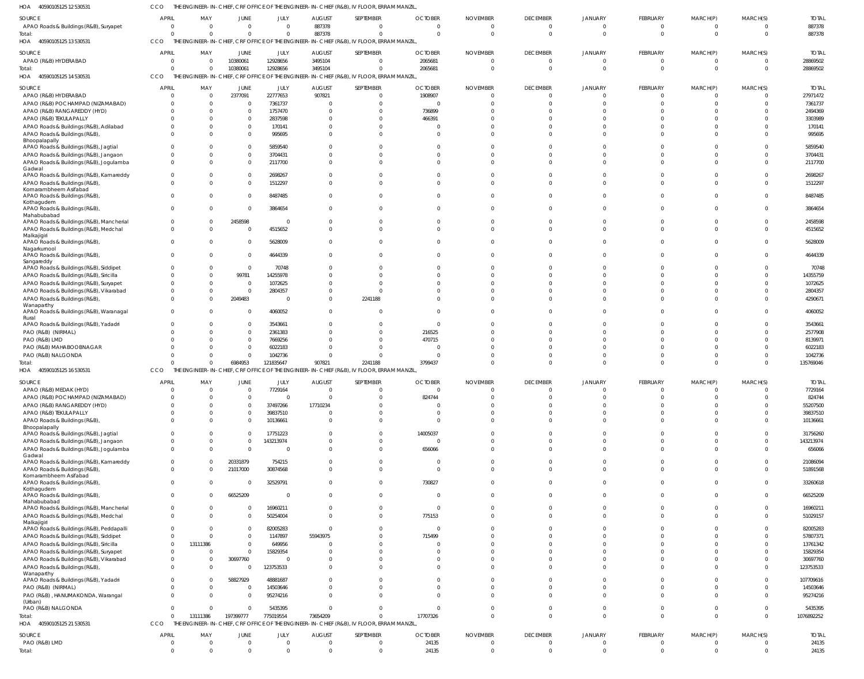CCO THE ENGINEER-IN-CHIEF, CRF OFFICE OF THE ENGINEER-IN-CHIEF (R&B), IV FLOOR, ERRAM MANZIL,

|                                                   |                              |                      |           |                                  |                                  | THE ENGINEER-IN-CHIEF, CRF OFFICE OF THE ENGINEER-IN-CHIEF (R&B), IV FLOOR, ERRAM MANZIL |                |                      |                 |                            |                      |                      |                              |                |
|---------------------------------------------------|------------------------------|----------------------|-----------|----------------------------------|----------------------------------|------------------------------------------------------------------------------------------|----------------|----------------------|-----------------|----------------------------|----------------------|----------------------|------------------------------|----------------|
| SOURCE                                            | <b>APRIL</b>                 | MAY                  | JUNE      | JULY                             | <b>AUGUST</b>                    | SEPTEMBER                                                                                | <b>OCTOBER</b> | <b>NOVEMBER</b>      | <b>DECEMBER</b> | <b>JANUARY</b>             | FEBRUARY             | MARCH(P)             | MARCH(S)                     | <b>TOTAI</b>   |
| APAO Roads & Buildings (R&B), Suryapet            | $\mathbf{0}$                 | $\Omega$             | $\Omega$  | $\Omega$                         | 887378                           | - 0                                                                                      | $\Omega$       | $\Omega$             | $\Omega$        | $\overline{0}$             | $\Omega$             | $\Omega$             | $\Omega$                     | 887378         |
| Total:                                            | $\Omega$                     | $\overline{0}$       | $\Omega$  | $\overline{0}$                   | 887378                           | $\Omega$                                                                                 | $\Omega$       | $\Omega$             | $\Omega$        | $\overline{0}$             | $\Omega$             | $\Omega$             | $\overline{0}$               | 887378         |
| 40590105125 13 530531<br>HOA                      | CCO                          |                      |           |                                  |                                  | THE ENGINEER-IN-CHIEF, CRF OFFICE OF THE ENGINEER-IN-CHIEF (R&B), IV FLOOR, ERRAM MANZIL |                |                      |                 |                            |                      |                      |                              |                |
|                                                   |                              |                      |           |                                  |                                  |                                                                                          |                |                      |                 |                            |                      |                      |                              |                |
| SOURCE                                            | <b>APRIL</b>                 | MAY                  | JUNE      | JULY                             | <b>AUGUST</b>                    | SEPTEMBER                                                                                | <b>OCTOBER</b> | <b>NOVEMBER</b>      | <b>DECEMBER</b> | <b>JANUARY</b>             | <b>FEBRUARY</b>      | MARCH(P)             | MARCH(S)                     | <b>TOTAL</b>   |
| APAO (R&B) HYDERABAD                              | $\mathbf{0}$                 | $\mathbf 0$          | 10380061  | 12928656                         | 3495104                          | $\overline{0}$                                                                           | 2065681        | $\mathbf 0$          | $\Omega$        | $\overline{0}$             | $\Omega$             | $\Omega$             | $\overline{0}$               | 28869502       |
| Total:                                            | $\Omega$                     | $\overline{0}$       | 10380061  | 12928656                         | 3495104                          | $\Omega$                                                                                 | 2065681        | $\Omega$             | $\Omega$        | $\Omega$                   | $\Omega$             | $\Omega$             | $\Omega$                     | 28869502       |
| 40590105125 14 530531<br>HOA                      | CCO                          |                      |           |                                  |                                  | THE ENGINEER-IN-CHIEF, CRF OFFICE OF THE ENGINEER-IN-CHIEF (R&B), IV FLOOR, ERRAM MANZIL |                |                      |                 |                            |                      |                      |                              |                |
| SOURCE                                            | <b>APRIL</b>                 | MAY                  | JUNE      | JULY                             | <b>AUGUST</b>                    | SEPTEMBER                                                                                | <b>OCTOBER</b> | <b>NOVEMBER</b>      | <b>DECEMBER</b> | <b>JANUARY</b>             | FEBRUARY             | MARCH(P)             | MARCH(S)                     | <b>TOTAL</b>   |
| APAO (R&B) HYDERABAD                              | $\Omega$                     | $\overline{0}$       | 2377091   | 22777653                         | 907821                           | $\overline{\mathbf{0}}$                                                                  | 1908907        | $\Omega$             | -0              | $\Omega$                   | $\cap$               |                      | $\Omega$                     | 27971472       |
| APAO (R&B) POCHAMPAD (NIZAMABAD)                  | $\Omega$                     | $\mathbf{0}$         | $\Omega$  | 7361737                          | $\circ$                          | $\overline{0}$                                                                           | $\overline{0}$ | $\Omega$             | $\Omega$        | $\Omega$                   | $\Omega$             | $\Omega$             | $\Omega$                     | 7361737        |
| APAO (R&B) RANGAREDDY (HYD)                       | $\Omega$                     | $\Omega$             | $\Omega$  | 1757470                          | $\Omega$                         | $\Omega$                                                                                 | 736899         | n                    | - 0             | $\Omega$                   | $\cap$               |                      | $\Omega$                     | 2494369        |
| APAO (R&B) TEKULAPALLY                            | $\Omega$                     | $\Omega$             | $\Omega$  | 2837598                          | $\Omega$                         | $\Omega$                                                                                 | 466391         |                      |                 | $\Omega$                   |                      |                      | $\Omega$                     | 3303989        |
|                                                   | $\Omega$                     | $\Omega$             | $\Omega$  |                                  | $\Omega$                         | $\Omega$                                                                                 |                | n                    |                 |                            | $\cap$               | $\cap$               | $\Omega$                     |                |
| APAO Roads & Buildings (R&B), Adilabad            |                              |                      |           | 170141                           |                                  |                                                                                          | $\Omega$       |                      | - 0             | $\Omega$                   |                      |                      |                              | 170141         |
| APAO Roads & Buildings (R&B),<br>Bhoopalapally    | $\Omega$                     | $\Omega$             | $\Omega$  | 995695                           | $\Omega$                         | $\Omega$                                                                                 | $\Omega$       | n                    | $\Omega$        | $\Omega$                   | $\cap$               | $\Omega$             | $\Omega$                     | 995695         |
| APAO Roads & Buildings (R&B), Jagtial             | $\Omega$                     | $\Omega$             | $\Omega$  | 5859540                          | $\Omega$                         | $\Omega$                                                                                 | $\Omega$       | $\Omega$             | $\Omega$        | $\Omega$                   |                      | $\cap$               | $\Omega$                     | 5859540        |
| APAO Roads & Buildings (R&B), Jangaon             | $\Omega$                     | $\Omega$             | $\Omega$  | 3704431                          | $\Omega$                         | $\Omega$                                                                                 | $\Omega$       | $\Omega$             |                 | $\Omega$                   |                      | $\Omega$             | $\Omega$                     | 3704431        |
| APAO Roads & Buildings (R&B), Jogulamba           | $\Omega$                     | $\Omega$             | $\Omega$  | 2117700                          | $\Omega$                         | $\Omega$                                                                                 | $\Omega$       | $\Omega$             | $\Omega$        | $\Omega$                   | $\Omega$             | $\Omega$             | $\Omega$                     | 2117700        |
| Gadwal                                            |                              |                      |           |                                  |                                  |                                                                                          |                |                      |                 |                            |                      |                      |                              |                |
| APAO Roads & Buildings (R&B), Kamareddy           | $\mathbf{0}$                 | $\Omega$             | $\Omega$  | 2698267                          | $\Omega$                         | $\Omega$                                                                                 | $\Omega$       | $\Omega$             |                 | $\Omega$                   | $\cap$               | $\Omega$             | $\Omega$                     | 2698267        |
| APAO Roads & Buildings (R&B)                      | $\Omega$                     | $\Omega$             | $\Omega$  | 1512297                          | $\Omega$                         | $\Omega$                                                                                 | $\Omega$       | $\Omega$             | $\Omega$        | $\Omega$                   | $\Omega$             | $\Omega$             | $\Omega$                     | 1512297        |
| Komarambheem Asifabad                             |                              |                      |           |                                  |                                  |                                                                                          |                |                      |                 |                            |                      |                      |                              |                |
| APAO Roads & Buildings (R&B),                     | $\Omega$                     | $\Omega$             | $\Omega$  | 8487485                          | $\Omega$                         | $\Omega$                                                                                 | $\Omega$       | $\Omega$             | $\Omega$        | $\mathbf 0$                | $\Omega$             | $\Omega$             | $\Omega$                     | 8487485        |
| Kothagudem<br>APAO Roads & Buildings (R&B),       | $\Omega$                     | $\mathbf{0}$         | $\Omega$  | 3864654                          | $\Omega$                         | $\Omega$                                                                                 | $\Omega$       | $\Omega$             | $\Omega$        | $\Omega$                   | $\Omega$             | $\Omega$             | $\Omega$                     | 3864654        |
| Mahabubabad                                       |                              |                      |           |                                  |                                  |                                                                                          |                |                      |                 |                            |                      |                      |                              |                |
| APAO Roads & Buildings (R&B), Mancherial          | 0                            | $^{\circ}$           | 2458598   | $\Omega$                         | $\mathbf{0}$                     | $\Omega$                                                                                 | $\Omega$       | $\Omega$             | -0              | $\mathbf{0}$               | - 0                  | $\Omega$             | $\Omega$                     | 2458598        |
| APAO Roads & Buildings (R&B), Medchal             | $\mathbf 0$                  | $\Omega$             | $\Omega$  | 4515652                          | $\Omega$                         | $\Omega$                                                                                 | $\Omega$       | $\Omega$             | $\Omega$        | $\Omega$                   | $\Omega$             | $\Omega$             | $\Omega$                     | 4515652        |
| Malkajigiri                                       |                              |                      |           |                                  |                                  |                                                                                          |                |                      |                 |                            |                      |                      |                              |                |
| APAO Roads & Buildings (R&B),                     | $\Omega$                     | $\Omega$             | $\Omega$  | 5628009                          | $\Omega$                         | $\Omega$                                                                                 | $\Omega$       | $\Omega$             | $\Omega$        | $\Omega$                   |                      | $\Omega$             | $\Omega$                     | 5628009        |
| Nagarkurnool                                      |                              |                      |           |                                  |                                  |                                                                                          |                | $\Omega$             |                 |                            | $\cap$               | $\Omega$             | $\Omega$                     |                |
| APAO Roads & Buildings (R&B),<br>Sangareddy       | $\Omega$                     | $\Omega$             | $\Omega$  | 4644339                          | $\Omega$                         | $\Omega$                                                                                 | $\Omega$       |                      | $\Omega$        | $\Omega$                   |                      |                      |                              | 4644339        |
| APAO Roads & Buildings (R&B), Siddipet            |                              | $\Omega$             | $\Omega$  | 70748                            | $\Omega$                         | $\Omega$                                                                                 | $\Omega$       |                      |                 | $\Omega$                   | $\cap$               | $\cap$               | $\Omega$                     | 70748          |
| APAO Roads & Buildings (R&B), Siricilla           | $\Omega$                     | $\Omega$             | 99781     | 14255978                         | $\Omega$                         | $\Omega$                                                                                 | $\Omega$       |                      |                 | $\Omega$                   |                      |                      | $\Omega$                     | 14355759       |
| APAO Roads & Buildings (R&B), Suryapet            | $\Omega$                     | $\Omega$             | $\Omega$  | 1072625                          | $\Omega$                         | $\Omega$                                                                                 | $\Omega$       |                      |                 | $\Omega$                   | $\cap$               | $\cap$               | $\Omega$                     | 1072625        |
| APAO Roads & Buildings (R&B), Vikarabad           | $\Omega$                     | $\Omega$             | $\Omega$  | 2804357                          | $\Omega$                         |                                                                                          |                |                      |                 | $\Omega$                   |                      |                      | $\Omega$                     | 2804357        |
| APAO Roads & Buildings (R&B),                     | $\Omega$                     | $\Omega$             | 2049483   | $\Omega$                         | $\Omega$                         | 2241188                                                                                  | $\Omega$       | $\Omega$             |                 | $\Omega$                   | $\Omega$             | $\Omega$             | $\Omega$                     | 4290671        |
| Wanaparthy                                        |                              |                      |           |                                  |                                  |                                                                                          |                |                      |                 |                            |                      |                      |                              |                |
| APAO Roads & Buildings (R&B), Waranagal           | $\Omega$                     | $\Omega$             | $\Omega$  | 4060052                          | $\Omega$                         | $\Omega$                                                                                 | $\Omega$       | $\Omega$             | $\Omega$        | $\Omega$                   | $\Omega$             | $\Omega$             | $\Omega$                     | 4060052        |
| Rural                                             |                              |                      |           |                                  |                                  |                                                                                          |                |                      |                 |                            |                      |                      |                              |                |
| APAO Roads & Buildings (R&B), Yadadr              | $\Omega$                     | $\Omega$             | $\Omega$  | 3543661                          | $\Omega$                         | $\Omega$                                                                                 | $\Omega$       |                      |                 | $\Omega$                   |                      |                      | $\Omega$                     | 3543661        |
|                                                   |                              |                      |           |                                  |                                  |                                                                                          |                |                      |                 |                            |                      |                      |                              |                |
| PAO (R&B) (NIRMAL)                                | $\Omega$                     | $\Omega$             | $\Omega$  | 2361383                          | $\Omega$                         | $\Omega$                                                                                 | 216525         |                      |                 | $\Omega$                   |                      | $\cap$               | $\Omega$                     | 2577908        |
| PAO (R&B) LMD                                     |                              | $\Omega$             | $\Omega$  | 7669256                          | $\Omega$                         | $\Omega$                                                                                 | 470715         |                      |                 | $\Omega$                   |                      | $\cap$               | $\Omega$                     | 8139971        |
| PAO (R&B) MAHABOOBNAGAR                           | $\Omega$                     | $\Omega$             | $\Omega$  | 6022183                          | $\Omega$                         | $\Omega$                                                                                 | $\Omega$       |                      |                 | $\Omega$                   |                      | $\Omega$             | $\Omega$                     | 6022183        |
| PAO (R&B) NALGONDA                                | n                            | $\Omega$             | $\Omega$  | 1042736                          | $\Omega$                         | $\Omega$                                                                                 | $\Omega$       |                      |                 | $\Omega$                   | $\Omega$             | $\Omega$             | $\Omega$                     | 1042736        |
| Total:                                            |                              | $\Omega$             | 6984953   | 121835647                        | 907821                           | 2241188                                                                                  | 3799437        | $\Omega$             |                 | $\Omega$                   | $\Omega$             | $\Omega$             | $\Omega$                     | 135769046      |
| HOA 40590105125 16 530531                         | CCO                          |                      |           |                                  |                                  | THE ENGINEER-IN-CHIEF, CRF OFFICE OF THE ENGINEER-IN-CHIEF (R&B), IV FLOOR, ERRAM MANZIL |                |                      |                 |                            |                      |                      |                              |                |
|                                                   |                              |                      |           |                                  |                                  |                                                                                          |                |                      |                 |                            |                      |                      |                              |                |
| SOURCE                                            | <b>APRIL</b><br>$\Omega$     | MAY                  | JUNE      | JULY                             | <b>AUGUST</b>                    | SEPTEMBER                                                                                | <b>OCTOBER</b> | <b>NOVEMBER</b>      | <b>DECEMBER</b> | <b>JANUARY</b>             | FEBRUARY             | MARCH(P)             | MARCH(S)                     | <b>TOTAL</b>   |
| APAO (R&B) MEDAK (HYD)                            |                              | $\cap$               | $\Omega$  | 7729164                          | $\cap$                           | $\Omega$                                                                                 | $\Omega$       | $\Omega$             |                 | $\Omega$                   |                      |                      | $\cap$                       | 7729164        |
| APAO (R&B) POCHAMPAD (NIZAMABAD)                  | $\Omega$                     | $\Omega$             | $\Omega$  | $\Omega$                         | $\Omega$                         | $\overline{0}$                                                                           | 824744         |                      |                 | $\sqrt{ }$                 |                      |                      | $\Omega$                     | 824744         |
| APAO (R&B) RANGAREDDY (HYD)                       | $\Omega$                     | $\Omega$             | $\Omega$  | 37497266                         | 17710234                         | $\overline{0}$                                                                           | $\overline{0}$ | $\Omega$             |                 | $\Omega$                   | $\Omega$             | $\Omega$             | $\Omega$                     | 55207500       |
| APAO (R&B) TEKULAPALLY                            | $\Omega$                     | $\Omega$             | $\Omega$  | 39837510                         | $\Omega$                         | $\overline{0}$                                                                           | $\Omega$       | $\Omega$             | $\Omega$        | $\Omega$                   | $\Omega$             | $\Omega$             | $\Omega$                     | 39837510       |
| APAO Roads & Buildings (R&B),                     | $\Omega$                     | $\Omega$             | $\Omega$  | 10136661                         | $\overline{0}$                   | $\Omega$                                                                                 | $\overline{0}$ | $\Omega$             | $\Omega$        | $\Omega$                   | $\Omega$             | $\Omega$             | $\Omega$                     | 10136661       |
| Bhoopalapally                                     |                              | $\Omega$             | $\Omega$  |                                  | $\Omega$                         |                                                                                          |                | $\Omega$             | $\Omega$        | $\Omega$                   | $\Omega$             | $\Omega$             | $\Omega$                     |                |
| APAO Roads & Buildings (R&B), Jagtial             | $\mathbf{0}$                 |                      | $\Omega$  | 17751223                         |                                  | $\overline{0}$                                                                           | 14005037       |                      | $\Omega$        |                            | $\Omega$             | $\Omega$             |                              | 31756260       |
| APAO Roads & Buildings (R&B), Jangaon             | $\Omega$<br>$\mathbf{0}$     | $\Omega$<br>$\Omega$ | $\Omega$  | 143213974<br>$\Omega$            | $\overline{0}$<br>$\Omega$       | $\Omega$<br>$\Omega$                                                                     | $\overline{0}$ | $\Omega$<br>$\Omega$ | $\Omega$        | $\Omega$<br>$\Omega$       | $\Omega$             | $\Omega$             | $\Omega$<br>$\Omega$         | 143213974      |
| APAO Roads & Buildings (R&B), Jogulamba<br>Gadwal |                              |                      |           |                                  |                                  |                                                                                          | 656066         |                      |                 |                            |                      |                      |                              | 656066         |
| APAO Roads & Buildings (R&B), Kamareddy           | $\mathbf{0}$                 | $\mathbf{0}$         | 20331879  | 754215                           | $\Omega$                         | $\overline{0}$                                                                           | $\overline{0}$ | $\Omega$             | $\Omega$        | $\Omega$                   | $\Omega$             | $\Omega$             | $\Omega$                     | 21086094       |
| APAO Roads & Buildings (R&B),                     | $\mathbf 0$                  | $\Omega$             | 21017000  | 30874568                         | $\Omega$                         | $\Omega$                                                                                 | $\Omega$       | $\Omega$             | $\Omega$        | $\Omega$                   | $\Omega$             | $\Omega$             | $\Omega$                     | 51891568       |
| Komarambheem Asifabad                             |                              |                      |           |                                  |                                  |                                                                                          |                |                      |                 |                            |                      |                      |                              |                |
| APAO Roads & Buildings (R&B),                     | $\mathbf 0$                  | $\mathbf 0$          | $\Omega$  | 32529791                         | $\mathbf{0}$                     | $\overline{0}$                                                                           | 730827         | $\Omega$             | $\Omega$        | $\Omega$                   | $\Omega$             | $\Omega$             | $\Omega$                     | 33260618       |
| Kothagudem                                        |                              |                      |           |                                  |                                  |                                                                                          |                |                      | $\Omega$        |                            | $\Omega$             |                      | $\Omega$                     |                |
| APAO Roads & Buildings (R&B),<br>Mahabubabad      | $\mathbf{0}$                 | $\Omega$             | 66525209  | $\Omega$                         | $\Omega$                         | $\Omega$                                                                                 | $\overline{0}$ | $\Omega$             |                 | $\Omega$                   |                      | $\Omega$             |                              | 66525209       |
| APAO Roads & Buildings (R&B), Mancherial          | $\mathbf{0}$                 | $\mathbf 0$          | $\Omega$  | 16960211                         | $\overline{0}$                   | $\overline{0}$                                                                           | $\overline{0}$ | $\Omega$             | $\Omega$        | $\Omega$                   | $\Omega$             | $\Omega$             | $\Omega$                     | 16960211       |
| APAO Roads & Buildings (R&B), Medchal             | $\mathbf{0}$                 | $\mathbf{0}$         | $\Omega$  | 50254004                         | $\Omega$                         | $\overline{0}$                                                                           | 775153         | $\Omega$             | $\Omega$        | $\Omega$                   | $\Omega$             | $\Omega$             | $\Omega$                     | 51029157       |
| Malkajigir                                        |                              |                      |           |                                  |                                  |                                                                                          |                |                      |                 |                            |                      |                      |                              |                |
| APAO Roads & Buildings (R&B), Peddapalli          | $\mathbf{0}$                 | $\Omega$             | $\Omega$  | 82005283                         | $\overline{0}$                   | $\Omega$                                                                                 | $\Omega$       | $\Omega$             | $\Omega$        | $\Omega$                   | $\Omega$             | $\Omega$             | $\Omega$                     | 82005283       |
| APAO Roads & Buildings (R&B), Siddipet            | $\mathbf{0}$                 | $\Omega$             | $\Omega$  | 1147897                          | 55943975                         | $\overline{0}$                                                                           | 715499         | $\Omega$             |                 | $\Omega$                   | $\Omega$             | $\Omega$             | $\Omega$                     | 57807371       |
| APAO Roads & Buildings (R&B), Siricilla           | $\mathbf{0}$                 | 13111386             | $\Omega$  | 649956                           | $\Omega$                         | $\Omega$                                                                                 | $\Omega$       | $\Omega$             |                 | $\Omega$                   | $\Omega$             | $\Omega$             | $\Omega$                     | 13761342       |
| APAO Roads & Buildings (R&B), Suryapet            | $\mathbf{0}$                 | $\mathbf 0$          | $\Omega$  | 15829354                         | $\Omega$                         | $\Omega$                                                                                 | $\Omega$       | $\Omega$             |                 | $\Omega$                   | $\Omega$             | $\Omega$             | $\Omega$                     | 15829354       |
| APAO Roads & Buildings (R&B), Vikarabad           | $\mathbf{0}$                 | $\overline{0}$       | 30697760  | $\Omega$                         | $\Omega$                         | $\Omega$                                                                                 | $\Omega$       | $\Omega$             |                 | $\Omega$                   | $\Omega$             | $\Omega$             | $\Omega$                     | 30697760       |
| APAO Roads & Buildings (R&B),                     | $\Omega$                     | $\overline{0}$       | $\Omega$  | 123753533                        | $\Omega$                         | $\Omega$                                                                                 | $\Omega$       | $\Omega$             |                 | $\Omega$                   | $\Omega$             | $\Omega$             | $\Omega$                     | 123753533      |
| Wanaparthy                                        |                              |                      |           |                                  |                                  |                                                                                          |                |                      |                 |                            |                      |                      |                              |                |
| APAO Roads & Buildings (R&B), Yadadri             | $\Omega$                     | $\Omega$             | 58827929  | 48881687                         | $\Omega$                         | $\Omega$                                                                                 | $\Omega$       | $\Omega$             | $\Omega$        | $\Omega$                   | $\Omega$             | $\Omega$             | $\Omega$                     | 107709616      |
| PAO (R&B) (NIRMAL)                                | $\Omega$                     | $\overline{0}$       | $\Omega$  | 14503646                         | $\Omega$                         | $\overline{0}$                                                                           | $\overline{0}$ | $\Omega$             | $\Omega$        | $\Omega$                   | $\Omega$             | $\Omega$             | $\Omega$                     | 14503646       |
| PAO (R&B), HANUMAKONDA, Warangal                  | $\mathbf{0}$                 | $\overline{0}$       | $\Omega$  | 95274216                         | $\Omega$                         | $\Omega$                                                                                 | $\Omega$       | $\Omega$             | $\Omega$        | $\Omega$                   | $\Omega$             | $\Omega$             | $\Omega$                     | 95274216       |
| (Urban)                                           |                              |                      | $\Omega$  |                                  |                                  |                                                                                          | $\Omega$       | $\Omega$             | $\Omega$        |                            | $\Omega$             | $\Omega$             | $\Omega$                     |                |
| PAO (R&B) NALGONDA                                | $\mathbf{0}$<br>$\Omega$     | $\overline{0}$       |           | 5435395                          | $\overline{0}$                   | $\overline{0}$<br>$\Omega$                                                               |                | $\Omega$             | $\Omega$        | $\overline{0}$<br>$\Omega$ | $\Omega$             | $\Omega$             | $\Omega$                     | 5435395        |
| Total:                                            |                              | 13111386             | 197399777 | 775019554                        | 73654209                         |                                                                                          | 17707326       |                      |                 |                            |                      |                      |                              | 1076892252     |
| HOA 40590105125 21 530531                         | CCO                          |                      |           |                                  |                                  | THE ENGINEER-IN-CHIEF, CRF OFFICE OF THE ENGINEER-IN-CHIEF (R&B), IV FLOOR, ERRAM MANZIL |                |                      |                 |                            |                      |                      |                              |                |
| SOURCE                                            | <b>APRIL</b>                 | MAY                  | JUNE      | JULY                             | <b>AUGUST</b>                    | SEPTEMBER                                                                                | <b>OCTOBER</b> | <b>NOVEMBER</b>      | <b>DECEMBER</b> | <b>JANUARY</b>             | FEBRUARY             | MARCH(P)             | MARCH(S)                     | <b>TOTAL</b>   |
| PAO (R&B) LMD                                     | $\mathbf{0}$<br>$\mathbf{0}$ | $\overline{0}$       | $\Omega$  | $\overline{0}$<br>$\overline{0}$ | $\overline{0}$<br>$\overline{0}$ | $\overline{\mathbf{0}}$<br>$\overline{0}$                                                | 24135<br>24135 | $\Omega$             | $\overline{0}$  | $\overline{0}$             | $\Omega$<br>$\Omega$ | $\Omega$<br>$\Omega$ | $\mathbf{0}$<br>$\mathbf{0}$ | 24135<br>24135 |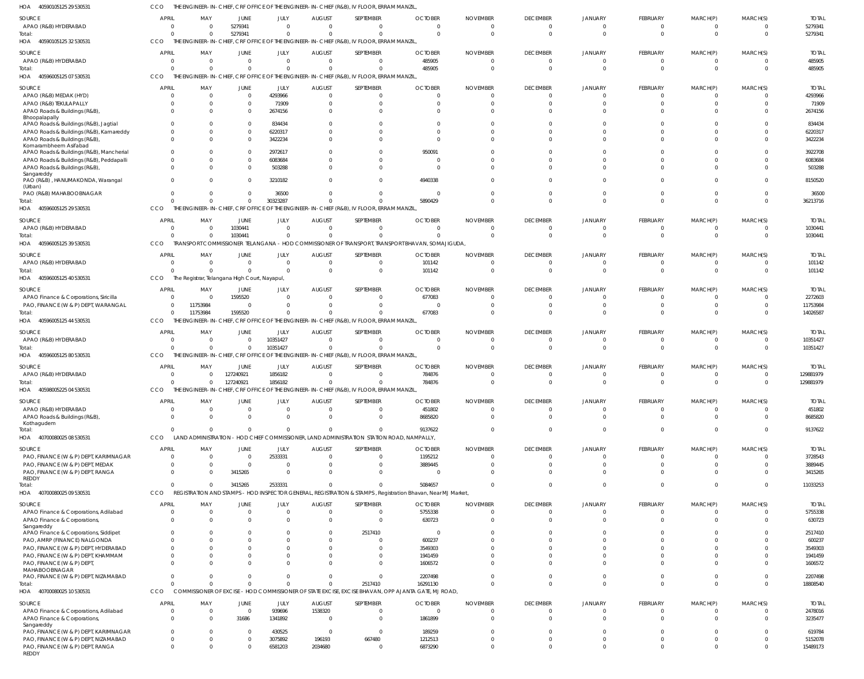40590105125 29 530531 HOA CCO THE ENGINEER-IN-CHIEF, CRF OFFICE OF THE ENGINEER-IN-CHIEF (R&B), IV FLOOR, ERRAM MANZIL,

| SOURCE                                                                     | APRIL          | MAY                                                  | JUNE                 | JULY                             | <b>AUGUST</b>        | SEPTEMBER                                                                                             | <b>OCTOBER</b>                                                                                               | <b>NOVEMBER</b>          | <b>DECEMBER</b>      | <b>JANUARY</b>       | <b>FEBRUARY</b>      | MARCH(P)                   | MARCH(S)                   | <b>TOTAL</b>         |
|----------------------------------------------------------------------------|----------------|------------------------------------------------------|----------------------|----------------------------------|----------------------|-------------------------------------------------------------------------------------------------------|--------------------------------------------------------------------------------------------------------------|--------------------------|----------------------|----------------------|----------------------|----------------------------|----------------------------|----------------------|
| APAO (R&B) HYDERABAD                                                       |                | $\mathbf 0$<br>$\Omega$                              | 5279341              | $\Omega$                         | $\Omega$             | $\Omega$                                                                                              | $\Omega$                                                                                                     | $\mathbf 0$              |                      |                      | $\Omega$             | $\Omega$                   | $\Omega$                   | 5279341              |
| Total:<br>40590105125 32 530531<br>HOA                                     | <b>CCO</b>     | $\Omega$<br>$\Omega$                                 | 5279341              | $\mathbf 0$                      | $\Omega$             | $\Omega$<br>THE ENGINEER-IN-CHIEF, CRF OFFICE OF THE ENGINEER-IN-CHIEF (R&B), IV FLOOR, ERRAM MANZIL, | $\Omega$                                                                                                     | $\Omega$                 | $\Omega$             |                      | $\Omega$             | - 0                        | $\overline{0}$             | 5279341              |
| <b>SOURCE</b>                                                              | <b>APRIL</b>   | MAY                                                  | JUNE                 | <b>JULY</b>                      | <b>AUGUST</b>        | SEPTEMBER                                                                                             | <b>OCTOBER</b>                                                                                               | <b>NOVEMBER</b>          | <b>DECEMBER</b>      | <b>JANUARY</b>       | <b>FEBRUARY</b>      | MARCH(P)                   | MARCH(S)                   | <b>TOTAL</b>         |
| APAO (R&B) HYDERABAD<br>Total:                                             | $\overline{0}$ | $\Omega$<br>$\Omega$<br>$\Omega$                     | $\Omega$<br>$\Omega$ | $\overline{0}$<br>$\overline{0}$ | $\Omega$<br>$\Omega$ | - 0<br>$\Omega$                                                                                       | 485905<br>485905                                                                                             | $\Omega$<br>$\mathbf 0$  | $\Omega$             | $\Omega$             | $\Omega$<br>$\Omega$ | $\overline{0}$<br>$\Omega$ | $\Omega$<br>$\Omega$       | 485905<br>485905     |
| 40596005125 07 530531<br>HOA                                               | <b>CCO</b>     |                                                      |                      |                                  |                      | THE ENGINEER-IN-CHIEF, CRF OFFICE OF THE ENGINEER-IN-CHIEF (R&B), IV FLOOR, ERRAM MANZIL              |                                                                                                              |                          |                      |                      |                      |                            |                            |                      |
| <b>SOURCE</b>                                                              | <b>APRIL</b>   | MAY                                                  | <b>JUNE</b>          | JULY                             | <b>AUGUST</b>        | SEPTEMBER                                                                                             | <b>OCTOBER</b>                                                                                               | <b>NOVEMBER</b>          | <b>DECEMBER</b>      | <b>JANUARY</b>       | <b>FEBRUARY</b>      | MARCH(P)                   | MARCH(S)                   | <b>TOTAL</b>         |
| APAO (R&B) MEDAK (HYD)                                                     |                | 0                                                    | $\Omega$             | 4293966                          | $\Omega$             | $\Omega$                                                                                              | $\Omega$                                                                                                     | $\Omega$                 |                      |                      | $\Omega$             | $\Omega$                   | $\Omega$                   | 4293966              |
| APAO (R&B) TEKULAPALLY                                                     |                | $\mathbf 0$<br>$\Omega$                              | $\Omega$             | 71909                            | $\Omega$             | $\Omega$                                                                                              | $\Omega$                                                                                                     | $\Omega$                 |                      |                      |                      |                            | $\Omega$                   | 71909                |
| APAO Roads & Buildings (R&B),<br>Bhoopalapally                             |                | $\Omega$                                             | $\Omega$             | 2674156                          | $\Omega$             | $\Omega$                                                                                              |                                                                                                              | $\Omega$                 |                      |                      |                      |                            |                            | 2674156              |
| APAO Roads & Buildings (R&B), Jagtial                                      |                | $\Omega$                                             |                      | 834434                           |                      | $\Omega$                                                                                              | $\Omega$                                                                                                     | $\Omega$                 |                      |                      |                      |                            | $\Omega$                   | 834434               |
| APAO Roads & Buildings (R&B), Kamareddy                                    |                | $\Omega$<br>$\Omega$                                 |                      | 6220317                          | $\cap$               | $\Omega$<br>$\Omega$                                                                                  | $\Omega$<br>$\Omega$                                                                                         | $\Omega$<br>$\Omega$     |                      |                      |                      | $\Omega$<br>$\Omega$       |                            | 6220317              |
| APAO Roads & Buildings (R&B),<br>Komarambheem Asifabad                     |                |                                                      | $\Omega$             | 3422234                          |                      |                                                                                                       |                                                                                                              |                          |                      |                      |                      |                            | $\Omega$                   | 3422234              |
| APAO Roads & Buildings (R&B), Mancherial                                   |                | $\Omega$                                             | $\Omega$             | 2972617                          |                      | $\Omega$                                                                                              | 950091                                                                                                       | $\Omega$                 |                      |                      |                      |                            | $\Omega$                   | 3922708              |
| APAO Roads & Buildings (R&B), Peddapalli                                   |                | $\Omega$<br>$\Omega$                                 |                      | 6083684                          | $\Omega$             | $\Omega$<br>$\Omega$                                                                                  | $\Omega$                                                                                                     | $\Omega$<br>$\Omega$     |                      |                      |                      | $\Omega$                   | $\Omega$<br>$\Omega$       | 6083684<br>503288    |
| APAO Roads & Buildings (R&B),<br>Sangareddy                                |                |                                                      |                      | 503288                           |                      |                                                                                                       |                                                                                                              |                          |                      |                      |                      |                            |                            |                      |
| PAO (R&B), HANUMAKONDA, Warangal                                           |                | $\Omega$                                             | $\Omega$             | 3210182                          |                      | $\Omega$                                                                                              | 4940338                                                                                                      | $\Omega$                 |                      |                      |                      | $\Omega$                   | $\Omega$                   | 8150520              |
| (Urban)<br>PAO (R&B) MAHABOOBNAGAR                                         |                | $\Omega$                                             | $\Omega$             | 36500                            | $\Omega$             | $\Omega$                                                                                              | $\Omega$                                                                                                     | $\Omega$                 |                      |                      | $\Omega$             | $\Omega$                   | $\Omega$                   | 36500                |
| Total:                                                                     |                | $\Omega$<br>$\Omega$                                 | $\Omega$             | 30323287                         | $\Omega$             | $\Omega$                                                                                              | 5890429                                                                                                      | $\Omega$                 |                      |                      | $\Omega$             | $\Omega$                   | $\Omega$                   | 36213716             |
| 40596005125 29 530531<br>HOA                                               | CCO            |                                                      |                      |                                  |                      | THE ENGINEER-IN-CHIEF, CRF OFFICE OF THE ENGINEER-IN-CHIEF (R&B), IV FLOOR, ERRAM MANZIL              |                                                                                                              |                          |                      |                      |                      |                            |                            |                      |
| <b>SOURCE</b>                                                              | <b>APRIL</b>   | MAY                                                  | JUNE                 | JULY                             | <b>AUGUST</b>        | SEPTEMBER                                                                                             | <b>OCTOBER</b>                                                                                               | <b>NOVEMBER</b>          | <b>DECEMBER</b>      | <b>JANUARY</b>       | <b>FEBRUARY</b>      | MARCH(P)                   | MARCH(S)                   | <b>TOTAL</b>         |
| APAO (R&B) HYDERABAD                                                       |                | 0<br>$\Omega$                                        | 1030441              | $\overline{0}$                   | $\Omega$             | $\overline{0}$                                                                                        | $\Omega$                                                                                                     | $\mathbf 0$              |                      |                      | $\Omega$             | $\Omega$                   | $\Omega$                   | 1030441              |
| Total:                                                                     | <b>CCO</b>     | $\Omega$<br>$\Omega$                                 | 1030441              | $\Omega$                         | $\Omega$             | $\Omega$                                                                                              | TRANSPORT COMMISSIONER TELANGANA - HOD COMMISSIONER OF TRANSPORT, TRANSPORT BHAVAN, SOMAJIGUDA,              | $\Omega$                 |                      |                      |                      | - 0                        | $\Omega$                   | 1030441              |
| 40596005125 39 530531<br>HOA                                               |                |                                                      |                      |                                  |                      |                                                                                                       |                                                                                                              |                          |                      |                      |                      |                            |                            |                      |
| SOURCE                                                                     | <b>APRIL</b>   | MAY                                                  | JUNE                 | JULY<br>$\Omega$                 | <b>AUGUST</b>        | SEPTEMBER                                                                                             | <b>OCTOBER</b>                                                                                               | <b>NOVEMBER</b>          | <b>DECEMBER</b>      | <b>JANUARY</b>       | <b>FEBRUARY</b>      | MARCH(P)                   | MARCH(S)                   | <b>TOTAL</b>         |
| APAO (R&B) HYDERABAD<br>Total:                                             |                | $\Omega$<br>$\Omega$<br>$\Omega$<br>$\Omega$         | $\Omega$<br>$\Omega$ | $\Omega$                         | $\Omega$<br>$\Omega$ | 0<br>$\overline{0}$                                                                                   | 101142<br>101142                                                                                             | $\Omega$<br>$\mathbf 0$  |                      |                      | 0<br>$\Omega$        | $\Omega$                   | $\Omega$<br>$\Omega$       | 101142<br>101142     |
| 40596005125 40 530531<br>HOA                                               | CCO            | The Registrar, Telangana High Court, Nayapul,        |                      |                                  |                      |                                                                                                       |                                                                                                              |                          |                      |                      |                      |                            |                            |                      |
| SOURCE                                                                     | <b>APRIL</b>   | MAY                                                  | JUNE                 | JULY                             | <b>AUGUST</b>        | SEPTEMBER                                                                                             | <b>OCTOBER</b>                                                                                               | <b>NOVEMBER</b>          | <b>DECEMBER</b>      | <b>JANUARY</b>       | <b>FEBRUARY</b>      | MARCH(P)                   | MARCH(S)                   | <b>TOTAL</b>         |
| APAO Finance & Corporations, Siricilla                                     |                | 0                                                    | 1595520              | $\Omega$                         | $\Omega$             | - 0                                                                                                   | 677083                                                                                                       | $\Omega$                 |                      |                      | $\Omega$             | $\Omega$                   | $\Omega$                   | 2272603              |
| PAO, FINANCE (W & P) DEPT, WARANGAL                                        |                | 11753984<br>$\mathbf 0$                              | $\Omega$             | $\Omega$                         | $\Omega$             | - 0                                                                                                   |                                                                                                              | $\Omega$                 |                      |                      | $\Omega$             | $\Omega$                   | $\Omega$                   | 11753984             |
| Total:                                                                     |                | $\mathbf 0$<br>11753984                              | 1595520              | $\Omega$                         | $\Omega$             | $\Omega$                                                                                              | 677083                                                                                                       | $\Omega$                 |                      |                      |                      | $\Omega$                   | $\Omega$                   | 14026587             |
| 40596005125 44 530531<br>HOA                                               | CCO            |                                                      |                      |                                  |                      | THE ENGINEER-IN-CHIEF, CRF OFFICE OF THE ENGINEER-IN-CHIEF (R&B), IV FLOOR, ERRAM MANZIL              |                                                                                                              |                          |                      |                      |                      |                            |                            |                      |
| SOURCE                                                                     | <b>APRIL</b>   | MAY                                                  | <b>JUNE</b>          | JULY                             | <b>AUGUST</b>        | SEPTEMBER                                                                                             | <b>OCTOBER</b>                                                                                               | <b>NOVEMBER</b>          | <b>DECEMBER</b>      | <b>JANUARY</b>       | <b>FEBRUARY</b>      | MARCH(P)                   | MARCH(S)                   | <b>TOTAL</b>         |
| APAO (R&B) HYDERABAD<br>Total:                                             |                | $\Omega$<br>$\Omega$<br>$\Omega$<br>$\Omega$         | $\Omega$<br>$\Omega$ | 10351427<br>10351427             | $\Omega$<br>$\Omega$ | $\Omega$<br>$\Omega$                                                                                  | $\Omega$<br>$\Omega$                                                                                         | 0<br>$\Omega$            |                      |                      | 0                    | $\Omega$<br>$\Omega$       | $\Omega$<br>$\Omega$       | 10351427<br>10351427 |
| 40596005125 80 530531<br>HOA                                               | <b>CCO</b>     |                                                      |                      |                                  |                      | THE ENGINEER-IN-CHIEF, CRF OFFICE OF THE ENGINEER-IN-CHIEF (R&B), IV FLOOR, ERRAM MANZIL,             |                                                                                                              |                          |                      |                      |                      |                            |                            |                      |
| SOURCE                                                                     | <b>APRIL</b>   | MAY                                                  | JUNE                 | JULY                             | <b>AUGUST</b>        | SEPTEMBER                                                                                             | <b>OCTOBER</b>                                                                                               | <b>NOVEMBER</b>          | <b>DECEMBER</b>      | <b>JANUARY</b>       | <b>FEBRUARY</b>      | MARCH(P)                   | MARCH(S)                   | <b>TOTAL</b>         |
| APAO (R&B) HYDERABAD                                                       |                | $\Omega$<br>$\Omega$                                 | 127240921            | 1856182                          | $\Omega$             | - 0                                                                                                   | 784876                                                                                                       | $\Omega$                 |                      |                      | $\Omega$             | $\Omega$                   | $\Omega$                   | 129881979            |
| Total:                                                                     |                | $\Omega$<br>$\Omega$                                 | 127240921            | 1856182                          | $\Omega$             | $\Omega$                                                                                              | 784876                                                                                                       | $\Omega$                 | $\Omega$             |                      | $\Omega$             | $\Omega$                   | $\Omega$                   | 129881979            |
| HOA 40598005225 04 530531                                                  | CCO            |                                                      |                      |                                  |                      | THE ENGINEER-IN-CHIEF, CRF OFFICE OF THE ENGINEER-IN-CHIEF (R&B), IV FLOOR, ERRAM MANZIL              |                                                                                                              |                          |                      |                      |                      |                            |                            |                      |
| SOURCE                                                                     | <b>APRIL</b>   | MAY                                                  | <b>JUNE</b>          | <b>JULY</b>                      | <b>AUGUST</b>        | SEPTEMBER                                                                                             | <b>OCTOBER</b>                                                                                               | <b>NOVEMBER</b>          | <b>DECEMBER</b>      | <b>JANUARY</b>       | <b>FEBRUARY</b>      | MARCH(P)                   | MARCH(S)                   | <b>TOTAL</b>         |
| APAO (R&B) HYDERABAD                                                       | $\overline{0}$ | $\Omega$                                             | $\overline{0}$       | $\mathbf 0$                      | $\Omega$             | $\overline{0}$                                                                                        | 451802                                                                                                       | $\overline{0}$           | $\Omega$             | $\Omega$             | $\Omega$             | $\overline{0}$             | - 0                        | 451802               |
| APAO Roads & Buildings (R&B),<br>Kothagudem                                |                | $\mathbf{0}$<br>$\Omega$                             | $\Omega$             | $\Omega$                         | $\Omega$             | $\overline{0}$                                                                                        | 8685820                                                                                                      | $\Omega$                 | $\Omega$             | $\Omega$             | $\Omega$             | $\Omega$                   | $\Omega$                   | 8685820              |
| Total:                                                                     |                | $\Omega$<br>$\Omega$                                 | $\overline{0}$       | $\overline{0}$                   | $\Omega$             | $\overline{0}$                                                                                        | 9137622                                                                                                      | $\mathbf 0$              | $\Omega$             | $\Omega$             | $\Omega$             | $\Omega$                   | $\Omega$                   | 9137622              |
| HOA<br>40700080025 08 530531                                               | <b>CCO</b>     |                                                      |                      |                                  |                      | LAND ADMINISTRATION - HOD CHIEF COMMISSIONER, LAND ADMINISTRATION STATION ROAD, NAMPALLY,             |                                                                                                              |                          |                      |                      |                      |                            |                            |                      |
| <b>SOURCE</b>                                                              | <b>APRIL</b>   | MAY                                                  | <b>JUNE</b>          | JULY                             | <b>AUGUST</b>        | SEPTEMBER                                                                                             | <b>OCTOBER</b>                                                                                               | <b>NOVEMBER</b>          | <b>DECEMBER</b>      | <b>JANUARY</b>       | <b>FEBRUARY</b>      | MARCH(P)                   | MARCH(S)                   | <b>TOTAL</b>         |
| PAO, FINANCE (W & P) DEPT, KARIMNAGAR                                      | $\overline{0}$ | $\Omega$                                             | $\Omega$             | 2533331                          | $\Omega$             | $\overline{0}$                                                                                        | 1195212                                                                                                      | $\mathbf 0$              | $\Omega$             | $\Omega$             | $\Omega$             | $\Omega$                   | $\Omega$                   | 3728543              |
| PAO, FINANCE (W & P) DEPT, MEDAK<br>PAO, FINANCE (W & P) DEPT, RANGA       |                | $\mathbf{0}$<br>$\Omega$<br>$\mathbf{0}$<br>$\Omega$ | $\Omega$<br>3415265  | $\overline{0}$<br>$\Omega$       | $\Omega$<br>$\Omega$ | $\overline{0}$<br>$\Omega$                                                                            | 3889445<br>$\Omega$                                                                                          | $\mathbf 0$<br>$\Omega$  | $\Omega$<br>$\Omega$ | $\Omega$<br>$\Omega$ | $\Omega$<br>$\Omega$ | $\overline{0}$<br>$\Omega$ | $\Omega$<br>$\Omega$       | 3889445<br>3415265   |
| REDDY                                                                      |                |                                                      |                      |                                  |                      |                                                                                                       |                                                                                                              |                          |                      |                      |                      |                            |                            |                      |
| Total:                                                                     |                | $\Omega$<br>$\Omega$                                 | 3415265              | 2533331                          | $\Omega$             | $\Omega$                                                                                              | 5084657                                                                                                      | $\Omega$                 | $\Omega$             | $\Omega$             | $\Omega$             | $\Omega$                   | $\Omega$                   | 11033253             |
| HOA<br>40700080025 09 530531                                               | CCO            |                                                      |                      |                                  |                      |                                                                                                       | REGISTRATION AND STAMPS - HOD INSPECTOR GENERAL, REGISTRATION & STAMPS, Registration Bhavan, Near MJ Market, |                          |                      |                      |                      |                            |                            |                      |
| SOURCE                                                                     | <b>APRIL</b>   | MAY                                                  | <b>JUNE</b>          | JULY                             | <b>AUGUST</b>        | SEPTEMBER                                                                                             | <b>OCTOBER</b>                                                                                               | <b>NOVEMBER</b>          | <b>DECEMBER</b>      | <b>JANUARY</b>       | FEBRUARY             | MARCH(P)                   | MARCH(S)                   | <b>TOTAL</b>         |
| APAO Finance & Corporations, Adilabad<br>APAO Finance & Corporations,      | $\overline{0}$ | $\Omega$<br>$\mathbf{0}$<br>$\Omega$                 | $\Omega$<br>$\Omega$ | $\overline{0}$<br>$\Omega$       | $\Omega$<br>$\Omega$ | $\overline{0}$<br>$\overline{0}$                                                                      | 5755338<br>630723                                                                                            | $\mathbf{0}$<br>$\Omega$ | $\Omega$             | $\Omega$             | $\Omega$<br>$\Omega$ | $\overline{0}$<br>$\Omega$ | $\overline{0}$<br>$\Omega$ | 5755338<br>630723    |
| Sangareddy                                                                 |                |                                                      |                      |                                  |                      |                                                                                                       |                                                                                                              |                          |                      |                      |                      |                            |                            |                      |
| APAO Finance & Corporations, Siddipet                                      |                | $\Omega$                                             |                      |                                  | $\Omega$             | 2517410                                                                                               | $\Omega$                                                                                                     | $\Omega$                 |                      |                      | $\Omega$             | $\Omega$                   | $\Omega$                   | 2517410              |
| PAO, AMRP (FINANCE) NALGONDA                                               |                | $\Omega$<br>$\Omega$<br>$\Omega$                     | $\Omega$             | $\Omega$                         | $\Omega$<br>$\Omega$ | $\Omega$<br>$\Omega$                                                                                  | 600237<br>3549303                                                                                            | $\Omega$<br>$\Omega$     |                      |                      | $\Omega$             | $\Omega$                   | $\Omega$                   | 600237<br>3549303    |
| PAO, FINANCE (W & P) DEPT, HYDERABAD<br>PAO, FINANCE (W & P) DEPT, KHAMMAM |                | $\Omega$<br>$\Omega$                                 | $\Omega$             | $\Omega$                         | $\Omega$             | $\Omega$                                                                                              | 1941459                                                                                                      | $\Omega$                 |                      |                      |                      | $\Omega$                   | $\Omega$                   | 1941459              |
| PAO, FINANCE (W & P) DEPT,                                                 |                | $\Omega$                                             | $\Omega$             |                                  | $\Omega$             | $\Omega$                                                                                              | 1606572                                                                                                      | $\Omega$                 |                      |                      |                      | $\Omega$                   | $\Omega$                   | 1606572              |
| MAHABOOBNAGAR<br>PAO, FINANCE (W & P) DEPT, NIZAMABAD                      |                | $\overline{0}$<br>$\Omega$                           | $\Omega$             | $\Omega$                         | $\Omega$             | $\overline{0}$                                                                                        | 2207498                                                                                                      | $\mathbf{0}$             |                      | $\cap$               | $\Omega$             | $\overline{0}$             | $\overline{0}$             | 2207498              |
| Total:                                                                     |                | $\Omega$<br>$\Omega$                                 | $\Omega$             | $\mathbf 0$                      | $\Omega$             | 2517410                                                                                               | 16291130                                                                                                     | $\mathbf 0$              | $\Omega$             | $\Omega$             | $\Omega$             | $\Omega$                   | $\mathbf 0$                | 18808540             |
| HOA<br>40700080025 10 530531                                               | CCO            |                                                      |                      |                                  |                      |                                                                                                       | COMMISSIONER OF EXCISE - HOD COMMISSIONER OF STATE EXCISE, EXCISE BHAVAN, OPP AJANTA GATE, MJ ROAD,          |                          |                      |                      |                      |                            |                            |                      |
| SOURCE                                                                     | <b>APRIL</b>   | MAY                                                  | <b>JUNE</b>          | JULY                             | <b>AUGUST</b>        | SEPTEMBER                                                                                             | <b>OCTOBER</b>                                                                                               | <b>NOVEMBER</b>          | <b>DECEMBER</b>      | <b>JANUARY</b>       | FEBRUARY             | MARCH(P)                   | MARCH(S)                   | <b>TOTAL</b>         |
| APAO Finance & Corporations, Adilabad                                      | $\overline{0}$ | $\Omega$                                             | $\Omega$             | 939696                           | 1538320              | $\overline{0}$                                                                                        | $\Omega$                                                                                                     | $\mathbf 0$              | $\Omega$             | $\Omega$             | $\mathbf{0}$         | $\overline{0}$             | $\overline{0}$             | 2478016              |
| APAO Finance & Corporations,                                               |                | $\mathbf{0}$<br>$\Omega$                             | 31686                | 1341892                          | $\Omega$             | $\overline{0}$                                                                                        | 1861899                                                                                                      | $\mathbf 0$              | $\Omega$             | $\Omega$             | $\Omega$             | $\Omega$                   | $\Omega$                   | 3235477              |
| Sangareddy<br>PAO, FINANCE (W & P) DEPT, KARIMNAGAR                        |                | $\mathbf 0$                                          | $\Omega$             | 430525                           | $\Omega$             | $\overline{0}$                                                                                        | 189259                                                                                                       | $\mathbf 0$              | $\Omega$             | $\cap$               | $\Omega$             | $\Omega$                   | $\Omega$                   | 619784               |
| PAO, FINANCE (W & P) DEPT, NIZAMABAD                                       |                | $\mathbf{0}$<br>$\Omega$                             | $\Omega$             | 3075892                          | 196193               | 667480                                                                                                | 1212513                                                                                                      | $\mathbf 0$              | $\Omega$             | $\Omega$             | $\Omega$             | $\Omega$                   | $\Omega$                   | 5152078              |
| PAO, FINANCE (W & P) DEPT, RANGA                                           |                | $\mathbf{0}$<br>$\Omega$                             | $\Omega$             | 6581203                          | 2034680              | $\overline{0}$                                                                                        | 6873290                                                                                                      | $\mathbf 0$              | $\Omega$             | $\Omega$             | $\Omega$             | $\Omega$                   | $\Omega$                   | 15489173             |
| REDDY                                                                      |                |                                                      |                      |                                  |                      |                                                                                                       |                                                                                                              |                          |                      |                      |                      |                            |                            |                      |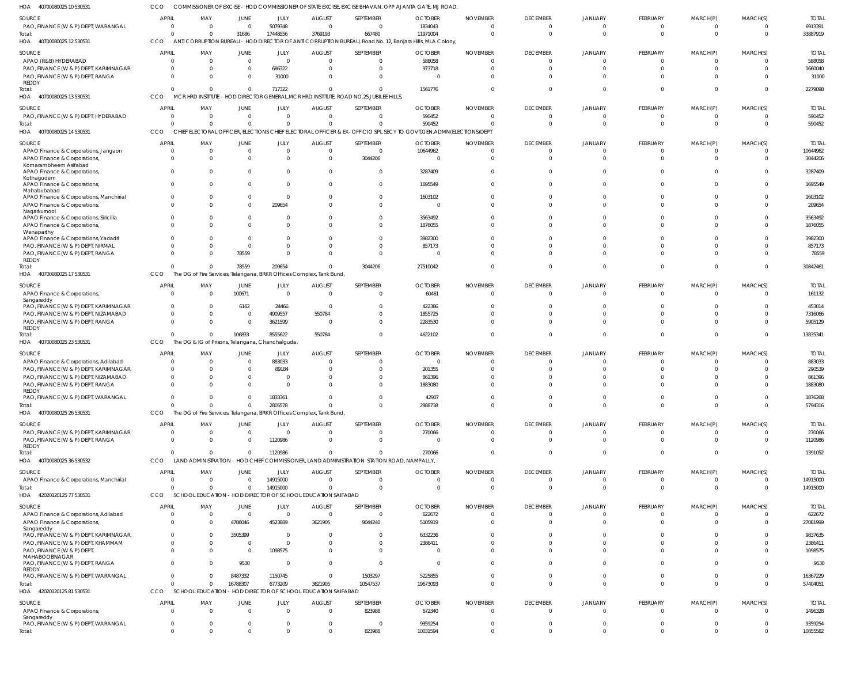40700080025 10 530531 HOA 40700080025 12 530531 HOA 40700080025 13 530531 40700080025 14 530531 HOA 40700080025 17 530531 HOA 40700080025 23 530531 HOA 40700080025 26 530531 HOA 40700080025 36 530532 42020120125 77 530531 HOA 42020120125 81 530531 HOA HOA HOA COMMISSIONER OF EXCISE - HOD COMMISSIONER OF STATE EXCISE, EXCISE BHAVAN, OPP AJANTA GATE, MJ ROAD, ANTI CORRUPTION BUREAU - HOD DIRECTOR OF ANTI CORRUPTION BUREAU, Road No. 12, Banjara Hills, MLA Colony, CCO MCR HRD INSTITUTE - HOD DIRECTOR GENERAL,MCR HRD INSTITUTE, ROAD NO.25,JUBILEE HILLS, CHIEF ELECTORAL OFFICER, ELECTIONS CHIEF ELECTORAL OFFICER & EX-OFFICIO SPL SECY TO GOVT,GEN.ADMN(ELECTIONS)DEPT The DG of Fire Services, Telangana, BRKR Offices Complex, Tank Bund, The DG & IG of Prisons, Telangana, Chanchalguda, The DG of Fire Services, Telangana, BRKR Offices Complex, Tank Bund, LAND ADMINISTRATION - HOD CHIEF COMMISSIONER, LAND ADMINISTRATION STATION ROAD, NAMPALLY, SCHOOL EDUCATION - HOD DIRECTOR OF SCHOOL EDUCATION SAIFABAD CCO SCHOOL EDUCATION - HOD DIRECTOR OF SCHOOL EDUCATION SAIFABAD CCO **CCO** CCO **CCO** CCO CCO CCO CCO 0  $\Omega$ 0 0 0  $\Omega$ 0  $\Omega$  $\Omega$  $\Omega$ 0  $\Omega$ 0 0 0 0 0 0  $\theta$ 0 31686  $\Omega$ 0 78559 106833 0 0  $\Omega$ 16788307 0 17448556 717322  $\bigcap$ 209654 8555622 2805578 1120986 14915000 6773209  $\Omega$ 3769193  $\Omega$ 0 0 550784 0 0  $\Omega$ 3621905 0 667480 0  $\bigcap$ 3044206 0 0 0 0 10547537 823988 11971004 1561776 590452 27510042 4622102 2988738 270066 0 19673093 10031594 0  $\Omega$  $\Omega$ 0 0  $\Omega$ 0 0  $\Omega$  $\Omega$ 0  $\Omega$  $\Omega$ 0 0  $\Omega$ 0 0  $\Omega$ 0 0  $\Omega$ 0 0 0 0 0 0 0 0 0  $\Omega$  $\Omega$ 0 0 0 0 0 0 0 0  $\Omega$ 0 0 0 0 0 0 0 0 0  $\Omega$  $\Omega$ 0 0  $\Omega$  $\Omega$ 0  $\Omega$  $\Omega$ 33887919 2279098 590452 30842461 13835341 5794316 1391052 14915000 57404051 10855582 PAO, FINANCE (W & P) DEPT, WARANGAL APAO (R&B) HYDERABAD PAO, FINANCE (W & P) DEPT, KARIMNAGAR PAO, FINANCE (W & P) DEPT, RANGA REDDY PAO, FINANCE (W & P) DEPT, HYDERABAD APAO Finance & Corporations, Jangaon APAO Finance & Corporations, Komarambheem Asifabad APAO Finance & Corporations, Kothagudem APAO Finance & Corporations, Mahabubabad APAO Finance & Corporations, Manchirial APAO Finance & Corporations, Nagarkurnool APAO Finance & Corporations, Siricilla APAO Finance & Corporations, Wanaparthy APAO Finance & Corporations, Yadadri PAO, FINANCE (W & P) DEPT, NIRMAL PAO, FINANCE (W & P) DEPT, RANGA REDDY APAO Finance & Corporations, **Sangareddy** PAO, FINANCE (W & P) DEPT, KARIMNAGAR PAO, FINANCE (W & P) DEPT, NIZAMABAD PAO, FINANCE (W & P) DEPT, RANGA REDDY APAO Finance & Corporations, Adilabad PAO, FINANCE (W & P) DEPT, KARIMNAGAR PAO, FINANCE (W & P) DEPT, NIZAMABAD PAO, FINANCE (W & P) DEPT, RANGA REDDY PAO, FINANCE (W & P) DEPT, WARANGAL PAO, FINANCE (W & P) DEPT, KARIMNAGAR PAO, FINANCE (W & P) DEPT, RANGA REDDY APAO Finance & Corporations, Manchirial APAO Finance & Corporations, Adilabad APAO Finance & Corporations, Sangareddy PAO, FINANCE (W & P) DEPT, KARIMNAGAR PAO, FINANCE (W & P) DEPT, KHAMMAM PAO, FINANCE (W & P) DEPT, MAHABOOBNAGAR PAO, FINANCE (W & P) DEPT, RANGA REDDY PAO, FINANCE (W & P) DEPT, WARANGAL APAO Finance & Corporations, Sangareddy PAO, FINANCE (W & P) DEPT, WARANGAL SOURCE SOURCE SOURCE **SOURCE** SOURCE SOURCE SOURCE SOURCE SOURCE SOURCE 0  $\mathfrak{c}$ 0 0  $\Omega$ 0  $\Omega$ 0  $\Omega$ 0  $\Omega$ 0  $\sqrt{2}$ 0  $\mathfrak{g}$  $\Omega$ 0 0 0 0 0 0 0  $\Omega$ 0 0  $\Omega$ 0 0 0 0 0 0 0 0 0 0 APRIL **APRIL** APRIL APRIL **APRIL** APRIL APRIL **APRIL** APRIL **APRIL** 0 0 0 0  $\Omega$ 0 0 0  $\Omega$  $\Omega$  $\Omega$  $\Omega$  $\Omega$  $\Omega$  $\Omega$ 0  $\,$  0  $\,$ 0 0 0 0 0 0 0 0 0 0 0 0 0 0 0 0 0 0 0 0 MAY MAY MAY MAY MAY MAY MAY MAY MAY MAY  $\Omega$ 0 0 0  $\sqrt{0}$  $\mathbf 0$ 0 0  $\Omega$  $\Omega$ 0 0  $\Omega$ 0  $\mathbf 0$ 78559 100671 6162 0 0 0 0 0 0  $\pmb{0}$  $\Omega$ 0 0  $\Omega$ 4786046 3505399 0  $\Omega$ 9530 8487332 0 0 JUNE **JUNE** JUNE JUNE JUNE JUNE JUNE JUNE JUNE JUNE 5079348 0 686322 31000  $\Omega$ 0  $\Omega$ 0  $\Omega$ 0 209654 0  $\bigcap$  $\Omega$ 0 0 0 24466 4909557 3621599 883033 89184 0 0 1833361 0 1120986 14915000 0 4523889 0 0 1098575 0 1150745 0 0 JULY JULY JULY JULY JULY JULY JULY JULY JULY JULY  $\Omega$ 0 0 0  $\Omega$ 0 0 0  $\Omega$  $\Omega$ 0 0 0 0 0 0 0  $\Omega$ 550784 0 0 0 0 0 0 0 0 0  $\Omega$ 3621905  $\theta$ 0  $\Omega$ 0 0 0 0 AUGUST AUGUST AUGUST AUGUST **AUGUST** AUGUST AUGUST AUGUST AUGUST AUGUST  $\Omega$ 0 0 0  $\Omega$  $\Omega$ 3044206 0  $\Omega$  $\Omega$ 0  $\Omega$  $\Omega$ 0  $\Omega$ 0 0 0 0 0 0 0 0 0 0 0 0 0 0 9044240 0 0 0 0 1503297 823988 0 SEPTEMBER **SEPTEMBER** SEPTEMBER SEPTEMBER **SEPTEMBER** SEPTEMBER SEPTEMBER SEPTEMBER SEPTEMBER SEPTEMBER 1834043 588058 973718  $\Omega$ 590452 10644962  $\Omega$ 3287409 1695549 1603102  $\Omega$ 3563492 1876055 3982300 857173 0 60461 422386 1855725 2283530 0 201355 861396 1883080 42907 270066 0 0 622672 5105919 6332236 2386411 0 0 5225855 672340 9359254 **OCTOBER OCTOBER** OCTOBER **OCTOBER OCTOBER OCTOBER** OCTOBER OCTOBER OCTOBER OCTOBER  $\Omega$ 0 0 0  $\Omega$ 0  $\Omega$ 0  $\Omega$ 0  $\Omega$  $\Omega$ 0  $\Omega$ 0  $\Omega$ 0  $\Omega$ 0 0 0 0  $\Omega$  $\Omega$ 0  $\Omega$  $\Omega$  $\Omega$  $\Omega$ 0  $\Omega$ 0  $\Omega$ 0 0  $\Omega$ 0 NOVEMBER NOVEMBER NOVEMBER NOVEMBER NOVEMBER NOVEMBER NOVEMBER NOVEMBER NOVEMBER NOVEMBER  $\Omega$ 0 0 0  $\Omega$ 0  $\Omega$ 0  $\Omega$  $\Omega$  $\Omega$  $\Omega$  $\Omega$  $\Omega$ 0  $\Omega$ 0 0 0 0 0 0 0 0 0 0 0  $\Omega$  $\Omega$ 0  $\theta$ 0 0 0 0 0 0 DECEMBER **DECEMBER** DECEMBER DECEMBER **DECEMBER DECEMBER** DECEMBER DECEMBER DECEMBER **DECEMBER** 0 0 0 0  $\Omega$ 0 0 0  $\Omega$ 0 0  $\Omega$  $\Omega$  $\Omega$  $\mathfrak{g}$  $\Omega$ 0 0  $\mathbf 0$ 0 0 0  $\Omega$ 0 0 0 0 0 0 0 0 0 0 0 0 0 0 JANUARY JANUARY JANUARY JANUARY JANUARY JANUARY JANUARY JANUARY JANUARY JANUARY  $\Omega$ 0 0 0  $\Omega$ 0  $\Omega$ 0  $\sqrt{2}$ 0  $\Omega$  $\Omega$  $\bigcap$  $\Omega$ 0 0 0  $\Omega$ 0 0 0 0  $\Omega$ 0 0 0  $\Omega$ 0  $\Omega$ 0  $\Omega$ 0  $\Omega$ 0 0 0 0 FEBRUARY **FEBRUARY** FEBRUARY FEBRUARY FEBRUARY FEBRUARY FEBRUARY FEBRUARY FEBRUARY FEBRUARY 0 0 0 0  $\Omega$ 0 0 0  $\Omega$  $\Omega$ 0  $\Omega$  $\Omega$ 0 0 0 0 0 0 0 0 0 0 0 0 0 0 0 0 0  $\theta$ 0 0 0 0 0 0 MARCH(P) MARCH(P) MARCH(P) MARCH(P) MARCH(P) MARCH(P) MARCH(P) MARCH(P) MARCH(P) MARCH(P)  $\Omega$ 0 0 0  $\Omega$ 0  $\Omega$ 0  $\Omega$ 0 0  $\Omega$  $\Omega$  $\Omega$ 0  $\Omega$ 0 0 0 0 0 0 0  $\Omega$ 0 0 0  $\Omega$  $\Omega$ 0 0 0  $\Omega$ 0 0  $\Omega$ 0 MARCH(S) MARCH(S) MARCH(S) MARCH(S) MARCH(S) MARCH(S) MARCH(S) MARCH(S) MARCH(S) MARCH(S) 6913391 588058 1660040 31000 590452 10644962 3044206 3287409 1695549 1603102 209654 3563492 1876055 3982300 857173 78559 161132 453014 7316066 5905129 883033 290539 861396 1883080 1876268 270066 1120986 14915000 622672 27081999 9837635 2386411 1098575 9530 16367229 1496328 9359254 TOTAL TOTAL TOTAL TOTAL TOTAL TOTAL TOTAL TOTAL TOTAL TOTAL Total: Total: Total: Total: Total: Total: Total: Total: Total: Total: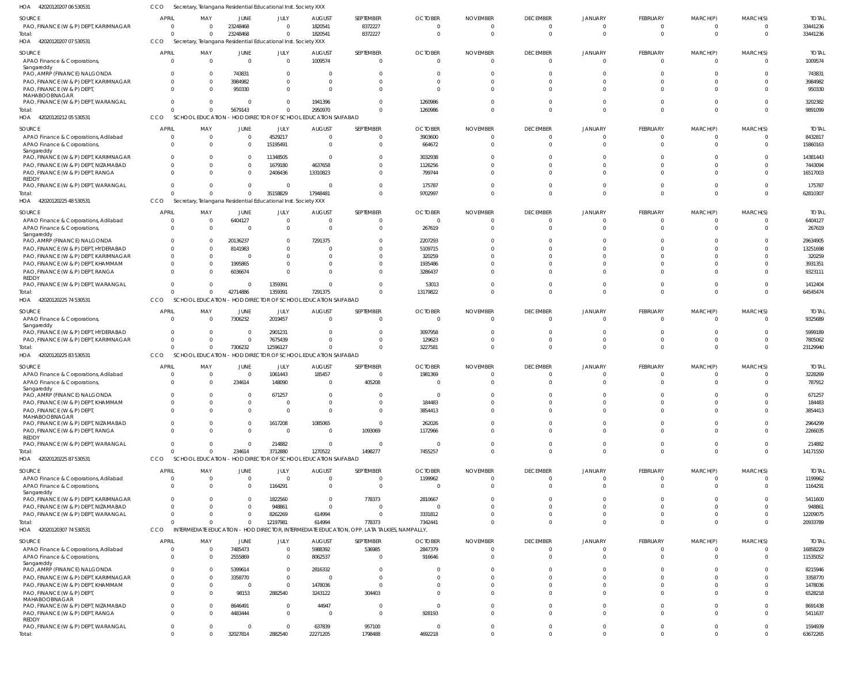| HOA<br>42020120207 06 530531                                             | CCO                      | Secretary, Telangana Residential Educational Inst. Society XXX |                                  |                           |                                             |                                                                                             |                            |                             |                             |                                  |                                  |                               |                      |                         |
|--------------------------------------------------------------------------|--------------------------|----------------------------------------------------------------|----------------------------------|---------------------------|---------------------------------------------|---------------------------------------------------------------------------------------------|----------------------------|-----------------------------|-----------------------------|----------------------------------|----------------------------------|-------------------------------|----------------------|-------------------------|
| SOURCE                                                                   | <b>APRIL</b>             | MAY                                                            | JUNE                             | JULY                      | <b>AUGUST</b>                               | SEPTEMBER                                                                                   | <b>OCTOBER</b>             | <b>NOVEMBER</b>             | <b>DECEMBER</b>             | <b>JANUARY</b>                   | FEBRUARY                         | MARCH(P)                      | MARCH(S)             | <b>TOTAI</b>            |
| PAO, FINANCE (W & P) DEPT, KARIMNAGAR                                    | $\Omega$                 | $\overline{\mathbf{0}}$                                        | 23248468                         | $\Omega$                  | 1820541                                     | 8372227                                                                                     | $\overline{0}$             | $\Omega$                    | 0                           | $\Omega$                         | $\mathbf{0}$                     | $^{\circ}$                    | $\Omega$             | 33441236                |
| Total:                                                                   | $\Omega$                 | $\Omega$                                                       | 23248468                         | $\Omega$                  | 1820541                                     | 8372227                                                                                     | $\Omega$                   | $\Omega$                    | $\overline{0}$              | $\Omega$                         | $\mathbf{0}$                     | $\overline{0}$                | $\Omega$             | 33441236                |
| 42020120207 07 530531<br>HOA                                             | <b>CCO</b>               | Secretary, Telangana Residential Educational Inst. Society XXX |                                  |                           |                                             |                                                                                             |                            |                             |                             |                                  |                                  |                               |                      |                         |
| SOURCE                                                                   | <b>APRIL</b>             | MAY                                                            | <b>JUNE</b>                      | JULY                      | <b>AUGUST</b>                               | SEPTEMBER                                                                                   | <b>OCTOBER</b>             | <b>NOVEMBER</b>             | <b>DECEMBER</b>             | <b>JANUARY</b>                   | FEBRUARY                         | MARCH(P)                      | MARCH(S)             | <b>TOTAL</b>            |
| APAO Finance & Corporations,                                             | $\Omega$                 | $\overline{0}$                                                 | $\overline{0}$                   | $\Omega$                  | 1009574                                     | 0                                                                                           | $\circ$                    | $\Omega$                    | $\overline{0}$              | $\overline{0}$                   | $\overline{0}$                   | $\overline{0}$                | $\Omega$             | 1009574                 |
| Sangareddy<br>PAO, AMRP (FINANCE) NALGONDA                               | $\Omega$                 | $\overline{0}$                                                 | 743831                           | - 0                       | - 0                                         |                                                                                             | -0                         |                             | $\Omega$                    |                                  | $\mathbf{0}$                     | $\mathbf{0}$                  |                      | 743831                  |
| PAO, FINANCE (W & P) DEPT, KARIMNAGAR                                    | $\Omega$                 | $\overline{0}$                                                 | 3984982                          | - 0                       | 0                                           |                                                                                             | $\Omega$                   |                             | $\Omega$                    | $\Omega$                         | $\mathbf 0$                      | $\Omega$                      | $\Omega$             | 3984982                 |
| PAO, FINANCE (W & P) DEPT,                                               | $\Omega$                 | $\Omega$                                                       | 950330                           | $\Omega$                  | $\Omega$                                    |                                                                                             | $\Omega$                   |                             | $\Omega$                    | $\Omega$                         | $\Omega$                         | $\mathbf 0$                   |                      | 950330                  |
| MAHABOOBNAGAR                                                            |                          |                                                                |                                  |                           |                                             |                                                                                             |                            |                             |                             |                                  |                                  |                               |                      |                         |
| PAO, FINANCE (W & P) DEPT, WARANGAL                                      | $\Omega$                 | $\Omega$                                                       | 0                                | $\Omega$                  | 1941396                                     |                                                                                             | 1260986                    |                             | $\Omega$                    |                                  | $\mathbf{0}$                     | $\mathbf 0$                   | $\Omega$             | 3202382                 |
| Total:                                                                   | $\Omega$                 | $\Omega$                                                       | 5679143                          |                           | 2950970                                     | $\Omega$                                                                                    | 1260986                    | $\Omega$                    | $\Omega$                    | $\Omega$                         | $\mathbf{0}$                     | $\overline{0}$                | $\Omega$             | 9891099                 |
| HOA 42020120212 05 530531                                                | <b>CCO</b>               | <b>SCHOOL EDUCATION</b>                                        |                                  |                           | HOD DIRECTOR OF SCHOOL EDUCATION SAIFABAD   |                                                                                             |                            |                             |                             |                                  |                                  |                               |                      |                         |
| SOURCE                                                                   | <b>APRIL</b>             | MAY                                                            | <b>JUNE</b>                      | JULY                      | <b>AUGUST</b>                               | SEPTEMBER                                                                                   | <b>OCTOBER</b>             | <b>NOVEMBER</b>             | <b>DECEMBER</b>             | <b>JANUARY</b>                   | FEBRUARY                         | MARCH(P)                      | MARCH(S)             | <b>TOTAL</b>            |
| APAO Finance & Corporations, Adilabad                                    | $\Omega$                 | $\overline{0}$                                                 | $\overline{0}$                   | 4529217                   | $\overline{0}$                              | 0                                                                                           | 3903600                    | $\Omega$                    | - 0                         | $\Omega$                         | $\Omega$                         | $\Omega$                      |                      | 8432817                 |
| APAO Finance & Corporations,                                             | $\Omega$                 | $\Omega$                                                       | $\mathbf 0$                      | 15195491                  | $\overline{0}$                              | 0                                                                                           | 664672                     | $\Omega$                    | $\Omega$                    | $\Omega$                         | $\mathbf 0$                      | $\mathbf 0$                   | $\Omega$             | 15860163                |
| Sangareddy                                                               |                          |                                                                |                                  |                           |                                             |                                                                                             |                            |                             |                             |                                  |                                  |                               |                      |                         |
| PAO, FINANCE (W & P) DEPT, KARIMNAGAR                                    | $\Omega$                 | $\Omega$                                                       | $\mathbf 0$                      | 11348505                  | - 0                                         |                                                                                             | 3032938                    |                             | $\Omega$                    |                                  | $\Omega$                         | $\Omega$                      |                      | 14381443                |
| PAO, FINANCE (W & P) DEPT, NIZAMABAD                                     | $\Omega$                 | $\Omega$                                                       | $^{\circ}$                       | 1679180                   | 4637658                                     |                                                                                             | 1126256                    |                             | $\Omega$                    | $\Omega$                         | $\Omega$                         | $\Omega$                      |                      | 7443094                 |
| PAO, FINANCE (W & P) DEPT, RANGA<br><b>REDDY</b>                         | $\Omega$                 | $\Omega$                                                       | $^{\circ}$                       | 2406436                   | 13310823                                    |                                                                                             | 799744                     |                             | $\Omega$                    | $\Omega$                         | $\Omega$                         | $\Omega$                      |                      | 16517003                |
| PAO, FINANCE (W & P) DEPT, WARANGAL                                      | $\Omega$                 | $\Omega$                                                       | $\overline{0}$                   | - 0                       | - 0                                         |                                                                                             | 175787                     | -0                          | $\Omega$                    | $\Omega$                         | $\mathbf{0}$                     | $\mathbf{0}$                  |                      | 175787                  |
| lotal:                                                                   | $\Omega$                 | $\Omega$                                                       | $\overline{0}$                   | 35158829                  | 17948481                                    | $\Omega$                                                                                    | 9702997                    | $\Omega$                    | $\Omega$                    | $\Omega$                         | $\Omega$                         | $\Omega$                      | $\Omega$             | 62810307                |
| HOA 42020120225 48 530531                                                | CCO                      | Secretary, Telangana Residential Educational Inst. Society XXX |                                  |                           |                                             |                                                                                             |                            |                             |                             |                                  |                                  |                               |                      |                         |
|                                                                          |                          |                                                                |                                  |                           |                                             |                                                                                             |                            |                             |                             |                                  |                                  |                               |                      |                         |
| SOURCE<br>APAO Finance & Corporations, Adilabad                          | <b>APRIL</b><br>$\Omega$ | MAY<br>$\overline{0}$                                          | JUNE<br>6404127                  | JULY<br>$\Omega$          | <b>AUGUST</b><br>0                          | SEPTEMBER                                                                                   | <b>OCTOBER</b><br>$\Omega$ | <b>NOVEMBER</b><br>$\Omega$ | <b>DECEMBER</b><br>$\Omega$ | <b>JANUARY</b><br>$\Omega$       | FEBRUARY<br>$\overline{0}$       | MARCH(P)<br>$\overline{0}$    | MARCH(S)<br>$\Omega$ | <b>TOTAL</b><br>6404127 |
|                                                                          | $\Omega$                 | $\overline{0}$                                                 | $\overline{0}$                   | $\Omega$                  | 0                                           | $\Omega$                                                                                    | 267619                     | $\sqrt{ }$                  | $\Omega$                    | $\Omega$                         | $\mathbf{0}$                     | $\overline{0}$                | $\Omega$             | 267619                  |
| APAO Finance & Corporations,<br>Sangareddy                               |                          |                                                                |                                  |                           |                                             |                                                                                             |                            |                             |                             |                                  |                                  |                               |                      |                         |
| PAO, AMRP (FINANCE) NALGONDA                                             |                          | 0                                                              | 20136237                         | - 0                       | 7291375                                     |                                                                                             | 2207293                    |                             | $\Omega$                    |                                  | $\Omega$                         | $\Omega$                      |                      | 29634905                |
| PAO, FINANCE (W & P) DEPT, HYDERABAD                                     | $\Omega$                 | - 0                                                            | 8141983                          | - 0                       | $\Omega$                                    |                                                                                             | 5109715                    |                             | $\Omega$                    |                                  | $\Omega$                         | $\Omega$                      |                      | 13251698                |
| PAO, FINANCE (W & P) DEPT, KARIMNAGAR                                    | $\Omega$                 | $\overline{0}$                                                 | - 0                              |                           | 0                                           |                                                                                             | 320259                     |                             | $\Omega$                    |                                  | $\Omega$                         | $\Omega$                      |                      | 320259                  |
| PAO, FINANCE (W & P) DEPT, KHAMMAM                                       | $\Omega$                 | $\overline{0}$                                                 | 1995865                          |                           | -0                                          |                                                                                             | 1935486                    |                             | $\Omega$                    |                                  | $\Omega$                         | $\Omega$                      | $\Omega$             | 3931351                 |
| PAO, FINANCE (W & P) DEPT, RANGA                                         | $\Omega$                 | $\Omega$                                                       | 6036674                          |                           | $\Omega$                                    |                                                                                             | 3286437                    |                             | $\Omega$                    |                                  | $\Omega$                         | $\Omega$                      |                      | 9323111                 |
| <b>REDDY</b><br>PAO, FINANCE (W & P) DEPT, WARANGAL                      | $\Omega$                 | $\overline{0}$                                                 | 0                                | 1359391                   | - 0                                         | $\Omega$                                                                                    | 53013                      | -0                          | $\Omega$                    | $\Omega$                         | $\mathbf 0$                      | $\overline{0}$                | $\Omega$             | 1412404                 |
| Total:                                                                   | $\Omega$                 | $\Omega$                                                       | 42714886                         | 1359391                   | 7291375                                     | $\Omega$                                                                                    | 13179822                   |                             | $\Omega$                    | $\Omega$                         | $\mathbf 0$                      | $\mathbf 0$                   | $\Omega$             | 64545474                |
| HOA 42020120225 74 530531                                                | CCO                      | SCHOOL EDUCATION                                               |                                  |                           | - HOD DIRECTOR OF SCHOOL EDUCATION SAIFABAD |                                                                                             |                            |                             |                             |                                  |                                  |                               |                      |                         |
|                                                                          |                          |                                                                |                                  |                           |                                             |                                                                                             |                            |                             |                             |                                  |                                  |                               |                      |                         |
| SOURCE                                                                   | <b>APRIL</b>             | MAY                                                            | JUNE                             | JULY                      | <b>AUGUST</b>                               | SEPTEMBER                                                                                   | <b>OCTOBER</b>             | <b>NOVEMBER</b>             | <b>DECEMBER</b>             | <b>JANUARY</b>                   | FEBRUARY                         | MARCH(P)                      | MARCH(S)             | <b>TOTAL</b>            |
| APAO Finance & Corporations,                                             | $\Omega$                 | $\Omega$                                                       | 7306232                          | 2019457                   | $\overline{0}$                              | $\Omega$                                                                                    | $\Omega$                   | $\Omega$                    | $\Omega$                    | $\Omega$                         | $\Omega$                         | $\overline{0}$                | $\Omega$             | 9325689                 |
| Sangareddy<br>PAO, FINANCE (W & P) DEPT, HYDERABAD                       | $\Omega$                 | - 0                                                            | $\overline{0}$                   | 2901231                   | 0                                           |                                                                                             | 3097958                    |                             | - 0                         | $\Omega$                         | $\Omega$                         | $\Omega$                      |                      | 5999189                 |
| PAO, FINANCE (W & P) DEPT, KARIMNAGAR                                    | $\Omega$                 | $\overline{0}$                                                 | $\overline{0}$                   | 7675439                   | $\Omega$                                    |                                                                                             | 129623                     | $\Omega$                    | $\Omega$                    | $\Omega$                         | $\mathbf{0}$                     | $\mathbf 0$                   |                      | 7805062                 |
| Total:                                                                   | $\Omega$                 | $\Omega$                                                       | 7306232                          | 12596127                  | $\Omega$                                    | $\Omega$                                                                                    | 3227581                    | $\Omega$                    | $\Omega$                    | $\Omega$                         | $\Omega$                         | $\Omega$                      | $\Omega$             | 23129940                |
| HOA 42020120225 83 530531                                                | CCO                      | <b>SCHOOL EDUCATION</b>                                        |                                  |                           | - HOD DIRECTOR OF SCHOOL EDUCATION SAIFABAD |                                                                                             |                            |                             |                             |                                  |                                  |                               |                      |                         |
| SOURCE                                                                   | <b>APRIL</b>             | MAY                                                            | <b>JUNE</b>                      | JULY                      | <b>AUGUST</b>                               | SEPTEMBER                                                                                   | <b>OCTOBER</b>             | <b>NOVEMBER</b>             | <b>DECEMBER</b>             | <b>JANUARY</b>                   | FEBRUARY                         | MARCH(P)                      | MARCH(S)             | <b>TOTAL</b>            |
| APAO Finance & Corporations, Adilabad                                    | $\Omega$                 | 0                                                              | $\overline{0}$                   | 1061443                   | 185457                                      |                                                                                             | 1981369                    | $\Omega$                    | $\Omega$                    | $\Omega$                         | $\overline{0}$                   | $\mathbf{0}$                  | $\Omega$             | 3228269                 |
| APAO Finance & Corporations,                                             | $\Omega$                 |                                                                |                                  |                           |                                             |                                                                                             |                            |                             |                             |                                  |                                  |                               |                      | 787912                  |
| Sangareddy                                                               |                          | $\overline{0}$                                                 |                                  |                           | $\overline{0}$                              |                                                                                             | $\Omega$                   | $\Omega$                    | $\Omega$                    | $\Omega$                         |                                  |                               | $\Omega$             |                         |
| PAO, AMRP (FINANCE) NALGONDA                                             |                          |                                                                | 234614                           | 148090                    |                                             | 405208                                                                                      |                            |                             |                             |                                  | $\overline{0}$                   | $\overline{0}$                |                      |                         |
| PAO, FINANCE (W & P) DEPT, KHAMMAM                                       | $\Omega$                 | $\Omega$                                                       | $\overline{0}$                   | 671257                    | $\Omega$                                    |                                                                                             | $\Omega$                   | $\Omega$                    | $\Omega$                    | $\Omega$                         | $\mathbf 0$                      | $\mathbf 0$                   | $\Omega$             | 671257                  |
|                                                                          | $\Omega$                 | $\overline{0}$                                                 | $\mathbf 0$                      | $\Omega$                  | 0                                           | 0                                                                                           | 184483                     |                             | $\overline{0}$              | $\Omega$                         | $\overline{0}$                   | $\mathbf 0$                   | $\Omega$             | 184483                  |
| PAO, FINANCE (W & P) DEPT,                                               | $\Omega$                 | $\Omega$                                                       | $^{\circ}$                       | $\Omega$                  | $\Omega$                                    | $\Omega$                                                                                    | 3854413                    | $\Omega$                    | $\Omega$                    | $\Omega$                         | $\mathbf 0$                      | $\mathbf{0}$                  | $\Omega$             | 3854413                 |
| MAHABOOBNAGAR                                                            | $\Omega$                 |                                                                |                                  |                           |                                             |                                                                                             |                            | -0                          |                             | $\Omega$                         |                                  |                               | $\Omega$             |                         |
| PAO, FINANCE (W & P) DEPT, NIZAMABAD<br>PAO, FINANCE (W & P) DEPT, RANGA | $\Omega$                 | $\mathbf{0}$<br>$\Omega$                                       | $\overline{0}$<br>$\overline{0}$ | 1617208<br>$\overline{0}$ | 1085065<br>$\overline{0}$                   | $\mathbf 0$<br>1093069                                                                      | 262026<br>1172966          | $\Omega$                    | $\overline{0}$<br>$\Omega$  | $\Omega$                         | $\overline{0}$<br>$\overline{0}$ | $\mathbf 0$<br>$\overline{0}$ | $\Omega$             | 2964299<br>2266035      |
| REDDY                                                                    |                          |                                                                |                                  |                           |                                             |                                                                                             |                            |                             |                             |                                  |                                  |                               |                      |                         |
| PAO, FINANCE (W & P) DEPT, WARANGAL                                      | $\mathbf{0}$             | $\overline{0}$                                                 | $\overline{0}$                   | 214882                    | 0                                           | $\mathbf 0$                                                                                 | - 0                        | $\Omega$                    | $\overline{0}$              | $\overline{0}$                   | $\mathbf 0$                      | $\overline{0}$                | $\overline{0}$       | 214882                  |
| Total:                                                                   | $\Omega$                 | $\Omega$                                                       | 234614                           | 3712880                   | 1270522                                     | 1498277                                                                                     | 7455257                    | $\Omega$                    | $\Omega$                    | $\Omega$                         | $\mathbf{0}$                     | $\overline{0}$                | $\Omega$             | 14171550                |
| HOA 42020120225 87 530531                                                | <b>CCO</b>               | <b>SCHOOL EDUCATION</b>                                        |                                  |                           | HOD DIRECTOR OF SCHOOL EDUCATION SAIFABAD   |                                                                                             |                            |                             |                             |                                  |                                  |                               |                      |                         |
| SOURCE                                                                   | <b>APRIL</b>             | MAY                                                            | <b>JUNE</b>                      | <b>JULY</b>               | <b>AUGUST</b>                               | SEPTEMBER                                                                                   | <b>OCTOBER</b>             | <b>NOVEMBER</b>             | <b>DECEMBER</b>             | <b>JANUARY</b>                   | <b>FEBRUARY</b>                  | MARCH(P)                      | MARCH(S)             | <b>TOTAL</b>            |
| APAO Finance & Corporations, Adilabad                                    | $\Omega$                 | $\overline{0}$                                                 | $\overline{0}$                   | $\Omega$                  | $\overline{0}$                              | $\mathbf{0}$                                                                                | 1199962                    | $\Omega$                    | $\overline{0}$              | $\Omega$                         | $\overline{0}$                   | $\overline{0}$                | $\Omega$             | 1199962                 |
| APAO Finance & Corporations,                                             | $\Omega$                 | $\Omega$                                                       | $\mathbf 0$                      | 1164291                   | $\overline{0}$                              | $\mathbf 0$                                                                                 | $\Omega$                   | $\Omega$                    | $\Omega$                    | $\Omega$                         | $\Omega$                         | $\Omega$                      | $\Omega$             | 1164291                 |
| Sangareddy                                                               |                          |                                                                |                                  |                           |                                             |                                                                                             |                            |                             |                             |                                  |                                  |                               |                      |                         |
| PAO, FINANCE (W & P) DEPT, KARIMNAGAR                                    | $\Omega$                 | n                                                              | $\mathbf 0$                      | 1822560                   | $\overline{0}$                              | 778373                                                                                      | 2810667                    |                             | $\Omega$                    | $\Omega$                         | $\Omega$                         | $\Omega$                      |                      | 5411600                 |
| PAO, FINANCE (W & P) DEPT, NIZAMABAD                                     | $\Omega$                 | $\Omega$                                                       | $\Omega$                         | 948861                    | $\overline{0}$                              | $\Omega$                                                                                    | $\Omega$                   | - 0                         | $\Omega$                    | $\Omega$                         | $\Omega$                         | $\Omega$                      |                      | 948861                  |
| PAO, FINANCE (W & P) DEPT, WARANGAL                                      | $\Omega$<br>$\Omega$     | $\Omega$<br>$\Omega$                                           | $\Omega$                         | 8262269                   | 614994                                      | $\mathbf{0}$                                                                                | 3331812                    | $\Omega$<br>$\Omega$        | $\Omega$<br>$\Omega$        | $\Omega$<br>$\Omega$             | $\mathbf{0}$<br>$\Omega$         | $\mathbf{0}$<br>$\Omega$      | $\Omega$             | 12209075                |
| Total:                                                                   | CCO                      |                                                                | $\overline{0}$                   | 12197981                  | 614994                                      | 778373                                                                                      | 7342441                    |                             |                             |                                  |                                  |                               |                      | 20933789                |
| 42020120307 74 530531<br>HOA                                             |                          |                                                                |                                  |                           |                                             | INTERMEDIATE EDUCATION - HOD DIRECTOR, INTERMEDIATE EDUCATION, OPP. LATA TALKIES, NAMPALLY, |                            |                             |                             |                                  |                                  |                               |                      |                         |
| SOURCE                                                                   | APRIL                    | MAY                                                            | JUNE                             | JULY                      | <b>AUGUST</b>                               | SEPTEMBER                                                                                   | <b>OCTOBER</b>             | <b>NOVEMBER</b>             | <b>DECEMBER</b>             | <b>JANUARY</b>                   | FEBRUARY                         | MARCH(P)                      | MARCH(S)             | <b>TOTAL</b>            |
| APAO Finance & Corporations, Adilabad                                    | $\Omega$                 | $\overline{0}$                                                 | 7485473                          | $\overline{0}$            | 5988392                                     | 536985                                                                                      | 2847379                    | $\Omega$                    | $\overline{\mathbf{0}}$     | $\overline{0}$                   | $\overline{0}$                   | $\mathbf 0$                   | $\Omega$             | 16858229                |
| APAO Finance & Corporations,                                             | $\Omega$                 | $\overline{0}$                                                 | 2555869                          | $\Omega$                  | 8062537                                     | 0                                                                                           | 916646                     | - 0                         | $\Omega$                    | $\Omega$                         | $\overline{0}$                   | $\overline{0}$                | $\Omega$             | 11535052                |
| Sangareddy<br>PAO, AMRP (FINANCE) NALGONDA                               | $\Omega$                 | $\overline{0}$                                                 | 5399614                          | $\Omega$                  | 2816332                                     | $\Omega$                                                                                    | $\Omega$                   | - 0                         | $\Omega$                    | $\Omega$                         | $\Omega$                         | $\Omega$                      | $\Omega$             | 8215946                 |
| PAO, FINANCE (W & P) DEPT, KARIMNAGAR                                    | $\Omega$                 | $\overline{0}$                                                 | 3358770                          | $\Omega$                  | 0                                           | $\mathbf 0$                                                                                 | $\Omega$                   |                             | $\Omega$                    | $\Omega$                         | $\Omega$                         | $\Omega$                      | $\Omega$             | 3358770                 |
| PAO, FINANCE (W & P) DEPT, KHAMMAM                                       | $\Omega$                 | $\mathbf{0}$                                                   | - 0                              | $\Omega$                  | 1478036                                     | $\Omega$                                                                                    | $\Omega$                   |                             | $\Omega$                    | $\Omega$                         | $\Omega$                         | $\Omega$                      | $\Omega$             | 1478036                 |
| PAO, FINANCE (W & P) DEPT,                                               | $\Omega$                 | $\Omega$                                                       | 98153                            | 2882540                   | 3243122                                     | 304403                                                                                      | $\Omega$                   |                             | $\Omega$                    | $\Omega$                         | $\Omega$                         | $\Omega$                      | $\Omega$             | 6528218                 |
| MAHABOOBNAGAR                                                            |                          |                                                                |                                  |                           |                                             |                                                                                             |                            |                             |                             |                                  |                                  |                               |                      |                         |
| PAO, FINANCE (W & P) DEPT, NIZAMABAD                                     | $\Omega$                 | $\Omega$                                                       | 8646491                          | $\Omega$                  | 44947                                       | $\Omega$                                                                                    | $\overline{0}$             | - 0                         | $\Omega$                    | $\Omega$                         | $\Omega$                         | $\mathbf 0$                   | $\Omega$             | 8691438                 |
| PAO, FINANCE (W & P) DEPT, RANGA<br>REDDY                                | $\Omega$                 | $\Omega$                                                       | 4483444                          | $\Omega$                  | 0                                           | $\mathbf 0$                                                                                 | 928193                     |                             | $\Omega$                    | $\Omega$                         | $\Omega$                         | $\Omega$                      | $\Omega$             | 5411637                 |
| PAO, FINANCE (W & P) DEPT, WARANGAL                                      | $\Omega$<br>$\mathbf 0$  | $\Omega$                                                       | - 0<br>32027814                  | $\Omega$<br>2882540       | 637839<br>22271205                          | 957100<br>1798488                                                                           | - 0<br>4692218             | $\Omega$                    | $\overline{0}$<br>$\Omega$  | $\overline{0}$<br>$\overline{0}$ | $\overline{0}$<br>$\Omega$       | $\mathbf 0$<br>$\mathbf 0$    | $\Omega$<br>$\Omega$ | 1594939<br>63672265     |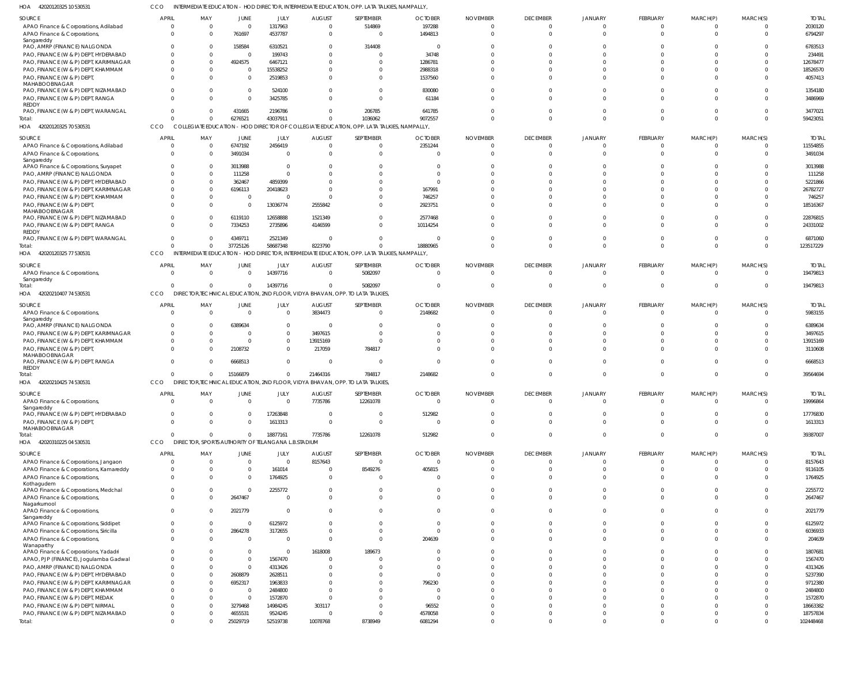42020120325 10 530531 HOA CCO INTERMEDIATE EDUCATION - HOD DIRECTOR, INTERMEDIATE EDUCATION, OPP. LATA TALKIES, NAMPALLY,

| SOURCE                                                                      | <b>APRIL</b>               | MAY                                                             | JUNE                       | JULY                    | <b>AUGUST</b>                 | SEPTEMBER                                                                                   | <b>OCTOBER</b>             | <b>NOVEMBER</b>             | <b>DECEMBER</b>             | JANUARY              | FEBRUARY                   | MARCH(P)             | MARCH(S)             | <b>TOTAL</b>             |
|-----------------------------------------------------------------------------|----------------------------|-----------------------------------------------------------------|----------------------------|-------------------------|-------------------------------|---------------------------------------------------------------------------------------------|----------------------------|-----------------------------|-----------------------------|----------------------|----------------------------|----------------------|----------------------|--------------------------|
| APAO Finance & Corporations, Adilabad                                       | $\Omega$                   | $\overline{0}$                                                  | 0                          | 1317963                 | $\overline{0}$                | 514869                                                                                      | 197288                     | $\Omega$                    | $\Omega$                    |                      | $\overline{0}$             | $\Omega$             |                      | 2030120                  |
| APAO Finance & Corporations,<br>Sangareddy                                  | $\Omega$                   | $\Omega$                                                        | 761697                     | 4537787                 | 0                             | $\Omega$                                                                                    | 1494813                    | $\Omega$                    | $\Omega$                    |                      | $\Omega$                   | $\Omega$             | $\Omega$             | 6794297                  |
| PAO, AMRP (FINANCE) NALGONDA                                                | $\Omega$                   | - 0                                                             | 158584                     | 6310521                 | - 0                           | 314408                                                                                      | 0                          | 0                           |                             |                      |                            |                      |                      | 6783513                  |
| PAO, FINANCE (W & P) DEPT, HYDERABAD                                        | <sup>0</sup>               | $\Omega$                                                        | 0                          | 199743                  | $\Omega$                      |                                                                                             | 34748                      | $\sqrt{ }$                  |                             |                      |                            |                      |                      | 234491                   |
| PAO, FINANCE (W & P) DEPT, KARIMNAGAR                                       | $\Omega$                   | $\Omega$                                                        | 4924575                    | 6467121                 | $\Omega$                      |                                                                                             | 1286781                    | ſ                           |                             |                      | $\Omega$                   |                      |                      | 12678477                 |
| PAO, FINANCE (W & P) DEPT, KHAMMAM                                          | $\Omega$                   | $\Omega$                                                        | - 0                        | 15538252                | $\Omega$                      |                                                                                             | 2988318                    | ſ                           |                             |                      |                            |                      |                      | 18526570                 |
| PAO, FINANCE (W & P) DEPT,<br>MAHABOOBNAGAR                                 | $\Omega$                   | $\Omega$                                                        | $\Omega$                   | 2519853                 | $\Omega$                      |                                                                                             | 1537560                    | ſ                           |                             |                      | $\Omega$                   |                      |                      | 4057413                  |
| PAO, FINANCE (W & P) DEPT, NIZAMABAD<br>PAO, FINANCE (W & P) DEPT, RANGA    | $\Omega$                   | $\Omega$<br>$\Omega$                                            | $\overline{0}$<br>$\Omega$ | 524100<br>3425785       | $\Omega$<br>$\Omega$          | <sup>0</sup>                                                                                | 830080<br>61184            | ſ<br>ſ                      |                             |                      | $\Omega$                   |                      |                      | 1354180<br>3486969       |
| REDDY<br>PAO, FINANCE (W & P) DEPT, WARANGAL                                | $\Omega$                   | $\Omega$                                                        | 431665                     | 2196786                 | $\Omega$                      | 206785                                                                                      | 641785                     | $\Omega$                    |                             |                      | $\Omega$                   | $\Omega$             |                      | 3477021                  |
| Total:                                                                      | $\Omega$                   | $\Omega$                                                        | 6276521                    | 43037911                | $\Omega$                      | 1036062                                                                                     | 9072557                    | $\Omega$                    | $\Omega$                    | $\Omega$             | $\Omega$                   | $\Omega$             | $\Omega$             | 59423051                 |
| HOA 42020120325 70 530531                                                   | CCO                        |                                                                 |                            |                         |                               | COLLEGIATE EDUCATION - HOD DIRECTOR OF COLLEGIATE EDUCATION, OPP. LATA TALKIES, NAMPALLY,   |                            |                             |                             |                      |                            |                      |                      |                          |
| SOURCE                                                                      | <b>APRIL</b>               | MAY                                                             | JUNE                       | JULY                    | <b>AUGUST</b>                 | SEPTEMBER                                                                                   | <b>OCTOBER</b>             | <b>NOVEMBER</b>             | <b>DECEMBER</b>             | <b>JANUARY</b>       | FEBRUARY                   | MARCH(P)             | MARCH(S)             | <b>TOTAL</b>             |
| APAO Finance & Corporations, Adilabad                                       | $\Omega$                   | $\overline{0}$                                                  | 6747192                    | 2456419                 | $\Omega$                      | $\Omega$                                                                                    | 2351244                    | 0                           | $\Omega$                    |                      | $\Omega$                   | 0                    | $\Omega$             | 11554855                 |
| APAO Finance & Corporations,<br>Sangareddy                                  | $\Omega$                   | $\Omega$                                                        | 3491034                    | - 0                     | $\Omega$                      |                                                                                             | $\Omega$                   | $\Omega$                    | $\Omega$                    |                      | $\Omega$                   | $\Omega$             |                      | 3491034                  |
| APAO Finance & Corporations, Suryapet                                       | <sup>0</sup>               | $\Omega$                                                        | 3013988                    | - 0                     | -0                            |                                                                                             | 0                          | 0                           |                             |                      | $\Omega$                   |                      |                      | 3013988                  |
| PAO, AMRP (FINANCE) NALGONDA                                                |                            | $\Omega$                                                        | 111258                     |                         | $\Omega$                      |                                                                                             | $\Omega$                   |                             |                             |                      |                            |                      |                      | 111258                   |
| PAO, FINANCE (W & P) DEPT, HYDERABAD                                        |                            | $\Omega$<br>$\Omega$                                            | 362467                     | 4859399                 | $\Omega$<br>ſ                 |                                                                                             | ſ                          |                             |                             |                      |                            |                      |                      | 5221866                  |
| PAO, FINANCE (W & P) DEPT, KARIMNAGAR<br>PAO, FINANCE (W & P) DEPT, KHAMMAM | $\Omega$                   | $\Omega$                                                        | 6196113<br>0               | 20418623                | ſ                             |                                                                                             | 167991<br>746257           |                             |                             |                      |                            |                      |                      | 26782727<br>746257       |
| PAO, FINANCE (W & P) DEPT,<br>MAHABOOBNAGAR                                 |                            | $\Omega$                                                        | - 0                        | 13036774                | 2555842                       |                                                                                             | 2923751                    |                             |                             |                      |                            |                      |                      | 18516367                 |
| PAO, FINANCE (W & P) DEPT, NIZAMABAD                                        | $\Omega$                   | $\Omega$                                                        | 6119110                    | 12658888                | 1521349                       |                                                                                             | 2577468                    | ſ                           |                             |                      | $\Omega$                   | $\Omega$             |                      | 22876815                 |
| PAO, FINANCE (W & P) DEPT, RANGA<br><b>REDDY</b>                            | <sup>0</sup>               | $\Omega$                                                        | 7334253                    | 2735896                 | 4146599                       |                                                                                             | 10114254                   | ſ                           |                             |                      | $\Omega$                   |                      |                      | 24331002                 |
| PAO, FINANCE (W & P) DEPT, WARANGAL<br>Total:                               | $\Omega$<br>$\Omega$       | $\Omega$<br>$\Omega$                                            | 4349711<br>37725126        | 2521349<br>58687348     | $\Omega$<br>8223790           | $\Omega$                                                                                    | - 0<br>18880965            | $\Omega$<br>$\Omega$        | $\Omega$<br>$\Omega$        | $\Omega$             | $\Omega$<br>$\Omega$       | $\Omega$<br>$\Omega$ | $\Omega$<br>$\Omega$ | 6871060<br>123517229     |
| HOA 42020120325 77 530531                                                   | CCO                        |                                                                 |                            |                         |                               | INTERMEDIATE EDUCATION - HOD DIRECTOR, INTERMEDIATE EDUCATION, OPP. LATA TALKIES, NAMPALLY, |                            |                             |                             |                      |                            |                      |                      |                          |
|                                                                             |                            |                                                                 |                            |                         |                               |                                                                                             |                            |                             |                             |                      |                            |                      |                      |                          |
| SOURCE                                                                      | APRIL<br>$\Omega$          | MAY<br>$\Omega$                                                 | JUNE<br>$\overline{0}$     | <b>JULY</b><br>14397716 | <b>AUGUST</b><br>0            | SEPTEMBER<br>5082097                                                                        | <b>OCTOBER</b><br>$\Omega$ | <b>NOVEMBER</b><br>$\Omega$ | <b>DECEMBER</b><br>$\Omega$ | JANUARY<br>$\Omega$  | FEBRUARY<br>$\Omega$       | MARCH(P)<br>$\Omega$ | MARCH(S)<br>$\Omega$ | <b>TOTAL</b><br>19479813 |
| APAO Finance & Corporations,<br>Sangareddy                                  |                            |                                                                 |                            |                         |                               |                                                                                             |                            |                             |                             |                      |                            |                      |                      |                          |
| Total:                                                                      | $\Omega$                   | $\Omega$                                                        | $\overline{0}$             | 14397716                | $\Omega$                      | 5082097                                                                                     | $\Omega$                   | $\Omega$                    | $\Omega$                    | 0                    | $\Omega$                   | $\Omega$             | $\Omega$             | 19479813                 |
| HOA 42020210407 74 530531                                                   | CCO                        |                                                                 |                            |                         |                               | DIRECTOR, TECHNICAL EDUCATION, 2ND FLOOR, VIDYA BHAVAN, OPP. TO LATA TALKIES,               |                            |                             |                             |                      |                            |                      |                      |                          |
| SOURCE                                                                      | <b>APRIL</b>               | MAY                                                             | JUNE                       | <b>JULY</b>             | <b>AUGUST</b>                 | SEPTEMBER                                                                                   | <b>OCTOBER</b>             | <b>NOVEMBER</b>             | <b>DECEMBER</b>             | JANUARY              | FEBRUARY                   | MARCH(P)             | MARCH(S)             | <b>TOTAL</b>             |
| APAO Finance & Corporations,                                                | $\Omega$                   | $\Omega$                                                        | $\Omega$                   | $\Omega$                | 3834473                       | $\Omega$                                                                                    | 2148682                    | $\Omega$                    | $\Omega$                    | $\Omega$             | $\Omega$                   | $\Omega$             | $\Omega$             | 5983155                  |
| Sangareddy                                                                  |                            |                                                                 |                            |                         |                               |                                                                                             |                            |                             |                             |                      |                            |                      |                      |                          |
| PAO, AMRP (FINANCE) NALGONDA                                                | $\Omega$                   | $\Omega$                                                        | 6389634                    | $\Omega$                | - 0                           |                                                                                             | 0                          | ſ                           |                             |                      |                            |                      |                      | 6389634                  |
| PAO, FINANCE (W & P) DEPT, KARIMNAGAR                                       |                            | $\Omega$                                                        | $\Omega$                   | $\Omega$                | 3497615                       |                                                                                             | 0                          | ſ                           |                             |                      |                            |                      |                      | 3497615                  |
| PAO, FINANCE (W & P) DEPT, KHAMMAM                                          | $\Omega$                   | $\Omega$                                                        | - 0                        | $\Omega$                | 13915169                      |                                                                                             | 0                          | ſ                           | <sup>0</sup>                |                      | $\Omega$                   |                      |                      | 13915169                 |
| PAO, FINANCE (W & P) DEPT,<br>MAHABOOBNAGAR                                 |                            | $\Omega$                                                        | 2108732                    | $\Omega$                | 217059                        | 784817                                                                                      | $\Omega$                   |                             |                             |                      |                            |                      |                      | 3110608                  |
| PAO, FINANCE (W & P) DEPT, RANGA<br><b>REDDY</b>                            | $\Omega$                   | - 0                                                             | 6668513                    | $\Omega$                | - 0                           | $\Omega$                                                                                    | $\Omega$                   |                             |                             |                      | $\Omega$                   | $\Omega$             |                      | 6668513                  |
| Total:                                                                      | $\Omega$                   | $\Omega$                                                        | 15166879                   | - 0                     | 21464316                      | 784817                                                                                      | 2148682                    | $\Omega$                    | $\Omega$                    |                      | $\Omega$                   | $\Omega$             | $\Omega$             | 39564694                 |
| HOA 42020210425 74 530531                                                   | CCO                        |                                                                 |                            |                         |                               | DIRECTOR, TECHNICAL EDUCATION, 2ND FLOOR, VIDYA BHAVAN, OPP. TO LATA TALKIES,               |                            |                             |                             |                      |                            |                      |                      |                          |
| SOURCE                                                                      | <b>APRIL</b>               | MAY                                                             | <b>JUNE</b>                | JULY                    | <b>AUGUST</b>                 | <b>SEPTEMBER</b>                                                                            | <b>OCTOBER</b>             | <b>NOVEMBER</b>             | <b>DECEMBER</b>             | <b>JANUARY</b>       | FEBRUARY                   | MARCH(P)             | MARCH(S)             | <b>TOTAL</b>             |
| APAO Finance & Corporations,                                                | $\Omega$                   | $\Omega$                                                        | $\Omega$                   | $\Omega$                | 7735786                       | 12261078                                                                                    | - 0                        | $\Omega$                    | $\Omega$                    | $\Omega$             | $\overline{0}$             | $\Omega$             | $\Omega$             | 19996864                 |
| Sangareddy<br>PAO, FINANCE (W & P) DEPT, HYDERABAD                          | $\Omega$                   | $\mathbf{0}$                                                    | $\Omega$                   | 17263848                | $\overline{0}$                | $\Omega$                                                                                    | 512982                     | $\Omega$                    | $\Omega$                    | $\Omega$             | $\Omega$                   | $\Omega$             |                      | 17776830                 |
| PAO, FINANCE (W & P) DEPT,<br>MAHABOOBNAGAR                                 | $\Omega$                   | $\Omega$                                                        | $\Omega$                   | 1613313                 | $\overline{0}$                | $\Omega$                                                                                    | $\overline{0}$             | $\Omega$                    | $\Omega$                    | $\Omega$             | $\Omega$                   | $\Omega$             | $\Omega$             | 1613313                  |
| Total:<br>HOA 42020310225 04 530531                                         | $\overline{0}$<br>CCO      | $\Omega$<br>DIRECTOR, SPORTS AUTHORITY OF TELANGANA L.B.STADIUM | $\overline{0}$             | 18877161                | 7735786                       | 12261078                                                                                    | 512982                     | $\Omega$                    | $\Omega$                    | $\Omega$             | $\overline{0}$             | $\overline{0}$       | $\Omega$             | 39387007                 |
|                                                                             |                            |                                                                 |                            |                         |                               |                                                                                             |                            |                             |                             |                      |                            |                      |                      |                          |
| SOURCE                                                                      | <b>APRIL</b>               | MAY                                                             | JUNE                       | JULY                    | <b>AUGUST</b>                 | SEPTEMBER                                                                                   | <b>OCTOBER</b>             | <b>NOVEMBER</b>             | <b>DECEMBER</b>             | <b>JANUARY</b>       | <b>FEBRUARY</b>            | MARCH(P)             | MARCH(S)             | <b>TOTAL</b>             |
| APAO Finance & Corporations, Jangaon                                        | $\overline{0}$             | $\overline{0}$                                                  | $\overline{0}$             | $\Omega$                | 8157643                       | $\overline{0}$                                                                              | $\overline{0}$             | $\overline{0}$              | $\Omega$                    | $\Omega$             | $\overline{0}$             | $\overline{0}$       |                      | 8157643                  |
| APAO Finance & Corporations, Kamareddy<br>APAO Finance & Corporations,      | $\overline{0}$<br>$\Omega$ | $\overline{0}$<br>$\Omega$                                      | $\overline{0}$             | 161014<br>1764925       | $\mathbf 0$<br>$\overline{0}$ | 8549276<br>$\Omega$                                                                         | 405815                     | $\Omega$<br>$\Omega$        | $\Omega$<br>$\Omega$        | $\Omega$<br>$\Omega$ | $\overline{0}$<br>$\Omega$ | $\Omega$<br>$\Omega$ |                      | 9116105<br>1764925       |
| Kothagudem                                                                  |                            |                                                                 | 0                          |                         |                               |                                                                                             | 0                          |                             |                             |                      |                            |                      |                      |                          |
| APAO Finance & Corporations, Medchal<br>APAO Finance & Corporations,        | $\overline{0}$<br>$\Omega$ | $\Omega$<br>$\Omega$                                            | 0<br>2647467               | 2255772<br>$\Omega$     | 0<br>$\Omega$                 | $\Omega$<br>$\Omega$                                                                        | 0<br>$\Omega$              | $\Omega$<br>$\Omega$        | $\Omega$<br>$\Omega$        | $\Omega$<br>$\Omega$ | $\Omega$<br>$\Omega$       | $\Omega$<br>$\Omega$ | $\Omega$             | 2255772<br>2647467       |
| Nagarkurnool<br>APAO Finance & Corporations,                                | $\Omega$                   | $\Omega$                                                        | 2021779                    | - 0                     | $\mathbf 0$                   | $\Omega$                                                                                    | $\overline{0}$             | $\Omega$                    | $\Omega$                    | $\Omega$             | $\Omega$                   | $\Omega$             | $\Omega$             | 2021779                  |
| Sangareddy<br>APAO Finance & Corporations, Siddipet                         | $\Omega$                   | $\overline{0}$                                                  | $\overline{0}$             | 6125972                 | $\Omega$                      | $\Omega$                                                                                    | $\Omega$                   | $\Omega$                    | $\Omega$                    | $\Omega$             | $\Omega$                   | $\Omega$             |                      | 6125972                  |
| APAO Finance & Corporations, Siricilla                                      | $\mathbf 0$                | $\Omega$                                                        | 2864278                    | 3172655                 | $\Omega$                      | 0                                                                                           | $\Omega$                   | $\Omega$                    | $\Omega$                    | $\Omega$             | $\Omega$                   | $\Omega$             |                      | 6036933                  |
| APAO Finance & Corporations,<br>Wanaparthy                                  | $\Omega$                   | $\Omega$                                                        | $\overline{0}$             | - 0                     | $\Omega$                      | $\Omega$                                                                                    | 204639                     | $\Omega$                    | $\Omega$                    | $\Omega$             | $\Omega$                   | $\Omega$             |                      | 204639                   |
| APAO Finance & Corporations, Yadadri                                        | $\Omega$                   | - 0                                                             | $\overline{0}$             | - 0                     | 1618008                       | 189673                                                                                      | $\Omega$                   | $\Omega$                    | $\Omega$                    | $\Omega$             | $\Omega$                   | $\Omega$             |                      | 1807681                  |
| APAO, PJP (FINANCE), Jogulamba Gadwal                                       | $\Omega$                   | $\Omega$                                                        | $\overline{0}$             | 1567470                 | $\overline{0}$                |                                                                                             | $\Omega$                   | $\Omega$                    |                             |                      | $\Omega$                   |                      |                      | 1567470                  |
| PAO, AMRP (FINANCE) NALGONDA                                                | $\Omega$                   | $\Omega$                                                        | $\overline{0}$             | 4313426                 | $\Omega$                      |                                                                                             | $\Omega$                   | $\Omega$                    |                             |                      | $\Omega$                   |                      |                      | 4313426                  |
| PAO, FINANCE (W & P) DEPT, HYDERABAD                                        | $\Omega$                   | $\Omega$                                                        | 2608879                    | 2628511                 | 0                             |                                                                                             | $\Omega$                   | $\Omega$                    |                             |                      | $\Omega$                   |                      |                      | 5237390                  |
| PAO, FINANCE (W & P) DEPT, KARIMNAGAR                                       | $\Omega$                   | $\Omega$<br>$\Omega$                                            | 6952317                    | 1963833<br>2484800      | $\Omega$<br>$\Omega$          |                                                                                             | 796230<br>$\Omega$         | $\Omega$                    |                             |                      |                            |                      |                      | 9712380                  |
| PAO, FINANCE (W & P) DEPT, KHAMMAM<br>PAO, FINANCE (W & P) DEPT, MEDAK      |                            | $\Omega$                                                        | 0<br>0                     | 1572870                 | $\Omega$                      |                                                                                             | 0                          | $\Omega$<br>$\Omega$        |                             |                      | $\Omega$                   |                      |                      | 2484800<br>1572870       |
| PAO, FINANCE (W & P) DEPT, NIRMAL                                           |                            | $\Omega$                                                        | 3279468                    | 14984245                | 303117                        |                                                                                             | 96552                      | $\Omega$                    |                             | $\Omega$             | $\Omega$                   |                      |                      | 18663382                 |
| PAO, FINANCE (W & P) DEPT, NIZAMABAD                                        | $\Omega$                   | $\Omega$                                                        | 4655531                    | 9524245                 | $\mathbf 0$                   | 0                                                                                           | 4578058                    | $\Omega$                    | $\Omega$                    | $\Omega$             | $\overline{0}$             |                      |                      | 18757834                 |
| Total:                                                                      | $\mathbf{0}$               | $\Omega$                                                        | 25029719                   | 52519738                | 10078768                      | 8738949                                                                                     | 6081294                    | $^{\circ}$                  | $\Omega$                    | $\Omega$             | $\Omega$                   | $\Omega$             |                      | 102448468                |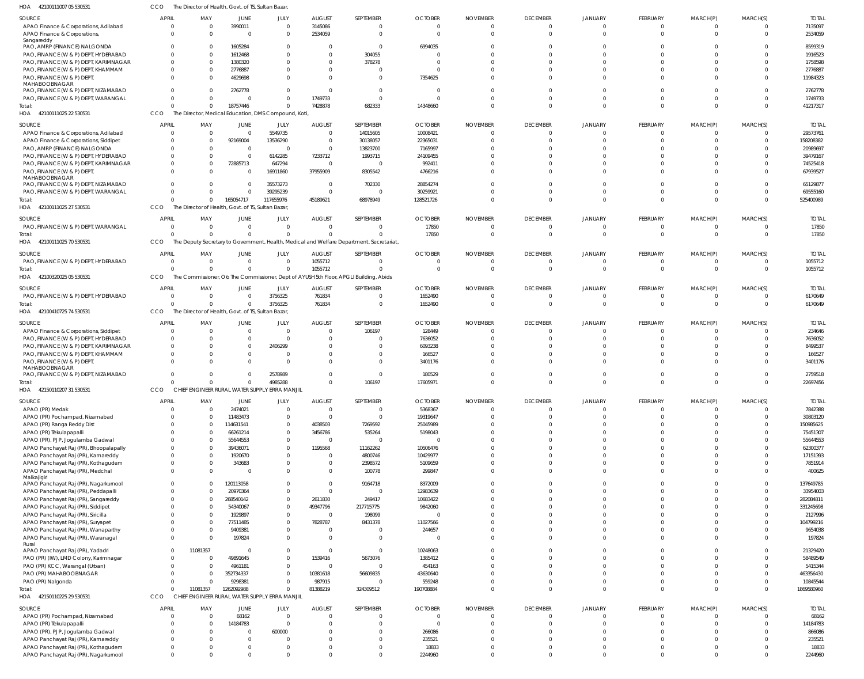| HOA 42100111007 05 530531                                                    | CCO                     | The Director of Health, Govt. of TS, Sultan Bazar, |              |                                                      |               |                                                                                          |                  |                 |                 |                                  |                 |          |                |                  |
|------------------------------------------------------------------------------|-------------------------|----------------------------------------------------|--------------|------------------------------------------------------|---------------|------------------------------------------------------------------------------------------|------------------|-----------------|-----------------|----------------------------------|-----------------|----------|----------------|------------------|
| SOURCE                                                                       | <b>APRIL</b>            | MAY                                                | <b>JUNE</b>  | JULY                                                 | <b>AUGUST</b> | SEPTEMBER                                                                                | <b>OCTOBER</b>   | <b>NOVEMBER</b> | <b>DECEMBER</b> | <b>JANUARY</b>                   | <b>FEBRUARY</b> | MARCH(P) | MARCH(S)       | <b>TOTAL</b>     |
| APAO Finance & Corporations, Adilabad                                        | $\Omega$                | $\overline{0}$                                     | 3990011      | $\Omega$                                             | 3145086       | 0                                                                                        | $\Omega$         | - 0             | $\mathbf{0}$    | $\overline{0}$                   | $\Omega$        | $\Omega$ | $\overline{0}$ | 7135097          |
| APAO Finance & Corporations,                                                 | $\Omega$                | $\Omega$                                           | $\Omega$     | $\Omega$                                             | 2534059       | $\mathbf 0$                                                                              | $\Omega$         | $\Omega$        | $\Omega$        | $\Omega$                         | $\Omega$        | $\Omega$ | $\Omega$       | 2534059          |
| Sangareddy                                                                   |                         |                                                    |              |                                                      |               |                                                                                          |                  |                 |                 |                                  |                 |          |                |                  |
| PAO, AMRP (FINANCE) NALGONDA                                                 |                         | $\Omega$                                           | 1605284      | $\Omega$                                             |               | $\mathbf 0$                                                                              | 6994035          |                 |                 |                                  |                 |          | $\Omega$       | 8599319          |
| PAO, FINANCE (W & P) DEPT, HYDERABAD                                         |                         | $\Omega$                                           | 1612468      | $\Omega$                                             | $\Omega$      | 304055                                                                                   |                  |                 | $\Omega$        | n                                |                 |          | $\Omega$       | 1916523          |
| PAO, FINANCE (W & P) DEPT, KARIMNAGAR                                        |                         | $\Omega$                                           | 1380320      | $\Omega$                                             | $\Omega$      | 378278                                                                                   | - 0              |                 | $\Omega$        |                                  |                 |          | $\Omega$       | 1758598          |
| PAO, FINANCE (W & P) DEPT, KHAMMAM                                           | $\Omega$                | $\Omega$                                           | 2776887      | <sup>0</sup>                                         | $\Omega$      | $\Omega$                                                                                 |                  |                 | $\Omega$        | $\cap$                           |                 |          | $\Omega$       | 2776887          |
| PAO, FINANCE (W & P) DEPT,                                                   |                         | $\Omega$                                           | 4629698      | $\Omega$                                             |               | $\Omega$                                                                                 | 7354625          |                 | $\Omega$        | $\Omega$                         |                 |          | $\Omega$       | 11984323         |
| MAHABOOBNAGAR                                                                |                         |                                                    |              |                                                      |               |                                                                                          |                  |                 |                 |                                  |                 |          |                |                  |
| PAO, FINANCE (W & P) DEPT, NIZAMABAD                                         |                         | $\Omega$                                           | 2762778      | $\Omega$                                             |               | $\mathbf 0$                                                                              |                  |                 | $\Omega$        | $\Omega$                         |                 |          | $\Omega$       | 2762778          |
| PAO, FINANCE (W & P) DEPT, WARANGAL                                          | $\Omega$                | $\Omega$                                           |              | $\Omega$                                             | 1749733       | $\mathbf 0$                                                                              | - 0              |                 | $\Omega$        | $\Omega$                         |                 |          | $\Omega$       | 1749733          |
| Total:                                                                       | $\Omega$                | $\Omega$                                           | 18757446     | $\Omega$                                             | 7428878       | 682333                                                                                   | 14348660         |                 | $\Omega$        | $\Omega$                         | $\Omega$        | $\Omega$ | $\Omega$       | 41217317         |
| HOA 42100111025 22 530531                                                    | CCO                     |                                                    |              | The Director, Medical Education, DMS Compound, Koti, |               |                                                                                          |                  |                 |                 |                                  |                 |          |                |                  |
|                                                                              |                         |                                                    |              |                                                      |               |                                                                                          |                  |                 |                 |                                  |                 |          |                |                  |
| <b>SOURCE</b>                                                                | <b>APRIL</b>            | MAY                                                | JUNE         | JULY                                                 | <b>AUGUST</b> | SEPTEMBER                                                                                | <b>OCTOBER</b>   | <b>NOVEMBER</b> | <b>DECEMBER</b> | JANUARY                          | FEBRUARY        | MARCH(P) | MARCH(S)       | <b>TOTAL</b>     |
| APAO Finance & Corporations, Adilabad                                        | $\Omega$                | $\overline{0}$                                     | $\Omega$     | 5549735                                              | $\Omega$      | 14015605                                                                                 | 10008421         | - C             | $\overline{0}$  | $\mathbf{0}$                     | $\Omega$        | $\Omega$ | $\overline{0}$ | 29573761         |
| APAO Finance & Corporations, Siddipet                                        | $\Omega$                | $\overline{0}$                                     | 92169004     | 13536290                                             | $\Omega$      | 30138057                                                                                 | 22365031         |                 | $\Omega$        | $\Omega$                         | $\Omega$        | $\Omega$ | $\Omega$       | 158208382        |
| PAO, AMRP (FINANCE) NALGONDA                                                 |                         | $\Omega$                                           | $\Omega$     | $\Omega$                                             | $\Omega$      | 13823700                                                                                 | 7165997          |                 | $\Omega$        | $\Omega$                         |                 |          | $\Omega$       | 20989697         |
| PAO, FINANCE (W & P) DEPT, HYDERABAD                                         | $\Omega$                | $\Omega$                                           | $\Omega$     | 6142285                                              | 7233712       | 1993715                                                                                  | 24109455         |                 | $\Omega$        | $\Omega$                         |                 |          | $\Omega$       | 39479167         |
| PAO, FINANCE (W & P) DEPT, KARIMNAGAR                                        | $\Omega$                | $\Omega$                                           | 72885713     | 647294                                               | $\Omega$      | $\overline{0}$                                                                           | 992411           |                 | $\Omega$        | $\Omega$                         |                 |          | $\Omega$       | 74525418         |
| PAO, FINANCE (W & P) DEPT,                                                   | $\Omega$                | $\Omega$                                           | $\Omega$     | 16911860                                             | 37955909      | 8305542                                                                                  | 4766216          |                 | $\Omega$        | $\Omega$                         |                 | $\Omega$ | $\Omega$       | 67939527         |
| MAHABOOBNAGAR                                                                |                         |                                                    |              |                                                      |               |                                                                                          |                  |                 |                 |                                  |                 |          |                |                  |
| PAO, FINANCE (W & P) DEPT, NIZAMABAD                                         | $\Omega$                | $\Omega$                                           | $\Omega$     | 35573273                                             | $\Omega$      | 702330                                                                                   | 28854274         |                 | $\Omega$        | $\Omega$                         |                 | $\cap$   | $\Omega$       | 65129877         |
| PAO, FINANCE (W & P) DEPT, WARANGAL                                          | $\Omega$                | $\Omega$                                           | $\Omega$     | 39295239                                             |               | $\mathbf 0$                                                                              | 30259921         |                 | $\Omega$        | $\Omega$                         | $\Omega$        | $\Omega$ | $\overline{0}$ | 69555160         |
| Total:                                                                       | $\Omega$                | $\Omega$                                           | 165054717    | 117655976                                            | 45189621      | 68978949                                                                                 | 128521726        |                 | $\Omega$        | $\Omega$                         | $\Omega$        | $\Omega$ | $\Omega$       | 525400989        |
| HOA 42100111025 27 530531                                                    | CCO                     | The Director of Health, Govt. of TS, Sultan Bazar, |              |                                                      |               |                                                                                          |                  |                 |                 |                                  |                 |          |                |                  |
|                                                                              |                         |                                                    |              |                                                      |               |                                                                                          |                  |                 |                 |                                  |                 |          |                |                  |
| SOURCE                                                                       | APRIL                   | MAY                                                | JUNE         | JULY                                                 | <b>AUGUST</b> | SEPTEMBER                                                                                | <b>OCTOBER</b>   | <b>NOVEMBER</b> | <b>DECEMBER</b> | <b>JANUARY</b>                   | FEBRUARY        | MARCH(P) | MARCH(S)       | <b>TOTAL</b>     |
| PAO, FINANCE (W & P) DEPT, WARANGAL                                          | $\Omega$                | $\overline{0}$                                     | $\Omega$     | $\Omega$                                             | $\Omega$      | $\mathbf 0$                                                                              | 17850            | $\Omega$        | $\overline{0}$  | $\Omega$                         | $\Omega$        | $\Omega$ | $\Omega$       | 17850            |
| Total:                                                                       | $\Omega$                | $\Omega$                                           | $\Omega$     | $\Omega$                                             |               | $\Omega$                                                                                 | 17850            | $\Omega$        | $\Omega$        | $\Omega$                         | $\Omega$        | $\Omega$ | $\Omega$       | 17850            |
| HOA 42100111025 70 530531                                                    | <b>CCO</b>              |                                                    |              |                                                      |               | The Deputy Secretary to Government, Health, Medical and Welfare Department, Secretariat, |                  |                 |                 |                                  |                 |          |                |                  |
|                                                                              |                         |                                                    |              |                                                      |               |                                                                                          |                  |                 |                 |                                  |                 |          |                |                  |
| SOURCE                                                                       | <b>APRIL</b>            | MAY                                                | JUNE         | JULY                                                 | <b>AUGUST</b> | SEPTEMBER                                                                                | <b>OCTOBER</b>   | <b>NOVEMBER</b> | <b>DECEMBER</b> | JANUARY                          | FEBRUARY        | MARCH(P) | MARCH(S)       | <b>TOTAL</b>     |
| PAO, FINANCE (W & P) DEPT, HYDERABAD                                         | $\overline{\mathbf{0}}$ | $\overline{0}$                                     | $\Omega$     | $\Omega$                                             | 1055712       | $\mathbf 0$                                                                              | - C              | $\cap$          | $\overline{0}$  | $\Omega$                         | $\Omega$        | $\Omega$ | $\overline{0}$ | 1055712          |
| Total:                                                                       | $\Omega$                | $\Omega$                                           | $\Omega$     | $\overline{0}$                                       | 1055712       | $\Omega$                                                                                 |                  |                 | $\overline{0}$  | $\Omega$                         | $\Omega$        | $\Omega$ | $\Omega$       | 1055712          |
| HOA 42100320025 05 530531                                                    | CCO                     |                                                    |              |                                                      |               | The Commissioner, Olo The Commissioner, Dept of AYUSH 5th Floor, APGLI Building, Abids   |                  |                 |                 |                                  |                 |          |                |                  |
|                                                                              |                         |                                                    |              |                                                      |               |                                                                                          |                  |                 |                 |                                  |                 |          |                |                  |
| SOURCE                                                                       | <b>APRIL</b>            | MAY                                                | JUNE         | JULY                                                 | <b>AUGUST</b> | SEPTEMBER                                                                                | <b>OCTOBER</b>   | <b>NOVEMBER</b> | <b>DECEMBER</b> | <b>JANUARY</b>                   | FEBRUARY        | MARCH(P) | MARCH(S)       | <b>TOTAL</b>     |
| PAO, FINANCE (W & P) DEPT, HYDERABAD                                         | $\overline{0}$          | $\overline{0}$                                     | $\Omega$     | 3756325                                              | 761834        | $\Omega$                                                                                 | 1652490          |                 | $\overline{0}$  | $\Omega$                         | - 0             | - 0      | $\Omega$       | 6170649          |
| Total:                                                                       | $\Omega$                | $\Omega$                                           | $\Omega$     | 3756325                                              | 761834        | $\mathbf 0$                                                                              | 1652490          |                 | $\overline{0}$  | $\Omega$                         | $\Omega$        | $\Omega$ | $\Omega$       | 6170649          |
| HOA 42100410725 74 530531                                                    | CCO                     | The Director of Health, Govt. of TS, Sultan Bazar, |              |                                                      |               |                                                                                          |                  |                 |                 |                                  |                 |          |                |                  |
| SOURCE                                                                       | <b>APRIL</b>            | MAY                                                | JUNE         | JULY                                                 | <b>AUGUST</b> | SEPTEMBER                                                                                | <b>OCTOBER</b>   | <b>NOVEMBER</b> | <b>DECEMBER</b> | JANUARY                          | FEBRUARY        | MARCH(P) | MARCH(S)       | <b>TOTAI</b>     |
| APAO Finance & Corporations, Siddipet                                        | $\Omega$                | $\overline{0}$                                     | $\Omega$     | $\overline{0}$                                       |               | 106197                                                                                   | 128449           |                 | $\Omega$        | $\Omega$                         |                 |          | $\Omega$       | 234646           |
|                                                                              |                         |                                                    |              |                                                      |               |                                                                                          |                  |                 |                 |                                  | $\Omega$        | $\Omega$ |                |                  |
| PAO, FINANCE (W & P) DEPT, HYDERABAD                                         | $\Omega$                | $\Omega$                                           |              | $\overline{0}$                                       |               | $\mathbf 0$                                                                              | 7636052          |                 | $\Omega$        | $\Omega$                         |                 |          | $\Omega$       | 7636052          |
| PAO, FINANCE (W & P) DEPT, KARIMNAGAR                                        | $\Omega$                | $\Omega$                                           | $\Omega$     | 2406299                                              |               | $\Omega$                                                                                 | 6093238          |                 | $\Omega$        | n                                |                 |          | $\Omega$       | 8499537          |
| PAO, FINANCE (W & P) DEPT, KHAMMAM                                           | $\Omega$                | $\Omega$                                           |              | $\Omega$                                             |               | $\Omega$                                                                                 | 166527           |                 | $\Omega$        | $\Omega$                         |                 |          | $\Omega$       | 166527           |
| PAO, FINANCE (W & P) DEPT,                                                   |                         | $\Omega$                                           |              | $\Omega$                                             |               | $\Omega$                                                                                 | 3401176          |                 | $\Omega$        | $\Omega$                         |                 | $\Omega$ | $\Omega$       | 3401176          |
| MAHABOOBNAGAR                                                                |                         |                                                    |              |                                                      |               |                                                                                          |                  |                 |                 |                                  |                 |          |                |                  |
| PAO, FINANCE (W & P) DEPT, NIZAMABAD                                         |                         | $\Omega$                                           |              | 2578989                                              |               | $\Omega$                                                                                 | 180529           |                 | $\Omega$        | $\Omega$                         |                 |          | $\Omega$       | 2759518          |
| Total:                                                                       |                         |                                                    |              |                                                      |               | 106197                                                                                   | 17605971         |                 | $\Omega$        | $\Omega$                         | $\Omega$        | $\Omega$ | $\Omega$       | 22697456         |
|                                                                              | $\Omega$                | $\overline{0}$                                     | $\mathbf{0}$ | 4985288                                              |               |                                                                                          |                  |                 |                 |                                  |                 |          |                |                  |
| HOA 42150110207 31 530531                                                    | CCO                     |                                                    |              | CHIEF ENGINEER RURAL WATER SUPPLY ERRA MANJIL        |               |                                                                                          |                  |                 |                 |                                  |                 |          |                |                  |
|                                                                              |                         |                                                    |              |                                                      |               |                                                                                          |                  |                 |                 |                                  |                 |          |                |                  |
| SOURCE                                                                       | <b>APRIL</b>            | MAY                                                | JUNE         | JULY                                                 | <b>AUGUST</b> | SEPTEMBER                                                                                | <b>OCTOBER</b>   | <b>NOVEMBER</b> | <b>DECEMBER</b> | <b>JANUARY</b>                   | <b>FEBRUARY</b> | MARCH(P) | MARCH(S)       | <b>TOTAL</b>     |
| APAO (PR) Medak                                                              | $\Omega$                | $\Omega$                                           | 2474021      | $\overline{0}$                                       | $\Omega$      | $\mathbf 0$                                                                              | 5368367          | $\Omega$        | $\overline{0}$  | $\mathbf{0}$                     | $\Omega$        | $\Omega$ | $\overline{0}$ | 7842388          |
| APAO (PR) Pochampad, Nizamabad                                               | $\Omega$                | $\overline{0}$                                     | 11483473     | $\overline{0}$                                       | $\Omega$      | $\mathbf 0$                                                                              | 19319647         | $\Omega$        | $\mathbf 0$     | $\Omega$                         | $\Omega$        | $\Omega$ | $\overline{0}$ | 30803120         |
| APAO (PR) Ranga Reddy Dist                                                   | $\Omega$                | $\Omega$                                           | 114631541    | $\overline{0}$                                       | 4038503       | 7269592                                                                                  | 25045989         |                 | $\Omega$        | $\Omega$                         | $\cap$          | $\cap$   | $\Omega$       | 150985625        |
| APAO (PR) Tekulapapalli                                                      |                         | $\Omega$                                           | 66261214     | $\mathbf 0$                                          | 3456786       | 535264                                                                                   | 5198043          |                 | $\Omega$        | $\Omega$                         |                 | $\Omega$ | $\Omega$       | 75451307         |
| APAO (PR), PJP, Jogulamba Gadwal                                             | $\Omega$                | $\Omega$                                           | 55644553     | $\overline{0}$                                       | $\Omega$      | $\Omega$                                                                                 |                  |                 | $\Omega$        | $\Omega$                         |                 | $\cap$   | $\Omega$       | 55644553         |
| APAO Panchayat Raj (PR), Bhoopalapally                                       |                         | $\overline{0}$                                     | 39436071     | $\Omega$                                             | 1195568       | 11162262                                                                                 | 10506476         |                 | $\Omega$        | $\Omega$                         |                 | $\Omega$ | $\Omega$       | 62300377         |
| APAO Panchayat Raj (PR), Kamareddy                                           | $\Omega$                | $\Omega$                                           | 1920670      | $\mathbf 0$                                          | $\Omega$      | 4800746                                                                                  | 10429977         |                 | $\Omega$        | $\Omega$                         |                 | $\cap$   | $\Omega$       | 17151393         |
| APAO Panchayat Raj (PR), Kothagudem                                          | $\Omega$                | $\overline{0}$                                     | 343683       | $\Omega$                                             | $\Omega$      | 2398572                                                                                  | 5109659          |                 | $\Omega$        | $\Omega$                         | $\Omega$        | $\Omega$ | $\Omega$       | 7851914          |
| APAO Panchayat Raj (PR), Medchal                                             | $\Omega$                | $\Omega$                                           |              | $\Omega$                                             | $\Omega$      | 100778                                                                                   | 299847           |                 | $\Omega$        | $\Omega$                         | $\cap$          | $\Omega$ | $\Omega$       | 400625           |
| Malkajigiri                                                                  |                         |                                                    |              |                                                      |               |                                                                                          |                  |                 |                 |                                  |                 |          |                |                  |
| APAO Panchayat Raj (PR), Nagarkurnool                                        | $\Omega$                | $\Omega$                                           | 120113058    | $\Omega$                                             |               | 9164718                                                                                  | 8372009          |                 | $\Omega$        | $\Omega$                         |                 |          | $\Omega$       | 137649785        |
| APAO Panchayat Raj (PR), Peddapalli                                          | $\Omega$                | $\Omega$                                           | 20970364     | $\Omega$                                             | $\Omega$      | $\mathbf 0$                                                                              | 12983639         |                 | $\Omega$        | $\Omega$                         |                 | $\Omega$ | $\Omega$       | 33954003         |
| APAO Panchayat Raj (PR), Sangareddy                                          | $\Omega$                | $\Omega$                                           | 268540142    | $\mathbf 0$                                          | 2611830       | 249417                                                                                   | 10683422         |                 | $\Omega$        | $\Omega$                         |                 | $\Omega$ | $\Omega$       | 282084811        |
| APAO Panchayat Raj (PR), Siddipet                                            | $\Omega$                | $\Omega$                                           | 54340067     | $\Omega$                                             | 49347796      | 217715775                                                                                | 9842060          |                 | $\Omega$        | $\Omega$                         |                 | $\Omega$ | $\Omega$       | 331245698        |
| APAO Panchayat Raj (PR), Siricilla                                           |                         | $\Omega$                                           | 1929897      | $\mathbf 0$                                          | $\Omega$      | 198099                                                                                   | - 0              |                 | $\Omega$        | $\Omega$                         |                 | $\Omega$ | $\Omega$       | 2127996          |
| APAO Panchayat Raj (PR), Suryapet                                            | $\Omega$                | $\Omega$                                           | 77511485     | $\Omega$                                             | 7828787       | 8431378                                                                                  | 11027566         |                 | $\Omega$        | $\Omega$                         |                 | $\cap$   | $\Omega$       | 104799216        |
| APAO Panchayat Raj (PR), Wanaparthy                                          |                         | $\overline{0}$                                     | 9409381      | 0                                                    | $\Omega$      | $\mathbf 0$                                                                              | 244657           |                 | $\Omega$        | $\Omega$                         |                 | $\Omega$ | $\Omega$       | 9654038          |
|                                                                              | $\Omega$                | $\Omega$                                           |              | $\Omega$                                             | $\Omega$      | $\mathbf 0$                                                                              |                  |                 | $\Omega$        | $\Omega$                         | $\cap$          | $\Omega$ | $\Omega$       |                  |
| APAO Panchayat Raj (PR), Waranagal<br>Rural                                  |                         |                                                    | 197824       |                                                      |               |                                                                                          |                  |                 |                 |                                  |                 |          |                | 197824           |
| APAO Panchayat Raj (PR), Yadadri                                             | $\Omega$                | 11081357                                           | -C           | $\mathbf 0$                                          | $\Omega$      | $\mathbf 0$                                                                              | 10248063         |                 | $\Omega$        | $\Omega$                         |                 |          | $\Omega$       | 21329420         |
| PAO (PR) (IW), LMD Colony, Karimnagar                                        | $\Omega$                | $\overline{0}$                                     | 49891645     | $\Omega$                                             | 1539416       | 5673076                                                                                  | 1385412          |                 | $\Omega$        | $\Omega$                         | $\cap$          | $\Omega$ | $\Omega$       | 58489549         |
| PAO (PR) KCC, Warangal (Urban)                                               | $\Omega$                | $\Omega$                                           | 4961181      | $\mathbf 0$                                          | $\Omega$      | $\overline{0}$                                                                           | 454163           |                 | $\Omega$        | $\Omega$                         |                 | $\Omega$ | $\Omega$       | 5415344          |
| PAO (PR) MAHABOOBNAGAR                                                       | $\Omega$                | $\overline{0}$                                     | 352734337    | $\Omega$                                             | 10381618      | 56609835                                                                                 | 43630640         |                 | $\Omega$        | $\Omega$                         | $\cap$          | $\Omega$ | $\Omega$       | 463356430        |
|                                                                              | $\Omega$                | $\Omega$                                           |              | $\Omega$                                             | 987915        | $\overline{0}$                                                                           |                  |                 | $\Omega$        | $\Omega$                         | $\Omega$        | $\Omega$ | $\Omega$       |                  |
| PAO (PR) Nalgonda                                                            | $\Omega$                |                                                    | 9298381      | $\mathbf 0$                                          |               |                                                                                          | 559248           |                 | $\Omega$        | $\Omega$                         | $\Omega$        | $\Omega$ | $\Omega$       | 10845544         |
| Total:                                                                       |                         | 11081357                                           | 1262092988   |                                                      | 81388219      | 324309512                                                                                | 190708884        |                 |                 |                                  |                 |          |                | 1869580960       |
| HOA 42150110225 29 530531                                                    | CCO                     |                                                    |              | CHIEF ENGINEER RURAL WATER SUPPLY ERRA MANJIL        |               |                                                                                          |                  |                 |                 |                                  |                 |          |                |                  |
| SOURCE                                                                       | <b>APRIL</b>            | MAY                                                | JUNE         | JULY                                                 | <b>AUGUST</b> | SEPTEMBER                                                                                | <b>OCTOBER</b>   | <b>NOVEMBER</b> | <b>DECEMBER</b> | <b>JANUARY</b>                   | FEBRUARY        | MARCH(P) | MARCH(S)       | <b>TOTAL</b>     |
| APAO (PR) Pochampad, Nizamabad                                               | $\Omega$                | $\overline{0}$                                     | 68162        | $\Omega$                                             | $\bigcap$     | $\mathbf 0$                                                                              | $\Omega$         | $\Omega$        | $\overline{0}$  | $\mathbf 0$                      | $\Omega$        | $\Omega$ | $\overline{0}$ | 68162            |
| APAO (PR) Tekulapapalli                                                      | $\Omega$                | $\overline{0}$                                     | 14184783     | $\overline{0}$                                       |               | $\mathbf 0$                                                                              | $\Omega$         |                 | $\mathbf 0$     | $\mathbf 0$                      | $\Omega$        | $\Omega$ | $\overline{0}$ | 14184783         |
| APAO (PR), PJP, Jogulamba Gadwal                                             | $\Omega$                | $\Omega$                                           |              | 600000                                               |               | $\Omega$                                                                                 | 266086           |                 | $\Omega$        | $\Omega$                         | $\Omega$        | $\Omega$ | $\Omega$       | 866086           |
|                                                                              | $\Omega$                | $\Omega$                                           |              | $\Omega$                                             |               | $\mathbf 0$                                                                              |                  |                 | $\Omega$        | $\Omega$                         | $\Omega$        | $\Omega$ | $\Omega$       |                  |
| APAO Panchayat Raj (PR), Kamareddy                                           | $\Omega$                | $\Omega$                                           |              | $\Omega$                                             |               |                                                                                          | 235521           |                 | $\Omega$        |                                  | $\Omega$        | $\Omega$ | $\Omega$       | 235521           |
| APAO Panchayat Raj (PR), Kothagudem<br>APAO Panchayat Raj (PR), Nagarkurnool | $\overline{0}$          | $\Omega$                                           |              | $\mathbf 0$                                          |               | $\mathbf 0$<br>$\Omega$                                                                  | 18833<br>2244960 |                 | $\Omega$        | $\overline{0}$<br>$\overline{0}$ | $\Omega$        | $\Omega$ | $\Omega$       | 18833<br>2244960 |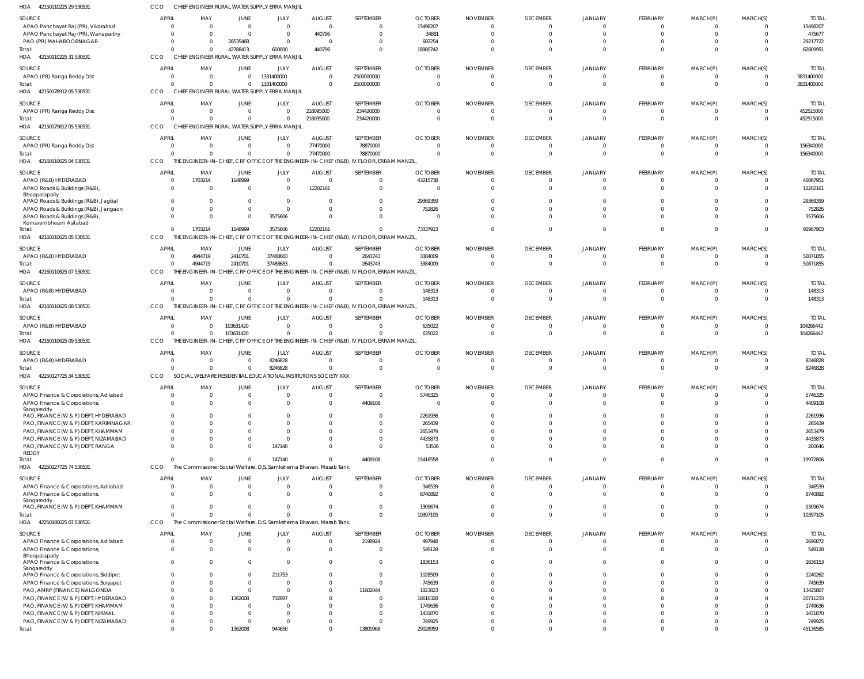| HOA 42150110225 29 53053 <sup>-</sup>                                 | CCO                            |                                  |                      | CHIEF ENGINEER RURAL WATER SUPPLY ERRA MANJII                              |                           |                                                                                           |                      |                 |                                   |                               |                             |                            |                                           |                           |
|-----------------------------------------------------------------------|--------------------------------|----------------------------------|----------------------|----------------------------------------------------------------------------|---------------------------|-------------------------------------------------------------------------------------------|----------------------|-----------------|-----------------------------------|-------------------------------|-----------------------------|----------------------------|-------------------------------------------|---------------------------|
| SOURCE                                                                | <b>APRIL</b>                   | MAY                              | JUNE                 | JULY                                                                       | <b>AUGUST</b>             | SEPTEMBER                                                                                 | <b>OCTOBER</b>       | <b>NOVEMBER</b> | <b>DECEMBER</b>                   | <b>JANUARY</b>                | FEBRUARY                    | MARCH(P)                   | MARCH(S)                                  | <b>TOTAI</b>              |
| APAO Panchayat Raj (PR), Vikarabad                                    | $\Omega$                       | $\overline{0}$                   | $\Omega$             | $\overline{0}$                                                             | $\Omega$                  | 0                                                                                         | 15498207             |                 | $\mathbf{0}$                      | $\mathbf{0}$                  | $\Omega$                    | $\Omega$                   | $\Omega$                                  | 15498207                  |
| APAO Panchayat Raj (PR), Wanaparthy                                   | $\Omega$<br>$\Omega$           | $\Omega$<br>$\Omega$             | $\Omega$             | $\overline{0}$<br>$\overline{0}$                                           | 440796                    | $\Omega$                                                                                  | 34881                |                 | $\mathbf{0}$<br>$\Omega$          | $\mathbf{0}$<br>$\Omega$      | $\Omega$<br>$\Omega$        | $\Omega$<br>$\Omega$       | $\Omega$                                  | 475677                    |
| PAO (PR) MAHABOOBNAGAR<br>Total:                                      | $\Omega$                       | $\Omega$                         | 28535468<br>42788413 | 600000                                                                     | - 0<br>440796             | 0<br>$\Omega$                                                                             | 682254<br>18980742   |                 | $\Omega$                          | $\Omega$                      | $\Omega$                    | $\Omega$                   | -0<br>$\Omega$                            | 29217722<br>62809951      |
| HOA 42150110225 31 530531                                             | CCO                            |                                  |                      | CHIEF ENGINEER RURAL WATER SUPPLY ERRA MANJIL                              |                           |                                                                                           |                      |                 |                                   |                               |                             |                            |                                           |                           |
| <b>SOURCE</b>                                                         | <b>APRIL</b>                   | MAY                              | JUNE                 | JULY                                                                       | <b>AUGUST</b>             | SEPTEMBER                                                                                 | <b>OCTOBER</b>       | <b>NOVEMBER</b> | <b>DECEMBER</b>                   | <b>JANUARY</b>                | <b>FEBRUARY</b>             | MARCH(P)                   | MARCH(S)                                  | <b>TOTAI</b>              |
| APAO (PR) Ranga Reddy Dist                                            | $\overline{0}$                 | $\overline{0}$                   | $\Omega$             | 1331400000                                                                 | $\Omega$                  | 2500000000                                                                                | - 0                  | $\Omega$        | $\overline{0}$                    | $\overline{0}$                | $\Omega$                    | $\Omega$                   | $\overline{0}$                            | 3831400000                |
| Total:                                                                | $\Omega$                       | $\overline{0}$                   | $\Omega$             | 1331400000                                                                 |                           | 2500000000                                                                                |                      | $\Omega$        | $\overline{0}$                    | $\overline{0}$                | $\Omega$                    | $\Omega$                   | $\overline{0}$                            | 3831400000                |
| HOA 4215017891205530531                                               | CCO                            |                                  |                      | CHIEF ENGINEER RURAL WATER SUPPLY ERRA MANJIL                              |                           |                                                                                           |                      |                 |                                   |                               |                             |                            |                                           |                           |
| <b>SOURCE</b>                                                         | <b>APRIL</b>                   | MAY                              | JUNE                 | JULY                                                                       | <b>AUGUST</b>             | SEPTEMBER                                                                                 | <b>OCTOBER</b>       | <b>NOVEMBER</b> | <b>DECEMBER</b>                   | JANUARY                       | FEBRUARY                    | MARCH(P)                   | MARCH(S)                                  | <b>TOTAL</b>              |
| APAO (PR) Ranga Reddy Dist                                            | $\overline{0}$                 | $\overline{0}$                   | $\Omega$             | $\overline{0}$                                                             | 218095000                 | 234420000                                                                                 |                      | - 0             | $\mathbf{0}$                      | 0                             | $\Omega$                    | $\Omega$                   | $\overline{0}$                            | 452515000                 |
| Total:<br>HOA 4215017961205530531                                     | $\Omega$<br>CCO                | $\Omega$                         | $\Omega$             | $\mathbf{0}$<br>CHIEF ENGINEER RURAL WATER SUPPLY ERRA MANJIL              | 218095000                 | 234420000                                                                                 | $\Omega$             | $\Omega$        | $\overline{0}$                    | $\overline{0}$                | $\Omega$                    | $\overline{0}$             | $\overline{0}$                            | 452515000                 |
|                                                                       |                                |                                  |                      |                                                                            |                           |                                                                                           |                      |                 |                                   |                               |                             |                            |                                           |                           |
| SOURCE<br>APAO (PR) Ranga Reddy Dist                                  | <b>APRIL</b><br>$\overline{0}$ | MAY<br>$\overline{\mathbf{0}}$   | JUNE<br>$\Omega$     | JULY<br>$\Omega$                                                           | <b>AUGUST</b><br>77470000 | SEPTEMBER<br>78870000                                                                     | <b>OCTOBER</b>       | <b>NOVEMBER</b> | <b>DECEMBER</b><br>$\overline{0}$ | JANUARY<br>$\mathbf{0}$       | <b>FEBRUARY</b><br>$\Omega$ | MARCH(P)<br>$\Omega$       | MARCH(S)<br>$\overline{0}$                | <b>TOTAL</b><br>156340000 |
| Total:                                                                | $\Omega$                       | $\overline{0}$                   | $\Omega$             | $\overline{0}$                                                             | 77470000                  | 78870000                                                                                  |                      |                 | $\overline{0}$                    | $\overline{0}$                | $\mathbf{0}$                | $\Omega$                   | $\overline{0}$                            | 156340000                 |
| HOA 42160110625 04 530531                                             | CCO                            |                                  |                      |                                                                            |                           | THE ENGINEER-IN-CHIEF, CRF OFFICE OF THE ENGINEER-IN-CHIEF (R&B), IV FLOOR, ERRAM MANZIL, |                      |                 |                                   |                               |                             |                            |                                           |                           |
| SOURCE                                                                | <b>APRIL</b>                   | MAY                              | JUNE                 | JULY                                                                       | <b>AUGUST</b>             | SEPTEMBER                                                                                 | <b>OCTOBER</b>       | <b>NOVEMBER</b> | <b>DECEMBER</b>                   | JANUARY                       | FEBRUARY                    | MARCH(P)                   | MARCH(S)                                  | <b>TOTAI</b>              |
| APAO (R&B) HYDERABAD                                                  | $\overline{0}$                 | 1703214                          | 1148999              | $\overline{0}$                                                             | $\Omega$                  | $\mathbf 0$                                                                               | 43215738             | - 0             | $\mathbf{0}$                      | $\overline{0}$                | $\Omega$                    | $\Omega$                   | $\mathbf{0}$                              | 46067951                  |
| APAO Roads & Buildings (R&B),                                         | $\Omega$                       | $\Omega$                         | $\Omega$             | $\overline{0}$                                                             | 12202161                  | $\mathbf 0$                                                                               | $\Omega$             | $\Omega$        | $\mathbf 0$                       | $\mathbf 0$                   | $\Omega$                    | $\Omega$                   | $\overline{0}$                            | 12202161                  |
| Bhoopalapally<br>APAO Roads & Buildings (R&B), Jagtial                |                                | $\overline{0}$                   | $\Omega$             | $\overline{0}$                                                             |                           | $\mathbf 0$                                                                               | 29369359             |                 | $\Omega$                          | $\Omega$                      |                             |                            | $\overline{0}$                            | 29369359                  |
| APAO Roads & Buildings (R&B), Jangaon                                 | $\Omega$                       | $\Omega$                         | $\Omega$             | $\Omega$                                                                   | $\Omega$                  | $\Omega$                                                                                  | 752826               |                 | $\Omega$                          | $\Omega$                      | $\Omega$                    | $\Omega$                   | $\Omega$                                  | 752826                    |
| APAO Roads & Buildings (R&B),<br>Komarambheem Asifabad                | $\Omega$                       | $\Omega$                         | $\Omega$             | 3575606                                                                    | $\Omega$                  | $\mathbf 0$                                                                               | - C                  |                 | $\Omega$                          | $\Omega$                      | $\Omega$                    | $\Omega$                   | $\overline{0}$                            | 3575606                   |
| Total:                                                                | $\Omega$                       | 1703214                          | 1148999              | 3575606                                                                    | 12202161                  | $\Omega$                                                                                  | 73337923             |                 | $\Omega$                          | $\Omega$                      | $\Omega$                    | $\Omega$                   | $\Omega$                                  | 91967903                  |
| HOA<br>42160110625 05 530531                                          | CCO                            |                                  |                      |                                                                            |                           | THE ENGINEER-IN-CHIEF, CRF OFFICE OF THE ENGINEER-IN-CHIEF (R&B), IV FLOOR, ERRAM MANZIL, |                      |                 |                                   |                               |                             |                            |                                           |                           |
| SOURCE                                                                | <b>APRIL</b>                   | MAY                              | JUNE                 | JULY                                                                       | <b>AUGUST</b>             | SEPTEMBER                                                                                 | <b>OCTOBER</b>       | <b>NOVEMBER</b> | <b>DECEMBER</b>                   | <b>JANUARY</b>                | <b>FEBRUARY</b>             | MARCH(P)                   | MARCH(S)                                  | <b>TOTAL</b>              |
| APAO (R&B) HYDERABAD                                                  | $\overline{0}$                 | 4944719                          | 2410701              | 37488683                                                                   | $\Omega$                  | 2643743                                                                                   | 3384009              | $\Omega$        | $\overline{0}$                    | $\overline{0}$                | $\Omega$                    | $\Omega$                   | $\overline{0}$                            | 50871855                  |
| Total:                                                                | $\Omega$                       | 4944719                          | 2410701              | 37488683                                                                   |                           | 2643743                                                                                   | 3384009              |                 | $\overline{0}$                    | $\overline{0}$                | $\Omega$                    | $\Omega$                   | $\Omega$                                  | 50871855                  |
| HOA 42160110625 07 530531                                             | CCO                            | THE EI                           |                      |                                                                            |                           | NGINEER-IN-CHIEF, CRF OFFICE OF THE ENGINEER-IN-CHIEF (R&B), IV FLOOR, ERRAM MANZIL,      |                      |                 |                                   |                               |                             |                            |                                           |                           |
| SOURCE                                                                | <b>APRIL</b>                   | MAY                              | JUNE                 | JULY                                                                       | <b>AUGUST</b>             | SEPTEMBER                                                                                 | <b>OCTOBER</b>       | <b>NOVEMBER</b> | <b>DECEMBER</b>                   | <b>JANUARY</b>                | FEBRUARY                    | MARCH(P)                   | MARCH(S)                                  | <b>TOTAL</b>              |
| APAO (R&B) HYDERABAD<br>Total:                                        | $\overline{0}$<br>$\Omega$     | $\overline{0}$<br>$\Omega$       | $\Omega$<br>$\Omega$ | $\overline{0}$<br>$\mathbf{0}$                                             | $\Omega$                  | $\Omega$<br>$\Omega$                                                                      | 148313<br>148313     | - 0<br>$\Omega$ | $\mathbf{0}$<br>$\overline{0}$    | $\Omega$<br>$\overline{0}$    | $\Omega$<br>$\overline{0}$  | $\Omega$<br>$\overline{0}$ | $\Omega$<br>$\overline{0}$                | 148313<br>148313          |
| HOA 42160110625 08 530531                                             | CCO                            |                                  |                      |                                                                            |                           | THE ENGINEER-IN-CHIEF, CRF OFFICE OF THE ENGINEER-IN-CHIEF (R&B), IV FLOOR, ERRAM MANZIL, |                      |                 |                                   |                               |                             |                            |                                           |                           |
| SOURCE                                                                | <b>APRIL</b>                   | MAY                              | JUNE                 | JULY                                                                       | <b>AUGUST</b>             | SEPTEMBER                                                                                 | <b>OCTOBER</b>       | <b>NOVEMBER</b> | <b>DECEMBER</b>                   | <b>JANUARY</b>                | FEBRUARY                    | MARCH(P)                   | MARCH(S)                                  | <b>TOTAI</b>              |
| APAO (R&B) HYDERABAD                                                  | $\overline{0}$                 | $\overline{0}$                   | 103631420            | $\overline{0}$                                                             | $\Omega$                  | $\mathbf 0$                                                                               | 635022               |                 | $\mathbf{0}$                      | $\overline{0}$                | $\Omega$                    | $\Omega$                   | $\overline{0}$                            | 104266442                 |
| Total:                                                                | $\Omega$                       | $\Omega$                         | 103631420            | $\Omega$                                                                   |                           | $\Omega$                                                                                  | 635022               |                 | $\overline{0}$                    | $\overline{0}$                | $\Omega$                    | $\Omega$                   | $\overline{0}$                            | 104266442                 |
| HOA 42160110625 09 530531                                             | CCO                            |                                  |                      |                                                                            |                           | THE ENGINEER-IN-CHIEF, CRF OFFICE OF THE ENGINEER-IN-CHIEF (R&B), IV FLOOR, ERRAM MANZIL, |                      |                 |                                   |                               |                             |                            |                                           |                           |
| SOURCE                                                                | <b>APRIL</b>                   | MAY                              | JUNE                 | JULY                                                                       | <b>AUGUST</b>             | SEPTEMBER                                                                                 | <b>OCTOBER</b>       | <b>NOVEMBER</b> | <b>DECEMBER</b>                   | <b>JANUARY</b>                | FEBRUARY                    | MARCH(P)                   | MARCH(S)                                  | <b>TOTAL</b>              |
| APAO (R&B) HYDERABAD                                                  | $\Omega$<br>$\Omega$           | $\overline{0}$                   | $\Omega$             | 8246828                                                                    | $\Omega$                  | $\mathbf 0$                                                                               | $\Omega$<br>$\Omega$ | - 0             | $\overline{0}$                    | $\overline{0}$                | $\Omega$<br>$\Omega$        | $\Omega$                   | $\overline{0}$                            | 8246828                   |
| Total:<br>HOA 42250127725 34 530531                                   | CCO                            | $\Omega$                         | $\Omega$             | 8246828<br>SOCIAL WELFARE RESIDENTIAL EDUCATIONAL INSTITUTIONS SOCIETY XXX | $\Omega$                  | $\mathbf 0$                                                                               |                      | $\Omega$        | $\overline{0}$                    | $\Omega$                      |                             | $\Omega$                   | $\overline{0}$                            | 8246828                   |
|                                                                       | <b>APRIL</b>                   | MAY                              | JUNE                 | <b>JULY</b>                                                                | <b>AUGUST</b>             | SEPTEMBER                                                                                 | <b>OCTOBER</b>       | <b>NOVEMBER</b> | <b>DECEMBER</b>                   | <b>JANUARY</b>                | <b>FEBRUARY</b>             | MARCH(P)                   | MARCH(S)                                  | <b>TOTAL</b>              |
| SOURCE<br>APAO Finance & Corporations, Adilabad                       | $\Omega$                       | $\Omega$                         |                      | $\Omega$                                                                   |                           | $\overline{0}$                                                                            | 5746325              |                 | $\mathbf 0$                       | $\Omega$                      | $\Omega$                    | $\Omega$                   | $\overline{0}$                            | 5746325                   |
| APAO Finance & Corporations,                                          | $\Omega$                       | $\Omega$                         |                      | $\Omega$                                                                   |                           | 4409108                                                                                   | $\sqrt{ }$           |                 | $\Omega$                          | $\Omega$                      | $\Omega$                    | $\Omega$                   | $\Omega$                                  | 4409108                   |
| Sangareddy<br>PAO, FINANCE (W & P) DEPT, HYDERABAD                    | $\Omega$                       | $\Omega$                         |                      | <sup>0</sup>                                                               |                           | $\Omega$                                                                                  | 2261936              |                 | $\Omega$                          | $\Omega$                      | $\Omega$                    | $\cap$                     | $\Omega$                                  | 2261936                   |
| PAO, FINANCE (W & P) DEPT, KARIMNAGAR                                 | $\Omega$                       | $\Omega$                         |                      | $\Omega$                                                                   |                           | $\mathbf 0$                                                                               | 265439               |                 | $\Omega$                          | $\Omega$                      | $\Omega$                    | $\cap$                     | $\Omega$                                  | 265439                    |
| PAO, FINANCE (W & P) DEPT, KHAMMAM                                    | $\Omega$                       | $\Omega$                         |                      | $\Omega$                                                                   |                           | $\mathbf 0$                                                                               | 2653479              |                 | $\Omega$                          | $\Omega$                      | $\Omega$                    | $\cap$                     | $\Omega$                                  | 2653479                   |
| PAO, FINANCE (W & P) DEPT, NIZAMABAD                                  | $\Omega$                       | $\Omega$                         |                      | $\Omega$                                                                   |                           | $\mathbf 0$                                                                               | 4435873              |                 | $\Omega$                          | $\Omega$                      | $\cap$                      | $\cap$                     | $\Omega$                                  | 4435873                   |
| PAO, FINANCE (W & P) DEPT, RANGA<br><b>REDDY</b>                      | $\Omega$                       | $\Omega$                         |                      | 147140                                                                     |                           | $\mathbf 0$                                                                               | 53506                |                 | $\Omega$                          | $\overline{0}$                | $\Omega$                    | $\Omega$                   | $\overline{0}$                            | 200646                    |
| Total:                                                                | $\Omega$                       | $\Omega$                         | $\Omega$             | 147140                                                                     |                           | 4409108                                                                                   | 15416558             |                 | $\overline{0}$                    | $\overline{0}$                | $\Omega$                    | $\Omega$                   | $\overline{0}$                            | 19972806                  |
| HOA 42250127725 74 530531                                             | CCO                            |                                  |                      | The Commissioner Social Welfare, D.S. Samkshema Bhavan, Masab Tank,        |                           |                                                                                           |                      |                 |                                   |                               |                             |                            |                                           |                           |
| SOURCE                                                                | <b>APRIL</b>                   | MAY                              | JUNE                 | JULY                                                                       | <b>AUGUST</b>             | SEPTEMBER                                                                                 | <b>OCTOBER</b>       | <b>NOVEMBER</b> | <b>DECEMBER</b>                   | JANUARY                       | FEBRUARY                    | MARCH(P)                   | MARCH(S)                                  | <b>TOTAL</b>              |
| APAO Finance & Corporations, Adilabad                                 | $\overline{0}$                 | $\overline{0}$                   | $\Omega$             | $\overline{0}$                                                             | - 0                       | $\mathbf 0$                                                                               | 346539               | - 0             | $\mathbf{0}$                      | $\mathbf{0}$                  | $\Omega$                    | $\Omega$                   | $\overline{0}$                            | 346539                    |
| APAO Finance & Corporations,<br>Sangareddy                            | $\Omega$                       | $\Omega$                         | $\Omega$             | $\Omega$                                                                   | $\Omega$                  | $\mathbf 0$                                                                               | 8740892              | - 0             | $\overline{0}$                    | $\Omega$                      | $\Omega$                    | $\Omega$                   | $\Omega$                                  | 8740892                   |
| PAO, FINANCE (W & P) DEPT, KHAMMAM                                    | $\Omega$                       | $\overline{0}$                   | 0                    | $\overline{0}$                                                             | $\Omega$                  | $\mathbf 0$                                                                               | 1309674              | - 0             | $\overline{0}$                    | $\overline{0}$                | $\Omega$                    | $\Omega$                   | $\Omega$                                  | 1309674                   |
| Total:                                                                | $\Omega$                       | $\Omega$                         |                      | $\Omega$                                                                   |                           | $\mathbf 0$                                                                               | 10397105             | $\cap$          | $\overline{0}$                    | $\overline{0}$                | $\Omega$                    | $\Omega$                   | $\overline{0}$                            | 10397105                  |
| HOA 42250180025 07 530531                                             | CCO                            |                                  |                      | The Commissioner Social Welfare, D.S. Samkshema Bhavan, Masab Tank,        |                           |                                                                                           |                      |                 |                                   |                               |                             |                            |                                           |                           |
| SOURCE                                                                | <b>APRIL</b>                   | MAY                              | JUNE                 | JULY                                                                       | <b>AUGUST</b>             | SEPTEMBER                                                                                 | <b>OCTOBER</b>       | <b>NOVEMBER</b> | <b>DECEMBER</b>                   | <b>JANUARY</b>                | FEBRUARY                    | MARCH(P)                   | MARCH(S)                                  | <b>TOTAL</b>              |
| APAO Finance & Corporations, Adilabad<br>APAO Finance & Corporations, | $\overline{0}$<br>$\Omega$     | $\overline{0}$<br>$\overline{0}$ | $\Omega$             | $\overline{0}$<br>$\overline{0}$                                           | $\Omega$<br>- 0           | 2198924<br>$\mathbf 0$                                                                    | 497948<br>549128     | - 0             | $\overline{0}$<br>$\overline{0}$  | $\mathbf 0$<br>$\overline{0}$ | $\Omega$<br>$\Omega$        | $\Omega$<br>$\Omega$       | $\overline{0}$<br>$\overline{\mathbf{0}}$ | 2696872<br>549128         |
| Bhoopalapally                                                         |                                |                                  |                      |                                                                            |                           |                                                                                           |                      |                 |                                   |                               |                             |                            |                                           |                           |
| APAO Finance & Corporations,<br>Sangareddy                            | $\Omega$                       | $\Omega$                         | $\Omega$             | $\Omega$                                                                   |                           | $\mathbf 0$                                                                               | 1836153              |                 | $\overline{0}$                    | $\Omega$                      | $\Omega$                    | $\Omega$                   | $\Omega$                                  | 1836153                   |
| APAO Finance & Corporations, Siddipet                                 | $\Omega$                       | $\Omega$                         | $\Omega$             | 211753                                                                     |                           | $\mathbf 0$                                                                               | 1028509              |                 | $\Omega$                          | $\Omega$                      | $\cap$                      | $\cap$                     | $\Omega$                                  | 1240262                   |
| APAO Finance & Corporations, Suryapet                                 | $\Omega$                       | $\Omega$                         | $\Omega$             | $\overline{0}$                                                             |                           | $\mathbf 0$                                                                               | 745639               |                 | $\Omega$                          | $\Omega$                      | $\Omega$                    |                            | $\Omega$                                  | 745639                    |
| PAO, AMRP (FINANCE) NALGONDA<br>PAO, FINANCE (W & P) DEPT, HYDERABAD  | $\Omega$<br>$\Omega$           | $\Omega$<br>$\Omega$             | $\Omega$<br>1362008  | $\Omega$<br>732897                                                         |                           | 11602044<br>$\mathbf 0$                                                                   | 1823823<br>18616328  |                 | $\Omega$<br>$\Omega$              | $\Omega$<br>$\Omega$          | $\cap$                      |                            | $\Omega$<br>$\Omega$                      | 13425867<br>20711233      |
| PAO, FINANCE (W & P) DEPT, KHAMMAM                                    | <sup>n</sup>                   | $\Omega$                         |                      | $\Omega$                                                                   |                           | $\Omega$                                                                                  | 1749636              |                 | $\Omega$                          | $\Omega$                      |                             |                            | $\Omega$                                  | 1749636                   |
| PAO, FINANCE (W & P) DEPT, NIRMAL                                     | $\Omega$                       | $\Omega$                         |                      | $\Omega$                                                                   |                           | $\mathbf 0$                                                                               | 1431870              |                 | $\Omega$                          | $\Omega$                      | $\cap$                      |                            | $\Omega$                                  | 1431870                   |
| PAO, FINANCE (W & P) DEPT, NIZAMABAD                                  | $\Omega$                       | $\Omega$                         | - 0                  | $\Omega$                                                                   |                           | $\mathbf 0$                                                                               | 749925               |                 | $\mathbf{0}$                      | $\overline{0}$                | $\Omega$                    | $\Omega$                   | $\Omega$                                  | 749925                    |
| Total:                                                                | $\overline{0}$                 | $\Omega$                         | 1362008              | 944650                                                                     |                           | 13800968                                                                                  | 29028959             |                 | $\mathbf{0}$                      | $\overline{0}$                | $\Omega$                    | $\Omega$                   | $\Omega$                                  | 45136585                  |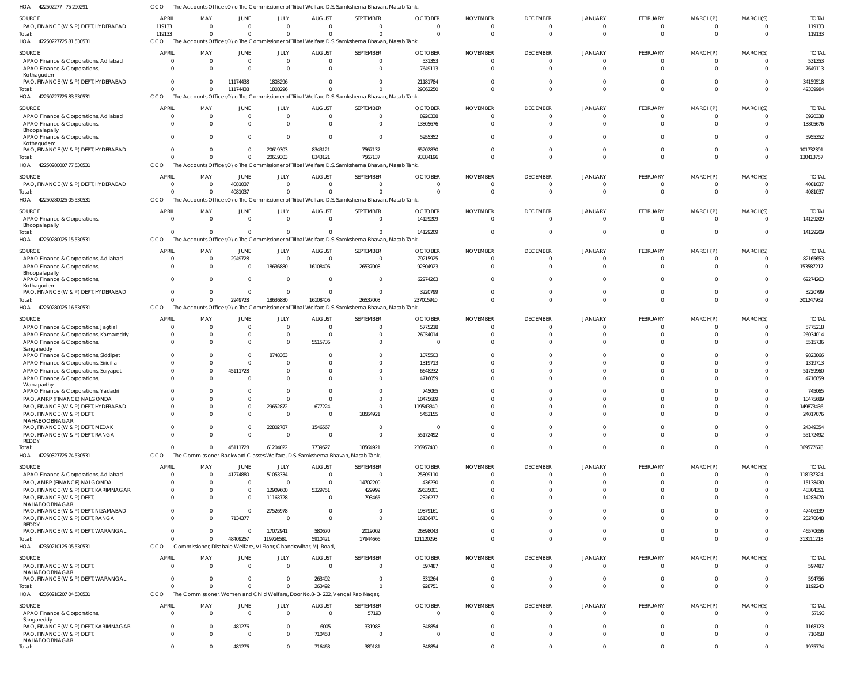| HOA<br>422502277 75 290291                                          | ссо                          |                                |                         |                               |                                                                 | The Accounts Officer,O\o The Commissioner of Tribal Welfare D.S. Samkshema Bhavan, Masab Tank,   |                          |                             |                             |                |                      |                      |                      |                        |
|---------------------------------------------------------------------|------------------------------|--------------------------------|-------------------------|-------------------------------|-----------------------------------------------------------------|--------------------------------------------------------------------------------------------------|--------------------------|-----------------------------|-----------------------------|----------------|----------------------|----------------------|----------------------|------------------------|
| SOURCE                                                              | <b>APRIL</b>                 | MAY                            | <b>JUNE</b>             | <b>JULY</b>                   | <b>AUGUST</b>                                                   | SEPTEMBER                                                                                        | <b>OCTOBER</b>           | <b>NOVEMBER</b>             | <b>DECEMBER</b>             | <b>JANUARY</b> | <b>FEBRUARY</b>      | MARCH(P)             | MARCH(S)             | <b>TOTAI</b>           |
| PAO, FINANCE (W & P) DEPT, HYDERABAD                                | 119133                       | $\Omega$                       | $\Omega$<br>$\Omega$    | $\Omega$                      | $\mathbf 0$                                                     | $\Omega$<br>$\Omega$                                                                             | $\Omega$<br>$\Omega$     | $\Omega$<br>$\Omega$        | $\Omega$<br>$\Omega$        | -C<br>$\Omega$ | $\Omega$<br>$\Omega$ | $\Omega$<br>$\Omega$ | $\Omega$<br>$\Omega$ | 119133                 |
| Total:<br>42250227725 81 530531<br>HOA                              | 119133<br>CCO                | $\overline{0}$                 |                         | $\overline{0}$                | $\mathbf 0$                                                     | The Accounts Officer, O\o The Commissioner of Tribal Welfare D.S. Samkshema Bhavan, Masab Tank,  |                          |                             |                             |                |                      |                      |                      | 119133                 |
|                                                                     |                              |                                |                         |                               |                                                                 |                                                                                                  |                          |                             |                             |                |                      |                      |                      |                        |
| SOURCE<br>APAO Finance & Corporations, Adilabad                     | <b>APRIL</b><br>$\mathbf{0}$ | MAY<br>$\overline{0}$          | <b>JUNE</b><br>$\Omega$ | <b>JULY</b><br>$\overline{0}$ | <b>AUGUST</b><br>$\mathbf 0$                                    | <b>SEPTEMBER</b><br>$\Omega$                                                                     | <b>OCTOBER</b><br>531353 | <b>NOVEMBER</b><br>$\Omega$ | <b>DECEMBER</b><br>$\Omega$ | <b>JANUARY</b> | FEBRUARY<br>$\Omega$ | MARCH(P)<br>$\Omega$ | MARCH(S)<br>0        | <b>TOTAL</b><br>531353 |
| APAO Finance & Corporations,                                        | $\mathbf{0}$                 | $\mathbf{0}$                   | $\Omega$                | $\Omega$                      | $\Omega$                                                        | $\Omega$                                                                                         | 7649113                  | $\Omega$                    |                             |                | $\Omega$             | $\Omega$             | $\Omega$             | 7649113                |
| Kothagudem<br>PAO, FINANCE (W & P) DEPT, HYDERABAD                  | $\Omega$                     | $\mathbf{0}$                   | 11174438                | 1803296                       | $\mathbf 0$                                                     | $\Omega$                                                                                         | 21181784                 | $\Omega$                    |                             |                | $\Omega$             | $\Omega$             | $\Omega$             | 34159518               |
| Total:                                                              | $\Omega$                     | $\overline{0}$                 | 11174438                | 1803296                       | $\Omega$                                                        | $\Omega$                                                                                         | 29362250                 | $\Omega$                    | $\cap$                      |                | $\Omega$             | $\Omega$             | $\Omega$             | 42339984               |
| 42250227725 83 530531<br>HOA                                        | CCO                          |                                |                         |                               |                                                                 | The Accounts Officer, ONo The Commissioner of Tribal Welfare D.S. Samkshema Bhavan, Masab Tank,  |                          |                             |                             |                |                      |                      |                      |                        |
| SOURCE                                                              | <b>APRIL</b>                 | MAY                            | JUNE                    | JULY                          | <b>AUGUST</b>                                                   | SEPTEMBER                                                                                        | <b>OCTOBER</b>           | <b>NOVEMBER</b>             | <b>DECEMBER</b>             | <b>JANUARY</b> | FEBRUARY             | MARCH(P)             | MARCH(S)             | <b>TOTAL</b>           |
| APAO Finance & Corporations, Adilabad                               | $\mathbf{0}$                 | $\overline{0}$                 | $\Omega$                | $\overline{0}$                | $\overline{0}$                                                  | $\Omega$                                                                                         | 8920338                  | $\Omega$                    | $\Omega$                    |                | $\Omega$             | $\Omega$             | $\Omega$             | 8920338                |
| APAO Finance & Corporations,                                        | $\Omega$                     | $\Omega$                       | $\Omega$                | $\Omega$                      | $\mathbf 0$                                                     | $\Omega$                                                                                         | 13805676                 | $\Omega$                    | $\Omega$                    | - 0            | $\Omega$             | $\Omega$             | $\Omega$             | 13805676               |
| Bhoopalapally<br>APAO Finance & Corporations,                       | $\Omega$                     | $\Omega$                       | $\Omega$                | $\Omega$                      | $\overline{0}$                                                  | $\Omega$                                                                                         | 5955352                  | $\Omega$                    | $\cap$                      |                | $\Omega$             | $\Omega$             | $\Omega$             | 5955352                |
| Kothagudem                                                          |                              |                                |                         |                               |                                                                 |                                                                                                  |                          |                             |                             |                |                      |                      |                      |                        |
| PAO, FINANCE (W & P) DEPT, HYDERABAD<br>Total:                      | $\mathbf{0}$                 | $\Omega$<br>$\Omega$           | $\Omega$<br>$\Omega$    | 20619303<br>20619303          | 8343121<br>8343121                                              | 7567137<br>7567137                                                                               | 65202830<br>93884196     | $\Omega$<br>$\Omega$        |                             |                | $\Omega$<br>$\Omega$ | $\Omega$<br>$\Omega$ | $\Omega$<br>$\Omega$ | 101732391<br>130413757 |
| 42250280007 77 530531<br>HOA                                        | CCO                          |                                |                         |                               |                                                                 | The Accounts Officer, O \o The Commissioner of Tribal Welfare D.S. Samkshema Bhavan, Masab Tank, |                          |                             |                             |                |                      |                      |                      |                        |
| SOURCE                                                              | <b>APRIL</b>                 | MAY                            | JUNE                    | <b>JULY</b>                   | <b>AUGUST</b>                                                   | SEPTEMBER                                                                                        | <b>OCTOBER</b>           | <b>NOVEMBER</b>             | <b>DECEMBER</b>             | <b>JANUARY</b> | FEBRUARY             | MARCH(P)             | MARCH(S)             | <b>TOTAL</b>           |
| PAO, FINANCE (W & P) DEPT, HYDERABAD                                | $\mathbf{0}$                 | $\overline{0}$                 | 4081037                 | $\overline{0}$                | $\mathbf 0$                                                     | $\Omega$                                                                                         | $\overline{0}$           | $\mathbf 0$                 | $\Omega$                    |                | $\Omega$             | $\Omega$             | $\overline{0}$       | 4081037                |
| Total:                                                              | $\Omega$                     | $\Omega$                       | 4081037                 | $\Omega$                      | $\Omega$                                                        | $\Omega$                                                                                         | $\Omega$                 | $\Omega$                    |                             |                | $\Omega$             | $\Omega$             | $\Omega$             | 4081037                |
| 42250280025 05 530531<br>HOA                                        | CCO                          |                                |                         |                               |                                                                 | The Accounts Officer, ONo The Commissioner of Tribal Welfare D.S. Samkshema Bhavan, Masab Tank,  |                          |                             |                             |                |                      |                      |                      |                        |
| SOURCE                                                              | <b>APRIL</b>                 | MAY                            | JUNE                    | JULY                          | <b>AUGUST</b>                                                   | SEPTEMBER                                                                                        | <b>OCTOBER</b>           | <b>NOVEMBER</b>             | <b>DECEMBER</b>             | <b>JANUARY</b> | FEBRUARY             | MARCH(P)             | MARCH(S)             | <b>TOTAL</b>           |
| APAO Finance & Corporations,                                        | $\Omega$                     | $\mathbf{0}$                   | $\Omega$                | $\overline{0}$                | $\mathbf{0}$                                                    | $\Omega$                                                                                         | 14129209                 | $\Omega$                    | $\Omega$                    | $\Omega$       | $\Omega$             | $\Omega$             | $\Omega$             | 14129209               |
| Bhoopalapally<br>Total:                                             | $\Omega$                     | $\Omega$                       | $\Omega$                | $\overline{0}$                | $\Omega$                                                        | $\Omega$                                                                                         | 14129209                 | $\Omega$                    | $\Omega$                    |                | $\Omega$             | $\Omega$             | $\overline{0}$       | 14129209               |
| 42250280025 15 530531<br>HOA                                        | <b>CCO</b>                   |                                |                         |                               |                                                                 | The Accounts Officer, O\o The Commissioner of Tribal Welfare D.S. Samkshema Bhavan, Masab Tank,  |                          |                             |                             |                |                      |                      |                      |                        |
| SOURCE                                                              | <b>APRIL</b>                 | MAY                            | JUNE                    | JULY                          | <b>AUGUST</b>                                                   | SEPTEMBER                                                                                        | <b>OCTOBER</b>           | <b>NOVEMBER</b>             | <b>DECEMBER</b>             | <b>JANUARY</b> | FEBRUARY             | MARCH(P)             | MARCH(S)             | <b>TOTAL</b>           |
| APAO Finance & Corporations, Adilabad                               | $\mathbf{0}$                 | $\overline{0}$                 | 2949728                 | $\overline{0}$                | $\mathbf 0$                                                     | $\overline{\mathbf{0}}$                                                                          | 79215925                 | $\Omega$                    |                             |                | $\Omega$             |                      | $\Omega$             | 82165653               |
| APAO Finance & Corporations,                                        | $\mathbf 0$                  | $\overline{0}$                 | $\Omega$                | 18636880                      | 16108406                                                        | 26537008                                                                                         | 92304923                 | $\Omega$                    | $\Omega$                    |                | $\Omega$             | $\Omega$             | $\Omega$             | 153587217              |
| Bhoopalapally<br>APAO Finance & Corporations,                       | $\mathbf 0$                  | $\mathbf 0$                    | $\Omega$                | $\Omega$                      | $\mathbf{0}$                                                    | - 0                                                                                              | 62274263                 | $\Omega$                    | $\Omega$                    |                | $\Omega$             | $\Omega$             | $\Omega$             | 62274263               |
| Kothagudem                                                          |                              |                                |                         |                               |                                                                 |                                                                                                  |                          |                             |                             |                |                      |                      |                      |                        |
| PAO, FINANCE (W & P) DEPT, HYDERABAD<br>Total:                      | $\mathbf{0}$<br>$\Omega$     | $\mathbf{0}$<br>$\overline{0}$ | $\Omega$<br>2949728     | $\Omega$<br>18636880          | $\mathbf 0$<br>16108406                                         | $\overline{0}$<br>26537008                                                                       | 3220799<br>237015910     | $\Omega$<br>$\Omega$        |                             |                | $\Omega$<br>$\Omega$ | $\Omega$<br>$\Omega$ | $\Omega$<br>$\Omega$ | 3220799<br>301247932   |
| 42250280025 16 530531<br>HOA                                        | CCO                          |                                |                         |                               |                                                                 | The Accounts Officer, ONo The Commissioner of Tribal Welfare D.S. Samkshema Bhavan, Masab Tank,  |                          |                             |                             |                |                      |                      |                      |                        |
| SOURCE                                                              | <b>APRIL</b>                 | MAY                            | <b>JUNE</b>             | JULY                          | <b>AUGUST</b>                                                   | SEPTEMBER                                                                                        | <b>OCTOBER</b>           | <b>NOVEMBER</b>             | <b>DECEMBER</b>             | <b>JANUARY</b> | FEBRUARY             | MARCH(P)             | MARCH(S)             | <b>TOTAL</b>           |
| APAO Finance & Corporations, Jagtial                                | $\Omega$                     | $\overline{0}$                 | $\Omega$                | $\Omega$                      | $\overline{0}$                                                  | $\Omega$                                                                                         | 5775218                  | $\Omega$                    | $\cap$                      |                | $\Omega$             | $\Omega$             | $\Omega$             | 5775218                |
| APAO Finance & Corporations, Kamareddy                              | $\mathbf{0}$                 | $\overline{0}$                 | $\Omega$                | $\overline{0}$                | $\overline{0}$                                                  | $\Omega$                                                                                         | 26034014                 | $\Omega$                    |                             |                | $\Omega$             |                      | $\Omega$             | 26034014               |
| APAO Finance & Corporations,                                        | $\mathbf 0$                  | $\mathbf 0$                    | $\Omega$                | $\Omega$                      | 5515736                                                         | $\Omega$                                                                                         | $\mathbf 0$              | $\Omega$                    |                             |                | $\Omega$             | $\Omega$             | $\Omega$             | 5515736                |
| Sangareddy<br>APAO Finance & Corporations, Siddipet                 |                              | $\Omega$                       | $\Omega$                | 8748363                       | $\Omega$                                                        |                                                                                                  | 1075503                  |                             |                             |                |                      |                      | $\Omega$             | 9823866                |
| APAO Finance & Corporations, Siricilla                              | $\Omega$                     | $\Omega$                       | $\Omega$                | $\Omega$                      | $\Omega$                                                        | $\Omega$                                                                                         | 1319713                  |                             |                             |                | $\Omega$             |                      | $\Omega$             | 1319713                |
| APAO Finance & Corporations, Suryapet                               |                              | $\Omega$                       | 45111728                | $\Omega$                      | $\Omega$                                                        |                                                                                                  | 6648232                  |                             |                             |                | $\Omega$             |                      | $\Omega$             | 51759960               |
| APAO Finance & Corporations,<br>Wanaparthy                          | $\Omega$                     | $\Omega$                       | - 0                     | $\Omega$                      | $\Omega$                                                        | $\Omega$                                                                                         | 4716059                  |                             |                             |                | $\Omega$             | $\Omega$             | $\Omega$             | 4716059                |
| APAO Finance & Corporations, Yadadri                                |                              |                                |                         |                               |                                                                 |                                                                                                  | 745065                   |                             |                             |                |                      |                      |                      | 745065                 |
| PAO, AMRP (FINANCE) NALGONDA                                        | $\Omega$                     | $\Omega$                       |                         | $\Omega$                      | $\Omega$                                                        | $\Omega$                                                                                         | 10475689                 |                             |                             |                | $\Omega$             | $\Omega$             | $\Omega$             | 10475689               |
| PAO, FINANCE (W & P) DEPT, HYDERABAD                                | $\Omega$                     | $\Omega$                       | $\Omega$                | 29652872                      | 677224                                                          | $\Omega$                                                                                         | 119543340                | $\Omega$                    |                             |                | $\mathbf{0}$         | $\Omega$             |                      | 149873436              |
| PAO, FINANCE (W & P) DEPT,<br>MAHABOOBNAGAR                         | $\Omega$                     | $\Omega$                       |                         | $\Omega$                      | $\overline{0}$                                                  | 18564921                                                                                         | 5452155                  | $\Omega$                    |                             |                | $\Omega$             | $\Omega$             |                      | 24017076               |
| PAO, FINANCE (W & P) DEPT, MEDAK                                    |                              | $\Omega$                       | $\Omega$                | 22802787                      | 1546567                                                         | $\Omega$                                                                                         | $\Omega$                 | $\Omega$                    |                             |                | $\Omega$             | $\Omega$             | $\Omega$             | 24349354               |
| PAO, FINANCE (W & P) DEPT, RANGA<br>REDDY                           | $\Omega$                     | $\Omega$                       | $\Omega$                | $\Omega$                      | $\overline{0}$                                                  | $\Omega$                                                                                         | 55172492                 | $\Omega$                    | $\cap$                      |                | $\Omega$             | $\Omega$             | $\Omega$             | 55172492               |
| Total:                                                              | $\Omega$                     | $\Omega$                       | 45111728                | 61204022                      | 7739527                                                         | 18564921                                                                                         | 236957480                | $\Omega$                    | $\Omega$                    | $\Omega$       | $\Omega$             | $\Omega$             | $\Omega$             | 369577678              |
| 42250327725 74 530531<br>HOA                                        | CCO                          |                                |                         |                               |                                                                 | The Commissioner, Backward Classes Welfare, D.S. Samkshema Bhavan, Masab Tank,                   |                          |                             |                             |                |                      |                      |                      |                        |
| SOURCE                                                              | <b>APRIL</b>                 | MAY                            | JUNE                    | JULY                          | <b>AUGUST</b>                                                   | SEPTEMBER                                                                                        | <b>OCTOBER</b>           | <b>NOVEMBER</b>             | <b>DECEMBER</b>             | <b>JANUARY</b> | FEBRUARY             | MARCH(P)             | MARCH(S)             | <b>TOTAL</b>           |
| APAO Finance & Corporations, Adilabad                               | 0                            | $\Omega$                       | 41274880                | 51053334                      | $\mathbf 0$                                                     | - 0                                                                                              | 25809110                 | $\Omega$                    | $\Omega$                    |                | $\Omega$             |                      | $\Omega$             | 118137324              |
| PAO, AMRP (FINANCE) NALGONDA                                        | $\mathbf{0}$                 | $\Omega$                       | $\Omega$                | $\Omega$                      | $\mathbf 0$                                                     | 14702200                                                                                         | 436230                   | $\Omega$                    | $\Omega$                    |                | $\Omega$             | $\Omega$             | $\Omega$             | 15138430               |
| PAO, FINANCE (W & P) DEPT, KARIMNAGAR<br>PAO, FINANCE (W & P) DEPT, | $\mathbf{0}$<br>$\mathbf{0}$ | $\mathbf 0$<br>$\Omega$        | $\mathbf 0$<br>$\Omega$ | 12909600<br>11163728          | 5329751<br>$\overline{0}$                                       | 429999<br>793465                                                                                 | 29635001<br>2326277      | $\Omega$<br>$\Omega$        |                             |                | $\Omega$<br>$\Omega$ | $\Omega$<br>$\Omega$ | $\Omega$<br>$\Omega$ | 48304351<br>14283470   |
| MAHABOOBNAGAR                                                       |                              |                                |                         |                               |                                                                 |                                                                                                  |                          |                             |                             |                |                      |                      |                      |                        |
| PAO, FINANCE (W & P) DEPT, NIZAMABAD                                | $\mathbf{0}$                 | $\Omega$                       | $\overline{0}$          | 27526978                      | $\overline{0}$                                                  | $\overline{\mathbf{0}}$                                                                          | 19879161                 | $\Omega$                    |                             |                | $\overline{0}$       | $\Omega$             | $\Omega$             | 47406139               |
| PAO, FINANCE (W & P) DEPT, RANGA<br>REDDY                           | $\Omega$                     | $\Omega$                       | 7134377                 | $\overline{0}$                | $\mathbf 0$                                                     | $\Omega$                                                                                         | 16136471                 | $\Omega$                    | $\Omega$                    |                | $\Omega$             | $\Omega$             | $\Omega$             | 23270848               |
| PAO, FINANCE (W & P) DEPT, WARANGAL                                 | $\mathbf{0}$                 | $\Omega$                       | $\Omega$                | 17072941                      | 580670                                                          | 2019002                                                                                          | 26898043                 | $\Omega$                    | $\Omega$                    |                | $\overline{0}$       | $\Omega$             | $\Omega$             | 46570656               |
| Total:                                                              | $\Omega$                     | $\mathbf{0}$                   | 48409257                | 119726581                     | 5910421                                                         | 17944666                                                                                         | 121120293                | $\Omega$                    | $\Omega$                    |                | $\Omega$             | $\Omega$             | $\Omega$             | 313111218              |
| HOA 42350210125 05 530531                                           | CCO                          |                                |                         |                               | Commissioner, Disabale Welfare, VI Floor, Chandravihar, MJ Road |                                                                                                  |                          |                             |                             |                |                      |                      |                      |                        |
| SOURCE                                                              | <b>APRIL</b>                 | MAY                            | JUNE                    | JULY                          | <b>AUGUST</b>                                                   | SEPTEMBER                                                                                        | <b>OCTOBER</b>           | <b>NOVEMBER</b>             | <b>DECEMBER</b>             | <b>JANUARY</b> | FEBRUARY             | MARCH(P)             | MARCH(S)             | <b>TOTAL</b>           |
| PAO, FINANCE (W & P) DEPT,<br>MAHABOOBNAGAR                         | $\Omega$                     | $\Omega$                       | $\Omega$                | $\overline{0}$                | $\overline{0}$                                                  | $\Omega$                                                                                         | 597487                   | $\Omega$                    | $\Omega$                    | - 0            | $\Omega$             | $\Omega$             | $\Omega$             | 597487                 |
| PAO, FINANCE (W & P) DEPT, WARANGAL                                 | $\mathbf{0}$                 | $\Omega$                       | $\Omega$                | $\overline{0}$                | 263492                                                          | $\Omega$                                                                                         | 331264                   | $\Omega$                    | $\Omega$                    |                | $\Omega$             | $\Omega$             | $\Omega$             | 594756                 |
| Total:                                                              | $\Omega$                     | $\Omega$                       | $\Omega$                | $\Omega$                      | 263492                                                          | $\Omega$                                                                                         | 928751                   | $\Omega$                    | $\Omega$                    |                | $\Omega$             | $\Omega$             | $\overline{0}$       | 1192243                |
| HOA 42350210207 04 530531                                           | CCO                          |                                |                         |                               |                                                                 | The Commissioner, Women and Child Welfare, Door No.8-3-222, Vengal Rao Nagar,                    |                          |                             |                             |                |                      |                      |                      |                        |
| SOURCE                                                              | <b>APRIL</b>                 | MAY                            | <b>JUNE</b>             | JULY                          | <b>AUGUST</b>                                                   | SEPTEMBER                                                                                        | <b>OCTOBER</b>           | <b>NOVEMBER</b>             | <b>DECEMBER</b>             | <b>JANUARY</b> | FEBRUARY             | MARCH(P)             | MARCH(S)             | <b>TOTAL</b>           |
| APAO Finance & Corporations,<br>Sangareddy                          | $\mathbf 0$                  | $\overline{0}$                 | $\overline{0}$          | $\overline{0}$                | $\mathbf 0$                                                     | 57193                                                                                            | $\overline{0}$           | $\Omega$                    | $\Omega$                    | $\Omega$       | $\Omega$             | $\Omega$             | $\Omega$             | 57193                  |
| PAO, FINANCE (W & P) DEPT, KARIMNAGAR                               | $\mathbf{0}$                 | $\mathbf{0}$                   | 481276                  | $\overline{0}$                | 6005                                                            | 331988                                                                                           | 348854                   | $\mathbf 0$                 | $\Omega$                    |                | $\overline{0}$       | $\Omega$             | $\Omega$             | 1168123                |
| PAO, FINANCE (W & P) DEPT,                                          | $\mathbf 0$                  | $\Omega$                       | $\Omega$                | $\overline{0}$                | 710458                                                          | - 0                                                                                              | $\overline{0}$           | $\Omega$                    | $\Omega$                    |                | $\overline{0}$       | $\Omega$             | $\Omega$             | 710458                 |
| MAHABOOBNAGAR<br>Total:                                             | $\mathbf 0$                  | $\mathbf{0}$                   | 481276                  | $\overline{0}$                | 716463                                                          | 389181                                                                                           | 348854                   | $\mathbf 0$                 | $\Omega$                    | $\Omega$       | $\mathbf{0}$         | $\overline{0}$       | $\mathbf{0}$         | 1935774                |
|                                                                     |                              |                                |                         |                               |                                                                 |                                                                                                  |                          |                             |                             |                |                      |                      |                      |                        |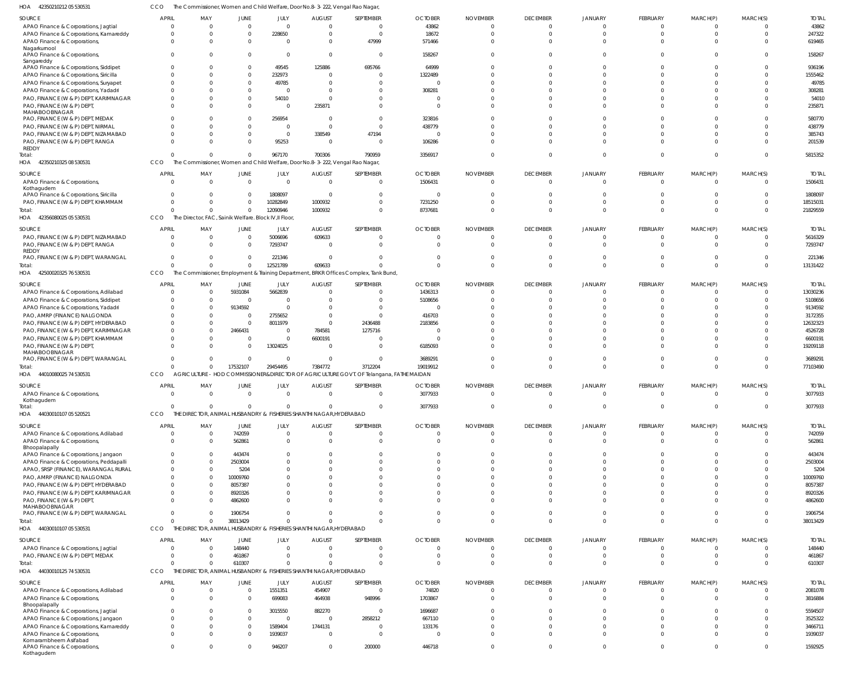42350210212 05 530531 HOA CCO The Commissioner, Women and Child Welfare, Door No.8-3-222, Vengal Rao Nagar,

| SOURCE                                               | <b>APRIL</b>   | MAY                                                                           | JUNE        | JULY                 | <b>AUGUST</b>  | SEPTEMBER                                                                               | <b>OCTOBER</b>       | <b>NOVEMBER</b>      | <b>DECEMBER</b>  | JANUARY        | FEBRUARY             | MARCH(P)                 | MARCH(S)       | <b>TOTAL</b> |
|------------------------------------------------------|----------------|-------------------------------------------------------------------------------|-------------|----------------------|----------------|-----------------------------------------------------------------------------------------|----------------------|----------------------|------------------|----------------|----------------------|--------------------------|----------------|--------------|
| APAO Finance & Corporations, Jagtial                 | $\Omega$       | 0                                                                             |             |                      | $\Omega$       | $\Omega$                                                                                | 43862                | $\Omega$             |                  |                | $\Omega$             |                          | $\Omega$       | 43862        |
| APAO Finance & Corporations, Kamareddy               |                | C                                                                             |             | 228650               | $\Omega$       | $\Omega$                                                                                | 18672                | $\Omega$             | $\cap$           |                |                      |                          | $\Omega$       | 247322       |
| APAO Finance & Corporations,                         | $\Omega$       | $\Omega$                                                                      |             |                      | $\Omega$       | 47999                                                                                   | 571466               | $\Omega$             |                  |                | $\Omega$             |                          | $\Omega$       | 619465       |
| Nagarkurnool<br>APAO Finance & Corporations          | $\Omega$       | $\Omega$                                                                      |             |                      | $\circ$        | $\Omega$                                                                                | 158267               | $\Omega$             |                  |                |                      |                          | $\Omega$       | 158267       |
| Sangareddy                                           |                |                                                                               |             |                      |                |                                                                                         |                      |                      |                  |                |                      |                          |                |              |
| APAO Finance & Corporations, Siddipet                | 0              | C                                                                             |             | 49545                | 125886         | 695766                                                                                  | 64999                | $\Omega$             |                  |                |                      |                          | $\Omega$       | 936196       |
| APAO Finance & Corporations, Siricilla               |                | C                                                                             |             | 232973               | $\Omega$       |                                                                                         | 1322489              |                      |                  |                |                      |                          | $\Omega$       | 1555462      |
| APAO Finance & Corporations, Suryapet                |                |                                                                               |             | 49785                | $\sqrt{ }$     |                                                                                         | C                    |                      |                  |                |                      |                          | $\Omega$       | 49785        |
| APAO Finance & Corporations, Yadadri                 |                |                                                                               |             |                      | $\Omega$       |                                                                                         | 308281               |                      |                  |                |                      |                          | $\Omega$       | 308281       |
| PAO, FINANCE (W & P) DEPT, KARIMNAGAR                |                |                                                                               |             | 54010                | $\Omega$       |                                                                                         | C                    |                      |                  |                |                      |                          | $\Omega$       | 54010        |
| PAO, FINANCE (W & P) DEPT                            |                | C                                                                             |             |                      | 235871         |                                                                                         | - 0                  | $\Omega$             |                  |                |                      |                          | $\Omega$       | 235871       |
| MAHABOOBNAGAR                                        |                |                                                                               |             |                      |                |                                                                                         |                      |                      |                  |                |                      |                          |                |              |
| PAO, FINANCE (W & P) DEPT, MEDAK                     |                | C                                                                             |             | 256954               | - 0            | $\Omega$                                                                                | 323816               | $\Omega$             |                  |                |                      |                          | $\Omega$       | 580770       |
| PAO, FINANCE (W & P) DEPT, NIRMAL                    |                | C                                                                             |             |                      | $\Omega$       |                                                                                         | 438779               |                      |                  |                |                      |                          | $\Omega$       | 438779       |
| PAO, FINANCE (W & P) DEPT, NIZAMABAD                 | 0              |                                                                               |             | $\Omega$             | 338549         | 47194                                                                                   | C                    |                      |                  |                |                      |                          | $\Omega$       | 385743       |
| PAO, FINANCE (W & P) DEPT, RANGA<br>REDDY            |                |                                                                               |             | 95253                | $\Omega$       | $\Omega$                                                                                | 106286               |                      |                  |                |                      |                          | $\Omega$       | 201539       |
| Total:                                               | $\Omega$       | C                                                                             |             | 967170               | 700306         | 790959                                                                                  | 3356917              | $\Omega$             | $\Omega$         |                | $\Omega$             | $\Omega$                 | $\Omega$       | 5815352      |
| HOA 42350210325 08 530531                            | CCO            | The Commissioner, Women and Child Welfare, Door No.8-3-222, Vengal Rao Nagar, |             |                      |                |                                                                                         |                      |                      |                  |                |                      |                          |                |              |
|                                                      |                |                                                                               |             |                      |                |                                                                                         |                      |                      |                  |                |                      |                          |                |              |
| SOURCE                                               | <b>APRIL</b>   | MAY                                                                           | JUNE        | JULY                 | <b>AUGUST</b>  | SEPTEMBER                                                                               | <b>OCTOBER</b>       | <b>NOVEMBER</b>      | <b>DECEMBER</b>  | JANUARY        | FEBRUARY             | MARCH(P)                 | MARCH(S)       | <b>TOTAL</b> |
| APAO Finance & Corporations,                         | $\Omega$       | $\Omega$                                                                      | $\Omega$    | $\Omega$             | $\overline{0}$ | $\Omega$                                                                                | 1506431              | $\Omega$             | $\Omega$         |                | $\Omega$             | $\Omega$                 | $\mathbf 0$    | 1506431      |
| Kothagudem<br>APAO Finance & Corporations, Siricilla |                | C                                                                             | $\Omega$    | 1808097              | - 0            | $\Omega$                                                                                | 0                    | $\Omega$             |                  |                |                      |                          | $\Omega$       | 1808097      |
| PAO, FINANCE (W & P) DEPT, KHAMMAM                   | $\Omega$       | $\Omega$                                                                      | $\Omega$    | 10282849             | 1000932        | $\Omega$                                                                                | 7231250              | $\Omega$             | $\Omega$         |                | $\Omega$             | <sup>0</sup>             | $\mathbf 0$    | 18515031     |
| Total:                                               | $\Omega$       | $\Omega$                                                                      | $\Omega$    | 12090946             | 1000932        | $\Omega$                                                                                | 8737681              | $\Omega$             | $\Omega$         |                | $\Omega$             | $\Omega$                 | $\Omega$       | 21829559     |
| HOA 42356080025 05 530531                            | CCO            | The Director, FAC, Sainik Welfare. Block IV, Il Floor,                        |             |                      |                |                                                                                         |                      |                      |                  |                |                      |                          |                |              |
|                                                      |                |                                                                               |             |                      |                |                                                                                         |                      |                      |                  |                |                      |                          |                |              |
| <b>SOURCE</b>                                        | <b>APRIL</b>   | MAY                                                                           | JUNE        | JULY                 | <b>AUGUST</b>  | SEPTEMBER                                                                               | <b>OCTOBER</b>       | <b>NOVEMBER</b>      | <b>DECEMBER</b>  | JANUARY        | FEBRUARY             | MARCH(P)                 | MARCH(S)       | <b>TOTAL</b> |
| PAO, FINANCE (W & P) DEPT, NIZAMABAD                 | 0              | 0                                                                             | $\Omega$    | 5006696              | 609633         |                                                                                         | 0                    | $\Omega$             |                  |                | 0                    |                          | $\Omega$       | 5616329      |
| PAO, FINANCE (W & P) DEPT, RANGA                     | $\Omega$       | $\Omega$                                                                      |             | 7293747              | $\overline{0}$ |                                                                                         | C                    | $\Omega$             | $\Omega$         |                | $\Omega$             | $\Omega$                 | $\Omega$       | 7293747      |
| <b>REDDY</b><br>PAO, FINANCE (W & P) DEPT, WARANGAL  | $\Omega$       | $\Omega$                                                                      | $\Omega$    | 221346               | - 0            | $\Omega$                                                                                | $\Omega$             | $\Omega$             | $\Omega$         |                | $\Omega$             | $\Omega$                 | $\Omega$       | 221346       |
| Total:                                               | $\Omega$       | $\Omega$                                                                      | $\Omega$    | 12521789             | 609633         |                                                                                         | $\Omega$             | $\Omega$             | $\Omega$         |                | $\Omega$             | $\Omega$                 | $\mathbf 0$    | 13131422     |
| HOA 42500020325 76 530531                            | CCO            |                                                                               |             |                      |                | The Commissioner, Employment & Training Department, BRKR Offices Complex, Tank Bund     |                      |                      |                  |                |                      |                          |                |              |
|                                                      |                |                                                                               |             |                      |                |                                                                                         |                      |                      |                  |                |                      |                          |                |              |
| <b>SOURCE</b>                                        | <b>APRIL</b>   | MAY                                                                           | JUNE        | JULY                 | <b>AUGUST</b>  | SEPTEMBER                                                                               | <b>OCTOBER</b>       | <b>NOVEMBER</b>      | <b>DECEMBER</b>  | <b>JANUARY</b> | FEBRUARY             | MARCH(P)                 | MARCH(S)       | <b>TOTAL</b> |
| APAO Finance & Corporations, Adilabad                | $\Omega$       | 0                                                                             | 5931084     | 5662839              | $\Omega$       | 0                                                                                       | 1436313              | $\Omega$             | $\Omega$         |                | $\Omega$             |                          | $\Omega$       | 13030236     |
| APAO Finance & Corporations, Siddipet                |                | $\Omega$                                                                      | $\Omega$    |                      | $\Omega$       | $\Omega$                                                                                | 5108656              | $\Omega$             | $\Omega$         |                |                      |                          | $\Omega$       | 5108656      |
| APAO Finance & Corporations, Yadadri                 |                | $\Omega$                                                                      | 9134592     |                      | $\Omega$       |                                                                                         | C                    |                      |                  |                |                      |                          | $\Omega$       | 9134592      |
| PAO, AMRP (FINANCE) NALGONDA                         |                | C                                                                             | - 0         | 2755652              | $\Omega$       | $\Omega$                                                                                | 416703               |                      |                  |                |                      |                          | $\Omega$       | 3172355      |
| PAO, FINANCE (W & P) DEPT, HYDERABAD                 |                | $\Omega$                                                                      | $\Omega$    | 8011979              | $\Omega$       | 2436488                                                                                 | 2183856              |                      |                  |                |                      |                          | $\Omega$       | 12632323     |
| PAO, FINANCE (W & P) DEPT, KARIMNAGAR                |                | $\Omega$                                                                      | 2466431     |                      | 784581         | 1275716                                                                                 | C                    |                      |                  |                |                      |                          | $\Omega$       | 4526728      |
| PAO, FINANCE (W & P) DEPT, KHAMMAM                   | 0              | C                                                                             | $\Omega$    |                      | 6600191        |                                                                                         | C                    |                      |                  |                |                      |                          | $\Omega$       | 6600191      |
| PAO, FINANCE (W & P) DEPT                            | U              | C                                                                             | $\Omega$    | 13024025             | $\Omega$       |                                                                                         | 6185093              |                      |                  |                |                      |                          | $\Omega$       | 19209118     |
| MAHABOOBNAGAR<br>PAO, FINANCE (W & P) DEPT, WARANGAL |                | $\Omega$                                                                      | $\Omega$    |                      | - 0            | $\Omega$                                                                                | 3689291              | $\Omega$             |                  |                |                      |                          | $\mathbf{0}$   | 3689291      |
|                                                      | $\Omega$       | $\Omega$                                                                      | 17532107    | 29454495             | 7384772        | 3712204                                                                                 | 19019912             | $\Omega$             | $\Omega$         | $\Omega$       | $\Omega$             | $\Omega$                 | $\mathbf{0}$   | 77103490     |
| Total:<br>HOA 44010080025 74 530531                  | CCO            |                                                                               |             |                      |                | AGRICULTURE - HOD COMMISSIONER&DIRECTOR OF AGRICULTURE GOVT. OF Telangana, FATHE MAIDAN |                      |                      |                  |                |                      |                          |                |              |
|                                                      |                |                                                                               |             |                      |                |                                                                                         |                      |                      |                  |                |                      |                          |                |              |
| SOURCE                                               | <b>APRIL</b>   | MAY                                                                           | JUNE        | JULY                 | <b>AUGUST</b>  | SEPTEMBER                                                                               | <b>OCTOBER</b>       | <b>NOVEMBER</b>      | <b>DECEMBER</b>  | <b>JANUARY</b> | FEBRUARY             | MARCH(P)                 | MARCH(S)       | <b>TOTAL</b> |
| APAO Finance & Corporations                          |                | - C                                                                           |             |                      | $\sqrt{ }$     |                                                                                         | 3077933              |                      |                  |                |                      |                          | $\cap$         | 3077933      |
| Kothagudem                                           |                |                                                                               |             |                      |                |                                                                                         |                      |                      |                  |                |                      |                          |                |              |
| Total:                                               | $\Omega$       | $\Omega$                                                                      |             | $\Omega$             | - 0            | $\overline{0}$                                                                          | 3077933              | $\overline{0}$       | $\Omega$         | $\Omega$       | $\mathbf 0$          | $\mathbf{0}$             | $\overline{0}$ | 3077933      |
| HOA 44030010107 05 520521                            | CCO            | THE DIRECTOR, ANIMAL HUSBANDRY & FISHERIES SHANTHI NAGAR, HYDERABAD           |             |                      |                |                                                                                         |                      |                      |                  |                |                      |                          |                |              |
| SOURCE                                               | <b>APRIL</b>   | MAY                                                                           | JUNE        | JULY                 | <b>AUGUST</b>  | SEPTEMBER                                                                               | <b>OCTOBER</b>       | <b>NOVEMBER</b>      | <b>DECEMBER</b>  | <b>JANUARY</b> | FEBRUARY             | MARCH(P)                 | MARCH(S)       | <b>TOTAL</b> |
| APAO Finance & Corporations, Adilabad                | $\overline{0}$ | $\overline{0}$                                                                | 742059      | $\Omega$             | $\overline{0}$ | $\Omega$                                                                                | 0                    | $\Omega$             | $\Omega$         | - 0            | 0                    | $\mathbf{0}$             | $^{\circ}$     | 742059       |
| APAO Finance & Corporations,                         | $\Omega$       | $\Omega$                                                                      | 562861      | $\Omega$             | $\Omega$       | $\Omega$                                                                                | $\Omega$             | $\Omega$             | $\Omega$         |                | $\Omega$             | $\Omega$                 | $\mathbf 0$    | 562861       |
| Bhoopalapally                                        |                |                                                                               |             |                      |                |                                                                                         |                      |                      |                  |                |                      |                          |                |              |
| APAO Finance & Corporations, Jangaon                 | U              | $\Omega$                                                                      | 443474      | $\Omega$             | $\Omega$       |                                                                                         | $\Omega$             | $\Omega$             | $\cap$           |                | $\Omega$             | <sup>0</sup>             | $\Omega$       | 443474       |
| APAO Finance & Corporations, Peddapalli              |                | $\Omega$                                                                      | 2503004     |                      | $\Omega$       |                                                                                         | $\Omega$             | $\Omega$             | $\cap$           |                |                      |                          | $\Omega$       | 2503004      |
| APAO, SRSP (FINANCE), WARANGAL RURAL                 |                | $\Omega$                                                                      | 5204        | $\cap$               | $\Omega$       |                                                                                         | $\Omega$             | $\Omega$             | $\cap$           |                | $\Omega$             | $\Omega$                 | $\Omega$       | 5204         |
| PAO, AMRP (FINANCE) NALGONDA                         |                | $\Omega$                                                                      | 10009760    |                      | - 0            |                                                                                         | C                    | $\Omega$             |                  |                |                      |                          | $\Omega$       | 10009760     |
| PAO, FINANCE (W & P) DEPT, HYDERABAD                 |                | $\Omega$                                                                      | 8057387     |                      | $\Omega$       |                                                                                         | $\Omega$             | $\Omega$             | $\cap$           |                |                      |                          | $\Omega$       | 8057387      |
| PAO, FINANCE (W & P) DEPT, KARIMNAGAR                |                | $\Omega$                                                                      | 8920326     | $\Omega$<br>$\Omega$ | $\Omega$       |                                                                                         | $\Omega$<br>$\Omega$ | $\Omega$<br>$\Omega$ | $\cap$<br>$\cap$ |                | $\Omega$<br>$\Omega$ | <sup>0</sup><br>$\Omega$ | $\Omega$       | 8920326      |
| PAO, FINANCE (W & P) DEPT<br>MAHABOOBNAGAR           |                | $\Omega$                                                                      | 4862600     |                      | $\Omega$       |                                                                                         |                      |                      |                  |                |                      |                          | $\Omega$       | 4862600      |
| PAO, FINANCE (W & P) DEPT, WARANGAL                  | $\Omega$       | $\Omega$                                                                      | 1906754     | $\Omega$             | $\overline{0}$ |                                                                                         | $\overline{0}$       | $\overline{0}$       | $\Omega$         | $\Omega$       | $\Omega$             | $\Omega$                 | $\mathbf{0}$   | 1906754      |
| Total:                                               | $\Omega$       | $\Omega$                                                                      | 38013429    | $\Omega$             | $\Omega$       | $\Omega$                                                                                | $\Omega$             | $\Omega$             | $\Omega$         | $\Omega$       | $\Omega$             | $\Omega$                 | $\Omega$       | 38013429     |
| HOA<br>44030010107 05 530531                         | CCO            | THE DIRECTOR, ANIMAL HUSBANDRY & FISHERIES SHANTHI NAGAR, HYDERABAD           |             |                      |                |                                                                                         |                      |                      |                  |                |                      |                          |                |              |
|                                                      |                |                                                                               |             |                      |                |                                                                                         |                      |                      |                  |                |                      |                          |                |              |
| SOURCE                                               | <b>APRIL</b>   | MAY                                                                           | JUNE        | JULY                 | <b>AUGUST</b>  | SEPTEMBER                                                                               | <b>OCTOBER</b>       | <b>NOVEMBER</b>      | <b>DECEMBER</b>  | JANUARY        | FEBRUARY             | MARCH(P)                 | MARCH(S)       | <b>TOTAL</b> |
| APAO Finance & Corporations, Jagtial                 | $\Omega$       | $\overline{0}$                                                                | 148440      | $\Omega$             | $\overline{0}$ | $\Omega$                                                                                | $\overline{0}$       | $\overline{0}$       | $\Omega$         | $\Omega$       | $\overline{0}$       | $\overline{0}$           | $\overline{0}$ | 148440       |
| PAO, FINANCE (W & P) DEPT, MEDAK                     | $\Omega$       | $\Omega$                                                                      | 461867      | $\Omega$             | $\Omega$       | $\Omega$                                                                                | - 0                  | $\Omega$             | $\Omega$         | $\Omega$       | $\Omega$             | $\overline{0}$           | $\overline{0}$ | 461867       |
| Total:                                               | $\Omega$       | 0                                                                             | 610307      | $\Omega$             | $\Omega$       | $\Omega$                                                                                | $\Omega$             | $\Omega$             | $\Omega$         | $\Omega$       | $\Omega$             | $\Omega$                 | $\overline{0}$ | 610307       |
| HOA 44030010125 74 530531                            | <b>CCO</b>     | THE DIRECTOR, ANIMAL HUSBANDRY & FISHERIES SHANTHI NAGAR, HYDERABAD           |             |                      |                |                                                                                         |                      |                      |                  |                |                      |                          |                |              |
| SOURCE                                               | <b>APRIL</b>   | MAY                                                                           | <b>JUNE</b> | JULY                 | <b>AUGUST</b>  | SEPTEMBER                                                                               | <b>OCTOBER</b>       | <b>NOVEMBER</b>      | <b>DECEMBER</b>  | JANUARY        | FEBRUARY             | MARCH(P)                 | MARCH(S)       | <b>TOTAL</b> |
| APAO Finance & Corporations, Adilabad                | $\Omega$       | $\overline{0}$                                                                | $\mathbf 0$ | 1551351              | 454907         | $\overline{0}$                                                                          | 74820                | $\overline{0}$       | $\Omega$         |                | $\overline{0}$       | $\overline{0}$           | $\mathbf{0}$   | 2081078      |
| APAO Finance & Corporations,                         |                | $\Omega$                                                                      | $\Omega$    | 699083               | 464938         | 948996                                                                                  | 1703867              | $\Omega$             | $\Omega$         | $\Omega$       | $\Omega$             | $\Omega$                 | $\mathbf 0$    | 3816884      |
| Bhoopalapally                                        | $\Omega$       |                                                                               |             |                      |                |                                                                                         |                      |                      |                  |                |                      |                          |                |              |
|                                                      |                |                                                                               |             |                      |                |                                                                                         |                      |                      |                  |                |                      |                          |                |              |
| APAO Finance & Corporations, Jagtial                 |                | C                                                                             | $\Omega$    | 3015550              | 882270         | $\Omega$                                                                                | 1696687              | $\Omega$             |                  |                |                      |                          | $\Omega$       | 5594507      |
| APAO Finance & Corporations, Jangaon                 | $\Omega$       | $\Omega$                                                                      | $\Omega$    | $\Omega$             | $\overline{0}$ | 2858212                                                                                 | 667110               | $\Omega$             | $\cap$           |                | $\Omega$             | $\Omega$                 | $\Omega$       | 3525322      |
| APAO Finance & Corporations, Kamareddy               | $\Omega$       | $\Omega$                                                                      | $\Omega$    | 1589404              | 1744131        | $\Omega$                                                                                | 133176               | $\Omega$             | $\Omega$         |                | $\Omega$             | $\Omega$                 | $\mathbf{0}$   | 3466711      |
| APAO Finance & Corporations,                         | $\Omega$       | $\Omega$                                                                      | $\Omega$    | 1939037              | $\overline{0}$ | $\Omega$                                                                                | - 0                  | $\Omega$             | $\cap$           |                | $\Omega$             | $\Omega$                 | $\Omega$       | 1939037      |
| Komarambheem Asifabad                                |                |                                                                               |             |                      |                |                                                                                         |                      |                      |                  |                |                      |                          |                |              |
| APAO Finance & Corporations,<br>Kothagudem           | $\Omega$       | $\Omega$                                                                      | $\Omega$    | 946207               | $\overline{0}$ | 200000                                                                                  | 446718               | $\Omega$             | $\Omega$         | $\Omega$       | $\mathbf 0$          | $\mathbf{0}$             | $\mathbf{0}$   | 1592925      |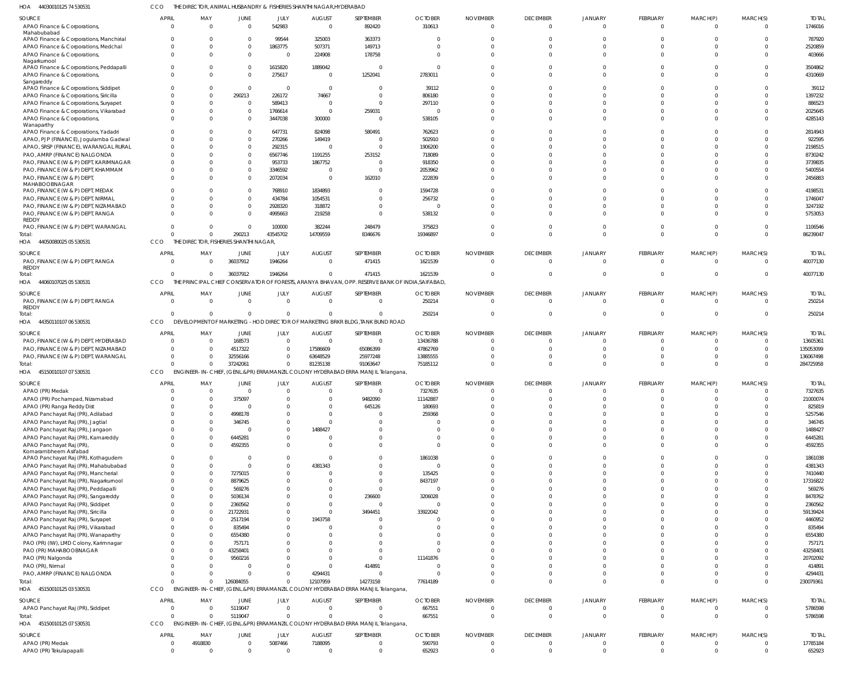44030010125 74 530531 HOA CCO THE DIRECTOR, ANIMAL HUSBANDRY & FISHERIES SHANTHI NAGAR,HYDERABAD

| SOURCE                                       | <b>APRIL</b> | MAY                                    | JUNE           | JULY           | <b>AUGUST</b>  | <b>SEPTEMBER</b>                                                                 | <b>OCTOBER</b>                                                                                  | <b>NOVEMBER</b> | <b>DECEMBER</b> | JANUARY      | FEBRUARY     | MARCH(P)     | MARCH(S)                 | <b>TOTAL</b> |
|----------------------------------------------|--------------|----------------------------------------|----------------|----------------|----------------|----------------------------------------------------------------------------------|-------------------------------------------------------------------------------------------------|-----------------|-----------------|--------------|--------------|--------------|--------------------------|--------------|
| APAO Finance & Corporations,                 | $\Omega$     | $\overline{0}$                         | $\overline{0}$ | 542983         | $\overline{0}$ | 892420                                                                           | 310613                                                                                          | - 0             | $\mathbf 0$     | $\mathbf{0}$ | $\mathbf{0}$ | $\mathbf{0}$ | $\overline{\phantom{0}}$ | 1746016      |
| Mahabubabad                                  |              |                                        |                |                |                |                                                                                  |                                                                                                 |                 |                 |              |              |              |                          |              |
| APAO Finance & Corporations, Manchirial      | $\Omega$     | $\Omega$                               | $\Omega$       | 99544          | 325003         | 363373                                                                           | - 0                                                                                             |                 | U               |              | $\Omega$     |              | $\Omega$                 | 787920       |
| APAO Finance & Corporations, Medchal         | $\Omega$     | $\Omega$                               | $\Omega$       | 1863775        | 507371         | 149713                                                                           | $\sqrt{ }$                                                                                      |                 | $\Omega$        | $\Omega$     | $\Omega$     |              | $\Omega$                 | 2520859      |
| APAO Finance & Corporations,                 | $\Omega$     | $\Omega$                               | $\Omega$       | - 0            | 224908         | 178758                                                                           | $\cup$                                                                                          |                 | $\Omega$        | $\Omega$     | $\Omega$     | $\Omega$     | $\Omega$                 | 403666       |
| Nagarkurnool                                 |              |                                        |                |                |                |                                                                                  |                                                                                                 |                 |                 |              |              |              |                          |              |
| APAO Finance & Corporations, Peddapalli      | $\Omega$     | $\Omega$                               | $\Omega$       | 1615820        | 1889042        | $\Omega$                                                                         | $\Omega$                                                                                        |                 | $\Omega$        | U            | $\Omega$     |              | $\Omega$                 | 3504862      |
| APAO Finance & Corporations,                 | $\Omega$     | $\Omega$                               | $\overline{0}$ | 275617         | $\overline{0}$ | 1252041                                                                          | 2783011                                                                                         |                 | $\Omega$        | $\Omega$     | $\Omega$     | $\Omega$     | $\Omega$                 | 4310669      |
| Sangareddy                                   |              |                                        |                |                |                |                                                                                  |                                                                                                 |                 |                 |              |              |              |                          |              |
| APAO Finance & Corporations, Siddipet        | $\cap$       | $\Omega$                               | $\mathbf{0}$   | - 0            | $\overline{0}$ | $\Omega$                                                                         | 39112                                                                                           |                 | U               | U            | $\Omega$     |              | $\Omega$                 | 39112        |
| APAO Finance & Corporations, Siricilla       | $\Omega$     | $\Omega$                               | 290213         | 226172         | 74667          | $\Omega$                                                                         | 806180                                                                                          |                 |                 |              |              |              | $\Omega$                 | 1397232      |
| APAO Finance & Corporations, Suryapet        | $\Omega$     | $\Omega$                               | $\overline{0}$ | 589413         | $\overline{0}$ | $\Omega$                                                                         | 297110                                                                                          |                 | $\Omega$        | $\Omega$     | $\Omega$     |              | $\Omega$                 | 886523       |
| APAO Finance & Corporations, Vikarabad       | $\Omega$     | $\Omega$                               | $\overline{0}$ | 1766614        | $\overline{0}$ | 259031                                                                           | 0                                                                                               |                 | $\Omega$        | $\Omega$     | $\Omega$     |              | $\Omega$                 | 2025645      |
| APAO Finance & Corporations,                 | $\Omega$     | $\Omega$                               | $\Omega$       | 3447038        | 300000         | $\mathbf 0$                                                                      | 538105                                                                                          |                 | $\Omega$        | $\Omega$     | $\Omega$     | $\Omega$     | $\Omega$                 | 4285143      |
| Wanaparthy                                   |              |                                        |                |                |                |                                                                                  |                                                                                                 |                 |                 |              |              |              |                          |              |
| APAO Finance & Corporations, Yadadri         | $\Omega$     | $\Omega$                               | $\Omega$       | 647731         | 824098         | 580491                                                                           | 762623                                                                                          |                 | U               | U            | $\Omega$     |              | $\Omega$                 | 2814943      |
| APAO, PJP (FINANCE), Jogulamba Gadwal        | $\Omega$     | $\Omega$                               | $\Omega$       | 270266         | 149419         | $\mathbf 0$                                                                      | 502910                                                                                          |                 | $\Omega$        | $\Omega$     | $\Omega$     |              | $\Omega$                 | 922595       |
| APAO, SRSP (FINANCE), WARANGAL RURAL         | $\Omega$     | $\Omega$                               | $\overline{0}$ | 292315         | $\overline{0}$ | $\Omega$                                                                         | 1906200                                                                                         |                 | $\Omega$        | $\Omega$     | $\Omega$     |              | $\Omega$                 | 2198515      |
| PAO, AMRP (FINANCE) NALGONDA                 | $\Omega$     | $\Omega$                               | $\Omega$       | 6567746        | 1191255        | 253152                                                                           | 718089                                                                                          |                 |                 |              |              |              | $\Omega$                 | 8730242      |
| PAO, FINANCE (W & P) DEPT, KARIMNAGAR        | $\Omega$     | $\Omega$                               | $\overline{0}$ | 953733         | 1867752        | 0                                                                                | 918350                                                                                          |                 |                 |              |              |              | $\Omega$                 | 3739835      |
| PAO, FINANCE (W & P) DEPT, KHAMMAM           |              | $\Omega$                               | $\Omega$       | 3346592        | $\overline{0}$ | $\Omega$                                                                         | 2053962                                                                                         |                 |                 | $\Omega$     |              |              | $\Omega$                 | 5400554      |
|                                              | $\Omega$     | $\Omega$                               | $\Omega$       |                | $\Omega$       |                                                                                  |                                                                                                 |                 | $\Omega$        | $\Omega$     | $\Omega$     | $\Omega$     | $\Omega$                 |              |
| PAO, FINANCE (W & P) DEPT,<br>MAHABOOBNAGAR  |              |                                        |                | 2072034        |                | 162010                                                                           | 222839                                                                                          |                 |                 |              |              |              |                          | 2456883      |
| PAO, FINANCE (W & P) DEPT, MEDAK             |              | $\Omega$                               | $\Omega$       | 768910         | 1834893        | $\Omega$                                                                         | 1594728                                                                                         |                 | U               | U            | $\Omega$     |              | $\Omega$                 | 4198531      |
| PAO, FINANCE (W & P) DEPT, NIRMAL            | $\Omega$     | $\Omega$                               | $\overline{0}$ | 434784         | 1054531        | $\Omega$                                                                         | 256732                                                                                          |                 | U               |              | $\Omega$     |              | $\Omega$                 | 1746047      |
|                                              |              | $\Omega$                               | $\Omega$       |                |                | $\Omega$                                                                         | - (                                                                                             |                 | $\Omega$        | $\Omega$     | $\Omega$     |              | $\Omega$                 |              |
| PAO, FINANCE (W & P) DEPT, NIZAMABAD         |              |                                        |                | 2928320        | 318872         |                                                                                  |                                                                                                 |                 |                 |              |              |              |                          | 3247192      |
| PAO, FINANCE (W & P) DEPT, RANGA             | $\Omega$     | $\Omega$                               | $\Omega$       | 4995663        | 219258         | $\Omega$                                                                         | 538132                                                                                          |                 |                 | $\Omega$     | $\Omega$     | $\Omega$     | $\Omega$                 | 5753053      |
| REDDY<br>PAO, FINANCE (W & P) DEPT, WARANGAL | $\Omega$     | $\Omega$                               | $\overline{0}$ | 100000         |                | 248479                                                                           | 375823                                                                                          |                 | $\Omega$        | $\Omega$     | $\Omega$     | $\Omega$     | $\Omega$                 | 1106546      |
|                                              | $\Omega$     |                                        |                |                | 382244         |                                                                                  |                                                                                                 |                 |                 | $\Omega$     |              |              |                          |              |
| Total:                                       |              | $\Omega$                               | 290213         | 43545702       | 14709559       | 8346676                                                                          | 19346897                                                                                        |                 | $\Omega$        |              | $\Omega$     | $\Omega$     | $\Omega$                 | 86239047     |
| HOA 44050080025 05 530531                    | CCO          | THE DIRECTOR, FISHERIES SHANTHI NAGAR, |                |                |                |                                                                                  |                                                                                                 |                 |                 |              |              |              |                          |              |
| SOURCE                                       | <b>APRIL</b> | MAY                                    | JUNE           | JULY           | <b>AUGUST</b>  | SEPTEMBER                                                                        | <b>OCTOBER</b>                                                                                  | <b>NOVEMBER</b> | <b>DECEMBER</b> | JANUARY      | FEBRUARY     | MARCH(P)     | MARCH(S)                 | <b>TOTAI</b> |
| PAO, FINANCE (W & P) DEPT, RANGA             | $\Omega$     | $\Omega$                               | 36037912       | 1946264        | $\Omega$       | 471415                                                                           | 1621539                                                                                         | $\bigcap$       | $\Omega$        | $\Omega$     | $\Omega$     | $\Omega$     | $\Omega$                 | 40077130     |
| REDDY                                        |              |                                        |                |                |                |                                                                                  |                                                                                                 |                 |                 |              |              |              |                          |              |
| Total:                                       | $\Omega$     | $\Omega$                               | 36037912       | 1946264        | $\overline{0}$ | 471415                                                                           | 1621539                                                                                         |                 | $\Omega$        | $\Omega$     | $\Omega$     | $\Omega$     | $\Omega$                 | 40077130     |
| HOA 44060107025 05 530531                    | CCO          |                                        |                |                |                |                                                                                  | THE PRINCIPAL CHIEF CONSERVATOR OF FORESTS, ARANYA BHAVAN, OPP. RESERVE BANK OF INDIA, SAIFABAD |                 |                 |              |              |              |                          |              |
|                                              |              |                                        |                |                |                |                                                                                  |                                                                                                 |                 |                 |              |              |              |                          |              |
| SOURCE                                       | APRIL        | MAY                                    | JUNE           | JULY           | <b>AUGUST</b>  | SEPTEMBER                                                                        | <b>OCTOBER</b>                                                                                  | <b>NOVEMBER</b> | <b>DECEMBER</b> | JANUARY      | FEBRUARY     | MARCH(P)     | MARCH(S)                 | <b>TOTAL</b> |
| PAO, FINANCE (W & P) DEPT, RANGA             | $\Omega$     | - 0                                    | $\Omega$       | $\Omega$       | $\Omega$       | $\mathbf 0$                                                                      | 250214                                                                                          |                 | $\Omega$        | $\Omega$     | $\Omega$     | $\Omega$     | $\Omega$                 | 250214       |
| REDDY                                        |              |                                        |                |                |                |                                                                                  |                                                                                                 |                 |                 |              |              |              |                          |              |
| Total:                                       | $\Omega$     | $\Omega$                               | $\overline{0}$ | $\Omega$       | $^{\circ}$     | 0                                                                                | 250214                                                                                          |                 | $\Omega$        | $\Omega$     | $\Omega$     | $\Omega$     | $\Omega$                 | 250214       |
| HOA 44350110107 06 530531                    | CCO          |                                        |                |                |                | DEVELOPMENT OF MARKETING - HOD DIRECTOR OF MARKETING BRKR BLDG, TANK BUND ROAD   |                                                                                                 |                 |                 |              |              |              |                          |              |
|                                              | APRIL        |                                        |                |                |                |                                                                                  |                                                                                                 |                 |                 |              |              |              |                          | <b>TOTAI</b> |
| SOURCE                                       |              | MAY                                    | JUNE           | JULY           | <b>AUGUST</b>  | SEPTEMBER                                                                        | <b>OCTOBER</b>                                                                                  | <b>NOVEMBER</b> | <b>DECEMBER</b> | JANUARY      | FEBRUARY     | MARCH(P)     | MARCH(S)                 |              |
| PAO, FINANCE (W & P) DEPT, HYDERABAD         |              | $\Omega$                               | 168573         | $\Omega$       | $\overline{0}$ | $\Omega$                                                                         | 13436788                                                                                        |                 | U               | 0            |              |              | $\Omega$                 | 13605361     |
| PAO, FINANCE (W & P) DEPT, NIZAMABAD         | $\Omega$     | $\Omega$                               | 4517322        | $\Omega$       | 17586609       | 65086399                                                                         | 47862769                                                                                        |                 | 0               | $\Omega$     | $\Omega$     |              | $\Omega$                 | 135053099    |
| PAO, FINANCE (W & P) DEPT, WARANGAL          | $\Omega$     | $\Omega$                               | 32556166       | $\Omega$       | 63648529       | 25977248                                                                         | 13885555                                                                                        |                 | 0               | $\Omega$     | $\Omega$     |              | $\Omega$                 | 136067498    |
| Total:                                       |              | $\Omega$                               | 37242061       | $\Omega$       | 81235138       | 91063647                                                                         | 75185112                                                                                        |                 | $\Omega$        | $\Omega$     | $\Omega$     | $\Omega$     | $\Omega$                 | 284725958    |
| HOA 45150010107 07 530531                    | CCO          |                                        |                |                |                | ENGINEER-IN-CHIEF, (GENL.&PR) ERRAMANZIL COLONY HYDERABAD ERRA MANJIL Telangana, |                                                                                                 |                 |                 |              |              |              |                          |              |
|                                              | APRIL        | MAY                                    | <b>JUNE</b>    | JULY           | <b>AUGUST</b>  | SEPTEMBER                                                                        | <b>OCTOBER</b>                                                                                  | <b>NOVEMBER</b> | <b>DECEMBER</b> |              |              |              |                          | <b>TOTAI</b> |
| SOURCE                                       |              |                                        |                |                |                |                                                                                  |                                                                                                 |                 |                 | JANUARY      | FEBRUARY     | MARCH(P)     | MARCH(S)                 |              |
| APAO (PR) Medak                              | $\Omega$     | $\Omega$                               | $\Omega$       | $\Omega$       | $\Omega$       | $\Omega$                                                                         | 7327635                                                                                         | $\Omega$        | $\Omega$        | $\Omega$     | $\Omega$     | $\Omega$     | $\Omega$                 | 7327635      |
| APAO (PR) Pochampad, Nizamabad               |              |                                        | 375097         |                | - ( )          | 9482090                                                                          | 11142887                                                                                        |                 |                 |              |              |              |                          | 21000074     |
| APAO (PR) Ranga Reddy Dist                   |              | $\Omega$                               | 0              |                | $\Omega$       | 645126                                                                           | 180693                                                                                          |                 |                 |              |              |              | $\Omega$                 | 825819       |
| APAO Panchayat Raj (PR), Adilabad            |              | $\Omega$                               | 4998178        | - 0            | - 0            | 0                                                                                | 259368                                                                                          |                 |                 |              |              |              | $\Omega$                 | 5257546      |
| APAO Panchayat Raj (PR), Jagtial             |              | $\Omega$                               | 346745         | - 0            | $\Omega$       |                                                                                  |                                                                                                 |                 |                 |              |              |              | $\Omega$                 | 346745       |
| APAO Panchayat Raj (PR), Jangaon             |              | $\Omega$                               | $\overline{0}$ | $\Omega$       | 1488427        |                                                                                  | $\Omega$                                                                                        |                 |                 |              |              |              | $\Omega$                 | 1488427      |
| APAO Panchayat Raj (PR), Kamareddy           |              | $\Omega$                               | 6445281        | $\Omega$       | $\overline{0}$ |                                                                                  | $\Omega$                                                                                        |                 |                 |              |              |              | $\Omega$                 | 6445281      |
| APAO Panchayat Raj (PR),                     |              | $\Omega$                               | 4592355        | $\Omega$       | $\Omega$       | $\Omega$                                                                         | $\cup$                                                                                          |                 |                 | $\Omega$     | $\Omega$     | $\Omega$     | $\Omega$                 | 4592355      |
| Komarambheem Asifabad                        |              |                                        |                |                |                |                                                                                  |                                                                                                 |                 |                 |              |              |              |                          |              |
| APAO Panchayat Raj (PR), Kothagudem          |              | $\Omega$                               | - 0            | $\Omega$       | $\overline{0}$ | 0                                                                                | 1861038                                                                                         |                 |                 |              |              |              | $\Omega$                 | 1861038      |
| APAO Panchayat Raj (PR), Mahabubabad         |              | $\Omega$                               | $\overline{0}$ |                | 4381343        | U                                                                                | $\Omega$                                                                                        |                 |                 |              |              |              | $\Omega$                 | 4381343      |
| APAO Panchayat Raj (PR), Mancherial          |              | $\Omega$                               | 7275015        | $\Omega$       | -0             |                                                                                  | 135425                                                                                          |                 |                 | $\Omega$     |              |              | $\Omega$                 | 7410440      |
| APAO Panchayat Raj (PR), Nagarkurnool        |              | $\Omega$                               | 8879625        |                | $\Omega$       | $\Omega$                                                                         | 8437197                                                                                         |                 |                 |              |              |              | $\Omega$                 | 17316822     |
| APAO Panchayat Raj (PR), Peddapalli          |              | $\Omega$                               | 569276         |                | $\Omega$       | $\Omega$                                                                         | -0                                                                                              |                 |                 |              |              |              | $\Omega$                 | 569276       |
|                                              |              | $\Omega$                               | 5036134        |                | $\Omega$       | 236600                                                                           | 3206028                                                                                         |                 |                 |              |              |              | $\Omega$                 | 8478762      |
| APAO Panchayat Raj (PR), Sangareddy          |              |                                        |                |                |                |                                                                                  |                                                                                                 |                 |                 |              |              |              | $\Omega$                 |              |
| APAO Panchayat Raj (PR), Siddipet            |              | $\Omega$                               | 2360562        |                | $\Omega$       | $\mathbf 0$                                                                      | 0                                                                                               |                 |                 |              |              |              |                          | 2360562      |
| APAO Panchayat Raj (PR), Siricilla           |              | $\Omega$                               | 21722931       |                | $\Omega$       | 3494451                                                                          | 33922042                                                                                        |                 |                 |              |              |              | $\Omega$                 | 59139424     |
| APAO Panchayat Raj (PR), Suryapet            |              | $\Omega$                               | 2517194        | $\Omega$       | 1943758        | 0                                                                                |                                                                                                 |                 |                 |              |              |              | $\Omega$                 | 4460952      |
| APAO Panchayat Raj (PR), Vikarabad           |              | $\Omega$                               | 835494         | $\Omega$       | $\Omega$       |                                                                                  | - 0                                                                                             |                 |                 |              |              |              | $\Omega$                 | 835494       |
| APAO Panchayat Raj (PR), Wanaparthy          |              | $\Omega$                               | 6554380        |                | $\Omega$       |                                                                                  |                                                                                                 |                 |                 |              |              |              | $\Omega$                 | 6554380      |
| PAO (PR) (IW), LMD Colony, Karimnagar        |              | $\Omega$                               | 757171         |                | $\Omega$       |                                                                                  | $\Omega$                                                                                        |                 |                 |              |              |              | $\Omega$                 | 757171       |
| PAO (PR) MAHABOOBNAGAR                       |              | $\Omega$                               | 43258401       |                | $\Omega$       |                                                                                  |                                                                                                 |                 |                 |              |              |              | $\Omega$                 | 43258401     |
| PAO (PR) Nalgonda                            |              | $\Omega$                               | 9560216        |                | $\Omega$       | $\Omega$                                                                         | 11141876                                                                                        |                 |                 |              |              |              | $\Omega$                 | 20702092     |
| PAO (PR), Nirmal                             |              | 0                                      | $\Omega$       | - 0            | $\Omega$       | 414891                                                                           | - (                                                                                             |                 |                 | $\Omega$     |              |              | $\Omega$                 | 414891       |
| PAO, AMRP (FINANCE) NALGONDA                 |              | $\Omega$                               | $\Omega$       |                | 4294431        | $\mathbf 0$                                                                      |                                                                                                 |                 |                 | $\Omega$     |              | $\Omega$     | $\Omega$                 | 4294431      |
| Total:                                       |              | $\Omega$                               | 126084055      |                | 12107959       | 14273158                                                                         | 77614189                                                                                        |                 |                 | $\Omega$     | $\Omega$     | $\Omega$     | $\Omega$                 | 230079361    |
|                                              | CCO          |                                        |                |                |                | ENGINEER-IN-CHIEF, (GENL.&PR) ERRAMANZIL COLONY HYDERABAD ERRA MANJIL Telangana, |                                                                                                 |                 |                 |              |              |              |                          |              |
| HOA 45150010125 03 530531                    |              |                                        |                |                |                |                                                                                  |                                                                                                 |                 |                 |              |              |              |                          |              |
| SOURCE                                       | APRIL        | MAY                                    | JUNE           | JULY           | <b>AUGUST</b>  | SEPTEMBER                                                                        | <b>OCTOBER</b>                                                                                  | <b>NOVEMBER</b> | <b>DECEMBER</b> | JANUARY      | FEBRUARY     | MARCH(P)     | MARCH(S)                 | <b>TOTAL</b> |
| APAO Panchayat Raj (PR), Siddipet            | $\Omega$     | $\Omega$                               | 5119047        | $\Omega$       | $\overline{0}$ | $\Omega$                                                                         | 667551                                                                                          |                 | $\Omega$        | $\Omega$     | $\Omega$     | $\Omega$     | $\Omega$                 | 5786598      |
| Total:                                       | $\Omega$     | $\Omega$                               | 5119047        | $\Omega$       | $\Omega$       |                                                                                  | 667551                                                                                          |                 | $\Omega$        | $\Omega$     | $\Omega$     | $\Omega$     | $\Omega$                 | 5786598      |
| 45150010125 07 530531<br>HOA                 | CCO          |                                        |                |                |                | ENGINEER-IN-CHIEF, (GENL.&PR) ERRAMANZIL COLONY HYDERABAD ERRA MANJIL Telangana, |                                                                                                 |                 |                 |              |              |              |                          |              |
|                                              |              |                                        |                |                |                |                                                                                  |                                                                                                 |                 |                 |              |              |              |                          |              |
| SOURCE                                       | APRIL        | MAY                                    | JUNE           | JULY           | <b>AUGUST</b>  | SEPTEMBER                                                                        | <b>OCTOBER</b>                                                                                  | <b>NOVEMBER</b> | <b>DECEMBER</b> | JANUARY      | FEBRUARY     | MARCH(P)     | MARCH(S)                 | <b>TOTAL</b> |
| APAO (PR) Medak                              |              | 4918830                                | $\overline{0}$ | 5087466        | 7188095        | 0                                                                                | 590793                                                                                          | - 0             | 0               | 0            | $\Omega$     | $\Omega$     | $\overline{0}$           | 17785184     |
| APAO (PR) Tekulapapalli                      | $\Omega$     | $\overline{0}$                         | $\mathbf 0$    | $\overline{0}$ | $\overline{0}$ | $\mathbf 0$                                                                      | 652923                                                                                          |                 | $\Omega$        | $\mathbf{0}$ | $\mathbf 0$  | $\Omega$     | $\overline{0}$           | 652923       |
|                                              |              |                                        |                |                |                |                                                                                  |                                                                                                 |                 |                 |              |              |              |                          |              |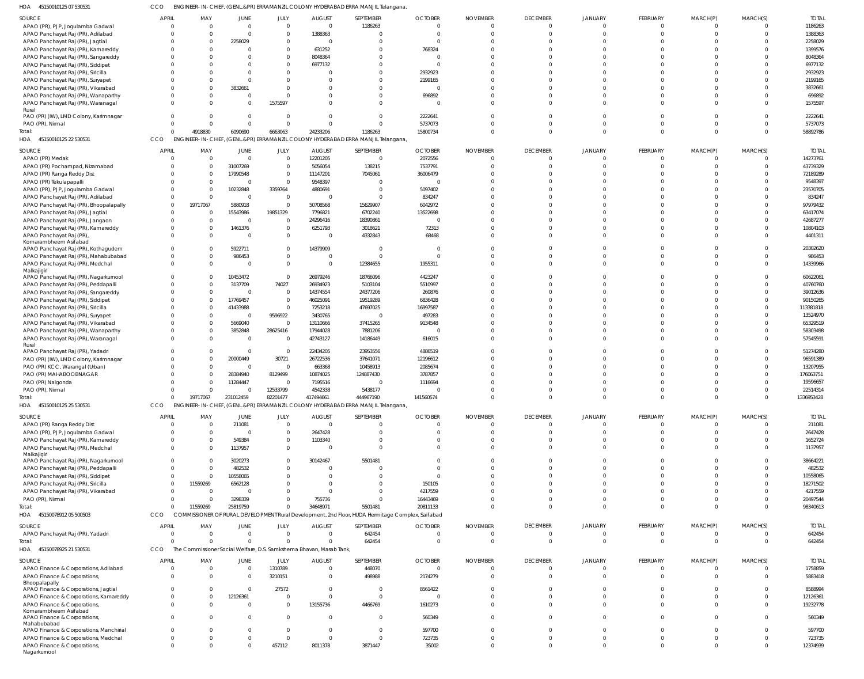45150010125 07 530531 HOA CCO ENGINEER-IN-CHIEF, (GENL.&PR) ERRAMANZIL COLONY HYDERABAD ERRA MANJIL Telangana,

| SOURCE                                       | <b>APRIL</b> | MAY      | JUNE                    | JULY           | <b>AUGUST</b>                                                   | SEPTEMBER                                                                                        | <b>OCTOBER</b> | <b>NOVEMBER</b> | <b>DECEMBER</b>      | JANUARY              | FEBRUARY             | MARCH(P)             | MARCH(S) | <b>TOTAI</b> |
|----------------------------------------------|--------------|----------|-------------------------|----------------|-----------------------------------------------------------------|--------------------------------------------------------------------------------------------------|----------------|-----------------|----------------------|----------------------|----------------------|----------------------|----------|--------------|
| APAO (PR), PJP, Jogulamba Gadwal             |              |          | $\Omega$                | $\Omega$       |                                                                 | 1186263                                                                                          |                |                 | $\mathbf 0$          | $\Omega$             | $\Omega$             |                      |          | 1186263      |
| APAO Panchayat Raj (PR), Adilabad            |              |          |                         | $\Omega$       | 1388363                                                         | $\Omega$                                                                                         |                |                 | $\Omega$             |                      | $\Omega$             |                      | $\Omega$ | 1388363      |
|                                              |              |          | 2258029                 | $\Omega$       |                                                                 | $\Omega$                                                                                         |                |                 |                      |                      |                      |                      |          | 2258029      |
| APAO Panchayat Raj (PR), Jagtial             |              |          |                         | $\Omega$       |                                                                 |                                                                                                  |                |                 |                      |                      |                      |                      |          |              |
| APAO Panchayat Raj (PR), Kamareddy           |              |          |                         |                | 631252                                                          | $\Omega$                                                                                         | 768324         |                 |                      |                      |                      |                      |          | 1399576      |
| APAO Panchayat Raj (PR), Sangareddy          |              |          |                         | $\Omega$       | 8048364                                                         | $\Omega$                                                                                         |                |                 |                      |                      |                      |                      |          | 8048364      |
| APAO Panchayat Raj (PR), Siddipet            |              |          |                         | $\Omega$       | 6977132                                                         | $\Omega$                                                                                         |                |                 |                      |                      |                      |                      |          | 6977132      |
| APAO Panchayat Raj (PR), Siricilla           |              |          |                         | $\Omega$       |                                                                 | $\Omega$                                                                                         | 2932923        |                 |                      |                      |                      |                      |          | 2932923      |
| APAO Panchayat Raj (PR), Suryapet            |              |          |                         | $\Omega$       |                                                                 | $\Omega$                                                                                         | 2199165        |                 |                      |                      |                      |                      |          | 2199165      |
| APAO Panchayat Raj (PR), Vikarabad           |              |          | 3832661                 | $\Omega$       |                                                                 | $\Omega$                                                                                         |                |                 |                      |                      |                      |                      |          | 3832661      |
| APAO Panchayat Raj (PR), Wanaparthy          |              |          | $\Omega$                | $\Omega$       |                                                                 | $\Omega$                                                                                         | 696892         |                 |                      |                      |                      |                      |          | 696892       |
| APAO Panchayat Raj (PR), Waranagal           |              |          | $\Omega$                | 1575597        |                                                                 | $\Omega$                                                                                         |                |                 |                      |                      |                      |                      |          | 1575597      |
| Rural                                        |              |          |                         |                |                                                                 |                                                                                                  |                |                 |                      |                      |                      |                      |          |              |
| PAO (PR) (IW), LMD Colony, Karimnagar        |              |          | $\Omega$                | $\Omega$       |                                                                 | $\Omega$                                                                                         | 2222641        |                 |                      |                      | $\Omega$             |                      |          | 2222641      |
| PAO (PR), Nirmal                             |              |          | $\Omega$                | $\Omega$       |                                                                 | $\Omega$                                                                                         | 5737073        |                 |                      | $\Omega$             | $\Omega$             |                      | $\Omega$ | 5737073      |
| Total:                                       |              | 4918830  | 6090690                 | 6663063        | 24233206                                                        | 1186263                                                                                          | 15800734       |                 | $\Omega$             | $\Omega$             | $\Omega$             | $\Omega$             | $\Omega$ | 58892786     |
| HOA 45150010125 22 530531                    | CCO          |          |                         |                |                                                                 | ENGINEER-IN-CHIEF, (GENL.&PR) ERRAMANZIL COLONY HYDERABAD ERRA MANJIL Telangana,                 |                |                 |                      |                      |                      |                      |          |              |
|                                              |              |          |                         |                |                                                                 |                                                                                                  |                |                 |                      |                      |                      |                      |          |              |
| SOURCE                                       | <b>APRIL</b> | MAY      | JUNE                    | JULY           | <b>AUGUST</b>                                                   | SEPTEMBER                                                                                        | <b>OCTOBER</b> | <b>NOVEMBER</b> | <b>DECEMBER</b>      | JANUARY              | FEBRUARY             | MARCH(P)             | MARCH(S) | <b>TOTAI</b> |
| APAO (PR) Medak                              |              | $\Omega$ | $\overline{0}$          | $\overline{0}$ | 12201205                                                        | $\overline{0}$                                                                                   | 2072556        |                 | $\overline{0}$       | $\Omega$             | $\Omega$             | $\Omega$             | $\Omega$ | 14273761     |
| APAO (PR) Pochampad, Nizamabad               |              |          | 31007269                | $\mathbf 0$    | 5056054                                                         | 138215                                                                                           | 7537791        |                 | $\Omega$             |                      | $\Omega$             | $\Omega$             | $\Omega$ | 43739329     |
| APAO (PR) Ranga Reddy Dist                   |              |          | 17990548                | $\mathbf 0$    | 11147201                                                        | 7045061                                                                                          | 36006479       |                 |                      |                      | $\Omega$             |                      |          | 72189289     |
| APAO (PR) Tekulapapalli                      |              |          | $\Omega$                | $\Omega$       | 9548397                                                         | $\overline{0}$                                                                                   |                |                 |                      |                      |                      |                      |          | 9548397      |
| APAO (PR), PJP, Jogulamba Gadwal             |              |          | 10232848                | 3359764        | 4880691                                                         | $\overline{0}$                                                                                   | 5097402        |                 |                      |                      |                      |                      |          | 23570705     |
|                                              |              | $\Omega$ |                         |                |                                                                 | $\mathbf{0}$                                                                                     |                |                 |                      |                      |                      |                      |          |              |
| APAO Panchayat Raj (PR), Adilabad            |              |          | $\Omega$                | $\overline{0}$ |                                                                 |                                                                                                  | 834247         |                 |                      |                      |                      |                      |          | 834247       |
| APAO Panchayat Raj (PR), Bhoopalapally       |              | 19717067 | 5880918                 | $\Omega$       | 50708568                                                        | 15629907                                                                                         | 6042972        |                 |                      |                      |                      |                      |          | 97979432     |
| APAO Panchayat Raj (PR), Jagtial             |              |          | 15543986                | 19851329       | 7796821                                                         | 6702240                                                                                          | 13522698       |                 |                      |                      |                      |                      |          | 63417074     |
| APAO Panchayat Raj (PR), Jangaon             |              |          | $\overline{\mathbf{0}}$ | $\mathbf 0$    | 24296416                                                        | 18390861                                                                                         | - 0            |                 |                      |                      | $\Omega$             |                      |          | 42687277     |
| APAO Panchayat Raj (PR), Kamareddy           |              |          | 1461376                 | $\mathbf 0$    | 6251793                                                         | 3018621                                                                                          | 72313          |                 | $\Omega$             |                      | $\Omega$             |                      |          | 10804103     |
| APAO Panchayat Raj (PR)                      |              |          | $\Omega$                | $\mathbf 0$    |                                                                 | 4332843                                                                                          | 68468          |                 | $\Omega$             | $\Omega$             | $\Omega$             |                      | $\Omega$ | 4401311      |
| Komarambheem Asifabad                        |              |          |                         |                |                                                                 |                                                                                                  |                |                 |                      |                      |                      |                      |          |              |
| APAO Panchayat Raj (PR), Kothagudem          |              |          | 5922711                 | $\mathbf 0$    | 14379909                                                        | $\overline{0}$                                                                                   | - 0            |                 |                      |                      | $\Omega$             |                      |          | 20302620     |
| APAO Panchayat Raj (PR), Mahabubabad         | -0           |          | 986453                  | $\mathbf 0$    |                                                                 | $\Omega$                                                                                         | $\Omega$       |                 | $\Omega$             | $\Omega$             | $\Omega$             |                      | $\Omega$ | 986453       |
| APAO Panchayat Raj (PR), Medchal             |              |          | $\Omega$                | $\mathbf 0$    | $\mathbf{0}$                                                    | 12384655                                                                                         | 1955311        |                 | $\Omega$             | $\Omega$             | $\Omega$             | $\Omega$             | $\Omega$ | 14339966     |
| Malkajigiri                                  |              |          |                         |                |                                                                 |                                                                                                  |                |                 |                      |                      |                      |                      |          |              |
| APAO Panchayat Raj (PR), Nagarkurnool        |              |          | 10453472                | $\mathbf 0$    | 26979246                                                        | 18766096                                                                                         | 4423247        |                 |                      |                      | $\Omega$             |                      |          | 60622061     |
| APAO Panchayat Raj (PR), Peddapalli          |              |          | 3137709                 | 74027          | 26934923                                                        | 5103104                                                                                          | 5510997        |                 | $\Omega$             | $\Omega$             | $\Omega$             |                      | $\Omega$ | 40760760     |
| APAO Panchayat Raj (PR), Sangareddy          |              |          | $\overline{0}$          | $\overline{0}$ | 14374554                                                        | 24377206                                                                                         | 260876         |                 |                      |                      | $\Omega$             |                      |          | 39012636     |
| APAO Panchayat Raj (PR), Siddipet            |              |          | 17769457                | $\overline{0}$ | 46025091                                                        | 19519289                                                                                         | 6836428        |                 |                      |                      | $\Omega$             |                      |          | 90150265     |
| APAO Panchayat Raj (PR), Siricilla           |              |          | 41433988                | $\mathbf 0$    | 7253218                                                         | 47697025                                                                                         | 16997587       |                 |                      |                      | $\Omega$             |                      |          | 113381818    |
|                                              |              |          | $\Omega$                |                |                                                                 | $\overline{0}$                                                                                   |                |                 |                      |                      |                      |                      |          | 13524970     |
| APAO Panchayat Raj (PR), Suryapet            |              |          |                         | 9596922        | 3430765                                                         |                                                                                                  | 497283         |                 |                      |                      |                      |                      |          |              |
| APAO Panchayat Raj (PR), Vikarabad           |              |          | 5669040                 | $\mathbf 0$    | 13110666                                                        | 37415265                                                                                         | 9134548        |                 |                      |                      | $\Omega$             |                      |          | 65329519     |
| APAO Panchayat Raj (PR), Wanaparthy          |              |          | 3852848                 | 28625416       | 17944028                                                        | 7881206                                                                                          |                |                 | $\Omega$             | $\Omega$             | $\Omega$             |                      |          | 58303498     |
| APAO Panchayat Raj (PR), Waranagal           |              |          | $\overline{0}$          | $\mathbf 0$    | 42743127                                                        | 14186449                                                                                         | 616015         |                 | $\Omega$             | $\Omega$             | $\Omega$             |                      | $\Omega$ | 57545591     |
| Rural                                        |              |          |                         |                |                                                                 |                                                                                                  |                |                 |                      |                      |                      |                      |          |              |
| APAO Panchayat Raj (PR), Yadadri             |              |          | $\Omega$                | $\overline{0}$ | 22434205                                                        | 23953556                                                                                         | 4886519        |                 | $\Omega$             |                      | $\Omega$             |                      |          | 51274280     |
| PAO (PR) (IW), LMD Colony, Karimnagar        |              |          | 20000449                | 30721          | 26722536                                                        | 37641071                                                                                         | 12196612       |                 |                      |                      | $\Omega$             |                      |          | 96591389     |
| PAO (PR) KCC, Warangal (Urban)               |              |          |                         |                |                                                                 |                                                                                                  |                |                 |                      |                      | $\Omega$             |                      |          |              |
|                                              |              |          | $\Omega$                | $\Omega$       | 663368                                                          | 10458913                                                                                         | 2085674        |                 |                      |                      |                      |                      |          | 13207955     |
| PAO (PR) MAHABOOBNAGAR                       |              |          | 28384940                | 8129499        | 10874025                                                        | 124887430                                                                                        | 3787857        |                 |                      |                      |                      |                      |          | 176063751    |
|                                              |              |          | 11284447                | $\mathbf 0$    | 7195516                                                         | 0                                                                                                | 1116694        |                 |                      |                      |                      |                      |          | 19596657     |
| PAO (PR) Nalgonda                            |              |          | $\Omega$                |                | 4542338                                                         | 5438177                                                                                          | $\Omega$       |                 |                      |                      |                      |                      | $\Omega$ |              |
| PAO (PR), Nirmal                             |              |          |                         | 12533799       |                                                                 |                                                                                                  |                |                 |                      |                      |                      |                      |          | 22514314     |
| Total:                                       | $\Omega$     | 19717067 | 231012459               | 82201477       | 417494661                                                       | 444967190                                                                                        | 141560574      |                 | $\overline{0}$       | $\overline{0}$       | $\mathbf 0$          | $\mathbf{0}$         | $\Omega$ | 1336953428   |
| HOA<br>45150010125 25 530531                 | CCO          |          |                         |                |                                                                 | ENGINEER-IN-CHIEF, (GENL.&PR) ERRAMANZIL COLONY HYDERABAD ERRA MANJIL Telangana,                 |                |                 |                      |                      |                      |                      |          |              |
| SOURCE                                       | <b>APRIL</b> | MAY      | <b>JUNE</b>             | JULY           | <b>AUGUST</b>                                                   | SEPTEMBER                                                                                        | <b>OCTOBER</b> | <b>NOVEMBER</b> | <b>DECEMBER</b>      | <b>JANUARY</b>       | <b>FEBRUARY</b>      | MARCH(P)             | MARCH(S) | <b>TOTAL</b> |
| APAO (PR) Ranga Reddy Dist                   | $\Omega$     |          | 211081                  | $\Omega$       | $\Omega$                                                        | $\Omega$                                                                                         | $\Omega$       |                 | $\overline{0}$       | $\Omega$             | $\overline{0}$       | $\mathbf{0}$         | $\Omega$ | 211081       |
|                                              |              |          |                         |                |                                                                 |                                                                                                  |                |                 |                      |                      |                      |                      | $\Omega$ |              |
| APAO (PR), PJP, Jogulamba Gadwal             | $\Omega$     |          | $\Omega$                | $\Omega$       | 2647428                                                         | $\Omega$                                                                                         |                |                 | $\Omega$<br>$\Omega$ | $\Omega$<br>$\Omega$ | $\Omega$<br>$\Omega$ | $\Omega$<br>$\Omega$ |          | 2647428      |
| APAO Panchayat Raj (PR), Kamareddy           |              |          | 549384                  | $\Omega$       | 1103340                                                         | $\Omega$                                                                                         |                |                 |                      |                      |                      |                      |          | 1652724      |
| APAO Panchayat Raj (PR), Medchal             |              |          | 1137957                 | $\mathbf 0$    |                                                                 | $\Omega$                                                                                         |                |                 | $\Omega$             | $\Omega$             | $\Omega$             | $\Omega$             |          | 1137957      |
| Malkajigiri                                  |              |          | 3020273                 | $\Omega$       | 30142467                                                        | 5501481                                                                                          |                |                 | $\Omega$             | $\Omega$             | $\Omega$             |                      |          |              |
| APAO Panchayat Raj (PR), Nagarkurnool        |              |          |                         | $\Omega$       |                                                                 | $\Omega$                                                                                         |                |                 | $\Omega$             | $\Omega$             | $\Omega$             |                      |          | 38664221     |
| APAO Panchayat Raj (PR), Peddapalli          |              |          | 482532                  |                |                                                                 |                                                                                                  |                |                 | $\Omega$             |                      |                      |                      |          | 482532       |
| APAO Panchayat Raj (PR), Siddipet            |              |          | 10558065                | $\Omega$       |                                                                 | $\Omega$                                                                                         |                |                 |                      | $\Omega$             | $\Omega$             |                      |          | 10558065     |
| APAO Panchayat Raj (PR), Siricilla           |              | 11559269 | 6562128                 | $\Omega$       |                                                                 | $\Omega$                                                                                         | 150105         |                 |                      | $\Omega$             | $\Omega$             |                      |          | 18271502     |
| APAO Panchayat Raj (PR), Vikarabad           |              | $\Omega$ | $\Omega$                | $\Omega$       | $\Omega$                                                        | $\Omega$                                                                                         | 4217559        |                 |                      | $\Omega$             | $\Omega$             |                      |          | 4217559      |
| PAO (PR), Nirmal                             |              |          | 3298339                 | $\Omega$       | 755736                                                          | $\Omega$                                                                                         | 16443469       |                 | $\Omega$             | $\Omega$             | $\Omega$             | $\Omega$             |          | 20497544     |
| Total:                                       |              | 11559269 | 25819759                | $\Omega$       | 34648971                                                        | 5501481                                                                                          | 20811133       |                 | $\Omega$             | $\Omega$             | $\Omega$             | $\Omega$             | $\Omega$ | 98340613     |
| HOA 45150078912 05 500503                    | CCO          |          |                         |                |                                                                 | COMMISSIONER OF RURAL DEVELOPMENT Rural Development, 2nd Floor, HUDA Hermitage Complex, Saifabad |                |                 |                      |                      |                      |                      |          |              |
|                                              |              |          |                         |                |                                                                 |                                                                                                  |                |                 |                      |                      |                      |                      |          |              |
| <b>SOURCE</b>                                | <b>APRIL</b> | MAY      | <b>JUNE</b>             | JULY           | <b>AUGUST</b>                                                   | SEPTEMBER                                                                                        | <b>OCTOBER</b> | <b>NOVEMBER</b> | <b>DECEMBER</b>      | <b>JANUARY</b>       | <b>FEBRUARY</b>      | MARCH(P)             | MARCH(S) | <b>TOTAL</b> |
| APAO Panchayat Raj (PR), Yadadri             | $\Omega$     | $\Omega$ | $\overline{0}$          | $\mathbf 0$    | $\Omega$                                                        | 642454                                                                                           | - 0            | - 0             | $\overline{0}$       | $\Omega$             | $\overline{0}$       | $\mathbf{0}$         | $\Omega$ | 642454       |
| Total:                                       |              |          | $\Omega$                | $\Omega$       | <sup>0</sup>                                                    | 642454                                                                                           | $\Omega$       |                 | $\Omega$             | $\Omega$             | $\Omega$             | $\Omega$             | $\Omega$ | 642454       |
| HOA 45150078925 21 530531                    | CCO<br>The   |          |                         |                | Commissioner Social Welfare, D.S. Samkshema Bhavan, Masab Tank, |                                                                                                  |                |                 |                      |                      |                      |                      |          |              |
|                                              |              |          |                         |                |                                                                 |                                                                                                  |                |                 |                      |                      |                      |                      |          |              |
| SOURCE                                       | <b>APRIL</b> | MAY      | <b>JUNE</b>             | JULY           | <b>AUGUST</b>                                                   | SEPTEMBER                                                                                        | <b>OCTOBER</b> | <b>NOVEMBER</b> | <b>DECEMBER</b>      | JANUARY              | <b>FEBRUARY</b>      | MARCH(P)             | MARCH(S) | <b>TOTAL</b> |
| APAO Finance & Corporations, Adilabad        | $\Omega$     |          | $\overline{0}$          | 1310789        | $\Omega$                                                        | 448070                                                                                           | $\Omega$       |                 | $\Omega$             | $\Omega$             | $\overline{0}$       | $\mathbf{0}$         | $\Omega$ | 1758859      |
| APAO Finance & Corporations,                 | $\Omega$     |          | $\overline{0}$          | 3210151        | $\Omega$                                                        | 498988                                                                                           | 2174279        |                 | $\Omega$             | $\Omega$             | $\Omega$             | $\Omega$             | $\Omega$ | 5883418      |
| Bhoopalapally                                |              |          |                         |                |                                                                 |                                                                                                  |                |                 |                      |                      |                      |                      |          |              |
| APAO Finance & Corporations, Jagtial         | $\Omega$     |          | $\Omega$                | 27572          | $\Omega$                                                        | $\overline{0}$                                                                                   | 8561422        |                 | $\Omega$             | $\Omega$             | $\Omega$             | $\Omega$             |          | 8588994      |
| APAO Finance & Corporations, Kamareddy       | $\Omega$     |          | 12126361                | $\Omega$       | $\Omega$                                                        | $\mathbf{0}$                                                                                     | - 0            |                 | $\Omega$             | $\Omega$             | $\Omega$             | $\Omega$             | $\Omega$ | 12126361     |
| APAO Finance & Corporations,                 | $\Omega$     |          | $\Omega$                | $\mathbf 0$    | 13155736                                                        | 4466769                                                                                          | 1610273        |                 | $\Omega$             | $\Omega$             | $\Omega$             | $\Omega$             | $\Omega$ | 19232778     |
| Komarambheem Asifabad                        |              |          |                         |                |                                                                 |                                                                                                  |                |                 |                      |                      |                      |                      |          |              |
| APAO Finance & Corporations,                 | $\Omega$     |          | $\Omega$                | $\mathbf 0$    | $\Omega$                                                        | $\overline{0}$                                                                                   | 560349         |                 | $\Omega$             | $\Omega$             | $\Omega$             | $\Omega$             | $\cap$   | 560349       |
| Mahabubabad                                  |              |          |                         |                |                                                                 |                                                                                                  |                |                 |                      |                      |                      |                      |          |              |
| APAO Finance & Corporations, Manchirial      | $\Omega$     |          | $\Omega$                | $\Omega$       | $\Omega$                                                        | $\overline{0}$                                                                                   | 597700         |                 | $\Omega$             | $\Omega$             | $\Omega$             | $\Omega$             | $\cap$   | 597700       |
| APAO Finance & Corporations, Medchal         | $\Omega$     |          | $\Omega$                | $\Omega$       | $\Omega$                                                        | $\mathbf{0}$                                                                                     | 723735         |                 | $\Omega$             | $\Omega$             | $\Omega$             | $\Omega$             | $\Omega$ | 723735       |
| APAO Finance & Corporations,<br>Nagarkurnool | $\Omega$     |          | $\Omega$                | 457112         | 8011378                                                         | 3871447                                                                                          | 35002          |                 | $\Omega$             | $\Omega$             | $\Omega$             | $\Omega$             | $\Omega$ | 12374939     |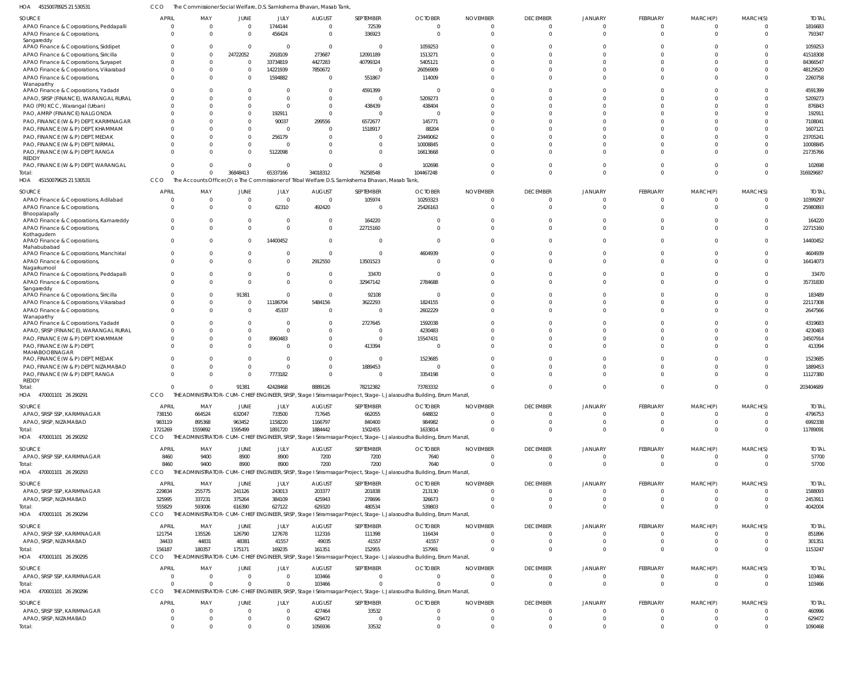45150078925 21 530531 HOA CCO The Commissioner Social Welfare, D.S. Samkshema Bhavan, Masab Tank,

| SOURCE                                                                          | <b>APRIL</b>         | MAY                     | JUNE                 | <b>JULY</b>          | <b>AUGUST</b>                   | SEPTEMBER                                                                                        | <b>OCTOBER</b>                                                                                                       | <b>NOVEMBER</b>                  | <b>DECEMBER</b>      | <b>JANUARY</b> | <b>FEBRUARY</b>                  | MARCH(P)                         | MARCH(S)                     | <b>TOTAL</b>         |
|---------------------------------------------------------------------------------|----------------------|-------------------------|----------------------|----------------------|---------------------------------|--------------------------------------------------------------------------------------------------|----------------------------------------------------------------------------------------------------------------------|----------------------------------|----------------------|----------------|----------------------------------|----------------------------------|------------------------------|----------------------|
| APAO Finance & Corporations, Peddapalli                                         | $\Omega$             | $\overline{0}$          | $\overline{0}$       | 1744144              | $\overline{0}$                  | 72539                                                                                            | $\overline{0}$                                                                                                       | $\Omega$                         | - 0                  |                | $\mathbf 0$                      | $\Omega$                         | $\overline{0}$               | 1816683              |
| APAO Finance & Corporations,                                                    | $\Omega$             | $\Omega$                | $\Omega$             | 456424               | $\overline{0}$                  | 336923                                                                                           | $\Omega$                                                                                                             | $\Omega$                         | $\cap$               |                | $\Omega$                         | $\Omega$                         | $\Omega$                     | 793347               |
| Sangareddy                                                                      |                      |                         |                      |                      |                                 |                                                                                                  |                                                                                                                      |                                  |                      |                |                                  |                                  |                              |                      |
| APAO Finance & Corporations, Siddipet                                           |                      | $\Omega$                | $\overline{0}$       | - 0                  | $\overline{0}$                  | $\Omega$                                                                                         | 1059253                                                                                                              | $\Omega$                         |                      |                |                                  |                                  | $\Omega$                     | 1059253              |
| APAO Finance & Corporations, Siricilla                                          | $\Omega$             | $\Omega$<br>$\Omega$    | 24722052<br>$\Omega$ | 2918109              | 273687                          | 12091189                                                                                         | 1513271                                                                                                              | $\Omega$<br>$\Omega$             |                      |                |                                  |                                  | $\Omega$<br>$\Omega$         | 41518308             |
| APAO Finance & Corporations, Suryapet<br>APAO Finance & Corporations, Vikarabad | $\Omega$             | $\Omega$                | $\Omega$             | 33734819<br>14221939 | 4427283<br>7850672              | 40799324<br>$\Omega$                                                                             | 5405121<br>26056909                                                                                                  |                                  |                      |                |                                  |                                  | $\Omega$                     | 84366547<br>48129520 |
| APAO Finance & Corporations,                                                    |                      | $\Omega$                | $\Omega$             | 1594882              | $\overline{0}$                  | 551867                                                                                           | 114009                                                                                                               | $\Omega$                         |                      |                |                                  |                                  | $\Omega$                     | 2260758              |
| Wanaparthy                                                                      |                      |                         |                      |                      |                                 |                                                                                                  |                                                                                                                      |                                  |                      |                |                                  |                                  |                              |                      |
| APAO Finance & Corporations, Yadadri                                            |                      | $\Omega$                | $\Omega$             |                      | $\Omega$                        | 4591399                                                                                          | - 0                                                                                                                  | $\Omega$                         |                      |                |                                  |                                  | $\Omega$                     | 4591399              |
| APAO, SRSP (FINANCE), WARANGAL RURAL                                            |                      | $\Omega$                |                      |                      | $\Omega$                        | $\Omega$                                                                                         | 5209273                                                                                                              | $\Omega$                         |                      |                |                                  |                                  | $\Omega$                     | 5209273              |
| PAO (PR) KCC, Warangal (Urban)                                                  |                      | $\Omega$                | $\Omega$             |                      | $\Omega$                        | 438439                                                                                           | 438404                                                                                                               | $\Omega$                         |                      |                |                                  |                                  | $\Omega$                     | 876843               |
| PAO, AMRP (FINANCE) NALGONDA                                                    |                      | $\Omega$                | $\Omega$             | 192911               | $\overline{0}$                  | $\Omega$                                                                                         | $\overline{0}$                                                                                                       | $\Omega$                         |                      |                |                                  |                                  | $\Omega$                     | 192911               |
| PAO, FINANCE (W & P) DEPT, KARIMNAGAR                                           |                      | $\Omega$                | $\Omega$             | 90037                | 299556                          | 6572677                                                                                          | 145771                                                                                                               | $\Omega$                         |                      |                |                                  |                                  | $\Omega$                     | 7108041              |
| PAO, FINANCE (W & P) DEPT, KHAMMAM                                              |                      | $\Omega$                | $\Omega$             |                      | $\Omega$                        | 1518917                                                                                          | 88204                                                                                                                | $\Omega$                         |                      |                |                                  |                                  | $\Omega$                     | 1607121              |
| PAO, FINANCE (W & P) DEPT, MEDAK                                                |                      | $\Omega$                | $\Omega$             | 256179               | $\Omega$                        |                                                                                                  | 23449062                                                                                                             |                                  |                      |                |                                  |                                  | $\Omega$                     | 23705241             |
| PAO, FINANCE (W & P) DEPT, NIRMAL                                               |                      | $\Omega$                | $\Omega$             |                      | $\Omega$                        |                                                                                                  | 10008845                                                                                                             | $\Omega$                         |                      |                |                                  |                                  | $\Omega$                     | 10008845             |
| PAO, FINANCE (W & P) DEPT, RANGA<br><b>REDDY</b>                                |                      | $\Omega$                | $\Omega$             | 5122098              | $\Omega$                        | <sup>0</sup>                                                                                     | 16613668                                                                                                             | $\Omega$                         |                      |                | <sup>0</sup>                     |                                  | $\Omega$                     | 21735766             |
| PAO, FINANCE (W & P) DEPT, WARANGAL                                             | $\Omega$             | $\Omega$                | $\overline{0}$       |                      | $\Omega$                        | $\Omega$                                                                                         | 102698                                                                                                               | $\Omega$                         |                      |                |                                  |                                  | $\Omega$                     | 102698               |
| Total:                                                                          | $\Omega$             | $\Omega$                | 36848413             | 65337166             | 34018312                        | 76258548                                                                                         | 104467248                                                                                                            | $\Omega$                         |                      | $\Omega$       | $\Omega$                         | $\Omega$                         | $\Omega$                     | 316929687            |
| HOA 45150079625 21 530531                                                       | CCO                  |                         |                      |                      |                                 | The Accounts Officer, O \o The Commissioner of Tribal Welfare D.S. Samkshema Bhavan, Masab Tank, |                                                                                                                      |                                  |                      |                |                                  |                                  |                              |                      |
|                                                                                 |                      |                         |                      |                      |                                 |                                                                                                  |                                                                                                                      |                                  |                      |                |                                  |                                  |                              |                      |
| SOURCE                                                                          | <b>APRIL</b>         | MAY<br>$\overline{0}$   | JUNE                 | JULY<br>- 0          | <b>AUGUST</b><br>$\overline{0}$ | SEPTEMBER                                                                                        | <b>OCTOBER</b>                                                                                                       | <b>NOVEMBER</b><br>$\Omega$      | <b>DECEMBER</b>      | JANUARY        | <b>FEBRUARY</b>                  | MARCH(P)                         | MARCH(S)                     | <b>TOTAL</b>         |
| APAO Finance & Corporations, Adilabad                                           | $\Omega$<br>$\Omega$ | $\Omega$                | $\circ$<br>$\Omega$  | 62310                | 492420                          | 105974<br>$\Omega$                                                                               | 10293323                                                                                                             | $\Omega$                         | - 0                  |                | $\Omega$<br>$\Omega$             |                                  | $\mathbf 0$<br>$\Omega$      | 10399297<br>25980893 |
| APAO Finance & Corporations,<br>Bhoopalapally                                   |                      |                         |                      |                      |                                 |                                                                                                  | 25426163                                                                                                             |                                  |                      |                |                                  |                                  |                              |                      |
| APAO Finance & Corporations, Kamareddy                                          | $\Omega$             | $\Omega$                | $\Omega$             | - 0                  | 0                               | 164220                                                                                           | $\Omega$                                                                                                             | $\Omega$                         |                      |                | $\Omega$                         |                                  | $\Omega$                     | 164220               |
| APAO Finance & Corporations,                                                    | $\Omega$             | $\Omega$                | $\Omega$             | $\Omega$             | $\Omega$                        | 22715160                                                                                         | $\Omega$                                                                                                             | $\Omega$                         |                      |                | $\Omega$                         |                                  | $\Omega$                     | 22715160             |
| Kothagudem                                                                      |                      |                         |                      |                      |                                 |                                                                                                  |                                                                                                                      |                                  |                      |                |                                  |                                  |                              |                      |
| APAO Finance & Corporations,                                                    | $\Omega$             | $\Omega$                | $\Omega$             | 14400452             | $\overline{0}$                  | $\overline{0}$                                                                                   | $\Omega$                                                                                                             | $\Omega$                         |                      |                | $\Omega$                         | $\Omega$                         | $^{\circ}$                   | 14400452             |
| Mahabubabad<br>APAO Finance & Corporations, Manchirial                          |                      | $\Omega$                | $\Omega$             |                      | $\overline{0}$                  | $\overline{0}$                                                                                   | 4604939                                                                                                              | $\Omega$                         |                      |                | $\Omega$                         |                                  | $^{\circ}$                   | 4604939              |
| APAO Finance & Corporations,                                                    | $\Omega$             | $\Omega$                | $\Omega$             |                      | 2912550                         | 13501523                                                                                         | $\Omega$                                                                                                             | $\Omega$                         |                      |                | $\Omega$                         | $\Omega$                         | $\Omega$                     | 16414073             |
| Nagarkurnool                                                                    |                      |                         |                      |                      |                                 |                                                                                                  |                                                                                                                      |                                  |                      |                |                                  |                                  |                              |                      |
| APAO Finance & Corporations, Peddapalli                                         |                      | $\Omega$                | $\Omega$             | $\Omega$             | $\Omega$                        | 33470                                                                                            | - 0                                                                                                                  | $\Omega$                         |                      |                |                                  |                                  | $\Omega$                     | 33470                |
| APAO Finance & Corporations,                                                    | $\Omega$             | $\Omega$                | $\Omega$             | $\Omega$             | $\Omega$                        | 32947142                                                                                         | 2784688                                                                                                              | $\Omega$                         |                      |                | $\Omega$                         | $\Omega$                         | $\Omega$                     | 35731830             |
| Sangareddy<br>APAO Finance & Corporations, Siricilla                            |                      | $\Omega$                | 91381                | $\Omega$             | $\overline{0}$                  | 92108                                                                                            | - 0                                                                                                                  | $\Omega$                         |                      |                |                                  |                                  | $\Omega$                     | 183489               |
| APAO Finance & Corporations, Vikarabad                                          | $\Omega$             | $\Omega$                | - 0                  | 11186704             | 5484156                         | 3622293                                                                                          | 1824155                                                                                                              | $\Omega$                         |                      |                | $\Omega$                         |                                  | $\Omega$                     | 22117308             |
| APAO Finance & Corporations,                                                    |                      | $\Omega$                | $\Omega$             | 45337                | $\Omega$                        | $\Omega$                                                                                         | 2602229                                                                                                              | $\Omega$                         |                      |                | $\Omega$                         |                                  | $\Omega$                     | 2647566              |
| Wanaparthy                                                                      |                      |                         |                      |                      |                                 |                                                                                                  |                                                                                                                      |                                  |                      |                |                                  |                                  |                              |                      |
| APAO Finance & Corporations, Yadadri                                            | $\Omega$             | $\Omega$                | $\Omega$             | - 0                  | $\overline{0}$                  | 2727645                                                                                          | 1592038                                                                                                              | $\Omega$                         |                      |                |                                  |                                  | $\Omega$                     | 4319683              |
| APAO, SRSP (FINANCE), WARANGAL RURAL                                            |                      | $\Omega$                | $\Omega$             | $\cap$               | $\Omega$                        | $\Omega$                                                                                         | 4230483                                                                                                              | $\Omega$                         |                      |                | $\Omega$                         |                                  | $\Omega$                     | 4230483              |
| PAO, FINANCE (W & P) DEPT, KHAMMAM                                              | $\Omega$             | $\Omega$                | $\mathbf 0$          | 8960483              | $\Omega$                        | $\Omega$                                                                                         | 15547431                                                                                                             | $\Omega$                         |                      |                | <sup>0</sup>                     |                                  | $\Omega$                     | 24507914             |
| PAO, FINANCE (W & P) DEPT                                                       |                      | $\Omega$                | $\Omega$             | $\cap$               | $\Omega$                        | 413394                                                                                           | $\Omega$                                                                                                             | $\Omega$                         |                      |                | $\Omega$                         |                                  | $\Omega$                     | 413394               |
| MAHABOOBNAGAR<br>PAO, FINANCE (W & P) DEPT, MEDAK                               |                      | $\Omega$                | $\Omega$             | - 0                  | $\overline{0}$                  | $\Omega$                                                                                         | 1523685                                                                                                              | $\Omega$                         |                      |                |                                  |                                  | $\Omega$                     | 1523685              |
| PAO, FINANCE (W & P) DEPT, NIZAMABAD                                            |                      | $\Omega$                | $\Omega$             | $\Omega$             | $\mathbf{0}$                    | 1889453                                                                                          | $\Omega$                                                                                                             | $\Omega$                         |                      |                |                                  |                                  | $\Omega$                     | 1889453              |
| PAO, FINANCE (W & P) DEPT, RANGA                                                | $\cap$               | $\Omega$                | $\Omega$             | 7773182              | $\Omega$                        | $\Omega$                                                                                         | 3354198                                                                                                              | $\Omega$                         |                      |                | $\Omega$                         | $\Omega$                         | $\Omega$                     | 11127380             |
| REDDY                                                                           |                      |                         |                      |                      |                                 |                                                                                                  |                                                                                                                      |                                  |                      |                |                                  |                                  |                              |                      |
| Total:                                                                          | $\Omega$             | $\Omega$                | 91381                | 42428468             | 8889126                         | 78212382                                                                                         | 73783332                                                                                                             | $\Omega$                         |                      |                | $\Omega$                         | $\Omega$                         | $\Omega$                     | 203404689            |
| HOA<br>470001101 26 290291                                                      | CCO                  |                         |                      |                      |                                 |                                                                                                  | THE ADMINISTRATOR-CUM-CHIEF ENGINEER, SRSP, Stage I Sriramsagar Project, Stage-I, Jalasoudha Building, Errum Manzil, |                                  |                      |                |                                  |                                  |                              |                      |
| SOURCE                                                                          | <b>APRIL</b>         | MAY                     | JUNE                 | JULY                 | <b>AUGUST</b>                   | SEPTEMBER                                                                                        | <b>OCTOBER</b>                                                                                                       | <b>NOVEMBER</b>                  | <b>DECEMBER</b>      | <b>JANUARY</b> | FEBRUARY                         | MARCH(P)                         | MARCH(S)                     | <b>TOTAL</b>         |
| APAO, SRSP SSP, KARIMNAGAR                                                      | 738150               | 664524                  | 632047               | 733500               | 717645                          | 662055                                                                                           | 648832                                                                                                               | $\overline{0}$                   | $\Omega$             |                | $\overline{0}$                   |                                  | 0                            | 4796753              |
| APAO, SRSP, NIZAMABAD                                                           | 983119               | 895368                  | 963452               | 1158220              | 1166797                         | 840400                                                                                           | 984982                                                                                                               | $\overline{0}$                   | $\Omega$             | $\Omega$       | $\mathbf 0$                      | $\Omega$                         | $\mathbf 0$                  | 6992338              |
| Total:                                                                          | 1721269              | 1559892                 | 1595499              | 1891720              | 1884442                         | 1502455                                                                                          | 1633814                                                                                                              | $\overline{0}$                   | $\cap$               | $\Omega$       | $\overline{0}$                   | $\overline{0}$                   | $\mathbf 0$                  | 11789091             |
| HOA 470001101 26 290292                                                         | CCO                  |                         |                      |                      |                                 |                                                                                                  | THE ADMINISTRATOR-CUM-CHIEF ENGINEER, SRSP, Stage I Sriramsagar Project, Stage-I, Jalasoudha Building, Errum Manzil, |                                  |                      |                |                                  |                                  |                              |                      |
|                                                                                 |                      |                         |                      |                      |                                 |                                                                                                  |                                                                                                                      |                                  |                      |                |                                  |                                  |                              |                      |
| SOURCE                                                                          | <b>APRIL</b>         | MAY                     | JUNE                 | JULY                 | <b>AUGUST</b>                   | SEPTEMBER                                                                                        | <b>OCTOBER</b>                                                                                                       | <b>NOVEMBER</b>                  | <b>DECEMBER</b>      | <b>JANUARY</b> | <b>FEBRUARY</b>                  | MARCH(P)                         | MARCH(S)                     | <b>TOTAL</b>         |
| APAO, SRSP SSP, KARIMNAGAR<br>Total:                                            | 8460<br>8460         | 9400<br>9400            | 8900<br>8900         | 8900<br>8900         | 7200<br>7200                    | 7200<br>7200                                                                                     | 7640<br>7640                                                                                                         | $\overline{0}$<br>$\overline{0}$ | $\Omega$<br>$\Omega$ | $\Omega$       | $\overline{0}$<br>$\overline{0}$ | $\overline{0}$<br>$\overline{0}$ | $\mathbf{0}$<br>$\mathbf{0}$ | 57700<br>57700       |
| HOA 470001101 26 290293                                                         | CCO                  |                         |                      |                      |                                 |                                                                                                  | THE ADMINISTRATOR-CUM-CHIEF ENGINEER, SRSP, Stage I Sriramsagar Project, Stage-I, Jalasoudha Building, Errum Manzil, |                                  |                      |                |                                  |                                  |                              |                      |
|                                                                                 |                      |                         |                      |                      |                                 |                                                                                                  |                                                                                                                      |                                  |                      |                |                                  |                                  |                              |                      |
| SOURCE                                                                          | APRIL                | MAY                     | JUNE                 | JULY                 | <b>AUGUST</b>                   | SEPTEMBER                                                                                        | <b>OCTOBER</b>                                                                                                       | <b>NOVEMBER</b>                  | <b>DECEMBER</b>      | <b>JANUARY</b> | FEBRUARY                         | MARCH(P)                         | MARCH(S)                     | <b>TOTAL</b>         |
| APAO, SRSP SSP, KARIMNAGAR                                                      | 229834               | 255775                  | 241126               | 243013               | 203377                          | 201838                                                                                           | 213130                                                                                                               | $^{\circ}$                       |                      |                | $\overline{0}$                   |                                  | 0                            | 1588093              |
| APAO, SRSP, NIZAMABAD                                                           | 325995               | 337231                  | 375264               | 384109               | 425943                          | 278696                                                                                           | 326673                                                                                                               | $\overline{0}$                   | $\Omega$             | $\Omega$       | $\mathbf 0$                      | $\Omega$                         | $\mathbf{0}$                 | 2453911              |
| Total:                                                                          | 555829               | 593006                  | 616390               | 627122               | 629320                          | 480534                                                                                           | 539803                                                                                                               | $\Omega$                         | $\cap$               | $\Omega$       | $\Omega$                         | $\overline{0}$                   | $\Omega$                     | 4042004              |
| HOA 470001101 26 290294                                                         | CCO                  |                         |                      |                      |                                 |                                                                                                  | THE ADMINISTRATOR-CUM-CHIEF ENGINEER, SRSP, Stage I Sriramsagar Project, Stage-I, Jalasoudha Building, Errum Manzil, |                                  |                      |                |                                  |                                  |                              |                      |
| SOURCE                                                                          | <b>APRIL</b>         | MAY                     | JUNE                 | JULY                 | <b>AUGUST</b>                   | SEPTEMBER                                                                                        | <b>OCTOBER</b>                                                                                                       | <b>NOVEMBER</b>                  | <b>DECEMBER</b>      | <b>JANUARY</b> | FEBRUARY                         | MARCH(P)                         | MARCH(S)                     | <b>TOTAL</b>         |
| APAO, SRSP SSP, KARIMNAGAR                                                      | 121754               | 135526                  | 126790               | 127678               | 112316                          | 111398                                                                                           | 116434                                                                                                               | $\Omega$                         |                      |                | $\Omega$                         |                                  | $\Omega$                     | 851896               |
| APAO, SRSP, NIZAMABAD                                                           | 34433                | 44831                   | 48381                | 41557                | 49035                           | 41557                                                                                            | 41557                                                                                                                | $\overline{0}$                   |                      |                | $\Omega$                         | $\overline{0}$                   | $\mathbf{0}$                 | 301351               |
| Total:                                                                          | 156187               | 180357                  | 175171               | 169235               | 161351                          | 152955                                                                                           | 157991                                                                                                               | $\Omega$                         |                      |                | $\Omega$                         | $\Omega$                         | $\Omega$                     | 1153247              |
| HOA 470001101 26 290295                                                         | CCO                  |                         |                      |                      |                                 |                                                                                                  | THE ADMINISTRATOR-CUM-CHIEF ENGINEER, SRSP, Stage I Sriramsagar Project, Stage-I, Jalasoudha Building, Errum Manzil, |                                  |                      |                |                                  |                                  |                              |                      |
| SOURCE                                                                          | <b>APRIL</b>         | MAY                     | JUNE                 | JULY                 | <b>AUGUST</b>                   | SEPTEMBER                                                                                        | <b>OCTOBER</b>                                                                                                       | <b>NOVEMBER</b>                  | <b>DECEMBER</b>      | JANUARY        | <b>FEBRUARY</b>                  | MARCH(P)                         | MARCH(S)                     | <b>TOTAL</b>         |
| APAO, SRSP SSP, KARIMNAGAR                                                      | $\overline{0}$       | $\overline{0}$          | $\overline{0}$       | $\Omega$             | 103466                          | $\overline{0}$                                                                                   | $\overline{0}$                                                                                                       | $\overline{0}$                   | $\Omega$             | $\mathbf{0}$   | $\overline{0}$                   | $\overline{0}$                   | $\overline{0}$               | 103466               |
| Total:                                                                          | $\Omega$             | $\overline{0}$          | $\mathbf 0$          | $\cap$               | 103466                          | $\Omega$                                                                                         | $\Omega$                                                                                                             | $\overline{0}$                   | $\Omega$             | $\Omega$       | $\mathbf{0}$                     | $\overline{0}$                   | $\overline{0}$               | 103466               |
| HOA 470001101 26 290296                                                         | CCO                  |                         |                      |                      |                                 |                                                                                                  | THE ADMINISTRATOR-CUM-CHIEF ENGINEER, SRSP, Stage I Sriramsagar Project, Stage-I, Jalasoudha Building, Errum Manzil, |                                  |                      |                |                                  |                                  |                              |                      |
|                                                                                 |                      |                         |                      |                      |                                 |                                                                                                  |                                                                                                                      |                                  |                      |                |                                  |                                  |                              |                      |
| SOURCE                                                                          | <b>APRIL</b>         | MAY                     | JUNE                 | JULY                 | <b>AUGUST</b>                   | SEPTEMBER                                                                                        | <b>OCTOBER</b>                                                                                                       | <b>NOVEMBER</b>                  | <b>DECEMBER</b>      | <b>JANUARY</b> | <b>FEBRUARY</b>                  | MARCH(P)                         | MARCH(S)                     | <b>TOTAL</b>         |
| APAO, SRSP SSP, KARIMNAGAR                                                      | $\overline{0}$       | $\overline{\mathbf{0}}$ | $\overline{0}$       | $\Omega$             | 427464                          | 33532                                                                                            | -0                                                                                                                   | $\overline{0}$                   | $\Omega$             |                | 0                                | $\Omega$                         | $\mathbf{0}$                 | 460996               |
| APAO, SRSP, NIZAMABAD                                                           | $\overline{0}$       | $\overline{0}$          | $\mathbf{0}$         | $\overline{0}$       | 629472                          | $\overline{0}$                                                                                   | $\overline{0}$                                                                                                       | $\overline{0}$                   | $\Omega$             | $\mathbf 0$    | $\overline{0}$                   | $\overline{0}$                   | $\mathbf 0$                  | 629472               |
| Total:                                                                          | $\Omega$             | $\Omega$                | $\Omega$             | $\Omega$             | 1056936                         | 33532                                                                                            | $\Omega$                                                                                                             | $\Omega$                         | $\Omega$             | $\Omega$       | $\Omega$                         | $\Omega$                         | $\Omega$                     | 1090468              |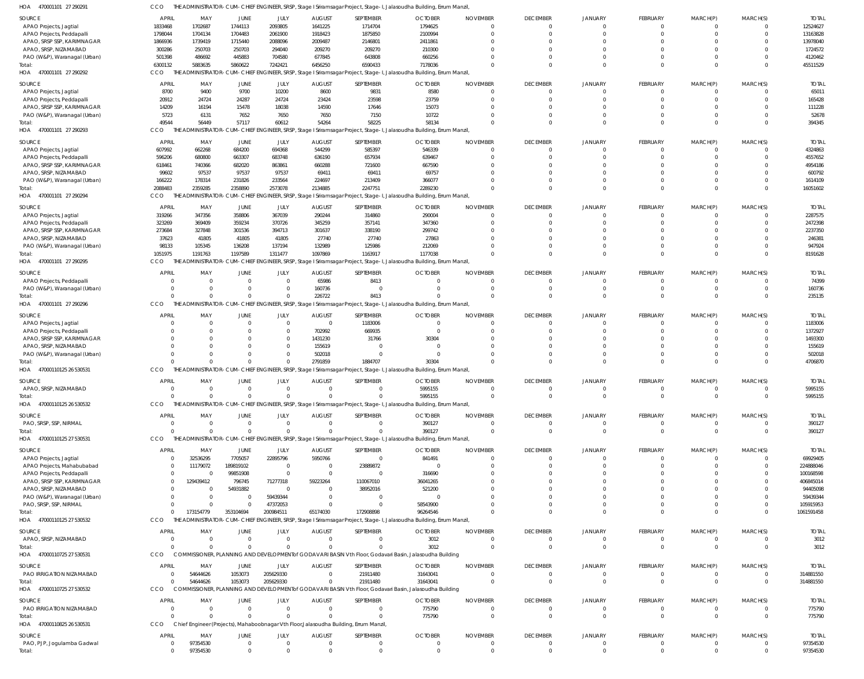470001101 27 290291 HOA 470001101 27 290292 HOA 470001101 27 290293 HOA 470001101 27 290294 HOA 470001101 27 290295 HOA 470001101 27 290296 HOA 47000110125 26 530531 HOA 47000110125 26 530532 HOA 47000110125 27 530531 HOA 47000110125 27 530532 47000110725 27 530531 HOA 47000110725 27 530532 HOA 47000110825 26 530531 HOA HOA THE ADMINISTRATOR-CUM-CHIEF ENGINEER, SRSP, Stage I Sriramsagar Project, Stage-I, Jalasoudha Building, Errum Manzil, THE ADMINISTRATOR-CUM-CHIEF ENGINEER, SRSP, Stage I Sriramsagar Project, Stage-I, Jalasoudha Building, Errum Manzil, THE ADMINISTRATOR-CUM-CHIEF ENGINEER, SRSP, Stage I Sriramsagar Project, Stage-I, Jalasoudha Building, Errum Manzil, THE ADMINISTRATOR-CUM-CHIEF ENGINEER, SRSP, Stage I Sriramsagar Project, Stage-I, Jalasoudha Building, Errum Manzil, THE ADMINISTRATOR-CUM-CHIEF ENGINEER, SRSP, Stage I Sriramsagar Project, Stage-I, Jalasoudha Building, Errum Manzil, THE ADMINISTRATOR-CUM-CHIEF ENGINEER, SRSP, Stage I Sriramsagar Project, Stage-I, Jalasoudha Building, Errum Manzil, THE ADMINISTRATOR-CUM-CHIEF ENGINEER, SRSP, Stage I Sriramsagar Project, Stage-I, Jalasoudha Building, Errum Manzil, THE ADMINISTRATOR-CUM-CHIEF ENGINEER, SRSP, Stage I Sriramsagar Project, Stage-I, Jalasoudha Building, Errum Manzil, THE ADMINISTRATOR-CUM-CHIEF ENGINEER, SRSP, Stage I Sriramsagar Project, Stage-I, Jalasoudha Building, Errum Manzil, THE ADMINISTRATOR-CUM-CHIEF ENGINEER, SRSP, Stage I Sriramsagar Project, Stage-I, Jalasoudha Building, Errum Manzil, COMMISSIONER, PLANNING AND DEVELOPMENTof GODAVARI BASIN Vth Floor, Godavari Basin, Jalasoudha Building COMMISSIONER, PLANNING AND DEVELOPMENTof GODAVARI BASIN Vth Floor, Godavari Basin, Jalasoudha Building Chief Engineer (Projects), Mahaboobnagar Vth Floor,Jalasoudha Building, Errum Manzil, CCO CCO CCO CCO CCO **CCO CCO CCO CCO CCO** CCO CCO. **CCO** 6300132 49544 2088483 1051975 0 0  $\Omega$  $\Omega$  $\Omega$  $\Omega$ 0  $\Omega$ 5883635 56449 2359285 1191763 0 0  $\Omega$  $\Omega$ 173154779 0 54644626  $\Omega$ 97354530 5860622 57117 2358890 1197589 0 0 0  $\Omega$ 353104694 0 1053073  $\Omega$ 7242421 60612 2573078 1311477 0  $\Omega$  $\Omega$  $\Omega$ 200984511  $\Omega$ 205629330  $\Omega$ 6456250 54264 2134885 1097869 226722 2791859 0 0 65174030 0 0  $\Omega$ 0 6590433 58225 2247751 1163917 8413 1884707  $\Omega$  $\Omega$ 172908898  $\Omega$ 21911480  $\sqrt{2}$ 7178036 58134 2289230 1177038 0 30304 5995155 390127 96264546 3012 31643041 775790 0  $\Omega$ 0 0 0 0  $\Omega$  $\Omega$  $\Omega$  $\Omega$ 0  $\Omega$  $\bigcap$  $\Omega$  $\Omega$  $\Omega$ 0 0  $\Omega$  $\Omega$  $\Omega$ 0 0  $\Omega$  $\Omega$  $\Omega$  $\Omega$  $\Omega$  $\mathfrak{c}$ 0 0 0  $\Omega$ 0 0  $\Omega$ 0  $\Omega$  $\Omega$  $\Omega$ 0 0 0  $\Omega$  $\Omega$  $\Omega$ 0  $\Omega$  $\Omega$  $\Omega$  $\Omega$  $\Omega$ 0 0 0 0  $\Omega$ 0 0  $\Omega$  $\bigcap$  $\Omega$ 0  $\Omega$ 0 0  $\Omega$  $\Omega$  $\Omega$  $\Omega$ 0  $\Omega$ 45511529 394345 16051602 8191628 235135 4706870 5995155 390127 1061591458 3012 314881550 775790 97354530 APAO Projects, Jagtial APAO Projects, Peddapalli APAO, SRSP SSP, KARIMNAGAR APAO, SRSP, NIZAMABAD PAO (W&P), Waranagal (Urban) APAO Projects, Jagtial APAO Projects, Peddapalli APAO, SRSP SSP, KARIMNAGAR PAO (W&P), Waranagal (Urban) APAO Projects, Jagtial APAO Projects, Peddapalli APAO, SRSP SSP, KARIMNAGAR APAO, SRSP, NIZAMABAD PAO (W&P), Waranagal (Urban) APAO Projects, Jagtial APAO Projects, Peddapalli APAO, SRSP SSP, KARIMNAGAR APAO, SRSP, NIZAMABAD PAO (W&P), Waranagal (Urban) APAO Projects, Peddapalli PAO (W&P), Waranagal (Urban) APAO Projects, Jagtial APAO Projects, Peddapalli APAO, SRSP SSP, KARIMNAGAR APAO, SRSP, NIZAMABAD PAO (W&P), Waranagal (Urban) APAO, SRSP, NIZAMABAD PAO, SRSP, SSP, NIRMAL APAO Projects, Jagtial APAO Projects, Mahabubabad APAO Projects, Peddapalli APAO, SRSP SSP, KARIMNAGAR APAO, SRSP, NIZAMABAD PAO (W&P), Waranagal (Urban) PAO, SRSP, SSP, NIRMAL APAO, SRSP, NIZAMABAD PAO IRRIGATION NIZAMABAD PAO IRRIGATION NIZAMABAD PAO, PJP, Jogulamba Gadwal SOURCE SOURCE **SOURCE SOURCE** SOURCE SOURCE SOURCE SOURCE SOURCE SOURCE SOURCE SOURCE SOURCE 1833468 1798044 1866936 300286 501398 8700 20912 14209 5723 607992 596206 618461 99602 166222 319266 323269 273684 37623 98133 0  $\Omega$  $\mathfrak{c}$  $\Omega$  $\Omega$ 0  $\Omega$ 0 0  $\Omega$ 0 0 0  $\Omega$  $\Omega$ 0 0 0 0 0 APRIL APRIL **APRIL APRIL** APRIL **APRIL APRIL** APRIL APRIL APRIL APRIL APRIL APRIL 1702687 1704134 1739419 250703 486692 9400 24724 16194 6131 662268 680800 740366 97537 178314 347356 369409 327848 41805 105345 0  $\Omega$ 0  $\Omega$  $\Omega$ 0  $\Omega$ 0 0 32536295 11179072 0 129439412  $\Omega$  $\Omega$ 0 0 54644626 0 97354530 MAY MAY MAY MAY MAY MAY MAY MAY MAY MAY MAY MAY MAY 1744113 1704483 1715440 250703 445883 9700 24287 15478 7652 684200 663307 682020 97537 231826 358806 359234 301536 41805 136208 0  $\Omega$  $\overline{0}$  $\Omega$  $\Omega$ 0  $\Omega$ 0 0 7705057 189819102 99851908 796745 54931882  $\Omega$ 0 0 1053073 0 0 JUNE JUNE JUNE JUNE JUNE JUNE **JUNE** JUNE JUNE JUNE JUNE JUNE JUNE 2093805 2061900 2088096 294040 704580 10200 24724 18038 7650 694368 683748 863861 97537 233564 367039 370726 394713 41805 137194 0  $\Omega$ 0  $\Omega$  $\bigcap$ 0  $\Omega$ 0 0 22895796 0  $\Omega$ 71277318  $\Omega$ 59439344 47372053 0 205629330 0 0 JULY JULY JULY JULY JULY JULY JULY JULY JULY JULY JULY JULY JULY 1641225 1918423 2009487 209270 677845 8600 23424 14590 7650 544299 636190 660288 69411 224697 290244 345259 301637 27740 132989 65986 160736 0 702992 1431230 155619 502018 0 0 5950766 0 0 59223264  $\Omega$  $\Omega$ 0 0 0 0 0 AUGUST AUGUST AUGUST AUGUST AUGUST **AUGUST AUGUST** AUGUST AUGUST AUGUST AUGUST AUGUST AUGUST 1714704 1875850 2146801 209270 643808 9831 23598 17646 7150 585397 657934 721600 69411 213409 314860 357141 338190 27740 125986 8413  $\Omega$ 1183006 669935 31766 0  $\bigcap$ 0  $\Omega$  $\Omega$ 23889872  $\Omega$ 110067010 38952016  $\Omega$ 0 0 21911480 0  $\Omega$ SEPTEMBER SEPTEMBER SEPTEMBER SEPTEMBER SEPTEMBER SEPTEMBER SEPTEMBER SEPTEMBER SEPTEMBER SEPTEMBER SEPTEMBER SEPTEMBER SEPTEMBER 1794625 2100994 2411861 210300 660256 8580 23759 15073 10722 546339 639467 667590 69757 366077 290004 347360 299742 27863 212069 0  $\Omega$ 0 0 30304 0  $\bigcap$ 5995155 390127 841491 0 316690 36041265 521200  $\Omega$ 58543900 3012 31643041 775790  $\Omega$ **OCTOBER** OCTOBER **OCTOBER OCTOBER OCTOBER** OCTOBER **OCTOBER OCTOBER** OCTOBER OCTOBER **OCTOBER OCTOBER** OCTOBER 0 0  $\Omega$ 0 0 0 0  $\Omega$ 0  $\Omega$  $\Omega$ 0  $\Omega$ 0 0  $\Omega$ 0  $\Omega$ 0 0  $\Omega$ 0  $\Omega$  $\Omega$ 0  $\Omega$ 0  $\Omega$  $\bigcap$ 0 0 0 0  $\Omega$ 0  $\Omega$  $\Omega$ 0  $\Omega$ NOVEMBER NOVEMBER NOVEMBER NOVEMBER NOVEMBER NOVEMBER NOVEMBER NOVEMBER NOVEMBER NOVEMBER NOVEMBER NOVEMBER NOVEMBER  $\Omega$ 0  $\Omega$ 0  $\Omega$  $\Omega$ 0  $\Omega$ 0  $\Omega$  $\Omega$ 0  $\Omega$ 0  $\Omega$  $\Omega$ 0  $\Omega$ 0 0  $\bigcap$ 0  $\Omega$  $\bigcap$ 0  $\Omega$ 0 0  $\Omega$ 0  $\Omega$ 0  $\Omega$  $\Omega$ 0  $\Omega$  $\bigcap$ 0 0 DECEMBER DECEMBER DECEMBER DECEMBER **DECEMBER DECEMBER DECEMBER** DECEMBER DECEMBER DECEMBER DECEMBER DECEMBER DECEMBER 0 0  $\Omega$ 0  $\Omega$  $\Omega$ 0  $\Omega$ 0  $\Omega$  $\Omega$ 0  $\Omega$ 0  $\Omega$  $\Omega$ 0 0  $\mathfrak{g}$ 0  $\Omega$  $\mathfrak{c}$ 0  $\Omega$ 0  $\Omega$ 0  $\Omega$  $\Omega$ 0  $\Omega$  $\sqrt{2}$  $\Omega$  $\Omega$ 0 0  $\Omega$ 0 0 JANUARY JANUARY JANUARY JANUARY JANUARY JANUARY JANUARY JANUARY JANUARY JANUARY JANUARY JANUARY JANUARY  $\Omega$ 0  $\bigcap$ 0 0  $\Omega$ 0  $\sqrt{2}$ 0 0 0 0 0 0  $\Omega$  $\Omega$ 0  $\Omega$ 0 0 0 0  $\Omega$  $\bigcap$ 0  $\sqrt{2}$ 0  $\Omega$  $\sqrt{2}$ 0 0 0 0  $\sqrt{2}$ 0  $\Omega$ 0 0  $\Omega$ FEBRUARY FEBRUARY FEBRUARY FEBRUARY FEBRUARY FEBRUARY FEBRUARY FEBRUARY FEBRUARY FEBRUARY FEBRUARY FEBRUARY FEBRUARY  $\Omega$ 0  $\Omega$ 0  $\Omega$  $\Omega$ 0  $\Omega$ 0  $\Omega$  $\Omega$ 0  $\Omega$ 0  $\Omega$  $\Omega$ 0 0 0 0  $\Omega$ 0 0  $\Omega$ 0  $\Omega$ 0  $\Omega$  $\Omega$ 0  $\Omega$  $\Omega$  $\Omega$  $\Omega$ 0  $\Omega$  $\Omega$ 0 0 MARCH(P) MARCH(P) MARCH(P) MARCH(P) MARCH(P) MARCH(P) MARCH(P) MARCH(P) MARCH(P) MARCH(P) MARCH(P) MARCH(P) MARCH(P)  $\Omega$ 0  $\Omega$ 0  $\Omega$  $\Omega$ 0  $\Omega$ 0  $\Omega$  $\Omega$ 0  $\Omega$ 0  $\Omega$  $\Omega$ 0  $\Omega$ 0 0  $\bigcap$ 0  $\Omega$  $\bigcap$ 0  $\Omega$ 0 0  $\Omega$ 0  $\Omega$ 0  $\Omega$  $\Omega$ 0  $\Omega$  $\bigcap$ 0  $\Omega$ MARCH(S) MARCH(S) MARCH(S) MARCH(S) MARCH(S) MARCH(S) MARCH(S) MARCH(S) MARCH(S) MARCH(S) MARCH(S) MARCH(S) MARCH(S) 12524627 13163828 13978040 1724572 4120462 65011 165428 111228 52678 4324863 4557652 4954186 600792 1614109 2287575 2472398 2237350 246381 947924 74399 160736 1183006 1372927 1493300 155619 502018 5995155 390127 69929405 224888046 100168598 406845014 94405098 59439344 105915953 3012 314881550 775790 97354530 TOTAL TOTAL TOTAL TOTAL TOTAL TOTAL TOTAL TOTAL TOTAL TOTAL TOTAL TOTAL TOTAL Total: Total: Total: Total: Total: **Total** Total: Total: Total: Total: Total: Total:

0

Total:

0

 $\Omega$ 

0

0

0

0

0

0

0

0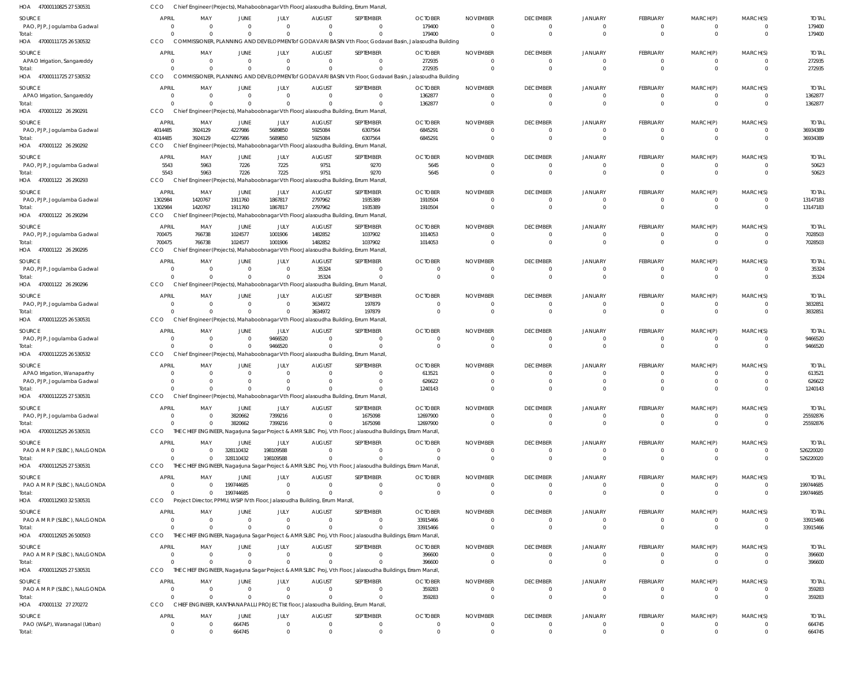| HOA 47000110825 27 530531              | CCO           |                                  |                                 |                            |                                                                             | Chief Engineer (Projects), Mahaboobnagar Vth Floor, Jalasoudha Building, Errum Manzil                      |                                                                                                                   |                      |                                   |                                  |                             |                      |                         |                         |
|----------------------------------------|---------------|----------------------------------|---------------------------------|----------------------------|-----------------------------------------------------------------------------|------------------------------------------------------------------------------------------------------------|-------------------------------------------------------------------------------------------------------------------|----------------------|-----------------------------------|----------------------------------|-----------------------------|----------------------|-------------------------|-------------------------|
| SOURCE                                 | <b>APRIL</b>  | MAY                              | JUNE                            | JULY                       | <b>AUGUST</b>                                                               | SEPTEMBER                                                                                                  | <b>OCTOBER</b>                                                                                                    | <b>NOVEMBER</b>      | <b>DECEMBER</b>                   | <b>JANUARY</b>                   | FEBRUARY                    | MARCH(P)             | MARCH(S)                | <b>TOTAL</b>            |
| PAO, PJP, Jogulamba Gadwal             | - 0           | $\Omega$                         | $\Omega$                        | $\Omega$                   | $\Omega$                                                                    | $\Omega$                                                                                                   | 179400                                                                                                            | $\mathbf 0$          | $\mathbf 0$                       | $\overline{0}$                   | $\Omega$                    |                      | $\Omega$                | 179400                  |
| Total:<br>HOA 47000111725 26 530532    | CCO           | $\Omega$                         | $\Omega$                        | $\Omega$                   | $\Omega$                                                                    | $\Omega$                                                                                                   | 179400<br>COMMISSIONER, PLANNING AND DEVELOPMENT of GODAVARI BASIN Vth Floor, Godavari Basin, Jalasoudha Building | $\Omega$             | $\overline{0}$                    | $\Omega$                         | $\Omega$                    | $\Omega$             | $\mathbf 0$             | 179400                  |
| SOURCE                                 | <b>APRIL</b>  | MAY                              | <b>JUNE</b>                     | JULY                       | <b>AUGUST</b>                                                               | SEPTEMBER                                                                                                  | <b>OCTOBER</b>                                                                                                    | <b>NOVEMBER</b>      | <b>DECEMBER</b>                   | <b>JANUARY</b>                   | FEBRUARY                    | MARCH(P)             | MARCH(S)                | <b>TOTAL</b>            |
| APAO Irrigation, Sangareddy            | - 0           | $\Omega$                         | $\overline{0}$                  | $\overline{0}$             | $\mathbf{0}$                                                                | $\Omega$                                                                                                   | 272935                                                                                                            | $\overline{0}$       | $\overline{0}$                    | $\overline{0}$                   | $\Omega$                    | $\Omega$             | $\Omega$                | 272935                  |
| Total:                                 |               | $\Omega$                         | $\Omega$                        | $\mathbf 0$                | $\Omega$                                                                    | $\Omega$                                                                                                   | 272935                                                                                                            | $\Omega$             | $\Omega$                          | $\Omega$                         | $\Omega$                    | $\Omega$             | $\Omega$                | 272935                  |
| HOA 47000111725 27 530532              | CCO           |                                  |                                 |                            |                                                                             |                                                                                                            | COMMISSIONER, PLANNING AND DEVELOPMENT of GODAVARI BASIN Vth Floor, Godavari Basin, Jalasoudha Building           |                      |                                   |                                  |                             |                      |                         |                         |
| SOURCE                                 | APRIL         | MAY                              | JUNE                            | JULY                       | <b>AUGUST</b>                                                               | SEPTEMBER                                                                                                  | <b>OCTOBER</b>                                                                                                    | <b>NOVEMBER</b>      | <b>DECEMBER</b>                   | <b>JANUARY</b>                   | FEBRUARY                    | MARCH(P)             | MARCH(S)                | <b>TOTAI</b>            |
| APAO Irrigation, Sangareddy            | - 0           | $\Omega$                         | $\mathbf 0$<br>$\Omega$         | $\mathbf 0$<br>$\Omega$    | $\Omega$<br>$\Omega$                                                        | $\Omega$<br>$\Omega$                                                                                       | 1362877                                                                                                           | $\Omega$             | $\overline{0}$<br>$\Omega$        | $\overline{0}$<br>$\Omega$       | $\Omega$<br>$\Omega$        | $\Omega$<br>$\Omega$ | $\Omega$<br>$\Omega$    | 1362877                 |
| Total:<br>HOA 470001122 26 290291      | CCO           | $\Omega$                         |                                 |                            |                                                                             | Chief Engineer (Projects), Mahaboobnagar Vth Floor, Jalasoudha Building, Errum Manzil                      | 1362877                                                                                                           | $\Omega$             |                                   |                                  |                             |                      |                         | 1362877                 |
| SOURCE                                 | APRIL         | MAY                              |                                 | JULY                       |                                                                             | SEPTEMBER                                                                                                  | <b>OCTOBER</b>                                                                                                    | <b>NOVEMBER</b>      | <b>DECEMBER</b>                   | <b>JANUARY</b>                   | FEBRUARY                    | MARCH(P)             | MARCH(S)                | <b>TOTAL</b>            |
| PAO, PJP, Jogulamba Gadwal             | 4014485       | 3924129                          | JUNE<br>4227986                 | 5689850                    | <b>AUGUST</b><br>5925084                                                    | 6307564                                                                                                    | 6845291                                                                                                           | $\overline{0}$       | $\overline{0}$                    | $\Omega$                         | $\Omega$                    | $\Omega$             | $\mathbf 0$             | 36934389                |
| Total:                                 | 4014485       | 3924129                          | 4227986                         | 5689850                    | 5925084                                                                     | 6307564                                                                                                    | 6845291                                                                                                           | $\mathbf 0$          | $\overline{0}$                    | $\Omega$                         | $\Omega$                    | $\Omega$             | $\Omega$                | 36934389                |
| HOA 470001122 26 290292                | CCO           |                                  |                                 |                            |                                                                             | Chief Engineer (Projects), Mahaboobnagar Vth Floor, Jalasoudha Building, Errum Manzil                      |                                                                                                                   |                      |                                   |                                  |                             |                      |                         |                         |
| SOURCE                                 | <b>APRIL</b>  | MAY                              | JUNE                            | JULY                       | <b>AUGUST</b>                                                               | SEPTEMBER                                                                                                  | <b>OCTOBER</b>                                                                                                    | <b>NOVEMBER</b>      | <b>DECEMBER</b>                   | <b>JANUARY</b>                   | <b>FEBRUARY</b>             | MARCH(P)             | MARCH(S)                | <b>TOTAL</b>            |
| PAO, PJP, Jogulamba Gadwal             | 5543<br>5543  | 5963                             | 7226                            | 7225                       | 9751<br>9751                                                                | 9270<br>9270                                                                                               | 5645                                                                                                              | $\Omega$<br>$\Omega$ | 0<br>$\overline{0}$               | $\Omega$<br>$\Omega$             | $\Omega$<br>$\Omega$        | $\Omega$             | $\Omega$<br>$\mathbf 0$ | 50623<br>50623          |
| Total:<br>HOA 470001122 26 290293      | CCO           | 5963                             | 7226                            | 7225                       |                                                                             | Chief Engineer (Projects), Mahaboobnagar Vth Floor, Jalasoudha Building, Errum Manzil,                     | 5645                                                                                                              |                      |                                   |                                  |                             |                      |                         |                         |
| SOURCE                                 | APRIL         | MAY                              | JUNE                            | JULY                       | <b>AUGUST</b>                                                               | SEPTEMBER                                                                                                  | <b>OCTOBER</b>                                                                                                    | <b>NOVEMBER</b>      | <b>DECEMBER</b>                   | <b>JANUARY</b>                   | FEBRUARY                    | MARCH(P)             | MARCH(S)                | <b>TOTAL</b>            |
| PAO, PJP, Jogulamba Gadwal             | 1302984       | 1420767                          | 1911760                         | 1867817                    | 2797962                                                                     | 1935389                                                                                                    | 1910504                                                                                                           | 0                    | $\overline{0}$                    | $\circ$                          | $\mathbf 0$                 | 0                    | 0                       | 13147183                |
| Total:                                 | 1302984       | 1420767                          | 1911760                         | 1867817                    | 2797962                                                                     | 1935389                                                                                                    | 1910504                                                                                                           | $\Omega$             | $\Omega$                          | $\Omega$                         | $\Omega$                    | $\Omega$             | $\Omega$                | 13147183                |
| HOA 470001122 26 290294                | CCO           |                                  |                                 |                            |                                                                             | Chief Engineer (Projects), Mahaboobnagar Vth Floor, Jalasoudha Building, Errum Manzil                      |                                                                                                                   |                      |                                   |                                  |                             |                      |                         |                         |
| SOURCE                                 | APRIL         | MAY                              | JUNE                            | JULY                       | <b>AUGUST</b>                                                               | SEPTEMBER                                                                                                  | <b>OCTOBER</b>                                                                                                    | <b>NOVEMBER</b>      | <b>DECEMBER</b>                   | <b>JANUARY</b>                   | FEBRUARY                    | MARCH(P)             | MARCH(S)                | <b>TOTAL</b>            |
| PAO, PJP, Jogulamba Gadwal             | 700475        | 766738                           | 1024577                         | 1001906                    | 1482852                                                                     | 1037902                                                                                                    | 1014053                                                                                                           | $\Omega$             | $\overline{0}$                    | $\Omega$                         | $\Omega$                    | $\Omega$             | $\Omega$                | 7028503                 |
| Total:<br>470001122 26 290295<br>HOA   | 700475<br>CCO | 766738                           | 1024577                         | 1001906                    | 1482852                                                                     | 1037902<br>Engineer (Projects), Mahaboobnagar Vth Floor, Jalasoudha Building, Errum Manzil                 | 1014053                                                                                                           | $\Omega$             | $\Omega$                          | $\Omega$                         | $\Omega$                    | $\Omega$             | $\Omega$                | 7028503                 |
| SOURCE                                 | APRIL         | MAY                              | JUNE                            | JULY                       | <b>AUGUST</b>                                                               | SEPTEMBER                                                                                                  | <b>OCTOBER</b>                                                                                                    | <b>NOVEMBER</b>      | <b>DECEMBER</b>                   | <b>JANUARY</b>                   | FEBRUARY                    |                      | MARCH(S)                | <b>TOTAL</b>            |
| PAO, PJP, Jogulamba Gadwal             | - 0           | $\Omega$                         | $\overline{0}$                  | $\overline{0}$             | 35324                                                                       | $\Omega$                                                                                                   | $\Omega$                                                                                                          | - 0                  | $\overline{0}$                    | $\circ$                          | $\Omega$                    | MARCH(P)<br>$\Omega$ | $\mathbf 0$             | 35324                   |
| Total:                                 |               | $\Omega$                         | $\Omega$                        | $\overline{0}$             | 35324                                                                       | $\Omega$                                                                                                   | $\Omega$                                                                                                          | $\Omega$             | $\overline{0}$                    | $\Omega$                         | $\Omega$                    | $\Omega$             | $\Omega$                | 35324                   |
| HOA 470001122 26 290296                | CCO           |                                  |                                 |                            |                                                                             | Chief Engineer (Projects), Mahaboobnagar Vth Floor, Jalasoudha Building, Errum Manzil                      |                                                                                                                   |                      |                                   |                                  |                             |                      |                         |                         |
| SOURCE                                 | <b>APRIL</b>  | MAY                              | JUNE                            | JULY                       | <b>AUGUST</b>                                                               | SEPTEMBER                                                                                                  | <b>OCTOBER</b>                                                                                                    | <b>NOVEMBER</b>      | <b>DECEMBER</b>                   | <b>JANUARY</b>                   | FEBRUARY                    | MARCH(P)             | MARCH(S)                | <b>TOTAL</b>            |
| PAO, PJP, Jogulamba Gadwal             |               | $\Omega$                         | 0                               | $\mathbf 0$                | 3634972                                                                     | 197879                                                                                                     | $\Omega$                                                                                                          | $\Omega$             | 0                                 | $\overline{0}$                   | $\Omega$                    |                      | $\Omega$                | 3832851                 |
| Total:<br>HOA 47000112225 26 530531    | CCO           | $\Omega$                         | $\Omega$                        | $\Omega$                   | 3634972                                                                     | 197879<br>Chief Engineer (Projects), Mahaboobnagar Vth Floor, Jalasoudha Building, Errum Manzil            |                                                                                                                   | $\Omega$             | $\overline{0}$                    | $\Omega$                         | $\Omega$                    | $\Omega$             | $\Omega$                | 3832851                 |
|                                        | <b>APRIL</b>  |                                  |                                 |                            |                                                                             |                                                                                                            |                                                                                                                   |                      |                                   |                                  |                             |                      |                         |                         |
| SOURCE<br>PAO, PJP, Jogulamba Gadwal   | - 0           | MAY<br>$\overline{0}$            | JUNE<br>$\overline{\mathbf{0}}$ | JULY<br>9466520            | <b>AUGUST</b><br>$\Omega$                                                   | SEPTEMBER<br>$\Omega$                                                                                      | <b>OCTOBER</b><br>$\Omega$                                                                                        | <b>NOVEMBER</b><br>0 | <b>DECEMBER</b><br>$\overline{0}$ | <b>JANUARY</b><br>$\circ$        | <b>FEBRUARY</b><br>$\Omega$ | MARCH(P)             | MARCH(S)<br>$\Omega$    | <b>TOTAL</b><br>9466520 |
| Total:                                 |               | $\Omega$                         | $\overline{0}$                  | 9466520                    | $\Omega$                                                                    | $\Omega$                                                                                                   | $\Omega$                                                                                                          | $\mathbf 0$          | $\overline{0}$                    | $\Omega$                         | $\Omega$                    | $\Omega$             | $\Omega$                | 9466520                 |
| HOA 47000112225 26 530532              | CCO           |                                  |                                 |                            |                                                                             | Chief Engineer (Projects), Mahaboobnagar Vth Floor, Jalasoudha Building, Errum Manzil                      |                                                                                                                   |                      |                                   |                                  |                             |                      |                         |                         |
| SOURCE                                 | <b>APRIL</b>  | MAY                              | JUNE                            | JULY                       | <b>AUGUST</b>                                                               | SEPTEMBER                                                                                                  | <b>OCTOBER</b>                                                                                                    | <b>NOVEMBER</b>      | <b>DECEMBER</b>                   | <b>JANUARY</b>                   | FEBRUARY                    | MARCH(P)             | MARCH(S)                | <b>TOTAI</b>            |
| APAO Irrigation, Wanaparthy            |               | $\Omega$                         | $\Omega$                        | $\Omega$                   | 0                                                                           |                                                                                                            | 613521                                                                                                            | $\Omega$             | $\Omega$                          | $\Omega$                         | $\Omega$                    |                      | 0                       | 613521                  |
| PAO, PJP, Jogulamba Gadwal<br>Total:   |               | $\Omega$<br>$\Omega$             | $\Omega$                        | $\Omega$                   | $\Omega$                                                                    |                                                                                                            | 626622<br>1240143                                                                                                 | $\Omega$             | $\Omega$                          | $\Omega$                         |                             |                      | U                       | 626622<br>1240143       |
| HOA 47000112225 27 530531              | CCO           |                                  |                                 |                            |                                                                             | Chief Engineer (Projects), Mahaboobnagar Vth Floor, Jalasoudha Building, Errum Manzil,                     |                                                                                                                   |                      |                                   |                                  |                             |                      |                         |                         |
| SOURCE                                 | <b>APRI</b>   | MAY                              | JUNE                            | JULY                       | <b>AUGUST</b>                                                               | SEPTEMBER                                                                                                  | <b>OCTOBER</b>                                                                                                    | <b>NOVEMBER</b>      | <b>DECEMBER</b>                   | <b>JANUARY</b>                   | FEBRUARY                    | MARCH(P)             | MARCH(S)                | <b>TOTAL</b>            |
| PAO, PJP, Jogulamba Gadwal             |               | $\Omega$<br>$\Omega$             | 3820662                         | 7399216                    | $\Omega$                                                                    | 1675098                                                                                                    | 12697900                                                                                                          | $\Omega$             | $\overline{0}$                    | $\Omega$                         | $\Omega$                    |                      | $\Omega$                | 25592876                |
| Total:                                 |               | $\Omega$                         | 3820662                         | 7399216                    | $\mathbf 0$                                                                 | 1675098                                                                                                    | 12697900                                                                                                          | $\mathbf 0$          | $\overline{0}$                    | $\overline{0}$                   | $\mathbf{0}$                | $\Omega$             | $\overline{0}$          | 25592876                |
| HOA 47000112525 26 530531              | CCO           |                                  |                                 |                            |                                                                             | THE CHIEF ENGINEER, Nagarjuna Sagar Project & AMR SLBC Proj, Vth Floor, Jalasoudha Buildings, Erram Manzil |                                                                                                                   |                      |                                   |                                  |                             |                      |                         |                         |
| SOURCE                                 | APRIL         | MAY                              | JUNE                            | JULY                       | <b>AUGUST</b>                                                               | SEPTEMBER                                                                                                  | <b>OCTOBER</b>                                                                                                    | <b>NOVEMBER</b>      | <b>DECEMBER</b>                   | <b>JANUARY</b>                   | <b>FEBRUARY</b>             | MARCH(P)             | MARCH(S)                | <b>TOTAL</b>            |
| PAO A M R P (SLBC), NALGONDA<br>Total: |               | $\Omega$<br>$\Omega$<br>$\Omega$ | 328110432<br>328110432          | 198109588<br>198109588     | $\Omega$<br>$\Omega$                                                        |                                                                                                            | $\Omega$                                                                                                          | $\Omega$<br>$\Omega$ | 0<br>$\overline{0}$               | $\overline{0}$<br>$\overline{0}$ | $\Omega$<br>$\Omega$        | 0<br>$\Omega$        | $\Omega$<br>$\Omega$    | 526220020<br>526220020  |
| HOA 47000112525 27 530531              | CCO           |                                  |                                 |                            |                                                                             | THE CHIEF ENGINEER, Nagarjuna Sagar Project & AMR SLBC Proj, Vth Floor, Jalasoudha Buildings, Erram Manzil |                                                                                                                   |                      |                                   |                                  |                             |                      |                         |                         |
| SOURCE                                 | <b>APRIL</b>  | MAY                              | JUNE                            | JULY                       | <b>AUGUST</b>                                                               | SEPTEMBER                                                                                                  | <b>OCTOBER</b>                                                                                                    | <b>NOVEMBER</b>      | <b>DECEMBER</b>                   | <b>JANUARY</b>                   | <b>FEBRUARY</b>             | MARCH(P)             | MARCH(S)                | <b>TOTAL</b>            |
| PAO A M R P (SLBC), NALGONDA           |               | $\Omega$<br>$\Omega$             | 199744685                       | $\overline{0}$             | $\mathbf{0}$                                                                | $\Omega$                                                                                                   | $\overline{0}$                                                                                                    | 0                    | 0                                 | $\overline{0}$                   | $\Omega$                    | $\Omega$             | $\overline{0}$          | 199744685               |
| Total:                                 |               | $\Omega$<br>$\Omega$             | 199744685                       | $\Omega$                   | $\Omega$                                                                    | $\Omega$                                                                                                   | $\Omega$                                                                                                          | $\mathbf 0$          | $\Omega$                          | $\overline{0}$                   | $\Omega$                    | $\Omega$             | $\Omega$                | 199744685               |
| HOA 47000112903 32 530531              | CCO           |                                  |                                 |                            | Project Director, PPMU, WSIP IVth Floor, Jalasoudha Building, Errum Manzil, |                                                                                                            |                                                                                                                   |                      |                                   |                                  |                             |                      |                         |                         |
| SOURCE                                 | <b>APRIL</b>  | MAY                              | JUNE                            | JULY                       | <b>AUGUST</b>                                                               | SEPTEMBER                                                                                                  | <b>OCTOBER</b>                                                                                                    | <b>NOVEMBER</b>      | <b>DECEMBER</b>                   | <b>JANUARY</b>                   | <b>FEBRUARY</b>             | MARCH(P)             | MARCH(S)                | <b>TOTAL</b>            |
| PAO A M R P (SLBC), NALGONDA<br>Total: |               | $\Omega$<br>$\Omega$<br>$\Omega$ | $\Omega$<br>$\Omega$            | $\overline{0}$<br>$\Omega$ | $\Omega$<br>$\Omega$                                                        | $\Omega$                                                                                                   | 33915466<br>33915466                                                                                              | $\Omega$<br>$\Omega$ | 0<br>$\overline{0}$               | $\overline{0}$<br>$\Omega$       | $\Omega$<br>$\overline{0}$  | $\Omega$             | $\Omega$<br>$\mathbf 0$ | 33915466<br>33915466    |
| HOA 47000112925 26 500503              | CCO           |                                  |                                 |                            |                                                                             | THE CHIEF ENGINEER, Nagarjuna Sagar Project & AMR SLBC Proj, Vth Floor, Jalasoudha Buildings, Erram Manzil |                                                                                                                   |                      |                                   |                                  |                             |                      |                         |                         |
| SOURCE                                 | APRIL         | MAY                              | JUNE                            | JULY                       | <b>AUGUST</b>                                                               | SEPTEMBER                                                                                                  | <b>OCTOBER</b>                                                                                                    | <b>NOVEMBER</b>      | <b>DECEMBER</b>                   | <b>JANUARY</b>                   | FEBRUARY                    | MARCH(P)             | MARCH(S)                | <b>TOTAL</b>            |
| PAO A M R P (SLBC), NALGONDA           |               | $\Omega$<br>$\Omega$             | $\overline{0}$                  | $\overline{0}$             | $\Omega$                                                                    | $\Omega$                                                                                                   | 396600                                                                                                            | $\Omega$             | 0                                 | - 0                              | $\Omega$                    | 0                    | $\Omega$                | 396600                  |
| Total:                                 |               | $\Omega$                         | $\mathbf 0$                     | $\mathbf 0$                | $\mathbf{0}$                                                                | $\Omega$                                                                                                   | 396600                                                                                                            | $\Omega$             | $\overline{0}$                    | $\overline{0}$                   | $\mathbf{0}$                | $\mathbf{0}$         | $\mathbf 0$             | 396600                  |
| HOA 47000112925 27 530531              | CCO           |                                  |                                 |                            |                                                                             | THE CHIEF ENGINEER, Nagarjuna Sagar Project & AMR SLBC Proj, Vth Floor, Jalasoudha Buildings, Erram Manzil |                                                                                                                   |                      |                                   |                                  |                             |                      |                         |                         |
| SOURCE                                 | <b>APRIL</b>  | MAY                              | JUNE                            | JULY                       | <b>AUGUST</b>                                                               | SEPTEMBER                                                                                                  | <b>OCTOBER</b>                                                                                                    | <b>NOVEMBER</b>      | <b>DECEMBER</b>                   | <b>JANUARY</b>                   | FEBRUARY                    | MARCH(P)             | MARCH(S)                | <b>TOTAL</b>            |
| PAO A M R P (SLBC), NALGONDA           |               | $\Omega$<br>$\Omega$<br>$\Omega$ | $\Omega$<br>$\Omega$            | $\Omega$<br>$\mathbf 0$    | $\Omega$                                                                    | $\Omega$                                                                                                   | 359283<br>359283                                                                                                  | $\Omega$<br>$\Omega$ | 0<br>$\overline{0}$               | $\overline{0}$<br>$\overline{0}$ | $\Omega$<br>$\Omega$        | $\Omega$             | $\Omega$<br>$\Omega$    | 359283<br>359283        |
| Total:<br>HOA 470001132 27 270272      | CCO           |                                  |                                 |                            |                                                                             | CHIEF ENGINEER, KANTHANAPALLI PROJECT Ist floor, Jalasoudha Building, Errum Manzil,                        |                                                                                                                   |                      |                                   |                                  |                             |                      |                         |                         |
| SOURCE                                 | <b>APRIL</b>  | MAY                              | JUNE                            | JULY                       | <b>AUGUST</b>                                                               | SEPTEMBER                                                                                                  | <b>OCTOBER</b>                                                                                                    | <b>NOVEMBER</b>      | <b>DECEMBER</b>                   | <b>JANUARY</b>                   | <b>FEBRUARY</b>             | MARCH(P)             | MARCH(S)                | <b>TOTAL</b>            |
| PAO (W&P), Waranagal (Urban)           |               | $\overline{0}$<br>$\Omega$       | 664745                          | $\overline{0}$             | $\mathbf{0}$                                                                | $\Omega$                                                                                                   | 0                                                                                                                 | 0                    | $\overline{0}$                    | $\overline{0}$                   | $\Omega$                    | $\Omega$             | 0                       | 664745                  |
| Total:                                 |               | $\Omega$<br>$\Omega$             | 664745                          | $\Omega$                   | $\Omega$                                                                    | $\Omega$                                                                                                   | $\Omega$                                                                                                          | $\Omega$             | $\Omega$                          | $\Omega$                         | $\Omega$                    | $\Omega$             | $\Omega$                | 664745                  |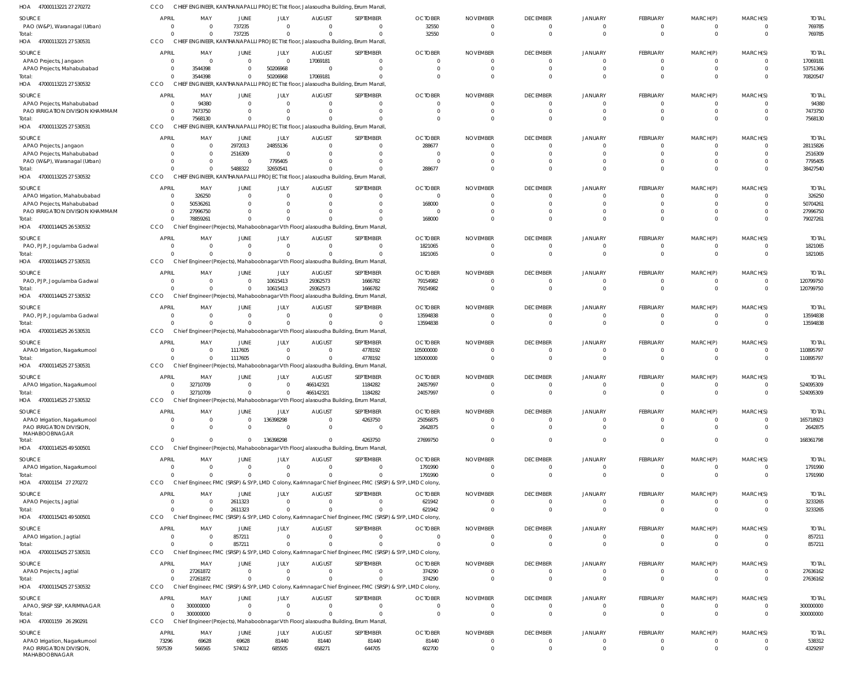| 47000113221 27 270272<br>HOA                               | CCO                   |                        |                              |                                  |                           | CHIEF ENGINEER, KANTHANAPALLI PROJECT Ist floor, Jalasoudha Building, Errum Manzil                |                                                                                                        |                             |                                   |                         |                                  |                                |                                  |                         |
|------------------------------------------------------------|-----------------------|------------------------|------------------------------|----------------------------------|---------------------------|---------------------------------------------------------------------------------------------------|--------------------------------------------------------------------------------------------------------|-----------------------------|-----------------------------------|-------------------------|----------------------------------|--------------------------------|----------------------------------|-------------------------|
| SOURCE                                                     | <b>APRIL</b>          | MAY                    | <b>JUNE</b>                  | JULY                             | <b>AUGUST</b>             | SEPTEMBER                                                                                         | <b>OCTOBER</b>                                                                                         | <b>NOVEMBER</b>             | <b>DECEMBER</b>                   | JANUARY                 | FEBRUARY                         | MARCH(P)                       | MARCH(S)                         | <b>TOTAL</b>            |
| PAO (W&P), Waranagal (Urban)                               | - 0                   | $\Omega$               | 737235                       | $\overline{0}$                   | $\overline{0}$            | $\mathbf 0$                                                                                       | 32550                                                                                                  |                             | $\overline{0}$                    | $\mathbf 0$             | $\overline{0}$                   | $\overline{0}$                 | $\overline{0}$                   | 769785                  |
| Total:                                                     |                       | $\Omega$               | 737235                       | $\overline{0}$                   | $\Omega$                  | $\Omega$                                                                                          | 32550                                                                                                  | $\Omega$                    | $\overline{0}$                    | $\Omega$                | $\overline{0}$                   | $\overline{0}$                 | $\overline{0}$                   | 769785                  |
| HOA 47000113221 27 530531                                  | CCO                   |                        |                              |                                  |                           | CHIEF ENGINEER, KANTHANAPALLI PROJECT Ist floor, Jalasoudha Building, Errum Manzil                |                                                                                                        |                             |                                   |                         |                                  |                                |                                  |                         |
| SOURCE                                                     | <b>APRIL</b>          | MAY                    | <b>JUNE</b>                  | JULY                             | <b>AUGUST</b>             | SEPTEMBER                                                                                         | <b>OCTOBER</b>                                                                                         | <b>NOVEMBER</b>             | <b>DECEMBER</b>                   | JANUARY                 | FEBRUARY                         | MARCH(P)                       | MARCH(S)                         | <b>TOTAL</b>            |
| APAO Projects, Jangaon                                     | $\Omega$              | $\Omega$               | $\mathbf{0}$                 | $\overline{0}$                   | 17069181                  | - 0                                                                                               | $\Omega$                                                                                               | $\Omega$                    | $\overline{0}$                    | $\Omega$                | $^{\circ}$                       | $\mathbf{0}$                   | $\Omega$                         | 17069181                |
| APAO Projects, Mahabubabad                                 | $\Omega$              | 3544398<br>3544398     | $\mathbf{0}$<br>$\mathbf{0}$ | 50206968<br>50206968             | $\Omega$<br>17069181      | $\Omega$<br>$\Omega$                                                                              | $\Omega$<br>$\Omega$                                                                                   | $\Omega$<br>$\Omega$        | $\mathbf 0$<br>$\overline{0}$     | $\Omega$<br>$\Omega$    | $\mathbf 0$<br>$\mathbf 0$       | $\mathbf 0$<br>$\mathbf 0$     | $\Omega$<br>$\Omega$             | 53751366<br>70820547    |
| Total:<br>HOA 47000113221 27 530532                        | CCO                   |                        |                              |                                  |                           | CHIEF ENGINEER, KANTHANAPALLI PROJECT Ist floor, Jalasoudha Building, Errum Manzil                |                                                                                                        |                             |                                   |                         |                                  |                                |                                  |                         |
|                                                            |                       |                        |                              |                                  |                           |                                                                                                   |                                                                                                        |                             |                                   |                         |                                  |                                |                                  |                         |
| SOURCE<br>APAO Projects, Mahabubabad                       | <b>APRIL</b><br>- 0   | MAY<br>94380           | <b>JUNE</b><br>$\mathbf{0}$  | JULY<br>$\overline{0}$           | <b>AUGUST</b><br>0        | SEPTEMBER<br>$\overline{0}$                                                                       | <b>OCTOBER</b><br>$\mathbf{0}$                                                                         | <b>NOVEMBER</b>             | <b>DECEMBER</b><br>$\overline{0}$ | JANUARY<br>$\mathbf 0$  | FEBRUARY<br>$\mathbf 0$          | MARCH(P)<br>$\mathbf{0}$       | MARCH(S)<br>$\Omega$             | <b>TOTAL</b><br>94380   |
| PAO IRRIGATION DIVISION KHAMMAM                            |                       | 7473750                | $\mathbf{0}$                 | $\mathbf 0$                      |                           | $\mathbf 0$                                                                                       | $\Omega$                                                                                               |                             | $\overline{0}$                    | $\Omega$                | $\overline{0}$                   | $\overline{0}$                 | $\Omega$                         | 7473750                 |
| Total:                                                     | $\cap$                | 7568130                | $\Omega$                     | $\Omega$                         |                           | $\Omega$                                                                                          | $\Omega$                                                                                               |                             | $\overline{0}$                    | $\Omega$                | $\mathbf{0}$                     | $\mathbf{0}$                   | $\Omega$                         | 7568130                 |
| HOA<br>47000113225 27 530531                               | CCO                   |                        |                              |                                  |                           | CHIEF ENGINEER, KANTHANAPALLI PROJECT Ist floor, Jalasoudha Building, Errum Manzil                |                                                                                                        |                             |                                   |                         |                                  |                                |                                  |                         |
| SOURCE                                                     | <b>APRIL</b>          | MAY                    | JUNE                         | JULY                             | <b>AUGUST</b>             | SEPTEMBER                                                                                         | <b>OCTOBER</b>                                                                                         | <b>NOVEMBER</b>             | <b>DECEMBER</b>                   | JANUARY                 | FEBRUARY                         | MARCH(P)                       | MARCH(S)                         | <b>TOTAL</b>            |
| APAO Projects, Jangaon                                     | $\Omega$              | $\overline{0}$         | 2972013                      | 24855136                         | $\Omega$                  | - 0                                                                                               | 288677                                                                                                 | $\Omega$                    | $\Omega$                          | 0                       | 0                                | $\Omega$                       | $\Omega$                         | 28115826                |
| APAO Projects, Mahabubabad                                 |                       | $\Omega$               | 2516309                      | $\overline{0}$                   |                           | $\overline{0}$                                                                                    | $\Omega$                                                                                               | $\Omega$                    | $\overline{0}$                    | $\Omega$                | $\mathbf 0$                      | $\mathbf{0}$                   | $\Omega$                         | 2516309                 |
| PAO (W&P), Waranagal (Urban)                               |                       | $\Omega$               | $\overline{0}$               | 7795405                          |                           | $\Omega$                                                                                          | $\Omega$                                                                                               |                             | $\Omega$                          | $\Omega$                | $\mathbf 0$                      | $\Omega$                       | $\Omega$                         | 7795405                 |
| Total:<br>HOA 47000113225 27 530532                        | CCO                   | $\Omega$               | 5488322                      | 32650541                         |                           | $\Omega$<br>CHIEF ENGINEER, KANTHANAPALLI PROJECT Ist floor, Jalasoudha Building, Errum Manzil    | 288677                                                                                                 |                             | $\mathbf{0}$                      | $\Omega$                | $\mathbf 0$                      | $\mathbf 0$                    | $\Omega$                         | 38427540                |
|                                                            |                       |                        |                              |                                  |                           |                                                                                                   |                                                                                                        |                             |                                   |                         |                                  |                                |                                  |                         |
| SOURCE                                                     | <b>APRIL</b>          | MAY                    | <b>JUNE</b>                  | JULY                             | <b>AUGUST</b>             | SEPTEMBER                                                                                         | <b>OCTOBER</b>                                                                                         | <b>NOVEMBER</b>             | <b>DECEMBER</b>                   | JANUARY                 | FEBRUARY                         | MARCH(P)                       | MARCH(S)                         | <b>TOTAL</b>            |
| APAO Irrigation, Mahabubabad<br>APAO Projects, Mahabubabad | $\Omega$              | 326250<br>50536261     | $\mathbf{0}$<br>$\mathbf{0}$ | $\overline{0}$<br>$\mathbf{0}$   | $\Omega$                  | $\Omega$<br>$\mathbf 0$                                                                           | $\overline{\mathbf{0}}$<br>168000                                                                      |                             | $\mathbf{0}$<br>$\overline{0}$    | $\Omega$<br>$\Omega$    | 0<br>$\overline{0}$              | 0<br>$\overline{0}$            | $\Omega$<br>$\Omega$             | 326250<br>50704261      |
| PAO IRRIGATION DIVISION KHAMMAM                            | $\Omega$              | 27996750               | $\mathbf{0}$                 | $\mathbf 0$                      |                           | $\Omega$                                                                                          | $\Omega$                                                                                               |                             | $\Omega$                          | $\Omega$                | $\overline{0}$                   | $\mathbf 0$                    | $\Omega$                         | 27996750                |
| Total:                                                     |                       | 78859261               | $\Omega$                     | $\Omega$                         |                           | $\Omega$                                                                                          | 168000                                                                                                 |                             | $\overline{0}$                    | $\Omega$                | $\mathbf 0$                      | $\mathbf 0$                    | $\Omega$                         | 79027261                |
| HOA 47000114425 26 530532                                  | CCO                   |                        |                              |                                  |                           | Chief Engineer (Projects), Mahaboobnagar Vth Floor, Jalasoudha Building, Errum Manzil             |                                                                                                        |                             |                                   |                         |                                  |                                |                                  |                         |
| SOURCE                                                     | <b>APRIL</b>          | MAY                    | <b>JUNE</b>                  | JULY                             | <b>AUGUST</b>             | SEPTEMBER                                                                                         | <b>OCTOBER</b>                                                                                         | <b>NOVEMBER</b>             | <b>DECEMBER</b>                   | <b>JANUARY</b>          | FEBRUARY                         | MARCH(P)                       | MARCH(S)                         | <b>TOTAL</b>            |
| PAO, PJP, Jogulamba Gadwal                                 | $\Omega$              | $\Omega$               | $\mathbf{0}$                 | $\overline{0}$                   | $\Omega$                  | $\overline{0}$                                                                                    | 1821065                                                                                                | $\Omega$                    | $\overline{0}$                    | $\mathbf 0$             | $\mathbf 0$                      | $\overline{0}$                 | $\overline{0}$                   | 1821065                 |
| Total:                                                     |                       | $\Omega$               | $\Omega$                     | $\mathbf 0$                      |                           | $\Omega$                                                                                          | 1821065                                                                                                | $\Omega$                    | $\overline{0}$                    | $\Omega$                | $\mathbf{0}$                     | $\mathbf{0}$                   | $\Omega$                         | 1821065                 |
| 47000114425 27 530531<br>HOA                               | CCO                   |                        |                              |                                  |                           | Chief Engineer (Projects), Mahaboobnagar Vth Floor, Jalasoudha Building, Errum Manzil,            |                                                                                                        |                             |                                   |                         |                                  |                                |                                  |                         |
| SOURCE                                                     | <b>APRIL</b>          | MAY                    | JUNE                         | JULY                             | <b>AUGUST</b>             | SEPTEMBER                                                                                         | <b>OCTOBER</b>                                                                                         | <b>NOVEMBER</b>             | <b>DECEMBER</b>                   | <b>JANUARY</b>          | FEBRUARY                         | MARCH(P)                       | MARCH(S)                         | <b>TOTAL</b>            |
| PAO, PJP, Jogulamba Gadwal                                 | - 0                   | $\Omega$               | $\mathbf{0}$                 | 10615413                         | 29362573                  | 1666782                                                                                           | 79154982                                                                                               | $\Omega$                    | $\overline{0}$                    | $\mathbf 0$             | $\overline{0}$                   | $\overline{0}$                 | $\overline{0}$                   | 120799750               |
| Total:                                                     |                       | $\Omega$               | $\mathbf 0$                  | 10615413                         | 29362573                  | 1666782                                                                                           | 79154982                                                                                               | $\Omega$                    | $\overline{0}$                    | $\Omega$                | $\overline{0}$                   | $\mathbf{0}$                   | $\Omega$                         | 120799750               |
| 47000114425 27 530532<br>HOA                               | CCO                   |                        |                              |                                  |                           | Chief Engineer (Projects), Mahaboobnagar Vth Floor, Jalasoudha Building, Errum Manzil             |                                                                                                        |                             |                                   |                         |                                  |                                |                                  |                         |
| SOURCE                                                     | <b>APRIL</b>          | MAY                    | <b>JUNE</b>                  | JULY                             | <b>AUGUST</b>             | SEPTEMBER                                                                                         | <b>OCTOBER</b>                                                                                         | <b>NOVEMBER</b>             | <b>DECEMBER</b>                   | <b>JANUARY</b>          | FEBRUARY                         | MARCH(P)                       | MARCH(S)                         | <b>TOTAL</b>            |
| PAO, PJP, Jogulamba Gadwal                                 |                       | $\Omega$               | $\mathbf{0}$                 | $\overline{0}$                   | $\Omega$                  | $\Omega$                                                                                          | 13594838                                                                                               | $\Omega$                    | $\mathbf{0}$                      | $\mathbf 0$             | $^{\circ}$                       | $\mathbf{0}$                   | $\overline{0}$                   | 13594838                |
| Total:<br>HOA 47000114525 26 530531                        | CCO                   | $\Omega$               | $\Omega$                     | $\Omega$                         |                           | $\Omega$<br>Chief Engineer (Projects), Mahaboobnagar Vth Floor, Jalasoudha Building, Errum Manzil | 13594838                                                                                               | $\Omega$                    | $\overline{0}$                    | $\Omega$                | $\mathbf 0$                      | $\overline{0}$                 | $\overline{0}$                   | 13594838                |
|                                                            |                       |                        |                              |                                  |                           |                                                                                                   |                                                                                                        |                             |                                   |                         |                                  |                                |                                  |                         |
| SOURCE                                                     | <b>APRIL</b>          | MAY                    | JUNE                         | JULY                             | <b>AUGUST</b>             | SEPTEMBER                                                                                         | <b>OCTOBER</b>                                                                                         | <b>NOVEMBER</b>             | <b>DECEMBER</b>                   | JANUARY                 | FEBRUARY                         | MARCH(P)                       | MARCH(S)                         | <b>TOTAL</b>            |
| APAO Irrigation, Nagarkurnool<br>Total:                    | $\Omega$              | $\Omega$<br>$\Omega$   | 1117605<br>1117605           | $\overline{0}$<br>$\overline{0}$ | $\Omega$<br>$\Omega$      | 4778192<br>4778192                                                                                | 105000000<br>105000000                                                                                 | $\Omega$                    | $\overline{0}$<br>$\overline{0}$  | $\mathbf 0$<br>$\Omega$ | $\overline{0}$<br>$\overline{0}$ | $\mathbf{0}$<br>$\mathbf{0}$   | $\overline{0}$<br>$\overline{0}$ | 110895797<br>110895797  |
| HOA 47000114525 27 530531                                  | CCO                   |                        |                              |                                  |                           | Chief Engineer (Projects), Mahaboobnagar Vth Floor, Jalasoudha Building, Errum Manzil,            |                                                                                                        |                             |                                   |                         |                                  |                                |                                  |                         |
| SOURCE                                                     | <b>APRIL</b>          | MAY                    | JUNE                         | JULY                             | <b>AUGUST</b>             | SEPTEMBER                                                                                         | <b>OCTOBER</b>                                                                                         | <b>NOVEMBER</b>             | <b>DECEMBER</b>                   | JANUARY                 | FEBRUARY                         | MARCH(P)                       | MARCH(S)                         | <b>TOTAI</b>            |
| APAO Irrigation, Nagarkurnool                              | $\Omega$              | 32710709               | $\Omega$                     | $\Omega$                         | 466142321                 | 1184282                                                                                           | 24057997                                                                                               | $\Omega$                    | $\Omega$                          | $\Omega$                | $\overline{0}$                   | $\Omega$                       | $\Omega$                         | 524095309               |
| Total:                                                     | $\Omega$              | 32710709               | $\Omega$                     | $\mathbf{0}$                     | 466142321                 | 1184282                                                                                           | 24057997                                                                                               | $\Omega$                    | $\mathbf{0}$                      | $\mathbf 0$             | $\mathbf 0$                      | $\overline{0}$                 | $\overline{0}$                   | 524095309               |
| HOA<br>47000114525 27 530532                               | CCO                   |                        |                              |                                  |                           | Chief Engineer (Projects), Mahaboobnagar Vth Floor, Jalasoudha Building, Errum Manzil,            |                                                                                                        |                             |                                   |                         |                                  |                                |                                  |                         |
| SOURCE                                                     | <b>APRIL</b>          | MAY                    | JUNE                         | JULY                             | <b>AUGUST</b>             | SEPTEMBER                                                                                         | <b>OCTOBER</b>                                                                                         | <b>NOVEMBER</b>             | <b>DECEMBER</b>                   | JANUARY                 | FEBRUARY                         | MARCH(P)                       | MARCH(S)                         | <b>TOTAL</b>            |
| APAO Irrigation, Nagarkurnool                              | $\Omega$              | $\overline{0}$         | $\mathbf{0}$                 | 136398298                        | $\overline{0}$            | 4263750                                                                                           | 25056875                                                                                               | $\Omega$                    | $\overline{0}$                    | $\mathbf 0$             | $\overline{0}$                   | $\overline{0}$                 | $\overline{0}$                   | 165718923               |
| PAO IRRIGATION DIVISION,                                   |                       | $\Omega$               | $\mathbf{0}$                 | $\overline{0}$                   | $\mathbf 0$               | $\overline{0}$                                                                                    | 2642875                                                                                                | $\Omega$                    | $\overline{0}$                    | $\Omega$                | $\overline{0}$                   | $\overline{0}$                 | $\Omega$                         | 2642875                 |
| MAHABOOBNAGAR<br>Total:                                    | $\Omega$              | $\Omega$               | $\mathbf 0$                  | 136398298                        | $\Omega$                  | 4263750                                                                                           | 27699750                                                                                               |                             | $\overline{0}$                    | $\mathbf 0$             | $\mathbf{0}$                     | $\mathbf{0}$                   | $\Omega$                         | 168361798               |
| HOA 47000114525 49 500501                                  | CCO                   |                        |                              |                                  |                           | Chief Engineer (Projects), Mahaboobnagar Vth Floor, Jalasoudha Building, Errum Manzil             |                                                                                                        |                             |                                   |                         |                                  |                                |                                  |                         |
|                                                            | <b>APRIL</b>          |                        | <b>JUNE</b>                  |                                  |                           | SEPTEMBER                                                                                         |                                                                                                        |                             |                                   |                         |                                  |                                | MARCH(S)                         |                         |
| SOURCE<br>APAO Irrigation, Nagarkurnool                    | $\Omega$              | MAY<br>$\Omega$        | $\mathbf{0}$                 | JULY<br>$\overline{0}$           | <b>AUGUST</b><br>$\Omega$ | $\mathbf{0}$                                                                                      | <b>OCTOBER</b><br>1791990                                                                              | <b>NOVEMBER</b><br>$\Omega$ | <b>DECEMBER</b><br>$\overline{0}$ | JANUARY<br>$\mathbf 0$  | FEBRUARY<br>$\overline{0}$       | MARCH(P)<br>$\overline{0}$     | $\overline{0}$                   | <b>TOTAL</b><br>1791990 |
| Total:                                                     | $\cap$                | $\Omega$               | $\Omega$                     | $\Omega$                         |                           | $\Omega$                                                                                          | 1791990                                                                                                | $\Omega$                    | $\overline{0}$                    | $\Omega$                | $\mathbf{0}$                     | $\mathbf{0}$                   | $\overline{0}$                   | 1791990                 |
| HOA 470001154 27 270272                                    | CCO                   |                        |                              |                                  |                           |                                                                                                   | Chief Engineer, FMC (SRSP) & SYP, LMD Colony, Karimnagar Chief Engineer, FMC (SRSP) & SYP, LMD Colony, |                             |                                   |                         |                                  |                                |                                  |                         |
| SOURCE                                                     | <b>APRIL</b>          | MAY                    | JUNE                         | JULY                             | <b>AUGUST</b>             | SEPTEMBER                                                                                         | <b>OCTOBER</b>                                                                                         | <b>NOVEMBER</b>             | <b>DECEMBER</b>                   | JANUARY                 | FEBRUARY                         | MARCH(P)                       | MARCH(S)                         | <b>TOTAL</b>            |
| APAO Projects, Jagtial                                     | $\Omega$              | $\overline{0}$         | 2611323                      | $\mathbf{0}$                     | $\overline{0}$            | $\mathbf 0$                                                                                       | 621942                                                                                                 | $\Omega$                    | $\overline{0}$                    | $\mathbf 0$             | $\overline{0}$                   | $\overline{0}$                 | $\overline{0}$                   | 3233265                 |
| Total:                                                     | $\cap$                | $\Omega$               | 2611323                      | $\overline{0}$                   |                           | $\Omega$                                                                                          | 621942                                                                                                 | $\Omega$                    | $\overline{0}$                    | $\Omega$                | $\overline{0}$                   | $\overline{0}$                 | $\overline{0}$                   | 3233265                 |
| HOA 47000115421 49 500501                                  | CCO                   |                        |                              |                                  |                           |                                                                                                   | Chief Engineer, FMC (SRSP) & SYP, LMD Colony, Karimnagar Chief Engineer, FMC (SRSP) & SYP, LMD Colony, |                             |                                   |                         |                                  |                                |                                  |                         |
| SOURCE                                                     | <b>APRIL</b>          | MAY                    | JUNE                         | JULY                             | <b>AUGUST</b>             | SEPTEMBER                                                                                         | <b>OCTOBER</b>                                                                                         | <b>NOVEMBER</b>             | <b>DECEMBER</b>                   | JANUARY                 | FEBRUARY                         | MARCH(P)                       | MARCH(S)                         | <b>TOTAL</b>            |
| APAO Irrigation, Jagtial                                   | $\Omega$              | $\Omega$               | 857211                       | $\overline{0}$                   | $\Omega$                  | $\Omega$                                                                                          | $\Omega$                                                                                               | $\Omega$                    | $\overline{0}$                    | $\Omega$                | $^{\circ}$                       | $\mathbf{0}$                   | $\overline{0}$                   | 857211                  |
| Total:                                                     | $\Omega$              | $\Omega$               | 857211                       | $\Omega$                         |                           | $\Omega$                                                                                          | $\Omega$                                                                                               | $\Omega$                    | $\overline{0}$                    | $\Omega$                | $\overline{0}$                   | $\overline{0}$                 | $\overline{0}$                   | 857211                  |
| HOA 47000115425 27 530531                                  | CCO                   |                        |                              |                                  |                           |                                                                                                   | Chief Engineer, FMC (SRSP) & SYP, LMD Colony, Karimnagar Chief Engineer, FMC (SRSP) & SYP, LMD Colony, |                             |                                   |                         |                                  |                                |                                  |                         |
| SOURCE                                                     | <b>APRIL</b>          | MAY                    | <b>JUNE</b>                  | JULY                             | <b>AUGUST</b>             | SEPTEMBER                                                                                         | <b>OCTOBER</b>                                                                                         | <b>NOVEMBER</b>             | <b>DECEMBER</b>                   | JANUARY                 | FEBRUARY                         | MARCH(P)                       | MARCH(S)                         | <b>TOTAL</b>            |
| APAO Projects, Jagtial                                     | $\Omega$              | 27261872               | $\overline{0}$               | $\overline{0}$                   | $\overline{0}$            | $\mathbf 0$                                                                                       | 374290                                                                                                 |                             | $\overline{0}$                    | 0                       | $\overline{0}$                   | $\mathbf{0}$                   | $\overline{0}$                   | 27636162                |
| Total:                                                     | $\Omega$<br>CCO       | 27261872               | $\mathbf 0$                  | $\overline{0}$                   | $\Omega$                  | $\mathbf 0$                                                                                       | 374290                                                                                                 | $\Omega$                    | $\overline{0}$                    | $\mathbf 0$             | $\overline{0}$                   | $\mathbf{0}$                   | $\overline{0}$                   | 27636162                |
| HOA 47000115425 27 530532                                  |                       |                        |                              |                                  |                           |                                                                                                   | Chief Engineer, FMC (SRSP) & SYP, LMD Colony, Karimnagar Chief Engineer, FMC (SRSP) & SYP, LMD Colony, |                             |                                   |                         |                                  |                                |                                  |                         |
| SOURCE                                                     | <b>APRIL</b>          | MAY                    | JUNE                         | JULY                             | <b>AUGUST</b>             | SEPTEMBER                                                                                         | <b>OCTOBER</b>                                                                                         | <b>NOVEMBER</b>             | <b>DECEMBER</b>                   | JANUARY                 | FEBRUARY                         | MARCH(P)                       | MARCH(S)                         | <b>TOTAL</b>            |
| APAO, SRSP SSP, KARIMNAGAR<br>Total:                       | $\Omega$              | 300000000<br>300000000 | $\mathbf{0}$<br>$\Omega$     | $\overline{0}$<br>$\overline{0}$ | $\Omega$<br>$\Omega$      | $\Omega$<br>$\Omega$                                                                              | $\Omega$<br>$\Omega$                                                                                   | $\Omega$<br>$\Omega$        | $\overline{0}$<br>$\overline{0}$  | $\mathbf 0$<br>$\Omega$ | $\mathbf 0$<br>$\mathbf{0}$      | $\overline{0}$<br>$\mathbf{0}$ | $\overline{0}$<br>$\overline{0}$ | 300000000<br>300000000  |
| HOA 470001159 26 290291                                    | CCO                   |                        |                              |                                  |                           | Chief Engineer (Projects), Mahaboobnagar Vth Floor, Jalasoudha Building, Errum Manzil             |                                                                                                        |                             |                                   |                         |                                  |                                |                                  |                         |
|                                                            |                       |                        |                              |                                  |                           |                                                                                                   |                                                                                                        |                             |                                   |                         |                                  |                                |                                  |                         |
| SOURCE<br>APAO Irrigation, Nagarkurnool                    | <b>APRIL</b><br>73296 | MAY<br>69628           | JUNE<br>69628                | JULY<br>81440                    | <b>AUGUST</b><br>81440    | SEPTEMBER<br>81440                                                                                | <b>OCTOBER</b><br>81440                                                                                | <b>NOVEMBER</b><br>$\Omega$ | <b>DECEMBER</b><br>$\overline{0}$ | JANUARY<br>$\mathbf 0$  | FEBRUARY<br>$\mathbf 0$          | MARCH(P)<br>$\mathbf 0$        | MARCH(S)<br>$\overline{0}$       | <b>TOTAL</b><br>538312  |
| PAO IRRIGATION DIVISION<br>MAHABOOBNAGAR                   | 597539                | 566565                 | 574012                       | 685505                           | 658271                    | 644705                                                                                            | 602700                                                                                                 | $\Omega$                    | $\overline{0}$                    | $\mathbf 0$             | $\mathbf{0}$                     | $\mathbf 0$                    | $\Omega$                         | 4329297                 |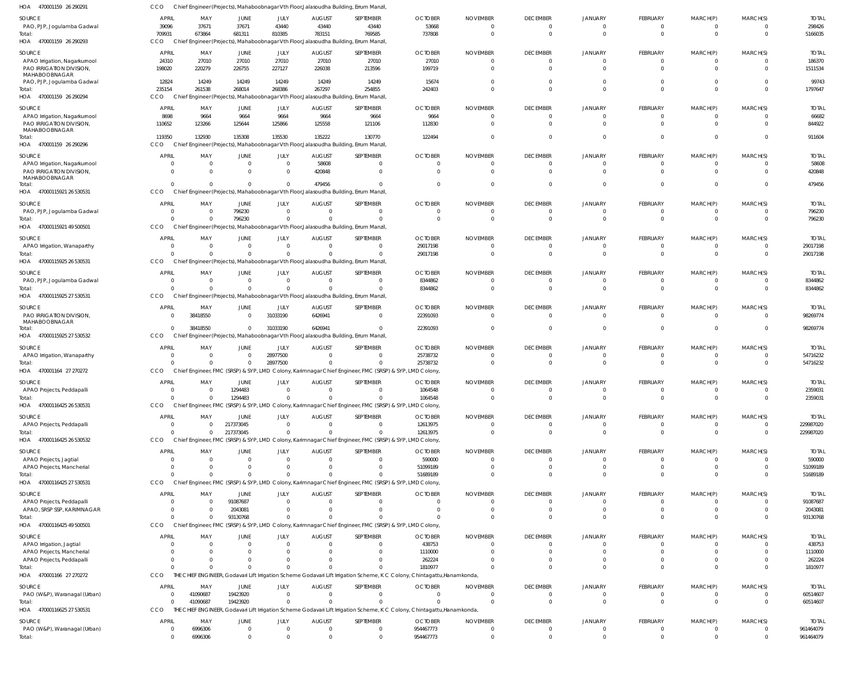470001159 26 290291 HOA 470001159 26 290293 HOA 470001159 26 290294 HOA 470001159 26 290296 47000115921 26 530531 HOA 47000115921 49 500501 HOA 47000115925 26 530531 47000115925 27 530531 HOA 47000115925 27 530532 HOA 470001164 27 270272 47000116425 26 530531 HOA 47000116425 26 530532 HOA 47000116425 27 530531 HOA 47000116425 49 500501 470001166 27 270272 HOA 47000116625 27 530531 HOA HOA HOA HOA HOA Chief Engineer (Projects), Mahaboobnagar Vth Floor,Jalasoudha Building, Errum Manzil, Chief Engineer (Projects), Mahaboobnagar Vth Floor,Jalasoudha Building, Errum Manzil, Chief Engineer (Projects), Mahaboobnagar Vth Floor,Jalasoudha Building, Errum Manzil, Chief Engineer (Projects), Mahaboobnagar Vth Floor,Jalasoudha Building, Errum Manzil, Chief Engineer (Projects), Mahaboobnagar Vth Floor,Jalasoudha Building, Errum Manzil, Chief Engineer (Projects), Mahaboobnagar Vth Floor,Jalasoudha Building, Errum Manzil, Chief Engineer (Projects), Mahaboobnagar Vth Floor,Jalasoudha Building, Errum Manzil, Chief Engineer (Projects), Mahaboobnagar Vth Floor,Jalasoudha Building, Errum Manzil, Chief Engineer (Projects), Mahaboobnagar Vth Floor,Jalasoudha Building, Errum Manzil, Chief Engineer, FMC (SRSP) & SYP, LMD Colony, Karimnagar Chief Engineer, FMC (SRSP) & SYP, LMD Colony, Chief Engineer, FMC (SRSP) & SYP, LMD Colony, Karimnagar Chief Engineer, FMC (SRSP) & SYP, LMD Colony, Chief Engineer, FMC (SRSP) & SYP, LMD Colony, Karimnagar Chief Engineer, FMC (SRSP) & SYP, LMD Colony, CCO Chief Engineer, FMC (SRSP) & SYP, LMD Colony, Karimnagar Chief Engineer, FMC (SRSP) & SYP, LMD Colony, Chief Engineer, FMC (SRSP) & SYP, LMD Colony, Karimnagar Chief Engineer, FMC (SRSP) & SYP, LMD Colony, THE CHIEF ENGINEER, Godavari Lift Irrigation Scheme Godavari Lift Irrigation Scheme, K C Colony, Chintagattu,Hanamkonda, THE CHIEF ENGINEER, Godavari Lift Irrigation Scheme Godavari Lift Irrigation Scheme, K C Colony, Chintagattu,Hanamkonda, CCO CCO CCO CCO CCO **CCO CCO CCO CCO CCO CCO** CCO CCO **CCO CCO** 709931 235154 119350  $\Omega$ 0  $\Omega$  $\Omega$  $\Omega$  $\Omega$ 0  $\Omega$ 0  $\Omega$ 0  $\theta$ 673864 261538 132930  $\Omega$ 0  $\Omega$  $\Omega$ 38418550 0 0  $\Omega$ 0  $\Omega$ 0 41090687 681311 268014 135308  $\Omega$ 796230  $\Omega$  $\Omega$  $\theta$  $\Omega$ 1294483 217373045 0 93130768 0 19423920 810385 268386 135530  $\Omega$  $\Omega$  $\Omega$  $\Omega$ 31033190 28977500 0  $\Omega$ 0  $\bigcap$  $\Omega$  $\Omega$ 783151 267297 135222 479456 0 0  $\Omega$ 6426941  $\Omega$ 0 0 0  $\Omega$ 0 0 769585 254855 130770  $\sqrt{2}$ 0  $\Omega$  $\sqrt{2}$ 0  $\sqrt{2}$  $\Omega$  $\Omega$ 0  $\bigcap$ 0  $\Omega$ 737808 242403 122494  $\Omega$ 0 29017198 8344862 22391093 25738732 1064548 12613975 51689189  $\Omega$ 1810977  $\Omega$ 0  $\Omega$  $\Omega$  $\Omega$ 0  $\Omega$  $\Omega$  $\Omega$  $\Omega$ 0  $\Omega$ 0  $\Omega$ 0  $\Omega$ 0  $\Omega$  $\Omega$  $\Omega$ 0  $\Omega$  $\Omega$  $\Omega$  $\Omega$ 0  $\Omega$ 0  $\Omega$ 0  $\Omega$ 0  $\Omega$  $\Omega$  $\Omega$ 0  $\Omega$ 0  $\mathfrak{g}$  $\Omega$ 0 0 0  $\Omega$ 0 0 0  $\sqrt{2}$  $\sqrt{2}$  $\sqrt{2}$ 0  $\Omega$  $\Omega$  $\Omega$  $\Omega$ 0  $\Omega$ 0  $\bigcap$ 0  $\Omega$ 0  $\Omega$  $\Omega$  $\Omega$ 0 0 0  $\Omega$  $\Omega$ 0 0 0 0 0 0 0  $\Omega$  $\Omega$  $\Omega$ 0  $\Omega$  $\Omega$  $\Omega$  $\Omega$ 0  $\Omega$ 0  $\Omega$ 0  $\Omega$ 5166035 1797647 911604 479456 796230 29017198 8344862 98269774 54716232 2359031 229987020 51689189 93130768 1810977 60514607 PAO, PJP, Jogulamba Gadwal APAO Irrigation, Nagarkurnool PAO IRRIGATION DIVISION, MAHABOOBNAGAR PAO, PJP, Jogulamba Gadwal APAO Irrigation, Nagarkurnool PAO IRRIGATION DIVISION, MAHABOOBNAGAR APAO Irrigation, Nagarkurnool PAO IRRIGATION DIVISION, MAHABOOBNAGAR PAO, PJP, Jogulamba Gadwal APAO Irrigation, Wanaparthy PAO, PJP, Jogulamba Gadwal PAO IRRIGATION DIVISION, MAHABOOBNAGAR APAO Irrigation, Wanaparthy APAO Projects, Peddapalli APAO Projects, Peddapalli APAO Projects, Jagtial APAO Projects, Mancherial APAO Projects, Peddapalli APAO, SRSP SSP, KARIMNAGAR APAO Irrigation, Jagtial APAO Projects, Mancherial APAO Projects, Peddapalli PAO (W&P), Waranagal (Urban) PAO (W&P), Waranagal (Urban) SOURCE SOURCE **SOURCE** SOURCE SOURCE **SOURCE** SOURCE **SOURCE** SOURCE SOURCE SOURCE SOURCE **SOURCE** SOURCE **SOURCE** SOURCE 39096 24310 198020 12824 8698 110652  $\Omega$ 0  $\Omega$ 0 0  $\Omega$ 0  $\Omega$ 0 0  $\Omega$ 0 0  $\Omega$ 0  $\Omega$ 0 0 APRIL **APRIL** APRIL APRIL APRIL APRIL **APRIL** APRIL APRIL APRIL APRIL APRIL **APRIL** APRIL APRIL APRIL 37671 27010 220279 14249 9664 123266  $\Omega$ 0 0 0 0 38418550 0 0 0 0 0 0 0  $\Omega$ 0  $\Omega$ 41090687 6996306 MAY MAY MAY MAY MAY MAY MAY MAY MAY MAY MAY MAY MAY MAY MAY MAY 37671 27010 226755 14249 9664 125644  $\Omega$ 0 796230 0 0  $\Omega$ 0 1294483 217373045 0  $\Omega$ 91087687 2043081  $\Omega$ 0  $\Omega$ 19423920 0 JUNE JUNE JUNE JUNE JUNE JUNE JUNE JUNE JUNE JUNE JUNE JUNE JUNE JUNE JUNE JUNE 43440 27010 227127 14249 9664 125866  $\Omega$ 0 0 0 0 31033190 28977500 0 0 0  $\Omega$ 0  $\Omega$  $\Omega$ 0  $\Omega$ 0 0 JULY JULY JULY JULY JULY JULY JULY JULY JULY JULY JULY JULY JULY JULY JULY JULY 43440 27010 226038 14249 9664 125558 58608 420848  $\Omega$ 0 0 6426941 0  $\Omega$ 0 0  $\Omega$ 0 0  $\Omega$ 0  $\Omega$ 0 0 AUGUST **AUGUST** AUGUST AUGUST AUGUST AUGUST AUGUST AUGUST AUGUST AUGUST AUGUST AUGUST **AUGUST** AUGUST AUGUST **AUGUST** 43440 27010 213596 14249 9664 121106  $\bigcap$  $\Omega$  $\Omega$  $\Omega$ 0  $\Omega$ 0  $\Omega$  $\Omega$ 0  $\Omega$ 0 0  $\Omega$ 0  $\bigcap$ 0 0 SEPTEMBER **SEPTEMBER** SEPTEMBER SEPTEMBER SEPTEMBER SEPTEMBER SEPTEMBER SEPTEMBER SEPTEMBER SEPTEMBER SEPTEMBER SEPTEMBER SEPTEMBER SEPTEMBER SEPTEMBER **SEPTEMBER** 53668 27010 199719 15674 9664 112830  $\bigcap$ 0  $\Omega$ 29017198 8344862 22391093 25738732 1064548 12613975 590000 51099189 0  $\Omega$ 438753 1110000 262224 0 954467773 OCTOBER **OCTOBER OCTOBER** OCTOBER OCTOBER **OCTOBER OCTOBER OCTOBER OCTOBER** OCTOBER **OCTOBER OCTOBER** OCTOBER OCTOBER **OCTOBER** OCTOBER  $\Omega$ 0 0 0  $\Omega$  $\Omega$  $\Omega$ 0  $\Omega$ 0 0  $\Omega$ 0  $\Omega$ 0 0  $\Omega$ 0  $\Omega$  $\Omega$ 0  $\Omega$ 0 0 NOVEMBER NOVEMBER NOVEMBER NOVEMBER NOVEMBER NOVEMBER NOVEMBER NOVEMBER NOVEMBER NOVEMBER NOVEMBER NOVEMBER NOVEMBER NOVEMBER NOVEMBER NOVEMBER 0 0 0 0 0  $\Omega$  $\Omega$ 0  $\bigcap$ 0 0  $\bigcap$ 0  $\bigcap$ 0 0  $\Omega$ 0 0  $\Omega$ 0  $\bigcap$ 0 0 DECEMBER **DECEMBER** DECEMBER DECEMBER DECEMBER DECEMBER **DECEMBER** DECEMBER **DECEMBER** DECEMBER DECEMBER **DECEMBER DECEMBER** DECEMBER DECEMBER **DECEMBER** 0 0 0 0  $\Omega$ 0  $\Omega$  $\mathbf 0$  $\Omega$ 0 0  $\Omega$ 0  $\Omega$ 0 0  $\Omega$ 0  $\Omega$  $\Omega$ 0  $\Omega$ 0 0 JANUARY **JANUARY** JANUARY JANUARY JANUARY JANUARY **JANUARY** JANUARY **JANUARY** JANUARY JANUARY JANUARY JANUARY JANUARY JANUARY JANUARY 0 0 0 0  $\Omega$ 0  $\Omega$ 0  $\Omega$ 0 0  $\Omega$ 0  $\Omega$ 0 0  $\Omega$ 0  $\Omega$  $\Omega$ 0  $\Omega$ 0 0 FEBRUARY **FEBRUARY** FEBRUARY FEBRUARY FEBRUARY FEBRUARY FEBRUARY FEBRUARY **FEBRUARY** FEBRUARY FEBRUARY **FFBRUARY** FEBRUARY FEBRUARY FEBRUARY FEBRUARY 0 0 0 0  $\Omega$ 0  $\Omega$ 0  $\Omega$ 0 0  $\Omega$ 0  $\Omega$ 0 0  $\Omega$ 0 0  $\Omega$ 0  $\Omega$ 0 0 MARCH(P) MARCH(P) MARCH(P) MARCH(P) MARCH(P) MARCH(P) MARCH(P) MARCH(P) MARCH(P) MARCH(P) MARCH(P) MARCH(P) MARCH(P) MARCH(P) MARCH(P) MARCH(P)  $\Omega$ 0 0 0 0  $\Omega$  $\Omega$ 0  $\Omega$ 0 0  $\bigcap$ 0  $\Omega$ 0 0  $\Omega$ 0  $\Omega$  $\Omega$ 0  $\Omega$ 0 0 MARCH(S) MARCH(S) MARCH(S) MARCH(S) MARCH(S) MARCH(S) MARCH(S) MARCH(S) MARCH(S) MARCH(S) MARCH(S) MARCH(S) MARCH(S) MARCH(S) MARCH(S) MARCH(S) 298426 186370 1511534 99743 66682 844922 58608 420848 796230 29017198 8344862 98269774 54716232 2359031 229987020 590000 51099189 91087687 2043081 438753 1110000 262224 60514607 961464079 TOTAL TOTAL TOTAL TOTAL TOTAL TOTAL TOTAL TOTAL TOTAL TOTAL TOTAL TOTAL TOTAL TOTAL TOTAL TOTAL Total: Total: Total: Total: Total: Total: Total: Total: Total: **Total** Total: Total: Total: Total: Total:

 $\Omega$ 

Total:

6996306

0

 $\Omega$ 

0

 $\Omega$ 

954467773

 $\Omega$ 

 $\Omega$ 

 $\Omega$ 

 $\Omega$ 

 $\Omega$ 

 $\Omega$ 

961464079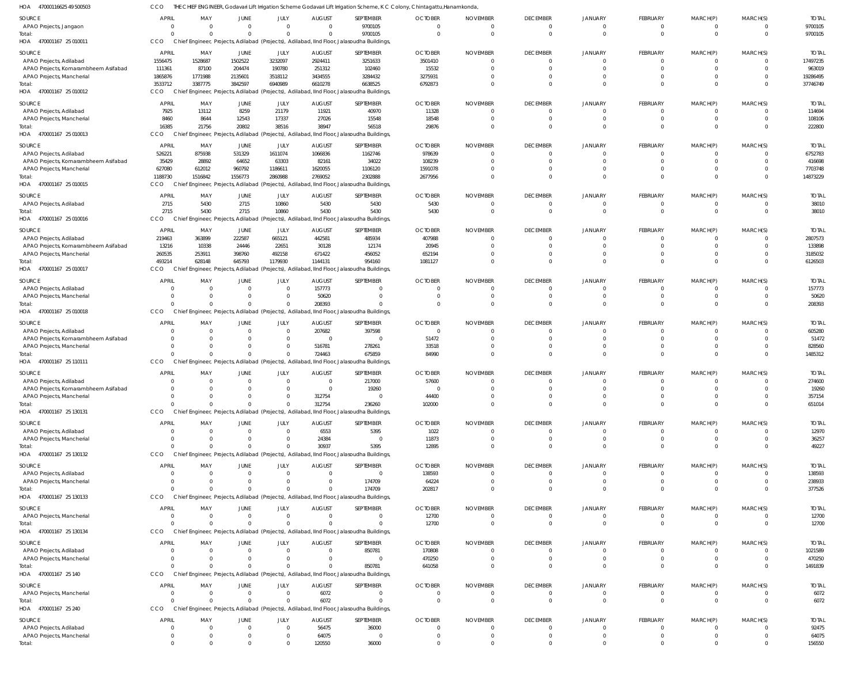47000116625 49 500503 HOA 470001167 25 010011 HOA 470001167 25 010012 HOA 470001167 25 010013 HOA 470001167 25 010015 HOA 470001167 25 010016 HOA 470001167 25 010017 HOA 470001167 25 010018 470001167 25 110111 470001167 25 130131 HOA 470001167 25 130132 HOA 470001167 25 130133 HOA 470001167 25 130134 HOA 470001167 25 140 HOA 470001167 25 240 HOA HOA HOA THE CHIEF ENGINEER, Godavari Lift Irrigation Scheme Godavari Lift Irrigation Scheme, K C Colony, Chintagattu,Hanamkonda, CCO Chief Engineer, Projects, Adilabad (Projects), Adilabad, IInd Floor, Jalasoudha Buildings, Chief Engineer, Projects, Adilabad (Projects), Adilabad, IInd Floor, Jalasoudha Buildings, Chief Engineer, Projects, Adilabad (Projects), Adilabad, IInd Floor, Jalasoudha Buildings, Chief Engineer, Projects, Adilabad (Projects), Adilabad, IInd Floor, Jalasoudha Buildings, Chief Engineer, Projects, Adilabad (Projects), Adilabad, IInd Floor, Jalasoudha Buildings, Chief Engineer, Projects, Adilabad (Projects), Adilabad, IInd Floor, Jalasoudha Buildings, Chief Engineer, Projects, Adilabad (Projects), Adilabad, IInd Floor, Jalasoudha Buildings, Chief Engineer, Projects, Adilabad (Projects), Adilabad, IInd Floor, Jalasoudha Buildings, Chief Engineer, Projects, Adilabad (Projects), Adilabad, IInd Floor, Jalasoudha Buildings, Chief Engineer, Projects, Adilabad (Projects), Adilabad, IInd Floor, Jalasoudha Buildings, Chief Engineer, Projects, Adilabad (Projects), Adilabad, IInd Floor, Jalasoudha Buildings, Chief Engineer, Projects, Adilabad (Projects), Adilabad, IInd Floor, Jalasoudha Buildings, Chief Engineer, Projects, Adilabad (Projects), Adilabad, IInd Floor, Jalasoudha Buildings, Chief Engineer, Projects, Adilabad (Projects), Adilabad, IInd Floor, Jalasoudha Buildings, CCO CCO CCO CCO<sub>0</sub> CCO CCO CCO **CCO CCO** CCO **CCO CCO CCO** CCO 0 3533712 16385 1188730 2715 493214 0  $\Omega$  $\Omega$  $\Omega$ 0  $\Omega$  $\Omega$  $\Omega$ 0 0 3387775 21756 1516842 5430 628148 0 0  $\Omega$  $\Omega$  $\Omega$  $\Omega$  $\Omega$  $\Omega$ 0 0 3842597 20802 1556773 2715 645793 0  $\Omega$  $\Omega$  $\Omega$  $\Omega$  $\Omega$  $\Omega$  $\Omega$ 0 0 6940989 38516 2860988 10860 1179930 0  $\Omega$  $\bigcap$  $\Omega$  $\Omega$  $\Omega$  $\Omega$  $\Omega$  $\Omega$ 0 6610278 38947 2769052 5430 1144131 208393 724463 312754 30937 0  $\Omega$ 0 6072 120550 9700105 6638525 56518 2302888 5430 954160 0 675859 236260 5395 174709  $\Omega$ 850781  $\Omega$ 36000 0 6792873 29876 2677956 5430 1081127 0 84990 102000 12895 202817 12700 641058  $\Omega$ 0 0 0 0 0  $\Omega$  $\Omega$ 0  $\Omega$  $\bigcap$  $\Omega$  $\Omega$  $\Omega$  $\Omega$  $\Omega$ 0 0  $\Omega$ 0 0  $\Omega$ 0 0  $\Omega$  $\Omega$  $\Omega$  $\Omega$  $\Omega$ 0  $\Omega$ 0 0  $\Omega$ 0 0  $\Omega$ 0 0  $\Omega$  $\Omega$  $\Omega$  $\Omega$ 0 0 0 0 0 0 0 0  $\sqrt{2}$  $\Omega$ 0  $\Omega$  $\bigcap$  $\sqrt{2}$  $\Omega$  $\Omega$  $\Omega$  $\Omega$  $\Omega$ 0  $\Omega$ 0 0  $\Omega$ 0 0  $\Omega$ 0  $\Omega$ 0 0 0 0 0 0 0 0 0  $\Omega$  $\Omega$ 0  $\Omega$  $\Omega$  $\bigcap$  $\Omega$  $\Omega$  $\Omega$  $\Omega$ 0 9700105 37746749 222800 14873229 38010 6126503 208393 1485312 651014 49227 377526 12700 1491839 6072 156550 APAO Projects, Jangaon APAO Projects, Adilabad APAO Projects, Komarambheem Asifabad APAO Projects, Mancherial APAO Projects, Adilabad APAO Projects, Mancherial APAO Projects, Adilabad APAO Projects, Komarambheem Asifabad APAO Projects, Mancherial APAO Projects, Adilabad APAO Projects, Adilabad APAO Projects, Komarambheem Asifabad APAO Projects, Mancherial APAO Projects, Adilabad APAO Projects, Mancherial APAO Projects, Adilabad APAO Projects, Komarambheem Asifabad APAO Projects, Mancherial APAO Projects, Adilabad APAO Projects, Komarambheem Asifabad APAO Projects, Mancherial APAO Projects, Adilabad APAO Projects, Mancherial APAO Projects, Adilabad APAO Projects, Mancherial APAO Projects, Mancherial APAO Projects, Adilabad APAO Projects, Mancherial APAO Projects, Mancherial APAO Projects, Adilabad APAO Projects, Mancherial SOURCE **SOURCE** SOURCE SOURCE SOURCE **SOURCE** SOURCE SOURCE SOURCE SOURCE SOURCE SOURCE **SOURCE SOURCE** SOURCE 0 1556475 111361 1865876 7925 8460 526221 35429 627080 2715 219463 13216 260535 0 0 0  $\Omega$ 0  $\Omega$ 0  $\Omega$ 0 0 0  $\Omega$ 0  $\Omega$ 0 0  $\Omega$ 0 APRIL APRIL APRIL APRIL **APRIL** APRIL APRIL APRIL APRIL APRIL APRIL APRIL APRIL APRIL APRIL 0 1528687 87100 1771988 13112 8644 875938 28892 612012 5430 363899 10338 253911 0 0  $\Omega$  $\Omega$ 0  $\Omega$ 0 0  $\Omega$ 0 0  $\Omega$ 0  $\Omega$ 0  $\Omega$  $\Omega$ 0 MAY MAY MAY MAY MAY MAY MAY MAY MAY MAY MAY MAY MAY MAY MAY 0 1502522 204474 2135601 8259 12543 531329 64652 960792 2715 222587 24446 398760  $\Omega$ 0 0  $\Omega$ 0  $\Omega$ 0 0  $\Omega$ 0 0 0 0  $\Omega$ 0 0  $\Omega$ 0 JUNE JUNE JUNE **JUNE** JUNE JUNE JUNE JUNE JUNE JUNE JUNE JUNE JUNE JUNE JUNE  $\Omega$ 3232097 190780 3518112 21179 17337 1611074 63303 1186611 10860 665121 22651 492158  $\Omega$ 0  $\Omega$  $\bigcap$ 0  $\Omega$ 0  $\Omega$  $\Omega$ 0  $\Omega$  $\Omega$ 0  $\Omega$ 0 0  $\Omega$ 0 JULY JULY JULY JULY JULY JULY JULY JULY JULY JULY JULY JULY JULY JULY JULY 0 2924411 251312 3434555 11921 27026 1066836 82161 1620055 5430 442581 30128 671422 157773 50620 207682  $\Omega$ 516781  $\Omega$ 0 312754 6553 24384 0 0 0  $\Omega$ 0 6072 56475 64075 AUGUST AUGUST AUGUST **AUGUST AUGUST** AUGUST AUGUST AUGUST AUGUST AUGUST AUGUST **AUGUST** AUGUST AUGUST AUGUST 9700105 3251633 102460 3284432 40970 15548 1162746 34022 1106120 5430 485934 12174 456052  $\Omega$ 0 397598  $\sqrt{2}$ 278261 217000 19260  $\Omega$ 5395 0 0 174709 0 850781 0  $\Omega$ 36000 0 SEPTEMBER **SEPTEMBER** SEPTEMBER **SEPTEMBER SEPTEMBER** SEPTEMBER SEPTEMBER SEPTEMBER SEPTEMBER SEPTEMBER SEPTEMBER SEPTEMBER SEPTEMBER SEPTEMBER SEPTEMBER  $\Omega$ 3501410 15532 3275931 11328 18548 978639 108239 1591078 5430 407988 20945 652194  $\Omega$ 0  $\Omega$ 51472 33518 57600 0 44400 1022 11873 138593 64224 12700 170808 470250  $\Omega$  $\Omega$ 0 OCTOBER **OCTOBER OCTOBER OCTOBER OCTOBER** OCTOBER OCTOBER OCTOBER **OCTOBER** OCTOBER OCTOBER **OCTOBER OCTOBER OCTOBER** OCTOBER  $\Omega$ 0 0 0 0  $\Omega$ 0  $\Omega$  $\bigcap$ 0  $\Omega$ 0  $\Omega$ 0 0  $\Omega$  $\bigcap$ 0  $\Omega$ 0  $\Omega$  $\Omega$ 0  $\Omega$  $\bigcap$ 0  $\bigcap$ 0 0  $\Omega$ 0 NOVEMBER NOVEMBER NOVEMBER NOVEMBER NOVEMBER NOVEMBER NOVEMBER NOVEMBER NOVEMBER NOVEMBER NOVEMBER NOVEMBER NOVEMBER NOVEMBER NOVEMBER  $\Omega$ 0 0 0 0  $\Omega$ 0  $\Omega$  $\bigcap$ 0  $\Omega$ 0  $\Omega$  $\bigcap$ 0  $\Omega$  $\bigcap$ 0  $\Omega$ 0  $\Omega$  $\Omega$ 0  $\Omega$ 0 0  $\bigcap$ 0  $\Omega$  $\Omega$ 0 DECEMBER **DECEMBER** DECEMBER **DECEMBER DECEMBER** DECEMBER DECEMBER DECEMBER DECEMBER DECEMBER DECEMBER **DECEMBER** DECEMBER DECEMBER DECEMBER 0 0 0 0 0  $\Omega$ 0 0  $\Omega$ 0 0 0  $\Omega$  $\Omega$ 0 0  $\Omega$ 0  $\Omega$ 0 0  $\Omega$ 0 0 0 0  $\Omega$ 0  $\Omega$  $\Omega$ 0 JANUARY JANUARY JANUARY JANUARY JANUARY JANUARY JANUARY JANUARY JANUARY JANUARY JANUARY JANUARY JANUARY JANUARY JANUARY  $\Omega$ 0  $\Omega$ 0 0  $\Omega$ 0  $\Omega$  $\bigcap$ 0  $\Omega$ 0  $\Omega$  $\sqrt{2}$ 0  $\Omega$  $\bigcap$ 0  $\Omega$ 0  $\Omega$  $\Omega$ 0  $\Omega$ 0 0  $\sqrt{2}$ 0 0  $\Omega$ 0 FEBRUARY **FEBRUARY** FEBRUARY FEBRUARY FEBRUARY FEBRUARY FEBRUARY FEBRUARY FEBRUARY FEBRUARY FEBRUARY FEBRUARY FEBRUARY FEBRUARY FEBRUARY 0 0 0 0 0  $\Omega$ 0 0  $\Omega$ 0 0 0 0  $\Omega$ 0  $\Omega$  $\Omega$ 0  $\Omega$ 0 0  $\Omega$ 0 0 0 0  $\Omega$ 0  $\Omega$  $\Omega$ 0 MARCH(P) MARCH(P) MARCH(P) MARCH(P) MARCH(P) MARCH(P) MARCH(P) MARCH(P) MARCH(P) MARCH(P) MARCH(P) MARCH(P) MARCH(P) MARCH(P) MARCH(P)  $\Omega$ 0 0  $\Omega$ 0  $\Omega$ 0  $^{\circ}$  $\bigcap$ 0  $\Omega$ 0  $\Omega$  $\bigcap$ 0  $^{\circ}$  $\bigcap$ 0  $\Omega$ 0  $\Omega$  $\Omega$ 0  $\Omega$ 0 0  $\bigcap$ 0  $\Omega$  $\bigcap$ 0 MARCH(S) MARCH(S) MARCH(S) MARCH(S) MARCH(S) MARCH(S) MARCH(S) MARCH(S) MARCH(S) MARCH(S) MARCH(S) MARCH(S) MARCH(S) MARCH(S) MARCH(S) 9700105 17497235 963019 19286495 114694 108106 6752783 416698 7703748 38010 2807573 133898 3185032 157773 50620 605280 51472 828560 274600 19260 357154 12970 36257 138593 238933 12700 1021589 470250 6072 92475 64075 TOTAL TOTAL TOTAL TOTAL TOTAL TOTAL TOTAL TOTAL TOTAL TOTAL TOTAL TOTAL TOTAL TOTAL TOTAL Total: Total: Total: Total: Total: Total: Total: Total: Total: Total: Total: Total: Total: Total: Total: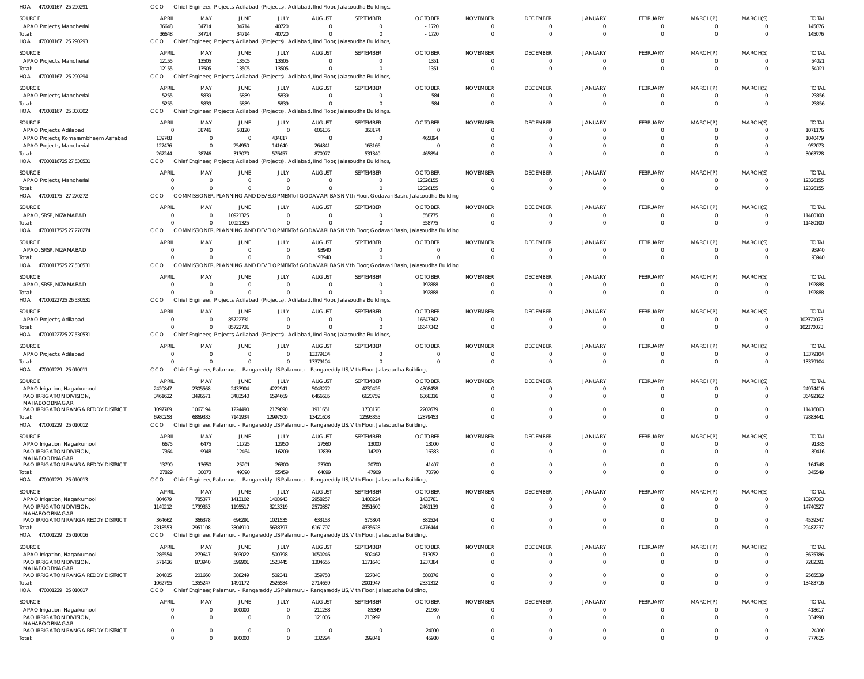| HOA 470001167 25 290291                                   | CCO                            |                            |                        |                                |                           | Chief Engineer, Projects, Adilabad (Projects), Adilabad, IInd Floor, Jalasoudha Buildings                          |                           |                             |                                   |                            |                              |                   |                                  |                          |
|-----------------------------------------------------------|--------------------------------|----------------------------|------------------------|--------------------------------|---------------------------|--------------------------------------------------------------------------------------------------------------------|---------------------------|-----------------------------|-----------------------------------|----------------------------|------------------------------|-------------------|----------------------------------|--------------------------|
| SOURCE                                                    | <b>APRIL</b>                   | MAY                        | JUNE                   | JULY                           | <b>AUGUST</b>             | SEPTEMBER                                                                                                          | <b>OCTOBER</b>            | <b>NOVEMBER</b>             | <b>DECEMBER</b>                   | <b>JANUARY</b>             | FEBRUARY                     | MARCH(P)          | MARCH(S)                         | <b>TOTAL</b>             |
| APAO Projects, Mancherial                                 | 36648                          | 34714                      | 34714                  | 40720                          |                           | $\Omega$                                                                                                           | $-1720$                   |                             | $\overline{0}$                    | 0                          | 0                            | 0                 | $\overline{0}$                   | 145076                   |
| Total:                                                    | 36648                          | 34714                      | 34714                  | 40720                          |                           | $\Omega$                                                                                                           | $-1720$                   |                             | $\overline{0}$                    | $\Omega$                   | $\mathbf 0$                  | $\mathbf 0$       | $\overline{0}$                   | 145076                   |
| HOA 470001167 25 290293                                   | CCO                            |                            |                        |                                |                           | Chief Engineer, Projects, Adilabad (Projects), Adilabad, IInd Floor, Jalasoudha Buildings,                         |                           |                             |                                   |                            |                              |                   |                                  |                          |
| SOURCE                                                    | <b>APRIL</b>                   | MAY                        | <b>JUNE</b>            | JULY                           | <b>AUGUST</b>             | SEPTEMBER                                                                                                          | <b>OCTOBER</b>            | <b>NOVEMBER</b>             | <b>DECEMBER</b>                   | JANUARY                    | FEBRUARY                     | MARCH(P)          | MARCH(S)                         | <b>TOTAL</b>             |
| APAO Projects, Mancherial                                 | 12155                          | 13505                      | 13505                  | 13505                          | $\Omega$                  | $\mathbf{0}$                                                                                                       | 1351                      | $\Omega$                    | $\overline{0}$                    | $\overline{0}$             | $\mathbf 0$                  | 0                 | $\overline{0}$                   | 54021                    |
| Total:                                                    | 12155                          | 13505                      | 13505                  | 13505                          |                           | $\Omega$                                                                                                           | 1351                      | $\Omega$                    | $\overline{0}$                    | $\Omega$                   | $\mathbf{0}$                 | $\mathbf{0}$      | $\overline{0}$                   | 54021                    |
| HOA 470001167 25 290294                                   | <b>CCO</b>                     |                            |                        |                                |                           | Chief Engineer, Projects, Adilabad (Projects), Adilabad, IInd Floor, Jalasoudha Buildings,                         |                           |                             |                                   |                            |                              |                   |                                  |                          |
| <b>SOURCE</b>                                             | <b>APRIL</b>                   | MAY                        | JUNE                   | JULY                           | <b>AUGUST</b>             | SEPTEMBER                                                                                                          | <b>OCTOBER</b>            | <b>NOVEMBER</b>             | <b>DECEMBER</b>                   | <b>JANUARY</b>             | <b>FEBRUARY</b>              | MARCH(P)          | MARCH(S)                         | <b>TOTAL</b>             |
| APAO Projects, Mancherial                                 | 5255                           | 5839                       | 5839                   | 5839                           | $\Omega$                  | $\Omega$                                                                                                           | 584                       |                             | $\overline{0}$                    | $\overline{0}$             | 0                            | 0                 | $\overline{0}$                   | 23356                    |
| Total:                                                    | 5255                           | 5839                       | 5839                   | 5839                           |                           | $\Omega$                                                                                                           | 584                       |                             | $\Omega$                          | $\Omega$                   | $\mathbf{0}$                 | $\mathbf{0}$      | $\Omega$                         | 23356                    |
| HOA 470001167 25 300302                                   | <b>CCO</b>                     |                            |                        |                                |                           | Chief Engineer, Projects, Adilabad (Projects), Adilabad, IInd Floor, Jalasoudha Buildings,                         |                           |                             |                                   |                            |                              |                   |                                  |                          |
| SOURCE                                                    | <b>APRIL</b>                   | MAY                        | JUNE                   | JULY                           | <b>AUGUST</b>             | SEPTEMBER                                                                                                          | <b>OCTOBER</b>            | <b>NOVEMBER</b>             | <b>DECEMBER</b>                   | JANUARY                    | FEBRUARY                     | MARCH(P)          | MARCH(S)                         | <b>TOTAL</b>             |
| APAO Projects, Adilabad                                   | $\overline{0}$                 | 38746                      | 58120                  | $\overline{0}$                 | 606136                    | 368174                                                                                                             | $\Omega$                  | $\Omega$                    | $\overline{0}$                    | $\Omega$                   | 0                            | 0                 | $\overline{0}$                   | 1071176                  |
| APAO Projects, Komarambheem Asifabad                      | 139768                         | 0                          | $\Omega$               | 434817                         | $\Omega$                  | $\overline{0}$                                                                                                     | 465894                    |                             |                                   |                            | 0                            | 0                 | $\Omega$                         | 1040479                  |
| APAO Projects, Mancherial                                 | 127476                         | $\overline{0}$             | 254950                 | 141640                         | 264841                    | 163166                                                                                                             |                           |                             | $\Omega$                          |                            | $\mathbf 0$                  | $\mathbf 0$       | $\Omega$                         | 952073                   |
| Total:                                                    | 267244<br>CCO                  | 38746                      | 313070                 | 576457                         | 870977                    | 531340                                                                                                             | 465894                    |                             | $\Omega$                          | $\Omega$                   | $\mathbf 0$                  | $\Omega$          | $\Omega$                         | 3063728                  |
| HOA 47000116725 27 530531                                 |                                |                            |                        |                                |                           | Chief Engineer, Projects, Adilabad (Projects), Adilabad, IInd Floor, Jalasoudha Buildings,                         |                           |                             |                                   |                            |                              |                   |                                  |                          |
| SOURCE                                                    | <b>APRIL</b>                   | MAY                        | JUNE                   | JULY                           | <b>AUGUST</b>             | SEPTEMBER                                                                                                          | <b>OCTOBER</b>            | <b>NOVEMBER</b>             | <b>DECEMBER</b>                   | JANUARY                    | FEBRUARY                     | MARCH(P)          | MARCH(S)                         | <b>TOTAL</b>             |
| APAO Projects, Mancherial                                 | 0                              | 0                          |                        | $\overline{0}$                 |                           | $\Omega$                                                                                                           | 12326155                  |                             | $\overline{0}$                    | $\Omega$                   | 0                            | 0                 | $\overline{0}$                   | 12326155                 |
| Total:<br>HOA 470001175 27 270272                         | $\Omega$<br>CCO                | $\Omega$                   | $\Omega$               | $\Omega$                       |                           | $\Omega$<br>COMMISSIONER, PLANNING AND DEVELOPMENTof GODAVARI BASIN Vth Floor, Godavari Basin, Jalasoudha Building | 12326155                  |                             | $\overline{0}$                    | $\Omega$                   | $\mathbf 0$                  | $\mathbf 0$       | $\overline{0}$                   | 12326155                 |
|                                                           |                                |                            |                        |                                |                           |                                                                                                                    |                           |                             |                                   |                            |                              |                   |                                  |                          |
| <b>SOURCE</b>                                             | <b>APRIL</b>                   | MAY                        | <b>JUNE</b>            | JULY                           | <b>AUGUST</b>             | SEPTEMBER                                                                                                          | <b>OCTOBER</b>            | <b>NOVEMBER</b>             | <b>DECEMBER</b>                   | <b>JANUARY</b>             | <b>FEBRUARY</b>              | MARCH(P)          | MARCH(S)                         | <b>TOTAL</b>             |
| APAO, SRSP, NIZAMABAD                                     | $\overline{0}$<br>$\Omega$     | $\overline{0}$             | 10921325               | $\overline{0}$<br>$\Omega$     | $\Omega$                  | $\overline{0}$<br>$\Omega$                                                                                         | 558775                    | $\Omega$                    | $\overline{0}$<br>$\Omega$        | $\overline{0}$<br>$\Omega$ | 0<br>$\mathbf{0}$            | 0                 | $\overline{0}$                   | 11480100                 |
| Total:<br>HOA 47000117525 27 270274                       | CCO                            | $\Omega$                   | 10921325               |                                |                           | COMMISSIONER, PLANNING AND DEVELOPMENTof GODAVARI BASIN Vth Floor, Godavari Basin, Jalasoudha Building             | 558775                    | $\Omega$                    |                                   |                            |                              | $\mathbf{0}$      | $\overline{0}$                   | 11480100                 |
|                                                           |                                |                            |                        |                                |                           |                                                                                                                    |                           |                             |                                   |                            |                              |                   |                                  |                          |
| <b>SOURCE</b>                                             | <b>APRIL</b>                   | MAY                        | JUNE                   | JULY                           | <b>AUGUST</b>             | SEPTEMBER                                                                                                          | <b>OCTOBER</b>            | <b>NOVEMBER</b>             | <b>DECEMBER</b>                   | JANUARY                    | <b>FEBRUARY</b>              | MARCH(P)          | MARCH(S)                         | <b>TOTAL</b>             |
| APAO, SRSP, NIZAMABAD                                     | $\Omega$<br>$\Omega$           | $\Omega$<br>$\Omega$       | $\Omega$<br>$\Omega$   | $\Omega$<br>$\mathbf{0}$       | 93940<br>93940            | $\Omega$<br>$\Omega$                                                                                               |                           |                             | $\overline{0}$<br>$\Omega$        | $\overline{0}$<br>$\Omega$ | $\mathbf{0}$<br>$\mathbf{0}$ | 0<br>$\mathbf{0}$ | $\overline{0}$<br>$\overline{0}$ | 93940<br>93940           |
| Total:<br>HOA 47000117525 27 530531                       | CCO                            |                            |                        |                                |                           | COMMISSIONER, PLANNING AND DEVELOPMENT of GODAVARI BASIN Vth Floor, Godavari Basin, Jalasoudha Building            |                           |                             |                                   |                            |                              |                   |                                  |                          |
|                                                           |                                |                            |                        |                                |                           |                                                                                                                    |                           |                             |                                   |                            |                              |                   |                                  |                          |
| <b>SOURCE</b>                                             | <b>APRIL</b>                   | MAY                        | JUNE                   | JULY                           | <b>AUGUST</b>             | SEPTEMBER                                                                                                          | <b>OCTOBER</b>            | <b>NOVEMBER</b>             | <b>DECEMBER</b>                   | JANUARY                    | FEBRUARY                     | MARCH(P)          | MARCH(S)                         | <b>TOTAL</b>             |
| APAO, SRSP, NIZAMABAD<br>Total:                           | $\overline{0}$<br>$\Omega$     | $\overline{0}$<br>$\Omega$ | $\Omega$<br>$\Omega$   | $\overline{0}$<br>$\Omega$     | $\Omega$                  | $\mathbf{0}$<br>$\Omega$                                                                                           | 192888<br>192888          | $\Omega$                    | $\overline{0}$<br>$\overline{0}$  | $^{\circ}$<br>$\Omega$     | 0<br>$\mathbf 0$             | 0<br>$\mathbf 0$  | $\overline{0}$<br>$\overline{0}$ | 192888<br>192888         |
| HOA 47000122725 26 530531                                 | CCO                            |                            |                        |                                |                           | Chief Engineer, Projects, Adilabad (Projects), Adilabad, IInd Floor, Jalasoudha Buildings,                         |                           |                             |                                   |                            |                              |                   |                                  |                          |
|                                                           |                                |                            |                        |                                |                           |                                                                                                                    |                           |                             |                                   |                            |                              |                   |                                  |                          |
| SOURCE                                                    | <b>APRIL</b>                   | MAY                        | JUNE                   | <b>JULY</b>                    | <b>AUGUST</b>             | SEPTEMBER                                                                                                          | <b>OCTOBER</b>            | <b>NOVEMBER</b>             | <b>DECEMBER</b>                   | JANUARY                    | <b>FEBRUARY</b>              | MARCH(P)          | MARCH(S)                         | <b>TOTAL</b>             |
| APAO Projects, Adilabad<br>Total:                         | $\Omega$<br>$\Omega$           | $\Omega$<br>$\Omega$       | 85722731<br>85722731   | $\overline{0}$<br>$\mathbf{0}$ |                           | $\Omega$<br>$\mathbf 0$                                                                                            | 16647342<br>16647342      |                             | $\overline{0}$<br>$\Omega$        | $\Omega$<br>$\Omega$       | 0<br>$\mathbf 0$             | 0<br>$\mathbf 0$  | $\overline{0}$<br>$\overline{0}$ | 102370073<br>102370073   |
| HOA 47000122725 27 530531                                 | CCO                            |                            |                        |                                |                           | Chief Engineer, Projects, Adilabad (Projects), Adilabad, IInd Floor, Jalasoudha Buildings,                         |                           |                             |                                   |                            |                              |                   |                                  |                          |
|                                                           |                                |                            |                        |                                |                           |                                                                                                                    |                           |                             |                                   |                            |                              |                   |                                  |                          |
| SOURCE                                                    | <b>APRIL</b><br>$\overline{0}$ | MAY<br>$\overline{0}$      | JUNE                   | JULY<br>$\overline{0}$         | <b>AUGUST</b><br>13379104 | SEPTEMBER<br>$\mathbf{0}$                                                                                          | <b>OCTOBER</b><br>- 0     | <b>NOVEMBER</b><br>$\Omega$ | <b>DECEMBER</b><br>$\overline{0}$ | JANUARY<br>$\Omega$        | FEBRUARY                     | MARCH(P)          | MARCH(S)<br>$\overline{0}$       | <b>TOTAL</b><br>13379104 |
| APAO Projects, Adilabad<br>Total                          | $\Omega$                       | $\overline{0}$             | $\Omega$               | $\overline{0}$                 | 13379104                  | $\mathbf 0$                                                                                                        | $\Omega$                  | $\Omega$                    | $\overline{0}$                    | $\Omega$                   | 0<br>$\mathbf{0}$            | 0<br>$\mathbf 0$  | $\overline{0}$                   | 13379104                 |
| HOA 470001229 25 010011                                   | CCO                            |                            |                        |                                |                           | Chief Engineer, Palamuru - Rangareddy LIS Palamuru - Rangareddy LIS, V th Floor, Jalasoudha Building,              |                           |                             |                                   |                            |                              |                   |                                  |                          |
|                                                           |                                |                            |                        |                                |                           |                                                                                                                    |                           |                             |                                   |                            |                              |                   |                                  |                          |
| SOURCE                                                    | <b>APRIL</b><br>2420847        | MAY<br>2305568             | <b>JUNE</b><br>2433904 | JULY<br>4222941                | <b>AUGUST</b><br>5043272  | SEPTEMBER                                                                                                          | <b>OCTOBER</b><br>4308458 | <b>NOVEMBER</b>             | <b>DECEMBER</b>                   | <b>JANUARY</b>             | FEBRUARY                     | MARCH(P)          | MARCH(S)                         | <b>TOTAL</b><br>24974416 |
| APAO Irrigation, Nagarkurnool<br>PAO IRRIGATION DIVISION, | 3461622                        | 3496571                    | 3483540                | 6594669                        | 6466685                   | 4239426<br>6620759                                                                                                 | 6368316                   |                             |                                   |                            | $\Omega$                     | $\Omega$          | $\Omega$                         | 36492162                 |
| MAHABOOBNAGAR                                             |                                |                            |                        |                                |                           |                                                                                                                    |                           |                             |                                   |                            |                              |                   |                                  |                          |
| PAO IRRIGATION RANGA REDDY DISTRICT                       | 1097789                        | 1067194                    | 1224490                | 2179890                        | 1911651                   | 1733170                                                                                                            | 2202679                   |                             | $\Omega$                          | $\Omega$                   | $\mathbf 0$                  | $\mathbf 0$       | $\Omega$                         | 11416863                 |
| Total:                                                    | 6980258                        | 6869333                    | 7141934                | 12997500                       | 13421608                  | 12593355                                                                                                           | 12879453                  |                             | $\Omega$                          | $\Omega$                   | $\Omega$                     | $\mathbf{0}$      | $\Omega$                         | 72883441                 |
| HOA 470001229 25 010012                                   | <b>CCO</b>                     |                            |                        |                                |                           | Chief Engineer, Palamuru - Rangareddy LIS Palamuru - Rangareddy LIS, V th Floor, Jalasoudha Building,              |                           |                             |                                   |                            |                              |                   |                                  |                          |
| <b>SOURCE</b>                                             | <b>APRIL</b>                   | MAY                        | JUNE                   |                                |                           |                                                                                                                    |                           |                             |                                   |                            |                              |                   |                                  |                          |
| APAO Irrigation, Nagarkurnool                             |                                |                            |                        | JULY                           | <b>AUGUST</b>             | SEPTEMBER                                                                                                          | <b>OCTOBER</b>            | <b>NOVEMBER</b>             | <b>DECEMBER</b>                   | <b>JANUARY</b>             | FEBRUARY                     | MARCH(P)          | MARCH(S)                         | <b>TOTAL</b>             |
| PAO IRRIGATION DIVISION,<br>MAHABOOBNAGAR                 | 6675                           | 6475                       | 11725                  | 12950                          | 27560                     | 13000                                                                                                              | 13000                     |                             | $\overline{0}$                    | $\overline{0}$             | 0                            | 0                 | $\overline{0}$                   | 91385                    |
|                                                           | 7364                           | 9948                       | 12464                  | 16209                          | 12839                     | 14209                                                                                                              | 16383                     |                             | $\Omega$                          | $\Omega$                   | $\mathbf 0$                  | $\Omega$          | $\Omega$                         | 89416                    |
| PAO IRRIGATION RANGA REDDY DISTRICT                       | 13790                          | 13650                      | 25201                  | 26300                          | 23700                     | 20700                                                                                                              | 41407                     |                             | $\Omega$                          | $\overline{0}$             | $\mathbf 0$                  | $\mathbf 0$       | $\overline{0}$                   | 164748                   |
| Total:                                                    | 27829                          | 30073                      | 49390                  | 55459                          | 64099                     | 47909                                                                                                              | 70790                     |                             | $\Omega$                          | $\Omega$                   | $\mathbf 0$                  | $\mathbf 0$       | $\overline{0}$                   | 345549                   |
| HOA 470001229 25 010013                                   | <b>CCO</b>                     |                            |                        |                                |                           | Chief Engineer, Palamuru - Rangareddy LIS Palamuru - Rangareddy LIS, V th Floor, Jalasoudha Building,              |                           |                             |                                   |                            |                              |                   |                                  |                          |
|                                                           |                                |                            |                        |                                |                           |                                                                                                                    |                           |                             |                                   |                            |                              |                   |                                  |                          |
| SOURCE<br>APAO Irrigation, Nagarkurnool                   | <b>APRIL</b><br>804679         | MAY<br>785377              | JUNE<br>1413102        | JULY<br>1403943                | <b>AUGUST</b><br>2958257  | SEPTEMBER<br>1408224                                                                                               | <b>OCTOBER</b><br>1433781 | <b>NOVEMBER</b>             | <b>DECEMBER</b><br>$\Omega$       | JANUARY<br>$\Omega$        | FEBRUARY<br>0                | MARCH(P)<br>0     | MARCH(S)<br>$\Omega$             | <b>TOTAL</b><br>10207363 |
| PAO IRRIGATION DIVISION,                                  | 1149212                        | 1799353                    | 1195517                | 3213319                        | 2570387                   | 2351600                                                                                                            | 2461139                   |                             | $\Omega$                          | $\Omega$                   | $\mathbf{0}$                 | $\mathbf 0$       | $\overline{0}$                   | 14740527                 |
| MAHABOOBNAGAR                                             |                                |                            |                        |                                |                           |                                                                                                                    |                           |                             |                                   |                            |                              |                   |                                  |                          |
| PAO IRRIGATION RANGA REDDY DISTRICT                       | 364662                         | 366378                     | 696291                 | 1021535                        | 633153                    | 575804                                                                                                             | 881524                    |                             | $\Omega$                          | $\overline{0}$             | $\mathbf 0$                  | $\mathbf 0$       | $\Omega$                         | 4539347                  |
| Total:                                                    | 2318553                        | 2951108                    | 3304910                | 5638797                        | 6161797                   | 4335628                                                                                                            | 4776444                   |                             | $\Omega$                          | $\Omega$                   | $\mathbf 0$                  | $\mathbf 0$       | $\Omega$                         | 29487237                 |
| HOA 470001229 25 010016                                   | CCO                            |                            |                        |                                |                           | Chief Engineer, Palamuru - Rangareddy LIS Palamuru - Rangareddy LIS, V th Floor, Jalasoudha Building,              |                           |                             |                                   |                            |                              |                   |                                  |                          |
| SOURCE                                                    | <b>APRIL</b>                   | MAY                        | JUNE                   | JULY                           | <b>AUGUST</b>             | SEPTEMBER                                                                                                          | <b>OCTOBER</b>            | <b>NOVEMBER</b>             | <b>DECEMBER</b>                   | JANUARY                    | FEBRUARY                     | MARCH(P)          | MARCH(S)                         | <b>TOTAL</b>             |
| APAO Irrigation, Nagarkurnool                             | 286554                         | 279647                     | 503022                 | 500798                         | 1050246                   | 502467                                                                                                             | 513052                    | $\Omega$<br>$\Omega$        | $\overline{0}$<br>$\Omega$        | $\overline{0}$<br>$\Omega$ | $\mathbf 0$                  | 0                 | $\overline{0}$<br>$\Omega$       | 3635786                  |
| PAO IRRIGATION DIVISION,<br>MAHABOOBNAGAR                 | 571426                         | 873940                     | 599901                 | 1523445                        | 1304655                   | 1171640                                                                                                            | 1237384                   |                             |                                   |                            | $\mathbf 0$                  | $\mathbf 0$       |                                  | 7282391                  |
| PAO IRRIGATION RANGA REDDY DISTRICT                       | 204815                         | 201660                     | 388249                 | 502341                         | 359758                    | 327840                                                                                                             | 580876                    |                             | $\mathbf{0}$                      | $\overline{0}$             | 0                            | 0                 | $\overline{0}$                   | 2565539                  |
| Total:                                                    | 1062795                        | 1355247                    | 1491172                | 2526584                        | 2714659                   | 2001947                                                                                                            | 2331312                   |                             | $\Omega$                          | $\Omega$                   | $\mathbf 0$                  | $\mathbf{0}$      | $\overline{0}$                   | 13483716                 |
| HOA 470001229 25 010017                                   | <b>CCO</b>                     |                            |                        |                                |                           | Chief Engineer, Palamuru - Rangareddy LIS Palamuru - Rangareddy LIS, V th Floor, Jalasoudha Building,              |                           |                             |                                   |                            |                              |                   |                                  |                          |
| <b>SOURCE</b>                                             | <b>APRIL</b>                   | MAY                        | JUNE                   | JULY                           | <b>AUGUST</b>             | SEPTEMBER                                                                                                          | <b>OCTOBER</b>            | <b>NOVEMBER</b>             | <b>DECEMBER</b>                   | JANUARY                    | FEBRUARY                     | MARCH(P)          | MARCH(S)                         | <b>TOTAL</b>             |
| APAO Irrigation, Nagarkurnool                             | 0                              | 0                          | 100000                 | $\overline{0}$                 | 211288                    | 85349                                                                                                              | 21980                     |                             | $\overline{0}$                    | $\Omega$                   | $\mathbf 0$                  | 0                 | $\overline{0}$                   | 418617                   |
| PAO IRRIGATION DIVISION,                                  | $\Omega$                       | $\Omega$                   | - 0                    | $\overline{0}$                 | 121006                    | 213992                                                                                                             |                           |                             |                                   |                            | $\Omega$                     | $\Omega$          | $\Omega$                         | 334998                   |
| MAHABOOBNAGAR<br>PAO IRRIGATION RANGA REDDY DISTRICT      | $\mathbf{0}$                   | 0                          | $\Omega$               | $\overline{0}$                 | $\Omega$                  | $\mathbf 0$                                                                                                        | 24000                     |                             | $\overline{0}$                    | $\overline{0}$             | $\mathbf 0$                  | $\mathbf 0$       | $\overline{0}$                   | 24000                    |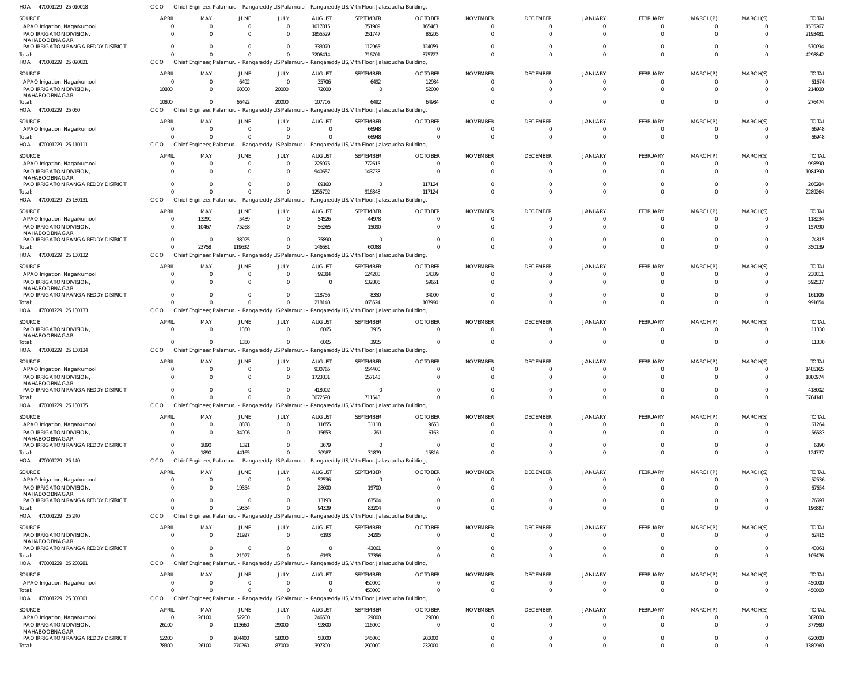| APAO Irrigation, Nagarkurnool                        | $\Omega$                         |                                                    | 0                      |                            | 1017815                | 351989                                                                                                | 165463                            |                             |                                |                         |                            |                         |          |  |
|------------------------------------------------------|----------------------------------|----------------------------------------------------|------------------------|----------------------------|------------------------|-------------------------------------------------------------------------------------------------------|-----------------------------------|-----------------------------|--------------------------------|-------------------------|----------------------------|-------------------------|----------|--|
| PAO IRRIGATION DIVISION,<br>MAHABOOBNAGAR            | $\Omega$                         | $\Omega$                                           | $\Omega$               | $\Omega$                   | 1855529                | 251747                                                                                                | 86205                             | $\Omega$                    | $\Omega$                       | $\Omega$                | $\Omega$                   | $\Omega$                |          |  |
| PAO IRRIGATION RANGA REDDY DISTRICT                  | $\overline{0}$                   | 0                                                  | $\mathbf 0$            | $\mathbf 0$                | 333070                 | 112965                                                                                                | 124059                            | $\Omega$                    | $\mathbf 0$                    | $\mathbf{0}$            | 0                          | $\mathbf 0$             |          |  |
| Total:                                               | $\mathbf 0$                      | $\overline{0}$                                     | $\mathbf 0$            | $\mathbf{0}$               | 3206414                | 716701                                                                                                | 375727                            | $\Omega$                    | $\mathbf 0$                    | $\mathbf{0}$            | $^{\circ}$                 | $\mathbf 0$             |          |  |
| HOA 470001229 25 020021                              | CCO                              | Chief Engineer, Palamuru - Rangareddy LIS Palamuru |                        |                            |                        | Rangareddy LIS, V th Floor, Jalasoudha Building,                                                      |                                   |                             |                                |                         |                            |                         |          |  |
| SOURCE                                               | <b>APRIL</b>                     | MAY                                                | JUNE                   | JULY                       | <b>AUGUST</b>          | SEPTEMBER                                                                                             | <b>OCTOBER</b>                    | <b>NOVEMBER</b>             | <b>DECEMBER</b>                | JANUARY                 | FEBRUARY                   | MARCH(P)                | MARCH(S) |  |
| APAO Irrigation, Nagarkurnool                        | 0                                | $\overline{0}$                                     | 6492                   | $\overline{0}$             | 35706                  | 6492                                                                                                  | 12984                             | $\Omega$                    | $\mathbf 0$                    | $\Omega$                | $^{\circ}$                 | $\Omega$                |          |  |
| PAO IRRIGATION DIVISION,                             | 10800                            | $\Omega$                                           | 60000                  | 20000                      | 72000                  | $\Omega$                                                                                              | 52000                             | $\Omega$                    | $\Omega$                       | $\Omega$                | $\Omega$                   | $\Omega$                |          |  |
| MAHABOOBNAGAR<br>Total:                              | 10800                            | $\Omega$                                           | 66492                  | 20000                      | 107706                 | 6492                                                                                                  | 64984                             | $\Omega$                    | $\Omega$                       | $\Omega$                | $\Omega$                   | $\Omega$                | $\Omega$ |  |
| HOA 470001229 25 060                                 | <b>CCO</b>                       | Chief Engineer, Palamuru - Rangareddy LIS Palamuru |                        |                            |                        | Rangareddy LIS, V th Floor, Jalasoudha Building,                                                      |                                   |                             |                                |                         |                            |                         |          |  |
| SOURCE                                               | <b>APRIL</b>                     | MAY                                                | <b>JUNE</b>            | JULY                       | <b>AUGUST</b>          | SEPTEMBER                                                                                             | <b>OCTOBER</b>                    | <b>NOVEMBER</b>             | <b>DECEMBER</b>                | JANUARY                 | FEBRUARY                   | MARCH(P)                | MARCH(S) |  |
| APAO Irrigation, Nagarkurnool                        | $\mathbf 0$                      | $\overline{0}$                                     | $\overline{0}$         | $\overline{0}$             | $^{\circ}$             | 66948                                                                                                 | $\mathbf 0$                       | $^{\circ}$                  | $\mathbf 0$                    | $\mathbf 0$             | $^{\circ}$                 | 0                       |          |  |
| Total:                                               | $\Omega$                         | $\overline{0}$                                     | $\mathbf 0$            | $\overline{0}$             | $\overline{0}$         | 66948                                                                                                 | $\Omega$                          | $\Omega$                    | $\mathbf 0$                    | $\overline{0}$          | $^{\circ}$                 | $\mathbf 0$             |          |  |
| HOA 470001229 25 110111                              | CCO                              | Chief Engineer, Palamuru - Rangareddy LIS Palamuru |                        |                            |                        | Rangareddy LIS, V th Floor, Jalasoudha Building,                                                      |                                   |                             |                                |                         |                            |                         |          |  |
| <b>SOURCE</b>                                        | <b>APRIL</b>                     | MAY                                                | <b>JUNE</b>            | JULY                       | <b>AUGUST</b>          | SEPTEMBER                                                                                             | <b>OCTOBER</b>                    | <b>NOVEMBER</b>             | <b>DECEMBER</b>                | JANUARY                 | FEBRUARY                   | MARCH(P)                | MARCH(S) |  |
| APAO Irrigation, Nagarkurnool                        | 0                                | $\overline{0}$                                     | $\overline{0}$         | $\mathbf{0}$               | 225975                 | 772615                                                                                                | $\overline{0}$                    | $\Omega$                    | $\mathbf 0$                    | $\Omega$                | $\mathbf 0$                | $\Omega$                |          |  |
| PAO IRRIGATION DIVISION                              | $\Omega$                         | $\Omega$                                           | $\mathbf 0$            | $\mathbf{0}$               | 940657                 | 143733                                                                                                | $\Omega$                          | $\Omega$                    | $\Omega$                       | $\Omega$                | $\Omega$                   | $\Omega$                |          |  |
| MAHABOOBNAGAR                                        |                                  |                                                    |                        |                            |                        |                                                                                                       |                                   |                             |                                |                         |                            |                         |          |  |
| PAO IRRIGATION RANGA REDDY DISTRICT                  | $\Omega$                         | $\Omega$                                           | $\mathbf 0$            | $\mathbf{0}$               | 89160                  | $\Omega$                                                                                              | 117124                            |                             | $\mathbf 0$                    | $\Omega$                | $\Omega$                   | $\Omega$                |          |  |
| Total:                                               | $\Omega$                         | $\Omega$                                           | $\Omega$               | $\mathbf 0$                | 1255792                | 916348                                                                                                | 117124                            | $\Omega$                    | $\mathbf 0$                    | $\Omega$                | $\Omega$                   | $\Omega$                | $\Omega$ |  |
| HOA<br>470001229 25 130131                           | <b>CCO</b>                       | Chief Engineer, Palamuru - Rangareddy LIS Palamuru |                        |                            |                        | Rangareddy LIS, V th Floor, Jalasoudha Building,                                                      |                                   |                             |                                |                         |                            |                         |          |  |
| <b>SOURCE</b>                                        | <b>APRIL</b>                     | MAY                                                | JUNE                   | JULY                       | <b>AUGUST</b>          | SEPTEMBER                                                                                             | <b>OCTOBER</b>                    | <b>NOVEMBER</b>             | <b>DECEMBER</b>                | JANUARY                 | FEBRUARY                   | MARCH(P)                | MARCH(S) |  |
| APAO Irrigation, Nagarkurnool                        | $\mathbf 0$                      | 13291                                              | 5439                   | $\mathbf 0$                | 54526                  | 44978                                                                                                 | $\mathbf 0$                       | $\Omega$                    | $\mathbf 0$                    | $\mathbf 0$             | - 0                        | $\mathbf 0$             |          |  |
| PAO IRRIGATION DIVISION,<br>MAHABOOBNAGAR            | $\Omega$                         | 10467                                              | 75268                  | $\Omega$                   | 56265                  | 15090                                                                                                 | $\Omega$                          | $\Omega$                    | $\mathbf 0$                    | $\Omega$                | $\Omega$                   | $\Omega$                |          |  |
| PAO IRRIGATION RANGA REDDY DISTRICT                  | $\overline{0}$                   | - 0                                                | 38925                  | $\mathbf{0}$               | 35890                  | - 0                                                                                                   |                                   | $\Omega$                    | $\Omega$                       | $\Omega$                | $\Omega$                   | $\Omega$                |          |  |
| Total:                                               | $\Omega$                         | 23758                                              | 119632                 | $\mathbf 0$                | 146681                 | 60068                                                                                                 | $\Omega$                          | $\Omega$                    | $\Omega$                       | $\Omega$                | $\Omega$                   | $\Omega$                |          |  |
| HOA 470001229 25 130132                              | CCO                              | Chief Engineer, Palamuru - Rangareddy LIS Palamuru |                        |                            |                        | Rangareddy LIS, V th Floor, Jalasoudha Building,                                                      |                                   |                             |                                |                         |                            |                         |          |  |
| SOURCE                                               | <b>APRIL</b>                     | MAY                                                | JUNE                   | JULY                       | <b>AUGUST</b>          | SEPTEMBER                                                                                             | <b>OCTOBER</b>                    | <b>NOVEMBER</b>             | <b>DECEMBER</b>                | JANUARY                 | FEBRUARY                   | MARCH(P)                | MARCH(S) |  |
| APAO Irrigation, Nagarkurnool                        | $\overline{0}$                   | $\overline{0}$                                     | $\overline{0}$         | $\overline{0}$             | 99384                  | 124288                                                                                                | 14339                             | $\Omega$                    | $\mathbf 0$                    | $\mathbf 0$             | $\overline{0}$             | 0                       |          |  |
| PAO IRRIGATION DIVISION                              | $\Omega$                         | $\overline{0}$                                     | $\overline{0}$         | $\mathbf 0$                | $\overline{0}$         | 532886                                                                                                | 59651                             | $\Omega$                    | $\Omega$                       | $\Omega$                | $\Omega$                   | $\Omega$                |          |  |
| MAHABOOBNAGAR<br>PAO IRRIGATION RANGA REDDY DISTRICT | $^{\circ}$                       | $\overline{0}$                                     | $\mathbf 0$            | $\mathbf 0$                | 118756                 | 8350                                                                                                  | 34000                             | $\Omega$                    | $\mathbf 0$                    | $\Omega$                | 0                          | $\Omega$                |          |  |
| Total:                                               | $\Omega$                         | $\Omega$                                           | $\Omega$               | $\Omega$                   | 218140                 | 665524                                                                                                | 107990                            | $\Omega$                    | $\mathbf 0$                    | $\Omega$                | $\Omega$                   | $\mathbf 0$             |          |  |
| 470001229 25 130133<br>HOA                           | <b>CCO</b>                       | Chief Engineer, Palamuru - Rangareddy LIS Palamuru |                        |                            |                        | Rangareddy LIS, V th Floor, Jalasoudha Building,                                                      |                                   |                             |                                |                         |                            |                         |          |  |
| SOURCE                                               | <b>APRIL</b>                     | MAY                                                | JUNE                   | JULY                       | <b>AUGUST</b>          | SEPTEMBER                                                                                             | <b>OCTOBER</b>                    | <b>NOVEMBER</b>             | <b>DECEMBER</b>                | JANUARY                 | <b>FEBRUARY</b>            | MARCH(P)                | MARCH(S) |  |
| PAO IRRIGATION DIVISION,                             | $\mathbf 0$                      | $\overline{\phantom{0}}$                           | 1350                   | $\overline{0}$             | 6065                   | 3915                                                                                                  | $\Omega$                          | $\Omega$                    | $\mathbf 0$                    | $\Omega$                | $\mathbf 0$                | $\overline{0}$          |          |  |
| MAHABOOBNAGAR                                        |                                  |                                                    |                        |                            |                        |                                                                                                       |                                   |                             |                                |                         |                            |                         |          |  |
| Total:                                               | $\Omega$                         | $\overline{0}$                                     | 1350                   | $\Omega$                   | 6065                   | 3915                                                                                                  | $\Omega$                          | $\Omega$                    | $\mathbf 0$                    | $\Omega$                | $\overline{0}$             | $\mathbf 0$             | $\Omega$ |  |
| HOA 470001229 25 130134                              | <b>CCO</b>                       | Chief Engineer, Palamuru - Rangareddy LIS Palamuru |                        |                            |                        | Rangareddy LIS, V th Floor, Jalasoudha Building,                                                      |                                   |                             |                                |                         |                            |                         |          |  |
| SOURCE                                               | <b>APRIL</b>                     | MAY                                                | JUNE                   | JULY                       | <b>AUGUST</b>          | SEPTEMBER                                                                                             | <b>OCTOBER</b>                    | <b>NOVEMBER</b>             | <b>DECEMBER</b>                | JANUARY                 | FEBRUARY                   | MARCH(P)                | MARCH(S) |  |
| APAO Irrigation, Nagarkurnool                        | $^{\circ}$                       | $\overline{0}$                                     | $\overline{0}$         | $\mathbf{0}$               | 930765                 | 554400                                                                                                | $\mathbf 0$                       | $\Omega$                    | 0                              | $\Omega$                | 0                          | $\Omega$                |          |  |
| PAO IRRIGATION DIVISION,<br>MAHABOOBNAGAR            | $\Omega$                         | $\Omega$                                           | $\mathbf 0$            | $\mathbf{0}$               | 1723831                | 157143                                                                                                | $\Omega$                          | $\Omega$                    | $\mathbf 0$                    | $\Omega$                | $\Omega$                   | $\Omega$                |          |  |
| PAO IRRIGATION RANGA REDDY DISTRICT                  | $\Omega$                         | $\Omega$                                           | $\Omega$               | $\mathbf 0$                | 418002                 |                                                                                                       |                                   |                             | 0                              |                         | $\Omega$                   | $\Omega$                |          |  |
| Total:                                               | $\Omega$                         | $\Omega$                                           | $\Omega$               | $\mathbf 0$                | 3072598                | 711543                                                                                                |                                   | $\Omega$                    | $\Omega$                       | $\Omega$                | $\Omega$                   | $\Omega$                |          |  |
| HOA 470001229 25 130135                              | CCO                              |                                                    |                        |                            |                        | Chief Engineer, Palamuru - Rangareddy LIS Palamuru - Rangareddy LIS, V th Floor, Jalasoudha Building, |                                   |                             |                                |                         |                            |                         |          |  |
| SOURCE                                               | <b>APRIL</b>                     | MAY                                                | JUNE                   | JULY                       | <b>AUGUST</b>          | SEPTEMBER                                                                                             | <b>OCTOBER</b>                    | <b>NOVEMBER</b>             | <b>DECEMBER</b>                | JANUARY                 | FEBRUARY                   | MARCH(P)                | MARCH(S) |  |
| APAO Irrigation, Nagarkurnool                        | $\overline{0}$                   | $\overline{0}$                                     | 8838                   | $\mathbf 0$                | 11655                  | 31118                                                                                                 | 9653                              | $\overline{0}$              | $\mathbf 0$                    | $\mathbf 0$             | $\overline{0}$             | $\mathbf 0$             |          |  |
| PAO IRRIGATION DIVISION,                             | $\mathbf 0$                      | $\overline{\phantom{0}}$                           | 34006                  | $\mathbf 0$                | 15653                  | 761                                                                                                   | 6163                              | $\Omega$                    | $\mathbf 0$                    | $\Omega$                | $\overline{0}$             | $\Omega$                |          |  |
| MAHABOOBNAGAR                                        |                                  |                                                    |                        |                            |                        |                                                                                                       |                                   |                             |                                |                         |                            |                         |          |  |
| PAO IRRIGATION RANGA REDDY DISTRICT<br>Total:        | $\overline{0}$<br>$\overline{0}$ | 1890<br>1890                                       | 1321<br>44165          | $\mathbf 0$<br>$\mathbf 0$ | 3679<br>30987          | $\Omega$<br>31879                                                                                     | $\overline{\phantom{0}}$<br>15816 | $\Omega$<br>$\Omega$        | $\mathbf 0$<br>$\Omega$        | $\mathbf 0$<br>$\Omega$ | $\Omega$<br>$\Omega$       | $\Omega$<br>$\mathbf 0$ |          |  |
| HOA 470001229 25 140                                 | <b>CCO</b>                       | Chief Engineer, Palamuru - Rangareddy LIS Palamuru |                        |                            |                        | Rangareddy LIS, V th Floor, Jalasoudha Building,                                                      |                                   |                             |                                |                         |                            |                         |          |  |
|                                                      |                                  |                                                    |                        |                            |                        |                                                                                                       |                                   |                             |                                |                         |                            |                         |          |  |
| SOURCE<br>APAO Irrigation, Nagarkurnool              | <b>APRIL</b><br>$^{\circ}$       | MAY<br>$\overline{0}$                              | JUNE<br>$\overline{0}$ | JULY<br>$\overline{0}$     | <b>AUGUST</b><br>52536 | SEPTEMBER<br>$\Omega$                                                                                 | <b>OCTOBER</b><br>$\mathbf 0$     | <b>NOVEMBER</b><br>$\Omega$ | <b>DECEMBER</b><br>$\mathbf 0$ | JANUARY<br>$\mathbf 0$  | FEBRUARY<br>$\overline{0}$ | MARCH(P)<br>$\Omega$    | MARCH(S) |  |
| PAO IRRIGATION DIVISION,                             | $\Omega$                         | $\overline{0}$                                     | 19354                  | $\mathbf 0$                | 28600                  | 19700                                                                                                 | $\Omega$                          | $\Omega$                    | $\mathbf 0$                    | $\Omega$                | $\Omega$                   | $\Omega$                |          |  |
| MAHABOOBNAGAR                                        |                                  |                                                    |                        |                            |                        |                                                                                                       |                                   |                             |                                |                         |                            |                         |          |  |
| PAO IRRIGATION RANGA REDDY DISTRICT                  | $\Omega$                         | $\overline{0}$                                     | $\Omega$               | $\Omega$                   | 13193                  | 63504                                                                                                 | U                                 | $\Omega$                    | $\Omega$                       | $\Omega$                | $\Omega$                   | $\Omega$                |          |  |
| Total:                                               | $\Omega$                         | $\Omega$                                           | 19354                  | $\Omega$                   | 94329                  | 83204                                                                                                 | $\Omega$                          | $\Omega$                    | $\Omega$                       | $\Omega$                | $\Omega$                   | $\Omega$                |          |  |
| HOA 470001229 25 240                                 | <b>CCO</b>                       |                                                    |                        |                            |                        | Chief Engineer, Palamuru - Rangareddy LIS Palamuru - Rangareddy LIS, V th Floor, Jalasoudha Building, |                                   |                             |                                |                         |                            |                         |          |  |
| SOURCE                                               | <b>APRIL</b>                     | MAY                                                | JUNE                   | JULY                       | <b>AUGUST</b>          | SEPTEMBER                                                                                             | <b>OCTOBER</b>                    | <b>NOVEMBER</b>             | <b>DECEMBER</b>                | JANUARY                 | <b>FEBRUARY</b>            | MARCH(P)                | MARCH(S) |  |
| PAO IRRIGATION DIVISION,                             | $\overline{0}$                   | $\overline{\phantom{0}}$                           | 21927                  | $\overline{0}$             | 6193                   | 34295                                                                                                 | $\mathbf 0$                       | $\overline{0}$              | $\mathbf 0$                    | $\mathbf{0}$            | $\overline{0}$             | $\overline{0}$          | $\Omega$ |  |
| MAHABOOBNAGAR<br>PAO IRRIGATION RANGA REDDY DISTRICT | $\overline{0}$                   | $\overline{0}$                                     | $\overline{0}$         | $\overline{0}$             | $\overline{0}$         | 43061                                                                                                 | $\Omega$                          | $\overline{0}$              | $\mathbf 0$                    | $\mathbf{0}$            | $\overline{0}$             | $\mathbf 0$             | $\Omega$ |  |
| Total:                                               | $\overline{0}$                   | $\Omega$                                           | 21927                  | $\mathbf 0$                | 6193                   | 77356                                                                                                 | $\Omega$                          | $\Omega$                    | $\mathbf 0$                    | $\overline{0}$          | $\overline{0}$             | $\mathbf 0$             | $\Omega$ |  |
| HOA 470001229 25 280281                              | <b>CCO</b>                       | Chief Engineer, Palamuru - Rangareddy LIS Palamuru |                        |                            |                        | Rangareddy LIS, V th Floor, Jalasoudha Building,                                                      |                                   |                             |                                |                         |                            |                         |          |  |
| <b>SOURCE</b>                                        | <b>APRIL</b>                     | MAY                                                | JUNE                   | JULY                       | <b>AUGUST</b>          | SEPTEMBER                                                                                             | <b>OCTOBER</b>                    | <b>NOVEMBER</b>             | <b>DECEMBER</b>                | JANUARY                 | FEBRUARY                   | MARCH(P)                | MARCH(S) |  |
| APAO Irrigation, Nagarkurnool                        | 0                                | $\overline{0}$                                     | $\mathbf 0$            | $\mathbf 0$                | $\Omega$               | 450000                                                                                                | $\Omega$                          | $\Omega$                    | $\Omega$                       | $\Omega$                | $\Omega$                   | $\Omega$                |          |  |
| Total:                                               | $\Omega$                         | $\Omega$                                           | $\Omega$               | $\Omega$                   | $\Omega$               | 450000                                                                                                | $\Omega$                          | $\Omega$                    | $\mathbf 0$                    | $\Omega$                | $\Omega$                   | $\Omega$                | $\Omega$ |  |
| HOA 470001229 25 300301                              | <b>CCO</b>                       |                                                    |                        |                            |                        | Chief Engineer, Palamuru - Rangareddy LIS Palamuru - Rangareddy LIS, V th Floor, Jalasoudha Building, |                                   |                             |                                |                         |                            |                         |          |  |
| SOURCE                                               | APRIL                            | MAY                                                | JUNE                   | JULY                       | <b>AUGUST</b>          | SEPTEMBER                                                                                             | <b>OCTOBER</b>                    | <b>NOVEMBER</b>             | <b>DECEMBER</b>                | <b>JANUARY</b>          | FEBRUARY                   | MARCH(P)                | MARCH(S) |  |
| APAO Irrigation, Nagarkurnool                        | $\mathbf{0}$                     | 26100                                              | 52200                  | $\Omega$                   | 246500                 | 29000                                                                                                 | 29000                             | $\Omega$                    | $\Omega$                       | $\Omega$                | $\Omega$                   | $\Omega$                | $\Omega$ |  |

CCO Chief Engineer, Palamuru - Rangareddy LIS Palamuru - Rangareddy LIS, V th Floor, Jalasoudha Building,

AUGUST

SEPTEMBER

OCTOBER

NOVEMBER

DECEMBER

JANUARY

FEBRUARY

MARCH(P)

MARCH(S)

JULY

470001229 25 010018 HOA

APRIL

MAY

JUNE

SOURCE

 

PAO IRRIGATION DIVISION, MAHABOOBNAGAR

Total:

PAO IRRIGATION RANGA REDDY DISTRICT

 

 

 

 

 

 

 

 $\,$  0  $\,$ 

 $\,$  0  $\,$  $\mathbf 0$ 

  $\mathbf 0$ 

 

 

  $\mathbf 0$ 

 

TOTAL

 

TOTAL

 

TOTAL

TOTAL

 

TOTAL

 

TOTAL

TOTAL

TOTAL

 

 

TOTAL

 

TOTAL

 

TOTAL

 

TOTAL

TOTAL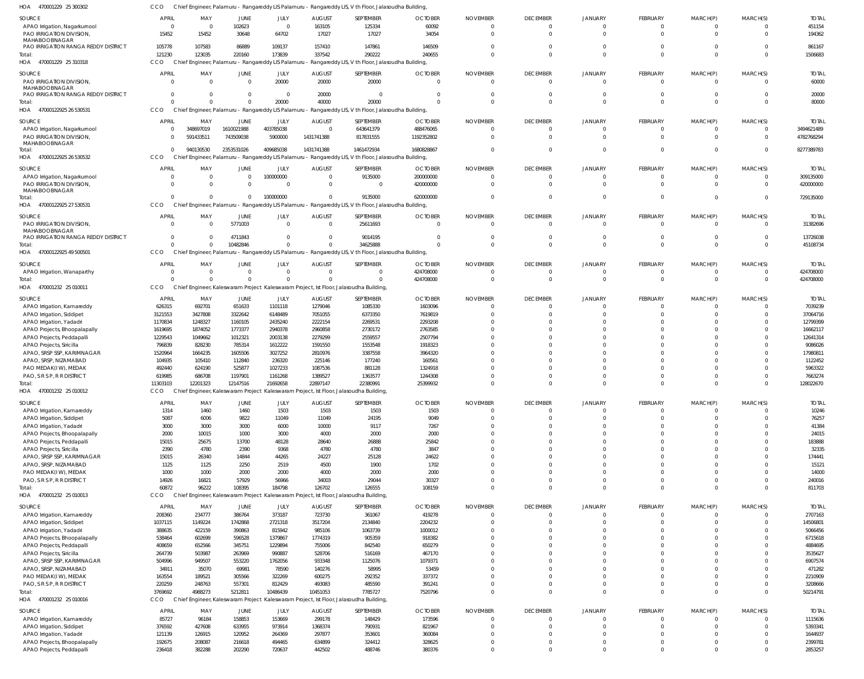| SOURCE                              | <b>APRIL</b>            | MAY            | JUNE       | JULY                                               | <b>AUGUST</b> | SEPTEMBER                                                                                             | <b>OCTOBER</b> | <b>NOVEMBER</b> | <b>DECEMBER</b> | JANUARY        | FEBRUARY        | MARCH(P)       | MARCH(S)       | <b>TOTAL</b> |
|-------------------------------------|-------------------------|----------------|------------|----------------------------------------------------|---------------|-------------------------------------------------------------------------------------------------------|----------------|-----------------|-----------------|----------------|-----------------|----------------|----------------|--------------|
| APAO Irrigation, Nagarkurnool       | $\overline{\mathbf{0}}$ | $\overline{0}$ | 102623     | $\mathbf 0$                                        | 163105        | 125334                                                                                                | 60092          | - 0             | $\overline{0}$  | $\overline{0}$ | $\overline{0}$  | $\overline{0}$ | $\Omega$       | 451154       |
| PAO IRRIGATION DIVISION,            | 15452                   | 15452          | 30648      | 64702                                              | 17027         | 17027                                                                                                 | 34054          |                 | $\Omega$        | $\Omega$       | $\Omega$        | $\Omega$       | $\Omega$       | 194362       |
| MAHABOOBNAGAR                       |                         |                |            |                                                    |               |                                                                                                       |                |                 |                 |                |                 |                |                |              |
| PAO IRRIGATION RANGA REDDY DISTRICT | 105778                  | 107583         | 86889      | 109137                                             | 157410        | 147861                                                                                                | 146509         |                 | $\Omega$        | $\Omega$       | $\Omega$        | $\Omega$       | $\Omega$       | 861167       |
| Total:                              | 121230                  | 123035         | 220160     | 173839                                             | 337542        | 290222                                                                                                | 240655         |                 | $\Omega$        | $\Omega$       | $\Omega$        | $\Omega$       | $\Omega$       | 1506683      |
| HOA 470001229 25 310318             | <b>CCO</b>              |                |            | Chief Engineer, Palamuru - Rangareddy LIS Palamuru |               | - Rangareddy LIS, V th Floor, Jalasoudha Building,                                                    |                |                 |                 |                |                 |                |                |              |
| SOURCE                              | <b>APRIL</b>            | MAY            | JUNE       | JULY                                               | <b>AUGUST</b> | SEPTEMBER                                                                                             | <b>OCTOBER</b> | <b>NOVEMBER</b> | <b>DECEMBER</b> | JANUARY        | FEBRUARY        | MARCH(P)       | MARCH(S)       | <b>TOTAL</b> |
| PAO IRRIGATION DIVISION,            | $\Omega$                | $\Omega$       | $\Omega$   | 20000                                              | 20000         | 20000                                                                                                 | $\Omega$       |                 | $\Omega$        | $\Omega$       | $\Omega$        | $\Omega$       | $\Omega$       | 60000        |
| MAHABOOBNAGAR                       |                         |                |            |                                                    |               |                                                                                                       |                |                 |                 |                |                 |                |                |              |
| PAO IRRIGATION RANGA REDDY DISTRICT | $\Omega$                |                | $\Omega$   | $\Omega$                                           | 20000         | $\Omega$                                                                                              |                |                 | $\Omega$        | $\Omega$       | $\Omega$        | $\Omega$       | $\Omega$       | 20000        |
| Total:                              | $\Omega$                |                | $\Omega$   | 20000                                              | 40000         | 20000                                                                                                 |                |                 | $\Omega$        | $\Omega$       | $\Omega$        | $\Omega$       | $\Omega$       | 80000        |
| HOA 47000122925 26 530531           | CCO                     |                |            |                                                    |               | Chief Engineer, Palamuru - Rangareddy LIS Palamuru - Rangareddy LIS, V th Floor, Jalasoudha Building, |                |                 |                 |                |                 |                |                |              |
| SOURCE                              | <b>APRIL</b>            | MAY            | JUNE       | JULY                                               | <b>AUGUST</b> | SEPTEMBER                                                                                             | <b>OCTOBER</b> | <b>NOVEMBER</b> | <b>DECEMBER</b> | JANUARY        | <b>FEBRUARY</b> | MARCH(P)       | MARCH(S)       | <b>TOTAL</b> |
| APAO Irrigation, Nagarkurnool       | $\overline{0}$          | 348697019      | 1610021988 | 403785038                                          | $\Omega$      | 643641379                                                                                             | 488476065      | - 0             | $\overline{0}$  | $\overline{0}$ | $\overline{0}$  | $\overline{0}$ | $\overline{0}$ | 3494621489   |
| PAO IRRIGATION DIVISION,            | $\Omega$                | 591433511      | 743509038  | 5900000                                            | 1431741388    | 817831555                                                                                             | 1192352802     |                 | $\Omega$        | $\Omega$       | $\Omega$        | $\Omega$       | $\Omega$       | 4782768294   |
| MAHABOOBNAGAR                       |                         |                |            |                                                    |               |                                                                                                       |                |                 |                 |                |                 |                |                |              |
| Total:                              | $\Omega$                | 940130530      | 2353531026 | 409685038                                          | 1431741388    | 1461472934                                                                                            | 1680828867     |                 | $\Omega$        | $\Omega$       | $\Omega$        | $\overline{0}$ | $\Omega$       | 8277389783   |
| HOA 47000122925 26 530532           | CCO                     |                |            |                                                    |               | Chief Engineer, Palamuru - Rangareddy LIS Palamuru - Rangareddy LIS, V th Floor, Jalasoudha Building, |                |                 |                 |                |                 |                |                |              |
| SOURCE                              | APRIL                   | MAY            | JUNE       | JULY                                               | <b>AUGUST</b> | SEPTEMBER                                                                                             | <b>OCTOBER</b> | <b>NOVEMBER</b> | <b>DECEMBER</b> | JANUARY        | FEBRUARY        | MARCH(P)       | MARCH(S)       | <b>TOTAI</b> |
| APAO Irrigation, Nagarkurnool       | $\Omega$                | $\Omega$       | $\Omega$   | 100000000                                          | $\Omega$      | 9135000                                                                                               | 200000000      |                 | $\Omega$        | $\Omega$       | $\Omega$        | 0              | $\Omega$       | 309135000    |
| PAO IRRIGATION DIVISION,            | $\Omega$                | $\Omega$       | $\Omega$   | $\Omega$                                           | $\Omega$      | $\Omega$                                                                                              | 420000000      |                 | $\Omega$        | $\Omega$       | $\Omega$        | $\Omega$       | $\Omega$       | 420000000    |
| MAHABOOBNAGAR                       |                         |                |            |                                                    |               |                                                                                                       |                |                 |                 |                |                 |                |                |              |
| Total:                              | $\Omega$                |                | $\Omega$   | 100000000                                          |               | 9135000                                                                                               | 620000000      |                 | $\Omega$        | $\Omega$       | $\Omega$        | $\Omega$       | $\Omega$       | 729135000    |
| HOA 47000122925 27 530531           | CCO                     |                |            |                                                    |               | Chief Engineer, Palamuru - Rangareddy LIS Palamuru - Rangareddy LIS, V th Floor, Jalasoudha Building, |                |                 |                 |                |                 |                |                |              |
| SOURCE                              | <b>APRIL</b>            | MAY            | JUNE       | JULY                                               | <b>AUGUST</b> | SEPTEMBER                                                                                             | <b>OCTOBER</b> | <b>NOVEMBER</b> | <b>DECEMBER</b> | JANUARY        | FEBRUARY        | MARCH(P)       | MARCH(S)       | <b>TOTAL</b> |
| PAO IRRIGATION DIVISION,            | $\Omega$                | $\Omega$       | 5771003    | $\mathbf 0$                                        | $\Omega$      | 25611693                                                                                              | $\Omega$       | - 0             | $\Omega$        | $\Omega$       | $\overline{0}$  | $\overline{0}$ | $\Omega$       | 31382696     |
| MAHABOOBNAGAR                       |                         |                |            |                                                    |               |                                                                                                       |                |                 |                 |                |                 |                |                |              |
| PAO IRRIGATION RANGA REDDY DISTRICT | $\Omega$                | $\Omega$       | 4711843    | $\Omega$                                           | $\Omega$      | 9014195                                                                                               |                |                 | $\Omega$        | $\Omega$       | $\mathbf 0$     | $\overline{0}$ | $\Omega$       | 13726038     |
| Total:                              | $\Omega$                | $\Omega$       | 10482846   | $\Omega$                                           | $\Omega$      | 34625888                                                                                              |                |                 | $\Omega$        | $\Omega$       | $\Omega$        | $\Omega$       | $\Omega$       | 45108734     |
| HOA 47000122925 49 500501           | CCO                     |                |            |                                                    |               | Chief Engineer, Palamuru - Rangareddy LIS Palamuru - Rangareddy LIS, V th Floor, Jalasoudha Building, |                |                 |                 |                |                 |                |                |              |
| SOURCE                              | APRIL                   | MAY            | JUNE       | JULY                                               | <b>AUGUST</b> | SEPTEMBER                                                                                             | <b>OCTOBER</b> | <b>NOVEMBER</b> | <b>DECEMBER</b> | JANUARY        | FEBRUARY        | MARCH(P)       | MARCH(S)       | <b>TOTAL</b> |
| APAO Irrigation, Wanaparthy         | $\Omega$                | $\Omega$       | $\Omega$   | $\Omega$                                           | $\Omega$      | $\Omega$                                                                                              | 424708000      |                 | $\Omega$        | $\Omega$       | $\Omega$        | $\Omega$       | $\Omega$       | 424708000    |
| Total:                              | $\Omega$                |                | $\Omega$   | $\Omega$                                           |               | $\Omega$                                                                                              | 424708000      |                 | $\Omega$        | $\Omega$       | $\Omega$        | $\overline{0}$ | $\Omega$       | 424708000    |
| HOA 470001232 25 010011             | CCO                     |                |            |                                                    |               | Chief Engineer, Kaleswaram Project Kaleswaram Project, Ist Floor, Jalasoudha Building,                |                |                 |                 |                |                 |                |                |              |
| SOURCE                              | APRIL                   | MAY            | JUNE       | JULY                                               | <b>AUGUST</b> | SEPTEMBER                                                                                             | <b>OCTOBER</b> | <b>NOVEMBER</b> | <b>DECEMBER</b> | JANUARY        | FEBRUARY        | MARCH(P)       | MARCH(S)       | <b>TOTAL</b> |
| APAO Irrigation, Kamareddy          | 626315                  | 692701         | 651633     | 1101118                                            | 1279046       | 1085330                                                                                               | 1603096        |                 | $\Omega$        | $\Omega$       | $\mathbf 0$     | C              | $\Omega$       | 7039239      |
| APAO Irrigation, Siddipet           | 3121553                 | 3427808        | 3322642    | 6148489                                            | 7051055       | 6373350                                                                                               | 7619819        |                 | $\Omega$        | $\Omega$       | $\Omega$        | $\Omega$       | $\Omega$       | 37064716     |
| APAO Irrigation, Yadadri            | 1170834                 | 1248327        | 1160105    | 2435240                                            | 2222154       | 2269531                                                                                               | 2293208        |                 | $\Omega$        | $\Omega$       | $\Omega$        | $\Omega$       |                | 12799399     |
| APAO Projects, Bhoopalapally        | 1619695                 | 1874052        | 1773377    | 2940378                                            | 2960858       | 2730172                                                                                               | 2763585        |                 |                 |                | $\Omega$        |                |                | 16662117     |
| APAO Projects, Peddapall            | 1229543                 | 1049662        | 1012321    | 2003138                                            | 2279299       | 2559557                                                                                               | 2507794        |                 |                 | $\Omega$       | $\Omega$        | $\Omega$       |                | 12641314     |
| APAO Projects, Siricilla            | 796839                  | 828230         | 785314     | 1612222                                            | 1591550       | 1553548                                                                                               | 1918323        |                 |                 | $\Omega$       | $\Omega$        | $\Omega$       |                | 9086026      |
| APAO, SRSP SSP, KARIMNAGAR          | 1520964                 | 1664235        | 1605506    | 3027252                                            | 2810976       | 3387558                                                                                               | 3964320        |                 |                 | $\Omega$       | $\Omega$        | $\Omega$       |                | 17980811     |
| APAO, SRSP, NIZAMABAD               | 104935                  | 105410         | 112840     | 236320                                             | 225146        | 177240                                                                                                | 160561         |                 |                 | $\Omega$       | $\Omega$        |                |                | 1122452      |
| PAO MEDAK(I W), MEDAK               | 492440                  | 624190         | 525877     | 1027233                                            | 1087536       | 881128                                                                                                | 1324918        |                 |                 | $\Omega$       | $\Omega$        | $\Omega$       |                | 5963322      |
| PAO, S R S P, R R DISTRICT          | 619985                  | 686708         | 1197901    | 1161268                                            | 1389527       | 1363577                                                                                               | 1244308        |                 |                 | $\Omega$       | $\Omega$        | $\Omega$       |                | 7663274      |
| Total:                              | 11303103                | 12201323       | 12147516   | 21692658                                           | 22897147      | 22380991                                                                                              | 25399932       |                 | $\Omega$        | $\Omega$       | $\Omega$        | $\Omega$       | $\Omega$       | 128022670    |
| HOA 470001232 25 010012             | <b>CCO</b>              |                |            |                                                    |               | Chief Engineer, Kaleswaram Project Kaleswaram Project, Ist Floor, Jalasoudha Building,                |                |                 |                 |                |                 |                |                |              |
| SOURCE                              | <b>APRIL</b>            | MAY            | JUNE       | JULY                                               | <b>AUGUST</b> | SEPTEMBER                                                                                             | <b>OCTOBER</b> | <b>NOVEMBER</b> | <b>DECEMBER</b> | JANUARY        | FEBRUARY        | MARCH(P)       | MARCH(S)       | <b>TOTAL</b> |
| APAO Irrigation, Kamareddy          | 1314                    | 1460           | 1460       | 1503                                               | 1503          | 1503                                                                                                  | 1503           |                 | $\Omega$        | $\Omega$       | $\Omega$        | $\Omega$       | $\Omega$       | 10246        |
| APAO Irrigation, Siddipet           | 5087                    | 6006           | 9822       | 11049                                              | 11049         | 24195                                                                                                 | 9049           |                 | $\Omega$        | $\Omega$       | $\Omega$        | $\Omega$       | $\Omega$       | 76257        |
| APAO Irrigation, Yadadri            | 3000                    | 3000           | 3000       | 6000                                               | 10000         | 9117                                                                                                  | 7267           |                 | $\Omega$        | $\Omega$       | $\Omega$        | $\Omega$       | $\Omega$       | 41384        |
| APAO Projects, Bhoopalapally        | 2000                    | 10015          | 1000       | 3000                                               | 4000          | 2000                                                                                                  | 2000           |                 | $\Omega$        | $\Omega$       | $\Omega$        | $\Omega$       | $\Omega$       | 24015        |
| APAO Projects, Peddapalli           | 15015                   | 25675          | 13700      | 48128                                              | 28640         | 26888                                                                                                 | 25842          |                 | $\Omega$        | $\Omega$       | $\Omega$        | $\Omega$       | $\Omega$       | 183888       |
| APAO Projects, Siricilla            | 2390                    | 4780           | 2390       | 9368                                               | 4780          | 4780                                                                                                  | 3847           |                 |                 | $\Omega$       | $\Omega$        | $\Omega$       | $\Omega$       | 32335        |
| APAO, SRSP SSP, KARIMNAGAR          | 15015                   | 26340          | 14844      | 44265                                              | 24227         | 25128                                                                                                 | 24622          |                 | $\Omega$        | $\Omega$       | $\Omega$        | $\Omega$       | $\Omega$       | 174441       |
| APAO, SRSP, NIZAMABAD               | 1125                    | 1125           | 2250       | 2519                                               | 4500          | 1900                                                                                                  | 1702           |                 |                 | $\Omega$       | $\Omega$        | $\Omega$       | $\Omega$       | 15121        |
| PAO MEDAK(IW), MEDAK                | 1000                    | 1000           | 2000       | 2000                                               | 4000          | 2000                                                                                                  | 2000           |                 |                 | $\Omega$       | $\Omega$        | $\Omega$       | $\Omega$       | 14000        |
| PAO, S R S P, R R DISTRICT          | 14926                   | 16821          | 57929      | 56966                                              | 34003         | 29044                                                                                                 | 30327          |                 | $\Omega$        | $\overline{0}$ | $\Omega$        | $\mathbf 0$    | $\Omega$       | 240016       |
| Total:                              | 60872                   | 96222          | 108395     | 184798                                             | 126702        | 126555                                                                                                | 108159         |                 | $\Omega$        | $\Omega$       | $\Omega$        | $\Omega$       | $\Omega$       | 811703       |
| HOA 470001232 25 010013             | <b>CCO</b>              |                |            |                                                    |               | Chief Engineer, Kaleswaram Project Kaleswaram Project, Ist Floor, Jalasoudha Building,                |                |                 |                 |                |                 |                |                |              |
| SOURCE                              | APRIL                   | MAY            | JUNE       | JULY                                               | <b>AUGUST</b> | SEPTEMBER                                                                                             | <b>OCTOBER</b> | <b>NOVEMBER</b> | <b>DECEMBER</b> | JANUARY        | FEBRUARY        | MARCH(P)       | MARCH(S)       | <b>TOTAL</b> |
| APAO Irrigation, Kamareddy          | 208360                  | 234777         | 386764     | 373187                                             | 723730        | 361067                                                                                                | 419278         | $\sqrt{ }$      | $\overline{0}$  | $\overline{0}$ | $\overline{0}$  | $\mathbf 0$    | $\Omega$       | 2707163      |
| APAO Irrigation, Siddipet           | 1037115                 | 1149224        | 1742868    | 2721318                                            | 3517204       | 2134840                                                                                               | 2204232        |                 | $\Omega$        | $\Omega$       | $\mathbf 0$     | $\mathbf 0$    | $\Omega$       | 14506801     |
| APAO Irrigation, Yadadri            | 388635                  | 422159         | 390863     | 815942                                             | 985106        | 1063739                                                                                               | 1000012        |                 | $\Omega$        | $\overline{0}$ | $\Omega$        | $\Omega$       | $\Omega$       | 5066456      |
| APAO Projects, Bhoopalapally        | 538464                  | 602699         | 596528     | 1379867                                            | 1774319       | 905359                                                                                                | 918382         |                 | $\Omega$        | $\overline{0}$ | $\Omega$        | $\mathbf 0$    | $\Omega$       | 6715618      |
| APAO Projects, Peddapalli           | 408659                  | 652566         | 345751     | 1229894                                            | 755006        | 842540                                                                                                | 650279         |                 | $\Omega$        | $\overline{0}$ | $\Omega$        | $\Omega$       | $\Omega$       | 4884695      |
| APAO Projects, Siricilla            | 264739                  | 503987         | 263969     | 990887                                             | 528706        | 516169                                                                                                | 467170         |                 | $\Omega$        | $\Omega$       | $\Omega$        | $\Omega$       | $\Omega$       | 3535627      |
| APAO, SRSP SSP, KARIMNAGAR          | 504996                  | 949507         | 553220     | 1762056                                            | 933348        | 1125076                                                                                               | 1079371        |                 | $\Omega$        | $\Omega$       | $\Omega$        | $\Omega$       | $\Omega$       | 6907574      |
| APAO, SRSP, NIZAMABAD               | 34911                   | 35070          | 69981      | 78590                                              | 140276        | 58995                                                                                                 | 53459          |                 | $\Omega$        | $\Omega$       | $\Omega$        | $\Omega$       | $\Omega$       | 471282       |
| PAO MEDAK(IW), MEDAK                | 163554                  | 189521         | 305566     | 322269                                             | 600275        | 292352                                                                                                | 337372         |                 | $\Omega$        | $\overline{0}$ | $\Omega$        | $\mathbf{0}$   | $\Omega$       | 2210909      |
| PAO, S R S P, R R DISTRICT          | 220259                  | 248763         | 557301     | 812429                                             | 493083        | 485590                                                                                                | 391241         |                 | $\Omega$        | $\overline{0}$ | $\mathbf 0$     | $\mathbf 0$    | $\Omega$       | 3208666      |
| Total:                              | 3769692                 | 4988273        | 5212811    | 10486439                                           | 10451053      | 7785727                                                                                               | 7520796        |                 | $\Omega$        | $\Omega$       | $\mathbf 0$     | $\mathbf 0$    | $\Omega$       | 50214791     |
| HOA 470001232 25 010016             | CCO                     |                |            |                                                    |               | Chief Engineer, Kaleswaram Project Kaleswaram Project, Ist Floor, Jalasoudha Building,                |                |                 |                 |                |                 |                |                |              |
| SOURCE                              | <b>APRIL</b>            | MAY            | JUNE       | JULY                                               | <b>AUGUST</b> | SEPTEMBER                                                                                             | <b>OCTOBER</b> | <b>NOVEMBER</b> | <b>DECEMBER</b> | JANUARY        | FEBRUARY        | MARCH(P)       | MARCH(S)       | <b>TOTAL</b> |
| APAO Irrigation, Kamareddy          | 85727                   | 96184          | 158853     | 153669                                             | 299178        | 148429                                                                                                | 173596         |                 | $\Omega$        | $\Omega$       | $\mathbf 0$     | $\Omega$       | $\Omega$       | 1115636      |
| APAO Irrigation, Siddipet           | 376592                  | 427608         | 633955     | 973914                                             | 1368374       | 790931                                                                                                | 821967         |                 | $\Omega$        | $\Omega$       | $\Omega$        | $\Omega$       | $\Omega$       | 5393341      |
| APAO Irrigation, Yadadri            | 121139                  | 126915         | 120952     | 264369                                             | 297877        | 353601                                                                                                | 360084         |                 | $\Omega$        | $\Omega$       | $\Omega$        | $\Omega$       | $\Omega$       | 1644937      |
| APAO Projects, Bhoopalapally        | 192675                  | 208087         | 216618     | 494465                                             | 634899        | 324412                                                                                                | 328625         |                 | $\mathbf{0}$    | $\overline{0}$ | $\mathbf 0$     | $\mathbf{0}$   | $\Omega$       | 2399781      |
| APAO Projects, Peddapalli           | 236418                  | 382288         | 202290     | 720637                                             | 442502        | 488746                                                                                                | 380376         |                 | $\Omega$        | $\overline{0}$ | $\Omega$        | $\Omega$       | $\Omega$       | 2853257      |

CCO Chief Engineer, Palamuru - Rangareddy LIS Palamuru - Rangareddy LIS, V th Floor, Jalasoudha Building,

470001229 25 300302 HOA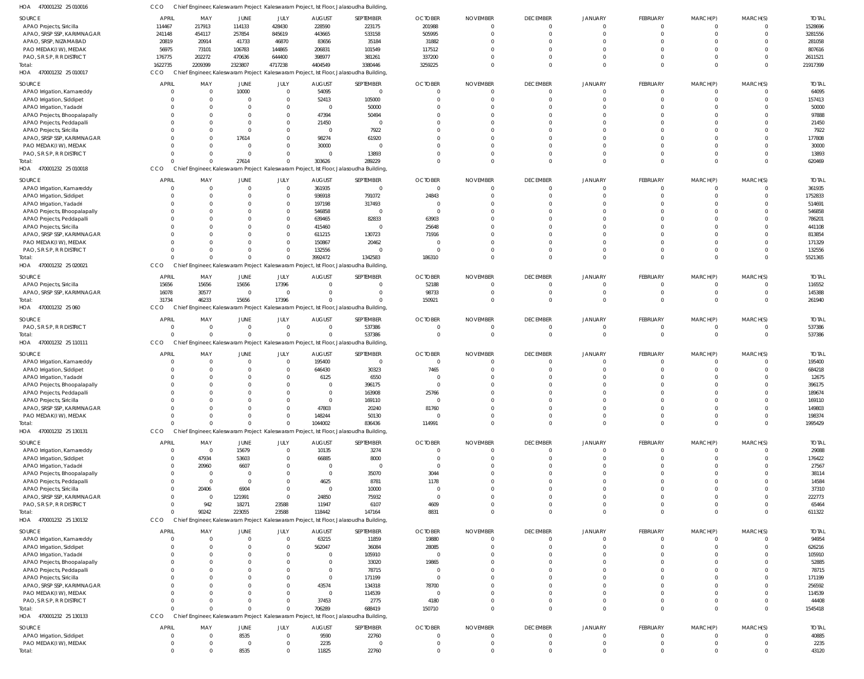| HOA<br>470001232 25 010016   | CCO            |                |                         |                  | Chief Engineer, Kaleswaram Project Kaleswaram Project, Ist Floor, Jalasoudha Building, |                |                |                 |                 |                |                               |                                |                      |              |
|------------------------------|----------------|----------------|-------------------------|------------------|----------------------------------------------------------------------------------------|----------------|----------------|-----------------|-----------------|----------------|-------------------------------|--------------------------------|----------------------|--------------|
| SOURCE                       | APRIL          | MAY            | JUNE                    | JULY             | <b>AUGUST</b>                                                                          | SEPTEMBER      | <b>OCTOBER</b> | <b>NOVEMBER</b> | <b>DECEMBER</b> | JANUARY        | FEBRUARY                      | MARCH(P)                       | MARCH(S)             | <b>TOTAL</b> |
| APAO Projects, Siricilla     | 114467         | 217913         | 114133                  | 428430           | 228590                                                                                 | 223175         | 201988         | - 0             | $\mathbf 0$     | $\Omega$       | $\mathbf 0$                   | $^{\circ}$                     | $\overline{0}$       | 1528696      |
| APAO, SRSP SSP, KARIMNAGAR   | 241148         | 454117         | 257854                  | 845619           | 443665                                                                                 | 533158         | 505995         |                 | $\mathbf 0$     | $\Omega$       | $\mathbf 0$                   | $\mathbf 0$                    | $\overline{0}$       | 3281556      |
| APAO, SRSP, NIZAMABAD        | 20819          | 20914          | 41733                   | 46870            | 83656                                                                                  | 35184          | 31882          |                 |                 |                | $\Omega$                      | $\Omega$                       | $\Omega$             | 281058       |
| PAO MEDAK(IW), MEDAK         | 56975          | 73101          | 106783                  | 144865           | 206831                                                                                 | 101549         | 117512         |                 |                 |                | $\Omega$                      | $\Omega$                       | $\Omega$             | 807616       |
| PAO, S R S P, R R DISTRICT   | 176775         | 202272         | 470636                  | 644400           | 398977                                                                                 | 381261         | 337200         |                 |                 |                | $\mathbf 0$                   | $\mathbf 0$                    | $\overline{0}$       | 2611521      |
| Total:                       | 1622735        | 2209399        | 2323807                 | 4717238          | 4404549                                                                                | 3380446        | 3259225        |                 | $\Omega$        | $\Omega$       | $\mathbf 0$                   | $\Omega$                       | $\Omega$             | 21917399     |
| HOA 470001232 25 010017      | <b>CCO</b>     |                |                         |                  | Chief Engineer, Kaleswaram Project Kaleswaram Project, Ist Floor, Jalasoudha Building  |                |                |                 |                 |                |                               |                                |                      |              |
|                              |                |                |                         |                  |                                                                                        |                |                |                 |                 |                |                               |                                |                      |              |
| SOURCE                       | <b>APRIL</b>   | MAY            | JUNE                    | JULY             | <b>AUGUST</b>                                                                          | SEPTEMBER      | <b>OCTOBER</b> | <b>NOVEMBER</b> | <b>DECEMBER</b> | JANUARY        | FEBRUARY                      | MARCH(P)                       | MARCH(S)             | <b>TOTAL</b> |
| APAO Irrigation, Kamareddy   | $\overline{0}$ |                | 10000                   | $\mathbf 0$      | 54095                                                                                  | $\mathbf 0$    | - 0            |                 | $\mathbf 0$     | $\mathbf{0}$   | $\overline{0}$                | $\overline{0}$                 | $\overline{0}$       | 64095        |
| APAO Irrigation, Siddipet    | C              |                | $\Omega$                | $\mathbf 0$      | 52413                                                                                  | 105000         |                |                 | $\Omega$        |                | $\mathbf{0}$                  | $\mathbf 0$                    | $\overline{0}$       | 157413       |
| APAO Irrigation, Yadadri     | C              |                |                         | $\Omega$         | $\Omega$                                                                               | 50000          |                |                 | $\Omega$        |                | $\mathbf 0$                   | $\Omega$                       | $\Omega$             | 50000        |
| APAO Projects, Bhoopalapally | $\Omega$       |                |                         | 0                | 47394                                                                                  | 50494          |                |                 |                 |                | $\mathbf 0$                   | $\Omega$                       | $\Omega$             | 97888        |
| APAO Projects, Peddapalli    | C              |                |                         | 0                | 21450                                                                                  | $\overline{0}$ |                |                 |                 |                | $\mathbf 0$                   | $\Omega$                       | $\Omega$             | 21450        |
| APAO Projects, Siricilla     | $\Omega$       |                | $\Omega$                | $\Omega$         | $\Omega$                                                                               | 7922           |                |                 |                 |                | $\mathbf 0$                   | $\Omega$                       | $\Omega$             | 7922         |
| APAO, SRSP SSP, KARIMNAGAR   | C              |                | 17614                   | $\Omega$         | 98274                                                                                  | 61920          |                |                 |                 |                | $\Omega$                      | $\Omega$                       | $\Omega$             | 177808       |
| PAO MEDAK(IW), MEDAK         | $\Omega$       |                | $\Omega$                | 0                | 30000                                                                                  | $\overline{0}$ |                |                 | U               |                | $\mathbf 0$                   | $\Omega$                       | $\Omega$             | 30000        |
| PAO, S R S P, R R DISTRICT   | C              |                | $\Omega$                | 0                |                                                                                        | 13893          |                |                 |                 | $\Omega$       | $\mathbf 0$                   | $\mathbf 0$                    | $\Omega$             | 13893        |
| Total:                       | $\Omega$       |                | 27614                   | $\Omega$         | 303626                                                                                 | 289229         |                |                 | $\Omega$        | $\Omega$       | $\overline{0}$                | $\overline{0}$                 | $\Omega$             | 620469       |
| HOA 470001232 25 010018      | CCO            |                |                         |                  | Chief Engineer, Kaleswaram Project Kaleswaram Project, Ist Floor, Jalasoudha Building  |                |                |                 |                 |                |                               |                                |                      |              |
|                              |                |                |                         |                  |                                                                                        |                |                |                 |                 |                |                               |                                |                      |              |
| SOURCE                       | <b>APRIL</b>   | MAY            | JUNE                    | JULY             | <b>AUGUST</b>                                                                          | SEPTEMBER      | <b>OCTOBER</b> | <b>NOVEMBER</b> | <b>DECEMBER</b> | JANUARY        | FEBRUARY                      | MARCH(P)                       | MARCH(S)             | <b>TOTAL</b> |
| APAO Irrigation, Kamareddy   | $\Omega$       | $\Omega$       | $\Omega$                | $\mathbf 0$      | 361935                                                                                 | $\overline{0}$ | $\Omega$       | $\cap$          | $\Omega$        |                | 0                             | $\Omega$                       | $\overline{0}$       | 361935       |
| APAO Irrigation, Siddipet    | C              |                |                         | 0                | 936918                                                                                 | 791072         | 24843          |                 | $\Omega$        |                | $\mathbf 0$                   | $\mathbf{0}$                   | $\overline{0}$       | 1752833      |
| APAO Irrigation, Yadadri     | C              |                |                         | 0                | 197198                                                                                 | 317493         | - 0            |                 |                 |                | $\Omega$                      | $\Omega$                       | $\Omega$             | 514691       |
| APAO Projects, Bhoopalapally | C              |                |                         | 0                | 546858                                                                                 | $\overline{0}$ | - 0            |                 |                 |                | $\Omega$                      | $\Omega$                       | $\Omega$             | 546858       |
| APAO Projects, Peddapalli    | $\Omega$       |                |                         | 0                | 639465                                                                                 | 82833          | 63903          |                 |                 |                | $\Omega$                      | $\Omega$                       | $\Omega$             | 786201       |
| APAO Projects, Siricilla     | C              |                |                         | $\Omega$         | 415460                                                                                 | $\overline{0}$ | 25648          |                 |                 |                | $\Omega$                      | $\Omega$                       | $\Omega$             | 441108       |
| APAO, SRSP SSP, KARIMNAGAR   | $\Omega$       |                |                         | 0                | 611215                                                                                 | 130723         | 71916          |                 |                 |                | $\Omega$                      | $\Omega$                       | $\Omega$             | 813854       |
| PAO MEDAK(IW), MEDAK         | C              |                |                         | $\Omega$         | 150867                                                                                 | 20462          | - 0            |                 |                 |                | $\Omega$                      | $\Omega$                       | $\Omega$             | 171329       |
| PAO, S R S P, R R DISTRICT   | $\Omega$       |                | $\Omega$                | $\Omega$         | 132556                                                                                 | $\Omega$       | - 0            |                 | $\Omega$        | $\Omega$       | $\mathbf 0$                   | $\mathbf 0$                    | $\overline{0}$       | 132556       |
| Total:                       | $\sqrt{2}$     |                | $\Omega$                | $\Omega$         | 3992472                                                                                | 1342583        | 186310         |                 | $\Omega$        | $\Omega$       | $\mathbf 0$                   | $\Omega$                       | $\Omega$             | 5521365      |
| HOA 470001232 25 020021      | CCO            |                |                         |                  | Chief Engineer, Kaleswaram Project Kaleswaram Project, Ist Floor, Jalasoudha Building  |                |                |                 |                 |                |                               |                                |                      |              |
| SOURCE                       | <b>APRIL</b>   | MAY            | JUNE                    | JULY             | <b>AUGUST</b>                                                                          | SEPTEMBER      | <b>OCTOBER</b> | <b>NOVEMBER</b> | <b>DECEMBER</b> | JANUARY        | FEBRUARY                      | MARCH(P)                       | MARCH(S)             | <b>TOTAL</b> |
|                              |                |                |                         | 17396            |                                                                                        | $\mathbf 0$    |                |                 | $\mathbf 0$     | 0              | $\overline{0}$                |                                | $\overline{0}$       | 116552       |
| APAO Projects, Siricilla     | 15656          | 15656          | 15656<br>$\overline{0}$ | $\mathbf 0$      |                                                                                        | $\mathbf 0$    | 52188          |                 | $\Omega$        | $\Omega$       | $\overline{0}$                | $\mathbf{0}$<br>$\overline{0}$ | $\Omega$             |              |
| APAO, SRSP SSP, KARIMNAGAR   | 16078          | 30577          |                         |                  |                                                                                        | $\Omega$       | 98733          |                 | $\Omega$        | $\Omega$       |                               |                                | $\Omega$             | 145388       |
| Total:                       | 31734          | 46233          | 15656                   | 17396            |                                                                                        |                | 150921         |                 |                 |                | $\overline{0}$                | $\overline{0}$                 |                      | 261940       |
| HOA 470001232 25 060         | CCO            |                |                         |                  | Chief Engineer, Kaleswaram Project Kaleswaram Project, Ist Floor, Jalasoudha Building  |                |                |                 |                 |                |                               |                                |                      |              |
| SOURCE                       | <b>APRIL</b>   | MAY            | JUNE                    | JULY             | <b>AUGUST</b>                                                                          | SEPTEMBER      | <b>OCTOBER</b> | <b>NOVEMBER</b> | <b>DECEMBER</b> | <b>JANUARY</b> | FEBRUARY                      | MARCH(P)                       | MARCH(S)             | <b>TOTAL</b> |
| PAO, S R S P, R R DISTRICT   | $\overline{0}$ | $\Omega$       | $\overline{0}$          | $\mathbf 0$      | $\Omega$                                                                               | 537386         | - 0            |                 | $\mathbf 0$     |                | $^{\circ}$                    | $\mathbf{0}$                   | $\overline{0}$       | 537386       |
| Total:                       | $\sqrt{2}$     |                | $\Omega$                | $\Omega$         |                                                                                        | 537386         | $\Omega$       | $\Omega$        | $\Omega$        | $\Omega$       | $\mathbf{0}$                  | $\mathbf{0}$                   | $\overline{0}$       | 537386       |
| HOA 470001232 25 110111      | CCO            |                |                         |                  | Chief Engineer, Kaleswaram Project Kaleswaram Project, Ist Floor, Jalasoudha Building  |                |                |                 |                 |                |                               |                                |                      |              |
| SOURCE                       | <b>APRIL</b>   | MAY            |                         | JULY             | <b>AUGUST</b>                                                                          | SEPTEMBER      | <b>OCTOBER</b> | <b>NOVEMBER</b> | <b>DECEMBER</b> | JANUARY        | FEBRUARY                      |                                |                      | <b>TOTAL</b> |
|                              | C              |                | JUNE<br>$\Omega$        | $\mathbf 0$      |                                                                                        | $\overline{0}$ | - 0            |                 | $\Omega$        |                | $\mathbf 0$                   | MARCH(P)                       | MARCH(S)<br>$\Omega$ |              |
| APAO Irrigation, Kamareddy   |                |                |                         |                  | 195400                                                                                 |                |                |                 | $\Omega$        |                |                               | $\mathbf{0}$                   | $\Omega$             | 195400       |
| APAO Irrigation, Siddipet    | C<br>C         |                |                         | $\mathbf 0$<br>0 | 646430                                                                                 | 30323          | 7465           |                 | <sup>0</sup>    |                | $\overline{0}$<br>$\mathbf 0$ | $\mathbf 0$<br>$\Omega$        | $\Omega$             | 684218       |
| APAO Irrigation, Yadadri     |                |                | 0                       |                  | 6125                                                                                   | 6550           |                |                 | $\Omega$        | $\Omega$       |                               | $\Omega$                       | $\Omega$             | 12675        |
| APAO Projects, Bhoopalapally | $\Omega$       |                | $\Omega$                | $\Omega$         | $\Omega$                                                                               | 396175         |                |                 |                 |                | $\mathbf 0$                   |                                |                      | 396175       |
| APAO Projects, Peddapalli    |                |                |                         |                  |                                                                                        | 163908         | 25766          |                 |                 |                | 0                             | 0                              | $\Omega$             | 189674       |
| APAO Projects, Siricilla     | C              |                |                         | <sup>0</sup>     | $\cap$                                                                                 | 169110         | $\Omega$       |                 |                 |                | $\mathbf 0$                   | $\mathbf 0$                    | $\Omega$             | 169110       |
| APAO, SRSP SSP, KARIMNAGAR   | $\Omega$       |                |                         | 0                | 47803                                                                                  | 20240          | 81760          |                 | $\Omega$        | $\Omega$       | $\overline{0}$                | $\mathbf 0$                    | $\Omega$             | 149803       |
| PAO MEDAK(IW), MEDAK         | $\Omega$       |                |                         | $\Omega$         | 148244                                                                                 | 50130          |                |                 | $\Omega$        | $\Omega$       | $\overline{0}$                | $\overline{0}$                 | $\Omega$             | 198374       |
| Total:                       | $\Omega$       |                | $\Omega$                | $\Omega$         | 1044002                                                                                | 836436         | 114991         | $\cap$          | $\Omega$        | $\Omega$       | $\overline{0}$                | $\overline{0}$                 | $\Omega$             | 1995429      |
| HOA 470001232 25 130131      | CCO            |                |                         |                  | Chief Engineer, Kaleswaram Project Kaleswaram Project, Ist Floor, Jalasoudha Building  |                |                |                 |                 |                |                               |                                |                      |              |
| SOURCE                       | <b>APRIL</b>   | MAY            | JUNE                    | JULY             | <b>AUGUST</b>                                                                          | SEPTEMBER      | <b>OCTOBER</b> | <b>NOVEMBER</b> | <b>DECEMBER</b> | <b>JANUARY</b> | FEBRUARY                      | MARCH(P)                       | MARCH(S)             | <b>TOTAL</b> |
| APAO Irrigation, Kamareddy   | $\overline{0}$ | $\overline{0}$ | 15679                   | $\mathbf 0$      | 10135                                                                                  | 3274           | $\Omega$       | $\cap$          | 0               | 0              | $^{\circ}$                    | $^{\circ}$                     | $\overline{0}$       | 29088        |
| APAO Irrigation, Siddipet    | $\mathbf{0}$   | 47934          | 53603                   | $\Omega$         | 66885                                                                                  | 8000           | $\Omega$       | $\Omega$        | $\Omega$        |                | $\overline{0}$                | $\mathbf 0$                    | $\overline{0}$       | 176422       |
| APAO Irrigation, Yadadri     | $\overline{0}$ | 20960          | 6607                    | $\Omega$         | $\Omega$                                                                               | $\overline{0}$ | $\Omega$       |                 | $\Omega$        | 0              | $\Omega$                      | $\Omega$                       | $\Omega$             | 27567        |
| APAO Projects, Bhoopalapally | $\overline{0}$ | $\Omega$       | $\Omega$                | $\Omega$         | $\Omega$                                                                               | 35070          | 3044           |                 |                 |                | $\mathbf 0$                   | $\mathbf 0$                    | $\Omega$             | 38114        |
| APAO Projects, Peddapalli    | $\overline{0}$ | $\Omega$       | $\Omega$                | $\Omega$         | 4625                                                                                   | 8781           | 1178           |                 |                 |                | $\Omega$                      | $\Omega$                       | $\Omega$             | 14584        |
| APAO Projects, Siricilla     | $\overline{0}$ | 20406          | 6904                    | $\mathbf 0$      | $\Omega$                                                                               | 10000          | - 0            |                 |                 |                | $\mathbf 0$                   | $\Omega$                       | $\Omega$             | 37310        |
| APAO, SRSP SSP, KARIMNAGAR   | $\overline{0}$ | - 0            | 121991                  | $\mathbf 0$      | 24850                                                                                  | 75932          | $\overline{0}$ |                 |                 | $\Omega$       | $\Omega$                      | $\Omega$                       | $\Omega$             | 222773       |
| PAO, S R S P, R R DISTRICT   | $\overline{0}$ | 942            | 18271                   | 23588            | 11947                                                                                  | 6107           | 4609           | $\Omega$        | $\Omega$        | $\Omega$       | $\mathbf 0$                   | $\mathbf 0$                    | $\Omega$             | 65464        |
| Total:                       | $\Omega$       | 90242          | 223055                  | 23588            | 118442                                                                                 | 147164         | 8831           | $\cap$          | $\Omega$        | $\Omega$       | $\mathbf 0$                   | $\mathbf 0$                    | $\Omega$             | 611322       |
| HOA 470001232 25 130132      | CCO            |                |                         |                  | Chief Engineer, Kaleswaram Project Kaleswaram Project, Ist Floor, Jalasoudha Building, |                |                |                 |                 |                |                               |                                |                      |              |
|                              |                |                |                         |                  |                                                                                        |                |                |                 |                 |                |                               |                                |                      |              |
| SOURCE                       | <b>APRIL</b>   | MAY            | JUNE                    | JULY             | <b>AUGUST</b>                                                                          | SEPTEMBER      | <b>OCTOBER</b> | <b>NOVEMBER</b> | <b>DECEMBER</b> | <b>JANUARY</b> | FEBRUARY                      | MARCH(P)                       | MARCH(S)             | <b>TOTAL</b> |
| APAO Irrigation, Kamareddy   | $\overline{0}$ |                | $\mathbf{0}$            | $\mathbf 0$      | 63215                                                                                  | 11859          | 19880          | $\Omega$        | $\mathbf 0$     | $\mathbf 0$    | $\mathbf{0}$                  | $\overline{0}$                 | $\overline{0}$       | 94954        |
| APAO Irrigation, Siddipet    | $\Omega$       |                | <sup>0</sup>            | 0                | 562047                                                                                 | 36084          | 28085          |                 | $\Omega$        |                | $\mathbf{0}$                  | $\overline{0}$                 | $\Omega$             | 626216       |
| APAO Irrigation, Yadadri     | $\Omega$       |                |                         | $\Omega$         |                                                                                        | 105910         | $\Omega$       |                 | $\Omega$        | $\Omega$       | $\mathbf 0$                   | $\mathbf 0$                    | $\Omega$             | 105910       |
| APAO Projects, Bhoopalapally | $\Omega$       |                |                         | $\Omega$         |                                                                                        | 33020          | 19865          |                 | $\Omega$        | $\Omega$       | $\mathbf 0$                   | $\mathbf 0$                    | $\Omega$             | 52885        |
| APAO Projects, Peddapalli    | $\Omega$       |                |                         | 0                |                                                                                        | 78715          | $\Omega$       |                 | $\Omega$        | $\Omega$       | $\mathbf 0$                   | $\mathbf 0$                    | $\Omega$             | 78715        |
| APAO Projects, Siricilla     | $\Omega$       |                |                         | $\Omega$         | $\Omega$                                                                               | 171199         | $\Omega$       |                 |                 |                | $\mathbf 0$                   | $\mathbf 0$                    | $\Omega$             | 171199       |
| APAO, SRSP SSP, KARIMNAGAR   | $\Omega$       |                |                         | $\Omega$         | 43574                                                                                  | 134318         | 78700          |                 | $\Omega$        | $\Omega$       | $\Omega$                      | $\Omega$                       | $\Omega$             | 256592       |
| PAO MEDAK(IW), MEDAK         | $\Omega$       |                |                         | 0                | $\Omega$                                                                               | 114539         | $\Omega$       |                 | $\Omega$        | $\Omega$       | $\mathbf 0$                   | $\mathbf 0$                    | $\Omega$             | 114539       |
| PAO, S R S P, R R DISTRICT   | $\Omega$       |                | <sup>0</sup>            | $\Omega$         | 37453                                                                                  | 2775           | 4180           |                 | $\Omega$        | $\Omega$       | $\overline{0}$                | $\mathbf 0$                    | $\Omega$             | 44408        |
| Total:                       | $\Omega$       |                | $\Omega$                |                  | 706289                                                                                 | 688419         | 150710         |                 | $\Omega$        | $\Omega$       | $\overline{0}$                | $\overline{0}$                 | $\Omega$             | 1545418      |
| HOA 470001232 25 130133      | CCO            |                |                         |                  | Chief Engineer, Kaleswaram Project Kaleswaram Project, Ist Floor, Jalasoudha Building  |                |                |                 |                 |                |                               |                                |                      |              |
| SOURCE                       | <b>APRIL</b>   | MAY            | JUNE                    | JULY             | <b>AUGUST</b>                                                                          | SEPTEMBER      | <b>OCTOBER</b> | <b>NOVEMBER</b> | <b>DECEMBER</b> | <b>JANUARY</b> | FEBRUARY                      | MARCH(P)                       | MARCH(S)             | <b>TOTAL</b> |
| APAO Irrigation, Siddipet    | $\overline{0}$ | - 0            | 8535                    | $\mathbf 0$      | 9590                                                                                   | 22760          | - 0            | $\cap$          | 0               | 0              | $\mathbf 0$                   | $\mathbf{0}$                   | $\Omega$             | 40885        |
| PAO MEDAK(IW), MEDAK         | $\overline{0}$ | - 0            | - 0                     | 0                | 2235                                                                                   | $\overline{0}$ | $\Omega$       | $\Omega$        | $\mathbf 0$     | $\mathbf 0$    | $\mathbf{0}$                  | $\overline{0}$                 | $\overline{0}$       | 2235         |
| Total:                       | $\Omega$       | $\Omega$       | 8535                    | $\mathbf 0$      | 11825                                                                                  | 22760          | $\Omega$       | $\cap$          | $\mathbf 0$     | $\mathbf 0$    | $\mathbf 0$                   | $\overline{0}$                 | $\mathbf{0}$         | 43120        |
|                              |                |                |                         |                  |                                                                                        |                |                |                 |                 |                |                               |                                |                      |              |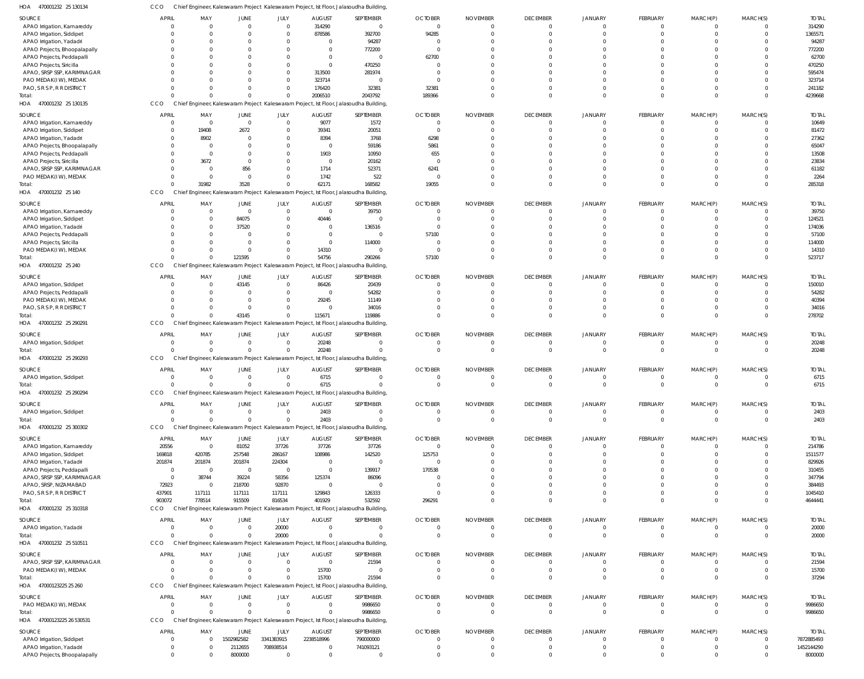| APAO Irrigation, Kamareddy   |              |                |                | 0              | 314290         | 0                                                                                      | $\Omega$       |                 |                         |                |                 |             |              |
|------------------------------|--------------|----------------|----------------|----------------|----------------|----------------------------------------------------------------------------------------|----------------|-----------------|-------------------------|----------------|-----------------|-------------|--------------|
| APAO Irrigation, Siddipet    | $\Omega$     | $\Omega$       | $\Omega$       | $\mathbf 0$    | 878586         | 392700                                                                                 | 94285          | $\Omega$        |                         | $\Omega$       | $\Omega$        |             |              |
| APAO Irrigation, Yadadri     | $\Omega$     | $\Omega$       | $\Omega$       | $\mathbf{0}$   | $\mathbf{0}$   | 94287                                                                                  | $\Omega$       |                 |                         | $\Omega$       | $\Omega$        |             |              |
| APAO Projects, Bhoopalapally | $\Omega$     | $\Omega$       | $\Omega$       | $\Omega$       | $\mathbf 0$    | 772200                                                                                 | $\Omega$       |                 |                         | $\Omega$       |                 |             |              |
| APAO Projects, Peddapalli    | $\Omega$     | $\Omega$       | $\Omega$       | $\Omega$       | $\mathbf{0}$   | $\mathbf 0$                                                                            | 62700          |                 |                         |                |                 |             |              |
| APAO Projects, Siricilla     |              |                |                | $\Omega$       | $\Omega$       | 470250                                                                                 | $\Omega$       |                 |                         |                |                 |             |              |
| APAO, SRSP SSP, KARIMNAGAR   |              | -0             | - 0            | $\mathbf 0$    | 313500         | 281974                                                                                 |                |                 |                         |                |                 |             |              |
|                              |              |                |                |                |                |                                                                                        |                |                 |                         |                |                 |             |              |
| PAO MEDAK(IW), MEDAK         |              |                | $\Omega$       | 0              | 323714         | 0                                                                                      | $\Omega$       |                 |                         | $\Omega$       |                 |             |              |
| PAO, S R S P, R R DISTRICT   | $\Omega$     | $\Omega$       | $\Omega$       | $\mathbf{0}$   | 176420         | 32381                                                                                  | 32381          | $\Omega$        | $\Omega$                | $\Omega$       | $\Omega$        | $\Omega$    | $\mathbf 0$  |
| Total:                       | $\Omega$     | $\Omega$       | $\Omega$       | $\Omega$       | 2006510        | 2043792                                                                                | 189366         | $\Omega$        | $\Omega$                | $\mathbf 0$    | $\Omega$        | $\Omega$    | $\Omega$     |
| HOA 470001232 25 130135      | CCO          |                |                |                |                | Chief Engineer, Kaleswaram Project Kaleswaram Project, Ist Floor, Jalasoudha Building  |                |                 |                         |                |                 |             |              |
| <b>SOURCE</b>                | <b>APRIL</b> | MAY            | <b>JUNE</b>    | JULY           | <b>AUGUST</b>  | SEPTEMBER                                                                              | <b>OCTOBER</b> | <b>NOVEMBER</b> | <b>DECEMBER</b>         | <b>JANUARY</b> | FEBRUARY        | MARCH(P)    | MARCH(S)     |
| APAO Irrigation, Kamareddy   | 0            | $\overline{0}$ | $\overline{0}$ | $\overline{0}$ | 9077           | 1572                                                                                   | $\overline{0}$ | $\mathbf 0$     | $\mathbf 0$             | $\mathbf 0$    | $\mathbf 0$     | 0           |              |
|                              |              |                | 2672           | $\mathbf{0}$   |                |                                                                                        | $\overline{0}$ | $\mathbf 0$     | $\Omega$                | $\Omega$       | $\overline{0}$  | $\Omega$    | $\Omega$     |
| APAO Irrigation, Siddipet    | 0            | 19408          |                |                | 39341          | 20051                                                                                  |                |                 |                         |                |                 |             |              |
| APAO Irrigation, Yadadri     | 0            | 8902           | $\overline{0}$ | $\mathbf{0}$   | 8394           | 3768                                                                                   | 6298           | $\Omega$        |                         | $\Omega$       |                 |             |              |
| APAO Projects, Bhoopalapally | 0            | 0              | $\Omega$       | $\mathbf 0$    | $\overline{0}$ | 59186                                                                                  | 5861           | $\Omega$        |                         | $\Omega$       | $\Omega$        | $\Omega$    |              |
| APAO Projects, Peddapalli    | $\Omega$     | 0              | $\Omega$       | $\mathbf 0$    | 1903           | 10950                                                                                  | 655            | $\Omega$        |                         | $\Omega$       |                 | $\Omega$    |              |
| APAO Projects, Siricilla     | $\Omega$     | 3672           | $\Omega$       | $\Omega$       | $\overline{0}$ | 20162                                                                                  | $\Omega$       | $\Omega$        |                         | $\Omega$       |                 | $\Omega$    |              |
| APAO, SRSP SSP, KARIMNAGAR   | $\Omega$     | 0              | 856            | $\Omega$       | 1714           | 52371                                                                                  | 6241           |                 |                         | $\Omega$       |                 |             |              |
| PAO MEDAK(IW), MEDAK         | $\Omega$     | $\overline{0}$ | $\Omega$       | $\Omega$       | 1742           | 522                                                                                    | $\Omega$       | $\Omega$        |                         | $\Omega$       |                 | $\Omega$    |              |
| Total:                       | $\Omega$     | 31982          | 3528           | $\Omega$       | 62171          | 168582                                                                                 | 19055          | $\Omega$        | $\Omega$                | $\Omega$       | $\Omega$        | $\Omega$    | $\Omega$     |
| HOA 470001232 25 140         | CCO          |                |                |                |                | Chief Engineer, Kaleswaram Project Kaleswaram Project, Ist Floor, Jalasoudha Building, |                |                 |                         |                |                 |             |              |
|                              |              |                |                |                |                |                                                                                        |                |                 |                         |                |                 |             |              |
| SOURCE                       | <b>APRIL</b> | MAY            | <b>JUNE</b>    | JULY           | <b>AUGUST</b>  | SEPTEMBER                                                                              | <b>OCTOBER</b> | <b>NOVEMBER</b> | <b>DECEMBER</b>         | <b>JANUARY</b> | FEBRUARY        | MARCH(P)    | MARCH(S)     |
| APAO Irrigation, Kamareddy   | $\Omega$     | $\overline{0}$ | $\overline{0}$ | $\mathbf{0}$   | $\mathbf 0$    | 39750                                                                                  | $\mathbf 0$    | $\mathbf 0$     | $\mathbf 0$             | $\mathbf 0$    | $\mathbf 0$     | 0           | $\Omega$     |
| APAO Irrigation, Siddipet    | $\Omega$     | $\mathbf 0$    | 84075          | $\Omega$       | 40446          | $\mathbf 0$                                                                            | $\Omega$       | $\Omega$        |                         | $\Omega$       | $\Omega$        |             |              |
| APAO Irrigation, Yadadri     | $\Omega$     | $\mathbf 0$    | 37520          | $\mathbf 0$    | $\mathbf{0}$   | 136516                                                                                 | $\Omega$       |                 |                         |                |                 |             |              |
|                              | C            | $\Omega$       | - 0            | $\Omega$       | $\mathbf{0}$   | 0                                                                                      | 57100          |                 |                         |                |                 |             |              |
| APAO Projects, Peddapalli    |              |                |                |                |                |                                                                                        |                |                 |                         |                |                 |             |              |
| APAO Projects, Siricilla     | $\Omega$     | $\Omega$       | $\Omega$       | 0              | $\mathbf{0}$   | 114000                                                                                 | $\Omega$       |                 |                         |                |                 |             |              |
| PAO MEDAK(IW), MEDAK         | $\Omega$     | 0              | $\Omega$       | 0              | 14310          | $\mathbf 0$                                                                            | $\Omega$       | $\Omega$        | $\Omega$                | $\Omega$       | $\Omega$        | $\Omega$    | $\mathbf 0$  |
| Total:                       | $\Omega$     | $\Omega$       | 121595         | $\Omega$       | 54756          | 290266                                                                                 | 57100          | $\Omega$        | $\Omega$                | $\Omega$       | $\Omega$        | $\Omega$    | $\Omega$     |
| HOA 470001232 25 240         | CCO          |                |                |                |                | Chief Engineer, Kaleswaram Project Kaleswaram Project, Ist Floor, Jalasoudha Building, |                |                 |                         |                |                 |             |              |
| SOURCE                       | <b>APRIL</b> | MAY            | <b>JUNE</b>    | JULY           | <b>AUGUST</b>  | SEPTEMBER                                                                              | <b>OCTOBER</b> | <b>NOVEMBER</b> | <b>DECEMBER</b>         | <b>JANUARY</b> | <b>FEBRUARY</b> | MARCH(P)    | MARCH(S)     |
|                              |              |                |                |                |                |                                                                                        |                |                 |                         |                |                 |             |              |
| APAO Irrigation, Siddipet    | 0            | $\overline{0}$ | 43145          | $\overline{0}$ | 86426          | 20439                                                                                  | 0              | $\mathbf 0$     | $\mathbf 0$             | $\Omega$       | $\mathbf 0$     | $\Omega$    |              |
| APAO Projects, Peddapalli    | $\Omega$     | $\overline{0}$ | $\overline{0}$ | $\mathbf{0}$   | $\mathbf{0}$   | 54282                                                                                  | $\Omega$       | $\Omega$        |                         | $\Omega$       |                 |             |              |
| PAO MEDAK(IW), MEDAK         | $\Omega$     | $\overline{0}$ | $\overline{0}$ | $\mathbf{0}$   | 29245          | 11149                                                                                  | $\Omega$       | $\Omega$        | $\Omega$                | $\Omega$       | $\Omega$        | $\Omega$    |              |
| PAO, S R S P, R R DISTRICT   | $\Omega$     | $\Omega$       | $\Omega$       | $\mathbf 0$    | $\mathbf{0}$   | 34016                                                                                  | $\Omega$       | $\mathbf 0$     | $\Omega$                | $\mathbf 0$    | $\Omega$        | $\mathbf 0$ | $\mathbf 0$  |
| Total:                       | $\Omega$     | $\Omega$       | 43145          | $\Omega$       | 115671         | 119886                                                                                 | $\Omega$       | $\Omega$        | $\Omega$                | $\Omega$       | $\Omega$        | $\Omega$    | $\Omega$     |
| HOA<br>470001232 25 290291   | CCO          |                |                |                |                | Chief Engineer, Kaleswaram Project Kaleswaram Project, Ist Floor, Jalasoudha Building, |                |                 |                         |                |                 |             |              |
|                              |              |                |                |                |                |                                                                                        |                |                 |                         |                |                 |             |              |
| SOURCE                       | <b>APRIL</b> | MAY            | JUNE           | JULY           | <b>AUGUST</b>  | SEPTEMBER                                                                              | <b>OCTOBER</b> | <b>NOVEMBER</b> | <b>DECEMBER</b>         | <b>JANUARY</b> | FEBRUARY        | MARCH(P)    | MARCH(S)     |
| APAO Irrigation, Siddipet    | 0            | $\overline{0}$ | $\Omega$       | $\mathbf 0$    | 20248          | $\mathbf 0$                                                                            | $\mathbf 0$    | $\mathbf 0$     | $\mathbf 0$             | $\mathbf 0$    | $\overline{0}$  | 0           | 0            |
| Total:                       |              |                | $\Omega$       | $\Omega$       | 20248          | $\Omega$                                                                               | $\Omega$       | $\mathbf 0$     | $\Omega$                | $\mathbf 0$    | $\Omega$        | $\Omega$    | $\Omega$     |
| HOA 470001232 25 290293      | <b>CCO</b>   |                |                |                |                | Chief Engineer, Kaleswaram Project Kaleswaram Project, Ist Floor, Jalasoudha Building, |                |                 |                         |                |                 |             |              |
|                              |              |                |                |                |                |                                                                                        |                |                 |                         |                |                 |             |              |
| SOURCE                       | <b>APRIL</b> | MAY            | <b>JUNE</b>    | JULY           | <b>AUGUST</b>  | SEPTEMBER                                                                              | <b>OCTOBER</b> | <b>NOVEMBER</b> | <b>DECEMBER</b>         | <b>JANUARY</b> | FEBRUARY        | MARCH(P)    | MARCH(S)     |
| APAO Irrigation, Siddipet    | 0            | $\mathbf{0}$   | $\Omega$       | $\mathbf 0$    | 6715           | $\mathbf 0$                                                                            | $\overline{0}$ | $\mathbf 0$     | $\mathbf 0$             | $\mathbf 0$    | $\overline{0}$  | 0           | $\Omega$     |
| Total:                       | $\Omega$     | $\Omega$       | $\Omega$       | $\Omega$       | 6715           | $\Omega$                                                                               | $\Omega$       | $\mathbf 0$     | $\Omega$                | $\mathbf 0$    | $\overline{0}$  | $\Omega$    | $\Omega$     |
| HOA 470001232 25 290294      | CCO          |                |                |                |                | Chief Engineer, Kaleswaram Project Kaleswaram Project, Ist Floor, Jalasoudha Building, |                |                 |                         |                |                 |             |              |
|                              |              |                |                |                |                |                                                                                        |                |                 |                         |                |                 |             |              |
| SOURCE                       | <b>APRIL</b> | MAY            | <b>JUNE</b>    | JULY           | AUGUST         | SEPTEMBER                                                                              | <b>OCTOBER</b> | <b>NOVEMBER</b> | <b>DECEMBER</b>         | <b>JANUARY</b> | FEBRUARY        | MARCH(P)    | MARCH(S)     |
| APAO Irrigation, Siddipet    | $^{\circ}$   | $\Omega$       | - 0            | $^{\circ}$     | 2403           | $^{\circ}$                                                                             | $\overline{0}$ | $^{\circ}$      | 0                       | $^{\circ}$     | $\overline{0}$  | 0           | 0            |
| Total:                       | $\mathbf{0}$ | $\Omega$       | $\Omega$       | $\Omega$       | 2403           | $\Omega$                                                                               | $\Omega$       | $\mathbf 0$     | $\Omega$                | $\mathbf 0$    | $\overline{0}$  | $\mathbf 0$ | $\mathbf{0}$ |
| HOA 470001232 25 300302      | CCO          |                |                |                |                | Chief Engineer, Kaleswaram Project Kaleswaram Project, Ist Floor, Jalasoudha Building, |                |                 |                         |                |                 |             |              |
|                              |              |                |                |                |                |                                                                                        |                |                 |                         |                |                 |             |              |
| <b>SOURCE</b>                | <b>APRIL</b> | MAY            | <b>JUNE</b>    | JULY           | <b>AUGUST</b>  | SEPTEMBER                                                                              | <b>OCTOBER</b> | <b>NOVEMBER</b> | <b>DECEMBER</b>         | <b>JANUARY</b> | <b>FEBRUARY</b> | MARCH(P)    | MARCH(S)     |
| APAO Irrigation, Kamareddy   | 20556        | $\mathbf{0}$   | 81052          | 37726          | 37726          | 37726                                                                                  | $\overline{0}$ | $\mathbf 0$     | $\mathbf 0$             | $\mathbf 0$    | $\overline{0}$  | 0           |              |
| APAO Irrigation, Siddipet    | 169818       | 420785         | 257548         | 286167         | 108986         | 142520                                                                                 | 125753         | $\mathbf 0$     | $\Omega$                | $\Omega$       | $\overline{0}$  | $\Omega$    | $\Omega$     |
| APAO Irrigation, Yadadri     | 201874       | 201874         | 201874         | 224304         | $\overline{0}$ | $\overline{0}$                                                                         | $\overline{0}$ | $\Omega$        | $\Omega$                | $\Omega$       |                 | $\Omega$    |              |
| APAO Projects, Peddapalli    | $\mathbf{0}$ | $\overline{0}$ | $\overline{0}$ | $\overline{0}$ | $\mathbf 0$    | 139917                                                                                 | 170538         | $\Omega$        | $\Omega$                | $\Omega$       | $\Omega$        | $\Omega$    | $\Omega$     |
| APAO, SRSP SSP, KARIMNAGAR   | $\mathbf 0$  | 38744          | 39224          | 58356          | 125374         | 86096                                                                                  | $\Omega$       | $\Omega$        | $\Omega$                | $\Omega$       | $\Omega$        | $\Omega$    | $\Omega$     |
| APAO, SRSP, NIZAMABAD        | 72923        | $\overline{0}$ | 218700         | 92870          | $\overline{0}$ | $\mathbf 0$                                                                            | $\Omega$       | $\Omega$        | $\Omega$                | $\Omega$       | $\Omega$        | $\Omega$    | $\Omega$     |
|                              |              |                |                |                |                |                                                                                        |                |                 |                         |                |                 |             |              |
| PAO, S R S P, R R DISTRICT   | 437901       | 117111         | 117111         | 117111         | 129843         | 126333                                                                                 | $\Omega$       | $\Omega$        | $\Omega$                | $\Omega$       | $\Omega$        | $\Omega$    | $\mathbf 0$  |
| Total:                       | 903072       | 778514         | 915509         | 816534         | 401929         | 532592                                                                                 | 296291         | $\Omega$        | $\Omega$                | $\Omega$       | $\Omega$        | $\Omega$    | $\Omega$     |
| HOA 470001232 25 310318      | <b>CCO</b>   |                |                |                |                | Chief Engineer, Kaleswaram Project Kaleswaram Project, Ist Floor, Jalasoudha Building, |                |                 |                         |                |                 |             |              |
| SOURCE                       | <b>APRIL</b> | MAY            | <b>JUNE</b>    | JULY           | <b>AUGUST</b>  | SEPTEMBER                                                                              | <b>OCTOBER</b> | <b>NOVEMBER</b> | <b>DECEMBER</b>         | <b>JANUARY</b> | FEBRUARY        | MARCH(P)    | MARCH(S)     |
|                              |              |                |                |                |                |                                                                                        |                |                 |                         |                |                 |             |              |
| APAO Irrigation, Yadadri     | 0            | $\overline{0}$ | $\overline{0}$ | 20000          | $\mathbf 0$    | $\mathbf 0$                                                                            | $\overline{0}$ | $\mathbf 0$     | $\overline{\mathbf{0}}$ | $\mathbf 0$    | $\overline{0}$  | $\mathbf 0$ | 0            |
| Total:                       | $\Omega$     | $\Omega$       | $\Omega$       | 20000          | $\overline{0}$ | $\Omega$                                                                               | $\Omega$       | $\mathbf 0$     | $\Omega$                | $\mathbf 0$    | $\overline{0}$  | $\mathbf 0$ | $\mathbf{0}$ |
| HOA 470001232 25 510511      | CCO          |                |                |                |                | Chief Engineer, Kaleswaram Project Kaleswaram Project, Ist Floor, Jalasoudha Building, |                |                 |                         |                |                 |             |              |
| SOURCE                       | <b>APRIL</b> | MAY            | <b>JUNE</b>    | JULY           | <b>AUGUST</b>  | SEPTEMBER                                                                              | <b>OCTOBER</b> | <b>NOVEMBER</b> | <b>DECEMBER</b>         | <b>JANUARY</b> | <b>FEBRUARY</b> | MARCH(P)    | MARCH(S)     |
|                              |              | $\overline{0}$ | $\overline{0}$ |                |                |                                                                                        |                |                 |                         |                |                 |             |              |
| APAO, SRSP SSP, KARIMNAGAR   | $\Omega$     |                |                | $\mathbf 0$    | $\overline{0}$ | 21594                                                                                  | $\overline{0}$ | $\mathbf 0$     | $\overline{0}$          | 0              | 0               | $\Omega$    |              |
| PAO MEDAK(IW), MEDAK         | $\Omega$     | $\Omega$       | $\overline{0}$ | $\mathbf{0}$   | 15700          | $\overline{0}$                                                                         | $\overline{0}$ | $\mathbf 0$     | $\overline{0}$          | $\mathbf 0$    | $\overline{0}$  | $\mathbf 0$ | 0            |
| Total:                       | $\Omega$     | $\Omega$       | $\Omega$       | $\Omega$       | 15700          | 21594                                                                                  | $\Omega$       | $\mathbf 0$     | $\Omega$                | $\mathbf 0$    | $\Omega$        | $\mathbf 0$ | $\Omega$     |
| HOA 47000123225 25 260       | <b>CCO</b>   |                |                |                |                | Chief Engineer, Kaleswaram Project Kaleswaram Project, Ist Floor, Jalasoudha Building, |                |                 |                         |                |                 |             |              |
| <b>SOURCE</b>                | <b>APRIL</b> |                |                |                |                |                                                                                        | <b>OCTOBER</b> | <b>NOVEMBER</b> | <b>DECEMBER</b>         |                | FEBRUARY        |             |              |
|                              |              | MAY            | JUNE           | JULY           | AUGUST         | SEPTEMBER                                                                              |                |                 |                         | <b>JANUARY</b> |                 | MARCH(P)    | MARCH(S)     |
| PAO MEDAK(IW), MEDAK         | $\mathbf 0$  | $\mathbf{0}$   | $\mathbf{0}$   | $\mathbf 0$    | $\mathbf 0$    | 9986650                                                                                | $\mathbf{0}$   | $\mathbf 0$     | $\overline{0}$          | $\overline{0}$ | $\overline{0}$  | $\mathbf 0$ | $\mathbf{0}$ |

CCO Chief Engineer, Kaleswaram Project Kaleswaram Project, Ist Floor, Jalasoudha Building,

JULY

AUGUST

SEPTEMBER

OCTOBER

NOVEMBER

DECEMBER

JANUARY

FEBRUARY

MARCH(P)

MARCH(S)

JUNE

APRIL

MAY

CCO Chief Engineer, Kaleswaram Project Kaleswaram Project, Ist Floor, Jalasoudha Building,

 

 $\mathbf 0$ 

JULY

  $\,$  0  $\,$ 

AUGUST

 

SEPTEMBER

 $\,$  0  $\,$  $\,$  0  $\,$ 

OCTOBER

  $\,$  0  $\,$ 

NOVEMBER

 $\,$  0  $\,$  $\,$  0  $\,$  $\,$  0  $\,$ 

DECEMBER

JANUARY

 $\mathbf 0$ 

FEBRUARY

 $\,$  0  $\,$  

MARCH(P)

 $\,$  0  $\,$ 

 

MARCH(S)

TOTAL

TOTAL

TOTAL

TOTAL

TOTAL

TOTAL

TOTAL

TOTAL

TOTAL

 

TOTAL

TOTAL

 

TOTAL

JUNE

 

APRIL

  $\,$  0  $\,$  $\,$  0  $\,$ 

MAY

470001232 25 130134 HOA

SOURCE

47000123225 26 530531 HOA

APAO Irrigation, Siddipet APAO Irrigation, Yadadri APAO Projects, Bhoopalapally

SOURCE

Total: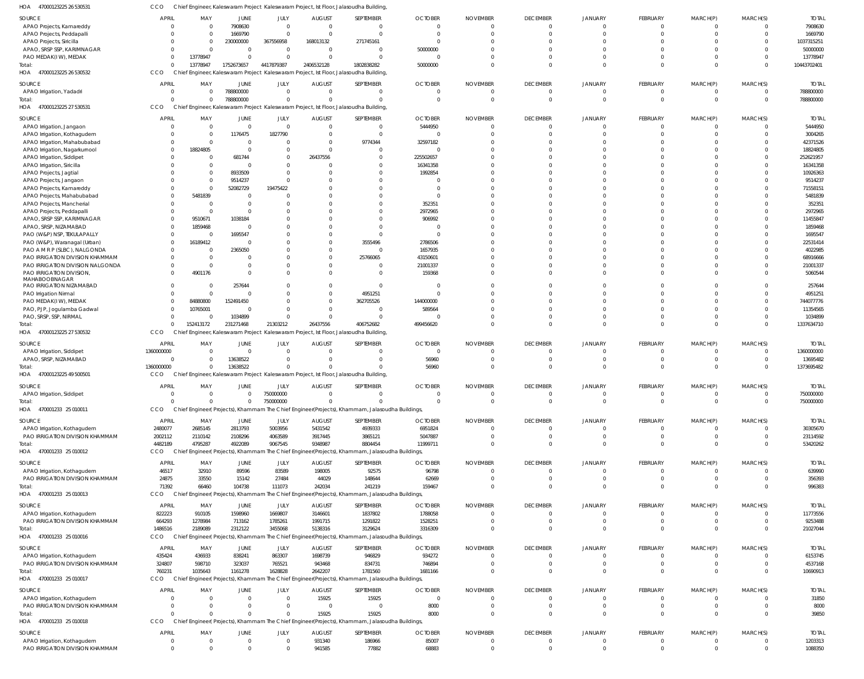|                                                                | cco             |                      | Chief Engineer, Kaleswaram Project Kaleswaram Project, Ist Floor, Jalasoudha Building |                             |                  |                                                                                                |                |                      |                               |                             |                      |                           |                                  |                    |
|----------------------------------------------------------------|-----------------|----------------------|---------------------------------------------------------------------------------------|-----------------------------|------------------|------------------------------------------------------------------------------------------------|----------------|----------------------|-------------------------------|-----------------------------|----------------------|---------------------------|----------------------------------|--------------------|
| <b>SOURCE</b>                                                  | <b>APRIL</b>    | MAY                  | JUNE                                                                                  | JULY                        | <b>AUGUST</b>    | SEPTEMBER                                                                                      | <b>OCTOBER</b> | <b>NOVEMBER</b>      | <b>DECEMBER</b>               | <b>JANUARY</b>              | FEBRUARY             | MARCH(P)                  | MARCH(S)                         | <b>TOTAL</b>       |
| APAO Projects, Kamareddy                                       |                 | $\Omega$             | 7908630                                                                               | $\mathbf{0}$                | $\Omega$         | $\mathbf{0}$                                                                                   | $\Omega$       |                      | $\overline{0}$                | $\overline{0}$              | $\mathbf{0}$         | $^{\circ}$                | $\overline{0}$                   | 7908630            |
| APAO Projects, Peddapalli                                      |                 | $\Omega$             | 1669790                                                                               | $\Omega$                    | $\Omega$         | $\Omega$                                                                                       | $\Omega$       |                      | $\mathbf 0$                   | $\Omega$                    | $\Omega$             | $\mathbf 0$               | $\overline{0}$                   | 1669790            |
| <b>APAO Projects, Siricilla</b>                                |                 | $\Omega$             | 230000000                                                                             | 367556958                   | 168013132        | 271745161                                                                                      | $\Omega$       |                      | $\Omega$                      | $\Omega$                    |                      | $\Omega$                  | $\Omega$                         | 1037315251         |
| APAO, SRSP SSP, KARIMNAGAR                                     |                 | $\Omega$             |                                                                                       | $\overline{0}$              | $\Omega$         | - 0                                                                                            | 50000000       |                      | $\Omega$                      | $\Omega$                    |                      | $\Omega$                  | $\Omega$                         | 50000000           |
| PAO MEDAK(IW), MEDAK                                           |                 | 13778947             |                                                                                       | $\Omega$                    |                  | $\Omega$                                                                                       | $\Omega$       |                      | $\Omega$                      | $\Omega$                    | $\Omega$             | $\mathbf 0$               | $\Omega$                         | 13778947           |
| Total:                                                         |                 | 13778947             | 1752673657                                                                            | 4417879387                  | 2406532128       | 1802838282                                                                                     | 50000000       |                      | $\Omega$                      | $\Omega$                    | $\Omega$             | $\Omega$                  | $\Omega$                         | 10443702401        |
| 47000123225 26 530532<br>HOA                                   | CCO             |                      |                                                                                       |                             |                  | Chief Engineer, Kaleswaram Project Kaleswaram Project, Ist Floor, Jalasoudha Building,         |                |                      |                               |                             |                      |                           |                                  |                    |
|                                                                |                 |                      |                                                                                       |                             |                  |                                                                                                |                |                      |                               |                             |                      |                           |                                  |                    |
| SOURCE                                                         | <b>APRIL</b>    | MAY                  | JUNE                                                                                  | JULY                        | <b>AUGUST</b>    | SEPTEMBER                                                                                      | <b>OCTOBER</b> | <b>NOVEMBER</b>      | <b>DECEMBER</b>               | <b>JANUARY</b>              | FEBRUARY             | MARCH(P)                  | MARCH(S)                         | <b>TOTAL</b>       |
| APAO Irrigation, Yadadri                                       |                 | $\Omega$             | 788800000                                                                             | $\overline{0}$              | $\Omega$         | $\mathbf 0$                                                                                    | $\overline{0}$ | $\Omega$             | $\overline{0}$                | $\overline{0}$              | $\mathbf 0$          | $\overline{0}$            | $\overline{0}$                   | 788800000          |
| Total:                                                         |                 | $\Omega$             | 788800000                                                                             | $\Omega$                    |                  | $\Omega$                                                                                       | $\Omega$       | $\Omega$             | $\overline{0}$                | $\Omega$                    | $\mathbf 0$          | $\overline{0}$            | $\Omega$                         | 788800000          |
| 47000123225 27 530531<br>HOA                                   | CCO             |                      |                                                                                       |                             |                  | Chief Engineer, Kaleswaram Project Kaleswaram Project, Ist Floor, Jalasoudha Building,         |                |                      |                               |                             |                      |                           |                                  |                    |
| SOURCE                                                         | <b>APRIL</b>    | MAY                  | JUNE                                                                                  | JULY                        | <b>AUGUST</b>    | SEPTEMBER                                                                                      | <b>OCTOBER</b> | <b>NOVEMBER</b>      | <b>DECEMBER</b>               | JANUARY                     | FEBRUARY             | MARCH(P)                  | MARCH(S)                         | <b>TOTAL</b>       |
| APAO Irrigation, Jangaon                                       |                 | $\Omega$             | $\mathbf 0$                                                                           | $\overline{0}$              | $\Omega$         | $\mathbf{0}$                                                                                   | 5444950        |                      | 0                             | $\Omega$                    | -0                   | 0                         | $\Omega$                         | 5444950            |
| APAO Irrigation, Kothagudem                                    |                 | $\Omega$             | 1176475                                                                               | 1827790                     |                  | $\overline{0}$                                                                                 | $\Omega$       |                      | $\mathbf 0$                   | $\Omega$                    | $\circ$              | $\mathbf 0$               | $\Omega$                         | 3004265            |
| APAO Irrigation, Mahabubabad                                   |                 | $\Omega$             | $\mathbf 0$                                                                           | $\Omega$                    | $\Omega$         | 9774344                                                                                        | 32597182       |                      | $\Omega$                      | $\Omega$                    |                      | $\Omega$                  |                                  | 42371526           |
| APAO Irrigation, Nagarkurnool                                  |                 | 18824805             | $\mathbf 0$                                                                           | $\mathbf 0$                 |                  | $\Omega$                                                                                       | $\Omega$       |                      | $\Omega$                      |                             |                      | $\Omega$                  |                                  | 18824805           |
| APAO Irrigation, Siddipet                                      |                 |                      | 681744                                                                                | $\mathbf 0$                 | 26437556         | $\Omega$                                                                                       | 225502657      |                      | $\Omega$                      |                             |                      | $\Omega$                  | $\Omega$                         | 252621957          |
| APAO Irrigation, Siricilla                                     |                 | $\Omega$             | $\mathbf 0$                                                                           | $\Omega$                    |                  | -0                                                                                             | 16341358       |                      | $\Omega$                      |                             | $\Omega$             | $\Omega$                  |                                  | 16341358           |
|                                                                |                 | $\Omega$             | 8933509                                                                               | $\Omega$                    |                  | $\Omega$                                                                                       | 1992854        |                      | $\Omega$                      | $\Omega$                    |                      | $\Omega$                  |                                  | 10926363           |
| APAO Projects, Jagtial                                         |                 | $\Omega$             |                                                                                       | $\Omega$                    |                  | $\Omega$                                                                                       |                |                      | $\Omega$                      |                             |                      | $\Omega$                  |                                  |                    |
| APAO Projects, Jangaon                                         |                 | $\Omega$             | 9514237                                                                               |                             |                  |                                                                                                | $\Omega$       |                      | $\Omega$                      |                             | $\Omega$             | $\Omega$                  | $\Omega$                         | 9514237            |
| APAO Projects, Kamareddy                                       |                 |                      | 52082729                                                                              | 19475422                    |                  | $\Omega$                                                                                       | $\Omega$       |                      | $\Omega$                      |                             |                      |                           |                                  | 71558151           |
| APAO Projects, Mahabubabad                                     |                 | 5481839              | $\Omega$                                                                              | C                           |                  |                                                                                                |                |                      |                               |                             |                      | $\Omega$                  |                                  | 5481839            |
| APAO Projects, Mancherial                                      |                 |                      | $\Omega$                                                                              | $\Omega$                    |                  | $\Omega$                                                                                       | 352351         |                      | $\Omega$                      | $\Omega$                    | $\Omega$             | $\Omega$                  | $\Omega$                         | 352351             |
| APAO Projects, Peddapalli                                      |                 | $\Omega$             |                                                                                       | $\Omega$                    |                  |                                                                                                | 2972965        |                      | $\Omega$                      |                             |                      | $\Omega$                  |                                  | 2972965            |
| APAO, SRSP SSP, KARIMNAGAR                                     |                 | 9510671              | 1038184                                                                               | $\Omega$                    |                  | $\Omega$                                                                                       | 906992         |                      | $\Omega$                      | $\Omega$                    |                      | $\Omega$                  | $\Omega$                         | 11455847           |
| APAO, SRSP, NIZAMABAD                                          |                 | 1859468              | $\Omega$                                                                              | $\Omega$                    |                  | $\Omega$                                                                                       |                |                      | $\Omega$                      |                             |                      | $\Omega$                  |                                  | 1859468            |
| PAO (W&P) NSP, TEKULAPALLY                                     |                 |                      | 1695547                                                                               | $\Omega$                    |                  | $\Omega$                                                                                       | $\cap$         |                      | $\Omega$                      | $\Omega$                    |                      | $\Omega$                  | $\Omega$                         | 1695547            |
| PAO (W&P), Waranagal (Urban)                                   |                 | 16189412             | $\Omega$                                                                              | $\Omega$                    |                  | 3555496                                                                                        | 2786506        |                      | $\Omega$                      |                             |                      | $\Omega$                  |                                  | 22531414           |
| PAO A M R P (SLBC), NALGONDA                                   |                 |                      | 2365050                                                                               | $\Omega$                    |                  | $\Omega$                                                                                       | 1657935        |                      | $\Omega$                      | $\Omega$                    |                      | $\Omega$                  |                                  | 4022985            |
| PAO IRRIGATION DIVISION KHAMMAM                                |                 | $\Omega$             |                                                                                       | $\Omega$                    |                  | 25766065                                                                                       | 43150601       |                      | $\Omega$                      | $\Omega$                    |                      | $\Omega$                  | $\Omega$                         | 68916666           |
| PAO IRRIGATION DIVISION NALGONDA                               |                 | $\Omega$             |                                                                                       | $\Omega$                    |                  | - 0                                                                                            | 21001337       |                      | $\Omega$                      | $\Omega$                    | $\Omega$             | $\Omega$                  | $\Omega$                         | 21001337           |
| PAO IRRIGATION DIVISION,                                       |                 | 4901176              | $\Omega$                                                                              | $\Omega$                    |                  | $\Omega$                                                                                       | 159368         |                      | $\Omega$                      | $\Omega$                    | $\Omega$             | $\Omega$                  | $\Omega$                         | 5060544            |
| MAHABOOBNAGAR                                                  |                 |                      |                                                                                       |                             |                  |                                                                                                |                |                      |                               |                             |                      |                           |                                  |                    |
| PAO IRRIGATION NIZAMABAD                                       |                 |                      | 257644                                                                                | $\Omega$                    |                  | $\Omega$                                                                                       | $\Omega$       |                      | $\Omega$                      | $\Omega$                    |                      | $\Omega$                  | $\Omega$                         | 257644             |
| PAO Irrigation Nirmal                                          |                 | $\Omega$             | $\Omega$                                                                              | $\Omega$                    | $\Omega$         | 4951251                                                                                        | $\Omega$       |                      | $\Omega$                      | $\Omega$                    | $\Omega$             | $\Omega$                  | $\Omega$                         | 4951251            |
| PAO MEDAK(IW), MEDAK                                           |                 | 84880800             | 152491450                                                                             | $\Omega$                    | $\Omega$         | 362705526                                                                                      | 144000000      |                      | $\Omega$                      | $\Omega$                    |                      | $\Omega$                  | $\Omega$                         | 744077776          |
| PAO, PJP, Jogulamba Gadwal                                     |                 | 10765001             | 0                                                                                     | $\Omega$                    | $\Omega$         | - 0                                                                                            | 589564         |                      | $\Omega$                      | $\Omega$                    | $\Omega$             | $\Omega$                  | $\Omega$                         | 11354565           |
| PAO, SRSP, SSP, NIRMAL                                         |                 | $\Omega$             | 1034899                                                                               | $\Omega$                    |                  | $\Omega$                                                                                       |                |                      | $\Omega$                      | $\Omega$                    | $\Omega$             | $\mathbf 0$               | $\Omega$                         | 1034899            |
|                                                                |                 |                      |                                                                                       |                             |                  |                                                                                                |                |                      |                               |                             |                      |                           |                                  |                    |
| Total:                                                         |                 | 152413172            | 231271468                                                                             | 21303212                    | 26437556         | 406752682                                                                                      | 499456620      |                      | $\Omega$                      | $\Omega$                    | $\Omega$             | $\mathbf 0$               | $\Omega$                         | 1337634710         |
| 47000123225 27 530532<br>HOA                                   | CCO             |                      |                                                                                       |                             |                  | Chief Engineer, Kaleswaram Project Kaleswaram Project, Ist Floor, Jalasoudha Building          |                |                      |                               |                             |                      |                           |                                  |                    |
|                                                                |                 |                      |                                                                                       |                             |                  |                                                                                                |                |                      |                               |                             |                      |                           |                                  |                    |
| SOURCE                                                         | <b>APRIL</b>    | MAY                  | JUNE                                                                                  | JULY                        | <b>AUGUST</b>    | SEPTEMBER                                                                                      | <b>OCTOBER</b> | <b>NOVEMBER</b>      | <b>DECEMBER</b>               | JANUARY                     | FEBRUARY             | MARCH(P)                  | MARCH(S)                         | <b>TOTAL</b>       |
| APAO Irrigation, Siddipet                                      | 1360000000      | $\Omega$             | $\mathbf 0$                                                                           | $\overline{0}$              |                  | $\overline{0}$                                                                                 | $\overline{0}$ |                      | $\overline{0}$                | $\overline{0}$              | $\overline{0}$       | $^{\circ}$                | $\Omega$                         | 1360000000         |
| APAO, SRSP, NIZAMABAD                                          | $\Omega$        | $\Omega$             | 13638522                                                                              | $\mathbf{0}$                | $\Omega$         | $\mathbf 0$                                                                                    | 56960          |                      | $\overline{0}$                | $\Omega$                    | $\mathbf 0$          | $\overline{0}$            | $\Omega$                         | 13695482           |
| Total:                                                         | 1360000000      | $\Omega$             | 13638522                                                                              | $\Omega$                    |                  | $\Omega$                                                                                       | 56960          |                      | $\Omega$                      | $\Omega$                    | $\mathbf 0$          | $\mathbf 0$               | $\Omega$                         | 1373695482         |
| 47000123225 49 500501<br>HOA                                   | CCO             |                      |                                                                                       |                             |                  | Chief Engineer, Kaleswaram Project Kaleswaram Project, Ist Floor, Jalasoudha Building          |                |                      |                               |                             |                      |                           |                                  |                    |
| SOURCE                                                         | <b>APRIL</b>    | MAY                  | JUNE                                                                                  | JULY                        | <b>AUGUST</b>    | SEPTEMBER                                                                                      | <b>OCTOBER</b> | <b>NOVEMBER</b>      | <b>DECEMBER</b>               | JANUARY                     | <b>FEBRUARY</b>      | MARCH(P)                  | MARCH(S)                         | <b>TOTAL</b>       |
| APAO Irrigation, Siddipet                                      |                 | <sup>0</sup>         | 0                                                                                     | 750000000                   |                  | - 0                                                                                            | $\Omega$       | $\Omega$             | $\overline{0}$                | $\Omega$                    | $\mathbf{0}$         | $^{\circ}$                | $\overline{0}$                   | 750000000          |
| Total:                                                         |                 | $\Omega$             | $\Omega$                                                                              | 750000000                   |                  |                                                                                                | $\Omega$       | $\Omega$             | $\overline{0}$                | $\Omega$                    | $\Omega$             | $\overline{0}$            | $\Omega$                         | 750000000          |
| HOA 470001233 25 010011                                        | CCO             |                      |                                                                                       |                             |                  | Chief Engineer(Projects), Khammam The Chief Engineer(Projects), Khammam, Jalasoudha Buildings, |                |                      |                               |                             |                      |                           |                                  |                    |
|                                                                |                 |                      |                                                                                       |                             |                  |                                                                                                |                |                      |                               |                             |                      |                           |                                  |                    |
| SOURCE                                                         | <b>APRIL</b>    | MAY                  | JUNE                                                                                  | JULY                        | <b>AUGUST</b>    | SEPTEMBER                                                                                      | <b>OCTOBER</b> | <b>NOVEMBER</b>      | <b>DECEMBER</b>               | JANUARY                     | FEBRUARY             | MARCH(P)                  | MARCH(S)                         | <b>TOTAL</b>       |
| APAO Irrigation, Kothagudem                                    | 2480077         | 2685145              | 2813793                                                                               | 5003956                     | 5431542          | 4939333                                                                                        | 6951824        |                      | $\overline{0}$                | $\overline{0}$              | $\mathbf 0$          | $\mathbf 0$               | $\Omega$                         | 30305670           |
| PAO IRRIGATION DIVISION KHAMMAM                                | 2002112         | 2110142              | 2108296                                                                               | 4063589                     | 3917445          | 3865121                                                                                        | 5047887        | $\Omega$             | $\overline{0}$                | $\overline{0}$              | $\mathbf 0$          | $\overline{0}$            | $\Omega$                         | 23114592           |
| Total:                                                         | 4482189         | 4795287              | 4922089                                                                               | 9067545                     | 9348987          | 8804454                                                                                        | 11999711       | $\Omega$             | $\Omega$                      | $\overline{0}$              | $\mathbf 0$          | $\overline{0}$            | $\Omega$                         | 53420262           |
| HOA<br>470001233 25 010012                                     | CCO             |                      |                                                                                       |                             |                  | Chief Engineer(Projects), Khammam The Chief Engineer(Projects), Khammam, Jalasoudha Buildings, |                |                      |                               |                             |                      |                           |                                  |                    |
| SOURCE                                                         | <b>APRIL</b>    | MAY                  | JUNE                                                                                  | JULY                        | <b>AUGUST</b>    | SEPTEMBER                                                                                      | <b>OCTOBER</b> | <b>NOVEMBER</b>      | <b>DECEMBER</b>               | <b>JANUARY</b>              | FEBRUARY             | MARCH(P)                  | MARCH(S)                         | <b>TOTAL</b>       |
| APAO Irrigation, Kothagudem                                    | 46517           | 32910                | 89596                                                                                 | 83589                       | 198005           | 92575                                                                                          | 96798          | $\Omega$             | $\overline{0}$                | $\mathbf{0}$                | $^{\circ}$           | $^{\circ}$                | $\Omega$                         | 639990             |
|                                                                | 24875           | 33550                | 15142                                                                                 | 27484                       |                  |                                                                                                |                | $\Omega$             | $\overline{0}$                | $\overline{0}$              | $\mathbf 0$          | $\overline{0}$            | $\overline{0}$                   |                    |
| PAO IRRIGATION DIVISION KHAMMAM                                |                 |                      |                                                                                       |                             | 44029            | 148644                                                                                         | 62669          | $\Omega$             | $\Omega$                      | $\Omega$                    | $\mathbf 0$          | $\mathbf 0$               | $\Omega$                         | 356393             |
| Total:                                                         | 71392           | 66460                | 104738                                                                                | 111073                      | 242034           | 241219                                                                                         | 159467         |                      |                               |                             |                      |                           |                                  | 996383             |
| HOA 470001233 25 010013                                        | CCO             |                      |                                                                                       |                             |                  | Chief Engineer(Projects), Khammam The Chief Engineer(Projects), Khammam, Jalasoudha Buildings, |                |                      |                               |                             |                      |                           |                                  |                    |
| SOURCE                                                         | APRIL           | MAY                  | JUNE                                                                                  | JULY                        | <b>AUGUST</b>    | SEPTEMBER                                                                                      | <b>OCTOBER</b> | <b>NOVEMBER</b>      | <b>DECEMBER</b>               | JANUARY                     | FEBRUARY             | MARCH(P)                  | MARCH(S)                         | <b>TOTAL</b>       |
| APAO Irrigation, Kothagudem                                    | 822223          | 910105               | 1598960                                                                               | 1669807                     | 3146601          | 1837802                                                                                        | 1788058        | $\Omega$             | $\overline{0}$                | $\mathbf{0}$                | $\mathbf 0$          | $\overline{0}$            | $\Omega$                         | 11773556           |
| PAO IRRIGATION DIVISION KHAMMAM                                | 664293          | 1278984              | 713162                                                                                | 1785261                     | 1991715          | 1291822                                                                                        | 1528251        | $\Omega$             | $\overline{0}$                | $\overline{0}$              | $\mathbf 0$          | $\overline{0}$            | $\overline{0}$                   | 9253488            |
| Total:                                                         | 1486516         | 2189089              | 2312122                                                                               | 3455068                     | 5138316          | 3129624                                                                                        | 3316309        |                      | $\overline{0}$                | $\overline{0}$              | $\mathbf 0$          | $\mathbf 0$               | $\Omega$                         | 21027044           |
| HOA 470001233 25 010016                                        | CCO             |                      |                                                                                       |                             |                  | Chief Engineer(Projects), Khammam The Chief Engineer(Projects), Khammam, Jalasoudha Buildings, |                |                      |                               |                             |                      |                           |                                  |                    |
|                                                                |                 |                      |                                                                                       |                             |                  |                                                                                                |                |                      |                               |                             |                      |                           |                                  |                    |
| SOURCE                                                         | APRIL           | MAY                  | JUNE                                                                                  | JULY                        | <b>AUGUST</b>    | SEPTEMBER                                                                                      | <b>OCTOBER</b> | <b>NOVEMBER</b>      | <b>DECEMBER</b>               | JANUARY                     | FEBRUARY             | MARCH(P)                  | MARCH(S)                         | <b>TOTAL</b>       |
| APAO Irrigation, Kothagudem                                    | 435424          | 436933               | 838241                                                                                | 863307                      | 1698739          | 946829                                                                                         | 934272         | $\Omega$             | $\overline{0}$                | $\overline{0}$              | $^{\circ}$           | $^{\circ}$                | $\Omega$                         | 6153745            |
| PAO IRRIGATION DIVISION KHAMMAM                                | 324807          | 598710               | 323037                                                                                | 765521                      | 943468           | 834731                                                                                         | 746894         | $\Omega$             | $\overline{0}$                | $\overline{0}$              | $\mathbf 0$          | $\overline{0}$            | $\overline{0}$                   | 4537168            |
| Total:                                                         | 760231          | 1035643              | 1161278                                                                               | 1628828                     | 2642207          | 1781560                                                                                        | 1681166        | $\Omega$             | $\Omega$                      | $\Omega$                    | $\Omega$             | $\mathbf 0$               | $\Omega$                         | 10690913           |
| HOA 470001233 25 010017                                        | CCO             |                      |                                                                                       |                             |                  | Chief Engineer(Projects), Khammam The Chief Engineer(Projects), Khammam, Jalasoudha Buildings, |                |                      |                               |                             |                      |                           |                                  |                    |
| SOURCE                                                         | <b>APRIL</b>    | MAY                  | <b>JUNE</b>                                                                           | JULY                        | <b>AUGUST</b>    | SEPTEMBER                                                                                      | <b>OCTOBER</b> | <b>NOVEMBER</b>      | <b>DECEMBER</b>               | JANUARY                     | FEBRUARY             | MARCH(P)                  | MARCH(S)                         | <b>TOTAL</b>       |
| APAO Irrigation, Kothagudem                                    |                 |                      | $\mathbf 0$                                                                           | $\mathbf 0$                 | 15925            | 15925                                                                                          | $\overline{0}$ | $\Omega$             | $\overline{0}$                | $\overline{0}$              | $\mathbf 0$          | $^{\circ}$                | $\Omega$                         | 31850              |
| PAO IRRIGATION DIVISION KHAMMAM                                |                 | $\Omega$             | $\mathbf 0$                                                                           | $\mathbf 0$                 | $\overline{0}$   | $\mathbf 0$                                                                                    | 8000           | $\Omega$             | $\overline{0}$                | $\overline{0}$              | $\mathbf 0$          | $\overline{0}$            | $\Omega$                         | 8000               |
| Total:                                                         |                 | $\Omega$             | $\Omega$                                                                              | $\mathbf{0}$                | 15925            | 15925                                                                                          | 8000           | $\Omega$             | $\Omega$                      | $\Omega$                    | $\mathbf 0$          | $\overline{0}$            | $\Omega$                         | 39850              |
| 470001233 25 010018<br>HOA                                     | CCO             |                      |                                                                                       |                             |                  | Chief Engineer(Projects), Khammam The Chief Engineer(Projects), Khammam, Jalasoudha Buildings, |                |                      |                               |                             |                      |                           |                                  |                    |
|                                                                |                 |                      |                                                                                       |                             |                  |                                                                                                |                |                      |                               |                             |                      |                           |                                  |                    |
| SOURCE                                                         | <b>APRIL</b>    | MAY                  | <b>JUNE</b>                                                                           | JULY                        | <b>AUGUST</b>    | SEPTEMBER                                                                                      | <b>OCTOBER</b> | <b>NOVEMBER</b>      | <b>DECEMBER</b>               | <b>JANUARY</b>              | FEBRUARY             | MARCH(P)                  | MARCH(S)                         | <b>TOTAL</b>       |
| APAO Irrigation, Kothagudem<br>PAO IRRIGATION DIVISION KHAMMAM | - 0<br>$\Omega$ | $\Omega$<br>$\Omega$ | 0<br>$\Omega$                                                                         | $\mathbf{0}$<br>$\mathbf 0$ | 931340<br>941585 | 186966<br>77882                                                                                | 85007<br>68883 | $\Omega$<br>$\Omega$ | $\mathbf 0$<br>$\overline{0}$ | $\mathbf{0}$<br>$\mathbf 0$ | -0<br>$\overline{0}$ | $^{\circ}$<br>$\mathbf 0$ | $\overline{0}$<br>$\overline{0}$ | 1203313<br>1088350 |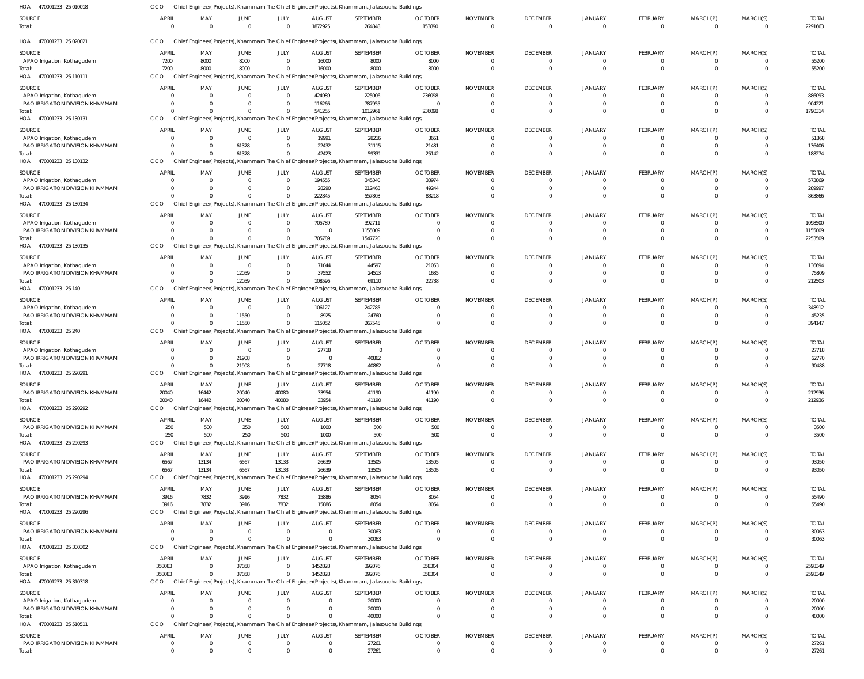| <b>DECEMBER</b><br>SOURCE<br><b>APRIL</b><br>MAY<br><b>JUNE</b><br>JULY<br><b>AUGUST</b><br>SEPTEMBER<br><b>OCTOBER</b><br><b>NOVEMBER</b><br><b>JANUARY</b><br>FEBRUARY<br>$\overline{0}$<br>1872925<br>264848<br>153890<br>$\overline{0}$<br>$\Omega$<br>$\Omega$<br>$\overline{0}$<br>$\overline{0}$<br>$\mathbf 0$<br>Total:<br>$\Omega$<br>470001233 25 020021<br>CCO<br>Chief Engineer(Projects), Khammam The Chief Engineer(Projects), Khammam, Jalasoudha Buildings,<br>HOA<br>SOURCE<br><b>APRIL</b><br>MAY<br><b>AUGUST</b><br>SEPTEMBER<br><b>OCTOBER</b><br><b>NOVEMBER</b><br><b>DECEMBER</b><br>JANUARY<br>FEBRUARY<br>JUNE<br>JULY<br>7200<br>8000<br>16000<br>8000<br>8000<br>APAO Irrigation, Kothagudem<br>8000<br>$\overline{0}$<br>$\overline{0}$<br>$\overline{0}$<br>$\overline{0}$<br>$\Omega$<br>7200<br>8000<br>8000<br>$\overline{0}$<br>16000<br>8000<br>8000<br>$\overline{0}$<br>$\Omega$<br>$\overline{0}$<br>Total:<br>CCO<br>HOA<br>470001233 25 110111<br>Chief Engineer(Projects), Khammam The Chief Engineer(Projects), Khammam, Jalasoudha Buildings,<br><b>APRIL</b><br>MAY<br>JULY<br><b>AUGUST</b><br>SEPTEMBER<br><b>OCTOBER</b><br><b>NOVEMBER</b><br><b>DECEMBER</b><br>JANUARY<br>FEBRUARY<br>SOURCE<br>JUNE<br>$\overline{0}$<br>424989<br>225006<br>236098<br>APAO Irrigation, Kothagudem<br>$\Omega$<br>$\mathbf{0}$<br>$\Omega$<br>- 0<br>$\Omega$<br>$^{\circ}$<br>PAO IRRIGATION DIVISION KHAMMAM<br>116266<br>787955<br>$\overline{0}$<br>$\mathbf{0}$<br>$\Omega$<br>$\overline{0}$<br>$\Omega$<br>-0<br>0<br>$\Omega$<br>541255<br>1012961<br>236098<br>$\Omega$<br>$\mathbf 0$<br>$\Omega$<br>$\Omega$<br>Total:<br>$\Omega$<br>470001233 25 130131<br>CCO<br>Chief Engineer(Projects), Khammam The Chief Engineer(Projects), Khammam, Jalasoudha Buildings,<br>HOA<br><b>OCTOBER</b><br>SOURCE<br><b>APRIL</b><br>MAY<br><b>JUNE</b><br>JULY<br><b>AUGUST</b><br>SEPTEMBER<br><b>NOVEMBER</b><br><b>DECEMBER</b><br>JANUARY<br>FEBRUARY<br>19991<br>28216<br>3661<br>APAO Irrigation, Kothagudem<br>$\overline{0}$<br>$\overline{0}$<br>$\overline{0}$<br>$\overline{0}$<br>$\overline{0}$<br>$\Omega$<br>$\cap$<br>PAO IRRIGATION DIVISION KHAMMAM<br>61378<br>22432<br>31115<br>21481<br>$\overline{0}$<br>$\mathbf 0$<br>$\overline{0}$<br>$\overline{0}$<br>-0<br>42423<br>61378<br>59331<br>25142<br>Total:<br>$\mathbf 0$<br>$\overline{0}$<br>$\Omega$<br>$\mathbf 0$<br>$\Omega$<br>HOA 470001233 25 130132<br>CCO<br>Chief Engineer(Projects), Khammam The Chief Engineer(Projects), Khammam, Jalasoudha Buildings<br><b>OCTOBER</b><br>SOURCE<br><b>APRIL</b><br>MAY<br><b>JUNE</b><br>JULY<br><b>AUGUST</b><br>SEPTEMBER<br><b>NOVEMBER</b><br><b>DECEMBER</b><br>JANUARY<br>FEBRUARY<br>194555<br>345340<br>33974<br>APAO Irrigation, Kothagudem<br>$\overline{0}$<br>$\Omega$<br>$\mathbf{0}$<br>$\Omega$<br>$^{\circ}$<br>-0<br>$\Omega$<br>$\cap$ | MARCH(S)<br>MARCH(P)<br>$\overline{0}$<br>MARCH(P)<br>MARCH(S)<br>$\mathbf 0$<br>$\overline{0}$<br>MARCH(P)<br>MARCH(S)<br>$\Omega$<br>$\mathbf 0$<br>$\mathbf 0$<br>MARCH(P)<br>MARCH(S)<br>$^{\circ}$<br>$\mathbf 0$<br>$\mathbf 0$ | <b>TOTAL</b><br>2291663<br>$\overline{\mathbf{0}}$<br><b>TOTAL</b><br>55200<br>$\overline{0}$<br>55200<br>$\Omega$<br><b>TOTAL</b><br>886093<br>$\Omega$<br>904221<br>$\overline{0}$<br>$\Omega$<br>1790314 |
|------------------------------------------------------------------------------------------------------------------------------------------------------------------------------------------------------------------------------------------------------------------------------------------------------------------------------------------------------------------------------------------------------------------------------------------------------------------------------------------------------------------------------------------------------------------------------------------------------------------------------------------------------------------------------------------------------------------------------------------------------------------------------------------------------------------------------------------------------------------------------------------------------------------------------------------------------------------------------------------------------------------------------------------------------------------------------------------------------------------------------------------------------------------------------------------------------------------------------------------------------------------------------------------------------------------------------------------------------------------------------------------------------------------------------------------------------------------------------------------------------------------------------------------------------------------------------------------------------------------------------------------------------------------------------------------------------------------------------------------------------------------------------------------------------------------------------------------------------------------------------------------------------------------------------------------------------------------------------------------------------------------------------------------------------------------------------------------------------------------------------------------------------------------------------------------------------------------------------------------------------------------------------------------------------------------------------------------------------------------------------------------------------------------------------------------------------------------------------------------------------------------------------------------------------------------------------------------------------------------------------------------------------------------------------------------------------------------------------------------------------------------------------------------------------------------------------------------------------------------------------------------------------------------------|---------------------------------------------------------------------------------------------------------------------------------------------------------------------------------------------------------------------------------------|-------------------------------------------------------------------------------------------------------------------------------------------------------------------------------------------------------------|
|                                                                                                                                                                                                                                                                                                                                                                                                                                                                                                                                                                                                                                                                                                                                                                                                                                                                                                                                                                                                                                                                                                                                                                                                                                                                                                                                                                                                                                                                                                                                                                                                                                                                                                                                                                                                                                                                                                                                                                                                                                                                                                                                                                                                                                                                                                                                                                                                                                                                                                                                                                                                                                                                                                                                                                                                                                                                                                                        |                                                                                                                                                                                                                                       |                                                                                                                                                                                                             |
|                                                                                                                                                                                                                                                                                                                                                                                                                                                                                                                                                                                                                                                                                                                                                                                                                                                                                                                                                                                                                                                                                                                                                                                                                                                                                                                                                                                                                                                                                                                                                                                                                                                                                                                                                                                                                                                                                                                                                                                                                                                                                                                                                                                                                                                                                                                                                                                                                                                                                                                                                                                                                                                                                                                                                                                                                                                                                                                        |                                                                                                                                                                                                                                       |                                                                                                                                                                                                             |
|                                                                                                                                                                                                                                                                                                                                                                                                                                                                                                                                                                                                                                                                                                                                                                                                                                                                                                                                                                                                                                                                                                                                                                                                                                                                                                                                                                                                                                                                                                                                                                                                                                                                                                                                                                                                                                                                                                                                                                                                                                                                                                                                                                                                                                                                                                                                                                                                                                                                                                                                                                                                                                                                                                                                                                                                                                                                                                                        |                                                                                                                                                                                                                                       |                                                                                                                                                                                                             |
|                                                                                                                                                                                                                                                                                                                                                                                                                                                                                                                                                                                                                                                                                                                                                                                                                                                                                                                                                                                                                                                                                                                                                                                                                                                                                                                                                                                                                                                                                                                                                                                                                                                                                                                                                                                                                                                                                                                                                                                                                                                                                                                                                                                                                                                                                                                                                                                                                                                                                                                                                                                                                                                                                                                                                                                                                                                                                                                        |                                                                                                                                                                                                                                       |                                                                                                                                                                                                             |
|                                                                                                                                                                                                                                                                                                                                                                                                                                                                                                                                                                                                                                                                                                                                                                                                                                                                                                                                                                                                                                                                                                                                                                                                                                                                                                                                                                                                                                                                                                                                                                                                                                                                                                                                                                                                                                                                                                                                                                                                                                                                                                                                                                                                                                                                                                                                                                                                                                                                                                                                                                                                                                                                                                                                                                                                                                                                                                                        |                                                                                                                                                                                                                                       |                                                                                                                                                                                                             |
|                                                                                                                                                                                                                                                                                                                                                                                                                                                                                                                                                                                                                                                                                                                                                                                                                                                                                                                                                                                                                                                                                                                                                                                                                                                                                                                                                                                                                                                                                                                                                                                                                                                                                                                                                                                                                                                                                                                                                                                                                                                                                                                                                                                                                                                                                                                                                                                                                                                                                                                                                                                                                                                                                                                                                                                                                                                                                                                        |                                                                                                                                                                                                                                       |                                                                                                                                                                                                             |
|                                                                                                                                                                                                                                                                                                                                                                                                                                                                                                                                                                                                                                                                                                                                                                                                                                                                                                                                                                                                                                                                                                                                                                                                                                                                                                                                                                                                                                                                                                                                                                                                                                                                                                                                                                                                                                                                                                                                                                                                                                                                                                                                                                                                                                                                                                                                                                                                                                                                                                                                                                                                                                                                                                                                                                                                                                                                                                                        |                                                                                                                                                                                                                                       |                                                                                                                                                                                                             |
|                                                                                                                                                                                                                                                                                                                                                                                                                                                                                                                                                                                                                                                                                                                                                                                                                                                                                                                                                                                                                                                                                                                                                                                                                                                                                                                                                                                                                                                                                                                                                                                                                                                                                                                                                                                                                                                                                                                                                                                                                                                                                                                                                                                                                                                                                                                                                                                                                                                                                                                                                                                                                                                                                                                                                                                                                                                                                                                        |                                                                                                                                                                                                                                       |                                                                                                                                                                                                             |
|                                                                                                                                                                                                                                                                                                                                                                                                                                                                                                                                                                                                                                                                                                                                                                                                                                                                                                                                                                                                                                                                                                                                                                                                                                                                                                                                                                                                                                                                                                                                                                                                                                                                                                                                                                                                                                                                                                                                                                                                                                                                                                                                                                                                                                                                                                                                                                                                                                                                                                                                                                                                                                                                                                                                                                                                                                                                                                                        |                                                                                                                                                                                                                                       |                                                                                                                                                                                                             |
|                                                                                                                                                                                                                                                                                                                                                                                                                                                                                                                                                                                                                                                                                                                                                                                                                                                                                                                                                                                                                                                                                                                                                                                                                                                                                                                                                                                                                                                                                                                                                                                                                                                                                                                                                                                                                                                                                                                                                                                                                                                                                                                                                                                                                                                                                                                                                                                                                                                                                                                                                                                                                                                                                                                                                                                                                                                                                                                        |                                                                                                                                                                                                                                       |                                                                                                                                                                                                             |
|                                                                                                                                                                                                                                                                                                                                                                                                                                                                                                                                                                                                                                                                                                                                                                                                                                                                                                                                                                                                                                                                                                                                                                                                                                                                                                                                                                                                                                                                                                                                                                                                                                                                                                                                                                                                                                                                                                                                                                                                                                                                                                                                                                                                                                                                                                                                                                                                                                                                                                                                                                                                                                                                                                                                                                                                                                                                                                                        |                                                                                                                                                                                                                                       | <b>TOTAL</b>                                                                                                                                                                                                |
|                                                                                                                                                                                                                                                                                                                                                                                                                                                                                                                                                                                                                                                                                                                                                                                                                                                                                                                                                                                                                                                                                                                                                                                                                                                                                                                                                                                                                                                                                                                                                                                                                                                                                                                                                                                                                                                                                                                                                                                                                                                                                                                                                                                                                                                                                                                                                                                                                                                                                                                                                                                                                                                                                                                                                                                                                                                                                                                        |                                                                                                                                                                                                                                       | 51868<br>$\overline{0}$<br>$\overline{0}$<br>136406                                                                                                                                                         |
|                                                                                                                                                                                                                                                                                                                                                                                                                                                                                                                                                                                                                                                                                                                                                                                                                                                                                                                                                                                                                                                                                                                                                                                                                                                                                                                                                                                                                                                                                                                                                                                                                                                                                                                                                                                                                                                                                                                                                                                                                                                                                                                                                                                                                                                                                                                                                                                                                                                                                                                                                                                                                                                                                                                                                                                                                                                                                                                        |                                                                                                                                                                                                                                       | 188274<br>$\Omega$                                                                                                                                                                                          |
|                                                                                                                                                                                                                                                                                                                                                                                                                                                                                                                                                                                                                                                                                                                                                                                                                                                                                                                                                                                                                                                                                                                                                                                                                                                                                                                                                                                                                                                                                                                                                                                                                                                                                                                                                                                                                                                                                                                                                                                                                                                                                                                                                                                                                                                                                                                                                                                                                                                                                                                                                                                                                                                                                                                                                                                                                                                                                                                        |                                                                                                                                                                                                                                       |                                                                                                                                                                                                             |
|                                                                                                                                                                                                                                                                                                                                                                                                                                                                                                                                                                                                                                                                                                                                                                                                                                                                                                                                                                                                                                                                                                                                                                                                                                                                                                                                                                                                                                                                                                                                                                                                                                                                                                                                                                                                                                                                                                                                                                                                                                                                                                                                                                                                                                                                                                                                                                                                                                                                                                                                                                                                                                                                                                                                                                                                                                                                                                                        | MARCH(P)<br>MARCH(S)                                                                                                                                                                                                                  | <b>TOTAL</b>                                                                                                                                                                                                |
|                                                                                                                                                                                                                                                                                                                                                                                                                                                                                                                                                                                                                                                                                                                                                                                                                                                                                                                                                                                                                                                                                                                                                                                                                                                                                                                                                                                                                                                                                                                                                                                                                                                                                                                                                                                                                                                                                                                                                                                                                                                                                                                                                                                                                                                                                                                                                                                                                                                                                                                                                                                                                                                                                                                                                                                                                                                                                                                        | 0                                                                                                                                                                                                                                     | 573869<br>$\overline{0}$                                                                                                                                                                                    |
| PAO IRRIGATION DIVISION KHAMMAM<br>$\overline{0}$<br>28290<br>212463<br>49244<br>$\Omega$<br>$\mathbf{0}$<br>$\Omega$<br>$\mathbf 0$<br>$\Omega$<br>$\Omega$                                                                                                                                                                                                                                                                                                                                                                                                                                                                                                                                                                                                                                                                                                                                                                                                                                                                                                                                                                                                                                                                                                                                                                                                                                                                                                                                                                                                                                                                                                                                                                                                                                                                                                                                                                                                                                                                                                                                                                                                                                                                                                                                                                                                                                                                                                                                                                                                                                                                                                                                                                                                                                                                                                                                                           | $\mathbf 0$                                                                                                                                                                                                                           | 289997<br>$\overline{0}$                                                                                                                                                                                    |
| 222845<br>$\overline{0}$<br>557803<br>83218<br>$\Omega$<br>$\Omega$<br>$\Omega$<br>$\Omega$<br>$\Omega$<br>Total:<br>$\Omega$<br>Chief Engineer(Projects), Khammam The Chief Engineer(Projects), Khammam, Jalasoudha Buildings,<br>HOA 470001233 25 130134<br><b>CCO</b>                                                                                                                                                                                                                                                                                                                                                                                                                                                                                                                                                                                                                                                                                                                                                                                                                                                                                                                                                                                                                                                                                                                                                                                                                                                                                                                                                                                                                                                                                                                                                                                                                                                                                                                                                                                                                                                                                                                                                                                                                                                                                                                                                                                                                                                                                                                                                                                                                                                                                                                                                                                                                                               | $\Omega$                                                                                                                                                                                                                              | 863866<br>$\Omega$                                                                                                                                                                                          |
|                                                                                                                                                                                                                                                                                                                                                                                                                                                                                                                                                                                                                                                                                                                                                                                                                                                                                                                                                                                                                                                                                                                                                                                                                                                                                                                                                                                                                                                                                                                                                                                                                                                                                                                                                                                                                                                                                                                                                                                                                                                                                                                                                                                                                                                                                                                                                                                                                                                                                                                                                                                                                                                                                                                                                                                                                                                                                                                        |                                                                                                                                                                                                                                       |                                                                                                                                                                                                             |
| SOURCE<br><b>APRIL</b><br>MAY<br><b>JUNE</b><br>JULY<br><b>AUGUST</b><br>SEPTEMBER<br><b>OCTOBER</b><br><b>NOVEMBER</b><br><b>DECEMBER</b><br>JANUARY<br>FEBRUARY<br>$\overline{0}$<br>$\mathbf{0}$<br>$\overline{0}$<br>$\overline{0}$                                                                                                                                                                                                                                                                                                                                                                                                                                                                                                                                                                                                                                                                                                                                                                                                                                                                                                                                                                                                                                                                                                                                                                                                                                                                                                                                                                                                                                                                                                                                                                                                                                                                                                                                                                                                                                                                                                                                                                                                                                                                                                                                                                                                                                                                                                                                                                                                                                                                                                                                                                                                                                                                                | MARCH(P)<br>MARCH(S)                                                                                                                                                                                                                  | <b>TOTAL</b><br>$\Omega$                                                                                                                                                                                    |
| 705789<br>392711<br>APAO Irrigation, Kothagudem<br>0<br>-0<br>PAO IRRIGATION DIVISION KHAMMAM<br>1155009<br>$\Omega$<br>$\overline{0}$<br>$\overline{0}$<br>$\overline{0}$<br>$\Omega$<br>$\overline{0}$<br>$\Omega$                                                                                                                                                                                                                                                                                                                                                                                                                                                                                                                                                                                                                                                                                                                                                                                                                                                                                                                                                                                                                                                                                                                                                                                                                                                                                                                                                                                                                                                                                                                                                                                                                                                                                                                                                                                                                                                                                                                                                                                                                                                                                                                                                                                                                                                                                                                                                                                                                                                                                                                                                                                                                                                                                                   | 0<br>$\mathbf 0$                                                                                                                                                                                                                      | 1098500<br>1155009<br>$\Omega$                                                                                                                                                                              |
| $\mathbf 0$<br>705789<br>1547720<br>$\Omega$<br>$\mathbf 0$<br>$\Omega$<br>$\Omega$<br>Total:                                                                                                                                                                                                                                                                                                                                                                                                                                                                                                                                                                                                                                                                                                                                                                                                                                                                                                                                                                                                                                                                                                                                                                                                                                                                                                                                                                                                                                                                                                                                                                                                                                                                                                                                                                                                                                                                                                                                                                                                                                                                                                                                                                                                                                                                                                                                                                                                                                                                                                                                                                                                                                                                                                                                                                                                                          | $\mathbf 0$                                                                                                                                                                                                                           | $\Omega$<br>2253509                                                                                                                                                                                         |
| 470001233 25 130135<br>CCO<br>Chief Engineer(Projects), Khammam The Chief Engineer(Projects), Khammam, Jalasoudha Buildings,<br>HOA                                                                                                                                                                                                                                                                                                                                                                                                                                                                                                                                                                                                                                                                                                                                                                                                                                                                                                                                                                                                                                                                                                                                                                                                                                                                                                                                                                                                                                                                                                                                                                                                                                                                                                                                                                                                                                                                                                                                                                                                                                                                                                                                                                                                                                                                                                                                                                                                                                                                                                                                                                                                                                                                                                                                                                                    |                                                                                                                                                                                                                                       |                                                                                                                                                                                                             |
| SOURCE<br><b>APRIL</b><br>JUNE<br>JULY<br><b>AUGUST</b><br>SEPTEMBER<br><b>OCTOBER</b><br><b>NOVEMBER</b><br><b>DECEMBER</b><br>JANUARY<br>FEBRUARY<br>MAY                                                                                                                                                                                                                                                                                                                                                                                                                                                                                                                                                                                                                                                                                                                                                                                                                                                                                                                                                                                                                                                                                                                                                                                                                                                                                                                                                                                                                                                                                                                                                                                                                                                                                                                                                                                                                                                                                                                                                                                                                                                                                                                                                                                                                                                                                                                                                                                                                                                                                                                                                                                                                                                                                                                                                             | MARCH(P)<br>MARCH(S)                                                                                                                                                                                                                  | <b>TOTAL</b>                                                                                                                                                                                                |
| 71044<br>44597<br>21053<br>APAO Irrigation, Kothagudem<br>$\Omega$<br>$\overline{0}$<br>- 0<br>$\mathbf{0}$<br>$\Omega$<br>$^{\circ}$<br>- 0<br>$\cap$                                                                                                                                                                                                                                                                                                                                                                                                                                                                                                                                                                                                                                                                                                                                                                                                                                                                                                                                                                                                                                                                                                                                                                                                                                                                                                                                                                                                                                                                                                                                                                                                                                                                                                                                                                                                                                                                                                                                                                                                                                                                                                                                                                                                                                                                                                                                                                                                                                                                                                                                                                                                                                                                                                                                                                 | 0                                                                                                                                                                                                                                     | 136694<br>$\Omega$                                                                                                                                                                                          |
| 37552<br>PAO IRRIGATION DIVISION KHAMMAM<br>12059<br>24513<br>1685<br>$\overline{0}$<br>$\Omega$<br>$\mathbf 0$<br>$\Omega$<br>$\Omega$<br>$\Omega$                                                                                                                                                                                                                                                                                                                                                                                                                                                                                                                                                                                                                                                                                                                                                                                                                                                                                                                                                                                                                                                                                                                                                                                                                                                                                                                                                                                                                                                                                                                                                                                                                                                                                                                                                                                                                                                                                                                                                                                                                                                                                                                                                                                                                                                                                                                                                                                                                                                                                                                                                                                                                                                                                                                                                                    | 0                                                                                                                                                                                                                                     | 75809<br>$\Omega$                                                                                                                                                                                           |
| 12059<br>108596<br>69110<br>22738<br>$\mathbf 0$<br>$\mathbf 0$<br>$\Omega$<br>$\Omega$<br>Total:<br>$\Omega$<br>$\Omega$<br>HOA 470001233 25 140<br>CCO<br>Chief Engineer(Projects), Khammam The Chief Engineer(Projects), Khammam, Jalasoudha Buildings                                                                                                                                                                                                                                                                                                                                                                                                                                                                                                                                                                                                                                                                                                                                                                                                                                                                                                                                                                                                                                                                                                                                                                                                                                                                                                                                                                                                                                                                                                                                                                                                                                                                                                                                                                                                                                                                                                                                                                                                                                                                                                                                                                                                                                                                                                                                                                                                                                                                                                                                                                                                                                                              | $\mathbf 0$                                                                                                                                                                                                                           | 212503<br>$\Omega$                                                                                                                                                                                          |
|                                                                                                                                                                                                                                                                                                                                                                                                                                                                                                                                                                                                                                                                                                                                                                                                                                                                                                                                                                                                                                                                                                                                                                                                                                                                                                                                                                                                                                                                                                                                                                                                                                                                                                                                                                                                                                                                                                                                                                                                                                                                                                                                                                                                                                                                                                                                                                                                                                                                                                                                                                                                                                                                                                                                                                                                                                                                                                                        |                                                                                                                                                                                                                                       |                                                                                                                                                                                                             |
| <b>OCTOBER</b><br>SOURCE<br><b>APRIL</b><br>MAY<br>JUNE<br>JULY<br><b>AUGUST</b><br>SEPTEMBER<br><b>NOVEMBER</b><br><b>DECEMBER</b><br>JANUARY<br>FEBRUARY<br>106127<br>242785<br>APAO Irrigation, Kothagudem<br>$\overline{0}$<br>$\overline{0}$<br>$\overline{0}$<br>$\overline{0}$<br>- 0<br>$\overline{0}$<br>- 0                                                                                                                                                                                                                                                                                                                                                                                                                                                                                                                                                                                                                                                                                                                                                                                                                                                                                                                                                                                                                                                                                                                                                                                                                                                                                                                                                                                                                                                                                                                                                                                                                                                                                                                                                                                                                                                                                                                                                                                                                                                                                                                                                                                                                                                                                                                                                                                                                                                                                                                                                                                                  | MARCH(P)<br>MARCH(S)<br>$^{\circ}$                                                                                                                                                                                                    | <b>TOTAL</b><br>348912<br>$\Omega$                                                                                                                                                                          |
| PAO IRRIGATION DIVISION KHAMMAM<br>11550<br>8925<br>24760<br>$\overline{0}$<br>$\mathbf{0}$<br>$\overline{0}$<br>$\overline{0}$<br>-0<br>- 0                                                                                                                                                                                                                                                                                                                                                                                                                                                                                                                                                                                                                                                                                                                                                                                                                                                                                                                                                                                                                                                                                                                                                                                                                                                                                                                                                                                                                                                                                                                                                                                                                                                                                                                                                                                                                                                                                                                                                                                                                                                                                                                                                                                                                                                                                                                                                                                                                                                                                                                                                                                                                                                                                                                                                                           | $\mathbf 0$                                                                                                                                                                                                                           | 45235<br>$\Omega$                                                                                                                                                                                           |
| 115052<br>11550<br>$\Omega$<br>267545<br>$\overline{0}$<br>$\mathbf 0$<br>$\Omega$<br>Total:<br>$\Omega$                                                                                                                                                                                                                                                                                                                                                                                                                                                                                                                                                                                                                                                                                                                                                                                                                                                                                                                                                                                                                                                                                                                                                                                                                                                                                                                                                                                                                                                                                                                                                                                                                                                                                                                                                                                                                                                                                                                                                                                                                                                                                                                                                                                                                                                                                                                                                                                                                                                                                                                                                                                                                                                                                                                                                                                                               | $\mathbf 0$                                                                                                                                                                                                                           | $\Omega$<br>394147                                                                                                                                                                                          |
| HOA 470001233 25 240<br>CCO<br>Chief Engineer(Projects), Khammam The Chief Engineer(Projects), Khammam, Jalasoudha Buildings,                                                                                                                                                                                                                                                                                                                                                                                                                                                                                                                                                                                                                                                                                                                                                                                                                                                                                                                                                                                                                                                                                                                                                                                                                                                                                                                                                                                                                                                                                                                                                                                                                                                                                                                                                                                                                                                                                                                                                                                                                                                                                                                                                                                                                                                                                                                                                                                                                                                                                                                                                                                                                                                                                                                                                                                          |                                                                                                                                                                                                                                       |                                                                                                                                                                                                             |
| <b>APRIL</b><br>JUNE<br>JULY<br><b>AUGUST</b><br>SEPTEMBER<br><b>OCTOBER</b><br><b>NOVEMBER</b><br><b>DECEMBER</b><br>JANUARY<br>FEBRUARY<br>SOURCE<br>MAY                                                                                                                                                                                                                                                                                                                                                                                                                                                                                                                                                                                                                                                                                                                                                                                                                                                                                                                                                                                                                                                                                                                                                                                                                                                                                                                                                                                                                                                                                                                                                                                                                                                                                                                                                                                                                                                                                                                                                                                                                                                                                                                                                                                                                                                                                                                                                                                                                                                                                                                                                                                                                                                                                                                                                             | MARCH(P)<br>MARCH(S)                                                                                                                                                                                                                  | <b>TOTAL</b>                                                                                                                                                                                                |
| 27718<br>APAO Irrigation, Kothagudem<br>$\overline{0}$<br>$\overline{0}$<br>$\overline{0}$<br>$\mathbf{0}$<br>$\Omega$<br>$\Omega$<br>$\Omega$<br>$\Omega$<br>$^{\circ}$                                                                                                                                                                                                                                                                                                                                                                                                                                                                                                                                                                                                                                                                                                                                                                                                                                                                                                                                                                                                                                                                                                                                                                                                                                                                                                                                                                                                                                                                                                                                                                                                                                                                                                                                                                                                                                                                                                                                                                                                                                                                                                                                                                                                                                                                                                                                                                                                                                                                                                                                                                                                                                                                                                                                               | 0                                                                                                                                                                                                                                     | 27718<br>$\Omega$                                                                                                                                                                                           |
| PAO IRRIGATION DIVISION KHAMMAM<br>21908<br>40862<br>$\overline{0}$<br>$\overline{0}$<br>$\mathbf{0}$<br>$\Omega$<br>$\mathbf 0$<br>-0<br>$\Omega$<br>21908<br>27718<br>$\Omega$<br>40862<br>$\Omega$<br>$\Omega$<br>$\Omega$<br>Total:<br>$\Omega$                                                                                                                                                                                                                                                                                                                                                                                                                                                                                                                                                                                                                                                                                                                                                                                                                                                                                                                                                                                                                                                                                                                                                                                                                                                                                                                                                                                                                                                                                                                                                                                                                                                                                                                                                                                                                                                                                                                                                                                                                                                                                                                                                                                                                                                                                                                                                                                                                                                                                                                                                                                                                                                                    | $\mathbf 0$<br>$\Omega$                                                                                                                                                                                                               | 62770<br>$\overline{0}$<br>$\Omega$<br>90488                                                                                                                                                                |
| HOA 470001233 25 290291<br>Chief Engineer(Projects), Khammam The Chief Engineer(Projects), Khammam, Jalasoudha Buildings,<br><b>CCO</b>                                                                                                                                                                                                                                                                                                                                                                                                                                                                                                                                                                                                                                                                                                                                                                                                                                                                                                                                                                                                                                                                                                                                                                                                                                                                                                                                                                                                                                                                                                                                                                                                                                                                                                                                                                                                                                                                                                                                                                                                                                                                                                                                                                                                                                                                                                                                                                                                                                                                                                                                                                                                                                                                                                                                                                                |                                                                                                                                                                                                                                       |                                                                                                                                                                                                             |
| <b>OCTOBER</b><br>SOURCE<br><b>APRIL</b><br>MAY<br>JULY<br><b>AUGUST</b><br>SEPTEMBER<br><b>NOVEMBER</b><br><b>DECEMBER</b><br>JANUARY<br>FEBRUARY<br>JUNE                                                                                                                                                                                                                                                                                                                                                                                                                                                                                                                                                                                                                                                                                                                                                                                                                                                                                                                                                                                                                                                                                                                                                                                                                                                                                                                                                                                                                                                                                                                                                                                                                                                                                                                                                                                                                                                                                                                                                                                                                                                                                                                                                                                                                                                                                                                                                                                                                                                                                                                                                                                                                                                                                                                                                             | MARCH(P)<br>MARCH(S)                                                                                                                                                                                                                  | <b>TOTAL</b>                                                                                                                                                                                                |
| PAO IRRIGATION DIVISION KHAMMAM<br>20040<br>16442<br>20040<br>40080<br>33954<br>41190<br>41190<br>$\mathbf 0$<br>$\Omega$<br>0                                                                                                                                                                                                                                                                                                                                                                                                                                                                                                                                                                                                                                                                                                                                                                                                                                                                                                                                                                                                                                                                                                                                                                                                                                                                                                                                                                                                                                                                                                                                                                                                                                                                                                                                                                                                                                                                                                                                                                                                                                                                                                                                                                                                                                                                                                                                                                                                                                                                                                                                                                                                                                                                                                                                                                                         | $^{\circ}$                                                                                                                                                                                                                            | 212936<br>$\Omega$                                                                                                                                                                                          |
| 41190<br>20040<br>16442<br>20040<br>40080<br>33954<br>41190<br>$\overline{0}$<br>$\overline{0}$<br>$\mathbf 0$<br>Total:<br>$\Omega$                                                                                                                                                                                                                                                                                                                                                                                                                                                                                                                                                                                                                                                                                                                                                                                                                                                                                                                                                                                                                                                                                                                                                                                                                                                                                                                                                                                                                                                                                                                                                                                                                                                                                                                                                                                                                                                                                                                                                                                                                                                                                                                                                                                                                                                                                                                                                                                                                                                                                                                                                                                                                                                                                                                                                                                   | $\overline{0}$                                                                                                                                                                                                                        | $\Omega$<br>212936                                                                                                                                                                                          |
| HOA 470001233 25 290292<br>CCO<br>Chief Engineer(Projects), Khammam The Chief Engineer(Projects), Khammam, Jalasoudha Buildings                                                                                                                                                                                                                                                                                                                                                                                                                                                                                                                                                                                                                                                                                                                                                                                                                                                                                                                                                                                                                                                                                                                                                                                                                                                                                                                                                                                                                                                                                                                                                                                                                                                                                                                                                                                                                                                                                                                                                                                                                                                                                                                                                                                                                                                                                                                                                                                                                                                                                                                                                                                                                                                                                                                                                                                        |                                                                                                                                                                                                                                       |                                                                                                                                                                                                             |
| <b>APRIL</b><br>MAY<br><b>JUNE</b><br><b>AUGUST</b><br>SEPTEMBER<br><b>OCTOBER</b><br><b>NOVEMBER</b><br><b>DECEMBER</b><br>JANUARY<br>FEBRUARY<br>SOURCE<br>JULY                                                                                                                                                                                                                                                                                                                                                                                                                                                                                                                                                                                                                                                                                                                                                                                                                                                                                                                                                                                                                                                                                                                                                                                                                                                                                                                                                                                                                                                                                                                                                                                                                                                                                                                                                                                                                                                                                                                                                                                                                                                                                                                                                                                                                                                                                                                                                                                                                                                                                                                                                                                                                                                                                                                                                      | MARCH(S)<br>MARCH(P)                                                                                                                                                                                                                  | <b>TOTAL</b>                                                                                                                                                                                                |
| 1000<br>500<br>PAO IRRIGATION DIVISION KHAMMAM<br>250<br>500<br>250<br>500<br>500<br>$\overline{0}$<br>$\overline{0}$<br>$\overline{0}$<br>$\Omega$                                                                                                                                                                                                                                                                                                                                                                                                                                                                                                                                                                                                                                                                                                                                                                                                                                                                                                                                                                                                                                                                                                                                                                                                                                                                                                                                                                                                                                                                                                                                                                                                                                                                                                                                                                                                                                                                                                                                                                                                                                                                                                                                                                                                                                                                                                                                                                                                                                                                                                                                                                                                                                                                                                                                                                    | $\mathbf{0}$                                                                                                                                                                                                                          | 3500<br>$\Omega$                                                                                                                                                                                            |
| 500<br>1000<br>500<br>250<br>500<br>250<br>500<br>$\overline{0}$<br>$\Omega$<br>$\overline{0}$<br>$\Omega$<br>Total:<br>HOA 470001233 25 290293<br><b>CCO</b><br>Chief Engineer(Projects), Khammam The Chief Engineer(Projects), Khammam, Jalasoudha Buildings,                                                                                                                                                                                                                                                                                                                                                                                                                                                                                                                                                                                                                                                                                                                                                                                                                                                                                                                                                                                                                                                                                                                                                                                                                                                                                                                                                                                                                                                                                                                                                                                                                                                                                                                                                                                                                                                                                                                                                                                                                                                                                                                                                                                                                                                                                                                                                                                                                                                                                                                                                                                                                                                        | $\overline{0}$                                                                                                                                                                                                                        | $\overline{0}$<br>3500                                                                                                                                                                                      |
|                                                                                                                                                                                                                                                                                                                                                                                                                                                                                                                                                                                                                                                                                                                                                                                                                                                                                                                                                                                                                                                                                                                                                                                                                                                                                                                                                                                                                                                                                                                                                                                                                                                                                                                                                                                                                                                                                                                                                                                                                                                                                                                                                                                                                                                                                                                                                                                                                                                                                                                                                                                                                                                                                                                                                                                                                                                                                                                        |                                                                                                                                                                                                                                       |                                                                                                                                                                                                             |
|                                                                                                                                                                                                                                                                                                                                                                                                                                                                                                                                                                                                                                                                                                                                                                                                                                                                                                                                                                                                                                                                                                                                                                                                                                                                                                                                                                                                                                                                                                                                                                                                                                                                                                                                                                                                                                                                                                                                                                                                                                                                                                                                                                                                                                                                                                                                                                                                                                                                                                                                                                                                                                                                                                                                                                                                                                                                                                                        |                                                                                                                                                                                                                                       |                                                                                                                                                                                                             |
| <b>DECEMBER</b><br>SOURCE<br><b>APRIL</b><br>MAY<br><b>JUNE</b><br>JULY<br><b>AUGUST</b><br>SEPTEMBER<br><b>OCTOBER</b><br><b>NOVEMBER</b><br>JANUARY<br>FEBRUARY                                                                                                                                                                                                                                                                                                                                                                                                                                                                                                                                                                                                                                                                                                                                                                                                                                                                                                                                                                                                                                                                                                                                                                                                                                                                                                                                                                                                                                                                                                                                                                                                                                                                                                                                                                                                                                                                                                                                                                                                                                                                                                                                                                                                                                                                                                                                                                                                                                                                                                                                                                                                                                                                                                                                                      | MARCH(P)<br>MARCH(S)                                                                                                                                                                                                                  | <b>TOTAL</b>                                                                                                                                                                                                |
| 13505<br>PAO IRRIGATION DIVISION KHAMMAM<br>6567<br>13134<br>6567<br>13133<br>26639<br>13505<br>$\overline{0}$<br>$\overline{0}$<br>$\overline{0}$<br>$\Omega$<br>6567<br>13134<br>6567<br>13133<br>26639<br>13505<br>13505<br>$\overline{0}$<br>$\overline{0}$<br>$\mathbf 0$<br>Total:                                                                                                                                                                                                                                                                                                                                                                                                                                                                                                                                                                                                                                                                                                                                                                                                                                                                                                                                                                                                                                                                                                                                                                                                                                                                                                                                                                                                                                                                                                                                                                                                                                                                                                                                                                                                                                                                                                                                                                                                                                                                                                                                                                                                                                                                                                                                                                                                                                                                                                                                                                                                                               | $\mathbf 0$<br>$\overline{0}$                                                                                                                                                                                                         | 93050<br>$\overline{\mathbf{0}}$<br>93050<br>$\overline{0}$                                                                                                                                                 |
| HOA 470001233 25 290294<br><b>CCO</b><br>Chief Engineer(Projects), Khammam The Chief Engineer(Projects), Khammam, Jalasoudha Buildings                                                                                                                                                                                                                                                                                                                                                                                                                                                                                                                                                                                                                                                                                                                                                                                                                                                                                                                                                                                                                                                                                                                                                                                                                                                                                                                                                                                                                                                                                                                                                                                                                                                                                                                                                                                                                                                                                                                                                                                                                                                                                                                                                                                                                                                                                                                                                                                                                                                                                                                                                                                                                                                                                                                                                                                 |                                                                                                                                                                                                                                       |                                                                                                                                                                                                             |
| SOURCE<br><b>APRIL</b><br>MAY<br>JULY<br><b>AUGUST</b><br>SEPTEMBER<br><b>OCTOBER</b><br><b>NOVEMBER</b><br><b>DECEMBER</b><br>JANUARY<br>FEBRUARY<br>JUNE                                                                                                                                                                                                                                                                                                                                                                                                                                                                                                                                                                                                                                                                                                                                                                                                                                                                                                                                                                                                                                                                                                                                                                                                                                                                                                                                                                                                                                                                                                                                                                                                                                                                                                                                                                                                                                                                                                                                                                                                                                                                                                                                                                                                                                                                                                                                                                                                                                                                                                                                                                                                                                                                                                                                                             | MARCH(P)<br>MARCH(S)                                                                                                                                                                                                                  | <b>TOTAL</b>                                                                                                                                                                                                |
| PAO IRRIGATION DIVISION KHAMMAM<br>3916<br>7832<br>3916<br>7832<br>15886<br>8054<br>8054<br>$\overline{0}$<br>$\overline{0}$<br>$^{\circ}$                                                                                                                                                                                                                                                                                                                                                                                                                                                                                                                                                                                                                                                                                                                                                                                                                                                                                                                                                                                                                                                                                                                                                                                                                                                                                                                                                                                                                                                                                                                                                                                                                                                                                                                                                                                                                                                                                                                                                                                                                                                                                                                                                                                                                                                                                                                                                                                                                                                                                                                                                                                                                                                                                                                                                                             | 0                                                                                                                                                                                                                                     | 55490<br>$\overline{0}$                                                                                                                                                                                     |
| 15886<br>3916<br>7832<br>3916<br>7832<br>8054<br>8054<br>$\overline{0}$<br>$\overline{0}$<br>$\mathbf 0$<br>$\Omega$<br>Total:                                                                                                                                                                                                                                                                                                                                                                                                                                                                                                                                                                                                                                                                                                                                                                                                                                                                                                                                                                                                                                                                                                                                                                                                                                                                                                                                                                                                                                                                                                                                                                                                                                                                                                                                                                                                                                                                                                                                                                                                                                                                                                                                                                                                                                                                                                                                                                                                                                                                                                                                                                                                                                                                                                                                                                                         | $\mathbf{0}$                                                                                                                                                                                                                          | 55490<br>$\Omega$                                                                                                                                                                                           |
| Chief Engineer(Projects), Khammam The Chief Engineer(Projects), Khammam, Jalasoudha Buildings,<br>HOA 470001233 25 290296<br><b>CCO</b>                                                                                                                                                                                                                                                                                                                                                                                                                                                                                                                                                                                                                                                                                                                                                                                                                                                                                                                                                                                                                                                                                                                                                                                                                                                                                                                                                                                                                                                                                                                                                                                                                                                                                                                                                                                                                                                                                                                                                                                                                                                                                                                                                                                                                                                                                                                                                                                                                                                                                                                                                                                                                                                                                                                                                                                |                                                                                                                                                                                                                                       |                                                                                                                                                                                                             |
| SOURCE<br><b>APRIL</b><br>MAY<br><b>JUNE</b><br>JULY<br><b>AUGUST</b><br>SEPTEMBER<br><b>OCTOBER</b><br><b>NOVEMBER</b><br><b>DECEMBER</b><br><b>JANUARY</b><br>FEBRUARY                                                                                                                                                                                                                                                                                                                                                                                                                                                                                                                                                                                                                                                                                                                                                                                                                                                                                                                                                                                                                                                                                                                                                                                                                                                                                                                                                                                                                                                                                                                                                                                                                                                                                                                                                                                                                                                                                                                                                                                                                                                                                                                                                                                                                                                                                                                                                                                                                                                                                                                                                                                                                                                                                                                                               | MARCH(P)<br>MARCH(S)                                                                                                                                                                                                                  | <b>TOTAL</b>                                                                                                                                                                                                |
| PAO IRRIGATION DIVISION KHAMMAM<br>$\overline{0}$<br>30063<br>$\overline{0}$<br>$\overline{0}$<br>$\overline{0}$<br>$\overline{0}$<br>$\overline{0}$<br>- 0<br>$\Omega$                                                                                                                                                                                                                                                                                                                                                                                                                                                                                                                                                                                                                                                                                                                                                                                                                                                                                                                                                                                                                                                                                                                                                                                                                                                                                                                                                                                                                                                                                                                                                                                                                                                                                                                                                                                                                                                                                                                                                                                                                                                                                                                                                                                                                                                                                                                                                                                                                                                                                                                                                                                                                                                                                                                                                | $\mathbf{0}$                                                                                                                                                                                                                          | 30063<br>$\overline{0}$                                                                                                                                                                                     |
| $\mathbf 0$<br>30063<br>$\overline{0}$<br>$\mathbf 0$<br>$\Omega$<br>$\Omega$<br>$\overline{0}$<br>Total:<br>$\Omega$<br>$\Omega$<br>CCO<br>Chief Engineer(Projects), Khammam The Chief Engineer(Projects), Khammam, Jalasoudha Buildings,<br>HOA 470001233 25 300302                                                                                                                                                                                                                                                                                                                                                                                                                                                                                                                                                                                                                                                                                                                                                                                                                                                                                                                                                                                                                                                                                                                                                                                                                                                                                                                                                                                                                                                                                                                                                                                                                                                                                                                                                                                                                                                                                                                                                                                                                                                                                                                                                                                                                                                                                                                                                                                                                                                                                                                                                                                                                                                  | $\overline{0}$                                                                                                                                                                                                                        | $\overline{0}$<br>30063                                                                                                                                                                                     |
|                                                                                                                                                                                                                                                                                                                                                                                                                                                                                                                                                                                                                                                                                                                                                                                                                                                                                                                                                                                                                                                                                                                                                                                                                                                                                                                                                                                                                                                                                                                                                                                                                                                                                                                                                                                                                                                                                                                                                                                                                                                                                                                                                                                                                                                                                                                                                                                                                                                                                                                                                                                                                                                                                                                                                                                                                                                                                                                        |                                                                                                                                                                                                                                       |                                                                                                                                                                                                             |
| <b>DECEMBER</b><br>SOURCE<br><b>APRIL</b><br>MAY<br><b>JUNE</b><br>JULY<br><b>AUGUST</b><br>SEPTEMBER<br><b>OCTOBER</b><br><b>NOVEMBER</b><br>JANUARY<br>FEBRUARY<br>358083<br>37058<br>1452828<br>392076<br>358304<br>APAO Irrigation, Kothagudem<br>$\overline{0}$<br>$\overline{0}$<br>$\overline{0}$<br>$\overline{0}$<br>$\Omega$<br>- 0                                                                                                                                                                                                                                                                                                                                                                                                                                                                                                                                                                                                                                                                                                                                                                                                                                                                                                                                                                                                                                                                                                                                                                                                                                                                                                                                                                                                                                                                                                                                                                                                                                                                                                                                                                                                                                                                                                                                                                                                                                                                                                                                                                                                                                                                                                                                                                                                                                                                                                                                                                          | MARCH(S)<br>MARCH(P)<br>$^{\circ}$                                                                                                                                                                                                    | <b>TOTAL</b><br>2598349<br>$\overline{0}$                                                                                                                                                                   |
| 358083<br>37058<br>$\overline{0}$<br>1452828<br>392076<br>358304<br>$\overline{0}$<br>$\overline{0}$<br>$\overline{0}$<br>$\Omega$<br>Total:<br>$\Omega$                                                                                                                                                                                                                                                                                                                                                                                                                                                                                                                                                                                                                                                                                                                                                                                                                                                                                                                                                                                                                                                                                                                                                                                                                                                                                                                                                                                                                                                                                                                                                                                                                                                                                                                                                                                                                                                                                                                                                                                                                                                                                                                                                                                                                                                                                                                                                                                                                                                                                                                                                                                                                                                                                                                                                               | $\overline{0}$                                                                                                                                                                                                                        | $\overline{0}$<br>2598349                                                                                                                                                                                   |
| HOA 470001233 25 310318<br><b>CCO</b><br>Chief Engineer(Projects), Khammam The Chief Engineer(Projects), Khammam, Jalasoudha Buildings,                                                                                                                                                                                                                                                                                                                                                                                                                                                                                                                                                                                                                                                                                                                                                                                                                                                                                                                                                                                                                                                                                                                                                                                                                                                                                                                                                                                                                                                                                                                                                                                                                                                                                                                                                                                                                                                                                                                                                                                                                                                                                                                                                                                                                                                                                                                                                                                                                                                                                                                                                                                                                                                                                                                                                                                |                                                                                                                                                                                                                                       |                                                                                                                                                                                                             |
| <b>OCTOBER</b><br><b>DECEMBER</b><br>SOURCE<br><b>APRIL</b><br>MAY<br>JULY<br><b>AUGUST</b><br>SEPTEMBER<br><b>NOVEMBER</b><br>JANUARY<br>FEBRUARY<br>JUNE                                                                                                                                                                                                                                                                                                                                                                                                                                                                                                                                                                                                                                                                                                                                                                                                                                                                                                                                                                                                                                                                                                                                                                                                                                                                                                                                                                                                                                                                                                                                                                                                                                                                                                                                                                                                                                                                                                                                                                                                                                                                                                                                                                                                                                                                                                                                                                                                                                                                                                                                                                                                                                                                                                                                                             | MARCH(P)<br>MARCH(S)                                                                                                                                                                                                                  | <b>TOTAL</b>                                                                                                                                                                                                |
| 20000<br>APAO Irrigation, Kothagudem<br>$\overline{0}$<br>$\overline{0}$<br>$\overline{0}$<br>$\overline{0}$<br>$\mathbf{0}$<br>$\overline{0}$<br>- 0<br>- 0<br>$\cap$                                                                                                                                                                                                                                                                                                                                                                                                                                                                                                                                                                                                                                                                                                                                                                                                                                                                                                                                                                                                                                                                                                                                                                                                                                                                                                                                                                                                                                                                                                                                                                                                                                                                                                                                                                                                                                                                                                                                                                                                                                                                                                                                                                                                                                                                                                                                                                                                                                                                                                                                                                                                                                                                                                                                                 | $^{\circ}$                                                                                                                                                                                                                            | 20000<br>$\overline{0}$                                                                                                                                                                                     |
| PAO IRRIGATION DIVISION KHAMMAM<br>20000<br>$\overline{0}$<br>$\mathbf 0$<br>$\mathbf{0}$<br>$\overline{0}$<br>$\overline{0}$<br>$\overline{0}$<br>- 0<br>$\Omega$                                                                                                                                                                                                                                                                                                                                                                                                                                                                                                                                                                                                                                                                                                                                                                                                                                                                                                                                                                                                                                                                                                                                                                                                                                                                                                                                                                                                                                                                                                                                                                                                                                                                                                                                                                                                                                                                                                                                                                                                                                                                                                                                                                                                                                                                                                                                                                                                                                                                                                                                                                                                                                                                                                                                                     | $\mathbf{0}$                                                                                                                                                                                                                          | 20000<br>$\overline{0}$                                                                                                                                                                                     |
| $\Omega$<br>40000<br>$\overline{0}$<br>$\mathbf 0$<br>$\Omega$<br>$\Omega$<br>$\overline{0}$<br>Total:<br>$\Omega$<br>HOA 470001233 25 510511<br>CCO<br>Chief Engineer(Projects), Khammam The Chief Engineer(Projects), Khammam, Jalasoudha Buildings,                                                                                                                                                                                                                                                                                                                                                                                                                                                                                                                                                                                                                                                                                                                                                                                                                                                                                                                                                                                                                                                                                                                                                                                                                                                                                                                                                                                                                                                                                                                                                                                                                                                                                                                                                                                                                                                                                                                                                                                                                                                                                                                                                                                                                                                                                                                                                                                                                                                                                                                                                                                                                                                                 | $\overline{0}$                                                                                                                                                                                                                        | $\Omega$<br>40000                                                                                                                                                                                           |
|                                                                                                                                                                                                                                                                                                                                                                                                                                                                                                                                                                                                                                                                                                                                                                                                                                                                                                                                                                                                                                                                                                                                                                                                                                                                                                                                                                                                                                                                                                                                                                                                                                                                                                                                                                                                                                                                                                                                                                                                                                                                                                                                                                                                                                                                                                                                                                                                                                                                                                                                                                                                                                                                                                                                                                                                                                                                                                                        |                                                                                                                                                                                                                                       |                                                                                                                                                                                                             |
| <b>OCTOBER</b><br><b>DECEMBER</b><br><b>SOURCE</b><br><b>APRIL</b><br>MAY<br><b>JUNE</b><br>JULY<br><b>AUGUST</b><br>SEPTEMBER<br><b>NOVEMBER</b><br>JANUARY<br>FEBRUARY<br>PAO IRRIGATION DIVISION KHAMMAM<br>27261<br>$\overline{0}$<br>$\overline{0}$<br>$\overline{0}$<br>$\overline{0}$<br>$\overline{0}$<br>$\mathbf{0}$<br>$\overline{0}$<br>$\overline{0}$<br>$\overline{0}$<br>$\Omega$                                                                                                                                                                                                                                                                                                                                                                                                                                                                                                                                                                                                                                                                                                                                                                                                                                                                                                                                                                                                                                                                                                                                                                                                                                                                                                                                                                                                                                                                                                                                                                                                                                                                                                                                                                                                                                                                                                                                                                                                                                                                                                                                                                                                                                                                                                                                                                                                                                                                                                                       | MARCH(S)<br>MARCH(P)<br>$\mathbf 0$                                                                                                                                                                                                   | <b>TOTAL</b><br>27261<br>$\overline{\mathbf{0}}$                                                                                                                                                            |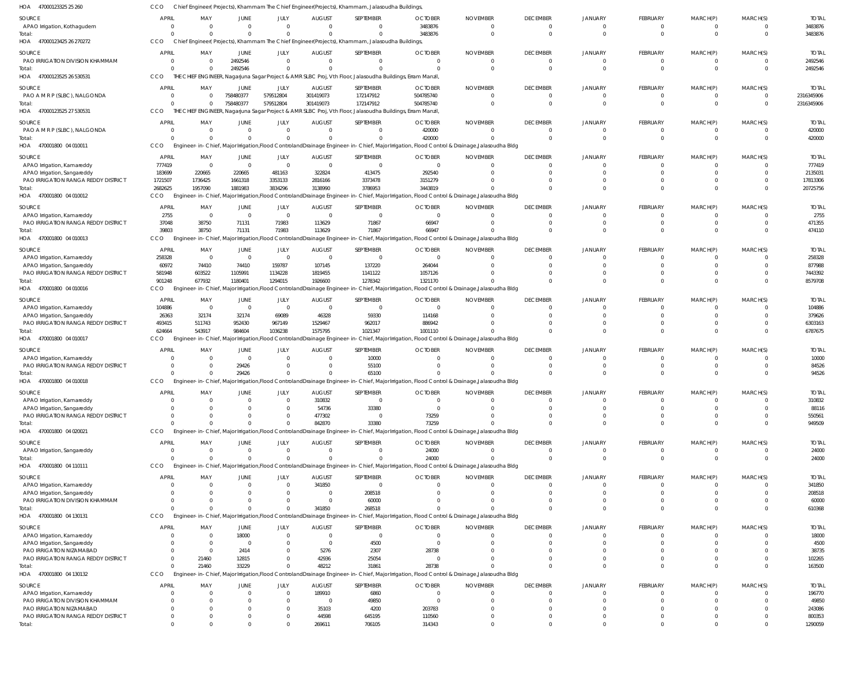| HOA<br>47000123325 25 260                                          | CCO                      |                    |                        |                          |                            | Chief Engineer(Projects), Khammam The Chief Engineer(Projects), Khammam, Jalasoudha Buildings, |                                                                                                                                                          |                           |                                   |                            |                            |                           |                      |                            |
|--------------------------------------------------------------------|--------------------------|--------------------|------------------------|--------------------------|----------------------------|------------------------------------------------------------------------------------------------|----------------------------------------------------------------------------------------------------------------------------------------------------------|---------------------------|-----------------------------------|----------------------------|----------------------------|---------------------------|----------------------|----------------------------|
| SOURCE                                                             | <b>APRIL</b>             | MAY                | <b>JUNE</b>            | JULY                     | <b>AUGUST</b>              | SEPTEMBER                                                                                      | <b>OCTOBER</b>                                                                                                                                           | <b>NOVEMBER</b>           | <b>DECEMBER</b>                   | <b>JANUARY</b>             | <b>FEBRUARY</b>            | MARCH(P)                  | MARCH(S)             | <b>TOTAI</b>               |
| APAO Irrigation, Kothagudem                                        | $\overline{0}$           | $\Omega$           | $\overline{0}$         | $\mathbf{0}$             | $\Omega$                   | $\Omega$                                                                                       | 3483876                                                                                                                                                  | - 0                       | $\mathbf{0}$                      | $\overline{0}$             | $^{\circ}$                 | $^{\circ}$                | $\Omega$             | 3483876                    |
| Total:                                                             | $\Omega$                 |                    | $\Omega$               | $\Omega$                 | $\Omega$                   | $\Omega$                                                                                       | 3483876                                                                                                                                                  | $\Omega$                  | $\overline{0}$                    | $\Omega$                   | $\mathbf 0$                | $\mathbf 0$               | $\Omega$             | 3483876                    |
| 47000123425 26 270272<br>HOA                                       | CCO                      |                    |                        |                          |                            | Chief Engineer(Projects), Khammam The Chief Engineer(Projects), Khammam, Jalasoudha Buildings, |                                                                                                                                                          |                           |                                   |                            |                            |                           |                      |                            |
| SOURCE                                                             | <b>APRIL</b>             | MAY                | JUNE                   | JULY                     | <b>AUGUST</b>              | SEPTEMBER                                                                                      | <b>OCTOBER</b>                                                                                                                                           | <b>NOVEMBER</b>           | <b>DECEMBER</b>                   | JANUARY                    | FEBRUARY                   | MARCH(P)                  | MARCH(S)             | <b>TOTAL</b>               |
| PAO IRRIGATION DIVISION KHAMMAM                                    | $\overline{0}$           |                    | 2492546                | $\mathbf 0$              | $\Omega$                   | $\overline{0}$                                                                                 | $\Omega$                                                                                                                                                 | $\Omega$                  | $\overline{0}$                    | $\overline{0}$             | $\overline{0}$             | $\overline{0}$            | $\mathbf 0$          | 2492546                    |
| Total:<br>47000123525 26 530531<br>HOA                             | $\Omega$<br>CCO          |                    | 2492546                | $\Omega$                 |                            | $\Omega$                                                                                       | THE CHIEF ENGINEER, Nagarjuna Sagar Project & AMR SLBC Proj, Vth Floor, Jalasoudha Buildings, Erram Manzil,                                              |                           | $\overline{0}$                    | $\overline{0}$             | $\mathbf 0$                | $\mathbf 0$               | $\Omega$             | 2492546                    |
|                                                                    |                          |                    |                        |                          |                            |                                                                                                |                                                                                                                                                          |                           |                                   |                            |                            |                           |                      |                            |
| SOURCE<br>PAO A M R P (SLBC), NALGONDA                             | <b>APRIL</b><br>$\Omega$ | MAY<br>$\Omega$    | JUNE<br>758480377      | JULY<br>579512804        | <b>AUGUST</b><br>301419073 | SEPTEMBER<br>172147912                                                                         | <b>OCTOBER</b><br>504785740                                                                                                                              | <b>NOVEMBER</b><br>- 0    | <b>DECEMBER</b><br>$\mathbf{0}$   | JANUARY<br>$\overline{0}$  | FEBRUARY<br>$^{\circ}$     | MARCH(P)<br>$^{\circ}$    | MARCH(S)<br>$\Omega$ | <b>TOTAI</b><br>2316345906 |
| Total:                                                             | $\Omega$                 | $\Omega$           | 758480377              | 579512804                | 301419073                  | 172147912                                                                                      | 504785740                                                                                                                                                | - 0                       | $\overline{0}$                    | $\Omega$                   | $\mathbf 0$                | $\mathbf{0}$              | $\mathbf 0$          | 2316345906                 |
| HOA 47000123525 27 530531                                          | CCO                      |                    |                        |                          |                            |                                                                                                | THE CHIEF ENGINEER, Nagarjuna Sagar Project & AMR SLBC Proj, Vth Floor, Jalasoudha Buildings, Erram Manzil,                                              |                           |                                   |                            |                            |                           |                      |                            |
| SOURCE                                                             | <b>APRIL</b>             | MAY                | <b>JUNE</b>            | JULY                     | <b>AUGUST</b>              | SEPTEMBER                                                                                      | <b>OCTOBER</b>                                                                                                                                           | <b>NOVEMBER</b>           | <b>DECEMBER</b>                   | JANUARY                    | <b>FEBRUARY</b>            | MARCH(P)                  | MARCH(S)             | <b>TOTAL</b>               |
| PAO A M R P (SLBC), NALGONDA                                       | 0                        | - 0                | $\overline{0}$         | $\mathbf{0}$             | $\Omega$                   | $\mathbf 0$                                                                                    | 420000                                                                                                                                                   |                           | $\mathbf{0}$                      | $\overline{0}$             | $\mathbf 0$                | $^{\circ}$                | 0                    | 420000                     |
| Total:                                                             | C                        |                    | $\Omega$               | $\Omega$                 | $\Omega$                   | $\mathbf 0$                                                                                    | 420000                                                                                                                                                   |                           | $\overline{0}$                    | $\Omega$                   | $\mathbf 0$                | $\mathbf 0$               | $\Omega$             | 420000                     |
| HOA 470001800 04 010011                                            | CCO                      |                    |                        |                          |                            |                                                                                                | Engineer-in-Chief, Major Irrigation, Flood Controland Drainage Engineer-in-Chief, Major Irrigation, Flood Control & Drainage, Jalasoudha Bldg            |                           |                                   |                            |                            |                           |                      |                            |
| SOURCE                                                             | <b>APRIL</b>             | MAY                | JUNE                   | JULY                     | <b>AUGUST</b>              | SEPTEMBER                                                                                      | <b>OCTOBER</b>                                                                                                                                           | <b>NOVEMBER</b>           | <b>DECEMBER</b>                   | <b>JANUARY</b>             | FEBRUARY                   | MARCH(P)                  | MARCH(S)             | <b>TOTAI</b>               |
| APAO Irrigation, Kamareddy                                         | 777419                   | $\Omega$           | $\overline{0}$         | $\overline{0}$           | $\Omega$                   | $\overline{0}$                                                                                 | $\Omega$                                                                                                                                                 |                           | $\mathbf{0}$                      | $\Omega$                   | $\mathbf 0$                | $^{\circ}$                |                      | 777419                     |
| APAO Irrigation, Sangareddy                                        | 183699                   | 220665             | 220665                 | 481163                   | 322824                     | 413475                                                                                         | 292540                                                                                                                                                   |                           | $\Omega$                          | $\Omega$                   | $\Omega$                   | $\Omega$                  |                      | 2135031                    |
| PAO IRRIGATION RANGA REDDY DISTRICT<br>Total:                      | 1721507<br>2682625       | 1736425<br>1957090 | 1661318<br>1881983     | 3353133<br>3834296       | 2816166<br>3138990         | 3373478<br>3786953                                                                             | 3151279<br>3443819                                                                                                                                       |                           | $\Omega$<br>$\Omega$              | $\Omega$<br>$\Omega$       | $\mathbf 0$<br>$\Omega$    | $\mathbf 0$<br>$\Omega$   |                      | 17813306<br>20725756       |
| HOA 470001800 04 010012                                            | <b>CCO</b>               |                    |                        |                          |                            |                                                                                                | Engineer-in-Chief, Major Irrigation, Flood Controland Drainage Engineer-in-Chief, Major Irrigation, Flood Control & Drainage, Jalasoudha Bldg            |                           |                                   |                            |                            |                           |                      |                            |
| SOURCE                                                             | <b>APRIL</b>             | MAY                | JUNE                   | JULY                     | <b>AUGUST</b>              | SEPTEMBER                                                                                      | <b>OCTOBER</b>                                                                                                                                           | <b>NOVEMBER</b>           | <b>DECEMBER</b>                   | JANUARY                    | FEBRUARY                   | MARCH(P)                  | MARCH(S)             | <b>TOTAI</b>               |
| APAO Irrigation, Kamareddy                                         | 2755                     | $\Omega$           | $\overline{0}$         | $\overline{0}$           | $\Omega$                   | $\overline{0}$                                                                                 | $\Omega$                                                                                                                                                 | $\cap$                    | $\overline{0}$                    | $\overline{0}$             | $\mathbf 0$                | $\mathbf 0$               | $\Omega$             | 2755                       |
| PAO IRRIGATION RANGA REDDY DISTRICT                                | 37048                    | 38750              | 71131                  | 71983                    | 113629                     | 71867                                                                                          | 66947                                                                                                                                                    |                           | $\Omega$                          | $\Omega$                   | $\mathbf 0$                | $\mathbf 0$               | $\Omega$             | 471355                     |
| Total:                                                             | 39803                    | 38750              | 71131                  | 71983                    | 113629                     | 71867                                                                                          | 66947                                                                                                                                                    |                           | $\Omega$                          | $\Omega$                   | $\mathbf 0$                | $\mathbf 0$               | $\Omega$             | 474110                     |
| HOA 470001800 04 010013                                            | CCO                      |                    |                        |                          |                            |                                                                                                | Engineer-in-Chief, Major Irrigation, Flood Controland Drainage Engineer-in-Chief, Major Irrigation, Flood Control & Drainage, Jalasoudha Bldg            |                           |                                   |                            |                            |                           |                      |                            |
| SOURCE                                                             | <b>APRIL</b>             | MAY                | JUNE                   | JULY                     | <b>AUGUST</b>              | SEPTEMBER                                                                                      | <b>OCTOBER</b>                                                                                                                                           | <b>NOVEMBER</b>           | <b>DECEMBER</b>                   | <b>JANUARY</b>             | FEBRUARY                   | MARCH(P)                  | MARCH(S)             | <b>TOTAI</b>               |
| APAO Irrigation, Kamareddy                                         | 258328                   | $\Omega$           | $\overline{0}$         | $\overline{0}$           | $\Omega$                   | $\overline{0}$                                                                                 | $\Omega$                                                                                                                                                 |                           | $\overline{0}$                    | $\Omega$                   | $\mathbf 0$                | $\Omega$                  |                      | 258328                     |
| APAO Irrigation, Sangareddy                                        | 60972                    | 74410              | 74410                  | 159787                   | 107145                     | 137220                                                                                         | 264044                                                                                                                                                   |                           | $\Omega$                          | $\Omega$                   | $\mathbf 0$                | $\Omega$                  |                      | 877988                     |
| PAO IRRIGATION RANGA REDDY DISTRICT                                | 581948                   | 603522             | 1105991                | 1134228                  | 1819455                    | 1141122                                                                                        | 1057126                                                                                                                                                  |                           | $\Omega$                          | $\Omega$                   | $\mathbf 0$                | $\mathbf 0$               |                      | 7443392                    |
| Total:<br>HOA 470001800 04 010016                                  | 901248<br>CCO            | 677932             | 1180401                | 1294015                  | 1926600                    | 1278342                                                                                        | 1321170<br>Engineer-in-Chief, Major Irrigation, Flood Controland Drainage Engineer-in-Chief, Major Irrigation, Flood Control & Drainage, Jalasoudha Bldg |                           | $\Omega$                          | $\Omega$                   | $\Omega$                   | $\Omega$                  |                      | 8579708                    |
|                                                                    |                          |                    |                        |                          |                            |                                                                                                |                                                                                                                                                          |                           |                                   |                            |                            |                           |                      |                            |
| SOURCE                                                             | <b>APRIL</b><br>104886   | MAY<br>$\Omega$    | JUNE<br>$\overline{0}$ | JULY<br>$\overline{0}$   | <b>AUGUST</b><br>$\Omega$  | SEPTEMBER<br>$\overline{0}$                                                                    | <b>OCTOBER</b><br>$\Omega$                                                                                                                               | <b>NOVEMBER</b><br>$\cap$ | <b>DECEMBER</b><br>$\overline{0}$ | JANUARY<br>$\overline{0}$  | FEBRUARY<br>$\mathbf 0$    | MARCH(P)<br>$\mathbf 0$   | MARCH(S)<br>$\Omega$ | <b>TOTAL</b><br>104886     |
| APAO Irrigation, Kamareddy<br>APAO Irrigation, Sangareddy          | 26363                    | 32174              | 32174                  | 69089                    | 46328                      | 59330                                                                                          | 114168                                                                                                                                                   |                           | $\Omega$                          | $\Omega$                   | $\mathbf 0$                | $\mathbf 0$               |                      | 379626                     |
| PAO IRRIGATION RANGA REDDY DISTRICT                                | 493415                   | 511743             | 952430                 | 967149                   | 1529467                    | 962017                                                                                         | 886942                                                                                                                                                   |                           | $\Omega$                          | $\Omega$                   | $\mathbf 0$                | $\mathbf 0$               |                      | 6303163                    |
| Total:                                                             | 624664                   | 543917             | 984604                 | 1036238                  | 1575795                    | 1021347                                                                                        | 1001110                                                                                                                                                  |                           | $\Omega$                          | $\Omega$                   | $\Omega$                   | $\mathbf 0$               | $\Omega$             | 6787675                    |
| HOA 470001800 04 010017                                            | <b>CCO</b>               |                    |                        |                          |                            |                                                                                                | Engineer-in-Chief, Major Irrigation, Flood Controland Drainage Engineer-in-Chief, Major Irrigation, Flood Control & Drainage, Jalasoudha Bldg            |                           |                                   |                            |                            |                           |                      |                            |
| SOURCE                                                             | <b>APRIL</b>             | MAY                | JUNE                   | JULY                     | <b>AUGUST</b>              | SEPTEMBER                                                                                      | <b>OCTOBER</b>                                                                                                                                           | <b>NOVEMBER</b>           | <b>DECEMBER</b>                   | <b>JANUARY</b>             | FEBRUARY                   | MARCH(P)                  | MARCH(S)             | <b>TOTAI</b>               |
| APAO Irrigation, Kamareddy                                         | $\Omega$                 |                    | $\Omega$               | $\mathbf{0}$             | $\Omega$                   | 10000                                                                                          |                                                                                                                                                          | $\cap$                    | $\Omega$                          | $\Omega$                   | $\Omega$                   | $\Omega$                  |                      | 10000                      |
| PAO IRRIGATION RANGA REDDY DISTRICT                                | $\Omega$                 |                    | 29426                  | $\mathbf{0}$             |                            | 55100                                                                                          |                                                                                                                                                          |                           | $\Omega$                          |                            | $\mathbf 0$                | $^{\circ}$                |                      | 84526                      |
| Total                                                              |                          |                    | 29426                  | $\Omega$                 | $\Omega$                   | 65100                                                                                          |                                                                                                                                                          |                           | $\Omega$                          | $\Omega$                   | $\mathbf 0$                | $\Omega$                  |                      | 94526                      |
| HOA 470001800 04 010018                                            | CCO                      |                    |                        |                          |                            |                                                                                                | Engineer-in-Chief, Major Irrigation, Flood Controland Drainage Engineer-in-Chief, Major Irrigation, Flood Control & Drainage, Jalasoudha Bldg            |                           |                                   |                            |                            |                           |                      |                            |
| SOURCE                                                             | <b>APRIL</b>             | MAY                | <b>JUNE</b>            | JULY                     | <b>AUGUST</b>              | SEPTEMBER                                                                                      | <b>OCTOBER</b>                                                                                                                                           | <b>NOVEMBER</b>           | <b>DECEMBER</b>                   | <b>JANUARY</b>             | FEBRUARY                   | MARCH(P)                  | MARCH(S)             | <b>TOTAL</b>               |
| APAO Irrigation, Kamareddy                                         | $\Omega$                 |                    | $\Omega$               | $\mathbf{0}$<br>$\Omega$ | 310832                     | $\overline{0}$                                                                                 | $\Omega$<br>$\Omega$                                                                                                                                     |                           | $\Omega$<br>$\Omega$              | $\Omega$                   | $\mathbf 0$<br>$\Omega$    | $^{\circ}$                |                      | 310832                     |
| APAO Irrigation, Sangareddy<br>PAO IRRIGATION RANGA REDDY DISTRICT | C                        |                    |                        | $\Omega$                 | 54736<br>477302            | 33380<br>$\overline{0}$                                                                        | 73259                                                                                                                                                    |                           |                                   | $\Omega$                   | $\Omega$                   | $^{\circ}$<br>$\Omega$    |                      | 88116<br>550561            |
| Total:                                                             | $\Omega$                 |                    | U                      | $\Omega$                 | 842870                     | 33380                                                                                          | 73259                                                                                                                                                    |                           | $\Omega$                          | $\Omega$                   | $\Omega$                   | $\mathbf 0$               |                      | 949509                     |
| HOA 470001800 04 020021                                            | CCO                      |                    |                        |                          |                            |                                                                                                | Engineer-in-Chief, Major Irrigation, Flood Controland Drainage Engineer-in-Chief, Major Irrigation, Flood Control & Drainage, Jalasoudha Bldg            |                           |                                   |                            |                            |                           |                      |                            |
| SOURCE                                                             | <b>APRIL</b>             | MAY                | <b>JUNE</b>            | JULY                     | <b>AUGUST</b>              | SEPTEMBER                                                                                      | <b>OCTOBER</b>                                                                                                                                           | <b>NOVEMBER</b>           | <b>DECEMBER</b>                   | JANUARY                    | FEBRUARY                   | MARCH(P)                  | MARCH(S)             | <b>TOTAL</b>               |
| APAO Irrigation, Sangareddy                                        | 0                        | $\Omega$           | $\mathbf{0}$           | $\mathbf 0$              | $\Omega$                   | $\overline{0}$                                                                                 | 24000                                                                                                                                                    | $\cap$                    | $\Omega$                          | $\Omega$                   | $^{\circ}$                 | $^{\circ}$                |                      | 24000                      |
| Total:                                                             | $\Omega$                 |                    | $\Omega$               | $\Omega$                 | $\Omega$                   | $\Omega$                                                                                       | 24000                                                                                                                                                    |                           | $\Omega$                          | $\Omega$                   | $\mathbf 0$                | $\mathbf 0$               | $\Omega$             | 24000                      |
| HOA 470001800 04 110111                                            | CCO                      |                    |                        |                          |                            |                                                                                                | Engineer-in-Chief, Major Irrigation, Flood Controland Drainage Engineer-in-Chief, Major Irrigation, Flood Control & Drainage, Jalasoudha Bldg            |                           |                                   |                            |                            |                           |                      |                            |
| SOURCE                                                             | <b>APRIL</b>             | MAY                | JUNE                   | JULY                     | <b>AUGUST</b>              | SEPTEMBER                                                                                      | <b>OCTOBER</b>                                                                                                                                           | <b>NOVEMBER</b>           | <b>DECEMBER</b>                   | JANUARY                    | FEBRUARY                   | MARCH(P)                  | MARCH(S)             | <b>TOTAL</b>               |
| APAO Irrigation, Kamareddy                                         | C                        |                    | $\mathbf{0}$           | $\mathbf{0}$             | 341850                     | $\overline{0}$                                                                                 |                                                                                                                                                          |                           | $\overline{0}$                    | $\overline{0}$             | $\mathbf 0$                | $^{\circ}$                |                      | 341850                     |
| APAO Irrigation, Sangareddy                                        |                          |                    | <sup>0</sup>           | $\Omega$                 | $\Omega$                   | 208518                                                                                         |                                                                                                                                                          |                           | $\Omega$                          | $\Omega$                   | $\mathbf 0$                | $\mathbf 0$               |                      | 208518                     |
| PAO IRRIGATION DIVISION KHAMMAM<br>Total:                          | -C<br>C                  |                    | 0<br>$\Omega$          | $\mathbf{0}$<br>$\Omega$ | 341850                     | 60000<br>268518                                                                                |                                                                                                                                                          |                           | $\Omega$<br>$\Omega$              | $\Omega$<br>$\Omega$       | $\mathbf 0$<br>$\mathbf 0$ | $^{\circ}$<br>$\mathbf 0$ | $\Omega$             | 60000<br>610368            |
| HOA 470001800 04 130131                                            | CCO                      |                    |                        |                          |                            |                                                                                                | Engineer-in-Chief, Major Irrigation, Flood Controland Drainage Engineer-in-Chief, Major Irrigation, Flood Control & Drainage, Jalasoudha Bldg            |                           |                                   |                            |                            |                           |                      |                            |
|                                                                    | <b>APRIL</b>             |                    |                        |                          |                            |                                                                                                |                                                                                                                                                          |                           |                                   |                            |                            |                           |                      |                            |
| SOURCE                                                             |                          | MAY                | JUNE<br>18000          | JULY<br>$\Omega$         | <b>AUGUST</b><br>$\Omega$  | SEPTEMBER<br>$\overline{0}$                                                                    | <b>OCTOBER</b><br>$\cap$                                                                                                                                 | <b>NOVEMBER</b>           | <b>DECEMBER</b><br>$\overline{0}$ | JANUARY<br>$\Omega$        | FEBRUARY<br>$^{\circ}$     | MARCH(P)<br>$\Omega$      | MARCH(S)             | <b>TOTAL</b><br>18000      |
| APAO Irrigation, Kamareddy<br>APAO Irrigation, Sangareddy          |                          | - 0                | $\Omega$               | $\Omega$                 | $\Omega$                   | 4500                                                                                           | $\Omega$                                                                                                                                                 |                           | $\Omega$                          | $\Omega$                   | $\Omega$                   | $\Omega$                  |                      | 4500                       |
| PAO IRRIGATION NIZAMABAD                                           |                          | $\Omega$           | 2414                   | $\Omega$                 | 5276                       | 2307                                                                                           | 28738                                                                                                                                                    |                           |                                   |                            |                            |                           |                      | 38735                      |
| PAO IRRIGATION RANGA REDDY DISTRICT                                |                          | 21460              | 12815                  | $\Omega$                 | 42936                      | 25054                                                                                          |                                                                                                                                                          |                           |                                   | $\Omega$                   | $\Omega$                   | $\Omega$                  |                      | 102265                     |
| Total:                                                             | $\Omega$                 | 21460              | 33229                  | $\Omega$                 | 48212                      | 31861                                                                                          | 28738                                                                                                                                                    |                           | $\Omega$                          | $\Omega$                   | $\Omega$                   | $\mathbf 0$               |                      | 163500                     |
| HOA 470001800 04 130132                                            | CCO                      |                    |                        |                          |                            |                                                                                                | Engineer-in-Chief, Major Irrigation, Flood Controland Drainage Engineer-in-Chief, Major Irrigation, Flood Control & Drainage, Jalasoudha Bldg            |                           |                                   |                            |                            |                           |                      |                            |
| SOURCE                                                             | APRIL                    | MAY                | <b>JUNE</b>            | JULY                     | <b>AUGUST</b>              | SEPTEMBER                                                                                      | <b>OCTOBER</b>                                                                                                                                           | <b>NOVEMBER</b>           | <b>DECEMBER</b>                   | JANUARY                    | FEBRUARY                   | MARCH(P)                  | MARCH(S)             | <b>TOTAL</b>               |
| APAO Irrigation, Kamareddy                                         | C                        |                    | $\overline{0}$         | $\mathbf{0}$             | 189910                     | 6860                                                                                           |                                                                                                                                                          |                           | $\overline{0}$                    | $\Omega$                   | $\mathbf 0$                | $^{\circ}$                |                      | 196770                     |
| PAO IRRIGATION DIVISION KHAMMAM                                    | C                        |                    |                        | $\mathbf 0$              | - 0                        | 49850                                                                                          |                                                                                                                                                          |                           | $\Omega$                          | $\Omega$                   | $\mathbf 0$                | $\Omega$                  |                      | 49850                      |
| PAO IRRIGATION NIZAMABAD<br>PAO IRRIGATION RANGA REDDY DISTRICT    | $\Omega$<br>$\Omega$     |                    |                        | $\Omega$<br>$\mathbf 0$  | 35103<br>44598             | 4200<br>645195                                                                                 | 203783<br>110560                                                                                                                                         |                           | $\Omega$<br>$\Omega$              | $\Omega$<br>$\overline{0}$ | $\mathbf 0$<br>$\Omega$    | $\Omega$<br>$\mathbf 0$   |                      | 243086<br>800353           |
| Total:                                                             | $\Omega$                 |                    | $\Omega$               | $\Omega$                 | 269611                     | 706105                                                                                         | 314343                                                                                                                                                   |                           | $\Omega$                          | $\Omega$                   | $\Omega$                   | $\Omega$                  |                      | 1290059                    |
|                                                                    |                          |                    |                        |                          |                            |                                                                                                |                                                                                                                                                          |                           |                                   |                            |                            |                           |                      |                            |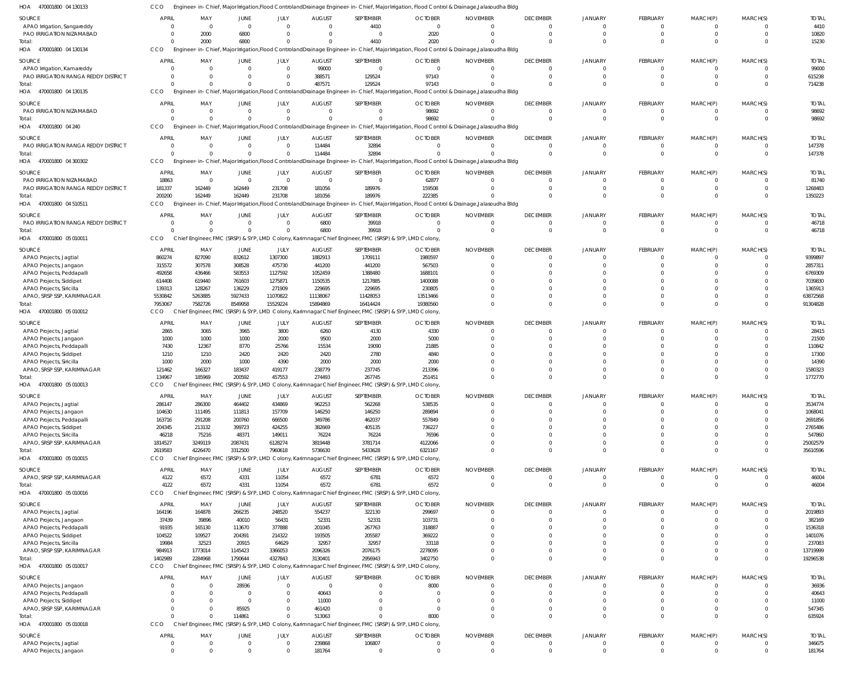470001800 04 130134 470001800 04 130135 HOA 470001800 04 240 470001800 04 300302 HOA 470001800 04 510511 470001800 05 010011 HOA 470001800 05 010012 470001800 05 010013 HOA 470001800 05 010015 HOA 470001800 05 010016 470001800 05 010017 HOA 470001800 05 010018 HOA HOA HOA HOA HOA HOA Engineer-in-Chief, Major Irrigation,Flood ControlandDrainage Engineer-in-Chief, Major Irrigation, Flood Control & Drainage,Jalasoudha Bldg Engineer-in-Chief, Major Irrigation,Flood ControlandDrainage Engineer-in-Chief, Major Irrigation, Flood Control & Drainage,Jalasoudha Bldg Engineer-in-Chief, Major Irrigation,Flood ControlandDrainage Engineer-in-Chief, Major Irrigation, Flood Control & Drainage,Jalasoudha Bldg Engineer-in-Chief, Major Irrigation,Flood ControlandDrainage Engineer-in-Chief, Major Irrigation, Flood Control & Drainage,Jalasoudha Bldg Engineer-in-Chief, Major Irrigation,Flood ControlandDrainage Engineer-in-Chief, Major Irrigation, Flood Control & Drainage,Jalasoudha Bldg CCO Chief Engineer, FMC (SRSP) & SYP, LMD Colony, Karimnagar Chief Engineer, FMC (SRSP) & SYP, LMD Colony, Chief Engineer, FMC (SRSP) & SYP, LMD Colony, Karimnagar Chief Engineer, FMC (SRSP) & SYP, LMD Colony, Chief Engineer, FMC (SRSP) & SYP, LMD Colony, Karimnagar Chief Engineer, FMC (SRSP) & SYP, LMD Colony, Chief Engineer, FMC (SRSP) & SYP, LMD Colony, Karimnagar Chief Engineer, FMC (SRSP) & SYP, LMD Colony, Chief Engineer, FMC (SRSP) & SYP, LMD Colony, Karimnagar Chief Engineer, FMC (SRSP) & SYP, LMD Colony, Chief Engineer, FMC (SRSP) & SYP, LMD Colony, Karimnagar Chief Engineer, FMC (SRSP) & SYP, LMD Colony, Chief Engineer, FMC (SRSP) & SYP, LMD Colony, Karimnagar Chief Engineer, FMC (SRSP) & SYP, LMD Colony, **CCO CCO CCO** CCO CCO CCO **CCO** CCO CCO CCO **CCO**  $\Omega$  $\Omega$  $\Omega$ 0 200200 0 7953067 134967 2619583 4122 1402989  $\Omega$ 2000  $\Omega$  $\Omega$ 0 162449 0 7582726 185969 4226470 6572 2284968 0 6800  $\Omega$  $\Omega$ 0 162449 0 8549958 200592 3312500 4331 1790644 114861 0  $\Omega$  $\Omega$ 0 231708 0 15529224 457553 7960618 11054 4327843  $\Omega$  $\Omega$ 487571  $\Omega$ 114484 181056 6800 15894869 274493 5736630 6572 3130401 513063 4410 129524  $\Omega$ 32894 189976 39918 16414424 267745 5433628 6781 2956943 0 2020 97143 98692 0 222385 0 19380560 251451 6321167 6572 3402750 8000  $\Omega$  $\Omega$  $\Omega$ 0  $\Omega$ 0  $\Omega$  $\Omega$ 0  $\Omega$ 0  $\Omega$  $\Omega$  $\Omega$  $\Omega$ 0  $\Omega$ 0 0  $\Omega$ 0  $\Omega$ 0  $\Omega$  $\Omega$  $\Omega$  $\Omega$ 0 0 0 0 0 0  $\Omega$ 0  $\Omega$  $\Omega$  $\Omega$  $\Omega$ 0  $\Omega$ 0  $\Omega$  $\Omega$ 0  $\Omega$ 0  $\Omega$  $\Omega$  $\Omega$  $\Omega$ 0 0 0 0 0 0  $\Omega$ 0  $\Omega$  $\Omega$ 0  $\Omega$ 0  $\Omega$ 0 0  $\Omega$ 0  $\Omega$ 0  $\Omega$ 15230 714238 98692 147378 1350223 46718 91304828 1772770 35610596 46004 19296538 635924 APAO Irrigation, Sangareddy PAO IRRIGATION NIZAMABAD APAO Irrigation, Kamareddy PAO IRRIGATION RANGA REDDY DISTRICT PAO IRRIGATION NIZAMABAD PAO IRRIGATION RANGA REDDY DISTRICT PAO IRRIGATION NIZAMABAD PAO IRRIGATION RANGA REDDY DISTRICT PAO IRRIGATION RANGA REDDY DISTRICT APAO Projects, Jagtial APAO Projects, Jangaon APAO Projects, Peddapalli APAO Projects, Siddipet APAO Projects, Siricilla APAO, SRSP SSP, KARIMNAGAR APAO Projects, Jagtial APAO Projects, Jangaon APAO Projects, Peddapalli APAO Projects, Siddipet APAO Projects, Siricilla APAO, SRSP SSP, KARIMNAGAR APAO Projects, Jagtial APAO Projects, Jangaon APAO Projects, Peddapalli APAO Projects, Siddipet APAO Projects, Siricilla APAO, SRSP SSP, KARIMNAGAR APAO, SRSP SSP, KARIMNAGAR APAO Projects, Jagtial APAO Projects, Jangaon APAO Projects, Peddapalli APAO Projects, Siddipet APAO Projects, Siricilla APAO, SRSP SSP, KARIMNAGAR APAO Projects, Jangaon APAO Projects, Peddapalli APAO Projects, Siddipet APAO, SRSP SSP, KARIMNAGAR APAO Projects, Jagtial APAO Projects, Jangaon SOURCE SOURCE SOURCE **SOURCE** SOURCE SOURCE **SOURCE** SOURCE SOURCE SOURCE SOURCE **SOURCE** SOURCE 0 0 0 0 0  $\Omega$ 18863 181337 0 860274 315572 492658 614408 139313 5530842 2865 1000 7430 1210 1000 121462 286147 104630 163716 204345 46218 1814527 4122 164196 37439 91935 104522 19984 984913 0  $\Omega$  $\Omega$ 0 0 0 APRIL APRIL **APRIL** APRIL APRIL APRIL APRIL APRIL APRIL **APRIL** APRIL APRIL APRIL  $\Omega$ 2000 0 0 0  $\Omega$ 0 162449 0 827090 307578 436466 619440 128267 5263885 3065 1000 12367 1210 2000 166327 286300 111495 291208 213132 75216 3249119 6572 164878 39896 165130 109527 32523 1773014 0 0 0 0 0 0 MAY MAY MAY MAY MAY MAY MAY MAY MAY MAY MAY MAY MAY  $\Omega$ 6800 0 0 0  $\Omega$ 0 162449  $\Omega$ 832612 308528 583553 761603 136229 5927433 3965 1000 8770 2420 1000 183437 464402 111813 200760 399723 48371 2087431 4331 266235 40010 113670 204391 20915 1145423 28936  $\Omega$  $\Omega$ 85925 0 0 JUNE JUNE JUNE JUNE **JUNE** JUNE JUNE JUNE JUNE JUNE JUNE JUNE JUNE  $\Omega$ 0 0  $\Omega$ 0  $\Omega$  $\Omega$ 231708 0 1307300 475730 1127592 1275871 271909 11070822 3800 2000 25766 2420 4390 419177 434869 157709 666500 424255 149011 6128274 11054 248520 56431 377888 214322 64629 3366053 0  $\Omega$  $\Omega$ 0  $\Omega$ 0 JULY JULY JULY JULY JULY JULY JULY JULY JULY JULY JULY JULY JULY 0 0 99000 388571 0 114484 0 181056 6800 1882913 441200 1052459 1150535 229695 11138067 6260 9500 15534 2420 2000 238779 962253 146250 349786 382669 76224 3819448 6572 554237 52331 201045 193505 32957 2096326  $\Omega$ 40643 11000 461420 239868 181764 AUGUST AUGUST AUGUST AUGUST **AUGUST** AUGUST **AUGUST** AUGUST AUGUST AUGUST AUGUST AUGUST AUGUST 4410 0  $\Omega$ 129524 0 32894 0 189976 39918 1709111 441200 1388480 1217885 229695 11428053 4130 2000 19090 2780 2000 237745 562268 146250 462037 405135 76224 3781714 6781 322130 52331 267763 205587 32957 2076175 0 0 0 0 106807 0 SEPTEMBER SEPTEMBER SEPTEMBER SEPTEMBER SEPTEMBER SEPTEMBER SEPTEMBER SEPTEMBER SEPTEMBER SEPTEMBER SEPTEMBER SEPTEMBER SEPTEMBER  $\Omega$ 2020 0 97143 98692  $\Omega$ 62877 159508  $\Omega$ 1980597 567503 1688101 1400088 230805 13513466 4330 5000 21885 4840 2000 213396 538535 289894 557849 736227 76596 4122066 6572 299697 103731 318887 369222 33118 2278095 8000  $\Omega$  $\Omega$ 0  $\Omega$ 0 **OCTOBER** OCTOBER **OCTOBER OCTOBER OCTOBER** OCTOBER **OCTOBER** OCTOBER **OCTOBER OCTOBER OCTOBER OCTOBER** OCTOBER 0 0  $\Omega$  $\Omega$ 0  $\bigcap$ 0  $\Omega$ 0 0 0 0 0  $\Omega$ 0  $\Omega$  $\Omega$ 0  $\Omega$ 0  $\Omega$ 0 0  $\Omega$ 0  $\Omega$  $\Omega$ 0  $\Omega$ 0 0 0 0  $\Omega$ 0  $\Omega$  $\Omega$ 0  $\Omega$ 0 NOVEMBER NOVEMBER NOVEMBER NOVEMBER NOVEMBER NOVEMBER NOVEMBER NOVEMBER NOVEMBER NOVEMBER NOVEMBER NOVEMBER NOVEMBER  $\Omega$ 0  $\Omega$ 0 0  $\Omega$ 0  $\Omega$  $\bigcap$ 0  $\Omega$ 0 0  $\Omega$ 0  $\Omega$  $\bigcap$ 0  $\Omega$ 0 0  $\bigcap$ 0  $\Omega$ 0 0  $\Omega$ 0  $\Omega$ 0  $\Omega$  $\Omega$ 0  $\Omega$ 0  $\Omega$  $\Omega$ 0 0 0 DECEMBER DECEMBER DECEMBER DECEMBER **DECEMBER DECEMBER** DECEMBER DECEMBER DECEMBER **DECEMBER** DECEMBER DECEMBER DECEMBER 0 0 0 0 0  $\Omega$ 0  $\Omega$ 0  $\mathfrak{c}$  $\Omega$  $\sqrt{2}$ 0  $\Omega$ 0  $\Omega$  $\Omega$ 0  $\Omega$ 0 0  $\Omega$ 0  $\Omega$ 0  $\Omega$ 0 0  $\Omega$ 0 0  $\mathfrak{g}$ 0  $\Omega$ 0  $\Omega$  $\Omega$  $\mathbf{C}$ 0  $\,$  0  $\,$ JANUARY JANUARY JANUARY JANUARY JANUARY JANUARY JANUARY JANUARY JANUARY JANUARY JANUARY JANUARY JANUARY  $\Omega$ 0  $\Omega$ 0 0  $\Omega$ 0  $\Omega$  $\Omega$ 0  $\Omega$ 0 0  $\Omega$ 0  $\Omega$  $\Omega$ 0  $\Omega$ 0  $\Omega$  $\Omega$ 0  $\Omega$ 0  $\Omega$  $\Omega$ 0  $\Omega$ 0 0 0 0  $\Omega$ 0  $\Omega$  $\Omega$ 0 0 0 FEBRUARY FEBRUARY FEBRUARY FEBRUARY FEBRUARY FEBRUARY **FEBRUARY** FEBRUARY FEBRUARY FEBRUARY FEBRUARY FEBRUARY FEBRUARY  $\Omega$ 0  $\Omega$ 0 0  $\Omega$ 0  $\Omega$  $\Omega$ 0  $\Omega$  $\sqrt{2}$ 0  $\Omega$ 0  $\sqrt{2}$  $\Omega$ 0  $\Omega$ 0 0  $\sqrt{2}$ 0  $\Omega$ 0  $\Omega$  $\Omega$ 0  $\Omega$ 0  $\sqrt{2}$  $\Omega$ 0  $\Omega$ 0  $\Omega$  $\Omega$ 0 0 0 MARCH(P) MARCH(P) MARCH(P) MARCH(P) MARCH(P) MARCH(P) MARCH(P) MARCH(P) MARCH(P) MARCH(P) MARCH(P) MARCH(P) MARCH(P) 0 0  $\Omega$  $\Omega$ 0  $\sqrt{2}$ 0  $\Omega$ 0 0 0 0 0  $\Omega$ 0  $\Omega$ 0 0  $\cap$ 0  $\Omega$ 0 0  $\cap$ 0  $\Omega$  $\Omega$ 0  $\Omega$ 0 0 0 0  $\Omega$ 0  $\Omega$  $\Omega$ 0  $\Omega$ 0 MARCH(S) MARCH(S) MARCH(S) MARCH(S) MARCH(S) MARCH(S) MARCH(S) MARCH(S) MARCH(S) MARCH(S) MARCH(S) MARCH(S) MARCH(S) 4410 10820 99000 615238 98692 147378 81740 1268483 46718 9399897 2857311 6769309 7039830 1365913 63872568 28415 21500 110842 17300 14390 1580323 3534774 1068041 2691856 2765486 547860 25002579 46004 2019893 382169 1536318 1401076 237083 13719999 36936 40643 11000 547345 346675 181764 TOTAL TOTAL TOTAL TOTAL TOTAL TOTAL TOTAL TOTAL TOTAL TOTAL TOTAL TOTAL TOTAL Total: Total: Total: **Total** Total: Total: Total: Total: Total: Total: **Total** Total:

Engineer-in-Chief, Major Irrigation,Flood ControlandDrainage Engineer-in-Chief, Major Irrigation, Flood Control & Drainage,Jalasoudha Bldg

470001800 04 130133 HOA

CCO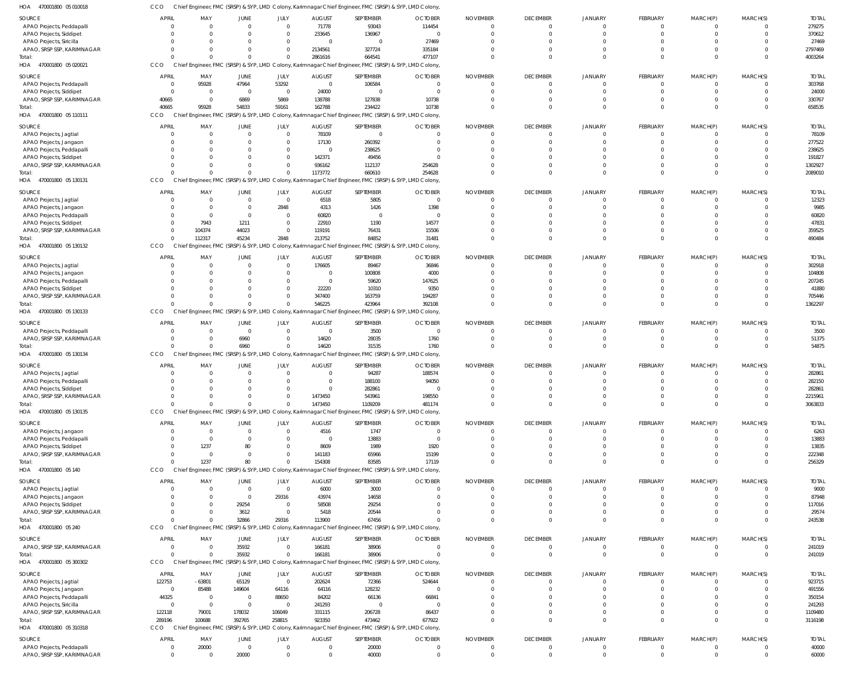470001800 05 020021 HOA 470001800 05 110111 HOA 470001800 05 130131 470001800 05 130132 HOA 470001800 05 130133 470001800 05 130134 HOA 470001800 05 130135 HOA 470001800 05 140 470001800 05 240 HOA 470001800 05 300302 470001800 05 310318 HOA HOA HOA HOA HOA Chief Engineer, FMC (SRSP) & SYP, LMD Colony, Karimnagar Chief Engineer, FMC (SRSP) & SYP, LMD Colony, Chief Engineer, FMC (SRSP) & SYP, LMD Colony, Karimnagar Chief Engineer, FMC (SRSP) & SYP, LMD Colony, Chief Engineer, FMC (SRSP) & SYP, LMD Colony, Karimnagar Chief Engineer, FMC (SRSP) & SYP, LMD Colony, Chief Engineer, FMC (SRSP) & SYP, LMD Colony, Karimnagar Chief Engineer, FMC (SRSP) & SYP, LMD Colony, Chief Engineer, FMC (SRSP) & SYP, LMD Colony, Karimnagar Chief Engineer, FMC (SRSP) & SYP, LMD Colony, Chief Engineer, FMC (SRSP) & SYP, LMD Colony, Karimnagar Chief Engineer, FMC (SRSP) & SYP, LMD Colony, Chief Engineer, FMC (SRSP) & SYP, LMD Colony, Karimnagar Chief Engineer, FMC (SRSP) & SYP, LMD Colony, Chief Engineer, FMC (SRSP) & SYP, LMD Colony, Karimnagar Chief Engineer, FMC (SRSP) & SYP, LMD Colony, Chief Engineer, FMC (SRSP) & SYP, LMD Colony, Karimnagar Chief Engineer, FMC (SRSP) & SYP, LMD Colony, Chief Engineer, FMC (SRSP) & SYP, LMD Colony, Karimnagar Chief Engineer, FMC (SRSP) & SYP, LMD Colony, Chief Engineer, FMC (SRSP) & SYP, LMD Colony, Karimnagar Chief Engineer, FMC (SRSP) & SYP, LMD Colony, **CCO** CCO CCO CCO CCO CCO **CCO CCO CCO CCO** CCO 0 40665  $\Omega$ 0 0 0 0  $\Omega$ 0 0 289196  $\Omega$ 95928  $\Omega$ 112317  $\Omega$ 0  $\bigcap$ 1237  $\Omega$  $\Omega$ 100688  $\Omega$ 54833  $\Omega$ 45234 0 6960  $\Omega$ 80 32866 35932 392765  $\Omega$ 59161  $\Omega$ 2848  $\Omega$ 0  $\bigcap$  $\Omega$ 29316  $\Omega$ 258815 2861616 162788 1173772 213752 546225 14620 1473450 154308 113900 166181 923350 664541 234422 660610 84852 423964 31535 1109209 83585 67456 38906 473462 477107 10738 254628 31481 392108 1760 481174 17119 0 0 677922 0  $\Omega$  $\Omega$ 0  $\Omega$ 0  $\Omega$  $\Omega$ 0  $\Omega$ 0  $\Omega$  $\Omega$  $\Omega$  $\Omega$ 0 0  $\bigcap$ 0 0  $\Omega$ 0  $\Omega$  $\Omega$  $\Omega$ 0 0  $\mathbf{C}$  $\Omega$ 0 0  $\Omega$ 0 0  $\Omega$  $\Omega$ 0  $\Omega$ 0  $\Omega$  $\Omega$ 0  $\Omega$ 0  $\Omega$  $\Omega$  $\Omega$ 0 0 0  $\Omega$ 0 0  $\Omega$ 0 0  $\Omega$  $\Omega$ 0 0 0  $\Omega$  $\Omega$ 0 0 0 4003264 658535 2089010 490484 1362297 54875 3063833 256329 243538 241019 3116198 APAO Projects, Peddapalli APAO Projects, Siddipet APAO Projects, Siricilla APAO, SRSP SSP, KARIMNAGAR APAO Projects, Peddapalli APAO Projects, Siddipet APAO, SRSP SSP, KARIMNAGAR APAO Projects, Jagtial APAO Projects, Jangaon APAO Projects, Peddapalli APAO Projects, Siddipet APAO, SRSP SSP, KARIMNAGAR APAO Projects, Jagtial APAO Projects, Jangaon APAO Projects, Peddapalli APAO Projects, Siddipet APAO, SRSP SSP, KARIMNAGAR APAO Projects, Jagtial APAO Projects, Jangaon APAO Projects, Peddapalli APAO Projects, Siddipet APAO, SRSP SSP, KARIMNAGAR APAO Projects, Peddapalli APAO, SRSP SSP, KARIMNAGAR APAO Projects, Jagtial APAO Projects, Peddapalli APAO Projects, Siddipet APAO, SRSP SSP, KARIMNAGAR APAO Projects, Jangaon APAO Projects, Peddapalli APAO Projects, Siddipet APAO, SRSP SSP, KARIMNAGAR APAO Projects, Jagtial APAO Projects, Jangaon APAO Projects, Siddipet APAO, SRSP SSP, KARIMNAGAR APAO, SRSP SSP, KARIMNAGAR APAO Projects, Jagtial APAO Projects, Jangaon APAO Projects, Peddapalli APAO Projects, Siricilla APAO, SRSP SSP, KARIMNAGAR APAO Projects, Peddapalli APAO, SRSP SSP, KARIMNAGAR SOURCE **SOURCE** SOURCE SOURCE SOURCE SOURCE SOURCE SOURCE **SOURCE SOURCE SOURCE SOURCE**  $\Omega$  $\mathbf{C}$  $\Omega$ 0  $\Omega$  $\sqrt{2}$ 40665 0  $\mathfrak{g}$  $\Omega$  $\Omega$ 0 0 0  $\Omega$  $\Omega$ 0 0  $\sqrt{2}$ 0  $\Omega$ 0 0  $\Omega$ 0  $\Omega$ 0  $\Omega$  $\Omega$ 0  $\Omega$  $\mathfrak{g}$  $\Omega$  $\Omega$ 0  $\Omega$ 0 122753  $\Omega$ 44325 0 122118 0  $\Omega$ APRIL APRIL APRIL APRIL APRIL APRIL **APRIL** APRIL APRIL APRIL **APPIL** APRIL  $\Omega$ 0  $\Omega$ 0 95928  $\Omega$ 0 0  $\Omega$  $\Omega$  $\Omega$ 0 0 0  $\Omega$ 7943 104374  $\Omega$  $\Omega$ 0  $\Omega$ 0 0 0 0  $\Omega$ 0  $\Omega$  $\Omega$ 0 1237 0  $\Omega$  $\Omega$ 0  $\Omega$ 0 -63801 85488 0 0 79001 20000  $\Omega$ MAY MAY MAY MAY MAY MAY MAY MAY MAY MAY MAY MAY  $\Omega$ 0  $\Omega$ 0 47964  $\Omega$ 6869 0 0  $\Omega$  $\Omega$  $\mathbf 0$  $\Omega$ 0  $\Omega$ 1211 44023  $\Omega$  $\Omega$ 0  $\Omega$ 0 0 6960 0  $\Omega$ 0 0  $\Omega$ 0 80 0  $\Omega$  $\Omega$ 29254 3612 35932 65129 149604 0 0 178032 0 20000 JUNE JUNE JUNE JUNE JUNE JUNE JUNE JUNE JUNE JUNE **JUNE** JUNE 0 0  $\Omega$ 0 53292  $\Omega$ 5869  $\Omega$ 0  $\Omega$  $\sqrt{2}$ 0 0 2848 0  $\Omega$ 0  $\Omega$ 0 0  $\sqrt{2}$ 0  $\Omega$  $\Omega$ 0  $\bigcap$ 0  $\Omega$  $\Omega$ 0  $\bigcap$ 0 0 29316 0  $\Omega$ 0 0 64116 88650  $\Omega$ 106049 0  $\Omega$ JULY JULY JULY JULY JULY JULY JULY JULY JULY JULY JULY JULY 71778 233645  $\Omega$ 2134561 0 24000 138788 78109 17130  $\Omega$ 142371 936162 6518 4313 60820 22910 119191 176605 0 0 22220 347400 0 14620 0  $\Omega$ 0 1473450 4516 0 8609 141183 6000 43974 58508 5418 166181 202624 64116 84202 241293 331115 0 0 AUGUST AUGUST AUGUST AUGUST AUGUST AUGUST AUGUST AUGUST AUGUST AUGUST **AUGUST AUGUST** 93043 136967 0 327724 106584  $\Omega$ 127838  $\Omega$ 260392 238625 49456 112137 5805 1426  $\cap$ 1190 76431 89467 100808 59620 10310 163759 3500 28035 94287 188100 282861 543961 1747 13883 1989 65966 3000 14658 29254 20544 38906 72366 128232 66136  $\Omega$ 206728 20000 40000 SEPTEMBER SEPTEMBER SEPTEMBER SEPTEMBER SEPTEMBER SEPTEMBER SEPTEMBER SEPTEMBER SEPTEMBER SEPTEMBER SEPTEMBER SEPTEMBER 114454 0 27469 335184  $\Omega$  $\Omega$ 10738  $\Omega$ 0 0 0 254628  $\Omega$ 1398 0 14577 15506 36846 4000 147625 9350 194287  $\Omega$ 1760 188574 94050 0 198550  $\Omega$ 0 1920 15199  $\Omega$  $\Omega$ 0  $\Omega$  $\Omega$ 524644 0 66841  $\Omega$ 86437 0  $\Omega$ **OCTOBER OCTOBER OCTOBER** OCTOBER OCTOBER OCTOBER **OCTOBER** OCTOBER **OCTOBER** OCTOBER **OCTOBER OCTOBER** 0 0  $\Omega$ 0 0  $\Omega$ 0 0 0  $\Omega$ 0 0  $\Omega$  $\Omega$ 0 0 0 0 0 0  $\sqrt{2}$ 0  $\Omega$  $\Omega$ 0  $\Omega$ 0  $\Omega$ 0 0  $\Omega$ 0  $\Omega$  $\Omega$ 0  $\Omega$ 0 0  $\Omega$ 0  $\Omega$ 0 0  $\Omega$ NOVEMBER NOVEMBER NOVEMBER NOVEMBER NOVEMBER NOVEMBER NOVEMBER NOVEMBER NOVEMBER NOVEMBER NOVEMBER NOVEMBER 0 0  $\Omega$ 0 0  $\Omega$ 0 0 0  $\Omega$ 0 0 0 0 0 0 0 0 0 0  $\Omega$ 0 0 0 0  $\bigcap$ 0 0 0 0  $\Omega$ 0 0  $\Omega$ 0  $\Omega$ 0 0  $\Omega$ 0  $\Omega$ 0 0  $\Omega$ DECEMBER DECEMBER DECEMBER DECEMBER DECEMBER DECEMBER DECEMBER DECEMBER DECEMBER DECEMBER **DECEMBER DECEMBER**  $\Omega$ 0  $\Omega$ 0  $\sqrt{2}$  $\Omega$ 0 0  $\Omega$  $\Omega$  $\Omega$ 0 0  $\Omega$  $\Omega$  $\Omega$  $\overline{0}$  $\sqrt{2}$  $\sqrt{2}$ 0  $\Omega$ 0 0  $\Omega$ 0  $\Omega$ 0 0  $\Omega$ 0  $\Omega$  $\epsilon$  $\Omega$  $\Omega$ 0  $\Omega$ 0 0  $\Omega$  $\Omega$ 0  $\Omega$ 0  $\Omega$ JANUARY JANUARY JANUARY JANUARY JANUARY JANUARY **JANUARY** JANUARY JANUARY JANUARY **JANUARY** JANUARY 0 0  $\Omega$ 0  $\Omega$  $\Omega$ 0  $\Omega$ 0  $\Omega$ 0 0  $\Omega$  $\Omega$  $\Omega$  $\sqrt{2}$ 0 0 0 0  $\sqrt{2}$ 0  $\Omega$  $\Omega$ 0  $\Omega$ 0  $\Omega$  $\Omega$ 0  $\sqrt{2}$ 0  $\Omega$  $\Omega$ 0  $\Omega$ 0 0  $\sqrt{2}$ 0  $\Omega$ 0 0  $\Omega$ FEBRUARY FEBRUARY FEBRUARY FEBRUARY FEBRUARY FEBRUARY FEBRUARY FEBRUARY FEBRUARY FEBRUARY FEBRUARY FEBRUARY  $\Omega$ 0  $\Omega$ 0  $\sqrt{2}$  $\Omega$ 0  $\Omega$  $\Omega$  $\Omega$  $\Omega$ 0  $\Omega$ 0  $\Omega$  $\Omega$ 0  $\sqrt{2}$  $\Omega$ 0  $\Omega$  $\mathfrak{o}$  $\sqrt{2}$  $\Omega$ 0  $\Omega$ 0  $\Omega$  $\Omega$ 0  $\Omega$ 0  $\Omega$  $\Omega$ 0  $\Omega$ 0 0  $\Omega$  $\mathfrak{o}$ 0  $\Omega$ 0  $\Omega$ MARCH(P) MARCH(P) MARCH(P) MARCH(P) MARCH(P) MARCH(P) MARCH(P) MARCH(P) MARCH(P) MARCH(P) MARCH(P) MARCH(P) 0 0  $\Omega$ 0 0  $\Omega$ 0 0 0  $\Omega$  $\Omega$ 0  $\Omega$ 0 0  $\Omega$ 0 0 0 0  $\Omega$ 0 0 0 0  $\bigcap$ 0  $\Omega$  $\Omega$ 0  $\bigcap$ 0  $\Omega$  $\Omega$ 0  $\Omega$ 0 0  $\Omega$ 0  $\Omega$  $\Omega$ 0  $\Omega$ MARCH(S) MARCH(S) MARCH(S) MARCH(S) MARCH(S) MARCH(S) MARCH(S) MARCH(S) MARCH(S) MARCH(S) MARCH(S) MARCH(S) 279275 370612 27469 2797469 303768 24000 330767 78109 277522 238625 191827 1302927 12323 9985 60820 47831 359525 302918 104808 207245 41880 705446 3500 51375 282861 282150 282861 2215961 6263 13883 13835 222348 9000 87948 117016 29574 241019 923715 491556 350154 241293 1109480 40000 60000 TOTAL TOTAL TOTAL TOTAL TOTAL TOTAL TOTAL TOTAL TOTAL TOTAL TOTAL TOTAL Total: Total: Total: Total: Total: Total: Total: Total: **Total** Total: Total:

Chief Engineer, FMC (SRSP) & SYP, LMD Colony, Karimnagar Chief Engineer, FMC (SRSP) & SYP, LMD Colony,

470001800 05 010018 HOA

CCO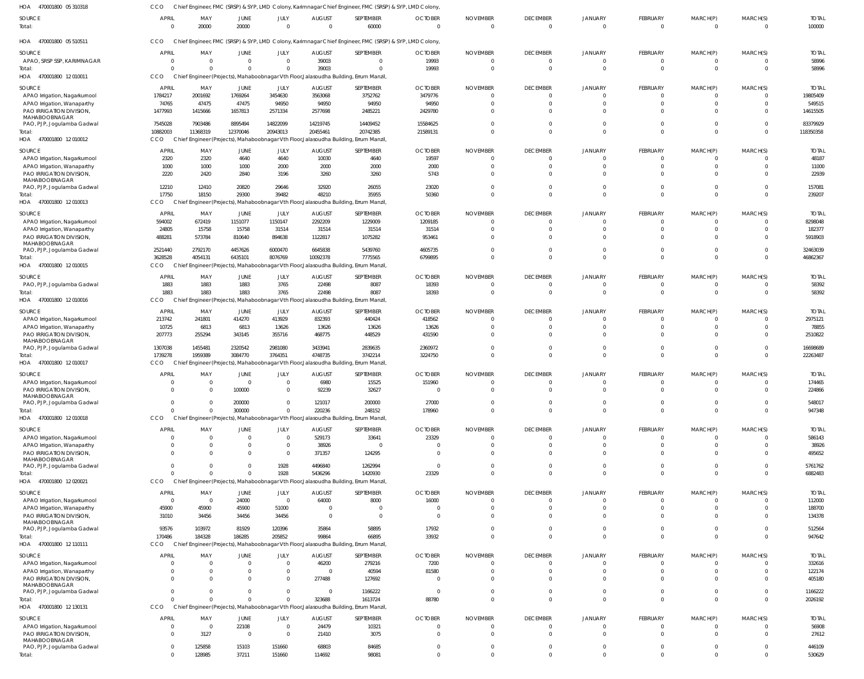| 470001800 05 310318<br>HOA                                   | CCO                  |                      |                      |                                  |                                 | Chief Engineer, FMC (SRSP) & SYP, LMD Colony, Karimnagar Chief Engineer, FMC (SRSP) & SYP, LMD Colony |                            |                             |                                   |                            |                                 |                         |                          |                        |
|--------------------------------------------------------------|----------------------|----------------------|----------------------|----------------------------------|---------------------------------|-------------------------------------------------------------------------------------------------------|----------------------------|-----------------------------|-----------------------------------|----------------------------|---------------------------------|-------------------------|--------------------------|------------------------|
| <b>SOURCE</b><br>Total:                                      | <b>APRIL</b>         | MAY<br>20000         | JUNE<br>20000        | JULY<br>$\overline{0}$           | <b>AUGUST</b><br>$\overline{0}$ | SEPTEMBER<br>60000                                                                                    | <b>OCTOBER</b><br>$\Omega$ | <b>NOVEMBER</b><br>$\Omega$ | <b>DECEMBER</b><br>$\overline{0}$ | <b>JANUARY</b><br>$\Omega$ | <b>FEBRUARY</b><br>$\mathbf{0}$ | MARCH(P)<br>$\mathbf 0$ | MARCH(S)<br>$\mathbf{0}$ | <b>TOTAL</b><br>100000 |
| HOA 470001800 05 510511                                      | CCO                  |                      |                      |                                  |                                 | Chief Engineer, FMC (SRSP) & SYP, LMD Colony, Karimnagar Chief Engineer, FMC (SRSP) & SYP, LMD Colony |                            |                             |                                   |                            |                                 |                         |                          |                        |
| SOURCE                                                       | <b>APRIL</b>         | MAY                  | JUNE                 | JULY                             | <b>AUGUST</b>                   | SEPTEMBER                                                                                             | <b>OCTOBER</b>             | <b>NOVEMBER</b>             | <b>DECEMBER</b>                   | <b>JANUARY</b>             | FEBRUARY                        | MARCH(P)                | MARCH(S)                 | <b>TOTAL</b>           |
| APAO, SRSP SSP, KARIMNAGAR                                   |                      | $\Omega$             | $\overline{0}$       | $\overline{0}$                   | 39003                           | $\mathbf 0$                                                                                           | 19993                      |                             | $\overline{0}$                    | $\Omega$                   | 0                               | 0                       |                          | 58996                  |
| Total:<br>HOA 470001800 12010011                             | CCO                  |                      | $\Omega$             | $\Omega$                         | 39003                           | $\Omega$<br>Chief Engineer (Projects), Mahaboobnagar Vth Floor, Jalasoudha Building, Errum Manzil,    | 19993                      |                             | $\overline{0}$                    | $\Omega$                   | $\mathbf 0$                     | $\Omega$                | $\Omega$                 | 58996                  |
| SOURCE                                                       | <b>APRIL</b>         | MAY                  | <b>JUNE</b>          | JULY                             | <b>AUGUST</b>                   | SEPTEMBER                                                                                             | <b>OCTOBER</b>             | <b>NOVEMBER</b>             | <b>DECEMBER</b>                   | JANUARY                    | <b>FEBRUARY</b>                 | MARCH(P)                | MARCH(S)                 | <b>TOTAL</b>           |
| APAO Irrigation, Nagarkurnool                                | 1784217              | 2001692              | 1769264              | 3454630                          | 3563068                         | 3752762                                                                                               | 3479776                    |                             | $\overline{0}$                    | $\Omega$                   | $\mathbf{0}$                    | 0                       |                          | 19805409               |
| APAO Irrigation, Wanaparthy                                  | 74765                | 47475                | 47475                | 94950                            | 94950                           | 94950                                                                                                 | 94950                      |                             | $\overline{0}$                    | $\Omega$                   | $\Omega$                        | $\Omega$                | $\Omega$                 | 549515                 |
| PAO IRRIGATION DIVISION.<br>MAHABOOBNAGAR                    | 1477993              | 1415666              | 1657813              | 2571334                          | 2577698                         | 2485221                                                                                               | 2429780                    |                             | $\Omega$                          | $\Omega$                   | $\Omega$                        |                         | $\Omega$                 | 14615505               |
| PAO, PJP, Jogulamba Gadwal                                   | 7545028              | 7903486              | 8895494              | 14822099                         | 14219745                        | 14409452                                                                                              | 15584625                   |                             | $\Omega$                          | $\Omega$                   | $\Omega$                        | 0                       | $\Omega$                 | 83379929               |
| Total:                                                       | 10882003             | 11368319             | 12370046             | 20943013                         | 20455461                        | 20742385                                                                                              | 21589131                   |                             | $\Omega$                          | $\Omega$                   | $\Omega$                        | $\Omega$                | $\Omega$                 | 118350358              |
| HOA 470001800 12010012                                       | CCO                  |                      |                      |                                  |                                 | Chief Engineer (Projects), Mahaboobnagar Vth Floor, Jalasoudha Building, Errum Manzil                 |                            |                             |                                   |                            |                                 |                         |                          |                        |
| SOURCE                                                       | <b>APRIL</b>         | MAY                  | JUNE                 | JULY<br>4640                     | <b>AUGUST</b>                   | SEPTEMBER                                                                                             | <b>OCTOBER</b>             | <b>NOVEMBER</b>             | <b>DECEMBER</b>                   | <b>JANUARY</b>             | <b>FEBRUARY</b>                 | MARCH(P)                | MARCH(S)                 | <b>TOTAL</b>           |
| APAO Irrigation, Nagarkurnool<br>APAO Irrigation, Wanaparthy | 2320<br>1000         | 2320<br>1000         | 4640<br>1000         | 2000                             | 10030<br>2000                   | 4640<br>2000                                                                                          | 19597<br>2000              |                             | $\overline{0}$<br>$\Omega$        | $\Omega$<br>$\Omega$       | $\mathbf{0}$<br>$\Omega$        | 0                       |                          | 48187<br>11000         |
| PAO IRRIGATION DIVISION,                                     | 2220                 | 2420                 | 2840                 | 3196                             | 3260                            | 3260                                                                                                  | 5743                       |                             | $\Omega$                          | $\Omega$                   | $\Omega$                        |                         |                          | 22939                  |
| MAHABOOBNAGAR<br>PAO, PJP, Jogulamba Gadwal                  | 12210                | 12410                | 20820                | 29646                            | 32920                           | 26055                                                                                                 | 23020                      |                             | $\Omega$                          | $\Omega$                   | $\Omega$                        |                         | $\Omega$                 | 157081                 |
| Total:                                                       | 17750                | 18150                | 29300                | 39482                            | 48210                           | 35955                                                                                                 | 50360                      |                             | $\Omega$                          | $\Omega$                   | $\Omega$                        | $\Omega$                | $\Omega$                 | 239207                 |
| HOA 470001800 12010013                                       | <b>CCO</b>           |                      |                      |                                  |                                 | Chief Engineer (Projects), Mahaboobnagar Vth Floor, Jalasoudha Building, Errum Manzil                 |                            |                             |                                   |                            |                                 |                         |                          |                        |
| SOURCE                                                       | <b>APRIL</b>         | MAY                  | JUNE                 | JULY                             | <b>AUGUST</b>                   | SEPTEMBER                                                                                             | <b>OCTOBER</b>             | <b>NOVEMBER</b>             | <b>DECEMBER</b>                   | <b>JANUARY</b>             | <b>FEBRUARY</b>                 | MARCH(P)                | MARCH(S)                 | <b>TOTAL</b>           |
| APAO Irrigation, Nagarkurnool                                | 594002               | 672419               | 1151077              | 1150147                          | 2292209                         | 1229009                                                                                               | 1209185                    | - 0                         | $\overline{0}$                    | $\Omega$                   | $\Omega$                        |                         |                          | 8298048                |
| APAO Irrigation, Wanaparthy                                  | 24805                | 15758                | 15758                | 31514                            | 31514                           | 31514                                                                                                 | 31514                      |                             | $\Omega$                          | $\Omega$                   | $\Omega$                        |                         |                          | 182377                 |
| PAO IRRIGATION DIVISION,<br>MAHABOOBNAGAR                    | 488281               | 573784               | 810640               | 894638                           | 1122817                         | 1075282                                                                                               | 953461                     |                             | $\Omega$                          | $\Omega$                   | $\Omega$                        |                         | $\Omega$                 | 5918903                |
| PAO, PJP, Jogulamba Gadwal                                   | 2521440              | 2792170              | 4457626              | 6000470                          | 6645838                         | 5439760                                                                                               | 4605735                    |                             | $\overline{0}$                    | $\Omega$                   | $\mathbf{0}$                    | 0                       | $\Omega$                 | 32463039               |
| Total:                                                       | 3628528              | 4054131              | 6435101              | 8076769                          | 10092378                        | 7775565                                                                                               | 6799895                    |                             | $\Omega$                          | $\Omega$                   | $\Omega$                        | $\Omega$                | $\Omega$                 | 46862367               |
| HOA 470001800 12010015                                       | <b>CCO</b>           |                      |                      |                                  |                                 | Chief Engineer (Projects), Mahaboobnagar Vth Floor, Jalasoudha Building, Errum Manzil                 |                            |                             |                                   |                            |                                 |                         |                          |                        |
| SOURCE                                                       | <b>APRIL</b><br>1883 | MAY<br>1883          | JUNE<br>1883         | JULY<br>3765                     | <b>AUGUST</b><br>22498          | SEPTEMBER<br>8087                                                                                     | <b>OCTOBER</b><br>18393    | <b>NOVEMBER</b>             | <b>DECEMBER</b><br>$\overline{0}$ | JANUARY<br>$\mathbf{0}$    | <b>FEBRUARY</b><br>$\mathbf{0}$ | MARCH(P)<br>0           | MARCH(S)<br>$\Omega$     | <b>TOTAL</b><br>58392  |
| PAO, PJP, Jogulamba Gadwal<br>Total:                         | 1883                 | 1883                 | 1883                 | 3765                             | 22498                           | 8087                                                                                                  | 18393                      |                             | $\Omega$                          | $\Omega$                   | $\Omega$                        | $\Omega$                | $\Omega$                 | 58392                  |
| 470001800 12 010016<br>HOA                                   | CCO                  |                      |                      |                                  |                                 | Chief Engineer (Projects), Mahaboobnagar Vth Floor, Jalasoudha Building, Errum Manzil                 |                            |                             |                                   |                            |                                 |                         |                          |                        |
| SOURCE                                                       | APRIL                | MAY                  | JUNE                 | JULY                             | <b>AUGUST</b>                   | SEPTEMBER                                                                                             | <b>OCTOBER</b>             | <b>NOVEMBER</b>             | <b>DECEMBER</b>                   | JANUARY                    | <b>FEBRUARY</b>                 | MARCH(P)                | MARCH(S)                 | <b>TOTAL</b>           |
| APAO Irrigation, Nagarkurnool                                | 213742               | 241801               | 414270               | 413929                           | 832393                          | 440424                                                                                                | 418562                     | - 0                         | $\overline{0}$                    | $\Omega$                   | $\Omega$                        |                         | - 0                      | 2975121                |
| APAO Irrigation, Wanaparthy                                  | 10725                | 6813                 | 6813                 | 13626                            | 13626                           | 13626                                                                                                 | 13626                      |                             | $\overline{0}$                    | $\Omega$                   | $\mathbf{0}$                    |                         |                          | 78855                  |
| PAO IRRIGATION DIVISION.<br>MAHABOOBNAGAR                    | 207773               | 255294               | 343145               | 355716                           | 468775                          | 448529                                                                                                | 431590                     |                             | $\Omega$                          | $\Omega$                   | $\Omega$                        |                         | $\Omega$                 | 2510822                |
| PAO, PJP, Jogulamba Gadwal                                   | 1307038              | 1455481              | 2320542              | 2981080                          | 3433941                         | 2839635                                                                                               | 2360972                    |                             | $\overline{0}$                    | $\Omega$                   | $\mathbf{0}$                    | 0                       | $\Omega$                 | 16698689               |
| Total:<br>HOA 470001800 12010017                             | 1739278<br>CCO       | 1959389              | 3084770              | 3764351                          | 4748735                         | 3742214<br>Chief Engineer (Projects), Mahaboobnagar Vth Floor, Jalasoudha Building, Errum Manzil      | 3224750                    |                             | $\Omega$                          | $\Omega$                   | $\Omega$                        | $\Omega$                | $\Omega$                 | 22263487               |
|                                                              |                      |                      |                      |                                  |                                 |                                                                                                       |                            |                             |                                   |                            |                                 |                         |                          |                        |
| SOURCE<br>APAO Irrigation, Nagarkurnool                      | <b>APRIL</b>         | MAY<br>$\Omega$      | JUNE<br>$\Omega$     | JULY<br>$\Omega$                 | <b>AUGUST</b><br>6980           | SEPTEMBER<br>15525                                                                                    | <b>OCTOBER</b><br>151960   | <b>NOVEMBER</b><br>$\Omega$ | <b>DECEMBER</b><br>$\overline{0}$ | JANUARY<br>$\Omega$        | <b>FEBRUARY</b><br>$\mathbf 0$  | MARCH(P)<br>$\mathbf 0$ | MARCH(S)<br>$\Omega$     | <b>TOTAL</b><br>174465 |
| PAO IRRIGATION DIVISION,                                     |                      |                      | 100000               | $\Omega$                         | 92239                           | 32627                                                                                                 |                            |                             |                                   |                            |                                 |                         |                          | 224866                 |
| MAHABOOBNAGAR                                                |                      |                      | 200000               | $\Omega$                         | 121017                          | 200000                                                                                                | 27000                      |                             | $\Omega$                          | $\Omega$                   | $\Omega$                        | 0                       |                          | 548017                 |
| PAO, PJP, Jogulamba Gadwal<br>Total:                         |                      |                      | 300000               | $\Omega$                         | 220236                          | 248152                                                                                                | 178960                     |                             | $\Omega$                          | $\Omega$                   | $\Omega$                        | $\Omega$                | $\Omega$                 | 947348                 |
| HOA<br>470001800 12 010018                                   | CCO                  |                      |                      |                                  |                                 | Chief Engineer (Projects), Mahaboobnagar Vth Floor, Jalasoudha Building, Errum Manzil                 |                            |                             |                                   |                            |                                 |                         |                          |                        |
| <b>SOURCE</b>                                                | <b>APRIL</b>         | MAY                  | JUNE                 | JULY                             | <b>AUGUST</b>                   | SEPTEMBER                                                                                             | <b>OCTOBER</b>             | <b>NOVEMBER</b>             | <b>DECEMBER</b>                   | <b>JANUARY</b>             | <b>FEBRUARY</b>                 | MARCH(P)                | MARCH(S)                 | <b>TOTAL</b>           |
| APAO Irrigation, Nagarkurnool                                | $\Omega$             | $\Omega$             | $\overline{0}$       | $\overline{0}$                   | 529173                          | 33641                                                                                                 | 23329                      | - 0                         | $\overline{0}$                    | $\Omega$                   | $\Omega$                        |                         |                          | 586143                 |
| APAO Irrigation, Wanaparthy                                  |                      |                      | $\Omega$             | $\overline{0}$                   | 38926                           | $\overline{0}$                                                                                        | - 0                        |                             | $\overline{0}$                    | $\Omega$                   | $\mathbf{0}$                    | $\Omega$                | $\Omega$                 | 38926                  |
| PAO IRRIGATION DIVISION,<br>MAHABOOBNAGAR                    |                      | $\Omega$             | $\Omega$             | $\overline{0}$                   | 371357                          | 124295                                                                                                | - 0                        |                             | $\Omega$                          | $\Omega$                   | $\Omega$                        |                         |                          | 495652                 |
| PAO, PJP, Jogulamba Gadwal                                   |                      |                      | 0                    | 1928                             | 4496840                         | 1262994                                                                                               | - 0                        |                             | $\overline{0}$                    | $\Omega$                   | $\mathbf{0}$                    |                         |                          | 5761762                |
| Total:<br>HOA 470001800 12020021                             | CCO                  | $\Omega$             | $\Omega$             | 1928                             | 5436296                         | 1420930<br>Chief Engineer (Projects), Mahaboobnagar Vth Floor, Jalasoudha Building, Errum Manzil      | 23329                      |                             | $\Omega$                          | $\Omega$                   | $\Omega$                        | $\Omega$                | $\Omega$                 | 6882483                |
|                                                              |                      |                      |                      |                                  |                                 |                                                                                                       |                            |                             |                                   |                            |                                 |                         |                          |                        |
| SOURCE<br>APAO Irrigation, Nagarkurnool                      | <b>APRIL</b><br>- 0  | MAY<br>$\Omega$      | <b>JUNE</b><br>24000 | JULY<br>$\overline{0}$           | <b>AUGUST</b><br>64000          | SEPTEMBER<br>8000                                                                                     | <b>OCTOBER</b><br>16000    | <b>NOVEMBER</b>             | <b>DECEMBER</b><br>$\overline{0}$ | <b>JANUARY</b><br>$\Omega$ | <b>FEBRUARY</b><br>$\Omega$     | MARCH(P)<br>$\Omega$    | MARCH(S)                 | <b>TOTAL</b><br>112000 |
| APAO Irrigation, Wanaparthy                                  | 45900                | 45900                | 45900                | 51000                            | $\Omega$                        | $\overline{0}$                                                                                        |                            |                             | $\Omega$                          | $\Omega$                   | $\Omega$                        | $\Omega$                | $\Omega$                 | 188700                 |
| PAO IRRIGATION DIVISION,                                     | 31010                | 34456                | 34456                | 34456                            | $\Omega$                        | $\mathbf{0}$                                                                                          | - 0                        |                             | $\Omega$                          | $\Omega$                   | $\Omega$                        |                         |                          | 134378                 |
| MAHABOOBNAGAR<br>PAO, PJP, Jogulamba Gadwal                  | 93576                | 103972               | 81929                | 120396                           | 35864                           | 58895                                                                                                 | 17932                      |                             | $\Omega$                          | $\Omega$                   | $\Omega$                        | 0                       | $\Omega$                 | 512564                 |
| Total:                                                       | 170486               | 184328               | 186285               | 205852                           | 99864                           | 66895                                                                                                 | 33932                      |                             | $\Omega$                          | $\Omega$                   | $\Omega$                        | $\Omega$                | $\Omega$                 | 947642                 |
| HOA 470001800 12 110111                                      | CCO                  |                      |                      |                                  |                                 | Chief Engineer (Projects), Mahaboobnagar Vth Floor, Jalasoudha Building, Errum Manzil                 |                            |                             |                                   |                            |                                 |                         |                          |                        |
| <b>SOURCE</b>                                                | <b>APRIL</b>         | MAY                  | <b>JUNE</b>          | JULY                             | <b>AUGUST</b>                   | SEPTEMBER                                                                                             | <b>OCTOBER</b>             | <b>NOVEMBER</b>             | <b>DECEMBER</b>                   | <b>JANUARY</b>             | FEBRUARY                        | MARCH(P)                | MARCH(S)                 | <b>TOTAL</b>           |
| APAO Irrigation, Nagarkurnool                                |                      |                      | $\Omega$             | $\overline{0}$                   | 46200                           | 279216                                                                                                | 7200                       |                             | $\overline{0}$                    | $\Omega$                   | $\mathbf{0}$                    | 0                       |                          | 332616                 |
| APAO Irrigation, Wanaparthy<br>PAO IRRIGATION DIVISION,      |                      | $\Omega$<br>$\Omega$ | $\Omega$             | $\overline{0}$<br>$\Omega$       | $\Omega$<br>277488              | 40594<br>127692                                                                                       | 81580<br>- 0               |                             | $\overline{0}$<br>$\Omega$        | $\Omega$<br>$\Omega$       | $\Omega$<br>$\Omega$            | $\Omega$                | $\Omega$                 | 122174<br>405180       |
| MAHABOOBNAGAR                                                |                      |                      |                      |                                  |                                 |                                                                                                       |                            |                             |                                   |                            |                                 |                         |                          |                        |
| PAO, PJP, Jogulamba Gadwal                                   |                      | $\Omega$<br>$\Omega$ | $\Omega$<br>$\Omega$ | $\overline{0}$<br>$\overline{0}$ | $\Omega$<br>323688              | 1166222<br>1613724                                                                                    | - 0<br>88780               |                             | $\overline{0}$<br>$\Omega$        | $\Omega$<br>$\Omega$       | $\mathbf{0}$<br>$\Omega$        | $\Omega$<br>$\Omega$    | $\Omega$<br>$\Omega$     | 1166222<br>2026192     |
| Total:<br>HOA 470001800 12 130131                            | CCO                  |                      |                      |                                  |                                 | Chief Engineer (Projects), Mahaboobnagar Vth Floor, Jalasoudha Building, Errum Manzil                 |                            |                             |                                   |                            |                                 |                         |                          |                        |
| <b>SOURCE</b>                                                | <b>APRIL</b>         | MAY                  | <b>JUNE</b>          | JULY                             | <b>AUGUST</b>                   | SEPTEMBER                                                                                             | <b>OCTOBER</b>             | <b>NOVEMBER</b>             | <b>DECEMBER</b>                   | <b>JANUARY</b>             | FEBRUARY                        | MARCH(P)                | MARCH(S)                 | <b>TOTAL</b>           |
| APAO Irrigation, Nagarkurnool                                |                      |                      | 22108                | $\overline{0}$                   | 24479                           | 10321                                                                                                 |                            |                             | $\overline{0}$                    | $\Omega$                   | 0                               | 0                       |                          | 56908                  |
| PAO IRRIGATION DIVISION,                                     |                      | 3127                 | $\overline{0}$       | $\overline{0}$                   | 21410                           | 3075                                                                                                  |                            |                             | $\overline{0}$                    | $\Omega$                   | $\Omega$                        | $\Omega$                | $\Omega$                 | 27612                  |
| MAHABOOBNAGAR<br>PAO, PJP, Jogulamba Gadwal                  |                      | 125858               | 15103                | 151660                           | 68803                           | 84685                                                                                                 | - 0                        | - 0                         | $\overline{0}$                    | $\overline{0}$             | $\mathbf 0$                     | $\mathbf 0$             | $\Omega$                 | 446109                 |
| Total:                                                       | $\Omega$             | 128985               | 37211                | 151660                           | 114692                          | 98081                                                                                                 |                            |                             | $\Omega$                          | $\Omega$                   | $\Omega$                        | $\Omega$                | $\Omega$                 | 530629                 |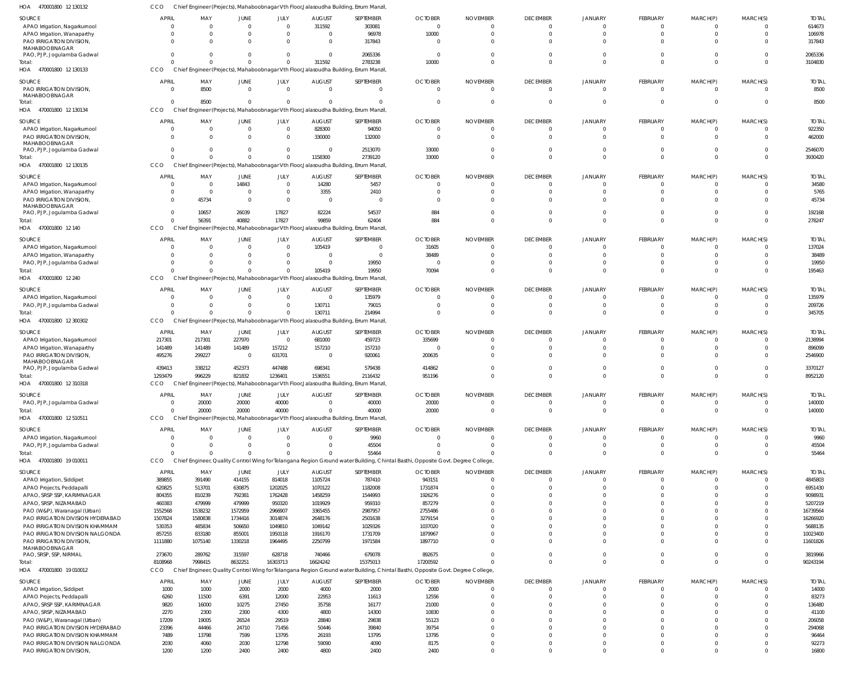| SOURCE                                      | <b>APRIL</b>   | MAY          | JUNE           | JULY        | <b>AUGUST</b>                                                                         | SEPTEMBER      | <b>OCTOBER</b>                                                                                                                 | <b>NOVEMBER</b> | <b>DECEMBER</b> | <b>JANUARY</b> | FEBRUARY        | MARCH(P)       | MARCH(S)                | <b>TOTAL</b> |
|---------------------------------------------|----------------|--------------|----------------|-------------|---------------------------------------------------------------------------------------|----------------|--------------------------------------------------------------------------------------------------------------------------------|-----------------|-----------------|----------------|-----------------|----------------|-------------------------|--------------|
| APAO Irrigation, Nagarkurnool               | $\overline{0}$ | $\Omega$     | 0              | $\mathbf 0$ | 311592                                                                                | 303081         | $\overline{0}$                                                                                                                 | $\Omega$        | $\mathbf 0$     | $\mathbf 0$    | $\mathbf 0$     | $\overline{0}$ | $\overline{\mathbf{0}}$ | 614673       |
| APAO Irrigation, Wanaparthy                 | C              |              | $\Omega$       | $\mathbf 0$ |                                                                                       | 96978          | 10000                                                                                                                          |                 | $\Omega$        | $\Omega$       | $\overline{0}$  | $\mathbf 0$    | $\Omega$                | 106978       |
| PAO IRRIGATION DIVISION,                    | $\Omega$       |              | $\Omega$       | $\Omega$    | $\Omega$                                                                              | 317843         | $\Omega$                                                                                                                       | $\Omega$        | $\Omega$        | $\Omega$       | $\Omega$        | $\Omega$       | $\Omega$                | 317843       |
| MAHABOOBNAGAR                               | $\overline{0}$ |              | $\Omega$       | $\mathbf 0$ | $\Omega$                                                                              | 2065336        | - 0                                                                                                                            | $\Omega$        | $\Omega$        | $\Omega$       | $\mathbf 0$     | $\mathbf 0$    | $\overline{0}$          | 2065336      |
| PAO, PJP, Jogulamba Gadwal<br>Total:        | $\Omega$       |              | $\Omega$       | $\Omega$    | 311592                                                                                | 2783238        | 10000                                                                                                                          | $\Omega$        | $\Omega$        | $\Omega$       | $\mathbf 0$     | $\mathbf{0}$   | $\overline{0}$          | 3104830      |
| HOA 470001800 12 130133                     | CCO            |              |                |             | Chief Engineer (Projects), Mahaboobnagar Vth Floor, Jalasoudha Building, Errum Manzil |                |                                                                                                                                |                 |                 |                |                 |                |                         |              |
|                                             |                |              |                |             |                                                                                       |                |                                                                                                                                |                 |                 |                |                 |                |                         |              |
| SOURCE                                      | <b>APRIL</b>   | MAY          | JUNE           | JULY        | <b>AUGUST</b>                                                                         | SEPTEMBER      | <b>OCTOBER</b>                                                                                                                 | <b>NOVEMBER</b> | <b>DECEMBER</b> | <b>JANUARY</b> | FEBRUARY        | MARCH(P)       | MARCH(S)                | <b>TOTAL</b> |
| PAO IRRIGATION DIVISION,                    | $\mathbf{0}$   | 8500         | $\overline{0}$ | $\mathbf 0$ | $\Omega$                                                                              | $\overline{0}$ | $\Omega$                                                                                                                       | $\Omega$        | $\mathbf 0$     | $\mathbf 0$    | $\overline{0}$  | $\overline{0}$ | $\Omega$                | 8500         |
| MAHABOOBNAGAR<br>Total:                     | $\Omega$       | 8500         | $\Omega$       | $\Omega$    |                                                                                       | $\Omega$       | $\Omega$                                                                                                                       | $\Omega$        | $\Omega$        | $\Omega$       | $\mathbf 0$     | $\overline{0}$ | $\Omega$                | 8500         |
| HOA 470001800 12 130134                     | CCO            |              |                |             | Chief Engineer (Projects), Mahaboobnagar Vth Floor, Jalasoudha Building, Errum Manzil |                |                                                                                                                                |                 |                 |                |                 |                |                         |              |
|                                             |                |              |                |             |                                                                                       |                |                                                                                                                                |                 |                 |                |                 |                |                         |              |
| SOURCE                                      | <b>APRIL</b>   | MAY          | JUNE           | JULY        | <b>AUGUST</b>                                                                         | SEPTEMBER      | <b>OCTOBER</b>                                                                                                                 | <b>NOVEMBER</b> | <b>DECEMBER</b> | <b>JANUARY</b> | FEBRUARY        | MARCH(P)       | MARCH(S)                | <b>TOTAL</b> |
| APAO Irrigation, Nagarkurnool               | $\overline{0}$ | - 0          | $\overline{0}$ | 0           | 828300                                                                                | 94050          | $\Omega$                                                                                                                       | $\Omega$        | $\mathbf 0$     | $\mathbf 0$    | $\overline{0}$  | $\overline{0}$ | $\Omega$                | 922350       |
| PAO IRRIGATION DIVISION,                    | $\Omega$       | $\Omega$     | $\Omega$       | $\mathbf 0$ | 330000                                                                                | 132000         | $\Omega$                                                                                                                       |                 | $\Omega$        |                | $\mathbf 0$     | $\Omega$       | $\Omega$                | 462000       |
| MAHABOOBNAGAR<br>PAO, PJP, Jogulamba Gadwal | $\Omega$       |              | $\Omega$       | $\mathbf 0$ | $\Omega$                                                                              | 2513070        | 33000                                                                                                                          |                 | $\Omega$        | $\Omega$       | $\mathbf 0$     | $\mathbf 0$    | $\Omega$                | 2546070      |
| Total:                                      | $\Omega$       |              | $\Omega$       | $\Omega$    | 1158300                                                                               | 2739120        | 33000                                                                                                                          | $\Omega$        | $\Omega$        | $\Omega$       | $\mathbf{0}$    | $\overline{0}$ | $\overline{0}$          | 3930420      |
| HOA 470001800 12 130135                     | CCO            |              |                |             | Chief Engineer (Projects), Mahaboobnagar Vth Floor, Jalasoudha Building, Errum Manzil |                |                                                                                                                                |                 |                 |                |                 |                |                         |              |
|                                             |                |              |                |             |                                                                                       |                |                                                                                                                                |                 |                 |                |                 |                |                         |              |
| SOURCE                                      | <b>APRIL</b>   | MAY          | JUNE           | JULY        | <b>AUGUST</b>                                                                         | SEPTEMBER      | <b>OCTOBER</b>                                                                                                                 | <b>NOVEMBER</b> | <b>DECEMBER</b> | JANUARY        | FEBRUARY        | MARCH(P)       | MARCH(S)                | <b>TOTAL</b> |
| APAO Irrigation, Nagarkurnool               | $\Omega$       | $\Omega$     | 14843          | $\mathbf 0$ | 14280                                                                                 | 5457           | - 0                                                                                                                            |                 | 0               |                | -0              | 0              | - 0                     | 34580        |
| APAO Irrigation, Wanaparthy                 | $\Omega$       | $\mathbf{0}$ | $\Omega$       | $\mathbf 0$ | 3355                                                                                  | 2410           | $\Omega$                                                                                                                       | $\Omega$        | $\Omega$        | $\Omega$       | $\mathbf 0$     | $\mathbf{0}$   | $\Omega$                | 5765         |
| PAO IRRIGATION DIVISION,                    | $\Omega$       | 45734        | $\Omega$       | $\mathbf 0$ | - 0                                                                                   | $\Omega$       | $\Omega$                                                                                                                       |                 |                 |                | $\Omega$        | $\Omega$       | $\Omega$                | 45734        |
| MAHABOOBNAGAR                               | $\Omega$       | 10657        | 26039          | 17827       | 82224                                                                                 | 54537          | 884                                                                                                                            |                 | $\Omega$        | <sup>0</sup>   | $\mathbf 0$     | $\Omega$       | $\Omega$                | 192168       |
| PAO, PJP, Jogulamba Gadwal                  | $\Omega$       | 56391        | 40882          | 17827       | 99859                                                                                 | 62404          | 884                                                                                                                            |                 | $\Omega$        | $\Omega$       | $\Omega$        | $\Omega$       | $\Omega$                | 278247       |
| Total:<br>470001800 12 140                  | CCO            |              |                |             | Chief Engineer (Projects), Mahaboobnagar Vth Floor, Jalasoudha Building, Errum Manzil |                |                                                                                                                                |                 |                 |                |                 |                |                         |              |
| HOA                                         |                |              |                |             |                                                                                       |                |                                                                                                                                |                 |                 |                |                 |                |                         |              |
| SOURCE                                      | <b>APRIL</b>   | MAY          | JUNE           | JULY        | <b>AUGUST</b>                                                                         | SEPTEMBER      | <b>OCTOBER</b>                                                                                                                 | <b>NOVEMBER</b> | <b>DECEMBER</b> | <b>JANUARY</b> | FEBRUARY        | MARCH(P)       | MARCH(S)                | <b>TOTAL</b> |
| APAO Irrigation, Nagarkurnool               | $\mathsf{C}$   |              | $\Omega$       | $\mathbf 0$ | 105419                                                                                | $\overline{0}$ | 31605                                                                                                                          | $\Omega$        | $\Omega$        | $\Omega$       | $\overline{0}$  | $\mathbf{0}$   | $\Omega$                | 137024       |
| APAO Irrigation, Wanaparthy                 | C              |              | $\Omega$       | $\mathbf 0$ |                                                                                       | $\mathbf 0$    | 38489                                                                                                                          |                 | $\Omega$        | $\Omega$       | $\mathbf 0$     | $\overline{0}$ | $\Omega$                | 38489        |
| PAO, PJP, Jogulamba Gadwal                  | C              |              | $\Omega$       | $\Omega$    | $\Omega$                                                                              | 19950          | - 0                                                                                                                            |                 | $\Omega$        | $\Omega$       | $\mathbf 0$     | $\mathbf 0$    | $\Omega$                | 19950        |
| Total:                                      | $\sqrt{ }$     |              | $\Omega$       | $\Omega$    | 105419                                                                                | 19950          | 70094                                                                                                                          |                 | $\Omega$        | $\Omega$       | $\mathbf 0$     | $\mathbf{0}$   | $\Omega$                | 195463       |
| HOA 470001800 12 240                        | CCO            |              |                |             | Chief Engineer (Projects), Mahaboobnagar Vth Floor, Jalasoudha Building, Errum Manzil |                |                                                                                                                                |                 |                 |                |                 |                |                         |              |
| SOURCE                                      | <b>APRIL</b>   | MAY          | JUNE           | JULY        | <b>AUGUST</b>                                                                         | SEPTEMBER      | <b>OCTOBER</b>                                                                                                                 | <b>NOVEMBER</b> | <b>DECEMBER</b> | <b>JANUARY</b> | FEBRUARY        | MARCH(P)       | MARCH(S)                | <b>TOTAL</b> |
| APAO Irrigation, Nagarkurnool               | $\Omega$       | $\Omega$     | $\Omega$       | $\mathbf 0$ | $\Omega$                                                                              | 135979         |                                                                                                                                | $\Omega$        | $\Omega$        | <sup>0</sup>   | $\Omega$        | 0              | $\Omega$                | 135979       |
| PAO, PJP, Jogulamba Gadwal                  | $\Omega$       |              | $\Omega$       | $\Omega$    | 130711                                                                                | 79015          | - 0                                                                                                                            | $\Omega$        | $\Omega$        | $\Omega$       | $\mathbf 0$     | $\mathbf{0}$   | $\overline{0}$          | 209726       |
| Total:                                      |                |              | $\Omega$       | $\Omega$    | 130711                                                                                | 214994         | $\Omega$                                                                                                                       | $\Omega$        | $\Omega$        | $\Omega$       | $\mathbf 0$     | $\Omega$       | $\Omega$                | 345705       |
| HOA<br>470001800 12 300302                  | CCO            |              |                |             | Chief Engineer (Projects), Mahaboobnagar Vth Floor, Jalasoudha Building, Errum Manzil |                |                                                                                                                                |                 |                 |                |                 |                |                         |              |
|                                             |                |              |                |             |                                                                                       |                |                                                                                                                                |                 |                 |                |                 |                |                         |              |
| SOURCE                                      | APRIL          | MAY          | JUNE           | JULY        | <b>AUGUST</b>                                                                         | SEPTEMBER      | <b>OCTOBER</b>                                                                                                                 | <b>NOVEMBER</b> | <b>DECEMBER</b> | <b>JANUARY</b> | FEBRUARY        | MARCH(P)       | MARCH(S)                | <b>TOTAL</b> |
| APAO Irrigation, Nagarkurnool               | 217301         | 217301       | 227970         | $\mathbf 0$ | 681000                                                                                | 459723         | 335699                                                                                                                         | $\Omega$        | $\mathbf 0$     | $\mathbf{0}$   | $\overline{0}$  | $\overline{0}$ | - 0                     | 2138994      |
| APAO Irrigation, Wanaparthy                 | 141489         | 141489       | 141489         | 157212      | 157210                                                                                | 157210         | - 0                                                                                                                            |                 | $\Omega$        | $\Omega$       | $\mathbf 0$     | $\mathbf 0$    | $\Omega$                | 896099       |
| PAO IRRIGATION DIVISION,                    | 495276         | 299227       | - 0            | 631701      | $\Omega$                                                                              | 920061         | 200635                                                                                                                         |                 | $\Omega$        | $\Omega$       | $\mathbf 0$     | $\Omega$       | $\Omega$                | 2546900      |
| MAHABOOBNAGAR<br>PAO, PJP, Jogulamba Gadwal | 439413         | 338212       | 452373         | 447488      | 698341                                                                                | 579438         | 414862                                                                                                                         |                 | $\mathbf 0$     | $\mathbf{0}$   | $\mathbf 0$     | $\mathbf 0$    | $\overline{0}$          | 3370127      |
| Total:                                      | 1293479        | 996229       | 821832         | 1236401     | 1536551                                                                               | 2116432        | 951196                                                                                                                         |                 | $\Omega$        | $\Omega$       | $\mathbf 0$     | $\Omega$       | $\Omega$                | 8952120      |
| HOA 470001800 12 310318                     | CCO.           |              |                |             | Chief Engineer (Projects), Mahaboobnagar Vth Floor, Jalasoudha Building, Errum Manzil |                |                                                                                                                                |                 |                 |                |                 |                |                         |              |
|                                             |                |              |                |             |                                                                                       |                |                                                                                                                                |                 |                 |                |                 |                |                         |              |
| SOURCE                                      | <b>APRIL</b>   | MAY          | JUNE           | JULY        | <b>AUGUST</b>                                                                         | SEPTEMBER      | <b>OCTOBER</b>                                                                                                                 | <b>NOVEMBER</b> | <b>DECEMBER</b> | JANUARY        | <b>FFBRUARY</b> | MARCH(P)       | MARCH(S)                | <b>TOTAL</b> |
| PAO, PJP, Jogulamba Gadwal                  | $\Omega$       | 20000        | 20000          | 40000       |                                                                                       | 40000          | 20000                                                                                                                          |                 | $\Omega$        |                | $\mathbf 0$     | $\overline{0}$ | $\Omega$                | 140000       |
| Total:                                      | $\Omega$       | 20000        | 20000          | 40000       |                                                                                       | 40000          | 20000                                                                                                                          | $\Omega$        | $\mathbf 0$     | $\Omega$       | $\overline{0}$  | $\overline{0}$ | $\Omega$                | 140000       |
| HOA 470001800 12 510511                     | CCO            |              |                |             | Chief Engineer (Projects), Mahaboobnagar Vth Floor, Jalasoudha Building, Errum Manzil |                |                                                                                                                                |                 |                 |                |                 |                |                         |              |
| SOURCE                                      | <b>APRIL</b>   | MAY          | JUNE           | JULY        | <b>AUGUST</b>                                                                         | SEPTEMBER      | <b>OCTOBER</b>                                                                                                                 | <b>NOVEMBER</b> | <b>DECEMBER</b> | <b>JANUARY</b> | FEBRUARY        | MARCH(P)       | MARCH(S)                | <b>TOTAL</b> |
| APAO Irrigation, Nagarkurnool               | $\overline{0}$ | -C           | $\Omega$       | $\mathbf 0$ | $\Omega$                                                                              | 9960           | $\Omega$                                                                                                                       | $\Omega$        | $\mathbf 0$     | $\mathbf{0}$   | $\overline{0}$  | $\mathbf 0$    | $\overline{\mathbf{0}}$ | 9960         |
| PAO, PJP, Jogulamba Gadwal                  | $\mathsf{C}$   |              | $\Omega$       | 0           |                                                                                       | 45504          |                                                                                                                                | $\Omega$        | $\mathbf 0$     | $\mathbf 0$    | $\mathbf 0$     | $\mathbf 0$    | $\overline{0}$          | 45504        |
| Total:                                      | $\Omega$       |              | $\Omega$       | $\Omega$    |                                                                                       | 55464          |                                                                                                                                |                 | $\Omega$        | $\Omega$       | $\mathbf 0$     | $\overline{0}$ | $\Omega$                | 55464        |
| HOA 470001800 19 010011                     | <b>CCO</b>     |              |                |             |                                                                                       |                | Chief Engineer, Quality Control Wing for Telangana Region Ground water Building, Chintal Basthi, Opposite Govt. Degree College |                 |                 |                |                 |                |                         |              |
|                                             |                |              |                |             |                                                                                       |                |                                                                                                                                |                 |                 |                |                 |                |                         |              |
| SOURCE                                      | APRIL          | MAY          | JUNE           | JULY        | <b>AUGUST</b>                                                                         | SEPTEMBER      | <b>OCTOBER</b>                                                                                                                 | <b>NOVEMBER</b> | <b>DECEMBER</b> | <b>JANUARY</b> | FEBRUARY        | MARCH(P)       | MARCH(S)                | <b>TOTAL</b> |
| APAO Irrigation, Siddipet                   | 389855         | 391490       | 414155         | 814018      | 1105724                                                                               | 787410         | 943151                                                                                                                         | $\Omega$        | $\Omega$        | $\Omega$       | $\mathbf 0$     | $\Omega$       | $\Omega$                | 4845803      |
| APAO Projects, Peddapalli                   | 620825         | 513701       | 630875         | 1202025     | 1070122                                                                               | 1182008        | 1731874                                                                                                                        |                 | $\Omega$        | $\Omega$       | $\mathbf 0$     | $\Omega$       | $\Omega$                | 6951430      |
| APAO, SRSP SSP, KARIMNAGAR                  | 804355         | 810239       | 792381         | 1762428     | 1458259                                                                               | 1544993        | 1926276                                                                                                                        |                 | <sup>0</sup>    | $\Omega$       | $\Omega$        | $\Omega$       | $\Omega$                | 9098931      |
| APAO, SRSP, NIZAMABAD                       | 460383         | 479999       | 479999         | 950320      | 1019929                                                                               | 959310         | 857279                                                                                                                         |                 |                 | $\Omega$       | $\Omega$        | $\Omega$       | $\Omega$                | 5207219      |
| PAO (W&P), Waranagal (Urban)                | 1552568        | 1538232      | 1572959        | 2966907     | 3365455                                                                               | 2987957        | 2755486                                                                                                                        |                 |                 | $\Omega$       | $\Omega$        | $\Omega$       | $\Omega$                | 16739564     |
| PAO IRRIGATION DIVISION HYDERABAD           | 1507824        | 1580838      | 1734416        | 3014874     | 2648176                                                                               | 2501638        | 3279154                                                                                                                        |                 |                 | $\Omega$       | $\Omega$        | $\Omega$       | $\Omega$                | 16266920     |
| PAO IRRIGATION DIVISION KHAMMAM             | 530353         | 485834       | 506650         | 1049810     | 1049142                                                                               | 1029326        | 1037020                                                                                                                        |                 |                 | $\Omega$       | $\Omega$        | $\Omega$       |                         | 5688135      |
| PAO IRRIGATION DIVISION NALGONDA            | 857255         | 833180       | 855001         | 1950118     | 1916170                                                                               | 1731709        | 1879967                                                                                                                        |                 | $\Omega$        | $\Omega$       | $\Omega$        | $\Omega$       | $\Omega$                | 10023400     |
| PAO IRRIGATION DIVISION,<br>MAHABOOBNAGAR   | 1111880        | 1075140      | 1330218        | 1964495     | 2250799                                                                               | 1971584        | 1897710                                                                                                                        |                 | $\Omega$        | $\Omega$       | $\Omega$        | $\Omega$       | $\Omega$                | 11601826     |
| PAO, SRSP, SSP, NIRMAL                      | 273670         | 289762       | 315597         | 628718      | 740466                                                                                | 679078         | 892675                                                                                                                         | $\Omega$        | $\Omega$        | $\mathbf{0}$   | $\mathbf 0$     | $\overline{0}$ | $\overline{0}$          | 3819966      |
| Total:                                      | 8108968        | 7998415      | 8632251        | 16303713    | 16624242                                                                              | 15375013       | 17200592                                                                                                                       |                 | $\Omega$        | $\Omega$       | $\mathbf 0$     | $\Omega$       | $\mathbf{0}$            | 90243194     |
| HOA 470001800 19 010012                     | CCO            |              |                |             |                                                                                       |                | Chief Engineer, Quality Control Wing for Telangana Region Ground water Building, Chintal Basthi, Opposite Govt. Degree College |                 |                 |                |                 |                |                         |              |
|                                             |                |              |                |             |                                                                                       |                |                                                                                                                                |                 |                 |                |                 |                |                         |              |
| SOURCE                                      | <b>APRIL</b>   | MAY          | JUNE           | JULY        | <b>AUGUST</b>                                                                         | SEPTEMBER      | <b>OCTOBER</b>                                                                                                                 | <b>NOVEMBER</b> | <b>DECEMBER</b> | JANUARY        | FEBRUARY        | MARCH(P)       | MARCH(S)                | <b>TOTAL</b> |
| APAO Irrigation, Siddipet                   | 1000           | 1000         | 2000           | 2000        | 4000                                                                                  | 2000           | 2000                                                                                                                           | $\Omega$        | $\mathbf 0$     | $\mathbf{0}$   | $\overline{0}$  | $\overline{0}$ | $\overline{0}$          | 14000        |
| APAO Projects, Peddapalli                   | 6260           | 11500        | 6391           | 12000       | 22953                                                                                 | 11613          | 12556                                                                                                                          | $\Omega$        | $\Omega$        | $\Omega$       | $\overline{0}$  | $\mathbf 0$    | $\Omega$                | 83273        |
| APAO, SRSP SSP, KARIMNAGAR                  | 9820           | 16000        | 10275          | 27450       | 35758                                                                                 | 16177          | 21000                                                                                                                          |                 | $\Omega$        | $\Omega$       | $\mathbf 0$     | $\Omega$       | $\Omega$                | 136480       |
| APAO, SRSP, NIZAMABAD                       | 2270           | 2300         | 2300           | 4300        | 4800                                                                                  | 14300          | 10830                                                                                                                          |                 | $\Omega$        | $\Omega$       | $\Omega$        | $\Omega$       | $\Omega$                | 41100        |
| PAO (W&P), Waranagal (Urban)                | 17209          | 19005        | 26524          | 29519       | 28840                                                                                 | 29838          | 55123                                                                                                                          |                 | $\Omega$        | $\Omega$       | $\mathbf 0$     | $\Omega$       | $\Omega$                | 206058       |
| PAO IRRIGATION DIVISION HYDERABAD           | 23396          | 44466        | 24710          | 71456       | 50446                                                                                 | 39840          | 39754                                                                                                                          |                 | $\Omega$        | $\Omega$       | $\Omega$        | $\Omega$       | $\Omega$                | 294068       |
| PAO IRRIGATION DIVISION KHAMMAM             | 7489           | 13798        | 7599           | 13795       | 26193                                                                                 | 13795          | 13795                                                                                                                          |                 | $\Omega$        | $\Omega$       | $\mathbf 0$     | $\mathbf 0$    | $\Omega$                | 96464        |
| PAO IRRIGATION DIVISION NALGONDA            | 2030           | 4060         | 2030           | 12798       | 59090                                                                                 | 4090           | 8175                                                                                                                           | $\Omega$        | $\mathbf 0$     | $\mathbf 0$    | $\mathbf 0$     | $\mathbf 0$    | $\overline{0}$          | 92273        |
| PAO IRRIGATION DIVISION,                    | 1200           | 1200         | 2400           | 2400        | 4800                                                                                  | 2400           | 2400                                                                                                                           | $\Omega$        | $\Omega$        | $\Omega$       | $\Omega$        | $\Omega$       | $\Omega$                | 16800        |

470001800 12 130132 HOA

CCO Chief Engineer (Projects), Mahaboobnagar Vth Floor,Jalasoudha Building, Errum Manzil,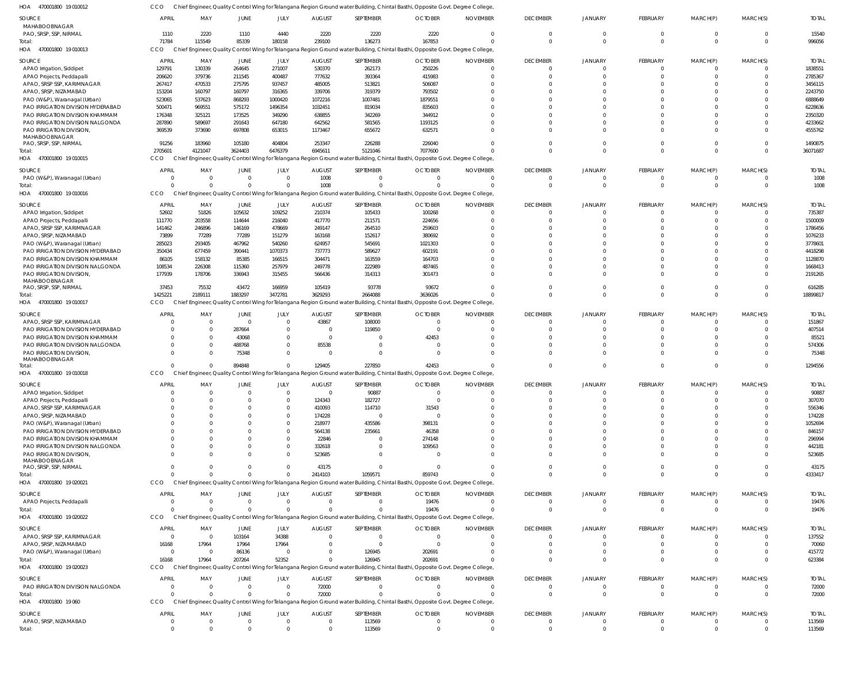470001800 19 010012 HOA 470001800 19 010013 470001800 19 010015 HOA 470001800 19 010016 HOA 470001800 19 010017 470001800 19 010018 HOA 470001800 19 020021 HOA 470001800 19 020022 HOA 470001800 19 020023 HOA 470001800 19 060 HOA HOA HOA Chief Engineer, Quality Control Wing for Telangana Region Ground water Building, Chintal Basthi, Opposite Govt. Degree College, Chief Engineer, Quality Control Wing for Telangana Region Ground water Building, Chintal Basthi, Opposite Govt. Degree College, CCO Chief Engineer, Quality Control Wing for Telangana Region Ground water Building, Chintal Basthi, Opposite Govt. Degree College, CCO Chief Engineer, Quality Control Wing for Telangana Region Ground water Building, Chintal Basthi, Opposite Govt. Degree College, Chief Engineer, Quality Control Wing for Telangana Region Ground water Building, Chintal Basthi, Opposite Govt. Degree College, Chief Engineer, Quality Control Wing for Telangana Region Ground water Building, Chintal Basthi, Opposite Govt. Degree College, Chief Engineer, Quality Control Wing for Telangana Region Ground water Building, Chintal Basthi, Opposite Govt. Degree College, Chief Engineer, Quality Control Wing for Telangana Region Ground water Building, Chintal Basthi, Opposite Govt. Degree College, Chief Engineer, Quality Control Wing for Telangana Region Ground water Building, Chintal Basthi, Opposite Govt. Degree College, Chief Engineer, Quality Control Wing for Telangana Region Ground water Building, Chintal Basthi, Opposite Govt. Degree College, CCO CCO CCO **CCO CCO CCO** CCO **CCO** 71784 2705601 0 1425221  $\Omega$ 0  $\Omega$ 16168 0 115549 4121047 0 2189111  $\sqrt{0}$ 0  $\Omega$ 17964 0 85339 3624403 0 1883297 894848 0  $\Omega$ 207264 0 180158 6476379 0 3472781  $\Omega$  $\Omega$  $\Omega$ 52352  $\Omega$ 239100 6945611 1008 3629293 129405 2414103 0  $\Omega$ 72000 136273 5121046 0 2664088 227850 1059571  $\Omega$ 126945  $\Omega$ 167853 7077600 0 3636026 42453 859743 19476 202691  $\Omega$  $\Omega$ 0 0 0 0 0  $\Omega$  $\Omega$  $\Omega$  $\Omega$  $\bigcap$ 0  $\Omega$  $\Omega$ 0  $\Omega$  $\Omega$ 0  $\Omega$ 0 0 0  $\Omega$ 0 0  $\Omega$ 0  $\Omega$ 0 0  $\Omega$ 0 0  $\Omega$  $\Omega$ 0  $\Omega$ 0 0 0 0 0 0  $\Omega$ 0  $\Omega$  $\Omega$ 0 0  $\Omega$ 0  $\Omega$  $\Omega$ 0 996056 36071687 1008 18899817 1294556 4333417 19476 623384 72000 MAHABOOBNAGAR PAO, SRSP, SSP, NIRMAL APAO Irrigation, Siddipet APAO Projects, Peddapalli APAO, SRSP SSP, KARIMNAGAR APAO, SRSP, NIZAMABAD PAO (W&P), Waranagal (Urban) PAO IRRIGATION DIVISION HYDERABAD PAO IRRIGATION DIVISION KHAMMAM PAO IRRIGATION DIVISION NALGONDA PAO IRRIGATION DIVISION, MAHABOOBNAGAR PAO, SRSP, SSP, NIRMAL PAO (W&P), Waranagal (Urban) APAO Irrigation, Siddipet APAO Projects, Peddapalli APAO, SRSP SSP, KARIMNAGAR APAO, SRSP, NIZAMABAD PAO (W&P), Waranagal (Urban) PAO IRRIGATION DIVISION HYDERABAD PAO IRRIGATION DIVISION KHAMMAM PAO IRRIGATION DIVISION NALGONDA PAO IRRIGATION DIVISION, MAHABOOBNAGAR PAO, SRSP, SSP, NIRMAL APAO, SRSP SSP, KARIMNAGAR PAO IRRIGATION DIVISION HYDERABAD PAO IRRIGATION DIVISION KHAMMAM PAO IRRIGATION DIVISION NALGONDA PAO IRRIGATION DIVISION, MAHABOOBNAGAR APAO Irrigation, Siddipet APAO Projects, Peddapalli APAO, SRSP SSP, KARIMNAGAR APAO, SRSP, NIZAMABAD PAO (W&P), Waranagal (Urban) PAO IRRIGATION DIVISION HYDERABAD PAO IRRIGATION DIVISION KHAMMAM PAO IRRIGATION DIVISION NALGONDA PAO IRRIGATION DIVISION, MAHABOOBNAGAR PAO, SRSP, SSP, NIRMAL APAO Projects, Peddapalli APAO, SRSP SSP, KARIMNAGAR APAO, SRSP, NIZAMABAD PAO (W&P), Waranagal (Urban) PAO IRRIGATION DIVISION NALGONDA APAO, SRSP, NIZAMABAD SOURCE SOURCE **SOURCE SOURCE** SOURCE **SOURCE** SOURCE SOURCE SOURCE SOURCE 1110 129791 206620 267417 153204 523065 500471 176348 287890 369539 91256 0 52602 111770 141462 73899 285023 350434 86105 108534 177939 37453 0 0 0  $\Omega$ 0  $\Omega$ 0 0 0  $\Omega$  $\Omega$ 0  $\Omega$ 0  $\Omega$ 0  $\Omega$ 16168 0 0 0 APRIL APRIL APRIL APRIL APRIL **APRIL** APRIL APRIL APRIL APRIL 2220 130339 379736 470533 160797 537623 969551 325121 589697 373690 183960 0 51826 203558 246896 77289 293405 677459 158132 226308 178706 75532 0 0 0  $\Omega$ 0  $\Omega$ 0  $\Omega$ 0 0  $\Omega$ 0  $\Omega$ 0  $\Omega$ 0 0 17964 0 0 0 MAY MAY MAY MAY MAY MAY MAY MAY MAY MAY 1110 264645 211545 275795 160797 868293 575172 173525 291643 697808 105180 0 105632 114644 146169 77289 467962 390441 85385 115360 336943 43472  $\Omega$ 287664 43068 488768 75348  $\Omega$ 0 0  $\mathbf 0$  $\Omega$  $\Omega$ 0  $\Omega$ 0  $\Omega$ 0 103164 17964 86136 0 0 JUNE JUNE JUNE JUNE JUNE JUNE JUNE JUNE JUNE JUNE 4440 271007 400487 937457 316365 1000420 1496354 349290 647180 653015 404804 0 109252 216040 478669 151279 540260 1070373 166515 257979 315455 166959 0  $\Omega$ 0  $\Omega$ 0  $\Omega$ 0 0 0  $\Omega$  $\Omega$ 0  $\sqrt{2}$ 0  $\Omega$ 0 34388 17964 0 0  $\Omega$ JULY JULY JULY JULY JULY JULY JULY JULY JULY JULY 2220 530370 777632 485005 339706 1072216 1032451 638855 642562 1173467 253347 1008 210374 417770 249147 163168 624957 737773 304471 249778 566436 105419 43867 0 0 85538 0  $\Omega$ 124343 410093 174228 218977 564138 22846 332618 523685 43175 0 0  $\Omega$ 0 72000 0 AUGUST AUGUST AUGUST AUGUST AUGUST AUGUST **AUGUST** AUGUST AUGUST AUGUST 2220 262173 393364 513821 319379 1007481 819034 342269 581565 655672 226288  $\Omega$ 105433 211571 264510 152617 545691 589627 163559 222989 314313 93778 108000 119850 0  $\Omega$ 0 90887 182727 114710 0 435586 235661 0 0 0  $\Omega$ 0  $\Omega$  $\Omega$ 126945 0 113569 SEPTEMBER SEPTEMBER SEPTEMBER **SEPTEMBER** SEPTEMBER SEPTEMBER SEPTEMBER SEPTEMBER SEPTEMBER SEPTEMBER 2220 250226 415983 506087 793502 1879551 835603 344912 1193125 632571 226040  $\Omega$ 100268 224656 259603 380692 1021303 602191 164703 487465 301473 93672  $\Omega$  $\Omega$ 42453  $\Omega$ 0  $\Omega$ 0 31543 0 398131 46358 274148 109563 0  $\bigcap$ 19476  $\Omega$  $\Omega$ 202691 0  $\Omega$ OCTOBER OCTOBER OCTOBER **OCTOBER** OCTOBER OCTOBER OCTOBER OCTOBER OCTOBER OCTOBER 0  $\Omega$ 0  $\Omega$  $\Omega$ 0  $\Omega$ 0  $\Omega$  $\Omega$  $\Omega$  $\Omega$ 0  $\Omega$ 0  $\Omega$  $\Omega$ 0  $\Omega$ 0  $\Omega$ 0  $\Omega$  $\Omega$ 0  $\Omega$ 0  $\Omega$ 0  $\Omega$ 0  $\Omega$  $\Omega$ 0  $\sqrt{2}$ 0  $\Omega$ 0  $\Omega$  $\Omega$ 0 0 0 NOVEMBER NOVEMBER NOVEMBER NOVEMBER NOVEMBER NOVEMBER NOVEMBER NOVEMBER NOVEMBER NOVEMBER 0  $\Omega$ 0  $\Omega$  $\Omega$ 0  $\Omega$ 0  $\Omega$  $\Omega$  $\Omega$  $\bigcap$ 0  $\Omega$ 0  $\Omega$  $\Omega$ 0  $\Omega$ 0  $\Omega$ 0  $\Omega$ 0 0  $\Omega$ 0  $\Omega$ 0 0 0  $\Omega$  $\Omega$ 0  $\Omega$ 0  $\Omega$ 0  $\Omega$  $\Omega$ 0  $\Omega$  $\Omega$ DECEMBER DECEMBER DECEMBER DECEMBER DECEMBER DECEMBER **DECEMBER** DECEMBER DECEMBER DECEMBER 0 0 0  $\Omega$  $\Omega$ 0  $\Omega$ 0 0  $\Omega$ 0  $\Omega$ 0  $\Omega$ 0  $\Omega$  $\Omega$ 0  $\Omega$ 0 0  $\mathfrak{c}$ 0 0 0  $\Omega$ 0  $\Omega$ 0 0 0  $\Omega$  $\Omega$ 0  $\Omega$ 0  $\Omega$ 0  $\Omega$  $\Omega$ 0 0 0 JANUARY JANUARY JANUARY JANUARY JANUARY JANUARY JANUARY JANUARY JANUARY JANUARY 0 0 0  $\Omega$ 0 0  $\Omega$ 0  $\Omega$  $\Omega$  $\Omega$  $\Omega$ 0  $\Omega$ 0  $\Omega$ 0 0  $\Omega$ 0  $\Omega$ 0 0 0 0  $\Omega$ 0  $\Omega$ 0  $\Omega$ 0  $\Omega$  $\Omega$ 0  $\sqrt{2}$ 0  $\sqrt{2}$ 0  $\Omega$  $\Omega$ 0 0 0 FEBRUARY FEBRUARY FEBRUARY FEBRUARY FEBRUARY FEBRUARY FEBRUARY FEBRUARY FEBRUARY FEBRUARY 0 0 0  $\Omega$  $\Omega$ 0  $\Omega$ 0  $\Omega$  $\Omega$ 0  $\Omega$ 0  $\Omega$ 0  $\Omega$  $\Omega$ 0  $\Omega$ 0 0 0 0 0 0  $\Omega$ 0  $\Omega$  $\overline{0}$ 0 0  $\Omega$  $\Omega$ 0  $\Omega$ 0  $\Omega$ 0  $\Omega$  $\Omega$ 0  $\Omega$  $\Omega$ MARCH(P) MARCH(P) MARCH(P) MARCH(P) MARCH(P) MARCH(P) MARCH(P) MARCH(P) MARCH(P) MARCH(P) 0  $\Omega$ 0  $\Omega$  $\bigcap$ 0  $\Omega$ 0  $\Omega$  $\Omega$  $\Omega$  $\bigcap$ 0  $\bigcap$ 0  $\Omega$  $\Omega$ 0  $\Omega$ 0  $\Omega$ 0  $\Omega$  $\Omega$ 0  $\Omega$ 0  $\bigcap$ 0  $\Omega$ 0 0  $\Omega$ 0  $\bigcap$ 0  $\Omega$ 0  $\Omega$  $\Omega$ 0  $\Omega$ 0 MARCH(S) MARCH(S) MARCH(S) MARCH(S) MARCH(S) MARCH(S) MARCH(S) MARCH(S) MARCH(S) MARCH(S) 15540 1838551 2785367 3456115 2243750 6888649 6228636 2350320 4233662 4555762 1490875 1008 735387 1500009 1786456 1076233 3778601 4418298 1128870 1668413 2191265 616285 151867 407514 85521 574306 75348 90887 307070 556346 174228 1052694 846157 296994 442181 523685 43175 19476 137552 70060 415772 72000 113569 TOTAL TOTAL TOTAL TOTAL TOTAL TOTAL TOTAL TOTAL TOTAL TOTAL Total: Total: Total: Total: Total: Total: Total: Total: Total:

0

Total:

0

0

0

0

113569

0

0

0

0

0

0

0

113569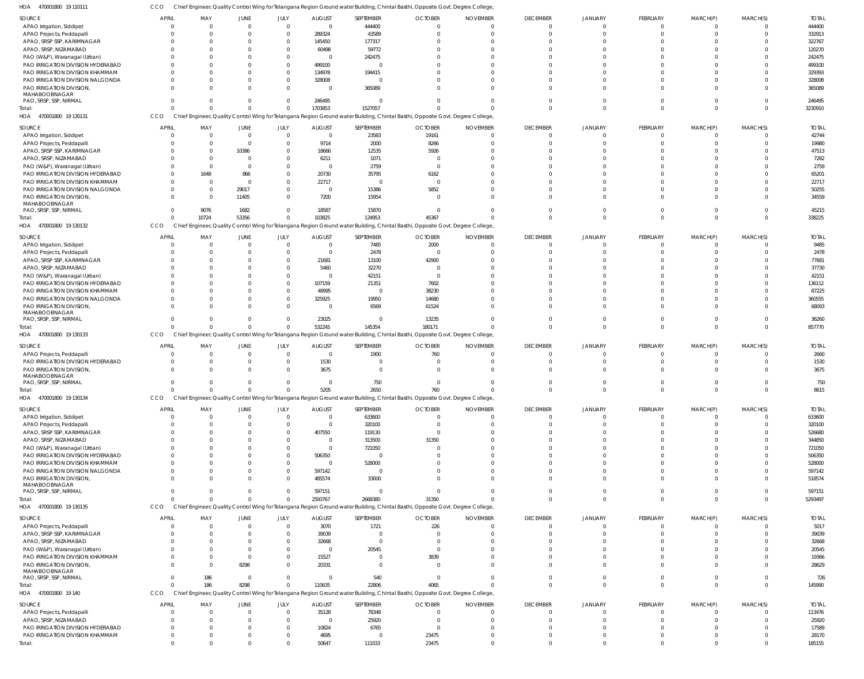| HOA<br>470001800 19 110111                | CCO          |                      |                         |                            |                |                    | Chief Engineer, Quality Control Wing for Telangana Region Ground water Building, Chintal Basthi, Opposite Govt. Degree College |                        |                             |                          |                             |          |                      |                 |
|-------------------------------------------|--------------|----------------------|-------------------------|----------------------------|----------------|--------------------|--------------------------------------------------------------------------------------------------------------------------------|------------------------|-----------------------------|--------------------------|-----------------------------|----------|----------------------|-----------------|
| <b>SOURCE</b>                             | <b>APRIL</b> | MAY                  | <b>JUNE</b>             | JULY                       | <b>AUGUST</b>  | SEPTEMBER          | <b>OCTOBER</b>                                                                                                                 | <b>NOVEMBER</b>        | <b>DECEMBER</b>             | <b>JANUARY</b>           | <b>FEBRUARY</b>             | MARCH(P) | MARCH(S)             | <b>TOTAL</b>    |
| APAO Irrigation, Siddipet                 |              | $\Omega$             | $\Omega$                | $\overline{0}$             | $\mathbf{0}$   | 444400             | $\Omega$                                                                                                                       | $\Omega$               | $\overline{0}$              | $\Omega$                 | $\Omega$                    |          | $\Omega$             | 444400          |
| APAO Projects, Peddapalli                 |              | $\Omega$             | $\Omega$                | $\overline{0}$             | 289324         | 43589              | $\Omega$                                                                                                                       | $\cap$                 | $\Omega$                    | $\Omega$                 | $\Omega$                    |          | $\Omega$             | 332913          |
| APAO, SRSP SSP, KARIMNAGAR                |              | $\Omega$             | $\Omega$                | $\overline{0}$             | 145450         | 177317             |                                                                                                                                |                        | $\Omega$                    |                          |                             |          |                      | 322767          |
| APAO, SRSP, NIZAMABAD                     |              | $\Omega$             | $\Omega$                | $\Omega$                   | 60498          | 59772              |                                                                                                                                |                        | $\Omega$                    |                          |                             |          |                      | 120270          |
| PAO (W&P), Waranagal (Urban)              |              | $\Omega$             | $\Omega$                | $\overline{0}$             | $\overline{0}$ | 242475             |                                                                                                                                |                        | $\Omega$                    |                          |                             |          |                      | 242475          |
|                                           |              | $\Omega$             | $\Omega$                | $\overline{0}$             |                | $\cap$             |                                                                                                                                |                        | $\cap$                      |                          |                             |          | <sup>0</sup>         |                 |
| PAO IRRIGATION DIVISION HYDERABAD         |              |                      |                         |                            | 499100         |                    |                                                                                                                                |                        |                             |                          |                             |          |                      | 499100          |
| PAO IRRIGATION DIVISION KHAMMAM           |              | $\Omega$             | $\Omega$                | $\mathbf{0}$               | 134978         | 194415             |                                                                                                                                |                        | $\Omega$                    |                          |                             |          |                      | 329393          |
| PAO IRRIGATION DIVISION NALGONDA          |              | $\Omega$             | $\Omega$                | $\mathbf{0}$               | 328008         |                    |                                                                                                                                |                        | $\Omega$                    |                          |                             |          |                      | 328008          |
| PAO IRRIGATION DIVISION,                  |              | $\cap$               | $\Omega$                | $\overline{0}$             | $\overline{0}$ | 365089             |                                                                                                                                |                        | $\Omega$                    |                          |                             |          | $\cap$               | 365089          |
| MAHABOOBNAGAR<br>PAO, SRSP, SSP, NIRMAL   |              | $\Omega$             | $\Omega$                | $\mathbf{0}$               |                | $\cap$             |                                                                                                                                |                        | $\Omega$                    |                          |                             |          | $\Omega$             |                 |
|                                           |              | $\Omega$             |                         |                            | 246495         |                    |                                                                                                                                |                        |                             |                          |                             |          |                      | 246495          |
| Total:                                    |              |                      | $\Omega$                | $\overline{0}$             | 1703853        | 1527057            |                                                                                                                                |                        | $\Omega$                    | $\Omega$                 | $\Omega$                    |          | $\Omega$             | 3230910         |
| 470001800 19 130131<br>HOA                | CCO          |                      |                         |                            |                |                    | Chief Engineer, Quality Control Wing for Telangana Region Ground water Building, Chintal Basthi, Opposite Govt. Degree College |                        |                             |                          |                             |          |                      |                 |
| <b>SOURCE</b>                             | <b>APRIL</b> | MAY                  | <b>JUNE</b>             | JULY                       | <b>AUGUST</b>  | SEPTEMBER          | <b>OCTOBER</b>                                                                                                                 | <b>NOVEMBER</b>        | <b>DECEMBER</b>             | <b>JANUARY</b>           | FEBRUARY                    | MARCH(P) | MARCH(S)             | <b>TOTAL</b>    |
| APAO Irrigation, Siddipet                 |              | $\Omega$             | $\overline{0}$          | $\overline{0}$             | $\mathbf{0}$   | 23583              | 19161                                                                                                                          |                        | $\Omega$                    |                          |                             |          | $\Omega$             | 42744           |
| APAO Projects, Peddapalli                 | $\Omega$     | $\Omega$             | $\Omega$                | $\Omega$                   | 9714           | 2000               | 8266                                                                                                                           |                        | $\Omega$                    | $\cap$                   |                             |          | $\Omega$             | 19980           |
| APAO, SRSP SSP, KARIMNAGAR                |              | $\Omega$             | 10386                   | $\Omega$                   | 18666          | 12535              | 5926                                                                                                                           |                        | $\Omega$                    |                          |                             |          | <sup>0</sup>         | 47513           |
| APAO, SRSP, NIZAMABAD                     |              | $\Omega$             | $\Omega$                | $\Omega$                   | 6211           | 1071               | $\Omega$                                                                                                                       |                        |                             |                          |                             |          | $\cap$               | 7282            |
|                                           |              | $\Omega$             | $\Omega$                | $\Omega$                   |                |                    | $\Omega$                                                                                                                       |                        |                             |                          |                             |          | <sup>0</sup>         |                 |
| PAO (W&P), Waranagal (Urban)              |              |                      |                         |                            | $\overline{0}$ | 2759               |                                                                                                                                |                        |                             |                          |                             |          |                      | 2759            |
| PAO IRRIGATION DIVISION HYDERABAD         |              | 1648                 | 866                     | $\Omega$                   | 20730          | 35795              | 6162                                                                                                                           |                        | $\cap$                      |                          |                             |          | <sup>0</sup>         | 65201           |
| PAO IRRIGATION DIVISION KHAMMAM           | $\Omega$     | $\Omega$             | $\Omega$                | $\Omega$                   | 22717          | $\Omega$           | $\Omega$                                                                                                                       |                        | $\cap$                      |                          |                             |          | $\Omega$             | 22717           |
| PAO IRRIGATION DIVISION NALGONDA          | $\Omega$     | $\Omega$             | 29017                   | $\Omega$                   | $\mathbf{0}$   | 15386              | 5852                                                                                                                           |                        | $\Omega$                    |                          |                             |          | $\Omega$             | 50255           |
| PAO IRRIGATION DIVISION,                  | $\Omega$     | $\Omega$             | 11405                   | $\Omega$                   | 7200           | 15954              | $\Omega$                                                                                                                       |                        | $\Omega$                    |                          |                             |          | $\Omega$             | 34559           |
| MAHABOOBNAGAR<br>PAO, SRSP, SSP, NIRMAL   | $\Omega$     | 9076                 | 1682                    | $\Omega$                   | 18587          | 15870              | $\Omega$                                                                                                                       |                        | $\Omega$                    | $\cap$                   |                             |          | $\Omega$             | 45215           |
|                                           |              |                      | 53356                   | $\overline{0}$             | 103825         |                    | 45367                                                                                                                          |                        | $\Omega$                    | $\cap$                   | $\Omega$                    |          | $\Omega$             | 338225          |
| Total:                                    |              | 10724                |                         |                            |                | 124953             |                                                                                                                                |                        |                             |                          |                             |          |                      |                 |
| 470001800 19 130132<br>HOA                | CCO          |                      |                         |                            |                |                    | Chief Engineer, Quality Control Wing for Telangana Region Ground water Building, Chintal Basthi, Opposite Govt. Degree College |                        |                             |                          |                             |          |                      |                 |
| <b>SOURCE</b>                             | <b>APRIL</b> | MAY                  | <b>JUNE</b>             | JULY                       | <b>AUGUST</b>  | SEPTEMBER          | <b>OCTOBER</b>                                                                                                                 | <b>NOVEMBER</b>        | <b>DECEMBER</b>             | <b>JANUARY</b>           | <b>FEBRUARY</b>             | MARCH(P) | MARCH(S)             | <b>TOTAL</b>    |
| APAO Irrigation, Siddipet                 |              | $\Omega$             | $\Omega$                | $\overline{0}$             | $\overline{0}$ | 7485               | 2000                                                                                                                           | - 0                    | $\Omega$                    |                          |                             |          | $\Omega$             | 9485            |
| APAO Projects, Peddapalli                 |              | $\Omega$             | $\Omega$                | $\Omega$                   | $\overline{0}$ | 2478               | $\Omega$                                                                                                                       |                        | $\Omega$                    |                          |                             |          |                      | 2478            |
| APAO, SRSP SSP, KARIMNAGAR                |              | $\Omega$             | $\Omega$                | $\Omega$                   | 21681          | 13100              | 42900                                                                                                                          |                        | $\Omega$                    |                          |                             |          | $\Omega$             | 77681           |
| APAO, SRSP, NIZAMABAD                     |              | $\Omega$             | $\Omega$                | $\Omega$                   | 5460           | 32270              | $\Omega$                                                                                                                       |                        | $\Omega$                    |                          |                             |          | $\Omega$             | 37730           |
|                                           |              | $\Omega$             | $\Omega$                | $\Omega$                   | $\overline{0}$ |                    | $\Omega$                                                                                                                       |                        | $\Omega$                    |                          |                             |          | $\Omega$             | 42151           |
| PAO (W&P), Waranagal (Urban)              |              | $\Omega$             |                         | $\Omega$                   |                | 42151              |                                                                                                                                |                        | $\Omega$                    |                          |                             |          |                      |                 |
| PAO IRRIGATION DIVISION HYDERABAD         |              |                      |                         |                            | 107159         | 21351              | 7602                                                                                                                           |                        |                             |                          |                             |          |                      | 136112          |
| PAO IRRIGATION DIVISION KHAMMAM           |              | $\Omega$             | $\Omega$                | $\Omega$                   | 48995          | $\Omega$           | 38230                                                                                                                          |                        | $\Omega$                    |                          |                             |          | $\Omega$             | 87225           |
| PAO IRRIGATION DIVISION NALGONDA          |              | $\Omega$             | $\Omega$                | $\overline{0}$             | 325925         | 19950              | 14680                                                                                                                          |                        | $\Omega$                    |                          |                             |          | $\Omega$             | 360555          |
| PAO IRRIGATION DIVISION,                  |              | $\Omega$             | $\Omega$                | $\Omega$                   | $\overline{0}$ | 6569               | 61524                                                                                                                          |                        | $\Omega$                    |                          | $\Omega$                    |          | $\Omega$             | 68093           |
| MAHABOOBNAGAR<br>PAO, SRSP, SSP, NIRMAL   |              | $\Omega$             | $\Omega$                | $\Omega$                   | 23025          | $\Omega$           | 13235                                                                                                                          |                        | $\Omega$                    |                          |                             |          | $\Omega$             | 36260           |
| Total:                                    |              | $\Omega$             | $\Omega$                | $\mathbf{0}$               |                |                    |                                                                                                                                |                        |                             | $\Omega$                 | $\Omega$                    | $\Omega$ | $\Omega$             |                 |
|                                           |              |                      |                         |                            |                |                    |                                                                                                                                |                        |                             |                          |                             |          |                      |                 |
|                                           |              |                      |                         |                            | 532245         | 145354             | 180171                                                                                                                         |                        | $\Omega$                    |                          |                             |          |                      | 857770          |
| HOA<br>470001800 19 130133                | CCO          |                      |                         |                            |                |                    | Chief Engineer, Quality Control Wing for Telangana Region Ground water Building, Chintal Basthi, Opposite Govt. Degree College |                        |                             |                          |                             |          |                      |                 |
|                                           | <b>APRIL</b> |                      |                         |                            |                |                    |                                                                                                                                |                        |                             |                          |                             |          |                      |                 |
| <b>SOURCE</b>                             | $\Omega$     | MAY<br>$\Omega$      | <b>JUNE</b><br>$\Omega$ | JULY                       | <b>AUGUST</b>  | SEPTEMBER          | <b>OCTOBER</b>                                                                                                                 | <b>NOVEMBER</b><br>- 0 | <b>DECEMBER</b><br>$\Omega$ | <b>JANUARY</b><br>$\cap$ | <b>FEBRUARY</b><br>$\Omega$ | MARCH(P) | MARCH(S)<br>$\Omega$ | <b>TOTAL</b>    |
| APAO Projects, Peddapalli                 | $\Omega$     | $\Omega$             | $\Omega$                | $\overline{0}$             | $\mathbf{0}$   | 1900<br>$\Omega$   | 760<br>$\Omega$                                                                                                                |                        | $\Omega$                    | $\cap$                   |                             |          | <sup>0</sup>         | 2660            |
| PAO IRRIGATION DIVISION HYDERABAD         |              |                      |                         | $\overline{0}$             | 1530           |                    |                                                                                                                                |                        |                             |                          |                             |          |                      | 1530            |
| PAO IRRIGATION DIVISION                   | $\Omega$     | $\Omega$             | $\Omega$                | $\Omega$                   | 3675           | $\Omega$           | $\Omega$                                                                                                                       |                        | $\Omega$                    | $\Omega$                 |                             |          | $\Omega$             | 3675            |
| MAHABOOBNAGAR<br>PAO, SRSP, SSP, NIRMAL   |              | $\Omega$             | $\Omega$                | $\Omega$                   | $\overline{0}$ | 750                | $\mathbf{0}$                                                                                                                   |                        | $\Omega$                    | $\cap$                   |                             |          | $\Omega$             | 750             |
| Total:                                    |              |                      |                         |                            |                |                    | 760                                                                                                                            |                        |                             |                          |                             |          |                      |                 |
|                                           |              |                      |                         |                            | 5205           | 2650               |                                                                                                                                |                        |                             |                          |                             |          |                      | 8615            |
| HOA<br>470001800 19 130134                | CCO          |                      |                         |                            |                |                    | Chief Engineer, Quality Control Wing for Telangana Region Ground water Building, Chintal Basthi, Opposite Govt. Degree College |                        |                             |                          |                             |          |                      |                 |
| <b>SOURCE</b>                             | <b>APRIL</b> | MAY                  | <b>JUNE</b>             | JULY                       | <b>AUGUST</b>  | SEPTEMBER          | <b>OCTOBER</b>                                                                                                                 | <b>NOVEMBER</b>        | <b>DECEMBER</b>             | <b>JANUARY</b>           | FEBRUARY                    | MARCH(P) | MARCH(S)             | <b>TOTAL</b>    |
| APAO Irrigation, Siddipet                 |              | $\Omega$             | $\overline{0}$          | $\overline{0}$             | $\overline{0}$ | 633600             | $\overline{0}$                                                                                                                 | $\Omega$               | $\overline{0}$              |                          | $\Omega$                    |          | <sup>0</sup>         | 633600          |
| APAO Projects, Peddapalli                 |              | $\Omega$             | $\Omega$                | $\Omega$                   | $\overline{0}$ | 320100             | $\Omega$                                                                                                                       |                        | $\Omega$                    |                          |                             |          | $\Omega$             | 320100          |
| APAO, SRSP SSP, KARIMNAGAR                |              | $\Omega$             | $\Omega$                | $\Omega$                   | 407550         | 119130             | $\Omega$                                                                                                                       |                        | $\Omega$                    |                          |                             |          |                      | 526680          |
| APAO, SRSP, NIZAMABAD                     |              | $\Omega$             | $\Omega$                | $\Omega$                   | $\overline{0}$ | 313500             | 31350                                                                                                                          |                        | $\Omega$                    |                          |                             |          |                      | 344850          |
| PAO (W&P), Waranagal (Urban)              |              | $\Omega$             |                         | $\Omega$                   | $\mathbf{0}$   | 721050             |                                                                                                                                |                        | $\Omega$                    |                          |                             |          |                      | 721050          |
| PAO IRRIGATION DIVISION HYDERABAD         |              | $\Omega$             | $\Omega$                | $\mathbf{0}$               | 506350         | $\cap$             |                                                                                                                                |                        | $\Omega$                    |                          |                             |          |                      | 506350          |
| PAO IRRIGATION DIVISION KHAMMAM           |              | $\Omega$             | $\Omega$                | $\mathbf{0}$               | $\overline{0}$ | 528000             |                                                                                                                                |                        | $\Omega$                    |                          |                             |          |                      | 528000          |
|                                           |              | $\Omega$             | $\Omega$                | $\overline{0}$             |                | $\Omega$           |                                                                                                                                |                        | $\Omega$                    |                          |                             |          | <sup>0</sup>         |                 |
| PAO IRRIGATION DIVISION NALGONDA          |              | $\Omega$             | $\Omega$                | $\mathbf{0}$               | 597142         |                    |                                                                                                                                |                        | $\Omega$                    |                          | $\Omega$                    |          | $\Omega$             | 597142          |
| PAO IRRIGATION DIVISION,<br>MAHABOOBNAGAR |              |                      |                         |                            | 485574         | 33000              |                                                                                                                                |                        |                             |                          |                             |          |                      | 518574          |
| PAO, SRSP, SSP, NIRMAL                    |              | $\Omega$             | $\Omega$                | $\overline{0}$             | 597151         | $\Omega$           | $\Omega$                                                                                                                       |                        | $\Omega$                    | $\Omega$                 | $\Omega$                    | - 0      | $\Omega$             | 597151          |
| Total:                                    |              | $\Omega$             | $\Omega$                | $\overline{0}$             | 2593767        | 2668380            | 31350                                                                                                                          |                        | $\Omega$                    | $\Omega$                 | $\Omega$                    | $\Omega$ | $\Omega$             | 5293497         |
|                                           |              |                      |                         |                            |                |                    |                                                                                                                                |                        |                             |                          |                             |          |                      |                 |
| HOA 470001800 19 130135                   | CCO          |                      |                         |                            |                |                    | Chief Engineer, Quality Control Wing for Telangana Region Ground water Building, Chintal Basthi, Opposite Govt. Degree College |                        |                             |                          |                             |          |                      |                 |
| <b>SOURCE</b>                             | <b>APRIL</b> | MAY                  | <b>JUNE</b>             | <b>JULY</b>                | <b>AUGUST</b>  | SEPTEMBER          | <b>OCTOBER</b>                                                                                                                 | <b>NOVEMBER</b>        | <b>DECEMBER</b>             | <b>JANUARY</b>           | FEBRUARY                    | MARCH(P) | MARCH(S)             | <b>TOTAL</b>    |
| APAO Projects, Peddapalli                 |              | $\Omega$             | $\Omega$                | $\overline{0}$             | 3070           | 1721               | 226                                                                                                                            |                        | $\overline{0}$              |                          |                             |          | 0                    | 5017            |
| APAO, SRSP SSP, KARIMNAGAR                | $\Omega$     | $\Omega$             | $\Omega$                | $\Omega$                   | 39039          | $\Omega$           | $\Omega$                                                                                                                       |                        | $\Omega$                    | $\cap$                   |                             |          | $\Omega$             | 39039           |
| APAO, SRSP, NIZAMABAD                     |              | $\Omega$             | $\Omega$                | $\overline{0}$             | 32668          | $\Omega$           | $\Omega$                                                                                                                       |                        |                             |                          |                             |          |                      | 32668           |
| PAO (W&P), Waranagal (Urban)              |              | $\Omega$             | $\Omega$                | $\Omega$                   | $\overline{0}$ | 20545              | $\Omega$                                                                                                                       |                        | $\Omega$                    | $\cap$                   |                             |          | $\Omega$             | 20545           |
| PAO IRRIGATION DIVISION KHAMMAM           |              | $\Omega$             | $\Omega$                | $\overline{0}$             | 15527          | $\Omega$           | 3839                                                                                                                           |                        | $\Omega$                    | $\cap$                   |                             |          | <sup>0</sup>         | 19366           |
| PAO IRRIGATION DIVISION,                  |              | $\Omega$             | 8298                    | $\Omega$                   | 20331          | $\Omega$           | $\Omega$                                                                                                                       |                        | $\Omega$                    | $\cap$                   |                             |          | $\Omega$             | 28629           |
| MAHABOOBNAGAR                             |              |                      |                         |                            |                |                    |                                                                                                                                |                        |                             |                          |                             |          |                      |                 |
| PAO, SRSP, SSP, NIRMAL                    | $\Omega$     | 186                  | $\overline{0}$          | $\overline{0}$             | $\overline{0}$ | 540                | $\overline{0}$                                                                                                                 | $\cap$                 | $\Omega$                    | $\Omega$                 | $\Omega$                    | $\Omega$ | $\Omega$             | 726             |
| Total:                                    | $\Omega$     | 186                  | 8298                    | $\overline{0}$             | 110635         | 22806              | 4065                                                                                                                           |                        | $\Omega$                    | $\Omega$                 | $\Omega$                    | $\Omega$ | $\mathbf{0}$         | 145990          |
| HOA 470001800 19 140                      | CCO          |                      |                         |                            |                |                    | Chief Engineer, Quality Control Wing for Telangana Region Ground water Building, Chintal Basthi, Opposite Govt. Degree College |                        |                             |                          |                             |          |                      |                 |
|                                           |              |                      |                         |                            |                |                    |                                                                                                                                |                        |                             |                          |                             |          |                      |                 |
| <b>SOURCE</b>                             | <b>APRIL</b> | MAY                  | <b>JUNE</b>             | JULY                       | <b>AUGUST</b>  | SEPTEMBER          | <b>OCTOBER</b>                                                                                                                 | <b>NOVEMBER</b>        | <b>DECEMBER</b>             | <b>JANUARY</b>           | FEBRUARY                    | MARCH(P) | MARCH(S)             | <b>TOTAL</b>    |
| APAO Projects, Peddapalli                 |              | $\Omega$             | $\overline{0}$          | $\overline{0}$             | 35128          | 78348              | $\Omega$                                                                                                                       | $\Omega$               | $\overline{0}$              | $\cap$                   | $\Omega$                    |          | $\Omega$             | 113476          |
| APAO, SRSP, NIZAMABAD                     |              | $\Omega$             | $\Omega$                | $\overline{0}$             | $\overline{0}$ | 25920              | $\Omega$                                                                                                                       |                        | $\Omega$                    |                          |                             |          | $\Omega$             | 25920           |
| PAO IRRIGATION DIVISION HYDERABAD         |              | $\Omega$             | $\Omega$                | $\overline{0}$             | 10824          | 6765               | $\Omega$                                                                                                                       |                        | $\Omega$                    |                          |                             |          |                      | 17589           |
| PAO IRRIGATION DIVISION KHAMMAM<br>Total: | $\Omega$     | $\Omega$<br>$\Omega$ | $\Omega$<br>$\Omega$    | $\overline{0}$<br>$\Omega$ | 4695<br>50647  | $\Omega$<br>111033 | 23475<br>23475                                                                                                                 | $\Omega$               | $\Omega$<br>$\Omega$        | $\Omega$<br>$\Omega$     | $\Omega$                    | $\Omega$ | $\Omega$<br>$\Omega$ | 28170<br>185155 |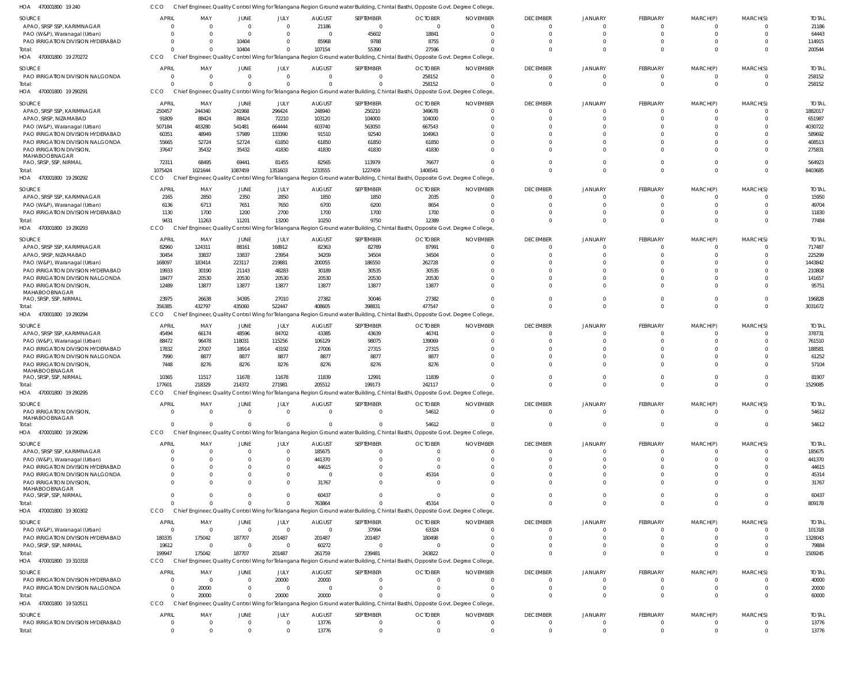CCO Chief Engineer, Quality Control Wing for Telangana Region Ground water Building, Chintal Basthi, Opposite Govt. Degree College,

| HOA<br>470001800 19 240                                               |                            |                        |                                |                          |                  |                      | Chief Engineer, Quality Control Wing for Telangana Region Ground water Building, Chintal Basthi, Opposite Govt. Degree College           |                 |                                |                      |                               |                            |                      |                   |
|-----------------------------------------------------------------------|----------------------------|------------------------|--------------------------------|--------------------------|------------------|----------------------|------------------------------------------------------------------------------------------------------------------------------------------|-----------------|--------------------------------|----------------------|-------------------------------|----------------------------|----------------------|-------------------|
| <b>SOURCE</b>                                                         | <b>APRIL</b>               | MAY                    | <b>JUNE</b>                    | JULY                     | <b>AUGUST</b>    | SEPTEMBER            | <b>OCTOBER</b>                                                                                                                           | <b>NOVEMBER</b> | <b>DECEMBER</b>                | <b>JANUARY</b>       | FEBRUARY                      | MARCH(P)                   | MARCH(S)             | <b>TOTAI</b>      |
| APAO, SRSP SSP, KARIMNAGAR                                            | $\Omega$                   | $\Omega$               | $\mathbf 0$                    | $\Omega$                 | 21186            | $\Omega$             | $\Omega$                                                                                                                                 | $\Omega$        | $\mathbf{0}$                   | $\Omega$             | 0                             | $\Omega$                   | $\Omega$             | 21186             |
| PAO (W&P), Waranagal (Urban)                                          | $\Omega$                   | $\Omega$               | $\Omega$                       | $\Omega$                 | $\Omega$         | 45602                | 18841                                                                                                                                    | $\Omega$        | $\mathbf{0}$                   | $\Omega$             | $\Omega$                      | $\mathbf 0$                | $\Omega$             | 64443             |
| PAO IRRIGATION DIVISION HYDERABAD<br>Total:                           | $\Omega$<br>$\Omega$       | $\Omega$<br>$\Omega$   | 10404<br>10404                 | $\Omega$<br>$\Omega$     | 85968<br>107154  | 9788<br>55390        | 8755<br>27596                                                                                                                            |                 | $\Omega$<br>$\Omega$           | $\Omega$             | $\mathbf 0$<br>$\Omega$       | $\Omega$<br>$\Omega$       | $\Omega$<br>$\Omega$ | 114915<br>200544  |
| 470001800 19 270272<br>HOA                                            | <b>CCO</b>                 |                        |                                |                          |                  |                      | Chief Engineer, Quality Control Wing for Telangana Region Ground water Building, Chintal Basthi, Opposite Govt. Degree College           |                 |                                |                      |                               |                            |                      |                   |
| <b>SOURCE</b>                                                         | <b>APRIL</b>               | MAY                    | JUNE                           | JULY                     | <b>AUGUST</b>    | SEPTEMBER            | <b>OCTOBER</b>                                                                                                                           | <b>NOVEMBER</b> | <b>DECEMBER</b>                | <b>JANUARY</b>       | FEBRUARY                      | MARCH(P)                   | MARCH(S)             | <b>TOTAI</b>      |
| PAO IRRIGATION DIVISION NALGONDA                                      | $\overline{0}$             | $\mathbf{0}$           | $\mathbf 0$                    | $\mathbf 0$              | $\mathbf{0}$     | $\Omega$             | 258152                                                                                                                                   | $\Omega$        | $\overline{0}$                 | $\Omega$             | $\overline{0}$                | $\mathbf 0$                | $\Omega$             | 258152            |
| Total:                                                                | $\Omega$                   | $\Omega$               | $\Omega$                       | $\Omega$                 | $\Omega$         | $\Omega$             | 258152                                                                                                                                   |                 | $\Omega$                       | $\Omega$             | $\mathbf{0}$                  | $\mathbf 0$                | $\Omega$             | 258152            |
| 470001800 19 290291<br>HOA                                            | CCO                        |                        |                                |                          |                  |                      | Chief Engineer, Quality Control Wing for Telangana Region Ground water Building, Chintal Basthi, Opposite Govt. Degree College           |                 |                                |                      |                               |                            |                      |                   |
| <b>SOURCE</b>                                                         | <b>APRIL</b>               | MAY                    | JUNE                           | JULY                     | <b>AUGUST</b>    | SEPTEMBER            | <b>OCTOBER</b>                                                                                                                           | <b>NOVEMBER</b> | <b>DECEMBER</b>                | <b>JANUARY</b>       | FEBRUARY                      | MARCH(P)                   | MARCH(S)             | <b>TOTAI</b>      |
| APAO, SRSP SSP, KARIMNAGAR                                            | 250457                     | 244340                 | 241968                         | 296424                   | 248940           | 250210               | 349678                                                                                                                                   | $\Omega$        | $\Omega$                       |                      | $\Omega$                      | $\Omega$                   | $\Omega$             | 1882017           |
| APAO, SRSP, NIZAMABAD                                                 | 91809                      | 88424                  | 88424                          | 72210                    | 103120           | 104000               | 104000                                                                                                                                   |                 | $\Omega$                       |                      | $\Omega$                      | $\Omega$                   | $\Omega$             | 651987            |
| PAO (W&P), Waranagal (Urban)<br>PAO IRRIGATION DIVISION HYDERABAD     | 507184<br>60351            | 483280<br>48949        | 541481<br>57989                | 664444<br>133390         | 603740<br>91510  | 563050<br>92540      | 667543<br>104963                                                                                                                         |                 | $\Omega$<br>$\Omega$           |                      | $\Omega$<br>$\Omega$          | $\Omega$<br>$\Omega$       | $\cap$<br>$\Omega$   | 4030722<br>589692 |
| PAO IRRIGATION DIVISION NALGONDA                                      | 55665                      | 52724                  | 52724                          | 61850                    | 61850            | 61850                | 61850                                                                                                                                    |                 | $\Omega$                       |                      | $\Omega$                      | $\Omega$                   | $\Omega$             | 408513            |
| PAO IRRIGATION DIVISION,                                              | 37647                      | 35432                  | 35432                          | 41830                    | 41830            | 41830                | 41830                                                                                                                                    |                 | $\Omega$                       |                      | $\Omega$                      | $\Omega$                   | $\Omega$             | 275831            |
| MAHABOOBNAGAR<br>PAO, SRSP, SSP, NIRMAL                               | 72311                      | 68495                  | 69441                          | 81455                    | 82565            | 113979               | 76677                                                                                                                                    |                 | $\Omega$                       | $\Omega$             | $\Omega$                      | $\Omega$                   | $\Omega$             | 564923            |
| Total:                                                                | 1075424                    | 1021644                | 1087459                        | 1351603                  | 1233555          | 1227459              | 1406541                                                                                                                                  |                 | $\Omega$                       | $\Omega$             | $\Omega$                      | $\Omega$                   | $\Omega$             | 8403685           |
| 470001800 19 290292<br>HOA                                            | CCO                        |                        |                                |                          |                  |                      | Chief Engineer, Quality Control Wing for Telangana Region Ground water Building, Chintal Basthi, Opposite Govt. Degree College           |                 |                                |                      |                               |                            |                      |                   |
| SOURCE                                                                | <b>APRIL</b>               | MAY                    | JUNE                           | JULY                     | <b>AUGUST</b>    | SEPTEMBER            | <b>OCTOBER</b>                                                                                                                           | <b>NOVEMBER</b> | <b>DECEMBER</b>                | <b>JANUARY</b>       | FEBRUARY                      | MARCH(P)                   | MARCH(S)             | <b>TOTAI</b>      |
| APAO, SRSP SSP, KARIMNAGAR                                            | 2165                       | 2850                   | 2350                           | 2850                     | 1850             | 1850                 | 2035                                                                                                                                     |                 | $\overline{0}$                 |                      | $\mathbf 0$                   | 0                          | $\Omega$             | 15950             |
| PAO (W&P), Waranagal (Urban)                                          | 6136                       | 6713                   | 7651                           | 7650                     | 6700             | 6200                 | 8654                                                                                                                                     |                 | $\Omega$                       |                      | $\mathbf 0$                   | $\Omega$                   | $\Omega$             | 49704             |
| PAO IRRIGATION DIVISION HYDERABAD                                     | 1130                       | 1700                   | 1200                           | 2700                     | 1700             | 1700                 | 1700                                                                                                                                     |                 | $\Omega$                       | $\Omega$             | $\mathbf 0$                   | $\Omega$                   | $\Omega$             | 11830             |
| Total<br>HOA 470001800 19 290293                                      | 9431<br>CCO                | 11263                  | 11201                          | 13200                    | 10250            | 9750                 | 12389                                                                                                                                    |                 | $\Omega$                       | $\Omega$             | $\mathbf 0$                   | $\Omega$                   | $\Omega$             | 77484             |
|                                                                       |                            |                        |                                |                          |                  |                      | Chief Engineer, Quality Control Wing for Telangana Region Ground water Building, Chintal Basthi, Opposite Govt. Degree College           |                 |                                |                      |                               |                            |                      |                   |
| <b>SOURCE</b>                                                         | <b>APRIL</b>               | MAY                    | JUNE                           | JULY                     | <b>AUGUST</b>    | SEPTEMBER            | <b>OCTOBER</b>                                                                                                                           | <b>NOVEMBER</b> | <b>DECEMBER</b>                | <b>JANUARY</b>       | FEBRUARY                      | MARCH(P)                   | MARCH(S)             | <b>TOTAI</b>      |
| APAO, SRSP SSP, KARIMNAGAR<br>APAO, SRSP, NIZAMABAD                   | 82960<br>30454             | 124311<br>33837        | 88161<br>33837                 | 168912<br>23954          | 82363<br>34209   | 82789<br>34504       | 87991<br>34504                                                                                                                           | $\Omega$        | $\overline{0}$<br>$\Omega$     |                      | $\mathbf 0$<br>$\Omega$       | $\Omega$<br>$\Omega$       | $\Omega$<br>$\Omega$ | 717487<br>225299  |
| PAO (W&P), Waranagal (Urban)                                          | 168097                     | 183414                 | 223117                         | 219881                   | 200055           | 186550               | 262728                                                                                                                                   |                 | $\Omega$                       |                      | $\Omega$                      | $\Omega$                   | $\Omega$             | 1443842           |
| PAO IRRIGATION DIVISION HYDERABAD                                     | 19933                      | 30190                  | 21143                          | 48283                    | 30189            | 30535                | 30535                                                                                                                                    |                 | $\Omega$                       |                      | $\Omega$                      | $\Omega$                   | $\cap$               | 210808            |
| PAO IRRIGATION DIVISION NALGONDA                                      | 18477                      | 20530                  | 20530                          | 20530                    | 20530            | 20530                | 20530                                                                                                                                    |                 | $\Omega$                       |                      | $\Omega$                      | $\Omega$                   | $\Omega$             | 141657            |
| PAO IRRIGATION DIVISION,<br>MAHABOOBNAGAR                             | 12489                      | 13877                  | 13877                          | 13877                    | 13877            | 13877                | 13877                                                                                                                                    |                 | $\Omega$                       |                      | $\Omega$                      | $\Omega$                   | $\Omega$             | 95751             |
| PAO, SRSP, SSP, NIRMAL                                                | 23975                      | 26638                  | 34395                          | 27010                    | 27382            | 30046                | 27382                                                                                                                                    |                 | $\Omega$                       |                      | $\mathbf 0$                   | $\mathbf 0$                | $\Omega$             | 196828            |
| Total:                                                                | 356385                     | 432797                 | 435060                         | 522447                   | 408605           | 398831               | 477547                                                                                                                                   |                 | $\Omega$                       | $\Omega$             | $\Omega$                      | $\Omega$                   | $\Omega$             | 3031672           |
| 470001800 19 290294<br>HOA                                            | CCO                        |                        | ingineer, Quality Control Wing |                          |                  |                      | for Telangana Region Ground water Building, Chintal Basthi, Opposite Govt. Degree College                                                |                 |                                |                      |                               |                            |                      |                   |
| <b>SOURCE</b>                                                         | <b>APRIL</b>               | MAY                    | JUNE                           | JULY                     | <b>AUGUST</b>    | SEPTEMBER            | <b>OCTOBER</b>                                                                                                                           | <b>NOVEMBER</b> | <b>DECEMBER</b>                | <b>JANUARY</b>       | FEBRUARY                      | MARCH(P)                   | MARCH(S)             | <b>TOTAI</b>      |
| APAO, SRSP SSP, KARIMNAGAR                                            | 45494                      | 66174                  | 48596                          | 84702                    | 43385            | 43639                | 46741                                                                                                                                    | $\Omega$        | $\overline{0}$                 | $\Omega$             | $\overline{0}$                | $\mathbf 0$                | $\Omega$             | 378731            |
| PAO (W&P), Waranagal (Urban)                                          | 88472                      | 96478                  | 118031                         | 115256                   | 106129           | 98075                | 139069                                                                                                                                   |                 | $\Omega$<br>$\Omega$           |                      | $\Omega$<br>$\Omega$          | $\Omega$<br>$\Omega$       | $\Omega$<br>$\Omega$ | 761510            |
| PAO IRRIGATION DIVISION HYDERABAD<br>PAO IRRIGATION DIVISION NALGONDA | 17832<br>7990              | 27007<br>8877          | 18914<br>8877                  | 43192<br>8877            | 27006<br>8877    | 27315<br>8877        | 27315<br>8877                                                                                                                            |                 | $\Omega$                       | $\Omega$             | $\Omega$                      | $\Omega$                   | $\Omega$             | 188581<br>61252   |
| PAO IRRIGATION DIVISION,                                              | 7448                       | 8276                   | 8276                           | 8276                     | 8276             | 8276                 | 8276                                                                                                                                     |                 | $\Omega$                       |                      | $\Omega$                      | $\Omega$                   | $\Omega$             | 57104             |
| MAHABOOBNAGAR                                                         |                            |                        |                                |                          |                  |                      |                                                                                                                                          |                 | $\Omega$                       | $\Omega$             |                               | $\Omega$                   | $\Omega$             |                   |
| PAO, SRSP, SSP, NIRMAL<br>Total:                                      | 10365<br>177601            | 11517<br>218329        | 11678<br>214372                | 11678<br>271981          | 11839<br>205512  | 12991<br>199173      | 11839<br>242117                                                                                                                          | $\Omega$        | $\Omega$                       | $\Omega$             | $\mathbf 0$<br>$\Omega$       | $\Omega$                   | $\Omega$             | 81907<br>1529085  |
| HOA<br>470001800 19 290295                                            | CCO                        |                        |                                |                          |                  |                      | Chief Engineer, Quality Control Wing for Telangana Region Ground water Building, Chintal Basthi, Opposite Govt. Degree College           |                 |                                |                      |                               |                            |                      |                   |
| SOURCE                                                                | <b>APRIL</b>               | MAY                    | JUNE                           | JULY                     | <b>AUGUST</b>    | SEPTEMBER            | <b>OCTOBER</b>                                                                                                                           | <b>NOVEMBER</b> | <b>DECEMBER</b>                | <b>JANUARY</b>       | FEBRUARY                      | MARCH(P)                   | MARCH(S)             | <b>TOTAL</b>      |
| PAO IRRIGATION DIVISION,                                              | $\Omega$                   | $\Omega$               | $\Omega$                       | $\Omega$                 | $\Omega$         | $\Omega$             | 54612                                                                                                                                    | $\Omega$        | $\overline{0}$                 | $\Omega$             | 0                             | $\overline{0}$             | $\Omega$             | 54612             |
| MAHABOOBNAGAR                                                         |                            |                        |                                |                          |                  |                      |                                                                                                                                          |                 |                                |                      |                               |                            |                      |                   |
| Total:<br>HOA 470001800 19 290296                                     | $\Omega$<br>CCO            | $\Omega$               | $\Omega$                       | $\Omega$                 | $\Omega$         | $\Omega$             | 54612<br>Chief Engineer, Quality Control Wing for Telangana Region Ground water Building, Chintal Basthi, Opposite Govt. Degree College, |                 | $\mathbf{0}$                   | $\Omega$             | $\overline{0}$                | $\mathbf 0$                | $\Omega$             | 54612             |
|                                                                       |                            |                        |                                |                          |                  |                      |                                                                                                                                          |                 |                                |                      |                               |                            |                      |                   |
| <b>SOURCE</b>                                                         | <b>APRIL</b>               | MAY                    | JUNE                           | JULY                     | <b>AUGUST</b>    | SEPTEMBER            | <b>OCTOBER</b>                                                                                                                           | <b>NOVEMBER</b> | <b>DECEMBER</b>                | <b>JANUARY</b>       | FEBRUARY                      | MARCH(P)                   | MARCH(S)             | <b>TOTAL</b>      |
| APAO, SRSP SSP, KARIMNAGAR<br>PAO (W&P), Waranagal (Urban)            | $\overline{0}$<br>$\Omega$ | $\overline{0}$<br>0    | $\mathbf 0$<br>$\Omega$        | $\mathbf 0$<br>$\Omega$  | 185675<br>441370 | $\Omega$<br>$\Omega$ | $\overline{0}$<br>$\Omega$                                                                                                               |                 | $\mathbf{0}$<br>$\overline{0}$ | $\Omega$             | $\overline{0}$<br>$\mathbf 0$ | $\mathbf 0$<br>$\mathbf 0$ | $\Omega$<br>$\Omega$ | 185675<br>441370  |
| PAO IRRIGATION DIVISION HYDERABAD                                     | $\Omega$                   | 0                      | $\Omega$                       | $\Omega$                 | 44615            | $\Omega$             | $\Omega$                                                                                                                                 |                 | $\Omega$                       |                      | $\Omega$                      |                            | $\cap$               | 44615             |
| PAO IRRIGATION DIVISION NALGONDA                                      | $\mathbf 0$                | 0                      | 0                              | $\mathbf 0$              | $\overline{0}$   | $\Omega$             | 45314                                                                                                                                    |                 | $\Omega$                       |                      | $\Omega$                      | $\Omega$                   | $\Omega$             | 45314             |
| PAO IRRIGATION DIVISION,<br>MAHABOOBNAGAR                             | $\Omega$                   | 0                      | $\Omega$                       | $\Omega$                 | 31767            | $\Omega$             | $\Omega$                                                                                                                                 |                 | $\Omega$                       | $\Omega$             | $\Omega$                      | $\Omega$                   | $\Omega$             | 31767             |
| PAO, SRSP, SSP, NIRMAL                                                | $\Omega$                   | 0                      | $\mathbf 0$                    | $\Omega$                 | 60437            | $\Omega$             | $\Omega$                                                                                                                                 | $\Omega$        | $\Omega$                       | $\Omega$             | $\mathbf{0}$                  | $\mathbf 0$                | $\Omega$             | 60437             |
| Total:                                                                | $\Omega$                   | $\Omega$               | $\Omega$                       | $\Omega$                 | 763864           | $\Omega$             | 45314                                                                                                                                    |                 | $\Omega$                       | $\Omega$             | $\mathbf 0$                   | $\mathbf 0$                | $\Omega$             | 809178            |
| HOA 470001800 19 300302                                               | CCO                        |                        |                                |                          |                  |                      | Chief Engineer, Quality Control Wing for Telangana Region Ground water Building, Chintal Basthi, Opposite Govt. Degree College           |                 |                                |                      |                               |                            |                      |                   |
| <b>SOURCE</b>                                                         | <b>APRIL</b>               | MAY                    | JUNE                           | JULY                     | <b>AUGUST</b>    | SEPTEMBER            | <b>OCTOBER</b>                                                                                                                           | <b>NOVEMBER</b> | <b>DECEMBER</b>                | <b>JANUARY</b>       | FEBRUARY                      | MARCH(P)                   | MARCH(S)             | <b>TOTAL</b>      |
| PAO (W&P), Waranagal (Urban)                                          | $\overline{0}$             | $\overline{0}$         | $\mathbf 0$                    | $\mathbf 0$              | $\overline{0}$   | 37994                | 63324                                                                                                                                    | $\Omega$        | $\mathbf{0}$                   | $\Omega$             | 0                             | $\Omega$                   | $\Omega$             | 101318            |
| PAO IRRIGATION DIVISION HYDERABAD                                     | 180335                     | 175042                 | 187707                         | 201487                   | 201487           | 201487               | 180498                                                                                                                                   |                 | $\overline{0}$                 |                      | $\mathbf 0$                   | $\Omega$                   | $\Omega$             | 1328043           |
| PAO, SRSP, SSP, NIRMAL<br>Total:                                      | 19612<br>199947            | $\mathbf{0}$<br>175042 | $\overline{0}$<br>187707       | $\overline{0}$<br>201487 | 60272<br>261759  | $\Omega$<br>239481   | $\Omega$<br>243822                                                                                                                       |                 | $\Omega$<br>$\Omega$           | $\Omega$<br>$\Omega$ | $\mathbf 0$<br>$\Omega$       | $\mathbf 0$<br>$\Omega$    | $\Omega$<br>$\Omega$ | 79884<br>1509245  |
| 470001800 19 310318<br>HOA                                            | CCO                        |                        |                                |                          |                  |                      | Chief Engineer, Quality Control Wing for Telangana Region Ground water Building, Chintal Basthi, Opposite Govt. Degree College           |                 |                                |                      |                               |                            |                      |                   |
| SOURCE                                                                | <b>APRIL</b>               | MAY                    | JUNE                           | JULY                     | <b>AUGUST</b>    | SEPTEMBER            | <b>OCTOBER</b>                                                                                                                           | <b>NOVEMBER</b> | <b>DECEMBER</b>                | <b>JANUARY</b>       | FEBRUARY                      | MARCH(P)                   | MARCH(S)             | <b>TOTAL</b>      |
| PAO IRRIGATION DIVISION HYDERABAD                                     | $\overline{0}$             | $\mathbf{0}$           | $\mathbf 0$                    | 20000                    | 20000            | $\Omega$             | $\Omega$                                                                                                                                 | $\Omega$        | $\overline{0}$                 | $\Omega$             | $\mathbf{0}$                  | 0                          | $\Omega$             | 40000             |
| PAO IRRIGATION DIVISION NALGONDA                                      | $\mathbf{0}$               | 20000                  | $\mathbf 0$                    | $\mathbf 0$              | $\mathbf{0}$     | $\Omega$             | $\Omega$                                                                                                                                 |                 | $\Omega$                       | $\Omega$             | $\mathbf{0}$                  | $\mathbf 0$                | $\Omega$             | 20000             |
| Total:                                                                | $\Omega$                   | 20000                  | $\Omega$                       | 20000                    | 20000            | $\Omega$             |                                                                                                                                          |                 | $\Omega$                       | $\Omega$             | $\mathbf 0$                   | $\mathbf 0$                | $\Omega$             | 60000             |
| HOA 470001800 19 510511                                               | CCO                        |                        |                                |                          |                  |                      | Chief Engineer, Quality Control Wing for Telangana Region Ground water Building, Chintal Basthi, Opposite Govt. Degree College           |                 |                                |                      |                               |                            |                      |                   |
| <b>SOURCE</b>                                                         | <b>APRIL</b>               | MAY                    | JUNE                           | JULY                     | <b>AUGUST</b>    | SEPTEMBER            | <b>OCTOBER</b>                                                                                                                           | <b>NOVEMBER</b> | <b>DECEMBER</b>                | <b>JANUARY</b>       | FEBRUARY                      | MARCH(P)                   | MARCH(S)             | <b>TOTAL</b>      |
| PAO IRRIGATION DIVISION HYDERABAD                                     | $\overline{0}$<br>$\Omega$ | 0                      | $\mathbf 0$                    | $\mathbf 0$              | 13776            | $\Omega$             | $\overline{0}$                                                                                                                           | $\Omega$        | $\overline{0}$                 | $\Omega$             | $\mathbf{0}$<br>$\Omega$      | 0                          | $\Omega$             | 13776             |
| Total:                                                                |                            |                        | $\Omega$                       | $\Omega$                 | 13776            | $\Omega$             | $\Omega$                                                                                                                                 |                 | $\Omega$                       | $\Omega$             |                               | $\Omega$                   | $\Omega$             | 13776             |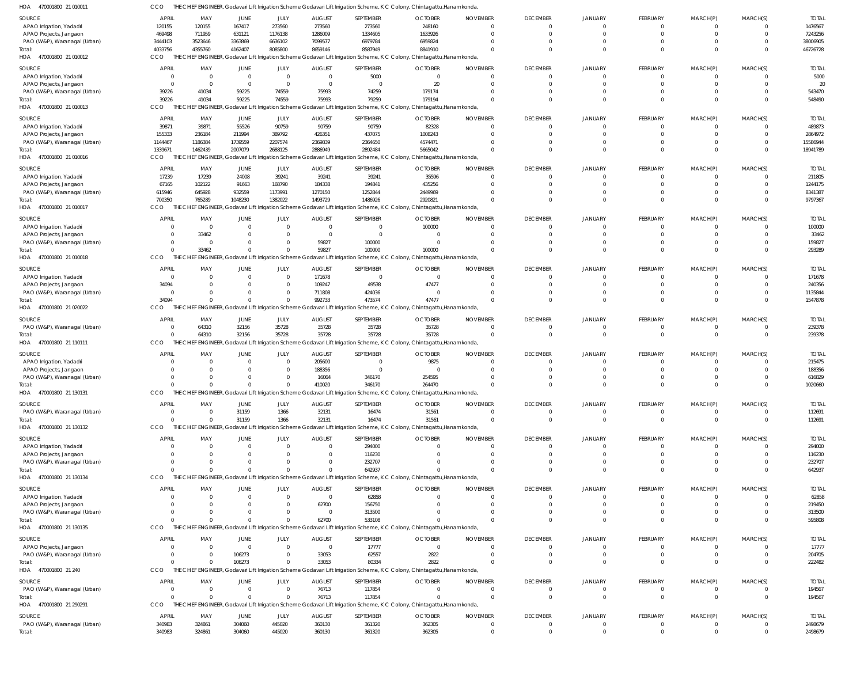| SOURCE                       | <b>APRIL</b> | MAY                    | JUNE           | JULY           | <b>AUGUST</b>  | SEPTEMBER                                                                                        | <b>OCTOBER</b>                                                                                                           | <b>NOVEMBER</b> | <b>DECEMBER</b> | <b>JANUARY</b> | <b>FEBRUARY</b> | MARCH(P)       | MARCH(S)       | <b>TOTAL</b> |
|------------------------------|--------------|------------------------|----------------|----------------|----------------|--------------------------------------------------------------------------------------------------|--------------------------------------------------------------------------------------------------------------------------|-----------------|-----------------|----------------|-----------------|----------------|----------------|--------------|
| APAO Irrigation, Yadadri     | 120155       | 120155                 | 167417         | 273560         | 273560         | 273560                                                                                           | 248160                                                                                                                   | $\overline{0}$  | $\overline{0}$  | $\overline{0}$ | $\mathbf 0$     | $\mathbf 0$    | $\Omega$       | 1476567      |
| APAO Projects, Jangaon       | 469498       | 711959                 | 631121         | 1176138        | 1286009        | 1334605                                                                                          | 1633926                                                                                                                  | $\Omega$        | $\Omega$        | $\Omega$       | $\mathbf 0$     | $\mathbf 0$    | $\Omega$       | 7243256      |
| PAO (W&P), Waranagal (Urban) | 3444103      | 3523646                | 3363869        | 6636102        | 7099577        | 6979784                                                                                          | 6959824                                                                                                                  | $\Omega$        | $\Omega$        | $\Omega$       | $\mathbf 0$     | $\Omega$       | $\Omega$       | 38006905     |
| lotal:                       | 4033756      | 4355760                | 4162407        | 8085800        | 8659146        | 8587949                                                                                          | 8841910                                                                                                                  | $\Omega$        | $\Omega$        | $\Omega$       | $\Omega$        | $\Omega$       | $\Omega$       | 46726728     |
| HOA 470001800 21 010012      | <b>CCO</b>   |                        |                |                |                | THE CHIEF ENGINEER, Godavari Lift Irrigation Scheme Godavari Lift Irrigation Scheme, K C Colony, | Chintagattu, Hanamkonda                                                                                                  |                 |                 |                |                 |                |                |              |
|                              |              |                        |                |                |                |                                                                                                  |                                                                                                                          |                 |                 |                |                 |                |                |              |
| SOURCE                       | <b>APRIL</b> | MAY                    | JUNE           | JULY           | <b>AUGUST</b>  | SEPTEMBER                                                                                        | <b>OCTOBER</b>                                                                                                           | <b>NOVEMBER</b> | <b>DECEMBER</b> | JANUARY        | FEBRUARY        | MARCH(P)       | MARCH(S)       | <b>TOTAL</b> |
| APAO Irrigation, Yadadri     | $\Omega$     | $\overline{0}$         | $\overline{0}$ | $\overline{0}$ | $\overline{0}$ | 5000                                                                                             | $\overline{0}$                                                                                                           | 0               | $\Omega$        | $\Omega$       | 0               | 0              | $\Omega$       | 5000         |
| APAO Projects, Jangaon       | $\Omega$     | $\overline{0}$         | $\overline{0}$ | $\overline{0}$ | $\overline{0}$ | $\overline{0}$                                                                                   | 20                                                                                                                       | $\mathbf 0$     | $\Omega$        | $\Omega$       | $\mathbf 0$     | $\mathbf 0$    | $\Omega$       | 20           |
| PAO (W&P), Waranagal (Urban) | 39226        | 41034                  | 59225          | 74559          | 75993          | 74259                                                                                            | 179174                                                                                                                   | $\Omega$        | $\Omega$        | $\Omega$       | $\Omega$        | $\Omega$       | $\Omega$       | 543470       |
| Total:                       | 39226        | 41034                  | 59225          | 74559          | 75993          | 79259                                                                                            | 179194                                                                                                                   | $\Omega$        | $\Omega$        | $\Omega$       | $\overline{0}$  | $\Omega$       | $\Omega$       | 548490       |
| HOA 470001800 21 010013      | CCO          |                        |                |                |                |                                                                                                  | THE CHIEF ENGINEER, Godavari Lift Irrigation Scheme Godavari Lift Irrigation Scheme, K C Colony, Chintagattu, Hanamkonda |                 |                 |                |                 |                |                |              |
|                              |              |                        |                |                |                |                                                                                                  |                                                                                                                          |                 |                 |                |                 |                |                |              |
| SOURCE                       | <b>APRIL</b> | MAY                    | JUNE           | JULY           | <b>AUGUST</b>  | SEPTEMBER                                                                                        | <b>OCTOBER</b>                                                                                                           | <b>NOVEMBER</b> | <b>DECEMBER</b> | JANUARY        | <b>FEBRUARY</b> | MARCH(P)       | MARCH(S)       | <b>TOTAL</b> |
| APAO Irrigation, Yadadri     | 39871        | 39871                  | 55526          | 90759          | 90759          | 90759                                                                                            | 82328                                                                                                                    | 0               | $\Omega$        | $\mathbf{0}$   | 0               | O              | $\Omega$       | 489873       |
| APAO Projects, Jangaon       | 155333       | 236184                 | 211994         | 389792         | 426351         | 437075                                                                                           | 1008243                                                                                                                  | $\Omega$        | $\Omega$        | $\Omega$       | $\mathbf 0$     | $\mathbf 0$    | $\Omega$       | 2864972      |
| PAO (W&P), Waranagal (Urban) | 1144467      | 1186384                | 1739559        | 2207574        | 2369839        | 2364650                                                                                          | 4574471                                                                                                                  | $\Omega$        | $\Omega$        | $\Omega$       | $\mathbf 0$     | $\Omega$       | $\Omega$       | 15586944     |
| lotal:                       | 1339671      | 1462439                | 2007079        | 2688125        | 2886949        | 2892484                                                                                          | 5665042                                                                                                                  | $\Omega$        | $\Omega$        | $\Omega$       | $\overline{0}$  | $\overline{0}$ | $\Omega$       | 18941789     |
| HOA 470001800 21 010016      | <b>CCO</b>   |                        |                |                |                | THE CHIEF ENGINEER, Godavari Lift Irrigation Scheme Godavari Lift Irrigation Scheme, K C Colony, | Chintagattu, Hanamkonda                                                                                                  |                 |                 |                |                 |                |                |              |
|                              |              |                        |                |                |                |                                                                                                  |                                                                                                                          |                 |                 |                |                 |                |                |              |
| SOURCE                       | <b>APRIL</b> | MAY                    | JUNE           | <b>JULY</b>    | <b>AUGUST</b>  | SEPTEMBER                                                                                        | <b>OCTOBER</b>                                                                                                           | <b>NOVEMBER</b> | <b>DECEMBER</b> | JANUARY        | <b>FEBRUARY</b> | MARCH(P)       | MARCH(S)       | <b>TOTAL</b> |
| APAO Irrigation, Yadadri     | 17239        | 17239                  | 24008          | 39241          | 39241          | 39241                                                                                            | 35596                                                                                                                    | $\Omega$        | $\Omega$        | $\Omega$       | $\mathbf 0$     | 0              | $\Omega$       | 211805       |
| APAO Projects, Jangaon       | 67165        | 102122                 | 91663          | 168790         | 184338         | 194841                                                                                           | 435256                                                                                                                   | $\Omega$        | $\Omega$        | $\Omega$       | $\mathbf 0$     | $\mathbf 0$    | $\Omega$       | 1244175      |
| PAO (W&P), Waranagal (Urban) | 615946       | 645928                 | 932559         | 1173991        | 1270150        | 1252844                                                                                          | 2449969                                                                                                                  | $\Omega$        | $\Omega$        | $\Omega$       | $\mathbf 0$     | $\mathbf 0$    | $\Omega$       | 8341387      |
| lotal:                       | 700350       | 765289                 | 1048230        | 1382022        | 1493729        | 1486926                                                                                          | 2920821                                                                                                                  | $\Omega$        | $\Omega$        | $\Omega$       | $\Omega$        | $\Omega$       | $\Omega$       | 9797367      |
| HOA 470001800 21 010017      | CCO          | THE<br>CHIEF ENGINEER, |                |                |                | Godavari Lift Irrigation Scheme Godavari Lift Irrigation Scheme, K C Colony,                     | Chintagattu, Hanamkonda                                                                                                  |                 |                 |                |                 |                |                |              |
|                              |              |                        |                |                |                |                                                                                                  |                                                                                                                          |                 |                 |                |                 |                |                |              |
| SOURCE                       | <b>APRIL</b> | MAY                    | JUNE           | JULY           | <b>AUGUST</b>  | SEPTEMBER                                                                                        | <b>OCTOBER</b>                                                                                                           | <b>NOVEMBER</b> | <b>DECEMBER</b> | JANUARY        | <b>FEBRUARY</b> | MARCH(P)       | MARCH(S)       | <b>TOTAL</b> |
| APAO Irrigation, Yadadri     | $\Omega$     | $\overline{0}$         | $\Omega$       | $\Omega$       | $\overline{0}$ | $\Omega$                                                                                         | 100000                                                                                                                   | $\Omega$        | $\Omega$        | $\Omega$       | $\mathbf 0$     | 0              | $\Omega$       | 100000       |
| APAO Projects, Jangaon       | $\Omega$     | 33462                  | 0              | - 0            | $\overline{0}$ | $\Omega$                                                                                         | 0                                                                                                                        | $\Omega$        | $\Omega$        | $\Omega$       | $\mathbf 0$     | $\mathbf 0$    | $\Omega$       | 33462        |
| PAO (W&P), Waranagal (Urban) | $\Omega$     | $\overline{0}$         | $\Omega$       | - 0            | 59827          | 100000                                                                                           | - 0                                                                                                                      | $\Omega$        | $\Omega$        | $\Omega$       | $\mathbf 0$     | $\mathbf 0$    | $\Omega$       | 159827       |
| Total:                       | $\Omega$     | 33462                  | $\Omega$       |                | 59827          | 100000                                                                                           | 100000                                                                                                                   | $\Omega$        | $\Omega$        | $\Omega$       | $\overline{0}$  | $\mathbf 0$    | $\Omega$       | 293289       |
| HOA 470001800 21 010018      | CCO          |                        |                |                |                |                                                                                                  | THE CHIEF ENGINEER, Godavari Lift Irrigation Scheme Godavari Lift Irrigation Scheme, K C Colony, Chintagattu, Hanamkonda |                 |                 |                |                 |                |                |              |
|                              |              |                        |                |                |                |                                                                                                  |                                                                                                                          |                 |                 |                |                 |                |                |              |
| SOURCE                       | <b>APRIL</b> | MAY                    | JUNE           | JULY           | <b>AUGUST</b>  | SEPTEMBER                                                                                        | <b>OCTOBER</b>                                                                                                           | <b>NOVEMBER</b> | <b>DECEMBER</b> | JANUARY        | FEBRUARY        | MARCH(P)       | MARCH(S)       | <b>TOTAL</b> |
| APAO Irrigation, Yadadri     | $\Omega$     | $\overline{0}$         | $\overline{0}$ | $\Omega$       | 171678         | $\overline{0}$                                                                                   | $\overline{0}$                                                                                                           | $\Omega$        | $\Omega$        | $\Omega$       | $\Omega$        | $\Omega$       | $\Omega$       | 171678       |
| APAO Projects, Jangaon       | 34094        | $\overline{0}$         | $\Omega$       | $\Omega$       | 109247         | 49538                                                                                            | 47477                                                                                                                    | 0               | $\Omega$        | $\Omega$       | $\mathbf 0$     | $\mathbf 0$    | $\Omega$       | 240356       |
| PAO (W&P), Waranagal (Urban) | $\Omega$     | $\Omega$               | $\Omega$       | $\Omega$       | 711808         | 424036                                                                                           | $\Omega$                                                                                                                 | $\Omega$        | $\Omega$        | $\Omega$       | $\mathbf 0$     | 0              | $\Omega$       | 1135844      |
| lotal:                       | 34094        | $\Omega$               | $\Omega$       |                | 992733         | 473574                                                                                           | 47477                                                                                                                    | $\Omega$        | $\Omega$        | $\Omega$       | $\Omega$        | $\overline{0}$ | $\Omega$       | 1547878      |
| HOA 470001800 21 020022      | CCO          |                        |                |                |                |                                                                                                  | THE CHIEF ENGINEER, Godavari Lift Irrigation Scheme Godavari Lift Irrigation Scheme, K C Colony, Chintagattu, Hanamkonda |                 |                 |                |                 |                |                |              |
|                              |              |                        |                |                |                |                                                                                                  |                                                                                                                          |                 |                 |                |                 |                |                |              |
| SOURCE                       | <b>APRIL</b> | MAY                    | JUNE           | JULY           | <b>AUGUST</b>  | SEPTEMBER                                                                                        | <b>OCTOBER</b>                                                                                                           | <b>NOVEMBER</b> | <b>DECEMBER</b> | <b>JANUARY</b> | <b>FEBRUARY</b> | MARCH(P)       | MARCH(S)       | <b>TOTAL</b> |
| PAO (W&P), Waranagal (Urban) | $\Omega$     | 64310                  | 32156          | 35728          | 35728          | 35728                                                                                            | 35728                                                                                                                    | $\mathbf 0$     | $\Omega$        | $\Omega$       | $\mathbf 0$     | O              | $\Omega$       | 239378       |
| Total:                       | $\Omega$     | 64310                  | 32156          | 35728          | 35728          | 35728                                                                                            | 35728                                                                                                                    | $\mathbf{0}$    | $\Omega$        | $\Omega$       | $\overline{0}$  | $\mathbf 0$    | $\overline{0}$ | 239378       |
| HOA 470001800 21 110111      | CCO          |                        |                |                |                |                                                                                                  | THE CHIEF ENGINEER, Godavari Lift Irrigation Scheme Godavari Lift Irrigation Scheme, K C Colony, Chintagattu, Hanamkonda |                 |                 |                |                 |                |                |              |
|                              |              |                        |                |                |                |                                                                                                  |                                                                                                                          |                 |                 |                |                 |                |                |              |
| SOURCE                       | <b>APRIL</b> | MAY                    | <b>JUNE</b>    | JULY           | <b>AUGUST</b>  | SEPTEMBER                                                                                        | <b>OCTOBER</b>                                                                                                           | <b>NOVEMBER</b> | <b>DECEMBER</b> | JANUARY        | <b>FEBRUARY</b> | MARCH(P)       | MARCH(S)       | <b>TOTAL</b> |
| APAO Irrigation, Yadadri     |              | $\Omega$               | $\Omega$       | $\Omega$       | 205600         | $\overline{0}$                                                                                   | 9875                                                                                                                     | $\Omega$        | $\Omega$        | $\Omega$       | 0               | $\Omega$       | $\Omega$       | 215475       |
| APAO Projects, Jangaon       |              | $\Omega$               | $\Omega$       | $\Omega$       | 188356         | $\Omega$                                                                                         | $\Omega$                                                                                                                 | $\Omega$        | $\Omega$        | $\Omega$       | $\Omega$        | $\Omega$       | $\Omega$       | 188356       |
| PAO (W&P), Waranagal (Urban) |              | $\Omega$               | $\Omega$       | $\Omega$       | 16064          | 346170                                                                                           | 254595                                                                                                                   | $\Omega$        | $\Omega$        | $\Omega$       | $\mathbf 0$     | 0              | $\Omega$       | 616829       |
| lotal:                       |              | $\Omega$               | $\Omega$       |                | 410020         | 346170                                                                                           | 264470                                                                                                                   | $\Omega$        | $\Omega$        | $\Omega$       | $\Omega$        | $\Omega$       | $\Omega$       | 1020660      |
| HOA 470001800 21 130131      | CCO          |                        |                |                |                |                                                                                                  | THE CHIEF ENGINEER, Godavari Lift Irrigation Scheme Godavari Lift Irrigation Scheme, K C Colony, Chintagattu, Hanamkonda |                 |                 |                |                 |                |                |              |
|                              |              |                        |                |                |                |                                                                                                  |                                                                                                                          |                 |                 |                |                 |                |                |              |
| SOURCE                       | <b>APRIL</b> | MAY                    | JUNE           | JULY           | <b>AUGUST</b>  | SEPTEMBER                                                                                        | <b>OCTOBER</b>                                                                                                           | <b>NOVEMBER</b> | <b>DECEMBER</b> | JANUARY        | FEBRUARY        | MARCH(P)       | MARCH(S)       | <b>TOTAL</b> |
| PAO (W&P), Waranagal (Urban) | $\Omega$     | $\overline{0}$         | 31159          | 1366           | 32131          | 16474                                                                                            | 31561                                                                                                                    | $\mathbf{0}$    | $\overline{0}$  | $\overline{0}$ | $\mathbf 0$     | $\mathbf 0$    | $\overline{0}$ | 112691       |
| Total:                       | $\Omega$     | $\Omega$               | 31159          | 1366           | 32131          | 16474                                                                                            | 31561                                                                                                                    | $\Omega$        | $\Omega$        | $\Omega$       | $\mathbf 0$     | $\mathbf 0$    | $\Omega$       | 112691       |
| HOA 470001800 21 130132      | <b>CCO</b>   |                        |                |                |                |                                                                                                  | THE CHIEF ENGINEER, Godavari Lift Irrigation Scheme Godavari Lift Irrigation Scheme, K C Colony, Chintagattu, Hanamkonda |                 |                 |                |                 |                |                |              |
|                              |              |                        |                |                |                |                                                                                                  |                                                                                                                          |                 |                 |                |                 |                |                |              |
| SOURCE                       | <b>APRIL</b> | MAY                    | <b>JUNE</b>    | JULY           | <b>AUGUST</b>  | SEPTEMBER                                                                                        | <b>OCTOBER</b>                                                                                                           | <b>NOVEMBER</b> | <b>DECEMBER</b> | JANUARY        | FEBRUARY        | MARCH(P)       | MARCH(S)       | <b>TOTAL</b> |
| APAO Irrigation, Yadadri     | $\Omega$     | $\overline{0}$         | $\mathbf 0$    | $\Omega$       | $\mathbf{0}$   | 294000                                                                                           | $\Omega$                                                                                                                 | $\Omega$        | $\Omega$        | $\Omega$       | $\Omega$        | $\Omega$       | $\Omega$       | 294000       |
| APAO Projects, Jangaon       |              | $\Omega$               | 0              | - 0            | 0              | 116230                                                                                           | $\Omega$                                                                                                                 | 0               | $\Omega$        | $\Omega$       | $\mathbf 0$     | $\mathbf 0$    | $\Omega$       | 116230       |
| PAO (W&P), Waranagal (Urban) | $\Omega$     | $\Omega$               | 0              | - 0            | $\Omega$       | 232707                                                                                           | $\Omega$                                                                                                                 | $\Omega$        | $\Omega$        | $\Omega$       | $\Omega$        | $\Omega$       | $\Omega$       | 232707       |
| Total:                       | $\Omega$     | $\Omega$               | $\Omega$       |                | $\Omega$       | 642937                                                                                           |                                                                                                                          | $\Omega$        | $\Omega$        | $\Omega$       | $\overline{0}$  | $\overline{0}$ | $\Omega$       | 642937       |
| HOA 470001800 21 130134      | CCO          |                        |                |                |                |                                                                                                  | THE CHIEF ENGINEER, Godavari Lift Irrigation Scheme Godavari Lift Irrigation Scheme, K C Colony, Chintagattu, Hanamkonda |                 |                 |                |                 |                |                |              |
|                              |              |                        |                |                |                |                                                                                                  |                                                                                                                          |                 |                 |                |                 |                |                |              |
| SOURCE                       | <b>APRIL</b> | MAY                    | JUNE           | JULY           | <b>AUGUST</b>  | SEPTEMBER                                                                                        | <b>OCTOBER</b>                                                                                                           | <b>NOVEMBER</b> | <b>DECEMBER</b> | <b>JANUARY</b> | <b>FEBRUARY</b> | MARCH(P)       | MARCH(S)       | <b>TOTAL</b> |
| APAO Irrigation, Yadadri     |              | $\overline{0}$         | $\overline{0}$ | $\Omega$       | $\mathbf 0$    | 62858                                                                                            | $\Omega$                                                                                                                 | 0               | $\Omega$        | $\Omega$       | 0               | O              | $\Omega$       | 62858        |
| APAO Projects, Jangaon       |              | $\Omega$               | 0              | - 0            | 62700          | 156750                                                                                           | $\Omega$                                                                                                                 | 0               | $\Omega$        | $\Omega$       | $\mathbf 0$     | $\mathbf 0$    | $\Omega$       | 219450       |
| PAO (W&P), Waranagal (Urban) | $\Omega$     | $\overline{0}$         | $\Omega$       | $\Omega$       | $\mathbf{0}$   | 313500                                                                                           | $\Omega$                                                                                                                 | $\Omega$        | $\Omega$        | $\Omega$       | $\mathbf 0$     | $\mathbf 0$    | $\Omega$       | 313500       |
| lotal:                       | $\Omega$     | $\Omega$               | $\Omega$       |                | 62700          | 533108                                                                                           |                                                                                                                          | $\Omega$        | $\Omega$        | $\Omega$       | $\overline{0}$  | $\mathbf 0$    | $\Omega$       | 595808       |
| HOA 470001800 21 130135      | <b>CCO</b>   |                        |                |                |                |                                                                                                  | THE CHIEF ENGINEER, Godavari Lift Irrigation Scheme Godavari Lift Irrigation Scheme, K C Colony, Chintagattu, Hanamkonda |                 |                 |                |                 |                |                |              |
|                              |              |                        |                |                |                |                                                                                                  |                                                                                                                          |                 |                 |                |                 |                |                |              |
| SOURCE                       | <b>APRIL</b> | MAY                    | JUNE           | JULY           | <b>AUGUST</b>  | SEPTEMBER                                                                                        | <b>OCTOBER</b>                                                                                                           | <b>NOVEMBER</b> | <b>DECEMBER</b> | JANUARY        | <b>FEBRUARY</b> | MARCH(P)       | MARCH(S)       | <b>TOTAL</b> |
| APAO Projects, Jangaon       | $\Omega$     | $\overline{0}$         | $\overline{0}$ | $\Omega$       | $\mathbf 0$    | 17777                                                                                            | $\mathbf{0}$                                                                                                             | $\Omega$        | $\Omega$        | $\Omega$       | $\mathbf 0$     | 0              | $\Omega$       | 17777        |
| PAO (W&P), Waranagal (Urban) | $\Omega$     | $\overline{0}$         | 106273         | $\Omega$       | 33053          | 62557                                                                                            | 2822                                                                                                                     | $\Omega$        | $\overline{0}$  | $\Omega$       | $\mathbf 0$     | $\mathbf 0$    | $\overline{0}$ | 204705       |
| Total:                       | $\Omega$     | $\Omega$               | 106273         | $\Omega$       | 33053          | 80334                                                                                            | 2822                                                                                                                     | $\Omega$        | $\Omega$        | $\Omega$       | $\overline{0}$  | $\overline{0}$ | $\overline{0}$ | 222482       |
| HOA 470001800 21 240         | CCO          |                        |                |                |                |                                                                                                  | THE CHIEF ENGINEER, Godavari Lift Irrigation Scheme Godavari Lift Irrigation Scheme, K C Colony, Chintagattu, Hanamkonda |                 |                 |                |                 |                |                |              |
|                              |              |                        |                |                |                |                                                                                                  |                                                                                                                          |                 |                 |                |                 |                |                |              |
| SOURCE                       | <b>APRIL</b> | MAY                    | JUNE           | JULY           | <b>AUGUST</b>  | SEPTEMBER                                                                                        | <b>OCTOBER</b>                                                                                                           | <b>NOVEMBER</b> | <b>DECEMBER</b> | <b>JANUARY</b> | <b>FEBRUARY</b> | MARCH(P)       | MARCH(S)       | <b>TOTAL</b> |
| PAO (W&P), Waranagal (Urban) | $\mathbf{0}$ | $\overline{0}$         | $\overline{0}$ | $\overline{0}$ | 76713          | 117854                                                                                           | $\Omega$                                                                                                                 | $\overline{0}$  | $\Omega$        | $\Omega$       | $\mathbf 0$     | 0              | $\overline{0}$ | 194567       |
| Total:                       | $\Omega$     | $\overline{0}$         | $\mathbf 0$    | $\Omega$       | 76713          | 117854                                                                                           | $\Omega$                                                                                                                 | $\mathbf{0}$    | $\Omega$        | $\Omega$       | $\mathbf 0$     | $\mathbf 0$    | $\overline{0}$ | 194567       |
| HOA 470001800 21 290291      | CCO          |                        |                |                |                |                                                                                                  | THE CHIEF ENGINEER, Godavari Lift Irrigation Scheme Godavari Lift Irrigation Scheme, K C Colony, Chintagattu, Hanamkonda |                 |                 |                |                 |                |                |              |
|                              |              |                        |                |                |                |                                                                                                  |                                                                                                                          |                 |                 |                |                 |                |                |              |
| SOURCE                       | <b>APRIL</b> | MAY                    | JUNE           | JULY           | <b>AUGUST</b>  | SEPTEMBER                                                                                        | <b>OCTOBER</b>                                                                                                           | <b>NOVEMBER</b> | <b>DECEMBER</b> | JANUARY        | FEBRUARY        | MARCH(P)       | MARCH(S)       | <b>TOTAL</b> |
| PAO (W&P), Waranagal (Urban) | 340983       | 324861                 | 304060         | 445020         | 360130         | 361320                                                                                           | 362305                                                                                                                   | 0               | $\overline{0}$  | $\overline{0}$ | 0               | 0              | $\overline{0}$ | 2498679      |
| Total:                       | 340983       | 324861                 | 304060         | 445020         | 360130         | 361320                                                                                           | 362305                                                                                                                   | $\mathbf 0$     | $\mathbf{0}$    | $\overline{0}$ | $\overline{0}$  | $\mathbf 0$    | $\Omega$       | 2498679      |

470001800 21 010011 HOA CCO THE CHIEF ENGINEER, Godavari Lift Irrigation Scheme Godavari Lift Irrigation Scheme, K C Colony, Chintagattu,Hanamkonda,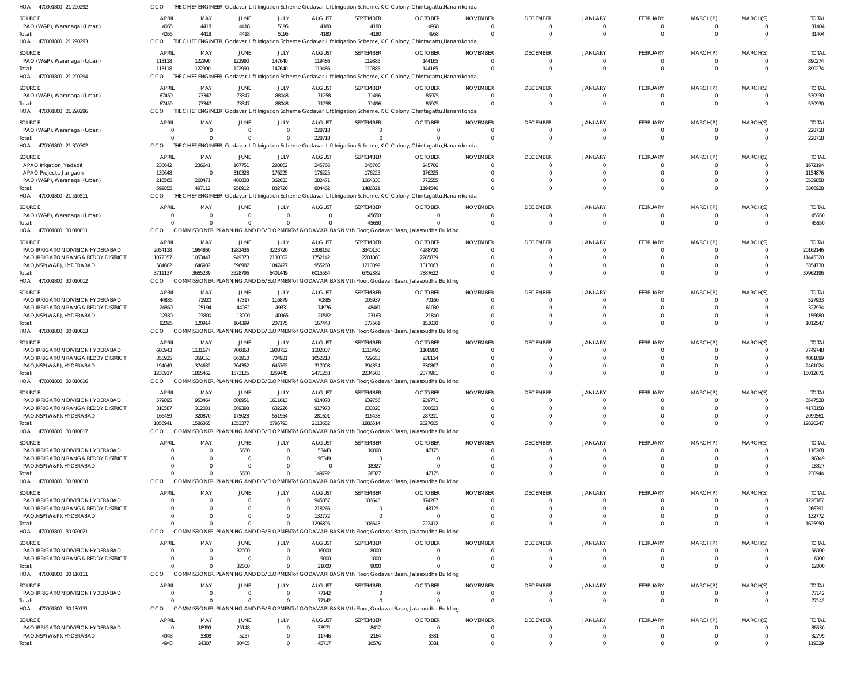| HOA 470001800 21 290292                    | CCO                  |                            |                      |                      |                        |                                                                                                             | THE CHIEF ENGINEER, Godavari Lift Irrigation Scheme Godavari Lift Irrigation Scheme, K C Colony, Chintagattu, Hanamkonda |                                 |                            |                      |                            |                      |                                |                 |
|--------------------------------------------|----------------------|----------------------------|----------------------|----------------------|------------------------|-------------------------------------------------------------------------------------------------------------|--------------------------------------------------------------------------------------------------------------------------|---------------------------------|----------------------------|----------------------|----------------------------|----------------------|--------------------------------|-----------------|
| SOURCE                                     | <b>APRIL</b>         | MAY                        | JUNE                 | <b>JULY</b>          | <b>AUGUST</b>          | SEPTEMBER                                                                                                   | <b>OCTOBER</b>                                                                                                           | <b>NOVEMBER</b>                 | <b>DECEMBER</b>            | <b>JANUARY</b>       | <b>FEBRUARY</b>            | MARCH(P)             | MARCH(S)                       | <b>TOTAL</b>    |
| PAO (W&P), Waranagal (Urban)               | 4055                 | 4418                       | 4418                 | 5195                 | 4180                   | 4180                                                                                                        | 4958                                                                                                                     | $\Omega$                        | $\overline{0}$             | $\overline{0}$       | $\mathbf 0$                | 0                    | $\overline{0}$                 | 31404           |
| Total:                                     | 4055                 | 4418                       | 4418                 | 5195                 | 4180                   | 4180                                                                                                        | 4958                                                                                                                     | $\Omega$                        | $\Omega$                   | $\Omega$             | $\mathbf{0}$               | $\mathbf{0}$         | $\overline{0}$                 | 31404           |
| HOA 470001800 21 290293                    | <b>CCO</b>           |                            |                      |                      |                        |                                                                                                             | THE CHIEF ENGINEER, Godavari Lift Irrigation Scheme Godavari Lift Irrigation Scheme, K C Colony, Chintagattu, Hanamkonda |                                 |                            |                      |                            |                      |                                |                 |
| SOURCE                                     | <b>APRIL</b>         | MAY                        | JUNE                 | <b>JULY</b>          | <b>AUGUST</b>          | SEPTEMBER                                                                                                   | <b>OCTOBER</b>                                                                                                           | <b>NOVEMBER</b>                 | <b>DECEMBER</b>            | JANUARY              | <b>FEBRUARY</b>            | MARCH(P)             | MARCH(S)                       | <b>TOTAL</b>    |
| PAO (W&P), Waranagal (Urban)               | 113118               | 122990                     | 122990               | 147640               | 119486                 | 119885                                                                                                      | 144165                                                                                                                   | $\mathbf{0}$                    | $\overline{0}$             | $\overline{0}$       | $\mathbf 0$                | $\mathbf 0$          | $\overline{0}$                 | 890274          |
| Total:                                     | 113118               | 122990                     | 122990               | 147640               | 119486                 | 119885                                                                                                      | 144165                                                                                                                   | $\Omega$                        | $\Omega$                   | $\Omega$             | $\Omega$                   | $\Omega$             | $\Omega$                       | 890274          |
| HOA 470001800 21 290294                    | CCO                  |                            |                      |                      |                        |                                                                                                             | THE CHIEF ENGINEER, Godavari Lift Irrigation Scheme Godavari Lift Irrigation Scheme, K C Colony, Chintagattu, Hanamkonda |                                 |                            |                      |                            |                      |                                |                 |
|                                            | APRIL                |                            |                      |                      |                        |                                                                                                             |                                                                                                                          |                                 | <b>DECEMBER</b>            | <b>JANUARY</b>       | <b>FEBRUARY</b>            |                      |                                | <b>TOTAL</b>    |
| SOURCE<br>PAO (W&P), Waranagal (Urban)     | 67459                | MAY<br>73347               | JUNE<br>73347        | JULY<br>88048        | <b>AUGUST</b><br>71258 | SEPTEMBER<br>71496                                                                                          | <b>OCTOBER</b><br>85975                                                                                                  | <b>NOVEMBER</b><br>$\mathbf{0}$ | $\Omega$                   | $\Omega$             | $\mathbf 0$                | MARCH(P)<br>0        | MARCH(S)<br>$\overline{0}$     | 530930          |
| Total:                                     | 67459                | 73347                      | 73347                | 88048                | 71258                  | 71496                                                                                                       | 85975                                                                                                                    | $\overline{0}$                  | $\Omega$                   | $\Omega$             | $\mathbf 0$                | $\mathbf 0$          | $\overline{0}$                 | 530930          |
| HOA 470001800 21 290296                    | CCO                  |                            |                      |                      |                        |                                                                                                             | THE CHIEF ENGINEER, Godavari Lift Irrigation Scheme Godavari Lift Irrigation Scheme, K C Colony, Chintagattu, Hanamkonda |                                 |                            |                      |                            |                      |                                |                 |
|                                            |                      |                            |                      |                      |                        |                                                                                                             |                                                                                                                          |                                 |                            |                      |                            |                      |                                |                 |
| SOURCE                                     | APRIL                | MAY                        | JUNE                 | JULY                 | <b>AUGUST</b>          | SEPTEMBER                                                                                                   | <b>OCTOBER</b>                                                                                                           | <b>NOVEMBER</b>                 | <b>DECEMBER</b>            | JANUARY              | <b>FEBRUARY</b>            | MARCH(P)             | MARCH(S)                       | <b>TOTAL</b>    |
| PAO (W&P), Waranagal (Urban)               | $\Omega$<br>$\Omega$ | $\overline{0}$<br>$\Omega$ | $\Omega$<br>$\Omega$ | $\Omega$             | 228718<br>228718       | $\Omega$                                                                                                    | $\Omega$                                                                                                                 | $\Omega$                        | $\overline{0}$<br>$\Omega$ | $\Omega$<br>$\Omega$ | $\Omega$<br>$\overline{0}$ | 0<br>$\mathbf 0$     | $\mathbf{0}$<br>$\overline{0}$ | 228718          |
| Total:                                     | <b>CCO</b>           |                            |                      |                      |                        |                                                                                                             | THE CHIEF ENGINEER, Godavari Lift Irrigation Scheme Godavari Lift Irrigation Scheme, K C Colony, Chintagattu, Hanamkonda | $\mathbf{0}$                    |                            |                      |                            |                      |                                | 228718          |
| HOA 470001800 21 300302                    |                      |                            |                      |                      |                        |                                                                                                             |                                                                                                                          |                                 |                            |                      |                            |                      |                                |                 |
| SOURCE                                     | APRIL                | MAY                        | JUNE                 | JULY                 | <b>AUGUST</b>          | SEPTEMBER                                                                                                   | <b>OCTOBER</b>                                                                                                           | <b>NOVEMBER</b>                 | <b>DECEMBER</b>            | <b>JANUARY</b>       | <b>FEBRUARY</b>            | MARCH(P)             | MARCH(S)                       | <b>TOTAL</b>    |
| APAO Irrigation, Yadadri                   | 236642               | 236641                     | 167751               | 293862               | 245766                 | 245766                                                                                                      | 245766                                                                                                                   | $\Omega$                        | $\Omega$                   | $\Omega$             | $\mathbf 0$                | $\Omega$             | $\Omega$                       | 1672194         |
| APAO Projects, Jangaon                     | 139648               | $\overline{0}$             | 310328               | 176225               | 176225                 | 176225                                                                                                      | 176225                                                                                                                   | $\Omega$                        | $\Omega$                   | $\Omega$             | $\Omega$                   | $\Omega$             | $\Omega$                       | 1154876         |
| PAO (W&P), Waranagal (Urban)               | 216565               | 260471                     | 480833               | 362633               | 382471                 | 1064330                                                                                                     | 772555                                                                                                                   | $\Omega$                        | $\Omega$                   | $\Omega$<br>$\Omega$ | $\Omega$                   | $\Omega$             | $\Omega$<br>$\Omega$           | 3539858         |
| Total:<br>HOA 470001800 21 510511          | 592855<br><b>CCO</b> | 497112                     | 958912               | 832720               | 804462                 | 1486321<br>THE CHIEF ENGINEER, Godavari Lift Irrigation Scheme Godavari Lift Irrigation Scheme, K C Colony, | 1194546<br>Chintagattu, Hanamkonda                                                                                       | $\Omega$                        | $\Omega$                   |                      | $\Omega$                   | $\mathbf 0$          |                                | 6366928         |
|                                            |                      |                            |                      |                      |                        |                                                                                                             |                                                                                                                          |                                 |                            |                      |                            |                      |                                |                 |
| SOURCE                                     | <b>APRIL</b>         | MAY                        | JUNE                 | JULY                 | <b>AUGUST</b>          | SEPTEMBER                                                                                                   | <b>OCTOBER</b>                                                                                                           | <b>NOVEMBER</b>                 | <b>DECEMBER</b>            | <b>JANUARY</b>       | FEBRUARY                   | MARCH(P)             | MARCH(S)                       | <b>TOTAL</b>    |
| PAO (W&P), Waranagal (Urban)               | $\Omega$             | $\overline{0}$             | $\Omega$             | $\Omega$             | $\overline{0}$         | 45650                                                                                                       | $\Omega$                                                                                                                 | $\mathbf 0$                     | $\overline{0}$             | $\Omega$             | 0                          | 0                    | $\overline{0}$                 | 45650           |
| Total:                                     |                      | $\Omega$                   | $\Omega$             |                      |                        | 45650                                                                                                       |                                                                                                                          | $\Omega$                        | $\Omega$                   | $\Omega$             | $\Omega$                   | $\Omega$             | $\Omega$                       | 45650           |
| HOA 470001800 30 010011                    | CCO                  |                            |                      |                      |                        |                                                                                                             | COMMISSIONER, PLANNING AND DEVELOPMENT of GODAVARI BASIN Vth Floor, Godavari Basin, Jalasoudha Building                  |                                 |                            |                      |                            |                      |                                |                 |
| SOURCE                                     | APRIL                | MAY                        | JUNE                 | <b>JULY</b>          | <b>AUGUST</b>          | SEPTEMBER                                                                                                   | <b>OCTOBER</b>                                                                                                           | <b>NOVEMBER</b>                 | <b>DECEMBER</b>            | JANUARY              | <b>FEBRUARY</b>            | MARCH(P)             | MARCH(S)                       | <b>TOTAL</b>    |
| PAO IRRIGATION DIVISION HYDERABAD          | 2054118              | 1964860                    | 1982436              | 3223720              | 3308162                | 3340130                                                                                                     | 4288720                                                                                                                  | $\Omega$                        | $\Omega$                   | $\Omega$             | $\Omega$                   | $\Omega$             | $\Omega$                       | 20162146        |
| PAO IRRIGATION RANGA REDDY DISTRICT        | 1072357              | 1053447                    | 949373               | 2130302              | 1752142                | 2201860                                                                                                     | 2285839                                                                                                                  | $\Omega$                        | $\Omega$                   | $\Omega$             | $\mathbf 0$                | 0                    | $\Omega$                       | 11445320        |
| PAO, NSP(W&P), HYDERABAD                   | 584662               | 646932                     | 596987               | 1047427              | 955260                 | 1210399                                                                                                     | 1313063                                                                                                                  | $\Omega$                        | $\Omega$                   | $\Omega$             | $\mathbf 0$                | $\Omega$             | $\Omega$                       | 6354730         |
| Total:                                     | 3711137              | 3665239                    | 3528796              | 6401449              | 6015564                | 6752389                                                                                                     | 7887622                                                                                                                  | $\Omega$                        | $\Omega$                   | $\Omega$             | $\mathbf 0$                | $\mathbf 0$          | $\Omega$                       | 37962196        |
| HOA 470001800 30 010012                    | CCO                  |                            |                      |                      |                        |                                                                                                             | COMMISSIONER, PLANNING AND DEVELOPMENT of GODAVARI BASIN Vth Floor, Godavari Basin, Jalasoudha Building                  |                                 |                            |                      |                            |                      |                                |                 |
| SOURCE                                     | <b>APRIL</b>         | MAY                        | <b>JUNE</b>          | JULY                 | <b>AUGUST</b>          | SEPTEMBER                                                                                                   | <b>OCTOBER</b>                                                                                                           | <b>NOVEMBER</b>                 | <b>DECEMBER</b>            | <b>JANUARY</b>       | <b>FEBRUARY</b>            | MARCH(P)             | MARCH(S)                       | <b>TOTAL</b>    |
| PAO IRRIGATION DIVISION HYDERABAD          | 44835                | 71920                      | 47317                | 116879               | 70885                  | 105937                                                                                                      | 70160                                                                                                                    | $\Omega$                        | $\Omega$                   | $\Omega$             | O                          |                      | $\Omega$                       | 527933          |
| PAO IRRIGATION RANGA REDDY DISTRICT        | 24860                | 25194                      | 44082                | 49331                | 74976                  | 48461                                                                                                       | 61030                                                                                                                    | $\Omega$                        | $\Omega$                   | $\Omega$             | $\Omega$                   | $\Omega$             | $\Omega$                       | 327934          |
| PAO, NSP(W&P), HYDERABAD                   | 12330                | 23800                      | 13000                | 40965                | 21582                  | 23163                                                                                                       | 21840                                                                                                                    | $\Omega$                        | $\Omega$                   | $\Omega$             | $\Omega$                   | $\Omega$             | $\Omega$                       | 156680          |
| Total:                                     | 82025                | 120914                     | 104399               | 207175               | 167443                 | 177561                                                                                                      | 153030                                                                                                                   | $\Omega$                        | $\Omega$                   | $\Omega$             | $\Omega$                   | $\Omega$             | $\Omega$                       | 1012547         |
| HOA 470001800 30 010013                    | CCO                  |                            |                      |                      |                        |                                                                                                             | COMMISSIONER, PLANNING AND DEVELOPMENT of GODAVARI BASIN Vth Floor, Godavari Basin, Jalasoudha Building                  |                                 |                            |                      |                            |                      |                                |                 |
| SOURCE                                     | APRIL                | MAY                        | JUNE                 | JULY                 | <b>AUGUST</b>          | SEPTEMBER                                                                                                   | <b>OCTOBER</b>                                                                                                           | <b>NOVEMBER</b>                 | <b>DECEMBER</b>            | <b>JANUARY</b>       | <b>FEBRUARY</b>            | MARCH(P)             | MARCH(S)                       | <b>TOTAL</b>    |
| PAO IRRIGATION DIVISION HYDERABAD          | 680943               | 1131677                    | 706863               | 1908752              | 1102037                | 1110496                                                                                                     | 1108980                                                                                                                  | $\Omega$                        | $\Omega$                   | $\Omega$             | $\mathbf 0$                | $\Omega$             | $\Omega$                       | 7749748         |
| PAO IRRIGATION RANGA REDDY DISTRICT        | 355925               | 359153                     | 661910               | 704931               | 1052213                | 729653                                                                                                      | 938114                                                                                                                   | $\Omega$                        | $\Omega$                   | $\Omega$             | $\Omega$                   | $\Omega$             | $\Omega$                       | 4801899         |
| PAO, NSP(W&P), HYDERABAD                   | 194049               | 374632                     | 204352               | 645762               | 317008                 | 394354                                                                                                      | 330867                                                                                                                   | $\Omega$                        | $\Omega$                   | $\Omega$             | $\mathbf 0$                | 0                    | $\Omega$                       | 2461024         |
| lotal:                                     | 1230917              | 1865462                    | 1573125              | 3259445              | 2471258                | 2234503                                                                                                     | 2377961                                                                                                                  | $\Omega$                        | $\Omega$                   | $\Omega$             | $\Omega$                   | $\Omega$             | $\Omega$                       | 15012671        |
| HOA 470001800 30 010016                    | CCO                  |                            |                      |                      |                        |                                                                                                             | COMMISSIONER, PLANNING AND DEVELOPMENT of GODAVARI BASIN Vth Floor, Godavari Basin, Jalasoudha Building                  |                                 |                            |                      |                            |                      |                                |                 |
| SOURCE                                     | APRIL                | MAY                        | JUNE                 | JULY                 | AUGUST                 | SEPTEMBER                                                                                                   | <b>OCTOBER</b>                                                                                                           | <b>NOVEMBER</b>                 | <b>DECEMBER</b>            | <b>JANUARY</b>       | FEBRUARY                   | MARCH(P)             | MARCH(S)                       | <b>TOTAL</b>    |
| PAO IRRIGATION DIVISION HYDERABAD          | 579895               | 953464                     | 608951               | 1611613              | 914078                 | 939756                                                                                                      | 939771                                                                                                                   | $\Omega$                        | $\Omega$                   | $\Omega$             | $\Omega$                   | $\cup$               | $\Omega$                       | 6547528         |
| <b>PAO IRRIGATION RANGA REDDY DISTRICT</b> | 310587               | 312031                     | 569398               | 632226               | 917973                 | 630320                                                                                                      | 800623                                                                                                                   | ſ                               |                            |                      |                            |                      |                                | 4173158         |
| PAO, NSP(W&P), HYDERABAD                   | 166459               | 320870                     | 175028               | 551954               | 281601                 | 316438                                                                                                      | 287211                                                                                                                   |                                 |                            | $\Omega$             | $\cup$                     |                      |                                | 2099561         |
| Total:                                     | 1056941              | 1586365                    | 1353377              | 2795793              | 2113652                | 1886514                                                                                                     | 2027605                                                                                                                  |                                 | $\Omega$                   | $\Omega$             | $\Omega$                   | $\Omega$             | $\Omega$                       | 12820247        |
| HOA 470001800 30 010017                    | <b>CCO</b>           |                            |                      |                      |                        |                                                                                                             | COMMISSIONER, PLANNING AND DEVELOPMENTof GODAVARI BASIN Vth Floor, Godavari Basin, Jalasoudha Building                   |                                 |                            |                      |                            |                      |                                |                 |
| SOURCE                                     | <b>APRIL</b>         | MAY                        | <b>JUNE</b>          | JULY                 | <b>AUGUST</b>          | SEPTEMBER                                                                                                   | <b>OCTOBER</b>                                                                                                           | <b>NOVEMBER</b>                 | <b>DECEMBER</b>            | <b>JANUARY</b>       | <b>FEBRUARY</b>            | MARCH(P)             | MARCH(S)                       | <b>TOTAL</b>    |
| PAO IRRIGATION DIVISION HYDERABAD          |                      | $\Omega$                   | 5650                 | $\Omega$             | 53443                  | 10000                                                                                                       | 47175                                                                                                                    | $\Omega$                        | $\Omega$                   | $\Omega$             | $\Omega$                   | $\Omega$             | $\Omega$                       | 116268          |
| PAO IRRIGATION RANGA REDDY DISTRICT        |                      | $\Omega$                   | - 0                  | $\Omega$             | 96349                  | $\Omega$                                                                                                    | ſ                                                                                                                        | ſ                               | $\Omega$                   | <sup>0</sup>         | $\Omega$                   | $\Omega$             | $\Omega$                       | 96349           |
| PAO, NSP(W&P), HYDERABAD                   |                      |                            | $\Omega$             | $\Omega$             | - 0                    | 18327                                                                                                       | $\Omega$                                                                                                                 |                                 |                            | $\Omega$             | $\Omega$                   |                      |                                | 18327           |
| Total:                                     |                      |                            | 5650                 |                      | 149792                 | 28327                                                                                                       | 47175                                                                                                                    | $\sqrt{ }$                      |                            | $\Omega$             | $\Omega$                   | $\Omega$             | $\Omega$                       | 230944          |
| HOA 470001800 30 010018                    | CCO                  |                            |                      |                      |                        |                                                                                                             | COMMISSIONER, PLANNING AND DEVELOPMENT of GODAVARI BASIN Vth Floor, Godavari Basin, Jalasoudha Building                  |                                 |                            |                      |                            |                      |                                |                 |
| SOURCE                                     | <b>APRIL</b>         | MAY                        | JUNE                 | JULY                 | <b>AUGUST</b>          | SEPTEMBER                                                                                                   | <b>OCTOBER</b>                                                                                                           | <b>NOVEMBER</b>                 | <b>DECEMBER</b>            | JANUARY              | <b>FEBRUARY</b>            | MARCH(P)             | MARCH(S)                       | <b>TOTAL</b>    |
| PAO IRRIGATION DIVISION HYDERABAD          | $\Omega$             | $\Omega$                   | $\Omega$             | $\Omega$             | 945857                 | 106643                                                                                                      | 174287                                                                                                                   | $\Omega$                        | $\Omega$                   | <sup>0</sup>         | O                          |                      | $\Omega$                       | 1226787         |
| PAO IRRIGATION RANGA REDDY DISTRICT        |                      | U                          | -0                   | $\Omega$             | 218266                 | $\Omega$                                                                                                    | 48125                                                                                                                    | ſ                               |                            |                      | $\cup$                     |                      |                                | 266391          |
| PAO, NSP(W&P), HYDERABAD                   | $\Omega$             | U                          | $\Omega$             |                      | 132772                 |                                                                                                             |                                                                                                                          |                                 |                            | $\Omega$             | $\Omega$                   | $\Omega$             |                                | 132772          |
| Total:                                     |                      |                            | $\Omega$             |                      | 1296895                | 106643                                                                                                      | 222412                                                                                                                   | $\sqrt{ }$                      |                            | $\Omega$             | $\Omega$                   | $\Omega$             | $\Omega$                       | 1625950         |
| HOA 470001800 30 020021                    | CCO                  |                            |                      |                      |                        |                                                                                                             | COMMISSIONER, PLANNING AND DEVELOPMENT of GODAVARI BASIN Vth Floor, Godavari Basin, Jalasoudha Building                  |                                 |                            |                      |                            |                      |                                |                 |
| SOURCE                                     | APRIL                | MAY                        | <b>JUNE</b>          | JULY                 | <b>AUGUST</b>          | SEPTEMBER                                                                                                   | <b>OCTOBER</b>                                                                                                           | <b>NOVEMBER</b>                 | <b>DECEMBER</b>            | <b>JANUARY</b>       | <b>FEBRUARY</b>            | MARCH(P)             | MARCH(S)                       | <b>TOTAL</b>    |
| PAO IRRIGATION DIVISION HYDERABAD          | $\Omega$             | $\Omega$                   | 32000                | $\overline{0}$       | 16000                  | 8000                                                                                                        | $\Omega$                                                                                                                 | $\Omega$                        | $\Omega$                   | $\Omega$             | $\Omega$                   | $\Omega$             | $\Omega$                       | 56000           |
| PAO IRRIGATION RANGA REDDY DISTRICT        | $\Omega$             | $\Omega$                   | - 0                  | - 0                  | 5000                   | 1000                                                                                                        | $\Omega$                                                                                                                 | $\mathcal{L}$                   | $\Omega$                   |                      | $\Omega$                   | $\Omega$             | $\Omega$                       | 6000            |
| lotal:                                     | $\Omega$             |                            | 32000                |                      | 21000                  | 9000                                                                                                        |                                                                                                                          | $\Omega$                        | $\Omega$                   | $\Omega$             | $\Omega$                   | $\Omega$             | $\Omega$                       | 62000           |
| HOA 470001800 30 110111                    | CCO                  |                            |                      |                      |                        |                                                                                                             | COMMISSIONER, PLANNING AND DEVELOPMENT of GODAVARI BASIN Vth Floor, Godavari Basin, Jalasoudha Building                  |                                 |                            |                      |                            |                      |                                |                 |
| SOURCE                                     | <b>APRIL</b>         | MAY                        | <b>JUNE</b>          | JULY                 | <b>AUGUST</b>          | SEPTEMBER                                                                                                   | <b>OCTOBER</b>                                                                                                           | <b>NOVEMBER</b>                 | <b>DECEMBER</b>            | JANUARY              | <b>FEBRUARY</b>            | MARCH(P)             | MARCH(S)                       | <b>TOTAL</b>    |
| PAO IRRIGATION DIVISION HYDERABAD          | $\Omega$             | $\Omega$                   | $\Omega$             | $\Omega$             | 77142                  | $\Omega$                                                                                                    | $\Omega$                                                                                                                 | $\Omega$                        | $\Omega$                   | $\Omega$             | $\Omega$                   | O                    | $\Omega$                       | 77142           |
| Total:                                     | $\Omega$             | $\Omega$                   | $\Omega$             | $\Omega$             | 77142                  |                                                                                                             | $\Omega$                                                                                                                 | $\Omega$                        | $\Omega$                   | $\Omega$             | $\overline{0}$             | $\mathbf 0$          | $\Omega$                       | 77142           |
| HOA 470001800 30 130131                    | CCO                  |                            |                      |                      |                        |                                                                                                             | COMMISSIONER, PLANNING AND DEVELOPMENT of GODAVARI BASIN Vth Floor, Godavari Basin, Jalasoudha Building                  |                                 |                            |                      |                            |                      |                                |                 |
|                                            |                      |                            |                      |                      |                        |                                                                                                             |                                                                                                                          |                                 |                            |                      |                            |                      |                                |                 |
| <b>SOURCE</b>                              | <b>APRIL</b>         | MAY                        | JUNE                 | <b>JULY</b>          | <b>AUGUST</b>          | SEPTEMBER                                                                                                   | <b>OCTOBER</b>                                                                                                           | <b>NOVEMBER</b>                 | <b>DECEMBER</b>            | <b>JANUARY</b>       | <b>FEBRUARY</b>            | MARCH(P)             | MARCH(S)                       | <b>TOTAL</b>    |
| PAO IRRIGATION DIVISION HYDERABAD          | $\Omega$             | 18999                      | 25148                | $\Omega$<br>$\Omega$ | 33971                  | 8412                                                                                                        | $\overline{0}$                                                                                                           | $\Omega$                        | $\Omega$<br>$\Omega$       | $\Omega$<br>$\Omega$ | 0<br>$\Omega$              | $\Omega$<br>$\Omega$ | $\Omega$                       | 86530           |
| PAO, NSP(W&P), HYDERABAD                   | 4943<br>4943         | 5308<br>24307              | 5257<br>30405        | $\Omega$             | 11746<br>45717         | 2164<br>10576                                                                                               | 3381<br>3381                                                                                                             | $\Omega$<br>$\Omega$            | $\Omega$                   | $\Omega$             | $\Omega$                   | $\Omega$             | $\Omega$                       | 32799<br>119329 |
| Total:                                     |                      |                            |                      |                      |                        |                                                                                                             |                                                                                                                          |                                 |                            |                      |                            |                      |                                |                 |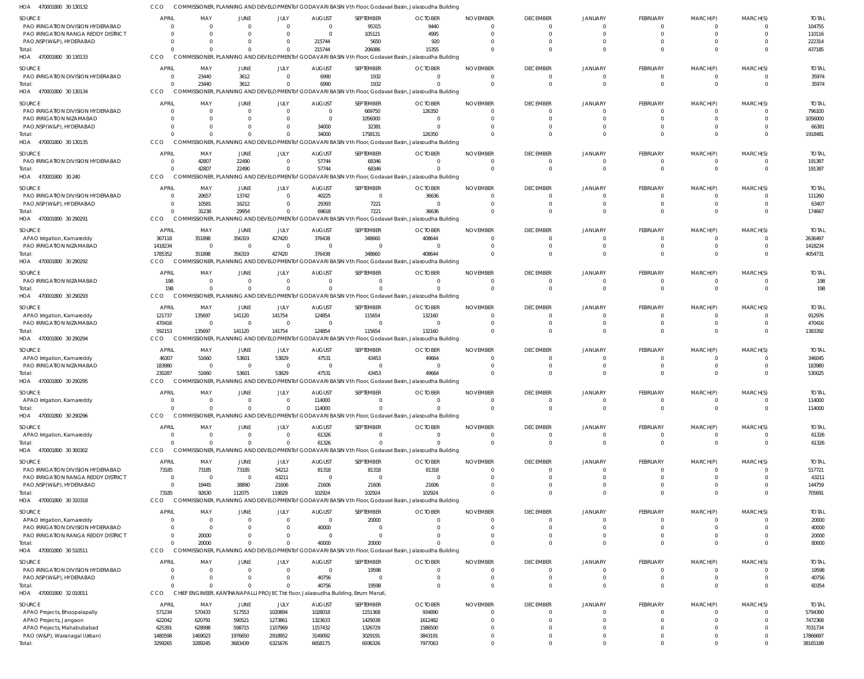470001800 30 130133 HOA 470001800 30 130134 HOA 470001800 30 130135 HOA 470001800 30 240 HOA 470001800 30 290291 HOA 470001800 30 290292 470001800 30 290293 HOA 470001800 30 290294 HOA 470001800 30 290295 HOA 470001800 30 290296 470001800 30 300302 HOA 470001800 30 310318 HOA 470001800 30 510511 HOA 470001800 32 010011 HOA HOA HOA COMMISSIONER, PLANNING AND DEVELOPMENTof GODAVARI BASIN Vth Floor, Godavari Basin, Jalasoudha Building COMMISSIONER, PLANNING AND DEVELOPMENTof GODAVARI BASIN Vth Floor, Godavari Basin, Jalasoudha Building COMMISSIONER, PLANNING AND DEVELOPMENTof GODAVARI BASIN Vth Floor, Godavari Basin, Jalasoudha Building COMMISSIONER, PLANNING AND DEVELOPMENTof GODAVARI BASIN Vth Floor, Godavari Basin, Jalasoudha Building COMMISSIONER, PLANNING AND DEVELOPMENTof GODAVARI BASIN Vth Floor, Godavari Basin, Jalasoudha Building COMMISSIONER, PLANNING AND DEVELOPMENTof GODAVARI BASIN Vth Floor, Godavari Basin, Jalasoudha Building COMMISSIONER, PLANNING AND DEVELOPMENTof GODAVARI BASIN Vth Floor, Godavari Basin, Jalasoudha Building CCO COMMISSIONER, PLANNING AND DEVELOPMENTof GODAVARI BASIN Vth Floor, Godavari Basin, Jalasoudha Building COMMISSIONER, PLANNING AND DEVELOPMENTof GODAVARI BASIN Vth Floor, Godavari Basin, Jalasoudha Building COMMISSIONER, PLANNING AND DEVELOPMENTof GODAVARI BASIN Vth Floor, Godavari Basin, Jalasoudha Building COMMISSIONER, PLANNING AND DEVELOPMENTof GODAVARI BASIN Vth Floor, Godavari Basin, Jalasoudha Building COMMISSIONER, PLANNING AND DEVELOPMENTof GODAVARI BASIN Vth Floor, Godavari Basin, Jalasoudha Building COMMISSIONER, PLANNING AND DEVELOPMENTof GODAVARI BASIN Vth Floor, Godavari Basin, Jalasoudha Building CHIEF ENGINEER, KANTHANAPALLI PROJECT Ist floor, Jalasoudha Building, Errum Manzil, **CCO CCO CCO** CCO CCO CCO CCO CCO. **CCO** CCO CCO CCO CCO 0  $\Omega$  $\Omega$  $\Omega$  $\Omega$ 1785352 198 592153 230287 0  $\Omega$ 73185 0 0 3299265 0 23440  $\Omega$ 42807 31238 351898  $\Omega$ 135697 51660 0  $\bigcap$ 92630 20000  $\Omega$ 3289245 0 3612  $\Omega$ 22490 29954 356319  $\Omega$ 141120 53601  $\Omega$  $\Omega$ 112075 0  $\Omega$ 3683439  $\Omega$  $\Omega$  $\Omega$  $\sqrt{2}$  $\Omega$ 427420 0 141754 53829  $\Omega$  $\bigcap$ 119029 0  $\bigcap$ 6321676 215744 6990 34000 57744 69618 376438  $\Omega$ 124854 47531 114000 61326 102924 40000 40756 6658175 206086 1932 1758131 68346 7221 348660  $\Omega$ 115654 43453  $\Omega$  $\bigcap$ 102924 20000 19598 6936326 15355  $\Omega$ 126350  $\Omega$ 36636 408644  $\Omega$ 132160 49664  $\Omega$  $\Omega$ 102924 0 0 7977063 0 0  $\Omega$  $\bigcap$  $\sqrt{2}$  $\Omega$  $\Omega$  $\Omega$ 0  $\Omega$  $\Omega$ 0 0  $\Omega$  $\Omega$ 0  $\Omega$ 0  $\Omega$  $\Omega$  $\Omega$  $\Omega$  $\Omega$ 0 0 0 0 0 0 0 0  $\Omega$ 0  $\Omega$  $\Omega$  $\Omega$  $\Omega$ 0  $\mathbf{C}$ 0 0 0 0 0 0 0  $\Omega$  $\Omega$  $\Omega$  $\sqrt{2}$  $\Omega$  $\Omega$  $\Omega$ 0  $\Omega$  $\Omega$ 0 0 0  $\Omega$ 0  $\Omega$ 0 0  $\Omega$ 0 0 0 0 0 0 0 0 0 0 0 0  $\Omega$  $\Omega$  $\bigcap$  $\Omega$  $\Omega$  $\Omega$ 0 0  $\Omega$ 0 0 0 0 437185 35974 1918481 191387 174667 4054731 198 1383392 530025 114000 61326 705691 80000 60354 38165189 PAO IRRIGATION DIVISION HYDERABAD PAO IRRIGATION RANGA REDDY DISTRICT PAO,NSP(W&P), HYDERABAD PAO IRRIGATION DIVISION HYDERABAD PAO IRRIGATION DIVISION HYDERABAD PAO IRRIGATION NIZAMABAD PAO,NSP(W&P), HYDERABAD PAO IRRIGATION DIVISION HYDERABAD PAO IRRIGATION DIVISION HYDERABAD PAO,NSP(W&P), HYDERABAD APAO Irrigation, Kamareddy PAO IRRIGATION NIZAMABAD PAO IRRIGATION NIZAMABAD APAO Irrigation, Kamareddy PAO IRRIGATION NIZAMABAD APAO Irrigation, Kamareddy PAO IRRIGATION NIZAMABAD APAO Irrigation, Kamareddy APAO Irrigation, Kamareddy PAO IRRIGATION DIVISION HYDERABAD PAO IRRIGATION RANGA REDDY DISTRICT PAO,NSP(W&P), HYDERABAD APAO Irrigation, Kamareddy PAO IRRIGATION DIVISION HYDERABAD PAO IRRIGATION RANGA REDDY DISTRICT PAO IRRIGATION DIVISION HYDERABAD PAO,NSP(W&P), HYDERABAD APAO Projects, Bhoopalapally APAO Projects, Jangaon APAO Projects, Mahabubabad PAO (W&P), Waranagal (Urban) SOURCE **SOURCE SOURCE** SOURCE SOURCE **SOURCE** SOURCE SOURCE SOURCE SOURCE SOURCE SOURCE **SOURCE** SOURCE **SOURCE**  $\Omega$ 0  $\Omega$ 0 0  $\Omega$ 0 0 0 0 367118 1418234 198 121737 470416 46307 183980 0 0 73185 0  $\Omega$ 0 0 0 0 0 571234 622042 625391 1480598 APRIL APRIL **APRIL** APRIL APRIL APRIL **APRIL** APRIL **APRIL APRIL APRIL** APRIL **APRIL** APRIL APRIL 0 0  $\Omega$ 23440 0  $\Omega$ 0 42807 20657 10581 351898 0 0 135697 0 51660  $\sqrt{0}$ 0 0 73185 0 19445 0  $\Omega$ 20000 0 0 570433 620791 628998 1469023 MAY MAY MAY MAY MAY MAY MAY MAY MAY MAY MAY MAY MAY MAY MAY  $\Omega$ 0  $\Omega$ 3612 0  $\Omega$ 0 22490 13742 16212 356319 0 0 141120 0 53601 0 0  $\Omega$ 73185 0 38890 0  $\Omega$ 0 0 0 517553 590521 598715 1976650 JUNE JUNE JUNE JUNE JUNE JUNE JUNE JUNE JUNE **JUNE** JUNE JUNE **JUNE JUNE** JUNE  $\Omega$ 0  $\bigcap$ 0 0  $\Omega$ 0 0  $\Omega$ 0 427420  $\Omega$ 0 141754 0 53829  $\Omega$ 0  $\Omega$ 54212 43211 21606 0  $\Omega$  $\Omega$ 0 0 1020894 1273861 1107969 2918952 JULY JULY JULY JULY JULY JULY JULY JULY JULY JULY JULY JULY JULY JULY JULY 0 0 215744 6990 0  $\Omega$ 34000 57744 40225 29393 376438 0 0 124854 0 47531  $\Omega$ 114000 61326 81318 0 21606 0 40000 0 0 40756 1028018 1323633 1157432 3149092 AUGUST AUGUST AUGUST AUGUST AUGUST AUGUST **AUGUST** AUGUST AUGUST **AUGUST** AUGUST AUGUST **AUGUST AUGUST** AUGUST 95315 105121 5650 1932 669750 1056000 32381 68346  $\Omega$ 7221 348660 0 0 115654 0 43453  $\Omega$ 0  $\Omega$ 81318 0 21606 20000  $\Omega$  $\Omega$ 19598  $\Omega$ 1151368 1429038 1326729 3029191 SEPTEMBER SEPTEMBER SEPTEMBER SEPTEMBER SEPTEMBER SEPTEMBER SEPTEMBER SEPTEMBER SEPTEMBER **SEPTEMBER** SEPTEMBER SEPTEMBER SEPTEMBER **SEPTEMBER** SEPTEMBER 9440 4995 920 0 126350  $\Omega$ 0  $\Omega$ 36636 0 408644 0 0 132160 0 49664  $\Omega$ 0  $\Omega$ 81318 0 21606 0 0  $\Omega$ 0 0 934890 1612482 1586500 3843191 **OCTOBER OCTOBER OCTOBER** OCTOBER OCTOBER **OCTOBER OCTOBER OCTOBER OCTOBER OCTOBER** OCTOBER **OCTOBER** OCTOBER **OCTOBER OCTOBER**  $\Omega$ 0  $\Omega$  $\Omega$ 0  $\Omega$ 0  $\Omega$  $\Omega$ 0  $\Omega$ 0 0  $\Omega$ 0  $\Omega$  $\Omega$ 0  $\Omega$ 0 0  $\Omega$ 0  $\Omega$  $\Omega$ 0 0 0 0  $\Omega$ 0 NOVEMBER NOVEMBER NOVEMBER NOVEMBER NOVEMBER NOVEMBER NOVEMBER NOVEMBER NOVEMBER NOVEMBER NOVEMBER NOVEMBER NOVEMBER NOVEMBER NOVEMBER 0 0  $\Omega$ 0 0  $\Omega$ 0  $\Omega$  $\Omega$ 0  $\Omega$ 0 0  $\bigcap$ 0  $\Omega$  $\Omega$ 0  $\Omega$  $\Omega$ 0  $\Omega$ 0  $\Omega$  $\Omega$ 0  $\Omega$  $\bigcap$ 0  $\Omega$ 0 DECEMBER DECEMBER DECEMBER DECEMBER DECEMBER DECEMBER **DECEMBER** DECEMBER DECEMBER **DECEMBER** DECEMBER DECEMBER **DECEMBER DECEMBER** DECEMBER  $\Omega$ 0  $\Omega$ 0 0  $\Omega$ 0 0  $\Omega$ 0 0 0 0  $\Omega$ 0  $\Omega$  $\Omega$  $\mathbf{C}$ 0  $\Omega$ 0  $\Omega$ 0  $\Omega$  $\Omega$ 0 0 0 0  $\Omega$ 0 JANUARY JANUARY **JANUARY** JANUARY JANUARY JANUARY JANUARY JANUARY JANUARY JANUARY JANUARY JANUARY JANUARY JANUARY JANUARY  $\Omega$ 0  $\Omega$ 0 0  $\Omega$ 0  $\Omega$  $\Omega$ 0  $\Omega$ 0 0  $\Omega$ 0  $\Omega$  $\Omega$ 0  $\Omega$  $\Omega$ 0  $\Omega$ 0  $\Omega$  $\Omega$ 0  $\Omega$ 0 0  $\Omega$ 0 FEBRUARY FEBRUARY FEBRUARY FEBRUARY FEBRUARY FEBRUARY FEBRUARY FEBRUARY FEBRUARY **FEBRUARY** FEBRUARY FEBRUARY FEBRUARY FEBRUARY FEBRUARY  $\Omega$ 0  $\Omega$ 0 0  $\Omega$ 0  $\Omega$  $\Omega$ 0  $\Omega$ 0 0  $\Omega$ 0  $\Omega$  $\Omega$ 0  $\Omega$  $\Omega$ 0  $\Omega$ 0  $\Omega$ 0 0 0 0 0  $\Omega$ 0 MARCH(P) MARCH(P) MARCH(P) MARCH(P) MARCH(P) MARCH(P) MARCH(P) MARCH(P) MARCH(P) MARCH(P) MARCH(P) MARCH(P) MARCH(P) MARCH(P) MARCH(P)  $\Omega$ 0  $\Omega$ 0 0  $\Omega$ 0 0  $\Omega$ 0  $\Omega$ 0 0  $\bigcap$ 0  $\Omega$ 0 0  $\Omega$  $\Omega$ 0  $\Omega$ 0  $\Omega$  $\Omega$ 0  $\Omega$ 0 0  $\Omega$ 0 MARCH(S) MARCH(S) MARCH(S) MARCH(S) MARCH(S) MARCH(S) MARCH(S) MARCH(S) MARCH(S) MARCH(S) MARCH(S) MARCH(S) MARCH(S) MARCH(S) MARCH(S) 104755 110116 222314 35974 796100 1056000 66381 191387 111260 63407 2636497 1418234 198 912976 470416 346045 183980 114000 61326 517721 43211 144759 20000 40000 20000 19598 40756 5794390 7472368 7031734 17866697 TOTAL TOTAL TOTAL TOTAL TOTAL TOTAL TOTAL TOTAL TOTAL TOTAL TOTAL TOTAL TOTAL TOTAL TOTAL Total: Total: Total: Total: Total: Total: Total: Total: Total: Total: Total: Total: Total: Total: Total:

COMMISSIONER, PLANNING AND DEVELOPMENTof GODAVARI BASIN Vth Floor, Godavari Basin, Jalasoudha Building

470001800 30 130132 HOA

**CCO**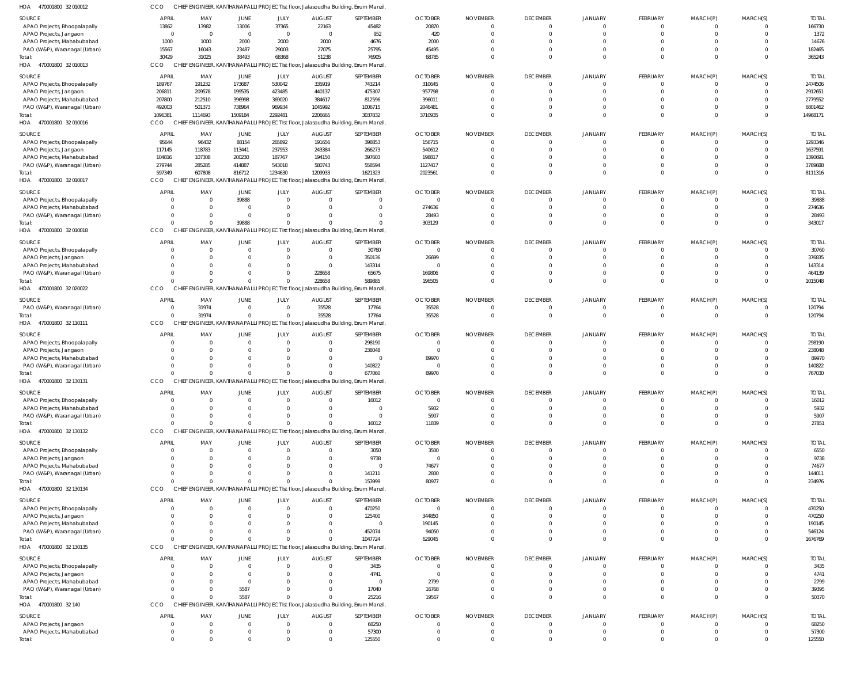| SOURCE                                                     | <b>APRIL</b>               | MAY                                              | JUNE             | JULY                   | <b>AUGUST</b>             | SEPTEMBER                                                                          | <b>OCTOBER</b>     | <b>NOVEMBER</b> | <b>DECEMBER</b>                   | <b>JANUARY</b>                   | <b>FEBRUARY</b>      | MARCH(P)             | MARCH(S)             | <b>TOTAL</b>          |
|------------------------------------------------------------|----------------------------|--------------------------------------------------|------------------|------------------------|---------------------------|------------------------------------------------------------------------------------|--------------------|-----------------|-----------------------------------|----------------------------------|----------------------|----------------------|----------------------|-----------------------|
| APAO Projects, Bhoopalapally                               | 13862                      | 13982                                            | 13006            | 37365                  | 22163                     | 45482                                                                              | 20870              |                 | $\overline{0}$                    | $\overline{0}$                   | $\Omega$             | $\Omega$             | $\circ$              | 166730                |
| APAO Projects, Jangaon                                     | $\overline{0}$             | $\overline{\mathbf{0}}$<br>1000                  | $\Omega$<br>2000 | $\overline{0}$         | $\Omega$<br>2000          | 952<br>4676                                                                        | 420<br>2000        |                 | $\Omega$<br>$\Omega$              | $\Omega$<br>$\Omega$             | $\Omega$<br>$\Omega$ | $\Omega$<br>$\Omega$ | $\Omega$<br>$\Omega$ | 1372<br>14676         |
| APAO Projects, Mahabubabad<br>PAO (W&P), Waranagal (Urban) | 1000<br>15567              | 16043                                            | 23487            | 2000<br>29003          | 27075                     | 25795                                                                              | 45495              |                 | $\Omega$                          | $\Omega$                         | $\Omega$             | $\Omega$             | $\Omega$             | 182465                |
| Total:                                                     | 30429                      | 31025                                            | 38493            | 68368                  | 51238                     | 76905                                                                              | 68785              |                 | $\Omega$                          | $\Omega$                         | $\Omega$             | $\Omega$             | $\Omega$             | 365243                |
| HOA 470001800 32 010013                                    | CCO                        |                                                  |                  |                        |                           | CHIEF ENGINEER, KANTHANAPALLI PROJECT Ist floor, Jalasoudha Building, Errum Manzil |                    |                 |                                   |                                  |                      |                      |                      |                       |
| <b>SOURCE</b>                                              | <b>APRIL</b>               | MAY                                              | JUNE             | JULY                   | <b>AUGUST</b>             | SEPTEMBER                                                                          | <b>OCTOBER</b>     | <b>NOVEMBER</b> | <b>DECEMBER</b>                   | <b>JANUARY</b>                   | FEBRUARY             | MARCH(P)             | MARCH(S)             | <b>TOTAI</b>          |
| APAO Projects, Bhoopalapally                               | 189767                     | 191232                                           | 173687           | 530042                 | 335919                    | 743214                                                                             | 310645             |                 | $\overline{0}$                    | $\circ$                          | $\Omega$             | $\Omega$             | $\Omega$             | 2474506               |
| APAO Projects, Jangaon                                     | 206811                     | 209578                                           | 199535           | 423485                 | 440137                    | 475307                                                                             | 957798             |                 | $\overline{0}$                    | $\overline{0}$                   | $\Omega$             | $\Omega$             | $\Omega$             | 2912651               |
| APAO Projects, Mahabubabad                                 | 207800                     | 212510                                           | 396998           | 369020                 | 384617                    | 812596                                                                             | 396011             |                 | $\Omega$                          | $\Omega$                         | $\Omega$             | $\Omega$             | $\Omega$             | 2779552               |
| PAO (W&P), Waranagal (Urban)                               | 492003                     | 501373                                           | 738964           | 969934                 | 1045992                   | 1006715                                                                            | 2046481            |                 | $\Omega$                          | $\Omega$                         | $\Omega$             | $\Omega$             | $\Omega$             | 6801462               |
| Total:                                                     | 1096381                    | 1114693                                          | 1509184          | 2292481                | 2206665                   | 3037832                                                                            | 3710935            |                 | $\Omega$                          | $\Omega$                         | $\Omega$             | $\Omega$             | $\Omega$             | 14968171              |
| HOA 470001800 32 010016                                    | CCO                        | CHIEF ENGINEER, KANTHANAPALLI PROJECT Ist floor, |                  |                        |                           | Jalasoudha Building, Errum Manzil                                                  |                    |                 |                                   |                                  |                      |                      |                      |                       |
| <b>SOURCE</b>                                              | <b>APRIL</b>               | MAY                                              | JUNE             | JULY                   | <b>AUGUST</b>             | SEPTEMBER                                                                          | <b>OCTOBER</b>     | <b>NOVEMBER</b> | <b>DECEMBER</b>                   | <b>JANUARY</b>                   | <b>FEBRUARY</b>      | MARCH(P)             | MARCH(S)             | <b>TOTAI</b>          |
| APAO Projects, Bhoopalapally                               | 95644                      | 96432                                            | 88154            | 265892                 | 191656                    | 398853                                                                             | 156715             |                 | $\overline{0}$                    | - 0                              | $\Omega$             |                      | $\Omega$             | 1293346               |
| APAO Projects, Jangaon                                     | 117145                     | 118783                                           | 113441           | 237953                 | 243384                    | 266273                                                                             | 540612             |                 | $\Omega$                          | $\Omega$                         | $\Omega$             | $\Omega$             | $\Omega$             | 1637591               |
| APAO Projects, Mahabubabad                                 | 104816                     | 107308                                           | 200230           | 187767<br>543018       | 194150<br>580743          | 397603                                                                             | 198817             |                 | $\Omega$<br>$\Omega$              | $\Omega$<br>$\Omega$             | $\Omega$<br>$\Omega$ | $\Omega$<br>$\Omega$ | $\Omega$<br>$\Omega$ | 1390691               |
| PAO (W&P), Waranagal (Urban)<br>Total:                     | 279744<br>597349           | 285285<br>607808                                 | 414887<br>816712 | 1234630                | 1209933                   | 558594<br>1621323                                                                  | 1127417<br>2023561 |                 | $\Omega$                          | $\Omega$                         | $\Omega$             | $\Omega$             | $\Omega$             | 3789688<br>8111316    |
| HOA<br>470001800 32 010017                                 | CCO                        | <b>CHIEF</b>                                     |                  |                        |                           | ENGINEER, KANTHANAPALLI PROJECT Ist floor, Jalasoudha Building, Errum Manzil       |                    |                 |                                   |                                  |                      |                      |                      |                       |
|                                                            | <b>APRIL</b>               |                                                  |                  |                        |                           |                                                                                    |                    |                 |                                   |                                  |                      |                      |                      |                       |
| <b>SOURCE</b><br>APAO Projects, Bhoopalapally              | $\Omega$                   | MAY<br>$\overline{0}$                            | JUNE<br>39888    | JULY<br>$\overline{0}$ | <b>AUGUST</b><br>$\Omega$ | SEPTEMBER<br>0                                                                     | <b>OCTOBER</b>     | <b>NOVEMBER</b> | <b>DECEMBER</b><br>$\overline{0}$ | <b>JANUARY</b><br>$\overline{0}$ | FEBRUARY<br>$\Omega$ | MARCH(P)<br>$\Omega$ | MARCH(S)<br>$\Omega$ | <b>TOTAL</b><br>39888 |
| APAO Projects, Mahabubabad                                 | $\Omega$                   | $\Omega$                                         | $\Omega$         | $\Omega$               | $\Omega$                  | $\mathbf 0$                                                                        | 274636             |                 | $\Omega$                          | $\Omega$                         | $\Omega$             | $\Omega$             | $\Omega$             | 274636                |
| PAO (W&P), Waranagal (Urban)                               | $\Omega$                   | $\Omega$                                         | $\Omega$         | $\Omega$               |                           | $\mathbf 0$                                                                        | 28493              |                 | $\Omega$                          | $\Omega$                         | $\Omega$             | $\Omega$             | $\overline{0}$       | 28493                 |
| Total:                                                     | $\Omega$                   | $\Omega$                                         | 39888            | $\Omega$               |                           | $\Omega$                                                                           | 303129             |                 | $\Omega$                          | $\Omega$                         | $\Omega$             | $\Omega$             | $\Omega$             | 343017                |
| HOA 470001800 32 010018                                    | CCO                        |                                                  |                  |                        |                           | CHIEF ENGINEER, KANTHANAPALLI PROJECT Ist floor, Jalasoudha Building, Errum Manzil |                    |                 |                                   |                                  |                      |                      |                      |                       |
| <b>SOURCE</b>                                              | <b>APRIL</b>               | MAY                                              | JUNE             | JULY                   | <b>AUGUST</b>             | SEPTEMBER                                                                          | <b>OCTOBER</b>     | <b>NOVEMBER</b> | <b>DECEMBER</b>                   | <b>JANUARY</b>                   | <b>FEBRUARY</b>      | MARCH(P)             | MARCH(S)             | <b>TOTAI</b>          |
| APAO Projects, Bhoopalapally                               | $\Omega$                   | $\overline{0}$                                   |                  | $\Omega$               | $\Omega$                  | 30760                                                                              |                    |                 | $\overline{0}$                    | $\circ$                          | $\Omega$             |                      | $\Omega$             | 30760                 |
| APAO Projects, Jangaon                                     | $\Omega$                   | $\Omega$                                         |                  | $\Omega$               | $\Omega$                  | 350136                                                                             | 26699              |                 | $\Omega$                          | $\Omega$                         | $\Omega$             | $\Omega$             | $\Omega$             | 376835                |
| APAO Projects, Mahabubabad                                 | $\Omega$                   | $\Omega$                                         |                  | $\Omega$               | $\Omega$                  | 143314                                                                             |                    |                 | $\Omega$                          | $\Omega$                         | $\Omega$             | $\Omega$             | $\Omega$             | 143314                |
| PAO (W&P), Waranagal (Urban)                               | $\Omega$                   | $\Omega$                                         |                  | 0                      | 228658                    | 65675                                                                              | 169806             |                 | $\Omega$                          | $\Omega$                         | $\Omega$             | $\Omega$             | $\Omega$             | 464139                |
| Total:                                                     | $\Omega$                   |                                                  |                  |                        | 228658                    | 589885                                                                             | 196505             |                 | $\Omega$                          | $\Omega$                         | $\Omega$             | $\Omega$             | $\Omega$             | 1015048               |
| HOA<br>470001800 32 020022                                 | CCO                        | CH                                               |                  |                        |                           | ENGINEER, KANTHANAPALLI PROJECT Ist floor, Jalasoudha Building, Errum Manzil       |                    |                 |                                   |                                  |                      |                      |                      |                       |
| SOURCE                                                     | <b>APRIL</b>               | MAY                                              | JUNE             | JULY                   | <b>AUGUST</b>             | SEPTEMBER                                                                          | <b>OCTOBER</b>     | <b>NOVEMBER</b> | <b>DECEMBER</b>                   | <b>JANUARY</b>                   | <b>FEBRUARY</b>      | MARCH(P)             | MARCH(S)             | <b>TOTAL</b>          |
| PAO (W&P), Waranagal (Urban)                               | $\overline{0}$             | 31974                                            | $\Omega$         | $\mathbf 0$            | 35528                     | 17764                                                                              | 35528              |                 | $\overline{0}$                    | $\Omega$                         | $\Omega$             | $\Omega$             | $\circ$              | 120794                |
| Total:                                                     | $\Omega$                   | 31974                                            | $\Omega$         | $\Omega$               | 35528                     | 17764                                                                              | 35528              | $\Omega$        | $\overline{0}$                    | $\Omega$                         | $\overline{0}$       | $\mathbf{0}$         | $\overline{0}$       | 120794                |
| HOA 470001800 32 110111                                    | CCO                        |                                                  |                  |                        |                           | CHIEF ENGINEER, KANTHANAPALLI PROJECT Ist floor, Jalasoudha Building, Errum Manzil |                    |                 |                                   |                                  |                      |                      |                      |                       |
| <b>SOURCE</b>                                              | <b>APRIL</b>               | MAY                                              | JUNE             | JULY                   | <b>AUGUST</b>             | SEPTEMBER                                                                          | <b>OCTOBER</b>     | <b>NOVEMBER</b> | <b>DECEMBER</b>                   | <b>JANUARY</b>                   | <b>FEBRUARY</b>      | MARCH(P)             | MARCH(S)             | <b>TOTAI</b>          |
| APAO Projects, Bhoopalapally                               | $\Omega$                   | 0                                                |                  | 0                      |                           | 298190                                                                             |                    |                 | $\circ$                           | $\Omega$                         |                      |                      | $\Omega$             | 298190                |
| APAO Projects, Jangaon                                     | $\Omega$                   | $\Omega$                                         |                  |                        |                           | 238048                                                                             | $\Omega$           |                 | $\Omega$                          | $\Omega$                         | $\Omega$             |                      | $\Omega$             | 238048                |
| APAO Projects, Mahabubabad                                 | $\Omega$                   | $\Omega$                                         |                  |                        |                           | $\overline{0}$                                                                     | 89970              |                 | $\Omega$                          | $\Omega$                         |                      |                      | $\Omega$             | 89970                 |
| PAO (W&P), Waranagal (Urban)<br>Total:                     | $\Omega$<br>$\Omega$       | $\Omega$                                         |                  | 0                      |                           | 140822<br>677060                                                                   | 89970              |                 | $\Omega$<br>$\Omega$              | $\Omega$<br>$\Omega$             | $\Omega$<br>$\Omega$ | $\Omega$<br>$\Omega$ | $\Omega$<br>$\Omega$ | 140822<br>767030      |
| 470001800 32 130131<br>HOA                                 | CCO                        | C                                                |                  |                        |                           | <b>IGINEER, KANTHANAPALLI PROJECT Ist floor, Jalasoudha Building, Errum Manzil</b> |                    |                 |                                   |                                  |                      |                      |                      |                       |
| <b>SOURCE</b>                                              | <b>APRIL</b>               |                                                  | JUNE             | JULY                   | <b>AUGUST</b>             | SEPTEMBER                                                                          | <b>OCTOBER</b>     | <b>NOVEMBER</b> | <b>DECEMBER</b>                   | <b>JANUARY</b>                   | <b>FEBRUARY</b>      | MARCH(P)             | MARCH(S)             | <b>TOTAL</b>          |
| APAO Projects, Bhoopalapally                               | $\Omega$                   | MAY<br>$\Omega$                                  |                  |                        |                           | 16012                                                                              | $\Omega$           |                 | $\Omega$                          | $\Omega$                         | $\Omega$             |                      | $\Omega$             | 16012                 |
| APAO Projects, Mahabubabad                                 | $\Omega$                   | $\Omega$                                         |                  |                        |                           | $\overline{0}$                                                                     | 5932               |                 | $\Omega$                          | $\Omega$                         | $\Omega$             | $\Omega$             | $\Omega$             | 5932                  |
| PAO (W&P), Waranagal (Urban)                               | $\Omega$                   | $\Omega$                                         |                  |                        |                           | $\overline{0}$                                                                     | 5907               |                 | $\overline{0}$                    | $\Omega$                         | $\Omega$             | $\Omega$             | $\overline{0}$       | 5907                  |
| Total:                                                     | $\Omega$                   | $\Omega$                                         | $\Omega$         | $\Omega$               |                           | 16012                                                                              | 11839              | $\Omega$        | $\Omega$                          | $\Omega$                         | $\Omega$             | $\Omega$             | $\Omega$             | 27851                 |
| HOA 470001800 32 130132                                    | CCO                        |                                                  |                  |                        |                           | CHIEF ENGINEER, KANTHANAPALLI PROJECT Ist floor, Jalasoudha Building, Errum Manzil |                    |                 |                                   |                                  |                      |                      |                      |                       |
| SOURCE                                                     | <b>APRIL</b>               | MAY                                              | JUNE             | JULY                   | <b>AUGUST</b>             | SEPTEMBER                                                                          | <b>OCTOBER</b>     | <b>NOVEMBER</b> | <b>DECEMBER</b>                   | <b>JANUARY</b>                   | <b>FEBRUARY</b>      | MARCH(P)             | MARCH(S)             | <b>TOTAL</b>          |
| APAO Projects, Bhoopalapally                               | $\Omega$                   | - 0                                              |                  | 0                      |                           | 3050                                                                               | 3500               |                 | $\overline{0}$                    | - 0                              |                      |                      | $\Omega$             | 6550                  |
| APAO Projects, Jangaon                                     | $\Omega$                   | $\Omega$                                         |                  |                        |                           | 9738                                                                               | - 0                |                 | $\Omega$                          | $\Omega$                         | $\Omega$             |                      | $\Omega$             | 9738                  |
| APAO Projects, Mahabubabad                                 | $\Omega$                   | $\Omega$                                         |                  |                        |                           | $\overline{0}$                                                                     | 74677              |                 | $\Omega$                          | $\Omega$                         |                      |                      | $\Omega$             | 74677                 |
| PAO (W&P), Waranagal (Urban)                               | $\Omega$                   | $\Omega$                                         |                  |                        |                           | 141211                                                                             | 2800               |                 | $\Omega$                          | $\overline{0}$                   | $\Omega$             | $\Omega$             | $\Omega$             | 144011                |
| Total:                                                     | $\Omega$                   |                                                  |                  |                        |                           | 153999                                                                             | 80977              |                 | $\Omega$                          | $\Omega$                         | $\Omega$             | $\Omega$             | $\Omega$             | 234976                |
| HOA 470001800 32 130134                                    | CCO                        | <b>CHIEF</b>                                     |                  |                        |                           | ENGINEER, KANTHANAPALLI PROJECT Ist floor, Jalasoudha Building, Errum Manzil       |                    |                 |                                   |                                  |                      |                      |                      |                       |
| <b>SOURCE</b>                                              | <b>APRIL</b>               | MAY                                              | JUNE             | JULY                   | <b>AUGUST</b>             | SEPTEMBER                                                                          | <b>OCTOBER</b>     | <b>NOVEMBER</b> | <b>DECEMBER</b>                   | <b>JANUARY</b>                   | <b>FEBRUARY</b>      | MARCH(P)             | MARCH(S)             | <b>TOTAL</b>          |
| APAO Projects, Bhoopalapally                               | $\overline{0}$<br>$\Omega$ | $\overline{0}$<br>$\Omega$                       | $\Omega$         | $\Omega$<br>0          | $\Omega$                  | 470250<br>125400                                                                   | $\Omega$<br>344850 |                 | $\overline{0}$<br>$\overline{0}$  | - 0<br>$\Omega$                  | $\Omega$<br>$\Omega$ | $\Omega$<br>$\Omega$ | $\Omega$<br>$\Omega$ | 470250<br>470250      |
| APAO Projects, Jangaon<br>APAO Projects, Mahabubabad       | $\Omega$                   | $\Omega$                                         |                  |                        | $\Omega$                  | $\mathbf 0$                                                                        | 190145             |                 | $\Omega$                          | $\Omega$                         | $\Omega$             |                      | $\Omega$             | 190145                |
| PAO (W&P), Waranagal (Urban)                               | $\Omega$                   | $\Omega$                                         | $\Omega$         |                        |                           | 452074                                                                             | 94050              |                 | $\Omega$                          | $\overline{0}$                   | $\Omega$             | $\Omega$             | - 0                  | 546124                |
| Total:                                                     | $\Omega$                   | $\Omega$                                         | $\Omega$         |                        |                           | 1047724                                                                            | 629045             |                 | $\Omega$                          | $\Omega$                         | $\Omega$             | $\Omega$             | $\Omega$             | 1676769               |
| HOA 470001800 32 130135                                    | CCO                        |                                                  |                  |                        |                           | CHIEF ENGINEER, KANTHANAPALLI PROJECT Ist floor, Jalasoudha Building, Errum Manzil |                    |                 |                                   |                                  |                      |                      |                      |                       |
| <b>SOURCE</b>                                              | <b>APRIL</b>               | MAY                                              | JUNE             | JULY                   | <b>AUGUST</b>             | SEPTEMBER                                                                          | <b>OCTOBER</b>     | <b>NOVEMBER</b> | <b>DECEMBER</b>                   | <b>JANUARY</b>                   | FEBRUARY             | MARCH(P)             | MARCH(S)             | <b>TOTAL</b>          |
| APAO Projects, Bhoopalapally                               | $\overline{0}$             | 0                                                |                  | $\Omega$               | $\Omega$                  | 3435                                                                               | $\Omega$           |                 | $\overline{0}$                    | $\overline{0}$                   | $\Omega$             | $\Omega$             | $\Omega$             | 3435                  |
| APAO Projects, Jangaon                                     | $\Omega$                   | 0                                                |                  | 0                      |                           | 4741                                                                               | $\Omega$           |                 | $\Omega$                          | $\Omega$                         | $\Omega$             |                      | $\Omega$             | 4741                  |
| APAO Projects, Mahabubabad                                 | $\Omega$                   | $\Omega$                                         |                  |                        |                           | $\overline{0}$                                                                     | 2799               |                 | $\Omega$                          | $\Omega$                         | $\Omega$             |                      | $\Omega$             | 2799                  |
| PAO (W&P), Waranagal (Urban)                               | $\Omega$                   | $\Omega$                                         | 5587             |                        |                           | 17040                                                                              | 16768              |                 | $\Omega$                          | $\Omega$                         | $\Omega$             | $\Omega$             | $\overline{0}$       | 39395                 |
| Total:                                                     | $\Omega$                   | $\Omega$                                         | 5587             | $\Omega$               |                           | 25216                                                                              | 19567              |                 | $\Omega$                          | $\Omega$                         | $\Omega$             | $\Omega$             | $\Omega$             | 50370                 |
| HOA 470001800 32 140                                       | CCO                        |                                                  |                  |                        |                           | CHIEF ENGINEER, KANTHANAPALLI PROJECT Ist floor, Jalasoudha Building, Errum Manzil |                    |                 |                                   |                                  |                      |                      |                      |                       |
| SOURCE                                                     | <b>APRIL</b>               | MAY                                              | JUNE             | JULY                   | <b>AUGUST</b>             | SEPTEMBER                                                                          | <b>OCTOBER</b>     | <b>NOVEMBER</b> | <b>DECEMBER</b>                   | <b>JANUARY</b>                   | FEBRUARY             | MARCH(P)             | MARCH(S)             | <b>TOTAL</b>          |
| APAO Projects, Jangaon                                     | $\Omega$                   | $\Omega$                                         |                  | $\Omega$               | $\Omega$                  | 68250                                                                              |                    |                 | $\overline{0}$                    | $\circ$                          | $\Omega$             | $\Omega$             | $\Omega$             | 68250                 |
| APAO Projects, Mahabubabad                                 | $\overline{0}$             | 0                                                |                  | 0                      | $\Omega$                  | 57300                                                                              | $\Omega$           |                 | $\overline{0}$                    | $\circ$                          | $\Omega$             | $\Omega$             | - 0                  | 57300                 |
| Total:                                                     | $\overline{0}$             | $\Omega$                                         | $\Omega$         | $\Omega$               | $\Omega$                  | 125550                                                                             | $\Omega$           | $\Omega$        | $\Omega$                          | $\overline{0}$                   | $\Omega$             | $\Omega$             | $\Omega$             | 125550                |

CCO CHIEF ENGINEER, KANTHANAPALLI PROJECT Ist floor, Jalasoudha Building, Errum Manzil,

470001800 32 010012 HOA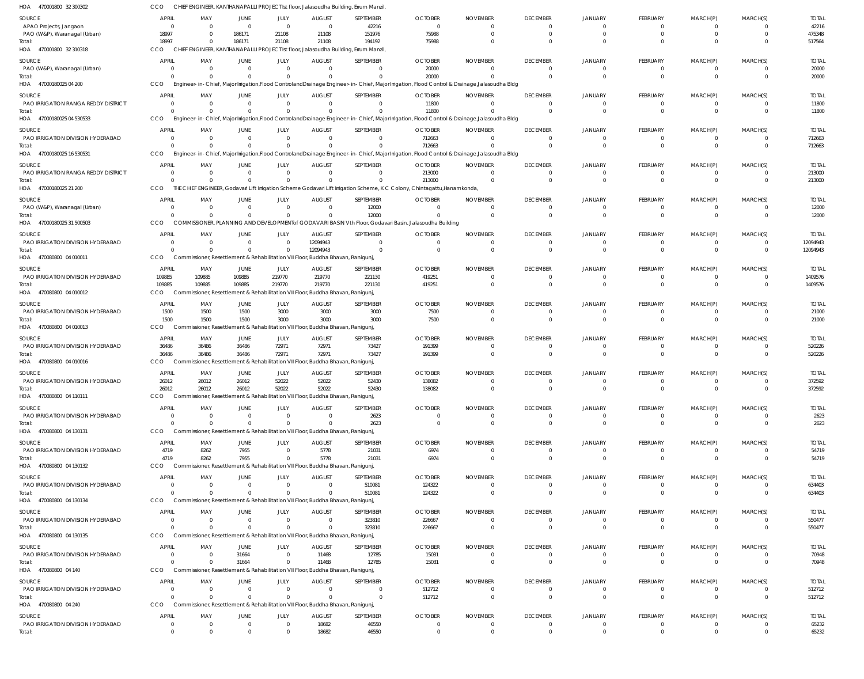470001800 32 300302 HOA 470001800 32 310318 HOA 47000180025 04 200 HOA 47000180025 04 530533 HOA 47000180025 16 530531 47000180025 21 200 HOA 47000180025 31 500503 HOA 470080800 04 010011 470080800 04 010012 HOA 470080800 04 010013 HOA 470080800 04 010016 470080800 04 110111 HOA 470080800 04 130131 HOA 470080800 04 130132 HOA 470080800 04 130134 HOA 470080800 04 130135 HOA 470080800 04 140 470080800 04 240 HOA HOA HOA HOA HOA CHIEF ENGINEER, KANTHANAPALLI PROJECT Ist floor, Jalasoudha Building, Errum Manzil, CHIEF ENGINEER, KANTHANAPALLI PROJECT Ist floor, Jalasoudha Building, Errum Manzil, Engineer-in-Chief, Major Irrigation,Flood ControlandDrainage Engineer-in-Chief, Major Irrigation, Flood Control & Drainage,Jalasoudha Bldg Engineer-in-Chief, Major Irrigation,Flood ControlandDrainage Engineer-in-Chief, Major Irrigation, Flood Control & Drainage,Jalasoudha Bldg Engineer-in-Chief, Major Irrigation,Flood ControlandDrainage Engineer-in-Chief, Major Irrigation, Flood Control & Drainage,Jalasoudha Bldg THE CHIEF ENGINEER, Godavari Lift Irrigation Scheme Godavari Lift Irrigation Scheme, K C Colony, Chintagattu,Hanamkonda, COMMISSIONER, PLANNING AND DEVELOPMENTof GODAVARI BASIN Vth Floor, Godavari Basin, Jalasoudha Building Commissioner, Resettlement & Rehabilitation VII Floor, Buddha Bhavan, Ranigunj, CCO Commissioner, Resettlement & Rehabilitation VII Floor, Buddha Bhavan, Ranigunj, Commissioner, Resettlement & Rehabilitation VII Floor, Buddha Bhavan, Ranigunj, Commissioner, Resettlement & Rehabilitation VII Floor, Buddha Bhavan, Ranigunj, Commissioner, Resettlement & Rehabilitation VII Floor, Buddha Bhavan, Ranigunj, Commissioner, Resettlement & Rehabilitation VII Floor, Buddha Bhavan, Ranigunj, Commissioner, Resettlement & Rehabilitation VII Floor, Buddha Bhavan, Ranigunj, Commissioner, Resettlement & Rehabilitation VII Floor, Buddha Bhavan, Ranigunj, Commissioner, Resettlement & Rehabilitation VII Floor, Buddha Bhavan, Ranigunj, Commissioner, Resettlement & Rehabilitation VII Floor, Buddha Bhavan, Ranigunj, Commissioner, Resettlement & Rehabilitation VII Floor, Buddha Bhavan, Ranigunj, CCO CCO CCO CCO **CCO CCO CCO CCO** CCO **CCO** CCO CCO **CCO** CCO **CCO CCO CCO** 18997  $\Omega$ 0  $\Omega$  $\Omega$  $\Omega$  $\Omega$ 109885 1500 36486 26012  $\Omega$ 4719 0  $\Omega$  $\Omega$ 0  $\Omega$ 0 0 0 0 0  $\Omega$ 0 109885 1500 36486 26012  $\Omega$ 8262 0  $\Omega$ 0 0 0 186171 0 0  $\Omega$ 0  $\Omega$  $\Omega$ 109885 1500 36486 26012  $\Omega$ 7955 0 0 31664 0 0 21108  $\Omega$ 0  $\Omega$  $\Omega$  $\Omega$  $\Omega$ 219770 3000 72971 52022  $\Omega$ 0 0  $\Omega$  $\Omega$  $\Omega$  $\Omega$ 21108 0 0  $\Omega$ 0  $\Omega$ 12094943 219770 3000 72971 52022 0 5778 0 0 11468 0 18682 194192  $\Omega$ 0 0  $\Omega$ 12000  $\Omega$ 221130 3000 73427 52430 2623 21031 510081 323810 12785 0 46550 75988 20000 11800 712663 213000  $\Omega$  $\Omega$ 419251 7500 191399 138082  $\Omega$ 6974 124322 226667 15031 512712  $\Omega$  $\Omega$  $\bigcap$ 0  $\Omega$  $\Omega$ 0  $\Omega$ 0 0  $\Omega$ 0  $\Omega$  $\Omega$ 0  $\Omega$  $\Omega$ 0  $\Omega$  $\Omega$  $\Omega$ 0  $\Omega$ 0  $\Omega$  $\Omega$ 0  $\Omega$  $\Omega$ 0  $\Omega$  $\Omega$ 0  $\Omega$  $\Omega$ 0 0  $\Omega$ 0 0  $\Omega$ 0 0  $\Omega$ 0  $\Omega$  $\Omega$ 0 0  $\Omega$ 0  $\Omega$  $\Omega$ 0 0  $\Omega$  $\Omega$ 0  $\Omega$ 0  $\Omega$  $\Omega$  $\Omega$  $\Omega$  $\Omega$ 0  $\Omega$  $\Omega$ 0  $\Omega$  $\Omega$ 0  $\Omega$  $\Omega$ 0 0  $\Omega$ 0  $\Omega$  $\Omega$ 0  $\Omega$  $\Omega$ 0 0  $\Omega$ 0  $\Omega$  $\Omega$ 0 0  $\Omega$ 0 0  $\Omega$ 0  $\Omega$  $\Omega$ 0 0  $\Omega$ 0  $\Omega$  $\Omega$ 0  $\Omega$  $\Omega$ 0  $\Omega$ 517564 20000 11800 712663 213000 12000 12094943 1409576 21000 520226 372592 2623 54719 634403 550477 70948 512712 65232 APAO Projects, Jangaon PAO (W&P), Waranagal (Urban) PAO (W&P), Waranagal (Urban) PAO IRRIGATION RANGA REDDY DISTRICT PAO IRRIGATION DIVISION HYDERABAD PAO IRRIGATION RANGA REDDY DISTRICT PAO (W&P), Waranagal (Urban) PAO IRRIGATION DIVISION HYDERABAD PAO IRRIGATION DIVISION HYDERABAD PAO IRRIGATION DIVISION HYDERABAD PAO IRRIGATION DIVISION HYDERABAD PAO IRRIGATION DIVISION HYDERABAD PAO IRRIGATION DIVISION HYDERABAD PAO IRRIGATION DIVISION HYDERABAD PAO IRRIGATION DIVISION HYDERABAD PAO IRRIGATION DIVISION HYDERABAD PAO IRRIGATION DIVISION HYDERABAD PAO IRRIGATION DIVISION HYDERABAD PAO IRRIGATION DIVISION HYDERABAD SOURCE SOURCE SOURCE **SOURCE** SOURCE **SOURCE SOURCE** SOURCE SOURCE **SOURCE SOURCE** SOURCE **SOURCE** SOURCE **SOURCE SOURCE** SOURCE **SOURCE**  $\Omega$ 18997 0 0 0  $\Omega$ 0 0 109885 1500 36486 26012 0 4719  $\Omega$ 0 0  $\Omega$ 0 APRIL APRIL APRIL APRIL APRIL APRIL APRIL APRIL APRIL **APPIL** APRIL APRIL APRIL APRIL APRIL APRIL APRIL APRIL 0 0 0 0 0 0 0 0 109885 1500 36486 26012 0 8262 0 0 0 0 0 MAY MAY MAY MAY MAY MAY MAY MAY MAY MA<sub>V</sub> MAY MAY MAY MAY MAY MAY MAY MAY  $\Omega$ 186171 0 0 0 0 0 0 109885 1500 36486 26012 0 7955  $\Omega$ 0 31664  $\Omega$ 0 JUNE JUNE JUNE JUNE JUNE JUNE JUNE JUNE JUNE JUNE JUNE JUNE JUNE JUNE JUNE JUNE JUNE **JUNE** 0 21108 0 0 0 0 0 0 219770 3000 72971 52022 0 0  $\Omega$ 0  $\Omega$ 0 0 JULY JULY JULY JULY JULY JULY JULY JULY JULY JULY JULY JULY JULY JULY JULY JULY JULY JULY  $\Omega$ 21108 0 0 0  $\Omega$ 0 12094943 219770 3000 72971 52022 0 5778  $\Omega$ 0 11468  $\Omega$ 18682 AUGUST AUGUST AUGUST **AUGUST** AUGUST AUGUST **AUGUST** AUGUST AUGUST **AUGUST** AUGUST AUGUST **AUGUST** AUGUST **AUGUST AUGUST** AUGUST **AUGUST** 42216 151976 0  $\Omega$ 0  $\Omega$ 12000 0 221130 3000 73427 52430 2623 21031 510081 323810 12785  $\Omega$ 46550 SEPTEMBER SEPTEMBER SEPTEMBER SEPTEMBER SEPTEMBER SEPTEMBER SEPTEMBER SEPTEMBER SEPTEMBER **SEPTEMBER** SEPTEMBER SEPTEMBER SEPTEMBER SEPTEMBER SEPTEMBER SEPTEMBER SEPTEMBER SEPTEMBER  $\Omega$ 75988 20000 11800 712663 213000  $\Omega$ 0 419251 7500 191399 138082 0 6974 124322 226667 15031 512712 0 OCTOBER OCTOBER OCTOBER **OCTOBER** OCTOBER **OCTOBER OCTOBER OCTOBER OCTOBER** OCTOBER **OCTOBER OCTOBER OCTOBER OCTOBER** OCTOBER **OCTOBER OCTOBER** OCTOBER  $\Omega$ 0 0  $\Omega$ 0  $\Omega$ 0 0  $\Omega$ 0 0  $\bigcap$ 0 0  $\bigcap$ 0  $\Omega$  $\Omega$ 0 NOVEMBER NOVEMBER NOVEMBER NOVEMBER NOVEMBER NOVEMBER NOVEMBER NOVEMBER NOVEMBER NOVEMBER NOVEMBER NOVEMBER NOVEMBER NOVEMBER NOVEMBER NOVEMBER NOVEMBER NOVEMBER  $\Omega$ 0 0  $\Omega$ 0  $\Omega$ 0 0  $\bigcap$ 0 0  $\Omega$ 0 0  $\Omega$ 0  $^{\circ}$  $\Omega$ 0 DECEMBER DECEMBER DECEMBER **DECEMBER** DECEMBER DECEMBER **DECEMBER** DECEMBER DECEMBER DECEMBER DECEMBER DECEMBER DECEMBER DECEMBER DECEMBER DECEMBER DECEMBER DECEMBER  $\mathbf{0}$ 0 0 0 0  $\Omega$ 0 0  $\Omega$ 0 0  $\Omega$ 0 0  $\Omega$ 0  $\Omega$  $\Omega$ 0 JANUARY JANUARY JANUARY JANUARY JANUARY JANUARY JANUARY JANUARY JANUARY JANUARY JANUARY JANUARY JANUARY JANUARY JANUARY JANUARY JANUARY JANUARY  $\Omega$ 0 0  $\Omega$ 0  $\Omega$  $\Omega$ 0  $\sqrt{2}$ 0 0  $\Omega$ 0 0  $\Omega$ 0  $\Omega$  $\Omega$ 0 FEBRUARY FEBRUARY FEBRUARY FEBRUARY FEBRUARY FEBRUARY FEBRUARY FEBRUARY FEBRUARY FEBRUARY FEBRUARY FEBRUARY FEBRUARY FEBRUARY FEBRUARY FEBRUARY FEBRUARY FEBRUARY  $\Omega$ 0 0  $\Omega$ 0  $\Omega$  $\Omega$ 0  $\Omega$  $\Omega$ 0  $\Omega$ 0 0  $\Omega$ 0  $\Omega$  $\Omega$ 0 MARCH(P) MARCH(P) MARCH(P) MARCH(P) MARCH(P) MARCH(P) MARCH(P) MARCH(P) MARCH(P) MARCH(P) MARCH(P) MARCH(P) MARCH(P) MARCH(P) MARCH(P) MARCH(P) MARCH(P) MARCH(P)  $\Omega$ 0 0 0 0  $\Omega$ 0 0  $\sqrt{2}$ 0 0  $\bigcap$ 0 0  $\Omega$ 0  $\Omega$  $\Omega$ 0 MARCH(S) MARCH(S) MARCH(S) MARCH(S) MARCH(S) MARCH(S) MARCH(S) MARCH(S) MARCH(S) MARCH(S) MARCH(S) MARCH(S) MARCH(S) MARCH(S) MARCH(S) MARCH(S) MARCH(S) MARCH(S) 42216 475348 20000 11800 712663 213000 12000 12094943 1409576 21000 520226 372592 2623 54719 634403 550477 70948 512712 65232 TOTAL TOTAL TOTAL TOTAL TOTAL TOTAL TOTAL TOTAL TOTAL TOTAL TOTAL TOTAL TOTAL TOTAL TOTAL TOTAL TOTAL TOTAL Total: Total: Total: Total: Total: Total: Total: Total: Total: Total: Total: Total: Total: Total: Total: Total: Total: Total: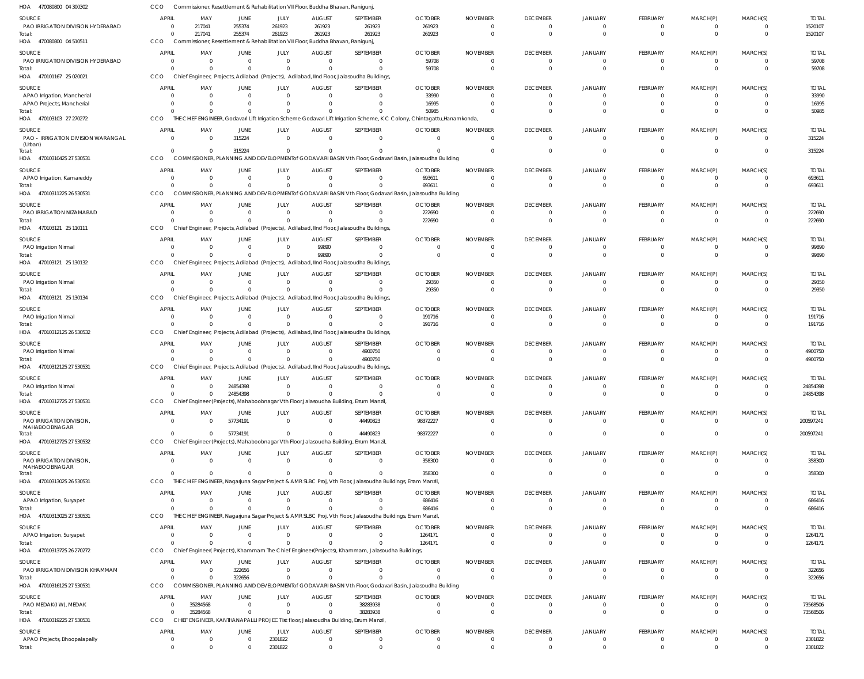| HOA 470080800 04 300302                          | CCO                            | Commissioner, Resettlement & Rehabilitation VII Floor, Buddha Bhavan, Ranigunj, |                      |                            |                           |                                                                                                             |                                                                                                                                   |                             |                                   |                               |                                  |                            |                            |                         |
|--------------------------------------------------|--------------------------------|---------------------------------------------------------------------------------|----------------------|----------------------------|---------------------------|-------------------------------------------------------------------------------------------------------------|-----------------------------------------------------------------------------------------------------------------------------------|-----------------------------|-----------------------------------|-------------------------------|----------------------------------|----------------------------|----------------------------|-------------------------|
| SOURCE                                           | <b>APRIL</b>                   | MAY                                                                             | JUNE                 | JULY                       | <b>AUGUST</b>             | SEPTEMBER                                                                                                   | <b>OCTOBER</b>                                                                                                                    | <b>NOVEMBER</b>             | <b>DECEMBER</b>                   | <b>JANUARY</b>                | FEBRUARY                         | MARCH(P)                   | MARCH(S)                   | <b>TOTAL</b>            |
| PAO IRRIGATION DIVISION HYDERABAD                | $\overline{0}$                 | 217041                                                                          | 255374               | 261923                     | 261923                    | 261923                                                                                                      | 261923                                                                                                                            | $\Omega$                    | $\overline{0}$                    | $\mathbf 0$                   | $\overline{0}$                   | $\overline{0}$             | $\overline{0}$             | 1520107                 |
| Total:                                           | $\Omega$                       | 217041                                                                          | 255374               | 261923                     | 261923                    | 261923                                                                                                      | 261923                                                                                                                            | $\Omega$                    | $\overline{0}$                    | $\overline{0}$                | $\mathbf{0}$                     | $\mathbf{0}$               | $\overline{0}$             | 1520107                 |
| HOA 470080800 04 510511                          | CCO                            | Commissioner, Resettlement & Rehabilitation VII Floor, Buddha Bhavan, Ranigunj, |                      |                            |                           |                                                                                                             |                                                                                                                                   |                             |                                   |                               |                                  |                            |                            |                         |
| SOURCE                                           | <b>APRIL</b><br>$\Omega$       | MAY                                                                             | JUNE                 | JULY<br>$\Omega$           | <b>AUGUST</b><br>$\Omega$ | SEPTEMBER                                                                                                   | <b>OCTOBER</b>                                                                                                                    | <b>NOVEMBER</b>             | <b>DECEMBER</b>                   | <b>JANUARY</b>                | FEBRUARY                         | MARCH(P)                   | MARCH(S)                   | <b>TOTAL</b>            |
| PAO IRRIGATION DIVISION HYDERABAD<br>Total:      | $\Omega$                       | $\overline{0}$<br>$\Omega$                                                      | - 0                  | $\Omega$                   |                           | $\mathbf{0}$<br>$\Omega$                                                                                    | 59708<br>59708                                                                                                                    | $\Omega$                    | 0<br>$\Omega$                     | $\overline{0}$<br>$\Omega$    | $\Omega$<br>$\Omega$             | $\Omega$<br>$\Omega$       | $\overline{0}$<br>$\Omega$ | 59708<br>59708          |
| HOA 470101167 25 020021                          | CCO                            |                                                                                 |                      |                            |                           | Chief Engineer, Projects, Adilabad (Projects), Adilabad, IInd Floor, Jalasoudha Buildings,                  |                                                                                                                                   |                             |                                   |                               |                                  |                            |                            |                         |
| SOURCE                                           | <b>APRIL</b>                   | MAY                                                                             | JUNE                 | JULY                       | <b>AUGUST</b>             | SEPTEMBER                                                                                                   | <b>OCTOBER</b>                                                                                                                    | <b>NOVEMBER</b>             | <b>DECEMBER</b>                   | JANUARY                       | FEBRUARY                         | MARCH(P)                   | MARCH(S)                   | <b>TOTAL</b>            |
| APAO Irrigation, Mancherial                      | $\Omega$                       | $\Omega$                                                                        | $\Omega$             | $\Omega$                   | $\Omega$                  | $\Omega$                                                                                                    | 33990                                                                                                                             | $\Omega$                    | $\Omega$                          | $\Omega$                      | $\Omega$                         | $\Omega$                   | $\Omega$                   | 33990                   |
| APAO Projects, Mancherial                        | $\Omega$                       | $\Omega$                                                                        |                      | $\Omega$                   |                           | $\Omega$                                                                                                    | 16995                                                                                                                             | $\Omega$                    | $\overline{0}$                    | $\Omega$                      | $\mathbf 0$                      | $\mathbf 0$                | $\overline{0}$             | 16995                   |
| Total:<br>HOA 470103103 27 270272                | CCO                            | $\Omega$                                                                        |                      |                            |                           |                                                                                                             | 50985<br>THE CHIEF ENGINEER, Godavari Lift Irrigation Scheme Godavari Lift Irrigation Scheme, K C Colony, Chintagattu, Hanamkonda | $\Omega$                    | $\Omega$                          | $\Omega$                      | $\Omega$                         | $\Omega$                   | $\Omega$                   | 50985                   |
|                                                  |                                |                                                                                 |                      |                            |                           |                                                                                                             |                                                                                                                                   |                             |                                   |                               |                                  |                            |                            |                         |
| SOURCE<br>PAO - IRRIGATION DIVISION WARANGAL     | <b>APRIL</b><br>$\Omega$       | MAY<br>$\overline{0}$                                                           | JUNE<br>315224       | JULY<br>$\Omega$           | <b>AUGUST</b><br>$\Omega$ | SEPTEMBER<br>$\mathbf{0}$                                                                                   | <b>OCTOBER</b><br>$\Omega$                                                                                                        | <b>NOVEMBER</b><br>$\Omega$ | <b>DECEMBER</b><br>$\overline{0}$ | <b>JANUARY</b><br>$\mathbf 0$ | FEBRUARY<br>$\overline{0}$       | MARCH(P)<br>$\overline{0}$ | MARCH(S)<br>$\overline{0}$ | <b>TOTAL</b><br>315224  |
| (Urban)                                          |                                |                                                                                 |                      |                            |                           |                                                                                                             |                                                                                                                                   |                             |                                   |                               |                                  |                            |                            |                         |
| Total:<br>HOA 47010310425 27 530531              | $\Omega$<br>CCO                | $\Omega$                                                                        | 315224               | $\Omega$                   |                           | $\Omega$                                                                                                    | COMMISSIONER, PLANNING AND DEVELOPMENTof GODAVARI BASIN Vth Floor, Godavari Basin, Jalasoudha Building                            | $\Omega$                    | $\Omega$                          | $\Omega$                      | $\Omega$                         | $\Omega$                   | $\Omega$                   | 315224                  |
|                                                  |                                |                                                                                 |                      |                            |                           |                                                                                                             |                                                                                                                                   |                             |                                   |                               |                                  |                            |                            |                         |
| SOURCE<br>APAO Irrigation, Kamareddy             | <b>APRIL</b><br>$\overline{0}$ | MAY<br>$\Omega$                                                                 | JUNE<br>$\Omega$     | JULY<br>$\Omega$           | <b>AUGUST</b><br>$\Omega$ | SEPTEMBER<br>$\Omega$                                                                                       | <b>OCTOBER</b><br>693611                                                                                                          | <b>NOVEMBER</b><br>$\Omega$ | <b>DECEMBER</b><br>0              | JANUARY<br>0                  | FEBRUARY<br>$\overline{0}$       | MARCH(P)<br>$\mathbf{0}$   | MARCH(S)<br>$\overline{0}$ | <b>TOTAL</b><br>693611  |
| Total:                                           | $\Omega$                       | $\Omega$                                                                        | $\Omega$             | $\Omega$                   |                           | $\Omega$                                                                                                    | 693611                                                                                                                            | $\Omega$                    | $\Omega$                          | $\Omega$                      | $\overline{0}$                   | $\mathbf{0}$               | $\overline{0}$             | 693611                  |
| HOA 47010311225 26 530531                        | CCO                            |                                                                                 |                      |                            |                           |                                                                                                             | COMMISSIONER, PLANNING AND DEVELOPMENT of GODAVARI BASIN Vth Floor, Godavari Basin, Jalasoudha Building                           |                             |                                   |                               |                                  |                            |                            |                         |
| SOURCE                                           | <b>APRIL</b>                   | MAY                                                                             | JUNE                 | JULY                       | <b>AUGUST</b>             | SEPTEMBER                                                                                                   | <b>OCTOBER</b>                                                                                                                    | <b>NOVEMBER</b>             | <b>DECEMBER</b>                   | <b>JANUARY</b>                | FEBRUARY                         | MARCH(P)                   | MARCH(S)                   | <b>TOTAL</b>            |
| PAO IRRIGATION NIZAMABAD                         | $\Omega$                       | $\overline{0}$                                                                  | 0                    | $\Omega$                   | $\Omega$                  | $\Omega$                                                                                                    | 222690                                                                                                                            |                             | 0                                 | $\Omega$                      | $\Omega$                         | $\Omega$                   | $\overline{0}$             | 222690                  |
| Total:                                           | $\Omega$                       | $\Omega$                                                                        |                      | $\Omega$                   |                           | $\Omega$                                                                                                    | 222690                                                                                                                            | $\Omega$                    | $\overline{0}$                    | $\Omega$                      | $\Omega$                         | $\Omega$                   | $\overline{0}$             | 222690                  |
| HOA 470103121 25 110111                          | CCO                            |                                                                                 |                      |                            |                           | Chief Engineer, Projects, Adilabad (Projects), Adilabad, IInd Floor, Jalasoudha Buildings                   |                                                                                                                                   |                             |                                   |                               |                                  |                            |                            |                         |
| SOURCE                                           | APRIL                          | MAY                                                                             | JUNE                 | JULY                       | <b>AUGUST</b>             | SEPTEMBER                                                                                                   | <b>OCTOBER</b>                                                                                                                    | <b>NOVEMBER</b>             | <b>DECEMBER</b>                   | JANUARY                       | FEBRUARY                         | MARCH(P)                   | MARCH(S)                   | <b>TOTAL</b>            |
| PAO Irrigation Nirmal<br>Total:                  | $\Omega$<br>$\Omega$           | $\overline{0}$<br>$\Omega$                                                      | $\Omega$<br>$\Omega$ | $\overline{0}$<br>$\Omega$ | 99890<br>99890            | $\mathbf{0}$<br>$\Omega$                                                                                    | $\Omega$<br>$\Omega$                                                                                                              | $\Omega$                    | 0<br>$\Omega$                     | 0<br>$\Omega$                 | $\overline{0}$<br>$\overline{0}$ | 0<br>$\Omega$              | $\overline{0}$<br>$\Omega$ | 99890<br>99890          |
| HOA 470103121 25 130132                          | CCO                            |                                                                                 |                      |                            |                           | Chief Engineer, Projects, Adilabad (Projects), Adilabad, IInd Floor, Jalasoudha Buildings,                  |                                                                                                                                   |                             |                                   |                               |                                  |                            |                            |                         |
| SOURCE                                           | <b>APRIL</b>                   | MAY                                                                             | JUNE                 | JULY                       | <b>AUGUST</b>             | SEPTEMBER                                                                                                   | <b>OCTOBER</b>                                                                                                                    | <b>NOVEMBER</b>             | <b>DECEMBER</b>                   | <b>JANUARY</b>                | FEBRUARY                         | MARCH(P)                   | MARCH(S)                   | <b>TOTAL</b>            |
| PAO Irrigation Nirmal                            | $\Omega$                       | $\Omega$                                                                        |                      | $\Omega$                   | $\Omega$                  | $\Omega$                                                                                                    | 29350                                                                                                                             | $\Omega$                    | 0                                 | $\Omega$                      | $\Omega$                         | $\Omega$                   | $\overline{0}$             | 29350                   |
| Total:                                           |                                | $\Omega$                                                                        |                      | $\Omega$                   |                           | $\Omega$                                                                                                    | 29350                                                                                                                             | $\Omega$                    | $\Omega$                          | $\Omega$                      | $\Omega$                         | $\Omega$                   | $\Omega$                   | 29350                   |
| HOA 470103121 25 130134                          | <b>CCO</b>                     |                                                                                 |                      |                            |                           | Chief Engineer, Projects, Adilabad (Projects), Adilabad, IInd Floor, Jalasoudha Buildings,                  |                                                                                                                                   |                             |                                   |                               |                                  |                            |                            |                         |
| SOURCE                                           | <b>APRIL</b>                   | MAY                                                                             | JUNE                 | JULY                       | <b>AUGUST</b>             | SEPTEMBER                                                                                                   | <b>OCTOBER</b>                                                                                                                    | <b>NOVEMBER</b>             | <b>DECEMBER</b>                   | JANUARY                       | FEBRUARY                         | MARCH(P)                   | MARCH(S)                   | <b>TOTAL</b>            |
| PAO Irrigation Nirmal<br>Total:                  | $\overline{0}$                 | $\overline{0}$<br>$\Omega$                                                      | $\Omega$             | $\overline{0}$<br>$\Omega$ | $\Omega$                  | $\Omega$<br>$\Omega$                                                                                        | 191716<br>191716                                                                                                                  | $\Omega$<br>$\Omega$        | $\overline{0}$<br>$\Omega$        | 0<br>$\Omega$                 | $\overline{0}$<br>$\mathbf{0}$   | $\mathbf{0}$<br>$\Omega$   | $\overline{0}$<br>$\Omega$ | 191716<br>191716        |
| HOA 47010312125 26 530532                        | CCO                            |                                                                                 |                      |                            |                           | Chief Engineer, Projects, Adilabad (Projects), Adilabad, IInd Floor, Jalasoudha Buildings,                  |                                                                                                                                   |                             |                                   |                               |                                  |                            |                            |                         |
| SOURCE                                           | <b>APRIL</b>                   | MAY                                                                             | JUNE                 | JULY                       | <b>AUGUST</b>             | SEPTEMBER                                                                                                   | <b>OCTOBER</b>                                                                                                                    | <b>NOVEMBER</b>             | <b>DECEMBER</b>                   | <b>JANUARY</b>                | FEBRUARY                         | MARCH(P)                   | MARCH(S)                   | <b>TOTAL</b>            |
| PAO Irrigation Nirmal                            | 0                              | $\Omega$                                                                        |                      | $\Omega$                   | $\Omega$                  | 4900750                                                                                                     |                                                                                                                                   |                             | $\Omega$                          | $\Omega$                      | $\Omega$                         | 0                          | $\Omega$                   | 4900750                 |
| Total:                                           |                                | $\Omega$                                                                        |                      | $\Omega$                   | $\Omega$                  | 4900750                                                                                                     | $\Omega$                                                                                                                          | $\Omega$                    | $\Omega$                          | $\Omega$                      | $\mathbf{0}$                     | $\Omega$                   | $\overline{0}$             | 4900750                 |
| HOA 47010312125 27 530531                        | CCO                            |                                                                                 |                      |                            |                           | Chief Engineer, Projects, Adilabad (Projects), Adilabad, IInd Floor, Jalasoudha Buildings,                  |                                                                                                                                   |                             |                                   |                               |                                  |                            |                            |                         |
| SOURCE                                           | <b>APRIL</b>                   | MAY                                                                             | JUNE                 | JULY                       | <b>AUGUST</b>             | SEPTEMBER                                                                                                   | <b>OCTOBER</b>                                                                                                                    | <b>NOVEMBER</b>             | <b>DECEMBER</b>                   | <b>JANUARY</b>                | FEBRUARY                         | MARCH(P)                   | MARCH(S)                   | <b>TOTAL</b>            |
| PAO Irrigation Nirmal<br>Total:                  | $\Omega$<br>$\Omega$           | $\Omega$<br>$\Omega$                                                            | 24854398<br>24854398 | $\Omega$<br>$\Omega$       | $\Omega$<br>$\Omega$      | $\Omega$<br>$\Omega$                                                                                        | $\Omega$                                                                                                                          | $\Omega$<br>$\overline{0}$  | $\Omega$<br>$\mathbf{0}$          | $\Omega$<br>$\mathbf{0}$      | $\Omega$<br>$\overline{0}$       | $\Omega$<br>$\overline{0}$ | $\Omega$<br>$\overline{0}$ | 24854398<br>24854398    |
| HOA 47010312725 27 530531                        | CCO                            |                                                                                 |                      |                            |                           | Chief Engineer (Projects), Mahaboobnagar Vth Floor, Jalasoudha Building, Errum Manzil                       |                                                                                                                                   |                             |                                   |                               |                                  |                            |                            |                         |
| SOURCE                                           | <b>APRIL</b>                   | MAY                                                                             | JUNE                 | JULY                       | <b>AUGUST</b>             | SEPTEMBER                                                                                                   | <b>OCTOBER</b>                                                                                                                    | <b>NOVEMBER</b>             | <b>DECEMBER</b>                   | <b>JANUARY</b>                | FEBRUARY                         | MARCH(P)                   | MARCH(S)                   | <b>TOTAL</b>            |
| PAO IRRIGATION DIVISION,                         | $\Omega$                       | $\Omega$                                                                        | 57734191             | $\Omega$                   | $\Omega$                  | 44490823                                                                                                    | 98372227                                                                                                                          | $\Omega$                    | $\overline{0}$                    | $\overline{0}$                | $\overline{0}$                   | $\overline{0}$             | $\overline{0}$             | 200597241               |
| MAHABOOBNAGAR                                    | $\Omega$                       | $\Omega$                                                                        | 57734191             | $\Omega$                   |                           | 44490823                                                                                                    | 98372227                                                                                                                          | $\Omega$                    | $\Omega$                          | $\mathbf 0$                   | $\Omega$                         | $\overline{0}$             | $\Omega$                   | 200597241               |
| Total:<br>HOA 47010312725 27 530532              | CCO                            |                                                                                 |                      |                            |                           | Chief Engineer (Projects), Mahaboobnagar Vth Floor, Jalasoudha Building, Errum Manzil                       |                                                                                                                                   |                             |                                   |                               |                                  |                            |                            |                         |
| SOURCE                                           | <b>APRIL</b>                   | MAY                                                                             | JUNE                 | JULY                       | <b>AUGUST</b>             | SEPTEMBER                                                                                                   | <b>OCTOBER</b>                                                                                                                    | <b>NOVEMBER</b>             | <b>DECEMBER</b>                   | JANUARY                       | FEBRUARY                         | MARCH(P)                   | MARCH(S)                   | <b>TOTAL</b>            |
| PAO IRRIGATION DIVISION,                         | $\Omega$                       | $\Omega$                                                                        | $\Omega$             | $\Omega$                   | $\Omega$                  | $\mathbf{0}$                                                                                                | 358300                                                                                                                            | $\Omega$                    | $\overline{0}$                    | $\overline{0}$                | $\overline{0}$                   | $\overline{0}$             | $\overline{0}$             | 358300                  |
| MAHABOOBNAGAR                                    | $\Omega$                       |                                                                                 | $\Omega$             | $\Omega$                   |                           | $\Omega$                                                                                                    |                                                                                                                                   |                             |                                   |                               |                                  |                            |                            |                         |
| Total:<br>HOA 47010313025 26 530531              | CCO                            | $\Omega$                                                                        |                      |                            |                           | THE CHIEF ENGINEER, Nagarjuna Sagar Project & AMR SLBC Proj, Vth Floor, Jalasoudha Buildings, Erram Manzil, | 358300                                                                                                                            | $\Omega$                    | $\overline{0}$                    | $\overline{0}$                | $\overline{0}$                   | $\mathbf 0$                | $\overline{0}$             | 358300                  |
| SOURCE                                           | <b>APRIL</b>                   | MAY                                                                             | JUNE                 | JULY                       | <b>AUGUST</b>             | SEPTEMBER                                                                                                   | <b>OCTOBER</b>                                                                                                                    | <b>NOVEMBER</b>             | <b>DECEMBER</b>                   | JANUARY                       | FEBRUARY                         | MARCH(P)                   | MARCH(S)                   | <b>TOTAL</b>            |
| APAO Irrigation, Suryapet                        | 0                              | $\overline{0}$                                                                  | $\Omega$             | $\Omega$                   | $\Omega$                  | $\Omega$                                                                                                    | 686416                                                                                                                            |                             | 0                                 | $\Omega$                      | $\Omega$                         | 0                          | $\overline{0}$             | 686416                  |
| Total:                                           | $\Omega$                       | $\Omega$                                                                        |                      | $\Omega$                   |                           | $\Omega$                                                                                                    | 686416                                                                                                                            | $\Omega$                    | $\Omega$                          | $\Omega$                      | $\Omega$                         | $\overline{0}$             | $\Omega$                   | 686416                  |
| HOA 47010313025 27 530531                        | CCO                            |                                                                                 |                      |                            |                           | THE CHIEF ENGINEER, Nagarjuna Sagar Project & AMR SLBC Proj, Vth Floor, Jalasoudha Buildings, Erram Manzil, |                                                                                                                                   |                             |                                   |                               |                                  |                            |                            |                         |
| SOURCE                                           | <b>APRIL</b>                   | MAY                                                                             | JUNE                 | JULY                       | <b>AUGUST</b>             | SEPTEMBER                                                                                                   | <b>OCTOBER</b>                                                                                                                    | <b>NOVEMBER</b>             | <b>DECEMBER</b>                   | JANUARY                       | FEBRUARY                         | MARCH(P)                   | MARCH(S)                   | <b>TOTAL</b>            |
| APAO Irrigation, Suryapet                        | $\Omega$                       | $\Omega$                                                                        | $\Omega$             | $\Omega$                   | $\Omega$                  | $\Omega$                                                                                                    | 1264171                                                                                                                           |                             | 0                                 | 0                             | $\overline{0}$                   | 0                          | $\Omega$                   | 1264171                 |
| Total:<br>HOA 47010313725 26 270272              | $\Omega$<br>CCO                | $\Omega$                                                                        | $\Omega$             | $\Omega$                   | $\Omega$                  | $\Omega$<br>Chief Engineer(Projects), Khammam The Chief Engineer(Projects), Khammam, Jalasoudha Buildings,  | 1264171                                                                                                                           | $\Omega$                    | $\overline{0}$                    | $\overline{0}$                | $\overline{0}$                   | $\mathbf{0}$               | $\overline{0}$             | 1264171                 |
|                                                  |                                |                                                                                 |                      |                            |                           |                                                                                                             |                                                                                                                                   |                             |                                   |                               |                                  |                            |                            |                         |
| <b>SOURCE</b><br>PAO IRRIGATION DIVISION KHAMMAM | <b>APRIL</b><br>$\Omega$       | MAY<br>$\Omega$                                                                 | JUNE<br>322656       | JULY<br>$\Omega$           | <b>AUGUST</b><br>$\Omega$ | SEPTEMBER<br>$\Omega$                                                                                       | <b>OCTOBER</b><br>$\Omega$                                                                                                        | <b>NOVEMBER</b>             | <b>DECEMBER</b><br>- 0            | <b>JANUARY</b><br>$\Omega$    | FEBRUARY<br>$\Omega$             | MARCH(P)<br>$\Omega$       | MARCH(S)<br>$\Omega$       | <b>TOTAL</b><br>322656  |
| Total:                                           | $\Omega$                       | $\Omega$                                                                        | 322656               | $\Omega$                   |                           | $\Omega$                                                                                                    |                                                                                                                                   | $\Omega$                    | $\Omega$                          | $\Omega$                      | $\Omega$                         | $\Omega$                   | $\Omega$                   | 322656                  |
| HOA 47010316125 27 530531                        | CCO                            |                                                                                 |                      |                            |                           |                                                                                                             | COMMISSIONER, PLANNING AND DEVELOPMENT of GODAVARI BASIN Vth Floor, Godavari Basin, Jalasoudha Building                           |                             |                                   |                               |                                  |                            |                            |                         |
| SOURCE                                           | APRIL                          | MAY                                                                             | JUNE                 | JULY                       | <b>AUGUST</b>             | SEPTEMBER                                                                                                   | <b>OCTOBER</b>                                                                                                                    | <b>NOVEMBER</b>             | <b>DECEMBER</b>                   | JANUARY                       | FEBRUARY                         | MARCH(P)                   | MARCH(S)                   | <b>TOTAL</b>            |
| PAO MEDAK(IW), MEDAK                             | $\overline{0}$                 | 35284568                                                                        | $\Omega$             | $\Omega$                   | $\Omega$                  | 38283938                                                                                                    | $\Omega$                                                                                                                          | $\Omega$                    | $\overline{0}$                    | 0                             | $\overline{0}$                   | $\overline{0}$             | $\overline{0}$             | 73568506                |
| Total:<br>HOA 47010319225 27 530531              | $\Omega$<br>CCO                | 35284568                                                                        | $\Omega$             | $\Omega$                   |                           | 38283938<br>CHIEF ENGINEER, KANTHANAPALLI PROJECT Ist floor, Jalasoudha Building, Errum Manzil,             | $\Omega$                                                                                                                          | $\Omega$                    | $\Omega$                          | $\Omega$                      | $\overline{0}$                   | $\mathbf{0}$               | $\Omega$                   | 73568506                |
|                                                  |                                |                                                                                 |                      |                            |                           |                                                                                                             |                                                                                                                                   |                             |                                   |                               |                                  |                            |                            |                         |
| SOURCE<br>APAO Projects, Bhoopalapally           | <b>APRIL</b><br>0              | MAY<br>$\overline{0}$                                                           | JUNE                 | JULY<br>2301822            | <b>AUGUST</b><br>$\Omega$ | SEPTEMBER<br>$\Omega$                                                                                       | <b>OCTOBER</b>                                                                                                                    | <b>NOVEMBER</b>             | <b>DECEMBER</b><br>0              | <b>JANUARY</b><br>0           | FEBRUARY<br>$\mathbf{0}$         | MARCH(P)<br>$\Omega$       | MARCH(S)<br>$\overline{0}$ | <b>TOTAL</b><br>2301822 |
| Total:                                           | $\Omega$                       | $\Omega$                                                                        |                      | 2301822                    | $\Omega$                  | $\Omega$                                                                                                    | $\Omega$                                                                                                                          | $\Omega$                    | $\Omega$                          | $\Omega$                      | $\Omega$                         | $\Omega$                   | $\Omega$                   | 2301822                 |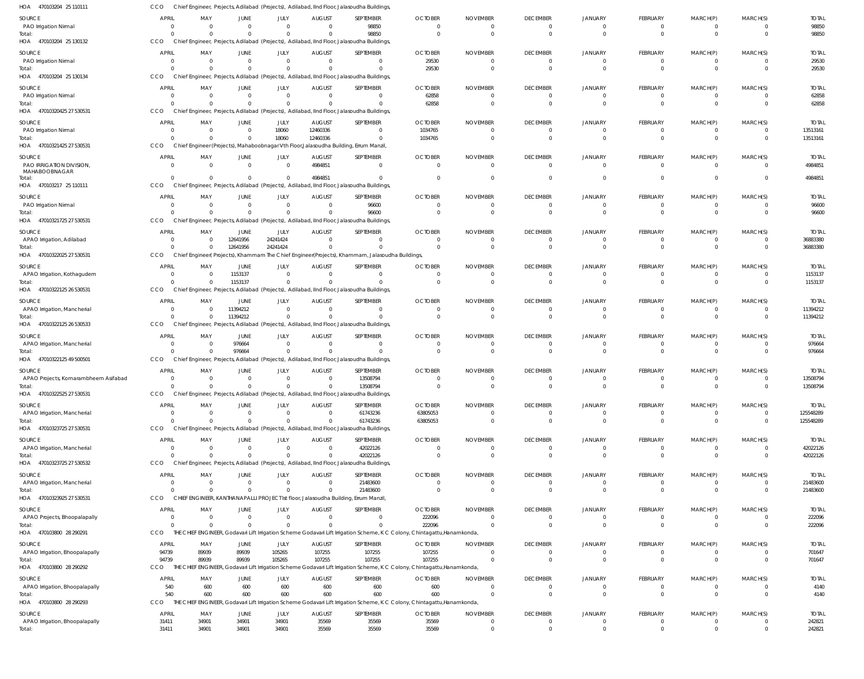| HOA<br>470103204 25 110111               | CCO                      |                            |                                |                                  |                              | Chief Engineer, Projects, Adilabad (Projects), Adilabad, IInd Floor, Jalasoudha Buildings              |                                                                                                                                     |                                 |                                   |                                  |                               |                                  |                                     |                          |
|------------------------------------------|--------------------------|----------------------------|--------------------------------|----------------------------------|------------------------------|--------------------------------------------------------------------------------------------------------|-------------------------------------------------------------------------------------------------------------------------------------|---------------------------------|-----------------------------------|----------------------------------|-------------------------------|----------------------------------|-------------------------------------|--------------------------|
| <b>SOURCE</b>                            | <b>APRIL</b>             | MAY                        | <b>JUNE</b>                    | JULY                             | <b>AUGUST</b>                | SEPTEMBER                                                                                              | <b>OCTOBER</b>                                                                                                                      | <b>NOVEMBER</b>                 | <b>DECEMBER</b>                   | <b>JANUARY</b>                   | <b>FEBRUARY</b>               | MARCH(P)                         | MARCH(S)                            | <b>TOTAL</b>             |
| PAO Irrigation Nirmal                    | $\Omega$<br>$\cap$       | $\overline{0}$<br>$\Omega$ | $\mathbf{0}$<br>$\Omega$       | $\mathbf 0$<br>$\mathbf 0$       | $\Omega$<br>$\Omega$         | 98850<br>98850                                                                                         | $\Omega$<br>$\Omega$                                                                                                                | $\Omega$<br>$\Omega$            | $\overline{0}$<br>$\overline{0}$  | $\overline{0}$<br>$\overline{0}$ | $^{\circ}$<br>$\mathbf 0$     | $\overline{0}$<br>$\overline{0}$ | $\Omega$<br>$\Omega$                | 98850<br>98850           |
| Total:<br>470103204 25 130132<br>HOA     | CCO                      |                            |                                |                                  |                              | Chief Engineer, Projects, Adilabad (Projects), Adilabad, IInd Floor, Jalasoudha Buildings              |                                                                                                                                     |                                 |                                   |                                  |                               |                                  |                                     |                          |
| SOURCE                                   | <b>APRIL</b>             | MAY                        | <b>JUNE</b>                    | JULY                             | <b>AUGUST</b>                | SEPTEMBER                                                                                              | <b>OCTOBER</b>                                                                                                                      | <b>NOVEMBER</b>                 | <b>DECEMBER</b>                   | <b>JANUARY</b>                   | FEBRUARY                      | MARCH(P)                         | MARCH(S)                            | <b>TOTAL</b>             |
| PAO Irrigation Nirmal                    | $\Omega$                 | $\Omega$                   | $\mathbf{0}$                   | $\overline{0}$                   | $\mathbf 0$                  | $\Omega$                                                                                               | 29530                                                                                                                               | $\Omega$                        | $\overline{0}$                    | $\overline{0}$                   | $\overline{0}$                | $\mathbf 0$                      | $\overline{0}$                      | 29530                    |
| Total:<br>470103204 25 130134            | CCO                      | $\Omega$                   | $\Omega$                       | $\mathbf 0$                      |                              | $\Omega$                                                                                               | 29530                                                                                                                               | $\Omega$                        | $\overline{0}$                    | $\overline{0}$                   | $\mathbf 0$                   | $\overline{0}$                   | $\Omega$                            | 29530                    |
| HOA                                      |                          |                            |                                |                                  |                              | Chief Engineer, Projects, Adilabad (Projects), Adilabad, IInd Floor, Jalasoudha Buildings              |                                                                                                                                     |                                 |                                   |                                  |                               |                                  |                                     |                          |
| SOURCE<br>PAO Irrigation Nirmal          | <b>APRI</b><br>$\Omega$  | MAY<br>$\Omega$            | <b>JUNE</b><br>$\mathbf{0}$    | JULY<br>$\overline{0}$           | <b>AUGUST</b><br>$\Omega$    | SEPTEMBER<br>$\Omega$                                                                                  | <b>OCTOBER</b><br>62858                                                                                                             | <b>NOVEMBER</b><br>$\Omega$     | <b>DECEMBER</b><br>$\overline{0}$ | <b>JANUARY</b><br>$\overline{0}$ | FEBRUARY<br>$^{\circ}$        | MARCH(P)<br>$^{\circ}$           | MARCH(S)<br>$\Omega$                | <b>TOTAL</b><br>62858    |
| Total:                                   | $\cap$                   | $\Omega$                   | $\Omega$                       | $\Omega$                         |                              | $\Omega$                                                                                               | 62858                                                                                                                               | $\Omega$                        | $\overline{0}$                    | $\overline{0}$                   | $\mathbf 0$                   | $\overline{0}$                   | $\Omega$                            | 62858                    |
| HOA 47010320425 27 530531                | CCO                      |                            |                                |                                  |                              | Chief Engineer, Projects, Adilabad (Projects), Adilabad, IInd Floor, Jalasoudha Buildings              |                                                                                                                                     |                                 |                                   |                                  |                               |                                  |                                     |                          |
| SOURCE                                   | <b>APRIL</b>             | MAY                        | <b>JUNE</b>                    | JULY                             | <b>AUGUST</b>                | SEPTEMBER                                                                                              | <b>OCTOBER</b>                                                                                                                      | <b>NOVEMBER</b>                 | <b>DECEMBER</b>                   | JANUARY                          | FEBRUARY                      | MARCH(P)                         | MARCH(S)                            | <b>TOTAL</b>             |
| PAO Irrigation Nirmal<br>Total:          | - 0                      | $\overline{0}$<br>$\Omega$ | $\overline{0}$<br>$\mathbf{0}$ | 18060<br>18060                   | 12460336<br>12460336         | $\Omega$<br>$\Omega$                                                                                   | 1034765<br>1034765                                                                                                                  | $\Omega$<br>$\Omega$            | $\overline{0}$<br>$\overline{0}$  | $\mathbf{0}$<br>$\overline{0}$   | $\mathbf 0$<br>$\mathbf 0$    | $\overline{0}$<br>$\overline{0}$ | $\overline{0}$<br>$\overline{0}$    | 13513161<br>13513161     |
| HOA 47010321425 27 530531                | CCO                      |                            |                                |                                  |                              | Chief Engineer (Projects), Mahaboobnagar Vth Floor, Jalasoudha Building, Errum Manzil                  |                                                                                                                                     |                                 |                                   |                                  |                               |                                  |                                     |                          |
| <b>SOURCE</b>                            | <b>APRIL</b>             | MAY                        | <b>JUNE</b>                    | JULY                             | <b>AUGUST</b>                | SEPTEMBER                                                                                              | <b>OCTOBER</b>                                                                                                                      | <b>NOVEMBER</b>                 | <b>DECEMBER</b>                   | <b>JANUARY</b>                   | FEBRUARY                      | MARCH(P)                         | MARCH(S)                            | <b>TOTAL</b>             |
| PAO IRRIGATION DIVISION,                 | $\Omega$                 | $\overline{0}$             | $\overline{0}$                 | $\overline{0}$                   | 4984851                      | $\Omega$                                                                                               | $\Omega$                                                                                                                            | $\Omega$                        | $\overline{\mathbf{0}}$           | $\overline{0}$                   | $\overline{0}$                | $\mathbf 0$                      | $\overline{0}$                      | 4984851                  |
| MAHABOOBNAGAR<br>Total:                  | $\cap$                   | $\Omega$                   | $\Omega$                       | $\mathbf{0}$                     | 4984851                      |                                                                                                        | $\Omega$                                                                                                                            | $\Omega$                        | $\overline{0}$                    | $\mathbf{0}$                     | $\Omega$                      | $\mathbf 0$                      | $\Omega$                            | 4984851                  |
| HOA 470103217 25 110111                  | CCO                      |                            |                                |                                  |                              | Chief Engineer, Projects, Adilabad (Projects), Adilabad, IInd Floor, Jalasoudha Buildings              |                                                                                                                                     |                                 |                                   |                                  |                               |                                  |                                     |                          |
| SOURCE                                   | <b>APRIL</b>             | MAY                        | <b>JUNE</b>                    | JULY                             | <b>AUGUST</b>                | SEPTEMBER                                                                                              | <b>OCTOBER</b>                                                                                                                      | <b>NOVEMBER</b>                 | <b>DECEMBER</b>                   | <b>JANUARY</b>                   | FEBRUARY                      | MARCH(P)                         | MARCH(S)                            | <b>TOTAL</b>             |
| PAO Irrigation Nirmal                    | $\Omega$                 | $\Omega$                   | $\mathbf{0}$                   | $\overline{0}$                   | $\mathbf 0$                  | 96600                                                                                                  | $\overline{0}$                                                                                                                      | $\Omega$                        | $\overline{\mathbf{0}}$           | $\overline{0}$                   | $\mathbf 0$                   | $\overline{0}$                   | $\overline{0}$                      | 96600                    |
| Total:<br>47010321725 27 530531          | CCO                      | $\Omega$                   | $\Omega$                       | $\mathbf 0$                      |                              | 96600<br>Chief Engineer, Projects, Adilabad (Projects), Adilabad, IInd Floor, Jalasoudha Buildings     | $\Omega$                                                                                                                            | $\Omega$                        | $\overline{0}$                    | $\overline{0}$                   | $\mathbf{0}$                  | $\overline{0}$                   | $\Omega$                            | 96600                    |
| HOA                                      |                          |                            |                                |                                  |                              |                                                                                                        |                                                                                                                                     |                                 |                                   |                                  |                               |                                  |                                     |                          |
| SOURCE<br>APAO Irrigation, Adilabad      | <b>APRIL</b><br>$\Omega$ | MAY<br>$\Omega$            | JUNE<br>12641956               | JULY<br>24241424                 | <b>AUGUST</b><br>$\Omega$    | SEPTEMBER<br>$\Omega$                                                                                  | <b>OCTOBER</b><br>$\Omega$                                                                                                          | <b>NOVEMBER</b><br>$\Omega$     | <b>DECEMBER</b><br>$\overline{0}$ | <b>JANUARY</b><br>$\mathbf{0}$   | FEBRUARY<br>$^{\circ}$        | MARCH(P)<br>$^{\circ}$           | MARCH(S)<br>$\overline{0}$          | <b>TOTAL</b><br>36883380 |
| Total:                                   |                          | $\Omega$                   | 12641956                       | 24241424                         | $\Omega$                     | $\Omega$                                                                                               | $\Omega$                                                                                                                            | $\Omega$                        | $\overline{0}$                    | $\Omega$                         | $\mathbf 0$                   | $\overline{0}$                   | $\Omega$                            | 36883380                 |
| HOA 47010322025 27 530531                | CCO                      |                            |                                |                                  |                              | Chief Engineer(Projects), Khammam The Chief Engineer(Projects), Khammam, Jalasoudha Buildings,         |                                                                                                                                     |                                 |                                   |                                  |                               |                                  |                                     |                          |
| SOURCE                                   | <b>APRIL</b>             | MAY                        | JUNE                           | JULY                             | <b>AUGUST</b>                | SEPTEMBER                                                                                              | <b>OCTOBER</b>                                                                                                                      | <b>NOVEMBER</b>                 | <b>DECEMBER</b>                   | <b>JANUARY</b>                   | FEBRUARY                      | MARCH(P)                         | MARCH(S)                            | <b>TOTAL</b>             |
| APAO Irrigation, Kothagudem              | $\Omega$                 | $\Omega$                   | 1153137                        | $\overline{0}$                   | $\mathbf 0$                  | $\Omega$                                                                                               | $\mathbf 0$                                                                                                                         | $\Omega$                        | $\overline{0}$                    | $\overline{0}$                   | $\mathbf 0$                   | $\overline{0}$                   | $\overline{0}$                      | 1153137                  |
| Total:<br>HOA 47010322125 26 530531      | CCO                      | $\Omega$                   | 1153137                        | $\overline{0}$                   | $\Omega$                     | $\Omega$<br>Chief Engineer, Projects, Adilabad (Projects), Adilabad, IInd Floor, Jalasoudha Buildings  | $\Omega$                                                                                                                            | $\Omega$                        | $\overline{0}$                    | $\overline{0}$                   | $\mathbf 0$                   | $\mathbf 0$                      | $\Omega$                            | 1153137                  |
|                                          |                          |                            |                                |                                  |                              |                                                                                                        |                                                                                                                                     |                                 |                                   |                                  |                               |                                  |                                     |                          |
| SOURCE<br>APAO Irrigation, Mancherial    | <b>APRIL</b><br>$\Omega$ | MAY<br>$\Omega$            | JUNE<br>11394212               | JULY<br>$\overline{0}$           | <b>AUGUST</b><br>$\Omega$    | SEPTEMBER<br>$\Omega$                                                                                  | <b>OCTOBER</b><br>$\Omega$                                                                                                          | <b>NOVEMBER</b><br>$\Omega$     | <b>DECEMBER</b><br>$\overline{0}$ | <b>JANUARY</b><br>$\overline{0}$ | FEBRUARY<br>$^{\circ}$        | MARCH(P)<br>$\overline{0}$       | MARCH(S)<br>$\Omega$                | <b>TOTAL</b><br>11394212 |
| Total:                                   |                          | $\Omega$                   | 11394212                       | $\overline{0}$                   | $\Omega$                     | $\Omega$                                                                                               | $\Omega$                                                                                                                            | $\Omega$                        | $\overline{0}$                    | $\Omega$                         | $\mathbf 0$                   | $\mathbf 0$                      | $\Omega$                            | 11394212                 |
| 47010322125 26 530533<br>HOA             | CCO                      |                            |                                |                                  |                              | Chief Engineer, Projects, Adilabad (Projects), Adilabad, IInd Floor, Jalasoudha Buildings              |                                                                                                                                     |                                 |                                   |                                  |                               |                                  |                                     |                          |
| SOURCE                                   | <b>APRIL</b>             | MAY                        | JUNE                           | JULY                             | <b>AUGUST</b>                | SEPTEMBER                                                                                              | <b>OCTOBER</b>                                                                                                                      | <b>NOVEMBER</b>                 | <b>DECEMBER</b>                   | <b>JANUARY</b>                   | FEBRUARY                      | MARCH(P)                         | MARCH(S)                            | <b>TOTAL</b>             |
| APAO Irrigation, Mancherial              | $\Omega$                 | $\Omega$<br>$\Omega$       | 976664<br>976664               | $\overline{0}$<br>$\overline{0}$ | $\Omega$                     | $\Omega$<br>$\Omega$                                                                                   | $\overline{0}$<br>$\Omega$                                                                                                          | $\Omega$<br>$\Omega$            | $\overline{0}$<br>$\overline{0}$  | $\overline{0}$<br>$\overline{0}$ | $\overline{0}$<br>$\mathbf 0$ | $\mathbf 0$<br>$\overline{0}$    | $\overline{0}$<br>$\Omega$          | 976664<br>976664         |
| Total:<br>47010322125 49 500501<br>HOA   | CCO                      |                            |                                |                                  |                              | Chief Engineer, Projects, Adilabad (Projects), Adilabad, IInd Floor, Jalasoudha Buildings              |                                                                                                                                     |                                 |                                   |                                  |                               |                                  |                                     |                          |
| SOURCE                                   | <b>APRI</b>              | MAY                        | <b>JUNE</b>                    | JULY                             | <b>AUGUST</b>                | SEPTEMBER                                                                                              | <b>OCTOBER</b>                                                                                                                      | <b>NOVEMBER</b>                 | <b>DECEMBER</b>                   | <b>JANUARY</b>                   | FEBRUARY                      | MARCH(P)                         | MARCH(S)                            | <b>TOTAL</b>             |
| APAO Projects, Komarambheem Asifabad     | $\Omega$                 | $\overline{0}$             | $\mathbf{0}$                   | $\overline{0}$                   | $\mathbf 0$                  | 13508794                                                                                               | $\Omega$                                                                                                                            | $\Omega$                        | $\Omega$                          | $\Omega$                         | $\Omega$                      | $\Omega$                         | $\Omega$                            | 13508794                 |
| Total:                                   | $\Omega$                 | $\Omega$                   | $\Omega$                       | $\mathbf{0}$                     | $\Omega$                     | 13508794                                                                                               | $\Omega$                                                                                                                            | $\Omega$                        | $\Omega$                          | $\Omega$                         | $\Omega$                      | $\Omega$                         | $\Omega$                            | 13508794                 |
| HOA 47010322525 27 530531                | CCO                      |                            |                                |                                  |                              | Chief Engineer, Projects, Adilabad (Projects), Adilabad, IInd Floor, Jalasoudha Buildings              |                                                                                                                                     |                                 |                                   |                                  |                               |                                  |                                     |                          |
| SOURCE                                   | <b>APRIL</b><br>$\Omega$ | MAY                        | <b>JUNE</b>                    | JULY                             | <b>AUGUST</b><br>$\Omega$    | SEPTEMBER                                                                                              | <b>OCTOBER</b>                                                                                                                      | <b>NOVEMBER</b>                 | <b>DECEMBER</b>                   | <b>JANUARY</b>                   | FEBRUARY                      | MARCH(P)                         | MARCH(S)                            | <b>TOTAL</b>             |
| APAO Irrigation, Mancherial<br>Total:    |                          | $\overline{0}$<br>$\Omega$ | $\overline{0}$<br>$\mathbf 0$  | $\overline{0}$<br>$\overline{0}$ | $\Omega$                     | 61743236<br>61743236                                                                                   | 63805053<br>63805053                                                                                                                | 0<br>$\overline{0}$             | $\overline{0}$<br>$\overline{0}$  | $\overline{0}$<br>$\overline{0}$ | $\mathbf 0$<br>$\mathbf 0$    | $\overline{0}$<br>$\overline{0}$ | $\overline{0}$<br>$\overline{0}$    | 125548289<br>125548289   |
| HOA 47010323725 27 530531                | CCO                      |                            |                                |                                  |                              | Chief Engineer, Projects, Adilabad (Projects), Adilabad, IInd Floor, Jalasoudha Buildings,             |                                                                                                                                     |                                 |                                   |                                  |                               |                                  |                                     |                          |
| SOURCE                                   | <b>APRIL</b>             | MAY                        | <b>JUNE</b>                    | JULY                             | <b>AUGUST</b>                | SEPTEMBER                                                                                              | <b>OCTOBER</b>                                                                                                                      | <b>NOVEMBER</b>                 | <b>DECEMBER</b>                   | <b>JANUARY</b>                   | FEBRUARY                      | MARCH(P)                         | MARCH(S)                            | <b>TOTAL</b>             |
| APAO Irrigation, Mancherial              | $\Omega$                 | $\overline{0}$             | $\overline{0}$                 | $\overline{0}$                   | $\Omega$                     | 42022126                                                                                               | $\overline{0}$                                                                                                                      | $\Omega$                        | $\overline{0}$                    | $\overline{0}$                   | $\mathbf 0$                   | $\mathbf 0$                      | $\overline{0}$                      | 42022126                 |
| Total:<br>HOA 47010323725 27 530532      | $\cap$<br>CCO            | $\Omega$                   | $\Omega$                       | $\Omega$                         | $\Omega$                     | 42022126<br>Chief Engineer, Projects, Adilabad (Projects), Adilabad, IInd Floor, Jalasoudha Buildings, | $\Omega$                                                                                                                            | $\Omega$                        | $\overline{0}$                    | $\overline{0}$                   | $\mathbf{0}$                  | $\overline{0}$                   | $\Omega$                            | 42022126                 |
|                                          |                          |                            |                                |                                  |                              |                                                                                                        |                                                                                                                                     |                                 |                                   |                                  |                               |                                  |                                     |                          |
| SOURCE<br>APAO Irrigation, Mancherial    | <b>APRIL</b><br>$\Omega$ | MAY<br>$\overline{0}$      | JUNE<br>$\overline{0}$         | JULY<br>$\overline{0}$           | <b>AUGUST</b><br>$\mathbf 0$ | SEPTEMBER<br>21483600                                                                                  | <b>OCTOBER</b><br>$\overline{0}$                                                                                                    | <b>NOVEMBER</b><br>$\mathbf{0}$ | <b>DECEMBER</b><br>$\overline{0}$ | <b>JANUARY</b><br>$\overline{0}$ | FEBRUARY<br>$\mathbf 0$       | MARCH(P)<br>$\overline{0}$       | MARCH(S)<br>$\overline{\mathbf{0}}$ | <b>TOTAL</b><br>21483600 |
| Total:                                   |                          | $\Omega$                   | $\mathbf{0}$                   | $\overline{0}$                   | $\Omega$                     | 21483600                                                                                               | $\Omega$                                                                                                                            | $\Omega$                        | $\overline{0}$                    | $\overline{0}$                   | $\mathbf 0$                   | $\overline{0}$                   | $\overline{0}$                      | 21483600                 |
| HOA 47010323925 27 530531                | CCO                      |                            |                                |                                  |                              | CHIEF ENGINEER, KANTHANAPALLI PROJECT Ist floor, Jalasoudha Building, Errum Manzil                     |                                                                                                                                     |                                 |                                   |                                  |                               |                                  |                                     |                          |
| SOURCE                                   | <b>APRIL</b>             | MAY                        | JUNE                           | JULY                             | <b>AUGUST</b>                | SEPTEMBER                                                                                              | <b>OCTOBER</b>                                                                                                                      | <b>NOVEMBER</b>                 | <b>DECEMBER</b>                   | <b>JANUARY</b>                   | FEBRUARY                      | MARCH(P)                         | MARCH(S)                            | <b>TOTAL</b>             |
| APAO Projects, Bhoopalapally             | $\Omega$<br>$\Omega$     | $\overline{0}$<br>$\Omega$ | $\mathbf{0}$<br>$\Omega$       | $\mathbf{0}$<br>$\Omega$         | $\Omega$<br>$\Omega$         | $\Omega$<br>$\Omega$                                                                                   | 222096                                                                                                                              | $\mathbf{0}$<br>$\Omega$        | $\overline{0}$<br>$\overline{0}$  | $\overline{0}$<br>$\overline{0}$ | $^{\circ}$<br>$\mathbf 0$     | $^{\circ}$<br>$\overline{0}$     | $\overline{0}$<br>$\overline{0}$    | 222096                   |
| Total:<br>HOA 470103800 28 290291        | CCO                      |                            |                                |                                  |                              |                                                                                                        | 222096<br>THE CHIEF ENGINEER, Godavari Lift Irrigation Scheme Godavari Lift Irrigation Scheme, K C Colony, Chintagattu, Hanamkonda, |                                 |                                   |                                  |                               |                                  |                                     | 222096                   |
| SOURCE                                   | <b>APRIL</b>             | MAY                        | JUNE                           | JULY                             | <b>AUGUST</b>                | SEPTEMBER                                                                                              | <b>OCTOBER</b>                                                                                                                      | <b>NOVEMBER</b>                 | <b>DECEMBER</b>                   | <b>JANUARY</b>                   | FEBRUARY                      | MARCH(P)                         | MARCH(S)                            | <b>TOTAL</b>             |
| APAO Irrigation, Bhoopalapally           | 94739                    | 89939                      | 89939                          | 105265                           | 107255                       | 107255                                                                                                 | 107255                                                                                                                              | $\Omega$                        | $\overline{0}$                    | $\overline{0}$                   | $\mathbf 0$                   | $\mathbf 0$                      | $\overline{0}$                      | 701647                   |
| Total:                                   | 94739                    | 89939                      | 89939                          | 105265                           | 107255                       | 107255                                                                                                 | 107255                                                                                                                              | $\mathbf 0$                     | $\overline{0}$                    | $\overline{0}$                   | $\mathbf 0$                   | $\overline{0}$                   | $\overline{0}$                      | 701647                   |
| HOA 470103800 28 290292                  | CCO                      | THE CHI                    |                                |                                  |                              |                                                                                                        | F ENGINEER, Godavari Lift Irrigation Scheme Godavari Lift Irrigation Scheme, K C Colony, Chintagattu, Hanamkonda,                   |                                 |                                   |                                  |                               |                                  |                                     |                          |
| SOURCE                                   | APRIL                    | MAY                        | JUNE                           | JULY                             | <b>AUGUST</b>                | SEPTEMBER                                                                                              | <b>OCTOBER</b>                                                                                                                      | <b>NOVEMBER</b>                 | <b>DECEMBER</b>                   | <b>JANUARY</b>                   | FEBRUARY                      | MARCH(P)                         | MARCH(S)                            | <b>TOTAL</b>             |
| APAO Irrigation, Bhoopalapally<br>Total: | 540<br>540               | 600<br>600                 | 600<br>600                     | 600<br>600                       | 600<br>600                   | 600<br>600                                                                                             | 600<br>600                                                                                                                          | $\Omega$<br>$\Omega$            | $\overline{0}$<br>$\overline{0}$  | $\overline{0}$<br>$\overline{0}$ | $\mathbf 0$<br>$\mathbf 0$    | $\mathbf 0$<br>$\overline{0}$    | $\overline{0}$<br>$\Omega$          | 4140<br>4140             |
| HOA 470103800 28 290293                  | CCO                      |                            |                                |                                  |                              |                                                                                                        | THE CHIEF ENGINEER, Godavari Lift Irrigation Scheme Godavari Lift Irrigation Scheme, K C Colony, Chintagattu, Hanamkonda,           |                                 |                                   |                                  |                               |                                  |                                     |                          |
| SOURCE                                   | <b>APRIL</b>             | MAY                        | JUNE                           | JULY                             | <b>AUGUST</b>                | SEPTEMBER                                                                                              | <b>OCTOBER</b>                                                                                                                      | <b>NOVEMBER</b>                 | <b>DECEMBER</b>                   | <b>JANUARY</b>                   | FEBRUARY                      | MARCH(P)                         | MARCH(S)                            | <b>TOTAL</b>             |
| APAO Irrigation, Bhoopalapally           | 31411                    | 34901                      | 34901                          | 34901                            | 35569                        | 35569                                                                                                  | 35569                                                                                                                               | $\overline{0}$                  | $\overline{0}$                    | $\overline{0}$                   | $\mathbf{0}$                  | $\overline{0}$                   | $\overline{0}$                      | 242821                   |
| Total:                                   | 31411                    | 34901                      | 34901                          | 34901                            | 35569                        | 35569                                                                                                  | 35569                                                                                                                               | $\Omega$                        | $\Omega$                          | $\overline{0}$                   |                               | $\Omega$                         | $\Omega$                            | 242821                   |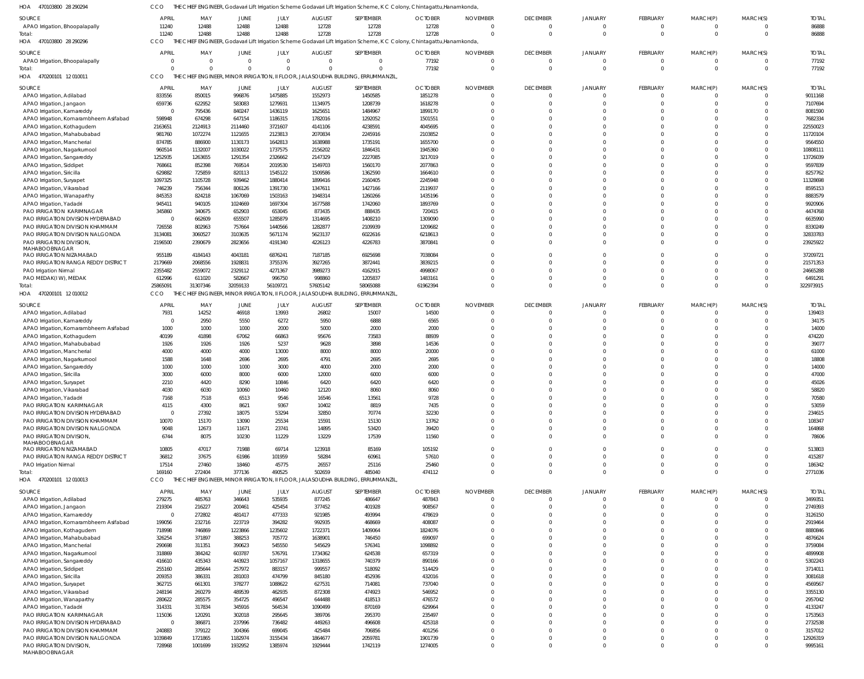470103800 28 290294 HOA 470103800 28 290296 470200101 12 010011 470200101 12 010012 470200101 12 010013 HOA HOA HOA HOA THE CHIEF ENGINEER, Godavari Lift Irrigation Scheme Godavari Lift Irrigation Scheme, K C Colony, Chintagattu,Hanamkonda, THE CHIEF ENGINEER, Godavari Lift Irrigation Scheme Godavari Lift Irrigation Scheme, K C Colony, Chintagattu,Hanamkonda, THE CHIEF ENGINEER, MINOR IRRIGATION, II FLOOR, JALASOUDHA BUILDING, ERRUMMANZIL, THE CHIEF ENGINEER, MINOR IRRIGATION, II FLOOR, JALASOUDHA BUILDING, ERRUMMANZIL, THE CHIEF ENGINEER, MINOR IRRIGATION, II FLOOR, JALASOUDHA BUILDING, ERRUMMANZIL, CCO **CCO** CCO CCO CCO  $\Omega$   $\Omega$   $\Omega$   $\Omega$   $\Omega$   $\Omega$  APAO Irrigation, Bhoopalapally APAO Irrigation, Bhoopalapally APAO Irrigation, Adilabad APAO Irrigation, Jangaon APAO Irrigation, Kamareddy APAO Irrigation, Komarambheem Asifabad APAO Irrigation, Kothagudem APAO Irrigation, Mahabubabad APAO Irrigation, Mancherial APAO Irrigation, Nagarkurnool APAO Irrigation, Sangareddy APAO Irrigation, Siddipet APAO Irrigation, Siricilla APAO Irrigation, Suryapet APAO Irrigation, Vikarabad APAO Irrigation, Wanaparthy APAO Irrigation, Yadadri PAO IRRIGATION KARIMNAGAR PAO IRRIGATION DIVISION HYDERABAD PAO IRRIGATION DIVISION KHAMMAM PAO IRRIGATION DIVISION NALGONDA PAO IRRIGATION DIVISION, MAHABOOBNAGAR PAO IRRIGATION NIZAMABAD PAO IRRIGATION RANGA REDDY DISTRICT PAO Irrigation Nirmal PAO MEDAK(I W), MEDAK APAO Irrigation, Adilabad APAO Irrigation, Kamareddy APAO Irrigation, Komarambheem Asifabad APAO Irrigation, Kothagudem APAO Irrigation, Mahabubabad APAO Irrigation, Mancherial APAO Irrigation, Nagarkurnool APAO Irrigation, Sangareddy APAO Irrigation, Siricilla APAO Irrigation, Suryapet APAO Irrigation, Vikarabad APAO Irrigation, Yadadri PAO IRRIGATION KARIMNAGAR PAO IRRIGATION DIVISION HYDERABAD PAO IRRIGATION DIVISION KHAMMAM PAO IRRIGATION DIVISION NALGONDA PAO IRRIGATION DIVISION, MAHABOOBNAGAR PAO IRRIGATION NIZAMABAD PAO IRRIGATION RANGA REDDY DISTRICT PAO Irrigation Nirmal APAO Irrigation, Adilabad APAO Irrigation, Jangaon APAO Irrigation, Kamareddy APAO Irrigation, Komarambheem Asifabad APAO Irrigation, Kothagudem APAO Irrigation, Mahabubabad APAO Irrigation, Mancherial APAO Irrigation, Nagarkurnool APAO Irrigation, Sangareddy APAO Irrigation, Siddipet APAO Irrigation, Siricilla APAO Irrigation, Survapet APAO Irrigation, Vikarabad APAO Irrigation, Wanaparthy APAO Irrigation, Yadadri PAO IRRIGATION KARIMNAGAR PAO IRRIGATION DIVISION HYDERABAD PAO IRRIGATION DIVISION KHAMMAM PAO IRRIGATION DIVISION NALGONDA SOURCE SOURCE SOURCE SOURCE **SOURCE**   $\Omega$   $\sqrt{0}$  APRIL APRIL APRIL APRIL APRIL MAY MAY MAY MAY MAY JUNE JUNE JUNE JUNE JUNE JULY JULY JULY JULY JULY AUGUST AUGUST AUGUST AUGUST AUGUST SEPTEMBER SEPTEMBER SEPTEMBER SEPTEMBER SEPTEMBER OCTOBER **OCTOBER** OCTOBER OCTOBER OCTOBER  $\Omega$   $\Omega$   $\Omega$   $\Omega$  $\Omega$  $\Omega$  $\Omega$   $\Omega$   $\Omega$  $\Omega$   $\Omega$   $\Omega$  $\Omega$   $\Omega$  $\Omega$  $\Omega$   $\Omega$  $\Omega$  $\Omega$  $\Omega$   $\Omega$  $\Omega$  $\Omega$   $\Omega$   $\Omega$  $\Omega$   $\Omega$   $\Omega$   $\Omega$   $\Omega$  $\Omega$   $\Omega$  $\Omega$  $\Omega$  $\Omega$   $\Omega$   $\Omega$  $\Omega$  NOVEMBER NOVEMBER NOVEMBER NOVEMBER NOVEMBER  $\Omega$   $\Omega$  $\Omega$  $\Omega$   $\Omega$   $\Omega$  $\Omega$   $\bigcap$   $\Omega$  $\Omega$   $\Omega$  $\Omega$  $\Omega$   $\Omega$  $\Omega$  $\Omega$   $\Omega$  $\Omega$  $\Omega$   $\Omega$   $\Omega$  $\Omega$   $\Omega$   $\Omega$   $\Omega$   $\Omega$   $\Omega$   $\Omega$   $\Omega$   $\Omega$  $\Omega$   $\Omega$   $\Omega$  $\Omega$  DECEMBER DECEMBER DECEMBER DECEMBER DECEMBER  $\Omega$   $\Omega$  $\Omega$  $\Omega$   $\Omega$   $\Omega$  $\Omega$   $\Omega$   $\Omega$   $\Omega$  $\Omega$   $\Omega$  $\Omega$   $\Omega$  $\Omega$   $\Omega$   $\Omega$  $\Omega$   $\Omega$  $\mathbf 0$  $\Omega$   $\Omega$   $\Omega$  $\Omega$   $\Omega$   $\Omega$  $\Omega$   $\Omega$   $\Omega$  JANUARY JANUARY JANUARY JANUARY JANUARY  $\Omega$   $\Omega$   $\Omega$  $\Omega$   $\Omega$   $\Omega$  $\Omega$   $\Omega$   $\Omega$   $\Omega$  $\Omega$  $\Omega$   $\Omega$   $\Omega$  $\Omega$   $\Omega$  $\Omega$   $\Omega$   $\Omega$  $\Omega$   $\Omega$   $\Omega$   $\Omega$   $\Omega$  $\Omega$   $\Omega$   $\Omega$  $\Omega$   $\Omega$   $\Omega$  FEBRUARY FEBRUARY FEBRUARY FEBRUARY FEBRUARY  $\Omega$   $\Omega$   $\Omega$   $\Omega$  $\Omega$   $\Omega$   $\Omega$  $\Omega$   $\Omega$   $\Omega$  $\Omega$   $\Omega$  $\Omega$   $\Omega$   $\Omega$  $\Omega$   $\Omega$  $\Omega$   $\Omega$   $\Omega$  $\Omega$   $\Omega$   $\Omega$   $\Omega$   $\Omega$  $\Omega$   $\Omega$   $\Omega$  $\Omega$   $\Omega$  MARCH(P) MARCH(P) MARCH(P) MARCH(P) MARCH(P)  $\Omega$   $\Omega$  $\Omega$  $\Omega$  $\Omega$   $\Omega$   $\Omega$  $\Omega$   $\bigcap$   $\Omega$  $\Omega$   $\Omega$  $\Omega$  $\Omega$   $\bigcap$   $\Omega$  $\Omega$  $\Omega$  $\Omega$   $\Omega$   $\Omega$  $\Omega$   $\bigcap$   $\Omega$   $\Omega$   $\Omega$   $\Omega$  $\Omega$   $\bigcap$   $\Omega$   $\Omega$  $\Omega$   $\Omega$   $\Omega$  $\Omega$  MARCH(S) MARCH(S) MARCH(S) MARCH(S) MARCH(S) TOTAL TOTAL TOTAL TOTAL TOTAL Total: Total: Total: **Total** 

PAO IRRIGATION DIVISION, MAHABOOBNAGAR

 $\Omega$ 

 $\Omega$ 

 $\Omega$ 

 $\Omega$ 

 $\Omega$ 

 $\Omega$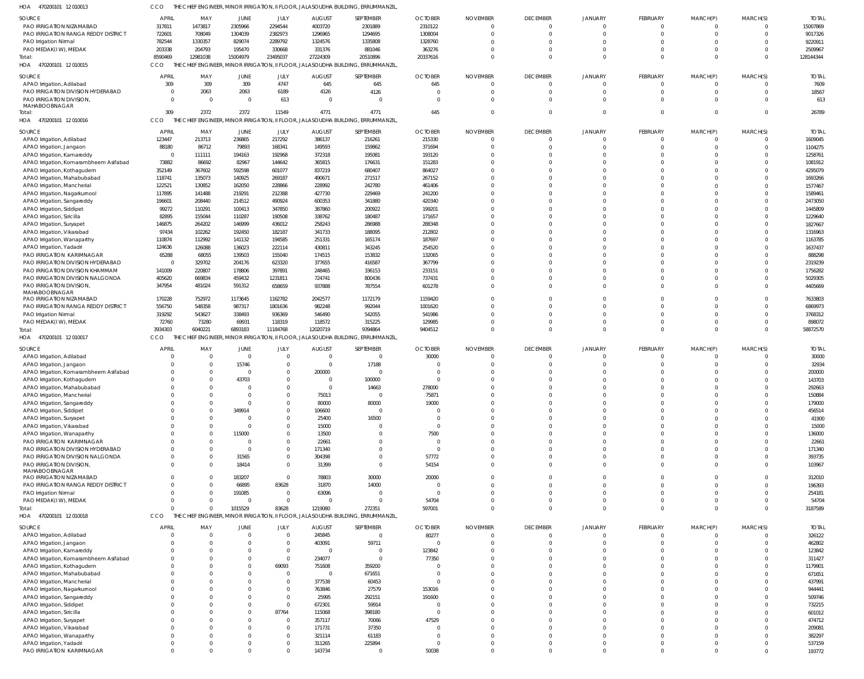|                                                                      | <b>APRIL</b>             | MAY                  | JUNE                       | JULY                       | <b>AUGUST</b>             | SEPTEMBER                                                                                    | <b>OCTOBER</b>          | <b>NOVEMBER</b>      | <b>DECEMBER</b>             | <b>JANUARY</b>             | FEBRUARY                | MARCH(P)                | MARCH(S)             | <b>TOTAL</b>          |
|----------------------------------------------------------------------|--------------------------|----------------------|----------------------------|----------------------------|---------------------------|----------------------------------------------------------------------------------------------|-------------------------|----------------------|-----------------------------|----------------------------|-------------------------|-------------------------|----------------------|-----------------------|
| PAO IRRIGATION NIZAMABAD                                             | 317811                   | 1473817              | 2305966                    | 2294544                    | 4003720                   | 2301889                                                                                      | 2310122                 | $\Omega$             | $\overline{0}$              | $\overline{0}$             | $\overline{0}$          | $\mathbf 0$             | $\Omega$             | 15007869              |
| PAO IRRIGATION RANGA REDDY DISTRICT                                  | 722601                   | 708049               | 1304039                    | 2382973                    | 1296965                   | 1294695                                                                                      | 1308004                 |                      | $\Omega$                    | $\Omega$<br>$\Omega$       | $\mathbf 0$             | $\mathbf 0$             | $\Omega$<br>$\Omega$ | 9017326               |
| PAO Irrigation Nirmal<br>PAO MEDAK(IW), MEDAK                        | 782544<br>203338         | 1330357<br>204793    | 829074<br>195470           | 2289792<br>330668          | 1324576<br>331376         | 1335808<br>881046                                                                            | 1328760<br>363276       |                      | $\Omega$<br>$\Omega$        | $\Omega$                   | $\Omega$<br>$\mathbf 0$ | $\Omega$<br>$\Omega$    | $\Omega$             | 9220911<br>2509967    |
| Total:                                                               | 8590469                  | 12981038             | 15004979                   | 23495037                   | 27224309                  | 20510896                                                                                     | 20337616                | $\Omega$             | $\Omega$                    | $\Omega$                   | $\Omega$                | $\Omega$                | $\Omega$             | 128144344             |
| HOA 470200101 12010015                                               | CCO<br>THE               |                      |                            |                            |                           | CHIEF ENGINEER, MINOR IRRIGATION, II FLOOR, JALASOUDHA BUILDING, ERRUMMANZIL,                |                         |                      |                             |                            |                         |                         |                      |                       |
| SOURCE                                                               | <b>APRIL</b>             | MAY                  | JUNE                       | JULY                       | AUGUST                    | SEPTEMBER                                                                                    | <b>OCTOBER</b>          | <b>NOVEMBER</b>      | <b>DECEMBER</b>             | <b>JANUARY</b>             | FEBRUARY                | MARCH(P)                | MARCH(S)             | <b>TOTAI</b>          |
| APAO Irrigation, Adilabad                                            | 309                      | 309                  | 309                        | 4747                       | 645                       | 645                                                                                          | 645                     | $\Omega$             | $\Omega$                    | $\Omega$                   | $\Omega$                | $\Omega$                | $\Omega$             | 7609                  |
| PAO IRRIGATION DIVISION HYDERABAD                                    | $\Omega$                 | 2063                 | 2063                       | 6189                       | 4126                      | 4126                                                                                         | $\Omega$                | $\Omega$             | $\Omega$                    | $\Omega$                   | $\mathbf 0$             | $\Omega$                | $\overline{0}$       | 18567                 |
| <b>PAO IRRIGATION DIVISION.</b><br>MAHABOOBNAGAR                     | $\Omega$                 | $\Omega$             | $\overline{0}$             | 613                        | $\Omega$                  | $\Omega$                                                                                     | $\Omega$                | $\Omega$             | $\Omega$                    | $\Omega$                   | $\Omega$                | $\Omega$                | $\Omega$             | 613                   |
| Total:                                                               | 309                      | 2372                 | 2372                       | 11549                      | 4771                      | 4771                                                                                         | 645                     | $\Omega$             | $\Omega$                    | $\Omega$                   | $\Omega$                | $\Omega$                | $\Omega$             | 26789                 |
| 470200101 12 010016<br>HOA                                           | CCO                      |                      |                            |                            |                           | THE CHIEF ENGINEER, MINOR IRRIGATION, II FLOOR, JALASOUDHA BUILDING, ERRUMMANZIL             |                         |                      |                             |                            |                         |                         |                      |                       |
| SOURCE                                                               | APRIL                    | MAY                  | JUNE                       | JULY                       | <b>AUGUST</b>             | SEPTEMBER                                                                                    | <b>OCTOBER</b>          | <b>NOVEMBER</b>      | <b>DECEMBER</b>             | <b>JANUARY</b>             | FEBRUARY                | MARCH(P)                | MARCH(S)             | <b>TOTAL</b>          |
| APAO Irrigation, Adilabad                                            | 123447                   | 213713               | 236865                     | 217292                     | 386137                    | 216261                                                                                       | 215330                  | $\Omega$             | $\overline{0}$              | $\overline{0}$             | $\overline{0}$          | $\mathbf 0$             | $\Omega$             | 1609045               |
| APAO Irrigation, Jangaon                                             | 88180                    | 86712                | 79893                      | 168341                     | 149593                    | 159862                                                                                       | 371694                  |                      | $\Omega$                    | $\Omega$                   | $\mathbf 0$             | $\Omega$                | $\Omega$             | 1104275               |
| APAO Irrigation, Kamareddy<br>APAO Irrigation, Komarambheem Asifabad | $\overline{0}$<br>73882  | 111111<br>86692      | 194163<br>82967            | 192968<br>144642           | 372318<br>365815          | 195081<br>176631                                                                             | 193120<br>151283        |                      | $\Omega$<br>$\Omega$        | $\Omega$<br>$\Omega$       | $\Omega$<br>$\Omega$    | $\Omega$<br>$\Omega$    | $\Omega$<br>$\Omega$ | 1258761<br>1081912    |
| APAO Irrigation, Kothagudem                                          | 352149                   | 367602               | 592598                     | 601077                     | 837219                    | 680407                                                                                       | 864027                  |                      | $\Omega$                    | $\Omega$                   | $\Omega$                | $\Omega$                | $\Omega$             | 4295079               |
| APAO Irrigation, Mahabubabad                                         | 118741                   | 135073               | 140925                     | 269187                     | 490671                    | 271517                                                                                       | 267152                  |                      | $\Omega$                    | $\Omega$                   | $\Omega$                | $\Omega$                | $\Omega$             | 1693266               |
| APAO Irrigation, Mancherial                                          | 122521                   | 130852               | 162050                     | 228866                     | 228992                    | 242780                                                                                       | 461406                  |                      | $\Omega$                    | $\Omega$                   | $\Omega$                | $\Omega$                | $\Omega$             | 1577467               |
| APAO Irrigation, Nagarkurnool                                        | 117895                   | 141488               | 219291                     | 212388                     | 427730                    | 229469                                                                                       | 241200                  |                      | $\Omega$                    | $\Omega$                   | $\Omega$                | $\Omega$                | $\Omega$             | 1589461               |
| APAO Irrigation, Sangareddy<br>APAO Irrigation, Siddipet             | 196601<br>99272          | 208440<br>110291     | 214512<br>100413           | 490924<br>347850           | 600353<br>387860          | 341880<br>200922                                                                             | 420340<br>199201        |                      | $\Omega$<br>$\Omega$        | $\Omega$<br>$\Omega$       | $\Omega$<br>$\Omega$    | $\Omega$<br>$\Omega$    | $\Omega$<br>$\Omega$ | 2473050<br>1445809    |
| APAO Irrigation, Siricilla                                           | 82895                    | 155044               | 110287                     | 190508                     | 338762                    | 180487                                                                                       | 171657                  | $\Omega$             | $\Omega$                    | $\Omega$                   | $\Omega$                | $\Omega$                | $\Omega$             | 1229640               |
| APAO Irrigation, Suryapet                                            | 146875                   | 264202               | 146999                     | 436012                     | 258243                    | 286988                                                                                       | 288348                  |                      | $\Omega$                    | $\Omega$                   | $\Omega$                | $\Omega$                | $\Omega$             | 1827667               |
| APAO Irrigation, Vikarabad                                           | 97434                    | 102262               | 192450                     | 182187                     | 341733                    | 188095                                                                                       | 212802                  | $\Omega$             | $\Omega$                    | $\Omega$                   | $\Omega$                | $\Omega$                | $\Omega$             | 1316963               |
| APAO Irrigation, Wanaparthy                                          | 110874                   | 112992               | 141132                     | 194585                     | 251331                    | 165174                                                                                       | 187697                  |                      | $\Omega$                    | $\Omega$                   | $\Omega$                | $\Omega$                | $\Omega$             | 1163785               |
| APAO Irrigation, Yadadri                                             | 124636                   | 126088               | 136023                     | 222114                     | 430811                    | 343245                                                                                       | 254520                  |                      | $\Omega$<br>$\Omega$        | $\Omega$<br>$\Omega$       | $\Omega$<br>$\Omega$    | $\Omega$<br>$\Omega$    | $\Omega$<br>$\Omega$ | 1637437               |
| PAO IRRIGATION KARIMNAGAR<br>PAO IRRIGATION DIVISION HYDERABAD       | 65288<br>$\overline{0}$  | 68055<br>329702      | 139503<br>204176           | 155040<br>623320           | 174515<br>377655          | 153832<br>416587                                                                             | 132065<br>367799        | $\Omega$             | $\Omega$                    | $\Omega$                   | $\Omega$                | $\Omega$                | $\Omega$             | 888298<br>2319239     |
| PAO IRRIGATION DIVISION KHAMMAM                                      | 141009                   | 220807               | 178806                     | 397891                     | 248465                    | 336153                                                                                       | 233151                  |                      | $\Omega$                    | $\Omega$                   | $\Omega$                | $\Omega$                | $\Omega$             | 1756282               |
| PAO IRRIGATION DIVISION NALGONDA                                     | 405620                   | 669834               | 459432                     | 1231811                    | 724741                    | 800436                                                                                       | 737431                  | $\Omega$             | $\Omega$                    | $\Omega$                   | $\mathbf 0$             | $\Omega$                | $\Omega$             | 5029305               |
| PAO IRRIGATION DIVISION,                                             | 347954                   | 481024               | 591312                     | 658659                     | 937888                    | 787554                                                                                       | 601278                  | $\Omega$             | $\Omega$                    | $\Omega$                   | $\Omega$                | $\Omega$                | $\Omega$             | 4405669               |
| MAHABOOBNAGAR<br>PAO IRRIGATION NIZAMABAD                            | 170228                   | 752972               | 1173645                    | 1162782                    | 2042577                   | 1172179                                                                                      | 1159420                 | <sup>0</sup>         | $\Omega$                    | $\Omega$                   | $\Omega$                | $\Omega$                | $\Omega$             | 7633803               |
| PAO IRRIGATION RANGA REDDY DISTRICT                                  | 556750                   | 548358               | 987317                     | 1801636                    | 982248                    | 992044                                                                                       | 1001620                 |                      | $\Omega$                    | $\Omega$                   | $\Omega$                | $\Omega$                | $\Omega$             | 6869973               |
| PAO Irrigation Nirmal                                                | 319292                   | 543627               | 338493                     | 936369                     | 546490                    | 542055                                                                                       | 541986                  | $\Omega$             | $\Omega$                    | $\Omega$                   | $\Omega$                | $\Omega$                | $\Omega$             | 3768312               |
| PAO MEDAK(IW), MEDAK                                                 | 72760                    | 73280                | 69931                      | 118319                     | 118572                    | 315225                                                                                       | 129985                  |                      | $\Omega$                    | $\Omega$                   | $\mathbf 0$             | $\mathbf 0$             | $\Omega$             | 898072                |
| Total<br>HOA 470200101 12 010017                                     | 3934303<br>CCO           | 6040221              | 6893183                    | 11184768                   | 12020719                  | 9394864<br>THE CHIEF ENGINEER, MINOR IRRIGATION, II FLOOR, JALASOUDHA BUILDING, ERRUMMANZIL, | 9404512                 | $\Omega$             | $\Omega$                    | $\Omega$                   | $\mathbf 0$             | $\mathbf 0$             | $\overline{0}$       | 58872570              |
|                                                                      |                          |                      |                            |                            |                           |                                                                                              |                         |                      |                             |                            |                         |                         |                      |                       |
| SOURCE<br>APAO Irrigation, Adilabad                                  | <b>APRIL</b><br>0        | MAY<br>$\Omega$      | JUNE<br>$\overline{0}$     | JULY<br>$\Omega$           | <b>AUGUST</b><br>$\Omega$ | SEPTEMBER<br>$\Omega$                                                                        | <b>OCTOBER</b><br>30000 | <b>NOVEMBER</b>      | <b>DECEMBER</b><br>$\Omega$ | <b>JANUARY</b><br>$\Omega$ | FEBRUARY<br>$\Omega$    | MARCH(P)<br>$\Omega$    | MARCH(S)<br>$\Omega$ | <b>TOTAI</b><br>30000 |
| APAO Irrigation, Jangaon                                             |                          | $\Omega$             | 15746                      | $\Omega$                   | $\Omega$                  | 17188                                                                                        |                         |                      | $\Omega$                    | $\Omega$                   | $\Omega$                | $\Omega$                | $\Omega$             | 32934                 |
| APAO Irrigation, Komarambheem Asifabad                               |                          |                      | $\Omega$                   | $\Omega$                   | 200000                    | $\Omega$                                                                                     | $\Omega$                |                      | $\Omega$                    | $\Omega$                   | $\Omega$                | $\Omega$                | $\Omega$             | 200000                |
| APAO Irrigation, Kothagudem                                          |                          |                      |                            |                            | $\Omega$                  | 100000                                                                                       |                         |                      | $\Omega$                    |                            | $\Omega$                |                         |                      | 143703                |
| APAO Irrigation, Mahabubabad                                         |                          |                      | 43703                      | $\Omega$                   |                           |                                                                                              |                         |                      |                             |                            |                         |                         | $\Omega$             |                       |
|                                                                      |                          | $\Omega$             | $\Omega$                   | $\Omega$                   | $\Omega$                  | 14663                                                                                        | 278000                  |                      | $\Omega$                    | $\Omega$                   | $\Omega$                |                         | $\Omega$             | 292663                |
| APAO Irrigation, Mancherial                                          |                          | $\Omega$             | $\Omega$                   | $\Omega$                   | 75013                     | $\Omega$                                                                                     | 75871                   |                      | $\Omega$                    |                            |                         |                         |                      | 150884                |
| APAO Irrigation, Sangareddy                                          | $\Omega$                 |                      | $\Omega$                   | $\Omega$<br>$\Omega$       | 80000                     | 80000<br>$\Omega$                                                                            | 19000<br>$\Omega$       | $\Omega$             | $\Omega$<br>$\Omega$        | $\Omega$<br>$\Omega$       | $\Omega$<br>$\Omega$    | $\Omega$<br>$\Omega$    | $\Omega$<br>$\Omega$ | 179000                |
| APAO Irrigation, Siddipet<br>APAO Irrigation, Suryapet               | <sup>0</sup>             |                      | 349914<br>$\Omega$         | $\Omega$                   | 106600<br>25400           | 16500                                                                                        | $\Omega$                | $\Omega$             | $\Omega$                    | $\Omega$                   | $\Omega$                | $\Omega$                | $\Omega$             | 456514<br>41900       |
| APAO Irrigation, Vikarabad                                           |                          |                      | $\Omega$                   | $\Omega$                   | 15000                     | $\Omega$                                                                                     | $\Omega$                | $\Omega$             | $\Omega$                    | $\Omega$                   | $\Omega$                | $\Omega$                | $\Omega$             | 15000                 |
| APAO Irrigation, Wanaparthy                                          |                          |                      | 115000                     | $\Omega$                   | 13500                     | $\Omega$                                                                                     | 7500                    | $\Omega$             | $\Omega$                    | $\Omega$                   | $\Omega$                | $\Omega$                | $\Omega$             | 136000                |
| PAO IRRIGATION KARIMNAGAR                                            | <sup>0</sup>             |                      | $\Omega$                   | $\Omega$                   | 22661                     | $\Omega$                                                                                     | $\Omega$                | $\Omega$             | $\Omega$                    | $\Omega$                   | $\Omega$                | $\Omega$                | $\Omega$             | 22661                 |
| PAO IRRIGATION DIVISION HYDERABAD                                    | <sup>0</sup><br>$\Omega$ |                      | $\Omega$                   | $\Omega$<br>$\Omega$       | 171340                    | $\Omega$<br>$\Omega$                                                                         | $\Omega$                | $\Omega$<br>$\Omega$ | $\Omega$<br>$\Omega$        | $\Omega$<br>$\Omega$       | $\Omega$<br>$\Omega$    | $\Omega$<br>$\Omega$    | $\Omega$<br>$\Omega$ | 171340                |
| PAO IRRIGATION DIVISION NALGONDA<br>PAO IRRIGATION DIVISION,         | $\Omega$                 |                      | 31565<br>18414             | $\Omega$                   | 304398<br>31399           | $\Omega$                                                                                     | 57772<br>54154          | $\Omega$             | $\Omega$                    | $\Omega$                   | $\Omega$                | $\Omega$                | $\Omega$             | 393735<br>103967      |
| MAHABOOBNAGAR                                                        |                          |                      |                            |                            |                           |                                                                                              |                         |                      |                             |                            |                         |                         |                      |                       |
| PAO IRRIGATION NIZAMABAD                                             | 0<br><sup>0</sup>        |                      | 183207                     | $\Omega$                   | 78803                     | 30000                                                                                        | 20000                   | $\Omega$<br>$\Omega$ | $\Omega$                    | $\Omega$                   | $\Omega$                | $\Omega$                | $\Omega$             | 312010                |
| PAO IRRIGATION RANGA REDDY DISTRICT                                  | $\Omega$                 |                      | 66895<br>191085            | 83628<br>$\Omega$          | 31870                     | 14000<br>$\Omega$                                                                            | $\Omega$<br>$\Omega$    | $\Omega$             | $\Omega$<br>$\Omega$        | $\Omega$<br>$\Omega$       | $\Omega$<br>$\Omega$    | $\Omega$<br>$\Omega$    | $\Omega$<br>$\Omega$ | 196393<br>254181      |
| PAO Irrigation Nirmal<br>PAO MEDAK(I W), MEDAK                       | $\Omega$                 | $\Omega$             | $\overline{0}$             | $\Omega$                   | 63096<br>$\Omega$         | $\Omega$                                                                                     | 54704                   | $\Omega$             | $\Omega$                    | $\Omega$                   | $\mathbf 0$             | $\Omega$                | $\Omega$             | 54704                 |
| Total:                                                               | $\Omega$                 |                      | 1015529                    | 83628                      | 1219080                   | 272351                                                                                       | 597001                  | $\Omega$             | $\Omega$                    | $\Omega$                   | $\Omega$                | $\Omega$                | $\Omega$             | 3187589               |
| HOA<br>470200101 12 010018                                           | CCO                      |                      |                            |                            |                           | THE CHIEF ENGINEER, MINOR IRRIGATION, II FLOOR, JALASOUDHA BUILDING, ERRUMMANZIL,            |                         |                      |                             |                            |                         |                         |                      |                       |
| SOURCE                                                               | <b>APRIL</b>             | MAY                  | JUNE                       | JULY                       | <b>AUGUST</b>             | SEPTEMBER                                                                                    | <b>OCTOBER</b>          | <b>NOVEMBER</b>      | <b>DECEMBER</b>             | <b>JANUARY</b>             | FEBRUARY                | MARCH(P)                | MARCH(S)             | <b>TOTAL</b>          |
| APAO Irrigation, Adilabad                                            | $\overline{0}$           | $\Omega$             | $\mathbf 0$                | $\mathbf 0$                | 245845                    | $\overline{0}$                                                                               | 80277                   | $\mathbf 0$          | $\overline{0}$              | $\mathbf 0$                | $\overline{0}$          | $\mathbf 0$             | $\overline{0}$       | 326122                |
| APAO Irrigation, Jangaon                                             | $\Omega$<br>$\Omega$     | $\Omega$<br>$\Omega$ | $\overline{0}$<br>$\Omega$ | $\mathbf 0$<br>$\mathbf 0$ | 403091<br>$\mathbf 0$     | 59711<br>$\overline{0}$                                                                      | $\overline{0}$          | $\Omega$<br>$\Omega$ | $\Omega$<br>$\Omega$        | $\Omega$<br>$\Omega$       | $\mathbf 0$<br>$\Omega$ | $\mathbf 0$<br>$\Omega$ | $\Omega$<br>$\Omega$ | 462802                |
| APAO Irrigation, Kamareddy<br>APAO Irrigation, Komarambheem Asifabad | $\Omega$                 | $\Omega$             | $\Omega$                   | $\mathbf 0$                | 234077                    | $\mathbf{0}$                                                                                 | 123842<br>77350         | $\Omega$             | $\Omega$                    | $\Omega$                   | $\Omega$                | $\Omega$                | $\Omega$             | 123842<br>311427      |
| APAO Irrigation, Kothagudem                                          | $\Omega$                 |                      | $\Omega$                   | 69093                      | 751608                    | 359200                                                                                       | $\overline{0}$          | $\Omega$             | $\Omega$                    | $\Omega$                   | $\Omega$                | $\Omega$                | $\Omega$             | 1179901               |
| APAO Irrigation, Mahabubabad                                         | $\Omega$                 | $\Omega$             | $\Omega$                   | $\Omega$                   | $\mathbf 0$               | 671651                                                                                       | $\overline{0}$          | $\Omega$             | $\Omega$                    | $\Omega$                   | $\Omega$                | $\Omega$                | $\Omega$             | 671651                |
| APAO Irrigation, Mancherial                                          |                          |                      | $\Omega$                   | $\mathbf 0$                | 377538                    | 60453                                                                                        | $\Omega$                | $\Omega$             | $\Omega$                    | $\Omega$                   | $\Omega$                | $\Omega$                | $\Omega$             | 437991                |
| APAO Irrigation, Nagarkurnool                                        | $\Omega$<br>$\Omega$     | $\Omega$             | $\Omega$<br>$\Omega$       | $\mathbf 0$<br>$\Omega$    | 763846                    | 27579                                                                                        | 153016                  | $\Omega$<br>$\Omega$ | $\Omega$<br>$\Omega$        | $\Omega$<br>$\Omega$       | $\Omega$<br>$\Omega$    | $\Omega$<br>$\Omega$    | $\Omega$<br>$\Omega$ | 944441                |
| APAO Irrigation, Sangareddy<br>APAO Irrigation, Siddipet             | $\Omega$                 | $\Omega$             | $\Omega$                   | $\mathbf 0$                | 25995<br>672301           | 292151<br>59914                                                                              | 191600<br>$\Omega$      | $\Omega$             | $\Omega$                    | $\Omega$                   | $\Omega$                | $\Omega$                | $\Omega$             | 509746<br>732215      |
| APAO Irrigation, Siricilla                                           | $\Omega$                 |                      | $\Omega$                   | 87764                      | 115068                    | 398180                                                                                       | $\Omega$                | $\Omega$             | $\Omega$                    | $\Omega$                   | $\Omega$                | $\Omega$                | $\Omega$             | 601012                |
| APAO Irrigation, Suryapet                                            | $\Omega$                 | $\Omega$             | $\Omega$                   | $\mathbf 0$                | 357117                    | 70066                                                                                        | 47529                   | $\Omega$             | $\Omega$                    | $\Omega$                   | $\Omega$                | $\Omega$                | $\Omega$             | 474712                |
| APAO Irrigation, Vikarabad                                           | $\Omega$                 | $\Omega$             | $\Omega$                   | $\mathbf 0$                | 171731                    | 37350                                                                                        | $\Omega$                | $\Omega$             | $\Omega$                    | $\Omega$                   | $\Omega$                | $\Omega$                | $\Omega$             | 209081                |
| APAO Irrigation, Wanaparthy                                          | $\Omega$<br>0            | $\Omega$<br>$\Omega$ | $\Omega$<br>$\Omega$       | $\mathbf 0$<br>$\Omega$    | 321114                    | 61183                                                                                        | $\Omega$<br>$\Omega$    | $\Omega$<br>$\Omega$ | $\Omega$<br>$\Omega$        | $\Omega$<br>$\Omega$       | $\Omega$                | $\Omega$<br>$\Omega$    | $\Omega$<br>$\Omega$ | 382297                |
| APAO Irrigation, Yadadri<br>PAO IRRIGATION KARIMNAGAR                | $\Omega$                 | $\Omega$             | $\Omega$                   | $\Omega$                   | 311265<br>143734          | 225894<br>$\overline{0}$                                                                     | 50038                   | $\Omega$             | $\Omega$                    | $\Omega$                   | $\mathbf 0$<br>$\Omega$ | $\Omega$                | $\overline{0}$       | 537159<br>193772      |

CCO THE CHIEF ENGINEER, MINOR IRRIGATION, II FLOOR, JALASOUDHA BUILDING, ERRUMMANZIL,

470200101 12 010013 HOA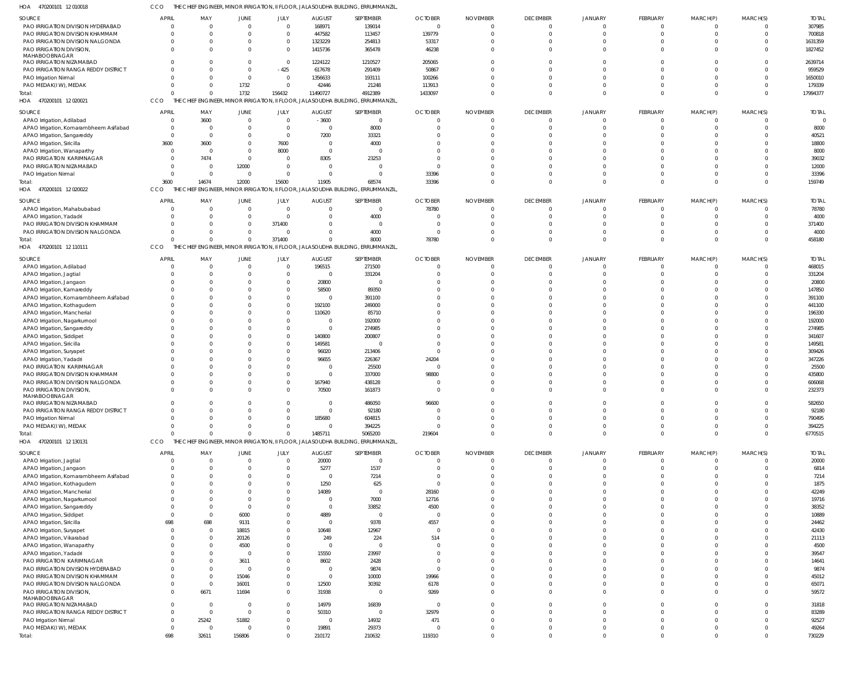470200101 12 010018 HOA CCO THE CHIEF ENGINEER, MINOR IRRIGATION, II FLOOR, JALASOUDHA BUILDING, ERRUMMANZIL,

| SOURCE                                 | <b>APRIL</b>   | MAY            | JUNE           | JULY           | <b>AUGUST</b> | SEPTEMBER                                                                        | <b>OCTOBER</b> | <b>NOVEMBER</b> | <b>DECEMBER</b> | <b>JANUARY</b> | FEBRUARY        | MARCH(P) | MARCH(S)     | <b>TOTAL</b> |
|----------------------------------------|----------------|----------------|----------------|----------------|---------------|----------------------------------------------------------------------------------|----------------|-----------------|-----------------|----------------|-----------------|----------|--------------|--------------|
| PAO IRRIGATION DIVISION HYDERABAD      | $\Omega$       | $\Omega$       | $\mathbf 0$    | $\overline{0}$ | 168971        | 139014                                                                           | $\mathbf 0$    | $\overline{0}$  | $\Omega$        |                | $\Omega$        | $\Omega$ | $\Omega$     | 307985       |
| PAO IRRIGATION DIVISION KHAMMAM        |                | $\Omega$       | $\Omega$       | $\overline{0}$ | 447582        | 113457                                                                           | 139779         | $\Omega$        | $\Omega$        |                |                 | $\Omega$ | $\Omega$     | 700818       |
| PAO IRRIGATION DIVISION NALGONDA       |                | $\Omega$       |                | $\overline{0}$ | 1323229       | 254813                                                                           | 53317          | $\Omega$        | $\Omega$        |                |                 |          | $\Omega$     | 1631359      |
|                                        |                |                |                |                |               |                                                                                  |                |                 |                 |                |                 |          |              |              |
| PAO IRRIGATION DIVISION,               |                | $\Omega$       |                | $\Omega$       | 1415736       | 365478                                                                           | 46238          | $\Omega$        | $\Omega$        |                |                 |          | $\Omega$     | 1827452      |
| MAHABOOBNAGAR                          |                |                |                |                |               |                                                                                  |                |                 |                 |                |                 |          |              |              |
| PAO IRRIGATION NIZAMABAD               |                |                |                | $\overline{0}$ | 1224122       | 1210527                                                                          | 205065         | $\Omega$        |                 |                |                 |          | $\Omega$     | 2639714      |
| PAO IRRIGATION RANGA REDDY DISTRICT    |                | $\Omega$       | $\Omega$       | $-425$         | 617678        | 291409                                                                           | 50867          | $\Omega$        | $\Omega$        |                |                 |          | $\Omega$     | 959529       |
| PAO Irrigation Nirmal                  |                | $\Omega$       | $\mathbf 0$    | $\overline{0}$ | 1356633       | 193111                                                                           | 100266         | $\mathcal{L}$   | $\Omega$        |                |                 |          | $\Omega$     | 1650010      |
| PAO MEDAK(IW), MEDAK                   |                | $\Omega$       | 1732           | $\overline{0}$ | 42446         | 21248                                                                            | 113913         | $\Omega$        | $\Omega$        | $\Omega$       |                 |          | $\Omega$     | 179339       |
| Total:                                 |                | $\Omega$       | 1732           | 156432         | 11490727      | 4912389                                                                          | 1433097        | $\Omega$        | $\Omega$        | $\Omega$       | $\Omega$        | $\Omega$ | $\Omega$     | 17994377     |
|                                        |                |                |                |                |               |                                                                                  |                |                 |                 |                |                 |          |              |              |
| HOA 470200101 12 020021                | CCO            |                |                |                |               | THE CHIEF ENGINEER, MINOR IRRIGATION, II FLOOR, JALASOUDHA BUILDING, ERRUMMANZIL |                |                 |                 |                |                 |          |              |              |
| SOURCE                                 | <b>APRI</b>    | MAY            | <b>JUNE</b>    | JULY           | <b>AUGUST</b> | SEPTEMBER                                                                        | <b>OCTOBER</b> | <b>NOVEMBER</b> | <b>DECEMBER</b> | <b>JANUARY</b> | FEBRUARY        | MARCH(P) | MARCH(S)     | <b>TOTAL</b> |
|                                        |                |                |                |                |               |                                                                                  |                |                 |                 |                |                 |          |              |              |
| APAO Irrigation, Adilabad              | $\Omega$       | 3600           | $\mathbf 0$    | $\overline{0}$ | $-3600$       | $\overline{0}$                                                                   |                | $\Omega$        | $\Omega$        |                |                 |          |              |              |
| APAO Irrigation, Komarambheem Asifabad |                | $\Omega$       |                | $\overline{0}$ |               | 8000                                                                             |                | $\Omega$        | $\Omega$        |                |                 |          | $\Omega$     | 8000         |
| APAO Irrigation, Sangareddy            | $\Omega$       | $\Omega$       |                | $\overline{0}$ | 7200          | 33321                                                                            |                | $\mathcal{L}$   | $\Omega$        |                |                 |          |              | 40521        |
| APAO Irrigation, Siricilla             | 3600           | 3600           |                | 7600           |               | 4000                                                                             |                |                 |                 |                |                 |          |              | 18800        |
| APAO Irrigation, Wanaparthy            |                | $\Omega$       |                | 8000           | $\Omega$      | $\Omega$                                                                         |                |                 |                 |                |                 |          |              | 8000         |
|                                        |                |                |                |                |               |                                                                                  |                |                 |                 |                |                 |          |              |              |
| PAO IRRIGATION KARIMNAGAR              |                | 7474           | $\Omega$       | $\Omega$       | 8305          | 23253                                                                            |                | $\Omega$        |                 |                |                 |          |              | 39032        |
| PAO IRRIGATION NIZAMABAD               |                | $\Omega$       | 12000          | $\Omega$       |               | $\overline{0}$                                                                   |                |                 |                 |                |                 |          |              | 12000        |
| PAO Irrigation Nirmal                  |                | $\Omega$       | $\Omega$       | $\Omega$       |               | $\Omega$                                                                         | 33396          | $\Omega$        | $\cap$          |                |                 |          |              | 33396        |
| Total:                                 | 3600           | 14674          | 12000          | 15600          | 11905         | 68574                                                                            | 33396          | $\Omega$        | $\cap$          | $\Omega$       |                 |          | $\Omega$     | 159749       |
| 470200101 12 020022<br>HOA             | CCO            |                |                |                |               | THE CHIEF ENGINEER, MINOR IRRIGATION, II FLOOR, JALASOUDHA BUILDING, ERRUMMANZIL |                |                 |                 |                |                 |          |              |              |
|                                        |                |                |                |                |               |                                                                                  |                |                 |                 |                |                 |          |              |              |
| SOURCE                                 | <b>APRIL</b>   | MAY            | <b>JUNE</b>    | JULY           | <b>AUGUST</b> | SEPTEMBER                                                                        | <b>OCTOBER</b> | <b>NOVEMBER</b> | <b>DECEMBER</b> | <b>JANUARY</b> | <b>FEBRUARY</b> | MARCH(P) | MARCH(S)     | <b>TOTAL</b> |
| APAO Irrigation, Mahabubabad           | - 0            | $\Omega$       | $\mathbf 0$    | $\overline{0}$ | $\Omega$      | $\overline{0}$                                                                   | 78780          | $\Omega$        | $\Omega$        |                |                 | $\Omega$ | $\Omega$     | 78780        |
|                                        |                |                |                |                |               |                                                                                  |                |                 |                 |                |                 |          |              |              |
| APAO Irrigation, Yadadri               |                | $\Omega$       | $\Omega$       | $\Omega$       |               | 4000                                                                             | $\Omega$       | $\mathcal{L}$   | $\Omega$        |                |                 |          | $\Omega$     | 4000         |
| PAO IRRIGATION DIVISION KHAMMAM        |                | $\Omega$       | $\Omega$       | 371400         |               | $\overline{0}$                                                                   | $\Omega$       | $\mathcal{L}$   | $\Omega$        |                |                 |          | $\Omega$     | 371400       |
| PAO IRRIGATION DIVISION NALGONDA       |                | $\Omega$       | $\mathbf 0$    | $\overline{0}$ | $\Omega$      | 4000                                                                             | - 0            | $\Omega$        | $\Omega$        |                |                 |          | $\Omega$     | 4000         |
| Total                                  |                | $\Omega$       | $\Omega$       | 371400         | $\Omega$      | 8000                                                                             | 78780          | $\Omega$        | $\Omega$        | $\Omega$       |                 |          | $\Omega$     | 458180       |
| 470200101 12 110111                    | CCO            |                |                |                |               | THE CHIEF ENGINEER, MINOR IRRIGATION, II FLOOR, JALASOUDHA BUILDING, ERRUMMANZIL |                |                 |                 |                |                 |          |              |              |
| HOA                                    |                |                |                |                |               |                                                                                  |                |                 |                 |                |                 |          |              |              |
| SOURCE                                 | <b>APRIL</b>   | MAY            | <b>JUNE</b>    | JULY           | <b>AUGUST</b> | SEPTEMBER                                                                        | <b>OCTOBER</b> | <b>NOVEMBER</b> | <b>DECEMBER</b> | <b>JANUARY</b> | FEBRUARY        | MARCH(P) | MARCH(S)     | <b>TOTAL</b> |
| APAO Irrigation, Adilabad              |                | $\Omega$       | $\Omega$       | $\overline{0}$ | 196515        | 271500                                                                           | $\Omega$       | $\Omega$        | $\Omega$        |                |                 |          | $\Omega$     | 468015       |
|                                        |                |                |                |                |               |                                                                                  |                |                 |                 |                |                 |          |              |              |
| APAO Irrigation, Jagtial               |                | $\Omega$       | 0              | $\Omega$       | $\Omega$      | 331204                                                                           |                | $\mathcal{L}$   | $\Omega$        |                |                 |          | $\Omega$     | 331204       |
| APAO Irrigation, Jangaon               |                | $\Omega$       |                | $\Omega$       | 20800         | $\overline{0}$                                                                   |                | $\mathcal{L}$   | $\Omega$        |                |                 |          |              | 20800        |
| APAO Irrigation, Kamareddy             |                | <sup>0</sup>   |                | $\Omega$       | 58500         | 89350                                                                            |                | $\Omega$        | $\cap$          |                |                 |          |              | 147850       |
| APAO Irrigation, Komarambheem Asifabad |                |                |                | $\Omega$       |               | 391100                                                                           |                |                 |                 |                |                 |          |              | 391100       |
|                                        |                |                |                | $\Omega$       |               |                                                                                  |                |                 |                 |                |                 |          |              |              |
| APAO Irrigation, Kothagudem            |                |                |                |                | 192100        | 249000                                                                           |                |                 |                 |                |                 |          |              | 441100       |
| APAO Irrigation, Mancherial            |                |                |                | $\Omega$       | 110620        | 85710                                                                            |                | $\Omega$        | $\cap$          |                |                 |          |              | 196330       |
| APAO Irrigation, Nagarkurnool          |                |                |                | $\Omega$       |               | 192000                                                                           |                | $\mathcal{L}$   |                 |                |                 |          |              | 192000       |
| APAO Irrigation, Sangareddy            |                |                |                | $\Omega$       |               | 274985                                                                           |                |                 |                 |                |                 |          |              | 274985       |
| APAO Irrigation, Siddipet              |                |                |                | $\Omega$       | 140800        | 200807                                                                           |                |                 | $\cap$          |                |                 |          |              | 341607       |
|                                        |                |                |                |                |               |                                                                                  |                |                 |                 |                |                 |          |              |              |
| APAO Irrigation, Siricilla             |                |                |                | $\Omega$       | 149581        | $\overline{0}$                                                                   |                | $\Omega$        |                 |                |                 |          |              | 149581       |
| APAO Irrigation, Suryapet              |                |                |                | $\Omega$       | 96020         | 213406                                                                           |                |                 |                 |                |                 |          |              | 309426       |
| APAO Irrigation, Yadadri               |                |                |                | $\Omega$       | 96655         | 226367                                                                           | 24204          |                 |                 |                |                 |          |              | 347226       |
| PAO IRRIGATION KARIMNAGAR              |                |                |                | $\Omega$       |               | 25500                                                                            | $\mathcal{L}$  |                 |                 |                |                 |          |              | 25500        |
| PAO IRRIGATION DIVISION KHAMMAM        |                |                |                | $\Omega$       | $\Omega$      | 337000                                                                           | 98800          |                 |                 |                |                 |          |              | 435800       |
|                                        |                |                |                |                |               |                                                                                  |                |                 |                 |                |                 |          |              |              |
| PAO IRRIGATION DIVISION NALGONDA       |                |                |                | $\Omega$       | 167940        | 438128                                                                           |                |                 | $\cap$          |                |                 |          |              | 606068       |
| PAO IRRIGATION DIVISION,               |                | $\Omega$       | $\Omega$       | $\Omega$       | 70500         | 161873                                                                           | $\Omega$       | $\Omega$        | $\Omega$        |                |                 |          | $\Omega$     | 232373       |
| MAHABOOBNAGAR                          |                |                |                |                |               |                                                                                  |                |                 |                 |                |                 |          |              |              |
| PAO IRRIGATION NIZAMABAD               |                | $\Omega$       | 0              | $\Omega$       | $\Omega$      | 486050                                                                           | 96600          | 0               |                 |                |                 |          | $\Omega$     | 582650       |
| PAO IRRIGATION RANGA REDDY DISTRICT    |                | $\Omega$       | $\Omega$       | $\Omega$       | $\Omega$      | 92180                                                                            | 0              | $\mathbf 0$     | $\Omega$        | $\Omega$       | $\Omega$        | $\Omega$ | $\Omega$     | 92180        |
| PAO Irrigation Nirmal                  |                | $\Omega$       | 0              | $\Omega$       | 185680        | 604815                                                                           | $\Omega$       | $\Omega$        | $\Omega$        | $\Omega$       | $\Omega$        | $\Omega$ | $\Omega$     | 790495       |
|                                        |                | $\Omega$       | $\Omega$       | $\Omega$       |               |                                                                                  | $\Omega$       |                 | $\Omega$        | $\Omega$       |                 |          | $\Omega$     |              |
| PAO MEDAK(IW), MEDAK                   |                |                |                |                |               | 394225                                                                           |                | $\mathbf 0$     |                 |                |                 |          |              | 394225       |
| Total:                                 |                | $\Omega$       | $\Omega$       | $\Omega$       | 1485711       | 5065200                                                                          | 219604         | $\Omega$        | $\Omega$        | $\Omega$       | $\Omega$        | $\Omega$ | $\Omega$     | 6770515      |
| 470200101 12 130131<br>HOA             | CCO            |                |                |                |               | THE CHIEF ENGINEER, MINOR IRRIGATION, II FLOOR, JALASOUDHA BUILDING, ERRUMMANZIL |                |                 |                 |                |                 |          |              |              |
|                                        |                |                |                |                |               |                                                                                  |                |                 |                 |                |                 |          |              |              |
| SOURCE                                 | <b>APRIL</b>   | MAY            | <b>JUNE</b>    | JULY           | <b>AUGUST</b> | SEPTEMBER                                                                        | <b>OCTOBER</b> | <b>NOVEMBER</b> | <b>DECEMBER</b> | <b>JANUARY</b> | FEBRUARY        | MARCH(P) | MARCH(S)     | <b>TOTAL</b> |
| APAO Irrigation, Jagtial               | $\Omega$       | $\Omega$       | $\mathbf 0$    | $\overline{0}$ | 20000         | $\overline{0}$                                                                   | 0              | $\overline{0}$  | $\Omega$        | $\Omega$       | $\mathbf 0$     | $\Omega$ | $\mathbf{0}$ | 20000        |
| APAO Irrigation, Jangaon               | $\Omega$       | $\Omega$       | $\Omega$       | $\overline{0}$ | 5277          | 1537                                                                             | 0              | $\Omega$        | $\Omega$        | $\Omega$       |                 | $\Omega$ | $\Omega$     | 6814         |
| APAO Irrigation, Komarambheem Asifabad | $\Omega$       | $\Omega$       | $\Omega$       | $\Omega$       | $\Omega$      | 7214                                                                             | - 0            | $\Omega$        | $\Omega$        | $\Omega$       |                 | $\Omega$ | $\Omega$     | 7214         |
| APAO Irrigation, Kothagudem            |                | $\Omega$       |                | $\Omega$       | 1250          | 625                                                                              | $\overline{0}$ | $\Omega$        | $\Omega$        | $\Omega$       |                 | $\Omega$ | $\Omega$     | 1875         |
|                                        |                | $\Omega$       |                | $\Omega$       |               |                                                                                  |                |                 |                 |                |                 |          | $\Omega$     |              |
| APAO Irrigation, Mancherial            |                |                |                |                | 14089         | $\overline{0}$                                                                   | 28160          | $\Omega$        | $\Omega$        | $\Omega$       |                 | $\Omega$ |              | 42249        |
| APAO Irrigation, Nagarkurnool          |                | $\Omega$       | 0              | $\Omega$       | $\Omega$      | 7000                                                                             | 12716          | $\Omega$        | $\Omega$        | $\Omega$       |                 |          | $\Omega$     | 19716        |
| APAO Irrigation, Sangareddy            | $\Omega$       | $\Omega$       | $\Omega$       | $\Omega$       | $\Omega$      | 33852                                                                            | 4500           | $\Omega$        | $\Omega$        | $\Omega$       |                 |          | $\Omega$     | 38352        |
| APAO Irrigation, Siddipet              | $\Omega$       | $\mathbf{0}$   | 6000           | $\Omega$       | 4889          | $\overline{0}$                                                                   | $\mathbf 0$    | $\Omega$        | $\Omega$        | $\Omega$       |                 |          | $\Omega$     | 10889        |
| APAO Irrigation, Siricilla             | 698            | 698            | 9131           | $\overline{0}$ | $\Omega$      | 9378                                                                             | 4557           | $\Omega$        | $\Omega$        | $\Omega$       |                 | $\Omega$ | $\Omega$     | 24462        |
|                                        |                |                |                |                |               |                                                                                  |                |                 | $\Omega$        | $\Omega$       |                 |          | $\Omega$     |              |
| APAO Irrigation, Suryapet              | $\Omega$       | $\Omega$       | 18815          | $\overline{0}$ | 10648         | 12967                                                                            | $\mathbf 0$    | $\Omega$        |                 |                |                 |          |              | 42430        |
| APAO Irrigation, Vikarabad             | $\Omega$       | $\Omega$       | 20126          | $\overline{0}$ | 249           | 224                                                                              | 514            | $\Omega$        | $\Omega$        | $\Omega$       |                 |          | $\Omega$     | 21113        |
| APAO Irrigation, Wanaparthy            |                | $\Omega$       | 4500           | $\overline{0}$ | $\Omega$      | $\overline{0}$                                                                   | $\overline{0}$ | $\Omega$        | $\Omega$        | $\Omega$       |                 |          | $\Omega$     | 4500         |
| APAO Irrigation, Yadadri               |                | $\Omega$       | $\overline{0}$ | $\overline{0}$ | 15550         | 23997                                                                            | $\Omega$       | $\Omega$        | $\Omega$        | $\Omega$       |                 | $\Omega$ | $\Omega$     | 39547        |
| PAO IRRIGATION KARIMNAGAR              |                | $\Omega$       | 3611           | $\overline{0}$ | 8602          | 2428                                                                             | $\Omega$       | $\Omega$        | $\Omega$        | $\Omega$       |                 |          | $\Omega$     | 14641        |
|                                        |                |                |                |                |               |                                                                                  |                |                 |                 |                |                 |          |              |              |
| PAO IRRIGATION DIVISION HYDERABAD      | $\Omega$       | $\Omega$       | $\Omega$       | $\overline{0}$ | $\Omega$      | 9874                                                                             | $\Omega$       | $\Omega$        | $\Omega$        | $\Omega$       |                 | $\cap$   | $\Omega$     | 9874         |
| PAO IRRIGATION DIVISION KHAMMAM        | $\Omega$       | $\Omega$       | 15046          | $\overline{0}$ | $\Omega$      | 10000                                                                            | 19966          | $\Omega$        | $\Omega$        | $\Omega$       |                 | $\Omega$ | $\Omega$     | 45012        |
| PAO IRRIGATION DIVISION NALGONDA       | $\Omega$       | $\overline{0}$ | 16001          | $\mathbf 0$    | 12500         | 30392                                                                            | 6178           | $\Omega$        | $\Omega$        | $\Omega$       | $\Omega$        | $\Omega$ | $\Omega$     | 65071        |
| PAO IRRIGATION DIVISION,               | $\Omega$       | 6671           | 11694          | $\mathbf 0$    | 31938         | $\overline{0}$                                                                   | 9269           | $\Omega$        | $\Omega$        | $\Omega$       | $\Omega$        | $\Omega$ | $\Omega$     | 59572        |
| MAHABOOBNAGAR                          |                |                |                |                |               |                                                                                  |                |                 |                 |                |                 |          |              |              |
| PAO IRRIGATION NIZAMABAD               | $\Omega$       | $\overline{0}$ | $\Omega$       | $\mathbf 0$    | 14979         | 16839                                                                            | - 0            | $\Omega$        | $\Omega$        | $\Omega$       | $\Omega$        | $\Omega$ | $\Omega$     | 31818        |
| PAO IRRIGATION RANGA REDDY DISTRICT    | $\Omega$       | $\overline{0}$ | $\Omega$       | $\overline{0}$ | 50310         | $\overline{0}$                                                                   | 32979          | $\Omega$        | $\Omega$        | $\Omega$       |                 | $\Omega$ | $\Omega$     | 83289        |
|                                        |                |                |                |                |               |                                                                                  |                |                 |                 |                |                 |          |              |              |
| PAO Irrigation Nirmal                  | $\Omega$       | 25242          | 51882          | $\overline{0}$ | $\Omega$      | 14932                                                                            | 471            | $\Omega$        | $\Omega$        | $\Omega$       | $\Omega$        | $\Omega$ | $\Omega$     | 92527        |
| PAO MEDAK(IW), MEDAK                   | $\overline{0}$ | $\overline{0}$ | $\Omega$       | $\overline{0}$ | 19891         | 29373                                                                            | - 0            | $\mathbf 0$     | $\Omega$        | $\Omega$       | $\Omega$        | $\Omega$ | $\Omega$     | 49264        |
| Total:                                 | 698            | 32611          | 156806         | $\mathbf 0$    | 210172        | 210632                                                                           | 119310         | $\Omega$        | $\Omega$        | $\Omega$       |                 | $\Omega$ | $\Omega$     | 730229       |
|                                        |                |                |                |                |               |                                                                                  |                |                 |                 |                |                 |          |              |              |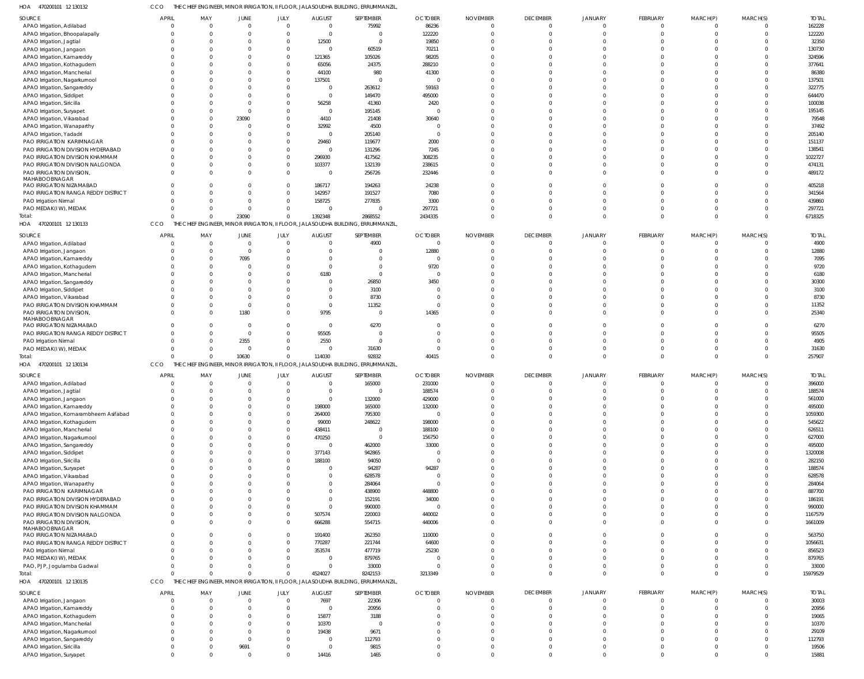470200101 12 130132 HOA CCO THE CHIEF ENGINEER, MINOR IRRIGATION, II FLOOR, JALASOUDHA BUILDING, ERRUMMANZIL,

| SOURCE                                                       | <b>APRIL</b>         | MAY                  | JUNE         | JULY     | <b>AUGUST</b>            | SEPTEMBER                                                                         | <b>OCTOBER</b>          | <b>NOVEMBER</b>      | <b>DECEMBER</b>               | <b>JANUARY</b>               | FEBRUARY | MARCH(P)  | MARCH(S)             | <b>TOTAL</b>       |
|--------------------------------------------------------------|----------------------|----------------------|--------------|----------|--------------------------|-----------------------------------------------------------------------------------|-------------------------|----------------------|-------------------------------|------------------------------|----------|-----------|----------------------|--------------------|
| APAO Irrigation, Adilabad                                    | $\Omega$             | $\overline{0}$       | $\mathsf{C}$ | $\Omega$ | $\overline{0}$           | 75992                                                                             | 86236                   | $\mathbf 0$          | $\mathbf{0}$                  | $\overline{0}$               | $\Omega$ | - 0       | $\mathbf 0$          | 162228             |
| APAO Irrigation, Bhoopalapally                               | $\Omega$             | 0                    |              |          | $\overline{0}$           | $\Omega$                                                                          | 122220                  |                      | $\overline{0}$                | $\overline{0}$               |          |           | $\Omega$             | 122220             |
| APAO Irrigation, Jagtial                                     |                      | $\Omega$             |              |          | 12500<br>$\overline{0}$  | $\Omega$                                                                          | 19850                   |                      | $\overline{0}$                | $\Omega$<br>$\Omega$         |          |           |                      | 32350              |
| APAO Irrigation, Jangaon                                     |                      | $\Omega$<br>$\Omega$ |              |          | 121365                   | 60519<br>105026                                                                   | 70211<br>98205          |                      | $\mathbf 0$<br>$\Omega$       | $\Omega$                     |          |           |                      | 130730<br>324596   |
| APAO Irrigation, Kamareddy<br>APAO Irrigation, Kothagudem    | $\Omega$             | $\Omega$             |              |          | 65056                    | 24375                                                                             | 288210                  |                      | $\mathbf 0$                   | $\Omega$                     |          |           |                      | 377641             |
| APAO Irrigation, Mancherial                                  |                      | C                    |              |          | 44100                    | 980                                                                               | 41300                   |                      | $\mathbf 0$                   | $\Omega$                     |          |           |                      | 86380              |
| APAO Irrigation, Nagarkurnool                                |                      | $\Omega$             |              |          | 137501                   | $\Omega$                                                                          | $\overline{0}$          |                      | $\Omega$                      | $\Omega$                     |          |           |                      | 137501             |
| APAO Irrigation, Sangareddy                                  |                      | C                    |              |          | $\overline{0}$           | 263612                                                                            | 59163                   |                      | $\mathbf 0$                   | $\Omega$                     |          |           |                      | 322775             |
| APAO Irrigation, Siddipet                                    |                      | $\Omega$             |              |          | $\overline{0}$           | 149470                                                                            | 495000                  |                      | $\mathbf 0$                   | $\Omega$                     |          |           |                      | 644470             |
| APAO Irrigation, Siricilla                                   |                      | C                    |              |          | 56258                    | 41360                                                                             | 2420                    |                      | $\mathbf 0$                   | $\Omega$                     |          |           |                      | 100038             |
| APAO Irrigation, Suryapet                                    |                      | $\Omega$             |              |          | $\overline{0}$           | 195145                                                                            | $\overline{0}$          |                      | $\mathbf 0$                   | $\Omega$                     |          |           |                      | 195145             |
| APAO Irrigation, Vikarabad                                   |                      | $\Omega$             | 23090        |          | 4410                     | 21408                                                                             | 30640                   |                      | $\Omega$                      | $\Omega$                     |          |           |                      | 79548              |
| APAO Irrigation, Wanaparthy                                  | $\Omega$             | $\Omega$             |              |          | 32992                    | 4500                                                                              | $\overline{0}$          |                      | $\mathbf 0$                   | $\Omega$                     |          |           |                      | 37492              |
| APAO Irrigation, Yadadri                                     |                      | C                    |              |          | $\overline{0}$           | 205140                                                                            | $\overline{0}$          |                      | $\mathbf 0$                   | $\Omega$                     |          |           |                      | 205140             |
| PAO IRRIGATION KARIMNAGAR                                    |                      | $\Omega$             |              |          | 29460                    | 119677                                                                            | 2000                    |                      | $\Omega$                      | $\Omega$                     |          |           |                      | 151137             |
| PAO IRRIGATION DIVISION HYDERABAD                            |                      | C                    |              |          | $\overline{0}$           | 131296                                                                            | 7245                    |                      | $\mathbf 0$                   | $\Omega$                     |          |           |                      | 138541             |
| PAO IRRIGATION DIVISION KHAMMAM                              | $\Omega$             | $\Omega$             |              |          | 296930                   | 417562                                                                            | 308235                  |                      | $\Omega$<br>$\mathbf 0$       | $\Omega$<br>$\Omega$         |          |           |                      | 1022727            |
| PAO IRRIGATION DIVISION NALGONDA<br>PAO IRRIGATION DIVISION, | $\Omega$             | C<br>$\Omega$        |              |          | 103377<br>$\overline{0}$ | 132139<br>256726                                                                  | 238615<br>232446        |                      | $\Omega$                      | $\Omega$                     |          |           | $\Omega$             | 474131<br>489172   |
| MAHABOOBNAGAR                                                |                      |                      |              |          |                          |                                                                                   |                         |                      |                               |                              |          |           |                      |                    |
| PAO IRRIGATION NIZAMABAD                                     | $\Omega$             | $\Omega$             |              |          | 186717                   | 194263                                                                            | 24238                   |                      | $\mathbf 0$                   | $\Omega$                     |          |           |                      | 405218             |
| PAO IRRIGATION RANGA REDDY DISTRICT                          | $\Omega$             | $\Omega$             |              |          | 142957                   | 191527                                                                            | 7080                    |                      | $\mathbf 0$                   | $\Omega$                     |          |           |                      | 341564             |
| PAO Irrigation Nirmal                                        | $\Omega$             | $\Omega$             |              |          | 158725                   | 277835                                                                            | 3300                    |                      | $\mathbf 0$                   | $\Omega$                     |          |           |                      | 439860             |
| PAO MEDAK(IW), MEDAK                                         | $\Omega$             | $\Omega$             |              |          | $\Omega$                 | $\Omega$                                                                          | 297721                  |                      | $\mathbf 0$                   | $\Omega$                     |          |           | $\Omega$             | 297721             |
| Total:                                                       | $\Omega$             | $\Omega$             | 23090        |          | 1392348                  | 2868552                                                                           | 2434335                 | $\Omega$             | $\Omega$                      | $\Omega$                     |          |           | $\Omega$             | 6718325            |
| HOA 470200101 12 130133                                      | CCO                  |                      |              |          |                          | THE CHIEF ENGINEER, MINOR IRRIGATION, II FLOOR, JALASOUDHA BUILDING, ERRUMMANZIL, |                         |                      |                               |                              |          |           |                      |                    |
| SOURCE                                                       | <b>APRIL</b>         | MAY                  | JUNE         | JULY     | <b>AUGUST</b>            | SEPTEMBER                                                                         | <b>OCTOBER</b>          | <b>NOVEMBER</b>      | <b>DECEMBER</b>               | JANUARY                      | FEBRUARY | MARCH(P)  | MARCH(S)             | <b>TOTAL</b>       |
| APAO Irrigation, Adilabad                                    | $\Omega$             | $\overline{0}$       | - 0          | $\Omega$ | $\overline{0}$           | 4900                                                                              | $\overline{0}$          | $\Omega$             | $\mathbf 0$                   | $\Omega$                     | $\Omega$ | $\bigcap$ |                      | 4900               |
| APAO Irrigation, Jangaon                                     | $\Omega$             | $\Omega$             | $\Omega$     |          | $\overline{0}$           | $\Omega$                                                                          | 12880                   | $\Omega$             | $\overline{0}$                | $\Omega$                     | $\Omega$ |           | $\Omega$             | 12880              |
| APAO Irrigation, Kamareddy                                   |                      | $\Omega$             | 7095         |          | $\overline{0}$           | $\Omega$                                                                          | $\overline{0}$          |                      | $\Omega$                      | $\Omega$                     |          |           |                      | 7095               |
| APAO Irrigation, Kothagudem                                  |                      | $\Omega$             |              |          | $\overline{0}$           | $\Omega$                                                                          | 9720                    |                      | $\Omega$                      | $\Omega$                     |          |           |                      | 9720               |
| APAO Irrigation, Mancherial                                  |                      | $\Omega$             |              |          | 6180                     | $\Omega$                                                                          | $\overline{0}$          |                      | $\Omega$                      | $\Omega$                     |          |           |                      | 6180               |
| APAO Irrigation, Sangareddy                                  |                      | $\Omega$             |              |          | $\overline{0}$           | 26850                                                                             | 3450                    |                      | $\Omega$                      | $\Omega$                     |          |           |                      | 30300              |
| APAO Irrigation, Siddipet                                    |                      | $\Omega$             |              |          | $\overline{0}$           | 3100                                                                              | $\overline{0}$          |                      | $\Omega$                      | $\Omega$                     |          |           |                      | 3100               |
| APAO Irrigation, Vikarabad                                   |                      | $\Omega$             |              |          | $\overline{0}$           | 8730                                                                              | $\overline{0}$          |                      | $\Omega$                      | $\Omega$                     |          |           |                      | 8730               |
| PAO IRRIGATION DIVISION KHAMMAM                              |                      | $\Omega$             | $^{\circ}$   |          | $\overline{0}$           | 11352                                                                             | $\overline{0}$          |                      | $\Omega$                      | $\Omega$                     |          |           |                      | 11352              |
| PAO IRRIGATION DIVISION,                                     | $\Omega$             | $\Omega$             | 1180         | $\Omega$ | 9795                     | $\Omega$                                                                          | 14365                   |                      | $\Omega$                      | $\Omega$                     |          |           | $\Omega$             | 25340              |
| MAHABOOBNAGAR<br>PAO IRRIGATION NIZAMABAD                    |                      | $\Omega$             |              |          | $\overline{0}$           | 6270                                                                              | $\overline{0}$          |                      | $\mathbf 0$                   | $\Omega$                     |          |           |                      | 6270               |
| PAO IRRIGATION RANGA REDDY DISTRICT                          | $\Omega$             | $\Omega$             | $\Omega$     | $\Omega$ | 95505                    | $\Omega$                                                                          | $\Omega$                |                      | $\mathbf 0$                   | $\Omega$                     |          |           |                      | 95505              |
| PAO Irrigation Nirmal                                        | $\Omega$             | $\Omega$             | 2355         | $\Omega$ | 2550                     | $\Omega$                                                                          | $\Omega$                |                      | $\Omega$                      | $\Omega$                     |          |           |                      | 4905               |
| PAO MEDAK(IW), MEDAK                                         | $\Omega$             | $\Omega$             | $\mathsf{C}$ | $\Omega$ | $\Omega$                 | 31630                                                                             | $\Omega$                |                      | $\mathbf 0$                   | $\Omega$                     |          |           |                      | 31630              |
| Total:                                                       | $\Omega$             | $\Omega$             | 10630        | $\Omega$ | 114030                   | 92832                                                                             | 40415                   | $\Omega$             | $\Omega$                      | $\Omega$                     | $\cap$   | $\cap$    | $\Omega$             | 257907             |
| HOA 470200101 12 130134                                      | CCO                  |                      |              |          |                          | THE CHIEF ENGINEER, MINOR IRRIGATION, II FLOOR, JALASOUDHA BUILDING, ERRUMMANZIL, |                         |                      |                               |                              |          |           |                      |                    |
| SOURCE                                                       | <b>APRIL</b>         | MAY                  | JUNE         | JULY     | <b>AUGUST</b>            | SEPTEMBER                                                                         | <b>OCTOBER</b>          | <b>NOVEMBER</b>      | <b>DECEMBER</b>               | JANUARY                      | FEBRUARY |           | MARCH(S)             | <b>TOTAL</b>       |
| APAO Irrigation, Adilabad                                    | $\overline{0}$       | 0                    |              |          | $\overline{0}$           | 165000                                                                            | 231000                  | $\Omega$             | $\mathbf 0$                   | $\Omega$                     |          | MARCH(P)  |                      | 396000             |
| APAO Irrigation, Jagtial                                     | $\Omega$             | $\Omega$             | $\Omega$     | $\Omega$ | $\overline{0}$           | $\mathbf{0}$                                                                      | 188574                  | $\Omega$             | $\overline{0}$                | $\mathbf 0$                  | $\Omega$ | $\Omega$  | $\Omega$             | 188574             |
| APAO Irrigation, Jangaon                                     |                      |                      |              |          | - 0                      | 132000                                                                            | 429000                  |                      | $\Omega$                      |                              |          |           |                      | 561000             |
| APAO Irrigation, Kamareddy                                   | $\Omega$             | $\Omega$             |              | $\Omega$ | 198000                   | 165000                                                                            | 132000                  | $\Omega$             | $\mathbf 0$                   | $\Omega$                     |          |           |                      | 495000             |
| APAO Irrigation, Komarambheem Asifabad                       | $\Omega$             | $\Omega$             |              |          | 264000                   | 795300                                                                            | $\overline{0}$          |                      | $\overline{0}$                | $\mathbf 0$                  |          |           | $\Omega$             | 1059300            |
| APAO Irrigation, Kothagudem                                  | $\Omega$             | $\Omega$             |              |          | 99000                    | 248622                                                                            | 198000                  | $\Omega$             | $\overline{0}$                | $\mathbf{0}$                 |          |           |                      | 545622             |
| APAO Irrigation, Mancherial                                  | $\Omega$             | $\Omega$             |              |          | 438411                   | $\Omega$                                                                          | 188100                  | $\Omega$             | $\mathbf 0$                   | $\mathbf{0}$                 |          |           |                      | 626511             |
| APAO Irrigation, Nagarkurnool                                | $\Omega$             | $\Omega$             |              |          | 470250                   | $\Omega$                                                                          | 156750                  | $\Omega$             | $\overline{0}$                | $\mathbf{0}$                 |          |           |                      | 627000             |
| APAO Irrigation, Sangareddy                                  | $\Omega$             | $\Omega$             |              |          | $\overline{0}$           | 462000                                                                            | 33000                   |                      | $\mathbf 0$                   | $\mathbf{0}$                 |          |           |                      | 495000             |
| APAO Irrigation, Siddipet                                    | $\Omega$             | $\Omega$             |              |          | 377143                   | 942865                                                                            | $\overline{0}$          | $\Omega$             | $\overline{0}$                | $\mathbf{0}$                 |          |           | $\Omega$             | 1320008            |
| APAO Irrigation, Siricilla                                   | $\Omega$             | $\Omega$             |              |          | 188100                   | 94050                                                                             | $\overline{0}$          |                      | $\mathbf 0$                   | $\mathbf{0}$                 |          |           |                      | 282150             |
| APAO Irrigation, Suryapet                                    | $\Omega$             | $\Omega$             |              |          | $\overline{0}$           | 94287                                                                             | 94287                   | $\Omega$             | $\overline{0}$                | $\mathbf{0}$                 |          |           |                      | 188574             |
| APAO Irrigation, Vikarabad                                   | $\Omega$             | $\Omega$             |              |          | $\overline{0}$           | 628578                                                                            | $\overline{0}$          | $\Omega$             | $\mathbf 0$                   | $\Omega$                     |          |           |                      | 628578             |
| APAO Irrigation, Wanaparthy                                  | $\Omega$             | $\Omega$             |              |          | $\overline{0}$           | 284064                                                                            | $\overline{0}$          | $\Omega$             | $\overline{0}$                | $\mathbf{0}$                 |          |           |                      | 284064             |
| PAO IRRIGATION KARIMNAGAR                                    | $\Omega$             | $\Omega$             |              |          | $\overline{0}$           | 438900                                                                            | 448800                  | $\Omega$<br>$\Omega$ | $\Omega$                      | $\Omega$                     |          |           |                      | 887700             |
| PAO IRRIGATION DIVISION HYDERABAD                            | $\Omega$             | $\Omega$             |              |          | $\overline{0}$           | 152191                                                                            | 34000                   |                      | $\overline{0}$                | $\mathbf{0}$                 |          |           |                      | 186191             |
| PAO IRRIGATION DIVISION KHAMMAM                              | $\Omega$<br>$\Omega$ | $\Omega$<br>$\Omega$ |              |          | $\overline{0}$           | 990000                                                                            | $\overline{0}$          | $\Omega$             | $\overline{0}$                | $\mathbf{0}$<br>$\mathbf{0}$ |          |           | $\Omega$<br>$\Omega$ | 990000             |
| PAO IRRIGATION DIVISION NALGONDA<br>PAO IRRIGATION DIVISION, | $\Omega$             | $\Omega$             |              |          | 507574<br>666288         | 220003<br>554715                                                                  | 440002<br>440006        | $\Omega$             | $\overline{0}$<br>$\mathbf 0$ | $\mathbf{0}$                 |          |           | $\Omega$             | 1167579<br>1661009 |
| MAHABOOBNAGAR                                                |                      |                      |              |          |                          |                                                                                   |                         |                      |                               |                              |          |           |                      |                    |
| PAO IRRIGATION NIZAMABAD                                     | $\Omega$             | $\Omega$             |              |          | 191400                   | 262350                                                                            | 110000                  | $\Omega$             | $\overline{0}$                | $\mathbf{0}$                 | $\Omega$ |           |                      | 563750             |
| PAO IRRIGATION RANGA REDDY DISTRICT                          | $\mathbf 0$          | $\Omega$             |              |          | 770287                   | 221744                                                                            | 64600                   | $\Omega$             | $\overline{0}$                | $\mathbf{0}$                 | $\Omega$ |           | $\Omega$             | 1056631            |
| PAO Irrigation Nirmal                                        | $\Omega$             | $\Omega$             |              |          | 353574                   | 477719                                                                            | 25230                   | $\Omega$             | $\overline{0}$                | $\mathbf{0}$                 |          |           | $\Omega$             | 856523             |
| PAO MEDAK(IW), MEDAK                                         | $\Omega$             | $\Omega$             |              | $\Omega$ | $\overline{0}$           | 879765                                                                            | $\overline{0}$          | $\Omega$             | $\overline{0}$                | $\mathbf{0}$                 |          |           | $\Omega$             | 879765             |
| PAO, PJP, Jogulamba Gadwal                                   | $\Omega$             | $\Omega$             |              |          | $\overline{0}$           | 33000                                                                             | $\overline{\mathbf{0}}$ | $\Omega$             | $\overline{0}$                | $\mathbf{0}$                 |          |           | $\Omega$             | 33000              |
| Total:                                                       | $\Omega$             | C                    |              |          | 4524027                  | 8242153                                                                           | 3213349                 | $\Omega$             | $\overline{0}$                | $\overline{0}$               | $\cap$   | $\Omega$  | $\Omega$             | 15979529           |
| HOA 470200101 12 130135                                      | CCO                  | THE <b>1</b>         |              |          |                          | CHIEF ENGINEER, MINOR IRRIGATION, II FLOOR, JALASOUDHA BUILDING, ERRUMMANZIL,     |                         |                      |                               |                              |          |           |                      |                    |
| SOURCE                                                       | <b>APRIL</b>         | MAY                  | JUNE         | JULY     | <b>AUGUST</b>            | SEPTEMBER                                                                         | <b>OCTOBER</b>          | <b>NOVEMBER</b>      | <b>DECEMBER</b>               | JANUARY                      | FEBRUARY | MARCH(P)  | MARCH(S)             | <b>TOTAL</b>       |
| APAO Irrigation, Jangaon                                     | $\mathbf{0}$         | $\overline{0}$       | $\Omega$     | $\Omega$ | 7697                     | 22306                                                                             | $\overline{0}$          | $\Omega$             | $\overline{0}$                | $\Omega$                     | $\Omega$ | - 0       | $\Omega$             | 30003              |
| APAO Irrigation, Kamareddy                                   | $\Omega$             | $\overline{0}$       |              | $\Omega$ | $\overline{0}$           | 20956                                                                             | $\overline{0}$          | $\Omega$             | $\mathbf{0}$                  | $\overline{0}$               | $\Omega$ | $\Omega$  | $\Omega$             | 20956              |
| APAO Irrigation, Kothagudem                                  | $\Omega$             | $\Omega$             |              | $\Omega$ | 15877                    | 3188                                                                              | $\Omega$                | $\Omega$             | $\mathbf 0$                   | $\Omega$                     |          | $\Omega$  |                      | 19065              |
| APAO Irrigation, Mancherial                                  | $\Omega$             | $\Omega$             |              | $\Omega$ | 10370                    | $\Omega$                                                                          | $\overline{0}$          | $\Omega$             | $\mathbf 0$                   | $\Omega$                     |          |           |                      | 10370              |
| APAO Irrigation, Nagarkurnool                                | $\Omega$             | $\Omega$             |              | $\Omega$ | 19438                    | 9671                                                                              | $\Omega$                |                      | $\Omega$                      | $\Omega$                     |          | $\Omega$  |                      | 29109              |
| APAO Irrigation, Sangareddy                                  | $\Omega$             | $\Omega$             | $\Omega$     | $\Omega$ | $\overline{0}$           | 112793                                                                            | $\Omega$                | $\Omega$             | $\mathbf 0$                   | $\Omega$                     |          | $\Omega$  |                      | 112793             |
| APAO Irrigation, Siricilla                                   | $\Omega$             | $\Omega$             | 9691         |          | $\overline{0}$           | 9815                                                                              | $\Omega$                | $\Omega$             | $\mathbf 0$                   | $\mathbf{0}$                 |          | $\Omega$  |                      | 19506              |
| APAO Irrigation, Suryapet                                    | $\mathbf 0$          | $\Omega$             | $\Omega$     | $\Omega$ | 14416                    | 1465                                                                              | $\Omega$                | $\Omega$             | $\Omega$                      | $\overline{0}$               | $\Omega$ | $\Omega$  | $\Omega$             | 15881              |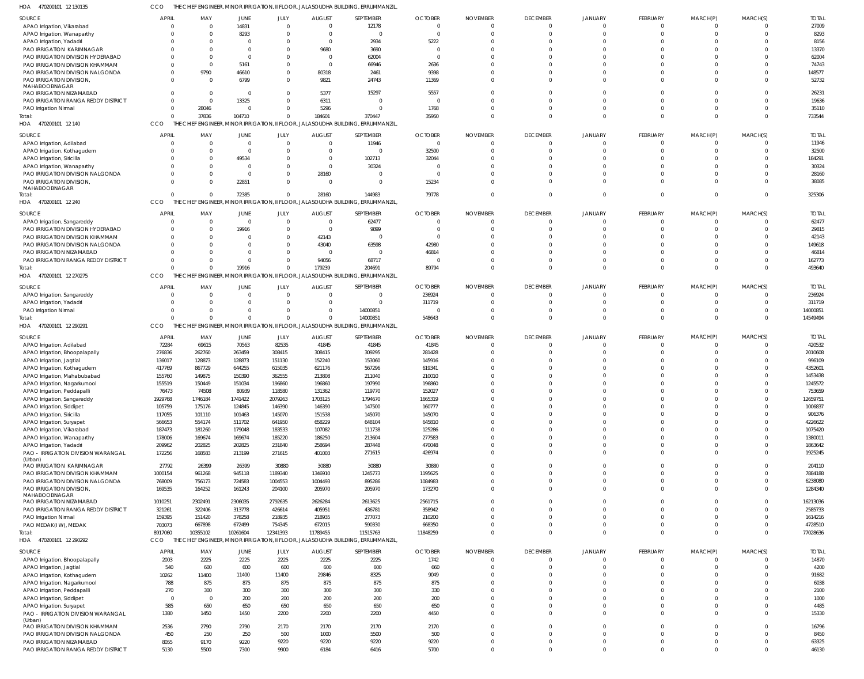| 470200101 12 130135<br>HOA                                          | CCO                   |                            |                   |                      |                   | THE CHIEF ENGINEER, MINOR IRRIGATION, II FLOOR, JALASOUDHA BUILDING, ERRUMMANZIL  |                   |                      |                      |                                  |                            |                            |                          |                     |
|---------------------------------------------------------------------|-----------------------|----------------------------|-------------------|----------------------|-------------------|-----------------------------------------------------------------------------------|-------------------|----------------------|----------------------|----------------------------------|----------------------------|----------------------------|--------------------------|---------------------|
| SOURCE                                                              | <b>APRIL</b>          | MAY                        | JUNE              | JULY                 | <b>AUGUST</b>     | <b>SEPTEMBER</b>                                                                  | <b>OCTOBER</b>    | <b>NOVEMBER</b>      | <b>DECEMBER</b>      | JANUARY                          | FEBRUARY                   | MARCH(P)                   | MARCH(S)                 | <b>TOTAL</b>        |
| APAO Irrigation, Vikarabad                                          | $\Omega$              | $\overline{0}$             | 14831             | $\overline{0}$       | $\mathsf{C}$      | 12178                                                                             | $^{\circ}$        | $\Omega$             | $\overline{0}$       | $\overline{0}$                   | $\mathbf 0$                | $\mathbf 0$                | $\overline{0}$           | 27009               |
| APAO Irrigation, Wanaparthy                                         |                       | $\Omega$                   | 8293              | $\Omega$             |                   | $\mathbf{0}$                                                                      | -0                |                      | $\Omega$             | $\Omega$                         | $\Omega$                   | $\Omega$                   | $\Omega$                 | 8293                |
| APAO Irrigation, Yadadri<br>PAO IRRIGATION KARIMNAGAR               |                       | $\Omega$<br>$\Omega$       |                   | <sup>0</sup>         | 9680              | 2934<br>3690                                                                      | 5222<br>$\Omega$  |                      | $\Omega$<br>$\Omega$ | $\cap$                           | $\Omega$<br>$\Omega$       | $\Omega$<br>$\Omega$       | $\Omega$<br>$\Omega$     | 8156<br>13370       |
| PAO IRRIGATION DIVISION HYDERABAD                                   |                       | $\Omega$                   |                   |                      |                   | 62004                                                                             | $\overline{0}$    |                      |                      | $\Omega$                         | $\Omega$                   | $\Omega$                   | $\Omega$                 | 62004               |
| PAO IRRIGATION DIVISION KHAMMAM                                     |                       | $\Omega$                   | 5161              | 0                    | - 0               | 66946                                                                             | 2636              |                      | $\Omega$             | $\Omega$                         | $\Omega$                   | $\Omega$                   | $\Omega$                 | 74743               |
| PAO IRRIGATION DIVISION NALGONDA                                    |                       | 9790                       | 46610             | 0                    | 80318             | 2461                                                                              | 9398              |                      | $\Omega$             | $\Omega$                         | $\Omega$                   | $\Omega$                   | $\Omega$                 | 148577              |
| PAO IRRIGATION DIVISION,                                            |                       | $\Omega$                   | 6799              | 0                    | 9821              | 24743                                                                             | 11369             |                      | $\Omega$             | $\Omega$                         | $\Omega$                   | $\Omega$                   | $\Omega$                 | 52732               |
| MAHABOOBNAGAR<br>PAO IRRIGATION NIZAMABAD                           |                       | $\Omega$                   | - 0               | 0                    | 5377              | 15297                                                                             | 5557              |                      | $\Omega$             | $\Omega$                         | $\Omega$                   | $\Omega$                   | $\Omega$                 | 26231               |
| PAO IRRIGATION RANGA REDDY DISTRICT                                 | $\Omega$              | $\overline{0}$             | 13325             | $\Omega$             | 6311              | $\Omega$                                                                          | - 0               |                      | $\Omega$             | $\Omega$                         | $\Omega$                   | $\Omega$                   | $\Omega$                 | 19636               |
| PAO Irrigation Nirmal                                               | $\Omega$              | 28046                      | - 0               | 0                    | 5296              | $\Omega$                                                                          | 1768              |                      | $\Omega$             | $\Omega$                         | $\mathbf 0$                | $\Omega$                   | $\Omega$                 | 35110               |
| Total:                                                              | $\Omega$              | 37836                      | 104710            |                      | 184601            | 370447                                                                            | 35950             |                      | $\Omega$             | $\Omega$                         | $\Omega$                   | $\Omega$                   | $\Omega$                 | 733544              |
| HOA 470200101 12 140                                                | CCO                   |                            |                   |                      |                   | THE CHIEF ENGINEER, MINOR IRRIGATION, II FLOOR, JALASOUDHA BUILDING, ERRUMMANZIL  |                   |                      |                      |                                  |                            |                            |                          |                     |
| SOURCE                                                              | <b>APRIL</b>          | MAY                        | JUNE              | JULY                 | <b>AUGUST</b>     | SEPTEMBER                                                                         | <b>OCTOBER</b>    | <b>NOVEMBER</b>      | <b>DECEMBER</b>      | JANUARY                          | FEBRUARY                   | MARCH(P)                   | MARCH(S)                 | <b>TOTAL</b>        |
| APAO Irrigation, Adilabad                                           |                       | $\overline{0}$             | $\Omega$          | $\Omega$             | - 0               | 11946                                                                             | $\overline{0}$    | $\Omega$             | $\Omega$<br>$\Omega$ | $\Omega$<br>$\Omega$             | $\Omega$<br>$\Omega$       | -0<br>$\Omega$             | $\Omega$<br>$\Omega$     | 11946<br>32500      |
| APAO Irrigation, Kothagudem<br>APAO Irrigation, Siricilla           |                       | $\overline{0}$<br>$\Omega$ | - 0<br>49534      | $\Omega$<br>$\Omega$ | $\Omega$          | $\overline{0}$<br>102713                                                          | 32500<br>32044    | $\Omega$             | $\Omega$             |                                  | $\Omega$                   |                            | $\Omega$                 | 184291              |
| APAO Irrigation, Wanaparthy                                         |                       | $\Omega$                   |                   | $\Omega$             | $\Omega$          | 30324                                                                             | -0                |                      | $\Omega$             | $\Omega$                         | $\Omega$                   | $\Omega$                   | $\Omega$                 | 30324               |
| PAO IRRIGATION DIVISION NALGONDA                                    |                       | $\Omega$                   | - 0               | $\Omega$             | 28160             | $\Omega$                                                                          | $\overline{0}$    |                      | $\Omega$             | $\Omega$                         | $\Omega$                   | $\Omega$                   | $\Omega$                 | 28160               |
| PAO IRRIGATION DIVISION,                                            |                       | $\Omega$                   | 22851             | $\Omega$             | $\Omega$          | $\overline{0}$                                                                    | 15234             |                      | $\Omega$             | $\Omega$                         | $\Omega$                   | $\Omega$                   | $\Omega$                 | 38085               |
| MAHABOOBNAGAR<br>Total:                                             | $\Omega$              | $\Omega$                   | 72385             | $\Omega$             | 28160             | 144983                                                                            | 79778             |                      | $\Omega$             | $\Omega$                         | $\Omega$                   | $\Omega$                   | $\Omega$                 | 325306              |
| HOA 470200101 12 240                                                | CCO                   |                            |                   |                      |                   | THE CHIEF ENGINEER, MINOR IRRIGATION, II FLOOR, JALASOUDHA BUILDING, ERRUMMANZIL  |                   |                      |                      |                                  |                            |                            |                          |                     |
| SOURCE                                                              | <b>APRIL</b>          | MAY                        | JUNE              | JULY                 | <b>AUGUST</b>     | SEPTEMBER                                                                         | <b>OCTOBER</b>    | <b>NOVEMBER</b>      | <b>DECEMBER</b>      | JANUARY                          | FEBRUARY                   | MARCH(P)                   | MARCH(S)                 | <b>TOTAL</b>        |
| APAO Irrigation, Sangareddy                                         | $\Omega$              | $\overline{0}$             | $\Omega$          | $\overline{0}$       | $\mathsf{C}$      | 62477                                                                             | $^{\circ}$        | $\Omega$             | $\overline{0}$       | $\Omega$                         | $\mathbf 0$                | 0                          | $\Omega$                 | 62477               |
| PAO IRRIGATION DIVISION HYDERABAD                                   |                       | $\overline{0}$             | 19916             | $\Omega$             |                   | 9899                                                                              | $\Omega$          |                      | $\Omega$             |                                  | $\Omega$                   | $\Omega$                   | $\Omega$                 | 29815               |
| PAO IRRIGATION DIVISION KHAMMAM                                     |                       | $\Omega$                   |                   | $\Omega$             | 42143             | $\overline{0}$                                                                    | $\Omega$          |                      | $\Omega$             |                                  | $\Omega$                   | $\Omega$                   | $\Omega$                 | 42143               |
| PAO IRRIGATION DIVISION NALGONDA                                    |                       | $\Omega$                   |                   | $\Omega$             | 43040             | 63598                                                                             | 42980             |                      |                      | $\Omega$                         | $\Omega$                   | $\Omega$                   | $\Omega$                 | 149618              |
| PAO IRRIGATION NIZAMABAD                                            | $\Omega$              | $\Omega$                   |                   | 0                    |                   | $\overline{0}$                                                                    | 46814             |                      | $\Omega$             | $\Omega$<br>$\Omega$             | $\Omega$<br>$\Omega$       | $\Omega$<br>$\Omega$       | $\Omega$<br>$\Omega$     | 46814<br>162773     |
| PAO IRRIGATION RANGA REDDY DISTRICT<br>Total:                       | $\cap$                | $\Omega$<br>$\Omega$       | 19916             | 0<br>$\Omega$        | 94056<br>179239   | 68717<br>204691                                                                   | -0<br>89794       |                      | $\Omega$             | $\Omega$                         | $\mathbf 0$                | $\mathbf 0$                | $\Omega$                 | 493640              |
| HOA 470200101 12 270275                                             | CCO                   |                            |                   |                      |                   | THE CHIEF ENGINEER, MINOR IRRIGATION, II FLOOR, JALASOUDHA BUILDING, ERRUMMANZIL  |                   |                      |                      |                                  |                            |                            |                          |                     |
| SOURCE                                                              | <b>APRIL</b>          | MAY                        | JUNE              | JULY                 | <b>AUGUST</b>     | <b>SEPTEMBER</b>                                                                  | <b>OCTOBER</b>    | <b>NOVEMBER</b>      | <b>DECEMBER</b>      | JANUARY                          | FEBRUARY                   | MARCH(P)                   | MARCH(S)                 | <b>TOTAL</b>        |
| APAO Irrigation, Sangareddy                                         |                       | $\overline{0}$             |                   | $\Omega$             | $\mathsf{C}$      | $\overline{0}$                                                                    | 236924            | $\Omega$             | $\overline{0}$       | $\Omega$                         | $\Omega$                   | $\Omega$                   | $\Omega$                 | 236924              |
| APAO Irrigation, Yadadri                                            |                       | $\Omega$                   |                   | $\Omega$             | $\Omega$          | $\Omega$                                                                          | 311719            | $\Omega$             | $\Omega$             | $\Omega$                         | $\Omega$                   | $\Omega$                   | $\Omega$                 | 311719              |
| PAO Irrigation Nirmal                                               | $\Omega$              | $\overline{0}$             |                   | 0                    |                   | 14000851                                                                          | -0                | $\Omega$             | $\Omega$             | $\Omega$                         | $\Omega$                   | $\Omega$                   | $\Omega$                 | 14000851            |
| Total:                                                              |                       | $\Omega$                   | $\Omega$          | $\Omega$             |                   | 14000851                                                                          | 548643            |                      | $\Omega$             | $\Omega$                         | $\Omega$                   | $\Omega$                   | $\Omega$                 | 14549494            |
| HOA 470200101 12 290291                                             | CCO                   |                            |                   |                      |                   | THE CHIEF ENGINEER, MINOR IRRIGATION, II FLOOR, JALASOUDHA BUILDING, ERRUMMANZIL  |                   |                      |                      |                                  |                            |                            |                          |                     |
| SOURCE                                                              | <b>APRIL</b>          | MAY                        | JUNE              | JULY                 | <b>AUGUST</b>     | SEPTEMBER                                                                         | <b>OCTOBER</b>    | <b>NOVEMBER</b>      | <b>DECEMBER</b>      | JANUARY                          | FEBRUARY                   | MARCH(P)                   | MARCH(S)                 | <b>TOTAL</b>        |
| APAO Irrigation, Adilabad                                           | 72284                 | 69615                      | 70563             | 82535                | 41845             | 41845                                                                             | 41845             | $\Omega$             | $\Omega$             | $\Omega$                         | $\mathbf 0$                | $\Omega$                   | $\Omega$                 | 420532              |
| APAO Irrigation, Bhoopalapally<br>APAO Irrigation, Jagtial          | 276836<br>136017      | 262760<br>128873           | 263459<br>128873  | 308415<br>151130     | 308415<br>152240  | 309295<br>153060                                                                  | 281428<br>145916  |                      | $\Omega$             |                                  | $\Omega$<br>$\Omega$       |                            | $\Omega$<br>$\Omega$     | 2010608<br>996109   |
| APAO Irrigation, Kothagudem                                         | 417769                | 867729                     | 644255            | 615035               | 621176            | 567296                                                                            | 619341            |                      | $\Omega$             |                                  |                            |                            | $\Omega$                 | 4352601             |
| APAO Irrigation, Mahabubabad                                        | 155760                | 149875                     | 150390            | 362555               | 213808            | 211040                                                                            | 210010            |                      |                      |                                  |                            |                            | $\Omega$                 | 1453438             |
| APAO Irrigation, Nagarkurnool                                       | 155519                | 150449                     | 151034            | 196860               | 196860            | 197990                                                                            | 196860            |                      |                      |                                  |                            |                            | $\Omega$                 | 1245572             |
| APAO Irrigation, Peddapalli                                         | 76473                 | 74508                      | 80939             | 118580               | 131362            | 119770                                                                            | 152027            | $\Omega$             | $\Omega$             | $\Omega$                         | $\mathbf 0$                | $\Omega$                   | $\Omega$                 | 753659              |
| APAO Irrigation, Sangareddy                                         | 1929768<br>105759     | 1746184<br>175176          | 1741422<br>124845 | 2079263<br>146390    | 1703125<br>146390 | 1794670<br>147500                                                                 | 1665319<br>160777 | $\Omega$<br>$\Omega$ | $\Omega$<br>$\Omega$ | $\Omega$<br>$\Omega$             | $\mathbf 0$<br>$\mathbf 0$ | $\mathbf 0$<br>$\Omega$    | $\Omega$<br>$\Omega$     | 12659751<br>1006837 |
| APAO Irrigation, Siddipet<br>APAO Irrigation, Siricilla             | 117055                | 101110                     | 101463            | 145070               | 151538            | 145070                                                                            | 145070            | $\Omega$             | $\Omega$             | $\Omega$                         | $\Omega$                   | $\Omega$                   | $\Omega$                 | 906376              |
| APAO Irrigation, Suryapet                                           | 566653                | 554174                     | 511702            | 641950               | 658229            | 648104                                                                            | 645810            | $\Omega$             | $\Omega$             | $\Omega$                         | $\Omega$                   | $\Omega$                   | $\Omega$                 | 4226622             |
| APAO Irrigation, Vikarabad                                          | 187473                | 181260                     | 179048            | 183533               | 107082            | 111738                                                                            | 125286            | $\Omega$             | $\Omega$             | $\Omega$                         | $\Omega$                   | $\Omega$                   | $\Omega$                 | 1075420             |
| APAO Irrigation, Wanaparthy                                         | 178006                | 169674                     | 169674            | 185220               | 186250            | 213604                                                                            | 277583            | $\Omega$             | $\Omega$             | $\Omega$                         | $\Omega$                   | $\Omega$                   | $\Omega$                 | 1380011             |
| APAO Irrigation, Yadadri                                            | 209962                | 202825                     | 202825            | 231840               | 258694            | 287448                                                                            | 470048            | $\Omega$             | $\Omega$             | $\overline{0}$                   | $\mathbf 0$                | $\mathbf 0$                | $\Omega$<br>$\Omega$     | 1863642             |
| PAO - IRRIGATION DIVISION WARANGAL<br>(Urban)                       | 172256                | 168583                     | 213199            | 271615               | 401003            | 271615                                                                            | 426974            | $\Omega$             | $\Omega$             | $\overline{0}$                   | $\mathbf 0$                | $\mathbf 0$                |                          | 1925245             |
| PAO IRRIGATION KARIMNAGAR                                           | 27792                 | 26399                      | 26399             | 30880                | 30880             | 30880                                                                             | 30880             | $\Omega$             | $\Omega$             | $\overline{0}$                   | $\mathbf 0$                | $\mathbf 0$                | $\Omega$                 | 204110              |
| PAO IRRIGATION DIVISION KHAMMAM                                     | 1000154               | 961268                     | 945118            | 1189340              | 1346910           | 1245773                                                                           | 1195625           | $\Omega$             | $\Omega$             | $\overline{0}$                   | $\Omega$                   | $\Omega$                   | $\Omega$                 | 7884188             |
| PAO IRRIGATION DIVISION NALGONDA<br>PAO IRRIGATION DIVISION,        | 768009<br>169535      | 756173<br>164252           | 724583<br>161243  | 1004553<br>204100    | 1004493<br>205970 | 895286<br>205970                                                                  | 1084983<br>173270 | $\Omega$<br>$\Omega$ | $\Omega$<br>$\Omega$ | $\overline{0}$<br>$\overline{0}$ | $\mathbf 0$<br>$\mathbf 0$ | $\mathbf 0$<br>$\Omega$    | $\mathbf{0}$<br>$\Omega$ | 6238080<br>1284340  |
| MAHABOOBNAGAR                                                       |                       |                            |                   |                      |                   |                                                                                   |                   |                      |                      |                                  |                            |                            |                          |                     |
| PAO IRRIGATION NIZAMABAD                                            | 1010251               | 2302491                    | 2306035           | 2792635              | 2626284           | 2613625                                                                           | 2561715           | $\Omega$             | $\overline{0}$       | $\overline{0}$                   | $\mathbf 0$                | $\mathbf 0$                | $\Omega$                 | 16213036            |
| PAO IRRIGATION RANGA REDDY DISTRICT                                 | 321261                | 322406                     | 313778            | 426614               | 405951            | 436781                                                                            | 358942            | $\Omega$             | $\Omega$<br>$\Omega$ | $\Omega$                         | $\Omega$                   | $\Omega$                   | $\Omega$<br>$\Omega$     | 2585733             |
| PAO Irrigation Nirmal<br>PAO MEDAK(IW), MEDAK                       | 159395<br>703073      | 151420<br>667898           | 378258<br>672499  | 218935<br>754345     | 218935<br>672015  | 277073<br>590330                                                                  | 210200<br>668350  | $\Omega$<br>$\Omega$ | $\Omega$             | $\overline{0}$<br>$\overline{0}$ | $\mathbf 0$<br>$\mathbf 0$ | $\mathbf 0$<br>$\mathbf 0$ | $\Omega$                 | 1614216<br>4728510  |
| Total:                                                              | 8917060               | 10355102                   | 10261604          | 12341393             | 11789455          | 11515763                                                                          | 11848259          |                      | $\Omega$             | $\Omega$                         | $\mathbf 0$                | $\mathbf 0$                | $\Omega$                 | 77028636            |
| HOA 470200101 12 290292                                             | CCO                   |                            |                   |                      |                   | THE CHIEF ENGINEER, MINOR IRRIGATION, II FLOOR, JALASOUDHA BUILDING, ERRUMMANZIL, |                   |                      |                      |                                  |                            |                            |                          |                     |
| SOURCE                                                              | <b>APRIL</b>          | MAY                        | JUNE              | JULY                 | <b>AUGUST</b>     | SEPTEMBER                                                                         | <b>OCTOBER</b>    | <b>NOVEMBER</b>      | <b>DECEMBER</b>      | <b>JANUARY</b>                   | FEBRUARY                   | MARCH(P)                   | MARCH(S)                 | <b>TOTAL</b>        |
| APAO Irrigation, Bhoopalapally                                      | 2003                  | 2225                       | 2225              | 2225                 | 2225              | 2225                                                                              | 1742              | $\Omega$             | $\Omega$             | $\Omega$                         | $\Omega$                   | $\Omega$                   | $\Omega$                 | 14870               |
| APAO Irrigation, Jagtial                                            | 540                   | 600                        | 600               | 600                  | 600               | 600                                                                               | 660               | $\Omega$             | $\Omega$             | $\Omega$                         | $\Omega$                   | $\Omega$                   | $\Omega$                 | 4200                |
| APAO Irrigation, Kothagudem                                         | 10262                 | 11400                      | 11400             | 11400                | 29846             | 8325                                                                              | 9049              | $\Omega$             | $\Omega$             | $\Omega$                         | $\Omega$                   | $\Omega$                   | $\Omega$                 | 91682               |
| APAO Irrigation, Nagarkurnool                                       | 788                   | 875                        | 875               | 875                  | 875               | 875                                                                               | 875               | $\Omega$             | $\Omega$             | $\Omega$                         | $\Omega$                   | $\Omega$                   | $\Omega$                 | 6038                |
| APAO Irrigation, Peddapalli                                         | 270<br>$\overline{0}$ | 300<br>$\overline{0}$      | 300<br>200        | 300<br>200           | 300<br>200        | 300<br>200                                                                        | 330<br>200        | $\Omega$<br>$\Omega$ | $\Omega$<br>$\Omega$ | $\Omega$<br>$\Omega$             | $\Omega$<br>$\Omega$       | $\Omega$<br>$\Omega$       | $\Omega$<br>$\Omega$     | 2100<br>1000        |
| APAO Irrigation, Siddipet<br>APAO Irrigation, Suryapet              | 585                   | 650                        | 650               | 650                  | 650               | 650                                                                               | 650               | $\Omega$             | $\Omega$             | $\overline{0}$                   | $\Omega$                   | $\Omega$                   | $\Omega$                 | 4485                |
| PAO - IRRIGATION DIVISION WARANGAL                                  | 1380                  | 1450                       | 1450              | 2200                 | 2200              | 2200                                                                              | 4450              | $\Omega$             | $\Omega$             | $\Omega$                         | $\Omega$                   | $\Omega$                   | $\Omega$                 | 15330               |
| (Urban)                                                             |                       |                            |                   |                      |                   |                                                                                   |                   |                      |                      |                                  |                            |                            |                          |                     |
| PAO IRRIGATION DIVISION KHAMMAM<br>PAO IRRIGATION DIVISION NALGONDA | 2536<br>450           | 2790<br>250                | 2790<br>250       | 2170<br>500          | 2170<br>1000      | 2170<br>5500                                                                      | 2170<br>500       | $\Omega$<br>$\Omega$ | $\Omega$<br>$\Omega$ | $\Omega$<br>$\Omega$             | $\Omega$<br>$\mathbf 0$    | $\Omega$<br>$\Omega$       | $\Omega$<br>$\Omega$     | 16796<br>8450       |
| PAO IRRIGATION NIZAMABAD                                            | 8055                  | 9170                       | 9220              | 9220                 | 9220              | 9220                                                                              | 9220              | $\Omega$             | $\overline{0}$       | $\mathbf{0}$                     | $\mathbf 0$                | $\Omega$                   | $\overline{0}$           | 63325               |
| PAO IRRIGATION RANGA REDDY DISTRICT                                 | 5130                  | 5500                       | 7300              | 9900                 | 6184              | 6416                                                                              | 5700              | $\Omega$             | $\Omega$             | $\Omega$                         | $\Omega$                   | $\Omega$                   | $\Omega$                 | 46130               |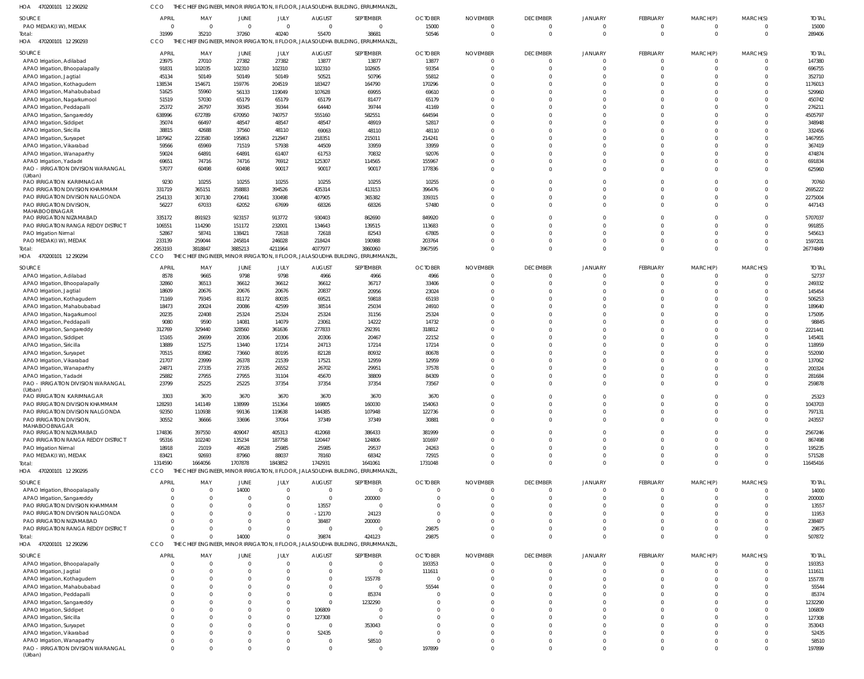470200101 12 290292 HOA CCO THE CHIEF ENGINEER, MINOR IRRIGATION, II FLOOR, JALASOUDHA BUILDING, ERRUMMANZIL,

| SOURCE                              | <b>APRIL</b> | MAY      | JUNE        | JULY           | <b>AUGUST</b>  | SEPTEMBER                                                                        | <b>OCTOBER</b> | <b>NOVEMBER</b> | <b>DECEMBER</b> | <b>JANUARY</b> | FEBRUARY       | MARCH(P) | MARCH(S)       | <b>TOTAL</b> |
|-------------------------------------|--------------|----------|-------------|----------------|----------------|----------------------------------------------------------------------------------|----------------|-----------------|-----------------|----------------|----------------|----------|----------------|--------------|
| PAO MEDAK(IW), MEDAK                | - 0          | $\Omega$ | $\Omega$    | $\overline{0}$ | $\Omega$       | $\overline{0}$                                                                   | 15000          | $\Omega$        | $\Omega$        |                | $\mathbf{0}$   |          | $\Omega$       | 15000        |
| Total:                              | 31999        | 35210    | 37260       | 40240          | 55470          | 38681                                                                            | 50546          | $\mathbf 0$     | $\Omega$        |                | $\Omega$       |          | $\overline{0}$ | 289406       |
| HOA 470200101 12 290293             | CCO          |          |             |                |                | THE CHIEF ENGINEER, MINOR IRRIGATION, II FLOOR, JALASOUDHA BUILDING, ERRUMMANZIL |                |                 |                 |                |                |          |                |              |
| SOURCE                              | APRIL        | MAY      | <b>JUNE</b> | JULY           | <b>AUGUST</b>  | SEPTEMBER                                                                        | <b>OCTOBER</b> | <b>NOVEMBER</b> | <b>DECEMBER</b> | <b>JANUARY</b> | FEBRUARY       | MARCH(P) | MARCH(S)       | <b>TOTAL</b> |
| APAO Irrigation, Adilabad           | 23975        | 27010    | 27382       | 27382          | 13877          | 13877                                                                            | 13877          | $\Omega$        | $\Omega$        |                | $\overline{0}$ |          | $\Omega$       | 147380       |
| APAO Irrigation, Bhoopalapally      | 91831        | 102035   | 102310      | 102310         | 102310         | 102605                                                                           | 93354          | $\Omega$        | $\Omega$        | $\Omega$       | $\Omega$       |          | $\overline{0}$ | 696755       |
| APAO Irrigation, Jagtial            | 45134        | 50149    | 50149       | 50149          | 50521          | 50796                                                                            | 55812          | $\Omega$        | $\Omega$        |                | $\Omega$       |          | $\Omega$       | 352710       |
| APAO Irrigation, Kothagudem         | 138534       | 154671   | 159776      | 204519         | 183427         | 164790                                                                           | 170296         | $\Omega$        |                 | $\Omega$       | $\Omega$       |          | $\Omega$       | 1176013      |
|                                     |              |          |             |                | 107628         | 69955                                                                            | 69610          | $\Omega$        |                 | $\Omega$       | $\Omega$       |          | $\Omega$       | 529960       |
| APAO Irrigation, Mahabubabad        | 51625        | 55960    | 56133       | 119049         |                |                                                                                  |                |                 |                 |                |                |          |                |              |
| APAO Irrigation, Nagarkurnool       | 51519        | 57030    | 65179       | 65179          | 65179          | 81477                                                                            | 65179          | $\Omega$        |                 | $\Omega$       | $\Omega$       |          | $\Omega$       | 450742       |
| APAO Irrigation, Peddapalli         | 25372        | 26797    | 39345       | 39344          | 64440          | 39744                                                                            | 41169          | $\Omega$        |                 | $\Omega$       | $\Omega$       |          | $\Omega$       | 276211       |
| APAO Irrigation, Sangareddy         | 638996       | 672789   | 670950      | 740757         | 555160         | 582551                                                                           | 644594         | $\Omega$        |                 | $\Omega$       | $\Omega$       |          | $\Omega$       | 4505797      |
| APAO Irrigation, Siddipet           | 35074        | 66497    | 48547       | 48547          | 48547          | 48919                                                                            | 52817          | $\Omega$        |                 | $\Omega$       | $\Omega$       |          | $\Omega$       | 348948       |
| APAO Irrigation, Siricilla          | 38815        | 42688    | 37560       | 48110          | 69063          | 48110                                                                            | 48110          | $\Omega$        | $\Omega$        | $\Omega$       | $\Omega$       |          | $\Omega$       | 332456       |
| APAO Irrigation, Suryapet           | 187962       | 223580   | 195863      | 212947         | 218351         | 215011                                                                           | 214241         | $\Omega$        |                 | $\Omega$       | $\Omega$       |          | $\Omega$       | 1467955      |
| APAO Irrigation, Vikarabad          | 59566        | 65969    | 71519       | 57938          | 44509          | 33959                                                                            | 33959          | $\Omega$        |                 | $\Omega$       | $\Omega$       |          | $\Omega$       | 367419       |
| APAO Irrigation, Wanaparthy         | 59024        | 64891    | 64891       | 61407          | 61753          | 70832                                                                            | 92076          | $\Omega$        | $\Omega$        | $\Omega$       | $\Omega$       |          | $\Omega$       | 474874       |
| APAO Irrigation, Yadadri            | 69651        | 74716    | 74716       | 76912          | 125307         | 114565                                                                           | 155967         | $\Omega$        | $\Omega$        | $\Omega$       | $\Omega$       |          | $\Omega$       | 691834       |
| PAO - IRRIGATION DIVISION WARANGAL  | 57077        | 60498    | 60498       | 90017          | 90017          | 90017                                                                            | 177836         | $\Omega$        | $\Omega$        | $\Omega$       | $\Omega$       | $\Omega$ | $\Omega$       | 625960       |
| (Urban)                             |              |          |             |                |                |                                                                                  |                |                 |                 |                |                |          |                |              |
| PAO IRRIGATION KARIMNAGAR           | 9230         | 10255    | 10255       | 10255          | 10255          | 10255                                                                            | 10255          | $\Omega$        | $\Omega$        |                | $\Omega$       |          | $\Omega$       | 70760        |
| PAO IRRIGATION DIVISION KHAMMAM     | 331719       | 365151   | 358883      | 394526         | 435314         | 413153                                                                           | 396476         | $\Omega$        | $\Omega$        | $\Omega$       | $\Omega$       |          | $\Omega$       | 2695222      |
| PAO IRRIGATION DIVISION NALGONDA    | 254133       | 307130   | 270641      | 330498         | 407905         | 365382                                                                           | 339315         | $\Omega$        | $\Omega$        | $\Omega$       | $\Omega$       |          | $\Omega$       | 2275004      |
| PAO IRRIGATION DIVISION,            | 56227        | 67033    | 62052       | 67699          | 68326          | 68326                                                                            | 57480          | $\Omega$        | $\Omega$        | $\Omega$       | $\Omega$       |          | $\Omega$       | 447143       |
| MAHABOOBNAGAR                       |              |          |             |                |                |                                                                                  |                |                 |                 |                |                |          |                |              |
| PAO IRRIGATION NIZAMABAD            | 335172       | 891923   | 923157      | 913772         | 930403         | 862690                                                                           | 849920         | $\Omega$        | $\Omega$        | $\Omega$       | $\Omega$       |          | $\Omega$       | 5707037      |
| PAO IRRIGATION RANGA REDDY DISTRICT | 106551       | 114290   | 151172      | 232001         | 134643         | 139515                                                                           | 113683         | $\Omega$        | $\Omega$        | $\Omega$       | $\Omega$       |          | $\Omega$       | 991855       |
| PAO Irrigation Nirmal               | 52867        | 58741    | 138421      | 72618          | 72618          | 82543                                                                            | 67805          | $\Omega$        | $\Omega$        | $\Omega$       | $\Omega$       |          | $\Omega$       | 545613       |
| PAO MEDAK(IW), MEDAK                | 233139       | 259044   | 245814      | 246028         | 218424         | 190988                                                                           | 203764         | $\Omega$        | $\Omega$        | $\Omega$       | $\Omega$       |          | $\overline{0}$ | 1597201      |
| Total:                              | 2953193      | 3818847  | 3885213     | 4211964        | 4077977        | 3860060                                                                          | 3967595        | $\Omega$        | $\Omega$        | $\Omega$       | $\Omega$       | $\Omega$ | $\Omega$       | 26774849     |
| 470200101 12 290294<br>HOA          | CCO          |          |             |                |                | HIEF ENGINEER, MINOR IRRIGATION, II FLOOR, JALASOUDHA BUILDING, ERRUMMANZIL      |                |                 |                 |                |                |          |                |              |
|                                     |              |          |             |                |                |                                                                                  |                |                 |                 |                |                |          |                |              |
| SOURCE                              | <b>APRIL</b> | MAY      | <b>JUNE</b> | JULY           | <b>AUGUST</b>  | SEPTEMBER                                                                        | <b>OCTOBER</b> | <b>NOVEMBER</b> | <b>DECEMBER</b> | <b>JANUARY</b> | FEBRUARY       | MARCH(P) | MARCH(S)       | <b>TOTAL</b> |
| APAO Irrigation, Adilabad           | 8578         | 9665     | 9798        | 9798           | 4966           | 4966                                                                             | 4966           | $\Omega$        | $\Omega$        |                | $\overline{0}$ |          | $\Omega$       | 52737        |
| APAO Irrigation, Bhoopalapally      | 32860        | 36513    | 36612       | 36612          | 36612          | 36717                                                                            | 33406          | $\Omega$        | $\Omega$        |                | $\Omega$       |          | $\Omega$       | 249332       |
| APAO Irrigation, Jagtial            | 18609        | 20676    | 20676       | 20676          | 20837          | 20956                                                                            | 23024          | $\Omega$        | $\Omega$        |                | $\Omega$       |          | $\Omega$       | 145454       |
| APAO Irrigation, Kothagudem         | 71169        | 79345    | 81172       | 80035          | 69521          | 59818                                                                            | 65193          | $\Omega$        |                 |                | $\Omega$       |          | $\Omega$       | 506253       |
| APAO Irrigation, Mahabubabad        | 18473        | 20024    | 20086       | 42599          | 38514          | 25034                                                                            | 24910          | $\Omega$        |                 |                |                |          | $\Omega$       | 189640       |
| APAO Irrigation, Nagarkurnool       | 20235        | 22408    | 25324       | 25324          | 25324          | 31156                                                                            | 25324          | $\Omega$        |                 |                | $\Omega$       |          | $\Omega$       | 175095       |
| APAO Irrigation, Peddapalli         | 9080         | 9590     | 14081       | 14079          | 23061          | 14222                                                                            | 14732          | $\Omega$        | $\cap$          |                | $\Omega$       |          | $\Omega$       | 98845        |
| APAO Irrigation, Sangareddy         | 312769       | 329440   | 328560      | 361636         | 277833         | 292391                                                                           | 318812         | $\Omega$        |                 |                | $\Omega$       |          | $\Omega$       | 2221441      |
| APAO Irrigation, Siddipet           | 15165        | 26699    | 20306       | 20306          | 20306          | 20467                                                                            | 22152          | $\Omega$        |                 |                |                |          | $\Omega$       | 145401       |
| APAO Irrigation, Siricilla          | 13889        | 15275    | 13440       | 17214          | 24713          | 17214                                                                            | 17214          | $\Omega$        | $\cap$          |                | $\Omega$       |          | $\Omega$       | 118959       |
| APAO Irrigation, Suryapet           | 70515        | 83982    | 73660       | 80195          | 82128          | 80932                                                                            | 80678          | $\Omega$        |                 |                |                |          | $\Omega$       | 552090       |
| APAO Irrigation, Vikarabad          | 21707        | 23999    | 26378       | 21539          | 17521          | 12959                                                                            | 12959          | $\Omega$        |                 |                | $\Omega$       |          | $\Omega$       | 137062       |
| APAO Irrigation, Wanaparthy         | 24871        | 27335    | 27335       | 26552          | 26702          | 29951                                                                            | 37578          | $\Omega$        |                 |                |                |          | $\Omega$       | 200324       |
| APAO Irrigation, Yadadri            | 25882        | 27955    | 27955       | 31104          | 45670          | 38809                                                                            | 84309          | $\Omega$        | $\Omega$        | $\Omega$       | $\Omega$       |          | $\Omega$       | 281684       |
| PAO - IRRIGATION DIVISION WARANGAL  | 23799        | 25225    | 25225       | 37354          | 37354          | 37354                                                                            | 73567          | $\Omega$        | $\Omega$        | $\cap$         | $\Omega$       |          | $\Omega$       | 259878       |
| (Urban)                             |              |          |             |                |                |                                                                                  |                |                 |                 |                |                |          |                |              |
| PAO IRRIGATION KARIMNAGAR           | 3303         | 3670     | 3670        | 3670           | 3670           | 3670                                                                             | 3670           | -0              |                 |                |                |          |                | 25323        |
| PAO IRRIGATION DIVISION KHAMMAM     | 128293       | 141149   | 138999      | 151364         | 169805         | 160030                                                                           | 154063         | $\Omega$        | $\cap$          |                | $\Omega$       |          |                | 1043703      |
| PAO IRRIGATION DIVISION NALGONDA    | 92350        | 110938   | 99136       | 119638         | 144385         | 107948                                                                           | 122736         | $\Omega$        | $\Omega$        | $\Omega$       | $\Omega$       |          | $\Omega$       | 797131       |
| PAO IRRIGATION DIVISION,            | 30552        | 36666    | 33696       | 37064          | 37349          | 37349                                                                            | 30881          | $\Omega$        | $\Omega$        | $\cap$         | $\Omega$       |          | $\Omega$       | 243557       |
| MAHABOOBNAGAR                       |              |          |             |                |                |                                                                                  |                |                 |                 |                |                |          |                |              |
| PAO IRRIGATION NIZAMABAD            | 174836       | 397550   | 409047      | 405313         | 412068         | 386433                                                                           | 381999         | $\Omega$        | $\Omega$        |                | $\Omega$       |          | $\Omega$       | 2567246      |
| PAO IRRIGATION RANGA REDDY DISTRICT | 95316        | 102240   | 135234      | 187758         | 120447         | 124806                                                                           | 101697         | $\Omega$        | $\Omega$        | $\cap$         | $\Omega$       |          | $\Omega$       | 867498       |
| PAO Irrigation Nirmal               | 18918        | 21019    | 49528       | 25985          | 25985          | 29537                                                                            | 24263          | $\Omega$        | $\Omega$        | $\Omega$       | $\Omega$       |          | $\Omega$       | 195235       |
| PAO MEDAK(IW), MEDAK                | 83421        | 92693    | 87960       | 88037          | 78160          | 68342                                                                            | 72915          | $\Omega$        | $\Omega$        | $\Omega$       | $\Omega$       |          | $\Omega$       | 571528       |
| Total:                              | 1314590      | 1664056  | 1707878     | 1843852        | 1742931        | 1641061                                                                          | 1731048        | $\Omega$        | $\Omega$        | $\Omega$       | $\Omega$       |          | $\Omega$       | 11645416     |
| HOA 470200101 12 290295             | CCO          |          |             |                |                | CHIEF ENGINEER, MINOR IRRIGATION, II FLOOR, JALASOUDHA BUILDING, ERRUMMANZIL     |                |                 |                 |                |                |          |                |              |
|                                     |              |          |             |                |                |                                                                                  |                |                 |                 |                |                |          |                |              |
| SOURCE                              | <b>APRIL</b> | MAY      | <b>JUNE</b> | JULY           | <b>AUGUST</b>  | SEPTEMBER                                                                        | <b>OCTOBER</b> | <b>NOVEMBER</b> | <b>DECEMBER</b> | <b>JANUARY</b> | FEBRUARY       | MARCH(P) | MARCH(S)       | <b>TOTAL</b> |
| APAO Irrigation, Bhoopalapally      | - 0          |          | 14000       | $\mathbf 0$    | $\overline{0}$ | $\overline{0}$                                                                   |                | 0               | $\Omega$        |                | $\mathbf{0}$   |          | $\Omega$       | 14000        |
| APAO Irrigation, Sangareddy         |              |          | $\Omega$    | $\Omega$       | $\Omega$       | 200000                                                                           |                | $\Omega$        | $\Omega$        |                | $\Omega$       |          | $\Omega$       | 200000       |
| PAO IRRIGATION DIVISION KHAMMAM     |              |          |             | $\Omega$       | 13557          | $\overline{0}$                                                                   |                | $\Omega$        | $\Omega$        |                | $\Omega$       |          | $\Omega$       | 13557        |
| PAO IRRIGATION DIVISION NALGONDA    |              |          |             | $\mathbf 0$    | $-12170$       | 24123                                                                            | $\Omega$       | $\Omega$        | $\Omega$        | $\Omega$       | $\Omega$       |          | $\Omega$       | 11953        |
| PAO IRRIGATION NIZAMABAD            |              |          |             | $\Omega$       | 38487          | 200000                                                                           | - 0            | $\Omega$        |                 | $\Omega$       | $\Omega$       |          | $\Omega$       | 238487       |
| PAO IRRIGATION RANGA REDDY DISTRICT |              | $\Omega$ | $\Omega$    | $\Omega$       | $\Omega$       | $\overline{0}$                                                                   | 29875          | $\Omega$        | $\Omega$        | $\Omega$       | $\Omega$       |          | $\Omega$       | 29875        |
| Total:                              |              | $\Omega$ | 14000       | $\Omega$       | 39874          | 424123                                                                           | 29875          | $\Omega$        | $\Omega$        | $\Omega$       | $\Omega$       | $\Omega$ | $\Omega$       | 507872       |
| HOA 470200101 12 290296             | CCO          |          |             |                |                | THE CHIEF ENGINEER, MINOR IRRIGATION, II FLOOR, JALASOUDHA BUILDING, ERRUMMANZIL |                |                 |                 |                |                |          |                |              |
|                                     |              |          |             |                |                |                                                                                  |                |                 |                 |                |                |          |                |              |
| SOURCE                              | <b>APRIL</b> | MAY      | <b>JUNE</b> | JULY           | <b>AUGUST</b>  | SEPTEMBER                                                                        | <b>OCTOBER</b> | <b>NOVEMBER</b> | <b>DECEMBER</b> | <b>JANUARY</b> | FEBRUARY       | MARCH(P) | MARCH(S)       | <b>TOTAL</b> |
| APAO Irrigation, Bhoopalapally      |              |          | $\Omega$    | $\Omega$       |                | $\overline{0}$                                                                   | 193353         | $\mathbf 0$     | $\Omega$        |                | $\overline{0}$ |          | $\Omega$       | 193353       |
| APAO Irrigation, Jagtial            |              |          |             | $\Omega$       |                | $\overline{0}$                                                                   | 111611         | $\mathcal{L}$   | $\Omega$        |                | $\Omega$       |          | $\Omega$       | 111611       |
| APAO Irrigation, Kothagudem         |              |          |             | $\Omega$       |                | 155778                                                                           |                | $\Omega$        | $\Omega$        |                |                |          | $\Omega$       | 155778       |
| APAO Irrigation, Mahabubabad        |              |          |             | $\Omega$       |                | $\overline{0}$                                                                   | 55544          | $\Omega$        |                 |                | <sup>0</sup>   |          |                | 55544        |
| APAO Irrigation, Peddapalli         |              |          |             | $\Omega$       |                | 85374                                                                            |                | $\Omega$        |                 |                |                |          |                | 85374        |
| APAO Irrigation, Sangareddy         |              |          |             | $\Omega$       | $\Omega$       | 1232290                                                                          |                | $\Omega$        |                 |                |                |          |                | 1232290      |
| APAO Irrigation, Siddipet           |              |          |             | $\Omega$       | 106809         | $\Omega$                                                                         |                | $\Omega$        |                 |                |                |          |                | 106809       |
| APAO Irrigation, Siricilla          |              |          |             | $\Omega$       | 127308         | $\Omega$                                                                         |                | $\Omega$        |                 |                |                |          |                | 127308       |
| APAO Irrigation, Suryapet           |              |          |             | $\Omega$       |                | 353043                                                                           |                | $\Omega$        |                 |                |                |          |                | 353043       |
| APAO Irrigation, Vikarabad          |              |          |             | $\Omega$       | 52435          | $\overline{0}$                                                                   |                | $\Omega$        | $\cap$          |                | $\Omega$       |          |                | 52435        |
| APAO Irrigation, Wanaparthy         |              |          |             | $\Omega$       |                | 58510                                                                            |                | $\Omega$        |                 | $\Omega$       |                |          |                | 58510        |
| PAO - IRRIGATION DIVISION WARANGAL  |              | 0        | $\Omega$    | $\Omega$       | $\Omega$       | $\overline{0}$                                                                   | 197899         | $\Omega$        | $\Omega$        | $\Omega$       | $\Omega$       | $\Omega$ | $\Omega$       | 197899       |
| (Urban)                             |              |          |             |                |                |                                                                                  |                |                 |                 |                |                |          |                |              |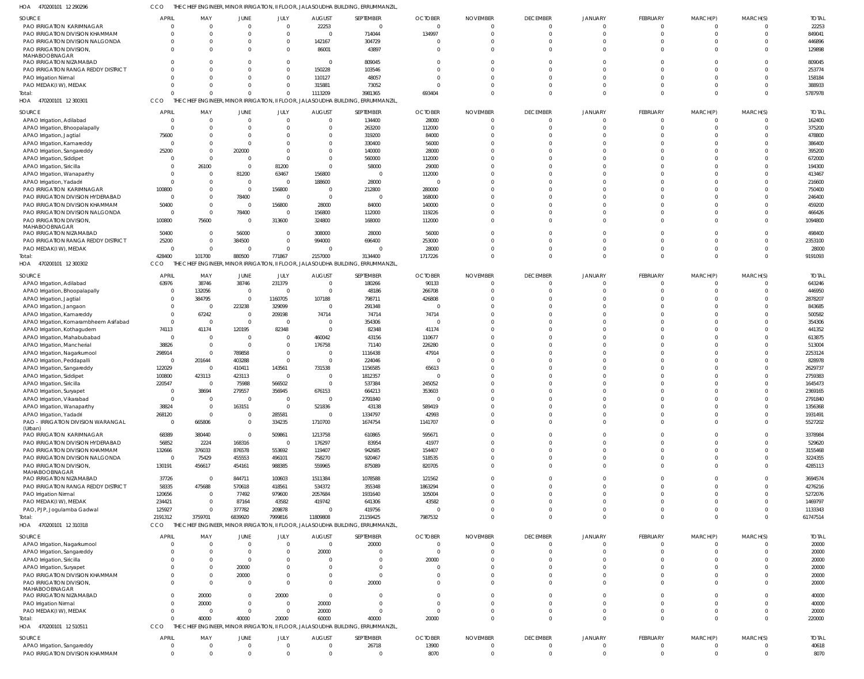470200101 12 290296 HOA CCO THE CHIEF ENGINEER, MINOR IRRIGATION, II FLOOR, JALASOUDHA BUILDING, ERRUMMANZIL,

| SOURCE                                                         | <b>APRIL</b>   | MAY          | JUNE           | JULY                       | <b>AUGUST</b>                 | SEPTEMBER                                                                         | <b>OCTOBER</b> | <b>NOVEMBER</b> | <b>DECEMBER</b>                  | <b>JANUARY</b>         | <b>FEBRUARY</b>          | MARCH(P)      | MARCH(S) | <b>TOTAL</b>  |
|----------------------------------------------------------------|----------------|--------------|----------------|----------------------------|-------------------------------|-----------------------------------------------------------------------------------|----------------|-----------------|----------------------------------|------------------------|--------------------------|---------------|----------|---------------|
| PAO IRRIGATION KARIMNAGAR                                      |                |              | 0              | $\overline{0}$             | 22253                         | $\overline{0}$                                                                    | $\overline{0}$ |                 | $\overline{0}$                   | $\Omega$               | $\mathbf{0}$             |               |          | 22253         |
| PAO IRRIGATION DIVISION KHAMMAM                                |                | $\Omega$     | $\Omega$       | $\Omega$                   | $\Omega$                      | 714044                                                                            | 134997         |                 | $\Omega$                         | $\Omega$               | $\Omega$                 |               | $\Omega$ | 849041        |
| PAO IRRIGATION DIVISION NALGONDA                               |                | 0            | 0              | $\overline{0}$             | 142167                        | 304729                                                                            | - 0            |                 | $\Omega$                         | $\Omega$               | $\Omega$                 |               | $\Omega$ | 446896        |
|                                                                |                |              |                |                            |                               |                                                                                   |                |                 |                                  |                        |                          |               |          |               |
| PAO IRRIGATION DIVISION,                                       |                |              |                | $\Omega$                   | 86001                         | 43897                                                                             | - 0            |                 | $\Omega$                         | $\Omega$               | $\Omega$                 |               | $\Omega$ | 129898        |
| MAHABOOBNAGAR                                                  |                |              |                |                            |                               |                                                                                   |                |                 |                                  |                        |                          |               |          |               |
| PAO IRRIGATION NIZAMABAD                                       |                |              |                | $\overline{0}$             | $\Omega$                      | 809045                                                                            | - 0            |                 | $\Omega$                         | $\Omega$               | $\Omega$                 |               | $\Omega$ | 809045        |
| <b>PAO IRRIGATION RANGA REDDY DISTRICT</b>                     |                |              |                | $\Omega$                   | 150228                        | 103546                                                                            | $\Omega$       |                 | $\Omega$                         | $\Omega$               | $\Omega$                 |               | $\Omega$ | 253774        |
| PAO Irrigation Nirmal                                          |                | <sup>0</sup> |                | $\Omega$                   | 110127                        | 48057                                                                             |                |                 | $\Omega$                         | $\Omega$               | $\Omega$                 |               | $\Omega$ | 158184        |
| PAO MEDAK(IW), MEDAK                                           |                |              |                | $\Omega$                   | 315881                        | 73052                                                                             |                |                 | $\Omega$                         | $\Omega$               | $\Omega$                 |               | $\Omega$ | 388933        |
|                                                                |                |              |                | $\Omega$                   | 1113209                       | 3981365                                                                           | 693404         |                 | $\Omega$                         | $\Omega$               | $\Omega$                 | $\Omega$      | $\Omega$ | 5787978       |
| Total:                                                         |                |              |                |                            |                               |                                                                                   |                |                 |                                  |                        |                          |               |          |               |
| HOA 470200101 12 300301                                        | CCO            |              |                |                            |                               | THE CHIEF ENGINEER, MINOR IRRIGATION, II FLOOR, JALASOUDHA BUILDING, ERRUMMANZIL  |                |                 |                                  |                        |                          |               |          |               |
|                                                                | <b>APRIL</b>   | MAY          |                |                            |                               |                                                                                   | <b>OCTOBER</b> |                 |                                  |                        |                          |               |          | <b>TOTAL</b>  |
| SOURCE                                                         |                |              | <b>JUNE</b>    | JULY                       | <b>AUGUST</b>                 | SEPTEMBER                                                                         |                | <b>NOVEMBER</b> | <b>DECEMBER</b>                  | <b>JANUARY</b>         | FEBRUARY                 | MARCH(P)      | MARCH(S) |               |
| APAO Irrigation, Adilabad                                      |                | $\Omega$     | $\Omega$       | $\Omega$                   | $\Omega$                      | 134400                                                                            | 28000          |                 | $\Omega$                         |                        | $\Omega$                 |               |          | 162400        |
| APAO Irrigation, Bhoopalapally                                 |                |              |                | $\Omega$                   | $\Omega$                      | 263200                                                                            | 112000         |                 | $\Omega$                         |                        | $\Omega$                 |               |          | 375200        |
| APAO Irrigation, Jagtial                                       | 75600          |              |                | $\Omega$                   | $\Omega$                      | 319200                                                                            | 84000          |                 | $\Omega$                         |                        |                          |               |          | 478800        |
| APAO Irrigation, Kamareddy                                     |                |              |                | $\Omega$                   | $\Omega$                      | 330400                                                                            | 56000          |                 | $\Omega$                         |                        |                          |               |          | 386400        |
|                                                                |                |              |                |                            |                               |                                                                                   |                |                 |                                  |                        |                          |               |          |               |
| APAO Irrigation, Sangareddy                                    | 25200          |              | 202000         | $\Omega$                   | $\Omega$                      | 140000                                                                            | 28000          |                 | $\Omega$                         |                        |                          |               |          | 395200        |
| APAO Irrigation, Siddipet                                      |                |              | $\Omega$       | $\Omega$                   | $\Omega$                      | 560000                                                                            | 112000         |                 | $\Omega$                         |                        |                          |               |          | 672000        |
| APAO Irrigation, Siricilla                                     |                | 26100        | $\Omega$       | 81200                      | $\Omega$                      | 58000                                                                             | 29000          |                 | $\Omega$                         |                        |                          |               |          | 194300        |
| APAO Irrigation, Wanaparthy                                    |                |              | 81200          | 63467                      | 156800                        | $\Omega$                                                                          | 112000         |                 |                                  |                        |                          |               |          | 413467        |
|                                                                |                |              |                |                            |                               |                                                                                   |                |                 | $\Omega$                         |                        |                          |               |          |               |
| APAO Irrigation, Yadadri                                       |                |              | $\Omega$       | $\Omega$                   | 188600                        | 28000                                                                             |                |                 |                                  |                        |                          |               |          | 216600        |
| PAO IRRIGATION KARIMNAGAR                                      | 100800         |              | $\Omega$       | 156800                     | $\Omega$                      | 212800                                                                            | 280000         |                 | $\Omega$                         |                        |                          |               |          | 750400        |
| PAO IRRIGATION DIVISION HYDERABAD                              | - 0            |              | 78400          | $\Omega$                   | $\Omega$                      | $\Omega$                                                                          | 168000         |                 | $\Omega$                         |                        |                          |               |          | 246400        |
| PAO IRRIGATION DIVISION KHAMMAM                                | 50400          |              | $\Omega$       | 156800                     | 28000                         | 84000                                                                             | 140000         |                 | $\Omega$                         |                        |                          |               |          | 459200        |
| PAO IRRIGATION DIVISION NALGONDA                               | - 0            | $\Omega$     | 78400          | $\Omega$                   | 156800                        | 112000                                                                            | 119226         |                 | $\Omega$                         |                        |                          |               |          | 466426        |
|                                                                |                |              |                |                            |                               |                                                                                   |                |                 |                                  |                        |                          |               |          |               |
| PAO IRRIGATION DIVISION,                                       | 100800         | 75600        | $\Omega$       | 313600                     | 324800                        | 168000                                                                            | 112000         |                 | $\Omega$                         | $\Omega$               | $\Omega$                 |               |          | 1094800       |
| MAHABOOBNAGAR                                                  |                |              |                |                            |                               |                                                                                   |                |                 |                                  |                        |                          |               |          |               |
| PAO IRRIGATION NIZAMABAD                                       | 50400          |              | 56000          | $\Omega$                   | 308000                        | 28000                                                                             | 56000          |                 | $\Omega$                         | <sup>0</sup>           | $\Omega$                 |               |          | 498400        |
| PAO IRRIGATION RANGA REDDY DISTRICT                            | 25200          |              | 384500         | $\Omega$                   | 994000                        | 696400                                                                            | 253000         |                 | $\Omega$                         |                        | $\Omega$                 |               |          | 2353100       |
| PAO MEDAK(IW), MEDAK                                           |                | $\Omega$     | $\Omega$       | $\Omega$                   |                               | $\Omega$                                                                          | 28000          |                 | $\Omega$                         | $\Omega$               | $\Omega$                 |               |          | 28000         |
| Total:                                                         | 428400         | 101700       | 880500         | 771867                     | 2157000                       | 3134400                                                                           | 1717226        |                 | $\Omega$                         | $\Omega$               | $\Omega$                 | $\Omega$      | $\Omega$ | 9191093       |
|                                                                |                |              |                |                            |                               |                                                                                   |                |                 |                                  |                        |                          |               |          |               |
| HOA 470200101 12 300302                                        | CCO            |              |                |                            |                               | THE CHIEF ENGINEER, MINOR IRRIGATION, II FLOOR, JALASOUDHA BUILDING, ERRUMMANZIL, |                |                 |                                  |                        |                          |               |          |               |
| SOURCE                                                         | <b>APRIL</b>   | MAY          | JUNE           | JULY                       | <b>AUGUST</b>                 | SEPTEMBER                                                                         | <b>OCTOBER</b> | <b>NOVEMBER</b> | <b>DECEMBER</b>                  | JANUARY                | FEBRUARY                 | MARCH(P)      | MARCH(S) | <b>TOTAL</b>  |
|                                                                |                |              | 38746          |                            |                               |                                                                                   |                |                 |                                  |                        |                          |               |          |               |
| APAO Irrigation, Adilabad                                      | 63976          | 38746        |                | 231379                     | $\overline{0}$                | 180266                                                                            | 90133          |                 | $\overline{0}$                   | $\Omega$               | $\mathbf{0}$             |               |          | 643246        |
| APAO Irrigation, Bhoopalapally                                 | - 0            | 132056       | $\overline{0}$ | $\circ$                    | $\Omega$                      | 48186                                                                             | 266708         |                 | $\Omega$                         | $\Omega$               | $\Omega$                 |               | $\Omega$ | 446950        |
| APAO Irrigation, Jagtial                                       | - 0            | 384795       | $\overline{0}$ | 1160705                    | 107188                        | 798711                                                                            | 426808         |                 | $\Omega$                         |                        | $\Omega$                 |               |          | 2878207       |
| APAO Irrigation, Jangaon                                       |                | $\Omega$     | 223238         | 329099                     | $\Omega$                      | 291348                                                                            | - 0            |                 | $\Omega$                         |                        | $\Omega$                 |               |          | 843685        |
|                                                                | $\Omega$       | 67242        | $\overline{0}$ | 209198                     | 74714                         | 74714                                                                             | 74714          |                 | $\Omega$                         |                        | $\Omega$                 |               |          | 500582        |
| APAO Irrigation, Kamareddy                                     |                |              |                |                            |                               |                                                                                   |                |                 |                                  |                        |                          |               |          |               |
| APAO Irrigation, Komarambheem Asifabad                         | $\Omega$       | $\Omega$     | $\Omega$       | $\overline{0}$             | $\overline{0}$                | 354306                                                                            | - 0            |                 | $\Omega$                         |                        | $\Omega$                 |               |          | 354306        |
| APAO Irrigation, Kothagudem                                    | 74113          | 41174        | 120195         | 82348                      | $\Omega$                      | 82348                                                                             | 41174          |                 | $\Omega$                         |                        | $\Omega$                 |               |          | 441352        |
| APAO Irrigation, Mahabubabad                                   | $\mathsf{C}$   | $\Omega$     | $\Omega$       | $\overline{0}$             | 460042                        | 43156                                                                             | 110677         |                 | $\Omega$                         |                        | $\Omega$                 |               |          | 613875        |
| APAO Irrigation, Mancherial                                    | 38826          | $\Omega$     | $\Omega$       | $\overline{0}$             | 176758                        | 71140                                                                             | 226280         |                 | $\Omega$                         |                        | $\Omega$                 |               |          | 513004        |
|                                                                |                |              |                |                            |                               |                                                                                   |                |                 |                                  |                        |                          |               |          |               |
| APAO Irrigation, Nagarkurnool                                  | 298914         | $\Omega$     | 789858         | $\Omega$                   | $\overline{0}$                | 1116438                                                                           | 47914          |                 | $\Omega$                         |                        | $\Omega$                 |               |          | 2253124       |
| APAO Irrigation, Peddapalli                                    | - 0            | 201644       | 403288         | $\overline{0}$             | $\Omega$                      | 224046                                                                            | - 0            |                 | $\Omega$                         |                        |                          |               |          | 828978        |
| APAO Irrigation, Sangareddy                                    | 122029         | $\Omega$     | 410411         | 143561                     | 731538                        | 1156585                                                                           | 65613          |                 | $\Omega$                         |                        | $\Omega$                 |               |          | 2629737       |
| APAO Irrigation, Siddipet                                      | 100800         | 423113       | 423113         | $\overline{0}$             | $\Omega$                      | 1812357                                                                           | - 0            |                 | $\Omega$                         |                        | $\Omega$                 |               |          | 2759383       |
|                                                                |                |              |                |                            | $\Omega$                      |                                                                                   |                |                 |                                  |                        | $\Omega$                 |               |          |               |
| APAO Irrigation, Siricilla                                     | 220547         |              | 75988          | 566502                     |                               | 537384                                                                            | 245052         |                 |                                  |                        |                          |               |          | 1645473       |
| APAO Irrigation, Suryapet                                      |                | 38694        | 279557         | 356945                     | 676153                        | 664213                                                                            | 353603         |                 | $\cap$                           | $\Omega$               |                          |               |          | 2369165       |
| APAO Irrigation, Vikarabad                                     | $\Omega$       |              | $\Omega$       | $\Omega$                   | $\Omega$                      | 2791840                                                                           | $\Omega$       |                 | $\Omega$                         | $\Omega$               | $\Omega$                 |               |          | 2791840       |
| APAO Irrigation, Wanaparthy                                    | 38824          | $\Omega$     | 163151         | $\Omega$                   | 521836                        | 43138                                                                             | 589419         |                 | $\Omega$                         | $\Omega$               | $\Omega$                 |               |          | 1356368       |
| APAO Irrigation, Yadadri                                       | 268120         | $\Omega$     | 0              | 285581                     | $\overline{0}$                | 1334797                                                                           | 42993          |                 | $\Omega$                         | $\Omega$               | $\Omega$                 |               |          | 1931491       |
|                                                                |                |              |                |                            |                               |                                                                                   |                |                 |                                  |                        |                          |               |          |               |
| PAO - IRRIGATION DIVISION WARANGAL                             | $\mathsf{C}$   | 665806       | $\Omega$       | 334235                     | 1710700                       | 1674754                                                                           | 1141707        |                 | $\Omega$                         | $\Omega$               | $\Omega$                 | $\Omega$      | $\Omega$ | 5527202       |
| (Urban)<br>PAO IRRIGATION KARIMNAGAR                           |                |              | $\overline{0}$ |                            |                               | 610865                                                                            | 595671         |                 | $\Omega$                         | $\Omega$               | $\Omega$                 |               |          | 3378984       |
|                                                                | 68389          | 380440       |                | 509861                     | 1213758                       |                                                                                   |                |                 |                                  |                        |                          |               |          |               |
| PAO IRRIGATION DIVISION HYDERABAD                              | 56852          | 2224         | 168316         | $\overline{0}$             | 176297                        | 83954                                                                             | 41977          |                 | $\Omega$                         | $\Omega$               | $\Omega$                 |               |          | 529620        |
| PAO IRRIGATION DIVISION KHAMMAM                                | 132666         | 376033       | 876578         | 553692                     | 119407                        | 942685                                                                            | 154407         |                 | $\Omega$                         | $\Omega$               | $\Omega$                 |               |          | 3155468       |
| PAO IRRIGATION DIVISION NALGONDA                               | $\overline{0}$ | 75429        | 455553         | 496101                     | 758270                        | 920467                                                                            | 518535         |                 | $\Omega$                         | $\Omega$               | $\Omega$                 |               |          | 3224355       |
| PAO IRRIGATION DIVISION,                                       | 130191         | 456617       | 454161         | 988385                     | 559965                        | 875089                                                                            | 820705         |                 | $\Omega$                         | $\Omega$               | $\Omega$                 |               |          | 4285113       |
| MAHABOOBNAGAR                                                  |                |              |                |                            |                               |                                                                                   |                |                 |                                  |                        |                          |               |          |               |
| PAO IRRIGATION NIZAMABAD                                       | 37726          | $\Omega$     | 844711         | 100603                     | 1511384                       | 1078588                                                                           | 121562         |                 | $\Omega$                         | $\Omega$               | $\Omega$                 |               |          | 3694574       |
| PAO IRRIGATION RANGA REDDY DISTRICT                            |                |              |                |                            |                               |                                                                                   |                |                 | $\Omega$                         | $\Omega$               | $\Omega$                 |               |          |               |
|                                                                | 58335          | 475688       | 570618         | 418561                     | 534372                        | 355348                                                                            | 1863294        |                 |                                  |                        |                          |               |          | 4276216       |
| PAO Irrigation Nirmal                                          | 120656         | $\Omega$     | 77492          | 979600                     | 2057684                       | 1931640                                                                           | 105004         |                 | $\Omega$                         | $\Omega$               | $\Omega$                 |               |          | 5272076       |
| PAO MEDAK(IW), MEDAK                                           | 234421         | $\Omega$     | 87164          | 43582                      | 419742                        | 641306                                                                            | 43582          |                 | $\Omega$                         | $\Omega$               | $\Omega$                 |               |          | 1469797       |
| PAO, PJP, Jogulamba Gadwal                                     | 125927         | $\Omega$     | 377782         | 209878                     | $\Omega$                      | 419756                                                                            |                |                 | $\Omega$                         | $\Omega$               | $\Omega$                 |               |          | 1133343       |
| Total:                                                         | 2191312        | 3759701      | 6839920        | 7999816                    | 11809808                      | 21159425                                                                          | 7987532        |                 | $\Omega$                         | $\Omega$               | $\Omega$                 | $\Omega$      | $\Omega$ | 61747514      |
|                                                                | CCO            |              |                |                            |                               | THE CHIEF ENGINEER, MINOR IRRIGATION, II FLOOR, JALASOUDHA BUILDING, ERRUMMANZIL, |                |                 |                                  |                        |                          |               |          |               |
| HOA 470200101 12 310318                                        |                |              |                |                            |                               |                                                                                   |                |                 |                                  |                        |                          |               |          |               |
| SOURCE                                                         |                |              |                |                            |                               |                                                                                   |                |                 |                                  |                        |                          | MARCH(P)      | MARCH(S) | <b>TOTAL</b>  |
|                                                                | <b>APRIL</b>   |              |                |                            |                               |                                                                                   |                |                 |                                  |                        |                          |               |          |               |
|                                                                |                | MAY          | <b>JUNE</b>    | JULY                       | <b>AUGUST</b>                 | SEPTEMBER                                                                         | <b>OCTOBER</b> | <b>NOVEMBER</b> | <b>DECEMBER</b>                  | <b>JANUARY</b>         | FEBRUARY                 |               |          |               |
| APAO Irrigation, Nagarkurnool                                  |                |              | $\Omega$       | $\Omega$                   | $\overline{0}$                | 20000                                                                             | $\Omega$       |                 | $\overline{0}$                   | $\Omega$               | $\Omega$                 |               |          | 20000         |
| APAO Irrigation, Sangareddy                                    |                |              | 0              | $\Omega$                   | 20000                         | $\Omega$                                                                          |                |                 | $\Omega$                         |                        | $\Omega$                 |               |          | 20000         |
| APAO Irrigation, Siricilla                                     |                |              |                | $\Omega$                   |                               | $\Omega$                                                                          | 20000          |                 | $\Omega$                         |                        | $\Omega$                 |               |          | 20000         |
| APAO Irrigation, Suryapet                                      |                | $\Omega$     | 20000          | $\Omega$                   | $\Omega$                      | $\Omega$                                                                          | $\Omega$       |                 | $\Omega$                         | $\Omega$               | $\Omega$                 |               |          | 20000         |
|                                                                |                |              |                | $\Omega$                   | $\Omega$                      |                                                                                   | - 0            |                 | $\Omega$                         | $\Omega$               | $\Omega$                 |               |          |               |
| PAO IRRIGATION DIVISION KHAMMAM                                |                |              | 20000          |                            |                               | $\mathbf{0}$                                                                      |                |                 |                                  |                        |                          |               |          | 20000         |
| PAO IRRIGATION DIVISION,                                       |                | $\Omega$     | $\Omega$       | $\Omega$                   | $\Omega$                      | 20000                                                                             |                |                 | $\Omega$                         | $\Omega$               | $\Omega$                 |               |          | 20000         |
| MAHABOOBNAGAR                                                  |                |              |                |                            |                               |                                                                                   |                |                 |                                  |                        |                          |               |          |               |
| PAO IRRIGATION NIZAMABAD                                       |                | 20000        |                | 20000                      | $\Omega$                      | $\Omega$                                                                          |                |                 | $\Omega$                         | $\Omega$               | $\Omega$                 |               |          | 40000         |
| PAO Irrigation Nirmal                                          |                | 20000        | 0              | $\overline{0}$             | 20000                         | $\Omega$                                                                          |                |                 | $\Omega$                         | $\Omega$               | $\Omega$                 |               |          | 40000         |
| PAO MEDAK(IW), MEDAK                                           |                | $\Omega$     | $\Omega$       | $\overline{0}$             | 20000                         | $\Omega$                                                                          | $\Omega$       |                 | $\Omega$                         | $\Omega$               | $\Omega$                 | 0             |          | 20000         |
| Total:                                                         |                | 40000        | 40000          | 20000                      | 60000                         | 40000                                                                             | 20000          |                 | $\Omega$                         | $\Omega$               | $\Omega$                 | $\Omega$      |          | 220000        |
|                                                                |                |              |                |                            |                               |                                                                                   |                |                 |                                  |                        |                          |               |          |               |
| HOA 470200101 12 510511                                        | CCO            |              |                |                            |                               | THE CHIEF ENGINEER, MINOR IRRIGATION, II FLOOR, JALASOUDHA BUILDING, ERRUMMANZIL, |                |                 |                                  |                        |                          |               |          |               |
| SOURCE                                                         | <b>APRIL</b>   | MAY          | JUNE           | JULY                       | <b>AUGUST</b>                 | SEPTEMBER                                                                         | <b>OCTOBER</b> | <b>NOVEMBER</b> | <b>DECEMBER</b>                  | <b>JANUARY</b>         | FEBRUARY                 | MARCH(P)      | MARCH(S) | <b>TOTAL</b>  |
|                                                                | - 0            | $\Omega$     |                |                            |                               |                                                                                   |                | - 0             |                                  |                        |                          |               |          |               |
| APAO Irrigation, Sangareddy<br>PAO IRRIGATION DIVISION KHAMMAM |                |              | 0<br>$\Omega$  | $\overline{0}$<br>$\Omega$ | $\overline{0}$<br>$\mathbf 0$ | 26718<br>$\overline{0}$                                                           | 13900<br>8070  |                 | $\overline{0}$<br>$\overline{0}$ | $^{\circ}$<br>$\Omega$ | $\mathbf{0}$<br>$\Omega$ | 0<br>$\Omega$ | $\Omega$ | 40618<br>8070 |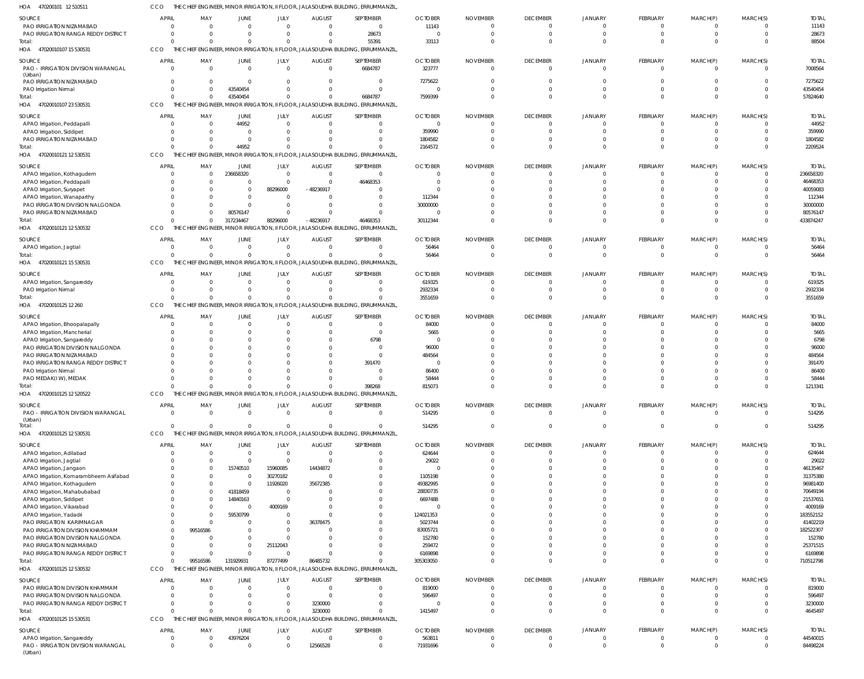470200101 12 510511 HOA CCO THE CHIEF ENGINEER, MINOR IRRIGATION, II FLOOR, JALASOUDHA BUILDING, ERRUMMANZIL,

| SOURCE                                                                  | <b>APRIL</b>               | MAY                                                | JUNE                       | <b>JULY</b>                | <b>AUGUST</b>                                               | SEPTEMBER                                                                                    | <b>OCTOBER</b>           | <b>NOVEMBER</b> | <b>DECEMBER</b>                  | <b>JANUARY</b>                   | FEBRUARY                    | MARCH(P)                | MARCH(S)             | <b>TOTAL</b>          |
|-------------------------------------------------------------------------|----------------------------|----------------------------------------------------|----------------------------|----------------------------|-------------------------------------------------------------|----------------------------------------------------------------------------------------------|--------------------------|-----------------|----------------------------------|----------------------------------|-----------------------------|-------------------------|----------------------|-----------------------|
| PAO IRRIGATION NIZAMABAD<br>PAO IRRIGATION RANGA REDDY DISTRICT         | $\overline{0}$             | $\Omega$<br>$\Omega$                               | $\Omega$<br>$\Omega$       | $\overline{0}$<br>$\Omega$ | $\mathbf 0$                                                 | $\overline{0}$                                                                               | 11143<br>$\Omega$        |                 | 0                                | $\mathbf{0}$<br>$\overline{0}$   | $\mathbf{0}$<br>$\mathbf 0$ | -0                      | $\cap$<br>$\Omega$   | 11143                 |
| Total:                                                                  | $\overline{0}$<br>$\Omega$ | $\Omega$                                           | $\Omega$                   | $\Omega$                   | $\overline{0}$<br>$\Omega$                                  | 28673<br>55391                                                                               | 33113                    |                 | $\overline{0}$<br>$\Omega$       | $\Omega$                         | $\mathbf 0$                 | $\mathbf 0$<br>$\Omega$ | $\Omega$             | 28673<br>88504        |
| HOA<br>47020010107 15 530531                                            | CCO                        |                                                    |                            |                            |                                                             | THE CHIEF ENGINEER, MINOR IRRIGATION, II FLOOR, JALASOUDHA BUILDING, ERRUMMANZIL,            |                          |                 |                                  |                                  |                             |                         |                      |                       |
| SOURCE                                                                  | <b>APRIL</b>               | MAY                                                | JUNE                       | JULY                       | <b>AUGUST</b>                                               | SEPTEMBER                                                                                    | <b>OCTOBER</b>           | <b>NOVEMBER</b> | <b>DECEMBER</b>                  | <b>JANUARY</b>                   | FEBRUARY                    | MARCH(P)                | MARCH(S)             | <b>TOTAI</b>          |
| PAO - IRRIGATION DIVISION WARANGAL                                      | $\overline{0}$             | $\Omega$                                           | $\Omega$                   |                            | $\overline{0}$<br>$\mathbf{0}$                              | 6684787                                                                                      | 323777                   |                 | $\Omega$                         | $\Omega$                         | $\mathbf{0}$                | $\Omega$                | $\Omega$             | 7008564               |
| (Urban)                                                                 |                            |                                                    |                            |                            |                                                             |                                                                                              |                          |                 |                                  |                                  |                             |                         |                      |                       |
| PAO IRRIGATION NIZAMABAD<br>PAO Irrigation Nirmal                       |                            | $\mathbf 0$<br>$\Omega$<br>$\Omega$                | $\Omega$<br>43540454       | $\Omega$<br>$\Omega$       | $^{\circ}$<br>$\Omega$                                      | $\overline{0}$<br>$\Omega$                                                                   | 7275622<br>$\Omega$      |                 | $\Omega$<br>$\Omega$             | $\Omega$<br>$\Omega$             | 0<br>$\Omega$               | $\Omega$<br>$\Omega$    | $\Omega$<br>$\Omega$ | 7275622<br>43540454   |
| Total:                                                                  |                            | $\Omega$<br>$\Omega$                               | 43540454                   |                            | $\overline{0}$<br>$\Omega$                                  | 6684787                                                                                      | 7599399                  |                 | $\Omega$                         | $\Omega$                         | $\mathbf 0$                 | $\Omega$                | $\Omega$             | 57824640              |
| HOA<br>47020010107 23 530531                                            | CCO                        | THE CHIEF ENGINEER,                                |                            |                            |                                                             | MINOR IRRIGATION, II FLOOR, JALASOUDHA BUILDING, ERRUMMANZIL                                 |                          |                 |                                  |                                  |                             |                         |                      |                       |
| SOURCE                                                                  | <b>APRIL</b>               | MAY                                                | <b>JUNE</b>                | JULY                       | <b>AUGUST</b>                                               | SEPTEMBER                                                                                    | <b>OCTOBER</b>           | <b>NOVEMBER</b> | <b>DECEMBER</b>                  | JANUARY                          | FEBRUARY                    | MARCH(P)                | MARCH(S)             | <b>TOTAI</b>          |
| APAO Irrigation, Peddapalli                                             | $\overline{0}$             | $\Omega$                                           | 44952                      | $\overline{0}$             | $\mathbf 0$                                                 | $\overline{0}$                                                                               | $\mathbf 0$              |                 | $\overline{0}$                   | $\overline{0}$                   | $\overline{0}$              | -0                      | $\Omega$             | 44952                 |
| APAO Irrigation, Siddipet                                               |                            | $\mathbf 0$<br>$\Omega$                            | $\Omega$                   | $\Omega$                   | $\overline{0}$                                              | $\overline{0}$                                                                               | 359990                   |                 | $\Omega$                         | $\Omega$                         | $\mathbf 0$                 | $\Omega$                | $\Omega$             | 359990                |
| PAO IRRIGATION NIZAMABAD                                                |                            | $\mathbf 0$<br>$\Omega$                            | $\Omega$                   | $\Omega$                   | $\mathbf 0$                                                 | $\overline{0}$                                                                               | 1804582                  |                 | C                                | $\Omega$                         | $\mathbf 0$                 | $\Omega$                | $\Omega$             | 1804582               |
| Total:                                                                  | $\Omega$                   | $\Omega$                                           | 44952                      | $\Omega$                   | $\Omega$                                                    | $\overline{0}$                                                                               | 2164572                  |                 | $\Omega$                         | $\Omega$                         | $\mathbf 0$                 | $\Omega$                | $\Omega$             | 2209524               |
| HOA<br>47020010121 12 530531                                            | CCO                        |                                                    |                            |                            |                                                             | THE CHIEF ENGINEER, MINOR IRRIGATION, II FLOOR, JALASOUDHA BUILDING, ERRUMMANZIL,            |                          |                 |                                  |                                  |                             |                         |                      |                       |
| SOURCE                                                                  | <b>APRIL</b>               | MAY                                                | JUNE                       | JULY                       | <b>AUGUST</b>                                               | SEPTEMBER                                                                                    | <b>OCTOBER</b>           | <b>NOVEMBER</b> | <b>DECEMBER</b>                  | <b>JANUARY</b>                   | FEBRUARY                    | MARCH(P)                | MARCH(S)             | <b>TOTAI</b>          |
| APAO Irrigation, Kothagudem<br>APAO Irrigation, Peddapalli              | $\overline{0}$<br>$\Omega$ |                                                    | 236658320<br>- 0           | $\overline{0}$<br>$\Omega$ | $\mathbf 0$<br>$\mathbf{0}$                                 | $\overline{0}$<br>46468353                                                                   | $\Omega$<br>$\Omega$     |                 | $\overline{0}$<br>$\Omega$       | $\overline{0}$<br>$\Omega$       | $\mathbf 0$<br>$\Omega$     | $^{\circ}$<br>$\Omega$  | $\Omega$<br>$\Omega$ | 236658320<br>46468353 |
| APAO Irrigation, Suryapet                                               | $\Omega$                   |                                                    | $\Omega$                   | 88296000                   | -48236917                                                   | $\Omega$                                                                                     | $\Omega$                 |                 | -C                               | $\Omega$                         | $\Omega$                    |                         |                      | 40059083              |
| APAO Irrigation, Wanaparthy                                             | $\Omega$                   | $\Omega$                                           | $\Omega$                   | $\overline{0}$             | $\Omega$                                                    | $\Omega$                                                                                     | 112344                   |                 | C                                | $\Omega$                         | $\Omega$                    | $\Omega$                |                      | 112344                |
| PAO IRRIGATION DIVISION NALGONDA                                        | $\Omega$                   |                                                    | $\Omega$                   | $\Omega$                   | $\Omega$                                                    | $\Omega$                                                                                     | 30000000                 |                 | $\Omega$                         | n                                | $\Omega$                    | $\Omega$                | $\Omega$             | 30000000              |
| PAO IRRIGATION NIZAMABAD                                                | $\Omega$                   | $\Omega$                                           | 80576147                   | $\Omega$                   | $\Omega$                                                    | $\Omega$                                                                                     | $\Omega$                 |                 | $\Omega$                         | $\Omega$                         | $\Omega$                    | $\Omega$                | $\Omega$             | 80576147              |
| Total:<br>HOA<br>47020010121 12 530532                                  | $\Omega$<br>CCO            | $\Omega$                                           | 317234467                  | 88296000                   | $-48236917$                                                 | 46468353<br>THE CHIEF ENGINEER, MINOR IRRIGATION, II FLOOR, JALASOUDHA BUILDING, ERRUMMANZIL | 30112344                 |                 | $\Omega$                         | $\Omega$                         | $\Omega$                    | $\Omega$                | $\Omega$             | 433874247             |
|                                                                         |                            |                                                    |                            |                            |                                                             |                                                                                              |                          |                 |                                  |                                  |                             |                         |                      |                       |
| SOURCE                                                                  | <b>APRIL</b>               | MAY                                                | <b>JUNE</b>                | JULY                       | <b>AUGUST</b>                                               | SEPTEMBER                                                                                    | <b>OCTOBER</b>           | <b>NOVEMBER</b> | <b>DECEMBER</b>                  | JANUARY                          | FEBRUARY                    | MARCH(P)                | MARCH(S)             | <b>TOTAL</b>          |
| APAO Irrigation, Jagtial<br>Total:                                      | $\overline{0}$<br>$\Omega$ | $\Omega$<br>$\Omega$                               | $\overline{0}$<br>$\Omega$ | $\overline{0}$             | $\overline{0}$<br>$\overline{0}$<br>$\mathbf 0$             | $\overline{0}$<br>$\Omega$                                                                   | 56464<br>56464           |                 | $\overline{0}$<br>$\overline{0}$ | $\overline{0}$<br>$\overline{0}$ | $\mathbf{0}$<br>$\mathbf 0$ | -0<br>$\mathbf 0$       | $\Omega$<br>$\Omega$ | 56464<br>56464        |
| HOA 47020010121 15 530531                                               | CCO                        |                                                    |                            |                            |                                                             | THE CHIEF ENGINEER, MINOR IRRIGATION, II FLOOR, JALASOUDHA BUILDING, ERRUMMANZIL,            |                          |                 |                                  |                                  |                             |                         |                      |                       |
|                                                                         | APRIL                      |                                                    |                            |                            |                                                             | SEPTEMBER                                                                                    |                          |                 | <b>DECEMBER</b>                  |                                  |                             |                         |                      | <b>TOTAI</b>          |
| SOURCE<br>APAO Irrigation, Sangareddy                                   | $\mathbf{0}$               | MAY<br>- 0                                         | JUNE<br>$\Omega$           | JULY<br>$\overline{0}$     | <b>AUGUST</b><br>$\mathbf 0$                                | $\overline{0}$                                                                               | <b>OCTOBER</b><br>619325 | <b>NOVEMBER</b> | 0                                | <b>JANUARY</b><br>$\overline{0}$ | FEBRUARY<br>0               | MARCH(P)<br>$\Omega$    | MARCH(S)<br>$\Omega$ | 619325                |
| PAO Irrigation Nirmal                                                   |                            | $\Omega$<br>$\Omega$                               | $\Omega$                   | $\overline{0}$             | $\mathbf 0$                                                 | $\Omega$                                                                                     | 2932334                  |                 | $\overline{0}$                   | $\Omega$                         | $\mathbf 0$                 | $\mathbf 0$             | $\Omega$             | 2932334               |
| Total:                                                                  | $\Omega$                   | $\Omega$                                           | $\Omega$                   | $\Omega$                   | $\Omega$                                                    | $\Omega$                                                                                     | 3551659                  |                 | $\Omega$                         | $\Omega$                         | $\mathbf 0$                 | $\Omega$                | $\Omega$             | 3551659               |
| HOA<br>47020010125 12 260                                               | CCO                        |                                                    |                            |                            |                                                             | THE CHIEF ENGINEER, MINOR IRRIGATION, II FLOOR, JALASOUDHA BUILDING, ERRUMMANZIL,            |                          |                 |                                  |                                  |                             |                         |                      |                       |
| SOURCE                                                                  | <b>APRIL</b>               | MAY                                                | JUNE                       | JULY                       | <b>AUGUST</b>                                               | SEPTEMBER                                                                                    | <b>OCTOBER</b>           | <b>NOVEMBER</b> | <b>DECEMBER</b>                  | JANUARY                          | FEBRUARY                    | MARCH(P)                | MARCH(S)             | <b>TOTAI</b>          |
| APAO Irrigation, Bhoopalapally                                          | $\overline{0}$             | $\Omega$                                           | $\Omega$                   | $\overline{0}$             | $\mathbf 0$                                                 | $\overline{0}$                                                                               | 84000                    |                 | $\mathbf 0$                      | $\overline{0}$                   | $\mathbf 0$                 | $\Omega$                | $\cap$               | 84000                 |
| APAO Irrigation, Mancherial                                             |                            | $\Omega$<br>$\Omega$                               | $\Omega$                   | $\Omega$                   | $\mathbf 0$                                                 | $\overline{0}$                                                                               | 5665                     |                 | $\Omega$                         | $\Omega$                         | $\mathbf 0$                 | $\Omega$                | $\Omega$             | 5665                  |
| APAO Irrigation, Sangareddy<br>PAO IRRIGATION DIVISION NALGONDA         | $\Omega$<br>$\Omega$       | $\Omega$                                           | $\Omega$<br>$\cap$         | $\Omega$                   | $\mathbf 0$<br>$\Omega$<br>$\mathbf 0$                      | 6798<br>$\Omega$                                                                             | $\Omega$<br>96000        |                 | -C<br>-C                         | $\Omega$<br>$\Omega$             | $\Omega$<br>$\Omega$        |                         | $\cap$<br>$\cap$     | 6798<br>96000         |
| PAO IRRIGATION NIZAMABAD                                                | $\Omega$                   | $\Omega$                                           | $\Omega$                   | $\Omega$                   | $\Omega$                                                    | $\Omega$                                                                                     | 484564                   |                 | -C                               | $\Omega$                         | $\Omega$                    |                         | $\cap$               | 484564                |
| PAO IRRIGATION RANGA REDDY DISTRICT                                     | $\Omega$                   |                                                    | $\cap$                     |                            | $\Omega$<br>$\mathbf 0$                                     | 391470                                                                                       | $\Omega$                 |                 | -C                               | $\Omega$                         | $\Omega$                    |                         | $\cap$               | 391470                |
| PAO Irrigation Nirmal                                                   | $\Omega$                   |                                                    | $\Omega$                   | $\Omega$                   | $\mathbf 0$                                                 | $\Omega$                                                                                     | 86400                    |                 | -C                               | $\Omega$                         | $\Omega$                    |                         | $\cap$               | 86400                 |
| PAO MEDAK(IW), MEDAK                                                    | $\Omega$                   |                                                    | $\cap$                     | $\Omega$                   | $\Omega$                                                    | $\Omega$                                                                                     | 58444                    |                 | $\Omega$                         | $\Omega$                         | $\mathbf 0$                 | $\Omega$                | $\cap$               | 58444                 |
| Total:<br>HOA<br>47020010125 12 520522                                  | CCO                        | $\Omega$<br>$\Omega$                               | $\Omega$                   | $\overline{0}$             | $\Omega$                                                    | 398268<br>THE CHIEF ENGINEER, MINOR IRRIGATION, II FLOOR, JALASOUDHA BUILDING, ERRUMMANZIL,  | 815073                   |                 | $\Omega$                         | $\Omega$                         | $\Omega$                    | $\Omega$                | $\Omega$             | 1213341               |
|                                                                         |                            |                                                    |                            |                            |                                                             |                                                                                              |                          |                 |                                  |                                  |                             |                         |                      |                       |
| <b>SOURCE</b>                                                           | <b>APRIL</b>               | MAY                                                | JUNE                       | JULY                       | <b>AUGUST</b>                                               | SEPTEMBER                                                                                    | <b>OCTOBER</b>           | <b>NOVEMBER</b> | <b>DECEMBER</b>                  | <b>JANUARY</b>                   | FEBRUARY                    | MARCH(P)                | MARCH(S)             | <b>TOTAL</b>          |
| <b>PAO - IRRIGATION DIVISION WARANGAL</b><br>(Urban)                    | $\overline{0}$             | $\Omega$                                           | $\Omega$                   |                            | $\overline{0}$<br>$\mathbf{0}$                              | $\overline{0}$                                                                               | 514295                   | $\Omega$        | $\mathbf{0}$                     | $\overline{0}$                   | $\overline{0}$              | $\mathbf 0$             | $\Omega$             | 514295                |
| Total:                                                                  |                            | $\Omega$<br>$\Omega$                               | $\Omega$                   |                            | $\overline{0}$<br>$\Omega$                                  | $\Omega$                                                                                     | 514295                   |                 | $\overline{0}$                   | $\mathbf{0}$                     | $\overline{0}$              | $\mathbf 0$             | $\Omega$             | 514295                |
| HOA<br>47020010125 12 530531                                            | CCO                        |                                                    |                            |                            |                                                             | THE CHIEF ENGINEER, MINOR IRRIGATION, II FLOOR, JALASOUDHA BUILDING, ERRUMMANZIL,            |                          |                 |                                  |                                  |                             |                         |                      |                       |
| SOURCE                                                                  | <b>APRIL</b>               | MAY                                                | <b>JUNE</b>                | JULY                       | <b>AUGUST</b>                                               | SEPTEMBER                                                                                    | <b>OCTOBER</b>           | <b>NOVEMBER</b> | <b>DECEMBER</b>                  | <b>JANUARY</b>                   | FEBRUARY                    | MARCH(P)                | MARCH(S)             | <b>TOTAL</b>          |
| APAO Irrigation, Adilabad                                               | $\overline{0}$             | $\Omega$                                           | $\overline{0}$             | $\overline{0}$             | $\overline{0}$                                              | $\overline{0}$                                                                               | 624644                   |                 | $\overline{0}$                   | $\mathbf{0}$                     | $\mathbf{0}$                | 0                       | $\Omega$             | 624644                |
| APAO Irrigation, Jagtial                                                |                            | $\mathbf 0$<br>$\Omega$<br>$\mathbf 0$<br>$\Omega$ | $\Omega$                   | $\overline{0}$             | $\mathbf{0}$                                                | $\overline{0}$<br>$\overline{0}$                                                             | 29022<br>$\Omega$        |                 | $\Omega$<br>$\Omega$             | $\Omega$<br>$\Omega$             | $\mathbf 0$<br>$\mathbf 0$  | $\Omega$<br>$\Omega$    | $\Omega$<br>$\Omega$ | 29022                 |
| APAO Irrigation, Jangaon<br>APAO Irrigation, Komarambheem Asifabad      |                            | $\mathbf 0$                                        | 15740510<br>$\Omega$       | 15960085<br>30270182       | 14434872<br>$\mathbf{0}$                                    | $\overline{0}$                                                                               | 1105198                  |                 | C                                | $\Omega$                         | $\Omega$                    | $\Omega$                | $\Omega$             | 46135467<br>31375380  |
| APAO Irrigation, Kothagudem                                             |                            | $\Omega$<br>$\Omega$                               | $\overline{0}$             | 11926020                   | 35672385                                                    | $\overline{0}$                                                                               | 49382995                 |                 | $\Omega$                         | $\Omega$                         | $\Omega$                    | $\Omega$                | $\cap$               | 96981400              |
| APAO Irrigation, Mahabubabad                                            |                            | $\Omega$<br>$\Omega$                               | 41818459                   | $\overline{0}$             | $\mathbf 0$                                                 | $\Omega$                                                                                     | 28830735                 |                 | C                                | $\Omega$                         | $\Omega$                    | $\Omega$                | $\cap$               | 70649194              |
| APAO Irrigation, Siddipet                                               |                            | $\Omega$<br>$\Omega$                               | 14840163                   | $\overline{0}$             | $\mathbf 0$                                                 | $\overline{0}$                                                                               | 6697488                  |                 | C                                | $\Omega$                         | $\Omega$                    | $\Omega$                | $\Omega$             | 21537651              |
| APAO Irrigation, Vikarabad                                              |                            | $\Omega$<br>$\Omega$<br>$\mathbf 0$<br>$\Omega$    | $\overline{0}$<br>59530799 | 4009169<br>$\overline{0}$  | $\Omega$<br>$\Omega$                                        | $\Omega$<br>$\overline{0}$                                                                   | $\Omega$<br>124021353    |                 | $\Omega$<br>C                    | $\Omega$<br>$\Omega$             | $\Omega$<br>$\Omega$        | $\Omega$<br>$\Omega$    | $\cap$<br>$\Omega$   | 4009169<br>183552152  |
| APAO Irrigation, Yadadri<br>PAO IRRIGATION KARIMNAGAR                   |                            | $\Omega$<br>$\mathbf 0$                            | $\Omega$                   | $\overline{0}$             | 36378475                                                    | $\Omega$                                                                                     | 5023744                  |                 | C                                | $\Omega$                         | $\Omega$                    | $\Omega$                | $\Omega$             | 41402219              |
| PAO IRRIGATION DIVISION KHAMMAM                                         |                            | 99516586<br>$\mathbf 0$                            | $\Omega$                   | $\overline{0}$             | $\Omega$                                                    | $\overline{0}$                                                                               | 83005721                 |                 | $\Omega$                         | $\Omega$                         | $\Omega$                    | $\Omega$                | $\Omega$             | 182522307             |
| PAO IRRIGATION DIVISION NALGONDA                                        |                            | $\mathbf 0$<br>-C                                  | $\Omega$                   | $\Omega$                   | $\mathbf 0$                                                 | $\Omega$                                                                                     | 152780                   |                 | C                                | $\Omega$                         | $\Omega$                    | $\Omega$                | $\cap$               | 152780                |
| PAO IRRIGATION NIZAMABAD                                                |                            | $\mathbf 0$<br>$\Omega$                            | $\Omega$                   | 25112043                   | $\mathbf 0$                                                 | $\Omega$                                                                                     | 259472                   |                 | C                                | $\Omega$                         | $\Omega$                    | $\Omega$                | $\Omega$             | 25371515              |
| PAO IRRIGATION RANGA REDDY DISTRICT<br>Total:                           |                            | $\mathbf 0$<br>$\Omega$<br>$\Omega$                | $\Omega$                   | $\overline{0}$             | $\overline{0}$                                              | $\Omega$<br>$\Omega$                                                                         | 6169898                  |                 | $\Omega$<br>$\Omega$             | $\overline{0}$<br>$\overline{0}$ | $\mathbf 0$<br>$\mathbf 0$  | $\Omega$<br>$\mathbf 0$ | $\Omega$<br>$\Omega$ | 6169898               |
| HOA<br>47020010125 12 530532                                            | CCO                        | 99516586                                           | 131929931                  | 87277499                   | 86485732                                                    | THE CHIEF ENGINEER, MINOR IRRIGATION, II FLOOR, JALASOUDHA BUILDING, ERRUMMANZIL,            | 305303050                |                 |                                  |                                  |                             |                         |                      | 710512798             |
| <b>SOURCE</b>                                                           | <b>APRIL</b>               | MAY                                                | JUNE                       | <b>JULY</b>                | <b>AUGUST</b>                                               | SEPTEMBER                                                                                    | <b>OCTOBER</b>           | <b>NOVEMBER</b> | <b>DECEMBER</b>                  | JANUARY                          | FEBRUARY                    | MARCH(P)                | MARCH(S)             | <b>TOTAI</b>          |
| PAO IRRIGATION DIVISION KHAMMAM                                         | $\overline{0}$             | $\Omega$                                           | $\Omega$                   |                            | $\overline{0}$<br>$\overline{0}$                            | $\overline{0}$                                                                               | 819000                   |                 | $\Omega$                         | $\Omega$                         | $\Omega$                    | $\Omega$                | $\Omega$             | 819000                |
| PAO IRRIGATION DIVISION NALGONDA<br>PAO IRRIGATION RANGA REDDY DISTRICT |                            | $\mathbf 0$<br>$\Omega$<br>$\mathbf 0$<br>$\Omega$ | $\Omega$<br>$\Omega$       |                            | $\overline{0}$<br>$\mathbf{0}$<br>$\overline{0}$<br>3230000 | $\overline{0}$<br>$\Omega$                                                                   | 596497                   |                 | $\overline{0}$<br>$\Omega$       | $\overline{0}$<br>$\mathbf 0$    | $\mathbf 0$<br>$\mathbf 0$  | $\mathbf 0$<br>$\Omega$ | $\Omega$<br>$\Omega$ | 596497<br>3230000     |
| Total:                                                                  |                            | $\Omega$<br>$\Omega$                               | $\Omega$                   |                            | $\overline{0}$<br>3230000                                   | $\Omega$                                                                                     | 1415497                  |                 | $\Omega$                         | $\overline{0}$                   | $\mathbf 0$                 | $\mathbf 0$             | $\Omega$             | 4645497               |
| HOA<br>47020010125 15 530531                                            | CCO                        |                                                    |                            |                            |                                                             | THE CHIEF ENGINEER, MINOR IRRIGATION, II FLOOR, JALASOUDHA BUILDING, ERRUMMANZIL,            |                          |                 |                                  |                                  |                             |                         |                      |                       |
| <b>SOURCE</b>                                                           | <b>APRIL</b>               | MAY                                                | <b>JUNE</b>                | JULY                       | <b>AUGUST</b>                                               | SEPTEMBER                                                                                    | <b>OCTOBER</b>           | <b>NOVEMBER</b> | <b>DECEMBER</b>                  | <b>JANUARY</b>                   | FEBRUARY                    | MARCH(P)                | MARCH(S)             | <b>TOTAL</b>          |
| APAO Irrigation, Sangareddy                                             | $\overline{0}$             | $\Omega$                                           | 43976204                   | $\overline{0}$             | $\mathbf{0}$                                                | $\overline{0}$                                                                               | 563811                   |                 | $\overline{0}$                   | $\mathbf{0}$                     | $\mathbf{0}$                | -0                      | $\Omega$             | 44540015              |
| PAO - IRRIGATION DIVISION WARANGAL<br>(Urban)                           |                            | $\overline{0}$<br>$\Omega$                         | $\Omega$                   |                            | $\overline{0}$<br>12566528                                  | $\overline{0}$                                                                               | 71931696                 | 0               | $\mathbf{0}$                     | $\overline{0}$                   | $\mathbf{0}$                | $\mathbf 0$             | $\Omega$             | 84498224              |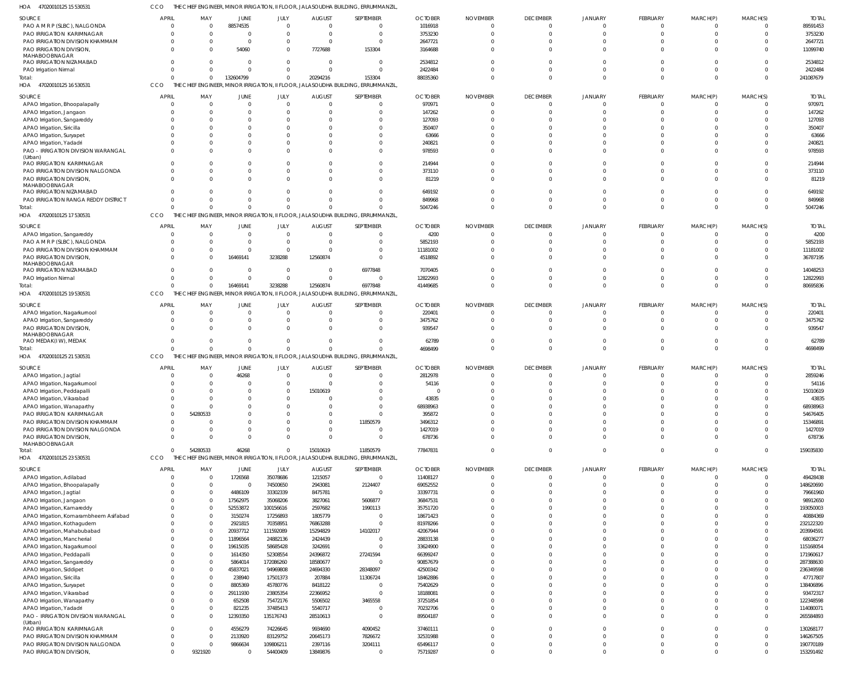47020010125 15 530531 HOA CCO THE CHIEF ENGINEER, MINOR IRRIGATION, II FLOOR, JALASOUDHA BUILDING, ERRUMMANZIL,

| 1016918<br>PAO A M R P (SLBC), NALGONDA<br>88574535<br>89591453<br>$\overline{0}$<br>$\Omega$<br>$\overline{0}$<br>$\overline{0}$<br>$\Omega$<br>$\overline{0}$<br>$\Omega$<br>$\Omega$<br>$^{\circ}$<br>3753230<br><b>PAO IRRIGATION KARIMNAGAR</b><br>$\Omega$<br>$\Omega$<br>$\Omega$<br>3753230<br>$\Omega$<br>$\overline{0}$<br>$\Omega$<br>$\Omega$<br>$\Omega$<br>$\Omega$<br>PAO IRRIGATION DIVISION KHAMMAM<br>2647721<br>2647721<br>$\Omega$<br>$\overline{0}$<br>$\Omega$<br>$\Omega$<br>$\Omega$<br>$\Omega$<br>$\Omega$<br>$\Omega$<br>$\Omega$<br>PAO IRRIGATION DIVISION,<br>54060<br>7727688<br>153304<br>3164688<br>11099740<br>$\Omega$<br>$\Omega$<br>$\Omega$<br>$\Omega$<br>$\Omega$<br>$\Omega$<br>MAHABOOBNAGAR<br>PAO IRRIGATION NIZAMABAD<br>2534812<br>2534812<br>$\Omega$<br>$\Omega$<br>$\Omega$<br>$\Omega$<br>$\Omega$<br>C<br>$\Omega$<br>$\Omega$<br>$\Omega$<br>2422484<br>2422484<br>PAO Irrigation Nirmal<br>$\Omega$<br>$\Omega$<br>$\Omega$<br>$\Omega$<br>$\Omega$<br>$\Omega$<br>$\Omega$<br>$\Omega$<br>$\Omega$<br>$\Omega$<br>241087679<br>Total:<br>132604799<br>20294216<br>153304<br>88035360<br>$\Omega$<br>$\Omega$<br>$\mathbf{0}$<br>$\Omega$<br>$\Omega$<br>$\Omega$<br>HOA 47020010125 16 530531<br>CCO<br>THE CHIEF ENGINEER,<br>MINOR IRRIGATION, II FLOOR, JALASOUDHA BUILDING, ERRUMMANZIL<br>SOURCE<br>APRIL<br>MAY<br><b>JUNE</b><br><b>JULY</b><br><b>AUGUST</b><br>SEPTEMBER<br><b>OCTOBER</b><br><b>NOVEMBER</b><br><b>DECEMBER</b><br>JANUARY<br>FEBRUARY<br>MARCH(P)<br>MARCH(S)<br><b>TOTAL</b><br>970971<br>970971<br>APAO Irrigation, Bhoopalapally<br>$\Omega$<br>$\overline{0}$<br>$\Omega$<br>$\mathbf 0$<br>$\overline{0}$<br>$\circ$<br>$\Omega$<br>$\mathbf{0}$<br>$\mathbf{0}$<br>$\Omega$<br>147262<br>147262<br>APAO Irrigation, Jangaon<br>$\Omega$<br>$\Omega$<br>$\Omega$<br>$\Omega$<br>$\Omega$<br>$\Omega$<br>$\Omega$<br>$\Omega$<br>$\Omega$<br>$\Omega$<br>127093<br>127093<br>APAO Irrigation, Sangareddy<br>$\Omega$<br>$\Omega$<br>$\Omega$<br>$\Omega$<br>$\Omega$<br>$\Omega$<br>$\Omega$<br>$\Omega$<br>-C<br>APAO Irrigation, Siricilla<br>350407<br>350407<br>$\Omega$<br>$\Omega$<br>$\Omega$<br>$\Omega$<br>$\Omega$<br>$\Omega$<br>$\Omega$<br>C<br>$\Omega$<br>63666<br>63666<br>APAO Irrigation, Suryapet<br>$\Omega$<br>$\Omega$<br>$\cap$<br>$\Omega$<br>$\Omega$<br>$\Omega$<br>$\Omega$<br>C<br>$\Omega$<br>240821<br>240821<br>APAO Irrigation, Yadadri<br>$\Omega$<br>$\Omega$<br>$\Omega$<br>$\Omega$<br>$\Omega$<br>$\Omega$<br>$\Omega$<br>$\Omega$<br>C<br>PAO - IRRIGATION DIVISION WARANGAL<br>978593<br>978593<br>$\Omega$<br>$\Omega$<br>$\cap$<br>$\Omega$<br>$\Omega$<br>$\sqrt{2}$<br>$\Omega$<br>$\Omega$<br>$\Omega$<br>$\Omega$<br>(Urban)<br>PAO IRRIGATION KARIMNAGAR<br>214944<br>214944<br>$\Omega$<br>$\Omega$<br>$\Omega$<br>$\Omega$<br>$\Omega$<br>$\Omega$<br>$\Omega$<br>$\Omega$<br>$\Omega$<br>PAO IRRIGATION DIVISION NALGONDA<br>373110<br>373110<br>$\Omega$<br>$\mathbf 0$<br>$\Omega$<br>$\Omega$<br>$\Omega$<br>$\Omega$<br>$\Omega$<br>$\Omega$<br>C<br>PAO IRRIGATION DIVISION,<br>81219<br>81219<br>$\Omega$<br>$\Omega$<br>$\Omega$<br>$\Omega$<br>$\Omega$<br>$\Omega$<br>$\Omega$<br>$\Omega$<br>$\Omega$<br>$\Omega$<br>MAHABOOBNAGAR<br>PAO IRRIGATION NIZAMABAD<br>649192<br>649192<br>$\Omega$<br>$\Omega$<br>$\Omega$<br>$\Omega$<br>$\Omega$<br>$\Omega$<br>$\Omega$<br>$\Omega$<br>$\Omega$<br>PAO IRRIGATION RANGA REDDY DISTRICT<br>849968<br>$\Omega$<br>849968<br>$\Omega$<br>$\Omega$<br>$\Omega$<br>$\Omega$<br>$\Omega$<br>$\Omega$<br>$\mathbf 0$<br>$\Omega$<br>$\Omega$<br>5047246<br>$\Omega$<br>$\Omega$<br>$\overline{0}$<br>$\Omega$<br>Total:<br>$\Omega$<br>$\Omega$<br>5047246<br>$\Omega$<br>$\Omega$<br>$\Omega$<br>$\Omega$<br>THE CHIEF ENGINEER, MINOR IRRIGATION, II FLOOR, JALASOUDHA BUILDING, ERRUMMANZIL<br>47020010125 17 530531<br>CCO<br>HOA<br>SOURCE<br><b>APRIL</b><br>JUNE<br>JULY<br><b>AUGUST</b><br>SEPTEMBER<br><b>OCTOBER</b><br><b>NOVEMBER</b><br><b>DECEMBER</b><br><b>JANUARY</b><br>FEBRUARY<br>MARCH(P)<br>MARCH(S)<br><b>TOTAL</b><br>MAY<br>4200<br>4200<br>APAO Irrigation, Sangareddy<br>$\Omega$<br>$\overline{0}$<br>$\Omega$<br>$\Omega$<br>$\Omega$<br>$\Omega$<br>$\Omega$<br>$\Omega$<br>$\Omega$<br>5852193<br>PAO A M R P (SLBC), NALGONDA<br>5852193<br>$\Omega$<br>$\mathbf 0$<br>$\Omega$<br>$\Omega$<br>$\Omega$<br>$\Omega$<br>$\Omega$<br>$\Omega$<br>$\Omega$<br>PAO IRRIGATION DIVISION KHAMMAM<br>11181002<br>11181002<br>$\Omega$<br>$\Omega$<br>$\Omega$<br>$\Omega$<br>$\Omega$<br>$\Omega$<br>C<br>$\Omega$<br>$\Omega$<br>36787195<br>PAO IRRIGATION DIVISION,<br>16469141<br>3238288<br>12560874<br>4518892<br>$\Omega$<br>$\Omega$<br>$\Omega$<br>$\Omega$<br>$\Omega$<br>$\Omega$<br>MAHABOOBNAGAR<br>PAO IRRIGATION NIZAMABAD<br>6977848<br>7070405<br>14048253<br>$\Omega$<br>$\Omega$<br>$\Omega$<br>$\Omega$<br>$\Omega$<br>$\Omega$<br>$\Omega$<br>$\Omega$<br>$\Omega$<br>$\Omega$<br>12822993<br>12822993<br>PAO Irrigation Nirmal<br>$\Omega$<br>$\Omega$<br>$\Omega$<br>$\Omega$<br>$\Omega$<br>$\Omega$<br>$\Omega$<br>$\Omega$<br>6977848<br>41449685<br>$\Omega$<br>80695836<br>Total:<br>$\Omega$<br>16469141<br>3238288<br>12560874<br>$\Omega$<br>$\Omega$<br>$\Omega$<br>$\Omega$<br>47020010125 19 530531<br>CCO<br>THE CHIEF ENGINEER, MINOR IRRIGATION, II FLOOR, JALASOUDHA BUILDING, ERRUMMANZIL<br>HOA<br>SOURCE<br><b>APRIL</b><br>MAY<br>JUNE<br>JULY<br><b>AUGUST</b><br>SEPTEMBER<br><b>OCTOBER</b><br><b>NOVEMBER</b><br><b>DECEMBER</b><br><b>JANUARY</b><br>FEBRUARY<br>MARCH(P)<br>MARCH(S)<br>APAO Irrigation, Nagarkurnool<br>220401<br>220401<br>$\overline{0}$<br>$\overline{0}$<br>$\Omega$<br>$\overline{0}$<br>$\Omega$<br>$\overline{0}$<br>$\overline{0}$<br>$\mathbf 0$<br>$\Omega$<br>0<br>$\Omega$<br>3475762<br>$\mathbf{0}$<br>3475762<br>APAO Irrigation, Sangareddy<br>0<br>$\overline{0}$<br>$\overline{0}$<br>$\Omega$<br>$\mathbf 0$<br>$\Omega$<br>$\Omega$<br>$\Omega$<br>$\mathbf 0$<br>$\Omega$<br>PAO IRRIGATION DIVISION,<br>939547<br>939547<br>$\Omega$<br>$\Omega$<br>$\Omega$<br>$\Omega$<br>$\Omega$<br>$\Omega$<br>$\Omega$<br>$\Omega$<br>$\Omega$<br>$\Omega$<br>$\Omega$<br>MAHABOOBNAGAR<br>PAO MEDAK(IW), MEDAK<br>62789<br>62789<br>$\overline{0}$<br>$\overline{0}$<br>$\Omega$<br>$\mathbf 0$<br>$\Omega$<br>$\Omega$<br>$\circ$<br>$\mathbf 0$<br>$\Omega$<br>0<br>$\Omega$<br>$\Omega$<br>$\overline{0}$<br>$\Omega$<br>$\Omega$<br>4698499<br>$\Omega$<br>$\overline{0}$<br>$\overline{0}$<br>4698499<br>$\Omega$<br>$\Omega$<br>$\Omega$<br>$\Omega$<br>Total:<br>THE CHIEF ENGINEER, MINOR IRRIGATION, II FLOOR, JALASOUDHA BUILDING, ERRUMMANZIL<br>HOA 47020010125 21 530531<br><b>CCO</b><br>SOURCE<br><b>APRIL</b><br>JUNE<br>JULY<br><b>AUGUST</b><br>SEPTEMBER<br><b>OCTOBER</b><br><b>NOVEMBER</b><br><b>DECEMBER</b><br><b>JANUARY</b><br>FEBRUARY<br>MARCH(P)<br>MARCH(S)<br><b>TOTAL</b><br>MAY<br>APAO Irrigation, Jagtial<br>46268<br>2812978<br>2859246<br>$\Omega$<br>$\Omega$<br>$\Omega$<br>$\Omega$<br>$\Omega$<br>$\Omega$<br>$\Omega$<br>$\Omega$<br>APAO Irrigation, Nagarkurnool<br>54116<br>54116<br>$\Omega$<br>$\Omega$<br>$\Omega$<br>$\Omega$<br>$\Omega$<br>$\Omega$<br>$\Omega$<br>$\Omega$<br>$\Omega$<br>15010619<br>APAO Irrigation, Peddapalli<br>$\Omega$<br>$\Omega$<br>15010619<br>$\Omega$<br>$\Omega$<br>$\Omega$<br>$\Omega$<br>$\cap$<br>$\Omega$<br>$\Omega$<br>43835<br>43835<br>APAO Irrigation, Vikarabad<br>$\Omega$<br>$\Omega$<br>$\Omega$<br>$\Omega$<br>$\Omega$<br>$\Omega$<br>$\Omega$<br>$\Omega$<br>$\Omega$<br>68938963<br>$\Omega$<br>68938963<br>APAO Irrigation, Wanaparthy<br>$\Omega$<br>$\Omega$<br>$\Omega$<br>$\Omega$<br>$\Omega$<br>$\Omega$<br>$\Omega$<br>$\Omega$<br>$\Omega$<br>PAO IRRIGATION KARIMNAGAR<br>54280533<br>395872<br>$\Omega$<br>$\Omega$<br>54676405<br>$\Omega$<br>$\Omega$<br>$\Omega$<br>$\Omega$<br>$\Omega$<br>$\Omega$<br>$\Omega$<br>$\Omega$<br>PAO IRRIGATION DIVISION KHAMMAM<br>$\Omega$<br>11850579<br>3496312<br>$\Omega$<br>15346891<br>$\Omega$<br>$\Omega$<br>$\Omega$<br>$\Omega$<br>$\Omega$<br>$\Omega$<br>n<br>PAO IRRIGATION DIVISION NALGONDA<br>1427019<br>$\Omega$<br>1427019<br>$\Omega$<br>$\Omega$<br>$\Omega$<br>$\Omega$<br>$\Omega$<br>$\Omega$<br>$\Omega$<br>$\Omega$<br>$\Omega$<br>PAO IRRIGATION DIVISION,<br>$\Omega$<br>$\Omega$<br>678736<br>$\Omega$<br>678736<br>$\Omega$<br>$\Omega$<br>$\Omega$<br>$\Omega$<br>$\Omega$<br>$\Omega$<br>$\Omega$<br>$\Omega$<br>MAHABOOBNAGAR<br>11850579<br>54280533<br>46268<br>15010619<br>77847831<br>$\Omega$<br>$\overline{0}$<br>$\overline{0}$<br>$\Omega$<br>159035830<br>Total:<br>$\Omega$<br>$\Omega$<br>$\Omega$<br>$\Omega$<br>THE CHIEF ENGINEER, MINOR IRRIGATION, II FLOOR, JALASOUDHA BUILDING, ERRUMMANZIL,<br>CCO<br>HOA 47020010125 23 530531<br>SOURCE<br><b>APRIL</b><br>MAY<br>JUNE<br>JULY<br><b>AUGUST</b><br>SEPTEMBER<br><b>OCTOBER</b><br><b>NOVEMBER</b><br><b>DECEMBER</b><br><b>JANUARY</b><br>FEBRUARY<br>MARCH(P)<br>MARCH(S)<br>1726568<br>35078686<br>1215057<br>$\overline{0}$<br>11408127<br>$\overline{0}$<br>49428438<br>APAO Irrigation, Adilabad<br>$\mathbf{0}$<br>$\overline{0}$<br>$\Omega$<br>$\overline{0}$<br>$\mathbf 0$<br>$\mathbf 0$<br>$\overline{0}$<br>69052552<br>$\overline{0}$<br>74500650<br>2943081<br>2124407<br>$\overline{0}$<br>$\overline{0}$<br>148620690<br>APAO Irrigation, Bhoopalapally<br>$\overline{0}$<br>$\overline{0}$<br>$\mathbf 0$<br>$\overline{0}$<br>4486109<br>33302339<br>8475781<br>33397731<br>$\overline{0}$<br>79661960<br>APAO Irrigation, Jagtial<br>$\Omega$<br>$\overline{0}$<br>$\Omega$<br>$\Omega$<br>$\mathbf 0$<br>$\Omega$<br>17562975<br>35068206<br>3827061<br>5606877<br>36847531<br>$\Omega$<br>98912650<br>APAO Irrigation, Jangaon<br>$\Omega$<br>$\Omega$<br>$\Omega$<br>$\mathbf 0$<br>$\Omega$<br>52553872<br>100156616<br>2597682<br>1990113<br>35751720<br>$\Omega$<br>193050003<br>APAO Irrigation, Kamareddy<br>$\Omega$<br>$\Omega$<br>$\Omega$<br>$\Omega$<br>$\Omega$<br>3150274<br>17256893<br>1805779<br>18671423<br>$\overline{0}$<br>40884369<br>APAO Irrigation, Komarambheem Asifabad<br>$\Omega$<br>$\Omega$<br>$\mathbf 0$<br>$\Omega$<br>$\Omega$<br>$\Omega$<br>2921815<br>70358951<br>76863288<br>$\overline{0}$<br>81978266<br>$\overline{0}$<br>232122320<br>APAO Irrigation, Kothagudem<br>$\Omega$<br>$\Omega$<br>$\Omega$<br>$\Omega$<br>$\Omega$<br>20937712<br>111592089<br>15294829<br>14102017<br>42067944<br>$\Omega$<br>203994591<br>APAO Irrigation, Mahabubabad<br>$\Omega$<br>$\Omega$<br>$\Omega$<br>$\Omega$<br>$\Omega$<br>11896564<br>24882136<br>2424439<br>28833138<br>$\overline{0}$<br>$\Omega$<br>68036277<br>APAO Irrigation, Mancherial<br>$\Omega$<br>$\Omega$<br>$\Omega$<br>$\Omega$<br>$\Omega$<br>19615035<br>58685428<br>3242691<br>$\overline{0}$<br>33624900<br>$\Omega$<br>$\mathbf 0$<br>$\Omega$<br>115168054<br>APAO Irrigation, Nagarkurnool<br>$\Omega$<br>$\Omega$<br>$\Omega$<br>1614350<br>52308554<br>24396872<br>27241594<br>66399247<br>$\Omega$<br>171960617<br>APAO Irrigation, Peddapalli<br>$\Omega$<br>$\Omega$<br>$\Omega$<br>$\Omega$<br>$\Omega$<br>5864014<br>172086260<br>18580677<br>90857679<br>$\Omega$<br>$\mathbf 0$<br>$\Omega$<br>287388630<br>APAO Irrigation, Sangareddy<br>$\Omega$<br>$\Omega$<br>$\Omega$<br>$\Omega$<br>45837021<br>94969808<br>24694330<br>28348097<br>42500342<br>$\Omega$<br>$\Omega$<br>$\Omega$<br>236349598<br>APAO Irrigation, Siddipet<br>$\Omega$<br>$\Omega$<br>$\Omega$<br>238940<br>17501373<br>207884<br>11306724<br>18462886<br>$\Omega$<br>47717807<br>APAO Irrigation, Siricilla<br>$\Omega$<br>$\Omega$<br>$\mathbf 0$<br>$\Omega$<br>$\Omega$<br>8805369<br>45780776<br>8418122<br>75402629<br>$\overline{0}$<br>138406896<br>APAO Irrigation, Suryapet<br>$\Omega$<br>$\overline{0}$<br>$\Omega$<br>$\Omega$<br>$\Omega$<br>$\Omega$<br>29111930<br>23805354<br>22366952<br>$\Omega$<br>18188081<br>$\Omega$<br>93472317<br>APAO Irrigation, Vikarabad<br>$\Omega$<br>$\Omega$<br>$\Omega$<br>$\Omega$<br>$\Omega$<br>652508<br>75472176<br>5506502<br>3465558<br>37251854<br>$\overline{0}$<br>$\Omega$<br>122348598<br>APAO Irrigation, Wanaparthy<br>$\Omega$<br>$\Omega$<br>$\Omega$<br>$\Omega$<br>$\mathbf 0$<br>821235<br>37485413<br>5540717<br>70232706<br>$\overline{0}$<br>$\mathbf{0}$<br>114080071<br>APAO Irrigation, Yadadri<br>$\Omega$<br>$\overline{0}$<br>$\Omega$<br>$\Omega$<br>$\Omega$<br>$\mathbf{0}$<br>PAO - IRRIGATION DIVISION WARANGAL<br>12393350<br>135176743<br>28510613<br>$\overline{0}$<br>89504187<br>$\overline{0}$<br>$\overline{0}$<br>265584893<br>$\Omega$<br>$\Omega$<br>$\Omega$<br>$\Omega$<br>$\mathbf{0}$<br>(Urban)<br>PAO IRRIGATION KARIMNAGAR<br>4556279<br>74226645<br>9934690<br>4090452<br>37460111<br>$\Omega$<br>130268177<br>$\Omega$<br>$\Omega$<br>$\Omega$<br>$\Omega$<br>$\mathbf{0}$<br>$\Omega$<br>PAO IRRIGATION DIVISION KHAMMAM<br>2133920<br>83129752<br>20645173<br>7826672<br>32531988<br>$\overline{0}$<br>$\Omega$<br>146267505<br>$\Omega$<br>$\Omega$<br>$\Omega$<br>$\Omega$<br>$\mathbf{0}$<br>PAO IRRIGATION DIVISION NALGONDA<br>9866634<br>109806211<br>2397116<br>3204111<br>65496117<br>$\overline{0}$<br>190770189<br>$\Omega$<br>$\mathbf 0$<br>$\mathbf{0}$<br>$\mathbf 0$<br>$\overline{0}$<br>0<br>$\overline{0}$<br>$\Omega$<br>PAO IRRIGATION DIVISION,<br>9321920<br>54400409<br>13849876<br>75719287<br>$\Omega$<br>$\mathbf 0$<br>153291492<br>$\Omega$<br>$\overline{0}$<br>$\overline{0}$<br>$\mathbf{0}$<br>$\Omega$ | SOURCE | APRIL | MAY | JUNE | JULY | <b>AUGUST</b> | SEPTEMBER | <b>OCTOBER</b> | <b>NOVEMBER</b> | <b>DECEMBER</b> | <b>JANUARY</b> | FEBRUARY | MARCH(P) | MARCH(S) | <b>TOTAL</b> |
|-----------------------------------------------------------------------------------------------------------------------------------------------------------------------------------------------------------------------------------------------------------------------------------------------------------------------------------------------------------------------------------------------------------------------------------------------------------------------------------------------------------------------------------------------------------------------------------------------------------------------------------------------------------------------------------------------------------------------------------------------------------------------------------------------------------------------------------------------------------------------------------------------------------------------------------------------------------------------------------------------------------------------------------------------------------------------------------------------------------------------------------------------------------------------------------------------------------------------------------------------------------------------------------------------------------------------------------------------------------------------------------------------------------------------------------------------------------------------------------------------------------------------------------------------------------------------------------------------------------------------------------------------------------------------------------------------------------------------------------------------------------------------------------------------------------------------------------------------------------------------------------------------------------------------------------------------------------------------------------------------------------------------------------------------------------------------------------------------------------------------------------------------------------------------------------------------------------------------------------------------------------------------------------------------------------------------------------------------------------------------------------------------------------------------------------------------------------------------------------------------------------------------------------------------------------------------------------------------------------------------------------------------------------------------------------------------------------------------------------------------------------------------------------------------------------------------------------------------------------------------------------------------------------------------------------------------------------------------------------------------------------------------------------------------------------------------------------------------------------------------------------------------------------------------------------------------------------------------------------------------------------------------------------------------------------------------------------------------------------------------------------------------------------------------------------------------------------------------------------------------------------------------------------------------------------------------------------------------------------------------------------------------------------------------------------------------------------------------------------------------------------------------------------------------------------------------------------------------------------------------------------------------------------------------------------------------------------------------------------------------------------------------------------------------------------------------------------------------------------------------------------------------------------------------------------------------------------------------------------------------------------------------------------------------------------------------------------------------------------------------------------------------------------------------------------------------------------------------------------------------------------------------------------------------------------------------------------------------------------------------------------------------------------------------------------------------------------------------------------------------------------------------------------------------------------------------------------------------------------------------------------------------------------------------------------------------------------------------------------------------------------------------------------------------------------------------------------------------------------------------------------------------------------------------------------------------------------------------------------------------------------------------------------------------------------------------------------------------------------------------------------------------------------------------------------------------------------------------------------------------------------------------------------------------------------------------------------------------------------------------------------------------------------------------------------------------------------------------------------------------------------------------------------------------------------------------------------------------------------------------------------------------------------------------------------------------------------------------------------------------------------------------------------------------------------------------------------------------------------------------------------------------------------------------------------------------------------------------------------------------------------------------------------------------------------------------------------------------------------------------------------------------------------------------------------------------------------------------------------------------------------------------------------------------------------------------------------------------------------------------------------------------------------------------------------------------------------------------------------------------------------------------------------------------------------------------------------------------------------------------------------------------------------------------------------------------------------------------------------------------------------------------------------------------------------------------------------------------------------------------------------------------------------------------------------------------------------------------------------------------------------------------------------------------------------------------------------------------------------------------------------------------------------------------------------------------------------------------------------------------------------------------------------------------------------------------------------------------------------------------------------------------------------------------------------------------------------------------------------------------------------------------------------------------------------------------------------------------------------------------------------------------------------------------------------------------------------------------------------------------------------------------------------------------------------------------------------------------------------------------------------------------------------------------------------------------------------------------------------------------------------------------------------------------------------------------------------------------------------------------------------------------------------------------------------------------------------------------------------------------------------------------------------------------------------------------------------------------------------------------------------------------------------------------------------------------------------------------------------------------------------------------------------------------------------------------------------------------------------------------------------------------------------------------------------------------------------------------------------------------------------------------------------------------------------------------------------------------------------------------------------------------------------------------------------------------------------------------------------------------------------------------------------------------------------------------------------------------------------------------------------------------------------------------------------------------------------------------------------------------------------------------------------------------------------------------------------------------------------------------------------------------------------------------------------------------------------------------------------------------------------------------------------------------------------------------------------------------------------------------------------------------------------------------------------------------------------------------------------------------------------------------------------------------------------------------------------------------------------------------------------------------------------------------------------------------------------------------------------------------------------------------------------------------------------------------------------------------------------------------------------------------------------------------------------------------------------------------------------------------------------------------------------------------------------------------------------------------------------------------------------------------------------------------------------------------------------------------------------------------------------------------------------------------------------------------------------------------------------------------------------------------------------------------------------------------------------------------------------------------------------------------------------------------------------------------------------------------------------------------------------------------------------------------------------------------------------------------------------------------------------------------------------------------------------------------------------------------------------------------------------------------------------------------------------------------------------------------------------------------------------------------------------------------------------------------------------------------------------------------------------------------------------------------------------------------------------------------------------------------------------------------------------------------------------------------------------------------------------------------------------------------------------------------------------------------------------------------------------------------------------------------------------------------------------------------------------------------------------------------------------------------------------------------------------------------------------------------------------------------------------------------------------------------------------------------------------------------------------------------------------------------------------------------------------------------------------------------------------------------------------------------------------------------------------------------------------------------------------------------------------------------------------------------------------------------------------------------------------------------------------------------------------------------------------------------------------------------------------------------------------------------------------------------------------------------------------------------------------------------------------------------------------------------------------------------------------------------------------------------------------------------------------------------------------------------------------------------------------------------------------------------------------------------------------------------------------------------------------------------------------------------------------------------------------------------------------------------------------------------------------------------------------------------------------------------------------------------------------------------------------------------------------------------------------------------------------------------|--------|-------|-----|------|------|---------------|-----------|----------------|-----------------|-----------------|----------------|----------|----------|----------|--------------|
|                                                                                                                                                                                                                                                                                                                                                                                                                                                                                                                                                                                                                                                                                                                                                                                                                                                                                                                                                                                                                                                                                                                                                                                                                                                                                                                                                                                                                                                                                                                                                                                                                                                                                                                                                                                                                                                                                                                                                                                                                                                                                                                                                                                                                                                                                                                                                                                                                                                                                                                                                                                                                                                                                                                                                                                                                                                                                                                                                                                                                                                                                                                                                                                                                                                                                                                                                                                                                                                                                                                                                                                                                                                                                                                                                                                                                                                                                                                                                                                                                                                                                                                                                                                                                                                                                                                                                                                                                                                                                                                                                                                                                                                                                                                                                                                                                                                                                                                                                                                                                                                                                                                                                                                                                                                                                                                                                                                                                                                                                                                                                                                                                                                                                                                                                                                                                                                                                                                                                                                                                                                                                                                                                                                                                                                                                                                                                                                                                                                                                                                                                                                                                                                                                                                                                                                                                                                                                                                                                                                                                                                                                                                                                                                                                                                                                                                                                                                                                                                                                                                                                                                                                                                                                                                                                                                                                                                                                                                                                                                                                                                                                                                                                                                                                                                                                                                                                                                                                                                                                                                                                                                                                                                                                                                                                                                                                                                                                                                                                                                                                                                                                                                                                                                                                                                                                                                                                                                                                                                                                                                                                                                                                                                                                                                                                                                                                                                                                                                                                                                                                                                                                                                                                                                                                                                                                                                                                                                                                                                                                                                                                                                                                                                                                                                                                                                                                                                                                                                                                                                                                                                                                                                                                                                                                                                                                                                                                                                                                                                                                                                                                                                                                                                                                                                                                                                                                                                                                                                                                                                                                                                                                                                                                                                                                                                                                                                                                                                                                                                                                                                                                                                                                                                                                                                                                                                                                                                                                                                                                                                                                                                                                                                                                                                                                                                                                                                                                                                                                                                                                                                                                                                                                                                                                                                       |        |       |     |      |      |               |           |                |                 |                 |                |          |          |          |              |
|                                                                                                                                                                                                                                                                                                                                                                                                                                                                                                                                                                                                                                                                                                                                                                                                                                                                                                                                                                                                                                                                                                                                                                                                                                                                                                                                                                                                                                                                                                                                                                                                                                                                                                                                                                                                                                                                                                                                                                                                                                                                                                                                                                                                                                                                                                                                                                                                                                                                                                                                                                                                                                                                                                                                                                                                                                                                                                                                                                                                                                                                                                                                                                                                                                                                                                                                                                                                                                                                                                                                                                                                                                                                                                                                                                                                                                                                                                                                                                                                                                                                                                                                                                                                                                                                                                                                                                                                                                                                                                                                                                                                                                                                                                                                                                                                                                                                                                                                                                                                                                                                                                                                                                                                                                                                                                                                                                                                                                                                                                                                                                                                                                                                                                                                                                                                                                                                                                                                                                                                                                                                                                                                                                                                                                                                                                                                                                                                                                                                                                                                                                                                                                                                                                                                                                                                                                                                                                                                                                                                                                                                                                                                                                                                                                                                                                                                                                                                                                                                                                                                                                                                                                                                                                                                                                                                                                                                                                                                                                                                                                                                                                                                                                                                                                                                                                                                                                                                                                                                                                                                                                                                                                                                                                                                                                                                                                                                                                                                                                                                                                                                                                                                                                                                                                                                                                                                                                                                                                                                                                                                                                                                                                                                                                                                                                                                                                                                                                                                                                                                                                                                                                                                                                                                                                                                                                                                                                                                                                                                                                                                                                                                                                                                                                                                                                                                                                                                                                                                                                                                                                                                                                                                                                                                                                                                                                                                                                                                                                                                                                                                                                                                                                                                                                                                                                                                                                                                                                                                                                                                                                                                                                                                                                                                                                                                                                                                                                                                                                                                                                                                                                                                                                                                                                                                                                                                                                                                                                                                                                                                                                                                                                                                                                                                                                                                                                                                                                                                                                                                                                                                                                                                                                                                                                                       |        |       |     |      |      |               |           |                |                 |                 |                |          |          |          |              |
|                                                                                                                                                                                                                                                                                                                                                                                                                                                                                                                                                                                                                                                                                                                                                                                                                                                                                                                                                                                                                                                                                                                                                                                                                                                                                                                                                                                                                                                                                                                                                                                                                                                                                                                                                                                                                                                                                                                                                                                                                                                                                                                                                                                                                                                                                                                                                                                                                                                                                                                                                                                                                                                                                                                                                                                                                                                                                                                                                                                                                                                                                                                                                                                                                                                                                                                                                                                                                                                                                                                                                                                                                                                                                                                                                                                                                                                                                                                                                                                                                                                                                                                                                                                                                                                                                                                                                                                                                                                                                                                                                                                                                                                                                                                                                                                                                                                                                                                                                                                                                                                                                                                                                                                                                                                                                                                                                                                                                                                                                                                                                                                                                                                                                                                                                                                                                                                                                                                                                                                                                                                                                                                                                                                                                                                                                                                                                                                                                                                                                                                                                                                                                                                                                                                                                                                                                                                                                                                                                                                                                                                                                                                                                                                                                                                                                                                                                                                                                                                                                                                                                                                                                                                                                                                                                                                                                                                                                                                                                                                                                                                                                                                                                                                                                                                                                                                                                                                                                                                                                                                                                                                                                                                                                                                                                                                                                                                                                                                                                                                                                                                                                                                                                                                                                                                                                                                                                                                                                                                                                                                                                                                                                                                                                                                                                                                                                                                                                                                                                                                                                                                                                                                                                                                                                                                                                                                                                                                                                                                                                                                                                                                                                                                                                                                                                                                                                                                                                                                                                                                                                                                                                                                                                                                                                                                                                                                                                                                                                                                                                                                                                                                                                                                                                                                                                                                                                                                                                                                                                                                                                                                                                                                                                                                                                                                                                                                                                                                                                                                                                                                                                                                                                                                                                                                                                                                                                                                                                                                                                                                                                                                                                                                                                                                                                                                                                                                                                                                                                                                                                                                                                                                                                                                                                                                       |        |       |     |      |      |               |           |                |                 |                 |                |          |          |          |              |
|                                                                                                                                                                                                                                                                                                                                                                                                                                                                                                                                                                                                                                                                                                                                                                                                                                                                                                                                                                                                                                                                                                                                                                                                                                                                                                                                                                                                                                                                                                                                                                                                                                                                                                                                                                                                                                                                                                                                                                                                                                                                                                                                                                                                                                                                                                                                                                                                                                                                                                                                                                                                                                                                                                                                                                                                                                                                                                                                                                                                                                                                                                                                                                                                                                                                                                                                                                                                                                                                                                                                                                                                                                                                                                                                                                                                                                                                                                                                                                                                                                                                                                                                                                                                                                                                                                                                                                                                                                                                                                                                                                                                                                                                                                                                                                                                                                                                                                                                                                                                                                                                                                                                                                                                                                                                                                                                                                                                                                                                                                                                                                                                                                                                                                                                                                                                                                                                                                                                                                                                                                                                                                                                                                                                                                                                                                                                                                                                                                                                                                                                                                                                                                                                                                                                                                                                                                                                                                                                                                                                                                                                                                                                                                                                                                                                                                                                                                                                                                                                                                                                                                                                                                                                                                                                                                                                                                                                                                                                                                                                                                                                                                                                                                                                                                                                                                                                                                                                                                                                                                                                                                                                                                                                                                                                                                                                                                                                                                                                                                                                                                                                                                                                                                                                                                                                                                                                                                                                                                                                                                                                                                                                                                                                                                                                                                                                                                                                                                                                                                                                                                                                                                                                                                                                                                                                                                                                                                                                                                                                                                                                                                                                                                                                                                                                                                                                                                                                                                                                                                                                                                                                                                                                                                                                                                                                                                                                                                                                                                                                                                                                                                                                                                                                                                                                                                                                                                                                                                                                                                                                                                                                                                                                                                                                                                                                                                                                                                                                                                                                                                                                                                                                                                                                                                                                                                                                                                                                                                                                                                                                                                                                                                                                                                                                                                                                                                                                                                                                                                                                                                                                                                                                                                                                                                                       |        |       |     |      |      |               |           |                |                 |                 |                |          |          |          |              |
|                                                                                                                                                                                                                                                                                                                                                                                                                                                                                                                                                                                                                                                                                                                                                                                                                                                                                                                                                                                                                                                                                                                                                                                                                                                                                                                                                                                                                                                                                                                                                                                                                                                                                                                                                                                                                                                                                                                                                                                                                                                                                                                                                                                                                                                                                                                                                                                                                                                                                                                                                                                                                                                                                                                                                                                                                                                                                                                                                                                                                                                                                                                                                                                                                                                                                                                                                                                                                                                                                                                                                                                                                                                                                                                                                                                                                                                                                                                                                                                                                                                                                                                                                                                                                                                                                                                                                                                                                                                                                                                                                                                                                                                                                                                                                                                                                                                                                                                                                                                                                                                                                                                                                                                                                                                                                                                                                                                                                                                                                                                                                                                                                                                                                                                                                                                                                                                                                                                                                                                                                                                                                                                                                                                                                                                                                                                                                                                                                                                                                                                                                                                                                                                                                                                                                                                                                                                                                                                                                                                                                                                                                                                                                                                                                                                                                                                                                                                                                                                                                                                                                                                                                                                                                                                                                                                                                                                                                                                                                                                                                                                                                                                                                                                                                                                                                                                                                                                                                                                                                                                                                                                                                                                                                                                                                                                                                                                                                                                                                                                                                                                                                                                                                                                                                                                                                                                                                                                                                                                                                                                                                                                                                                                                                                                                                                                                                                                                                                                                                                                                                                                                                                                                                                                                                                                                                                                                                                                                                                                                                                                                                                                                                                                                                                                                                                                                                                                                                                                                                                                                                                                                                                                                                                                                                                                                                                                                                                                                                                                                                                                                                                                                                                                                                                                                                                                                                                                                                                                                                                                                                                                                                                                                                                                                                                                                                                                                                                                                                                                                                                                                                                                                                                                                                                                                                                                                                                                                                                                                                                                                                                                                                                                                                                                                                                                                                                                                                                                                                                                                                                                                                                                                                                                                                                                       |        |       |     |      |      |               |           |                |                 |                 |                |          |          |          |              |
|                                                                                                                                                                                                                                                                                                                                                                                                                                                                                                                                                                                                                                                                                                                                                                                                                                                                                                                                                                                                                                                                                                                                                                                                                                                                                                                                                                                                                                                                                                                                                                                                                                                                                                                                                                                                                                                                                                                                                                                                                                                                                                                                                                                                                                                                                                                                                                                                                                                                                                                                                                                                                                                                                                                                                                                                                                                                                                                                                                                                                                                                                                                                                                                                                                                                                                                                                                                                                                                                                                                                                                                                                                                                                                                                                                                                                                                                                                                                                                                                                                                                                                                                                                                                                                                                                                                                                                                                                                                                                                                                                                                                                                                                                                                                                                                                                                                                                                                                                                                                                                                                                                                                                                                                                                                                                                                                                                                                                                                                                                                                                                                                                                                                                                                                                                                                                                                                                                                                                                                                                                                                                                                                                                                                                                                                                                                                                                                                                                                                                                                                                                                                                                                                                                                                                                                                                                                                                                                                                                                                                                                                                                                                                                                                                                                                                                                                                                                                                                                                                                                                                                                                                                                                                                                                                                                                                                                                                                                                                                                                                                                                                                                                                                                                                                                                                                                                                                                                                                                                                                                                                                                                                                                                                                                                                                                                                                                                                                                                                                                                                                                                                                                                                                                                                                                                                                                                                                                                                                                                                                                                                                                                                                                                                                                                                                                                                                                                                                                                                                                                                                                                                                                                                                                                                                                                                                                                                                                                                                                                                                                                                                                                                                                                                                                                                                                                                                                                                                                                                                                                                                                                                                                                                                                                                                                                                                                                                                                                                                                                                                                                                                                                                                                                                                                                                                                                                                                                                                                                                                                                                                                                                                                                                                                                                                                                                                                                                                                                                                                                                                                                                                                                                                                                                                                                                                                                                                                                                                                                                                                                                                                                                                                                                                                                                                                                                                                                                                                                                                                                                                                                                                                                                                                                                                                       |        |       |     |      |      |               |           |                |                 |                 |                |          |          |          |              |
|                                                                                                                                                                                                                                                                                                                                                                                                                                                                                                                                                                                                                                                                                                                                                                                                                                                                                                                                                                                                                                                                                                                                                                                                                                                                                                                                                                                                                                                                                                                                                                                                                                                                                                                                                                                                                                                                                                                                                                                                                                                                                                                                                                                                                                                                                                                                                                                                                                                                                                                                                                                                                                                                                                                                                                                                                                                                                                                                                                                                                                                                                                                                                                                                                                                                                                                                                                                                                                                                                                                                                                                                                                                                                                                                                                                                                                                                                                                                                                                                                                                                                                                                                                                                                                                                                                                                                                                                                                                                                                                                                                                                                                                                                                                                                                                                                                                                                                                                                                                                                                                                                                                                                                                                                                                                                                                                                                                                                                                                                                                                                                                                                                                                                                                                                                                                                                                                                                                                                                                                                                                                                                                                                                                                                                                                                                                                                                                                                                                                                                                                                                                                                                                                                                                                                                                                                                                                                                                                                                                                                                                                                                                                                                                                                                                                                                                                                                                                                                                                                                                                                                                                                                                                                                                                                                                                                                                                                                                                                                                                                                                                                                                                                                                                                                                                                                                                                                                                                                                                                                                                                                                                                                                                                                                                                                                                                                                                                                                                                                                                                                                                                                                                                                                                                                                                                                                                                                                                                                                                                                                                                                                                                                                                                                                                                                                                                                                                                                                                                                                                                                                                                                                                                                                                                                                                                                                                                                                                                                                                                                                                                                                                                                                                                                                                                                                                                                                                                                                                                                                                                                                                                                                                                                                                                                                                                                                                                                                                                                                                                                                                                                                                                                                                                                                                                                                                                                                                                                                                                                                                                                                                                                                                                                                                                                                                                                                                                                                                                                                                                                                                                                                                                                                                                                                                                                                                                                                                                                                                                                                                                                                                                                                                                                                                                                                                                                                                                                                                                                                                                                                                                                                                                                                                                                                       |        |       |     |      |      |               |           |                |                 |                 |                |          |          |          |              |
|                                                                                                                                                                                                                                                                                                                                                                                                                                                                                                                                                                                                                                                                                                                                                                                                                                                                                                                                                                                                                                                                                                                                                                                                                                                                                                                                                                                                                                                                                                                                                                                                                                                                                                                                                                                                                                                                                                                                                                                                                                                                                                                                                                                                                                                                                                                                                                                                                                                                                                                                                                                                                                                                                                                                                                                                                                                                                                                                                                                                                                                                                                                                                                                                                                                                                                                                                                                                                                                                                                                                                                                                                                                                                                                                                                                                                                                                                                                                                                                                                                                                                                                                                                                                                                                                                                                                                                                                                                                                                                                                                                                                                                                                                                                                                                                                                                                                                                                                                                                                                                                                                                                                                                                                                                                                                                                                                                                                                                                                                                                                                                                                                                                                                                                                                                                                                                                                                                                                                                                                                                                                                                                                                                                                                                                                                                                                                                                                                                                                                                                                                                                                                                                                                                                                                                                                                                                                                                                                                                                                                                                                                                                                                                                                                                                                                                                                                                                                                                                                                                                                                                                                                                                                                                                                                                                                                                                                                                                                                                                                                                                                                                                                                                                                                                                                                                                                                                                                                                                                                                                                                                                                                                                                                                                                                                                                                                                                                                                                                                                                                                                                                                                                                                                                                                                                                                                                                                                                                                                                                                                                                                                                                                                                                                                                                                                                                                                                                                                                                                                                                                                                                                                                                                                                                                                                                                                                                                                                                                                                                                                                                                                                                                                                                                                                                                                                                                                                                                                                                                                                                                                                                                                                                                                                                                                                                                                                                                                                                                                                                                                                                                                                                                                                                                                                                                                                                                                                                                                                                                                                                                                                                                                                                                                                                                                                                                                                                                                                                                                                                                                                                                                                                                                                                                                                                                                                                                                                                                                                                                                                                                                                                                                                                                                                                                                                                                                                                                                                                                                                                                                                                                                                                                                                                                                       |        |       |     |      |      |               |           |                |                 |                 |                |          |          |          |              |
|                                                                                                                                                                                                                                                                                                                                                                                                                                                                                                                                                                                                                                                                                                                                                                                                                                                                                                                                                                                                                                                                                                                                                                                                                                                                                                                                                                                                                                                                                                                                                                                                                                                                                                                                                                                                                                                                                                                                                                                                                                                                                                                                                                                                                                                                                                                                                                                                                                                                                                                                                                                                                                                                                                                                                                                                                                                                                                                                                                                                                                                                                                                                                                                                                                                                                                                                                                                                                                                                                                                                                                                                                                                                                                                                                                                                                                                                                                                                                                                                                                                                                                                                                                                                                                                                                                                                                                                                                                                                                                                                                                                                                                                                                                                                                                                                                                                                                                                                                                                                                                                                                                                                                                                                                                                                                                                                                                                                                                                                                                                                                                                                                                                                                                                                                                                                                                                                                                                                                                                                                                                                                                                                                                                                                                                                                                                                                                                                                                                                                                                                                                                                                                                                                                                                                                                                                                                                                                                                                                                                                                                                                                                                                                                                                                                                                                                                                                                                                                                                                                                                                                                                                                                                                                                                                                                                                                                                                                                                                                                                                                                                                                                                                                                                                                                                                                                                                                                                                                                                                                                                                                                                                                                                                                                                                                                                                                                                                                                                                                                                                                                                                                                                                                                                                                                                                                                                                                                                                                                                                                                                                                                                                                                                                                                                                                                                                                                                                                                                                                                                                                                                                                                                                                                                                                                                                                                                                                                                                                                                                                                                                                                                                                                                                                                                                                                                                                                                                                                                                                                                                                                                                                                                                                                                                                                                                                                                                                                                                                                                                                                                                                                                                                                                                                                                                                                                                                                                                                                                                                                                                                                                                                                                                                                                                                                                                                                                                                                                                                                                                                                                                                                                                                                                                                                                                                                                                                                                                                                                                                                                                                                                                                                                                                                                                                                                                                                                                                                                                                                                                                                                                                                                                                                                                                                       |        |       |     |      |      |               |           |                |                 |                 |                |          |          |          |              |
|                                                                                                                                                                                                                                                                                                                                                                                                                                                                                                                                                                                                                                                                                                                                                                                                                                                                                                                                                                                                                                                                                                                                                                                                                                                                                                                                                                                                                                                                                                                                                                                                                                                                                                                                                                                                                                                                                                                                                                                                                                                                                                                                                                                                                                                                                                                                                                                                                                                                                                                                                                                                                                                                                                                                                                                                                                                                                                                                                                                                                                                                                                                                                                                                                                                                                                                                                                                                                                                                                                                                                                                                                                                                                                                                                                                                                                                                                                                                                                                                                                                                                                                                                                                                                                                                                                                                                                                                                                                                                                                                                                                                                                                                                                                                                                                                                                                                                                                                                                                                                                                                                                                                                                                                                                                                                                                                                                                                                                                                                                                                                                                                                                                                                                                                                                                                                                                                                                                                                                                                                                                                                                                                                                                                                                                                                                                                                                                                                                                                                                                                                                                                                                                                                                                                                                                                                                                                                                                                                                                                                                                                                                                                                                                                                                                                                                                                                                                                                                                                                                                                                                                                                                                                                                                                                                                                                                                                                                                                                                                                                                                                                                                                                                                                                                                                                                                                                                                                                                                                                                                                                                                                                                                                                                                                                                                                                                                                                                                                                                                                                                                                                                                                                                                                                                                                                                                                                                                                                                                                                                                                                                                                                                                                                                                                                                                                                                                                                                                                                                                                                                                                                                                                                                                                                                                                                                                                                                                                                                                                                                                                                                                                                                                                                                                                                                                                                                                                                                                                                                                                                                                                                                                                                                                                                                                                                                                                                                                                                                                                                                                                                                                                                                                                                                                                                                                                                                                                                                                                                                                                                                                                                                                                                                                                                                                                                                                                                                                                                                                                                                                                                                                                                                                                                                                                                                                                                                                                                                                                                                                                                                                                                                                                                                                                                                                                                                                                                                                                                                                                                                                                                                                                                                                                                                                       |        |       |     |      |      |               |           |                |                 |                 |                |          |          |          |              |
|                                                                                                                                                                                                                                                                                                                                                                                                                                                                                                                                                                                                                                                                                                                                                                                                                                                                                                                                                                                                                                                                                                                                                                                                                                                                                                                                                                                                                                                                                                                                                                                                                                                                                                                                                                                                                                                                                                                                                                                                                                                                                                                                                                                                                                                                                                                                                                                                                                                                                                                                                                                                                                                                                                                                                                                                                                                                                                                                                                                                                                                                                                                                                                                                                                                                                                                                                                                                                                                                                                                                                                                                                                                                                                                                                                                                                                                                                                                                                                                                                                                                                                                                                                                                                                                                                                                                                                                                                                                                                                                                                                                                                                                                                                                                                                                                                                                                                                                                                                                                                                                                                                                                                                                                                                                                                                                                                                                                                                                                                                                                                                                                                                                                                                                                                                                                                                                                                                                                                                                                                                                                                                                                                                                                                                                                                                                                                                                                                                                                                                                                                                                                                                                                                                                                                                                                                                                                                                                                                                                                                                                                                                                                                                                                                                                                                                                                                                                                                                                                                                                                                                                                                                                                                                                                                                                                                                                                                                                                                                                                                                                                                                                                                                                                                                                                                                                                                                                                                                                                                                                                                                                                                                                                                                                                                                                                                                                                                                                                                                                                                                                                                                                                                                                                                                                                                                                                                                                                                                                                                                                                                                                                                                                                                                                                                                                                                                                                                                                                                                                                                                                                                                                                                                                                                                                                                                                                                                                                                                                                                                                                                                                                                                                                                                                                                                                                                                                                                                                                                                                                                                                                                                                                                                                                                                                                                                                                                                                                                                                                                                                                                                                                                                                                                                                                                                                                                                                                                                                                                                                                                                                                                                                                                                                                                                                                                                                                                                                                                                                                                                                                                                                                                                                                                                                                                                                                                                                                                                                                                                                                                                                                                                                                                                                                                                                                                                                                                                                                                                                                                                                                                                                                                                                                                                                       |        |       |     |      |      |               |           |                |                 |                 |                |          |          |          |              |
|                                                                                                                                                                                                                                                                                                                                                                                                                                                                                                                                                                                                                                                                                                                                                                                                                                                                                                                                                                                                                                                                                                                                                                                                                                                                                                                                                                                                                                                                                                                                                                                                                                                                                                                                                                                                                                                                                                                                                                                                                                                                                                                                                                                                                                                                                                                                                                                                                                                                                                                                                                                                                                                                                                                                                                                                                                                                                                                                                                                                                                                                                                                                                                                                                                                                                                                                                                                                                                                                                                                                                                                                                                                                                                                                                                                                                                                                                                                                                                                                                                                                                                                                                                                                                                                                                                                                                                                                                                                                                                                                                                                                                                                                                                                                                                                                                                                                                                                                                                                                                                                                                                                                                                                                                                                                                                                                                                                                                                                                                                                                                                                                                                                                                                                                                                                                                                                                                                                                                                                                                                                                                                                                                                                                                                                                                                                                                                                                                                                                                                                                                                                                                                                                                                                                                                                                                                                                                                                                                                                                                                                                                                                                                                                                                                                                                                                                                                                                                                                                                                                                                                                                                                                                                                                                                                                                                                                                                                                                                                                                                                                                                                                                                                                                                                                                                                                                                                                                                                                                                                                                                                                                                                                                                                                                                                                                                                                                                                                                                                                                                                                                                                                                                                                                                                                                                                                                                                                                                                                                                                                                                                                                                                                                                                                                                                                                                                                                                                                                                                                                                                                                                                                                                                                                                                                                                                                                                                                                                                                                                                                                                                                                                                                                                                                                                                                                                                                                                                                                                                                                                                                                                                                                                                                                                                                                                                                                                                                                                                                                                                                                                                                                                                                                                                                                                                                                                                                                                                                                                                                                                                                                                                                                                                                                                                                                                                                                                                                                                                                                                                                                                                                                                                                                                                                                                                                                                                                                                                                                                                                                                                                                                                                                                                                                                                                                                                                                                                                                                                                                                                                                                                                                                                                                                                                       |        |       |     |      |      |               |           |                |                 |                 |                |          |          |          |              |
|                                                                                                                                                                                                                                                                                                                                                                                                                                                                                                                                                                                                                                                                                                                                                                                                                                                                                                                                                                                                                                                                                                                                                                                                                                                                                                                                                                                                                                                                                                                                                                                                                                                                                                                                                                                                                                                                                                                                                                                                                                                                                                                                                                                                                                                                                                                                                                                                                                                                                                                                                                                                                                                                                                                                                                                                                                                                                                                                                                                                                                                                                                                                                                                                                                                                                                                                                                                                                                                                                                                                                                                                                                                                                                                                                                                                                                                                                                                                                                                                                                                                                                                                                                                                                                                                                                                                                                                                                                                                                                                                                                                                                                                                                                                                                                                                                                                                                                                                                                                                                                                                                                                                                                                                                                                                                                                                                                                                                                                                                                                                                                                                                                                                                                                                                                                                                                                                                                                                                                                                                                                                                                                                                                                                                                                                                                                                                                                                                                                                                                                                                                                                                                                                                                                                                                                                                                                                                                                                                                                                                                                                                                                                                                                                                                                                                                                                                                                                                                                                                                                                                                                                                                                                                                                                                                                                                                                                                                                                                                                                                                                                                                                                                                                                                                                                                                                                                                                                                                                                                                                                                                                                                                                                                                                                                                                                                                                                                                                                                                                                                                                                                                                                                                                                                                                                                                                                                                                                                                                                                                                                                                                                                                                                                                                                                                                                                                                                                                                                                                                                                                                                                                                                                                                                                                                                                                                                                                                                                                                                                                                                                                                                                                                                                                                                                                                                                                                                                                                                                                                                                                                                                                                                                                                                                                                                                                                                                                                                                                                                                                                                                                                                                                                                                                                                                                                                                                                                                                                                                                                                                                                                                                                                                                                                                                                                                                                                                                                                                                                                                                                                                                                                                                                                                                                                                                                                                                                                                                                                                                                                                                                                                                                                                                                                                                                                                                                                                                                                                                                                                                                                                                                                                                                                                                                       |        |       |     |      |      |               |           |                |                 |                 |                |          |          |          |              |
|                                                                                                                                                                                                                                                                                                                                                                                                                                                                                                                                                                                                                                                                                                                                                                                                                                                                                                                                                                                                                                                                                                                                                                                                                                                                                                                                                                                                                                                                                                                                                                                                                                                                                                                                                                                                                                                                                                                                                                                                                                                                                                                                                                                                                                                                                                                                                                                                                                                                                                                                                                                                                                                                                                                                                                                                                                                                                                                                                                                                                                                                                                                                                                                                                                                                                                                                                                                                                                                                                                                                                                                                                                                                                                                                                                                                                                                                                                                                                                                                                                                                                                                                                                                                                                                                                                                                                                                                                                                                                                                                                                                                                                                                                                                                                                                                                                                                                                                                                                                                                                                                                                                                                                                                                                                                                                                                                                                                                                                                                                                                                                                                                                                                                                                                                                                                                                                                                                                                                                                                                                                                                                                                                                                                                                                                                                                                                                                                                                                                                                                                                                                                                                                                                                                                                                                                                                                                                                                                                                                                                                                                                                                                                                                                                                                                                                                                                                                                                                                                                                                                                                                                                                                                                                                                                                                                                                                                                                                                                                                                                                                                                                                                                                                                                                                                                                                                                                                                                                                                                                                                                                                                                                                                                                                                                                                                                                                                                                                                                                                                                                                                                                                                                                                                                                                                                                                                                                                                                                                                                                                                                                                                                                                                                                                                                                                                                                                                                                                                                                                                                                                                                                                                                                                                                                                                                                                                                                                                                                                                                                                                                                                                                                                                                                                                                                                                                                                                                                                                                                                                                                                                                                                                                                                                                                                                                                                                                                                                                                                                                                                                                                                                                                                                                                                                                                                                                                                                                                                                                                                                                                                                                                                                                                                                                                                                                                                                                                                                                                                                                                                                                                                                                                                                                                                                                                                                                                                                                                                                                                                                                                                                                                                                                                                                                                                                                                                                                                                                                                                                                                                                                                                                                                                                                                                       |        |       |     |      |      |               |           |                |                 |                 |                |          |          |          |              |
|                                                                                                                                                                                                                                                                                                                                                                                                                                                                                                                                                                                                                                                                                                                                                                                                                                                                                                                                                                                                                                                                                                                                                                                                                                                                                                                                                                                                                                                                                                                                                                                                                                                                                                                                                                                                                                                                                                                                                                                                                                                                                                                                                                                                                                                                                                                                                                                                                                                                                                                                                                                                                                                                                                                                                                                                                                                                                                                                                                                                                                                                                                                                                                                                                                                                                                                                                                                                                                                                                                                                                                                                                                                                                                                                                                                                                                                                                                                                                                                                                                                                                                                                                                                                                                                                                                                                                                                                                                                                                                                                                                                                                                                                                                                                                                                                                                                                                                                                                                                                                                                                                                                                                                                                                                                                                                                                                                                                                                                                                                                                                                                                                                                                                                                                                                                                                                                                                                                                                                                                                                                                                                                                                                                                                                                                                                                                                                                                                                                                                                                                                                                                                                                                                                                                                                                                                                                                                                                                                                                                                                                                                                                                                                                                                                                                                                                                                                                                                                                                                                                                                                                                                                                                                                                                                                                                                                                                                                                                                                                                                                                                                                                                                                                                                                                                                                                                                                                                                                                                                                                                                                                                                                                                                                                                                                                                                                                                                                                                                                                                                                                                                                                                                                                                                                                                                                                                                                                                                                                                                                                                                                                                                                                                                                                                                                                                                                                                                                                                                                                                                                                                                                                                                                                                                                                                                                                                                                                                                                                                                                                                                                                                                                                                                                                                                                                                                                                                                                                                                                                                                                                                                                                                                                                                                                                                                                                                                                                                                                                                                                                                                                                                                                                                                                                                                                                                                                                                                                                                                                                                                                                                                                                                                                                                                                                                                                                                                                                                                                                                                                                                                                                                                                                                                                                                                                                                                                                                                                                                                                                                                                                                                                                                                                                                                                                                                                                                                                                                                                                                                                                                                                                                                                                                                                                       |        |       |     |      |      |               |           |                |                 |                 |                |          |          |          |              |
|                                                                                                                                                                                                                                                                                                                                                                                                                                                                                                                                                                                                                                                                                                                                                                                                                                                                                                                                                                                                                                                                                                                                                                                                                                                                                                                                                                                                                                                                                                                                                                                                                                                                                                                                                                                                                                                                                                                                                                                                                                                                                                                                                                                                                                                                                                                                                                                                                                                                                                                                                                                                                                                                                                                                                                                                                                                                                                                                                                                                                                                                                                                                                                                                                                                                                                                                                                                                                                                                                                                                                                                                                                                                                                                                                                                                                                                                                                                                                                                                                                                                                                                                                                                                                                                                                                                                                                                                                                                                                                                                                                                                                                                                                                                                                                                                                                                                                                                                                                                                                                                                                                                                                                                                                                                                                                                                                                                                                                                                                                                                                                                                                                                                                                                                                                                                                                                                                                                                                                                                                                                                                                                                                                                                                                                                                                                                                                                                                                                                                                                                                                                                                                                                                                                                                                                                                                                                                                                                                                                                                                                                                                                                                                                                                                                                                                                                                                                                                                                                                                                                                                                                                                                                                                                                                                                                                                                                                                                                                                                                                                                                                                                                                                                                                                                                                                                                                                                                                                                                                                                                                                                                                                                                                                                                                                                                                                                                                                                                                                                                                                                                                                                                                                                                                                                                                                                                                                                                                                                                                                                                                                                                                                                                                                                                                                                                                                                                                                                                                                                                                                                                                                                                                                                                                                                                                                                                                                                                                                                                                                                                                                                                                                                                                                                                                                                                                                                                                                                                                                                                                                                                                                                                                                                                                                                                                                                                                                                                                                                                                                                                                                                                                                                                                                                                                                                                                                                                                                                                                                                                                                                                                                                                                                                                                                                                                                                                                                                                                                                                                                                                                                                                                                                                                                                                                                                                                                                                                                                                                                                                                                                                                                                                                                                                                                                                                                                                                                                                                                                                                                                                                                                                                                                                                                                       |        |       |     |      |      |               |           |                |                 |                 |                |          |          |          |              |
|                                                                                                                                                                                                                                                                                                                                                                                                                                                                                                                                                                                                                                                                                                                                                                                                                                                                                                                                                                                                                                                                                                                                                                                                                                                                                                                                                                                                                                                                                                                                                                                                                                                                                                                                                                                                                                                                                                                                                                                                                                                                                                                                                                                                                                                                                                                                                                                                                                                                                                                                                                                                                                                                                                                                                                                                                                                                                                                                                                                                                                                                                                                                                                                                                                                                                                                                                                                                                                                                                                                                                                                                                                                                                                                                                                                                                                                                                                                                                                                                                                                                                                                                                                                                                                                                                                                                                                                                                                                                                                                                                                                                                                                                                                                                                                                                                                                                                                                                                                                                                                                                                                                                                                                                                                                                                                                                                                                                                                                                                                                                                                                                                                                                                                                                                                                                                                                                                                                                                                                                                                                                                                                                                                                                                                                                                                                                                                                                                                                                                                                                                                                                                                                                                                                                                                                                                                                                                                                                                                                                                                                                                                                                                                                                                                                                                                                                                                                                                                                                                                                                                                                                                                                                                                                                                                                                                                                                                                                                                                                                                                                                                                                                                                                                                                                                                                                                                                                                                                                                                                                                                                                                                                                                                                                                                                                                                                                                                                                                                                                                                                                                                                                                                                                                                                                                                                                                                                                                                                                                                                                                                                                                                                                                                                                                                                                                                                                                                                                                                                                                                                                                                                                                                                                                                                                                                                                                                                                                                                                                                                                                                                                                                                                                                                                                                                                                                                                                                                                                                                                                                                                                                                                                                                                                                                                                                                                                                                                                                                                                                                                                                                                                                                                                                                                                                                                                                                                                                                                                                                                                                                                                                                                                                                                                                                                                                                                                                                                                                                                                                                                                                                                                                                                                                                                                                                                                                                                                                                                                                                                                                                                                                                                                                                                                                                                                                                                                                                                                                                                                                                                                                                                                                                                                                                                       |        |       |     |      |      |               |           |                |                 |                 |                |          |          |          |              |
|                                                                                                                                                                                                                                                                                                                                                                                                                                                                                                                                                                                                                                                                                                                                                                                                                                                                                                                                                                                                                                                                                                                                                                                                                                                                                                                                                                                                                                                                                                                                                                                                                                                                                                                                                                                                                                                                                                                                                                                                                                                                                                                                                                                                                                                                                                                                                                                                                                                                                                                                                                                                                                                                                                                                                                                                                                                                                                                                                                                                                                                                                                                                                                                                                                                                                                                                                                                                                                                                                                                                                                                                                                                                                                                                                                                                                                                                                                                                                                                                                                                                                                                                                                                                                                                                                                                                                                                                                                                                                                                                                                                                                                                                                                                                                                                                                                                                                                                                                                                                                                                                                                                                                                                                                                                                                                                                                                                                                                                                                                                                                                                                                                                                                                                                                                                                                                                                                                                                                                                                                                                                                                                                                                                                                                                                                                                                                                                                                                                                                                                                                                                                                                                                                                                                                                                                                                                                                                                                                                                                                                                                                                                                                                                                                                                                                                                                                                                                                                                                                                                                                                                                                                                                                                                                                                                                                                                                                                                                                                                                                                                                                                                                                                                                                                                                                                                                                                                                                                                                                                                                                                                                                                                                                                                                                                                                                                                                                                                                                                                                                                                                                                                                                                                                                                                                                                                                                                                                                                                                                                                                                                                                                                                                                                                                                                                                                                                                                                                                                                                                                                                                                                                                                                                                                                                                                                                                                                                                                                                                                                                                                                                                                                                                                                                                                                                                                                                                                                                                                                                                                                                                                                                                                                                                                                                                                                                                                                                                                                                                                                                                                                                                                                                                                                                                                                                                                                                                                                                                                                                                                                                                                                                                                                                                                                                                                                                                                                                                                                                                                                                                                                                                                                                                                                                                                                                                                                                                                                                                                                                                                                                                                                                                                                                                                                                                                                                                                                                                                                                                                                                                                                                                                                                                                                                       |        |       |     |      |      |               |           |                |                 |                 |                |          |          |          |              |
|                                                                                                                                                                                                                                                                                                                                                                                                                                                                                                                                                                                                                                                                                                                                                                                                                                                                                                                                                                                                                                                                                                                                                                                                                                                                                                                                                                                                                                                                                                                                                                                                                                                                                                                                                                                                                                                                                                                                                                                                                                                                                                                                                                                                                                                                                                                                                                                                                                                                                                                                                                                                                                                                                                                                                                                                                                                                                                                                                                                                                                                                                                                                                                                                                                                                                                                                                                                                                                                                                                                                                                                                                                                                                                                                                                                                                                                                                                                                                                                                                                                                                                                                                                                                                                                                                                                                                                                                                                                                                                                                                                                                                                                                                                                                                                                                                                                                                                                                                                                                                                                                                                                                                                                                                                                                                                                                                                                                                                                                                                                                                                                                                                                                                                                                                                                                                                                                                                                                                                                                                                                                                                                                                                                                                                                                                                                                                                                                                                                                                                                                                                                                                                                                                                                                                                                                                                                                                                                                                                                                                                                                                                                                                                                                                                                                                                                                                                                                                                                                                                                                                                                                                                                                                                                                                                                                                                                                                                                                                                                                                                                                                                                                                                                                                                                                                                                                                                                                                                                                                                                                                                                                                                                                                                                                                                                                                                                                                                                                                                                                                                                                                                                                                                                                                                                                                                                                                                                                                                                                                                                                                                                                                                                                                                                                                                                                                                                                                                                                                                                                                                                                                                                                                                                                                                                                                                                                                                                                                                                                                                                                                                                                                                                                                                                                                                                                                                                                                                                                                                                                                                                                                                                                                                                                                                                                                                                                                                                                                                                                                                                                                                                                                                                                                                                                                                                                                                                                                                                                                                                                                                                                                                                                                                                                                                                                                                                                                                                                                                                                                                                                                                                                                                                                                                                                                                                                                                                                                                                                                                                                                                                                                                                                                                                                                                                                                                                                                                                                                                                                                                                                                                                                                                                                                                                       |        |       |     |      |      |               |           |                |                 |                 |                |          |          |          |              |
|                                                                                                                                                                                                                                                                                                                                                                                                                                                                                                                                                                                                                                                                                                                                                                                                                                                                                                                                                                                                                                                                                                                                                                                                                                                                                                                                                                                                                                                                                                                                                                                                                                                                                                                                                                                                                                                                                                                                                                                                                                                                                                                                                                                                                                                                                                                                                                                                                                                                                                                                                                                                                                                                                                                                                                                                                                                                                                                                                                                                                                                                                                                                                                                                                                                                                                                                                                                                                                                                                                                                                                                                                                                                                                                                                                                                                                                                                                                                                                                                                                                                                                                                                                                                                                                                                                                                                                                                                                                                                                                                                                                                                                                                                                                                                                                                                                                                                                                                                                                                                                                                                                                                                                                                                                                                                                                                                                                                                                                                                                                                                                                                                                                                                                                                                                                                                                                                                                                                                                                                                                                                                                                                                                                                                                                                                                                                                                                                                                                                                                                                                                                                                                                                                                                                                                                                                                                                                                                                                                                                                                                                                                                                                                                                                                                                                                                                                                                                                                                                                                                                                                                                                                                                                                                                                                                                                                                                                                                                                                                                                                                                                                                                                                                                                                                                                                                                                                                                                                                                                                                                                                                                                                                                                                                                                                                                                                                                                                                                                                                                                                                                                                                                                                                                                                                                                                                                                                                                                                                                                                                                                                                                                                                                                                                                                                                                                                                                                                                                                                                                                                                                                                                                                                                                                                                                                                                                                                                                                                                                                                                                                                                                                                                                                                                                                                                                                                                                                                                                                                                                                                                                                                                                                                                                                                                                                                                                                                                                                                                                                                                                                                                                                                                                                                                                                                                                                                                                                                                                                                                                                                                                                                                                                                                                                                                                                                                                                                                                                                                                                                                                                                                                                                                                                                                                                                                                                                                                                                                                                                                                                                                                                                                                                                                                                                                                                                                                                                                                                                                                                                                                                                                                                                                                                                                       |        |       |     |      |      |               |           |                |                 |                 |                |          |          |          |              |
|                                                                                                                                                                                                                                                                                                                                                                                                                                                                                                                                                                                                                                                                                                                                                                                                                                                                                                                                                                                                                                                                                                                                                                                                                                                                                                                                                                                                                                                                                                                                                                                                                                                                                                                                                                                                                                                                                                                                                                                                                                                                                                                                                                                                                                                                                                                                                                                                                                                                                                                                                                                                                                                                                                                                                                                                                                                                                                                                                                                                                                                                                                                                                                                                                                                                                                                                                                                                                                                                                                                                                                                                                                                                                                                                                                                                                                                                                                                                                                                                                                                                                                                                                                                                                                                                                                                                                                                                                                                                                                                                                                                                                                                                                                                                                                                                                                                                                                                                                                                                                                                                                                                                                                                                                                                                                                                                                                                                                                                                                                                                                                                                                                                                                                                                                                                                                                                                                                                                                                                                                                                                                                                                                                                                                                                                                                                                                                                                                                                                                                                                                                                                                                                                                                                                                                                                                                                                                                                                                                                                                                                                                                                                                                                                                                                                                                                                                                                                                                                                                                                                                                                                                                                                                                                                                                                                                                                                                                                                                                                                                                                                                                                                                                                                                                                                                                                                                                                                                                                                                                                                                                                                                                                                                                                                                                                                                                                                                                                                                                                                                                                                                                                                                                                                                                                                                                                                                                                                                                                                                                                                                                                                                                                                                                                                                                                                                                                                                                                                                                                                                                                                                                                                                                                                                                                                                                                                                                                                                                                                                                                                                                                                                                                                                                                                                                                                                                                                                                                                                                                                                                                                                                                                                                                                                                                                                                                                                                                                                                                                                                                                                                                                                                                                                                                                                                                                                                                                                                                                                                                                                                                                                                                                                                                                                                                                                                                                                                                                                                                                                                                                                                                                                                                                                                                                                                                                                                                                                                                                                                                                                                                                                                                                                                                                                                                                                                                                                                                                                                                                                                                                                                                                                                                                                                                       |        |       |     |      |      |               |           |                |                 |                 |                |          |          |          |              |
|                                                                                                                                                                                                                                                                                                                                                                                                                                                                                                                                                                                                                                                                                                                                                                                                                                                                                                                                                                                                                                                                                                                                                                                                                                                                                                                                                                                                                                                                                                                                                                                                                                                                                                                                                                                                                                                                                                                                                                                                                                                                                                                                                                                                                                                                                                                                                                                                                                                                                                                                                                                                                                                                                                                                                                                                                                                                                                                                                                                                                                                                                                                                                                                                                                                                                                                                                                                                                                                                                                                                                                                                                                                                                                                                                                                                                                                                                                                                                                                                                                                                                                                                                                                                                                                                                                                                                                                                                                                                                                                                                                                                                                                                                                                                                                                                                                                                                                                                                                                                                                                                                                                                                                                                                                                                                                                                                                                                                                                                                                                                                                                                                                                                                                                                                                                                                                                                                                                                                                                                                                                                                                                                                                                                                                                                                                                                                                                                                                                                                                                                                                                                                                                                                                                                                                                                                                                                                                                                                                                                                                                                                                                                                                                                                                                                                                                                                                                                                                                                                                                                                                                                                                                                                                                                                                                                                                                                                                                                                                                                                                                                                                                                                                                                                                                                                                                                                                                                                                                                                                                                                                                                                                                                                                                                                                                                                                                                                                                                                                                                                                                                                                                                                                                                                                                                                                                                                                                                                                                                                                                                                                                                                                                                                                                                                                                                                                                                                                                                                                                                                                                                                                                                                                                                                                                                                                                                                                                                                                                                                                                                                                                                                                                                                                                                                                                                                                                                                                                                                                                                                                                                                                                                                                                                                                                                                                                                                                                                                                                                                                                                                                                                                                                                                                                                                                                                                                                                                                                                                                                                                                                                                                                                                                                                                                                                                                                                                                                                                                                                                                                                                                                                                                                                                                                                                                                                                                                                                                                                                                                                                                                                                                                                                                                                                                                                                                                                                                                                                                                                                                                                                                                                                                                                                                                       |        |       |     |      |      |               |           |                |                 |                 |                |          |          |          |              |
|                                                                                                                                                                                                                                                                                                                                                                                                                                                                                                                                                                                                                                                                                                                                                                                                                                                                                                                                                                                                                                                                                                                                                                                                                                                                                                                                                                                                                                                                                                                                                                                                                                                                                                                                                                                                                                                                                                                                                                                                                                                                                                                                                                                                                                                                                                                                                                                                                                                                                                                                                                                                                                                                                                                                                                                                                                                                                                                                                                                                                                                                                                                                                                                                                                                                                                                                                                                                                                                                                                                                                                                                                                                                                                                                                                                                                                                                                                                                                                                                                                                                                                                                                                                                                                                                                                                                                                                                                                                                                                                                                                                                                                                                                                                                                                                                                                                                                                                                                                                                                                                                                                                                                                                                                                                                                                                                                                                                                                                                                                                                                                                                                                                                                                                                                                                                                                                                                                                                                                                                                                                                                                                                                                                                                                                                                                                                                                                                                                                                                                                                                                                                                                                                                                                                                                                                                                                                                                                                                                                                                                                                                                                                                                                                                                                                                                                                                                                                                                                                                                                                                                                                                                                                                                                                                                                                                                                                                                                                                                                                                                                                                                                                                                                                                                                                                                                                                                                                                                                                                                                                                                                                                                                                                                                                                                                                                                                                                                                                                                                                                                                                                                                                                                                                                                                                                                                                                                                                                                                                                                                                                                                                                                                                                                                                                                                                                                                                                                                                                                                                                                                                                                                                                                                                                                                                                                                                                                                                                                                                                                                                                                                                                                                                                                                                                                                                                                                                                                                                                                                                                                                                                                                                                                                                                                                                                                                                                                                                                                                                                                                                                                                                                                                                                                                                                                                                                                                                                                                                                                                                                                                                                                                                                                                                                                                                                                                                                                                                                                                                                                                                                                                                                                                                                                                                                                                                                                                                                                                                                                                                                                                                                                                                                                                                                                                                                                                                                                                                                                                                                                                                                                                                                                                                                                                       |        |       |     |      |      |               |           |                |                 |                 |                |          |          |          |              |
|                                                                                                                                                                                                                                                                                                                                                                                                                                                                                                                                                                                                                                                                                                                                                                                                                                                                                                                                                                                                                                                                                                                                                                                                                                                                                                                                                                                                                                                                                                                                                                                                                                                                                                                                                                                                                                                                                                                                                                                                                                                                                                                                                                                                                                                                                                                                                                                                                                                                                                                                                                                                                                                                                                                                                                                                                                                                                                                                                                                                                                                                                                                                                                                                                                                                                                                                                                                                                                                                                                                                                                                                                                                                                                                                                                                                                                                                                                                                                                                                                                                                                                                                                                                                                                                                                                                                                                                                                                                                                                                                                                                                                                                                                                                                                                                                                                                                                                                                                                                                                                                                                                                                                                                                                                                                                                                                                                                                                                                                                                                                                                                                                                                                                                                                                                                                                                                                                                                                                                                                                                                                                                                                                                                                                                                                                                                                                                                                                                                                                                                                                                                                                                                                                                                                                                                                                                                                                                                                                                                                                                                                                                                                                                                                                                                                                                                                                                                                                                                                                                                                                                                                                                                                                                                                                                                                                                                                                                                                                                                                                                                                                                                                                                                                                                                                                                                                                                                                                                                                                                                                                                                                                                                                                                                                                                                                                                                                                                                                                                                                                                                                                                                                                                                                                                                                                                                                                                                                                                                                                                                                                                                                                                                                                                                                                                                                                                                                                                                                                                                                                                                                                                                                                                                                                                                                                                                                                                                                                                                                                                                                                                                                                                                                                                                                                                                                                                                                                                                                                                                                                                                                                                                                                                                                                                                                                                                                                                                                                                                                                                                                                                                                                                                                                                                                                                                                                                                                                                                                                                                                                                                                                                                                                                                                                                                                                                                                                                                                                                                                                                                                                                                                                                                                                                                                                                                                                                                                                                                                                                                                                                                                                                                                                                                                                                                                                                                                                                                                                                                                                                                                                                                                                                                                                                                       |        |       |     |      |      |               |           |                |                 |                 |                |          |          |          |              |
|                                                                                                                                                                                                                                                                                                                                                                                                                                                                                                                                                                                                                                                                                                                                                                                                                                                                                                                                                                                                                                                                                                                                                                                                                                                                                                                                                                                                                                                                                                                                                                                                                                                                                                                                                                                                                                                                                                                                                                                                                                                                                                                                                                                                                                                                                                                                                                                                                                                                                                                                                                                                                                                                                                                                                                                                                                                                                                                                                                                                                                                                                                                                                                                                                                                                                                                                                                                                                                                                                                                                                                                                                                                                                                                                                                                                                                                                                                                                                                                                                                                                                                                                                                                                                                                                                                                                                                                                                                                                                                                                                                                                                                                                                                                                                                                                                                                                                                                                                                                                                                                                                                                                                                                                                                                                                                                                                                                                                                                                                                                                                                                                                                                                                                                                                                                                                                                                                                                                                                                                                                                                                                                                                                                                                                                                                                                                                                                                                                                                                                                                                                                                                                                                                                                                                                                                                                                                                                                                                                                                                                                                                                                                                                                                                                                                                                                                                                                                                                                                                                                                                                                                                                                                                                                                                                                                                                                                                                                                                                                                                                                                                                                                                                                                                                                                                                                                                                                                                                                                                                                                                                                                                                                                                                                                                                                                                                                                                                                                                                                                                                                                                                                                                                                                                                                                                                                                                                                                                                                                                                                                                                                                                                                                                                                                                                                                                                                                                                                                                                                                                                                                                                                                                                                                                                                                                                                                                                                                                                                                                                                                                                                                                                                                                                                                                                                                                                                                                                                                                                                                                                                                                                                                                                                                                                                                                                                                                                                                                                                                                                                                                                                                                                                                                                                                                                                                                                                                                                                                                                                                                                                                                                                                                                                                                                                                                                                                                                                                                                                                                                                                                                                                                                                                                                                                                                                                                                                                                                                                                                                                                                                                                                                                                                                                                                                                                                                                                                                                                                                                                                                                                                                                                                                                                                                       |        |       |     |      |      |               |           |                |                 |                 |                |          |          |          |              |
|                                                                                                                                                                                                                                                                                                                                                                                                                                                                                                                                                                                                                                                                                                                                                                                                                                                                                                                                                                                                                                                                                                                                                                                                                                                                                                                                                                                                                                                                                                                                                                                                                                                                                                                                                                                                                                                                                                                                                                                                                                                                                                                                                                                                                                                                                                                                                                                                                                                                                                                                                                                                                                                                                                                                                                                                                                                                                                                                                                                                                                                                                                                                                                                                                                                                                                                                                                                                                                                                                                                                                                                                                                                                                                                                                                                                                                                                                                                                                                                                                                                                                                                                                                                                                                                                                                                                                                                                                                                                                                                                                                                                                                                                                                                                                                                                                                                                                                                                                                                                                                                                                                                                                                                                                                                                                                                                                                                                                                                                                                                                                                                                                                                                                                                                                                                                                                                                                                                                                                                                                                                                                                                                                                                                                                                                                                                                                                                                                                                                                                                                                                                                                                                                                                                                                                                                                                                                                                                                                                                                                                                                                                                                                                                                                                                                                                                                                                                                                                                                                                                                                                                                                                                                                                                                                                                                                                                                                                                                                                                                                                                                                                                                                                                                                                                                                                                                                                                                                                                                                                                                                                                                                                                                                                                                                                                                                                                                                                                                                                                                                                                                                                                                                                                                                                                                                                                                                                                                                                                                                                                                                                                                                                                                                                                                                                                                                                                                                                                                                                                                                                                                                                                                                                                                                                                                                                                                                                                                                                                                                                                                                                                                                                                                                                                                                                                                                                                                                                                                                                                                                                                                                                                                                                                                                                                                                                                                                                                                                                                                                                                                                                                                                                                                                                                                                                                                                                                                                                                                                                                                                                                                                                                                                                                                                                                                                                                                                                                                                                                                                                                                                                                                                                                                                                                                                                                                                                                                                                                                                                                                                                                                                                                                                                                                                                                                                                                                                                                                                                                                                                                                                                                                                                                                                                                       |        |       |     |      |      |               |           |                |                 |                 |                |          |          |          |              |
|                                                                                                                                                                                                                                                                                                                                                                                                                                                                                                                                                                                                                                                                                                                                                                                                                                                                                                                                                                                                                                                                                                                                                                                                                                                                                                                                                                                                                                                                                                                                                                                                                                                                                                                                                                                                                                                                                                                                                                                                                                                                                                                                                                                                                                                                                                                                                                                                                                                                                                                                                                                                                                                                                                                                                                                                                                                                                                                                                                                                                                                                                                                                                                                                                                                                                                                                                                                                                                                                                                                                                                                                                                                                                                                                                                                                                                                                                                                                                                                                                                                                                                                                                                                                                                                                                                                                                                                                                                                                                                                                                                                                                                                                                                                                                                                                                                                                                                                                                                                                                                                                                                                                                                                                                                                                                                                                                                                                                                                                                                                                                                                                                                                                                                                                                                                                                                                                                                                                                                                                                                                                                                                                                                                                                                                                                                                                                                                                                                                                                                                                                                                                                                                                                                                                                                                                                                                                                                                                                                                                                                                                                                                                                                                                                                                                                                                                                                                                                                                                                                                                                                                                                                                                                                                                                                                                                                                                                                                                                                                                                                                                                                                                                                                                                                                                                                                                                                                                                                                                                                                                                                                                                                                                                                                                                                                                                                                                                                                                                                                                                                                                                                                                                                                                                                                                                                                                                                                                                                                                                                                                                                                                                                                                                                                                                                                                                                                                                                                                                                                                                                                                                                                                                                                                                                                                                                                                                                                                                                                                                                                                                                                                                                                                                                                                                                                                                                                                                                                                                                                                                                                                                                                                                                                                                                                                                                                                                                                                                                                                                                                                                                                                                                                                                                                                                                                                                                                                                                                                                                                                                                                                                                                                                                                                                                                                                                                                                                                                                                                                                                                                                                                                                                                                                                                                                                                                                                                                                                                                                                                                                                                                                                                                                                                                                                                                                                                                                                                                                                                                                                                                                                                                                                                                                                                       |        |       |     |      |      |               |           |                |                 |                 |                |          |          |          |              |
|                                                                                                                                                                                                                                                                                                                                                                                                                                                                                                                                                                                                                                                                                                                                                                                                                                                                                                                                                                                                                                                                                                                                                                                                                                                                                                                                                                                                                                                                                                                                                                                                                                                                                                                                                                                                                                                                                                                                                                                                                                                                                                                                                                                                                                                                                                                                                                                                                                                                                                                                                                                                                                                                                                                                                                                                                                                                                                                                                                                                                                                                                                                                                                                                                                                                                                                                                                                                                                                                                                                                                                                                                                                                                                                                                                                                                                                                                                                                                                                                                                                                                                                                                                                                                                                                                                                                                                                                                                                                                                                                                                                                                                                                                                                                                                                                                                                                                                                                                                                                                                                                                                                                                                                                                                                                                                                                                                                                                                                                                                                                                                                                                                                                                                                                                                                                                                                                                                                                                                                                                                                                                                                                                                                                                                                                                                                                                                                                                                                                                                                                                                                                                                                                                                                                                                                                                                                                                                                                                                                                                                                                                                                                                                                                                                                                                                                                                                                                                                                                                                                                                                                                                                                                                                                                                                                                                                                                                                                                                                                                                                                                                                                                                                                                                                                                                                                                                                                                                                                                                                                                                                                                                                                                                                                                                                                                                                                                                                                                                                                                                                                                                                                                                                                                                                                                                                                                                                                                                                                                                                                                                                                                                                                                                                                                                                                                                                                                                                                                                                                                                                                                                                                                                                                                                                                                                                                                                                                                                                                                                                                                                                                                                                                                                                                                                                                                                                                                                                                                                                                                                                                                                                                                                                                                                                                                                                                                                                                                                                                                                                                                                                                                                                                                                                                                                                                                                                                                                                                                                                                                                                                                                                                                                                                                                                                                                                                                                                                                                                                                                                                                                                                                                                                                                                                                                                                                                                                                                                                                                                                                                                                                                                                                                                                                                                                                                                                                                                                                                                                                                                                                                                                                                                                                                                                       |        |       |     |      |      |               |           |                |                 |                 |                |          |          |          |              |
|                                                                                                                                                                                                                                                                                                                                                                                                                                                                                                                                                                                                                                                                                                                                                                                                                                                                                                                                                                                                                                                                                                                                                                                                                                                                                                                                                                                                                                                                                                                                                                                                                                                                                                                                                                                                                                                                                                                                                                                                                                                                                                                                                                                                                                                                                                                                                                                                                                                                                                                                                                                                                                                                                                                                                                                                                                                                                                                                                                                                                                                                                                                                                                                                                                                                                                                                                                                                                                                                                                                                                                                                                                                                                                                                                                                                                                                                                                                                                                                                                                                                                                                                                                                                                                                                                                                                                                                                                                                                                                                                                                                                                                                                                                                                                                                                                                                                                                                                                                                                                                                                                                                                                                                                                                                                                                                                                                                                                                                                                                                                                                                                                                                                                                                                                                                                                                                                                                                                                                                                                                                                                                                                                                                                                                                                                                                                                                                                                                                                                                                                                                                                                                                                                                                                                                                                                                                                                                                                                                                                                                                                                                                                                                                                                                                                                                                                                                                                                                                                                                                                                                                                                                                                                                                                                                                                                                                                                                                                                                                                                                                                                                                                                                                                                                                                                                                                                                                                                                                                                                                                                                                                                                                                                                                                                                                                                                                                                                                                                                                                                                                                                                                                                                                                                                                                                                                                                                                                                                                                                                                                                                                                                                                                                                                                                                                                                                                                                                                                                                                                                                                                                                                                                                                                                                                                                                                                                                                                                                                                                                                                                                                                                                                                                                                                                                                                                                                                                                                                                                                                                                                                                                                                                                                                                                                                                                                                                                                                                                                                                                                                                                                                                                                                                                                                                                                                                                                                                                                                                                                                                                                                                                                                                                                                                                                                                                                                                                                                                                                                                                                                                                                                                                                                                                                                                                                                                                                                                                                                                                                                                                                                                                                                                                                                                                                                                                                                                                                                                                                                                                                                                                                                                                                                                                                       |        |       |     |      |      |               |           |                |                 |                 |                |          |          |          |              |
|                                                                                                                                                                                                                                                                                                                                                                                                                                                                                                                                                                                                                                                                                                                                                                                                                                                                                                                                                                                                                                                                                                                                                                                                                                                                                                                                                                                                                                                                                                                                                                                                                                                                                                                                                                                                                                                                                                                                                                                                                                                                                                                                                                                                                                                                                                                                                                                                                                                                                                                                                                                                                                                                                                                                                                                                                                                                                                                                                                                                                                                                                                                                                                                                                                                                                                                                                                                                                                                                                                                                                                                                                                                                                                                                                                                                                                                                                                                                                                                                                                                                                                                                                                                                                                                                                                                                                                                                                                                                                                                                                                                                                                                                                                                                                                                                                                                                                                                                                                                                                                                                                                                                                                                                                                                                                                                                                                                                                                                                                                                                                                                                                                                                                                                                                                                                                                                                                                                                                                                                                                                                                                                                                                                                                                                                                                                                                                                                                                                                                                                                                                                                                                                                                                                                                                                                                                                                                                                                                                                                                                                                                                                                                                                                                                                                                                                                                                                                                                                                                                                                                                                                                                                                                                                                                                                                                                                                                                                                                                                                                                                                                                                                                                                                                                                                                                                                                                                                                                                                                                                                                                                                                                                                                                                                                                                                                                                                                                                                                                                                                                                                                                                                                                                                                                                                                                                                                                                                                                                                                                                                                                                                                                                                                                                                                                                                                                                                                                                                                                                                                                                                                                                                                                                                                                                                                                                                                                                                                                                                                                                                                                                                                                                                                                                                                                                                                                                                                                                                                                                                                                                                                                                                                                                                                                                                                                                                                                                                                                                                                                                                                                                                                                                                                                                                                                                                                                                                                                                                                                                                                                                                                                                                                                                                                                                                                                                                                                                                                                                                                                                                                                                                                                                                                                                                                                                                                                                                                                                                                                                                                                                                                                                                                                                                                                                                                                                                                                                                                                                                                                                                                                                                                                                                                                                       |        |       |     |      |      |               |           |                |                 |                 |                |          |          |          |              |
|                                                                                                                                                                                                                                                                                                                                                                                                                                                                                                                                                                                                                                                                                                                                                                                                                                                                                                                                                                                                                                                                                                                                                                                                                                                                                                                                                                                                                                                                                                                                                                                                                                                                                                                                                                                                                                                                                                                                                                                                                                                                                                                                                                                                                                                                                                                                                                                                                                                                                                                                                                                                                                                                                                                                                                                                                                                                                                                                                                                                                                                                                                                                                                                                                                                                                                                                                                                                                                                                                                                                                                                                                                                                                                                                                                                                                                                                                                                                                                                                                                                                                                                                                                                                                                                                                                                                                                                                                                                                                                                                                                                                                                                                                                                                                                                                                                                                                                                                                                                                                                                                                                                                                                                                                                                                                                                                                                                                                                                                                                                                                                                                                                                                                                                                                                                                                                                                                                                                                                                                                                                                                                                                                                                                                                                                                                                                                                                                                                                                                                                                                                                                                                                                                                                                                                                                                                                                                                                                                                                                                                                                                                                                                                                                                                                                                                                                                                                                                                                                                                                                                                                                                                                                                                                                                                                                                                                                                                                                                                                                                                                                                                                                                                                                                                                                                                                                                                                                                                                                                                                                                                                                                                                                                                                                                                                                                                                                                                                                                                                                                                                                                                                                                                                                                                                                                                                                                                                                                                                                                                                                                                                                                                                                                                                                                                                                                                                                                                                                                                                                                                                                                                                                                                                                                                                                                                                                                                                                                                                                                                                                                                                                                                                                                                                                                                                                                                                                                                                                                                                                                                                                                                                                                                                                                                                                                                                                                                                                                                                                                                                                                                                                                                                                                                                                                                                                                                                                                                                                                                                                                                                                                                                                                                                                                                                                                                                                                                                                                                                                                                                                                                                                                                                                                                                                                                                                                                                                                                                                                                                                                                                                                                                                                                                                                                                                                                                                                                                                                                                                                                                                                                                                                                                                                                                       |        |       |     |      |      |               |           |                |                 |                 |                |          |          |          |              |
|                                                                                                                                                                                                                                                                                                                                                                                                                                                                                                                                                                                                                                                                                                                                                                                                                                                                                                                                                                                                                                                                                                                                                                                                                                                                                                                                                                                                                                                                                                                                                                                                                                                                                                                                                                                                                                                                                                                                                                                                                                                                                                                                                                                                                                                                                                                                                                                                                                                                                                                                                                                                                                                                                                                                                                                                                                                                                                                                                                                                                                                                                                                                                                                                                                                                                                                                                                                                                                                                                                                                                                                                                                                                                                                                                                                                                                                                                                                                                                                                                                                                                                                                                                                                                                                                                                                                                                                                                                                                                                                                                                                                                                                                                                                                                                                                                                                                                                                                                                                                                                                                                                                                                                                                                                                                                                                                                                                                                                                                                                                                                                                                                                                                                                                                                                                                                                                                                                                                                                                                                                                                                                                                                                                                                                                                                                                                                                                                                                                                                                                                                                                                                                                                                                                                                                                                                                                                                                                                                                                                                                                                                                                                                                                                                                                                                                                                                                                                                                                                                                                                                                                                                                                                                                                                                                                                                                                                                                                                                                                                                                                                                                                                                                                                                                                                                                                                                                                                                                                                                                                                                                                                                                                                                                                                                                                                                                                                                                                                                                                                                                                                                                                                                                                                                                                                                                                                                                                                                                                                                                                                                                                                                                                                                                                                                                                                                                                                                                                                                                                                                                                                                                                                                                                                                                                                                                                                                                                                                                                                                                                                                                                                                                                                                                                                                                                                                                                                                                                                                                                                                                                                                                                                                                                                                                                                                                                                                                                                                                                                                                                                                                                                                                                                                                                                                                                                                                                                                                                                                                                                                                                                                                                                                                                                                                                                                                                                                                                                                                                                                                                                                                                                                                                                                                                                                                                                                                                                                                                                                                                                                                                                                                                                                                                                                                                                                                                                                                                                                                                                                                                                                                                                                                                                                                                       |        |       |     |      |      |               |           |                |                 |                 |                |          |          |          |              |
|                                                                                                                                                                                                                                                                                                                                                                                                                                                                                                                                                                                                                                                                                                                                                                                                                                                                                                                                                                                                                                                                                                                                                                                                                                                                                                                                                                                                                                                                                                                                                                                                                                                                                                                                                                                                                                                                                                                                                                                                                                                                                                                                                                                                                                                                                                                                                                                                                                                                                                                                                                                                                                                                                                                                                                                                                                                                                                                                                                                                                                                                                                                                                                                                                                                                                                                                                                                                                                                                                                                                                                                                                                                                                                                                                                                                                                                                                                                                                                                                                                                                                                                                                                                                                                                                                                                                                                                                                                                                                                                                                                                                                                                                                                                                                                                                                                                                                                                                                                                                                                                                                                                                                                                                                                                                                                                                                                                                                                                                                                                                                                                                                                                                                                                                                                                                                                                                                                                                                                                                                                                                                                                                                                                                                                                                                                                                                                                                                                                                                                                                                                                                                                                                                                                                                                                                                                                                                                                                                                                                                                                                                                                                                                                                                                                                                                                                                                                                                                                                                                                                                                                                                                                                                                                                                                                                                                                                                                                                                                                                                                                                                                                                                                                                                                                                                                                                                                                                                                                                                                                                                                                                                                                                                                                                                                                                                                                                                                                                                                                                                                                                                                                                                                                                                                                                                                                                                                                                                                                                                                                                                                                                                                                                                                                                                                                                                                                                                                                                                                                                                                                                                                                                                                                                                                                                                                                                                                                                                                                                                                                                                                                                                                                                                                                                                                                                                                                                                                                                                                                                                                                                                                                                                                                                                                                                                                                                                                                                                                                                                                                                                                                                                                                                                                                                                                                                                                                                                                                                                                                                                                                                                                                                                                                                                                                                                                                                                                                                                                                                                                                                                                                                                                                                                                                                                                                                                                                                                                                                                                                                                                                                                                                                                                                                                                                                                                                                                                                                                                                                                                                                                                                                                                                                                                                       |        |       |     |      |      |               |           |                |                 |                 |                |          |          |          |              |
|                                                                                                                                                                                                                                                                                                                                                                                                                                                                                                                                                                                                                                                                                                                                                                                                                                                                                                                                                                                                                                                                                                                                                                                                                                                                                                                                                                                                                                                                                                                                                                                                                                                                                                                                                                                                                                                                                                                                                                                                                                                                                                                                                                                                                                                                                                                                                                                                                                                                                                                                                                                                                                                                                                                                                                                                                                                                                                                                                                                                                                                                                                                                                                                                                                                                                                                                                                                                                                                                                                                                                                                                                                                                                                                                                                                                                                                                                                                                                                                                                                                                                                                                                                                                                                                                                                                                                                                                                                                                                                                                                                                                                                                                                                                                                                                                                                                                                                                                                                                                                                                                                                                                                                                                                                                                                                                                                                                                                                                                                                                                                                                                                                                                                                                                                                                                                                                                                                                                                                                                                                                                                                                                                                                                                                                                                                                                                                                                                                                                                                                                                                                                                                                                                                                                                                                                                                                                                                                                                                                                                                                                                                                                                                                                                                                                                                                                                                                                                                                                                                                                                                                                                                                                                                                                                                                                                                                                                                                                                                                                                                                                                                                                                                                                                                                                                                                                                                                                                                                                                                                                                                                                                                                                                                                                                                                                                                                                                                                                                                                                                                                                                                                                                                                                                                                                                                                                                                                                                                                                                                                                                                                                                                                                                                                                                                                                                                                                                                                                                                                                                                                                                                                                                                                                                                                                                                                                                                                                                                                                                                                                                                                                                                                                                                                                                                                                                                                                                                                                                                                                                                                                                                                                                                                                                                                                                                                                                                                                                                                                                                                                                                                                                                                                                                                                                                                                                                                                                                                                                                                                                                                                                                                                                                                                                                                                                                                                                                                                                                                                                                                                                                                                                                                                                                                                                                                                                                                                                                                                                                                                                                                                                                                                                                                                                                                                                                                                                                                                                                                                                                                                                                                                                                                                                                                       |        |       |     |      |      |               |           |                |                 |                 |                |          |          |          |              |
|                                                                                                                                                                                                                                                                                                                                                                                                                                                                                                                                                                                                                                                                                                                                                                                                                                                                                                                                                                                                                                                                                                                                                                                                                                                                                                                                                                                                                                                                                                                                                                                                                                                                                                                                                                                                                                                                                                                                                                                                                                                                                                                                                                                                                                                                                                                                                                                                                                                                                                                                                                                                                                                                                                                                                                                                                                                                                                                                                                                                                                                                                                                                                                                                                                                                                                                                                                                                                                                                                                                                                                                                                                                                                                                                                                                                                                                                                                                                                                                                                                                                                                                                                                                                                                                                                                                                                                                                                                                                                                                                                                                                                                                                                                                                                                                                                                                                                                                                                                                                                                                                                                                                                                                                                                                                                                                                                                                                                                                                                                                                                                                                                                                                                                                                                                                                                                                                                                                                                                                                                                                                                                                                                                                                                                                                                                                                                                                                                                                                                                                                                                                                                                                                                                                                                                                                                                                                                                                                                                                                                                                                                                                                                                                                                                                                                                                                                                                                                                                                                                                                                                                                                                                                                                                                                                                                                                                                                                                                                                                                                                                                                                                                                                                                                                                                                                                                                                                                                                                                                                                                                                                                                                                                                                                                                                                                                                                                                                                                                                                                                                                                                                                                                                                                                                                                                                                                                                                                                                                                                                                                                                                                                                                                                                                                                                                                                                                                                                                                                                                                                                                                                                                                                                                                                                                                                                                                                                                                                                                                                                                                                                                                                                                                                                                                                                                                                                                                                                                                                                                                                                                                                                                                                                                                                                                                                                                                                                                                                                                                                                                                                                                                                                                                                                                                                                                                                                                                                                                                                                                                                                                                                                                                                                                                                                                                                                                                                                                                                                                                                                                                                                                                                                                                                                                                                                                                                                                                                                                                                                                                                                                                                                                                                                                                                                                                                                                                                                                                                                                                                                                                                                                                                                                                                                                       |        |       |     |      |      |               |           |                |                 |                 |                |          |          |          | <b>TOTAL</b> |
|                                                                                                                                                                                                                                                                                                                                                                                                                                                                                                                                                                                                                                                                                                                                                                                                                                                                                                                                                                                                                                                                                                                                                                                                                                                                                                                                                                                                                                                                                                                                                                                                                                                                                                                                                                                                                                                                                                                                                                                                                                                                                                                                                                                                                                                                                                                                                                                                                                                                                                                                                                                                                                                                                                                                                                                                                                                                                                                                                                                                                                                                                                                                                                                                                                                                                                                                                                                                                                                                                                                                                                                                                                                                                                                                                                                                                                                                                                                                                                                                                                                                                                                                                                                                                                                                                                                                                                                                                                                                                                                                                                                                                                                                                                                                                                                                                                                                                                                                                                                                                                                                                                                                                                                                                                                                                                                                                                                                                                                                                                                                                                                                                                                                                                                                                                                                                                                                                                                                                                                                                                                                                                                                                                                                                                                                                                                                                                                                                                                                                                                                                                                                                                                                                                                                                                                                                                                                                                                                                                                                                                                                                                                                                                                                                                                                                                                                                                                                                                                                                                                                                                                                                                                                                                                                                                                                                                                                                                                                                                                                                                                                                                                                                                                                                                                                                                                                                                                                                                                                                                                                                                                                                                                                                                                                                                                                                                                                                                                                                                                                                                                                                                                                                                                                                                                                                                                                                                                                                                                                                                                                                                                                                                                                                                                                                                                                                                                                                                                                                                                                                                                                                                                                                                                                                                                                                                                                                                                                                                                                                                                                                                                                                                                                                                                                                                                                                                                                                                                                                                                                                                                                                                                                                                                                                                                                                                                                                                                                                                                                                                                                                                                                                                                                                                                                                                                                                                                                                                                                                                                                                                                                                                                                                                                                                                                                                                                                                                                                                                                                                                                                                                                                                                                                                                                                                                                                                                                                                                                                                                                                                                                                                                                                                                                                                                                                                                                                                                                                                                                                                                                                                                                                                                                                                                                       |        |       |     |      |      |               |           |                |                 |                 |                |          |          |          |              |
|                                                                                                                                                                                                                                                                                                                                                                                                                                                                                                                                                                                                                                                                                                                                                                                                                                                                                                                                                                                                                                                                                                                                                                                                                                                                                                                                                                                                                                                                                                                                                                                                                                                                                                                                                                                                                                                                                                                                                                                                                                                                                                                                                                                                                                                                                                                                                                                                                                                                                                                                                                                                                                                                                                                                                                                                                                                                                                                                                                                                                                                                                                                                                                                                                                                                                                                                                                                                                                                                                                                                                                                                                                                                                                                                                                                                                                                                                                                                                                                                                                                                                                                                                                                                                                                                                                                                                                                                                                                                                                                                                                                                                                                                                                                                                                                                                                                                                                                                                                                                                                                                                                                                                                                                                                                                                                                                                                                                                                                                                                                                                                                                                                                                                                                                                                                                                                                                                                                                                                                                                                                                                                                                                                                                                                                                                                                                                                                                                                                                                                                                                                                                                                                                                                                                                                                                                                                                                                                                                                                                                                                                                                                                                                                                                                                                                                                                                                                                                                                                                                                                                                                                                                                                                                                                                                                                                                                                                                                                                                                                                                                                                                                                                                                                                                                                                                                                                                                                                                                                                                                                                                                                                                                                                                                                                                                                                                                                                                                                                                                                                                                                                                                                                                                                                                                                                                                                                                                                                                                                                                                                                                                                                                                                                                                                                                                                                                                                                                                                                                                                                                                                                                                                                                                                                                                                                                                                                                                                                                                                                                                                                                                                                                                                                                                                                                                                                                                                                                                                                                                                                                                                                                                                                                                                                                                                                                                                                                                                                                                                                                                                                                                                                                                                                                                                                                                                                                                                                                                                                                                                                                                                                                                                                                                                                                                                                                                                                                                                                                                                                                                                                                                                                                                                                                                                                                                                                                                                                                                                                                                                                                                                                                                                                                                                                                                                                                                                                                                                                                                                                                                                                                                                                                                                                                                       |        |       |     |      |      |               |           |                |                 |                 |                |          |          |          |              |
|                                                                                                                                                                                                                                                                                                                                                                                                                                                                                                                                                                                                                                                                                                                                                                                                                                                                                                                                                                                                                                                                                                                                                                                                                                                                                                                                                                                                                                                                                                                                                                                                                                                                                                                                                                                                                                                                                                                                                                                                                                                                                                                                                                                                                                                                                                                                                                                                                                                                                                                                                                                                                                                                                                                                                                                                                                                                                                                                                                                                                                                                                                                                                                                                                                                                                                                                                                                                                                                                                                                                                                                                                                                                                                                                                                                                                                                                                                                                                                                                                                                                                                                                                                                                                                                                                                                                                                                                                                                                                                                                                                                                                                                                                                                                                                                                                                                                                                                                                                                                                                                                                                                                                                                                                                                                                                                                                                                                                                                                                                                                                                                                                                                                                                                                                                                                                                                                                                                                                                                                                                                                                                                                                                                                                                                                                                                                                                                                                                                                                                                                                                                                                                                                                                                                                                                                                                                                                                                                                                                                                                                                                                                                                                                                                                                                                                                                                                                                                                                                                                                                                                                                                                                                                                                                                                                                                                                                                                                                                                                                                                                                                                                                                                                                                                                                                                                                                                                                                                                                                                                                                                                                                                                                                                                                                                                                                                                                                                                                                                                                                                                                                                                                                                                                                                                                                                                                                                                                                                                                                                                                                                                                                                                                                                                                                                                                                                                                                                                                                                                                                                                                                                                                                                                                                                                                                                                                                                                                                                                                                                                                                                                                                                                                                                                                                                                                                                                                                                                                                                                                                                                                                                                                                                                                                                                                                                                                                                                                                                                                                                                                                                                                                                                                                                                                                                                                                                                                                                                                                                                                                                                                                                                                                                                                                                                                                                                                                                                                                                                                                                                                                                                                                                                                                                                                                                                                                                                                                                                                                                                                                                                                                                                                                                                                                                                                                                                                                                                                                                                                                                                                                                                                                                                                                                                       |        |       |     |      |      |               |           |                |                 |                 |                |          |          |          |              |
|                                                                                                                                                                                                                                                                                                                                                                                                                                                                                                                                                                                                                                                                                                                                                                                                                                                                                                                                                                                                                                                                                                                                                                                                                                                                                                                                                                                                                                                                                                                                                                                                                                                                                                                                                                                                                                                                                                                                                                                                                                                                                                                                                                                                                                                                                                                                                                                                                                                                                                                                                                                                                                                                                                                                                                                                                                                                                                                                                                                                                                                                                                                                                                                                                                                                                                                                                                                                                                                                                                                                                                                                                                                                                                                                                                                                                                                                                                                                                                                                                                                                                                                                                                                                                                                                                                                                                                                                                                                                                                                                                                                                                                                                                                                                                                                                                                                                                                                                                                                                                                                                                                                                                                                                                                                                                                                                                                                                                                                                                                                                                                                                                                                                                                                                                                                                                                                                                                                                                                                                                                                                                                                                                                                                                                                                                                                                                                                                                                                                                                                                                                                                                                                                                                                                                                                                                                                                                                                                                                                                                                                                                                                                                                                                                                                                                                                                                                                                                                                                                                                                                                                                                                                                                                                                                                                                                                                                                                                                                                                                                                                                                                                                                                                                                                                                                                                                                                                                                                                                                                                                                                                                                                                                                                                                                                                                                                                                                                                                                                                                                                                                                                                                                                                                                                                                                                                                                                                                                                                                                                                                                                                                                                                                                                                                                                                                                                                                                                                                                                                                                                                                                                                                                                                                                                                                                                                                                                                                                                                                                                                                                                                                                                                                                                                                                                                                                                                                                                                                                                                                                                                                                                                                                                                                                                                                                                                                                                                                                                                                                                                                                                                                                                                                                                                                                                                                                                                                                                                                                                                                                                                                                                                                                                                                                                                                                                                                                                                                                                                                                                                                                                                                                                                                                                                                                                                                                                                                                                                                                                                                                                                                                                                                                                                                                                                                                                                                                                                                                                                                                                                                                                                                                                                                                                                       |        |       |     |      |      |               |           |                |                 |                 |                |          |          |          |              |
|                                                                                                                                                                                                                                                                                                                                                                                                                                                                                                                                                                                                                                                                                                                                                                                                                                                                                                                                                                                                                                                                                                                                                                                                                                                                                                                                                                                                                                                                                                                                                                                                                                                                                                                                                                                                                                                                                                                                                                                                                                                                                                                                                                                                                                                                                                                                                                                                                                                                                                                                                                                                                                                                                                                                                                                                                                                                                                                                                                                                                                                                                                                                                                                                                                                                                                                                                                                                                                                                                                                                                                                                                                                                                                                                                                                                                                                                                                                                                                                                                                                                                                                                                                                                                                                                                                                                                                                                                                                                                                                                                                                                                                                                                                                                                                                                                                                                                                                                                                                                                                                                                                                                                                                                                                                                                                                                                                                                                                                                                                                                                                                                                                                                                                                                                                                                                                                                                                                                                                                                                                                                                                                                                                                                                                                                                                                                                                                                                                                                                                                                                                                                                                                                                                                                                                                                                                                                                                                                                                                                                                                                                                                                                                                                                                                                                                                                                                                                                                                                                                                                                                                                                                                                                                                                                                                                                                                                                                                                                                                                                                                                                                                                                                                                                                                                                                                                                                                                                                                                                                                                                                                                                                                                                                                                                                                                                                                                                                                                                                                                                                                                                                                                                                                                                                                                                                                                                                                                                                                                                                                                                                                                                                                                                                                                                                                                                                                                                                                                                                                                                                                                                                                                                                                                                                                                                                                                                                                                                                                                                                                                                                                                                                                                                                                                                                                                                                                                                                                                                                                                                                                                                                                                                                                                                                                                                                                                                                                                                                                                                                                                                                                                                                                                                                                                                                                                                                                                                                                                                                                                                                                                                                                                                                                                                                                                                                                                                                                                                                                                                                                                                                                                                                                                                                                                                                                                                                                                                                                                                                                                                                                                                                                                                                                                                                                                                                                                                                                                                                                                                                                                                                                                                                                                                                                       |        |       |     |      |      |               |           |                |                 |                 |                |          |          |          |              |
|                                                                                                                                                                                                                                                                                                                                                                                                                                                                                                                                                                                                                                                                                                                                                                                                                                                                                                                                                                                                                                                                                                                                                                                                                                                                                                                                                                                                                                                                                                                                                                                                                                                                                                                                                                                                                                                                                                                                                                                                                                                                                                                                                                                                                                                                                                                                                                                                                                                                                                                                                                                                                                                                                                                                                                                                                                                                                                                                                                                                                                                                                                                                                                                                                                                                                                                                                                                                                                                                                                                                                                                                                                                                                                                                                                                                                                                                                                                                                                                                                                                                                                                                                                                                                                                                                                                                                                                                                                                                                                                                                                                                                                                                                                                                                                                                                                                                                                                                                                                                                                                                                                                                                                                                                                                                                                                                                                                                                                                                                                                                                                                                                                                                                                                                                                                                                                                                                                                                                                                                                                                                                                                                                                                                                                                                                                                                                                                                                                                                                                                                                                                                                                                                                                                                                                                                                                                                                                                                                                                                                                                                                                                                                                                                                                                                                                                                                                                                                                                                                                                                                                                                                                                                                                                                                                                                                                                                                                                                                                                                                                                                                                                                                                                                                                                                                                                                                                                                                                                                                                                                                                                                                                                                                                                                                                                                                                                                                                                                                                                                                                                                                                                                                                                                                                                                                                                                                                                                                                                                                                                                                                                                                                                                                                                                                                                                                                                                                                                                                                                                                                                                                                                                                                                                                                                                                                                                                                                                                                                                                                                                                                                                                                                                                                                                                                                                                                                                                                                                                                                                                                                                                                                                                                                                                                                                                                                                                                                                                                                                                                                                                                                                                                                                                                                                                                                                                                                                                                                                                                                                                                                                                                                                                                                                                                                                                                                                                                                                                                                                                                                                                                                                                                                                                                                                                                                                                                                                                                                                                                                                                                                                                                                                                                                                                                                                                                                                                                                                                                                                                                                                                                                                                                                                                                                       |        |       |     |      |      |               |           |                |                 |                 |                |          |          |          |              |
|                                                                                                                                                                                                                                                                                                                                                                                                                                                                                                                                                                                                                                                                                                                                                                                                                                                                                                                                                                                                                                                                                                                                                                                                                                                                                                                                                                                                                                                                                                                                                                                                                                                                                                                                                                                                                                                                                                                                                                                                                                                                                                                                                                                                                                                                                                                                                                                                                                                                                                                                                                                                                                                                                                                                                                                                                                                                                                                                                                                                                                                                                                                                                                                                                                                                                                                                                                                                                                                                                                                                                                                                                                                                                                                                                                                                                                                                                                                                                                                                                                                                                                                                                                                                                                                                                                                                                                                                                                                                                                                                                                                                                                                                                                                                                                                                                                                                                                                                                                                                                                                                                                                                                                                                                                                                                                                                                                                                                                                                                                                                                                                                                                                                                                                                                                                                                                                                                                                                                                                                                                                                                                                                                                                                                                                                                                                                                                                                                                                                                                                                                                                                                                                                                                                                                                                                                                                                                                                                                                                                                                                                                                                                                                                                                                                                                                                                                                                                                                                                                                                                                                                                                                                                                                                                                                                                                                                                                                                                                                                                                                                                                                                                                                                                                                                                                                                                                                                                                                                                                                                                                                                                                                                                                                                                                                                                                                                                                                                                                                                                                                                                                                                                                                                                                                                                                                                                                                                                                                                                                                                                                                                                                                                                                                                                                                                                                                                                                                                                                                                                                                                                                                                                                                                                                                                                                                                                                                                                                                                                                                                                                                                                                                                                                                                                                                                                                                                                                                                                                                                                                                                                                                                                                                                                                                                                                                                                                                                                                                                                                                                                                                                                                                                                                                                                                                                                                                                                                                                                                                                                                                                                                                                                                                                                                                                                                                                                                                                                                                                                                                                                                                                                                                                                                                                                                                                                                                                                                                                                                                                                                                                                                                                                                                                                                                                                                                                                                                                                                                                                                                                                                                                                                                                                                                                       |        |       |     |      |      |               |           |                |                 |                 |                |          |          |          |              |
|                                                                                                                                                                                                                                                                                                                                                                                                                                                                                                                                                                                                                                                                                                                                                                                                                                                                                                                                                                                                                                                                                                                                                                                                                                                                                                                                                                                                                                                                                                                                                                                                                                                                                                                                                                                                                                                                                                                                                                                                                                                                                                                                                                                                                                                                                                                                                                                                                                                                                                                                                                                                                                                                                                                                                                                                                                                                                                                                                                                                                                                                                                                                                                                                                                                                                                                                                                                                                                                                                                                                                                                                                                                                                                                                                                                                                                                                                                                                                                                                                                                                                                                                                                                                                                                                                                                                                                                                                                                                                                                                                                                                                                                                                                                                                                                                                                                                                                                                                                                                                                                                                                                                                                                                                                                                                                                                                                                                                                                                                                                                                                                                                                                                                                                                                                                                                                                                                                                                                                                                                                                                                                                                                                                                                                                                                                                                                                                                                                                                                                                                                                                                                                                                                                                                                                                                                                                                                                                                                                                                                                                                                                                                                                                                                                                                                                                                                                                                                                                                                                                                                                                                                                                                                                                                                                                                                                                                                                                                                                                                                                                                                                                                                                                                                                                                                                                                                                                                                                                                                                                                                                                                                                                                                                                                                                                                                                                                                                                                                                                                                                                                                                                                                                                                                                                                                                                                                                                                                                                                                                                                                                                                                                                                                                                                                                                                                                                                                                                                                                                                                                                                                                                                                                                                                                                                                                                                                                                                                                                                                                                                                                                                                                                                                                                                                                                                                                                                                                                                                                                                                                                                                                                                                                                                                                                                                                                                                                                                                                                                                                                                                                                                                                                                                                                                                                                                                                                                                                                                                                                                                                                                                                                                                                                                                                                                                                                                                                                                                                                                                                                                                                                                                                                                                                                                                                                                                                                                                                                                                                                                                                                                                                                                                                                                                                                                                                                                                                                                                                                                                                                                                                                                                                                                                                                       |        |       |     |      |      |               |           |                |                 |                 |                |          |          |          |              |
|                                                                                                                                                                                                                                                                                                                                                                                                                                                                                                                                                                                                                                                                                                                                                                                                                                                                                                                                                                                                                                                                                                                                                                                                                                                                                                                                                                                                                                                                                                                                                                                                                                                                                                                                                                                                                                                                                                                                                                                                                                                                                                                                                                                                                                                                                                                                                                                                                                                                                                                                                                                                                                                                                                                                                                                                                                                                                                                                                                                                                                                                                                                                                                                                                                                                                                                                                                                                                                                                                                                                                                                                                                                                                                                                                                                                                                                                                                                                                                                                                                                                                                                                                                                                                                                                                                                                                                                                                                                                                                                                                                                                                                                                                                                                                                                                                                                                                                                                                                                                                                                                                                                                                                                                                                                                                                                                                                                                                                                                                                                                                                                                                                                                                                                                                                                                                                                                                                                                                                                                                                                                                                                                                                                                                                                                                                                                                                                                                                                                                                                                                                                                                                                                                                                                                                                                                                                                                                                                                                                                                                                                                                                                                                                                                                                                                                                                                                                                                                                                                                                                                                                                                                                                                                                                                                                                                                                                                                                                                                                                                                                                                                                                                                                                                                                                                                                                                                                                                                                                                                                                                                                                                                                                                                                                                                                                                                                                                                                                                                                                                                                                                                                                                                                                                                                                                                                                                                                                                                                                                                                                                                                                                                                                                                                                                                                                                                                                                                                                                                                                                                                                                                                                                                                                                                                                                                                                                                                                                                                                                                                                                                                                                                                                                                                                                                                                                                                                                                                                                                                                                                                                                                                                                                                                                                                                                                                                                                                                                                                                                                                                                                                                                                                                                                                                                                                                                                                                                                                                                                                                                                                                                                                                                                                                                                                                                                                                                                                                                                                                                                                                                                                                                                                                                                                                                                                                                                                                                                                                                                                                                                                                                                                                                                                                                                                                                                                                                                                                                                                                                                                                                                                                                                                                                                                       |        |       |     |      |      |               |           |                |                 |                 |                |          |          |          |              |
|                                                                                                                                                                                                                                                                                                                                                                                                                                                                                                                                                                                                                                                                                                                                                                                                                                                                                                                                                                                                                                                                                                                                                                                                                                                                                                                                                                                                                                                                                                                                                                                                                                                                                                                                                                                                                                                                                                                                                                                                                                                                                                                                                                                                                                                                                                                                                                                                                                                                                                                                                                                                                                                                                                                                                                                                                                                                                                                                                                                                                                                                                                                                                                                                                                                                                                                                                                                                                                                                                                                                                                                                                                                                                                                                                                                                                                                                                                                                                                                                                                                                                                                                                                                                                                                                                                                                                                                                                                                                                                                                                                                                                                                                                                                                                                                                                                                                                                                                                                                                                                                                                                                                                                                                                                                                                                                                                                                                                                                                                                                                                                                                                                                                                                                                                                                                                                                                                                                                                                                                                                                                                                                                                                                                                                                                                                                                                                                                                                                                                                                                                                                                                                                                                                                                                                                                                                                                                                                                                                                                                                                                                                                                                                                                                                                                                                                                                                                                                                                                                                                                                                                                                                                                                                                                                                                                                                                                                                                                                                                                                                                                                                                                                                                                                                                                                                                                                                                                                                                                                                                                                                                                                                                                                                                                                                                                                                                                                                                                                                                                                                                                                                                                                                                                                                                                                                                                                                                                                                                                                                                                                                                                                                                                                                                                                                                                                                                                                                                                                                                                                                                                                                                                                                                                                                                                                                                                                                                                                                                                                                                                                                                                                                                                                                                                                                                                                                                                                                                                                                                                                                                                                                                                                                                                                                                                                                                                                                                                                                                                                                                                                                                                                                                                                                                                                                                                                                                                                                                                                                                                                                                                                                                                                                                                                                                                                                                                                                                                                                                                                                                                                                                                                                                                                                                                                                                                                                                                                                                                                                                                                                                                                                                                                                                                                                                                                                                                                                                                                                                                                                                                                                                                                                                                                                                       |        |       |     |      |      |               |           |                |                 |                 |                |          |          |          |              |
|                                                                                                                                                                                                                                                                                                                                                                                                                                                                                                                                                                                                                                                                                                                                                                                                                                                                                                                                                                                                                                                                                                                                                                                                                                                                                                                                                                                                                                                                                                                                                                                                                                                                                                                                                                                                                                                                                                                                                                                                                                                                                                                                                                                                                                                                                                                                                                                                                                                                                                                                                                                                                                                                                                                                                                                                                                                                                                                                                                                                                                                                                                                                                                                                                                                                                                                                                                                                                                                                                                                                                                                                                                                                                                                                                                                                                                                                                                                                                                                                                                                                                                                                                                                                                                                                                                                                                                                                                                                                                                                                                                                                                                                                                                                                                                                                                                                                                                                                                                                                                                                                                                                                                                                                                                                                                                                                                                                                                                                                                                                                                                                                                                                                                                                                                                                                                                                                                                                                                                                                                                                                                                                                                                                                                                                                                                                                                                                                                                                                                                                                                                                                                                                                                                                                                                                                                                                                                                                                                                                                                                                                                                                                                                                                                                                                                                                                                                                                                                                                                                                                                                                                                                                                                                                                                                                                                                                                                                                                                                                                                                                                                                                                                                                                                                                                                                                                                                                                                                                                                                                                                                                                                                                                                                                                                                                                                                                                                                                                                                                                                                                                                                                                                                                                                                                                                                                                                                                                                                                                                                                                                                                                                                                                                                                                                                                                                                                                                                                                                                                                                                                                                                                                                                                                                                                                                                                                                                                                                                                                                                                                                                                                                                                                                                                                                                                                                                                                                                                                                                                                                                                                                                                                                                                                                                                                                                                                                                                                                                                                                                                                                                                                                                                                                                                                                                                                                                                                                                                                                                                                                                                                                                                                                                                                                                                                                                                                                                                                                                                                                                                                                                                                                                                                                                                                                                                                                                                                                                                                                                                                                                                                                                                                                                                                                                                                                                                                                                                                                                                                                                                                                                                                                                                                                                                       |        |       |     |      |      |               |           |                |                 |                 |                |          |          |          |              |
|                                                                                                                                                                                                                                                                                                                                                                                                                                                                                                                                                                                                                                                                                                                                                                                                                                                                                                                                                                                                                                                                                                                                                                                                                                                                                                                                                                                                                                                                                                                                                                                                                                                                                                                                                                                                                                                                                                                                                                                                                                                                                                                                                                                                                                                                                                                                                                                                                                                                                                                                                                                                                                                                                                                                                                                                                                                                                                                                                                                                                                                                                                                                                                                                                                                                                                                                                                                                                                                                                                                                                                                                                                                                                                                                                                                                                                                                                                                                                                                                                                                                                                                                                                                                                                                                                                                                                                                                                                                                                                                                                                                                                                                                                                                                                                                                                                                                                                                                                                                                                                                                                                                                                                                                                                                                                                                                                                                                                                                                                                                                                                                                                                                                                                                                                                                                                                                                                                                                                                                                                                                                                                                                                                                                                                                                                                                                                                                                                                                                                                                                                                                                                                                                                                                                                                                                                                                                                                                                                                                                                                                                                                                                                                                                                                                                                                                                                                                                                                                                                                                                                                                                                                                                                                                                                                                                                                                                                                                                                                                                                                                                                                                                                                                                                                                                                                                                                                                                                                                                                                                                                                                                                                                                                                                                                                                                                                                                                                                                                                                                                                                                                                                                                                                                                                                                                                                                                                                                                                                                                                                                                                                                                                                                                                                                                                                                                                                                                                                                                                                                                                                                                                                                                                                                                                                                                                                                                                                                                                                                                                                                                                                                                                                                                                                                                                                                                                                                                                                                                                                                                                                                                                                                                                                                                                                                                                                                                                                                                                                                                                                                                                                                                                                                                                                                                                                                                                                                                                                                                                                                                                                                                                                                                                                                                                                                                                                                                                                                                                                                                                                                                                                                                                                                                                                                                                                                                                                                                                                                                                                                                                                                                                                                                                                                                                                                                                                                                                                                                                                                                                                                                                                                                                                                                                                       |        |       |     |      |      |               |           |                |                 |                 |                |          |          |          |              |
|                                                                                                                                                                                                                                                                                                                                                                                                                                                                                                                                                                                                                                                                                                                                                                                                                                                                                                                                                                                                                                                                                                                                                                                                                                                                                                                                                                                                                                                                                                                                                                                                                                                                                                                                                                                                                                                                                                                                                                                                                                                                                                                                                                                                                                                                                                                                                                                                                                                                                                                                                                                                                                                                                                                                                                                                                                                                                                                                                                                                                                                                                                                                                                                                                                                                                                                                                                                                                                                                                                                                                                                                                                                                                                                                                                                                                                                                                                                                                                                                                                                                                                                                                                                                                                                                                                                                                                                                                                                                                                                                                                                                                                                                                                                                                                                                                                                                                                                                                                                                                                                                                                                                                                                                                                                                                                                                                                                                                                                                                                                                                                                                                                                                                                                                                                                                                                                                                                                                                                                                                                                                                                                                                                                                                                                                                                                                                                                                                                                                                                                                                                                                                                                                                                                                                                                                                                                                                                                                                                                                                                                                                                                                                                                                                                                                                                                                                                                                                                                                                                                                                                                                                                                                                                                                                                                                                                                                                                                                                                                                                                                                                                                                                                                                                                                                                                                                                                                                                                                                                                                                                                                                                                                                                                                                                                                                                                                                                                                                                                                                                                                                                                                                                                                                                                                                                                                                                                                                                                                                                                                                                                                                                                                                                                                                                                                                                                                                                                                                                                                                                                                                                                                                                                                                                                                                                                                                                                                                                                                                                                                                                                                                                                                                                                                                                                                                                                                                                                                                                                                                                                                                                                                                                                                                                                                                                                                                                                                                                                                                                                                                                                                                                                                                                                                                                                                                                                                                                                                                                                                                                                                                                                                                                                                                                                                                                                                                                                                                                                                                                                                                                                                                                                                                                                                                                                                                                                                                                                                                                                                                                                                                                                                                                                                                                                                                                                                                                                                                                                                                                                                                                                                                                                                                                                                       |        |       |     |      |      |               |           |                |                 |                 |                |          |          |          |              |
|                                                                                                                                                                                                                                                                                                                                                                                                                                                                                                                                                                                                                                                                                                                                                                                                                                                                                                                                                                                                                                                                                                                                                                                                                                                                                                                                                                                                                                                                                                                                                                                                                                                                                                                                                                                                                                                                                                                                                                                                                                                                                                                                                                                                                                                                                                                                                                                                                                                                                                                                                                                                                                                                                                                                                                                                                                                                                                                                                                                                                                                                                                                                                                                                                                                                                                                                                                                                                                                                                                                                                                                                                                                                                                                                                                                                                                                                                                                                                                                                                                                                                                                                                                                                                                                                                                                                                                                                                                                                                                                                                                                                                                                                                                                                                                                                                                                                                                                                                                                                                                                                                                                                                                                                                                                                                                                                                                                                                                                                                                                                                                                                                                                                                                                                                                                                                                                                                                                                                                                                                                                                                                                                                                                                                                                                                                                                                                                                                                                                                                                                                                                                                                                                                                                                                                                                                                                                                                                                                                                                                                                                                                                                                                                                                                                                                                                                                                                                                                                                                                                                                                                                                                                                                                                                                                                                                                                                                                                                                                                                                                                                                                                                                                                                                                                                                                                                                                                                                                                                                                                                                                                                                                                                                                                                                                                                                                                                                                                                                                                                                                                                                                                                                                                                                                                                                                                                                                                                                                                                                                                                                                                                                                                                                                                                                                                                                                                                                                                                                                                                                                                                                                                                                                                                                                                                                                                                                                                                                                                                                                                                                                                                                                                                                                                                                                                                                                                                                                                                                                                                                                                                                                                                                                                                                                                                                                                                                                                                                                                                                                                                                                                                                                                                                                                                                                                                                                                                                                                                                                                                                                                                                                                                                                                                                                                                                                                                                                                                                                                                                                                                                                                                                                                                                                                                                                                                                                                                                                                                                                                                                                                                                                                                                                                                                                                                                                                                                                                                                                                                                                                                                                                                                                                                                                                       |        |       |     |      |      |               |           |                |                 |                 |                |          |          |          |              |
|                                                                                                                                                                                                                                                                                                                                                                                                                                                                                                                                                                                                                                                                                                                                                                                                                                                                                                                                                                                                                                                                                                                                                                                                                                                                                                                                                                                                                                                                                                                                                                                                                                                                                                                                                                                                                                                                                                                                                                                                                                                                                                                                                                                                                                                                                                                                                                                                                                                                                                                                                                                                                                                                                                                                                                                                                                                                                                                                                                                                                                                                                                                                                                                                                                                                                                                                                                                                                                                                                                                                                                                                                                                                                                                                                                                                                                                                                                                                                                                                                                                                                                                                                                                                                                                                                                                                                                                                                                                                                                                                                                                                                                                                                                                                                                                                                                                                                                                                                                                                                                                                                                                                                                                                                                                                                                                                                                                                                                                                                                                                                                                                                                                                                                                                                                                                                                                                                                                                                                                                                                                                                                                                                                                                                                                                                                                                                                                                                                                                                                                                                                                                                                                                                                                                                                                                                                                                                                                                                                                                                                                                                                                                                                                                                                                                                                                                                                                                                                                                                                                                                                                                                                                                                                                                                                                                                                                                                                                                                                                                                                                                                                                                                                                                                                                                                                                                                                                                                                                                                                                                                                                                                                                                                                                                                                                                                                                                                                                                                                                                                                                                                                                                                                                                                                                                                                                                                                                                                                                                                                                                                                                                                                                                                                                                                                                                                                                                                                                                                                                                                                                                                                                                                                                                                                                                                                                                                                                                                                                                                                                                                                                                                                                                                                                                                                                                                                                                                                                                                                                                                                                                                                                                                                                                                                                                                                                                                                                                                                                                                                                                                                                                                                                                                                                                                                                                                                                                                                                                                                                                                                                                                                                                                                                                                                                                                                                                                                                                                                                                                                                                                                                                                                                                                                                                                                                                                                                                                                                                                                                                                                                                                                                                                                                                                                                                                                                                                                                                                                                                                                                                                                                                                                                                                                                       |        |       |     |      |      |               |           |                |                 |                 |                |          |          |          |              |
|                                                                                                                                                                                                                                                                                                                                                                                                                                                                                                                                                                                                                                                                                                                                                                                                                                                                                                                                                                                                                                                                                                                                                                                                                                                                                                                                                                                                                                                                                                                                                                                                                                                                                                                                                                                                                                                                                                                                                                                                                                                                                                                                                                                                                                                                                                                                                                                                                                                                                                                                                                                                                                                                                                                                                                                                                                                                                                                                                                                                                                                                                                                                                                                                                                                                                                                                                                                                                                                                                                                                                                                                                                                                                                                                                                                                                                                                                                                                                                                                                                                                                                                                                                                                                                                                                                                                                                                                                                                                                                                                                                                                                                                                                                                                                                                                                                                                                                                                                                                                                                                                                                                                                                                                                                                                                                                                                                                                                                                                                                                                                                                                                                                                                                                                                                                                                                                                                                                                                                                                                                                                                                                                                                                                                                                                                                                                                                                                                                                                                                                                                                                                                                                                                                                                                                                                                                                                                                                                                                                                                                                                                                                                                                                                                                                                                                                                                                                                                                                                                                                                                                                                                                                                                                                                                                                                                                                                                                                                                                                                                                                                                                                                                                                                                                                                                                                                                                                                                                                                                                                                                                                                                                                                                                                                                                                                                                                                                                                                                                                                                                                                                                                                                                                                                                                                                                                                                                                                                                                                                                                                                                                                                                                                                                                                                                                                                                                                                                                                                                                                                                                                                                                                                                                                                                                                                                                                                                                                                                                                                                                                                                                                                                                                                                                                                                                                                                                                                                                                                                                                                                                                                                                                                                                                                                                                                                                                                                                                                                                                                                                                                                                                                                                                                                                                                                                                                                                                                                                                                                                                                                                                                                                                                                                                                                                                                                                                                                                                                                                                                                                                                                                                                                                                                                                                                                                                                                                                                                                                                                                                                                                                                                                                                                                                                                                                                                                                                                                                                                                                                                                                                                                                                                                                                                                       |        |       |     |      |      |               |           |                |                 |                 |                |          |          |          |              |
|                                                                                                                                                                                                                                                                                                                                                                                                                                                                                                                                                                                                                                                                                                                                                                                                                                                                                                                                                                                                                                                                                                                                                                                                                                                                                                                                                                                                                                                                                                                                                                                                                                                                                                                                                                                                                                                                                                                                                                                                                                                                                                                                                                                                                                                                                                                                                                                                                                                                                                                                                                                                                                                                                                                                                                                                                                                                                                                                                                                                                                                                                                                                                                                                                                                                                                                                                                                                                                                                                                                                                                                                                                                                                                                                                                                                                                                                                                                                                                                                                                                                                                                                                                                                                                                                                                                                                                                                                                                                                                                                                                                                                                                                                                                                                                                                                                                                                                                                                                                                                                                                                                                                                                                                                                                                                                                                                                                                                                                                                                                                                                                                                                                                                                                                                                                                                                                                                                                                                                                                                                                                                                                                                                                                                                                                                                                                                                                                                                                                                                                                                                                                                                                                                                                                                                                                                                                                                                                                                                                                                                                                                                                                                                                                                                                                                                                                                                                                                                                                                                                                                                                                                                                                                                                                                                                                                                                                                                                                                                                                                                                                                                                                                                                                                                                                                                                                                                                                                                                                                                                                                                                                                                                                                                                                                                                                                                                                                                                                                                                                                                                                                                                                                                                                                                                                                                                                                                                                                                                                                                                                                                                                                                                                                                                                                                                                                                                                                                                                                                                                                                                                                                                                                                                                                                                                                                                                                                                                                                                                                                                                                                                                                                                                                                                                                                                                                                                                                                                                                                                                                                                                                                                                                                                                                                                                                                                                                                                                                                                                                                                                                                                                                                                                                                                                                                                                                                                                                                                                                                                                                                                                                                                                                                                                                                                                                                                                                                                                                                                                                                                                                                                                                                                                                                                                                                                                                                                                                                                                                                                                                                                                                                                                                                                                                                                                                                                                                                                                                                                                                                                                                                                                                                                                                                                       |        |       |     |      |      |               |           |                |                 |                 |                |          |          |          |              |
|                                                                                                                                                                                                                                                                                                                                                                                                                                                                                                                                                                                                                                                                                                                                                                                                                                                                                                                                                                                                                                                                                                                                                                                                                                                                                                                                                                                                                                                                                                                                                                                                                                                                                                                                                                                                                                                                                                                                                                                                                                                                                                                                                                                                                                                                                                                                                                                                                                                                                                                                                                                                                                                                                                                                                                                                                                                                                                                                                                                                                                                                                                                                                                                                                                                                                                                                                                                                                                                                                                                                                                                                                                                                                                                                                                                                                                                                                                                                                                                                                                                                                                                                                                                                                                                                                                                                                                                                                                                                                                                                                                                                                                                                                                                                                                                                                                                                                                                                                                                                                                                                                                                                                                                                                                                                                                                                                                                                                                                                                                                                                                                                                                                                                                                                                                                                                                                                                                                                                                                                                                                                                                                                                                                                                                                                                                                                                                                                                                                                                                                                                                                                                                                                                                                                                                                                                                                                                                                                                                                                                                                                                                                                                                                                                                                                                                                                                                                                                                                                                                                                                                                                                                                                                                                                                                                                                                                                                                                                                                                                                                                                                                                                                                                                                                                                                                                                                                                                                                                                                                                                                                                                                                                                                                                                                                                                                                                                                                                                                                                                                                                                                                                                                                                                                                                                                                                                                                                                                                                                                                                                                                                                                                                                                                                                                                                                                                                                                                                                                                                                                                                                                                                                                                                                                                                                                                                                                                                                                                                                                                                                                                                                                                                                                                                                                                                                                                                                                                                                                                                                                                                                                                                                                                                                                                                                                                                                                                                                                                                                                                                                                                                                                                                                                                                                                                                                                                                                                                                                                                                                                                                                                                                                                                                                                                                                                                                                                                                                                                                                                                                                                                                                                                                                                                                                                                                                                                                                                                                                                                                                                                                                                                                                                                                                                                                                                                                                                                                                                                                                                                                                                                                                                                                                                                                       |        |       |     |      |      |               |           |                |                 |                 |                |          |          |          |              |
|                                                                                                                                                                                                                                                                                                                                                                                                                                                                                                                                                                                                                                                                                                                                                                                                                                                                                                                                                                                                                                                                                                                                                                                                                                                                                                                                                                                                                                                                                                                                                                                                                                                                                                                                                                                                                                                                                                                                                                                                                                                                                                                                                                                                                                                                                                                                                                                                                                                                                                                                                                                                                                                                                                                                                                                                                                                                                                                                                                                                                                                                                                                                                                                                                                                                                                                                                                                                                                                                                                                                                                                                                                                                                                                                                                                                                                                                                                                                                                                                                                                                                                                                                                                                                                                                                                                                                                                                                                                                                                                                                                                                                                                                                                                                                                                                                                                                                                                                                                                                                                                                                                                                                                                                                                                                                                                                                                                                                                                                                                                                                                                                                                                                                                                                                                                                                                                                                                                                                                                                                                                                                                                                                                                                                                                                                                                                                                                                                                                                                                                                                                                                                                                                                                                                                                                                                                                                                                                                                                                                                                                                                                                                                                                                                                                                                                                                                                                                                                                                                                                                                                                                                                                                                                                                                                                                                                                                                                                                                                                                                                                                                                                                                                                                                                                                                                                                                                                                                                                                                                                                                                                                                                                                                                                                                                                                                                                                                                                                                                                                                                                                                                                                                                                                                                                                                                                                                                                                                                                                                                                                                                                                                                                                                                                                                                                                                                                                                                                                                                                                                                                                                                                                                                                                                                                                                                                                                                                                                                                                                                                                                                                                                                                                                                                                                                                                                                                                                                                                                                                                                                                                                                                                                                                                                                                                                                                                                                                                                                                                                                                                                                                                                                                                                                                                                                                                                                                                                                                                                                                                                                                                                                                                                                                                                                                                                                                                                                                                                                                                                                                                                                                                                                                                                                                                                                                                                                                                                                                                                                                                                                                                                                                                                                                                                                                                                                                                                                                                                                                                                                                                                                                                                                                                                                                       |        |       |     |      |      |               |           |                |                 |                 |                |          |          |          |              |
|                                                                                                                                                                                                                                                                                                                                                                                                                                                                                                                                                                                                                                                                                                                                                                                                                                                                                                                                                                                                                                                                                                                                                                                                                                                                                                                                                                                                                                                                                                                                                                                                                                                                                                                                                                                                                                                                                                                                                                                                                                                                                                                                                                                                                                                                                                                                                                                                                                                                                                                                                                                                                                                                                                                                                                                                                                                                                                                                                                                                                                                                                                                                                                                                                                                                                                                                                                                                                                                                                                                                                                                                                                                                                                                                                                                                                                                                                                                                                                                                                                                                                                                                                                                                                                                                                                                                                                                                                                                                                                                                                                                                                                                                                                                                                                                                                                                                                                                                                                                                                                                                                                                                                                                                                                                                                                                                                                                                                                                                                                                                                                                                                                                                                                                                                                                                                                                                                                                                                                                                                                                                                                                                                                                                                                                                                                                                                                                                                                                                                                                                                                                                                                                                                                                                                                                                                                                                                                                                                                                                                                                                                                                                                                                                                                                                                                                                                                                                                                                                                                                                                                                                                                                                                                                                                                                                                                                                                                                                                                                                                                                                                                                                                                                                                                                                                                                                                                                                                                                                                                                                                                                                                                                                                                                                                                                                                                                                                                                                                                                                                                                                                                                                                                                                                                                                                                                                                                                                                                                                                                                                                                                                                                                                                                                                                                                                                                                                                                                                                                                                                                                                                                                                                                                                                                                                                                                                                                                                                                                                                                                                                                                                                                                                                                                                                                                                                                                                                                                                                                                                                                                                                                                                                                                                                                                                                                                                                                                                                                                                                                                                                                                                                                                                                                                                                                                                                                                                                                                                                                                                                                                                                                                                                                                                                                                                                                                                                                                                                                                                                                                                                                                                                                                                                                                                                                                                                                                                                                                                                                                                                                                                                                                                                                                                                                                                                                                                                                                                                                                                                                                                                                                                                                                                                                                       |        |       |     |      |      |               |           |                |                 |                 |                |          |          |          | <b>TOTAL</b> |
|                                                                                                                                                                                                                                                                                                                                                                                                                                                                                                                                                                                                                                                                                                                                                                                                                                                                                                                                                                                                                                                                                                                                                                                                                                                                                                                                                                                                                                                                                                                                                                                                                                                                                                                                                                                                                                                                                                                                                                                                                                                                                                                                                                                                                                                                                                                                                                                                                                                                                                                                                                                                                                                                                                                                                                                                                                                                                                                                                                                                                                                                                                                                                                                                                                                                                                                                                                                                                                                                                                                                                                                                                                                                                                                                                                                                                                                                                                                                                                                                                                                                                                                                                                                                                                                                                                                                                                                                                                                                                                                                                                                                                                                                                                                                                                                                                                                                                                                                                                                                                                                                                                                                                                                                                                                                                                                                                                                                                                                                                                                                                                                                                                                                                                                                                                                                                                                                                                                                                                                                                                                                                                                                                                                                                                                                                                                                                                                                                                                                                                                                                                                                                                                                                                                                                                                                                                                                                                                                                                                                                                                                                                                                                                                                                                                                                                                                                                                                                                                                                                                                                                                                                                                                                                                                                                                                                                                                                                                                                                                                                                                                                                                                                                                                                                                                                                                                                                                                                                                                                                                                                                                                                                                                                                                                                                                                                                                                                                                                                                                                                                                                                                                                                                                                                                                                                                                                                                                                                                                                                                                                                                                                                                                                                                                                                                                                                                                                                                                                                                                                                                                                                                                                                                                                                                                                                                                                                                                                                                                                                                                                                                                                                                                                                                                                                                                                                                                                                                                                                                                                                                                                                                                                                                                                                                                                                                                                                                                                                                                                                                                                                                                                                                                                                                                                                                                                                                                                                                                                                                                                                                                                                                                                                                                                                                                                                                                                                                                                                                                                                                                                                                                                                                                                                                                                                                                                                                                                                                                                                                                                                                                                                                                                                                                                                                                                                                                                                                                                                                                                                                                                                                                                                                                                                                                       |        |       |     |      |      |               |           |                |                 |                 |                |          |          |          |              |
|                                                                                                                                                                                                                                                                                                                                                                                                                                                                                                                                                                                                                                                                                                                                                                                                                                                                                                                                                                                                                                                                                                                                                                                                                                                                                                                                                                                                                                                                                                                                                                                                                                                                                                                                                                                                                                                                                                                                                                                                                                                                                                                                                                                                                                                                                                                                                                                                                                                                                                                                                                                                                                                                                                                                                                                                                                                                                                                                                                                                                                                                                                                                                                                                                                                                                                                                                                                                                                                                                                                                                                                                                                                                                                                                                                                                                                                                                                                                                                                                                                                                                                                                                                                                                                                                                                                                                                                                                                                                                                                                                                                                                                                                                                                                                                                                                                                                                                                                                                                                                                                                                                                                                                                                                                                                                                                                                                                                                                                                                                                                                                                                                                                                                                                                                                                                                                                                                                                                                                                                                                                                                                                                                                                                                                                                                                                                                                                                                                                                                                                                                                                                                                                                                                                                                                                                                                                                                                                                                                                                                                                                                                                                                                                                                                                                                                                                                                                                                                                                                                                                                                                                                                                                                                                                                                                                                                                                                                                                                                                                                                                                                                                                                                                                                                                                                                                                                                                                                                                                                                                                                                                                                                                                                                                                                                                                                                                                                                                                                                                                                                                                                                                                                                                                                                                                                                                                                                                                                                                                                                                                                                                                                                                                                                                                                                                                                                                                                                                                                                                                                                                                                                                                                                                                                                                                                                                                                                                                                                                                                                                                                                                                                                                                                                                                                                                                                                                                                                                                                                                                                                                                                                                                                                                                                                                                                                                                                                                                                                                                                                                                                                                                                                                                                                                                                                                                                                                                                                                                                                                                                                                                                                                                                                                                                                                                                                                                                                                                                                                                                                                                                                                                                                                                                                                                                                                                                                                                                                                                                                                                                                                                                                                                                                                                                                                                                                                                                                                                                                                                                                                                                                                                                                                                                                                       |        |       |     |      |      |               |           |                |                 |                 |                |          |          |          |              |
|                                                                                                                                                                                                                                                                                                                                                                                                                                                                                                                                                                                                                                                                                                                                                                                                                                                                                                                                                                                                                                                                                                                                                                                                                                                                                                                                                                                                                                                                                                                                                                                                                                                                                                                                                                                                                                                                                                                                                                                                                                                                                                                                                                                                                                                                                                                                                                                                                                                                                                                                                                                                                                                                                                                                                                                                                                                                                                                                                                                                                                                                                                                                                                                                                                                                                                                                                                                                                                                                                                                                                                                                                                                                                                                                                                                                                                                                                                                                                                                                                                                                                                                                                                                                                                                                                                                                                                                                                                                                                                                                                                                                                                                                                                                                                                                                                                                                                                                                                                                                                                                                                                                                                                                                                                                                                                                                                                                                                                                                                                                                                                                                                                                                                                                                                                                                                                                                                                                                                                                                                                                                                                                                                                                                                                                                                                                                                                                                                                                                                                                                                                                                                                                                                                                                                                                                                                                                                                                                                                                                                                                                                                                                                                                                                                                                                                                                                                                                                                                                                                                                                                                                                                                                                                                                                                                                                                                                                                                                                                                                                                                                                                                                                                                                                                                                                                                                                                                                                                                                                                                                                                                                                                                                                                                                                                                                                                                                                                                                                                                                                                                                                                                                                                                                                                                                                                                                                                                                                                                                                                                                                                                                                                                                                                                                                                                                                                                                                                                                                                                                                                                                                                                                                                                                                                                                                                                                                                                                                                                                                                                                                                                                                                                                                                                                                                                                                                                                                                                                                                                                                                                                                                                                                                                                                                                                                                                                                                                                                                                                                                                                                                                                                                                                                                                                                                                                                                                                                                                                                                                                                                                                                                                                                                                                                                                                                                                                                                                                                                                                                                                                                                                                                                                                                                                                                                                                                                                                                                                                                                                                                                                                                                                                                                                                                                                                                                                                                                                                                                                                                                                                                                                                                                                                                                                       |        |       |     |      |      |               |           |                |                 |                 |                |          |          |          |              |
|                                                                                                                                                                                                                                                                                                                                                                                                                                                                                                                                                                                                                                                                                                                                                                                                                                                                                                                                                                                                                                                                                                                                                                                                                                                                                                                                                                                                                                                                                                                                                                                                                                                                                                                                                                                                                                                                                                                                                                                                                                                                                                                                                                                                                                                                                                                                                                                                                                                                                                                                                                                                                                                                                                                                                                                                                                                                                                                                                                                                                                                                                                                                                                                                                                                                                                                                                                                                                                                                                                                                                                                                                                                                                                                                                                                                                                                                                                                                                                                                                                                                                                                                                                                                                                                                                                                                                                                                                                                                                                                                                                                                                                                                                                                                                                                                                                                                                                                                                                                                                                                                                                                                                                                                                                                                                                                                                                                                                                                                                                                                                                                                                                                                                                                                                                                                                                                                                                                                                                                                                                                                                                                                                                                                                                                                                                                                                                                                                                                                                                                                                                                                                                                                                                                                                                                                                                                                                                                                                                                                                                                                                                                                                                                                                                                                                                                                                                                                                                                                                                                                                                                                                                                                                                                                                                                                                                                                                                                                                                                                                                                                                                                                                                                                                                                                                                                                                                                                                                                                                                                                                                                                                                                                                                                                                                                                                                                                                                                                                                                                                                                                                                                                                                                                                                                                                                                                                                                                                                                                                                                                                                                                                                                                                                                                                                                                                                                                                                                                                                                                                                                                                                                                                                                                                                                                                                                                                                                                                                                                                                                                                                                                                                                                                                                                                                                                                                                                                                                                                                                                                                                                                                                                                                                                                                                                                                                                                                                                                                                                                                                                                                                                                                                                                                                                                                                                                                                                                                                                                                                                                                                                                                                                                                                                                                                                                                                                                                                                                                                                                                                                                                                                                                                                                                                                                                                                                                                                                                                                                                                                                                                                                                                                                                                                                                                                                                                                                                                                                                                                                                                                                                                                                                                                                                                       |        |       |     |      |      |               |           |                |                 |                 |                |          |          |          |              |
|                                                                                                                                                                                                                                                                                                                                                                                                                                                                                                                                                                                                                                                                                                                                                                                                                                                                                                                                                                                                                                                                                                                                                                                                                                                                                                                                                                                                                                                                                                                                                                                                                                                                                                                                                                                                                                                                                                                                                                                                                                                                                                                                                                                                                                                                                                                                                                                                                                                                                                                                                                                                                                                                                                                                                                                                                                                                                                                                                                                                                                                                                                                                                                                                                                                                                                                                                                                                                                                                                                                                                                                                                                                                                                                                                                                                                                                                                                                                                                                                                                                                                                                                                                                                                                                                                                                                                                                                                                                                                                                                                                                                                                                                                                                                                                                                                                                                                                                                                                                                                                                                                                                                                                                                                                                                                                                                                                                                                                                                                                                                                                                                                                                                                                                                                                                                                                                                                                                                                                                                                                                                                                                                                                                                                                                                                                                                                                                                                                                                                                                                                                                                                                                                                                                                                                                                                                                                                                                                                                                                                                                                                                                                                                                                                                                                                                                                                                                                                                                                                                                                                                                                                                                                                                                                                                                                                                                                                                                                                                                                                                                                                                                                                                                                                                                                                                                                                                                                                                                                                                                                                                                                                                                                                                                                                                                                                                                                                                                                                                                                                                                                                                                                                                                                                                                                                                                                                                                                                                                                                                                                                                                                                                                                                                                                                                                                                                                                                                                                                                                                                                                                                                                                                                                                                                                                                                                                                                                                                                                                                                                                                                                                                                                                                                                                                                                                                                                                                                                                                                                                                                                                                                                                                                                                                                                                                                                                                                                                                                                                                                                                                                                                                                                                                                                                                                                                                                                                                                                                                                                                                                                                                                                                                                                                                                                                                                                                                                                                                                                                                                                                                                                                                                                                                                                                                                                                                                                                                                                                                                                                                                                                                                                                                                                                                                                                                                                                                                                                                                                                                                                                                                                                                                                                                                                       |        |       |     |      |      |               |           |                |                 |                 |                |          |          |          |              |
|                                                                                                                                                                                                                                                                                                                                                                                                                                                                                                                                                                                                                                                                                                                                                                                                                                                                                                                                                                                                                                                                                                                                                                                                                                                                                                                                                                                                                                                                                                                                                                                                                                                                                                                                                                                                                                                                                                                                                                                                                                                                                                                                                                                                                                                                                                                                                                                                                                                                                                                                                                                                                                                                                                                                                                                                                                                                                                                                                                                                                                                                                                                                                                                                                                                                                                                                                                                                                                                                                                                                                                                                                                                                                                                                                                                                                                                                                                                                                                                                                                                                                                                                                                                                                                                                                                                                                                                                                                                                                                                                                                                                                                                                                                                                                                                                                                                                                                                                                                                                                                                                                                                                                                                                                                                                                                                                                                                                                                                                                                                                                                                                                                                                                                                                                                                                                                                                                                                                                                                                                                                                                                                                                                                                                                                                                                                                                                                                                                                                                                                                                                                                                                                                                                                                                                                                                                                                                                                                                                                                                                                                                                                                                                                                                                                                                                                                                                                                                                                                                                                                                                                                                                                                                                                                                                                                                                                                                                                                                                                                                                                                                                                                                                                                                                                                                                                                                                                                                                                                                                                                                                                                                                                                                                                                                                                                                                                                                                                                                                                                                                                                                                                                                                                                                                                                                                                                                                                                                                                                                                                                                                                                                                                                                                                                                                                                                                                                                                                                                                                                                                                                                                                                                                                                                                                                                                                                                                                                                                                                                                                                                                                                                                                                                                                                                                                                                                                                                                                                                                                                                                                                                                                                                                                                                                                                                                                                                                                                                                                                                                                                                                                                                                                                                                                                                                                                                                                                                                                                                                                                                                                                                                                                                                                                                                                                                                                                                                                                                                                                                                                                                                                                                                                                                                                                                                                                                                                                                                                                                                                                                                                                                                                                                                                                                                                                                                                                                                                                                                                                                                                                                                                                                                                                                                                       |        |       |     |      |      |               |           |                |                 |                 |                |          |          |          |              |
|                                                                                                                                                                                                                                                                                                                                                                                                                                                                                                                                                                                                                                                                                                                                                                                                                                                                                                                                                                                                                                                                                                                                                                                                                                                                                                                                                                                                                                                                                                                                                                                                                                                                                                                                                                                                                                                                                                                                                                                                                                                                                                                                                                                                                                                                                                                                                                                                                                                                                                                                                                                                                                                                                                                                                                                                                                                                                                                                                                                                                                                                                                                                                                                                                                                                                                                                                                                                                                                                                                                                                                                                                                                                                                                                                                                                                                                                                                                                                                                                                                                                                                                                                                                                                                                                                                                                                                                                                                                                                                                                                                                                                                                                                                                                                                                                                                                                                                                                                                                                                                                                                                                                                                                                                                                                                                                                                                                                                                                                                                                                                                                                                                                                                                                                                                                                                                                                                                                                                                                                                                                                                                                                                                                                                                                                                                                                                                                                                                                                                                                                                                                                                                                                                                                                                                                                                                                                                                                                                                                                                                                                                                                                                                                                                                                                                                                                                                                                                                                                                                                                                                                                                                                                                                                                                                                                                                                                                                                                                                                                                                                                                                                                                                                                                                                                                                                                                                                                                                                                                                                                                                                                                                                                                                                                                                                                                                                                                                                                                                                                                                                                                                                                                                                                                                                                                                                                                                                                                                                                                                                                                                                                                                                                                                                                                                                                                                                                                                                                                                                                                                                                                                                                                                                                                                                                                                                                                                                                                                                                                                                                                                                                                                                                                                                                                                                                                                                                                                                                                                                                                                                                                                                                                                                                                                                                                                                                                                                                                                                                                                                                                                                                                                                                                                                                                                                                                                                                                                                                                                                                                                                                                                                                                                                                                                                                                                                                                                                                                                                                                                                                                                                                                                                                                                                                                                                                                                                                                                                                                                                                                                                                                                                                                                                                                                                                                                                                                                                                                                                                                                                                                                                                                                                                                                                       |        |       |     |      |      |               |           |                |                 |                 |                |          |          |          |              |
|                                                                                                                                                                                                                                                                                                                                                                                                                                                                                                                                                                                                                                                                                                                                                                                                                                                                                                                                                                                                                                                                                                                                                                                                                                                                                                                                                                                                                                                                                                                                                                                                                                                                                                                                                                                                                                                                                                                                                                                                                                                                                                                                                                                                                                                                                                                                                                                                                                                                                                                                                                                                                                                                                                                                                                                                                                                                                                                                                                                                                                                                                                                                                                                                                                                                                                                                                                                                                                                                                                                                                                                                                                                                                                                                                                                                                                                                                                                                                                                                                                                                                                                                                                                                                                                                                                                                                                                                                                                                                                                                                                                                                                                                                                                                                                                                                                                                                                                                                                                                                                                                                                                                                                                                                                                                                                                                                                                                                                                                                                                                                                                                                                                                                                                                                                                                                                                                                                                                                                                                                                                                                                                                                                                                                                                                                                                                                                                                                                                                                                                                                                                                                                                                                                                                                                                                                                                                                                                                                                                                                                                                                                                                                                                                                                                                                                                                                                                                                                                                                                                                                                                                                                                                                                                                                                                                                                                                                                                                                                                                                                                                                                                                                                                                                                                                                                                                                                                                                                                                                                                                                                                                                                                                                                                                                                                                                                                                                                                                                                                                                                                                                                                                                                                                                                                                                                                                                                                                                                                                                                                                                                                                                                                                                                                                                                                                                                                                                                                                                                                                                                                                                                                                                                                                                                                                                                                                                                                                                                                                                                                                                                                                                                                                                                                                                                                                                                                                                                                                                                                                                                                                                                                                                                                                                                                                                                                                                                                                                                                                                                                                                                                                                                                                                                                                                                                                                                                                                                                                                                                                                                                                                                                                                                                                                                                                                                                                                                                                                                                                                                                                                                                                                                                                                                                                                                                                                                                                                                                                                                                                                                                                                                                                                                                                                                                                                                                                                                                                                                                                                                                                                                                                                                                                                                                       |        |       |     |      |      |               |           |                |                 |                 |                |          |          |          |              |
|                                                                                                                                                                                                                                                                                                                                                                                                                                                                                                                                                                                                                                                                                                                                                                                                                                                                                                                                                                                                                                                                                                                                                                                                                                                                                                                                                                                                                                                                                                                                                                                                                                                                                                                                                                                                                                                                                                                                                                                                                                                                                                                                                                                                                                                                                                                                                                                                                                                                                                                                                                                                                                                                                                                                                                                                                                                                                                                                                                                                                                                                                                                                                                                                                                                                                                                                                                                                                                                                                                                                                                                                                                                                                                                                                                                                                                                                                                                                                                                                                                                                                                                                                                                                                                                                                                                                                                                                                                                                                                                                                                                                                                                                                                                                                                                                                                                                                                                                                                                                                                                                                                                                                                                                                                                                                                                                                                                                                                                                                                                                                                                                                                                                                                                                                                                                                                                                                                                                                                                                                                                                                                                                                                                                                                                                                                                                                                                                                                                                                                                                                                                                                                                                                                                                                                                                                                                                                                                                                                                                                                                                                                                                                                                                                                                                                                                                                                                                                                                                                                                                                                                                                                                                                                                                                                                                                                                                                                                                                                                                                                                                                                                                                                                                                                                                                                                                                                                                                                                                                                                                                                                                                                                                                                                                                                                                                                                                                                                                                                                                                                                                                                                                                                                                                                                                                                                                                                                                                                                                                                                                                                                                                                                                                                                                                                                                                                                                                                                                                                                                                                                                                                                                                                                                                                                                                                                                                                                                                                                                                                                                                                                                                                                                                                                                                                                                                                                                                                                                                                                                                                                                                                                                                                                                                                                                                                                                                                                                                                                                                                                                                                                                                                                                                                                                                                                                                                                                                                                                                                                                                                                                                                                                                                                                                                                                                                                                                                                                                                                                                                                                                                                                                                                                                                                                                                                                                                                                                                                                                                                                                                                                                                                                                                                                                                                                                                                                                                                                                                                                                                                                                                                                                                                                                                                       |        |       |     |      |      |               |           |                |                 |                 |                |          |          |          |              |
|                                                                                                                                                                                                                                                                                                                                                                                                                                                                                                                                                                                                                                                                                                                                                                                                                                                                                                                                                                                                                                                                                                                                                                                                                                                                                                                                                                                                                                                                                                                                                                                                                                                                                                                                                                                                                                                                                                                                                                                                                                                                                                                                                                                                                                                                                                                                                                                                                                                                                                                                                                                                                                                                                                                                                                                                                                                                                                                                                                                                                                                                                                                                                                                                                                                                                                                                                                                                                                                                                                                                                                                                                                                                                                                                                                                                                                                                                                                                                                                                                                                                                                                                                                                                                                                                                                                                                                                                                                                                                                                                                                                                                                                                                                                                                                                                                                                                                                                                                                                                                                                                                                                                                                                                                                                                                                                                                                                                                                                                                                                                                                                                                                                                                                                                                                                                                                                                                                                                                                                                                                                                                                                                                                                                                                                                                                                                                                                                                                                                                                                                                                                                                                                                                                                                                                                                                                                                                                                                                                                                                                                                                                                                                                                                                                                                                                                                                                                                                                                                                                                                                                                                                                                                                                                                                                                                                                                                                                                                                                                                                                                                                                                                                                                                                                                                                                                                                                                                                                                                                                                                                                                                                                                                                                                                                                                                                                                                                                                                                                                                                                                                                                                                                                                                                                                                                                                                                                                                                                                                                                                                                                                                                                                                                                                                                                                                                                                                                                                                                                                                                                                                                                                                                                                                                                                                                                                                                                                                                                                                                                                                                                                                                                                                                                                                                                                                                                                                                                                                                                                                                                                                                                                                                                                                                                                                                                                                                                                                                                                                                                                                                                                                                                                                                                                                                                                                                                                                                                                                                                                                                                                                                                                                                                                                                                                                                                                                                                                                                                                                                                                                                                                                                                                                                                                                                                                                                                                                                                                                                                                                                                                                                                                                                                                                                                                                                                                                                                                                                                                                                                                                                                                                                                                                                                                       |        |       |     |      |      |               |           |                |                 |                 |                |          |          |          |              |
|                                                                                                                                                                                                                                                                                                                                                                                                                                                                                                                                                                                                                                                                                                                                                                                                                                                                                                                                                                                                                                                                                                                                                                                                                                                                                                                                                                                                                                                                                                                                                                                                                                                                                                                                                                                                                                                                                                                                                                                                                                                                                                                                                                                                                                                                                                                                                                                                                                                                                                                                                                                                                                                                                                                                                                                                                                                                                                                                                                                                                                                                                                                                                                                                                                                                                                                                                                                                                                                                                                                                                                                                                                                                                                                                                                                                                                                                                                                                                                                                                                                                                                                                                                                                                                                                                                                                                                                                                                                                                                                                                                                                                                                                                                                                                                                                                                                                                                                                                                                                                                                                                                                                                                                                                                                                                                                                                                                                                                                                                                                                                                                                                                                                                                                                                                                                                                                                                                                                                                                                                                                                                                                                                                                                                                                                                                                                                                                                                                                                                                                                                                                                                                                                                                                                                                                                                                                                                                                                                                                                                                                                                                                                                                                                                                                                                                                                                                                                                                                                                                                                                                                                                                                                                                                                                                                                                                                                                                                                                                                                                                                                                                                                                                                                                                                                                                                                                                                                                                                                                                                                                                                                                                                                                                                                                                                                                                                                                                                                                                                                                                                                                                                                                                                                                                                                                                                                                                                                                                                                                                                                                                                                                                                                                                                                                                                                                                                                                                                                                                                                                                                                                                                                                                                                                                                                                                                                                                                                                                                                                                                                                                                                                                                                                                                                                                                                                                                                                                                                                                                                                                                                                                                                                                                                                                                                                                                                                                                                                                                                                                                                                                                                                                                                                                                                                                                                                                                                                                                                                                                                                                                                                                                                                                                                                                                                                                                                                                                                                                                                                                                                                                                                                                                                                                                                                                                                                                                                                                                                                                                                                                                                                                                                                                                                                                                                                                                                                                                                                                                                                                                                                                                                                                                                                                                       |        |       |     |      |      |               |           |                |                 |                 |                |          |          |          |              |
|                                                                                                                                                                                                                                                                                                                                                                                                                                                                                                                                                                                                                                                                                                                                                                                                                                                                                                                                                                                                                                                                                                                                                                                                                                                                                                                                                                                                                                                                                                                                                                                                                                                                                                                                                                                                                                                                                                                                                                                                                                                                                                                                                                                                                                                                                                                                                                                                                                                                                                                                                                                                                                                                                                                                                                                                                                                                                                                                                                                                                                                                                                                                                                                                                                                                                                                                                                                                                                                                                                                                                                                                                                                                                                                                                                                                                                                                                                                                                                                                                                                                                                                                                                                                                                                                                                                                                                                                                                                                                                                                                                                                                                                                                                                                                                                                                                                                                                                                                                                                                                                                                                                                                                                                                                                                                                                                                                                                                                                                                                                                                                                                                                                                                                                                                                                                                                                                                                                                                                                                                                                                                                                                                                                                                                                                                                                                                                                                                                                                                                                                                                                                                                                                                                                                                                                                                                                                                                                                                                                                                                                                                                                                                                                                                                                                                                                                                                                                                                                                                                                                                                                                                                                                                                                                                                                                                                                                                                                                                                                                                                                                                                                                                                                                                                                                                                                                                                                                                                                                                                                                                                                                                                                                                                                                                                                                                                                                                                                                                                                                                                                                                                                                                                                                                                                                                                                                                                                                                                                                                                                                                                                                                                                                                                                                                                                                                                                                                                                                                                                                                                                                                                                                                                                                                                                                                                                                                                                                                                                                                                                                                                                                                                                                                                                                                                                                                                                                                                                                                                                                                                                                                                                                                                                                                                                                                                                                                                                                                                                                                                                                                                                                                                                                                                                                                                                                                                                                                                                                                                                                                                                                                                                                                                                                                                                                                                                                                                                                                                                                                                                                                                                                                                                                                                                                                                                                                                                                                                                                                                                                                                                                                                                                                                                                                                                                                                                                                                                                                                                                                                                                                                                                                                                                                                                       |        |       |     |      |      |               |           |                |                 |                 |                |          |          |          |              |
|                                                                                                                                                                                                                                                                                                                                                                                                                                                                                                                                                                                                                                                                                                                                                                                                                                                                                                                                                                                                                                                                                                                                                                                                                                                                                                                                                                                                                                                                                                                                                                                                                                                                                                                                                                                                                                                                                                                                                                                                                                                                                                                                                                                                                                                                                                                                                                                                                                                                                                                                                                                                                                                                                                                                                                                                                                                                                                                                                                                                                                                                                                                                                                                                                                                                                                                                                                                                                                                                                                                                                                                                                                                                                                                                                                                                                                                                                                                                                                                                                                                                                                                                                                                                                                                                                                                                                                                                                                                                                                                                                                                                                                                                                                                                                                                                                                                                                                                                                                                                                                                                                                                                                                                                                                                                                                                                                                                                                                                                                                                                                                                                                                                                                                                                                                                                                                                                                                                                                                                                                                                                                                                                                                                                                                                                                                                                                                                                                                                                                                                                                                                                                                                                                                                                                                                                                                                                                                                                                                                                                                                                                                                                                                                                                                                                                                                                                                                                                                                                                                                                                                                                                                                                                                                                                                                                                                                                                                                                                                                                                                                                                                                                                                                                                                                                                                                                                                                                                                                                                                                                                                                                                                                                                                                                                                                                                                                                                                                                                                                                                                                                                                                                                                                                                                                                                                                                                                                                                                                                                                                                                                                                                                                                                                                                                                                                                                                                                                                                                                                                                                                                                                                                                                                                                                                                                                                                                                                                                                                                                                                                                                                                                                                                                                                                                                                                                                                                                                                                                                                                                                                                                                                                                                                                                                                                                                                                                                                                                                                                                                                                                                                                                                                                                                                                                                                                                                                                                                                                                                                                                                                                                                                                                                                                                                                                                                                                                                                                                                                                                                                                                                                                                                                                                                                                                                                                                                                                                                                                                                                                                                                                                                                                                                                                                                                                                                                                                                                                                                                                                                                                                                                                                                                                                                                       |        |       |     |      |      |               |           |                |                 |                 |                |          |          |          |              |
|                                                                                                                                                                                                                                                                                                                                                                                                                                                                                                                                                                                                                                                                                                                                                                                                                                                                                                                                                                                                                                                                                                                                                                                                                                                                                                                                                                                                                                                                                                                                                                                                                                                                                                                                                                                                                                                                                                                                                                                                                                                                                                                                                                                                                                                                                                                                                                                                                                                                                                                                                                                                                                                                                                                                                                                                                                                                                                                                                                                                                                                                                                                                                                                                                                                                                                                                                                                                                                                                                                                                                                                                                                                                                                                                                                                                                                                                                                                                                                                                                                                                                                                                                                                                                                                                                                                                                                                                                                                                                                                                                                                                                                                                                                                                                                                                                                                                                                                                                                                                                                                                                                                                                                                                                                                                                                                                                                                                                                                                                                                                                                                                                                                                                                                                                                                                                                                                                                                                                                                                                                                                                                                                                                                                                                                                                                                                                                                                                                                                                                                                                                                                                                                                                                                                                                                                                                                                                                                                                                                                                                                                                                                                                                                                                                                                                                                                                                                                                                                                                                                                                                                                                                                                                                                                                                                                                                                                                                                                                                                                                                                                                                                                                                                                                                                                                                                                                                                                                                                                                                                                                                                                                                                                                                                                                                                                                                                                                                                                                                                                                                                                                                                                                                                                                                                                                                                                                                                                                                                                                                                                                                                                                                                                                                                                                                                                                                                                                                                                                                                                                                                                                                                                                                                                                                                                                                                                                                                                                                                                                                                                                                                                                                                                                                                                                                                                                                                                                                                                                                                                                                                                                                                                                                                                                                                                                                                                                                                                                                                                                                                                                                                                                                                                                                                                                                                                                                                                                                                                                                                                                                                                                                                                                                                                                                                                                                                                                                                                                                                                                                                                                                                                                                                                                                                                                                                                                                                                                                                                                                                                                                                                                                                                                                                                                                                                                                                                                                                                                                                                                                                                                                                                                                                                                                                       |        |       |     |      |      |               |           |                |                 |                 |                |          |          |          |              |
|                                                                                                                                                                                                                                                                                                                                                                                                                                                                                                                                                                                                                                                                                                                                                                                                                                                                                                                                                                                                                                                                                                                                                                                                                                                                                                                                                                                                                                                                                                                                                                                                                                                                                                                                                                                                                                                                                                                                                                                                                                                                                                                                                                                                                                                                                                                                                                                                                                                                                                                                                                                                                                                                                                                                                                                                                                                                                                                                                                                                                                                                                                                                                                                                                                                                                                                                                                                                                                                                                                                                                                                                                                                                                                                                                                                                                                                                                                                                                                                                                                                                                                                                                                                                                                                                                                                                                                                                                                                                                                                                                                                                                                                                                                                                                                                                                                                                                                                                                                                                                                                                                                                                                                                                                                                                                                                                                                                                                                                                                                                                                                                                                                                                                                                                                                                                                                                                                                                                                                                                                                                                                                                                                                                                                                                                                                                                                                                                                                                                                                                                                                                                                                                                                                                                                                                                                                                                                                                                                                                                                                                                                                                                                                                                                                                                                                                                                                                                                                                                                                                                                                                                                                                                                                                                                                                                                                                                                                                                                                                                                                                                                                                                                                                                                                                                                                                                                                                                                                                                                                                                                                                                                                                                                                                                                                                                                                                                                                                                                                                                                                                                                                                                                                                                                                                                                                                                                                                                                                                                                                                                                                                                                                                                                                                                                                                                                                                                                                                                                                                                                                                                                                                                                                                                                                                                                                                                                                                                                                                                                                                                                                                                                                                                                                                                                                                                                                                                                                                                                                                                                                                                                                                                                                                                                                                                                                                                                                                                                                                                                                                                                                                                                                                                                                                                                                                                                                                                                                                                                                                                                                                                                                                                                                                                                                                                                                                                                                                                                                                                                                                                                                                                                                                                                                                                                                                                                                                                                                                                                                                                                                                                                                                                                                                                                                                                                                                                                                                                                                                                                                                                                                                                                                                                                                                       |        |       |     |      |      |               |           |                |                 |                 |                |          |          |          |              |
|                                                                                                                                                                                                                                                                                                                                                                                                                                                                                                                                                                                                                                                                                                                                                                                                                                                                                                                                                                                                                                                                                                                                                                                                                                                                                                                                                                                                                                                                                                                                                                                                                                                                                                                                                                                                                                                                                                                                                                                                                                                                                                                                                                                                                                                                                                                                                                                                                                                                                                                                                                                                                                                                                                                                                                                                                                                                                                                                                                                                                                                                                                                                                                                                                                                                                                                                                                                                                                                                                                                                                                                                                                                                                                                                                                                                                                                                                                                                                                                                                                                                                                                                                                                                                                                                                                                                                                                                                                                                                                                                                                                                                                                                                                                                                                                                                                                                                                                                                                                                                                                                                                                                                                                                                                                                                                                                                                                                                                                                                                                                                                                                                                                                                                                                                                                                                                                                                                                                                                                                                                                                                                                                                                                                                                                                                                                                                                                                                                                                                                                                                                                                                                                                                                                                                                                                                                                                                                                                                                                                                                                                                                                                                                                                                                                                                                                                                                                                                                                                                                                                                                                                                                                                                                                                                                                                                                                                                                                                                                                                                                                                                                                                                                                                                                                                                                                                                                                                                                                                                                                                                                                                                                                                                                                                                                                                                                                                                                                                                                                                                                                                                                                                                                                                                                                                                                                                                                                                                                                                                                                                                                                                                                                                                                                                                                                                                                                                                                                                                                                                                                                                                                                                                                                                                                                                                                                                                                                                                                                                                                                                                                                                                                                                                                                                                                                                                                                                                                                                                                                                                                                                                                                                                                                                                                                                                                                                                                                                                                                                                                                                                                                                                                                                                                                                                                                                                                                                                                                                                                                                                                                                                                                                                                                                                                                                                                                                                                                                                                                                                                                                                                                                                                                                                                                                                                                                                                                                                                                                                                                                                                                                                                                                                                                                                                                                                                                                                                                                                                                                                                                                                                                                                                                                                                                       |        |       |     |      |      |               |           |                |                 |                 |                |          |          |          |              |
|                                                                                                                                                                                                                                                                                                                                                                                                                                                                                                                                                                                                                                                                                                                                                                                                                                                                                                                                                                                                                                                                                                                                                                                                                                                                                                                                                                                                                                                                                                                                                                                                                                                                                                                                                                                                                                                                                                                                                                                                                                                                                                                                                                                                                                                                                                                                                                                                                                                                                                                                                                                                                                                                                                                                                                                                                                                                                                                                                                                                                                                                                                                                                                                                                                                                                                                                                                                                                                                                                                                                                                                                                                                                                                                                                                                                                                                                                                                                                                                                                                                                                                                                                                                                                                                                                                                                                                                                                                                                                                                                                                                                                                                                                                                                                                                                                                                                                                                                                                                                                                                                                                                                                                                                                                                                                                                                                                                                                                                                                                                                                                                                                                                                                                                                                                                                                                                                                                                                                                                                                                                                                                                                                                                                                                                                                                                                                                                                                                                                                                                                                                                                                                                                                                                                                                                                                                                                                                                                                                                                                                                                                                                                                                                                                                                                                                                                                                                                                                                                                                                                                                                                                                                                                                                                                                                                                                                                                                                                                                                                                                                                                                                                                                                                                                                                                                                                                                                                                                                                                                                                                                                                                                                                                                                                                                                                                                                                                                                                                                                                                                                                                                                                                                                                                                                                                                                                                                                                                                                                                                                                                                                                                                                                                                                                                                                                                                                                                                                                                                                                                                                                                                                                                                                                                                                                                                                                                                                                                                                                                                                                                                                                                                                                                                                                                                                                                                                                                                                                                                                                                                                                                                                                                                                                                                                                                                                                                                                                                                                                                                                                                                                                                                                                                                                                                                                                                                                                                                                                                                                                                                                                                                                                                                                                                                                                                                                                                                                                                                                                                                                                                                                                                                                                                                                                                                                                                                                                                                                                                                                                                                                                                                                                                                                                                                                                                                                                                                                                                                                                                                                                                                                                                                                                                                                       |        |       |     |      |      |               |           |                |                 |                 |                |          |          |          |              |
|                                                                                                                                                                                                                                                                                                                                                                                                                                                                                                                                                                                                                                                                                                                                                                                                                                                                                                                                                                                                                                                                                                                                                                                                                                                                                                                                                                                                                                                                                                                                                                                                                                                                                                                                                                                                                                                                                                                                                                                                                                                                                                                                                                                                                                                                                                                                                                                                                                                                                                                                                                                                                                                                                                                                                                                                                                                                                                                                                                                                                                                                                                                                                                                                                                                                                                                                                                                                                                                                                                                                                                                                                                                                                                                                                                                                                                                                                                                                                                                                                                                                                                                                                                                                                                                                                                                                                                                                                                                                                                                                                                                                                                                                                                                                                                                                                                                                                                                                                                                                                                                                                                                                                                                                                                                                                                                                                                                                                                                                                                                                                                                                                                                                                                                                                                                                                                                                                                                                                                                                                                                                                                                                                                                                                                                                                                                                                                                                                                                                                                                                                                                                                                                                                                                                                                                                                                                                                                                                                                                                                                                                                                                                                                                                                                                                                                                                                                                                                                                                                                                                                                                                                                                                                                                                                                                                                                                                                                                                                                                                                                                                                                                                                                                                                                                                                                                                                                                                                                                                                                                                                                                                                                                                                                                                                                                                                                                                                                                                                                                                                                                                                                                                                                                                                                                                                                                                                                                                                                                                                                                                                                                                                                                                                                                                                                                                                                                                                                                                                                                                                                                                                                                                                                                                                                                                                                                                                                                                                                                                                                                                                                                                                                                                                                                                                                                                                                                                                                                                                                                                                                                                                                                                                                                                                                                                                                                                                                                                                                                                                                                                                                                                                                                                                                                                                                                                                                                                                                                                                                                                                                                                                                                                                                                                                                                                                                                                                                                                                                                                                                                                                                                                                                                                                                                                                                                                                                                                                                                                                                                                                                                                                                                                                                                                                                                                                                                                                                                                                                                                                                                                                                                                                                                                                                                       |        |       |     |      |      |               |           |                |                 |                 |                |          |          |          |              |
|                                                                                                                                                                                                                                                                                                                                                                                                                                                                                                                                                                                                                                                                                                                                                                                                                                                                                                                                                                                                                                                                                                                                                                                                                                                                                                                                                                                                                                                                                                                                                                                                                                                                                                                                                                                                                                                                                                                                                                                                                                                                                                                                                                                                                                                                                                                                                                                                                                                                                                                                                                                                                                                                                                                                                                                                                                                                                                                                                                                                                                                                                                                                                                                                                                                                                                                                                                                                                                                                                                                                                                                                                                                                                                                                                                                                                                                                                                                                                                                                                                                                                                                                                                                                                                                                                                                                                                                                                                                                                                                                                                                                                                                                                                                                                                                                                                                                                                                                                                                                                                                                                                                                                                                                                                                                                                                                                                                                                                                                                                                                                                                                                                                                                                                                                                                                                                                                                                                                                                                                                                                                                                                                                                                                                                                                                                                                                                                                                                                                                                                                                                                                                                                                                                                                                                                                                                                                                                                                                                                                                                                                                                                                                                                                                                                                                                                                                                                                                                                                                                                                                                                                                                                                                                                                                                                                                                                                                                                                                                                                                                                                                                                                                                                                                                                                                                                                                                                                                                                                                                                                                                                                                                                                                                                                                                                                                                                                                                                                                                                                                                                                                                                                                                                                                                                                                                                                                                                                                                                                                                                                                                                                                                                                                                                                                                                                                                                                                                                                                                                                                                                                                                                                                                                                                                                                                                                                                                                                                                                                                                                                                                                                                                                                                                                                                                                                                                                                                                                                                                                                                                                                                                                                                                                                                                                                                                                                                                                                                                                                                                                                                                                                                                                                                                                                                                                                                                                                                                                                                                                                                                                                                                                                                                                                                                                                                                                                                                                                                                                                                                                                                                                                                                                                                                                                                                                                                                                                                                                                                                                                                                                                                                                                                                                                                                                                                                                                                                                                                                                                                                                                                                                                                                                                                                                       |        |       |     |      |      |               |           |                |                 |                 |                |          |          |          |              |
|                                                                                                                                                                                                                                                                                                                                                                                                                                                                                                                                                                                                                                                                                                                                                                                                                                                                                                                                                                                                                                                                                                                                                                                                                                                                                                                                                                                                                                                                                                                                                                                                                                                                                                                                                                                                                                                                                                                                                                                                                                                                                                                                                                                                                                                                                                                                                                                                                                                                                                                                                                                                                                                                                                                                                                                                                                                                                                                                                                                                                                                                                                                                                                                                                                                                                                                                                                                                                                                                                                                                                                                                                                                                                                                                                                                                                                                                                                                                                                                                                                                                                                                                                                                                                                                                                                                                                                                                                                                                                                                                                                                                                                                                                                                                                                                                                                                                                                                                                                                                                                                                                                                                                                                                                                                                                                                                                                                                                                                                                                                                                                                                                                                                                                                                                                                                                                                                                                                                                                                                                                                                                                                                                                                                                                                                                                                                                                                                                                                                                                                                                                                                                                                                                                                                                                                                                                                                                                                                                                                                                                                                                                                                                                                                                                                                                                                                                                                                                                                                                                                                                                                                                                                                                                                                                                                                                                                                                                                                                                                                                                                                                                                                                                                                                                                                                                                                                                                                                                                                                                                                                                                                                                                                                                                                                                                                                                                                                                                                                                                                                                                                                                                                                                                                                                                                                                                                                                                                                                                                                                                                                                                                                                                                                                                                                                                                                                                                                                                                                                                                                                                                                                                                                                                                                                                                                                                                                                                                                                                                                                                                                                                                                                                                                                                                                                                                                                                                                                                                                                                                                                                                                                                                                                                                                                                                                                                                                                                                                                                                                                                                                                                                                                                                                                                                                                                                                                                                                                                                                                                                                                                                                                                                                                                                                                                                                                                                                                                                                                                                                                                                                                                                                                                                                                                                                                                                                                                                                                                                                                                                                                                                                                                                                                                                                                                                                                                                                                                                                                                                                                                                                                                                                                                                                                                       |        |       |     |      |      |               |           |                |                 |                 |                |          |          |          |              |
|                                                                                                                                                                                                                                                                                                                                                                                                                                                                                                                                                                                                                                                                                                                                                                                                                                                                                                                                                                                                                                                                                                                                                                                                                                                                                                                                                                                                                                                                                                                                                                                                                                                                                                                                                                                                                                                                                                                                                                                                                                                                                                                                                                                                                                                                                                                                                                                                                                                                                                                                                                                                                                                                                                                                                                                                                                                                                                                                                                                                                                                                                                                                                                                                                                                                                                                                                                                                                                                                                                                                                                                                                                                                                                                                                                                                                                                                                                                                                                                                                                                                                                                                                                                                                                                                                                                                                                                                                                                                                                                                                                                                                                                                                                                                                                                                                                                                                                                                                                                                                                                                                                                                                                                                                                                                                                                                                                                                                                                                                                                                                                                                                                                                                                                                                                                                                                                                                                                                                                                                                                                                                                                                                                                                                                                                                                                                                                                                                                                                                                                                                                                                                                                                                                                                                                                                                                                                                                                                                                                                                                                                                                                                                                                                                                                                                                                                                                                                                                                                                                                                                                                                                                                                                                                                                                                                                                                                                                                                                                                                                                                                                                                                                                                                                                                                                                                                                                                                                                                                                                                                                                                                                                                                                                                                                                                                                                                                                                                                                                                                                                                                                                                                                                                                                                                                                                                                                                                                                                                                                                                                                                                                                                                                                                                                                                                                                                                                                                                                                                                                                                                                                                                                                                                                                                                                                                                                                                                                                                                                                                                                                                                                                                                                                                                                                                                                                                                                                                                                                                                                                                                                                                                                                                                                                                                                                                                                                                                                                                                                                                                                                                                                                                                                                                                                                                                                                                                                                                                                                                                                                                                                                                                                                                                                                                                                                                                                                                                                                                                                                                                                                                                                                                                                                                                                                                                                                                                                                                                                                                                                                                                                                                                                                                                                                                                                                                                                                                                                                                                                                                                                                                                                                                                                                                                       |        |       |     |      |      |               |           |                |                 |                 |                |          |          |          |              |
|                                                                                                                                                                                                                                                                                                                                                                                                                                                                                                                                                                                                                                                                                                                                                                                                                                                                                                                                                                                                                                                                                                                                                                                                                                                                                                                                                                                                                                                                                                                                                                                                                                                                                                                                                                                                                                                                                                                                                                                                                                                                                                                                                                                                                                                                                                                                                                                                                                                                                                                                                                                                                                                                                                                                                                                                                                                                                                                                                                                                                                                                                                                                                                                                                                                                                                                                                                                                                                                                                                                                                                                                                                                                                                                                                                                                                                                                                                                                                                                                                                                                                                                                                                                                                                                                                                                                                                                                                                                                                                                                                                                                                                                                                                                                                                                                                                                                                                                                                                                                                                                                                                                                                                                                                                                                                                                                                                                                                                                                                                                                                                                                                                                                                                                                                                                                                                                                                                                                                                                                                                                                                                                                                                                                                                                                                                                                                                                                                                                                                                                                                                                                                                                                                                                                                                                                                                                                                                                                                                                                                                                                                                                                                                                                                                                                                                                                                                                                                                                                                                                                                                                                                                                                                                                                                                                                                                                                                                                                                                                                                                                                                                                                                                                                                                                                                                                                                                                                                                                                                                                                                                                                                                                                                                                                                                                                                                                                                                                                                                                                                                                                                                                                                                                                                                                                                                                                                                                                                                                                                                                                                                                                                                                                                                                                                                                                                                                                                                                                                                                                                                                                                                                                                                                                                                                                                                                                                                                                                                                                                                                                                                                                                                                                                                                                                                                                                                                                                                                                                                                                                                                                                                                                                                                                                                                                                                                                                                                                                                                                                                                                                                                                                                                                                                                                                                                                                                                                                                                                                                                                                                                                                                                                                                                                                                                                                                                                                                                                                                                                                                                                                                                                                                                                                                                                                                                                                                                                                                                                                                                                                                                                                                                                                                                                                                                                                                                                                                                                                                                                                                                                                                                                                                                                                                                       |        |       |     |      |      |               |           |                |                 |                 |                |          |          |          |              |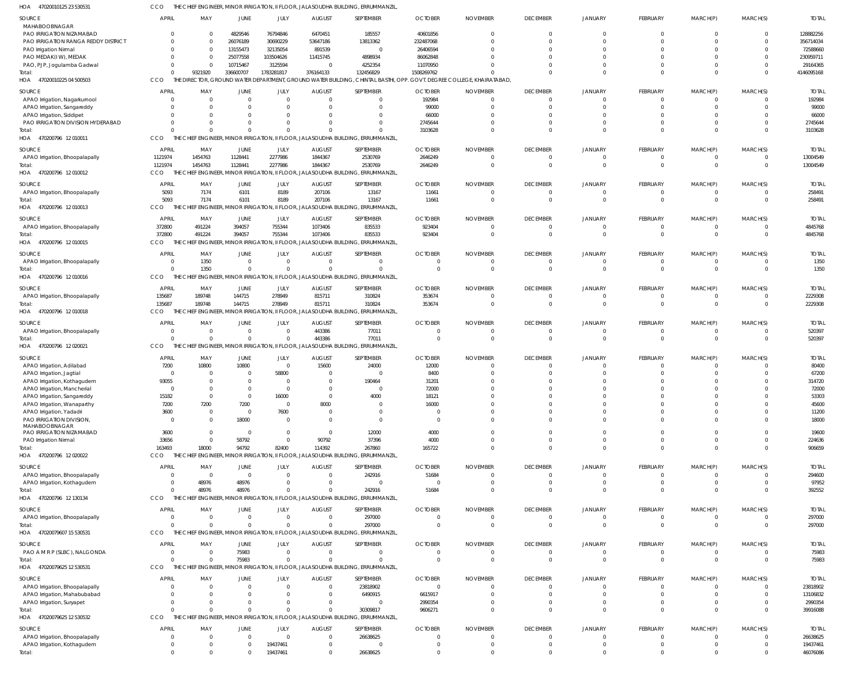47020010125 23 530531 HOA CCO THE CHIEF ENGINEER, MINOR IRRIGATION, II FLOOR, JALASOUDHA BUILDING, ERRUMMANZIL,

| SOURCE<br>MAHABOOBNAGAR                                       | <b>APRIL</b>                | MAY                  | JUNE                       | JULY                             | <b>AUGUST</b>            | SEPTEMBER                                                                              | <b>OCTOBER</b>                | <b>NOVEMBER</b>                      | <b>DECEMBER</b>             | <b>JANUARY</b>             | FEBRUARY                                   | MARCH(P)                         | MARCH(S)                   | <b>TOTAL</b>            |
|---------------------------------------------------------------|-----------------------------|----------------------|----------------------------|----------------------------------|--------------------------|----------------------------------------------------------------------------------------|-------------------------------|--------------------------------------|-----------------------------|----------------------------|--------------------------------------------|----------------------------------|----------------------------|-------------------------|
| PAO IRRIGATION NIZAMABAD                                      | $\mathbf 0$                 | $\Omega$             | 4829546                    | 76794846                         | 6470451                  | 185557                                                                                 | 40601856                      | $\mathbf{0}$                         | $\Omega$                    |                            | $\overline{0}$                             | $\overline{0}$                   | $\mathbf{0}$               | 128882256               |
| PAO IRRIGATION RANGA REDDY DISTRICT                           | $\Omega$                    | $\Omega$             | 26076189                   | 30690229                         | 53647186                 | 13813362                                                                               | 232487068                     | $\Omega$                             | $\cap$                      |                            | $\Omega$                                   | $\Omega$                         | $\Omega$                   | 356714034               |
| PAO Irrigation Nirmal                                         | $\Omega$                    | $\Omega$             | 13155473                   | 32135054                         | 891539                   | $\overline{\phantom{0}}$                                                               | 26406594                      | $\Omega$                             |                             |                            | $\Omega$                                   | $\Omega$                         | $\Omega$                   | 72588660                |
| PAO MEDAK(IW), MEDAK                                          | $\Omega$                    | $\Omega$             | 25077558                   | 103504626                        | 11415745                 | 4898934                                                                                | 86062848                      | $\Omega$                             |                             |                            | $\Omega$                                   | $\Omega$                         | $\Omega$                   | 230959711               |
| PAO, PJP, Jogulamba Gadwal<br>Total:                          | $\mathbf 0$<br>$\Omega$     | $\Omega$<br>9321920  | 10715467<br>336600707      | 3125594<br>1783281817            | $\Omega$<br>376164133    | 4252354<br>132456829                                                                   | 11070950<br>1508269762        | $\Omega$<br>$\Omega$                 |                             |                            | $\Omega$<br>$\Omega$                       | $\Omega$<br>$\Omega$             | $\Omega$<br>$\Omega$       | 29164365<br>4146095168  |
| HOA 47020010225 04 500503                                     | CCO                         |                      |                            |                                  |                          | THE DIRECTOR, GROUND WATER DEPARTMENT, GROUND WATER BUILDING, CHINTAL BASTHI, OPP      |                               | . GOVT. DEGREE COLLEGE, KHAIRATABAD, |                             |                            |                                            |                                  |                            |                         |
| <b>SOURCE</b>                                                 | <b>APRIL</b>                | MAY                  | JUNE                       | JULY                             | <b>AUGUST</b>            | SEPTEMBER                                                                              | <b>OCTOBER</b>                | <b>NOVEMBER</b>                      | <b>DECEMBER</b>             | <b>JANUARY</b>             | <b>FEBRUARY</b>                            | MARCH(P)                         | MARCH(S)                   | <b>TOTAL</b>            |
| APAO Irrigation, Nagarkurnool                                 | $\Omega$                    |                      | $\Omega$                   | $\Omega$                         | $\Omega$                 | $\Omega$                                                                               | 192984                        | $\Omega$                             | $\Omega$                    |                            | $\Omega$                                   | $\Omega$                         | $\Omega$                   | 192984                  |
| APAO Irrigation, Sangareddy                                   | $\Omega$                    | $\Omega$             | $\Omega$                   | $\Omega$                         | $\Omega$                 | $\Omega$                                                                               | 99000                         | $\Omega$                             |                             |                            | $\Omega$                                   | $\Omega$                         | $\Omega$                   | 99000                   |
| APAO Irrigation, Siddipet                                     | $\Omega$                    |                      | $\Omega$                   |                                  |                          | $\Omega$                                                                               | 66000                         | $\Omega$                             |                             |                            | $\Omega$                                   | $\Omega$                         | $\Omega$                   | 66000                   |
| PAO IRRIGATION DIVISION HYDERABAD<br>Total:                   | $\Omega$<br>$\Omega$        |                      | $\Omega$<br>$\Omega$       | $\Omega$<br>$\Omega$             |                          | $\Omega$<br>$\Omega$                                                                   | 2745644<br>3103628            | $\Omega$<br>$\Omega$                 |                             |                            | $\Omega$<br>$\Omega$                       | $\Omega$<br>$\Omega$             | $\Omega$<br>$\Omega$       | 2745644<br>3103628      |
| HOA 470200796 12010011                                        | CCO                         |                      |                            |                                  |                          | THE CHIEF ENGINEER, MINOR IRRIGATION, II FLOOR, JALASOUDHA BUILDING, ERRUMMANZIL       |                               |                                      |                             |                            |                                            |                                  |                            |                         |
| SOURCE                                                        | <b>APRIL</b>                | MAY                  | <b>JUNE</b>                | JULY                             | <b>AUGUST</b>            | SEPTEMBER                                                                              | <b>OCTOBER</b>                | <b>NOVEMBER</b>                      | <b>DECEMBER</b>             | <b>JANUARY</b>             | FEBRUARY                                   | MARCH(P)                         | MARCH(S)                   | <b>TOTAL</b>            |
| APAO Irrigation, Bhoopalapally                                | 1121974                     | 1454763              | 1128441                    | 2277986                          | 1844367                  | 2530769                                                                                | 2646249                       | $\mathbf{0}$                         | $\Omega$                    |                            | $\overline{\mathbf{0}}$                    | $\overline{0}$                   | 0                          | 13004549                |
| Total:                                                        | 1121974                     | 1454763              | 1128441                    | 2277986                          | 1844367                  | 2530769                                                                                | 2646249                       | $\mathbf{0}$                         | $\Omega$                    | $\Omega$                   | $\overline{0}$                             | $\Omega$                         | $\overline{0}$             | 13004549                |
| HOA 470200796 12010012                                        | CCO                         |                      |                            |                                  |                          | THE CHIEF ENGINEER, MINOR IRRIGATION, II FLOOR, JALASOUDHA BUILDING, ERRUMMANZIL       |                               |                                      |                             |                            |                                            |                                  |                            |                         |
| <b>SOURCE</b>                                                 | APRIL                       | MAY                  | JUNE                       | JULY                             | <b>AUGUST</b>            | SEPTEMBER                                                                              | <b>OCTOBER</b>                | <b>NOVEMBER</b>                      | <b>DECEMBER</b>             | <b>JANUARY</b>             | FEBRUARY                                   | MARCH(P)                         | MARCH(S)                   | <b>TOTAL</b>            |
| APAO Irrigation, Bhoopalapally                                | 5093                        | 7174                 | 6101                       | 8189                             | 207106                   | 13167                                                                                  | 11661                         | $\Omega$                             | $\Omega$                    | $\Omega$                   | $\overline{\mathbf{0}}$                    | $\Omega$                         | $\Omega$                   | 258491                  |
| Total:<br>470200796 12 010013<br>HOA                          | 5093<br>CCO                 | 7174                 | 6101                       | 8189                             | 207106                   | 13167<br>CHIEF ENGINEER, MINOR IRRIGATION, II FLOOR, JALASOUDHA BUILDING, ERRUMMANZIL  | 11661                         | $\Omega$                             | $\Omega$                    |                            | $\Omega$                                   | $\Omega$                         | $\Omega$                   | 258491                  |
|                                                               |                             |                      |                            |                                  |                          |                                                                                        |                               |                                      |                             |                            |                                            |                                  |                            |                         |
| SOURCE                                                        | <b>APRIL</b><br>372800      | MAY<br>491224        | <b>JUNE</b><br>394057      | JULY<br>755344                   | <b>AUGUST</b><br>1073406 | SEPTEMBER<br>835533                                                                    | <b>OCTOBER</b><br>923404      | <b>NOVEMBER</b><br>$\overline{0}$    | <b>DECEMBER</b><br>$\Omega$ | <b>JANUARY</b><br>$\Omega$ | FEBRUARY<br>$\overline{\mathbf{0}}$        | MARCH(P)<br>$\overline{0}$       | MARCH(S)<br>$\overline{0}$ | <b>TOTAL</b><br>4845768 |
| APAO Irrigation, Bhoopalapally<br>Total:                      | 372800                      | 491224               | 394057                     | 755344                           | 1073406                  | 835533                                                                                 | 923404                        | $\mathbf 0$                          | $\Omega$                    |                            | $\Omega$                                   | $\Omega$                         | $\Omega$                   | 4845768                 |
| HOA 470200796 12 010015                                       | CCO                         |                      |                            |                                  |                          | THE CHIEF ENGINEER, MINOR IRRIGATION, II FLOOR, JALASOUDHA BUILDING, ERRUMMANZIL       |                               |                                      |                             |                            |                                            |                                  |                            |                         |
| SOURCE                                                        | <b>APRIL</b>                | MAY                  | JUNE                       | JULY                             | <b>AUGUST</b>            | SEPTEMBER                                                                              | <b>OCTOBER</b>                | <b>NOVEMBER</b>                      | <b>DECEMBER</b>             | <b>JANUARY</b>             | FEBRUARY                                   | MARCH(P)                         | MARCH(S)                   | <b>TOTAL</b>            |
| APAO Irrigation, Bhoopalapally                                | $\Omega$                    | 1350                 | $\Omega$                   | $\overline{0}$                   | $\Omega$                 | $\Omega$                                                                               | 0                             | $\Omega$                             | $\Omega$                    |                            | $\Omega$                                   | $\Omega$                         | $\Omega$                   | 1350                    |
| Total:                                                        | $\Omega$                    | 1350                 | $\Omega$                   | $\Omega$                         | $\Omega$                 | $\Omega$                                                                               | $\Omega$                      | $\Omega$                             | $\Omega$                    |                            | $\Omega$                                   | $\Omega$                         | $\Omega$                   | 1350                    |
| HOA 470200796 12010016                                        | CCO                         |                      |                            |                                  |                          | THE CHIEF ENGINEER, MINOR IRRIGATION, II FLOOR, JALASOUDHA BUILDING, ERRUMMANZIL       |                               |                                      |                             |                            |                                            |                                  |                            |                         |
| SOURCE                                                        | <b>APRIL</b>                | MAY                  | <b>JUNE</b>                | JULY                             | <b>AUGUST</b>            | SEPTEMBER                                                                              | <b>OCTOBER</b>                | <b>NOVEMBER</b>                      | <b>DECEMBER</b>             | <b>JANUARY</b>             | FEBRUARY                                   | MARCH(P)                         | MARCH(S)                   | <b>TOTAL</b>            |
| APAO Irrigation, Bhoopalapally                                | 135687                      | 189748               | 144715                     | 278949                           | 815711                   | 310824                                                                                 | 353674                        | $\overline{0}$                       | $\Omega$                    |                            | $\overline{0}$                             | $\Omega$                         | 0                          | 2229308                 |
| Total:<br>HOA 470200796 12010018                              | 135687<br>CCO               | 189748               | 144715                     | 278949                           | 815711                   | 310824<br>CHIEF ENGINEER, MINOR IRRIGATION, II FLOOR, JALASOUDHA BUILDING, ERRUMMANZIL | 353674                        | $\mathbf 0$                          | $\Omega$                    |                            | $\overline{0}$                             | $\Omega$                         | $\Omega$                   | 2229308                 |
|                                                               |                             |                      |                            |                                  |                          |                                                                                        |                               |                                      |                             |                            |                                            |                                  |                            |                         |
| SOURCE<br>APAO Irrigation, Bhoopalapally                      | <b>APRIL</b><br>$\mathbf 0$ | MAY                  | JUNE<br>$\Omega$           | JULY<br>$\overline{0}$           | <b>AUGUST</b><br>443386  | SEPTEMBER<br>77011                                                                     | <b>OCTOBER</b><br>$\mathbf 0$ | <b>NOVEMBER</b><br>$\Omega$          | <b>DECEMBER</b><br>$\Omega$ | <b>JANUARY</b>             | <b>FEBRUARY</b><br>$\overline{\mathbf{0}}$ | MARCH(P)<br>$\Omega$             | MARCH(S)<br>$\Omega$       | <b>TOTAL</b><br>520397  |
| Total:                                                        | $\Omega$                    | $\Omega$             | $\Omega$                   | $\Omega$                         | 443386                   | 77011                                                                                  | $\Omega$                      | $\Omega$                             | $\Omega$                    | $\Omega$                   | $\Omega$                                   | $\Omega$                         | $\Omega$                   | 520397                  |
| HOA 470200796 12020021                                        | CCO                         |                      |                            |                                  |                          | THE CHIEF ENGINEER, MINOR IRRIGATION, II FLOOR, JALASOUDHA BUILDING, ERRUMMANZIL       |                               |                                      |                             |                            |                                            |                                  |                            |                         |
| SOURCE                                                        | <b>APRIL</b>                | MAY                  | <b>JUNE</b>                | JULY                             | <b>AUGUST</b>            | SEPTEMBER                                                                              | <b>OCTOBER</b>                | <b>NOVEMBER</b>                      | <b>DECEMBER</b>             | <b>JANUARY</b>             | <b>FEBRUARY</b>                            | MARCH(P)                         | MARCH(S)                   | <b>TOTAL</b>            |
| APAO Irrigation, Adilabad                                     | 7200                        | 10800                | 10800                      | $\overline{0}$                   | 15600                    | 24000                                                                                  | 12000                         | $\mathbf{0}$                         | $\Omega$                    | $\Omega$                   | $\Omega$                                   | $\Omega$                         | $\Omega$                   | 80400                   |
| APAO Irrigation, Jagtial                                      | 0                           | $\Omega$             | $\Omega$                   | 58800                            | $\Omega$                 | $\overline{0}$                                                                         | 8400                          | $\Omega$                             |                             |                            | $\Omega$                                   | $\Omega$                         | $\Omega$                   | 67200                   |
| APAO Irrigation, Kothagudem                                   | 93055                       | $\Omega$             | $\Omega$                   | $\Omega$                         | $\Omega$                 | 190464                                                                                 | 31201                         | $\Omega$                             |                             |                            | $\Omega$                                   | $\Omega$                         | $\Omega$                   | 314720                  |
| APAO Irrigation, Mancherial                                   | $\Omega$                    | $\Omega$             | $\Omega$                   | $\Omega$                         | $\Omega$                 | $\Omega$                                                                               | 72000                         | $\Omega$                             |                             |                            | $\Omega$                                   | $\Omega$                         | $\Omega$                   | 72000                   |
| APAO Irrigation, Sangareddy<br>APAO Irrigation, Wanaparthy    | 15182<br>7200               | $\Omega$<br>7200     | $\Omega$<br>7200           | 16000<br>$\overline{0}$          | 8000                     | 4000<br>$\overline{0}$                                                                 | 18121<br>16000                | $\Omega$                             |                             |                            | $\Omega$                                   | $\Omega$                         | $\Omega$                   | 53303<br>45600          |
| APAO Irrigation, Yadadri                                      | 3600                        | $\mathbf{0}$         | $\overline{0}$             | 7600                             | $\Omega$                 | $\overline{0}$                                                                         | $\mathbf 0$                   | $\mathbf{0}$                         |                             |                            | $\overline{0}$                             | $\overline{0}$                   | $\Omega$                   | 11200                   |
| PAO IRRIGATION DIVISION,                                      | 0                           | $\Omega$             | 18000                      | $\overline{0}$                   | $\Omega$                 | $\Omega$                                                                               | $\overline{0}$                | $\Omega$                             |                             |                            | $\Omega$                                   | $\Omega$                         | $\Omega$                   | 18000                   |
| MAHABOOBNAGAR<br>PAO IRRIGATION NIZAMABAD                     |                             | $\mathbf{0}$         | $\overline{0}$             | $\overline{0}$                   | $\Omega$                 | 12000                                                                                  | 4000                          | $\Omega$                             |                             |                            | $\Omega$                                   | $\Omega$                         | $\Omega$                   |                         |
| PAO Irrigation Nirmal                                         | 3600<br>33656               | $\mathbf{0}$         | 58792                      | $\overline{0}$                   | 90792                    | 37396                                                                                  | 4000                          | $\mathbf 0$                          | $\Omega$                    |                            | $\overline{0}$                             | $\overline{0}$                   | $\Omega$                   | 19600<br>224636         |
| Total:                                                        | 163493                      | 18000                | 94792                      | 82400                            | 114392                   | 267860                                                                                 | 165722                        | $\mathbf 0$                          | $\Omega$                    | $\Omega$                   | $\overline{0}$                             | $\Omega$                         | $\Omega$                   | 906659                  |
| HOA 470200796 12 020022                                       | CCO                         |                      |                            |                                  |                          | THE CHIEF ENGINEER, MINOR IRRIGATION, II FLOOR, JALASOUDHA BUILDING, ERRUMMANZIL       |                               |                                      |                             |                            |                                            |                                  |                            |                         |
| SOURCE                                                        | <b>APRIL</b>                | MAY                  | <b>JUNE</b>                | JULY                             | <b>AUGUST</b>            | SEPTEMBER                                                                              | <b>OCTOBER</b>                | <b>NOVEMBER</b>                      | <b>DECEMBER</b>             | <b>JANUARY</b>             | <b>FEBRUARY</b>                            | MARCH(P)                         | MARCH(S)                   | <b>TOTAL</b>            |
| APAO Irrigation, Bhoopalapally                                | 0                           | $\Omega$             | $\Omega$                   | $\overline{0}$                   | $\Omega$                 | 242916                                                                                 | 51684                         | $\Omega$                             | $\Omega$                    |                            | $\Omega$                                   | $\Omega$                         | $\Omega$                   | 294600                  |
| APAO Irrigation, Kothagudem                                   | $\mathbf 0$                 | 48976                | 48976                      | $\Omega$                         | $\Omega$                 | $\Omega$                                                                               | $\Omega$                      | $\Omega$                             | $\Omega$                    |                            | $\overline{0}$                             | $\Omega$                         | $\Omega$                   | 97952                   |
| Total:                                                        | $\Omega$                    | 48976                | 48976                      | $\Omega$                         | $\Omega$                 | 242916                                                                                 | 51684                         | $\Omega$                             | $\Omega$                    |                            | $\Omega$                                   | $\Omega$                         | $\Omega$                   | 392552                  |
| HOA 470200796 12 130134                                       | CCO                         |                      |                            |                                  |                          | THE CHIEF ENGINEER, MINOR IRRIGATION, II FLOOR, JALASOUDHA BUILDING, ERRUMMANZIL       |                               |                                      |                             |                            |                                            |                                  |                            |                         |
| SOURCE                                                        | <b>APRIL</b>                | MAY                  | <b>JUNE</b>                | JULY                             | <b>AUGUST</b>            | SEPTEMBER                                                                              | <b>OCTOBER</b>                | <b>NOVEMBER</b>                      | <b>DECEMBER</b>             | <b>JANUARY</b>             | FEBRUARY                                   | MARCH(P)                         | MARCH(S)                   | <b>TOTAL</b>            |
| APAO Irrigation, Bhoopalapally                                | 0<br>$\Omega$               | $\Omega$<br>$\Omega$ | $\overline{0}$<br>$\Omega$ | $\overline{0}$<br>$\overline{0}$ | $\Omega$<br>$\Omega$     | 297000<br>297000                                                                       | $\mathbf 0$<br>$\mathbf 0$    | $\mathbf{0}$<br>$\mathbf{0}$         | $\Omega$<br>$\Omega$        |                            | $\overline{\mathbf{0}}$<br>$\overline{0}$  | $\overline{0}$<br>$\overline{0}$ | 0<br>$\overline{0}$        | 297000<br>297000        |
| Total:<br>HOA 47020079607 15 530531                           | CCO                         |                      |                            |                                  |                          | THE CHIEF ENGINEER, MINOR IRRIGATION, II FLOOR, JALASOUDHA BUILDING, ERRUMMANZIL       |                               |                                      |                             |                            |                                            |                                  |                            |                         |
| SOURCE                                                        | <b>APRIL</b>                | MAY                  | <b>JUNE</b>                | JULY                             | <b>AUGUST</b>            | SEPTEMBER                                                                              | <b>OCTOBER</b>                | <b>NOVEMBER</b>                      | <b>DECEMBER</b>             | <b>JANUARY</b>             | FEBRUARY                                   | MARCH(P)                         | MARCH(S)                   | <b>TOTAL</b>            |
| PAO A M R P (SLBC), NALGONDA                                  | $\Omega$                    | $\Omega$             | 75983                      | $\overline{0}$                   | $\Omega$                 | $\Omega$                                                                               | $\mathbf 0$                   | $\Omega$                             | $\Omega$                    | $\Omega$                   | $\overline{\mathbf{0}}$                    | $\overline{0}$                   | $\Omega$                   | 75983                   |
| Total:                                                        | $\Omega$                    | $\Omega$             | 75983                      | $\overline{0}$                   | $\Omega$                 | $\Omega$                                                                               | $\mathbf 0$                   | $\mathbf{0}$                         | $\Omega$                    | $\Omega$                   | $\Omega$                                   | $\Omega$                         | $\Omega$                   | 75983                   |
| HOA 47020079625 12 530531                                     | CCO                         |                      |                            |                                  |                          | THE CHIEF ENGINEER, MINOR IRRIGATION, II FLOOR, JALASOUDHA BUILDING, ERRUMMANZIL       |                               |                                      |                             |                            |                                            |                                  |                            |                         |
| SOURCE                                                        | <b>APRIL</b>                | MAY                  | <b>JUNE</b>                | JULY                             | <b>AUGUST</b>            | SEPTEMBER                                                                              | <b>OCTOBER</b>                | <b>NOVEMBER</b>                      | <b>DECEMBER</b>             | <b>JANUARY</b>             | FEBRUARY                                   | MARCH(P)                         | MARCH(S)                   | <b>TOTAL</b>            |
| APAO Irrigation, Bhoopalapally                                | $\overline{0}$              | $\Omega$             | $\Omega$                   | $\overline{0}$                   | $\Omega$                 | 23818902                                                                               | $\overline{0}$                | $\mathbf{0}$                         | $\Omega$                    | $\Omega$                   | $\overline{0}$                             | $\Omega$                         | $\Omega$                   | 23818902                |
| APAO Irrigation, Mahabubabad                                  | $\mathbf 0$                 | $\Omega$             | $\Omega$                   | $\Omega$                         | $\Omega$                 | 6490915                                                                                | 6615917                       | $\mathbf{0}$                         |                             |                            | $\Omega$                                   | $\Omega$                         | $\Omega$                   | 13106832                |
| APAO Irrigation, Suryapet                                     | $\Omega$                    | $\Omega$             | $\Omega$                   | $\Omega$                         | $\Omega$                 | $\overline{0}$                                                                         | 2990354                       | $\mathbf{0}$                         |                             |                            | $\overline{0}$                             | $\overline{0}$                   | 0                          | 2990354                 |
| Total:                                                        | $\Omega$                    | $\Omega$             | $\Omega$                   | $\overline{0}$                   | $\Omega$                 | 30309817                                                                               | 9606271                       | $\Omega$                             | $\Omega$                    |                            | $\Omega$                                   | $\Omega$                         | $\Omega$                   | 39916088                |
| HOA 47020079625 12 530532                                     | CCO                         |                      |                            |                                  |                          | THE CHIEF ENGINEER, MINOR IRRIGATION, II FLOOR, JALASOUDHA BUILDING, ERRUMMANZIL       |                               |                                      |                             |                            |                                            |                                  |                            |                         |
| SOURCE                                                        | <b>APRIL</b>                | MAY                  | JUNE                       | JULY                             | <b>AUGUST</b>            | SEPTEMBER                                                                              | <b>OCTOBER</b>                | <b>NOVEMBER</b>                      | <b>DECEMBER</b>             | <b>JANUARY</b>             | FEBRUARY                                   | MARCH(P)                         | MARCH(S)                   | <b>TOTAL</b>            |
| APAO Irrigation, Bhoopalapally<br>APAO Irrigation, Kothagudem | 0<br>$\mathbf 0$            | $\Omega$             | $\Omega$<br>$\overline{0}$ | $\Omega$<br>19437461             | $\Omega$<br>$\Omega$     | 26638625<br>0                                                                          | 0<br>$\mathbf 0$              | $\overline{0}$<br>$\mathbf{0}$       | $\Omega$<br>- 0             |                            | $\Omega$<br>$\overline{0}$                 | $\Omega$<br>$\overline{0}$       | $\Omega$                   | 26638625<br>19437461    |
| Total:                                                        | $\Omega$                    | $\Omega$             | $\Omega$                   | 19437461                         | $\Omega$                 | 26638625                                                                               | $\mathbf 0$                   | $\Omega$                             | $\Omega$                    |                            | $\mathbf 0$                                | $\Omega$                         | $\Omega$                   | 46076086                |
|                                                               |                             |                      |                            |                                  |                          |                                                                                        |                               |                                      |                             |                            |                                            |                                  |                            |                         |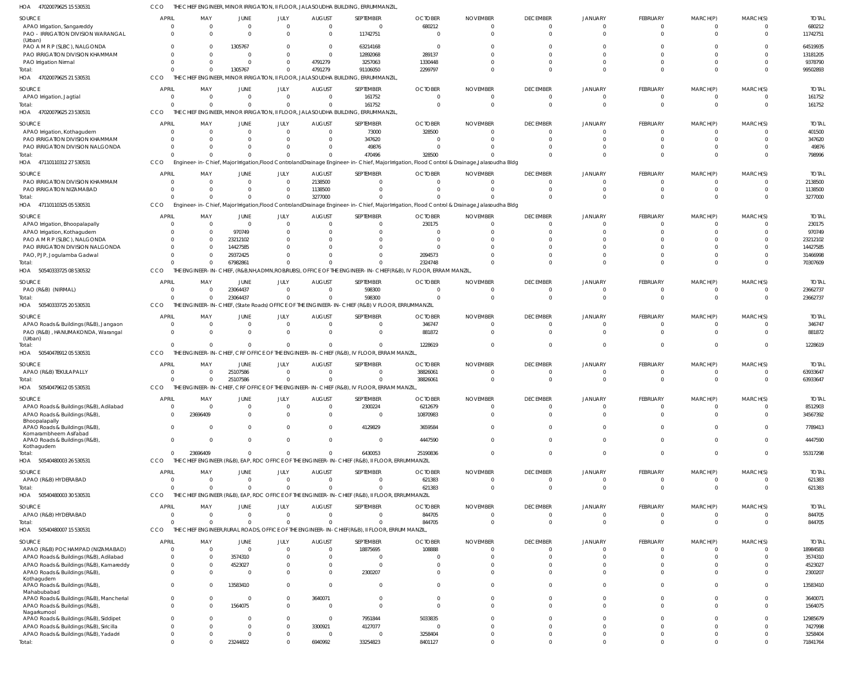47020079625 15 530531 HOA CCO THE CHIEF ENGINEER, MINOR IRRIGATION, II FLOOR, JALASOUDHA BUILDING, ERRUMMANZIL,

| SOURCE<br>APAO Irrigation, Sangareddy<br>PAO - IRRIGATION DIVISION WARANGAL                   | <b>APRIL</b><br>- 0<br>$\Omega$      | MAY<br>$\Omega$<br>$\Omega$ | JUNE<br>$\overline{0}$<br>$\Omega$   | JULY<br>$\mathbf 0$<br>$\Omega$  | <b>AUGUST</b><br>$\overline{0}$<br>$\Omega$ | SEPTEMBER<br>$\overline{0}$<br>11742751                                                                          | <b>OCTOBER</b><br>680212                                                                                                                   | <b>NOVEMBER</b><br>$\Omega$<br>$\Omega$ | <b>DECEMBER</b><br>0<br>$\Omega$ | <b>JANUARY</b><br>$\Omega$<br>$\Omega$ | FEBRUARY<br>$\overline{0}$<br>$\Omega$ | MARCH(P)<br>0<br>$\Omega$        | MARCH(S)<br>$\Omega$<br>$\Omega$ | <b>TOTAL</b><br>680212<br>11742751 |
|-----------------------------------------------------------------------------------------------|--------------------------------------|-----------------------------|--------------------------------------|----------------------------------|---------------------------------------------|------------------------------------------------------------------------------------------------------------------|--------------------------------------------------------------------------------------------------------------------------------------------|-----------------------------------------|----------------------------------|----------------------------------------|----------------------------------------|----------------------------------|----------------------------------|------------------------------------|
| (Urban)<br>PAO A M R P (SLBC), NALGONDA<br>PAO IRRIGATION DIVISION KHAMMAM                    | $\Omega$<br>$\Omega$                 | - 0<br>- 0                  | 1305767<br>$\Omega$                  | $\Omega$<br>$\Omega$             | $\Omega$<br>$\overline{0}$                  | 63214168<br>12892068                                                                                             | $\Omega$<br>289137                                                                                                                         |                                         |                                  |                                        | $\Omega$<br>$\Omega$                   | $\Omega$<br>$\Omega$             | $\Omega$<br>$\Omega$             | 64519935<br>13181205               |
| PAO Irrigation Nirmal<br>Total:<br>HOA 47020079625 21 530531                                  | $\Omega$<br>$\Omega$<br><b>CCO</b>   | $\Omega$                    | $\Omega$<br>1305767                  | $\Omega$<br>$\Omega$             | 4791279<br>4791279                          | 3257063<br>91106050<br>THE CHIEF ENGINEER, MINOR IRRIGATION, II FLOOR, JALASOUDHA BUILDING, ERRUMMANZIL          | 1330448<br>2299797                                                                                                                         |                                         | $\Omega$<br>$\Omega$             |                                        | $\Omega$<br>$\Omega$                   | $\Omega$<br>$\Omega$             | $\Omega$<br>$\Omega$             | 9378790<br>99502893                |
| SOURCE<br>APAO Irrigation, Jagtial                                                            | <b>APRIL</b><br>- 0                  | MAY<br>$\Omega$             | <b>JUNE</b><br>$\Omega$              | <b>JULY</b><br>$\Omega$          | <b>AUGUST</b><br>$\Omega$                   | SEPTEMBER<br>161752                                                                                              | <b>OCTOBER</b>                                                                                                                             | <b>NOVEMBER</b><br>$\Omega$             | <b>DECEMBER</b><br>$\Omega$      | <b>JANUARY</b><br>$\Omega$             | FEBRUARY<br>$\Omega$                   | MARCH(P)<br>$\Omega$             | MARCH(S)<br>$\Omega$             | <b>TOTAL</b><br>161752             |
| Total:<br>47020079625 23 530531<br>HOA                                                        | $\Omega$<br>CCO                      | THF                         | $\Omega$                             | $\Omega$                         | $\Omega$                                    | 161752<br>ENGINEER, MINOR IRRIGATION, II FLOOR, JALASOUDHA BUILDING, ERRUMMANZIL                                 |                                                                                                                                            |                                         | $\Omega$                         | $\Omega$                               | $\Omega$                               | $\Omega$                         | $\Omega$                         | 161752                             |
| SOURCE<br>APAO Irrigation, Kothagudem                                                         | <b>APRIL</b><br>- 0                  | MAY<br>$\Omega$             | JUNE<br>$\Omega$                     | JULY<br>$\Omega$                 | <b>AUGUST</b><br>$\Omega$                   | SEPTEMBER<br>73000                                                                                               | <b>OCTOBER</b><br>328500                                                                                                                   | <b>NOVEMBER</b>                         | <b>DECEMBER</b><br>$\Omega$      | JANUARY                                | FEBRUARY<br>$\Omega$                   | MARCH(P)<br>$\Omega$             | MARCH(S)<br>$\Omega$             | <b>TOTAL</b><br>401500             |
| PAO IRRIGATION DIVISION KHAMMAM<br>PAO IRRIGATION DIVISION NALGONDA<br>Total:                 | $\Omega$<br>-0<br>$\Omega$           | $\Omega$                    | $\Omega$<br><sup>0</sup><br>$\Omega$ | $\Omega$<br>$\Omega$<br>$\Omega$ | $\Omega$<br>$\Omega$                        | 347620<br>49876<br>470496                                                                                        | 328500                                                                                                                                     |                                         | $\Omega$                         |                                        | $\Omega$<br>$\Omega$<br>$\Omega$       | $\Omega$<br>$\Omega$<br>$\Omega$ | $\Omega$<br>$\Omega$             | 347620<br>49876<br>798996          |
| HOA 47110110312 27 530531                                                                     | CCO                                  |                             |                                      |                                  |                                             |                                                                                                                  | Engineer-in-Chief, Major Irrigation,Flood ControlandDrainage Engineer-in-Chief, Major Irrigation, Flood Control & Drainage,Jalasoudha Bldg |                                         |                                  |                                        |                                        |                                  |                                  |                                    |
| SOURCE<br>PAO IRRIGATION DIVISION KHAMMAM<br>PAO IRRIGATION NIZAMABAD                         | <b>APRIL</b><br>$\Omega$<br>$\Omega$ | MAY<br>$\Omega$             | JUNE<br>$\Omega$<br>$\Omega$         | JULY<br>$\mathbf 0$<br>$\Omega$  | <b>AUGUST</b><br>2138500<br>1138500         | SEPTEMBER<br>$\Omega$<br>$\Omega$                                                                                | <b>OCTOBER</b>                                                                                                                             | <b>NOVEMBER</b>                         | <b>DECEMBER</b>                  | <b>JANUARY</b>                         | FEBRUARY<br>0<br>$\Omega$              | MARCH(P)<br>C<br>$\Omega$        | MARCH(S)<br>$\Omega$<br>$\Omega$ | <b>TOTAL</b><br>2138500<br>1138500 |
| Total:<br>10110325 05 530531<br>HOA<br>471                                                    | CCO                                  |                             | $\Omega$                             | $\Omega$                         | 3277000                                     |                                                                                                                  | Engineer-in-Chief, Major Irrigation,Flood ControlandDrainage Engineer-in-Chief, Major Irrigation, Flood Control & Drainage,Jalasoudha Bldg |                                         |                                  |                                        | $\Omega$                               | $\Omega$                         | $\Omega$                         | 3277000                            |
| SOURCE                                                                                        | <b>APRIL</b>                         | MAY                         | <b>JUNE</b>                          | JULY                             | <b>AUGUST</b>                               | SEPTEMBER                                                                                                        | <b>OCTOBER</b>                                                                                                                             | <b>NOVEMBER</b>                         | <b>DECEMBER</b>                  | JANUARY                                | FEBRUARY                               | MARCH(P)                         | MARCH(S)                         | <b>TOTAL</b>                       |
| APAO Irrigation, Bhoopalapally<br>APAO Irrigation, Kothagudem<br>PAO A M R P (SLBC), NALGONDA | $\Omega$<br>-0<br>$\Omega$           | $\Omega$<br>$\Omega$<br>- 0 | $\overline{0}$<br>970749<br>23212102 | $\Omega$<br>$\Omega$<br>$\Omega$ | $\Omega$<br>$\Omega$                        | $\Omega$<br>$\mathbf{0}$<br>$\Omega$                                                                             | 230175                                                                                                                                     |                                         | $\Omega$<br>U                    |                                        | $\Omega$<br>$\Omega$<br>$\Omega$       | $\Omega$<br>$\Omega$             | $\Omega$<br>$\Omega$             | 230175<br>970749<br>23212102       |
| PAO IRRIGATION DIVISION NALGONDA<br>PAO, PJP, Jogulamba Gadwal                                | $\Omega$<br>$\Omega$                 | - 0                         | 14427585<br>29372425                 | $\Omega$<br>$\Omega$             | <sup>0</sup>                                | $\Omega$<br>$\Omega$                                                                                             | 2094573                                                                                                                                    |                                         |                                  |                                        | $\Omega$<br>$\Omega$                   | $\Omega$<br>$\Omega$             | $\Omega$<br>$\Omega$             | 14427585<br>31466998               |
| Total:<br>HOA<br>50540333725 08 530532                                                        | $\Omega$<br><b>CCO</b>               |                             | 67982861                             | $\Omega$                         | $\Omega$                                    | $\Omega$                                                                                                         | 2324748<br>THE ENGINEER-IN-CHIEF, (R&B,NH,ADMN,ROB/RUBS), OFFICE OF THE ENGINEER-IN-CHIEF(R&B), IV FLOOR, ERRAM MANZIL,                    |                                         |                                  |                                        | $\Omega$                               | $\Omega$                         | $\Omega$                         | 70307609                           |
| SOURCE<br>PAO (R&B) (NIRMAL)                                                                  | <b>APRIL</b><br>$\Omega$             | MAY<br>- 0                  | JUNE<br>23064437                     | JULY<br>$\Omega$                 | <b>AUGUST</b><br>$\Omega$                   | SEPTEMBER<br>598300                                                                                              | <b>OCTOBER</b>                                                                                                                             | <b>NOVEMBER</b>                         | <b>DECEMBER</b><br>0             | <b>JANUARY</b>                         | FEBRUARY<br>$\Omega$                   | MARCH(P)<br>$\Omega$             | MARCH(S)<br>$\Omega$             | <b>TOTAI</b><br>23662737           |
| Total:<br>HOA 50540333725 20 530531                                                           | $\Omega$<br>CCO                      |                             | 23064437                             | $\mathbf 0$                      | $\Omega$                                    | 598300<br>THE ENGINEER-IN-CHIEF, (State Roads) OFFICE OF THE ENGINEER-IN-CHIEF (R&B) V FLOOR, ERRUMMANZIL        |                                                                                                                                            |                                         | $\Omega$                         |                                        | $\Omega$                               | $\Omega$                         | $\overline{0}$                   | 23662737                           |
| SOURCE<br>APAO Roads & Buildings (R&B), Jangaon<br>PAO (R&B), HANUMAKONDA, Warangal           | <b>APRIL</b><br>- 0<br>$\Omega$      | MAY<br>$\Omega$<br>$\Omega$ | JUNE<br>$\overline{0}$<br>$\Omega$   | JULY<br>$\mathbf 0$<br>$\Omega$  | <b>AUGUST</b><br>$\Omega$<br>$\Omega$       | SEPTEMBER<br>$\overline{0}$<br>$\mathbf{0}$                                                                      | <b>OCTOBER</b><br>346747<br>881872                                                                                                         | <b>NOVEMBER</b><br>$\Omega$             | <b>DECEMBER</b><br>0<br>$\Omega$ | <b>JANUARY</b><br>0<br>$\Omega$        | FEBRUARY<br>$\mathbf{0}$<br>$\Omega$   | MARCH(P)<br>$\Omega$<br>$\Omega$ | MARCH(S)<br>$\Omega$<br>$\Omega$ | <b>TOTAL</b><br>346747<br>881872   |
| (Urban)<br>Total:<br>HOA<br>50540478912 05 530531                                             | $\Omega$<br>CCO                      | $\Omega$                    | $\Omega$                             | $\Omega$                         | $\Omega$                                    | $\Omega$<br>THE ENGINEER-IN-CHIEF, CRF OFFICE OF THE ENGINEER-IN-CHIEF (R&B), IV FLOOR, ERRAM MANZIL             | 1228619                                                                                                                                    |                                         | $\Omega$                         |                                        | $\Omega$                               | $\Omega$                         | $\Omega$                         | 1228619                            |
| SOURCE                                                                                        | <b>APRIL</b>                         | MAY                         | JUNE                                 | JULY                             | <b>AUGUST</b>                               | SEPTEMBER                                                                                                        | <b>OCTOBER</b>                                                                                                                             | <b>NOVEMBER</b>                         | <b>DECEMBER</b>                  | <b>JANUARY</b>                         | FEBRUARY                               | MARCH(P)                         | MARCH(S)                         | <b>TOTAL</b>                       |
| APAO (R&B) TEKULAPALLY<br>Total:<br>HOA 5054047961205530531                                   | $\Omega$<br><b>CCO</b>               | $\Omega$                    | 25107586<br>25107586                 | $\Omega$<br>$\Omega$             | $\Omega$<br>$\Omega$                        | $\Omega$<br>$\Omega$<br>THE ENGINEER-IN-CHIEF, CRF OFFICE OF THE ENGINEER-IN-CHIEF (R&B), IV FLOOR, ERRAM MANZIL | 38826061<br>38826061                                                                                                                       |                                         | 0<br>$\Omega$                    |                                        | $\Omega$<br>$\Omega$                   | $\Omega$                         | $\Omega$<br>$\Omega$             | 63933647<br>63933647               |
| SOURCE                                                                                        | <b>APRIL</b>                         | MAY<br>- 0                  | <b>JUNE</b>                          | JULY<br>$\Omega$                 | <b>AUGUST</b><br>$\Omega$                   | SEPTEMBER                                                                                                        | <b>OCTOBER</b>                                                                                                                             | <b>NOVEMBER</b><br>- 0                  | <b>DECEMBER</b><br>$\Omega$      | JANUARY<br>$\Omega$                    | FEBRUARY                               | MARCH(P)                         | MARCH(S)<br>$\Omega$             | <b>TOTAL</b>                       |
| APAO Roads & Buildings (R&B), Adilabad<br>APAO Roads & Buildings (R&B),<br>Bhoopalapally      | $\overline{0}$<br>$\Omega$           | 23696409                    | $\overline{0}$<br>$\Omega$           | $\mathbf 0$                      | $\overline{0}$                              | 2300224<br>$\mathbf 0$                                                                                           | 6212679<br>10870983                                                                                                                        | $\Omega$                                | $\Omega$                         | $\Omega$                               | $\overline{0}$<br>$\mathbf{0}$         | $\mathbf 0$<br>$\mathbf 0$       | $\Omega$                         | 8512903<br>34567392                |
| APAO Roads & Buildings (R&B),<br>Komarambheem Asifabad<br>APAO Roads & Buildings (R&B),       | $\mathbf 0$<br>$\Omega$              | - 0<br>$\Omega$             | $\mathbf 0$<br>$\overline{0}$        | $\Omega$<br>$\mathbf 0$          | $\Omega$<br>$\overline{0}$                  | 4129829<br>$\overline{0}$                                                                                        | 3659584<br>4447590                                                                                                                         | $\Omega$                                | $\Omega$<br>$\Omega$             | $\Omega$<br>$\Omega$                   | $\mathbf 0$<br>$\Omega$                | $\mathbf 0$<br>$\mathbf{0}$      | $\Omega$<br>$\Omega$             | 7789413<br>4447590                 |
| Kothagudem<br>Total:<br>HOA<br>50540480003 26 530531                                          | $\Omega$<br>CCO                      | 23696409                    | $\Omega$                             | $\Omega$                         | $\Omega$                                    | 6430053<br>THE CHIEF ENGINEER (R&B), EAP, RDC OFFICE OF THE ENGINEER-IN-CHIEF (R&B), II FLOOR, ERRUMMANZIL       | 25190836                                                                                                                                   | $\Omega$                                | $\Omega$                         | $\Omega$                               | $\overline{0}$                         | $\mathbf 0$                      | $\Omega$                         | 55317298                           |
| <b>SOURCE</b><br>APAO (R&B) HYDERABAD                                                         | <b>APRIL</b><br>- 0                  | MAY<br>$\Omega$             | JUNE<br>$\Omega$                     | JULY<br>$\Omega$                 | <b>AUGUST</b><br>$\Omega$                   | SEPTEMBER<br>$\Omega$                                                                                            | <b>OCTOBER</b><br>621383                                                                                                                   | <b>NOVEMBER</b>                         | <b>DECEMBER</b><br>0             | JANUARY                                | <b>FEBRUARY</b><br>$\Omega$            | MARCH(P)<br>$\Omega$             | MARCH(S)<br>$\Omega$             | <b>TOTAL</b><br>621383             |
| Total:<br>HOA 50540480003 30 530531                                                           | $\Omega$<br>CCO                      |                             | $\Omega$                             | $\Omega$                         | $\Omega$                                    | $\Omega$<br>THE CHIEF ENGINEER (R&B), EAP, RDC OFFICE OF THE ENGINEER-IN-CHIEF (R&B), II FLOOR, ERRUMMANZIL      | 621383                                                                                                                                     | $\Omega$                                | $\Omega$                         | $\Omega$                               | $\Omega$                               | $\Omega$                         | $\Omega$                         | 621383                             |
| SOURCE<br>APAO (R&B) HYDERABAD                                                                | <b>APRIL</b><br>- 0                  | MAY<br>$\Omega$             | JUNE<br>$\overline{0}$               | JULY<br>$\mathbf 0$              | <b>AUGUST</b><br>$\Omega$                   | SEPTEMBER<br>$\overline{0}$                                                                                      | <b>OCTOBER</b><br>844705                                                                                                                   | <b>NOVEMBER</b><br>$\Omega$             | <b>DECEMBER</b><br>$\mathbf 0$   | JANUARY<br>$\Omega$                    | <b>FEBRUARY</b><br>$\overline{0}$      | MARCH(P)<br>0                    | MARCH(S)<br>$\Omega$             | <b>TOTAL</b><br>844705             |
| Total:<br>HOA<br>50540480007 15 530531                                                        | $\Omega$<br><b>CCO</b>               | $\Omega$<br>THE             | $\Omega$                             | $\Omega$                         | $\Omega$                                    | $\Omega$<br>CHIEF ENGINEER, RURAL ROADS, OFFICE OF THE ENGINEER-IN-CHIEF (R&B), II FLOOR, ERRUM MANZIL           | 844705                                                                                                                                     | - 0                                     | $\Omega$                         | $\Omega$                               | $\mathbf{0}$                           | $\overline{0}$                   | $\Omega$                         | 844705                             |
| SOURCE                                                                                        | <b>APRIL</b>                         | MAY                         | JUNE                                 | JULY                             | <b>AUGUST</b>                               | SEPTEMBER                                                                                                        | <b>OCTOBER</b>                                                                                                                             | <b>NOVEMBER</b>                         | <b>DECEMBER</b>                  | <b>JANUARY</b>                         | FEBRUARY                               | MARCH(P)                         | MARCH(S)                         | <b>TOTAI</b>                       |
| APAO (R&B) POCHAMPAD (NIZAMABAD)<br>APAO Roads & Buildings (R&B), Adilabad                    | $\Omega$<br>$\Omega$                 | $\Omega$                    | $\Omega$<br>3574310                  | $\Omega$<br>$\Omega$             | $\Omega$<br>$\Omega$                        | 18875695<br>$\Omega$                                                                                             | 108888                                                                                                                                     |                                         | $\Omega$<br>U                    | <sup>0</sup>                           | $\Omega$<br>$\Omega$                   | $\Omega$<br>$\Omega$             | $\Omega$<br>$\Omega$             | 18984583<br>3574310                |
| APAO Roads & Buildings (R&B), Kamareddy<br>APAO Roads & Buildings (R&B),<br>Kothagudem        | $\Omega$<br>$\Omega$                 | $\Omega$<br>$\Omega$        | 4523027<br>$\Omega$                  | $\Omega$<br>$\Omega$             | $\Omega$<br>$\Omega$                        | $\Omega$<br>2300207                                                                                              |                                                                                                                                            |                                         |                                  |                                        | $\Omega$<br>$\Omega$                   | $\Omega$<br>$\Omega$             | $\Omega$                         | 4523027<br>2300207                 |
| APAO Roads & Buildings (R&B),<br>Mahabubabad                                                  | $\Omega$                             |                             | 13583410                             | $\Omega$                         | $\Omega$                                    | $\Omega$                                                                                                         |                                                                                                                                            |                                         | $\Omega$                         |                                        | $\Omega$                               | $\Omega$                         | $\Omega$                         | 13583410                           |
| APAO Roads & Buildings (R&B), Mancherial<br>APAO Roads & Buildings (R&B),<br>Nagarkurnool     | $\Omega$<br>$\Omega$                 |                             | $\Omega$<br>1564075                  | $\Omega$<br>$\Omega$             | 3640071<br>$\Omega$                         | $\Omega$<br>$\Omega$                                                                                             |                                                                                                                                            |                                         | 0<br>U                           |                                        | $\Omega$<br>$\Omega$                   | $\Omega$<br>$\Omega$             | 0<br>$\Omega$                    | 3640071<br>1564075                 |
| APAO Roads & Buildings (R&B), Siddipet<br>APAO Roads & Buildings (R&B), Siricilla             | $\Omega$<br>$\Omega$                 |                             | $\Omega$<br>$\Omega$                 | $\Omega$<br>$\Omega$             | $\Omega$<br>3300921                         | 7951844<br>4127077                                                                                               | 5033835                                                                                                                                    |                                         | U                                | $\Omega$                               | $\Omega$<br>$\Omega$                   | $\Omega$<br>$\Omega$             | <sup>0</sup>                     | 12985679<br>7427998                |
| APAO Roads & Buildings (R&B), Yadadri<br>Total:                                               | $\Omega$<br>$\Omega$                 |                             | $\Omega$<br>23244822                 | $\Omega$<br>$\Omega$             | $\Omega$<br>6940992                         | $\Omega$<br>33254823                                                                                             | 3258404<br>8401127                                                                                                                         |                                         | 0<br>$\Omega$                    | $\Omega$<br>$\Omega$                   | $\Omega$<br>$\Omega$                   | $\Omega$<br>$\Omega$             | 0<br>$\Omega$                    | 3258404<br>71841764                |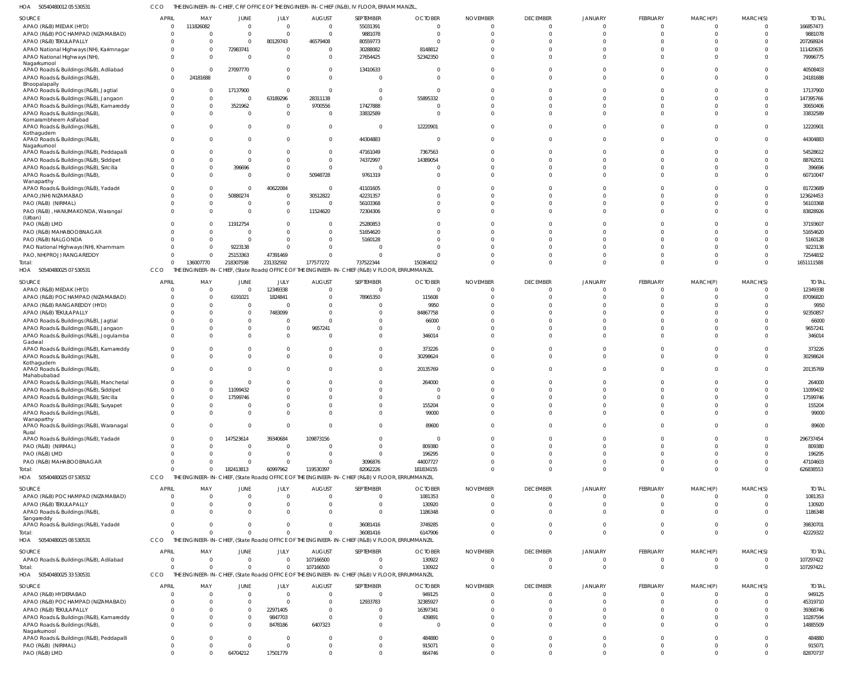50540480012 05 530531 HOA CCO THE ENGINEER-IN-CHIEF, CRF OFFICE OF THE ENGINEER-IN-CHIEF (R&B), IV FLOOR, ERRAM MANZIL,

| SOURCE                                                                                   | <b>APRIL</b>                     | MAY                  | JUNE                       | JULY                       | <b>AUGUST</b>             | SEPTEMBER                                                                                                   | <b>OCTOBER</b>            | <b>NOVEMBER</b> | <b>DECEMBER</b>                | <b>JANUARY</b>              | FEBRUARY                   | MARCH(P)                      | MARCH(S)                   | <b>TOTAL</b>            |
|------------------------------------------------------------------------------------------|----------------------------------|----------------------|----------------------------|----------------------------|---------------------------|-------------------------------------------------------------------------------------------------------------|---------------------------|-----------------|--------------------------------|-----------------------------|----------------------------|-------------------------------|----------------------------|-------------------------|
| APAO (R&B) MEDAK (HYD)<br>APAO (R&B) POCHAMPAD (NIZAMABAD)                               | $\overline{0}$<br>$\Omega$       | 111826082            | $\overline{0}$<br>$\Omega$ | $\mathbf 0$<br>$\mathbf 0$ | $\Omega$<br>$\Omega$      | 55031391<br>9881078                                                                                         | $\Omega$<br>- 0           |                 | $\mathbf 0$<br>$\Omega$        | $\Omega$                    | $\mathbf 0$<br>$\mathbf 0$ | $\overline{0}$<br>$\mathbf 0$ | $\overline{0}$<br>$\Omega$ | 166857473<br>9881078    |
| APAO (R&B) TEKULAPALLY                                                                   | $\Omega$                         |                      | $\Omega$                   | 80129743                   | 46579408                  | 80559773                                                                                                    |                           |                 | $\Omega$                       |                             | $\Omega$                   | $\Omega$                      | $\Omega$                   | 207268924               |
| APAO National Highways (NH), Karimnagar                                                  | $\Omega$                         |                      | 72983741                   | 0                          | $\Omega$                  | 30288082                                                                                                    | 8148812                   |                 |                                |                             | $\Omega$                   | $\Omega$                      | $\Omega$                   | 111420635               |
| APAO National Highways (NH)<br>Nagarkurnool                                              | $\Omega$                         |                      | $\Omega$                   | $\Omega$                   | $\Omega$                  | 27654425                                                                                                    | 52342350                  |                 | $\Omega$                       |                             | $\Omega$                   | $\Omega$                      | $\Omega$                   | 79996775                |
| APAO Roads & Buildings (R&B), Adilabad                                                   | $\mathbf 0$                      |                      | 27097770                   | 0                          |                           | 13410633                                                                                                    |                           |                 | $\Omega$                       |                             | $\mathbf 0$                | $\Omega$                      | $\Omega$                   | 40508403                |
| APAO Roads & Buildings (R&B),                                                            | $\Omega$                         | 24181688             |                            | $\Omega$                   | $\Omega$                  | $\overline{0}$                                                                                              | - 0                       |                 | $\Omega$                       | $\Omega$                    | $\Omega$                   | $\Omega$                      | $\Omega$                   | 24181688                |
| Bhoopalapally<br>APAO Roads & Buildings (R&B), Jagtial                                   | $\overline{0}$                   |                      | 17137900                   | $\mathbf 0$                | $\Omega$                  | $\overline{0}$                                                                                              | - 0                       |                 |                                |                             | $\Omega$                   | $\Omega$                      | $\Omega$                   | 17137900                |
| APAO Roads & Buildings (R&B), Jangaon                                                    | $\Omega$                         |                      | $\Omega$                   | 63189296                   | 28311138                  | $\mathbf{0}$                                                                                                | 55895332                  |                 |                                |                             | $\Omega$                   | $\Omega$                      | $\Omega$                   | 147395766               |
| APAO Roads & Buildings (R&B), Kamareddy                                                  | $\mathbf{0}$                     |                      | 3521962                    | 0                          | 9700556                   | 17427888                                                                                                    |                           |                 |                                |                             | $\Omega$                   | $\Omega$                      | $\Omega$                   | 30650406                |
| APAO Roads & Buildings (R&B)                                                             | $\Omega$                         |                      | $\Omega$                   | $\mathbf 0$                | $\Omega$                  | 33832589                                                                                                    | - 0                       |                 |                                |                             | $\Omega$                   | $\Omega$                      | $\Omega$                   | 33832589                |
| Komarambheem Asifabad<br>APAO Roads & Buildings (R&B),                                   | $\Omega$                         |                      | $\Omega$                   | $\Omega$                   | - 0                       | $\overline{0}$                                                                                              | 12220901                  |                 | $\Omega$                       |                             | $\Omega$                   | $\Omega$                      | $\Omega$                   | 12220901                |
| Kothagudem<br>APAO Roads & Buildings (R&B),                                              | $\Omega$                         |                      | $\Omega$                   | 0                          | $\Omega$                  | 44304883                                                                                                    | - C                       |                 | $\Omega$                       |                             | $\mathbf 0$                | $\Omega$                      | $\Omega$                   | 44304883                |
| Nagarkurnool<br>APAO Roads & Buildings (R&B), Peddapalli                                 | $\Omega$                         |                      | $\Omega$                   | 0                          | $\cap$                    | 47161049                                                                                                    | 7367563                   |                 |                                |                             | $\Omega$                   | $\Omega$                      | $\Omega$                   | 54528612                |
| APAO Roads & Buildings (R&B), Siddipet                                                   | $\Omega$                         |                      | $\Omega$                   | $\Omega$                   | $\Omega$                  | 74372997                                                                                                    | 14389054                  |                 |                                |                             | $\Omega$                   | $\Omega$                      | $\Omega$                   | 88762051                |
| APAO Roads & Buildings (R&B), Siricilla                                                  | $\Omega$<br>$\Omega$             |                      | 396696                     | 0<br>$\Omega$              |                           | $\overline{0}$                                                                                              |                           |                 | $\Omega$                       |                             | $\Omega$<br>$\Omega$       | $\Omega$<br>$\Omega$          | $\Omega$<br>$\Omega$       | 396696                  |
| APAO Roads & Buildings (R&B)<br>Wanaparthy                                               |                                  |                      | $\Omega$                   |                            | 50948728                  | 9761319                                                                                                     |                           |                 |                                |                             |                            |                               |                            | 60710047                |
| APAO Roads & Buildings (R&B), Yadadri                                                    | $\Omega$                         |                      | $\Omega$                   | 40622084                   | - 0                       | 41101605                                                                                                    |                           |                 |                                |                             | $\Omega$                   | $\Omega$                      | $\Omega$                   | 81723689                |
| APAO, (NH) NIZAMABAD                                                                     | $\Omega$                         |                      | 50880274                   | $\mathbf 0$                | 30512822                  | 42231357                                                                                                    |                           |                 |                                |                             | $\Omega$                   | $\Omega$                      | $\Omega$                   | 123624453               |
| PAO (R&B) (NIRMAL)<br>PAO (R&B), HANUMAKONDA, Warangal                                   | $\Omega$                         |                      |                            | 0<br>0                     | $\Omega$<br>11524620      | 56103368<br>72304306                                                                                        |                           |                 | $\Omega$                       |                             | $\Omega$<br>$\Omega$       | $\Omega$<br>$\Omega$          | $\Omega$<br>$\Omega$       | 56103368<br>83828926    |
| (Urban)                                                                                  |                                  |                      |                            |                            |                           |                                                                                                             |                           |                 |                                |                             |                            |                               |                            |                         |
| PAO (R&B) LMD                                                                            | C                                |                      | 11912754                   | 0                          |                           | 25280853                                                                                                    |                           |                 |                                |                             | $\Omega$                   | $\Omega$                      | $\Omega$                   | 37193607                |
| PAO (R&B) MAHABOOBNAGAR                                                                  | C                                |                      |                            | $\Omega$                   |                           | 51654620                                                                                                    |                           |                 |                                |                             | $\Omega$                   | $\Omega$                      | $\Omega$                   | 51654620                |
| PAO (R&B) NALGONDA<br>PAO National Highways (NH), Khammam                                |                                  |                      | $\Omega$<br>9223138        | $\mathbf 0$<br>$\Omega$    |                           | 5160128<br>$\overline{0}$                                                                                   |                           |                 |                                |                             | $\Omega$<br>$\Omega$       | $\Omega$<br>$\Omega$          | $\Omega$<br>$\Omega$       | 5160128<br>9223138      |
| PAO, NH(PROJ) RANGAREDDY                                                                 | $\Omega$                         |                      | 25153363                   | 47391469                   |                           | $\Omega$                                                                                                    |                           |                 |                                |                             | $\Omega$                   | $\Omega$                      | $\Omega$                   | 72544832                |
| Total:                                                                                   | $\Omega$                         | 136007770            | 218307598                  | 231332592                  | 177577272                 | 737522344                                                                                                   | 150364012                 |                 | $\Omega$                       | $\Omega$                    | $\mathbf 0$                | $\mathbf 0$                   | $\Omega$                   | 1651111588              |
| 50540480025 07 530531<br>HOA                                                             | CCO                              | THE                  |                            |                            |                           | ENGINEER-IN-CHIEF, (State Roads) OFFICE OF THE ENGINEER-IN-CHIEF (R&B) V FLOOR, ERRUMMANZIL                 |                           |                 |                                |                             |                            |                               |                            |                         |
| SOURCE                                                                                   | <b>APRIL</b>                     | MAY                  | JUNE                       | JULY                       | <b>AUGUST</b>             | SEPTEMBER                                                                                                   | <b>OCTOBER</b>            | <b>NOVEMBER</b> | <b>DECEMBER</b>                | <b>JANUARY</b>              | FEBRUARY                   | MARCH(P)                      | MARCH(S)                   | <b>TOTAL</b>            |
| APAO (R&B) MEDAK (HYD)                                                                   | $\sqrt{2}$                       |                      | $\Omega$                   | 12349338                   | $\Omega$                  | $\overline{0}$                                                                                              | $\Omega$                  | $\Omega$        | $\Omega$                       |                             | $\overline{0}$             | $\mathbf 0$                   | $\overline{0}$             | 12349338                |
| APAO (R&B) POCHAMPAD (NIZAMABAD)                                                         | $\Omega$                         | - 0                  | 6191021                    | 1824841                    | $\Omega$                  | 78965350                                                                                                    | 115608                    |                 | $\Omega$                       |                             | $\Omega$                   | $\Omega$                      | $\Omega$                   | 87096820                |
| APAO (R&B) RANGAREDDY (HYD)                                                              | $\Omega$                         |                      | $\overline{0}$             |                            | $\Omega$                  | $\Omega$                                                                                                    | 9950                      |                 |                                |                             | $\Omega$                   |                               | $\Omega$                   | 9950                    |
| APAO (R&B) TEKULAPALLY<br>APAO Roads & Buildings (R&B), Jagtial                          | $\Omega$<br>C                    |                      | $\Omega$<br>$\Omega$       | 7483099<br>$\Omega$        | $\cap$                    | $\Omega$<br>$\Omega$                                                                                        | 84867758<br>66000         |                 |                                |                             | $\Omega$<br>$\Omega$       | $\Omega$<br>$\Omega$          | $\Omega$<br>$\Omega$       | 92350857<br>66000       |
| APAO Roads & Buildings (R&B), Jangaon                                                    | $\Omega$                         |                      | $\Omega$                   | $\Omega$                   | 9657241                   | $\Omega$                                                                                                    |                           |                 |                                |                             | $\Omega$                   | $\Omega$                      | $\Omega$                   | 9657241                 |
| APAO Roads & Buildings (R&B), Jogulamba                                                  | $\Omega$                         |                      | $\Omega$                   | $\Omega$                   | - 0                       | $\Omega$                                                                                                    | 346014                    |                 |                                |                             | $\Omega$                   | $\Omega$                      | $\Omega$                   | 346014                  |
| Gadwal<br>APAO Roads & Buildings (R&B), Kamareddy                                        | $\Omega$                         |                      | $\Omega$                   | 0                          |                           | $\Omega$                                                                                                    | 373226                    |                 |                                |                             | $\Omega$                   | $\Omega$                      | $\Omega$                   | 373226                  |
| APAO Roads & Buildings (R&B),<br>Kothagudem                                              | $\Omega$                         |                      | $\Omega$<br>$\Omega$       | $\Omega$                   |                           | $\Omega$                                                                                                    | 30298624                  |                 |                                |                             | $\Omega$<br>$\Omega$       | $\Omega$                      | $\Omega$<br>$\Omega$       | 30298624                |
| APAO Roads & Buildings (R&B),<br>Mahabubabad<br>APAO Roads & Buildings (R&B), Mancherial | $\Omega$<br>C                    |                      |                            | <sup>0</sup>               |                           | $\Omega$<br>$\Omega$                                                                                        | 20135769<br>264000        |                 | $\Omega$                       |                             | $\Omega$                   | $\Omega$                      |                            | 20135769<br>264000      |
| APAO Roads & Buildings (R&B), Siddipet                                                   | $\Omega$                         |                      | 11099432                   | $\Omega$                   |                           | $\Omega$                                                                                                    |                           |                 |                                |                             | $\Omega$                   | $\Omega$                      | $\Omega$                   | 11099432                |
| APAO Roads & Buildings (R&B), Siricilla                                                  |                                  |                      |                            |                            |                           |                                                                                                             |                           |                 |                                |                             |                            |                               |                            | 17599746                |
| APAO Roads & Buildings (R&B), Suryapet                                                   | $\Omega$                         |                      | $\Omega$                   | 0                          |                           | $\Omega$                                                                                                    | 155204                    |                 |                                |                             | $\Omega$                   | $\Omega$                      | $\Omega$                   | 155204                  |
| APAO Roads & Buildings (R&B),                                                            | $\Omega$                         |                      | $\Omega$                   | $\Omega$                   | $\Omega$                  | $\Omega$                                                                                                    | 99000                     |                 | $\Omega$                       |                             | $\Omega$                   | $\Omega$                      | $\Omega$                   | 99000                   |
| Wanaparthy<br>APAO Roads & Buildings (R&B), Waranagal<br>Rural                           | $\Omega$                         |                      | $\Omega$                   | $\Omega$                   |                           | $\Omega$                                                                                                    | 89600                     |                 | $\Omega$                       |                             | $\Omega$                   | $\Omega$                      | $\Omega$                   | 89600                   |
| APAO Roads & Buildings (R&B), Yadadri                                                    | $\Omega$                         |                      | 147523614                  | 39340684                   | 109873156                 | $\Omega$                                                                                                    | $\Omega$                  |                 |                                |                             | $\Omega$                   | $\Omega$                      | $\Omega$                   | 296737454               |
| PAO (R&B) (NIRMAL)                                                                       | $\Omega$                         |                      | $\Omega$                   | $\Omega$                   |                           | $\Omega$                                                                                                    | 809380                    |                 |                                |                             | $\Omega$                   | $\Omega$                      | $\Omega$                   | 809380                  |
| PAO (R&B) LMD                                                                            | C                                |                      | <sup>0</sup>               | $\Omega$                   | - 0                       | $\Omega$                                                                                                    | 196295                    |                 |                                |                             | $\Omega$                   | $\Omega$                      |                            | 196295                  |
| PAO (R&B) MAHABOOBNAGAR                                                                  | C<br>$\sqrt{2}$                  |                      | $\Omega$                   | $\Omega$                   |                           | 3096876                                                                                                     | 44007727                  |                 | $\Omega$                       | $\Omega$<br>$\Omega$        | $\Omega$<br>$\Omega$       | $\Omega$<br>$\Omega$          | $\Omega$<br>$\Omega$       | 47104603                |
| Total:<br>HOA 50540480025 07 530532                                                      | CCO                              |                      | 182413813                  | 60997962                   | 119530397                 | 82062226<br>THE ENGINEER-IN-CHIEF, (State Roads) OFFICE OF THE ENGINEER-IN-CHIEF (R&B) V FLOOR, ERRUMMANZIL | 181834155                 |                 |                                |                             |                            |                               |                            | 626838553               |
|                                                                                          |                                  |                      |                            |                            |                           |                                                                                                             |                           |                 |                                |                             |                            |                               |                            |                         |
| SOURCE<br>APAO (R&B) POCHAMPAD (NIZAMABAD)                                               | <b>APRIL</b><br>$\overline{0}$   | MAY                  | JUNE<br>0                  | JULY<br>$\mathbf 0$        | <b>AUGUST</b><br>$\Omega$ | SEPTEMBER<br>$\overline{0}$                                                                                 | <b>OCTOBER</b><br>1081353 | <b>NOVEMBER</b> | <b>DECEMBER</b><br>$\mathbf 0$ | JANUARY<br>0                | FEBRUARY<br>$\overline{0}$ | MARCH(P)<br>$\overline{0}$    | MARCH(S)<br>$\overline{0}$ | <b>TOTAL</b><br>1081353 |
| APAO (R&B) TEKULAPALLY                                                                   | C                                |                      |                            | 0                          |                           | $\mathbf 0$                                                                                                 | 130920                    |                 | $\Omega$                       | $\Omega$                    | $\mathbf{0}$               | $\mathbf{0}$                  | $\Omega$                   | 130920                  |
| APAO Roads & Buildings (R&B),<br>Sangareddy                                              | $\Omega$                         |                      | <sup>0</sup>               | $\Omega$                   |                           | $\overline{0}$                                                                                              | 1186348                   |                 | $\Omega$                       |                             | $\Omega$                   | $\Omega$                      | $\Omega$                   | 1186348                 |
| APAO Roads & Buildings (R&B), Yadadri                                                    | $\Omega$                         |                      | $\Omega$                   | $\Omega$                   | $\Omega$                  | 36081416                                                                                                    | 3749285                   |                 | $\Omega$                       | $\Omega$                    | $\mathbf{0}$               | $\mathbf{0}$                  | $\Omega$                   | 39830701                |
| Total:                                                                                   | $\Omega$                         |                      | $\Omega$                   | $\Omega$                   |                           | 36081416                                                                                                    | 6147906                   |                 | $\Omega$                       | $\Omega$                    | $\mathbf 0$                | $\mathbf 0$                   | $\Omega$                   | 42229322                |
| HOA 50540480025 08 530531                                                                | CCO                              |                      |                            |                            |                           | THE ENGINEER-IN-CHIEF, (State Roads) OFFICE OF THE ENGINEER-IN-CHIEF (R&B) V FLOOR, ERRUMMANZIL             |                           |                 |                                |                             |                            |                               |                            |                         |
| SOURCE                                                                                   | <b>APRIL</b>                     | MAY                  | JUNE                       | JULY                       | <b>AUGUST</b>             | SEPTEMBER                                                                                                   | <b>OCTOBER</b>            | <b>NOVEMBER</b> | <b>DECEMBER</b>                | <b>JANUARY</b>              | FEBRUARY                   | MARCH(P)                      | MARCH(S)                   | <b>TOTAL</b>            |
| APAO Roads & Buildings (R&B), Adilabad                                                   | $\overline{0}$<br>$\Omega$       | $\Omega$<br>$\Omega$ | $\Omega$<br>$\Omega$       | $\Omega$<br>$\mathbf 0$    | 107166500                 | $\Omega$<br>$\mathbf 0$                                                                                     | 130922                    |                 | $\Omega$<br>$\mathbf 0$        | 0<br>$\Omega$               | $\Omega$<br>$\overline{0}$ | $\Omega$<br>$\mathbf 0$       | $\overline{0}$             | 107297422               |
| Total:<br>HOA 50540480025 33 530531                                                      | CCO                              |                      |                            |                            | 107166500                 | THE ENGINEER-IN-CHIEF, (State Roads) OFFICE OF THE ENGINEER-IN-CHIEF (R&B) V FLOOR, ERRUMMANZIL             | 130922                    |                 |                                |                             |                            |                               | $\overline{0}$             | 107297422               |
| SOURCE                                                                                   | <b>APRIL</b>                     | MAY                  | JUNE                       | JULY                       | <b>AUGUST</b>             | SEPTEMBER                                                                                                   | <b>OCTOBER</b>            | <b>NOVEMBER</b> | <b>DECEMBER</b>                | <b>JANUARY</b>              | FEBRUARY                   | MARCH(P)                      | MARCH(S)                   | <b>TOTAL</b>            |
| APAO (R&B) HYDERABAD                                                                     | C                                |                      | $^{\circ}$                 | $\mathbf 0$                | $\Omega$                  | $\overline{0}$                                                                                              | 949125                    |                 | $\mathbf 0$                    | 0                           | $\overline{0}$             | 0                             | 0                          | 949125                  |
| APAO (R&B) POCHAMPAD (NIZAMABAD)                                                         | C                                |                      | $\Omega$                   | $\mathbf 0$                | $\Omega$                  | 12933783                                                                                                    | 32385927                  |                 | $\Omega$                       |                             | $\Omega$                   | $\Omega$                      | $\Omega$                   | 45319710                |
| APAO (R&B) TEKULAPALLY                                                                   | $\Omega$                         |                      | $^{\circ}$                 | 22971405                   | - 0                       | $\overline{0}$                                                                                              | 16397341                  |                 | <sup>0</sup>                   | $\Omega$                    | $\Omega$                   | $\Omega$                      | $\Omega$                   | 39368746                |
| APAO Roads & Buildings (R&B), Kamareddy<br>APAO Roads & Buildings (R&B),                 | $\overline{0}$<br>$\Omega$       |                      | $\Omega$<br>$\Omega$       | 9847703<br>8478186         | $\Omega$<br>6407323       | $\mathbf 0$<br>$\mathbf 0$                                                                                  | 439891<br>- C             |                 | $\Omega$<br>U                  |                             | $\Omega$<br>$\Omega$       | $\Omega$<br>$\Omega$          | $\Omega$<br>$\Omega$       | 10287594<br>14885509    |
| Nagarkurnool                                                                             |                                  |                      |                            |                            |                           |                                                                                                             |                           |                 |                                |                             |                            |                               |                            |                         |
| APAO Roads & Buildings (R&B), Peddapalli                                                 | $\overline{0}$                   |                      | $\Omega$                   | $\mathbf 0$                | - 0                       | $\mathbf 0$                                                                                                 | 484880                    |                 | $\Omega$                       | <sup>0</sup>                | $\Omega$                   | $\Omega$                      | $\Omega$                   | 484880                  |
| PAO (R&B) (NIRMAL)<br>PAO (R&B) LMD                                                      | $\overline{0}$<br>$\overline{0}$ |                      | $\Omega$<br>64704212       | 0<br>17501779              |                           | $\mathbf 0$<br>$\mathbf 0$                                                                                  | 915071<br>664746          | $\Omega$        | $\mathbf 0$<br>$\Omega$        | $\mathbf{0}$<br>$\mathbf 0$ | $\mathbf 0$<br>$\mathbf 0$ | $\mathbf 0$<br>$\mathbf 0$    | $\overline{0}$<br>$\Omega$ | 915071<br>82870737      |
|                                                                                          |                                  |                      |                            |                            |                           |                                                                                                             |                           |                 |                                |                             |                            |                               |                            |                         |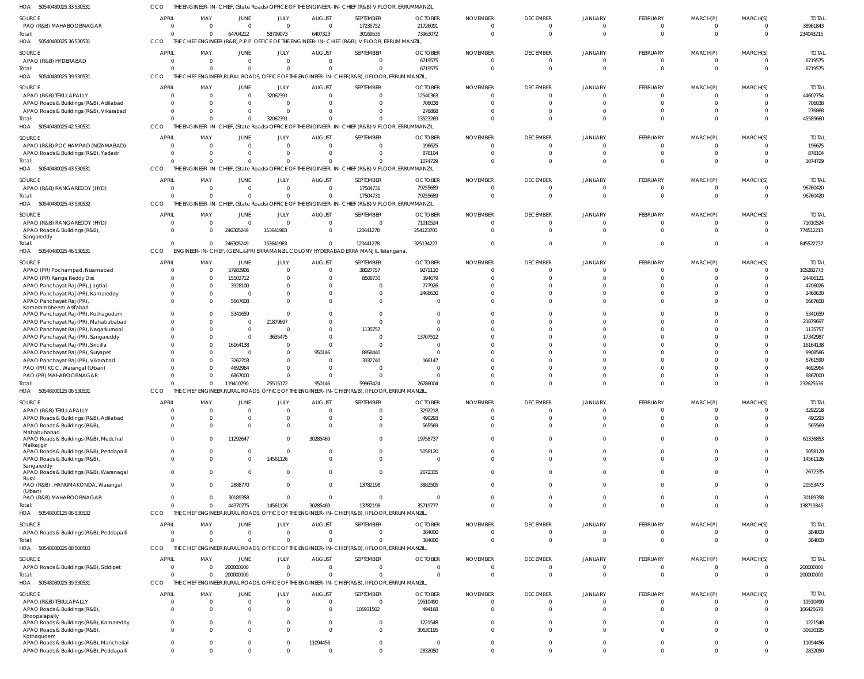| HOA<br>50540480025 33 530531                                                         | <b>CCO</b>                  |                                |                      |                      |                              |                                                                                                             | THE ENGINEER-IN-CHIEF, (State Roads) OFFICE OF THE ENGINEER-IN-CHIEF (R&B) V FLOOR, ERRUMMANZIL |                      |                             |                            |                             |                                |                            |                          |
|--------------------------------------------------------------------------------------|-----------------------------|--------------------------------|----------------------|----------------------|------------------------------|-------------------------------------------------------------------------------------------------------------|-------------------------------------------------------------------------------------------------|----------------------|-----------------------------|----------------------------|-----------------------------|--------------------------------|----------------------------|--------------------------|
| SOURCE                                                                               | <b>APRIL</b>                | MAY                            | <b>JUNE</b>          | JULY                 | <b>AUGUST</b>                | SEPTEMBER                                                                                                   | <b>OCTOBER</b>                                                                                  | <b>NOVEMBER</b>      | <b>DECEMBER</b>             | <b>JANUARY</b>             | <b>FEBRUARY</b>             | MARCH(P)                       | MARCH(S)                   | <b>TOTAL</b>             |
| PAO (R&B) MAHABOOBNAGAR                                                              | $\Omega$                    | $\Omega$                       | $\Omega$             | $\Omega$             | $\mathbf 0$                  | 17235752                                                                                                    | 21726091                                                                                        |                      | $\overline{0}$              | $\Omega$                   | $\Omega$                    | $\mathbf 0$                    | $\Omega$                   | 38961843                 |
| Total:                                                                               | $\Omega$                    | $\mathbf{0}$                   | 64704212             | 58799073             | 6407323                      | 30169535                                                                                                    | 73963072                                                                                        | $\Omega$             | $\overline{0}$              | $\overline{0}$             | $\Omega$                    | $\overline{0}$                 | $\overline{0}$             | 234043215                |
| HOA 50540480025 36 530531                                                            | CCO                         |                                |                      |                      |                              | THE CHIEF ENGINEER (R&B), P.P.P. OFFICE OF THE ENGINEER-IN-CHIEF (R&B), V FLOOR, ERRUM MANZIL,              |                                                                                                 |                      |                             |                            |                             |                                |                            |                          |
|                                                                                      |                             |                                |                      |                      |                              |                                                                                                             |                                                                                                 |                      |                             |                            |                             |                                |                            |                          |
| SOURCE                                                                               | APRIL                       | MAY<br>$\Omega$                | JUNE                 | JULY<br>$\Omega$     | <b>AUGUST</b><br>$\Omega$    | SEPTEMBER<br>$\Omega$                                                                                       | <b>OCTOBER</b><br>6719575                                                                       | <b>NOVEMBER</b>      | <b>DECEMBER</b><br>$\Omega$ | <b>JANUARY</b><br>$\Omega$ | <b>FEBRUARY</b>             | MARCH(P)                       | MARCH(S)<br>$\Omega$       | <b>TOTAL</b><br>6719575  |
| APAO (R&B) HYDERABAD                                                                 | $\Omega$<br>$\Omega$        | $\Omega$                       | $\Omega$<br>$\Omega$ | $\Omega$             | $\Omega$                     | $\Omega$                                                                                                    | 6719575                                                                                         | $\Omega$             | $\Omega$                    | $\Omega$                   | $\Omega$                    | $\overline{0}$<br>$\Omega$     | $\Omega$                   | 6719575                  |
| Total:<br>HOA                                                                        | <b>CCO</b>                  |                                |                      |                      |                              | THE CHIEF ENGINEER, RURAL ROADS, OFFICE OF THE ENGINEER-IN-CHIEF (R&B), II FLOOR, ERRUM MANZIL,             |                                                                                                 |                      |                             |                            |                             |                                |                            |                          |
| 50540480025 39 530531                                                                |                             |                                |                      |                      |                              |                                                                                                             |                                                                                                 |                      |                             |                            |                             |                                |                            |                          |
| SOURCE                                                                               | <b>APRIL</b>                | MAY                            | JUNE                 | JULY                 | <b>AUGUST</b>                | SEPTEMBER                                                                                                   | <b>OCTOBER</b>                                                                                  | <b>NOVEMBER</b>      | <b>DECEMBER</b>             | <b>JANUARY</b>             | <b>FEBRUARY</b>             | MARCH(P)                       | MARCH(S)                   | <b>TOTAL</b>             |
| APAO (R&B) TEKULAPALLY                                                               | $\Omega$                    | $\Omega$                       | $\Omega$             | 32062391             | $\Omega$                     | $\Omega$                                                                                                    | 12540363                                                                                        |                      | - 0                         | $\Omega$                   |                             | $\Omega$                       | $\Omega$                   | 44602754                 |
| APAO Roads & Buildings (R&B), Adilabad                                               | $\Omega$                    | $\Omega$                       | $\Omega$             | $\Omega$             | $\Omega$                     | $\Omega$                                                                                                    | 706038                                                                                          |                      | $\Omega$                    | $\Omega$                   | $\Omega$                    | $\mathbf 0$                    | $\Omega$                   | 706038                   |
| APAO Roads & Buildings (R&B), Vikarabad                                              | $\Omega$                    | $\Omega$                       | $\Omega$             | $\Omega$             | $\Omega$                     | $\Omega$                                                                                                    | 276868                                                                                          |                      | $\Omega$                    | $\Omega$                   |                             | $\Omega$                       | $\Omega$                   | 276868                   |
| Total:                                                                               | $\Omega$                    | $\Omega$                       | $\Omega$             | 32062391             | $\Omega$                     | $\Omega$                                                                                                    | 13523269                                                                                        |                      | $\Omega$                    | $\Omega$                   | $\Omega$                    | $\mathbf{0}$                   | $\Omega$                   | 45585660                 |
| 50540480025 42 530531<br>HOA                                                         | CCO                         |                                |                      |                      |                              | THE ENGINEER-IN-CHIEF, (State Roads) OFFICE OF THE ENGINEER-IN-CHIEF (R&B) V FLOOR, ERRUMMANZIL             |                                                                                                 |                      |                             |                            |                             |                                |                            |                          |
| SOURCE                                                                               | <b>APRIL</b>                | MAY                            | JUNE                 | JULY                 | <b>AUGUST</b>                | SEPTEMBER                                                                                                   | <b>OCTOBER</b>                                                                                  | <b>NOVEMBER</b>      | <b>DECEMBER</b>             | <b>JANUARY</b>             | FEBRUARY                    | MARCH(P)                       | MARCH(S)                   | <b>TOTAL</b>             |
| APAO (R&B) POCHAMPAD (NIZAMABAD)                                                     | $\Omega$                    | $\Omega$                       | $\Omega$             | $\Omega$             | $\Omega$                     | $\Omega$                                                                                                    | 196625                                                                                          |                      | $\Omega$                    | $\Omega$                   |                             | $\Omega$                       | $\Omega$                   | 196625                   |
| APAO Roads & Buildings (R&B), Yadadri                                                | $\Omega$                    | $\Omega$                       |                      | $\Omega$             | $\Omega$                     | $\Omega$                                                                                                    | 878104                                                                                          |                      | $\Omega$                    | $\Omega$                   |                             | $\mathbf 0$                    | $\Omega$                   | 878104                   |
| Total:                                                                               |                             | $\Omega$                       |                      | $\Omega$             | $\Omega$                     | $\Omega$                                                                                                    | 1074729                                                                                         |                      | $\Omega$                    | $\Omega$                   |                             | $\Omega$                       | $\Omega$                   | 1074729                  |
| 50540480025 43 530531<br>HOA                                                         | <b>CCO</b>                  |                                |                      |                      |                              | THE ENGINEER-IN-CHIEF, (State Roads) OFFICE OF THE ENGINEER-IN-CHIEF (R&B) V FLOOR, ERRUMMANZIL             |                                                                                                 |                      |                             |                            |                             |                                |                            |                          |
|                                                                                      | <b>APRIL</b>                |                                |                      |                      |                              |                                                                                                             |                                                                                                 |                      |                             | <b>JANUARY</b>             |                             |                                |                            |                          |
| SOURCE                                                                               | $\mathbf{0}$                | MAY<br>$\mathbf{0}$            | JUNE<br>$\Omega$     | JULY<br>$\Omega$     | <b>AUGUST</b><br>$\mathbf 0$ | SEPTEMBER<br>17504731                                                                                       | <b>OCTOBER</b><br>79255689                                                                      | <b>NOVEMBER</b><br>0 | <b>DECEMBER</b><br>$\Omega$ | $\Omega$                   | <b>FEBRUARY</b><br>$\Omega$ | MARCH(P)<br>$\overline{0}$     | MARCH(S)<br>$\Omega$       | <b>TOTAL</b><br>96760420 |
| APAO (R&B) RANGAREDDY (HYD)                                                          | $\Omega$                    | $\Omega$                       | $\Omega$             | $\Omega$             | $\mathbf 0$                  |                                                                                                             |                                                                                                 | $\Omega$             | $\Omega$                    | $\Omega$                   | $\Omega$                    |                                | $\Omega$                   |                          |
| Total:<br>HOA 50540480025 43 530532                                                  | CCO                         |                                |                      |                      |                              | 17504731<br>THE ENGINEER-IN-CHIEF, (State Roads) OFFICE OF THE ENGINEER-IN-CHIEF (R&B) V FLOOR, ERRUMMANZIL | 79255689                                                                                        |                      |                             |                            |                             | $\overline{0}$                 |                            | 96760420                 |
|                                                                                      |                             |                                |                      |                      |                              |                                                                                                             |                                                                                                 |                      |                             |                            |                             |                                |                            |                          |
| SOURCE                                                                               | <b>APRIL</b>                | MAY                            | JUNE                 | JULY                 | <b>AUGUST</b>                | SEPTEMBER                                                                                                   | <b>OCTOBER</b>                                                                                  | <b>NOVEMBER</b>      | <b>DECEMBER</b>             | <b>JANUARY</b>             | FEBRUARY                    | MARCH(P)                       | MARCH(S)                   | <b>TOTAI</b>             |
| APAO (R&B) RANGAREDDY (HYD)                                                          | $\Omega$                    | $\Omega$                       | $\Omega$             | $\Omega$             | $\Omega$                     | $\Omega$                                                                                                    | 71010524                                                                                        |                      | $\Omega$                    | $\Omega$                   |                             | $\Omega$                       | $\Omega$                   | 71010524                 |
| APAO Roads & Buildings (R&B),                                                        | $\Omega$                    | $\Omega$                       | 246305249            | 153641983            | $\Omega$                     | 120441278                                                                                                   | 254123703                                                                                       |                      | $\Omega$                    | $\Omega$                   | $\Omega$                    | $\Omega$                       | $\overline{0}$             | 774512213                |
| Sangareddy<br>Total:                                                                 | $\Omega$                    | $\Omega$                       | 246305249            | 153641983            | $\Omega$                     | 120441278                                                                                                   | 325134227                                                                                       |                      | $\Omega$                    | $\Omega$                   | $\Omega$                    | $\mathbf{0}$                   | $\Omega$                   | 845522737                |
| 50540480025 46 530531<br>HOA                                                         | CCO                         |                                |                      |                      |                              | ENGINEER-IN-CHIEF, (GENL.&PR) ERRAMANZIL COLONY HYDERABAD ERRA MANJIL Telangana,                            |                                                                                                 |                      |                             |                            |                             |                                |                            |                          |
|                                                                                      |                             |                                |                      |                      |                              |                                                                                                             |                                                                                                 |                      |                             |                            |                             |                                |                            |                          |
| SOURCE                                                                               | <b>APRIL</b>                | MAY                            | JUNE                 | JULY                 | <b>AUGUST</b>                | SEPTEMBER                                                                                                   | <b>OCTOBER</b>                                                                                  | <b>NOVEMBER</b>      | <b>DECEMBER</b>             | <b>JANUARY</b>             | FEBRUARY                    | MARCH(P)                       | MARCH(S)                   | <b>TOTAI</b>             |
| APAO (PR) Pochampad, Nizamabad                                                       | $\Omega$                    | $\overline{0}$                 | 57983906             | $\Omega$             | $\mathbf{0}$                 | 38027757                                                                                                    | 9271110                                                                                         |                      | - 0                         | $\Omega$                   | $\Omega$                    | $\Omega$                       | $\Omega$                   | 105282773                |
| APAO (PR) Ranga Reddy Dist                                                           | $\Omega$                    | $\Omega$                       | 15502712             | $\Omega$             | $\Omega$                     | 8508730                                                                                                     | 394679                                                                                          |                      | $\Omega$                    | $\Omega$                   |                             | $\Omega$                       | $\Omega$                   | 24406121                 |
| APAO Panchayat Raj (PR), Jagtial                                                     | $\Omega$                    | $\Omega$                       | 3928100              | $\Omega$             | $\Omega$                     | $\Omega$                                                                                                    | 777926                                                                                          |                      | $\Omega$                    | $\Omega$                   |                             | $\Omega$                       |                            | 4706026                  |
| APAO Panchayat Raj (PR), Kamareddy                                                   | $\Omega$                    | $\Omega$                       | - 0                  | $\Omega$             | $\Omega$                     | $\Omega$                                                                                                    | 2468630                                                                                         |                      | $\Omega$                    | $\Omega$                   |                             | $\Omega$                       | $\Omega$                   | 2468630                  |
| APAO Panchayat Raj (PR),                                                             | $\Omega$                    | $\Omega$                       | 5667608              | $\Omega$             | $\Omega$                     | $\Omega$                                                                                                    | $\Omega$                                                                                        |                      | $\Omega$                    | $\Omega$                   |                             | $\Omega$                       | $\Omega$                   | 5667608                  |
| Komarambheem Asifabad<br>APAO Panchayat Raj (PR), Kothagudem                         | $\Omega$                    | $\Omega$                       | 5341659              | $\Omega$             | $\Omega$                     | $\Omega$                                                                                                    | $\Omega$                                                                                        |                      | $\Omega$                    | $\Omega$                   |                             | $\Omega$                       | $\Omega$                   | 5341659                  |
| APAO Panchayat Raj (PR), Mahabubabad                                                 | $\Omega$                    | $\Omega$                       | $\Omega$             | 21879697             | $\Omega$                     | $\Omega$                                                                                                    | $\Omega$                                                                                        |                      | $\Omega$                    | $\Omega$                   |                             | $\Omega$                       | $\Omega$                   | 21879697                 |
| APAO Panchayat Raj (PR), Nagarkurnool                                                | $\Omega$                    | $\Omega$                       | $\mathbf{0}$         | $\Omega$             | $\Omega$                     | 1135757                                                                                                     | $\Omega$                                                                                        |                      | $\Omega$                    | $\Omega$                   |                             | $\Omega$                       | $\Omega$                   | 1135757                  |
| APAO Panchayat Raj (PR), Sangareddy                                                  | $\Omega$                    | $\Omega$                       | $\Omega$             | 3635475              | $\Omega$                     | $\Omega$                                                                                                    | 13707512                                                                                        |                      | -C                          | $\Omega$                   |                             | $\Omega$                       | $\Omega$                   | 17342987                 |
| APAO Panchayat Raj (PR), Siricilla                                                   | $\Omega$                    | $\Omega$                       | 16164138             | $\Omega$             | $\Omega$                     | $\Omega$                                                                                                    | $\Omega$                                                                                        |                      | -C                          |                            |                             | $\Omega$                       | $\Omega$                   | 16164138                 |
| APAO Panchayat Raj (PR), Suryapet                                                    |                             | $\Omega$                       | $\Omega$             | $\Omega$             | 950146                       | 8958440                                                                                                     | $\Omega$                                                                                        |                      | -C                          |                            |                             | $\Omega$                       |                            | 9908586                  |
| APAO Panchayat Raj (PR), Vikarabad                                                   | $\Omega$                    | $\Omega$                       | 3262703              | $\Omega$             | $\mathbf{0}$                 | 3332740                                                                                                     | 166147                                                                                          |                      |                             |                            |                             | $\Omega$                       | $\Omega$                   | 6761590                  |
| PAO (PR) KCC, Warangal (Urban)                                                       | $\Omega$                    | $\Omega$                       | 4692964              | $\Omega$             | $\Omega$                     | $\Omega$                                                                                                    | $\Omega$                                                                                        |                      | -C                          |                            |                             | $\Omega$                       |                            | 4692964                  |
| PAO (PR) MAHABOOBNAGAR                                                               | $\Omega$                    | $\Omega$                       |                      | $\Omega$             | $\Omega$                     | $\Omega$                                                                                                    |                                                                                                 |                      | $\Omega$                    | $\Omega$                   |                             | $\Omega$                       | $\Omega$                   | 6867000                  |
| Total:                                                                               |                             |                                | 6867000              |                      |                              |                                                                                                             |                                                                                                 |                      |                             |                            |                             |                                |                            |                          |
| HOA<br>50548000125 06 530531                                                         | $\Omega$                    | $\Omega$                       | 119410790            | 25515172             | 950146                       | 59963424                                                                                                    | 26786004                                                                                        |                      | $\Omega$                    | $\Omega$                   |                             | $\Omega$                       | $\Omega$                   | 232625536                |
|                                                                                      | CCO                         |                                |                      |                      |                              | the Chief Engineer,Rural Roads, Office of the Engineer-In-Chief(R&B), II Floor, Errum Manzil,               |                                                                                                 |                      |                             |                            |                             |                                |                            |                          |
|                                                                                      |                             |                                |                      |                      |                              |                                                                                                             |                                                                                                 |                      |                             |                            |                             |                                |                            |                          |
| SOURCE                                                                               | <b>APRIL</b>                | MAY                            | JUNE                 | JULY                 | <b>AUGUST</b>                | SEPTEMBER                                                                                                   | <b>OCTOBER</b>                                                                                  | <b>NOVEMBER</b>      | <b>DECEMBER</b>             | <b>JANUARY</b>             | FEBRUARY                    | MARCH(P)                       | MARCH(S)                   | <b>TOTAL</b>             |
| APAO (R&B) TEKULAPALLY                                                               | $\Omega$                    | $\Omega$                       |                      | $\Omega$             | $\Omega$                     | $\Omega$                                                                                                    | 3292218                                                                                         |                      | $\Omega$                    | $\Omega$                   |                             | $\Omega$                       | $\Omega$                   | 3292218                  |
| APAO Roads & Buildings (R&B), Adilabad                                               | $\mathbf{0}$                | $\Omega$                       | $\Omega$<br>$\Omega$ | $\Omega$             | $\Omega$                     | $\Omega$                                                                                                    | 490293                                                                                          |                      | $\Omega$                    | $\Omega$                   | $\Omega$                    | $\Omega$                       | $\Omega$                   | 490293                   |
| APAO Roads & Buildings (R&B),                                                        | $\Omega$                    | $\Omega$                       |                      | $\Omega$             | $\Omega$                     | $\Omega$                                                                                                    | 565569                                                                                          |                      | $\Omega$                    | $\Omega$                   |                             | $\Omega$                       | $\Omega$                   | 565569                   |
| Mahabubabad<br>APAO Roads & Buildings (R&B), Medchal                                 | $\Omega$                    | $\Omega$                       | 11292647             | $\Omega$             | 30285469                     | $\Omega$                                                                                                    | 19758737                                                                                        |                      | $\Omega$                    | $\Omega$                   | $\Omega$                    | $\Omega$                       | $\Omega$                   | 61336853                 |
| Malkajigiri                                                                          |                             |                                |                      |                      |                              |                                                                                                             |                                                                                                 |                      |                             |                            |                             |                                |                            |                          |
| APAO Roads & Buildings (R&B), Peddapalli                                             | $\mathbf 0$                 | $\Omega$                       | $\Omega$             | $\Omega$             | $\Omega$                     | $\Omega$                                                                                                    | 5058120                                                                                         |                      | $\Omega$                    | $\Omega$                   |                             | $\Omega$                       | $\Omega$                   | 5058120                  |
| APAO Roads & Buildings (R&B),                                                        | $\Omega$                    | $\Omega$                       | $\Omega$             | 14561126             | $\Omega$                     | $\Omega$                                                                                                    | $\Omega$                                                                                        |                      | $\Omega$                    | $\Omega$                   | $\Omega$                    | $\Omega$                       | $\Omega$                   | 14561126                 |
| Sangareddy<br>APAO Roads & Buildings (R&B), Waranagal                                | $\Omega$                    | $\Omega$                       | $\Omega$             | $\Omega$             | $\Omega$                     | $\Omega$                                                                                                    | 2672335                                                                                         |                      | $\Omega$                    | $\Omega$                   |                             | $\Omega$                       | $\Omega$                   | 2672335                  |
| Rural                                                                                |                             |                                |                      |                      |                              |                                                                                                             |                                                                                                 |                      |                             |                            |                             |                                |                            |                          |
| PAO (R&B), HANUMAKONDA, Warangal                                                     | $\Omega$                    | $\Omega$                       | 2888770              | $\Omega$             | $\Omega$                     | 13782198                                                                                                    | 3882505                                                                                         |                      | $\Omega$                    | $\Omega$                   | $\Omega$                    | $\Omega$                       | $\Omega$                   | 20553473                 |
| (Urban)                                                                              |                             |                                |                      |                      |                              |                                                                                                             |                                                                                                 |                      |                             |                            |                             |                                |                            |                          |
| PAO (R&B) MAHABOOBNAGAR                                                              | $\Omega$<br>$\Omega$        | $\Omega$                       | 30189358             | $\Omega$             | $\Omega$                     | $\Omega$                                                                                                    | $\Omega$                                                                                        | $\Omega$             | $\Omega$                    | $\Omega$                   | $\Omega$<br>$\Omega$        | $\Omega$                       | $\Omega$                   | 30189358                 |
| Total:                                                                               |                             | $\Omega$                       | 44370775             | 14561126             | 30285469                     | 13782198                                                                                                    | 35719777                                                                                        |                      | $\Omega$                    | $\Omega$                   |                             | $\overline{0}$                 | $\Omega$                   | 138719345                |
| HOA 50548000125 06 530532                                                            | <b>CCO</b>                  |                                |                      |                      |                              | THE CHIEF ENGINEER, RURAL ROADS, OFFICE OF THE ENGINEER-IN-CHIEF (R&B), II FLOOR, ERRUM MANZIL,             |                                                                                                 |                      |                             |                            |                             |                                |                            |                          |
| SOURCE                                                                               | <b>APRIL</b>                | MAY                            | JUNE                 | JULY                 | AUGUST                       | SEPTEMBER                                                                                                   | <b>OCTOBER</b>                                                                                  | <b>NOVEMBER</b>      | <b>DECEMBER</b>             | <b>JANUARY</b>             | FEBRUARY                    | MARCH(P)                       | MARCH(S)                   | <b>TOTAL</b>             |
| APAO Roads & Buildings (R&B), Peddapalli                                             | $\mathbf{0}$                | $\Omega$                       | $\Omega$             | $\Omega$             | $\mathbf{0}$                 | $\Omega$                                                                                                    | 384000                                                                                          | $\Omega$             | $\Omega$                    | $\Omega$                   | $\Omega$                    | $\overline{0}$                 | $\overline{0}$             | 384000                   |
| Total:                                                                               | $\Omega$                    | $\Omega$                       | $\Omega$             | $\Omega$             | $\Omega$                     | $\Omega$                                                                                                    | 384000                                                                                          |                      | $\Omega$                    | $\Omega$                   | $\Omega$                    | $\overline{0}$                 | $\overline{0}$             | 384000                   |
| HOA 50548080025 08 500503                                                            | CCO                         |                                |                      |                      |                              | THE CHIEF ENGINEER, RURAL ROADS, OFFICE OF THE ENGINEER-IN-CHIEF (R&B), II FLOOR, ERRUM MANZIL              |                                                                                                 |                      |                             |                            |                             |                                |                            |                          |
| SOURCE                                                                               | <b>APRIL</b>                | MAY                            | JUNE                 | JULY                 | <b>AUGUST</b>                | SEPTEMBER                                                                                                   | <b>OCTOBER</b>                                                                                  | <b>NOVEMBER</b>      | <b>DECEMBER</b>             | <b>JANUARY</b>             | <b>FEBRUARY</b>             | MARCH(P)                       | MARCH(S)                   | <b>TOTAL</b>             |
| APAO Roads & Buildings (R&B), Siddipet                                               | $\Omega$                    | $\Omega$                       | 200000000            | $\Omega$             | $\Omega$                     | $\Omega$                                                                                                    | $\Omega$                                                                                        |                      | $\Omega$                    | $\Omega$                   |                             | 0                              | $\Omega$                   | 200000000                |
| Total:                                                                               | $\Omega$                    | $\Omega$                       | 200000000            | $\Omega$             | $\Omega$                     | $\Omega$                                                                                                    | $\Omega$                                                                                        | $\Omega$             | $\Omega$                    | $\Omega$                   | $\Omega$                    | $\mathbf{0}$                   | $\overline{0}$             | 200000000                |
| HOA 50548080025 39 530531                                                            | CCO                         |                                |                      |                      |                              | THE CHIEF ENGINEER, RURAL ROADS, OFFICE OF THE ENGINEER-IN-CHIEF (R&B), II FLOOR, ERRUM MANZIL,             |                                                                                                 |                      |                             |                            |                             |                                |                            |                          |
|                                                                                      |                             |                                |                      |                      |                              |                                                                                                             |                                                                                                 |                      |                             |                            |                             |                                |                            |                          |
| SOURCE                                                                               | <b>APRIL</b>                | MAY                            | JUNE                 | JULY                 | <b>AUGUST</b>                | SEPTEMBER                                                                                                   | <b>OCTOBER</b>                                                                                  | <b>NOVEMBER</b>      | <b>DECEMBER</b>             | <b>JANUARY</b>             | FEBRUARY                    | MARCH(P)                       | MARCH(S)                   | <b>TOTAL</b>             |
| APAO (R&B) TEKULAPALLY                                                               | $\mathbf{0}$                | $\overline{0}$                 | $\Omega$             | $\Omega$             | $\mathbf{0}$                 | $\overline{0}$                                                                                              | 19510490                                                                                        |                      | $\overline{0}$              | $\overline{0}$             | $\Omega$                    | $\mathbf 0$                    | $\Omega$                   | 19510490                 |
| APAO Roads & Buildings (R&B),                                                        | $\mathbf{0}$                | $\overline{0}$                 | $\Omega$             | $\Omega$             | $\mathbf{0}$                 | 105931502                                                                                                   | 494168                                                                                          |                      | $\Omega$                    | $\Omega$                   | $\Omega$                    | $\overline{0}$                 | $\Omega$                   | 106425670                |
| Bhoopalapally<br>APAO Roads & Buildings (R&B), Kamareddy                             | $\mathbf{0}$                | $\mathbf 0$                    | $\Omega$             | $\Omega$             | $\mathbf{0}$                 | $\overline{0}$                                                                                              | 1221548                                                                                         |                      | $\Omega$                    | $\overline{0}$             | $\Omega$                    | $\mathbf 0$                    | $\Omega$                   | 1221548                  |
| APAO Roads & Buildings (R&B),                                                        | $\Omega$                    | $\Omega$                       | $\Omega$             | $\Omega$             | $\Omega$                     | $\Omega$                                                                                                    | 30630195                                                                                        |                      | $\Omega$                    | $\Omega$                   | $\Omega$                    | $\Omega$                       | $\Omega$                   | 30630195                 |
| Kothagudem                                                                           |                             |                                |                      |                      |                              |                                                                                                             |                                                                                                 |                      |                             |                            |                             |                                |                            |                          |
| APAO Roads & Buildings (R&B), Mancherial<br>APAO Roads & Buildings (R&B), Peddapalli | $\mathbf 0$<br>$\mathbf{0}$ | $\overline{0}$<br>$\mathbf{0}$ | $\Omega$<br>$\Omega$ | $\Omega$<br>$\Omega$ | 11094456<br>$\mathbf 0$      | $\overline{0}$<br>$\Omega$                                                                                  | 0<br>2832050                                                                                    | 0<br>$\Omega$        | $\overline{0}$<br>$\Omega$  | $\overline{0}$<br>$\Omega$ | $\mathbf{0}$<br>$\Omega$    | $\overline{0}$<br>$\mathbf{0}$ | $\overline{0}$<br>$\Omega$ | 11094456<br>2832050      |